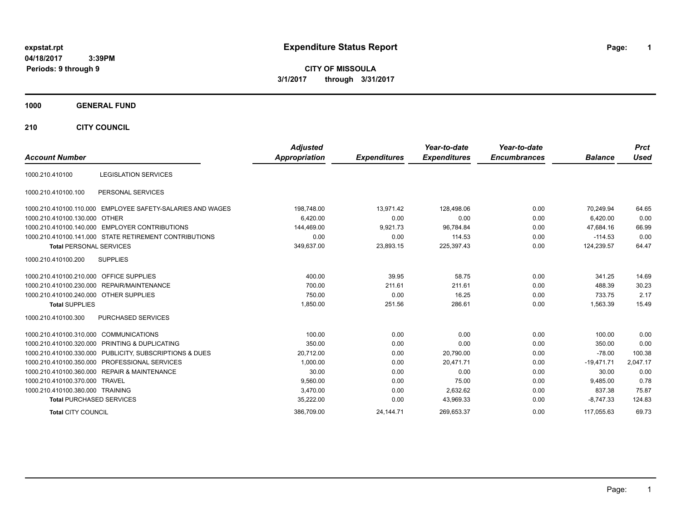**CITY OF MISSOULA 3/1/2017 through 3/31/2017**

## **1000 GENERAL FUND**

**210 CITY COUNCIL**

| <b>Account Number</b>                   |                                                            | <b>Adjusted</b><br>Appropriation | <b>Expenditures</b> | Year-to-date<br><b>Expenditures</b> | Year-to-date<br><b>Encumbrances</b> | <b>Balance</b> | <b>Prct</b><br><b>Used</b> |
|-----------------------------------------|------------------------------------------------------------|----------------------------------|---------------------|-------------------------------------|-------------------------------------|----------------|----------------------------|
| 1000.210.410100                         | <b>LEGISLATION SERVICES</b>                                |                                  |                     |                                     |                                     |                |                            |
|                                         |                                                            |                                  |                     |                                     |                                     |                |                            |
| 1000.210.410100.100                     | PERSONAL SERVICES                                          |                                  |                     |                                     |                                     |                |                            |
|                                         | 1000.210.410100.110.000 EMPLOYEE SAFETY-SALARIES AND WAGES | 198,748.00                       | 13,971.42           | 128,498.06                          | 0.00                                | 70,249.94      | 64.65                      |
| 1000.210.410100.130.000 OTHER           |                                                            | 6,420.00                         | 0.00                | 0.00                                | 0.00                                | 6.420.00       | 0.00                       |
|                                         | 1000.210.410100.140.000 EMPLOYER CONTRIBUTIONS             | 144,469.00                       | 9,921.73            | 96.784.84                           | 0.00                                | 47.684.16      | 66.99                      |
|                                         | 1000.210.410100.141.000 STATE RETIREMENT CONTRIBUTIONS     | 0.00                             | 0.00                | 114.53                              | 0.00                                | $-114.53$      | 0.00                       |
| <b>Total PERSONAL SERVICES</b>          |                                                            | 349,637.00                       | 23,893.15           | 225,397.43                          | 0.00                                | 124,239.57     | 64.47                      |
| 1000.210.410100.200                     | <b>SUPPLIES</b>                                            |                                  |                     |                                     |                                     |                |                            |
| 1000.210.410100.210.000 OFFICE SUPPLIES |                                                            | 400.00                           | 39.95               | 58.75                               | 0.00                                | 341.25         | 14.69                      |
|                                         | 1000.210.410100.230.000 REPAIR/MAINTENANCE                 | 700.00                           | 211.61              | 211.61                              | 0.00                                | 488.39         | 30.23                      |
| 1000.210.410100.240.000 OTHER SUPPLIES  |                                                            | 750.00                           | 0.00                | 16.25                               | 0.00                                | 733.75         | 2.17                       |
| <b>Total SUPPLIES</b>                   |                                                            | 1,850.00                         | 251.56              | 286.61                              | 0.00                                | 1,563.39       | 15.49                      |
| 1000.210.410100.300                     | PURCHASED SERVICES                                         |                                  |                     |                                     |                                     |                |                            |
| 1000.210.410100.310.000                 | <b>COMMUNICATIONS</b>                                      | 100.00                           | 0.00                | 0.00                                | 0.00                                | 100.00         | 0.00                       |
|                                         | 1000.210.410100.320.000 PRINTING & DUPLICATING             | 350.00                           | 0.00                | 0.00                                | 0.00                                | 350.00         | 0.00                       |
|                                         | 1000.210.410100.330.000 PUBLICITY, SUBSCRIPTIONS & DUES    | 20,712.00                        | 0.00                | 20,790.00                           | 0.00                                | $-78.00$       | 100.38                     |
|                                         | 1000.210.410100.350.000 PROFESSIONAL SERVICES              | 1,000.00                         | 0.00                | 20,471.71                           | 0.00                                | $-19,471.71$   | 2,047.17                   |
|                                         | 1000.210.410100.360.000 REPAIR & MAINTENANCE               | 30.00                            | 0.00                | 0.00                                | 0.00                                | 30.00          | 0.00                       |
| 1000.210.410100.370.000 TRAVEL          |                                                            | 9,560.00                         | 0.00                | 75.00                               | 0.00                                | 9,485.00       | 0.78                       |
| 1000.210.410100.380.000 TRAINING        |                                                            | 3,470.00                         | 0.00                | 2,632.62                            | 0.00                                | 837.38         | 75.87                      |
| <b>Total PURCHASED SERVICES</b>         |                                                            | 35,222.00                        | 0.00                | 43,969.33                           | 0.00                                | $-8,747.33$    | 124.83                     |
| <b>Total CITY COUNCIL</b>               |                                                            | 386.709.00                       | 24,144.71           | 269.653.37                          | 0.00                                | 117.055.63     | 69.73                      |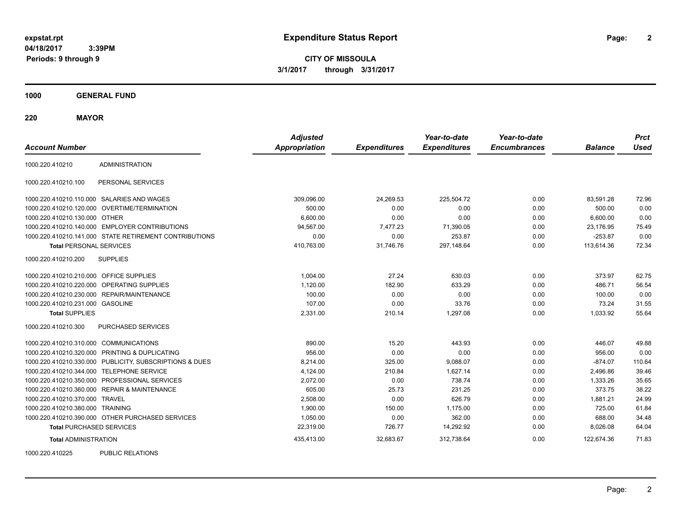**CITY OF MISSOULA 3/1/2017 through 3/31/2017**

**1000 GENERAL FUND**

**220 MAYOR**

| <b>Account Number</b>                   |                                                         | <b>Adjusted</b><br><b>Appropriation</b> | <b>Expenditures</b> | Year-to-date<br><b>Expenditures</b> | Year-to-date<br><b>Encumbrances</b> | <b>Balance</b> | <b>Prct</b><br><b>Used</b> |
|-----------------------------------------|---------------------------------------------------------|-----------------------------------------|---------------------|-------------------------------------|-------------------------------------|----------------|----------------------------|
| 1000.220.410210                         | <b>ADMINISTRATION</b>                                   |                                         |                     |                                     |                                     |                |                            |
| 1000.220.410210.100                     | PERSONAL SERVICES                                       |                                         |                     |                                     |                                     |                |                            |
|                                         | 1000.220.410210.110.000 SALARIES AND WAGES              | 309,096.00                              | 24,269.53           | 225,504.72                          | 0.00                                | 83,591.28      | 72.96                      |
|                                         | 1000.220.410210.120.000 OVERTIME/TERMINATION            | 500.00                                  | 0.00                | 0.00                                | 0.00                                | 500.00         | 0.00                       |
| 1000.220.410210.130.000 OTHER           |                                                         | 6,600.00                                | 0.00                | 0.00                                | 0.00                                | 6,600.00       | 0.00                       |
|                                         | 1000.220.410210.140.000 EMPLOYER CONTRIBUTIONS          | 94,567.00                               | 7,477.23            | 71,390.05                           | 0.00                                | 23,176.95      | 75.49                      |
|                                         | 1000.220.410210.141.000 STATE RETIREMENT CONTRIBUTIONS  | 0.00                                    | 0.00                | 253.87                              | 0.00                                | $-253.87$      | 0.00                       |
| <b>Total PERSONAL SERVICES</b>          |                                                         | 410,763.00                              | 31,746.76           | 297,148.64                          | 0.00                                | 113,614.36     | 72.34                      |
| 1000.220.410210.200                     | <b>SUPPLIES</b>                                         |                                         |                     |                                     |                                     |                |                            |
| 1000.220.410210.210.000 OFFICE SUPPLIES |                                                         | 1,004.00                                | 27.24               | 630.03                              | 0.00                                | 373.97         | 62.75                      |
|                                         | 1000.220.410210.220.000 OPERATING SUPPLIES              | 1,120.00                                | 182.90              | 633.29                              | 0.00                                | 486.71         | 56.54                      |
|                                         | 1000.220.410210.230.000 REPAIR/MAINTENANCE              | 100.00                                  | 0.00                | 0.00                                | 0.00                                | 100.00         | 0.00                       |
| 1000.220.410210.231.000 GASOLINE        |                                                         | 107.00                                  | 0.00                | 33.76                               | 0.00                                | 73.24          | 31.55                      |
| <b>Total SUPPLIES</b>                   |                                                         | 2,331.00                                | 210.14              | 1,297.08                            | 0.00                                | 1,033.92       | 55.64                      |
| 1000.220.410210.300                     | PURCHASED SERVICES                                      |                                         |                     |                                     |                                     |                |                            |
| 1000.220.410210.310.000 COMMUNICATIONS  |                                                         | 890.00                                  | 15.20               | 443.93                              | 0.00                                | 446.07         | 49.88                      |
|                                         | 1000.220.410210.320.000 PRINTING & DUPLICATING          | 956.00                                  | 0.00                | 0.00                                | 0.00                                | 956.00         | 0.00                       |
|                                         | 1000.220.410210.330.000 PUBLICITY, SUBSCRIPTIONS & DUES | 8,214.00                                | 325.00              | 9,088.07                            | 0.00                                | $-874.07$      | 110.64                     |
|                                         | 1000.220.410210.344.000 TELEPHONE SERVICE               | 4,124.00                                | 210.84              | 1,627.14                            | 0.00                                | 2,496.86       | 39.46                      |
|                                         | 1000.220.410210.350.000 PROFESSIONAL SERVICES           | 2,072.00                                | 0.00                | 738.74                              | 0.00                                | 1,333.26       | 35.65                      |
|                                         | 1000.220.410210.360.000 REPAIR & MAINTENANCE            | 605.00                                  | 25.73               | 231.25                              | 0.00                                | 373.75         | 38.22                      |
| 1000.220.410210.370.000 TRAVEL          |                                                         | 2,508.00                                | 0.00                | 626.79                              | 0.00                                | 1,881.21       | 24.99                      |
| 1000.220.410210.380.000 TRAINING        |                                                         | 1,900.00                                | 150.00              | 1,175.00                            | 0.00                                | 725.00         | 61.84                      |
|                                         | 1000.220.410210.390.000 OTHER PURCHASED SERVICES        | 1,050.00                                | 0.00                | 362.00                              | 0.00                                | 688.00         | 34.48                      |
| <b>Total PURCHASED SERVICES</b>         |                                                         | 22,319.00                               | 726.77              | 14,292.92                           | 0.00                                | 8,026.08       | 64.04                      |
| <b>Total ADMINISTRATION</b>             |                                                         | 435,413.00                              | 32.683.67           | 312,738.64                          | 0.00                                | 122,674.36     | 71.83                      |
| 1000000110005                           | <b>DUDLIO DEL ATIONO</b>                                |                                         |                     |                                     |                                     |                |                            |

1000.220.410225 PUBLIC RELATIONS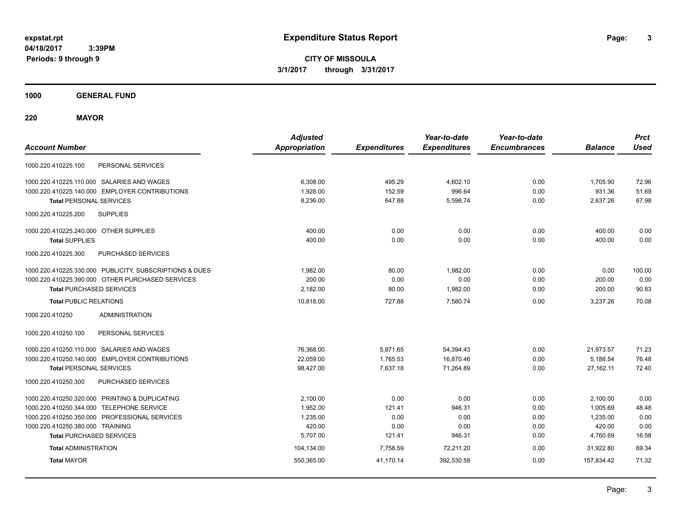**3**

**CITY OF MISSOULA 3/1/2017 through 3/31/2017**

**1000 GENERAL FUND**

**220 MAYOR**

| <b>Account Number</b>                                   | <b>Adjusted</b><br><b>Appropriation</b> | <b>Expenditures</b> | Year-to-date<br><b>Expenditures</b> | Year-to-date<br><b>Encumbrances</b> | <b>Balance</b> | <b>Prct</b><br><b>Used</b> |
|---------------------------------------------------------|-----------------------------------------|---------------------|-------------------------------------|-------------------------------------|----------------|----------------------------|
| PERSONAL SERVICES<br>1000.220.410225.100                |                                         |                     |                                     |                                     |                |                            |
| 1000.220.410225.110.000 SALARIES AND WAGES              | 6,308.00                                | 495.29              | 4.602.10                            | 0.00                                | 1,705.90       | 72.96                      |
| 1000.220.410225.140.000 EMPLOYER CONTRIBUTIONS          | 1,928.00                                | 152.59              | 996.64                              | 0.00                                | 931.36         | 51.69                      |
| <b>Total PERSONAL SERVICES</b>                          | 8,236.00                                | 647.88              | 5,598.74                            | 0.00                                | 2,637.26       | 67.98                      |
| 1000.220.410225.200<br><b>SUPPLIES</b>                  |                                         |                     |                                     |                                     |                |                            |
| 1000.220.410225.240.000 OTHER SUPPLIES                  | 400.00                                  | 0.00                | 0.00                                | 0.00                                | 400.00         | 0.00                       |
| <b>Total SUPPLIES</b>                                   | 400.00                                  | 0.00                | 0.00                                | 0.00                                | 400.00         | 0.00                       |
| PURCHASED SERVICES<br>1000.220.410225.300               |                                         |                     |                                     |                                     |                |                            |
| 1000.220.410225.330.000 PUBLICITY, SUBSCRIPTIONS & DUES | 1,982.00                                | 80.00               | 1,982.00                            | 0.00                                | 0.00           | 100.00                     |
| 1000.220.410225.390.000 OTHER PURCHASED SERVICES        | 200.00                                  | 0.00                | 0.00                                | 0.00                                | 200.00         | 0.00                       |
| <b>Total PURCHASED SERVICES</b>                         | 2,182.00                                | 80.00               | 1,982.00                            | 0.00                                | 200.00         | 90.83                      |
| <b>Total PUBLIC RELATIONS</b>                           | 10,818.00                               | 727.88              | 7,580.74                            | 0.00                                | 3,237.26       | 70.08                      |
| 1000.220.410250<br><b>ADMINISTRATION</b>                |                                         |                     |                                     |                                     |                |                            |
| 1000.220.410250.100<br>PERSONAL SERVICES                |                                         |                     |                                     |                                     |                |                            |
| 1000.220.410250.110.000 SALARIES AND WAGES              | 76,368.00                               | 5,871.65            | 54,394.43                           | 0.00                                | 21,973.57      | 71.23                      |
| 1000.220.410250.140.000 EMPLOYER CONTRIBUTIONS          | 22,059.00                               | 1,765.53            | 16,870.46                           | 0.00                                | 5,188.54       | 76.48                      |
| <b>Total PERSONAL SERVICES</b>                          | 98,427.00                               | 7,637.18            | 71,264.89                           | 0.00                                | 27,162.11      | 72.40                      |
| PURCHASED SERVICES<br>1000.220.410250.300               |                                         |                     |                                     |                                     |                |                            |
| 1000.220.410250.320.000 PRINTING & DUPLICATING          | 2,100.00                                | 0.00                | 0.00                                | 0.00                                | 2,100.00       | 0.00                       |
| 1000.220.410250.344.000 TELEPHONE SERVICE               | 1,952.00                                | 121.41              | 946.31                              | 0.00                                | 1,005.69       | 48.48                      |
| 1000.220.410250.350.000 PROFESSIONAL SERVICES           | 1,235.00                                | 0.00                | 0.00                                | 0.00                                | 1,235.00       | 0.00                       |
| 1000.220.410250.380.000 TRAINING                        | 420.00                                  | 0.00                | 0.00                                | 0.00                                | 420.00         | 0.00                       |
| <b>Total PURCHASED SERVICES</b>                         | 5,707.00                                | 121.41              | 946.31                              | 0.00                                | 4,760.69       | 16.58                      |
| <b>Total ADMINISTRATION</b>                             | 104,134.00                              | 7,758.59            | 72,211.20                           | 0.00                                | 31,922.80      | 69.34                      |
| <b>Total MAYOR</b>                                      | 550,365.00                              | 41,170.14           | 392,530.58                          | 0.00                                | 157,834.42     | 71.32                      |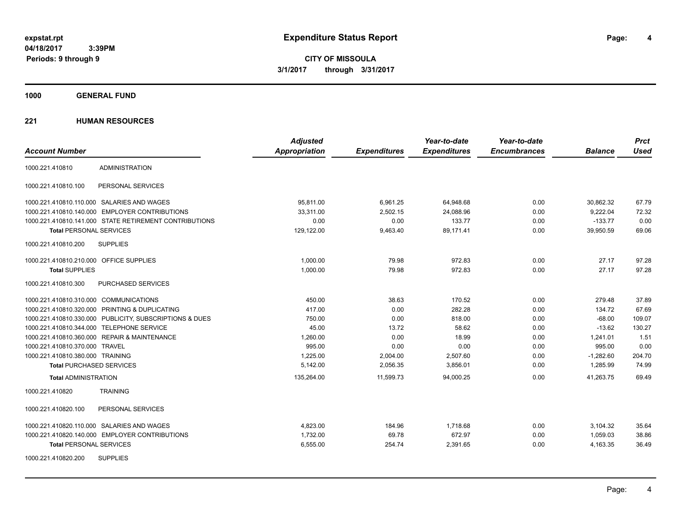**CITY OF MISSOULA 3/1/2017 through 3/31/2017**

**1000 GENERAL FUND**

|                                                         | <b>Adjusted</b>      |                     | Year-to-date        | Year-to-date        |                | <b>Prct</b> |
|---------------------------------------------------------|----------------------|---------------------|---------------------|---------------------|----------------|-------------|
| <b>Account Number</b>                                   | <b>Appropriation</b> | <b>Expenditures</b> | <b>Expenditures</b> | <b>Encumbrances</b> | <b>Balance</b> | <b>Used</b> |
| <b>ADMINISTRATION</b><br>1000.221.410810                |                      |                     |                     |                     |                |             |
| PERSONAL SERVICES<br>1000.221.410810.100                |                      |                     |                     |                     |                |             |
| 1000.221.410810.110.000 SALARIES AND WAGES              | 95,811.00            | 6,961.25            | 64,948.68           | 0.00                | 30,862.32      | 67.79       |
| 1000.221.410810.140.000 EMPLOYER CONTRIBUTIONS          | 33.311.00            | 2,502.15            | 24,088.96           | 0.00                | 9,222.04       | 72.32       |
| 1000.221.410810.141.000 STATE RETIREMENT CONTRIBUTIONS  | 0.00                 | 0.00                | 133.77              | 0.00                | $-133.77$      | 0.00        |
| <b>Total PERSONAL SERVICES</b>                          | 129,122.00           | 9,463.40            | 89,171.41           | 0.00                | 39,950.59      | 69.06       |
| 1000.221.410810.200<br><b>SUPPLIES</b>                  |                      |                     |                     |                     |                |             |
| 1000.221.410810.210.000 OFFICE SUPPLIES                 | 1,000.00             | 79.98               | 972.83              | 0.00                | 27.17          | 97.28       |
| <b>Total SUPPLIES</b>                                   | 1,000.00             | 79.98               | 972.83              | 0.00                | 27.17          | 97.28       |
| 1000.221.410810.300<br><b>PURCHASED SERVICES</b>        |                      |                     |                     |                     |                |             |
| 1000.221.410810.310.000 COMMUNICATIONS                  | 450.00               | 38.63               | 170.52              | 0.00                | 279.48         | 37.89       |
| 1000.221.410810.320.000 PRINTING & DUPLICATING          | 417.00               | 0.00                | 282.28              | 0.00                | 134.72         | 67.69       |
| 1000.221.410810.330.000 PUBLICITY, SUBSCRIPTIONS & DUES | 750.00               | 0.00                | 818.00              | 0.00                | $-68.00$       | 109.07      |
| 1000.221.410810.344.000 TELEPHONE SERVICE               | 45.00                | 13.72               | 58.62               | 0.00                | $-13.62$       | 130.27      |
| 1000.221.410810.360.000 REPAIR & MAINTENANCE            | 1,260.00             | 0.00                | 18.99               | 0.00                | 1,241.01       | 1.51        |
| 1000.221.410810.370.000 TRAVEL                          | 995.00               | 0.00                | 0.00                | 0.00                | 995.00         | 0.00        |
| 1000.221.410810.380.000 TRAINING                        | 1,225.00             | 2,004.00            | 2,507.60            | 0.00                | $-1,282.60$    | 204.70      |
| <b>Total PURCHASED SERVICES</b>                         | 5,142.00             | 2,056.35            | 3,856.01            | 0.00                | 1.285.99       | 74.99       |
| <b>Total ADMINISTRATION</b>                             | 135,264.00           | 11,599.73           | 94,000.25           | 0.00                | 41,263.75      | 69.49       |
| 1000.221.410820<br><b>TRAINING</b>                      |                      |                     |                     |                     |                |             |
| 1000.221.410820.100<br>PERSONAL SERVICES                |                      |                     |                     |                     |                |             |
| 1000.221.410820.110.000 SALARIES AND WAGES              | 4,823.00             | 184.96              | 1.718.68            | 0.00                | 3,104.32       | 35.64       |
| 1000.221.410820.140.000 EMPLOYER CONTRIBUTIONS          | 1,732.00             | 69.78               | 672.97              | 0.00                | 1,059.03       | 38.86       |
| <b>Total PERSONAL SERVICES</b>                          | 6,555.00             | 254.74              | 2,391.65            | 0.00                | 4,163.35       | 36.49       |
| <b>SUPPLIES</b><br>1000.221.410820.200                  |                      |                     |                     |                     |                |             |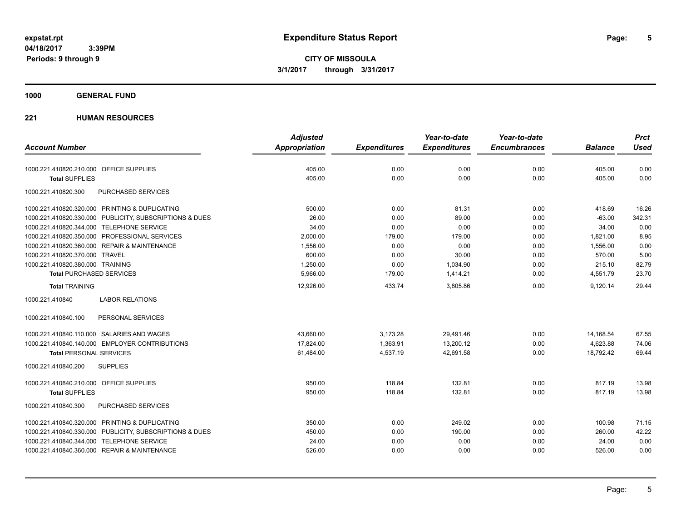**CITY OF MISSOULA 3/1/2017 through 3/31/2017**

## **1000 GENERAL FUND**

|                                                         | <b>Adjusted</b>      |                     | Year-to-date        | Year-to-date        |                | <b>Prct</b> |
|---------------------------------------------------------|----------------------|---------------------|---------------------|---------------------|----------------|-------------|
| <b>Account Number</b>                                   | <b>Appropriation</b> | <b>Expenditures</b> | <b>Expenditures</b> | <b>Encumbrances</b> | <b>Balance</b> | <b>Used</b> |
| 1000.221.410820.210.000 OFFICE SUPPLIES                 | 405.00               | 0.00                | 0.00                | 0.00                | 405.00         | 0.00        |
| <b>Total SUPPLIES</b>                                   | 405.00               | 0.00                | 0.00                | 0.00                | 405.00         | 0.00        |
| 1000.221.410820.300<br>PURCHASED SERVICES               |                      |                     |                     |                     |                |             |
| 1000.221.410820.320.000 PRINTING & DUPLICATING          | 500.00               | 0.00                | 81.31               | 0.00                | 418.69         | 16.26       |
| 1000.221.410820.330.000 PUBLICITY, SUBSCRIPTIONS & DUES | 26.00                | 0.00                | 89.00               | 0.00                | $-63.00$       | 342.31      |
| 1000.221.410820.344.000 TELEPHONE SERVICE               | 34.00                | 0.00                | 0.00                | 0.00                | 34.00          | 0.00        |
| 1000.221.410820.350.000 PROFESSIONAL SERVICES           | 2,000.00             | 179.00              | 179.00              | 0.00                | 1,821.00       | 8.95        |
| 1000.221.410820.360.000 REPAIR & MAINTENANCE            | 1,556.00             | 0.00                | 0.00                | 0.00                | 1,556.00       | 0.00        |
| 1000.221.410820.370.000 TRAVEL                          | 600.00               | 0.00                | 30.00               | 0.00                | 570.00         | 5.00        |
| 1000.221.410820.380.000 TRAINING                        | 1,250.00             | 0.00                | 1,034.90            | 0.00                | 215.10         | 82.79       |
| <b>Total PURCHASED SERVICES</b>                         | 5,966.00             | 179.00              | 1,414.21            | 0.00                | 4,551.79       | 23.70       |
| <b>Total TRAINING</b>                                   | 12,926.00            | 433.74              | 3,805.86            | 0.00                | 9,120.14       | 29.44       |
| <b>LABOR RELATIONS</b><br>1000.221.410840               |                      |                     |                     |                     |                |             |
| PERSONAL SERVICES<br>1000.221.410840.100                |                      |                     |                     |                     |                |             |
| 1000.221.410840.110.000 SALARIES AND WAGES              | 43,660.00            | 3,173.28            | 29,491.46           | 0.00                | 14,168.54      | 67.55       |
| 1000.221.410840.140.000 EMPLOYER CONTRIBUTIONS          | 17,824.00            | 1,363.91            | 13,200.12           | 0.00                | 4,623.88       | 74.06       |
| <b>Total PERSONAL SERVICES</b>                          | 61,484.00            | 4,537.19            | 42,691.58           | 0.00                | 18,792.42      | 69.44       |
| 1000.221.410840.200<br><b>SUPPLIES</b>                  |                      |                     |                     |                     |                |             |
| 1000.221.410840.210.000 OFFICE SUPPLIES                 | 950.00               | 118.84              | 132.81              | 0.00                | 817.19         | 13.98       |
| <b>Total SUPPLIES</b>                                   | 950.00               | 118.84              | 132.81              | 0.00                | 817.19         | 13.98       |
| PURCHASED SERVICES<br>1000.221.410840.300               |                      |                     |                     |                     |                |             |
| 1000.221.410840.320.000 PRINTING & DUPLICATING          | 350.00               | 0.00                | 249.02              | 0.00                | 100.98         | 71.15       |
| 1000.221.410840.330.000 PUBLICITY, SUBSCRIPTIONS & DUES | 450.00               | 0.00                | 190.00              | 0.00                | 260.00         | 42.22       |
| 1000.221.410840.344.000 TELEPHONE SERVICE               | 24.00                | 0.00                | 0.00                | 0.00                | 24.00          | 0.00        |
| 1000.221.410840.360.000 REPAIR & MAINTENANCE            | 526.00               | 0.00                | 0.00                | 0.00                | 526.00         | 0.00        |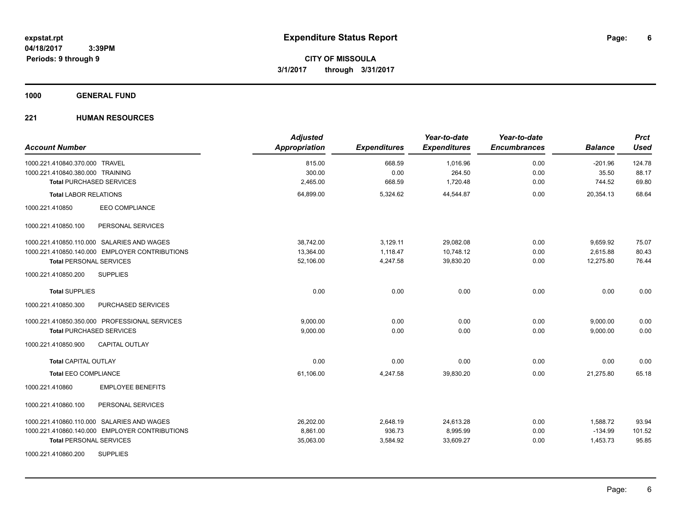**1000 GENERAL FUND**

| <b>Account Number</b>                          | <b>Adjusted</b><br>Appropriation | <b>Expenditures</b> | Year-to-date<br><b>Expenditures</b> | Year-to-date<br><b>Encumbrances</b> | <b>Balance</b> | <b>Prct</b><br><b>Used</b> |
|------------------------------------------------|----------------------------------|---------------------|-------------------------------------|-------------------------------------|----------------|----------------------------|
| 1000.221.410840.370.000 TRAVEL                 | 815.00                           | 668.59              | 1,016.96                            | 0.00                                | $-201.96$      | 124.78                     |
| 1000.221.410840.380.000 TRAINING               | 300.00                           | 0.00                | 264.50                              | 0.00                                | 35.50          | 88.17                      |
| <b>Total PURCHASED SERVICES</b>                | 2,465.00                         | 668.59              | 1,720.48                            | 0.00                                | 744.52         | 69.80                      |
| <b>Total LABOR RELATIONS</b>                   | 64,899.00                        | 5,324.62            | 44,544.87                           | 0.00                                | 20,354.13      | 68.64                      |
| <b>EEO COMPLIANCE</b><br>1000.221.410850       |                                  |                     |                                     |                                     |                |                            |
| PERSONAL SERVICES<br>1000.221.410850.100       |                                  |                     |                                     |                                     |                |                            |
| 1000.221.410850.110.000 SALARIES AND WAGES     | 38.742.00                        | 3,129.11            | 29,082.08                           | 0.00                                | 9,659.92       | 75.07                      |
| 1000.221.410850.140.000 EMPLOYER CONTRIBUTIONS | 13,364.00                        | 1,118.47            | 10,748.12                           | 0.00                                | 2,615.88       | 80.43                      |
| <b>Total PERSONAL SERVICES</b>                 | 52,106.00                        | 4,247.58            | 39,830.20                           | 0.00                                | 12,275.80      | 76.44                      |
| 1000.221.410850.200<br><b>SUPPLIES</b>         |                                  |                     |                                     |                                     |                |                            |
| <b>Total SUPPLIES</b>                          | 0.00                             | 0.00                | 0.00                                | 0.00                                | 0.00           | 0.00                       |
| 1000.221.410850.300<br>PURCHASED SERVICES      |                                  |                     |                                     |                                     |                |                            |
| 1000.221.410850.350.000 PROFESSIONAL SERVICES  | 9,000.00                         | 0.00                | 0.00                                | 0.00                                | 9,000.00       | 0.00                       |
| <b>Total PURCHASED SERVICES</b>                | 9,000.00                         | 0.00                | 0.00                                | 0.00                                | 9,000.00       | 0.00                       |
| 1000.221.410850.900<br><b>CAPITAL OUTLAY</b>   |                                  |                     |                                     |                                     |                |                            |
| <b>Total CAPITAL OUTLAY</b>                    | 0.00                             | 0.00                | 0.00                                | 0.00                                | 0.00           | 0.00                       |
| <b>Total EEO COMPLIANCE</b>                    | 61,106.00                        | 4,247.58            | 39,830.20                           | 0.00                                | 21,275.80      | 65.18                      |
| <b>EMPLOYEE BENEFITS</b><br>1000.221.410860    |                                  |                     |                                     |                                     |                |                            |
| 1000.221.410860.100<br>PERSONAL SERVICES       |                                  |                     |                                     |                                     |                |                            |
| 1000.221.410860.110.000 SALARIES AND WAGES     | 26,202.00                        | 2,648.19            | 24,613.28                           | 0.00                                | 1,588.72       | 93.94                      |
| 1000.221.410860.140.000 EMPLOYER CONTRIBUTIONS | 8,861.00                         | 936.73              | 8,995.99                            | 0.00                                | $-134.99$      | 101.52                     |
| <b>Total PERSONAL SERVICES</b>                 | 35,063.00                        | 3,584.92            | 33,609.27                           | 0.00                                | 1,453.73       | 95.85                      |
| <b>SUPPLIES</b><br>1000.221.410860.200         |                                  |                     |                                     |                                     |                |                            |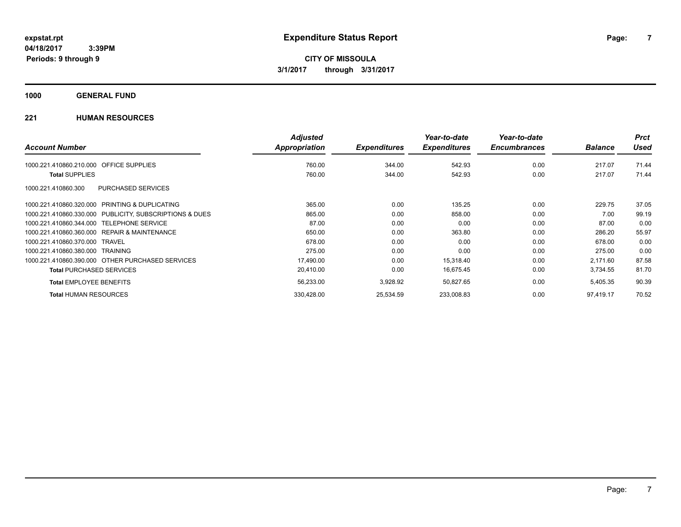## **1000 GENERAL FUND**

|                                                         | <b>Adjusted</b> |                     | Year-to-date        | Year-to-date        |                | <b>Prct</b> |
|---------------------------------------------------------|-----------------|---------------------|---------------------|---------------------|----------------|-------------|
| <b>Account Number</b>                                   | Appropriation   | <b>Expenditures</b> | <b>Expenditures</b> | <b>Encumbrances</b> | <b>Balance</b> | <b>Used</b> |
| <b>OFFICE SUPPLIES</b><br>1000.221.410860.210.000       | 760.00          | 344.00              | 542.93              | 0.00                | 217.07         | 71.44       |
| <b>Total SUPPLIES</b>                                   | 760.00          | 344.00              | 542.93              | 0.00                | 217.07         | 71.44       |
| <b>PURCHASED SERVICES</b><br>1000.221.410860.300        |                 |                     |                     |                     |                |             |
| 1000.221.410860.320.000 PRINTING & DUPLICATING          | 365.00          | 0.00                | 135.25              | 0.00                | 229.75         | 37.05       |
| 1000.221.410860.330.000 PUBLICITY, SUBSCRIPTIONS & DUES | 865.00          | 0.00                | 858.00              | 0.00                | 7.00           | 99.19       |
| 1000.221.410860.344.000 TELEPHONE SERVICE               | 87.00           | 0.00                | 0.00                | 0.00                | 87.00          | 0.00        |
| 1000.221.410860.360.000 REPAIR & MAINTENANCE            | 650.00          | 0.00                | 363.80              | 0.00                | 286.20         | 55.97       |
| 1000.221.410860.370.000 TRAVEL                          | 678.00          | 0.00                | 0.00                | 0.00                | 678.00         | 0.00        |
| 1000.221.410860.380.000 TRAINING                        | 275.00          | 0.00                | 0.00                | 0.00                | 275.00         | 0.00        |
| 1000.221.410860.390.000 OTHER PURCHASED SERVICES        | 17,490.00       | 0.00                | 15,318.40           | 0.00                | 2,171.60       | 87.58       |
| <b>Total PURCHASED SERVICES</b>                         | 20,410.00       | 0.00                | 16,675.45           | 0.00                | 3,734.55       | 81.70       |
| <b>Total EMPLOYEE BENEFITS</b>                          | 56,233.00       | 3,928.92            | 50,827.65           | 0.00                | 5,405.35       | 90.39       |
| <b>Total HUMAN RESOURCES</b>                            | 330,428.00      | 25,534.59           | 233,008.83          | 0.00                | 97.419.17      | 70.52       |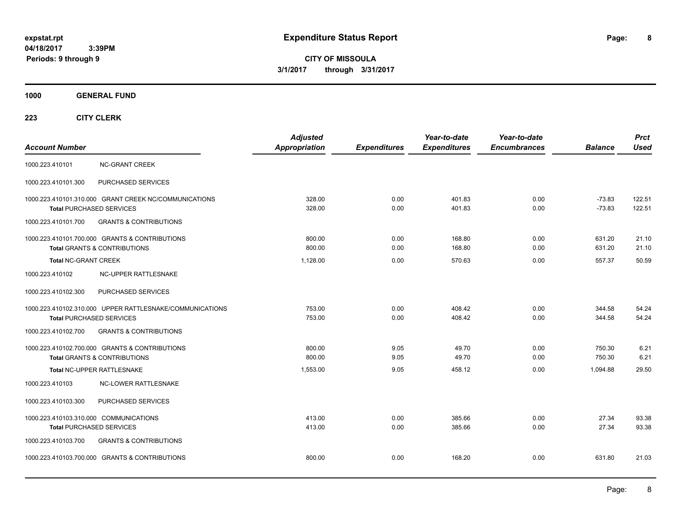**8**

**CITY OF MISSOULA 3/1/2017 through 3/31/2017**

**1000 GENERAL FUND**

| <b>Account Number</b>                  |                                                                                             | <b>Adjusted</b><br><b>Appropriation</b> | <b>Expenditures</b> | Year-to-date<br><b>Expenditures</b> | Year-to-date<br><b>Encumbrances</b> | <b>Balance</b>       | <b>Prct</b><br><b>Used</b> |
|----------------------------------------|---------------------------------------------------------------------------------------------|-----------------------------------------|---------------------|-------------------------------------|-------------------------------------|----------------------|----------------------------|
| 1000.223.410101                        | <b>NC-GRANT CREEK</b>                                                                       |                                         |                     |                                     |                                     |                      |                            |
| 1000.223.410101.300                    | PURCHASED SERVICES                                                                          |                                         |                     |                                     |                                     |                      |                            |
|                                        | 1000.223.410101.310.000 GRANT CREEK NC/COMMUNICATIONS<br><b>Total PURCHASED SERVICES</b>    | 328.00<br>328.00                        | 0.00<br>0.00        | 401.83<br>401.83                    | 0.00<br>0.00                        | $-73.83$<br>$-73.83$ | 122.51<br>122.51           |
| 1000.223.410101.700                    | <b>GRANTS &amp; CONTRIBUTIONS</b>                                                           |                                         |                     |                                     |                                     |                      |                            |
|                                        | 1000.223.410101.700.000 GRANTS & CONTRIBUTIONS<br><b>Total GRANTS &amp; CONTRIBUTIONS</b>   | 800.00<br>800.00                        | 0.00<br>0.00        | 168.80<br>168.80                    | 0.00<br>0.00                        | 631.20<br>631.20     | 21.10<br>21.10             |
| <b>Total NC-GRANT CREEK</b>            |                                                                                             | 1,128.00                                | 0.00                | 570.63                              | 0.00                                | 557.37               | 50.59                      |
| 1000.223.410102                        | NC-UPPER RATTLESNAKE                                                                        |                                         |                     |                                     |                                     |                      |                            |
| 1000.223.410102.300                    | PURCHASED SERVICES                                                                          |                                         |                     |                                     |                                     |                      |                            |
|                                        | 1000.223.410102.310.000 UPPER RATTLESNAKE/COMMUNICATIONS<br><b>Total PURCHASED SERVICES</b> | 753.00<br>753.00                        | 0.00<br>0.00        | 408.42<br>408.42                    | 0.00<br>0.00                        | 344.58<br>344.58     | 54.24<br>54.24             |
| 1000.223.410102.700                    | <b>GRANTS &amp; CONTRIBUTIONS</b>                                                           |                                         |                     |                                     |                                     |                      |                            |
|                                        | 1000.223.410102.700.000 GRANTS & CONTRIBUTIONS<br><b>Total GRANTS &amp; CONTRIBUTIONS</b>   | 800.00<br>800.00                        | 9.05<br>9.05        | 49.70<br>49.70                      | 0.00<br>0.00                        | 750.30<br>750.30     | 6.21<br>6.21               |
|                                        | Total NC-UPPER RATTLESNAKE                                                                  | 1.553.00                                | 9.05                | 458.12                              | 0.00                                | 1.094.88             | 29.50                      |
| 1000.223.410103                        | <b>NC-LOWER RATTLESNAKE</b>                                                                 |                                         |                     |                                     |                                     |                      |                            |
| 1000.223.410103.300                    | PURCHASED SERVICES                                                                          |                                         |                     |                                     |                                     |                      |                            |
| 1000.223.410103.310.000 COMMUNICATIONS | <b>Total PURCHASED SERVICES</b>                                                             | 413.00<br>413.00                        | 0.00<br>0.00        | 385.66<br>385.66                    | 0.00<br>0.00                        | 27.34<br>27.34       | 93.38<br>93.38             |
| 1000.223.410103.700                    | <b>GRANTS &amp; CONTRIBUTIONS</b>                                                           |                                         |                     |                                     |                                     |                      |                            |
|                                        | 1000.223.410103.700.000 GRANTS & CONTRIBUTIONS                                              | 800.00                                  | 0.00                | 168.20                              | 0.00                                | 631.80               | 21.03                      |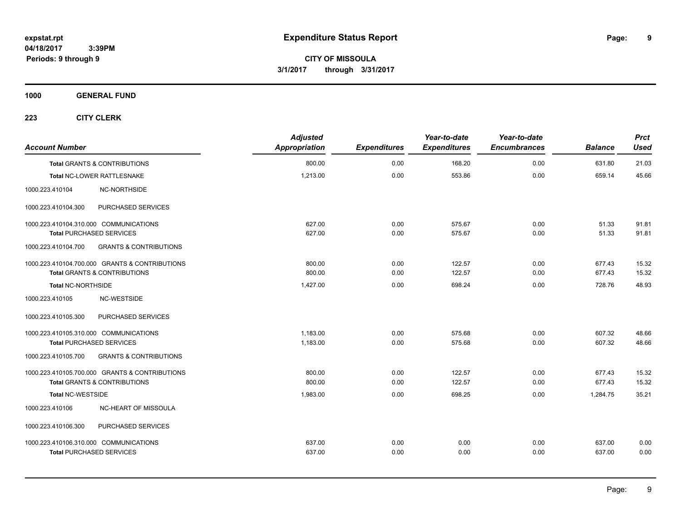**CITY OF MISSOULA 3/1/2017 through 3/31/2017**

**1000 GENERAL FUND**

| <b>Account Number</b>                   |                                                | <b>Adjusted</b><br>Appropriation | <b>Expenditures</b> | Year-to-date<br><b>Expenditures</b> | Year-to-date<br><b>Encumbrances</b> | <b>Balance</b> | <b>Prct</b><br><b>Used</b> |
|-----------------------------------------|------------------------------------------------|----------------------------------|---------------------|-------------------------------------|-------------------------------------|----------------|----------------------------|
| <b>Total GRANTS &amp; CONTRIBUTIONS</b> |                                                | 800.00                           | 0.00                | 168.20                              | 0.00                                | 631.80         | 21.03                      |
| Total NC-LOWER RATTLESNAKE              |                                                | 1,213.00                         | 0.00                | 553.86                              | 0.00                                | 659.14         | 45.66                      |
| 1000.223.410104                         | NC-NORTHSIDE                                   |                                  |                     |                                     |                                     |                |                            |
| 1000.223.410104.300                     | PURCHASED SERVICES                             |                                  |                     |                                     |                                     |                |                            |
| 1000.223.410104.310.000 COMMUNICATIONS  |                                                | 627.00                           | 0.00                | 575.67                              | 0.00                                | 51.33          | 91.81                      |
| <b>Total PURCHASED SERVICES</b>         |                                                | 627.00                           | 0.00                | 575.67                              | 0.00                                | 51.33          | 91.81                      |
| 1000.223.410104.700                     | <b>GRANTS &amp; CONTRIBUTIONS</b>              |                                  |                     |                                     |                                     |                |                            |
|                                         | 1000.223.410104.700.000 GRANTS & CONTRIBUTIONS | 800.00                           | 0.00                | 122.57                              | 0.00                                | 677.43         | 15.32                      |
| <b>Total GRANTS &amp; CONTRIBUTIONS</b> |                                                | 800.00                           | 0.00                | 122.57                              | 0.00                                | 677.43         | 15.32                      |
| <b>Total NC-NORTHSIDE</b>               |                                                | 1,427.00                         | 0.00                | 698.24                              | 0.00                                | 728.76         | 48.93                      |
| 1000.223.410105                         | NC-WESTSIDE                                    |                                  |                     |                                     |                                     |                |                            |
| 1000.223.410105.300                     | PURCHASED SERVICES                             |                                  |                     |                                     |                                     |                |                            |
| 1000.223.410105.310.000 COMMUNICATIONS  |                                                | 1,183.00                         | 0.00                | 575.68                              | 0.00                                | 607.32         | 48.66                      |
| <b>Total PURCHASED SERVICES</b>         |                                                | 1,183.00                         | 0.00                | 575.68                              | 0.00                                | 607.32         | 48.66                      |
| 1000.223.410105.700                     | <b>GRANTS &amp; CONTRIBUTIONS</b>              |                                  |                     |                                     |                                     |                |                            |
|                                         | 1000.223.410105.700.000 GRANTS & CONTRIBUTIONS | 800.00                           | 0.00                | 122.57                              | 0.00                                | 677.43         | 15.32                      |
| <b>Total GRANTS &amp; CONTRIBUTIONS</b> |                                                | 800.00                           | 0.00                | 122.57                              | 0.00                                | 677.43         | 15.32                      |
| <b>Total NC-WESTSIDE</b>                |                                                | 1,983.00                         | 0.00                | 698.25                              | 0.00                                | 1,284.75       | 35.21                      |
| 1000.223.410106                         | NC-HEART OF MISSOULA                           |                                  |                     |                                     |                                     |                |                            |
| 1000.223.410106.300                     | PURCHASED SERVICES                             |                                  |                     |                                     |                                     |                |                            |
| 1000.223.410106.310.000 COMMUNICATIONS  |                                                | 637.00                           | 0.00                | 0.00                                | 0.00                                | 637.00         | 0.00                       |
| <b>Total PURCHASED SERVICES</b>         |                                                | 637.00                           | 0.00                | 0.00                                | 0.00                                | 637.00         | 0.00                       |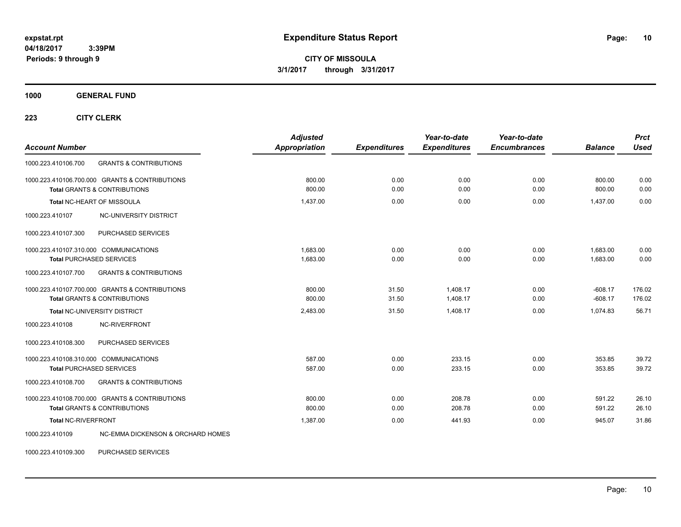**CITY OF MISSOULA 3/1/2017 through 3/31/2017**

**1000 GENERAL FUND**

**223 CITY CLERK**

| <b>Account Number</b>                                                                                                                 | <b>Adjusted</b><br>Appropriation | <b>Expenditures</b> | Year-to-date<br><b>Expenditures</b> | Year-to-date<br><b>Encumbrances</b> | <b>Balance</b>         | <b>Prct</b><br><b>Used</b> |
|---------------------------------------------------------------------------------------------------------------------------------------|----------------------------------|---------------------|-------------------------------------|-------------------------------------|------------------------|----------------------------|
| 1000.223.410106.700<br><b>GRANTS &amp; CONTRIBUTIONS</b>                                                                              |                                  |                     |                                     |                                     |                        |                            |
| 1000.223.410106.700.000 GRANTS & CONTRIBUTIONS<br><b>Total GRANTS &amp; CONTRIBUTIONS</b>                                             | 800.00<br>800.00                 | 0.00<br>0.00        | 0.00<br>0.00                        | 0.00<br>0.00                        | 800.00<br>800.00       | 0.00<br>0.00               |
| Total NC-HEART OF MISSOULA                                                                                                            | 1,437.00                         | 0.00                | 0.00                                | 0.00                                | 1,437.00               | 0.00                       |
| NC-UNIVERSITY DISTRICT<br>1000.223.410107                                                                                             |                                  |                     |                                     |                                     |                        |                            |
| PURCHASED SERVICES<br>1000.223.410107.300                                                                                             |                                  |                     |                                     |                                     |                        |                            |
| 1000.223.410107.310.000 COMMUNICATIONS<br><b>Total PURCHASED SERVICES</b><br><b>GRANTS &amp; CONTRIBUTIONS</b><br>1000.223.410107.700 | 1.683.00<br>1,683.00             | 0.00<br>0.00        | 0.00<br>0.00                        | 0.00<br>0.00                        | 1.683.00<br>1,683.00   | 0.00<br>0.00               |
| 1000.223.410107.700.000 GRANTS & CONTRIBUTIONS<br><b>Total GRANTS &amp; CONTRIBUTIONS</b>                                             | 800.00<br>800.00                 | 31.50<br>31.50      | 1,408.17<br>1,408.17                | 0.00<br>0.00                        | $-608.17$<br>$-608.17$ | 176.02<br>176.02           |
| <b>Total NC-UNIVERSITY DISTRICT</b>                                                                                                   | 2,483.00                         | 31.50               | 1,408.17                            | 0.00                                | 1,074.83               | 56.71                      |
| NC-RIVERFRONT<br>1000.223.410108                                                                                                      |                                  |                     |                                     |                                     |                        |                            |
| 1000.223.410108.300<br>PURCHASED SERVICES                                                                                             |                                  |                     |                                     |                                     |                        |                            |
| 1000.223.410108.310.000 COMMUNICATIONS<br><b>Total PURCHASED SERVICES</b>                                                             | 587.00<br>587.00                 | 0.00<br>0.00        | 233.15<br>233.15                    | 0.00<br>0.00                        | 353.85<br>353.85       | 39.72<br>39.72             |
| <b>GRANTS &amp; CONTRIBUTIONS</b><br>1000.223.410108.700                                                                              |                                  |                     |                                     |                                     |                        |                            |
| 1000.223.410108.700.000 GRANTS & CONTRIBUTIONS<br><b>Total GRANTS &amp; CONTRIBUTIONS</b>                                             | 800.00<br>800.00                 | 0.00<br>0.00        | 208.78<br>208.78                    | 0.00<br>0.00                        | 591.22<br>591.22       | 26.10<br>26.10             |
| Total NC-RIVERFRONT                                                                                                                   | 1.387.00                         | 0.00                | 441.93                              | 0.00                                | 945.07                 | 31.86                      |
| <b>NC-EMMA DICKENSON &amp; ORCHARD HOMES</b><br>1000.223.410109                                                                       |                                  |                     |                                     |                                     |                        |                            |

1000.223.410109.300 PURCHASED SERVICES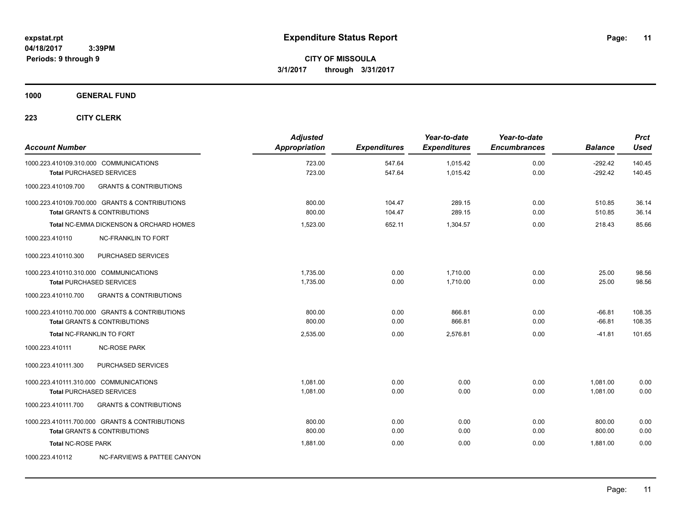**1000 GENERAL FUND**

| <b>Account Number</b>                  |                                                | <b>Adjusted</b><br><b>Appropriation</b> | <b>Expenditures</b> | Year-to-date<br><b>Expenditures</b> | Year-to-date<br><b>Encumbrances</b> | <b>Balance</b> | <b>Prct</b><br><b>Used</b> |
|----------------------------------------|------------------------------------------------|-----------------------------------------|---------------------|-------------------------------------|-------------------------------------|----------------|----------------------------|
|                                        | 1000.223.410109.310.000 COMMUNICATIONS         | 723.00                                  | 547.64              | 1,015.42                            | 0.00                                | $-292.42$      | 140.45                     |
|                                        | <b>Total PURCHASED SERVICES</b>                | 723.00                                  | 547.64              | 1,015.42                            | 0.00                                | $-292.42$      | 140.45                     |
| 1000.223.410109.700                    | <b>GRANTS &amp; CONTRIBUTIONS</b>              |                                         |                     |                                     |                                     |                |                            |
|                                        | 1000.223.410109.700.000 GRANTS & CONTRIBUTIONS | 800.00                                  | 104.47              | 289.15                              | 0.00                                | 510.85         | 36.14                      |
|                                        | <b>Total GRANTS &amp; CONTRIBUTIONS</b>        | 800.00                                  | 104.47              | 289.15                              | 0.00                                | 510.85         | 36.14                      |
|                                        | Total NC-EMMA DICKENSON & ORCHARD HOMES        | 1.523.00                                | 652.11              | 1.304.57                            | 0.00                                | 218.43         | 85.66                      |
| 1000.223.410110                        | <b>NC-FRANKLIN TO FORT</b>                     |                                         |                     |                                     |                                     |                |                            |
| 1000.223.410110.300                    | PURCHASED SERVICES                             |                                         |                     |                                     |                                     |                |                            |
| 1000.223.410110.310.000 COMMUNICATIONS |                                                | 1.735.00                                | 0.00                | 1.710.00                            | 0.00                                | 25.00          | 98.56                      |
|                                        | <b>Total PURCHASED SERVICES</b>                | 1,735.00                                | 0.00                | 1,710.00                            | 0.00                                | 25.00          | 98.56                      |
| 1000.223.410110.700                    | <b>GRANTS &amp; CONTRIBUTIONS</b>              |                                         |                     |                                     |                                     |                |                            |
|                                        | 1000.223.410110.700.000 GRANTS & CONTRIBUTIONS | 800.00                                  | 0.00                | 866.81                              | 0.00                                | $-66.81$       | 108.35                     |
|                                        | <b>Total GRANTS &amp; CONTRIBUTIONS</b>        | 800.00                                  | 0.00                | 866.81                              | 0.00                                | $-66.81$       | 108.35                     |
|                                        | <b>Total NC-FRANKLIN TO FORT</b>               | 2,535.00                                | 0.00                | 2,576.81                            | 0.00                                | $-41.81$       | 101.65                     |
| 1000.223.410111                        | <b>NC-ROSE PARK</b>                            |                                         |                     |                                     |                                     |                |                            |
| 1000.223.410111.300                    | PURCHASED SERVICES                             |                                         |                     |                                     |                                     |                |                            |
| 1000.223.410111.310.000 COMMUNICATIONS |                                                | 1,081.00                                | 0.00                | 0.00                                | 0.00                                | 1,081.00       | 0.00                       |
|                                        | <b>Total PURCHASED SERVICES</b>                | 1,081.00                                | 0.00                | 0.00                                | 0.00                                | 1,081.00       | 0.00                       |
| 1000.223.410111.700                    | <b>GRANTS &amp; CONTRIBUTIONS</b>              |                                         |                     |                                     |                                     |                |                            |
|                                        | 1000.223.410111.700.000 GRANTS & CONTRIBUTIONS | 800.00                                  | 0.00                | 0.00                                | 0.00                                | 800.00         | 0.00                       |
|                                        | <b>Total GRANTS &amp; CONTRIBUTIONS</b>        | 800.00                                  | 0.00                | 0.00                                | 0.00                                | 800.00         | 0.00                       |
| <b>Total NC-ROSE PARK</b>              |                                                | 1.881.00                                | 0.00                | 0.00                                | 0.00                                | 1.881.00       | 0.00                       |
| 1000.223.410112                        | NC-FARVIEWS & PATTEE CANYON                    |                                         |                     |                                     |                                     |                |                            |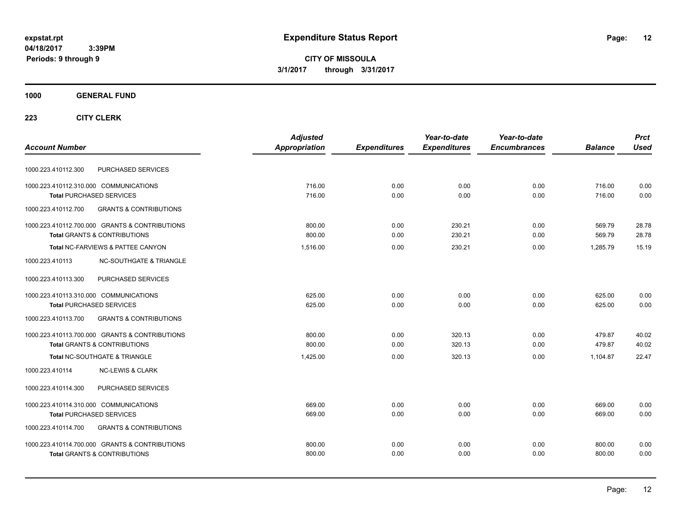**CITY OF MISSOULA 3/1/2017 through 3/31/2017**

## **1000 GENERAL FUND**

|                                                          | <b>Adjusted</b> |                     | Year-to-date        | Year-to-date        |                | <b>Prct</b> |
|----------------------------------------------------------|-----------------|---------------------|---------------------|---------------------|----------------|-------------|
| <b>Account Number</b>                                    | Appropriation   | <b>Expenditures</b> | <b>Expenditures</b> | <b>Encumbrances</b> | <b>Balance</b> | <b>Used</b> |
| PURCHASED SERVICES<br>1000.223.410112.300                |                 |                     |                     |                     |                |             |
| 1000.223.410112.310.000 COMMUNICATIONS                   | 716.00          | 0.00                | 0.00                | 0.00                | 716.00         | 0.00        |
| <b>Total PURCHASED SERVICES</b>                          | 716.00          | 0.00                | 0.00                | 0.00                | 716.00         | 0.00        |
| 1000.223.410112.700<br><b>GRANTS &amp; CONTRIBUTIONS</b> |                 |                     |                     |                     |                |             |
| 1000.223.410112.700.000 GRANTS & CONTRIBUTIONS           | 800.00          | 0.00                | 230.21              | 0.00                | 569.79         | 28.78       |
| <b>Total GRANTS &amp; CONTRIBUTIONS</b>                  | 800.00          | 0.00                | 230.21              | 0.00                | 569.79         | 28.78       |
| Total NC-FARVIEWS & PATTEE CANYON                        | 1,516.00        | 0.00                | 230.21              | 0.00                | 1.285.79       | 15.19       |
| <b>NC-SOUTHGATE &amp; TRIANGLE</b><br>1000.223.410113    |                 |                     |                     |                     |                |             |
| 1000.223.410113.300<br>PURCHASED SERVICES                |                 |                     |                     |                     |                |             |
| 1000.223.410113.310.000 COMMUNICATIONS                   | 625.00          | 0.00                | 0.00                | 0.00                | 625.00         | 0.00        |
| <b>Total PURCHASED SERVICES</b>                          | 625.00          | 0.00                | 0.00                | 0.00                | 625.00         | 0.00        |
| 1000.223.410113.700<br><b>GRANTS &amp; CONTRIBUTIONS</b> |                 |                     |                     |                     |                |             |
| 1000.223.410113.700.000 GRANTS & CONTRIBUTIONS           | 800.00          | 0.00                | 320.13              | 0.00                | 479.87         | 40.02       |
| <b>Total GRANTS &amp; CONTRIBUTIONS</b>                  | 800.00          | 0.00                | 320.13              | 0.00                | 479.87         | 40.02       |
| Total NC-SOUTHGATE & TRIANGLE                            | 1,425.00        | 0.00                | 320.13              | 0.00                | 1.104.87       | 22.47       |
| 1000.223.410114<br><b>NC-LEWIS &amp; CLARK</b>           |                 |                     |                     |                     |                |             |
| PURCHASED SERVICES<br>1000.223.410114.300                |                 |                     |                     |                     |                |             |
| 1000.223.410114.310.000 COMMUNICATIONS                   | 669.00          | 0.00                | 0.00                | 0.00                | 669.00         | 0.00        |
| <b>Total PURCHASED SERVICES</b>                          | 669.00          | 0.00                | 0.00                | 0.00                | 669.00         | 0.00        |
| <b>GRANTS &amp; CONTRIBUTIONS</b><br>1000.223.410114.700 |                 |                     |                     |                     |                |             |
| 1000.223.410114.700.000 GRANTS & CONTRIBUTIONS           | 800.00          | 0.00                | 0.00                | 0.00                | 800.00         | 0.00        |
| <b>Total GRANTS &amp; CONTRIBUTIONS</b>                  | 800.00          | 0.00                | 0.00                | 0.00                | 800.00         | 0.00        |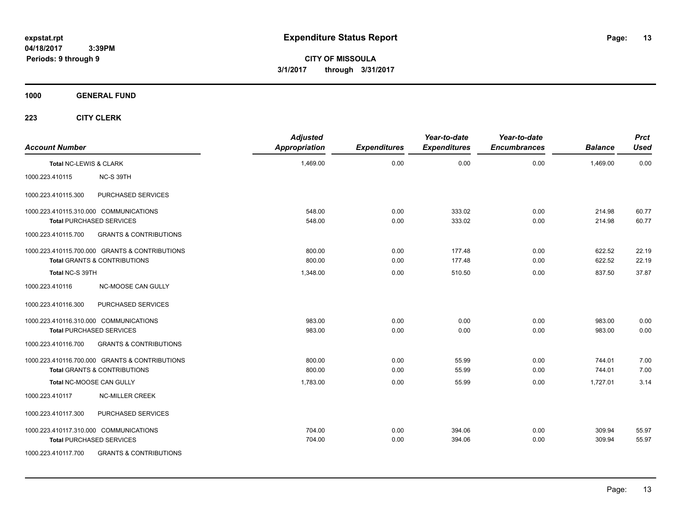**CITY OF MISSOULA 3/1/2017 through 3/31/2017**

**1000 GENERAL FUND**

| <b>Account Number</b>  |                                                                                           | <b>Adjusted</b><br><b>Appropriation</b> | <b>Expenditures</b> | Year-to-date<br><b>Expenditures</b> | Year-to-date<br><b>Encumbrances</b> | <b>Balance</b>   | <b>Prct</b><br><b>Used</b> |
|------------------------|-------------------------------------------------------------------------------------------|-----------------------------------------|---------------------|-------------------------------------|-------------------------------------|------------------|----------------------------|
| Total NC-LEWIS & CLARK |                                                                                           | 1,469.00                                | 0.00                | 0.00                                | 0.00                                | 1,469.00         | 0.00                       |
| 1000.223.410115        | NC-S 39TH                                                                                 |                                         |                     |                                     |                                     |                  |                            |
| 1000.223.410115.300    | PURCHASED SERVICES                                                                        |                                         |                     |                                     |                                     |                  |                            |
|                        | 1000.223.410115.310.000 COMMUNICATIONS<br><b>Total PURCHASED SERVICES</b>                 | 548.00<br>548.00                        | 0.00<br>0.00        | 333.02<br>333.02                    | 0.00<br>0.00                        | 214.98<br>214.98 | 60.77<br>60.77             |
| 1000.223.410115.700    | <b>GRANTS &amp; CONTRIBUTIONS</b>                                                         |                                         |                     |                                     |                                     |                  |                            |
|                        | 1000.223.410115.700.000 GRANTS & CONTRIBUTIONS<br><b>Total GRANTS &amp; CONTRIBUTIONS</b> | 800.00<br>800.00                        | 0.00<br>0.00        | 177.48<br>177.48                    | 0.00<br>0.00                        | 622.52<br>622.52 | 22.19<br>22.19             |
| Total NC-S 39TH        |                                                                                           | 1,348.00                                | 0.00                | 510.50                              | 0.00                                | 837.50           | 37.87                      |
| 1000.223.410116        | <b>NC-MOOSE CAN GULLY</b>                                                                 |                                         |                     |                                     |                                     |                  |                            |
| 1000.223.410116.300    | PURCHASED SERVICES                                                                        |                                         |                     |                                     |                                     |                  |                            |
|                        | 1000.223.410116.310.000 COMMUNICATIONS<br><b>Total PURCHASED SERVICES</b>                 | 983.00<br>983.00                        | 0.00<br>0.00        | 0.00<br>0.00                        | 0.00<br>0.00                        | 983.00<br>983.00 | 0.00<br>0.00               |
| 1000.223.410116.700    | <b>GRANTS &amp; CONTRIBUTIONS</b>                                                         |                                         |                     |                                     |                                     |                  |                            |
|                        | 1000.223.410116.700.000 GRANTS & CONTRIBUTIONS<br><b>Total GRANTS &amp; CONTRIBUTIONS</b> | 800.00<br>800.00                        | 0.00<br>0.00        | 55.99<br>55.99                      | 0.00<br>0.00                        | 744.01<br>744.01 | 7.00<br>7.00               |
|                        | Total NC-MOOSE CAN GULLY                                                                  | 1,783.00                                | 0.00                | 55.99                               | 0.00                                | 1,727.01         | 3.14                       |
| 1000.223.410117        | <b>NC-MILLER CREEK</b>                                                                    |                                         |                     |                                     |                                     |                  |                            |
| 1000.223.410117.300    | PURCHASED SERVICES                                                                        |                                         |                     |                                     |                                     |                  |                            |
|                        | 1000.223.410117.310.000 COMMUNICATIONS<br><b>Total PURCHASED SERVICES</b>                 | 704.00<br>704.00                        | 0.00<br>0.00        | 394.06<br>394.06                    | 0.00<br>0.00                        | 309.94<br>309.94 | 55.97<br>55.97             |
| 1000.223.410117.700    | <b>GRANTS &amp; CONTRIBUTIONS</b>                                                         |                                         |                     |                                     |                                     |                  |                            |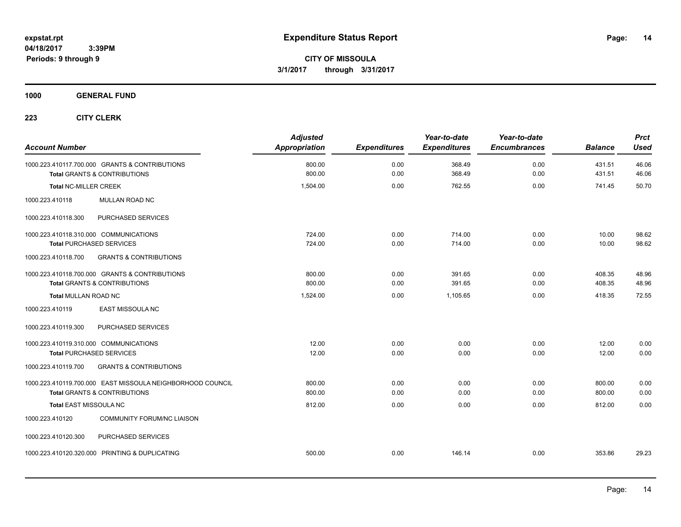**CITY OF MISSOULA 3/1/2017 through 3/31/2017**

**1000 GENERAL FUND**

| <b>Account Number</b>                                                                     | <b>Adjusted</b><br><b>Appropriation</b> | <b>Expenditures</b> | Year-to-date<br><b>Expenditures</b> | Year-to-date<br><b>Encumbrances</b> | <b>Balance</b>   | <b>Prct</b><br><b>Used</b> |
|-------------------------------------------------------------------------------------------|-----------------------------------------|---------------------|-------------------------------------|-------------------------------------|------------------|----------------------------|
| 1000.223.410117.700.000 GRANTS & CONTRIBUTIONS<br><b>Total GRANTS &amp; CONTRIBUTIONS</b> | 800.00<br>800.00                        | 0.00<br>0.00        | 368.49<br>368.49                    | 0.00<br>0.00                        | 431.51<br>431.51 | 46.06<br>46.06             |
|                                                                                           |                                         |                     |                                     |                                     |                  |                            |
| <b>Total NC-MILLER CREEK</b>                                                              | 1,504.00                                | 0.00                | 762.55                              | 0.00                                | 741.45           | 50.70                      |
| MULLAN ROAD NC<br>1000.223.410118                                                         |                                         |                     |                                     |                                     |                  |                            |
| PURCHASED SERVICES<br>1000.223.410118.300                                                 |                                         |                     |                                     |                                     |                  |                            |
| 1000.223.410118.310.000 COMMUNICATIONS                                                    | 724.00                                  | 0.00                | 714.00                              | 0.00                                | 10.00            | 98.62                      |
| <b>Total PURCHASED SERVICES</b>                                                           | 724.00                                  | 0.00                | 714.00                              | 0.00                                | 10.00            | 98.62                      |
| 1000.223.410118.700<br><b>GRANTS &amp; CONTRIBUTIONS</b>                                  |                                         |                     |                                     |                                     |                  |                            |
| 1000.223.410118.700.000 GRANTS & CONTRIBUTIONS                                            | 800.00                                  | 0.00                | 391.65                              | 0.00                                | 408.35           | 48.96                      |
| Total GRANTS & CONTRIBUTIONS                                                              | 800.00                                  | 0.00                | 391.65                              | 0.00                                | 408.35           | 48.96                      |
| <b>Total MULLAN ROAD NC</b>                                                               | 1,524.00                                | 0.00                | 1,105.65                            | 0.00                                | 418.35           | 72.55                      |
| 1000.223.410119<br>EAST MISSOULA NC                                                       |                                         |                     |                                     |                                     |                  |                            |
| 1000.223.410119.300<br>PURCHASED SERVICES                                                 |                                         |                     |                                     |                                     |                  |                            |
| 1000.223.410119.310.000 COMMUNICATIONS                                                    | 12.00                                   | 0.00                | 0.00                                | 0.00                                | 12.00            | 0.00                       |
| <b>Total PURCHASED SERVICES</b>                                                           | 12.00                                   | 0.00                | 0.00                                | 0.00                                | 12.00            | 0.00                       |
| <b>GRANTS &amp; CONTRIBUTIONS</b><br>1000.223.410119.700                                  |                                         |                     |                                     |                                     |                  |                            |
| 1000.223.410119.700.000 EAST MISSOULA NEIGHBORHOOD COUNCIL                                | 800.00                                  | 0.00                | 0.00                                | 0.00                                | 800.00           | 0.00                       |
| <b>Total GRANTS &amp; CONTRIBUTIONS</b>                                                   | 800.00                                  | 0.00                | 0.00                                | 0.00                                | 800.00           | 0.00                       |
| <b>Total EAST MISSOULA NC</b>                                                             | 812.00                                  | 0.00                | 0.00                                | 0.00                                | 812.00           | 0.00                       |
| 1000.223.410120<br><b>COMMUNITY FORUM/NC LIAISON</b>                                      |                                         |                     |                                     |                                     |                  |                            |
| PURCHASED SERVICES<br>1000.223.410120.300                                                 |                                         |                     |                                     |                                     |                  |                            |
| 1000.223.410120.320.000 PRINTING & DUPLICATING                                            | 500.00                                  | 0.00                | 146.14                              | 0.00                                | 353.86           | 29.23                      |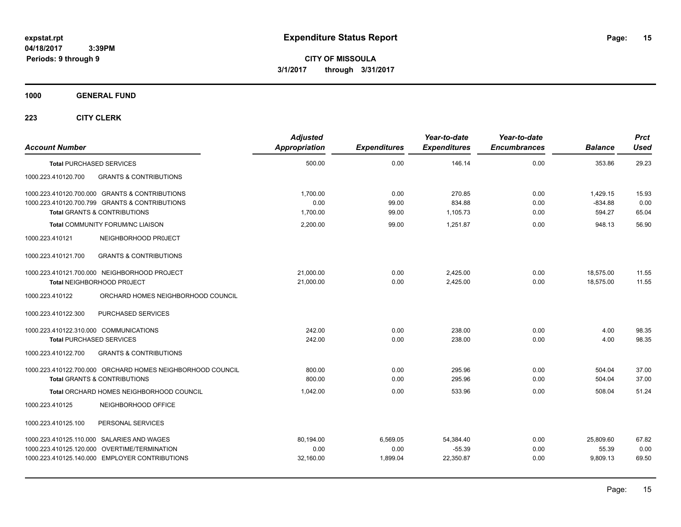**CITY OF MISSOULA 3/1/2017 through 3/31/2017**

**1000 GENERAL FUND**

| <b>Account Number</b>                  |                                                                                                  | <b>Adjusted</b><br><b>Appropriation</b> | <b>Expenditures</b> | Year-to-date<br><b>Expenditures</b> | Year-to-date<br><b>Encumbrances</b> | <b>Balance</b>        | <b>Prct</b><br>Used |
|----------------------------------------|--------------------------------------------------------------------------------------------------|-----------------------------------------|---------------------|-------------------------------------|-------------------------------------|-----------------------|---------------------|
|                                        | <b>Total PURCHASED SERVICES</b>                                                                  | 500.00                                  | 0.00                | 146.14                              | 0.00                                | 353.86                | 29.23               |
| 1000.223.410120.700                    | <b>GRANTS &amp; CONTRIBUTIONS</b>                                                                |                                         |                     |                                     |                                     |                       |                     |
|                                        | 1000.223.410120.700.000 GRANTS & CONTRIBUTIONS<br>1000.223.410120.700.799 GRANTS & CONTRIBUTIONS | 1,700.00<br>0.00                        | 0.00<br>99.00       | 270.85<br>834.88                    | 0.00<br>0.00                        | 1,429.15<br>$-834.88$ | 15.93<br>0.00       |
|                                        | <b>Total GRANTS &amp; CONTRIBUTIONS</b>                                                          | 1,700.00                                | 99.00               | 1,105.73                            | 0.00                                | 594.27                | 65.04               |
|                                        | Total COMMUNITY FORUM/NC LIAISON                                                                 | 2,200.00                                | 99.00               | 1.251.87                            | 0.00                                | 948.13                | 56.90               |
| 1000.223.410121                        | NEIGHBORHOOD PROJECT                                                                             |                                         |                     |                                     |                                     |                       |                     |
| 1000.223.410121.700                    | <b>GRANTS &amp; CONTRIBUTIONS</b>                                                                |                                         |                     |                                     |                                     |                       |                     |
|                                        | 1000.223.410121.700.000 NEIGHBORHOOD PROJECT                                                     | 21,000.00                               | 0.00                | 2,425.00                            | 0.00                                | 18,575.00             | 11.55               |
|                                        | Total NEIGHBORHOOD PROJECT                                                                       | 21.000.00                               | 0.00                | 2,425.00                            | 0.00                                | 18,575.00             | 11.55               |
| 1000.223.410122                        | ORCHARD HOMES NEIGHBORHOOD COUNCIL                                                               |                                         |                     |                                     |                                     |                       |                     |
| 1000.223.410122.300                    | PURCHASED SERVICES                                                                               |                                         |                     |                                     |                                     |                       |                     |
| 1000.223.410122.310.000 COMMUNICATIONS |                                                                                                  | 242.00                                  | 0.00                | 238.00                              | 0.00                                | 4.00                  | 98.35               |
|                                        | <b>Total PURCHASED SERVICES</b>                                                                  | 242.00                                  | 0.00                | 238.00                              | 0.00                                | 4.00                  | 98.35               |
| 1000.223.410122.700                    | <b>GRANTS &amp; CONTRIBUTIONS</b>                                                                |                                         |                     |                                     |                                     |                       |                     |
|                                        | 1000.223.410122.700.000 ORCHARD HOMES NEIGHBORHOOD COUNCIL                                       | 800.00                                  | 0.00                | 295.96                              | 0.00                                | 504.04                | 37.00               |
|                                        | <b>Total GRANTS &amp; CONTRIBUTIONS</b>                                                          | 800.00                                  | 0.00                | 295.96                              | 0.00                                | 504.04                | 37.00               |
|                                        | Total ORCHARD HOMES NEIGHBORHOOD COUNCIL                                                         | 1.042.00                                | 0.00                | 533.96                              | 0.00                                | 508.04                | 51.24               |
| 1000.223.410125                        | NEIGHBORHOOD OFFICE                                                                              |                                         |                     |                                     |                                     |                       |                     |
| 1000.223.410125.100                    | PERSONAL SERVICES                                                                                |                                         |                     |                                     |                                     |                       |                     |
|                                        | 1000.223.410125.110.000 SALARIES AND WAGES                                                       | 80,194.00                               | 6,569.05            | 54,384.40                           | 0.00                                | 25,809.60             | 67.82               |
|                                        | 1000.223.410125.120.000 OVERTIME/TERMINATION                                                     | 0.00                                    | 0.00                | $-55.39$                            | 0.00                                | 55.39                 | 0.00                |
|                                        | 1000.223.410125.140.000 EMPLOYER CONTRIBUTIONS                                                   | 32,160.00                               | 1,899.04            | 22,350.87                           | 0.00                                | 9,809.13              | 69.50               |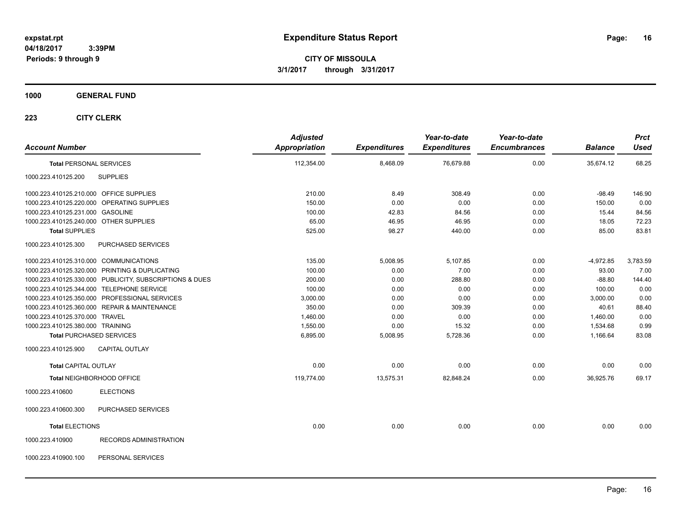**CITY OF MISSOULA 3/1/2017 through 3/31/2017**

## **1000 GENERAL FUND**

| <b>Account Number</b>                   |                                                         | <b>Adjusted</b><br>Appropriation | <b>Expenditures</b> | Year-to-date<br><b>Expenditures</b> | Year-to-date<br><b>Encumbrances</b> | <b>Balance</b> | <b>Prct</b><br><b>Used</b> |
|-----------------------------------------|---------------------------------------------------------|----------------------------------|---------------------|-------------------------------------|-------------------------------------|----------------|----------------------------|
| <b>Total PERSONAL SERVICES</b>          |                                                         | 112,354.00                       | 8,468.09            | 76,679.88                           | 0.00                                | 35,674.12      | 68.25                      |
| 1000.223.410125.200                     | <b>SUPPLIES</b>                                         |                                  |                     |                                     |                                     |                |                            |
| 1000.223.410125.210.000 OFFICE SUPPLIES |                                                         | 210.00                           | 8.49                | 308.49                              | 0.00                                | $-98.49$       | 146.90                     |
|                                         | 1000.223.410125.220.000 OPERATING SUPPLIES              | 150.00                           | 0.00                | 0.00                                | 0.00                                | 150.00         | 0.00                       |
| 1000.223.410125.231.000 GASOLINE        |                                                         | 100.00                           | 42.83               | 84.56                               | 0.00                                | 15.44          | 84.56                      |
| 1000.223.410125.240.000 OTHER SUPPLIES  |                                                         | 65.00                            | 46.95               | 46.95                               | 0.00                                | 18.05          | 72.23                      |
| <b>Total SUPPLIES</b>                   |                                                         | 525.00                           | 98.27               | 440.00                              | 0.00                                | 85.00          | 83.81                      |
| 1000.223.410125.300                     | PURCHASED SERVICES                                      |                                  |                     |                                     |                                     |                |                            |
| 1000.223.410125.310.000 COMMUNICATIONS  |                                                         | 135.00                           | 5,008.95            | 5,107.85                            | 0.00                                | $-4,972.85$    | 3,783.59                   |
|                                         | 1000.223.410125.320.000 PRINTING & DUPLICATING          | 100.00                           | 0.00                | 7.00                                | 0.00                                | 93.00          | 7.00                       |
|                                         | 1000.223.410125.330.000 PUBLICITY, SUBSCRIPTIONS & DUES | 200.00                           | 0.00                | 288.80                              | 0.00                                | $-88.80$       | 144.40                     |
|                                         | 1000.223.410125.344.000 TELEPHONE SERVICE               | 100.00                           | 0.00                | 0.00                                | 0.00                                | 100.00         | 0.00                       |
|                                         | 1000.223.410125.350.000 PROFESSIONAL SERVICES           | 3,000.00                         | 0.00                | 0.00                                | 0.00                                | 3,000.00       | 0.00                       |
|                                         | 1000.223.410125.360.000 REPAIR & MAINTENANCE            | 350.00                           | 0.00                | 309.39                              | 0.00                                | 40.61          | 88.40                      |
| 1000.223.410125.370.000 TRAVEL          |                                                         | 1,460.00                         | 0.00                | 0.00                                | 0.00                                | 1,460.00       | 0.00                       |
| 1000.223.410125.380.000 TRAINING        |                                                         | 1,550.00                         | 0.00                | 15.32                               | 0.00                                | 1,534.68       | 0.99                       |
|                                         | <b>Total PURCHASED SERVICES</b>                         | 6,895.00                         | 5,008.95            | 5,728.36                            | 0.00                                | 1,166.64       | 83.08                      |
| 1000.223.410125.900                     | CAPITAL OUTLAY                                          |                                  |                     |                                     |                                     |                |                            |
| <b>Total CAPITAL OUTLAY</b>             |                                                         | 0.00                             | 0.00                | 0.00                                | 0.00                                | 0.00           | 0.00                       |
|                                         | Total NEIGHBORHOOD OFFICE                               | 119,774.00                       | 13,575.31           | 82,848.24                           | 0.00                                | 36,925.76      | 69.17                      |
| 1000.223.410600                         | <b>ELECTIONS</b>                                        |                                  |                     |                                     |                                     |                |                            |
| 1000.223.410600.300                     | PURCHASED SERVICES                                      |                                  |                     |                                     |                                     |                |                            |
| <b>Total ELECTIONS</b>                  |                                                         | 0.00                             | 0.00                | 0.00                                | 0.00                                | 0.00           | 0.00                       |
| 1000.223.410900                         | <b>RECORDS ADMINISTRATION</b>                           |                                  |                     |                                     |                                     |                |                            |
| 1000.223.410900.100                     | PERSONAL SERVICES                                       |                                  |                     |                                     |                                     |                |                            |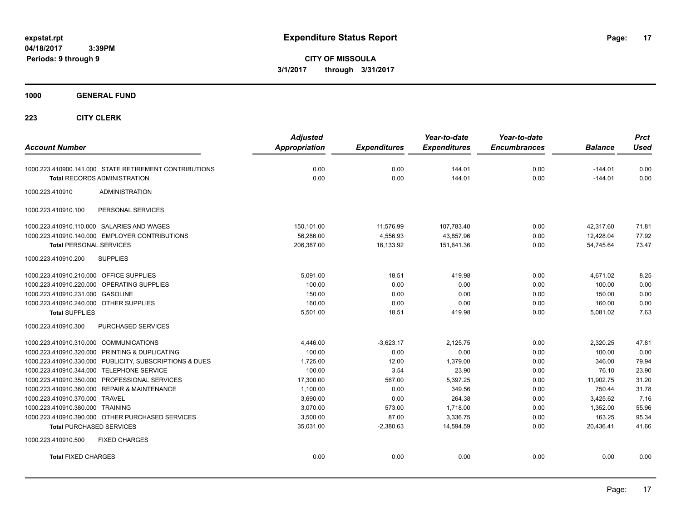**CITY OF MISSOULA 3/1/2017 through 3/31/2017**

**1000 GENERAL FUND**

| <b>Account Number</b>                                                                         | <b>Adjusted</b><br><b>Appropriation</b> | <b>Expenditures</b> | Year-to-date<br><b>Expenditures</b> | Year-to-date<br><b>Encumbrances</b> | <b>Balance</b>         | <b>Prct</b><br><b>Used</b> |
|-----------------------------------------------------------------------------------------------|-----------------------------------------|---------------------|-------------------------------------|-------------------------------------|------------------------|----------------------------|
|                                                                                               |                                         |                     |                                     |                                     |                        |                            |
| 1000.223.410900.141.000 STATE RETIREMENT CONTRIBUTIONS<br><b>Total RECORDS ADMINISTRATION</b> | 0.00<br>0.00                            | 0.00<br>0.00        | 144.01<br>144.01                    | 0.00<br>0.00                        | $-144.01$<br>$-144.01$ | 0.00<br>0.00               |
|                                                                                               |                                         |                     |                                     |                                     |                        |                            |
| 1000.223.410910<br><b>ADMINISTRATION</b>                                                      |                                         |                     |                                     |                                     |                        |                            |
| PERSONAL SERVICES<br>1000.223.410910.100                                                      |                                         |                     |                                     |                                     |                        |                            |
| 1000.223.410910.110.000 SALARIES AND WAGES                                                    | 150,101.00                              | 11,576.99           | 107,783.40                          | 0.00                                | 42,317.60              | 71.81                      |
| 1000.223.410910.140.000 EMPLOYER CONTRIBUTIONS                                                | 56,286.00                               | 4,556.93            | 43,857.96                           | 0.00                                | 12,428.04              | 77.92                      |
| <b>Total PERSONAL SERVICES</b>                                                                | 206,387.00                              | 16,133.92           | 151,641.36                          | 0.00                                | 54,745.64              | 73.47                      |
| 1000.223.410910.200<br><b>SUPPLIES</b>                                                        |                                         |                     |                                     |                                     |                        |                            |
| 1000.223.410910.210.000 OFFICE SUPPLIES                                                       | 5,091.00                                | 18.51               | 419.98                              | 0.00                                | 4,671.02               | 8.25                       |
| 1000.223.410910.220.000 OPERATING SUPPLIES                                                    | 100.00                                  | 0.00                | 0.00                                | 0.00                                | 100.00                 | 0.00                       |
| 1000.223.410910.231.000 GASOLINE                                                              | 150.00                                  | 0.00                | 0.00                                | 0.00                                | 150.00                 | 0.00                       |
| 1000.223.410910.240.000 OTHER SUPPLIES                                                        | 160.00                                  | 0.00                | 0.00                                | 0.00                                | 160.00                 | 0.00                       |
| <b>Total SUPPLIES</b>                                                                         | 5,501.00                                | 18.51               | 419.98                              | 0.00                                | 5,081.02               | 7.63                       |
| 1000.223.410910.300<br>PURCHASED SERVICES                                                     |                                         |                     |                                     |                                     |                        |                            |
| 1000.223.410910.310.000 COMMUNICATIONS                                                        | 4,446.00                                | $-3,623.17$         | 2,125.75                            | 0.00                                | 2,320.25               | 47.81                      |
| 1000.223.410910.320.000 PRINTING & DUPLICATING                                                | 100.00                                  | 0.00                | 0.00                                | 0.00                                | 100.00                 | 0.00                       |
| 1000.223.410910.330.000 PUBLICITY, SUBSCRIPTIONS & DUES                                       | 1,725.00                                | 12.00               | 1,379.00                            | 0.00                                | 346.00                 | 79.94                      |
| 1000.223.410910.344.000 TELEPHONE SERVICE                                                     | 100.00                                  | 3.54                | 23.90                               | 0.00                                | 76.10                  | 23.90                      |
| 1000.223.410910.350.000 PROFESSIONAL SERVICES                                                 | 17,300.00                               | 567.00              | 5,397.25                            | 0.00                                | 11,902.75              | 31.20                      |
| 1000.223.410910.360.000 REPAIR & MAINTENANCE                                                  | 1,100.00                                | 0.00                | 349.56                              | 0.00                                | 750.44                 | 31.78                      |
| 1000.223.410910.370.000 TRAVEL                                                                | 3.690.00                                | 0.00                | 264.38                              | 0.00                                | 3,425.62               | 7.16                       |
| 1000.223.410910.380.000 TRAINING                                                              | 3.070.00                                | 573.00              | 1,718.00                            | 0.00                                | 1,352.00               | 55.96                      |
| 1000.223.410910.390.000 OTHER PURCHASED SERVICES                                              | 3,500.00                                | 87.00               | 3,336.75                            | 0.00                                | 163.25                 | 95.34                      |
| <b>Total PURCHASED SERVICES</b>                                                               | 35,031.00                               | $-2,380.63$         | 14.594.59                           | 0.00                                | 20,436.41              | 41.66                      |
| 1000.223.410910.500<br><b>FIXED CHARGES</b>                                                   |                                         |                     |                                     |                                     |                        |                            |
| <b>Total FIXED CHARGES</b>                                                                    | 0.00                                    | 0.00                | 0.00                                | 0.00                                | 0.00                   | 0.00                       |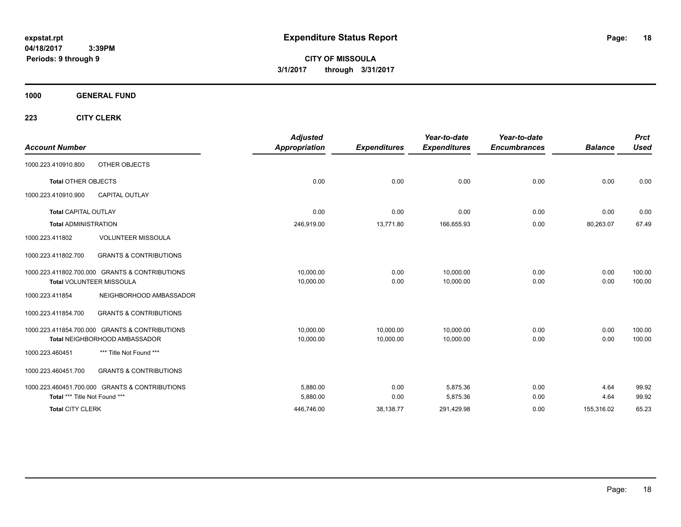**CITY OF MISSOULA 3/1/2017 through 3/31/2017**

**1000 GENERAL FUND**

| <b>Account Number</b>           |                                                | <b>Adjusted</b><br>Appropriation | <b>Expenditures</b> | Year-to-date<br><b>Expenditures</b> | Year-to-date<br><b>Encumbrances</b> | <b>Balance</b> | <b>Prct</b><br><b>Used</b> |
|---------------------------------|------------------------------------------------|----------------------------------|---------------------|-------------------------------------|-------------------------------------|----------------|----------------------------|
| 1000.223.410910.800             | OTHER OBJECTS                                  |                                  |                     |                                     |                                     |                |                            |
| <b>Total OTHER OBJECTS</b>      |                                                | 0.00                             | 0.00                | 0.00                                | 0.00                                | 0.00           | 0.00                       |
| 1000.223.410910.900             | <b>CAPITAL OUTLAY</b>                          |                                  |                     |                                     |                                     |                |                            |
| <b>Total CAPITAL OUTLAY</b>     |                                                | 0.00                             | 0.00                | 0.00                                | 0.00                                | 0.00           | 0.00                       |
| <b>Total ADMINISTRATION</b>     |                                                | 246,919.00                       | 13,771.80           | 166,655.93                          | 0.00                                | 80,263.07      | 67.49                      |
| 1000.223.411802                 | <b>VOLUNTEER MISSOULA</b>                      |                                  |                     |                                     |                                     |                |                            |
| 1000.223.411802.700             | <b>GRANTS &amp; CONTRIBUTIONS</b>              |                                  |                     |                                     |                                     |                |                            |
|                                 | 1000.223.411802.700.000 GRANTS & CONTRIBUTIONS | 10,000.00                        | 0.00                | 10,000.00                           | 0.00                                | 0.00           | 100.00                     |
| <b>Total VOLUNTEER MISSOULA</b> |                                                | 10,000.00                        | 0.00                | 10,000.00                           | 0.00                                | 0.00           | 100.00                     |
| 1000.223.411854                 | NEIGHBORHOOD AMBASSADOR                        |                                  |                     |                                     |                                     |                |                            |
| 1000.223.411854.700             | <b>GRANTS &amp; CONTRIBUTIONS</b>              |                                  |                     |                                     |                                     |                |                            |
|                                 | 1000.223.411854.700.000 GRANTS & CONTRIBUTIONS | 10.000.00                        | 10.000.00           | 10.000.00                           | 0.00                                | 0.00           | 100.00                     |
|                                 | Total NEIGHBORHOOD AMBASSADOR                  | 10,000.00                        | 10,000.00           | 10,000.00                           | 0.00                                | 0.00           | 100.00                     |
| 1000.223.460451                 | *** Title Not Found ***                        |                                  |                     |                                     |                                     |                |                            |
| 1000.223.460451.700             | <b>GRANTS &amp; CONTRIBUTIONS</b>              |                                  |                     |                                     |                                     |                |                            |
|                                 | 1000.223.460451.700.000 GRANTS & CONTRIBUTIONS | 5,880.00                         | 0.00                | 5.875.36                            | 0.00                                | 4.64           | 99.92                      |
| Total *** Title Not Found ***   |                                                | 5,880.00                         | 0.00                | 5,875.36                            | 0.00                                | 4.64           | 99.92                      |
| <b>Total CITY CLERK</b>         |                                                | 446,746.00                       | 38,138.77           | 291,429.98                          | 0.00                                | 155,316.02     | 65.23                      |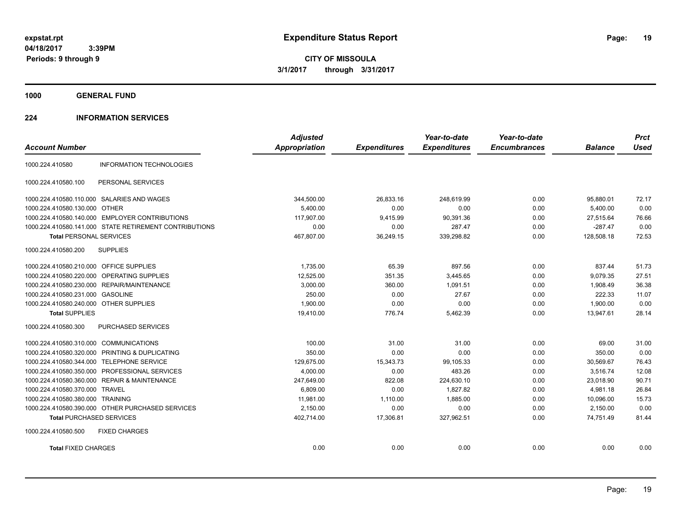**CITY OF MISSOULA 3/1/2017 through 3/31/2017**

**1000 GENERAL FUND**

## **224 INFORMATION SERVICES**

|                                         |                                                        | <b>Adjusted</b>      |                     | Year-to-date        | Year-to-date        |                | <b>Prct</b> |
|-----------------------------------------|--------------------------------------------------------|----------------------|---------------------|---------------------|---------------------|----------------|-------------|
| <b>Account Number</b>                   |                                                        | <b>Appropriation</b> | <b>Expenditures</b> | <b>Expenditures</b> | <b>Encumbrances</b> | <b>Balance</b> | <b>Used</b> |
| 1000.224.410580                         | <b>INFORMATION TECHNOLOGIES</b>                        |                      |                     |                     |                     |                |             |
| 1000.224.410580.100                     | PERSONAL SERVICES                                      |                      |                     |                     |                     |                |             |
|                                         | 1000.224.410580.110.000 SALARIES AND WAGES             | 344,500.00           | 26.833.16           | 248.619.99          | 0.00                | 95,880.01      | 72.17       |
| 1000.224.410580.130.000 OTHER           |                                                        | 5.400.00             | 0.00                | 0.00                | 0.00                | 5.400.00       | 0.00        |
| 1000.224.410580.140.000                 | <b>EMPLOYER CONTRIBUTIONS</b>                          | 117,907.00           | 9,415.99            | 90,391.36           | 0.00                | 27,515.64      | 76.66       |
|                                         | 1000.224.410580.141.000 STATE RETIREMENT CONTRIBUTIONS | 0.00                 | 0.00                | 287.47              | 0.00                | $-287.47$      | 0.00        |
| <b>Total PERSONAL SERVICES</b>          |                                                        | 467,807.00           | 36,249.15           | 339,298.82          | 0.00                | 128,508.18     | 72.53       |
| 1000.224.410580.200                     | <b>SUPPLIES</b>                                        |                      |                     |                     |                     |                |             |
| 1000.224.410580.210.000 OFFICE SUPPLIES |                                                        | 1,735.00             | 65.39               | 897.56              | 0.00                | 837.44         | 51.73       |
| 1000.224.410580.220.000                 | OPERATING SUPPLIES                                     | 12,525.00            | 351.35              | 3,445.65            | 0.00                | 9,079.35       | 27.51       |
|                                         | 1000.224.410580.230.000 REPAIR/MAINTENANCE             | 3,000.00             | 360.00              | 1,091.51            | 0.00                | 1,908.49       | 36.38       |
| 1000.224.410580.231.000 GASOLINE        |                                                        | 250.00               | 0.00                | 27.67               | 0.00                | 222.33         | 11.07       |
| 1000.224.410580.240.000 OTHER SUPPLIES  |                                                        | 1,900.00             | 0.00                | 0.00                | 0.00                | 1.900.00       | 0.00        |
| <b>Total SUPPLIES</b>                   |                                                        | 19,410.00            | 776.74              | 5,462.39            | 0.00                | 13,947.61      | 28.14       |
| 1000.224.410580.300                     | PURCHASED SERVICES                                     |                      |                     |                     |                     |                |             |
| 1000.224.410580.310.000                 | <b>COMMUNICATIONS</b>                                  | 100.00               | 31.00               | 31.00               | 0.00                | 69.00          | 31.00       |
| 1000.224.410580.320.000                 | PRINTING & DUPLICATING                                 | 350.00               | 0.00                | 0.00                | 0.00                | 350.00         | 0.00        |
| 1000.224.410580.344.000                 | <b>TELEPHONE SERVICE</b>                               | 129,675.00           | 15,343.73           | 99,105.33           | 0.00                | 30,569.67      | 76.43       |
| 1000.224.410580.350.000                 | PROFESSIONAL SERVICES                                  | 4,000.00             | 0.00                | 483.26              | 0.00                | 3,516.74       | 12.08       |
|                                         | 1000.224.410580.360.000 REPAIR & MAINTENANCE           | 247,649.00           | 822.08              | 224,630.10          | 0.00                | 23,018.90      | 90.71       |
| 1000.224.410580.370.000 TRAVEL          |                                                        | 6,809.00             | 0.00                | 1.827.82            | 0.00                | 4.981.18       | 26.84       |
| 1000.224.410580.380.000 TRAINING        |                                                        | 11.981.00            | 1,110.00            | 1.885.00            | 0.00                | 10.096.00      | 15.73       |
|                                         | 1000.224.410580.390.000 OTHER PURCHASED SERVICES       | 2,150.00             | 0.00                | 0.00                | 0.00                | 2,150.00       | 0.00        |
| <b>Total PURCHASED SERVICES</b>         |                                                        | 402,714.00           | 17,306.81           | 327,962.51          | 0.00                | 74.751.49      | 81.44       |
| 1000.224.410580.500                     | <b>FIXED CHARGES</b>                                   |                      |                     |                     |                     |                |             |
| <b>Total FIXED CHARGES</b>              |                                                        | 0.00                 | 0.00                | 0.00                | 0.00                | 0.00           | 0.00        |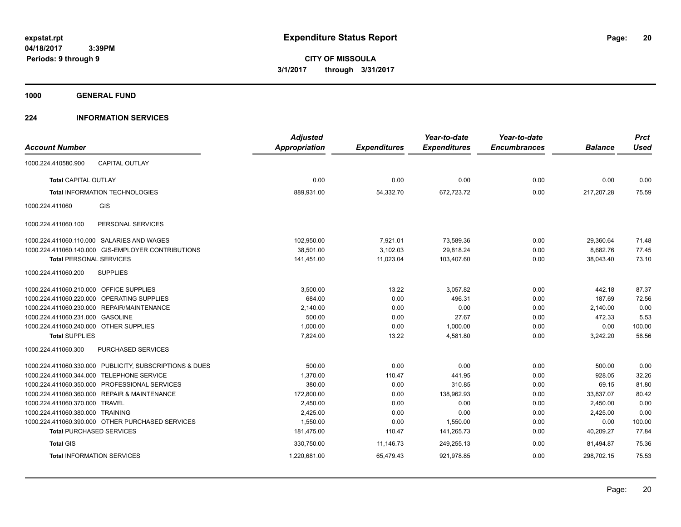**1000 GENERAL FUND**

## **224 INFORMATION SERVICES**

| <b>Account Number</b>                   |                                                         | <b>Adjusted</b><br><b>Appropriation</b> | <b>Expenditures</b> | Year-to-date<br><b>Expenditures</b> | Year-to-date<br><b>Encumbrances</b> | <b>Balance</b> | <b>Prct</b><br><b>Used</b> |
|-----------------------------------------|---------------------------------------------------------|-----------------------------------------|---------------------|-------------------------------------|-------------------------------------|----------------|----------------------------|
| 1000.224.410580.900                     | <b>CAPITAL OUTLAY</b>                                   |                                         |                     |                                     |                                     |                |                            |
| <b>Total CAPITAL OUTLAY</b>             |                                                         | 0.00                                    | 0.00                | 0.00                                | 0.00                                | 0.00           | 0.00                       |
|                                         | <b>Total INFORMATION TECHNOLOGIES</b>                   | 889,931.00                              | 54,332.70           | 672,723.72                          | 0.00                                | 217,207.28     | 75.59                      |
| 1000.224.411060                         | GIS                                                     |                                         |                     |                                     |                                     |                |                            |
| 1000.224.411060.100                     | PERSONAL SERVICES                                       |                                         |                     |                                     |                                     |                |                            |
|                                         | 1000.224.411060.110.000 SALARIES AND WAGES              | 102,950.00                              | 7,921.01            | 73,589.36                           | 0.00                                | 29,360.64      | 71.48                      |
|                                         | 1000.224.411060.140.000 GIS-EMPLOYER CONTRIBUTIONS      | 38,501.00                               | 3,102.03            | 29.818.24                           | 0.00                                | 8,682.76       | 77.45                      |
| <b>Total PERSONAL SERVICES</b>          |                                                         | 141,451.00                              | 11,023.04           | 103,407.60                          | 0.00                                | 38,043.40      | 73.10                      |
| 1000.224.411060.200                     | <b>SUPPLIES</b>                                         |                                         |                     |                                     |                                     |                |                            |
| 1000.224.411060.210.000 OFFICE SUPPLIES |                                                         | 3,500.00                                | 13.22               | 3,057.82                            | 0.00                                | 442.18         | 87.37                      |
|                                         | 1000.224.411060.220.000 OPERATING SUPPLIES              | 684.00                                  | 0.00                | 496.31                              | 0.00                                | 187.69         | 72.56                      |
| 1000.224.411060.230.000                 | REPAIR/MAINTENANCE                                      | 2,140.00                                | 0.00                | 0.00                                | 0.00                                | 2,140.00       | 0.00                       |
| 1000.224.411060.231.000 GASOLINE        |                                                         | 500.00                                  | 0.00                | 27.67                               | 0.00                                | 472.33         | 5.53                       |
| 1000.224.411060.240.000 OTHER SUPPLIES  |                                                         | 1,000.00                                | 0.00                | 1,000.00                            | 0.00                                | 0.00           | 100.00                     |
| <b>Total SUPPLIES</b>                   |                                                         | 7,824.00                                | 13.22               | 4,581.80                            | 0.00                                | 3,242.20       | 58.56                      |
| 1000.224.411060.300                     | PURCHASED SERVICES                                      |                                         |                     |                                     |                                     |                |                            |
|                                         | 1000.224.411060.330.000 PUBLICITY, SUBSCRIPTIONS & DUES | 500.00                                  | 0.00                | 0.00                                | 0.00                                | 500.00         | 0.00                       |
| 1000.224.411060.344.000                 | <b>TELEPHONE SERVICE</b>                                | 1,370.00                                | 110.47              | 441.95                              | 0.00                                | 928.05         | 32.26                      |
|                                         | 1000.224.411060.350.000 PROFESSIONAL SERVICES           | 380.00                                  | 0.00                | 310.85                              | 0.00                                | 69.15          | 81.80                      |
|                                         | 1000.224.411060.360.000 REPAIR & MAINTENANCE            | 172,800.00                              | 0.00                | 138,962.93                          | 0.00                                | 33,837.07      | 80.42                      |
| 1000.224.411060.370.000 TRAVEL          |                                                         | 2,450.00                                | 0.00                | 0.00                                | 0.00                                | 2,450.00       | 0.00                       |
| 1000.224.411060.380.000 TRAINING        |                                                         | 2,425.00                                | 0.00                | 0.00                                | 0.00                                | 2,425.00       | 0.00                       |
|                                         | 1000.224.411060.390.000 OTHER PURCHASED SERVICES        | 1,550.00                                | 0.00                | 1,550.00                            | 0.00                                | 0.00           | 100.00                     |
|                                         | <b>Total PURCHASED SERVICES</b>                         | 181,475.00                              | 110.47              | 141,265.73                          | 0.00                                | 40,209.27      | 77.84                      |
| <b>Total GIS</b>                        |                                                         | 330,750.00                              | 11,146.73           | 249,255.13                          | 0.00                                | 81.494.87      | 75.36                      |
|                                         | <b>Total INFORMATION SERVICES</b>                       | 1,220,681.00                            | 65,479.43           | 921,978.85                          | 0.00                                | 298,702.15     | 75.53                      |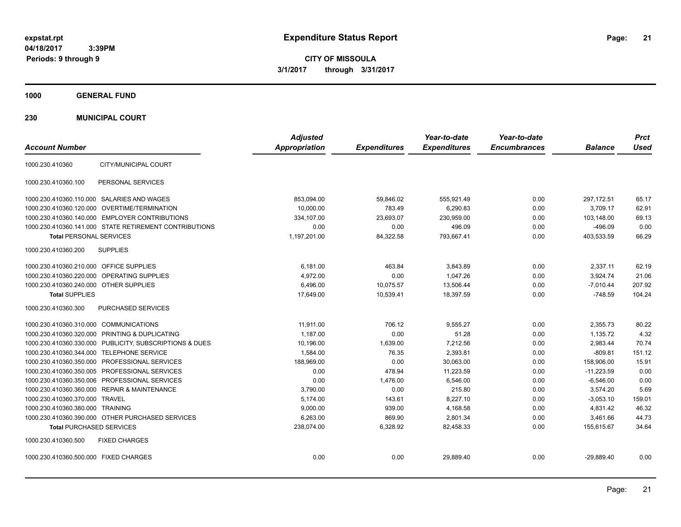**21**

**CITY OF MISSOULA 3/1/2017 through 3/31/2017**

**1000 GENERAL FUND**

**230 MUNICIPAL COURT**

|                                                         | <b>Adjusted</b>      |                     | Year-to-date        | Year-to-date        |                | <b>Prct</b> |
|---------------------------------------------------------|----------------------|---------------------|---------------------|---------------------|----------------|-------------|
| <b>Account Number</b>                                   | <b>Appropriation</b> | <b>Expenditures</b> | <b>Expenditures</b> | <b>Encumbrances</b> | <b>Balance</b> | <b>Used</b> |
| CITY/MUNICIPAL COURT<br>1000.230.410360                 |                      |                     |                     |                     |                |             |
| PERSONAL SERVICES<br>1000.230.410360.100                |                      |                     |                     |                     |                |             |
| 1000.230.410360.110.000 SALARIES AND WAGES              | 853,094.00           | 59,846.02           | 555,921.49          | 0.00                | 297,172.51     | 65.17       |
| 1000.230.410360.120.000 OVERTIME/TERMINATION            | 10,000.00            | 783.49              | 6,290.83            | 0.00                | 3,709.17       | 62.91       |
| 1000.230.410360.140.000 EMPLOYER CONTRIBUTIONS          | 334,107.00           | 23,693.07           | 230,959.00          | 0.00                | 103,148.00     | 69.13       |
| 1000.230.410360.141.000 STATE RETIREMENT CONTRIBUTIONS  | 0.00                 | 0.00                | 496.09              | 0.00                | $-496.09$      | 0.00        |
| <b>Total PERSONAL SERVICES</b>                          | 1,197,201.00         | 84,322.58           | 793,667.41          | 0.00                | 403,533.59     | 66.29       |
| 1000.230.410360.200<br><b>SUPPLIES</b>                  |                      |                     |                     |                     |                |             |
| 1000.230.410360.210.000 OFFICE SUPPLIES                 | 6,181.00             | 463.84              | 3,843.89            | 0.00                | 2,337.11       | 62.19       |
| <b>OPERATING SUPPLIES</b><br>1000.230.410360.220.000    | 4,972.00             | 0.00                | 1,047.26            | 0.00                | 3,924.74       | 21.06       |
| 1000.230.410360.240.000 OTHER SUPPLIES                  | 6,496.00             | 10,075.57           | 13,506.44           | 0.00                | $-7,010.44$    | 207.92      |
| <b>Total SUPPLIES</b>                                   | 17,649.00            | 10,539.41           | 18,397.59           | 0.00                | $-748.59$      | 104.24      |
| 1000.230.410360.300<br><b>PURCHASED SERVICES</b>        |                      |                     |                     |                     |                |             |
| 1000.230.410360.310.000 COMMUNICATIONS                  | 11.911.00            | 706.12              | 9.555.27            | 0.00                | 2.355.73       | 80.22       |
| 1000.230.410360.320.000 PRINTING & DUPLICATING          | 1,187.00             | 0.00                | 51.28               | 0.00                | 1,135.72       | 4.32        |
| 1000.230.410360.330.000 PUBLICITY, SUBSCRIPTIONS & DUES | 10,196.00            | 1,639.00            | 7.212.56            | 0.00                | 2,983.44       | 70.74       |
| 1000.230.410360.344.000 TELEPHONE SERVICE               | 1,584.00             | 76.35               | 2,393.81            | 0.00                | $-809.81$      | 151.12      |
| 1000.230.410360.350.000 PROFESSIONAL SERVICES           | 188.969.00           | 0.00                | 30.063.00           | 0.00                | 158.906.00     | 15.91       |
| 1000.230.410360.350.005 PROFESSIONAL SERVICES           | 0.00                 | 478.94              | 11,223.59           | 0.00                | $-11,223.59$   | 0.00        |
| 1000.230.410360.350.006 PROFESSIONAL SERVICES           | 0.00                 | 1,476.00            | 6,546.00            | 0.00                | $-6,546.00$    | 0.00        |
| 1000.230.410360.360.000 REPAIR & MAINTENANCE            | 3,790.00             | 0.00                | 215.80              | 0.00                | 3,574.20       | 5.69        |
| 1000.230.410360.370.000 TRAVEL                          | 5,174.00             | 143.61              | 8,227.10            | 0.00                | $-3,053.10$    | 159.01      |
| 1000.230.410360.380.000 TRAINING                        | 9,000.00             | 939.00              | 4,168.58            | 0.00                | 4,831.42       | 46.32       |
| 1000.230.410360.390.000 OTHER PURCHASED SERVICES        | 6,263.00             | 869.90              | 2,801.34            | 0.00                | 3,461.66       | 44.73       |
| <b>Total PURCHASED SERVICES</b>                         | 238,074.00           | 6,328.92            | 82,458.33           | 0.00                | 155,615.67     | 34.64       |
| 1000.230.410360.500<br><b>FIXED CHARGES</b>             |                      |                     |                     |                     |                |             |
| 1000.230.410360.500.000 FIXED CHARGES                   | 0.00                 | 0.00                | 29,889.40           | 0.00                | $-29,889.40$   | 0.00        |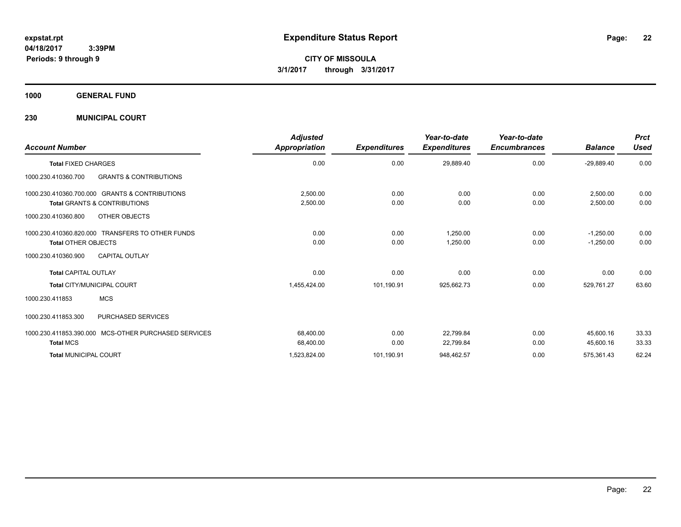**CITY OF MISSOULA 3/1/2017 through 3/31/2017**

**1000 GENERAL FUND**

**230 MUNICIPAL COURT**

| <b>Account Number</b>                                                                     | <b>Adjusted</b><br>Appropriation | <b>Expenditures</b> | Year-to-date<br><b>Expenditures</b> | Year-to-date<br><b>Encumbrances</b> | <b>Balance</b>             | <b>Prct</b><br><b>Used</b> |
|-------------------------------------------------------------------------------------------|----------------------------------|---------------------|-------------------------------------|-------------------------------------|----------------------------|----------------------------|
| <b>Total FIXED CHARGES</b>                                                                | 0.00                             | 0.00                | 29,889.40                           | 0.00                                | $-29,889.40$               | 0.00                       |
| <b>GRANTS &amp; CONTRIBUTIONS</b><br>1000.230.410360.700                                  |                                  |                     |                                     |                                     |                            |                            |
| 1000.230.410360.700.000 GRANTS & CONTRIBUTIONS<br><b>Total GRANTS &amp; CONTRIBUTIONS</b> | 2,500.00<br>2,500.00             | 0.00<br>0.00        | 0.00<br>0.00                        | 0.00<br>0.00                        | 2,500.00<br>2,500.00       | 0.00<br>0.00               |
| 1000.230.410360.800<br>OTHER OBJECTS                                                      |                                  |                     |                                     |                                     |                            |                            |
| 1000.230.410360.820.000 TRANSFERS TO OTHER FUNDS<br><b>Total OTHER OBJECTS</b>            | 0.00<br>0.00                     | 0.00<br>0.00        | 1,250.00<br>1,250.00                | 0.00<br>0.00                        | $-1,250.00$<br>$-1,250.00$ | 0.00<br>0.00               |
| 1000.230.410360.900<br><b>CAPITAL OUTLAY</b>                                              |                                  |                     |                                     |                                     |                            |                            |
| <b>Total CAPITAL OUTLAY</b>                                                               | 0.00                             | 0.00                | 0.00                                | 0.00                                | 0.00                       | 0.00                       |
| <b>Total CITY/MUNICIPAL COURT</b>                                                         | 1,455,424.00                     | 101,190.91          | 925,662.73                          | 0.00                                | 529.761.27                 | 63.60                      |
| <b>MCS</b><br>1000.230.411853                                                             |                                  |                     |                                     |                                     |                            |                            |
| PURCHASED SERVICES<br>1000.230.411853.300                                                 |                                  |                     |                                     |                                     |                            |                            |
| MCS-OTHER PURCHASED SERVICES<br>1000.230.411853.390.000<br><b>Total MCS</b>               | 68,400.00<br>68,400.00           | 0.00<br>0.00        | 22,799.84<br>22,799.84              | 0.00<br>0.00                        | 45.600.16<br>45,600.16     | 33.33<br>33.33             |
| <b>Total MUNICIPAL COURT</b>                                                              | 1,523,824.00                     | 101,190.91          | 948,462.57                          | 0.00                                | 575,361.43                 | 62.24                      |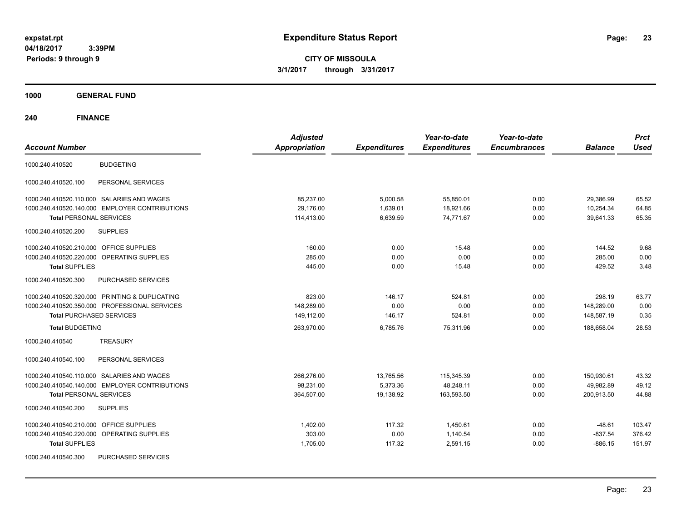**CITY OF MISSOULA 3/1/2017 through 3/31/2017**

**1000 GENERAL FUND**

| <b>Account Number</b>                                | <b>Adjusted</b><br><b>Appropriation</b> | <b>Expenditures</b> | Year-to-date<br><b>Expenditures</b> | Year-to-date<br><b>Encumbrances</b> | <b>Balance</b> | <b>Prct</b><br><b>Used</b> |
|------------------------------------------------------|-----------------------------------------|---------------------|-------------------------------------|-------------------------------------|----------------|----------------------------|
| <b>BUDGETING</b><br>1000.240.410520                  |                                         |                     |                                     |                                     |                |                            |
| PERSONAL SERVICES<br>1000.240.410520.100             |                                         |                     |                                     |                                     |                |                            |
| 1000.240.410520.110.000 SALARIES AND WAGES           | 85,237.00                               | 5,000.58            | 55,850.01                           | 0.00                                | 29,386.99      | 65.52                      |
| 1000.240.410520.140.000 EMPLOYER CONTRIBUTIONS       | 29,176.00                               | 1,639.01            | 18,921.66                           | 0.00                                | 10,254.34      | 64.85                      |
| <b>Total PERSONAL SERVICES</b>                       | 114,413.00                              | 6,639.59            | 74,771.67                           | 0.00                                | 39,641.33      | 65.35                      |
| <b>SUPPLIES</b><br>1000.240.410520.200               |                                         |                     |                                     |                                     |                |                            |
| 1000.240.410520.210.000 OFFICE SUPPLIES              | 160.00                                  | 0.00                | 15.48                               | 0.00                                | 144.52         | 9.68                       |
| 1000.240.410520.220.000 OPERATING SUPPLIES           | 285.00                                  | 0.00                | 0.00                                | 0.00                                | 285.00         | 0.00                       |
| <b>Total SUPPLIES</b>                                | 445.00                                  | 0.00                | 15.48                               | 0.00                                | 429.52         | 3.48                       |
| 1000.240.410520.300<br>PURCHASED SERVICES            |                                         |                     |                                     |                                     |                |                            |
| 1000.240.410520.320.000 PRINTING & DUPLICATING       | 823.00                                  | 146.17              | 524.81                              | 0.00                                | 298.19         | 63.77                      |
| 1000.240.410520.350.000 PROFESSIONAL SERVICES        | 148,289.00                              | 0.00                | 0.00                                | 0.00                                | 148,289.00     | 0.00                       |
| <b>Total PURCHASED SERVICES</b>                      | 149,112.00                              | 146.17              | 524.81                              | 0.00                                | 148,587.19     | 0.35                       |
| <b>Total BUDGETING</b>                               | 263,970.00                              | 6,785.76            | 75,311.96                           | 0.00                                | 188,658.04     | 28.53                      |
| <b>TREASURY</b><br>1000.240.410540                   |                                         |                     |                                     |                                     |                |                            |
| PERSONAL SERVICES<br>1000.240.410540.100             |                                         |                     |                                     |                                     |                |                            |
| 1000.240.410540.110.000 SALARIES AND WAGES           | 266,276.00                              | 13,765.56           | 115,345.39                          | 0.00                                | 150,930.61     | 43.32                      |
| 1000.240.410540.140.000 EMPLOYER CONTRIBUTIONS       | 98,231.00                               | 5,373.36            | 48,248.11                           | 0.00                                | 49,982.89      | 49.12                      |
| <b>Total PERSONAL SERVICES</b>                       | 364,507.00                              | 19,138.92           | 163,593.50                          | 0.00                                | 200,913.50     | 44.88                      |
| 1000.240.410540.200<br><b>SUPPLIES</b>               |                                         |                     |                                     |                                     |                |                            |
| 1000.240.410540.210.000 OFFICE SUPPLIES              | 1,402.00                                | 117.32              | 1,450.61                            | 0.00                                | $-48.61$       | 103.47                     |
| 1000.240.410540.220.000<br><b>OPERATING SUPPLIES</b> | 303.00                                  | 0.00                | 1.140.54                            | 0.00                                | $-837.54$      | 376.42                     |
| <b>Total SUPPLIES</b>                                | 1,705.00                                | 117.32              | 2,591.15                            | 0.00                                | $-886.15$      | 151.97                     |
| 1000.240.410540.300<br>PURCHASED SERVICES            |                                         |                     |                                     |                                     |                |                            |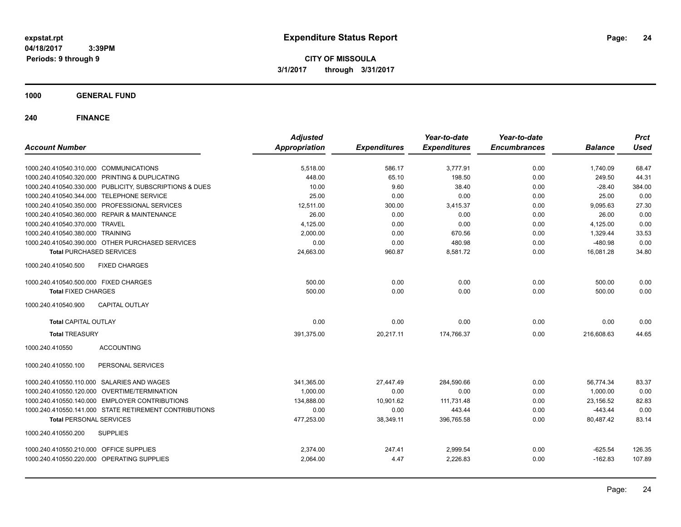**CITY OF MISSOULA 3/1/2017 through 3/31/2017**

**1000 GENERAL FUND**

| <b>Account Number</b>                                   | <b>Adjusted</b><br><b>Appropriation</b> | <b>Expenditures</b> | Year-to-date<br><b>Expenditures</b> | Year-to-date<br><b>Encumbrances</b> | <b>Balance</b> | <b>Prct</b><br><b>Used</b> |
|---------------------------------------------------------|-----------------------------------------|---------------------|-------------------------------------|-------------------------------------|----------------|----------------------------|
|                                                         |                                         |                     |                                     |                                     |                |                            |
| 1000.240.410540.310.000 COMMUNICATIONS                  | 5,518.00                                | 586.17              | 3,777.91                            | 0.00                                | 1,740.09       | 68.47                      |
| 1000.240.410540.320.000 PRINTING & DUPLICATING          | 448.00                                  | 65.10               | 198.50                              | 0.00                                | 249.50         | 44.31                      |
| 1000.240.410540.330.000 PUBLICITY, SUBSCRIPTIONS & DUES | 10.00                                   | 9.60                | 38.40                               | 0.00                                | $-28.40$       | 384.00                     |
| 1000.240.410540.344.000 TELEPHONE SERVICE               | 25.00                                   | 0.00                | 0.00                                | 0.00                                | 25.00          | 0.00                       |
| 1000.240.410540.350.000 PROFESSIONAL SERVICES           | 12,511.00                               | 300.00              | 3,415.37                            | 0.00                                | 9,095.63       | 27.30                      |
| 1000.240.410540.360.000 REPAIR & MAINTENANCE            | 26.00                                   | 0.00                | 0.00                                | 0.00                                | 26.00          | 0.00                       |
| 1000.240.410540.370.000 TRAVEL                          | 4,125.00                                | 0.00                | 0.00                                | 0.00                                | 4,125.00       | 0.00                       |
| 1000.240.410540.380.000 TRAINING                        | 2,000.00                                | 0.00                | 670.56                              | 0.00                                | 1,329.44       | 33.53                      |
| 1000.240.410540.390.000 OTHER PURCHASED SERVICES        | 0.00                                    | 0.00                | 480.98                              | 0.00                                | $-480.98$      | 0.00                       |
| <b>Total PURCHASED SERVICES</b>                         | 24,663.00                               | 960.87              | 8,581.72                            | 0.00                                | 16,081.28      | 34.80                      |
| <b>FIXED CHARGES</b><br>1000.240.410540.500             |                                         |                     |                                     |                                     |                |                            |
| 1000.240.410540.500.000 FIXED CHARGES                   | 500.00                                  | 0.00                | 0.00                                | 0.00                                | 500.00         | 0.00                       |
| <b>Total FIXED CHARGES</b>                              | 500.00                                  | 0.00                | 0.00                                | 0.00                                | 500.00         | 0.00                       |
| 1000.240.410540.900<br><b>CAPITAL OUTLAY</b>            |                                         |                     |                                     |                                     |                |                            |
| <b>Total CAPITAL OUTLAY</b>                             | 0.00                                    | 0.00                | 0.00                                | 0.00                                | 0.00           | 0.00                       |
| <b>Total TREASURY</b>                                   | 391,375.00                              | 20,217.11           | 174,766.37                          | 0.00                                | 216,608.63     | 44.65                      |
| 1000.240.410550<br><b>ACCOUNTING</b>                    |                                         |                     |                                     |                                     |                |                            |
| 1000.240.410550.100<br>PERSONAL SERVICES                |                                         |                     |                                     |                                     |                |                            |
| 1000.240.410550.110.000 SALARIES AND WAGES              | 341,365.00                              | 27,447.49           | 284,590.66                          | 0.00                                | 56.774.34      | 83.37                      |
| 1000.240.410550.120.000 OVERTIME/TERMINATION            | 1,000.00                                | 0.00                | 0.00                                | 0.00                                | 1,000.00       | 0.00                       |
| 1000.240.410550.140.000 EMPLOYER CONTRIBUTIONS          | 134,888.00                              | 10,901.62           | 111,731.48                          | 0.00                                | 23,156.52      | 82.83                      |
| 1000.240.410550.141.000 STATE RETIREMENT CONTRIBUTIONS  | 0.00                                    | 0.00                | 443.44                              | 0.00                                | $-443.44$      | 0.00                       |
| <b>Total PERSONAL SERVICES</b>                          | 477,253.00                              | 38,349.11           | 396,765.58                          | 0.00                                | 80,487.42      | 83.14                      |
| 1000.240.410550.200<br><b>SUPPLIES</b>                  |                                         |                     |                                     |                                     |                |                            |
| 1000.240.410550.210.000 OFFICE SUPPLIES                 | 2.374.00                                | 247.41              | 2,999.54                            | 0.00                                | $-625.54$      | 126.35                     |
| 1000.240.410550.220.000 OPERATING SUPPLIES              | 2,064.00                                | 4.47                | 2,226.83                            | 0.00                                | $-162.83$      | 107.89                     |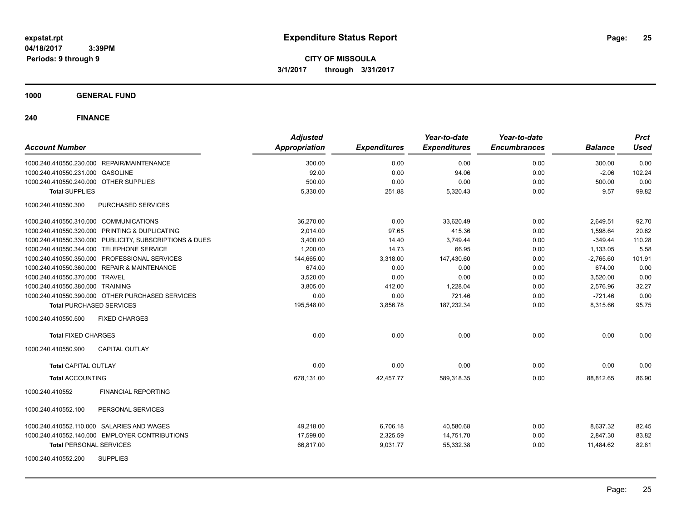**CITY OF MISSOULA 3/1/2017 through 3/31/2017**

**1000 GENERAL FUND**

| <b>Account Number</b>                                   | <b>Adjusted</b><br>Appropriation | <b>Expenditures</b> | Year-to-date<br><b>Expenditures</b> | Year-to-date<br><b>Encumbrances</b> | <b>Balance</b> | <b>Prct</b><br><b>Used</b> |
|---------------------------------------------------------|----------------------------------|---------------------|-------------------------------------|-------------------------------------|----------------|----------------------------|
| 1000.240.410550.230.000 REPAIR/MAINTENANCE              | 300.00                           | 0.00                | 0.00                                | 0.00                                | 300.00         | 0.00                       |
| 1000.240.410550.231.000 GASOLINE                        | 92.00                            | 0.00                | 94.06                               | 0.00                                | $-2.06$        | 102.24                     |
| 1000.240.410550.240.000 OTHER SUPPLIES                  | 500.00                           | 0.00                | 0.00                                | 0.00                                | 500.00         | 0.00                       |
| <b>Total SUPPLIES</b>                                   | 5,330.00                         | 251.88              | 5,320.43                            | 0.00                                | 9.57           | 99.82                      |
| 1000.240.410550.300<br>PURCHASED SERVICES               |                                  |                     |                                     |                                     |                |                            |
| 1000.240.410550.310.000 COMMUNICATIONS                  | 36.270.00                        | 0.00                | 33.620.49                           | 0.00                                | 2.649.51       | 92.70                      |
| 1000.240.410550.320.000 PRINTING & DUPLICATING          | 2,014.00                         | 97.65               | 415.36                              | 0.00                                | 1,598.64       | 20.62                      |
| 1000.240.410550.330.000 PUBLICITY, SUBSCRIPTIONS & DUES | 3,400.00                         | 14.40               | 3,749.44                            | 0.00                                | $-349.44$      | 110.28                     |
| 1000.240.410550.344.000 TELEPHONE SERVICE               | 1,200.00                         | 14.73               | 66.95                               | 0.00                                | 1,133.05       | 5.58                       |
| 1000.240.410550.350.000 PROFESSIONAL SERVICES           | 144,665.00                       | 3,318.00            | 147,430.60                          | 0.00                                | $-2.765.60$    | 101.91                     |
| 1000.240.410550.360.000 REPAIR & MAINTENANCE            | 674.00                           | 0.00                | 0.00                                | 0.00                                | 674.00         | 0.00                       |
| 1000.240.410550.370.000 TRAVEL                          | 3,520.00                         | 0.00                | 0.00                                | 0.00                                | 3,520.00       | 0.00                       |
| 1000.240.410550.380.000 TRAINING                        | 3,805.00                         | 412.00              | 1,228.04                            | 0.00                                | 2,576.96       | 32.27                      |
| 1000.240.410550.390.000 OTHER PURCHASED SERVICES        | 0.00                             | 0.00                | 721.46                              | 0.00                                | $-721.46$      | 0.00                       |
| <b>Total PURCHASED SERVICES</b>                         | 195,548.00                       | 3,856.78            | 187,232.34                          | 0.00                                | 8,315.66       | 95.75                      |
| 1000.240.410550.500<br><b>FIXED CHARGES</b>             |                                  |                     |                                     |                                     |                |                            |
| <b>Total FIXED CHARGES</b>                              | 0.00                             | 0.00                | 0.00                                | 0.00                                | 0.00           | 0.00                       |
| 1000.240.410550.900<br><b>CAPITAL OUTLAY</b>            |                                  |                     |                                     |                                     |                |                            |
| <b>Total CAPITAL OUTLAY</b>                             | 0.00                             | 0.00                | 0.00                                | 0.00                                | 0.00           | 0.00                       |
| <b>Total ACCOUNTING</b>                                 | 678.131.00                       | 42,457.77           | 589.318.35                          | 0.00                                | 88,812.65      | 86.90                      |
| <b>FINANCIAL REPORTING</b><br>1000.240.410552           |                                  |                     |                                     |                                     |                |                            |
| 1000.240.410552.100<br>PERSONAL SERVICES                |                                  |                     |                                     |                                     |                |                            |
| 1000.240.410552.110.000 SALARIES AND WAGES              | 49.218.00                        | 6,706.18            | 40.580.68                           | 0.00                                | 8,637.32       | 82.45                      |
| 1000.240.410552.140.000 EMPLOYER CONTRIBUTIONS          | 17.599.00                        | 2,325.59            | 14,751.70                           | 0.00                                | 2.847.30       | 83.82                      |
| <b>Total PERSONAL SERVICES</b>                          | 66,817.00                        | 9,031.77            | 55,332.38                           | 0.00                                | 11,484.62      | 82.81                      |
| <b>SUPPLIES</b><br>1000.240.410552.200                  |                                  |                     |                                     |                                     |                |                            |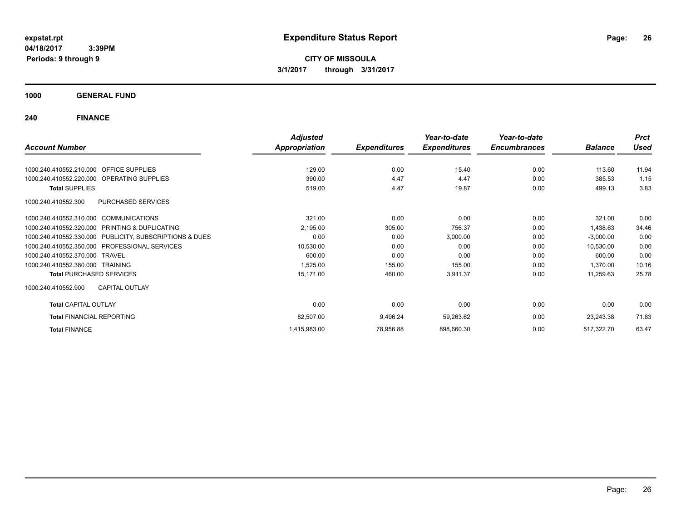**CITY OF MISSOULA 3/1/2017 through 3/31/2017**

**1000 GENERAL FUND**

|                                                         | <b>Adjusted</b>      |                     | Year-to-date        | Year-to-date        |                | <b>Prct</b> |
|---------------------------------------------------------|----------------------|---------------------|---------------------|---------------------|----------------|-------------|
| <b>Account Number</b>                                   | <b>Appropriation</b> | <b>Expenditures</b> | <b>Expenditures</b> | <b>Encumbrances</b> | <b>Balance</b> | <b>Used</b> |
| 1000.240.410552.210.000 OFFICE SUPPLIES                 | 129.00               | 0.00                | 15.40               | 0.00                | 113.60         | 11.94       |
|                                                         |                      |                     |                     |                     |                |             |
| 1000.240.410552.220.000 OPERATING SUPPLIES              | 390.00               | 4.47                | 4.47                | 0.00                | 385.53         | 1.15        |
| <b>Total SUPPLIES</b>                                   | 519.00               | 4.47                | 19.87               | 0.00                | 499.13         | 3.83        |
| <b>PURCHASED SERVICES</b><br>1000.240.410552.300        |                      |                     |                     |                     |                |             |
| 1000.240.410552.310.000 COMMUNICATIONS                  | 321.00               | 0.00                | 0.00                | 0.00                | 321.00         | 0.00        |
| 1000.240.410552.320.000 PRINTING & DUPLICATING          | 2,195.00             | 305.00              | 756.37              | 0.00                | 1,438.63       | 34.46       |
| 1000.240.410552.330.000 PUBLICITY, SUBSCRIPTIONS & DUES | 0.00                 | 0.00                | 3,000.00            | 0.00                | $-3,000.00$    | 0.00        |
| <b>PROFESSIONAL SERVICES</b><br>1000.240.410552.350.000 | 10,530.00            | 0.00                | 0.00                | 0.00                | 10,530.00      | 0.00        |
| 1000.240.410552.370.000 TRAVEL                          | 600.00               | 0.00                | 0.00                | 0.00                | 600.00         | 0.00        |
| 1000.240.410552.380.000 TRAINING                        | 1,525.00             | 155.00              | 155.00              | 0.00                | 1,370.00       | 10.16       |
| <b>Total PURCHASED SERVICES</b>                         | 15,171.00            | 460.00              | 3,911.37            | 0.00                | 11,259.63      | 25.78       |
| <b>CAPITAL OUTLAY</b><br>1000.240.410552.900            |                      |                     |                     |                     |                |             |
| <b>Total CAPITAL OUTLAY</b>                             | 0.00                 | 0.00                | 0.00                | 0.00                | 0.00           | 0.00        |
| <b>Total FINANCIAL REPORTING</b>                        | 82,507.00            | 9,496.24            | 59,263.62           | 0.00                | 23,243.38      | 71.83       |
| <b>Total FINANCE</b>                                    | 1,415,983.00         | 78,956.88           | 898,660.30          | 0.00                | 517,322.70     | 63.47       |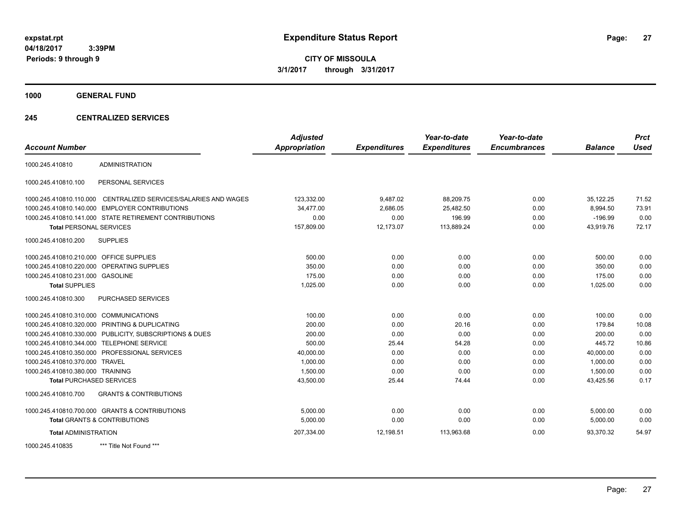**CITY OF MISSOULA 3/1/2017 through 3/31/2017**

**1000 GENERAL FUND**

## **245 CENTRALIZED SERVICES**

| <b>Account Number</b>                     |                                                        | <b>Adjusted</b><br><b>Appropriation</b> | <b>Expenditures</b> | Year-to-date<br><b>Expenditures</b> | Year-to-date<br><b>Encumbrances</b> | <b>Balance</b> | <b>Prct</b><br><b>Used</b> |
|-------------------------------------------|--------------------------------------------------------|-----------------------------------------|---------------------|-------------------------------------|-------------------------------------|----------------|----------------------------|
| 1000.245.410810                           | <b>ADMINISTRATION</b>                                  |                                         |                     |                                     |                                     |                |                            |
| 1000.245.410810.100                       | PERSONAL SERVICES                                      |                                         |                     |                                     |                                     |                |                            |
| 1000.245.410810.110.000                   | CENTRALIZED SERVICES/SALARIES AND WAGES                | 123,332.00                              | 9,487.02            | 88,209.75                           | 0.00                                | 35,122.25      | 71.52                      |
| 1000.245.410810.140.000                   | <b>EMPLOYER CONTRIBUTIONS</b>                          | 34,477.00                               | 2,686.05            | 25,482.50                           | 0.00                                | 8,994.50       | 73.91                      |
|                                           | 1000.245.410810.141.000 STATE RETIREMENT CONTRIBUTIONS | 0.00                                    | 0.00                | 196.99                              | 0.00                                | $-196.99$      | 0.00                       |
| <b>Total PERSONAL SERVICES</b>            |                                                        | 157,809.00                              | 12,173.07           | 113,889.24                          | 0.00                                | 43,919.76      | 72.17                      |
| 1000.245.410810.200                       | <b>SUPPLIES</b>                                        |                                         |                     |                                     |                                     |                |                            |
| 1000.245.410810.210.000 OFFICE SUPPLIES   |                                                        | 500.00                                  | 0.00                | 0.00                                | 0.00                                | 500.00         | 0.00                       |
| 1000.245.410810.220.000                   | OPERATING SUPPLIES                                     | 350.00                                  | 0.00                | 0.00                                | 0.00                                | 350.00         | 0.00                       |
| 1000.245.410810.231.000 GASOLINE          |                                                        | 175.00                                  | 0.00                | 0.00                                | 0.00                                | 175.00         | 0.00                       |
| <b>Total SUPPLIES</b>                     |                                                        | 1,025.00                                | 0.00                | 0.00                                | 0.00                                | 1,025.00       | 0.00                       |
| 1000.245.410810.300                       | PURCHASED SERVICES                                     |                                         |                     |                                     |                                     |                |                            |
| 1000.245.410810.310.000 COMMUNICATIONS    |                                                        | 100.00                                  | 0.00                | 0.00                                | 0.00                                | 100.00         | 0.00                       |
|                                           | 1000.245.410810.320.000 PRINTING & DUPLICATING         | 200.00                                  | 0.00                | 20.16                               | 0.00                                | 179.84         | 10.08                      |
| 1000.245.410810.330.000                   | PUBLICITY, SUBSCRIPTIONS & DUES                        | 200.00                                  | 0.00                | 0.00                                | 0.00                                | 200.00         | 0.00                       |
| 1000.245.410810.344.000 TELEPHONE SERVICE |                                                        | 500.00                                  | 25.44               | 54.28                               | 0.00                                | 445.72         | 10.86                      |
|                                           | 1000.245.410810.350.000 PROFESSIONAL SERVICES          | 40,000.00                               | 0.00                | 0.00                                | 0.00                                | 40.000.00      | 0.00                       |
| 1000.245.410810.370.000 TRAVEL            |                                                        | 1,000.00                                | 0.00                | 0.00                                | 0.00                                | 1,000.00       | 0.00                       |
| 1000.245.410810.380.000 TRAINING          |                                                        | 1,500.00                                | 0.00                | 0.00                                | 0.00                                | 1,500.00       | 0.00                       |
| <b>Total PURCHASED SERVICES</b>           |                                                        | 43,500.00                               | 25.44               | 74.44                               | 0.00                                | 43,425.56      | 0.17                       |
| 1000.245.410810.700                       | <b>GRANTS &amp; CONTRIBUTIONS</b>                      |                                         |                     |                                     |                                     |                |                            |
|                                           | 1000.245.410810.700.000 GRANTS & CONTRIBUTIONS         | 5.000.00                                | 0.00                | 0.00                                | 0.00                                | 5,000.00       | 0.00                       |
|                                           | <b>Total GRANTS &amp; CONTRIBUTIONS</b>                | 5,000.00                                | 0.00                | 0.00                                | 0.00                                | 5,000.00       | 0.00                       |
| <b>Total ADMINISTRATION</b>               |                                                        | 207,334.00                              | 12,198.51           | 113,963.68                          | 0.00                                | 93,370.32      | 54.97                      |
| 1000.245.410835                           | *** Title Not Found ***                                |                                         |                     |                                     |                                     |                |                            |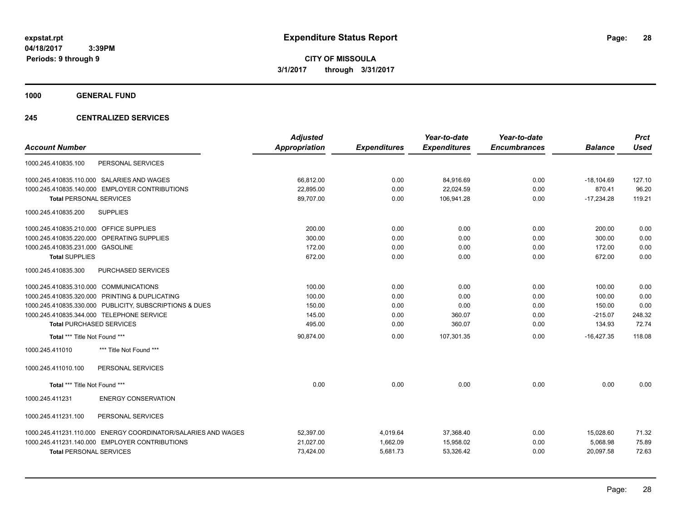**CITY OF MISSOULA 3/1/2017 through 3/31/2017**

**1000 GENERAL FUND**

## **245 CENTRALIZED SERVICES**

| <b>Account Number</b>                                         | <b>Adjusted</b><br><b>Appropriation</b> | <b>Expenditures</b> | Year-to-date<br><b>Expenditures</b> | Year-to-date<br><b>Encumbrances</b> | <b>Balance</b> | <b>Prct</b><br><b>Used</b> |
|---------------------------------------------------------------|-----------------------------------------|---------------------|-------------------------------------|-------------------------------------|----------------|----------------------------|
| PERSONAL SERVICES<br>1000.245.410835.100                      |                                         |                     |                                     |                                     |                |                            |
| 1000.245.410835.110.000 SALARIES AND WAGES                    | 66,812.00                               | 0.00                | 84,916.69                           | 0.00                                | $-18,104.69$   | 127.10                     |
| 1000.245.410835.140.000 EMPLOYER CONTRIBUTIONS                | 22,895.00                               | 0.00                | 22,024.59                           | 0.00                                | 870.41         | 96.20                      |
| <b>Total PERSONAL SERVICES</b>                                | 89,707.00                               | 0.00                | 106,941.28                          | 0.00                                | $-17,234.28$   | 119.21                     |
| 1000.245.410835.200<br><b>SUPPLIES</b>                        |                                         |                     |                                     |                                     |                |                            |
| 1000.245.410835.210.000 OFFICE SUPPLIES                       | 200.00                                  | 0.00                | 0.00                                | 0.00                                | 200.00         | 0.00                       |
| 1000.245.410835.220.000<br>OPERATING SUPPLIES                 | 300.00                                  | 0.00                | 0.00                                | 0.00                                | 300.00         | 0.00                       |
| 1000.245.410835.231.000 GASOLINE                              | 172.00                                  | 0.00                | 0.00                                | 0.00                                | 172.00         | 0.00                       |
| <b>Total SUPPLIES</b>                                         | 672.00                                  | 0.00                | 0.00                                | 0.00                                | 672.00         | 0.00                       |
| 1000.245.410835.300<br>PURCHASED SERVICES                     |                                         |                     |                                     |                                     |                |                            |
| 1000.245.410835.310.000 COMMUNICATIONS                        | 100.00                                  | 0.00                | 0.00                                | 0.00                                | 100.00         | 0.00                       |
| 1000.245.410835.320.000 PRINTING & DUPLICATING                | 100.00                                  | 0.00                | 0.00                                | 0.00                                | 100.00         | 0.00                       |
| 1000.245.410835.330.000 PUBLICITY, SUBSCRIPTIONS & DUES       | 150.00                                  | 0.00                | 0.00                                | 0.00                                | 150.00         | 0.00                       |
| 1000.245.410835.344.000 TELEPHONE SERVICE                     | 145.00                                  | 0.00                | 360.07                              | 0.00                                | $-215.07$      | 248.32                     |
| <b>Total PURCHASED SERVICES</b>                               | 495.00                                  | 0.00                | 360.07                              | 0.00                                | 134.93         | 72.74                      |
| Total *** Title Not Found ***                                 | 90,874.00                               | 0.00                | 107.301.35                          | 0.00                                | $-16,427.35$   | 118.08                     |
| *** Title Not Found ***<br>1000.245.411010                    |                                         |                     |                                     |                                     |                |                            |
| PERSONAL SERVICES<br>1000.245.411010.100                      |                                         |                     |                                     |                                     |                |                            |
| Total *** Title Not Found ***                                 | 0.00                                    | 0.00                | 0.00                                | 0.00                                | 0.00           | 0.00                       |
| <b>ENERGY CONSERVATION</b><br>1000.245.411231                 |                                         |                     |                                     |                                     |                |                            |
| PERSONAL SERVICES<br>1000.245.411231.100                      |                                         |                     |                                     |                                     |                |                            |
| 1000.245.411231.110.000 ENERGY COORDINATOR/SALARIES AND WAGES | 52,397.00                               | 4,019.64            | 37,368.40                           | 0.00                                | 15,028.60      | 71.32                      |
| 1000.245.411231.140.000 EMPLOYER CONTRIBUTIONS                | 21,027.00                               | 1,662.09            | 15,958.02                           | 0.00                                | 5,068.98       | 75.89                      |
| <b>Total PERSONAL SERVICES</b>                                | 73,424.00                               | 5,681.73            | 53,326.42                           | 0.00                                | 20,097.58      | 72.63                      |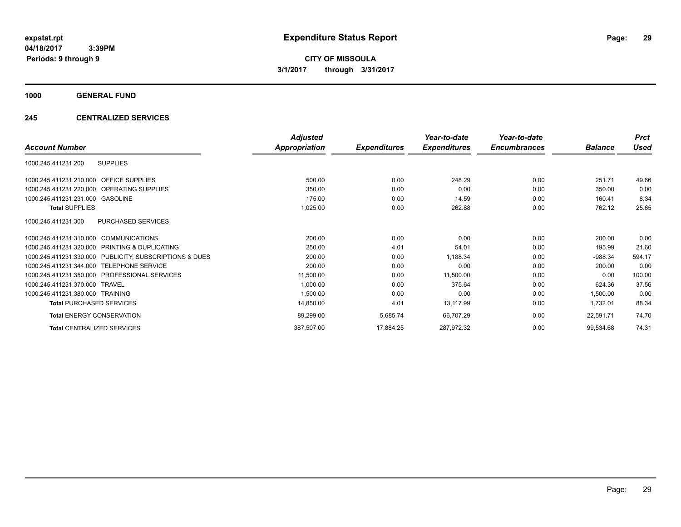**CITY OF MISSOULA 3/1/2017 through 3/31/2017**

**1000 GENERAL FUND**

## **245 CENTRALIZED SERVICES**

|                                                         | <b>Adjusted</b>      |                     | Year-to-date        | Year-to-date        |                | <b>Prct</b> |
|---------------------------------------------------------|----------------------|---------------------|---------------------|---------------------|----------------|-------------|
| <b>Account Number</b>                                   | <b>Appropriation</b> | <b>Expenditures</b> | <b>Expenditures</b> | <b>Encumbrances</b> | <b>Balance</b> | Used        |
| <b>SUPPLIES</b><br>1000.245.411231.200                  |                      |                     |                     |                     |                |             |
| 1000.245.411231.210.000 OFFICE SUPPLIES                 | 500.00               | 0.00                | 248.29              | 0.00                | 251.71         | 49.66       |
| 1000.245.411231.220.000 OPERATING SUPPLIES              | 350.00               | 0.00                | 0.00                | 0.00                | 350.00         | 0.00        |
| 1000.245.411231.231.000 GASOLINE                        | 175.00               | 0.00                | 14.59               | 0.00                | 160.41         | 8.34        |
| <b>Total SUPPLIES</b>                                   | 1,025.00             | 0.00                | 262.88              | 0.00                | 762.12         | 25.65       |
| PURCHASED SERVICES<br>1000.245.411231.300               |                      |                     |                     |                     |                |             |
| 1000.245.411231.310.000 COMMUNICATIONS                  | 200.00               | 0.00                | 0.00                | 0.00                | 200.00         | 0.00        |
| 1000.245.411231.320.000 PRINTING & DUPLICATING          | 250.00               | 4.01                | 54.01               | 0.00                | 195.99         | 21.60       |
| 1000.245.411231.330.000 PUBLICITY, SUBSCRIPTIONS & DUES | 200.00               | 0.00                | 1,188.34            | 0.00                | $-988.34$      | 594.17      |
| <b>TELEPHONE SERVICE</b><br>1000.245.411231.344.000     | 200.00               | 0.00                | 0.00                | 0.00                | 200.00         | 0.00        |
| 1000.245.411231.350.000 PROFESSIONAL SERVICES           | 11,500.00            | 0.00                | 11,500.00           | 0.00                | 0.00           | 100.00      |
| 1000.245.411231.370.000 TRAVEL                          | 1,000.00             | 0.00                | 375.64              | 0.00                | 624.36         | 37.56       |
| 1000.245.411231.380.000 TRAINING                        | 1,500.00             | 0.00                | 0.00                | 0.00                | 1,500.00       | 0.00        |
| <b>Total PURCHASED SERVICES</b>                         | 14,850.00            | 4.01                | 13,117.99           | 0.00                | 1,732.01       | 88.34       |
| <b>Total ENERGY CONSERVATION</b>                        | 89,299.00            | 5,685.74            | 66,707.29           | 0.00                | 22,591.71      | 74.70       |
| <b>Total CENTRALIZED SERVICES</b>                       | 387,507.00           | 17,884.25           | 287,972.32          | 0.00                | 99,534.68      | 74.31       |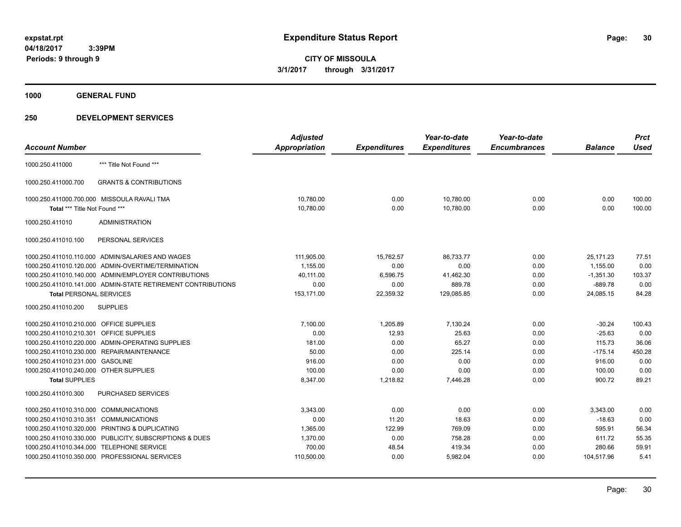**1000 GENERAL FUND**

|                                                |                                                              | <b>Adjusted</b>      |                     | Year-to-date        | Year-to-date        |                | <b>Prct</b> |
|------------------------------------------------|--------------------------------------------------------------|----------------------|---------------------|---------------------|---------------------|----------------|-------------|
| <b>Account Number</b>                          |                                                              | <b>Appropriation</b> | <b>Expenditures</b> | <b>Expenditures</b> | <b>Encumbrances</b> | <b>Balance</b> | <b>Used</b> |
| 1000.250.411000                                | *** Title Not Found ***                                      |                      |                     |                     |                     |                |             |
| 1000.250.411000.700                            | <b>GRANTS &amp; CONTRIBUTIONS</b>                            |                      |                     |                     |                     |                |             |
| 1000.250.411000.700.000 MISSOULA RAVALI TMA    |                                                              | 10,780.00            | 0.00                | 10,780.00           | 0.00                | 0.00           | 100.00      |
| Total *** Title Not Found ***                  |                                                              | 10,780.00            | 0.00                | 10,780.00           | 0.00                | 0.00           | 100.00      |
| 1000.250.411010                                | <b>ADMINISTRATION</b>                                        |                      |                     |                     |                     |                |             |
| 1000.250.411010.100                            | PERSONAL SERVICES                                            |                      |                     |                     |                     |                |             |
|                                                | 1000.250.411010.110.000 ADMIN/SALARIES AND WAGES             | 111,905.00           | 15,762.57           | 86,733.77           | 0.00                | 25,171.23      | 77.51       |
|                                                | 1000.250.411010.120.000 ADMIN-OVERTIME/TERMINATION           | 1,155.00             | 0.00                | 0.00                | 0.00                | 1,155.00       | 0.00        |
|                                                | 1000.250.411010.140.000 ADMIN/EMPLOYER CONTRIBUTIONS         | 40,111.00            | 6,596.75            | 41,462.30           | 0.00                | $-1,351.30$    | 103.37      |
|                                                | 1000.250.411010.141.000 ADMIN-STATE RETIREMENT CONTRIBUTIONS | 0.00                 | 0.00                | 889.78              | 0.00                | $-889.78$      | 0.00        |
| <b>Total PERSONAL SERVICES</b>                 |                                                              | 153,171.00           | 22,359.32           | 129,085.85          | 0.00                | 24,085.15      | 84.28       |
| 1000.250.411010.200                            | <b>SUPPLIES</b>                                              |                      |                     |                     |                     |                |             |
| 1000.250.411010.210.000 OFFICE SUPPLIES        |                                                              | 7,100.00             | 1,205.89            | 7,130.24            | 0.00                | $-30.24$       | 100.43      |
| 1000.250.411010.210.301 OFFICE SUPPLIES        |                                                              | 0.00                 | 12.93               | 25.63               | 0.00                | $-25.63$       | 0.00        |
|                                                | 1000.250.411010.220.000 ADMIN-OPERATING SUPPLIES             | 181.00               | 0.00                | 65.27               | 0.00                | 115.73         | 36.06       |
| 1000.250.411010.230.000 REPAIR/MAINTENANCE     |                                                              | 50.00                | 0.00                | 225.14              | 0.00                | $-175.14$      | 450.28      |
| 1000.250.411010.231.000 GASOLINE               |                                                              | 916.00               | 0.00                | 0.00                | 0.00                | 916.00         | 0.00        |
| 1000.250.411010.240.000 OTHER SUPPLIES         |                                                              | 100.00               | 0.00                | 0.00                | 0.00                | 100.00         | 0.00        |
| <b>Total SUPPLIES</b>                          |                                                              | 8,347.00             | 1,218.82            | 7,446.28            | 0.00                | 900.72         | 89.21       |
| 1000.250.411010.300                            | <b>PURCHASED SERVICES</b>                                    |                      |                     |                     |                     |                |             |
| 1000.250.411010.310.000 COMMUNICATIONS         |                                                              | 3.343.00             | 0.00                | 0.00                | 0.00                | 3.343.00       | 0.00        |
| 1000.250.411010.310.351 COMMUNICATIONS         |                                                              | 0.00                 | 11.20               | 18.63               | 0.00                | $-18.63$       | 0.00        |
| 1000.250.411010.320.000 PRINTING & DUPLICATING |                                                              | 1,365.00             | 122.99              | 769.09              | 0.00                | 595.91         | 56.34       |
|                                                | 1000.250.411010.330.000 PUBLICITY, SUBSCRIPTIONS & DUES      | 1,370.00             | 0.00                | 758.28              | 0.00                | 611.72         | 55.35       |
| 1000.250.411010.344.000 TELEPHONE SERVICE      |                                                              | 700.00               | 48.54               | 419.34              | 0.00                | 280.66         | 59.91       |
| 1000.250.411010.350.000 PROFESSIONAL SERVICES  |                                                              | 110,500.00           | 0.00                | 5,982.04            | 0.00                | 104,517.96     | 5.41        |
|                                                |                                                              |                      |                     |                     |                     |                |             |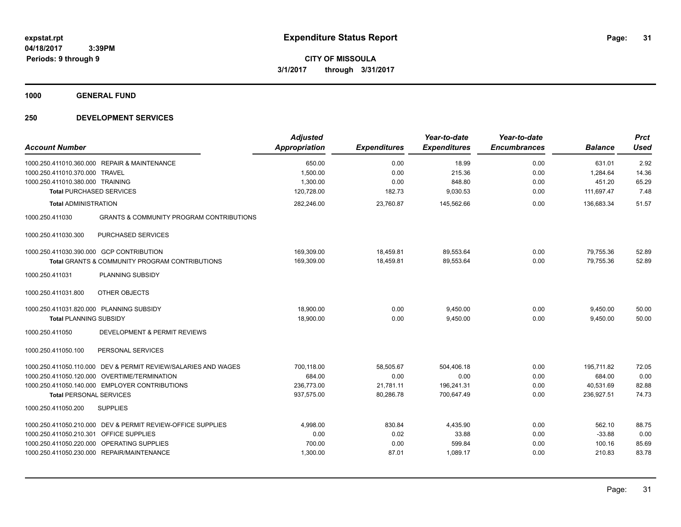**1000 GENERAL FUND**

| <b>Account Number</b>                    |                                                                | <b>Adjusted</b><br><b>Appropriation</b> | <b>Expenditures</b> | Year-to-date<br><b>Expenditures</b> | Year-to-date<br><b>Encumbrances</b> | <b>Balance</b>     | <b>Prct</b><br><b>Used</b> |
|------------------------------------------|----------------------------------------------------------------|-----------------------------------------|---------------------|-------------------------------------|-------------------------------------|--------------------|----------------------------|
| 1000.250.411010.370.000 TRAVEL           | 1000.250.411010.360.000 REPAIR & MAINTENANCE                   | 650.00<br>1,500.00                      | 0.00<br>0.00        | 18.99<br>215.36                     | 0.00<br>0.00                        | 631.01<br>1,284.64 | 2.92<br>14.36              |
| 1000.250.411010.380.000 TRAINING         |                                                                | 1,300.00                                | 0.00                | 848.80                              | 0.00                                | 451.20             | 65.29                      |
| <b>Total PURCHASED SERVICES</b>          |                                                                | 120,728.00                              | 182.73              | 9,030.53                            | 0.00                                | 111,697.47         | 7.48                       |
| <b>Total ADMINISTRATION</b>              |                                                                | 282,246.00                              | 23,760.87           | 145,562.66                          | 0.00                                | 136,683.34         | 51.57                      |
| 1000.250.411030                          | <b>GRANTS &amp; COMMUNITY PROGRAM CONTRIBUTIONS</b>            |                                         |                     |                                     |                                     |                    |                            |
| 1000.250.411030.300                      | PURCHASED SERVICES                                             |                                         |                     |                                     |                                     |                    |                            |
|                                          | 1000.250.411030.390.000 GCP CONTRIBUTION                       | 169,309.00                              | 18,459.81           | 89,553.64                           | 0.00                                | 79,755.36          | 52.89                      |
|                                          | Total GRANTS & COMMUNITY PROGRAM CONTRIBUTIONS                 | 169,309.00                              | 18,459.81           | 89,553.64                           | 0.00                                | 79,755.36          | 52.89                      |
| 1000.250.411031                          | PLANNING SUBSIDY                                               |                                         |                     |                                     |                                     |                    |                            |
| 1000.250.411031.800                      | OTHER OBJECTS                                                  |                                         |                     |                                     |                                     |                    |                            |
| 1000.250.411031.820.000 PLANNING SUBSIDY |                                                                | 18,900.00                               | 0.00                | 9,450.00                            | 0.00                                | 9,450.00           | 50.00                      |
| <b>Total PLANNING SUBSIDY</b>            |                                                                | 18,900.00                               | 0.00                | 9,450.00                            | 0.00                                | 9,450.00           | 50.00                      |
| 1000.250.411050                          | DEVELOPMENT & PERMIT REVIEWS                                   |                                         |                     |                                     |                                     |                    |                            |
| 1000.250.411050.100                      | PERSONAL SERVICES                                              |                                         |                     |                                     |                                     |                    |                            |
|                                          | 1000.250.411050.110.000 DEV & PERMIT REVIEW/SALARIES AND WAGES | 700,118.00                              | 58,505.67           | 504,406.18                          | 0.00                                | 195,711.82         | 72.05                      |
|                                          | 1000.250.411050.120.000 OVERTIME/TERMINATION                   | 684.00                                  | 0.00                | 0.00                                | 0.00                                | 684.00             | 0.00                       |
|                                          | 1000.250.411050.140.000 EMPLOYER CONTRIBUTIONS                 | 236,773.00                              | 21,781.11           | 196.241.31                          | 0.00                                | 40,531.69          | 82.88                      |
| <b>Total PERSONAL SERVICES</b>           |                                                                | 937,575.00                              | 80,286.78           | 700,647.49                          | 0.00                                | 236,927.51         | 74.73                      |
| 1000.250.411050.200                      | <b>SUPPLIES</b>                                                |                                         |                     |                                     |                                     |                    |                            |
|                                          | 1000.250.411050.210.000 DEV & PERMIT REVIEW-OFFICE SUPPLIES    | 4,998.00                                | 830.84              | 4,435.90                            | 0.00                                | 562.10             | 88.75                      |
| 1000.250.411050.210.301 OFFICE SUPPLIES  |                                                                | 0.00                                    | 0.02                | 33.88                               | 0.00                                | $-33.88$           | 0.00                       |
|                                          | 1000.250.411050.220.000 OPERATING SUPPLIES                     | 700.00                                  | 0.00                | 599.84                              | 0.00                                | 100.16             | 85.69                      |
|                                          | 1000.250.411050.230.000 REPAIR/MAINTENANCE                     | 1,300.00                                | 87.01               | 1,089.17                            | 0.00                                | 210.83             | 83.78                      |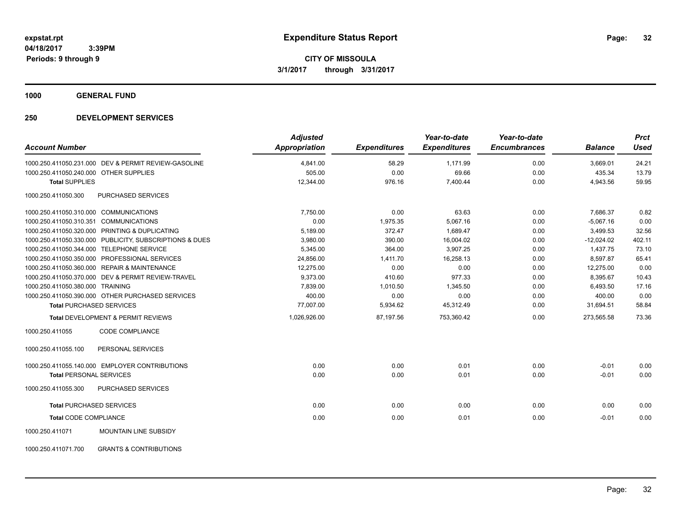**1000 GENERAL FUND**

| <b>Account Number</b>                                    | <b>Adjusted</b><br><b>Appropriation</b> | <b>Expenditures</b> | Year-to-date<br><b>Expenditures</b> | Year-to-date<br><b>Encumbrances</b> | <b>Balance</b> | <b>Prct</b><br><b>Used</b> |
|----------------------------------------------------------|-----------------------------------------|---------------------|-------------------------------------|-------------------------------------|----------------|----------------------------|
| 1000.250.411050.231.000 DEV & PERMIT REVIEW-GASOLINE     | 4,841.00                                | 58.29               | 1,171.99                            | 0.00                                | 3,669.01       | 24.21                      |
| 1000.250.411050.240.000 OTHER SUPPLIES                   | 505.00                                  | 0.00                | 69.66                               | 0.00                                | 435.34         | 13.79                      |
| <b>Total SUPPLIES</b>                                    | 12,344.00                               | 976.16              | 7,400.44                            | 0.00                                | 4,943.56       | 59.95                      |
| <b>PURCHASED SERVICES</b><br>1000.250.411050.300         |                                         |                     |                                     |                                     |                |                            |
| 1000.250.411050.310.000 COMMUNICATIONS                   | 7.750.00                                | 0.00                | 63.63                               | 0.00                                | 7,686.37       | 0.82                       |
| 1000.250.411050.310.351 COMMUNICATIONS                   | 0.00                                    | 1,975.35            | 5,067.16                            | 0.00                                | $-5,067.16$    | 0.00                       |
| 1000.250.411050.320.000 PRINTING & DUPLICATING           | 5,189.00                                | 372.47              | 1,689.47                            | 0.00                                | 3,499.53       | 32.56                      |
| 1000.250.411050.330.000 PUBLICITY, SUBSCRIPTIONS & DUES  | 3,980.00                                | 390.00              | 16,004.02                           | 0.00                                | $-12,024.02$   | 402.11                     |
| 1000.250.411050.344.000 TELEPHONE SERVICE                | 5,345.00                                | 364.00              | 3,907.25                            | 0.00                                | 1,437.75       | 73.10                      |
| 1000.250.411050.350.000 PROFESSIONAL SERVICES            | 24,856.00                               | 1,411.70            | 16,258.13                           | 0.00                                | 8,597.87       | 65.41                      |
| 1000.250.411050.360.000 REPAIR & MAINTENANCE             | 12,275.00                               | 0.00                | 0.00                                | 0.00                                | 12,275.00      | 0.00                       |
| 1000.250.411050.370.000 DEV & PERMIT REVIEW-TRAVEL       | 9,373.00                                | 410.60              | 977.33                              | 0.00                                | 8,395.67       | 10.43                      |
| 1000.250.411050.380.000 TRAINING                         | 7,839.00                                | 1,010.50            | 1,345.50                            | 0.00                                | 6,493.50       | 17.16                      |
| 1000.250.411050.390.000 OTHER PURCHASED SERVICES         | 400.00                                  | 0.00                | 0.00                                | 0.00                                | 400.00         | 0.00                       |
| <b>Total PURCHASED SERVICES</b>                          | 77,007.00                               | 5,934.62            | 45,312.49                           | 0.00                                | 31,694.51      | 58.84                      |
| <b>Total DEVELOPMENT &amp; PERMIT REVIEWS</b>            | 1,026,926.00                            | 87,197.56           | 753,360.42                          | 0.00                                | 273,565.58     | 73.36                      |
| 1000.250.411055<br>CODE COMPLIANCE                       |                                         |                     |                                     |                                     |                |                            |
| 1000.250.411055.100<br>PERSONAL SERVICES                 |                                         |                     |                                     |                                     |                |                            |
| 1000.250.411055.140.000 EMPLOYER CONTRIBUTIONS           | 0.00                                    | 0.00                | 0.01                                | 0.00                                | $-0.01$        | 0.00                       |
| <b>Total PERSONAL SERVICES</b>                           | 0.00                                    | 0.00                | 0.01                                | 0.00                                | $-0.01$        | 0.00                       |
| 1000.250.411055.300<br>PURCHASED SERVICES                |                                         |                     |                                     |                                     |                |                            |
| <b>Total PURCHASED SERVICES</b>                          | 0.00                                    | 0.00                | 0.00                                | 0.00                                | 0.00           | 0.00                       |
| <b>Total CODE COMPLIANCE</b>                             | 0.00                                    | 0.00                | 0.01                                | 0.00                                | $-0.01$        | 0.00                       |
| 1000.250.411071<br>MOUNTAIN LINE SUBSIDY                 |                                         |                     |                                     |                                     |                |                            |
| 1000.250.411071.700<br><b>GRANTS &amp; CONTRIBUTIONS</b> |                                         |                     |                                     |                                     |                |                            |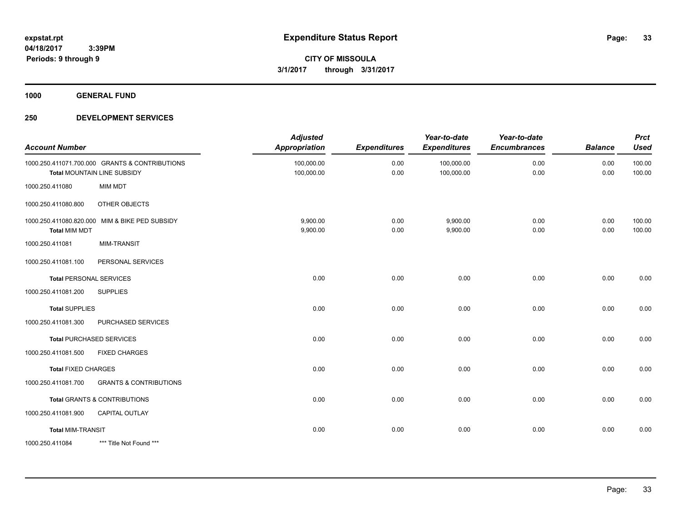**1000 GENERAL FUND**

| <b>Account Number</b>      |                                                                               | <b>Adjusted</b><br><b>Appropriation</b> | <b>Expenditures</b> | Year-to-date<br><b>Expenditures</b> | Year-to-date<br><b>Encumbrances</b> | <b>Balance</b> | <b>Prct</b><br><b>Used</b> |
|----------------------------|-------------------------------------------------------------------------------|-----------------------------------------|---------------------|-------------------------------------|-------------------------------------|----------------|----------------------------|
|                            | 1000.250.411071.700.000 GRANTS & CONTRIBUTIONS<br>Total MOUNTAIN LINE SUBSIDY | 100,000.00<br>100,000.00                | 0.00<br>0.00        | 100,000.00<br>100,000.00            | 0.00<br>0.00                        | 0.00<br>0.00   | 100.00<br>100.00           |
| 1000.250.411080            | <b>MIM MDT</b>                                                                |                                         |                     |                                     |                                     |                |                            |
| 1000.250.411080.800        | OTHER OBJECTS                                                                 |                                         |                     |                                     |                                     |                |                            |
| <b>Total MIM MDT</b>       | 1000.250.411080.820.000 MIM & BIKE PED SUBSIDY                                | 9,900.00<br>9,900.00                    | 0.00<br>0.00        | 9,900.00<br>9,900.00                | 0.00<br>0.00                        | 0.00<br>0.00   | 100.00<br>100.00           |
| 1000.250.411081            | <b>MIM-TRANSIT</b>                                                            |                                         |                     |                                     |                                     |                |                            |
| 1000.250.411081.100        | PERSONAL SERVICES                                                             |                                         |                     |                                     |                                     |                |                            |
|                            | <b>Total PERSONAL SERVICES</b>                                                | 0.00                                    | 0.00                | 0.00                                | 0.00                                | 0.00           | 0.00                       |
| 1000.250.411081.200        | <b>SUPPLIES</b>                                                               |                                         |                     |                                     |                                     |                |                            |
| <b>Total SUPPLIES</b>      |                                                                               | 0.00                                    | 0.00                | 0.00                                | 0.00                                | 0.00           | 0.00                       |
| 1000.250.411081.300        | PURCHASED SERVICES                                                            |                                         |                     |                                     |                                     |                |                            |
|                            | <b>Total PURCHASED SERVICES</b>                                               | 0.00                                    | 0.00                | 0.00                                | 0.00                                | 0.00           | 0.00                       |
| 1000.250.411081.500        | <b>FIXED CHARGES</b>                                                          |                                         |                     |                                     |                                     |                |                            |
| <b>Total FIXED CHARGES</b> |                                                                               | 0.00                                    | 0.00                | 0.00                                | 0.00                                | 0.00           | 0.00                       |
| 1000.250.411081.700        | <b>GRANTS &amp; CONTRIBUTIONS</b>                                             |                                         |                     |                                     |                                     |                |                            |
|                            | Total GRANTS & CONTRIBUTIONS                                                  | 0.00                                    | 0.00                | 0.00                                | 0.00                                | 0.00           | 0.00                       |
| 1000.250.411081.900        | CAPITAL OUTLAY                                                                |                                         |                     |                                     |                                     |                |                            |
| <b>Total MIM-TRANSIT</b>   |                                                                               | 0.00                                    | 0.00                | 0.00                                | 0.00                                | 0.00           | 0.00                       |
| 1000.250.411084            | *** Title Not Found ***                                                       |                                         |                     |                                     |                                     |                |                            |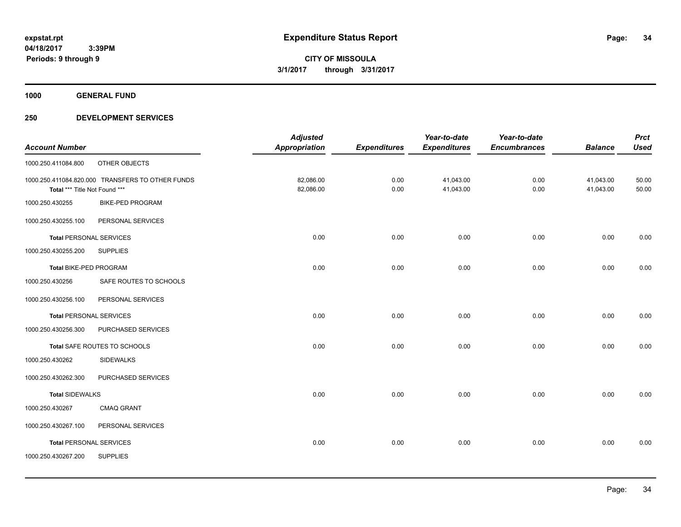**1000 GENERAL FUND**

|                                |                                                  | <b>Adjusted</b>      |                     | Year-to-date        | Year-to-date        |                | <b>Prct</b> |
|--------------------------------|--------------------------------------------------|----------------------|---------------------|---------------------|---------------------|----------------|-------------|
| <b>Account Number</b>          |                                                  | <b>Appropriation</b> | <b>Expenditures</b> | <b>Expenditures</b> | <b>Encumbrances</b> | <b>Balance</b> | <b>Used</b> |
| 1000.250.411084.800            | OTHER OBJECTS                                    |                      |                     |                     |                     |                |             |
|                                | 1000.250.411084.820.000 TRANSFERS TO OTHER FUNDS | 82,086.00            | 0.00                | 41,043.00           | 0.00                | 41,043.00      | 50.00       |
| Total *** Title Not Found ***  |                                                  | 82,086.00            | 0.00                | 41,043.00           | 0.00                | 41,043.00      | 50.00       |
| 1000.250.430255                | <b>BIKE-PED PROGRAM</b>                          |                      |                     |                     |                     |                |             |
| 1000.250.430255.100            | PERSONAL SERVICES                                |                      |                     |                     |                     |                |             |
| <b>Total PERSONAL SERVICES</b> |                                                  | 0.00                 | 0.00                | 0.00                | 0.00                | 0.00           | 0.00        |
| 1000.250.430255.200            | <b>SUPPLIES</b>                                  |                      |                     |                     |                     |                |             |
| Total BIKE-PED PROGRAM         |                                                  | 0.00                 | 0.00                | 0.00                | 0.00                | 0.00           | 0.00        |
| 1000.250.430256                | SAFE ROUTES TO SCHOOLS                           |                      |                     |                     |                     |                |             |
| 1000.250.430256.100            | PERSONAL SERVICES                                |                      |                     |                     |                     |                |             |
| <b>Total PERSONAL SERVICES</b> |                                                  | 0.00                 | 0.00                | 0.00                | 0.00                | 0.00           | 0.00        |
| 1000.250.430256.300            | PURCHASED SERVICES                               |                      |                     |                     |                     |                |             |
|                                | Total SAFE ROUTES TO SCHOOLS                     | 0.00                 | 0.00                | 0.00                | 0.00                | 0.00           | 0.00        |
| 1000.250.430262                | <b>SIDEWALKS</b>                                 |                      |                     |                     |                     |                |             |
| 1000.250.430262.300            | PURCHASED SERVICES                               |                      |                     |                     |                     |                |             |
| <b>Total SIDEWALKS</b>         |                                                  | 0.00                 | 0.00                | 0.00                | 0.00                | 0.00           | 0.00        |
| 1000.250.430267                | <b>CMAQ GRANT</b>                                |                      |                     |                     |                     |                |             |
| 1000.250.430267.100            | PERSONAL SERVICES                                |                      |                     |                     |                     |                |             |
| <b>Total PERSONAL SERVICES</b> |                                                  | 0.00                 | 0.00                | 0.00                | 0.00                | 0.00           | 0.00        |
| 1000.250.430267.200            | <b>SUPPLIES</b>                                  |                      |                     |                     |                     |                |             |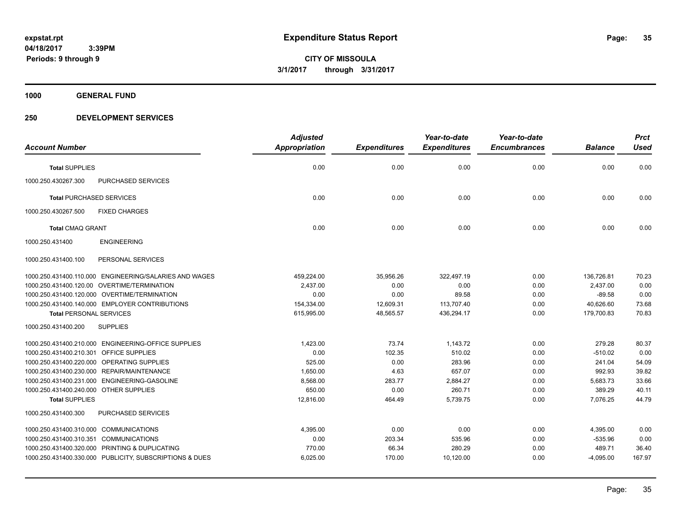**1000 GENERAL FUND**

|                                         |                                                         | <b>Adjusted</b> |                     | Year-to-date        | Year-to-date        |                | <b>Prct</b> |
|-----------------------------------------|---------------------------------------------------------|-----------------|---------------------|---------------------|---------------------|----------------|-------------|
| <b>Account Number</b>                   |                                                         | Appropriation   | <b>Expenditures</b> | <b>Expenditures</b> | <b>Encumbrances</b> | <b>Balance</b> | <b>Used</b> |
| <b>Total SUPPLIES</b>                   |                                                         | 0.00            | 0.00                | 0.00                | 0.00                | 0.00           | 0.00        |
| 1000.250.430267.300                     | <b>PURCHASED SERVICES</b>                               |                 |                     |                     |                     |                |             |
| <b>Total PURCHASED SERVICES</b>         |                                                         | 0.00            | 0.00                | 0.00                | 0.00                | 0.00           | 0.00        |
| 1000.250.430267.500                     | <b>FIXED CHARGES</b>                                    |                 |                     |                     |                     |                |             |
| <b>Total CMAQ GRANT</b>                 |                                                         | 0.00            | 0.00                | 0.00                | 0.00                | 0.00           | 0.00        |
| 1000.250.431400                         | <b>ENGINEERING</b>                                      |                 |                     |                     |                     |                |             |
| 1000.250.431400.100                     | PERSONAL SERVICES                                       |                 |                     |                     |                     |                |             |
|                                         | 1000.250.431400.110.000 ENGINEERING/SALARIES AND WAGES  | 459,224.00      | 35,956.26           | 322,497.19          | 0.00                | 136,726.81     | 70.23       |
|                                         | 1000.250.431400.120.00 OVERTIME/TERMINATION             | 2,437.00        | 0.00                | 0.00                | 0.00                | 2,437.00       | 0.00        |
|                                         | 1000.250.431400.120.000 OVERTIME/TERMINATION            | 0.00            | 0.00                | 89.58               | 0.00                | $-89.58$       | 0.00        |
|                                         | 1000.250.431400.140.000 EMPLOYER CONTRIBUTIONS          | 154,334.00      | 12,609.31           | 113.707.40          | 0.00                | 40.626.60      | 73.68       |
| <b>Total PERSONAL SERVICES</b>          |                                                         | 615,995.00      | 48,565.57           | 436,294.17          | 0.00                | 179,700.83     | 70.83       |
| 1000.250.431400.200                     | <b>SUPPLIES</b>                                         |                 |                     |                     |                     |                |             |
|                                         | 1000.250.431400.210.000 ENGINEERING-OFFICE SUPPLIES     | 1,423.00        | 73.74               | 1,143.72            | 0.00                | 279.28         | 80.37       |
| 1000.250.431400.210.301 OFFICE SUPPLIES |                                                         | 0.00            | 102.35              | 510.02              | 0.00                | $-510.02$      | 0.00        |
|                                         | 1000.250.431400.220.000 OPERATING SUPPLIES              | 525.00          | 0.00                | 283.96              | 0.00                | 241.04         | 54.09       |
|                                         | 1000.250.431400.230.000 REPAIR/MAINTENANCE              | 1,650.00        | 4.63                | 657.07              | 0.00                | 992.93         | 39.82       |
|                                         | 1000.250.431400.231.000 ENGINEERING-GASOLINE            | 8,568.00        | 283.77              | 2,884.27            | 0.00                | 5,683.73       | 33.66       |
| 1000.250.431400.240.000 OTHER SUPPLIES  |                                                         | 650.00          | 0.00                | 260.71              | 0.00                | 389.29         | 40.11       |
| <b>Total SUPPLIES</b>                   |                                                         | 12,816.00       | 464.49              | 5,739.75            | 0.00                | 7,076.25       | 44.79       |
| 1000.250.431400.300                     | PURCHASED SERVICES                                      |                 |                     |                     |                     |                |             |
| 1000.250.431400.310.000 COMMUNICATIONS  |                                                         | 4,395.00        | 0.00                | 0.00                | 0.00                | 4,395.00       | 0.00        |
| 1000.250.431400.310.351                 | <b>COMMUNICATIONS</b>                                   | 0.00            | 203.34              | 535.96              | 0.00                | $-535.96$      | 0.00        |
|                                         | 1000.250.431400.320.000 PRINTING & DUPLICATING          | 770.00          | 66.34               | 280.29              | 0.00                | 489.71         | 36.40       |
|                                         | 1000.250.431400.330.000 PUBLICITY, SUBSCRIPTIONS & DUES | 6,025.00        | 170.00              | 10,120.00           | 0.00                | $-4,095.00$    | 167.97      |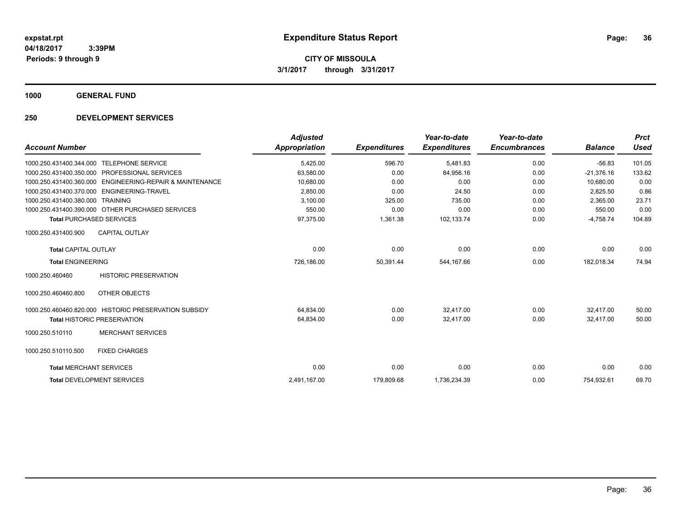**1000 GENERAL FUND**

|                                |                                                          | <b>Adjusted</b>      |                     | Year-to-date        | Year-to-date        |                | <b>Prct</b> |
|--------------------------------|----------------------------------------------------------|----------------------|---------------------|---------------------|---------------------|----------------|-------------|
| <b>Account Number</b>          |                                                          | <b>Appropriation</b> | <b>Expenditures</b> | <b>Expenditures</b> | <b>Encumbrances</b> | <b>Balance</b> | <b>Used</b> |
| 1000.250.431400.344.000        | <b>TELEPHONE SERVICE</b>                                 | 5,425.00             | 596.70              | 5,481.83            | 0.00                | $-56.83$       | 101.05      |
| 1000.250.431400.350.000        | PROFESSIONAL SERVICES                                    | 63,580.00            | 0.00                | 84,956.16           | 0.00                | $-21.376.16$   | 133.62      |
|                                | 1000.250.431400.360.000 ENGINEERING-REPAIR & MAINTENANCE | 10,680.00            | 0.00                | 0.00                | 0.00                | 10,680.00      | 0.00        |
|                                | 1000.250.431400.370.000 ENGINEERING-TRAVEL               | 2,850.00             | 0.00                | 24.50               | 0.00                | 2,825.50       | 0.86        |
| 1000.250.431400.380.000        | <b>TRAINING</b>                                          | 3,100.00             | 325.00              | 735.00              | 0.00                | 2,365.00       | 23.71       |
|                                | 1000.250.431400.390.000 OTHER PURCHASED SERVICES         | 550.00               | 0.00                | 0.00                | 0.00                | 550.00         | 0.00        |
|                                | <b>Total PURCHASED SERVICES</b>                          | 97,375.00            | 1,361.38            | 102,133.74          | 0.00                | $-4,758.74$    | 104.89      |
| 1000.250.431400.900            | <b>CAPITAL OUTLAY</b>                                    |                      |                     |                     |                     |                |             |
| <b>Total CAPITAL OUTLAY</b>    |                                                          | 0.00                 | 0.00                | 0.00                | 0.00                | 0.00           | 0.00        |
| <b>Total ENGINEERING</b>       |                                                          | 726,186.00           | 50,391.44           | 544,167.66          | 0.00                | 182,018.34     | 74.94       |
| 1000.250.460460                | <b>HISTORIC PRESERVATION</b>                             |                      |                     |                     |                     |                |             |
| 1000.250.460460.800            | OTHER OBJECTS                                            |                      |                     |                     |                     |                |             |
|                                | 1000.250.460460.820.000 HISTORIC PRESERVATION SUBSIDY    | 64.834.00            | 0.00                | 32.417.00           | 0.00                | 32,417.00      | 50.00       |
|                                | <b>Total HISTORIC PRESERVATION</b>                       | 64,834.00            | 0.00                | 32,417.00           | 0.00                | 32.417.00      | 50.00       |
| 1000.250.510110                | <b>MERCHANT SERVICES</b>                                 |                      |                     |                     |                     |                |             |
| 1000.250.510110.500            | <b>FIXED CHARGES</b>                                     |                      |                     |                     |                     |                |             |
| <b>Total MERCHANT SERVICES</b> |                                                          | 0.00                 | 0.00                | 0.00                | 0.00                | 0.00           | 0.00        |
|                                | <b>Total DEVELOPMENT SERVICES</b>                        | 2,491,167.00         | 179,809.68          | 1,736,234.39        | 0.00                | 754,932.61     | 69.70       |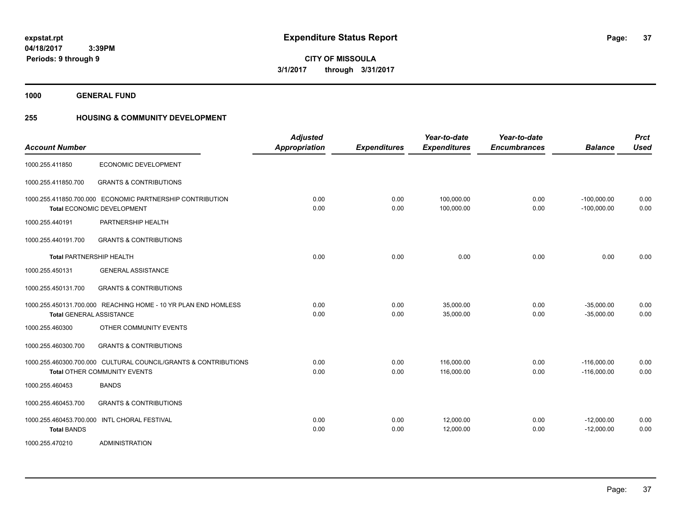**Periods: 9 through 9**

**37**

**CITY OF MISSOULA 3/1/2017 through 3/31/2017**

**1000 GENERAL FUND**

 **3:39PM**

## **255 HOUSING & COMMUNITY DEVELOPMENT**

| <b>Account Number</b>           |                                                                                                        | <b>Adjusted</b><br><b>Appropriation</b> | <b>Expenditures</b> | Year-to-date<br><b>Expenditures</b> | Year-to-date<br><b>Encumbrances</b> | <b>Balance</b>                 | <b>Prct</b><br><b>Used</b> |
|---------------------------------|--------------------------------------------------------------------------------------------------------|-----------------------------------------|---------------------|-------------------------------------|-------------------------------------|--------------------------------|----------------------------|
| 1000.255.411850                 | ECONOMIC DEVELOPMENT                                                                                   |                                         |                     |                                     |                                     |                                |                            |
| 1000.255.411850.700             | <b>GRANTS &amp; CONTRIBUTIONS</b>                                                                      |                                         |                     |                                     |                                     |                                |                            |
|                                 | 1000.255.411850.700.000 ECONOMIC PARTNERSHIP CONTRIBUTION<br><b>Total ECONOMIC DEVELOPMENT</b>         | 0.00<br>0.00                            | 0.00<br>0.00        | 100,000.00<br>100,000.00            | 0.00<br>0.00                        | $-100,000.00$<br>$-100,000.00$ | 0.00<br>0.00               |
| 1000.255.440191                 | PARTNERSHIP HEALTH                                                                                     |                                         |                     |                                     |                                     |                                |                            |
| 1000.255.440191.700             | <b>GRANTS &amp; CONTRIBUTIONS</b>                                                                      |                                         |                     |                                     |                                     |                                |                            |
| <b>Total PARTNERSHIP HEALTH</b> |                                                                                                        | 0.00                                    | 0.00                | 0.00                                | 0.00                                | 0.00                           | 0.00                       |
| 1000.255.450131                 | <b>GENERAL ASSISTANCE</b>                                                                              |                                         |                     |                                     |                                     |                                |                            |
| 1000.255.450131.700             | <b>GRANTS &amp; CONTRIBUTIONS</b>                                                                      |                                         |                     |                                     |                                     |                                |                            |
| <b>Total GENERAL ASSISTANCE</b> | 1000.255.450131.700.000 REACHING HOME - 10 YR PLAN END HOMLESS                                         | 0.00<br>0.00                            | 0.00<br>0.00        | 35,000.00<br>35,000.00              | 0.00<br>0.00                        | $-35,000.00$<br>$-35,000.00$   | 0.00<br>0.00               |
| 1000.255.460300                 | OTHER COMMUNITY EVENTS                                                                                 |                                         |                     |                                     |                                     |                                |                            |
| 1000.255.460300.700             | <b>GRANTS &amp; CONTRIBUTIONS</b>                                                                      |                                         |                     |                                     |                                     |                                |                            |
|                                 | 1000.255.460300.700.000 CULTURAL COUNCIL/GRANTS & CONTRIBUTIONS<br><b>Total OTHER COMMUNITY EVENTS</b> | 0.00<br>0.00                            | 0.00<br>0.00        | 116.000.00<br>116,000.00            | 0.00<br>0.00                        | $-116,000.00$<br>$-116,000.00$ | 0.00<br>0.00               |
| 1000.255.460453                 | <b>BANDS</b>                                                                                           |                                         |                     |                                     |                                     |                                |                            |
| 1000.255.460453.700             | <b>GRANTS &amp; CONTRIBUTIONS</b>                                                                      |                                         |                     |                                     |                                     |                                |                            |
| <b>Total BANDS</b>              | 1000.255.460453.700.000 INTL CHORAL FESTIVAL                                                           | 0.00<br>0.00                            | 0.00<br>0.00        | 12,000.00<br>12,000.00              | 0.00<br>0.00                        | $-12,000.00$<br>$-12,000.00$   | 0.00<br>0.00               |
| 1000.255.470210                 | <b>ADMINISTRATION</b>                                                                                  |                                         |                     |                                     |                                     |                                |                            |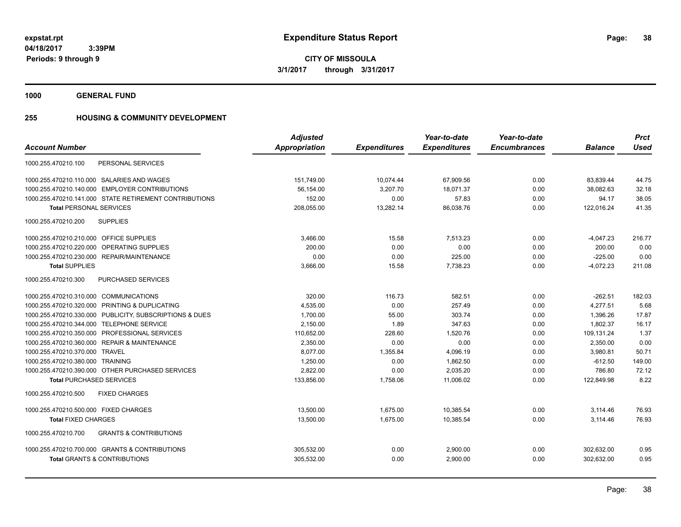**CITY OF MISSOULA 3/1/2017 through 3/31/2017**

**1000 GENERAL FUND**

### **255 HOUSING & COMMUNITY DEVELOPMENT**

|                                                          | <b>Adjusted</b>      |                     | Year-to-date        | Year-to-date        |                | <b>Prct</b> |
|----------------------------------------------------------|----------------------|---------------------|---------------------|---------------------|----------------|-------------|
| <b>Account Number</b>                                    | <b>Appropriation</b> | <b>Expenditures</b> | <b>Expenditures</b> | <b>Encumbrances</b> | <b>Balance</b> | <b>Used</b> |
| PERSONAL SERVICES<br>1000.255.470210.100                 |                      |                     |                     |                     |                |             |
| 1000.255.470210.110.000 SALARIES AND WAGES               | 151,749.00           | 10,074.44           | 67,909.56           | 0.00                | 83,839.44      | 44.75       |
| 1000.255.470210.140.000 EMPLOYER CONTRIBUTIONS           | 56,154.00            | 3,207.70            | 18.071.37           | 0.00                | 38,082.63      | 32.18       |
| 1000.255.470210.141.000 STATE RETIREMENT CONTRIBUTIONS   | 152.00               | 0.00                | 57.83               | 0.00                | 94.17          | 38.05       |
| <b>Total PERSONAL SERVICES</b>                           | 208,055.00           | 13,282.14           | 86,038.76           | 0.00                | 122,016.24     | 41.35       |
| <b>SUPPLIES</b><br>1000.255.470210.200                   |                      |                     |                     |                     |                |             |
| 1000.255.470210.210.000 OFFICE SUPPLIES                  | 3,466.00             | 15.58               | 7,513.23            | 0.00                | $-4,047.23$    | 216.77      |
| 1000.255.470210.220.000 OPERATING SUPPLIES               | 200.00               | 0.00                | 0.00                | 0.00                | 200.00         | 0.00        |
| 1000.255.470210.230.000 REPAIR/MAINTENANCE               | 0.00                 | 0.00                | 225.00              | 0.00                | $-225.00$      | 0.00        |
| <b>Total SUPPLIES</b>                                    | 3,666.00             | 15.58               | 7,738.23            | 0.00                | $-4,072.23$    | 211.08      |
| 1000.255.470210.300<br>PURCHASED SERVICES                |                      |                     |                     |                     |                |             |
| 1000.255.470210.310.000 COMMUNICATIONS                   | 320.00               | 116.73              | 582.51              | 0.00                | $-262.51$      | 182.03      |
| 1000.255.470210.320.000 PRINTING & DUPLICATING           | 4,535.00             | 0.00                | 257.49              | 0.00                | 4,277.51       | 5.68        |
| 1000.255.470210.330.000 PUBLICITY, SUBSCRIPTIONS & DUES  | 1,700.00             | 55.00               | 303.74              | 0.00                | 1,396.26       | 17.87       |
| 1000.255.470210.344.000 TELEPHONE SERVICE                | 2,150.00             | 1.89                | 347.63              | 0.00                | 1,802.37       | 16.17       |
| 1000.255.470210.350.000 PROFESSIONAL SERVICES            | 110,652.00           | 228.60              | 1,520.76            | 0.00                | 109,131.24     | 1.37        |
| 1000.255.470210.360.000 REPAIR & MAINTENANCE             | 2,350.00             | 0.00                | 0.00                | 0.00                | 2,350.00       | 0.00        |
| 1000.255.470210.370.000 TRAVEL                           | 8.077.00             | 1.355.84            | 4,096.19            | 0.00                | 3,980.81       | 50.71       |
| 1000.255.470210.380.000 TRAINING                         | 1,250.00             | 0.00                | 1,862.50            | 0.00                | $-612.50$      | 149.00      |
| 1000.255.470210.390.000 OTHER PURCHASED SERVICES         | 2,822.00             | 0.00                | 2,035.20            | 0.00                | 786.80         | 72.12       |
| <b>Total PURCHASED SERVICES</b>                          | 133,856.00           | 1,758.06            | 11,006.02           | 0.00                | 122,849.98     | 8.22        |
| 1000.255.470210.500<br><b>FIXED CHARGES</b>              |                      |                     |                     |                     |                |             |
| 1000.255.470210.500.000 FIXED CHARGES                    | 13,500.00            | 1,675.00            | 10,385.54           | 0.00                | 3,114.46       | 76.93       |
| <b>Total FIXED CHARGES</b>                               | 13,500.00            | 1,675.00            | 10,385.54           | 0.00                | 3,114.46       | 76.93       |
| <b>GRANTS &amp; CONTRIBUTIONS</b><br>1000.255.470210.700 |                      |                     |                     |                     |                |             |
| 1000.255.470210.700.000 GRANTS & CONTRIBUTIONS           | 305,532.00           | 0.00                | 2,900.00            | 0.00                | 302,632.00     | 0.95        |
| <b>Total GRANTS &amp; CONTRIBUTIONS</b>                  | 305,532.00           | 0.00                | 2.900.00            | 0.00                | 302.632.00     | 0.95        |
|                                                          |                      |                     |                     |                     |                |             |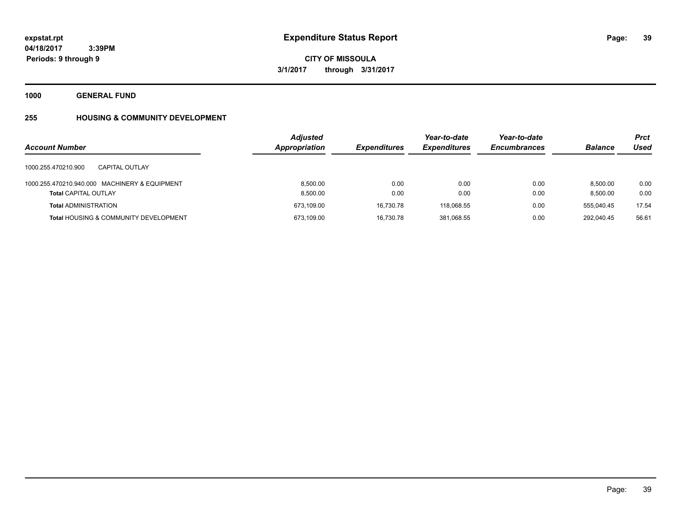**Periods: 9 through 9**

**CITY OF MISSOULA 3/1/2017 through 3/31/2017**

**1000 GENERAL FUND**

 **3:39PM**

# **255 HOUSING & COMMUNITY DEVELOPMENT**

| <b>Account Number</b>                                                        | <b>Adjusted</b><br>Appropriation | <b>Expenditures</b> | Year-to-date<br><b>Expenditures</b> | Year-to-date<br><b>Encumbrances</b> | <b>Balance</b>       | <b>Prct</b><br>Used |
|------------------------------------------------------------------------------|----------------------------------|---------------------|-------------------------------------|-------------------------------------|----------------------|---------------------|
| 1000.255.470210.900<br><b>CAPITAL OUTLAY</b>                                 |                                  |                     |                                     |                                     |                      |                     |
| 1000.255.470210.940.000 MACHINERY & EQUIPMENT<br><b>Total CAPITAL OUTLAY</b> | 8.500.00<br>8,500.00             | 0.00<br>0.00        | 0.00<br>0.00                        | 0.00<br>0.00                        | 8.500.00<br>8.500.00 | 0.00<br>0.00        |
| <b>Total ADMINISTRATION</b>                                                  | 673,109.00                       | 16.730.78           | 118.068.55                          | 0.00                                | 555.040.45           | 17.54               |
| <b>Total HOUSING &amp; COMMUNITY DEVELOPMENT</b>                             | 673,109.00                       | 16,730.78           | 381,068.55                          | 0.00                                | 292,040.45           | 56.61               |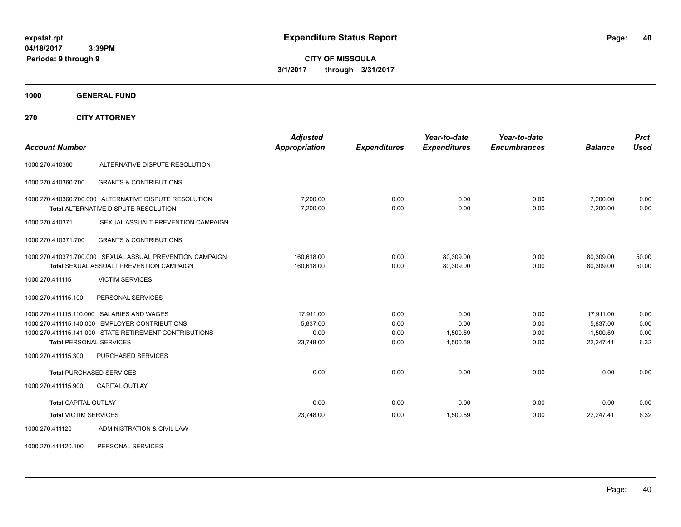**CITY OF MISSOULA 3/1/2017 through 3/31/2017**

**1000 GENERAL FUND**

**270 CITY ATTORNEY**

| <b>Account Number</b>          |                                                                                                       | <b>Adjusted</b><br><b>Appropriation</b> | <b>Expenditures</b> | Year-to-date<br><b>Expenditures</b> | Year-to-date<br><b>Encumbrances</b> | <b>Balance</b>           | <b>Prct</b><br><b>Used</b> |
|--------------------------------|-------------------------------------------------------------------------------------------------------|-----------------------------------------|---------------------|-------------------------------------|-------------------------------------|--------------------------|----------------------------|
| 1000.270.410360                | ALTERNATIVE DISPUTE RESOLUTION                                                                        |                                         |                     |                                     |                                     |                          |                            |
| 1000.270.410360.700            | <b>GRANTS &amp; CONTRIBUTIONS</b>                                                                     |                                         |                     |                                     |                                     |                          |                            |
|                                | 1000.270.410360.700.000 ALTERNATIVE DISPUTE RESOLUTION<br><b>Total ALTERNATIVE DISPUTE RESOLUTION</b> | 7,200.00<br>7,200.00                    | 0.00<br>0.00        | 0.00<br>0.00                        | 0.00<br>0.00                        | 7,200.00<br>7,200.00     | 0.00<br>0.00               |
| 1000.270.410371                | SEXUAL ASSUALT PREVENTION CAMPAIGN                                                                    |                                         |                     |                                     |                                     |                          |                            |
| 1000.270.410371.700            | <b>GRANTS &amp; CONTRIBUTIONS</b>                                                                     |                                         |                     |                                     |                                     |                          |                            |
|                                | 1000.270.410371.700.000 SEXUAL ASSUAL PREVENTION CAMPAIGN<br>Total SEXUAL ASSUALT PREVENTION CAMPAIGN | 160.618.00<br>160.618.00                | 0.00<br>0.00        | 80,309.00<br>80.309.00              | 0.00<br>0.00                        | 80.309.00<br>80.309.00   | 50.00<br>50.00             |
| 1000.270.411115                | <b>VICTIM SERVICES</b>                                                                                |                                         |                     |                                     |                                     |                          |                            |
| 1000.270.411115.100            | PERSONAL SERVICES                                                                                     |                                         |                     |                                     |                                     |                          |                            |
|                                | 1000.270.411115.110.000 SALARIES AND WAGES                                                            | 17,911.00                               | 0.00                | 0.00                                | 0.00                                | 17,911.00                | 0.00                       |
|                                | 1000.270.411115.140.000 EMPLOYER CONTRIBUTIONS                                                        | 5,837.00                                | 0.00                | 0.00                                | 0.00                                | 5,837.00                 | 0.00                       |
| <b>Total PERSONAL SERVICES</b> | 1000.270.411115.141.000 STATE RETIREMENT CONTRIBUTIONS                                                | 0.00<br>23,748.00                       | 0.00<br>0.00        | 1,500.59<br>1.500.59                | 0.00<br>0.00                        | $-1,500.59$<br>22,247.41 | 0.00<br>6.32               |
|                                |                                                                                                       |                                         |                     |                                     |                                     |                          |                            |
| 1000.270.411115.300            | PURCHASED SERVICES                                                                                    |                                         |                     |                                     |                                     |                          |                            |
|                                | <b>Total PURCHASED SERVICES</b>                                                                       | 0.00                                    | 0.00                | 0.00                                | 0.00                                | 0.00                     | 0.00                       |
| 1000.270.411115.900            | <b>CAPITAL OUTLAY</b>                                                                                 |                                         |                     |                                     |                                     |                          |                            |
| <b>Total CAPITAL OUTLAY</b>    |                                                                                                       | 0.00                                    | 0.00                | 0.00                                | 0.00                                | 0.00                     | 0.00                       |
| <b>Total VICTIM SERVICES</b>   |                                                                                                       | 23,748.00                               | 0.00                | 1,500.59                            | 0.00                                | 22,247.41                | 6.32                       |
| 1000.270.411120                | ADMINISTRATION & CIVIL LAW                                                                            |                                         |                     |                                     |                                     |                          |                            |

1000.270.411120.100 PERSONAL SERVICES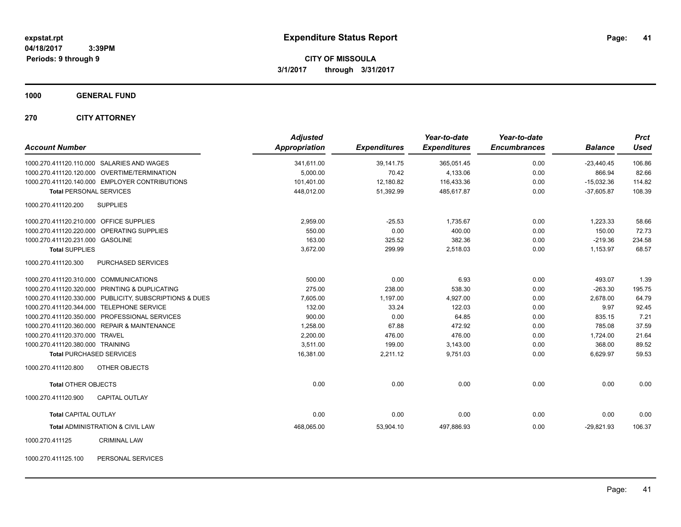**CITY OF MISSOULA 3/1/2017 through 3/31/2017**

**1000 GENERAL FUND**

**270 CITY ATTORNEY**

| <b>Account Number</b>                          |                                                         | <b>Adjusted</b><br><b>Appropriation</b> | <b>Expenditures</b> | Year-to-date<br><b>Expenditures</b> | Year-to-date<br><b>Encumbrances</b> | <b>Balance</b> | <b>Prct</b><br><b>Used</b> |
|------------------------------------------------|---------------------------------------------------------|-----------------------------------------|---------------------|-------------------------------------|-------------------------------------|----------------|----------------------------|
| 1000.270.411120.110.000 SALARIES AND WAGES     |                                                         | 341.611.00                              | 39.141.75           | 365,051.45                          | 0.00                                | $-23.440.45$   | 106.86                     |
| 1000.270.411120.120.000 OVERTIME/TERMINATION   |                                                         | 5,000.00                                | 70.42               | 4,133.06                            | 0.00                                | 866.94         | 82.66                      |
| 1000.270.411120.140.000 EMPLOYER CONTRIBUTIONS |                                                         | 101,401.00                              | 12,180.82           | 116,433.36                          | 0.00                                | $-15,032.36$   | 114.82                     |
| <b>Total PERSONAL SERVICES</b>                 |                                                         | 448,012.00                              | 51,392.99           | 485,617.87                          | 0.00                                | $-37,605.87$   | 108.39                     |
| 1000.270.411120.200<br><b>SUPPLIES</b>         |                                                         |                                         |                     |                                     |                                     |                |                            |
| 1000.270.411120.210.000 OFFICE SUPPLIES        |                                                         | 2,959.00                                | $-25.53$            | 1.735.67                            | 0.00                                | 1,223.33       | 58.66                      |
| 1000.270.411120.220.000 OPERATING SUPPLIES     |                                                         | 550.00                                  | 0.00                | 400.00                              | 0.00                                | 150.00         | 72.73                      |
| 1000.270.411120.231.000 GASOLINE               |                                                         | 163.00                                  | 325.52              | 382.36                              | 0.00                                | $-219.36$      | 234.58                     |
| <b>Total SUPPLIES</b>                          |                                                         | 3,672.00                                | 299.99              | 2,518.03                            | 0.00                                | 1,153.97       | 68.57                      |
| 1000.270.411120.300                            | PURCHASED SERVICES                                      |                                         |                     |                                     |                                     |                |                            |
| 1000.270.411120.310.000 COMMUNICATIONS         |                                                         | 500.00                                  | 0.00                | 6.93                                | 0.00                                | 493.07         | 1.39                       |
| 1000.270.411120.320.000 PRINTING & DUPLICATING |                                                         | 275.00                                  | 238.00              | 538.30                              | 0.00                                | $-263.30$      | 195.75                     |
|                                                | 1000.270.411120.330.000 PUBLICITY, SUBSCRIPTIONS & DUES | 7,605.00                                | 1,197.00            | 4,927.00                            | 0.00                                | 2,678.00       | 64.79                      |
| 1000.270.411120.344.000 TELEPHONE SERVICE      |                                                         | 132.00                                  | 33.24               | 122.03                              | 0.00                                | 9.97           | 92.45                      |
| 1000.270.411120.350.000 PROFESSIONAL SERVICES  |                                                         | 900.00                                  | 0.00                | 64.85                               | 0.00                                | 835.15         | 7.21                       |
| 1000.270.411120.360.000 REPAIR & MAINTENANCE   |                                                         | 1,258.00                                | 67.88               | 472.92                              | 0.00                                | 785.08         | 37.59                      |
| 1000.270.411120.370.000 TRAVEL                 |                                                         | 2,200.00                                | 476.00              | 476.00                              | 0.00                                | 1,724.00       | 21.64                      |
| 1000.270.411120.380.000 TRAINING               |                                                         | 3,511.00                                | 199.00              | 3,143.00                            | 0.00                                | 368.00         | 89.52                      |
| <b>Total PURCHASED SERVICES</b>                |                                                         | 16,381.00                               | 2,211.12            | 9,751.03                            | 0.00                                | 6,629.97       | 59.53                      |
| 1000.270.411120.800                            | OTHER OBJECTS                                           |                                         |                     |                                     |                                     |                |                            |
| <b>Total OTHER OBJECTS</b>                     |                                                         | 0.00                                    | 0.00                | 0.00                                | 0.00                                | 0.00           | 0.00                       |
| 1000.270.411120.900                            | <b>CAPITAL OUTLAY</b>                                   |                                         |                     |                                     |                                     |                |                            |
| <b>Total CAPITAL OUTLAY</b>                    |                                                         | 0.00                                    | 0.00                | 0.00                                | 0.00                                | 0.00           | 0.00                       |
| Total ADMINISTRATION & CIVIL LAW               |                                                         | 468,065.00                              | 53,904.10           | 497,886.93                          | 0.00                                | $-29,821.93$   | 106.37                     |
| 1000.270.411125                                | <b>CRIMINAL LAW</b>                                     |                                         |                     |                                     |                                     |                |                            |

1000.270.411125.100 PERSONAL SERVICES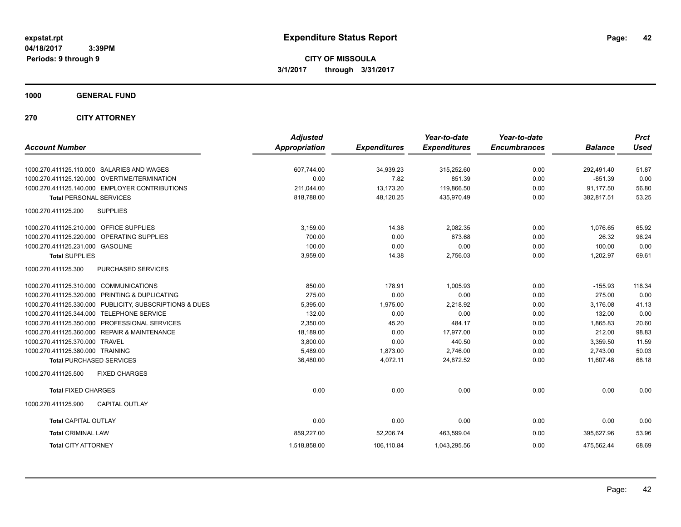**CITY OF MISSOULA 3/1/2017 through 3/31/2017**

### **1000 GENERAL FUND**

### **270 CITY ATTORNEY**

|                                                         | <b>Adjusted</b>      |                     | Year-to-date        | Year-to-date        |                | <b>Prct</b> |
|---------------------------------------------------------|----------------------|---------------------|---------------------|---------------------|----------------|-------------|
| <b>Account Number</b>                                   | <b>Appropriation</b> | <b>Expenditures</b> | <b>Expenditures</b> | <b>Encumbrances</b> | <b>Balance</b> | <b>Used</b> |
| 1000.270.411125.110.000 SALARIES AND WAGES              | 607,744.00           | 34,939.23           | 315,252.60          | 0.00                | 292.491.40     | 51.87       |
| 1000.270.411125.120.000 OVERTIME/TERMINATION            | 0.00                 | 7.82                | 851.39              | 0.00                | $-851.39$      | 0.00        |
| 1000.270.411125.140.000 EMPLOYER CONTRIBUTIONS          | 211.044.00           | 13,173.20           | 119,866.50          | 0.00                | 91,177.50      | 56.80       |
| <b>Total PERSONAL SERVICES</b>                          | 818,788.00           | 48,120.25           | 435,970.49          | 0.00                | 382,817.51     | 53.25       |
| <b>SUPPLIES</b><br>1000.270.411125.200                  |                      |                     |                     |                     |                |             |
| 1000.270.411125.210.000 OFFICE SUPPLIES                 | 3,159.00             | 14.38               | 2,082.35            | 0.00                | 1,076.65       | 65.92       |
| 1000.270.411125.220.000 OPERATING SUPPLIES              | 700.00               | 0.00                | 673.68              | 0.00                | 26.32          | 96.24       |
| 1000.270.411125.231.000 GASOLINE                        | 100.00               | 0.00                | 0.00                | 0.00                | 100.00         | 0.00        |
| <b>Total SUPPLIES</b>                                   | 3,959.00             | 14.38               | 2,756.03            | 0.00                | 1,202.97       | 69.61       |
| 1000.270.411125.300<br>PURCHASED SERVICES               |                      |                     |                     |                     |                |             |
| 1000.270.411125.310.000 COMMUNICATIONS                  | 850.00               | 178.91              | 1,005.93            | 0.00                | $-155.93$      | 118.34      |
| 1000.270.411125.320.000 PRINTING & DUPLICATING          | 275.00               | 0.00                | 0.00                | 0.00                | 275.00         | 0.00        |
| 1000.270.411125.330.000 PUBLICITY, SUBSCRIPTIONS & DUES | 5,395.00             | 1,975.00            | 2,218.92            | 0.00                | 3,176.08       | 41.13       |
| 1000.270.411125.344.000 TELEPHONE SERVICE               | 132.00               | 0.00                | 0.00                | 0.00                | 132.00         | 0.00        |
| 1000.270.411125.350.000 PROFESSIONAL SERVICES           | 2,350.00             | 45.20               | 484.17              | 0.00                | 1.865.83       | 20.60       |
| 1000.270.411125.360.000 REPAIR & MAINTENANCE            | 18,189.00            | 0.00                | 17,977.00           | 0.00                | 212.00         | 98.83       |
| 1000.270.411125.370.000 TRAVEL                          | 3,800.00             | 0.00                | 440.50              | 0.00                | 3,359.50       | 11.59       |
| 1000.270.411125.380.000 TRAINING                        | 5,489.00             | 1,873.00            | 2,746.00            | 0.00                | 2,743.00       | 50.03       |
| <b>Total PURCHASED SERVICES</b>                         | 36,480.00            | 4,072.11            | 24,872.52           | 0.00                | 11,607.48      | 68.18       |
| 1000.270.411125.500<br><b>FIXED CHARGES</b>             |                      |                     |                     |                     |                |             |
| <b>Total FIXED CHARGES</b>                              | 0.00                 | 0.00                | 0.00                | 0.00                | 0.00           | 0.00        |
| <b>CAPITAL OUTLAY</b><br>1000.270.411125.900            |                      |                     |                     |                     |                |             |
| <b>Total CAPITAL OUTLAY</b>                             | 0.00                 | 0.00                | 0.00                | 0.00                | 0.00           | 0.00        |
| <b>Total CRIMINAL LAW</b>                               | 859,227.00           | 52,206.74           | 463,599.04          | 0.00                | 395.627.96     | 53.96       |
| <b>Total CITY ATTORNEY</b>                              | 1,518,858.00         | 106,110.84          | 1,043,295.56        | 0.00                | 475,562.44     | 68.69       |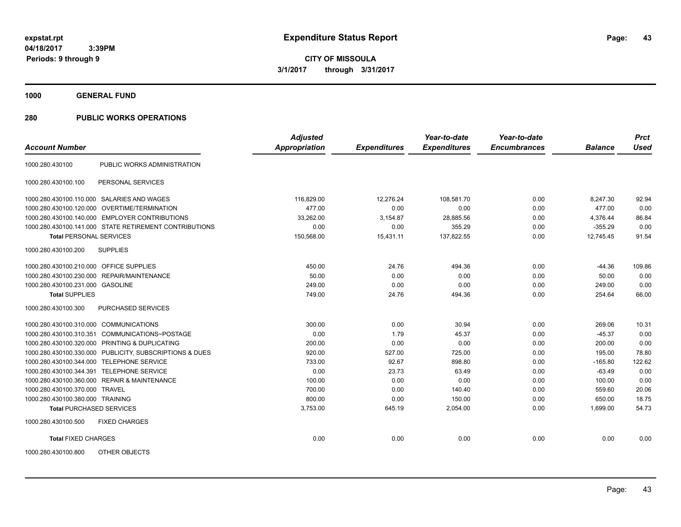**CITY OF MISSOULA 3/1/2017 through 3/31/2017**

**1000 GENERAL FUND**

### **280 PUBLIC WORKS OPERATIONS**

| <b>Account Number</b>                   |                                                         | <b>Adjusted</b><br>Appropriation | <b>Expenditures</b> | Year-to-date<br><b>Expenditures</b> | Year-to-date<br><b>Encumbrances</b> | <b>Balance</b> | <b>Prct</b><br><b>Used</b> |
|-----------------------------------------|---------------------------------------------------------|----------------------------------|---------------------|-------------------------------------|-------------------------------------|----------------|----------------------------|
|                                         |                                                         |                                  |                     |                                     |                                     |                |                            |
| 1000.280.430100                         | PUBLIC WORKS ADMINISTRATION                             |                                  |                     |                                     |                                     |                |                            |
| 1000.280.430100.100                     | PERSONAL SERVICES                                       |                                  |                     |                                     |                                     |                |                            |
|                                         | 1000.280.430100.110.000 SALARIES AND WAGES              | 116,829.00                       | 12,276.24           | 108,581.70                          | 0.00                                | 8,247.30       | 92.94                      |
| 1000.280.430100.120.000                 | OVERTIME/TERMINATION                                    | 477.00                           | 0.00                | 0.00                                | 0.00                                | 477.00         | 0.00                       |
|                                         | 1000.280.430100.140.000 EMPLOYER CONTRIBUTIONS          | 33,262.00                        | 3,154.87            | 28,885.56                           | 0.00                                | 4.376.44       | 86.84                      |
|                                         | 1000.280.430100.141.000 STATE RETIREMENT CONTRIBUTIONS  | 0.00                             | 0.00                | 355.29                              | 0.00                                | $-355.29$      | 0.00                       |
| <b>Total PERSONAL SERVICES</b>          |                                                         | 150,568.00                       | 15,431.11           | 137,822.55                          | 0.00                                | 12,745.45      | 91.54                      |
| 1000.280.430100.200                     | <b>SUPPLIES</b>                                         |                                  |                     |                                     |                                     |                |                            |
| 1000.280.430100.210.000 OFFICE SUPPLIES |                                                         | 450.00                           | 24.76               | 494.36                              | 0.00                                | $-44.36$       | 109.86                     |
|                                         | 1000.280.430100.230.000 REPAIR/MAINTENANCE              | 50.00                            | 0.00                | 0.00                                | 0.00                                | 50.00          | 0.00                       |
| 1000.280.430100.231.000 GASOLINE        |                                                         | 249.00                           | 0.00                | 0.00                                | 0.00                                | 249.00         | 0.00                       |
| <b>Total SUPPLIES</b>                   |                                                         | 749.00                           | 24.76               | 494.36                              | 0.00                                | 254.64         | 66.00                      |
| 1000.280.430100.300                     | PURCHASED SERVICES                                      |                                  |                     |                                     |                                     |                |                            |
| 1000.280.430100.310.000                 | <b>COMMUNICATIONS</b>                                   | 300.00                           | 0.00                | 30.94                               | 0.00                                | 269.06         | 10.31                      |
| 1000.280.430100.310.351                 | COMMUNICATIONS~POSTAGE                                  | 0.00                             | 1.79                | 45.37                               | 0.00                                | $-45.37$       | 0.00                       |
| 1000.280.430100.320.000                 | PRINTING & DUPLICATING                                  | 200.00                           | 0.00                | 0.00                                | 0.00                                | 200.00         | 0.00                       |
|                                         | 1000.280.430100.330.000 PUBLICITY, SUBSCRIPTIONS & DUES | 920.00                           | 527.00              | 725.00                              | 0.00                                | 195.00         | 78.80                      |
| 1000.280.430100.344.000                 | <b>TELEPHONE SERVICE</b>                                | 733.00                           | 92.67               | 898.80                              | 0.00                                | $-165.80$      | 122.62                     |
| 1000.280.430100.344.391                 | <b>TELEPHONE SERVICE</b>                                | 0.00                             | 23.73               | 63.49                               | 0.00                                | $-63.49$       | 0.00                       |
|                                         | 1000.280.430100.360.000 REPAIR & MAINTENANCE            | 100.00                           | 0.00                | 0.00                                | 0.00                                | 100.00         | 0.00                       |
| 1000.280.430100.370.000                 | <b>TRAVEL</b>                                           | 700.00                           | 0.00                | 140.40                              | 0.00                                | 559.60         | 20.06                      |
| 1000.280.430100.380.000 TRAINING        |                                                         | 800.00                           | 0.00                | 150.00                              | 0.00                                | 650.00         | 18.75                      |
| <b>Total PURCHASED SERVICES</b>         |                                                         | 3,753.00                         | 645.19              | 2,054.00                            | 0.00                                | 1,699.00       | 54.73                      |
| 1000.280.430100.500                     | <b>FIXED CHARGES</b>                                    |                                  |                     |                                     |                                     |                |                            |
| <b>Total FIXED CHARGES</b>              |                                                         | 0.00                             | 0.00                | 0.00                                | 0.00                                | 0.00           | 0.00                       |
| 1000.280.430100.800                     | OTHER OBJECTS                                           |                                  |                     |                                     |                                     |                |                            |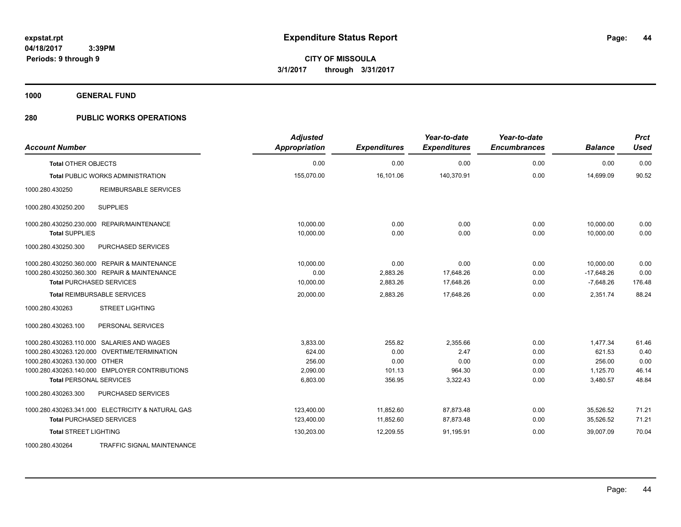**1000 GENERAL FUND**

### **280 PUBLIC WORKS OPERATIONS**

| <b>Account Number</b>                             | <b>Adjusted</b><br>Appropriation | <b>Expenditures</b> | Year-to-date<br><b>Expenditures</b> | Year-to-date<br><b>Encumbrances</b> | <b>Balance</b> | <b>Prct</b><br><b>Used</b> |
|---------------------------------------------------|----------------------------------|---------------------|-------------------------------------|-------------------------------------|----------------|----------------------------|
| <b>Total OTHER OBJECTS</b>                        | 0.00                             | 0.00                | 0.00                                | 0.00                                | 0.00           | 0.00                       |
| <b>Total PUBLIC WORKS ADMINISTRATION</b>          | 155,070.00                       | 16,101.06           | 140,370.91                          | 0.00                                | 14,699.09      | 90.52                      |
| 1000.280.430250<br>REIMBURSABLE SERVICES          |                                  |                     |                                     |                                     |                |                            |
| <b>SUPPLIES</b><br>1000.280.430250.200            |                                  |                     |                                     |                                     |                |                            |
| 1000.280.430250.230.000 REPAIR/MAINTENANCE        | 10,000.00                        | 0.00                | 0.00                                | 0.00                                | 10,000.00      | 0.00                       |
| <b>Total SUPPLIES</b>                             | 10,000.00                        | 0.00                | 0.00                                | 0.00                                | 10,000.00      | 0.00                       |
| PURCHASED SERVICES<br>1000.280.430250.300         |                                  |                     |                                     |                                     |                |                            |
| 1000.280.430250.360.000 REPAIR & MAINTENANCE      | 10,000.00                        | 0.00                | 0.00                                | 0.00                                | 10,000.00      | 0.00                       |
| 1000.280.430250.360.300 REPAIR & MAINTENANCE      | 0.00                             | 2,883.26            | 17,648.26                           | 0.00                                | $-17,648.26$   | 0.00                       |
| <b>Total PURCHASED SERVICES</b>                   | 10,000.00                        | 2,883.26            | 17,648.26                           | 0.00                                | $-7,648.26$    | 176.48                     |
| <b>Total REIMBURSABLE SERVICES</b>                | 20,000.00                        | 2,883.26            | 17,648.26                           | 0.00                                | 2,351.74       | 88.24                      |
| 1000.280.430263<br><b>STREET LIGHTING</b>         |                                  |                     |                                     |                                     |                |                            |
| 1000.280.430263.100<br>PERSONAL SERVICES          |                                  |                     |                                     |                                     |                |                            |
| 1000.280.430263.110.000 SALARIES AND WAGES        | 3.833.00                         | 255.82              | 2,355.66                            | 0.00                                | 1.477.34       | 61.46                      |
| 1000.280.430263.120.000 OVERTIME/TERMINATION      | 624.00                           | 0.00                | 2.47                                | 0.00                                | 621.53         | 0.40                       |
| 1000.280.430263.130.000 OTHER                     | 256.00                           | 0.00                | 0.00                                | 0.00                                | 256.00         | 0.00                       |
| 1000.280.430263.140.000 EMPLOYER CONTRIBUTIONS    | 2,090.00                         | 101.13              | 964.30                              | 0.00                                | 1,125.70       | 46.14                      |
| <b>Total PERSONAL SERVICES</b>                    | 6,803.00                         | 356.95              | 3,322.43                            | 0.00                                | 3,480.57       | 48.84                      |
| 1000.280.430263.300<br>PURCHASED SERVICES         |                                  |                     |                                     |                                     |                |                            |
| 1000.280.430263.341.000 ELECTRICITY & NATURAL GAS | 123,400.00                       | 11,852.60           | 87,873.48                           | 0.00                                | 35,526.52      | 71.21                      |
| <b>Total PURCHASED SERVICES</b>                   | 123,400.00                       | 11,852.60           | 87,873.48                           | 0.00                                | 35,526.52      | 71.21                      |
| <b>Total STREET LIGHTING</b>                      | 130,203.00                       | 12,209.55           | 91,195.91                           | 0.00                                | 39,007.09      | 70.04                      |
| 1000.280.430264<br>TRAFFIC SIGNAL MAINTENANCE     |                                  |                     |                                     |                                     |                |                            |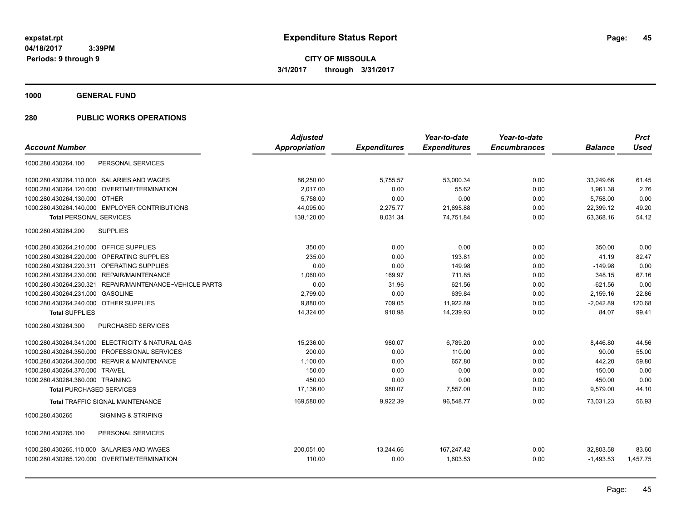**Periods: 9 through 9**

**45**

**CITY OF MISSOULA 3/1/2017 through 3/31/2017**

**1000 GENERAL FUND**

### **280 PUBLIC WORKS OPERATIONS**

 **3:39PM**

|                                                          | <b>Adjusted</b>      |                     | Year-to-date        | Year-to-date        |                | <b>Prct</b> |
|----------------------------------------------------------|----------------------|---------------------|---------------------|---------------------|----------------|-------------|
| <b>Account Number</b>                                    | <b>Appropriation</b> | <b>Expenditures</b> | <b>Expenditures</b> | <b>Encumbrances</b> | <b>Balance</b> | <b>Used</b> |
| 1000.280.430264.100<br>PERSONAL SERVICES                 |                      |                     |                     |                     |                |             |
| 1000.280.430264.110.000 SALARIES AND WAGES               | 86,250.00            | 5,755.57            | 53,000.34           | 0.00                | 33.249.66      | 61.45       |
| 1000.280.430264.120.000 OVERTIME/TERMINATION             | 2.017.00             | 0.00                | 55.62               | 0.00                | 1,961.38       | 2.76        |
| 1000.280.430264.130.000 OTHER                            | 5,758.00             | 0.00                | 0.00                | 0.00                | 5,758.00       | 0.00        |
| 1000.280.430264.140.000 EMPLOYER CONTRIBUTIONS           | 44.095.00            | 2,275.77            | 21,695.88           | 0.00                | 22,399.12      | 49.20       |
| <b>Total PERSONAL SERVICES</b>                           | 138,120.00           | 8,031.34            | 74,751.84           | 0.00                | 63,368.16      | 54.12       |
| 1000.280.430264.200<br><b>SUPPLIES</b>                   |                      |                     |                     |                     |                |             |
| 1000.280.430264.210.000 OFFICE SUPPLIES                  | 350.00               | 0.00                | 0.00                | 0.00                | 350.00         | 0.00        |
| 1000.280.430264.220.000 OPERATING SUPPLIES               | 235.00               | 0.00                | 193.81              | 0.00                | 41.19          | 82.47       |
| 1000.280.430264.220.311 OPERATING SUPPLIES               | 0.00                 | 0.00                | 149.98              | 0.00                | $-149.98$      | 0.00        |
| 1000.280.430264.230.000 REPAIR/MAINTENANCE               | 1,060.00             | 169.97              | 711.85              | 0.00                | 348.15         | 67.16       |
| 1000.280.430264.230.321 REPAIR/MAINTENANCE~VEHICLE PARTS | 0.00                 | 31.96               | 621.56              | 0.00                | $-621.56$      | 0.00        |
| 1000.280.430264.231.000 GASOLINE                         | 2.799.00             | 0.00                | 639.84              | 0.00                | 2,159.16       | 22.86       |
| 1000.280.430264.240.000 OTHER SUPPLIES                   | 9,880.00             | 709.05              | 11,922.89           | 0.00                | $-2,042.89$    | 120.68      |
| <b>Total SUPPLIES</b>                                    | 14,324.00            | 910.98              | 14,239.93           | 0.00                | 84.07          | 99.41       |
| <b>PURCHASED SERVICES</b><br>1000.280.430264.300         |                      |                     |                     |                     |                |             |
| 1000.280.430264.341.000 ELECTRICITY & NATURAL GAS        | 15.236.00            | 980.07              | 6.789.20            | 0.00                | 8,446.80       | 44.56       |
| 1000.280.430264.350.000 PROFESSIONAL SERVICES            | 200.00               | 0.00                | 110.00              | 0.00                | 90.00          | 55.00       |
| 1000.280.430264.360.000 REPAIR & MAINTENANCE             | 1,100.00             | 0.00                | 657.80              | 0.00                | 442.20         | 59.80       |
| 1000.280.430264.370.000 TRAVEL                           | 150.00               | 0.00                | 0.00                | 0.00                | 150.00         | 0.00        |
| 1000.280.430264.380.000 TRAINING                         | 450.00               | 0.00                | 0.00                | 0.00                | 450.00         | 0.00        |
| <b>Total PURCHASED SERVICES</b>                          | 17,136.00            | 980.07              | 7,557.00            | 0.00                | 9,579.00       | 44.10       |
| <b>Total TRAFFIC SIGNAL MAINTENANCE</b>                  | 169,580.00           | 9,922.39            | 96.548.77           | 0.00                | 73.031.23      | 56.93       |
| 1000.280.430265<br><b>SIGNING &amp; STRIPING</b>         |                      |                     |                     |                     |                |             |
| 1000.280.430265.100<br>PERSONAL SERVICES                 |                      |                     |                     |                     |                |             |
| 1000.280.430265.110.000 SALARIES AND WAGES               | 200.051.00           | 13.244.66           | 167.247.42          | 0.00                | 32.803.58      | 83.60       |
| 1000.280.430265.120.000 OVERTIME/TERMINATION             | 110.00               | 0.00                | 1.603.53            | 0.00                | $-1,493.53$    | 1,457.75    |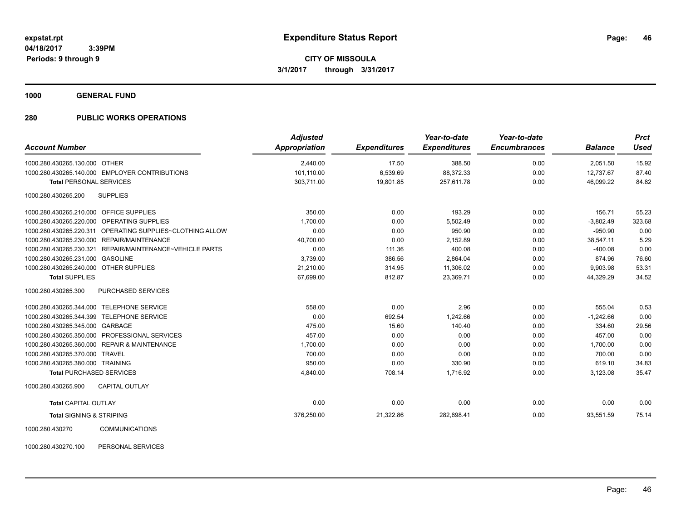**1000 GENERAL FUND**

### **280 PUBLIC WORKS OPERATIONS**

| <b>Account Number</b>                                        | <b>Adjusted</b><br><b>Appropriation</b> | <b>Expenditures</b> | Year-to-date<br><b>Expenditures</b> | Year-to-date<br><b>Encumbrances</b> | <b>Balance</b> | <b>Prct</b><br>Used |
|--------------------------------------------------------------|-----------------------------------------|---------------------|-------------------------------------|-------------------------------------|----------------|---------------------|
| 1000.280.430265.130.000 OTHER                                | 2,440.00                                | 17.50               | 388.50                              | 0.00                                | 2,051.50       | 15.92               |
| 1000.280.430265.140.000 EMPLOYER CONTRIBUTIONS               | 101,110.00                              | 6,539.69            | 88,372.33                           | 0.00                                | 12,737.67      | 87.40               |
| <b>Total PERSONAL SERVICES</b>                               | 303,711.00                              | 19,801.85           | 257,611.78                          | 0.00                                | 46,099.22      | 84.82               |
| <b>SUPPLIES</b><br>1000.280.430265.200                       |                                         |                     |                                     |                                     |                |                     |
| 1000.280.430265.210.000 OFFICE SUPPLIES                      | 350.00                                  | 0.00                | 193.29                              | 0.00                                | 156.71         | 55.23               |
| OPERATING SUPPLIES<br>1000.280.430265.220.000                | 1,700.00                                | 0.00                | 5,502.49                            | 0.00                                | $-3,802.49$    | 323.68              |
| 1000.280.430265.220.311<br>OPERATING SUPPLIES~CLOTHING ALLOW | 0.00                                    | 0.00                | 950.90                              | 0.00                                | $-950.90$      | 0.00                |
| 1000.280.430265.230.000<br><b>REPAIR/MAINTENANCE</b>         | 40,700.00                               | 0.00                | 2,152.89                            | 0.00                                | 38,547.11      | 5.29                |
| 1000.280.430265.230.321<br>REPAIR/MAINTENANCE~VEHICLE PARTS  | 0.00                                    | 111.36              | 400.08                              | 0.00                                | $-400.08$      | 0.00                |
| 1000.280.430265.231.000 GASOLINE                             | 3,739.00                                | 386.56              | 2,864.04                            | 0.00                                | 874.96         | 76.60               |
| 1000.280.430265.240.000 OTHER SUPPLIES                       | 21,210.00                               | 314.95              | 11,306.02                           | 0.00                                | 9,903.98       | 53.31               |
| <b>Total SUPPLIES</b>                                        | 67,699.00                               | 812.87              | 23,369.71                           | 0.00                                | 44,329.29      | 34.52               |
| 1000.280.430265.300<br>PURCHASED SERVICES                    |                                         |                     |                                     |                                     |                |                     |
| <b>TELEPHONE SERVICE</b><br>1000.280.430265.344.000          | 558.00                                  | 0.00                | 2.96                                | 0.00                                | 555.04         | 0.53                |
| <b>TELEPHONE SERVICE</b><br>1000.280.430265.344.399          | 0.00                                    | 692.54              | 1,242.66                            | 0.00                                | $-1,242.66$    | 0.00                |
| 1000.280.430265.345.000<br>GARBAGE                           | 475.00                                  | 15.60               | 140.40                              | 0.00                                | 334.60         | 29.56               |
| PROFESSIONAL SERVICES<br>1000.280.430265.350.000             | 457.00                                  | 0.00                | 0.00                                | 0.00                                | 457.00         | 0.00                |
| 1000.280.430265.360.000 REPAIR & MAINTENANCE                 | 1,700.00                                | 0.00                | 0.00                                | 0.00                                | 1,700.00       | 0.00                |
| 1000.280.430265.370.000<br><b>TRAVEL</b>                     | 700.00                                  | 0.00                | 0.00                                | 0.00                                | 700.00         | 0.00                |
| 1000.280.430265.380.000 TRAINING                             | 950.00                                  | 0.00                | 330.90                              | 0.00                                | 619.10         | 34.83               |
| <b>Total PURCHASED SERVICES</b>                              | 4,840.00                                | 708.14              | 1,716.92                            | 0.00                                | 3,123.08       | 35.47               |
| CAPITAL OUTLAY<br>1000.280.430265.900                        |                                         |                     |                                     |                                     |                |                     |
| <b>Total CAPITAL OUTLAY</b>                                  | 0.00                                    | 0.00                | 0.00                                | 0.00                                | 0.00           | 0.00                |
| <b>Total SIGNING &amp; STRIPING</b>                          | 376,250.00                              | 21,322.86           | 282,698.41                          | 0.00                                | 93,551.59      | 75.14               |
| 1000 280 430270<br>COMMITMICATIONS                           |                                         |                     |                                     |                                     |                |                     |

1000.280.430270 COMMUNICATIONS

1000.280.430270.100 PERSONAL SERVICES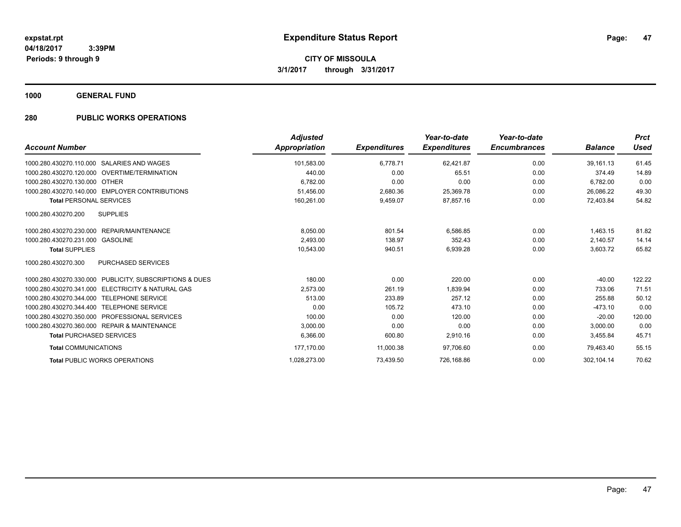**1000 GENERAL FUND**

### **280 PUBLIC WORKS OPERATIONS**

| <b>Account Number</b>                                           | <b>Adjusted</b><br><b>Appropriation</b> | <b>Expenditures</b> | Year-to-date<br><b>Expenditures</b> | Year-to-date<br><b>Encumbrances</b> | <b>Balance</b> | <b>Prct</b><br><b>Used</b> |
|-----------------------------------------------------------------|-----------------------------------------|---------------------|-------------------------------------|-------------------------------------|----------------|----------------------------|
| 1000.280.430270.110.000 SALARIES AND WAGES                      | 101.583.00                              | 6,778.71            | 62,421.87                           | 0.00                                | 39.161.13      | 61.45                      |
| 1000.280.430270.120.000 OVERTIME/TERMINATION                    | 440.00                                  | 0.00                | 65.51                               | 0.00                                | 374.49         | 14.89                      |
| 1000.280.430270.130.000 OTHER                                   | 6,782.00                                | 0.00                | 0.00                                | 0.00                                | 6,782.00       | 0.00                       |
| 1000.280.430270.140.000 EMPLOYER CONTRIBUTIONS                  | 51,456.00                               | 2,680.36            | 25,369.78                           | 0.00                                | 26,086.22      | 49.30                      |
| <b>Total PERSONAL SERVICES</b>                                  | 160,261.00                              | 9,459.07            | 87,857.16                           | 0.00                                | 72.403.84      | 54.82                      |
| 1000.280.430270.200<br><b>SUPPLIES</b>                          |                                         |                     |                                     |                                     |                |                            |
| 1000.280.430270.230.000 REPAIR/MAINTENANCE                      | 8,050.00                                | 801.54              | 6,586.85                            | 0.00                                | 1,463.15       | 81.82                      |
| 1000.280.430270.231.000<br>GASOLINE                             | 2,493.00                                | 138.97              | 352.43                              | 0.00                                | 2,140.57       | 14.14                      |
| <b>Total SUPPLIES</b>                                           | 10,543.00                               | 940.51              | 6,939.28                            | 0.00                                | 3,603.72       | 65.82                      |
| 1000.280.430270.300<br><b>PURCHASED SERVICES</b>                |                                         |                     |                                     |                                     |                |                            |
| 1000.280.430270.330.000 PUBLICITY, SUBSCRIPTIONS & DUES         | 180.00                                  | 0.00                | 220.00                              | 0.00                                | $-40.00$       | 122.22                     |
| <b>ELECTRICITY &amp; NATURAL GAS</b><br>1000.280.430270.341.000 | 2,573.00                                | 261.19              | 1,839.94                            | 0.00                                | 733.06         | 71.51                      |
| <b>TELEPHONE SERVICE</b><br>1000.280.430270.344.000             | 513.00                                  | 233.89              | 257.12                              | 0.00                                | 255.88         | 50.12                      |
| 1000.280.430270.344.400<br><b>TELEPHONE SERVICE</b>             | 0.00                                    | 105.72              | 473.10                              | 0.00                                | $-473.10$      | 0.00                       |
| 1000.280.430270.350.000 PROFESSIONAL SERVICES                   | 100.00                                  | 0.00                | 120.00                              | 0.00                                | $-20.00$       | 120.00                     |
| 1000.280.430270.360.000 REPAIR & MAINTENANCE                    | 3,000.00                                | 0.00                | 0.00                                | 0.00                                | 3,000.00       | 0.00                       |
| <b>Total PURCHASED SERVICES</b>                                 | 6,366.00                                | 600.80              | 2,910.16                            | 0.00                                | 3,455.84       | 45.71                      |
| <b>Total COMMUNICATIONS</b>                                     | 177,170.00                              | 11,000.38           | 97,706.60                           | 0.00                                | 79,463.40      | 55.15                      |
| <b>Total PUBLIC WORKS OPERATIONS</b>                            | 1,028,273.00                            | 73.439.50           | 726.168.86                          | 0.00                                | 302.104.14     | 70.62                      |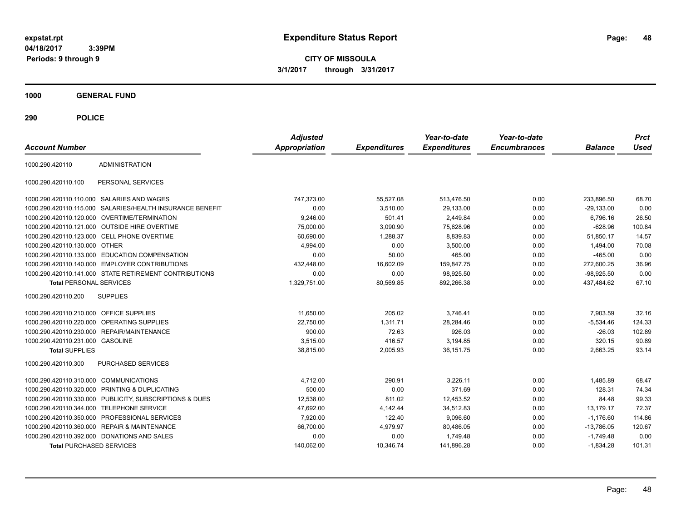**CITY OF MISSOULA 3/1/2017 through 3/31/2017**

**1000 GENERAL FUND**

| <b>Account Number</b>                   |                                                        | <b>Adjusted</b><br><b>Appropriation</b> | <b>Expenditures</b> | Year-to-date<br><b>Expenditures</b> | Year-to-date<br><b>Encumbrances</b> | <b>Balance</b> | <b>Prct</b><br>Used |
|-----------------------------------------|--------------------------------------------------------|-----------------------------------------|---------------------|-------------------------------------|-------------------------------------|----------------|---------------------|
| 1000.290.420110                         | <b>ADMINISTRATION</b>                                  |                                         |                     |                                     |                                     |                |                     |
| 1000.290.420110.100                     | PERSONAL SERVICES                                      |                                         |                     |                                     |                                     |                |                     |
|                                         | 1000.290.420110.110.000 SALARIES AND WAGES             | 747,373.00                              | 55,527.08           | 513,476.50                          | 0.00                                | 233,896.50     | 68.70               |
| 1000.290.420110.115.000                 | SALARIES/HEALTH INSURANCE BENEFIT                      | 0.00                                    | 3,510.00            | 29,133.00                           | 0.00                                | $-29.133.00$   | 0.00                |
|                                         | 1000.290.420110.120.000 OVERTIME/TERMINATION           | 9,246.00                                | 501.41              | 2,449.84                            | 0.00                                | 6,796.16       | 26.50               |
|                                         | 1000.290.420110.121.000 OUTSIDE HIRE OVERTIME          | 75,000.00                               | 3,090.90            | 75,628.96                           | 0.00                                | $-628.96$      | 100.84              |
|                                         | 1000.290.420110.123.000 CELL PHONE OVERTIME            | 60,690.00                               | 1.288.37            | 8.839.83                            | 0.00                                | 51.850.17      | 14.57               |
| 1000.290.420110.130.000 OTHER           |                                                        | 4,994.00                                | 0.00                | 3,500.00                            | 0.00                                | 1,494.00       | 70.08               |
|                                         | 1000.290.420110.133.000 EDUCATION COMPENSATION         | 0.00                                    | 50.00               | 465.00                              | 0.00                                | $-465.00$      | 0.00                |
|                                         | 1000.290.420110.140.000 EMPLOYER CONTRIBUTIONS         | 432,448.00                              | 16,602.09           | 159,847.75                          | 0.00                                | 272,600.25     | 36.96               |
|                                         | 1000.290.420110.141.000 STATE RETIREMENT CONTRIBUTIONS | 0.00                                    | 0.00                | 98,925.50                           | 0.00                                | $-98,925.50$   | 0.00                |
| <b>Total PERSONAL SERVICES</b>          |                                                        | 1,329,751.00                            | 80,569.85           | 892,266.38                          | 0.00                                | 437,484.62     | 67.10               |
| 1000.290.420110.200                     | <b>SUPPLIES</b>                                        |                                         |                     |                                     |                                     |                |                     |
| 1000.290.420110.210.000 OFFICE SUPPLIES |                                                        | 11.650.00                               | 205.02              | 3.746.41                            | 0.00                                | 7,903.59       | 32.16               |
|                                         | 1000.290.420110.220.000 OPERATING SUPPLIES             | 22,750.00                               | 1,311.71            | 28,284.46                           | 0.00                                | $-5,534.46$    | 124.33              |
|                                         | 1000.290.420110.230.000 REPAIR/MAINTENANCE             | 900.00                                  | 72.63               | 926.03                              | 0.00                                | $-26.03$       | 102.89              |
| 1000.290.420110.231.000 GASOLINE        |                                                        | 3,515.00                                | 416.57              | 3,194.85                            | 0.00                                | 320.15         | 90.89               |
| <b>Total SUPPLIES</b>                   |                                                        | 38,815.00                               | 2,005.93            | 36, 151.75                          | 0.00                                | 2,663.25       | 93.14               |
| 1000.290.420110.300                     | <b>PURCHASED SERVICES</b>                              |                                         |                     |                                     |                                     |                |                     |
| 1000.290.420110.310.000                 | <b>COMMUNICATIONS</b>                                  | 4,712.00                                | 290.91              | 3,226.11                            | 0.00                                | 1,485.89       | 68.47               |
| 1000.290.420110.320.000                 | PRINTING & DUPLICATING                                 | 500.00                                  | 0.00                | 371.69                              | 0.00                                | 128.31         | 74.34               |
| 1000.290.420110.330.000                 | PUBLICITY, SUBSCRIPTIONS & DUES                        | 12,538.00                               | 811.02              | 12,453.52                           | 0.00                                | 84.48          | 99.33               |
| 1000.290.420110.344.000                 | <b>TELEPHONE SERVICE</b>                               | 47,692.00                               | 4,142.44            | 34,512.83                           | 0.00                                | 13.179.17      | 72.37               |
|                                         | 1000.290.420110.350.000 PROFESSIONAL SERVICES          | 7,920.00                                | 122.40              | 9,096.60                            | 0.00                                | $-1,176.60$    | 114.86              |
| 1000.290.420110.360.000                 | <b>REPAIR &amp; MAINTENANCE</b>                        | 66,700.00                               | 4,979.97            | 80,486.05                           | 0.00                                | $-13,786.05$   | 120.67              |
|                                         | 1000.290.420110.392.000 DONATIONS AND SALES            | 0.00                                    | 0.00                | 1,749.48                            | 0.00                                | $-1,749.48$    | 0.00                |
| <b>Total PURCHASED SERVICES</b>         |                                                        | 140,062.00                              | 10,346.74           | 141.896.28                          | 0.00                                | $-1,834.28$    | 101.31              |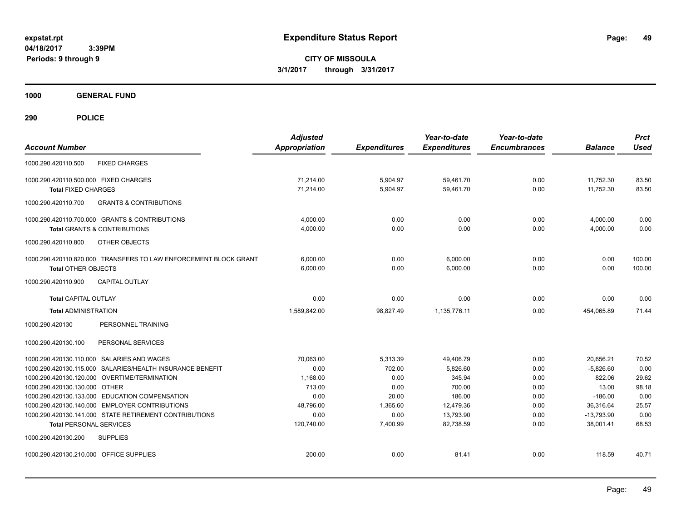**CITY OF MISSOULA 3/1/2017 through 3/31/2017**

**1000 GENERAL FUND**

| <b>Account Number</b>                                                                                    | <b>Adjusted</b><br><b>Appropriation</b> | <b>Expenditures</b> | Year-to-date<br><b>Expenditures</b> | Year-to-date<br><b>Encumbrances</b> | <b>Balance</b>            | <b>Prct</b><br><b>Used</b> |
|----------------------------------------------------------------------------------------------------------|-----------------------------------------|---------------------|-------------------------------------|-------------------------------------|---------------------------|----------------------------|
| <b>FIXED CHARGES</b><br>1000.290.420110.500                                                              |                                         |                     |                                     |                                     |                           |                            |
| 1000.290.420110.500.000 FIXED CHARGES                                                                    | 71,214.00                               | 5,904.97            | 59,461.70                           | 0.00                                | 11,752.30                 | 83.50                      |
| <b>Total FIXED CHARGES</b>                                                                               | 71.214.00                               | 5,904.97            | 59,461.70                           | 0.00                                | 11,752.30                 | 83.50                      |
| <b>GRANTS &amp; CONTRIBUTIONS</b><br>1000.290.420110.700                                                 |                                         |                     |                                     |                                     |                           |                            |
| 1000.290.420110.700.000 GRANTS & CONTRIBUTIONS                                                           | 4,000.00                                | 0.00                | 0.00                                | 0.00                                | 4,000.00                  | 0.00                       |
| <b>Total GRANTS &amp; CONTRIBUTIONS</b>                                                                  | 4,000.00                                | 0.00                | 0.00                                | 0.00                                | 4,000.00                  | 0.00                       |
| 1000.290.420110.800<br>OTHER OBJECTS                                                                     |                                         |                     |                                     |                                     |                           |                            |
| 1000.290.420110.820.000 TRANSFERS TO LAW ENFORCEMENT BLOCK GRANT                                         | 6,000.00                                | 0.00                | 6,000.00                            | 0.00                                | 0.00                      | 100.00                     |
| <b>Total OTHER OBJECTS</b>                                                                               | 6,000.00                                | 0.00                | 6,000.00                            | 0.00                                | 0.00                      | 100.00                     |
| CAPITAL OUTLAY<br>1000.290.420110.900                                                                    |                                         |                     |                                     |                                     |                           |                            |
| <b>Total CAPITAL OUTLAY</b>                                                                              | 0.00                                    | 0.00                | 0.00                                | 0.00                                | 0.00                      | 0.00                       |
| <b>Total ADMINISTRATION</b>                                                                              | 1,589,842.00                            | 98,827.49           | 1.135.776.11                        | 0.00                                | 454,065.89                | 71.44                      |
| 1000.290.420130<br>PERSONNEL TRAINING                                                                    |                                         |                     |                                     |                                     |                           |                            |
| 1000.290.420130.100<br>PERSONAL SERVICES                                                                 |                                         |                     |                                     |                                     |                           |                            |
| 1000.290.420130.110.000 SALARIES AND WAGES                                                               | 70,063.00                               | 5,313.39            | 49,406.79                           | 0.00                                | 20,656.21                 | 70.52                      |
| 1000.290.420130.115.000 SALARIES/HEALTH INSURANCE BENEFIT                                                | 0.00                                    | 702.00              | 5,826.60                            | 0.00                                | $-5,826.60$               | 0.00                       |
| 1000.290.420130.120.000 OVERTIME/TERMINATION                                                             | 1,168.00                                | 0.00                | 345.94                              | 0.00                                | 822.06                    | 29.62                      |
| 1000.290.420130.130.000 OTHER                                                                            | 713.00                                  | 0.00                | 700.00                              | 0.00                                | 13.00                     | 98.18                      |
| 1000.290.420130.133.000 EDUCATION COMPENSATION                                                           | 0.00                                    | 20.00               | 186.00                              | 0.00                                | $-186.00$                 | 0.00                       |
| 1000.290.420130.140.000 EMPLOYER CONTRIBUTIONS<br>1000.290.420130.141.000 STATE RETIREMENT CONTRIBUTIONS | 48,796.00<br>0.00                       | 1,365.60<br>0.00    | 12,479.36<br>13,793.90              | 0.00<br>0.00                        | 36,316.64<br>$-13,793.90$ | 25.57<br>0.00              |
| <b>Total PERSONAL SERVICES</b>                                                                           | 120,740.00                              | 7,400.99            | 82.738.59                           | 0.00                                | 38.001.41                 | 68.53                      |
| 1000.290.420130.200<br><b>SUPPLIES</b>                                                                   |                                         |                     |                                     |                                     |                           |                            |
| 1000.290.420130.210.000 OFFICE SUPPLIES                                                                  | 200.00                                  | 0.00                | 81.41                               | 0.00                                | 118.59                    | 40.71                      |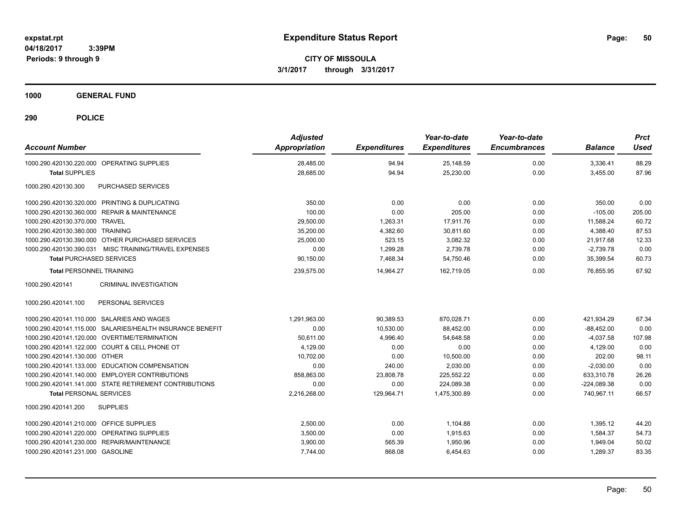**CITY OF MISSOULA 3/1/2017 through 3/31/2017**

**1000 GENERAL FUND**

| <b>Account Number</b>                                     | <b>Adjusted</b><br><b>Appropriation</b> | <b>Expenditures</b> | Year-to-date<br><b>Expenditures</b> | Year-to-date<br><b>Encumbrances</b> | <b>Balance</b> | <b>Prct</b><br><b>Used</b> |
|-----------------------------------------------------------|-----------------------------------------|---------------------|-------------------------------------|-------------------------------------|----------------|----------------------------|
| 1000.290.420130.220.000 OPERATING SUPPLIES                | 28,485.00                               | 94.94               | 25,148.59                           | 0.00                                | 3,336.41       | 88.29                      |
| <b>Total SUPPLIES</b>                                     | 28,685.00                               | 94.94               | 25,230.00                           | 0.00                                | 3,455.00       | 87.96                      |
| 1000.290.420130.300<br>PURCHASED SERVICES                 |                                         |                     |                                     |                                     |                |                            |
| 1000.290.420130.320.000 PRINTING & DUPLICATING            | 350.00                                  | 0.00                | 0.00                                | 0.00                                | 350.00         | 0.00                       |
| 1000.290.420130.360.000 REPAIR & MAINTENANCE              | 100.00                                  | 0.00                | 205.00                              | 0.00                                | $-105.00$      | 205.00                     |
| 1000.290.420130.370.000 TRAVEL                            | 29,500.00                               | 1.263.31            | 17.911.76                           | 0.00                                | 11.588.24      | 60.72                      |
| 1000.290.420130.380.000 TRAINING                          | 35,200.00                               | 4,382.60            | 30,811.60                           | 0.00                                | 4.388.40       | 87.53                      |
| 1000.290.420130.390.000 OTHER PURCHASED SERVICES          | 25,000.00                               | 523.15              | 3,082.32                            | 0.00                                | 21,917.68      | 12.33                      |
| 1000.290.420130.390.031 MISC TRAINING/TRAVEL EXPENSES     | 0.00                                    | 1,299.28            | 2,739.78                            | 0.00                                | $-2,739.78$    | 0.00                       |
| <b>Total PURCHASED SERVICES</b>                           | 90,150.00                               | 7,468.34            | 54,750.46                           | 0.00                                | 35,399.54      | 60.73                      |
| <b>Total PERSONNEL TRAINING</b>                           | 239,575.00                              | 14,964.27           | 162,719.05                          | 0.00                                | 76,855.95      | 67.92                      |
| <b>CRIMINAL INVESTIGATION</b><br>1000.290.420141          |                                         |                     |                                     |                                     |                |                            |
| 1000.290.420141.100<br>PERSONAL SERVICES                  |                                         |                     |                                     |                                     |                |                            |
| 1000.290.420141.110.000 SALARIES AND WAGES                | 1,291,963.00                            | 90.389.53           | 870.028.71                          | 0.00                                | 421.934.29     | 67.34                      |
| 1000.290.420141.115.000 SALARIES/HEALTH INSURANCE BENEFIT | 0.00                                    | 10,530.00           | 88,452.00                           | 0.00                                | $-88.452.00$   | 0.00                       |
| 1000.290.420141.120.000 OVERTIME/TERMINATION              | 50,611.00                               | 4,996.40            | 54,648.58                           | 0.00                                | $-4,037.58$    | 107.98                     |
| 1000.290.420141.122.000 COURT & CELL PHONE OT             | 4,129.00                                | 0.00                | 0.00                                | 0.00                                | 4,129.00       | 0.00                       |
| 1000.290.420141.130.000 OTHER                             | 10,702.00                               | 0.00                | 10,500.00                           | 0.00                                | 202.00         | 98.11                      |
| 1000.290.420141.133.000 EDUCATION COMPENSATION            | 0.00                                    | 240.00              | 2.030.00                            | 0.00                                | $-2.030.00$    | 0.00                       |
| 1000.290.420141.140.000 EMPLOYER CONTRIBUTIONS            | 858.863.00                              | 23,808.78           | 225,552.22                          | 0.00                                | 633.310.78     | 26.26                      |
| 1000.290.420141.141.000 STATE RETIREMENT CONTRIBUTIONS    | 0.00                                    | 0.00                | 224,089.38                          | 0.00                                | $-224,089.38$  | 0.00                       |
| <b>Total PERSONAL SERVICES</b>                            | 2,216,268.00                            | 129,964.71          | 1,475,300.89                        | 0.00                                | 740,967.11     | 66.57                      |
| 1000.290.420141.200<br><b>SUPPLIES</b>                    |                                         |                     |                                     |                                     |                |                            |
| 1000.290.420141.210.000 OFFICE SUPPLIES                   | 2,500.00                                | 0.00                | 1,104.88                            | 0.00                                | 1,395.12       | 44.20                      |
| 1000.290.420141.220.000 OPERATING SUPPLIES                | 3,500.00                                | 0.00                | 1,915.63                            | 0.00                                | 1,584.37       | 54.73                      |
| 1000.290.420141.230.000 REPAIR/MAINTENANCE                | 3,900.00                                | 565.39              | 1,950.96                            | 0.00                                | 1,949.04       | 50.02                      |
| 1000.290.420141.231.000 GASOLINE                          | 7,744.00                                | 868.08              | 6,454.63                            | 0.00                                | 1,289.37       | 83.35                      |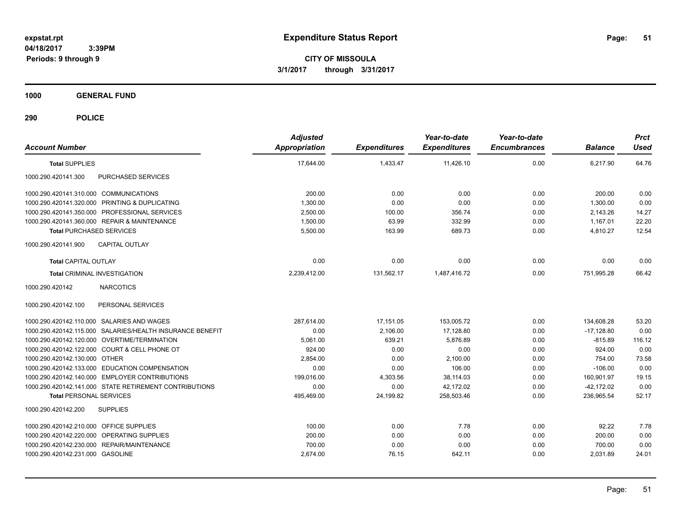**CITY OF MISSOULA 3/1/2017 through 3/31/2017**

**1000 GENERAL FUND**

| <b>Account Number</b>                                     | <b>Adjusted</b><br><b>Appropriation</b> | <b>Expenditures</b> | Year-to-date<br><b>Expenditures</b> | Year-to-date<br><b>Encumbrances</b> | <b>Balance</b> | <b>Prct</b><br><b>Used</b> |
|-----------------------------------------------------------|-----------------------------------------|---------------------|-------------------------------------|-------------------------------------|----------------|----------------------------|
| <b>Total SUPPLIES</b>                                     | 17,644.00                               | 1,433.47            | 11,426.10                           | 0.00                                | 6,217.90       | 64.76                      |
| PURCHASED SERVICES<br>1000.290.420141.300                 |                                         |                     |                                     |                                     |                |                            |
| 1000.290.420141.310.000 COMMUNICATIONS                    | 200.00                                  | 0.00                | 0.00                                | 0.00                                | 200.00         | 0.00                       |
| 1000.290.420141.320.000 PRINTING & DUPLICATING            | 1,300.00                                | 0.00                | 0.00                                | 0.00                                | 1,300.00       | 0.00                       |
| 1000.290.420141.350.000 PROFESSIONAL SERVICES             | 2,500.00                                | 100.00              | 356.74                              | 0.00                                | 2,143.26       | 14.27                      |
| 1000.290.420141.360.000 REPAIR & MAINTENANCE              | 1,500.00                                | 63.99               | 332.99                              | 0.00                                | 1,167.01       | 22.20                      |
| <b>Total PURCHASED SERVICES</b>                           | 5,500.00                                | 163.99              | 689.73                              | 0.00                                | 4,810.27       | 12.54                      |
| 1000.290.420141.900<br><b>CAPITAL OUTLAY</b>              |                                         |                     |                                     |                                     |                |                            |
| <b>Total CAPITAL OUTLAY</b>                               | 0.00                                    | 0.00                | 0.00                                | 0.00                                | 0.00           | 0.00                       |
| <b>Total CRIMINAL INVESTIGATION</b>                       | 2,239,412.00                            | 131,562.17          | 1.487.416.72                        | 0.00                                | 751.995.28     | 66.42                      |
| <b>NARCOTICS</b><br>1000.290.420142                       |                                         |                     |                                     |                                     |                |                            |
| PERSONAL SERVICES<br>1000.290.420142.100                  |                                         |                     |                                     |                                     |                |                            |
| 1000.290.420142.110.000 SALARIES AND WAGES                | 287.614.00                              | 17,151.05           | 153,005.72                          | 0.00                                | 134,608.28     | 53.20                      |
| 1000.290.420142.115.000 SALARIES/HEALTH INSURANCE BENEFIT | 0.00                                    | 2,106.00            | 17,128.80                           | 0.00                                | $-17,128.80$   | 0.00                       |
| 1000.290.420142.120.000 OVERTIME/TERMINATION              | 5,061.00                                | 639.21              | 5,876.89                            | 0.00                                | $-815.89$      | 116.12                     |
| 1000.290.420142.122.000 COURT & CELL PHONE OT             | 924.00                                  | 0.00                | 0.00                                | 0.00                                | 924.00         | 0.00                       |
| 1000.290.420142.130.000 OTHER                             | 2.854.00                                | 0.00                | 2.100.00                            | 0.00                                | 754.00         | 73.58                      |
| 1000.290.420142.133.000 EDUCATION COMPENSATION            | 0.00                                    | 0.00                | 106.00                              | 0.00                                | $-106.00$      | 0.00                       |
| 1000.290.420142.140.000 EMPLOYER CONTRIBUTIONS            | 199,016.00                              | 4,303.56            | 38,114.03                           | 0.00                                | 160,901.97     | 19.15                      |
| 1000.290.420142.141.000 STATE RETIREMENT CONTRIBUTIONS    | 0.00                                    | 0.00                | 42,172.02                           | 0.00                                | $-42,172.02$   | 0.00                       |
| <b>Total PERSONAL SERVICES</b>                            | 495,469.00                              | 24,199.82           | 258,503.46                          | 0.00                                | 236,965.54     | 52.17                      |
| 1000.290.420142.200<br><b>SUPPLIES</b>                    |                                         |                     |                                     |                                     |                |                            |
| 1000.290.420142.210.000 OFFICE SUPPLIES                   | 100.00                                  | 0.00                | 7.78                                | 0.00                                | 92.22          | 7.78                       |
| 1000.290.420142.220.000 OPERATING SUPPLIES                | 200.00                                  | 0.00                | 0.00                                | 0.00                                | 200.00         | 0.00                       |
| 1000.290.420142.230.000 REPAIR/MAINTENANCE                | 700.00                                  | 0.00                | 0.00                                | 0.00                                | 700.00         | 0.00                       |
| 1000.290.420142.231.000 GASOLINE                          | 2,674.00                                | 76.15               | 642.11                              | 0.00                                | 2,031.89       | 24.01                      |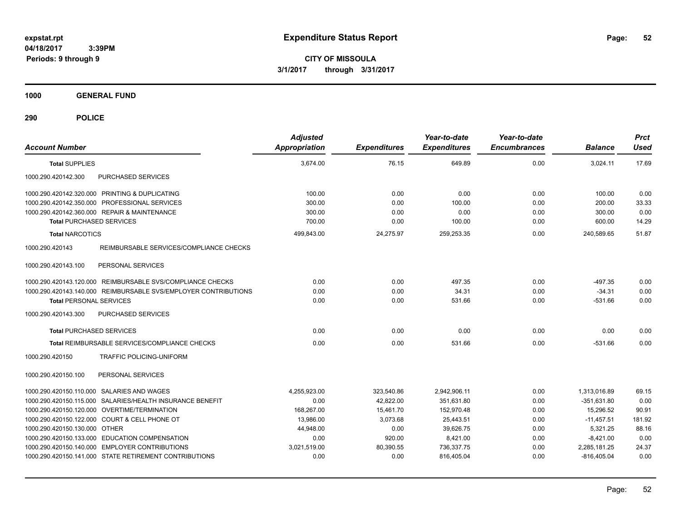**CITY OF MISSOULA 3/1/2017 through 3/31/2017**

**1000 GENERAL FUND**

| <b>Account Number</b>                                           | <b>Adjusted</b><br><b>Appropriation</b> | <b>Expenditures</b> | Year-to-date<br><b>Expenditures</b> | Year-to-date<br><b>Encumbrances</b> | <b>Balance</b> | <b>Prct</b><br><b>Used</b> |
|-----------------------------------------------------------------|-----------------------------------------|---------------------|-------------------------------------|-------------------------------------|----------------|----------------------------|
| <b>Total SUPPLIES</b>                                           | 3,674.00                                | 76.15               | 649.89                              | 0.00                                | 3,024.11       | 17.69                      |
| 1000.290.420142.300<br>PURCHASED SERVICES                       |                                         |                     |                                     |                                     |                |                            |
| 1000.290.420142.320.000 PRINTING & DUPLICATING                  | 100.00                                  | 0.00                | 0.00                                | 0.00                                | 100.00         | 0.00                       |
| 1000.290.420142.350.000 PROFESSIONAL SERVICES                   | 300.00                                  | 0.00                | 100.00                              | 0.00                                | 200.00         | 33.33                      |
| 1000.290.420142.360.000 REPAIR & MAINTENANCE                    | 300.00                                  | 0.00                | 0.00                                | 0.00                                | 300.00         | 0.00                       |
| <b>Total PURCHASED SERVICES</b>                                 | 700.00                                  | 0.00                | 100.00                              | 0.00                                | 600.00         | 14.29                      |
| <b>Total NARCOTICS</b>                                          | 499,843.00                              | 24,275.97           | 259,253.35                          | 0.00                                | 240,589.65     | 51.87                      |
| REIMBURSABLE SERVICES/COMPLIANCE CHECKS<br>1000.290.420143      |                                         |                     |                                     |                                     |                |                            |
| 1000.290.420143.100<br>PERSONAL SERVICES                        |                                         |                     |                                     |                                     |                |                            |
| 1000.290.420143.120.000 REIMBURSABLE SVS/COMPLIANCE CHECKS      | 0.00                                    | 0.00                | 497.35                              | 0.00                                | $-497.35$      | 0.00                       |
| 1000.290.420143.140.000 REIMBURSABLE SVS/EMPLOYER CONTRIBUTIONS | 0.00                                    | 0.00                | 34.31                               | 0.00                                | $-34.31$       | 0.00                       |
| <b>Total PERSONAL SERVICES</b>                                  | 0.00                                    | 0.00                | 531.66                              | 0.00                                | $-531.66$      | 0.00                       |
| PURCHASED SERVICES<br>1000.290.420143.300                       |                                         |                     |                                     |                                     |                |                            |
| <b>Total PURCHASED SERVICES</b>                                 | 0.00                                    | 0.00                | 0.00                                | 0.00                                | 0.00           | 0.00                       |
| Total REIMBURSABLE SERVICES/COMPLIANCE CHECKS                   | 0.00                                    | 0.00                | 531.66                              | 0.00                                | $-531.66$      | 0.00                       |
| 1000.290.420150<br>TRAFFIC POLICING-UNIFORM                     |                                         |                     |                                     |                                     |                |                            |
| 1000.290.420150.100<br>PERSONAL SERVICES                        |                                         |                     |                                     |                                     |                |                            |
| 1000.290.420150.110.000 SALARIES AND WAGES                      | 4,255,923.00                            | 323,540.86          | 2,942,906.11                        | 0.00                                | 1,313,016.89   | 69.15                      |
| 1000.290.420150.115.000 SALARIES/HEALTH INSURANCE BENEFIT       | 0.00                                    | 42,822.00           | 351,631.80                          | 0.00                                | $-351,631.80$  | 0.00                       |
| 1000.290.420150.120.000 OVERTIME/TERMINATION                    | 168.267.00                              | 15,461.70           | 152,970.48                          | 0.00                                | 15,296.52      | 90.91                      |
| 1000.290.420150.122.000 COURT & CELL PHONE OT                   | 13,986.00                               | 3,073.68            | 25,443.51                           | 0.00                                | $-11,457.51$   | 181.92                     |
| 1000.290.420150.130.000 OTHER                                   | 44,948.00                               | 0.00                | 39.626.75                           | 0.00                                | 5,321.25       | 88.16                      |
| 1000.290.420150.133.000 EDUCATION COMPENSATION                  | 0.00                                    | 920.00              | 8,421.00                            | 0.00                                | $-8,421.00$    | 0.00                       |
| 1000.290.420150.140.000 EMPLOYER CONTRIBUTIONS                  | 3,021,519.00                            | 80,390.55           | 736,337.75                          | 0.00                                | 2,285,181.25   | 24.37                      |
| 1000.290.420150.141.000 STATE RETIREMENT CONTRIBUTIONS          | 0.00                                    | 0.00                | 816,405.04                          | 0.00                                | $-816,405.04$  | 0.00                       |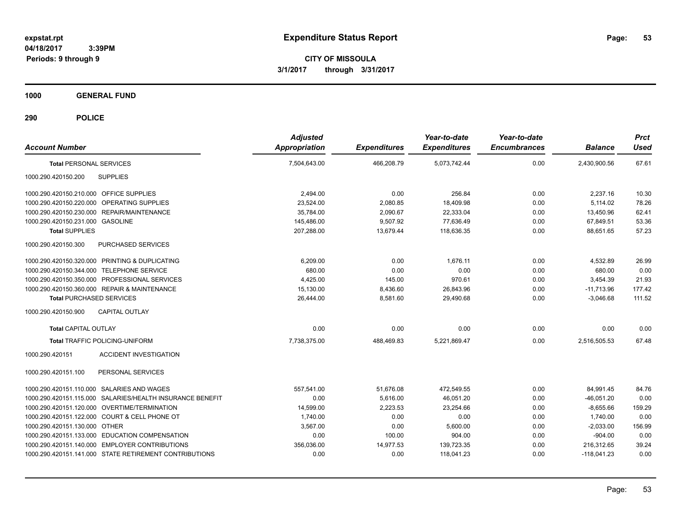**CITY OF MISSOULA 3/1/2017 through 3/31/2017**

**1000 GENERAL FUND**

| <b>Account Number</b>                                     | <b>Adjusted</b><br><b>Appropriation</b> | <b>Expenditures</b> | Year-to-date<br><b>Expenditures</b> | Year-to-date<br><b>Encumbrances</b> | <b>Balance</b> | <b>Prct</b><br><b>Used</b> |
|-----------------------------------------------------------|-----------------------------------------|---------------------|-------------------------------------|-------------------------------------|----------------|----------------------------|
| <b>Total PERSONAL SERVICES</b>                            | 7,504,643.00                            | 466,208.79          | 5.073.742.44                        | 0.00                                | 2,430,900.56   | 67.61                      |
| 1000.290.420150.200<br><b>SUPPLIES</b>                    |                                         |                     |                                     |                                     |                |                            |
| 1000.290.420150.210.000 OFFICE SUPPLIES                   | 2,494.00                                | 0.00                | 256.84                              | 0.00                                | 2,237.16       | 10.30                      |
| 1000.290.420150.220.000 OPERATING SUPPLIES                | 23,524.00                               | 2,080.85            | 18,409.98                           | 0.00                                | 5,114.02       | 78.26                      |
| 1000.290.420150.230.000 REPAIR/MAINTENANCE                | 35,784.00                               | 2,090.67            | 22,333.04                           | 0.00                                | 13,450.96      | 62.41                      |
| 1000.290.420150.231.000 GASOLINE                          | 145,486.00                              | 9,507.92            | 77.636.49                           | 0.00                                | 67,849.51      | 53.36                      |
| <b>Total SUPPLIES</b>                                     | 207,288.00                              | 13.679.44           | 118.636.35                          | 0.00                                | 88.651.65      | 57.23                      |
| 1000.290.420150.300<br>PURCHASED SERVICES                 |                                         |                     |                                     |                                     |                |                            |
| 1000.290.420150.320.000 PRINTING & DUPLICATING            | 6,209.00                                | 0.00                | 1.676.11                            | 0.00                                | 4,532.89       | 26.99                      |
| 1000.290.420150.344.000 TELEPHONE SERVICE                 | 680.00                                  | 0.00                | 0.00                                | 0.00                                | 680.00         | 0.00                       |
| 1000.290.420150.350.000 PROFESSIONAL SERVICES             | 4.425.00                                | 145.00              | 970.61                              | 0.00                                | 3,454.39       | 21.93                      |
| 1000.290.420150.360.000 REPAIR & MAINTENANCE              | 15,130.00                               | 8,436.60            | 26,843.96                           | 0.00                                | $-11,713.96$   | 177.42                     |
| <b>Total PURCHASED SERVICES</b>                           | 26.444.00                               | 8,581.60            | 29.490.68                           | 0.00                                | $-3.046.68$    | 111.52                     |
| CAPITAL OUTLAY<br>1000.290.420150.900                     |                                         |                     |                                     |                                     |                |                            |
| <b>Total CAPITAL OUTLAY</b>                               | 0.00                                    | 0.00                | 0.00                                | 0.00                                | 0.00           | 0.00                       |
| <b>Total TRAFFIC POLICING-UNIFORM</b>                     | 7,738,375.00                            | 488,469.83          | 5.221.869.47                        | 0.00                                | 2.516.505.53   | 67.48                      |
| <b>ACCIDENT INVESTIGATION</b><br>1000.290.420151          |                                         |                     |                                     |                                     |                |                            |
| 1000.290.420151.100<br>PERSONAL SERVICES                  |                                         |                     |                                     |                                     |                |                            |
| 1000.290.420151.110.000 SALARIES AND WAGES                | 557.541.00                              | 51.676.08           | 472.549.55                          | 0.00                                | 84.991.45      | 84.76                      |
| 1000.290.420151.115.000 SALARIES/HEALTH INSURANCE BENEFIT | 0.00                                    | 5.616.00            | 46.051.20                           | 0.00                                | $-46.051.20$   | 0.00                       |
| 1000.290.420151.120.000 OVERTIME/TERMINATION              | 14,599.00                               | 2,223.53            | 23,254.66                           | 0.00                                | $-8,655.66$    | 159.29                     |
| 1000.290.420151.122.000 COURT & CELL PHONE OT             | 1,740.00                                | 0.00                | 0.00                                | 0.00                                | 1,740.00       | 0.00                       |
| 1000.290.420151.130.000 OTHER                             | 3,567.00                                | 0.00                | 5,600.00                            | 0.00                                | $-2,033.00$    | 156.99                     |
| 1000.290.420151.133.000 EDUCATION COMPENSATION            | 0.00                                    | 100.00              | 904.00                              | 0.00                                | $-904.00$      | 0.00                       |
| 1000.290.420151.140.000 EMPLOYER CONTRIBUTIONS            | 356,036.00                              | 14,977.53           | 139,723.35                          | 0.00                                | 216,312.65     | 39.24                      |
| 1000.290.420151.141.000 STATE RETIREMENT CONTRIBUTIONS    | 0.00                                    | 0.00                | 118,041.23                          | 0.00                                | $-118,041.23$  | 0.00                       |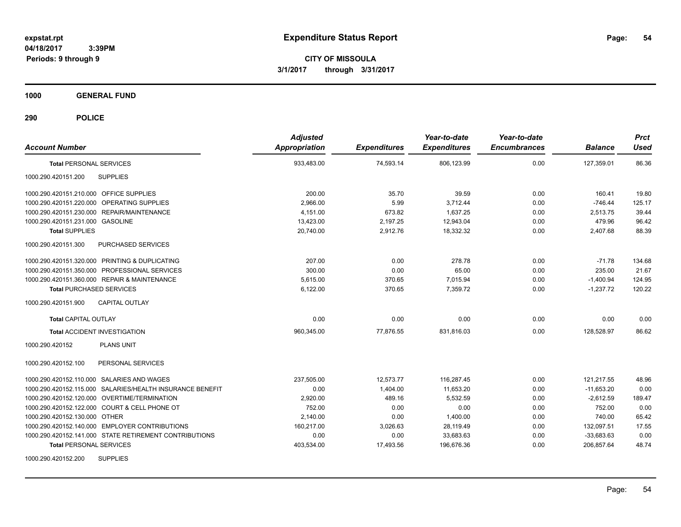**CITY OF MISSOULA 3/1/2017 through 3/31/2017**

**1000 GENERAL FUND**

| <b>Account Number</b>                                     | <b>Adjusted</b><br><b>Appropriation</b> | <b>Expenditures</b> | Year-to-date<br><b>Expenditures</b> | Year-to-date<br><b>Encumbrances</b> | <b>Balance</b> | <b>Prct</b><br><b>Used</b> |
|-----------------------------------------------------------|-----------------------------------------|---------------------|-------------------------------------|-------------------------------------|----------------|----------------------------|
| <b>Total PERSONAL SERVICES</b>                            | 933,483.00                              | 74,593.14           | 806,123.99                          | 0.00                                | 127,359.01     | 86.36                      |
| 1000.290.420151.200<br><b>SUPPLIES</b>                    |                                         |                     |                                     |                                     |                |                            |
| 1000.290.420151.210.000 OFFICE SUPPLIES                   | 200.00                                  | 35.70               | 39.59                               | 0.00                                | 160.41         | 19.80                      |
| 1000.290.420151.220.000 OPERATING SUPPLIES                | 2,966.00                                | 5.99                | 3,712.44                            | 0.00                                | $-746.44$      | 125.17                     |
| 1000.290.420151.230.000 REPAIR/MAINTENANCE                | 4,151.00                                | 673.82              | 1,637.25                            | 0.00                                | 2,513.75       | 39.44                      |
| 1000.290.420151.231.000 GASOLINE                          | 13,423.00                               | 2,197.25            | 12.943.04                           | 0.00                                | 479.96         | 96.42                      |
| <b>Total SUPPLIES</b>                                     | 20.740.00                               | 2.912.76            | 18.332.32                           | 0.00                                | 2,407.68       | 88.39                      |
| 1000.290.420151.300<br>PURCHASED SERVICES                 |                                         |                     |                                     |                                     |                |                            |
| 1000.290.420151.320.000 PRINTING & DUPLICATING            | 207.00                                  | 0.00                | 278.78                              | 0.00                                | $-71.78$       | 134.68                     |
| 1000.290.420151.350.000 PROFESSIONAL SERVICES             | 300.00                                  | 0.00                | 65.00                               | 0.00                                | 235.00         | 21.67                      |
| 1000.290.420151.360.000 REPAIR & MAINTENANCE              | 5.615.00                                | 370.65              | 7.015.94                            | 0.00                                | $-1,400.94$    | 124.95                     |
| <b>Total PURCHASED SERVICES</b>                           | 6,122.00                                | 370.65              | 7.359.72                            | 0.00                                | $-1,237.72$    | 120.22                     |
| 1000.290.420151.900<br><b>CAPITAL OUTLAY</b>              |                                         |                     |                                     |                                     |                |                            |
| <b>Total CAPITAL OUTLAY</b>                               | 0.00                                    | 0.00                | 0.00                                | 0.00                                | 0.00           | 0.00                       |
| <b>Total ACCIDENT INVESTIGATION</b>                       | 960,345.00                              | 77,876.55           | 831,816.03                          | 0.00                                | 128,528.97     | 86.62                      |
| <b>PLANS UNIT</b><br>1000.290.420152                      |                                         |                     |                                     |                                     |                |                            |
| 1000.290.420152.100<br>PERSONAL SERVICES                  |                                         |                     |                                     |                                     |                |                            |
| 1000.290.420152.110.000 SALARIES AND WAGES                | 237,505.00                              | 12,573.77           | 116,287.45                          | 0.00                                | 121,217.55     | 48.96                      |
| 1000.290.420152.115.000 SALARIES/HEALTH INSURANCE BENEFIT | 0.00                                    | 1,404.00            | 11,653.20                           | 0.00                                | $-11,653.20$   | 0.00                       |
| 1000.290.420152.120.000 OVERTIME/TERMINATION              | 2,920.00                                | 489.16              | 5,532.59                            | 0.00                                | $-2,612.59$    | 189.47                     |
| 1000.290.420152.122.000 COURT & CELL PHONE OT             | 752.00                                  | 0.00                | 0.00                                | 0.00                                | 752.00         | 0.00                       |
| 1000.290.420152.130.000 OTHER                             | 2,140.00                                | 0.00                | 1,400.00                            | 0.00                                | 740.00         | 65.42                      |
| 1000.290.420152.140.000 EMPLOYER CONTRIBUTIONS            | 160,217.00                              | 3,026.63            | 28,119.49                           | 0.00                                | 132,097.51     | 17.55                      |
| 1000.290.420152.141.000 STATE RETIREMENT CONTRIBUTIONS    | 0.00                                    | 0.00                | 33,683.63                           | 0.00                                | $-33,683.63$   | 0.00                       |
| <b>Total PERSONAL SERVICES</b>                            | 403,534.00                              | 17,493.56           | 196,676.36                          | 0.00                                | 206,857.64     | 48.74                      |
| <b>SUPPLIES</b><br>1000.290.420152.200                    |                                         |                     |                                     |                                     |                |                            |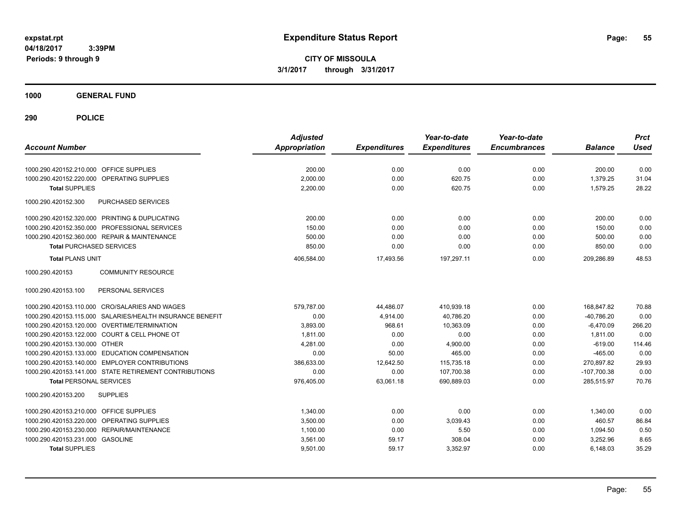**CITY OF MISSOULA 3/1/2017 through 3/31/2017**

**1000 GENERAL FUND**

| <b>Account Number</b>                                     | <b>Adjusted</b><br>Appropriation | <b>Expenditures</b> | Year-to-date<br><b>Expenditures</b> | Year-to-date<br><b>Encumbrances</b> | <b>Balance</b> | <b>Prct</b><br><b>Used</b> |
|-----------------------------------------------------------|----------------------------------|---------------------|-------------------------------------|-------------------------------------|----------------|----------------------------|
| 1000.290.420152.210.000 OFFICE SUPPLIES                   | 200.00                           | 0.00                | 0.00                                | 0.00                                | 200.00         | 0.00                       |
| OPERATING SUPPLIES<br>1000.290.420152.220.000             | 2,000.00                         | 0.00                | 620.75                              | 0.00                                | 1,379.25       | 31.04                      |
| <b>Total SUPPLIES</b>                                     | 2,200.00                         | 0.00                | 620.75                              | 0.00                                | 1,579.25       | 28.22                      |
| 1000.290.420152.300<br>PURCHASED SERVICES                 |                                  |                     |                                     |                                     |                |                            |
| 1000.290.420152.320.000 PRINTING & DUPLICATING            | 200.00                           | 0.00                | 0.00                                | 0.00                                | 200.00         | 0.00                       |
| 1000.290.420152.350.000 PROFESSIONAL SERVICES             | 150.00                           | 0.00                | 0.00                                | 0.00                                | 150.00         | 0.00                       |
| 1000.290.420152.360.000 REPAIR & MAINTENANCE              | 500.00                           | 0.00                | 0.00                                | 0.00                                | 500.00         | 0.00                       |
| <b>Total PURCHASED SERVICES</b>                           | 850.00                           | 0.00                | 0.00                                | 0.00                                | 850.00         | 0.00                       |
| <b>Total PLANS UNIT</b>                                   | 406,584.00                       | 17,493.56           | 197,297.11                          | 0.00                                | 209,286.89     | 48.53                      |
| 1000.290.420153<br><b>COMMUNITY RESOURCE</b>              |                                  |                     |                                     |                                     |                |                            |
| 1000.290.420153.100<br>PERSONAL SERVICES                  |                                  |                     |                                     |                                     |                |                            |
| 1000.290.420153.110.000 CRO/SALARIES AND WAGES            | 579.787.00                       | 44,486.07           | 410,939.18                          | 0.00                                | 168,847.82     | 70.88                      |
| 1000.290.420153.115.000 SALARIES/HEALTH INSURANCE BENEFIT | 0.00                             | 4,914.00            | 40,786.20                           | 0.00                                | $-40,786.20$   | 0.00                       |
| 1000.290.420153.120.000 OVERTIME/TERMINATION              | 3.893.00                         | 968.61              | 10.363.09                           | 0.00                                | $-6,470.09$    | 266.20                     |
| 1000.290.420153.122.000 COURT & CELL PHONE OT             | 1,811.00                         | 0.00                | 0.00                                | 0.00                                | 1,811.00       | 0.00                       |
| 1000.290.420153.130.000 OTHER                             | 4,281.00                         | 0.00                | 4,900.00                            | 0.00                                | $-619.00$      | 114.46                     |
| 1000.290.420153.133.000 EDUCATION COMPENSATION            | 0.00                             | 50.00               | 465.00                              | 0.00                                | $-465.00$      | 0.00                       |
| 1000.290.420153.140.000 EMPLOYER CONTRIBUTIONS            | 386.633.00                       | 12,642.50           | 115,735.18                          | 0.00                                | 270,897.82     | 29.93                      |
| 1000.290.420153.141.000 STATE RETIREMENT CONTRIBUTIONS    | 0.00                             | 0.00                | 107,700.38                          | 0.00                                | $-107,700.38$  | 0.00                       |
| <b>Total PERSONAL SERVICES</b>                            | 976,405.00                       | 63,061.18           | 690,889.03                          | 0.00                                | 285,515.97     | 70.76                      |
| 1000.290.420153.200<br><b>SUPPLIES</b>                    |                                  |                     |                                     |                                     |                |                            |
| 1000.290.420153.210.000<br><b>OFFICE SUPPLIES</b>         | 1,340.00                         | 0.00                | 0.00                                | 0.00                                | 1,340.00       | 0.00                       |
| OPERATING SUPPLIES<br>1000.290.420153.220.000             | 3,500.00                         | 0.00                | 3,039.43                            | 0.00                                | 460.57         | 86.84                      |
| 1000.290.420153.230.000 REPAIR/MAINTENANCE                | 1,100.00                         | 0.00                | 5.50                                | 0.00                                | 1,094.50       | 0.50                       |
| 1000.290.420153.231.000 GASOLINE                          | 3,561.00                         | 59.17               | 308.04                              | 0.00                                | 3,252.96       | 8.65                       |
| <b>Total SUPPLIES</b>                                     | 9,501.00                         | 59.17               | 3,352.97                            | 0.00                                | 6,148.03       | 35.29                      |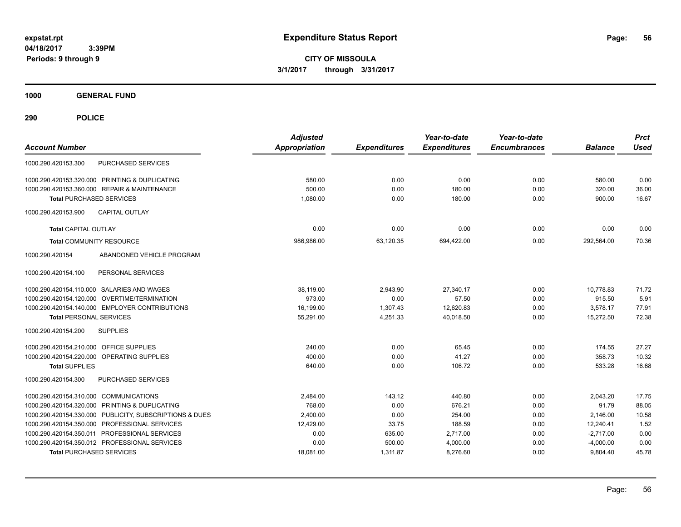**CITY OF MISSOULA 3/1/2017 through 3/31/2017**

**1000 GENERAL FUND**

| <b>Account Number</b>                   |                                                         | <b>Adjusted</b><br><b>Appropriation</b> | <b>Expenditures</b> | Year-to-date<br><b>Expenditures</b> | Year-to-date<br><b>Encumbrances</b> | <b>Balance</b> | <b>Prct</b><br><b>Used</b> |
|-----------------------------------------|---------------------------------------------------------|-----------------------------------------|---------------------|-------------------------------------|-------------------------------------|----------------|----------------------------|
| 1000.290.420153.300                     | <b>PURCHASED SERVICES</b>                               |                                         |                     |                                     |                                     |                |                            |
|                                         | 1000.290.420153.320.000 PRINTING & DUPLICATING          | 580.00                                  | 0.00                | 0.00                                | 0.00                                | 580.00         | 0.00                       |
|                                         | 1000.290.420153.360.000 REPAIR & MAINTENANCE            | 500.00                                  | 0.00                | 180.00                              | 0.00                                | 320.00         | 36.00                      |
| <b>Total PURCHASED SERVICES</b>         |                                                         | 1,080.00                                | 0.00                | 180.00                              | 0.00                                | 900.00         | 16.67                      |
| 1000.290.420153.900                     | <b>CAPITAL OUTLAY</b>                                   |                                         |                     |                                     |                                     |                |                            |
| <b>Total CAPITAL OUTLAY</b>             |                                                         | 0.00                                    | 0.00                | 0.00                                | 0.00                                | 0.00           | 0.00                       |
| <b>Total COMMUNITY RESOURCE</b>         |                                                         | 986,986.00                              | 63,120.35           | 694,422.00                          | 0.00                                | 292,564.00     | 70.36                      |
| 1000.290.420154                         | ABANDONED VEHICLE PROGRAM                               |                                         |                     |                                     |                                     |                |                            |
| 1000.290.420154.100                     | PERSONAL SERVICES                                       |                                         |                     |                                     |                                     |                |                            |
|                                         | 1000.290.420154.110.000 SALARIES AND WAGES              | 38,119.00                               | 2,943.90            | 27,340.17                           | 0.00                                | 10.778.83      | 71.72                      |
|                                         | 1000.290.420154.120.000 OVERTIME/TERMINATION            | 973.00                                  | 0.00                | 57.50                               | 0.00                                | 915.50         | 5.91                       |
|                                         | 1000.290.420154.140.000 EMPLOYER CONTRIBUTIONS          | 16,199.00                               | 1,307.43            | 12,620.83                           | 0.00                                | 3.578.17       | 77.91                      |
| <b>Total PERSONAL SERVICES</b>          |                                                         | 55,291.00                               | 4,251.33            | 40.018.50                           | 0.00                                | 15,272.50      | 72.38                      |
| 1000.290.420154.200                     | <b>SUPPLIES</b>                                         |                                         |                     |                                     |                                     |                |                            |
| 1000.290.420154.210.000 OFFICE SUPPLIES |                                                         | 240.00                                  | 0.00                | 65.45                               | 0.00                                | 174.55         | 27.27                      |
|                                         | 1000.290.420154.220.000 OPERATING SUPPLIES              | 400.00                                  | 0.00                | 41.27                               | 0.00                                | 358.73         | 10.32                      |
| <b>Total SUPPLIES</b>                   |                                                         | 640.00                                  | 0.00                | 106.72                              | 0.00                                | 533.28         | 16.68                      |
| 1000.290.420154.300                     | PURCHASED SERVICES                                      |                                         |                     |                                     |                                     |                |                            |
| 1000.290.420154.310.000 COMMUNICATIONS  |                                                         | 2,484.00                                | 143.12              | 440.80                              | 0.00                                | 2,043.20       | 17.75                      |
|                                         | 1000.290.420154.320.000 PRINTING & DUPLICATING          | 768.00                                  | 0.00                | 676.21                              | 0.00                                | 91.79          | 88.05                      |
|                                         | 1000.290.420154.330.000 PUBLICITY, SUBSCRIPTIONS & DUES | 2,400.00                                | 0.00                | 254.00                              | 0.00                                | 2,146.00       | 10.58                      |
|                                         | 1000.290.420154.350.000 PROFESSIONAL SERVICES           | 12,429.00                               | 33.75               | 188.59                              | 0.00                                | 12,240.41      | 1.52                       |
|                                         | 1000.290.420154.350.011 PROFESSIONAL SERVICES           | 0.00                                    | 635.00              | 2,717.00                            | 0.00                                | $-2.717.00$    | 0.00                       |
|                                         | 1000.290.420154.350.012 PROFESSIONAL SERVICES           | 0.00                                    | 500.00              | 4,000.00                            | 0.00                                | $-4,000.00$    | 0.00                       |
| <b>Total PURCHASED SERVICES</b>         |                                                         | 18,081.00                               | 1,311.87            | 8,276.60                            | 0.00                                | 9,804.40       | 45.78                      |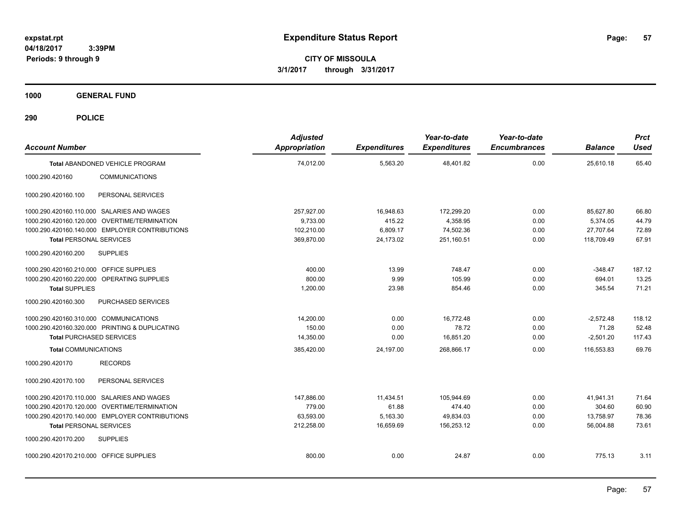**CITY OF MISSOULA 3/1/2017 through 3/31/2017**

**1000 GENERAL FUND**

| <b>Account Number</b>                          | <b>Adjusted</b><br>Appropriation | <b>Expenditures</b> | Year-to-date<br><b>Expenditures</b> | Year-to-date<br><b>Encumbrances</b> | <b>Balance</b> | <b>Prct</b><br><b>Used</b> |
|------------------------------------------------|----------------------------------|---------------------|-------------------------------------|-------------------------------------|----------------|----------------------------|
| Total ABANDONED VEHICLE PROGRAM                | 74,012.00                        | 5,563.20            | 48,401.82                           | 0.00                                | 25,610.18      | 65.40                      |
| 1000.290.420160<br><b>COMMUNICATIONS</b>       |                                  |                     |                                     |                                     |                |                            |
| PERSONAL SERVICES<br>1000.290.420160.100       |                                  |                     |                                     |                                     |                |                            |
| 1000.290.420160.110.000 SALARIES AND WAGES     | 257,927.00                       | 16,948.63           | 172,299.20                          | 0.00                                | 85.627.80      | 66.80                      |
| 1000.290.420160.120.000 OVERTIME/TERMINATION   | 9,733.00                         | 415.22              | 4,358.95                            | 0.00                                | 5,374.05       | 44.79                      |
| 1000.290.420160.140.000 EMPLOYER CONTRIBUTIONS | 102,210.00                       | 6,809.17            | 74,502.36                           | 0.00                                | 27,707.64      | 72.89                      |
| <b>Total PERSONAL SERVICES</b>                 | 369,870.00                       | 24,173.02           | 251,160.51                          | 0.00                                | 118,709.49     | 67.91                      |
| 1000.290.420160.200<br><b>SUPPLIES</b>         |                                  |                     |                                     |                                     |                |                            |
| 1000.290.420160.210.000 OFFICE SUPPLIES        | 400.00                           | 13.99               | 748.47                              | 0.00                                | $-348.47$      | 187.12                     |
| 1000.290.420160.220.000 OPERATING SUPPLIES     | 800.00                           | 9.99                | 105.99                              | 0.00                                | 694.01         | 13.25                      |
| <b>Total SUPPLIES</b>                          | 1,200.00                         | 23.98               | 854.46                              | 0.00                                | 345.54         | 71.21                      |
| 1000.290.420160.300<br>PURCHASED SERVICES      |                                  |                     |                                     |                                     |                |                            |
| 1000.290.420160.310.000 COMMUNICATIONS         | 14,200.00                        | 0.00                | 16,772.48                           | 0.00                                | $-2,572.48$    | 118.12                     |
| 1000.290.420160.320.000 PRINTING & DUPLICATING | 150.00                           | 0.00                | 78.72                               | 0.00                                | 71.28          | 52.48                      |
| <b>Total PURCHASED SERVICES</b>                | 14,350.00                        | 0.00                | 16,851.20                           | 0.00                                | $-2,501.20$    | 117.43                     |
| <b>Total COMMUNICATIONS</b>                    | 385,420.00                       | 24,197.00           | 268,866.17                          | 0.00                                | 116,553.83     | 69.76                      |
| 1000.290.420170<br><b>RECORDS</b>              |                                  |                     |                                     |                                     |                |                            |
| PERSONAL SERVICES<br>1000.290.420170.100       |                                  |                     |                                     |                                     |                |                            |
| 1000.290.420170.110.000 SALARIES AND WAGES     | 147,886.00                       | 11,434.51           | 105,944.69                          | 0.00                                | 41,941.31      | 71.64                      |
| 1000.290.420170.120.000 OVERTIME/TERMINATION   | 779.00                           | 61.88               | 474.40                              | 0.00                                | 304.60         | 60.90                      |
| 1000.290.420170.140.000 EMPLOYER CONTRIBUTIONS | 63,593.00                        | 5,163.30            | 49,834.03                           | 0.00                                | 13.758.97      | 78.36                      |
| <b>Total PERSONAL SERVICES</b>                 | 212,258.00                       | 16,659.69           | 156,253.12                          | 0.00                                | 56,004.88      | 73.61                      |
| <b>SUPPLIES</b><br>1000.290.420170.200         |                                  |                     |                                     |                                     |                |                            |
| 1000.290.420170.210.000 OFFICE SUPPLIES        | 800.00                           | 0.00                | 24.87                               | 0.00                                | 775.13         | 3.11                       |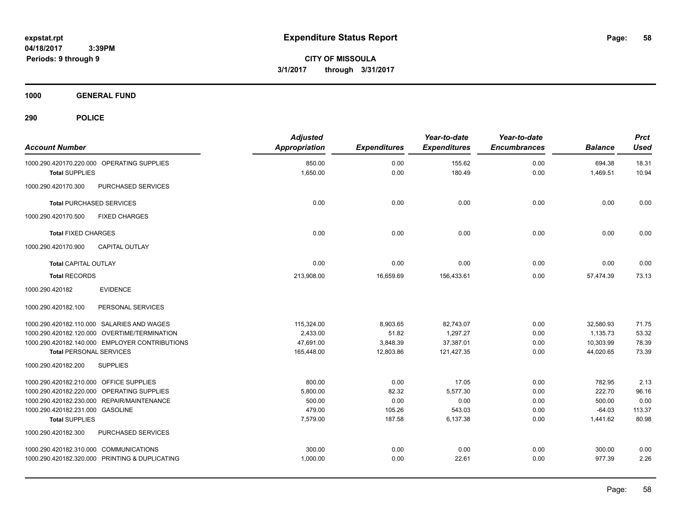**58**

**CITY OF MISSOULA 3/1/2017 through 3/31/2017**

**1000 GENERAL FUND**

| <b>Account Number</b>                                               | <b>Adjusted</b><br><b>Appropriation</b> | <b>Expenditures</b> | Year-to-date<br><b>Expenditures</b> | Year-to-date<br><b>Encumbrances</b> | <b>Balance</b>     | <b>Prct</b><br><b>Used</b> |
|---------------------------------------------------------------------|-----------------------------------------|---------------------|-------------------------------------|-------------------------------------|--------------------|----------------------------|
| 1000.290.420170.220.000 OPERATING SUPPLIES<br><b>Total SUPPLIES</b> | 850.00<br>1,650.00                      | 0.00<br>0.00        | 155.62<br>180.49                    | 0.00<br>0.00                        | 694.38<br>1,469.51 | 18.31<br>10.94             |
| 1000.290.420170.300<br>PURCHASED SERVICES                           |                                         |                     |                                     |                                     |                    |                            |
| <b>Total PURCHASED SERVICES</b>                                     | 0.00                                    | 0.00                | 0.00                                | 0.00                                | 0.00               | 0.00                       |
| 1000.290.420170.500<br><b>FIXED CHARGES</b>                         |                                         |                     |                                     |                                     |                    |                            |
| <b>Total FIXED CHARGES</b>                                          | 0.00                                    | 0.00                | 0.00                                | 0.00                                | 0.00               | 0.00                       |
| 1000.290.420170.900<br><b>CAPITAL OUTLAY</b>                        |                                         |                     |                                     |                                     |                    |                            |
| <b>Total CAPITAL OUTLAY</b>                                         | 0.00                                    | 0.00                | 0.00                                | 0.00                                | 0.00               | 0.00                       |
| <b>Total RECORDS</b>                                                | 213,908.00                              | 16,659.69           | 156,433.61                          | 0.00                                | 57,474.39          | 73.13                      |
| 1000.290.420182<br><b>EVIDENCE</b>                                  |                                         |                     |                                     |                                     |                    |                            |
| 1000.290.420182.100<br>PERSONAL SERVICES                            |                                         |                     |                                     |                                     |                    |                            |
| 1000.290.420182.110.000 SALARIES AND WAGES                          | 115,324.00                              | 8,903.65            | 82,743.07                           | 0.00                                | 32,580.93          | 71.75                      |
| 1000.290.420182.120.000 OVERTIME/TERMINATION                        | 2,433.00                                | 51.82               | 1,297.27                            | 0.00                                | 1,135.73           | 53.32                      |
| 1000.290.420182.140.000 EMPLOYER CONTRIBUTIONS                      | 47,691.00                               | 3,848.39            | 37,387.01                           | 0.00                                | 10,303.99          | 78.39                      |
| <b>Total PERSONAL SERVICES</b>                                      | 165,448.00                              | 12,803.86           | 121,427.35                          | 0.00                                | 44,020.65          | 73.39                      |
| 1000.290.420182.200<br><b>SUPPLIES</b>                              |                                         |                     |                                     |                                     |                    |                            |
| 1000.290.420182.210.000 OFFICE SUPPLIES                             | 800.00                                  | 0.00                | 17.05                               | 0.00                                | 782.95             | 2.13                       |
| 1000.290.420182.220.000 OPERATING SUPPLIES                          | 5,800.00                                | 82.32               | 5,577.30                            | 0.00                                | 222.70             | 96.16                      |
| 1000.290.420182.230.000 REPAIR/MAINTENANCE                          | 500.00                                  | 0.00                | 0.00                                | 0.00                                | 500.00             | 0.00                       |
| 1000.290.420182.231.000 GASOLINE                                    | 479.00                                  | 105.26              | 543.03                              | 0.00                                | $-64.03$           | 113.37                     |
| <b>Total SUPPLIES</b>                                               | 7,579.00                                | 187.58              | 6,137.38                            | 0.00                                | 1,441.62           | 80.98                      |
| 1000.290.420182.300<br>PURCHASED SERVICES                           |                                         |                     |                                     |                                     |                    |                            |
| 1000.290.420182.310.000 COMMUNICATIONS                              | 300.00                                  | 0.00                | 0.00                                | 0.00                                | 300.00             | 0.00                       |
| 1000.290.420182.320.000 PRINTING & DUPLICATING                      | 1,000.00                                | 0.00                | 22.61                               | 0.00                                | 977.39             | 2.26                       |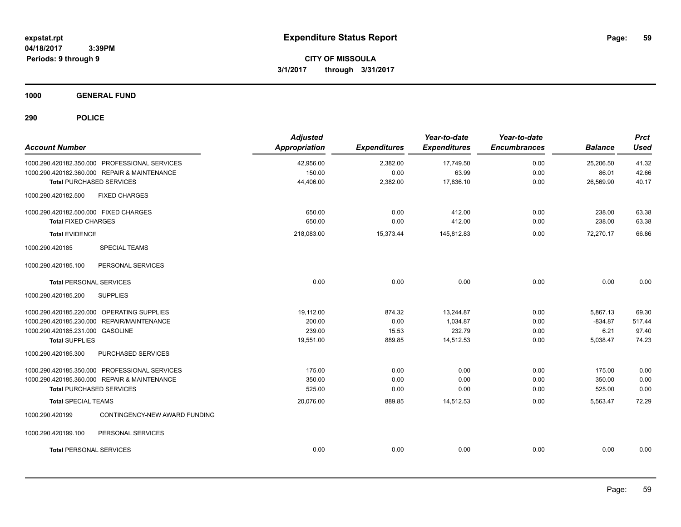**CITY OF MISSOULA 3/1/2017 through 3/31/2017**

**1000 GENERAL FUND**

| <b>Account Number</b>                            | <b>Adjusted</b><br>Appropriation | <b>Expenditures</b> | Year-to-date<br><b>Expenditures</b> | Year-to-date<br><b>Encumbrances</b> | <b>Balance</b> | <b>Prct</b><br><b>Used</b> |
|--------------------------------------------------|----------------------------------|---------------------|-------------------------------------|-------------------------------------|----------------|----------------------------|
| 1000.290.420182.350.000 PROFESSIONAL SERVICES    | 42,956.00                        | 2,382.00            | 17,749.50                           | 0.00                                | 25,206.50      | 41.32                      |
| 1000.290.420182.360.000 REPAIR & MAINTENANCE     | 150.00                           | 0.00                | 63.99                               | 0.00                                | 86.01          | 42.66                      |
| <b>Total PURCHASED SERVICES</b>                  | 44,406.00                        | 2,382.00            | 17,836.10                           | 0.00                                | 26,569.90      | 40.17                      |
| 1000.290.420182.500<br><b>FIXED CHARGES</b>      |                                  |                     |                                     |                                     |                |                            |
| 1000.290.420182.500.000 FIXED CHARGES            | 650.00                           | 0.00                | 412.00                              | 0.00                                | 238.00         | 63.38                      |
| <b>Total FIXED CHARGES</b>                       | 650.00                           | 0.00                | 412.00                              | 0.00                                | 238.00         | 63.38                      |
| <b>Total EVIDENCE</b>                            | 218,083.00                       | 15,373.44           | 145,812.83                          | 0.00                                | 72,270.17      | 66.86                      |
| 1000.290.420185<br><b>SPECIAL TEAMS</b>          |                                  |                     |                                     |                                     |                |                            |
| 1000.290.420185.100<br>PERSONAL SERVICES         |                                  |                     |                                     |                                     |                |                            |
| <b>Total PERSONAL SERVICES</b>                   | 0.00                             | 0.00                | 0.00                                | 0.00                                | 0.00           | 0.00                       |
| 1000.290.420185.200<br><b>SUPPLIES</b>           |                                  |                     |                                     |                                     |                |                            |
| 1000.290.420185.220.000 OPERATING SUPPLIES       | 19,112.00                        | 874.32              | 13.244.87                           | 0.00                                | 5,867.13       | 69.30                      |
| 1000.290.420185.230.000 REPAIR/MAINTENANCE       | 200.00                           | 0.00                | 1,034.87                            | 0.00                                | $-834.87$      | 517.44                     |
| 1000.290.420185.231.000 GASOLINE                 | 239.00                           | 15.53               | 232.79                              | 0.00                                | 6.21           | 97.40                      |
| <b>Total SUPPLIES</b>                            | 19,551.00                        | 889.85              | 14,512.53                           | 0.00                                | 5,038.47       | 74.23                      |
| 1000.290.420185.300<br>PURCHASED SERVICES        |                                  |                     |                                     |                                     |                |                            |
| 1000.290.420185.350.000 PROFESSIONAL SERVICES    | 175.00                           | 0.00                | 0.00                                | 0.00                                | 175.00         | 0.00                       |
| 1000.290.420185.360.000 REPAIR & MAINTENANCE     | 350.00                           | 0.00                | 0.00                                | 0.00                                | 350.00         | 0.00                       |
| <b>Total PURCHASED SERVICES</b>                  | 525.00                           | 0.00                | 0.00                                | 0.00                                | 525.00         | 0.00                       |
| <b>Total SPECIAL TEAMS</b>                       | 20,076.00                        | 889.85              | 14,512.53                           | 0.00                                | 5,563.47       | 72.29                      |
| CONTINGENCY-NEW AWARD FUNDING<br>1000.290.420199 |                                  |                     |                                     |                                     |                |                            |
| 1000.290.420199.100<br>PERSONAL SERVICES         |                                  |                     |                                     |                                     |                |                            |
| <b>Total PERSONAL SERVICES</b>                   | 0.00                             | 0.00                | 0.00                                | 0.00                                | 0.00           | 0.00                       |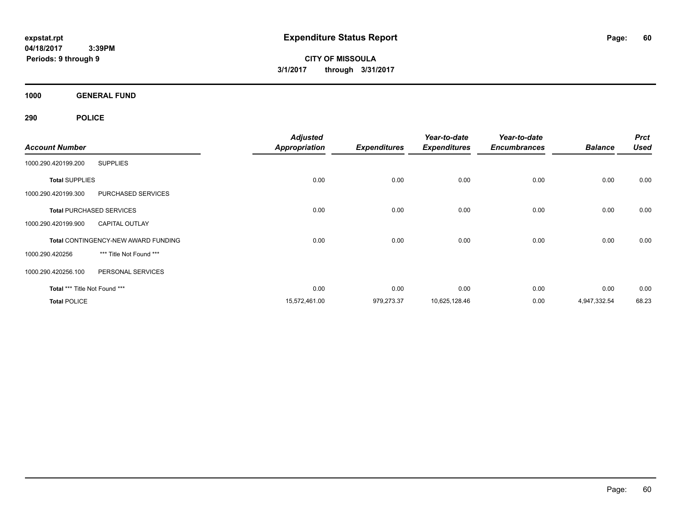**CITY OF MISSOULA 3/1/2017 through 3/31/2017**

**1000 GENERAL FUND**

|                               |                                            | <b>Adjusted</b>      |                     | Year-to-date        | Year-to-date        |                | <b>Prct</b> |
|-------------------------------|--------------------------------------------|----------------------|---------------------|---------------------|---------------------|----------------|-------------|
| <b>Account Number</b>         |                                            | <b>Appropriation</b> | <b>Expenditures</b> | <b>Expenditures</b> | <b>Encumbrances</b> | <b>Balance</b> | <b>Used</b> |
| 1000.290.420199.200           | <b>SUPPLIES</b>                            |                      |                     |                     |                     |                |             |
| <b>Total SUPPLIES</b>         |                                            | 0.00                 | 0.00                | 0.00                | 0.00                | 0.00           | 0.00        |
| 1000.290.420199.300           | PURCHASED SERVICES                         |                      |                     |                     |                     |                |             |
|                               | <b>Total PURCHASED SERVICES</b>            | 0.00                 | 0.00                | 0.00                | 0.00                | 0.00           | 0.00        |
| 1000.290.420199.900           | <b>CAPITAL OUTLAY</b>                      |                      |                     |                     |                     |                |             |
|                               | <b>Total CONTINGENCY-NEW AWARD FUNDING</b> | 0.00                 | 0.00                | 0.00                | 0.00                | 0.00           | 0.00        |
| 1000.290.420256               | *** Title Not Found ***                    |                      |                     |                     |                     |                |             |
| 1000.290.420256.100           | PERSONAL SERVICES                          |                      |                     |                     |                     |                |             |
| Total *** Title Not Found *** |                                            | 0.00                 | 0.00                | 0.00                | 0.00                | 0.00           | 0.00        |
| <b>Total POLICE</b>           |                                            | 15,572,461.00        | 979,273.37          | 10,625,128.46       | 0.00                | 4,947,332.54   | 68.23       |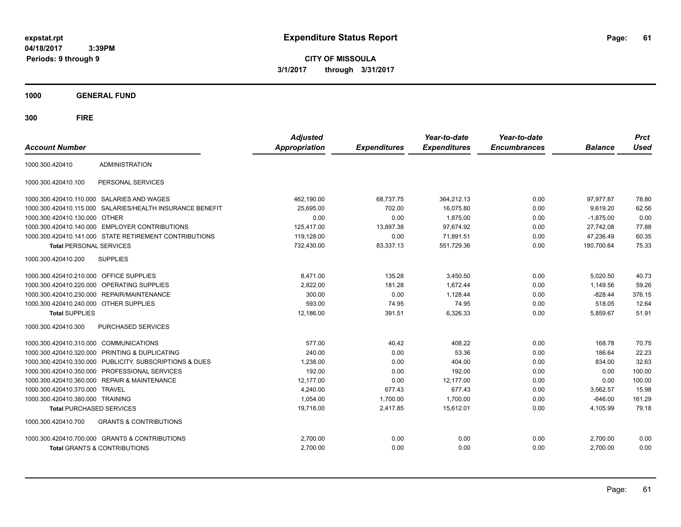**CITY OF MISSOULA 3/1/2017 through 3/31/2017**

**1000 GENERAL FUND**

| <b>Account Number</b>                   |                                                         | <b>Adjusted</b><br>Appropriation | <b>Expenditures</b> | Year-to-date<br><b>Expenditures</b> | Year-to-date<br><b>Encumbrances</b> | <b>Balance</b> | <b>Prct</b><br><b>Used</b> |
|-----------------------------------------|---------------------------------------------------------|----------------------------------|---------------------|-------------------------------------|-------------------------------------|----------------|----------------------------|
| 1000.300.420410                         | ADMINISTRATION                                          |                                  |                     |                                     |                                     |                |                            |
| 1000.300.420410.100                     | PERSONAL SERVICES                                       |                                  |                     |                                     |                                     |                |                            |
|                                         | 1000.300.420410.110.000 SALARIES AND WAGES              | 462,190.00                       | 68,737.75           | 364,212.13                          | 0.00                                | 97,977.87      | 78.80                      |
| 1000.300.420410.115.000                 | SALARIES/HEALTH INSURANCE BENEFIT                       | 25,695.00                        | 702.00              | 16,075.80                           | 0.00                                | 9,619.20       | 62.56                      |
| 1000.300.420410.130.000                 | <b>OTHER</b>                                            | 0.00                             | 0.00                | 1,875.00                            | 0.00                                | $-1,875.00$    | 0.00                       |
|                                         | 1000.300.420410.140.000 EMPLOYER CONTRIBUTIONS          | 125,417.00                       | 13,897.38           | 97,674.92                           | 0.00                                | 27,742.08      | 77.88                      |
|                                         | 1000.300.420410.141.000 STATE RETIREMENT CONTRIBUTIONS  | 119,128.00                       | 0.00                | 71,891.51                           | 0.00                                | 47,236.49      | 60.35                      |
| <b>Total PERSONAL SERVICES</b>          |                                                         | 732,430.00                       | 83,337.13           | 551,729.36                          | 0.00                                | 180,700.64     | 75.33                      |
| 1000.300.420410.200                     | <b>SUPPLIES</b>                                         |                                  |                     |                                     |                                     |                |                            |
| 1000.300.420410.210.000 OFFICE SUPPLIES |                                                         | 8,471.00                         | 135.28              | 3,450.50                            | 0.00                                | 5,020.50       | 40.73                      |
|                                         | 1000.300.420410.220.000 OPERATING SUPPLIES              | 2,822.00                         | 181.28              | 1,672.44                            | 0.00                                | 1,149.56       | 59.26                      |
|                                         | 1000.300.420410.230.000 REPAIR/MAINTENANCE              | 300.00                           | 0.00                | 1,128.44                            | 0.00                                | $-828.44$      | 376.15                     |
| 1000.300.420410.240.000 OTHER SUPPLIES  |                                                         | 593.00                           | 74.95               | 74.95                               | 0.00                                | 518.05         | 12.64                      |
| <b>Total SUPPLIES</b>                   |                                                         | 12,186.00                        | 391.51              | 6,326.33                            | 0.00                                | 5,859.67       | 51.91                      |
| 1000.300.420410.300                     | <b>PURCHASED SERVICES</b>                               |                                  |                     |                                     |                                     |                |                            |
| 1000.300.420410.310.000 COMMUNICATIONS  |                                                         | 577.00                           | 40.42               | 408.22                              | 0.00                                | 168.78         | 70.75                      |
| 1000.300.420410.320.000                 | PRINTING & DUPLICATING                                  | 240.00                           | 0.00                | 53.36                               | 0.00                                | 186.64         | 22.23                      |
|                                         | 1000.300.420410.330.000 PUBLICITY, SUBSCRIPTIONS & DUES | 1,238.00                         | 0.00                | 404.00                              | 0.00                                | 834.00         | 32.63                      |
|                                         | 1000.300.420410.350.000 PROFESSIONAL SERVICES           | 192.00                           | 0.00                | 192.00                              | 0.00                                | 0.00           | 100.00                     |
| 1000.300.420410.360.000                 | <b>REPAIR &amp; MAINTENANCE</b>                         | 12,177.00                        | 0.00                | 12,177.00                           | 0.00                                | 0.00           | 100.00                     |
| 1000.300.420410.370.000                 | <b>TRAVEL</b>                                           | 4,240.00                         | 677.43              | 677.43                              | 0.00                                | 3,562.57       | 15.98                      |
| 1000.300.420410.380.000 TRAINING        |                                                         | 1,054.00                         | 1,700.00            | 1,700.00                            | 0.00                                | $-646.00$      | 161.29                     |
| <b>Total PURCHASED SERVICES</b>         |                                                         | 19,718.00                        | 2,417.85            | 15,612.01                           | 0.00                                | 4,105.99       | 79.18                      |
| 1000.300.420410.700                     | <b>GRANTS &amp; CONTRIBUTIONS</b>                       |                                  |                     |                                     |                                     |                |                            |
|                                         | 1000.300.420410.700.000 GRANTS & CONTRIBUTIONS          | 2,700.00                         | 0.00                | 0.00                                | 0.00                                | 2,700.00       | 0.00                       |
|                                         | <b>Total GRANTS &amp; CONTRIBUTIONS</b>                 | 2,700.00                         | 0.00                | 0.00                                | 0.00                                | 2,700.00       | 0.00                       |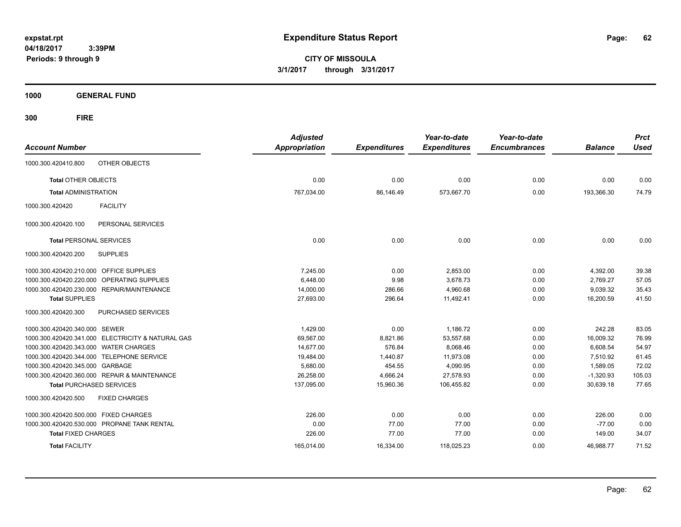**CITY OF MISSOULA 3/1/2017 through 3/31/2017**

**1000 GENERAL FUND**

| <b>Account Number</b>                   |                                                   | <b>Adjusted</b><br><b>Appropriation</b> | <b>Expenditures</b> | Year-to-date<br><b>Expenditures</b> | Year-to-date<br><b>Encumbrances</b> | <b>Balance</b> | <b>Prct</b><br><b>Used</b> |
|-----------------------------------------|---------------------------------------------------|-----------------------------------------|---------------------|-------------------------------------|-------------------------------------|----------------|----------------------------|
| 1000.300.420410.800                     | <b>OTHER OBJECTS</b>                              |                                         |                     |                                     |                                     |                |                            |
| <b>Total OTHER OBJECTS</b>              |                                                   | 0.00                                    | 0.00                | 0.00                                | 0.00                                | 0.00           | 0.00                       |
| <b>Total ADMINISTRATION</b>             |                                                   | 767,034.00                              | 86,146.49           | 573,667.70                          | 0.00                                | 193,366.30     | 74.79                      |
| 1000.300.420420                         | <b>FACILITY</b>                                   |                                         |                     |                                     |                                     |                |                            |
| 1000.300.420420.100                     | PERSONAL SERVICES                                 |                                         |                     |                                     |                                     |                |                            |
| <b>Total PERSONAL SERVICES</b>          |                                                   | 0.00                                    | 0.00                | 0.00                                | 0.00                                | 0.00           | 0.00                       |
| 1000.300.420420.200                     | <b>SUPPLIES</b>                                   |                                         |                     |                                     |                                     |                |                            |
| 1000.300.420420.210.000 OFFICE SUPPLIES |                                                   | 7.245.00                                | 0.00                | 2.853.00                            | 0.00                                | 4,392.00       | 39.38                      |
| 1000.300.420420.220.000                 | OPERATING SUPPLIES                                | 6.448.00                                | 9.98                | 3.678.73                            | 0.00                                | 2,769.27       | 57.05                      |
|                                         | 1000.300.420420.230.000 REPAIR/MAINTENANCE        | 14,000.00                               | 286.66              | 4,960.68                            | 0.00                                | 9,039.32       | 35.43                      |
| <b>Total SUPPLIES</b>                   |                                                   | 27,693.00                               | 296.64              | 11,492.41                           | 0.00                                | 16,200.59      | 41.50                      |
| 1000.300.420420.300                     | PURCHASED SERVICES                                |                                         |                     |                                     |                                     |                |                            |
| 1000.300.420420.340.000 SEWER           |                                                   | 1,429.00                                | 0.00                | 1,186.72                            | 0.00                                | 242.28         | 83.05                      |
|                                         | 1000.300.420420.341.000 ELECTRICITY & NATURAL GAS | 69,567.00                               | 8,821.86            | 53,557.68                           | 0.00                                | 16,009.32      | 76.99                      |
| 1000.300.420420.343.000 WATER CHARGES   |                                                   | 14.677.00                               | 576.84              | 8.068.46                            | 0.00                                | 6.608.54       | 54.97                      |
|                                         | 1000.300.420420.344.000 TELEPHONE SERVICE         | 19,484.00                               | 1.440.87            | 11.973.08                           | 0.00                                | 7.510.92       | 61.45                      |
| 1000.300.420420.345.000 GARBAGE         |                                                   | 5,680.00                                | 454.55              | 4,090.95                            | 0.00                                | 1,589.05       | 72.02                      |
|                                         | 1000.300.420420.360.000 REPAIR & MAINTENANCE      | 26,258.00                               | 4,666.24            | 27,578.93                           | 0.00                                | $-1,320.93$    | 105.03                     |
|                                         | <b>Total PURCHASED SERVICES</b>                   | 137,095.00                              | 15,960.36           | 106,455.82                          | 0.00                                | 30,639.18      | 77.65                      |
| 1000.300.420420.500                     | <b>FIXED CHARGES</b>                              |                                         |                     |                                     |                                     |                |                            |
| 1000.300.420420.500.000 FIXED CHARGES   |                                                   | 226.00                                  | 0.00                | 0.00                                | 0.00                                | 226.00         | 0.00                       |
|                                         | 1000.300.420420.530.000 PROPANE TANK RENTAL       | 0.00                                    | 77.00               | 77.00                               | 0.00                                | $-77.00$       | 0.00                       |
| <b>Total FIXED CHARGES</b>              |                                                   | 226.00                                  | 77.00               | 77.00                               | 0.00                                | 149.00         | 34.07                      |
| <b>Total FACILITY</b>                   |                                                   | 165,014.00                              | 16,334.00           | 118,025.23                          | 0.00                                | 46,988.77      | 71.52                      |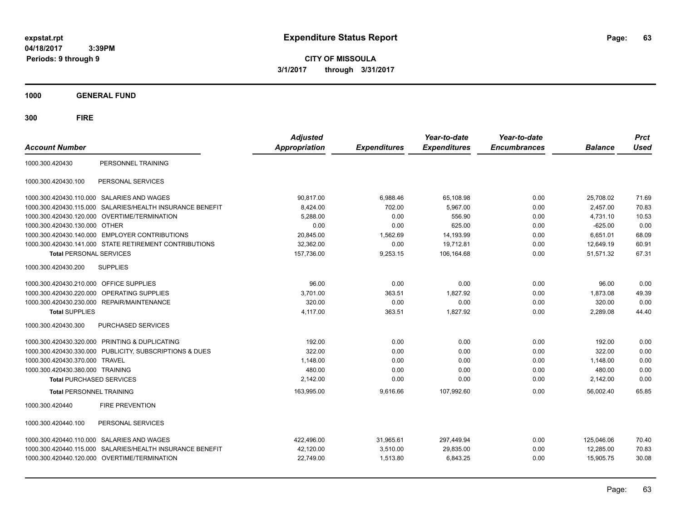**CITY OF MISSOULA 3/1/2017 through 3/31/2017**

**1000 GENERAL FUND**

| <b>Account Number</b>            |                                                        | <b>Adjusted</b><br>Appropriation | <b>Expenditures</b> | Year-to-date<br><b>Expenditures</b> | Year-to-date<br><b>Encumbrances</b> | <b>Balance</b> | <b>Prct</b><br><b>Used</b> |
|----------------------------------|--------------------------------------------------------|----------------------------------|---------------------|-------------------------------------|-------------------------------------|----------------|----------------------------|
| 1000.300.420430                  | PERSONNEL TRAINING                                     |                                  |                     |                                     |                                     |                |                            |
| 1000.300.420430.100              | PERSONAL SERVICES                                      |                                  |                     |                                     |                                     |                |                            |
| 1000.300.420430.110.000          | SALARIES AND WAGES                                     | 90,817.00                        | 6,988.46            | 65,108.98                           | 0.00                                | 25,708.02      | 71.69                      |
| 1000.300.420430.115.000          | SALARIES/HEALTH INSURANCE BENEFIT                      | 8.424.00                         | 702.00              | 5,967.00                            | 0.00                                | 2.457.00       | 70.83                      |
| 1000.300.420430.120.000          | OVERTIME/TERMINATION                                   | 5,288.00                         | 0.00                | 556.90                              | 0.00                                | 4,731.10       | 10.53                      |
| 1000.300.420430.130.000          | OTHER                                                  | 0.00                             | 0.00                | 625.00                              | 0.00                                | $-625.00$      | 0.00                       |
| 1000.300.420430.140.000          | <b>EMPLOYER CONTRIBUTIONS</b>                          | 20,845.00                        | 1,562.69            | 14,193.99                           | 0.00                                | 6,651.01       | 68.09                      |
|                                  | 1000.300.420430.141.000 STATE RETIREMENT CONTRIBUTIONS | 32,362.00                        | 0.00                | 19,712.81                           | 0.00                                | 12,649.19      | 60.91                      |
| <b>Total PERSONAL SERVICES</b>   |                                                        | 157,736.00                       | 9,253.15            | 106,164.68                          | 0.00                                | 51,571.32      | 67.31                      |
| 1000.300.420430.200              | <b>SUPPLIES</b>                                        |                                  |                     |                                     |                                     |                |                            |
| 1000.300.420430.210.000          | <b>OFFICE SUPPLIES</b>                                 | 96.00                            | 0.00                | 0.00                                | 0.00                                | 96.00          | 0.00                       |
| 1000.300.420430.220.000          | OPERATING SUPPLIES                                     | 3,701.00                         | 363.51              | 1,827.92                            | 0.00                                | 1,873.08       | 49.39                      |
|                                  | 1000.300.420430.230.000 REPAIR/MAINTENANCE             | 320.00                           | 0.00                | 0.00                                | 0.00                                | 320.00         | 0.00                       |
| <b>Total SUPPLIES</b>            |                                                        | 4,117.00                         | 363.51              | 1,827.92                            | 0.00                                | 2,289.08       | 44.40                      |
| 1000.300.420430.300              | PURCHASED SERVICES                                     |                                  |                     |                                     |                                     |                |                            |
|                                  | 1000.300.420430.320.000 PRINTING & DUPLICATING         | 192.00                           | 0.00                | 0.00                                | 0.00                                | 192.00         | 0.00                       |
| 1000.300.420430.330.000          | PUBLICITY, SUBSCRIPTIONS & DUES                        | 322.00                           | 0.00                | 0.00                                | 0.00                                | 322.00         | 0.00                       |
| 1000.300.420430.370.000          | <b>TRAVEL</b>                                          | 1,148.00                         | 0.00                | 0.00                                | 0.00                                | 1,148.00       | 0.00                       |
| 1000.300.420430.380.000 TRAINING |                                                        | 480.00                           | 0.00                | 0.00                                | 0.00                                | 480.00         | 0.00                       |
| <b>Total PURCHASED SERVICES</b>  |                                                        | 2,142.00                         | 0.00                | 0.00                                | 0.00                                | 2,142.00       | 0.00                       |
| <b>Total PERSONNEL TRAINING</b>  |                                                        | 163,995.00                       | 9,616.66            | 107,992.60                          | 0.00                                | 56.002.40      | 65.85                      |
| 1000.300.420440                  | <b>FIRE PREVENTION</b>                                 |                                  |                     |                                     |                                     |                |                            |
| 1000.300.420440.100              | PERSONAL SERVICES                                      |                                  |                     |                                     |                                     |                |                            |
| 1000.300.420440.110.000          | <b>SALARIES AND WAGES</b>                              | 422,496.00                       | 31,965.61           | 297,449.94                          | 0.00                                | 125,046.06     | 70.40                      |
| 1000.300.420440.115.000          | SALARIES/HEALTH INSURANCE BENEFIT                      | 42,120.00                        | 3,510.00            | 29,835.00                           | 0.00                                | 12,285.00      | 70.83                      |
|                                  | 1000.300.420440.120.000 OVERTIME/TERMINATION           | 22,749.00                        | 1,513.80            | 6,843.25                            | 0.00                                | 15,905.75      | 30.08                      |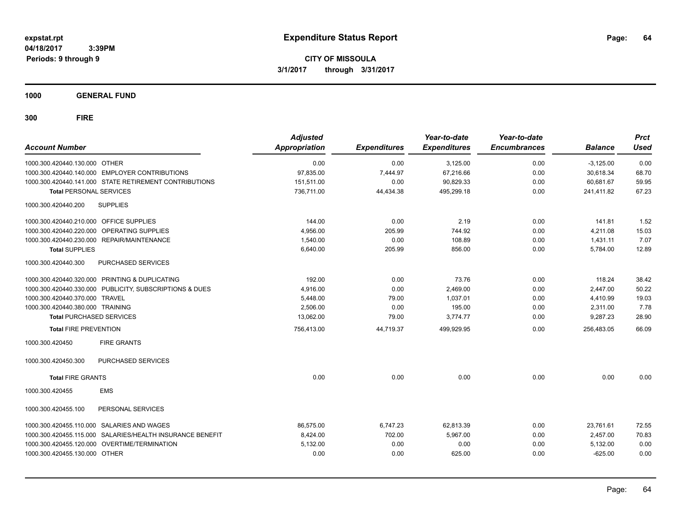**CITY OF MISSOULA 3/1/2017 through 3/31/2017**

**1000 GENERAL FUND**

| <b>Account Number</b>                   |                                                           | <b>Adjusted</b><br><b>Appropriation</b> | <b>Expenditures</b> | Year-to-date<br><b>Expenditures</b> | Year-to-date<br><b>Encumbrances</b> | <b>Balance</b> | <b>Prct</b><br><b>Used</b> |
|-----------------------------------------|-----------------------------------------------------------|-----------------------------------------|---------------------|-------------------------------------|-------------------------------------|----------------|----------------------------|
| 1000.300.420440.130.000 OTHER           |                                                           | 0.00                                    | 0.00                | 3,125.00                            | 0.00                                | $-3,125.00$    | 0.00                       |
|                                         | 1000.300.420440.140.000 EMPLOYER CONTRIBUTIONS            | 97,835.00                               | 7,444.97            | 67,216.66                           | 0.00                                | 30,618.34      | 68.70                      |
|                                         | 1000.300.420440.141.000 STATE RETIREMENT CONTRIBUTIONS    | 151,511.00                              | 0.00                | 90,829.33                           | 0.00                                | 60,681.67      | 59.95                      |
| <b>Total PERSONAL SERVICES</b>          |                                                           | 736.711.00                              | 44.434.38           | 495.299.18                          | 0.00                                | 241.411.82     | 67.23                      |
| 1000.300.420440.200                     | <b>SUPPLIES</b>                                           |                                         |                     |                                     |                                     |                |                            |
| 1000.300.420440.210.000 OFFICE SUPPLIES |                                                           | 144.00                                  | 0.00                | 2.19                                | 0.00                                | 141.81         | 1.52                       |
|                                         | 1000.300.420440.220.000 OPERATING SUPPLIES                | 4,956.00                                | 205.99              | 744.92                              | 0.00                                | 4,211.08       | 15.03                      |
|                                         | 1000.300.420440.230.000 REPAIR/MAINTENANCE                | 1,540.00                                | 0.00                | 108.89                              | 0.00                                | 1,431.11       | 7.07                       |
| <b>Total SUPPLIES</b>                   |                                                           | 6,640.00                                | 205.99              | 856.00                              | 0.00                                | 5,784.00       | 12.89                      |
| 1000.300.420440.300                     | PURCHASED SERVICES                                        |                                         |                     |                                     |                                     |                |                            |
|                                         | 1000.300.420440.320.000 PRINTING & DUPLICATING            | 192.00                                  | 0.00                | 73.76                               | 0.00                                | 118.24         | 38.42                      |
|                                         | 1000.300.420440.330.000 PUBLICITY, SUBSCRIPTIONS & DUES   | 4,916.00                                | 0.00                | 2,469.00                            | 0.00                                | 2,447.00       | 50.22                      |
| 1000.300.420440.370.000 TRAVEL          |                                                           | 5,448.00                                | 79.00               | 1.037.01                            | 0.00                                | 4,410.99       | 19.03                      |
| 1000.300.420440.380.000 TRAINING        |                                                           | 2.506.00                                | 0.00                | 195.00                              | 0.00                                | 2,311.00       | 7.78                       |
| <b>Total PURCHASED SERVICES</b>         |                                                           | 13,062.00                               | 79.00               | 3,774.77                            | 0.00                                | 9,287.23       | 28.90                      |
| <b>Total FIRE PREVENTION</b>            |                                                           | 756,413.00                              | 44,719.37           | 499,929.95                          | 0.00                                | 256,483.05     | 66.09                      |
| 1000.300.420450                         | <b>FIRE GRANTS</b>                                        |                                         |                     |                                     |                                     |                |                            |
| 1000.300.420450.300                     | <b>PURCHASED SERVICES</b>                                 |                                         |                     |                                     |                                     |                |                            |
| <b>Total FIRE GRANTS</b>                |                                                           | 0.00                                    | 0.00                | 0.00                                | 0.00                                | 0.00           | 0.00                       |
| 1000.300.420455                         | <b>EMS</b>                                                |                                         |                     |                                     |                                     |                |                            |
| 1000.300.420455.100                     | PERSONAL SERVICES                                         |                                         |                     |                                     |                                     |                |                            |
|                                         | 1000.300.420455.110.000 SALARIES AND WAGES                | 86,575.00                               | 6,747.23            | 62,813.39                           | 0.00                                | 23,761.61      | 72.55                      |
|                                         | 1000.300.420455.115.000 SALARIES/HEALTH INSURANCE BENEFIT | 8,424.00                                | 702.00              | 5,967.00                            | 0.00                                | 2,457.00       | 70.83                      |
|                                         | 1000.300.420455.120.000 OVERTIME/TERMINATION              | 5,132.00                                | 0.00                | 0.00                                | 0.00                                | 5,132.00       | 0.00                       |
| 1000.300.420455.130.000 OTHER           |                                                           | 0.00                                    | 0.00                | 625.00                              | 0.00                                | $-625.00$      | 0.00                       |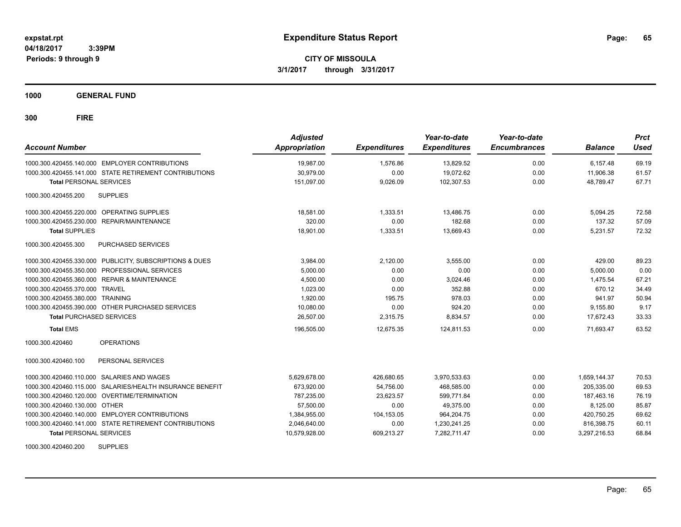**CITY OF MISSOULA 3/1/2017 through 3/31/2017**

**1000 GENERAL FUND**

| <b>Account Number</b>                                      | <b>Adjusted</b><br>Appropriation | <b>Expenditures</b> | Year-to-date<br><b>Expenditures</b> | Year-to-date<br><b>Encumbrances</b> | <b>Balance</b> | <b>Prct</b><br><b>Used</b> |
|------------------------------------------------------------|----------------------------------|---------------------|-------------------------------------|-------------------------------------|----------------|----------------------------|
| 1000.300.420455.140.000 EMPLOYER CONTRIBUTIONS             | 19,987.00                        | 1,576.86            | 13,829.52                           | 0.00                                | 6.157.48       | 69.19                      |
| 1000.300.420455.141.000 STATE RETIREMENT CONTRIBUTIONS     | 30.979.00                        | 0.00                | 19.072.62                           | 0.00                                | 11.906.38      | 61.57                      |
| <b>Total PERSONAL SERVICES</b>                             | 151,097.00                       | 9,026.09            | 102,307.53                          | 0.00                                | 48.789.47      | 67.71                      |
| <b>SUPPLIES</b><br>1000.300.420455.200                     |                                  |                     |                                     |                                     |                |                            |
| 1000.300.420455.220.000 OPERATING SUPPLIES                 | 18,581.00                        | 1,333.51            | 13,486.75                           | 0.00                                | 5,094.25       | 72.58                      |
| 1000.300.420455.230.000 REPAIR/MAINTENANCE                 | 320.00                           | 0.00                | 182.68                              | 0.00                                | 137.32         | 57.09                      |
| <b>Total SUPPLIES</b>                                      | 18,901.00                        | 1,333.51            | 13,669.43                           | 0.00                                | 5,231.57       | 72.32                      |
| 1000.300.420455.300<br>PURCHASED SERVICES                  |                                  |                     |                                     |                                     |                |                            |
| 1000.300.420455.330.000 PUBLICITY, SUBSCRIPTIONS & DUES    | 3,984.00                         | 2,120.00            | 3,555.00                            | 0.00                                | 429.00         | 89.23                      |
| PROFESSIONAL SERVICES<br>1000.300.420455.350.000           | 5,000.00                         | 0.00                | 0.00                                | 0.00                                | 5.000.00       | 0.00                       |
| 1000.300.420455.360.000<br><b>REPAIR &amp; MAINTENANCE</b> | 4,500.00                         | 0.00                | 3,024.46                            | 0.00                                | 1,475.54       | 67.21                      |
| 1000.300.420455.370.000 TRAVEL                             | 1,023.00                         | 0.00                | 352.88                              | 0.00                                | 670.12         | 34.49                      |
| 1000.300.420455.380.000 TRAINING                           | 1,920.00                         | 195.75              | 978.03                              | 0.00                                | 941.97         | 50.94                      |
| 1000.300.420455.390.000 OTHER PURCHASED SERVICES           | 10,080.00                        | 0.00                | 924.20                              | 0.00                                | 9.155.80       | 9.17                       |
| <b>Total PURCHASED SERVICES</b>                            | 26,507.00                        | 2,315.75            | 8,834.57                            | 0.00                                | 17.672.43      | 33.33                      |
| <b>Total EMS</b>                                           | 196,505.00                       | 12,675.35           | 124,811.53                          | 0.00                                | 71,693.47      | 63.52                      |
| <b>OPERATIONS</b><br>1000.300.420460                       |                                  |                     |                                     |                                     |                |                            |
| PERSONAL SERVICES<br>1000.300.420460.100                   |                                  |                     |                                     |                                     |                |                            |
| 1000.300.420460.110.000 SALARIES AND WAGES                 | 5,629,678.00                     | 426,680.65          | 3,970,533.63                        | 0.00                                | 1.659.144.37   | 70.53                      |
| 1000.300.420460.115.000 SALARIES/HEALTH INSURANCE BENEFIT  | 673,920.00                       | 54,756.00           | 468,585.00                          | 0.00                                | 205,335.00     | 69.53                      |
| 1000.300.420460.120.000 OVERTIME/TERMINATION               | 787,235.00                       | 23,623.57           | 599,771.84                          | 0.00                                | 187,463.16     | 76.19                      |
| 1000.300.420460.130.000 OTHER                              | 57,500.00                        | 0.00                | 49,375.00                           | 0.00                                | 8,125.00       | 85.87                      |
| 1000.300.420460.140.000 EMPLOYER CONTRIBUTIONS             | 1,384,955.00                     | 104,153.05          | 964,204.75                          | 0.00                                | 420,750.25     | 69.62                      |
| 1000.300.420460.141.000 STATE RETIREMENT CONTRIBUTIONS     | 2,046,640.00                     | 0.00                | 1,230,241.25                        | 0.00                                | 816,398.75     | 60.11                      |
| <b>Total PERSONAL SERVICES</b>                             | 10,579,928.00                    | 609,213.27          | 7,282,711.47                        | 0.00                                | 3,297,216.53   | 68.84                      |
| <b>SUPPLIES</b><br>1000.300.420460.200                     |                                  |                     |                                     |                                     |                |                            |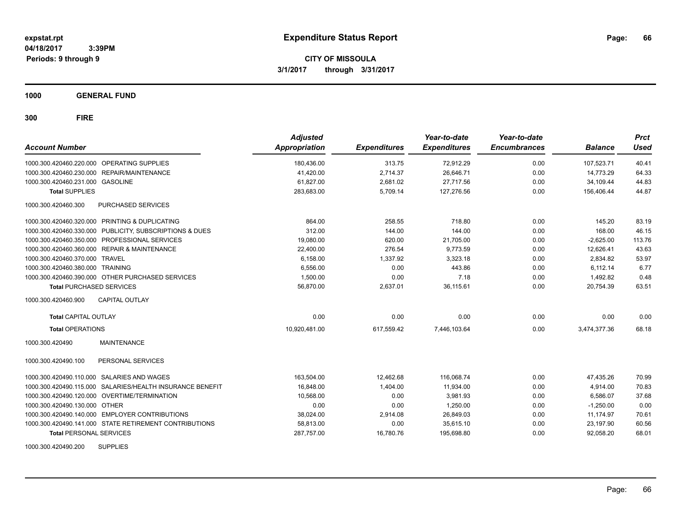**CITY OF MISSOULA 3/1/2017 through 3/31/2017**

**1000 GENERAL FUND**

| <b>Account Number</b>                                     | <b>Adjusted</b><br>Appropriation | <b>Expenditures</b> | Year-to-date<br><b>Expenditures</b> | Year-to-date<br><b>Encumbrances</b> | <b>Balance</b> | <b>Prct</b><br><b>Used</b> |
|-----------------------------------------------------------|----------------------------------|---------------------|-------------------------------------|-------------------------------------|----------------|----------------------------|
| 1000.300.420460.220.000 OPERATING SUPPLIES                | 180.436.00                       | 313.75              | 72,912.29                           | 0.00                                | 107,523.71     | 40.41                      |
| 1000.300.420460.230.000 REPAIR/MAINTENANCE                | 41,420.00                        | 2,714.37            | 26,646.71                           | 0.00                                | 14.773.29      | 64.33                      |
| 1000.300.420460.231.000 GASOLINE                          | 61,827.00                        | 2,681.02            | 27,717.56                           | 0.00                                | 34,109.44      | 44.83                      |
| <b>Total SUPPLIES</b>                                     | 283,683.00                       | 5,709.14            | 127,276.56                          | 0.00                                | 156,406.44     | 44.87                      |
| PURCHASED SERVICES<br>1000.300.420460.300                 |                                  |                     |                                     |                                     |                |                            |
| 1000.300.420460.320.000 PRINTING & DUPLICATING            | 864.00                           | 258.55              | 718.80                              | 0.00                                | 145.20         | 83.19                      |
| 1000.300.420460.330.000 PUBLICITY, SUBSCRIPTIONS & DUES   | 312.00                           | 144.00              | 144.00                              | 0.00                                | 168.00         | 46.15                      |
| 1000.300.420460.350.000 PROFESSIONAL SERVICES             | 19,080.00                        | 620.00              | 21,705.00                           | 0.00                                | $-2,625.00$    | 113.76                     |
| 1000.300.420460.360.000 REPAIR & MAINTENANCE              | 22,400.00                        | 276.54              | 9,773.59                            | 0.00                                | 12,626.41      | 43.63                      |
| 1000.300.420460.370.000 TRAVEL                            | 6,158.00                         | 1,337.92            | 3,323.18                            | 0.00                                | 2,834.82       | 53.97                      |
| 1000.300.420460.380.000 TRAINING                          | 6,556.00                         | 0.00                | 443.86                              | 0.00                                | 6.112.14       | 6.77                       |
| 1000.300.420460.390.000 OTHER PURCHASED SERVICES          | 1,500.00                         | 0.00                | 7.18                                | 0.00                                | 1,492.82       | 0.48                       |
| <b>Total PURCHASED SERVICES</b>                           | 56,870.00                        | 2,637.01            | 36,115.61                           | 0.00                                | 20,754.39      | 63.51                      |
| <b>CAPITAL OUTLAY</b><br>1000.300.420460.900              |                                  |                     |                                     |                                     |                |                            |
| <b>Total CAPITAL OUTLAY</b>                               | 0.00                             | 0.00                | 0.00                                | 0.00                                | 0.00           | 0.00                       |
| <b>Total OPERATIONS</b>                                   | 10.920.481.00                    | 617.559.42          | 7.446.103.64                        | 0.00                                | 3.474.377.36   | 68.18                      |
| <b>MAINTENANCE</b><br>1000.300.420490                     |                                  |                     |                                     |                                     |                |                            |
| PERSONAL SERVICES<br>1000.300.420490.100                  |                                  |                     |                                     |                                     |                |                            |
| 1000.300.420490.110.000 SALARIES AND WAGES                | 163,504.00                       | 12,462.68           | 116,068.74                          | 0.00                                | 47.435.26      | 70.99                      |
| 1000.300.420490.115.000 SALARIES/HEALTH INSURANCE BENEFIT | 16,848.00                        | 1,404.00            | 11,934.00                           | 0.00                                | 4,914.00       | 70.83                      |
| 1000.300.420490.120.000 OVERTIME/TERMINATION              | 10,568.00                        | 0.00                | 3,981.93                            | 0.00                                | 6,586.07       | 37.68                      |
| 1000.300.420490.130.000 OTHER                             | 0.00                             | 0.00                | 1,250.00                            | 0.00                                | $-1,250.00$    | 0.00                       |
| 1000.300.420490.140.000 EMPLOYER CONTRIBUTIONS            | 38,024.00                        | 2,914.08            | 26,849.03                           | 0.00                                | 11,174.97      | 70.61                      |
| 1000.300.420490.141.000 STATE RETIREMENT CONTRIBUTIONS    | 58,813.00                        | 0.00                | 35,615.10                           | 0.00                                | 23,197.90      | 60.56                      |
| <b>Total PERSONAL SERVICES</b>                            | 287,757.00                       | 16,780.76           | 195,698.80                          | 0.00                                | 92,058.20      | 68.01                      |
| <b>SUPPLIES</b><br>1000.300.420490.200                    |                                  |                     |                                     |                                     |                |                            |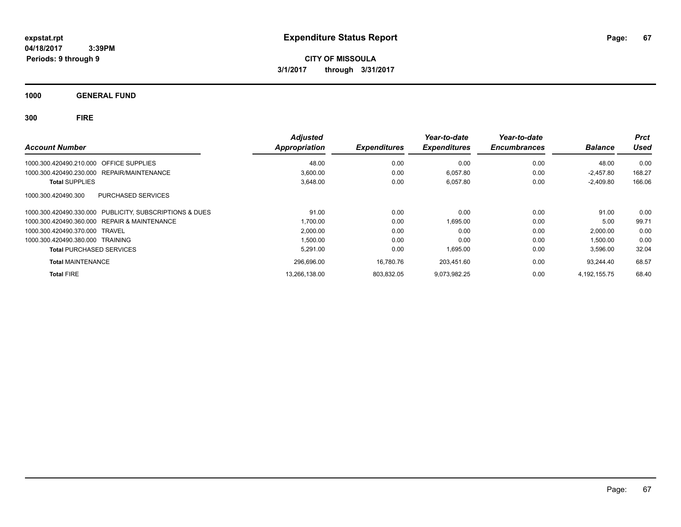**CITY OF MISSOULA 3/1/2017 through 3/31/2017**

**1000 GENERAL FUND**

| <b>Account Number</b>                                   | <b>Adjusted</b><br><b>Appropriation</b> | <b>Expenditures</b> | Year-to-date<br><b>Expenditures</b> | Year-to-date<br><b>Encumbrances</b> | <b>Balance</b> | <b>Prct</b><br><b>Used</b> |
|---------------------------------------------------------|-----------------------------------------|---------------------|-------------------------------------|-------------------------------------|----------------|----------------------------|
| 1000.300.420490.210.000 OFFICE SUPPLIES                 | 48.00                                   | 0.00                | 0.00                                | 0.00                                | 48.00          | 0.00                       |
| 1000.300.420490.230.000 REPAIR/MAINTENANCE              | 3,600.00                                | 0.00                | 6,057.80                            | 0.00                                | $-2.457.80$    | 168.27                     |
| <b>Total SUPPLIES</b>                                   | 3,648.00                                | 0.00                | 6,057.80                            | 0.00                                | $-2,409.80$    | 166.06                     |
| PURCHASED SERVICES<br>1000.300.420490.300               |                                         |                     |                                     |                                     |                |                            |
| 1000.300.420490.330.000 PUBLICITY, SUBSCRIPTIONS & DUES | 91.00                                   | 0.00                | 0.00                                | 0.00                                | 91.00          | 0.00                       |
| 1000.300.420490.360.000 REPAIR & MAINTENANCE            | 1,700.00                                | 0.00                | 1,695.00                            | 0.00                                | 5.00           | 99.71                      |
| 1000.300.420490.370.000 TRAVEL                          | 2,000.00                                | 0.00                | 0.00                                | 0.00                                | 2,000.00       | 0.00                       |
| 1000.300.420490.380.000 TRAINING                        | 1,500.00                                | 0.00                | 0.00                                | 0.00                                | 1,500.00       | 0.00                       |
| <b>Total PURCHASED SERVICES</b>                         | 5.291.00                                | 0.00                | 1,695.00                            | 0.00                                | 3,596.00       | 32.04                      |
| <b>Total MAINTENANCE</b>                                | 296,696.00                              | 16.780.76           | 203.451.60                          | 0.00                                | 93.244.40      | 68.57                      |
| <b>Total FIRE</b>                                       | 13,266,138.00                           | 803,832.05          | 9,073,982.25                        | 0.00                                | 4.192.155.75   | 68.40                      |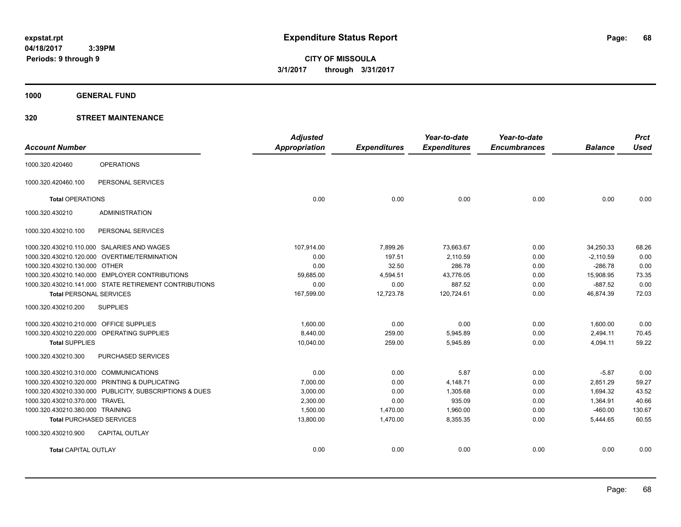**CITY OF MISSOULA 3/1/2017 through 3/31/2017**

**1000 GENERAL FUND**

### **320 STREET MAINTENANCE**

| <b>Account Number</b>                   |                                                         | <b>Adjusted</b><br>Appropriation | <b>Expenditures</b> | Year-to-date<br><b>Expenditures</b> | Year-to-date<br><b>Encumbrances</b> | <b>Balance</b> | <b>Prct</b><br><b>Used</b> |
|-----------------------------------------|---------------------------------------------------------|----------------------------------|---------------------|-------------------------------------|-------------------------------------|----------------|----------------------------|
|                                         |                                                         |                                  |                     |                                     |                                     |                |                            |
| 1000.320.420460                         | <b>OPERATIONS</b>                                       |                                  |                     |                                     |                                     |                |                            |
| 1000.320.420460.100                     | PERSONAL SERVICES                                       |                                  |                     |                                     |                                     |                |                            |
| <b>Total OPERATIONS</b>                 |                                                         | 0.00                             | 0.00                | 0.00                                | 0.00                                | 0.00           | 0.00                       |
| 1000.320.430210                         | <b>ADMINISTRATION</b>                                   |                                  |                     |                                     |                                     |                |                            |
| 1000.320.430210.100                     | PERSONAL SERVICES                                       |                                  |                     |                                     |                                     |                |                            |
|                                         | 1000.320.430210.110.000 SALARIES AND WAGES              | 107,914.00                       | 7,899.26            | 73,663.67                           | 0.00                                | 34,250.33      | 68.26                      |
|                                         | 1000.320.430210.120.000 OVERTIME/TERMINATION            | 0.00                             | 197.51              | 2,110.59                            | 0.00                                | $-2,110.59$    | 0.00                       |
| 1000.320.430210.130.000 OTHER           |                                                         | 0.00                             | 32.50               | 286.78                              | 0.00                                | $-286.78$      | 0.00                       |
|                                         | 1000.320.430210.140.000 EMPLOYER CONTRIBUTIONS          | 59.685.00                        | 4,594.51            | 43.776.05                           | 0.00                                | 15,908.95      | 73.35                      |
|                                         | 1000.320.430210.141.000 STATE RETIREMENT CONTRIBUTIONS  | 0.00                             | 0.00                | 887.52                              | 0.00                                | $-887.52$      | 0.00                       |
| <b>Total PERSONAL SERVICES</b>          |                                                         | 167,599.00                       | 12,723.78           | 120.724.61                          | 0.00                                | 46,874.39      | 72.03                      |
| 1000.320.430210.200                     | <b>SUPPLIES</b>                                         |                                  |                     |                                     |                                     |                |                            |
| 1000.320.430210.210.000 OFFICE SUPPLIES |                                                         | 1.600.00                         | 0.00                | 0.00                                | 0.00                                | 1,600.00       | 0.00                       |
|                                         | 1000.320.430210.220.000 OPERATING SUPPLIES              | 8,440.00                         | 259.00              | 5,945.89                            | 0.00                                | 2,494.11       | 70.45                      |
| <b>Total SUPPLIES</b>                   |                                                         | 10,040.00                        | 259.00              | 5,945.89                            | 0.00                                | 4,094.11       | 59.22                      |
| 1000.320.430210.300                     | PURCHASED SERVICES                                      |                                  |                     |                                     |                                     |                |                            |
| 1000.320.430210.310.000 COMMUNICATIONS  |                                                         | 0.00                             | 0.00                | 5.87                                | 0.00                                | $-5.87$        | 0.00                       |
|                                         | 1000.320.430210.320.000 PRINTING & DUPLICATING          | 7,000.00                         | 0.00                | 4,148.71                            | 0.00                                | 2,851.29       | 59.27                      |
|                                         | 1000.320.430210.330.000 PUBLICITY, SUBSCRIPTIONS & DUES | 3,000.00                         | 0.00                | 1,305.68                            | 0.00                                | 1,694.32       | 43.52                      |
| 1000.320.430210.370.000 TRAVEL          |                                                         | 2,300.00                         | 0.00                | 935.09                              | 0.00                                | 1,364.91       | 40.66                      |
| 1000.320.430210.380.000 TRAINING        |                                                         | 1,500.00                         | 1,470.00            | 1,960.00                            | 0.00                                | $-460.00$      | 130.67                     |
| <b>Total PURCHASED SERVICES</b>         |                                                         | 13,800.00                        | 1,470.00            | 8,355.35                            | 0.00                                | 5,444.65       | 60.55                      |
| 1000.320.430210.900                     | <b>CAPITAL OUTLAY</b>                                   |                                  |                     |                                     |                                     |                |                            |
| <b>Total CAPITAL OUTLAY</b>             |                                                         | 0.00                             | 0.00                | 0.00                                | 0.00                                | 0.00           | 0.00                       |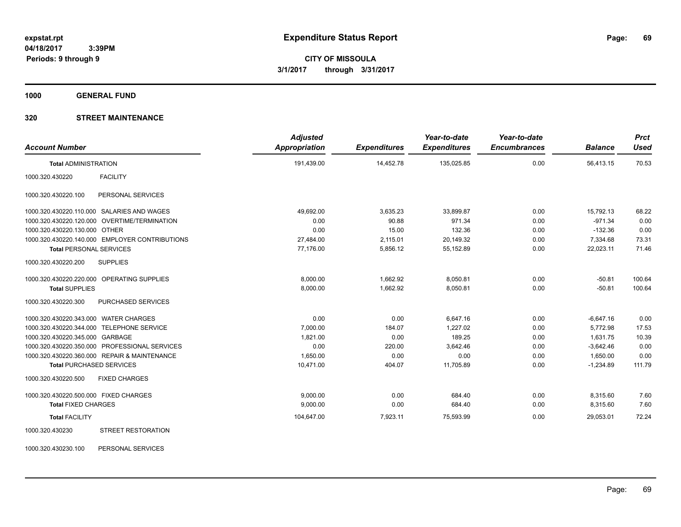**1000 GENERAL FUND**

### **320 STREET MAINTENANCE**

| <b>Account Number</b>                          |                           | <b>Adjusted</b><br>Appropriation | <b>Expenditures</b> | Year-to-date<br><b>Expenditures</b> | Year-to-date<br><b>Encumbrances</b> | <b>Balance</b> | <b>Prct</b><br><b>Used</b> |
|------------------------------------------------|---------------------------|----------------------------------|---------------------|-------------------------------------|-------------------------------------|----------------|----------------------------|
| <b>Total ADMINISTRATION</b>                    |                           | 191,439.00                       | 14,452.78           | 135,025.85                          | 0.00                                | 56,413.15      | 70.53                      |
| <b>FACILITY</b><br>1000.320.430220             |                           |                                  |                     |                                     |                                     |                |                            |
| 1000.320.430220.100                            | PERSONAL SERVICES         |                                  |                     |                                     |                                     |                |                            |
| 1000.320.430220.110.000 SALARIES AND WAGES     |                           | 49,692.00                        | 3,635.23            | 33,899.87                           | 0.00                                | 15,792.13      | 68.22                      |
| 1000.320.430220.120.000 OVERTIME/TERMINATION   |                           | 0.00                             | 90.88               | 971.34                              | 0.00                                | $-971.34$      | 0.00                       |
| 1000.320.430220.130.000 OTHER                  |                           | 0.00                             | 15.00               | 132.36                              | 0.00                                | $-132.36$      | 0.00                       |
| 1000.320.430220.140.000 EMPLOYER CONTRIBUTIONS |                           | 27,484.00                        | 2,115.01            | 20,149.32                           | 0.00                                | 7,334.68       | 73.31                      |
| <b>Total PERSONAL SERVICES</b>                 |                           | 77,176.00                        | 5,856.12            | 55,152.89                           | 0.00                                | 22,023.11      | 71.46                      |
| 1000.320.430220.200<br><b>SUPPLIES</b>         |                           |                                  |                     |                                     |                                     |                |                            |
| 1000.320.430220.220.000 OPERATING SUPPLIES     |                           | 8,000.00                         | 1,662.92            | 8,050.81                            | 0.00                                | $-50.81$       | 100.64                     |
| <b>Total SUPPLIES</b>                          |                           | 8.000.00                         | 1.662.92            | 8.050.81                            | 0.00                                | $-50.81$       | 100.64                     |
| 1000.320.430220.300                            | PURCHASED SERVICES        |                                  |                     |                                     |                                     |                |                            |
| 1000.320.430220.343.000 WATER CHARGES          |                           | 0.00                             | 0.00                | 6.647.16                            | 0.00                                | $-6.647.16$    | 0.00                       |
| 1000.320.430220.344.000 TELEPHONE SERVICE      |                           | 7,000.00                         | 184.07              | 1,227.02                            | 0.00                                | 5,772.98       | 17.53                      |
| 1000.320.430220.345.000 GARBAGE                |                           | 1,821.00                         | 0.00                | 189.25                              | 0.00                                | 1,631.75       | 10.39                      |
| 1000.320.430220.350.000 PROFESSIONAL SERVICES  |                           | 0.00                             | 220.00              | 3,642.46                            | 0.00                                | $-3.642.46$    | 0.00                       |
| 1000.320.430220.360.000 REPAIR & MAINTENANCE   |                           | 1,650.00                         | 0.00                | 0.00                                | 0.00                                | 1,650.00       | 0.00                       |
| <b>Total PURCHASED SERVICES</b>                |                           | 10,471.00                        | 404.07              | 11,705.89                           | 0.00                                | $-1,234.89$    | 111.79                     |
| 1000.320.430220.500                            | <b>FIXED CHARGES</b>      |                                  |                     |                                     |                                     |                |                            |
| 1000.320.430220.500.000 FIXED CHARGES          |                           | 9.000.00                         | 0.00                | 684.40                              | 0.00                                | 8,315.60       | 7.60                       |
| <b>Total FIXED CHARGES</b>                     |                           | 9,000.00                         | 0.00                | 684.40                              | 0.00                                | 8,315.60       | 7.60                       |
| <b>Total FACILITY</b>                          |                           | 104,647.00                       | 7,923.11            | 75,593.99                           | 0.00                                | 29,053.01      | 72.24                      |
| 1000.320.430230                                | <b>STREET RESTORATION</b> |                                  |                     |                                     |                                     |                |                            |

1000.320.430230.100 PERSONAL SERVICES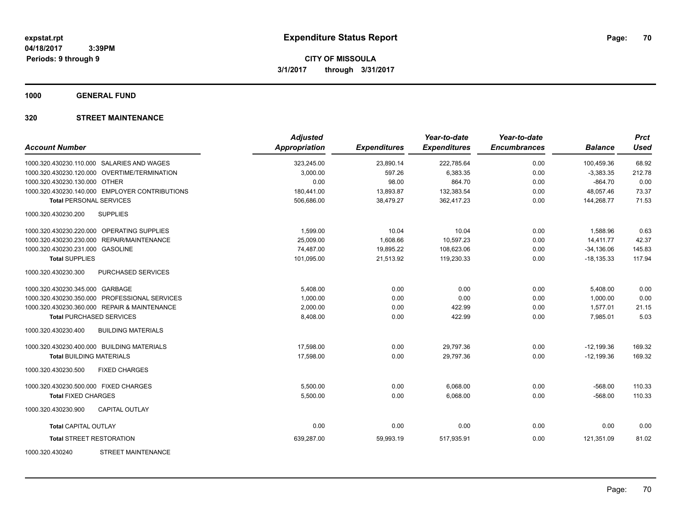**1000 GENERAL FUND**

### **320 STREET MAINTENANCE**

| <b>Account Number</b>                            | <b>Adjusted</b><br><b>Appropriation</b> | <b>Expenditures</b> | Year-to-date<br><b>Expenditures</b> | Year-to-date<br><b>Encumbrances</b> | <b>Balance</b> | <b>Prct</b><br><b>Used</b> |
|--------------------------------------------------|-----------------------------------------|---------------------|-------------------------------------|-------------------------------------|----------------|----------------------------|
| 1000.320.430230.110.000 SALARIES AND WAGES       | 323,245.00                              | 23,890.14           | 222,785.64                          | 0.00                                | 100,459.36     | 68.92                      |
| 1000.320.430230.120.000 OVERTIME/TERMINATION     | 3,000.00                                | 597.26              | 6,383.35                            | 0.00                                | $-3,383.35$    | 212.78                     |
| 1000.320.430230.130.000 OTHER                    | 0.00                                    | 98.00               | 864.70                              | 0.00                                | $-864.70$      | 0.00                       |
| 1000.320.430230.140.000 EMPLOYER CONTRIBUTIONS   | 180,441.00                              | 13,893.87           | 132,383.54                          | 0.00                                | 48,057.46      | 73.37                      |
| <b>Total PERSONAL SERVICES</b>                   | 506,686.00                              | 38,479.27           | 362,417.23                          | 0.00                                | 144,268.77     | 71.53                      |
| <b>SUPPLIES</b><br>1000.320.430230.200           |                                         |                     |                                     |                                     |                |                            |
| 1000.320.430230.220.000 OPERATING SUPPLIES       | 1,599.00                                | 10.04               | 10.04                               | 0.00                                | 1,588.96       | 0.63                       |
| 1000.320.430230.230.000 REPAIR/MAINTENANCE       | 25.009.00                               | 1.608.66            | 10,597.23                           | 0.00                                | 14.411.77      | 42.37                      |
| 1000.320.430230.231.000 GASOLINE                 | 74,487.00                               | 19,895.22           | 108,623.06                          | 0.00                                | $-34,136.06$   | 145.83                     |
| <b>Total SUPPLIES</b>                            | 101,095.00                              | 21,513.92           | 119,230.33                          | 0.00                                | $-18, 135.33$  | 117.94                     |
| <b>PURCHASED SERVICES</b><br>1000.320.430230.300 |                                         |                     |                                     |                                     |                |                            |
| 1000.320.430230.345.000 GARBAGE                  | 5,408.00                                | 0.00                | 0.00                                | 0.00                                | 5,408.00       | 0.00                       |
| 1000.320.430230.350.000 PROFESSIONAL SERVICES    | 1,000.00                                | 0.00                | 0.00                                | 0.00                                | 1,000.00       | 0.00                       |
| 1000.320.430230.360.000 REPAIR & MAINTENANCE     | 2,000.00                                | 0.00                | 422.99                              | 0.00                                | 1,577.01       | 21.15                      |
| <b>Total PURCHASED SERVICES</b>                  | 8,408.00                                | 0.00                | 422.99                              | 0.00                                | 7,985.01       | 5.03                       |
| 1000.320.430230.400<br><b>BUILDING MATERIALS</b> |                                         |                     |                                     |                                     |                |                            |
| 1000.320.430230.400.000 BUILDING MATERIALS       | 17,598.00                               | 0.00                | 29,797.36                           | 0.00                                | $-12,199.36$   | 169.32                     |
| <b>Total BUILDING MATERIALS</b>                  | 17,598.00                               | 0.00                | 29,797.36                           | 0.00                                | $-12,199.36$   | 169.32                     |
| 1000.320.430230.500<br><b>FIXED CHARGES</b>      |                                         |                     |                                     |                                     |                |                            |
| 1000.320.430230.500.000 FIXED CHARGES            | 5,500.00                                | 0.00                | 6,068.00                            | 0.00                                | $-568.00$      | 110.33                     |
| <b>Total FIXED CHARGES</b>                       | 5,500.00                                | 0.00                | 6,068.00                            | 0.00                                | $-568.00$      | 110.33                     |
| 1000.320.430230.900<br><b>CAPITAL OUTLAY</b>     |                                         |                     |                                     |                                     |                |                            |
| <b>Total CAPITAL OUTLAY</b>                      | 0.00                                    | 0.00                | 0.00                                | 0.00                                | 0.00           | 0.00                       |
| <b>Total STREET RESTORATION</b>                  | 639,287.00                              | 59,993.19           | 517,935.91                          | 0.00                                | 121,351.09     | 81.02                      |
| 1000.320.430240<br><b>STREET MAINTENANCE</b>     |                                         |                     |                                     |                                     |                |                            |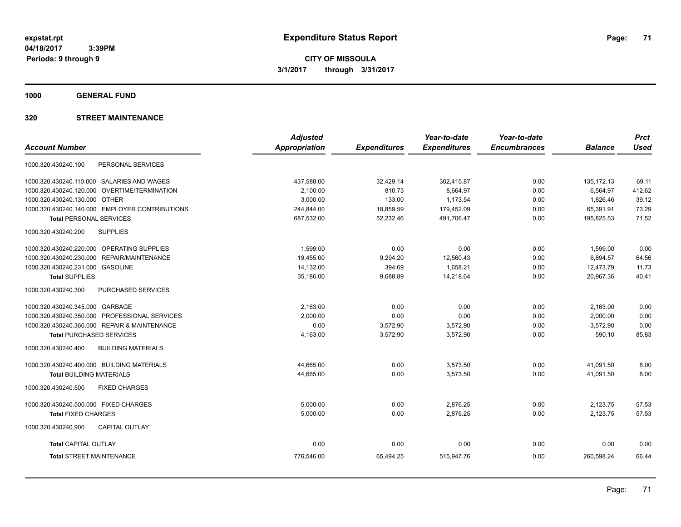**1000 GENERAL FUND**

### **320 STREET MAINTENANCE**

|                                                  | <b>Adjusted</b> |                     | Year-to-date        | Year-to-date        |                | <b>Prct</b> |
|--------------------------------------------------|-----------------|---------------------|---------------------|---------------------|----------------|-------------|
| <b>Account Number</b>                            | Appropriation   | <b>Expenditures</b> | <b>Expenditures</b> | <b>Encumbrances</b> | <b>Balance</b> | <b>Used</b> |
| PERSONAL SERVICES<br>1000.320.430240.100         |                 |                     |                     |                     |                |             |
| 1000.320.430240.110.000 SALARIES AND WAGES       | 437,588.00      | 32,429.14           | 302,415.87          | 0.00                | 135, 172. 13   | 69.11       |
| 1000.320.430240.120.000 OVERTIME/TERMINATION     | 2,100.00        | 810.73              | 8,664.97            | 0.00                | $-6,564.97$    | 412.62      |
| 1000.320.430240.130.000 OTHER                    | 3,000.00        | 133.00              | 1,173.54            | 0.00                | 1,826.46       | 39.12       |
| 1000.320.430240.140.000 EMPLOYER CONTRIBUTIONS   | 244,844.00      | 18,859.59           | 179,452.09          | 0.00                | 65,391.91      | 73.29       |
| <b>Total PERSONAL SERVICES</b>                   | 687,532.00      | 52,232.46           | 491,706.47          | 0.00                | 195,825.53     | 71.52       |
| <b>SUPPLIES</b><br>1000.320.430240.200           |                 |                     |                     |                     |                |             |
| 1000.320.430240.220.000 OPERATING SUPPLIES       | 1,599.00        | 0.00                | 0.00                | 0.00                | 1,599.00       | 0.00        |
| 1000.320.430240.230.000 REPAIR/MAINTENANCE       | 19,455.00       | 9,294.20            | 12,560.43           | 0.00                | 6,894.57       | 64.56       |
| 1000.320.430240.231.000 GASOLINE                 | 14,132.00       | 394.69              | 1,658.21            | 0.00                | 12,473.79      | 11.73       |
| <b>Total SUPPLIES</b>                            | 35,186.00       | 9,688.89            | 14,218.64           | 0.00                | 20,967.36      | 40.41       |
| PURCHASED SERVICES<br>1000.320.430240.300        |                 |                     |                     |                     |                |             |
| 1000.320.430240.345.000 GARBAGE                  | 2.163.00        | 0.00                | 0.00                | 0.00                | 2,163.00       | 0.00        |
| 1000.320.430240.350.000 PROFESSIONAL SERVICES    | 2,000.00        | 0.00                | 0.00                | 0.00                | 2,000.00       | 0.00        |
| 1000.320.430240.360.000 REPAIR & MAINTENANCE     | 0.00            | 3,572.90            | 3,572.90            | 0.00                | $-3,572.90$    | 0.00        |
| <b>Total PURCHASED SERVICES</b>                  | 4,163.00        | 3,572.90            | 3,572.90            | 0.00                | 590.10         | 85.83       |
| 1000.320.430240.400<br><b>BUILDING MATERIALS</b> |                 |                     |                     |                     |                |             |
| 1000.320.430240.400.000 BUILDING MATERIALS       | 44,665.00       | 0.00                | 3,573.50            | 0.00                | 41,091.50      | 8.00        |
| <b>Total BUILDING MATERIALS</b>                  | 44.665.00       | 0.00                | 3.573.50            | 0.00                | 41.091.50      | 8.00        |
| 1000.320.430240.500<br><b>FIXED CHARGES</b>      |                 |                     |                     |                     |                |             |
| 1000.320.430240.500.000 FIXED CHARGES            | 5,000.00        | 0.00                | 2,876.25            | 0.00                | 2,123.75       | 57.53       |
| <b>Total FIXED CHARGES</b>                       | 5,000.00        | 0.00                | 2,876.25            | 0.00                | 2,123.75       | 57.53       |
| 1000.320.430240.900<br>CAPITAL OUTLAY            |                 |                     |                     |                     |                |             |
| <b>Total CAPITAL OUTLAY</b>                      | 0.00            | 0.00                | 0.00                | 0.00                | 0.00           | 0.00        |
| <b>Total STREET MAINTENANCE</b>                  | 776,546.00      | 65,494.25           | 515,947.76          | 0.00                | 260,598.24     | 66.44       |
|                                                  |                 |                     |                     |                     |                |             |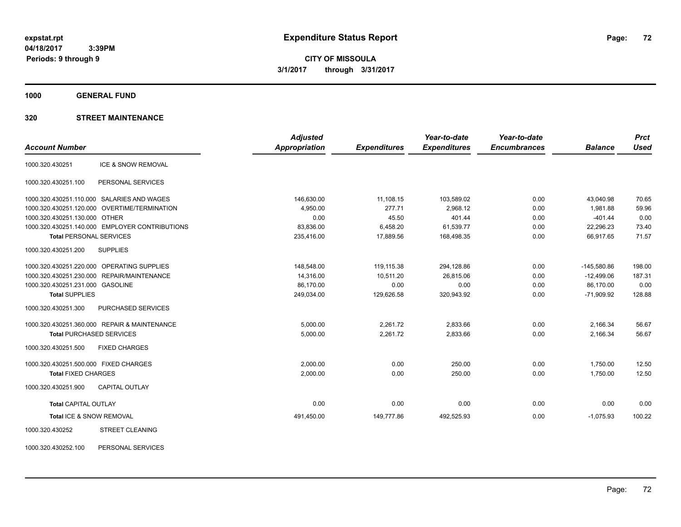**CITY OF MISSOULA 3/1/2017 through 3/31/2017**

**1000 GENERAL FUND**

### **320 STREET MAINTENANCE**

|                                                | <b>Adjusted</b>      |                     | Year-to-date        | Year-to-date        |                | <b>Prct</b> |
|------------------------------------------------|----------------------|---------------------|---------------------|---------------------|----------------|-------------|
| <b>Account Number</b>                          | <b>Appropriation</b> | <b>Expenditures</b> | <b>Expenditures</b> | <b>Encumbrances</b> | <b>Balance</b> | <b>Used</b> |
| ICE & SNOW REMOVAL<br>1000.320.430251          |                      |                     |                     |                     |                |             |
| 1000.320.430251.100<br>PERSONAL SERVICES       |                      |                     |                     |                     |                |             |
| 1000.320.430251.110.000 SALARIES AND WAGES     | 146,630.00           | 11,108.15           | 103,589.02          | 0.00                | 43.040.98      | 70.65       |
| 1000.320.430251.120.000 OVERTIME/TERMINATION   | 4,950.00             | 277.71              | 2,968.12            | 0.00                | 1,981.88       | 59.96       |
| 1000.320.430251.130.000 OTHER                  | 0.00                 | 45.50               | 401.44              | 0.00                | $-401.44$      | 0.00        |
| 1000.320.430251.140.000 EMPLOYER CONTRIBUTIONS | 83,836.00            | 6,458.20            | 61,539.77           | 0.00                | 22,296.23      | 73.40       |
| <b>Total PERSONAL SERVICES</b>                 | 235,416.00           | 17,889.56           | 168,498.35          | 0.00                | 66,917.65      | 71.57       |
| 1000.320.430251.200<br><b>SUPPLIES</b>         |                      |                     |                     |                     |                |             |
| 1000.320.430251.220.000 OPERATING SUPPLIES     | 148,548.00           | 119,115.38          | 294,128.86          | 0.00                | $-145,580.86$  | 198.00      |
| 1000.320.430251.230.000 REPAIR/MAINTENANCE     | 14.316.00            | 10,511.20           | 26.815.06           | 0.00                | $-12.499.06$   | 187.31      |
| 1000.320.430251.231.000 GASOLINE               | 86,170.00            | 0.00                | 0.00                | 0.00                | 86,170.00      | 0.00        |
| <b>Total SUPPLIES</b>                          | 249,034.00           | 129,626.58          | 320,943.92          | 0.00                | $-71,909.92$   | 128.88      |
| PURCHASED SERVICES<br>1000.320.430251.300      |                      |                     |                     |                     |                |             |
| 1000.320.430251.360.000 REPAIR & MAINTENANCE   | 5,000.00             | 2.261.72            | 2,833.66            | 0.00                | 2,166.34       | 56.67       |
| <b>Total PURCHASED SERVICES</b>                | 5,000.00             | 2,261.72            | 2,833.66            | 0.00                | 2,166.34       | 56.67       |
| 1000.320.430251.500<br><b>FIXED CHARGES</b>    |                      |                     |                     |                     |                |             |
| 1000.320.430251.500.000 FIXED CHARGES          | 2,000.00             | 0.00                | 250.00              | 0.00                | 1,750.00       | 12.50       |
| <b>Total FIXED CHARGES</b>                     | 2,000.00             | 0.00                | 250.00              | 0.00                | 1,750.00       | 12.50       |
| 1000.320.430251.900<br><b>CAPITAL OUTLAY</b>   |                      |                     |                     |                     |                |             |
| <b>Total CAPITAL OUTLAY</b>                    | 0.00                 | 0.00                | 0.00                | 0.00                | 0.00           | 0.00        |
| Total ICE & SNOW REMOVAL                       | 491,450.00           | 149,777.86          | 492,525.93          | 0.00                | $-1,075.93$    | 100.22      |
| <b>STREET CLEANING</b><br>1000.320.430252      |                      |                     |                     |                     |                |             |

1000.320.430252.100 PERSONAL SERVICES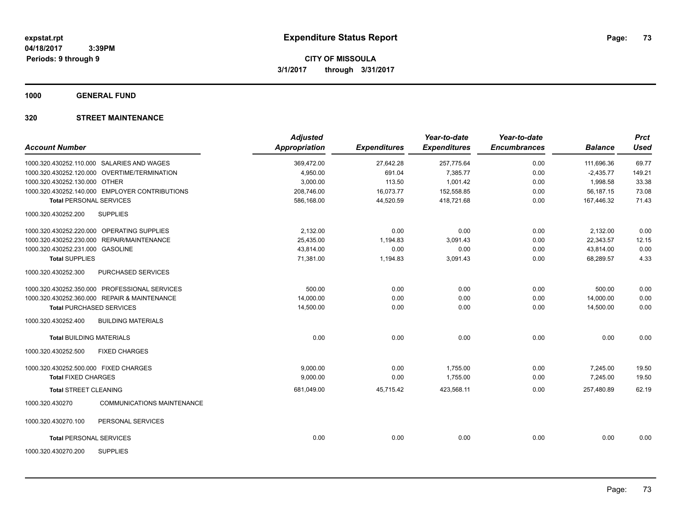**1000 GENERAL FUND**

### **320 STREET MAINTENANCE**

| <b>Account Number</b>                                | <b>Adjusted</b><br><b>Appropriation</b> | <b>Expenditures</b> | Year-to-date<br><b>Expenditures</b> | Year-to-date<br><b>Encumbrances</b> | <b>Balance</b> | <b>Prct</b><br><b>Used</b> |
|------------------------------------------------------|-----------------------------------------|---------------------|-------------------------------------|-------------------------------------|----------------|----------------------------|
|                                                      |                                         |                     |                                     |                                     |                |                            |
| 1000.320.430252.110.000 SALARIES AND WAGES           | 369,472.00                              | 27,642.28           | 257,775.64                          | 0.00                                | 111,696.36     | 69.77                      |
| 1000.320.430252.120.000 OVERTIME/TERMINATION         | 4,950.00                                | 691.04              | 7,385.77                            | 0.00                                | $-2,435.77$    | 149.21                     |
| 1000.320.430252.130.000 OTHER                        | 3,000.00                                | 113.50              | 1,001.42                            | 0.00                                | 1,998.58       | 33.38                      |
| 1000.320.430252.140.000 EMPLOYER CONTRIBUTIONS       | 208,746.00                              | 16,073.77           | 152,558.85                          | 0.00                                | 56,187.15      | 73.08                      |
| <b>Total PERSONAL SERVICES</b>                       | 586.168.00                              | 44,520.59           | 418,721.68                          | 0.00                                | 167,446.32     | 71.43                      |
| <b>SUPPLIES</b><br>1000.320.430252.200               |                                         |                     |                                     |                                     |                |                            |
| 1000.320.430252.220.000 OPERATING SUPPLIES           | 2,132.00                                | 0.00                | 0.00                                | 0.00                                | 2,132.00       | 0.00                       |
| 1000.320.430252.230.000 REPAIR/MAINTENANCE           | 25,435.00                               | 1,194.83            | 3,091.43                            | 0.00                                | 22,343.57      | 12.15                      |
| 1000.320.430252.231.000 GASOLINE                     | 43,814.00                               | 0.00                | 0.00                                | 0.00                                | 43,814.00      | 0.00                       |
| <b>Total SUPPLIES</b>                                | 71,381.00                               | 1,194.83            | 3,091.43                            | 0.00                                | 68,289.57      | 4.33                       |
| 1000.320.430252.300<br>PURCHASED SERVICES            |                                         |                     |                                     |                                     |                |                            |
| 1000.320.430252.350.000 PROFESSIONAL SERVICES        | 500.00                                  | 0.00                | 0.00                                | 0.00                                | 500.00         | 0.00                       |
| 1000.320.430252.360.000 REPAIR & MAINTENANCE         | 14,000.00                               | 0.00                | 0.00                                | 0.00                                | 14,000.00      | 0.00                       |
| <b>Total PURCHASED SERVICES</b>                      | 14,500.00                               | 0.00                | 0.00                                | 0.00                                | 14,500.00      | 0.00                       |
| <b>BUILDING MATERIALS</b><br>1000.320.430252.400     |                                         |                     |                                     |                                     |                |                            |
| <b>Total BUILDING MATERIALS</b>                      | 0.00                                    | 0.00                | 0.00                                | 0.00                                | 0.00           | 0.00                       |
| 1000.320.430252.500<br><b>FIXED CHARGES</b>          |                                         |                     |                                     |                                     |                |                            |
| 1000.320.430252.500.000 FIXED CHARGES                | 9,000.00                                | 0.00                | 1,755.00                            | 0.00                                | 7,245.00       | 19.50                      |
| <b>Total FIXED CHARGES</b>                           | 9,000.00                                | 0.00                | 1,755.00                            | 0.00                                | 7,245.00       | 19.50                      |
| <b>Total STREET CLEANING</b>                         | 681,049.00                              | 45,715.42           | 423,568.11                          | 0.00                                | 257,480.89     | 62.19                      |
| 1000.320.430270<br><b>COMMUNICATIONS MAINTENANCE</b> |                                         |                     |                                     |                                     |                |                            |
| 1000.320.430270.100<br>PERSONAL SERVICES             |                                         |                     |                                     |                                     |                |                            |
| <b>Total PERSONAL SERVICES</b>                       | 0.00                                    | 0.00                | 0.00                                | 0.00                                | 0.00           | 0.00                       |
| <b>SUPPLIES</b><br>1000.320.430270.200               |                                         |                     |                                     |                                     |                |                            |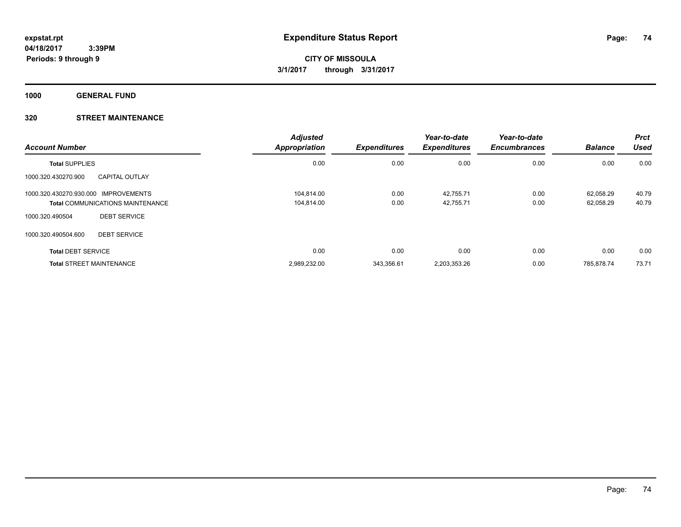**1000 GENERAL FUND**

### **320 STREET MAINTENANCE**

| <b>Account Number</b>                |                                         | <b>Adjusted</b><br><b>Appropriation</b> | <b>Expenditures</b> | Year-to-date<br><b>Expenditures</b> | Year-to-date<br><b>Encumbrances</b> | <b>Balance</b> | <b>Prct</b><br>Used |
|--------------------------------------|-----------------------------------------|-----------------------------------------|---------------------|-------------------------------------|-------------------------------------|----------------|---------------------|
| <b>Total SUPPLIES</b>                |                                         | 0.00                                    | 0.00                | 0.00                                | 0.00                                | 0.00           | 0.00                |
| 1000.320.430270.900                  | <b>CAPITAL OUTLAY</b>                   |                                         |                     |                                     |                                     |                |                     |
| 1000.320.430270.930.000 IMPROVEMENTS |                                         | 104.814.00                              | 0.00                | 42,755.71                           | 0.00                                | 62.058.29      | 40.79               |
|                                      | <b>Total COMMUNICATIONS MAINTENANCE</b> | 104.814.00                              | 0.00                | 42,755.71                           | 0.00                                | 62,058.29      | 40.79               |
| 1000.320.490504                      | <b>DEBT SERVICE</b>                     |                                         |                     |                                     |                                     |                |                     |
| 1000.320.490504.600                  | <b>DEBT SERVICE</b>                     |                                         |                     |                                     |                                     |                |                     |
| <b>Total DEBT SERVICE</b>            |                                         | 0.00                                    | 0.00                | 0.00                                | 0.00                                | 0.00           | 0.00                |
| <b>Total STREET MAINTENANCE</b>      |                                         | 2,989,232.00                            | 343,356.61          | 2,203,353.26                        | 0.00                                | 785.878.74     | 73.71               |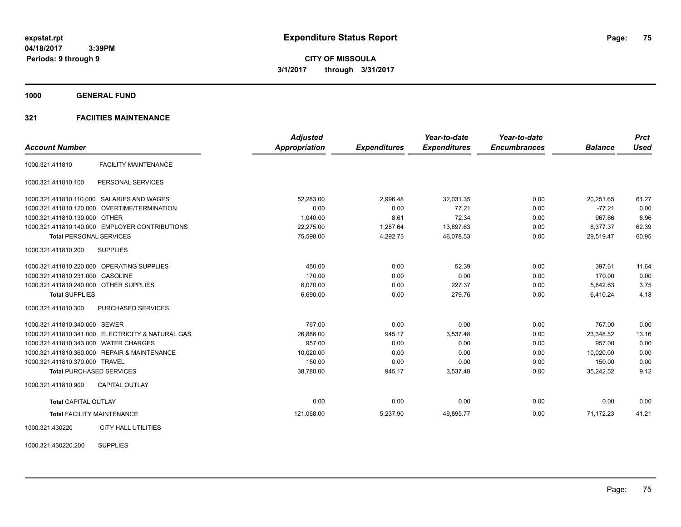**1000 GENERAL FUND**

### **321 FACIITIES MAINTENANCE**

|                                        |                                                   | <b>Adjusted</b>      |                     | Year-to-date        | Year-to-date        |                | <b>Prct</b> |
|----------------------------------------|---------------------------------------------------|----------------------|---------------------|---------------------|---------------------|----------------|-------------|
| <b>Account Number</b>                  |                                                   | <b>Appropriation</b> | <b>Expenditures</b> | <b>Expenditures</b> | <b>Encumbrances</b> | <b>Balance</b> | <b>Used</b> |
| 1000.321.411810                        | <b>FACILITY MAINTENANCE</b>                       |                      |                     |                     |                     |                |             |
| 1000.321.411810.100                    | PERSONAL SERVICES                                 |                      |                     |                     |                     |                |             |
|                                        | 1000.321.411810.110.000 SALARIES AND WAGES        | 52.283.00            | 2,996.48            | 32,031.35           | 0.00                | 20.251.65      | 61.27       |
|                                        | 1000.321.411810.120.000 OVERTIME/TERMINATION      | 0.00                 | 0.00                | 77.21               | 0.00                | $-77.21$       | 0.00        |
| 1000.321.411810.130.000 OTHER          |                                                   | 1,040.00             | 8.61                | 72.34               | 0.00                | 967.66         | 6.96        |
|                                        | 1000.321.411810.140.000 EMPLOYER CONTRIBUTIONS    | 22,275.00            | 1,287.64            | 13,897.63           | 0.00                | 8,377.37       | 62.39       |
| <b>Total PERSONAL SERVICES</b>         |                                                   | 75,598.00            | 4,292.73            | 46,078.53           | 0.00                | 29,519.47      | 60.95       |
| 1000.321.411810.200                    | <b>SUPPLIES</b>                                   |                      |                     |                     |                     |                |             |
|                                        | 1000.321.411810.220.000 OPERATING SUPPLIES        | 450.00               | 0.00                | 52.39               | 0.00                | 397.61         | 11.64       |
| 1000.321.411810.231.000 GASOLINE       |                                                   | 170.00               | 0.00                | 0.00                | 0.00                | 170.00         | 0.00        |
| 1000.321.411810.240.000 OTHER SUPPLIES |                                                   | 6,070.00             | 0.00                | 227.37              | 0.00                | 5,842.63       | 3.75        |
| <b>Total SUPPLIES</b>                  |                                                   | 6,690.00             | 0.00                | 279.76              | 0.00                | 6,410.24       | 4.18        |
| 1000.321.411810.300                    | PURCHASED SERVICES                                |                      |                     |                     |                     |                |             |
| 1000.321.411810.340.000 SEWER          |                                                   | 767.00               | 0.00                | 0.00                | 0.00                | 767.00         | 0.00        |
|                                        | 1000.321.411810.341.000 ELECTRICITY & NATURAL GAS | 26.886.00            | 945.17              | 3.537.48            | 0.00                | 23.348.52      | 13.16       |
| 1000.321.411810.343.000 WATER CHARGES  |                                                   | 957.00               | 0.00                | 0.00                | 0.00                | 957.00         | 0.00        |
|                                        | 1000.321.411810.360.000 REPAIR & MAINTENANCE      | 10,020.00            | 0.00                | 0.00                | 0.00                | 10,020.00      | 0.00        |
| 1000.321.411810.370.000 TRAVEL         |                                                   | 150.00               | 0.00                | 0.00                | 0.00                | 150.00         | 0.00        |
|                                        | <b>Total PURCHASED SERVICES</b>                   | 38,780.00            | 945.17              | 3,537.48            | 0.00                | 35,242.52      | 9.12        |
| 1000.321.411810.900                    | <b>CAPITAL OUTLAY</b>                             |                      |                     |                     |                     |                |             |
| <b>Total CAPITAL OUTLAY</b>            |                                                   | 0.00                 | 0.00                | 0.00                | 0.00                | 0.00           | 0.00        |
|                                        | <b>Total FACILITY MAINTENANCE</b>                 | 121,068.00           | 5,237.90            | 49,895.77           | 0.00                | 71.172.23      | 41.21       |
| 1000.321.430220                        | <b>CITY HALL UTILITIES</b>                        |                      |                     |                     |                     |                |             |

1000.321.430220.200 SUPPLIES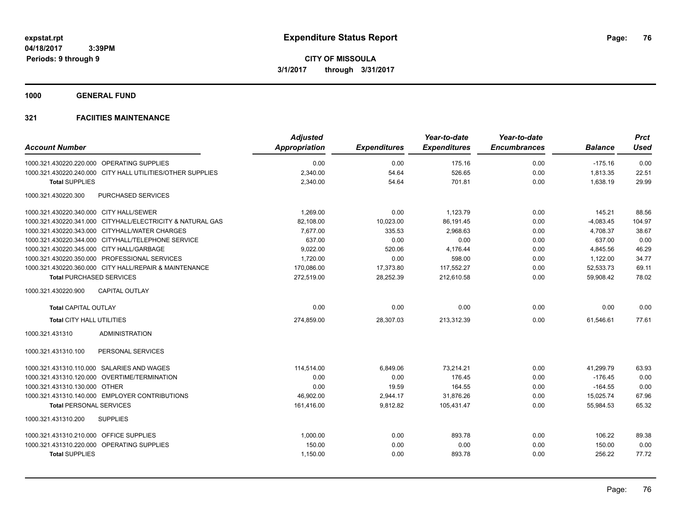**1000 GENERAL FUND**

|                                                            | <b>Adjusted</b> |                     | Year-to-date        | Year-to-date        |                | <b>Prct</b> |
|------------------------------------------------------------|-----------------|---------------------|---------------------|---------------------|----------------|-------------|
| <b>Account Number</b>                                      | Appropriation   | <b>Expenditures</b> | <b>Expenditures</b> | <b>Encumbrances</b> | <b>Balance</b> | <b>Used</b> |
| 1000.321.430220.220.000 OPERATING SUPPLIES                 | 0.00            | 0.00                | 175.16              | 0.00                | $-175.16$      | 0.00        |
| 1000.321.430220.240.000 CITY HALL UTILITIES/OTHER SUPPLIES | 2,340.00        | 54.64               | 526.65              | 0.00                | 1,813.35       | 22.51       |
| <b>Total SUPPLIES</b>                                      | 2,340.00        | 54.64               | 701.81              | 0.00                | 1,638.19       | 29.99       |
| 1000.321.430220.300<br><b>PURCHASED SERVICES</b>           |                 |                     |                     |                     |                |             |
| 1000.321.430220.340.000 CITY HALL/SEWER                    | 1,269.00        | 0.00                | 1,123.79            | 0.00                | 145.21         | 88.56       |
| 1000.321.430220.341.000 CITYHALL/ELECTRICITY & NATURAL GAS | 82,108.00       | 10,023.00           | 86,191.45           | 0.00                | $-4,083.45$    | 104.97      |
| 1000.321.430220.343.000 CITYHALL/WATER CHARGES             | 7,677.00        | 335.53              | 2,968.63            | 0.00                | 4,708.37       | 38.67       |
| 1000.321.430220.344.000 CITYHALL/TELEPHONE SERVICE         | 637.00          | 0.00                | 0.00                | 0.00                | 637.00         | 0.00        |
| 1000.321.430220.345.000 CITY HALL/GARBAGE                  | 9,022.00        | 520.06              | 4,176.44            | 0.00                | 4,845.56       | 46.29       |
| 1000.321.430220.350.000 PROFESSIONAL SERVICES              | 1,720.00        | 0.00                | 598.00              | 0.00                | 1,122.00       | 34.77       |
| 1000.321.430220.360.000 CITY HALL/REPAIR & MAINTENANCE     | 170,086.00      | 17,373.80           | 117,552.27          | 0.00                | 52,533.73      | 69.11       |
| <b>Total PURCHASED SERVICES</b>                            | 272,519.00      | 28,252.39           | 212,610.58          | 0.00                | 59,908.42      | 78.02       |
| 1000.321.430220.900<br><b>CAPITAL OUTLAY</b>               |                 |                     |                     |                     |                |             |
| <b>Total CAPITAL OUTLAY</b>                                | 0.00            | 0.00                | 0.00                | 0.00                | 0.00           | 0.00        |
| <b>Total CITY HALL UTILITIES</b>                           | 274,859.00      | 28,307.03           | 213,312.39          | 0.00                | 61,546.61      | 77.61       |
| <b>ADMINISTRATION</b><br>1000.321.431310                   |                 |                     |                     |                     |                |             |
| PERSONAL SERVICES<br>1000.321.431310.100                   |                 |                     |                     |                     |                |             |
| 1000.321.431310.110.000 SALARIES AND WAGES                 | 114,514.00      | 6,849.06            | 73,214.21           | 0.00                | 41,299.79      | 63.93       |
| 1000.321.431310.120.000 OVERTIME/TERMINATION               | 0.00            | 0.00                | 176.45              | 0.00                | $-176.45$      | 0.00        |
| 1000.321.431310.130.000 OTHER                              | 0.00            | 19.59               | 164.55              | 0.00                | $-164.55$      | 0.00        |
| 1000.321.431310.140.000 EMPLOYER CONTRIBUTIONS             | 46,902.00       | 2,944.17            | 31,876.26           | 0.00                | 15,025.74      | 67.96       |
| <b>Total PERSONAL SERVICES</b>                             | 161,416.00      | 9,812.82            | 105,431.47          | 0.00                | 55,984.53      | 65.32       |
| 1000.321.431310.200<br><b>SUPPLIES</b>                     |                 |                     |                     |                     |                |             |
| 1000.321.431310.210.000 OFFICE SUPPLIES                    | 1,000.00        | 0.00                | 893.78              | 0.00                | 106.22         | 89.38       |
| 1000.321.431310.220.000 OPERATING SUPPLIES                 | 150.00          | 0.00                | 0.00                | 0.00                | 150.00         | 0.00        |
| <b>Total SUPPLIES</b>                                      | 1,150.00        | 0.00                | 893.78              | 0.00                | 256.22         | 77.72       |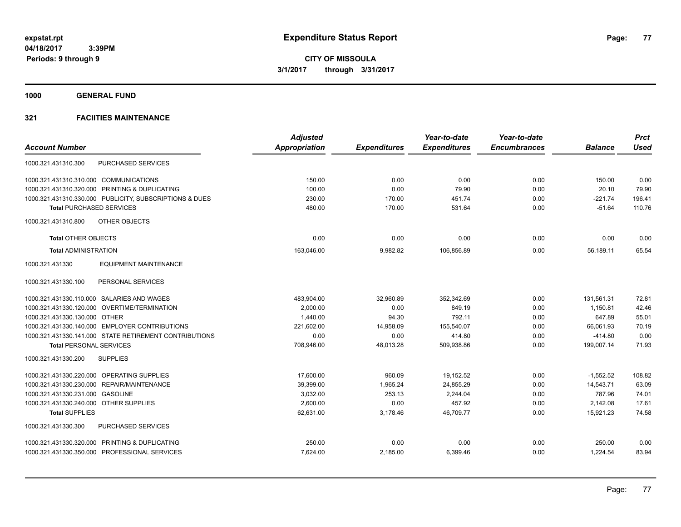**1000 GENERAL FUND**

|                                                         | <b>Adjusted</b>      |                     | Year-to-date        | Year-to-date        |                | <b>Prct</b> |
|---------------------------------------------------------|----------------------|---------------------|---------------------|---------------------|----------------|-------------|
| <b>Account Number</b>                                   | <b>Appropriation</b> | <b>Expenditures</b> | <b>Expenditures</b> | <b>Encumbrances</b> | <b>Balance</b> | <b>Used</b> |
| <b>PURCHASED SERVICES</b><br>1000.321.431310.300        |                      |                     |                     |                     |                |             |
| 1000.321.431310.310.000 COMMUNICATIONS                  | 150.00               | 0.00                | 0.00                | 0.00                | 150.00         | 0.00        |
| 1000.321.431310.320.000 PRINTING & DUPLICATING          | 100.00               | 0.00                | 79.90               | 0.00                | 20.10          | 79.90       |
| 1000.321.431310.330.000 PUBLICITY, SUBSCRIPTIONS & DUES | 230.00               | 170.00              | 451.74              | 0.00                | $-221.74$      | 196.41      |
| <b>Total PURCHASED SERVICES</b>                         | 480.00               | 170.00              | 531.64              | 0.00                | $-51.64$       | 110.76      |
| OTHER OBJECTS<br>1000.321.431310.800                    |                      |                     |                     |                     |                |             |
| <b>Total OTHER OBJECTS</b>                              | 0.00                 | 0.00                | 0.00                | 0.00                | 0.00           | 0.00        |
| <b>Total ADMINISTRATION</b>                             | 163,046.00           | 9,982.82            | 106,856.89          | 0.00                | 56,189.11      | 65.54       |
| 1000.321.431330<br><b>EQUIPMENT MAINTENANCE</b>         |                      |                     |                     |                     |                |             |
| PERSONAL SERVICES<br>1000.321.431330.100                |                      |                     |                     |                     |                |             |
| 1000.321.431330.110.000 SALARIES AND WAGES              | 483,904.00           | 32,960.89           | 352,342.69          | 0.00                | 131,561.31     | 72.81       |
| 1000.321.431330.120.000 OVERTIME/TERMINATION            | 2,000.00             | 0.00                | 849.19              | 0.00                | 1,150.81       | 42.46       |
| 1000.321.431330.130.000 OTHER                           | 1,440.00             | 94.30               | 792.11              | 0.00                | 647.89         | 55.01       |
| 1000.321.431330.140.000 EMPLOYER CONTRIBUTIONS          | 221,602.00           | 14,958.09           | 155,540.07          | 0.00                | 66,061.93      | 70.19       |
| 1000.321.431330.141.000 STATE RETIREMENT CONTRIBUTIONS  | 0.00                 | 0.00                | 414.80              | 0.00                | $-414.80$      | 0.00        |
| <b>Total PERSONAL SERVICES</b>                          | 708,946.00           | 48,013.28           | 509,938.86          | 0.00                | 199,007.14     | 71.93       |
| 1000.321.431330.200<br><b>SUPPLIES</b>                  |                      |                     |                     |                     |                |             |
| 1000.321.431330.220.000 OPERATING SUPPLIES              | 17.600.00            | 960.09              | 19.152.52           | 0.00                | $-1,552.52$    | 108.82      |
| 1000.321.431330.230.000 REPAIR/MAINTENANCE              | 39,399.00            | 1,965.24            | 24,855.29           | 0.00                | 14,543.71      | 63.09       |
| 1000.321.431330.231.000<br><b>GASOLINE</b>              | 3,032.00             | 253.13              | 2,244.04            | 0.00                | 787.96         | 74.01       |
| 1000.321.431330.240.000 OTHER SUPPLIES                  | 2,600.00             | 0.00                | 457.92              | 0.00                | 2,142.08       | 17.61       |
| <b>Total SUPPLIES</b>                                   | 62,631.00            | 3,178.46            | 46,709.77           | 0.00                | 15,921.23      | 74.58       |
| PURCHASED SERVICES<br>1000.321.431330.300               |                      |                     |                     |                     |                |             |
| 1000.321.431330.320.000 PRINTING & DUPLICATING          | 250.00               | 0.00                | 0.00                | 0.00                | 250.00         | 0.00        |
| 1000.321.431330.350.000 PROFESSIONAL SERVICES           | 7,624.00             | 2,185.00            | 6,399.46            | 0.00                | 1,224.54       | 83.94       |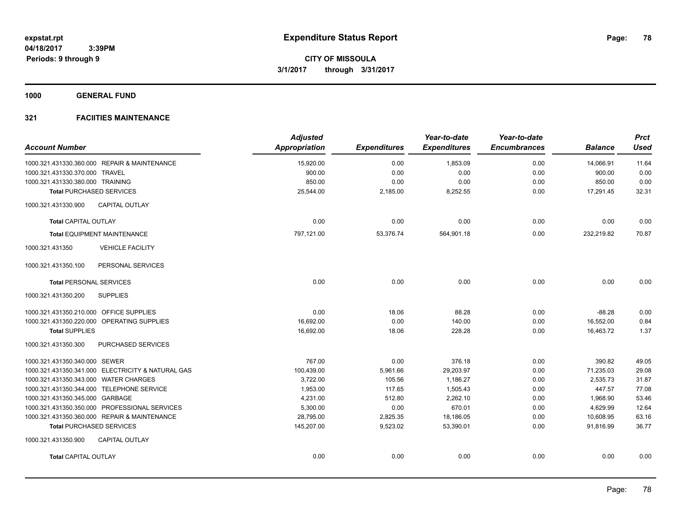**1000 GENERAL FUND**

| <b>Account Number</b>                             | <b>Adjusted</b><br><b>Appropriation</b> | <b>Expenditures</b> | Year-to-date<br><b>Expenditures</b> | Year-to-date<br><b>Encumbrances</b> | <b>Balance</b> | <b>Prct</b><br><b>Used</b> |
|---------------------------------------------------|-----------------------------------------|---------------------|-------------------------------------|-------------------------------------|----------------|----------------------------|
| 1000.321.431330.360.000 REPAIR & MAINTENANCE      | 15,920.00                               | 0.00                | 1,853.09                            | 0.00                                | 14,066.91      | 11.64                      |
| 1000.321.431330.370.000 TRAVEL                    | 900.00                                  | 0.00                | 0.00                                | 0.00                                | 900.00         | 0.00                       |
| 1000.321.431330.380.000 TRAINING                  | 850.00                                  | 0.00                | 0.00                                | 0.00                                | 850.00         | 0.00                       |
| <b>Total PURCHASED SERVICES</b>                   | 25,544.00                               | 2,185.00            | 8,252.55                            | 0.00                                | 17,291.45      | 32.31                      |
| <b>CAPITAL OUTLAY</b><br>1000.321.431330.900      |                                         |                     |                                     |                                     |                |                            |
| <b>Total CAPITAL OUTLAY</b>                       | 0.00                                    | 0.00                | 0.00                                | 0.00                                | 0.00           | 0.00                       |
| <b>Total EQUIPMENT MAINTENANCE</b>                | 797,121.00                              | 53,376.74           | 564,901.18                          | 0.00                                | 232,219.82     | 70.87                      |
| 1000.321.431350<br><b>VEHICLE FACILITY</b>        |                                         |                     |                                     |                                     |                |                            |
| 1000.321.431350.100<br>PERSONAL SERVICES          |                                         |                     |                                     |                                     |                |                            |
| <b>Total PERSONAL SERVICES</b>                    | 0.00                                    | 0.00                | 0.00                                | 0.00                                | 0.00           | 0.00                       |
| 1000.321.431350.200<br><b>SUPPLIES</b>            |                                         |                     |                                     |                                     |                |                            |
| 1000.321.431350.210.000 OFFICE SUPPLIES           | 0.00                                    | 18.06               | 88.28                               | 0.00                                | $-88.28$       | 0.00                       |
| 1000.321.431350.220.000 OPERATING SUPPLIES        | 16,692.00                               | 0.00                | 140.00                              | 0.00                                | 16,552.00      | 0.84                       |
| <b>Total SUPPLIES</b>                             | 16,692.00                               | 18.06               | 228.28                              | 0.00                                | 16,463.72      | 1.37                       |
| 1000.321.431350.300<br>PURCHASED SERVICES         |                                         |                     |                                     |                                     |                |                            |
| 1000.321.431350.340.000 SEWER                     | 767.00                                  | 0.00                | 376.18                              | 0.00                                | 390.82         | 49.05                      |
| 1000.321.431350.341.000 ELECTRICITY & NATURAL GAS | 100,439.00                              | 5,961.66            | 29,203.97                           | 0.00                                | 71,235.03      | 29.08                      |
| 1000.321.431350.343.000 WATER CHARGES             | 3,722.00                                | 105.56              | 1,186.27                            | 0.00                                | 2,535.73       | 31.87                      |
| 1000.321.431350.344.000 TELEPHONE SERVICE         | 1,953.00                                | 117.65              | 1,505.43                            | 0.00                                | 447.57         | 77.08                      |
| 1000.321.431350.345.000 GARBAGE                   | 4,231.00                                | 512.80              | 2,262.10                            | 0.00                                | 1,968.90       | 53.46                      |
| 1000.321.431350.350.000 PROFESSIONAL SERVICES     | 5,300.00                                | 0.00                | 670.01                              | 0.00                                | 4,629.99       | 12.64                      |
| 1000.321.431350.360.000 REPAIR & MAINTENANCE      | 28,795.00                               | 2,825.35            | 18,186.05                           | 0.00                                | 10,608.95      | 63.16                      |
| <b>Total PURCHASED SERVICES</b>                   | 145,207.00                              | 9,523.02            | 53,390.01                           | 0.00                                | 91,816.99      | 36.77                      |
| 1000.321.431350.900<br><b>CAPITAL OUTLAY</b>      |                                         |                     |                                     |                                     |                |                            |
| <b>Total CAPITAL OUTLAY</b>                       | 0.00                                    | 0.00                | 0.00                                | 0.00                                | 0.00           | 0.00                       |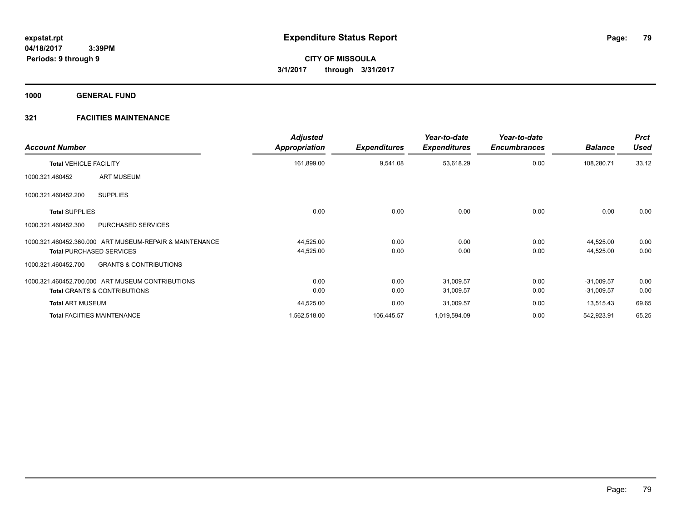**1000 GENERAL FUND**

| <b>Account Number</b>                                    | <b>Adjusted</b><br>Appropriation | <b>Expenditures</b> | Year-to-date<br><b>Expenditures</b> | Year-to-date<br><b>Encumbrances</b> | <b>Balance</b> | <b>Prct</b><br><b>Used</b> |
|----------------------------------------------------------|----------------------------------|---------------------|-------------------------------------|-------------------------------------|----------------|----------------------------|
| <b>Total VEHICLE FACILITY</b>                            | 161,899.00                       | 9,541.08            | 53,618.29                           | 0.00                                | 108,280.71     | 33.12                      |
| <b>ART MUSEUM</b><br>1000.321.460452                     |                                  |                     |                                     |                                     |                |                            |
| <b>SUPPLIES</b><br>1000.321.460452.200                   |                                  |                     |                                     |                                     |                |                            |
| <b>Total SUPPLIES</b>                                    | 0.00                             | 0.00                | 0.00                                | 0.00                                | 0.00           | 0.00                       |
| PURCHASED SERVICES<br>1000.321.460452.300                |                                  |                     |                                     |                                     |                |                            |
| 1000.321.460452.360.000 ART MUSEUM-REPAIR & MAINTENANCE  | 44,525.00                        | 0.00                | 0.00                                | 0.00                                | 44.525.00      | 0.00                       |
| <b>Total PURCHASED SERVICES</b>                          | 44,525.00                        | 0.00                | 0.00                                | 0.00                                | 44,525.00      | 0.00                       |
| <b>GRANTS &amp; CONTRIBUTIONS</b><br>1000.321.460452.700 |                                  |                     |                                     |                                     |                |                            |
| 1000.321.460452.700.000 ART MUSEUM CONTRIBUTIONS         | 0.00                             | 0.00                | 31,009.57                           | 0.00                                | $-31,009.57$   | 0.00                       |
| <b>Total GRANTS &amp; CONTRIBUTIONS</b>                  | 0.00                             | 0.00                | 31,009.57                           | 0.00                                | $-31,009.57$   | 0.00                       |
| <b>Total ART MUSEUM</b>                                  | 44,525.00                        | 0.00                | 31,009.57                           | 0.00                                | 13,515.43      | 69.65                      |
| <b>Total FACIITIES MAINTENANCE</b>                       | 1,562,518.00                     | 106,445.57          | 1,019,594.09                        | 0.00                                | 542,923.91     | 65.25                      |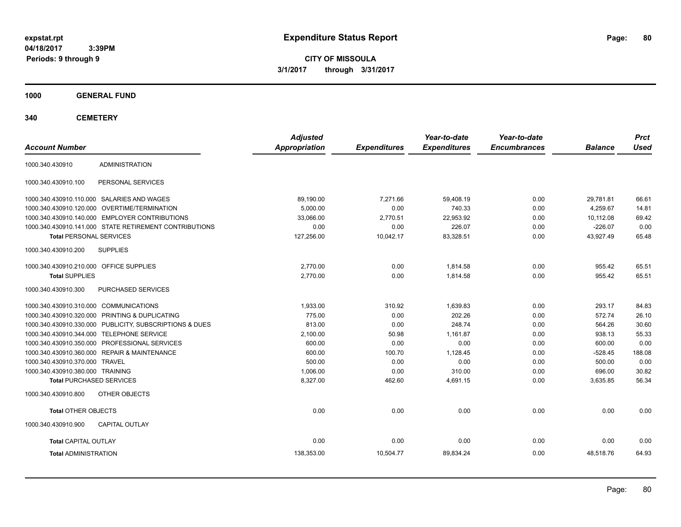**CITY OF MISSOULA 3/1/2017 through 3/31/2017**

**1000 GENERAL FUND**

**340 CEMETERY**

| <b>Account Number</b>                                   | <b>Adjusted</b><br><b>Appropriation</b> | <b>Expenditures</b> | Year-to-date<br><b>Expenditures</b> | Year-to-date<br><b>Encumbrances</b> | <b>Balance</b> | <b>Prct</b><br><b>Used</b> |
|---------------------------------------------------------|-----------------------------------------|---------------------|-------------------------------------|-------------------------------------|----------------|----------------------------|
| <b>ADMINISTRATION</b><br>1000.340.430910                |                                         |                     |                                     |                                     |                |                            |
| 1000.340.430910.100<br>PERSONAL SERVICES                |                                         |                     |                                     |                                     |                |                            |
| 1000.340.430910.110.000 SALARIES AND WAGES              | 89.190.00                               | 7.271.66            | 59.408.19                           | 0.00                                | 29.781.81      | 66.61                      |
| 1000.340.430910.120.000 OVERTIME/TERMINATION            | 5.000.00                                | 0.00                | 740.33                              | 0.00                                | 4.259.67       | 14.81                      |
| 1000.340.430910.140.000 EMPLOYER CONTRIBUTIONS          | 33.066.00                               | 2.770.51            | 22.953.92                           | 0.00                                | 10.112.08      | 69.42                      |
| 1000.340.430910.141.000 STATE RETIREMENT CONTRIBUTIONS  | 0.00                                    | 0.00                | 226.07                              | 0.00                                | $-226.07$      | 0.00                       |
| <b>Total PERSONAL SERVICES</b>                          | 127,256.00                              | 10,042.17           | 83,328.51                           | 0.00                                | 43.927.49      | 65.48                      |
| 1000.340.430910.200<br><b>SUPPLIES</b>                  |                                         |                     |                                     |                                     |                |                            |
| 1000.340.430910.210.000 OFFICE SUPPLIES                 | 2,770.00                                | 0.00                | 1.814.58                            | 0.00                                | 955.42         | 65.51                      |
| <b>Total SUPPLIES</b>                                   | 2,770.00                                | 0.00                | 1,814.58                            | 0.00                                | 955.42         | 65.51                      |
| 1000.340.430910.300<br><b>PURCHASED SERVICES</b>        |                                         |                     |                                     |                                     |                |                            |
| 1000.340.430910.310.000 COMMUNICATIONS                  | 1,933.00                                | 310.92              | 1.639.83                            | 0.00                                | 293.17         | 84.83                      |
| 1000.340.430910.320.000 PRINTING & DUPLICATING          | 775.00                                  | 0.00                | 202.26                              | 0.00                                | 572.74         | 26.10                      |
| 1000.340.430910.330.000 PUBLICITY, SUBSCRIPTIONS & DUES | 813.00                                  | 0.00                | 248.74                              | 0.00                                | 564.26         | 30.60                      |
| 1000.340.430910.344.000 TELEPHONE SERVICE               | 2,100.00                                | 50.98               | 1,161.87                            | 0.00                                | 938.13         | 55.33                      |
| 1000.340.430910.350.000 PROFESSIONAL SERVICES           | 600.00                                  | 0.00                | 0.00                                | 0.00                                | 600.00         | 0.00                       |
| 1000.340.430910.360.000 REPAIR & MAINTENANCE            | 600.00                                  | 100.70              | 1,128.45                            | 0.00                                | $-528.45$      | 188.08                     |
| 1000.340.430910.370.000 TRAVEL                          | 500.00                                  | 0.00                | 0.00                                | 0.00                                | 500.00         | 0.00                       |
| 1000.340.430910.380.000 TRAINING                        | 1,006.00                                | 0.00                | 310.00                              | 0.00                                | 696.00         | 30.82                      |
| <b>Total PURCHASED SERVICES</b>                         | 8,327.00                                | 462.60              | 4,691.15                            | 0.00                                | 3,635.85       | 56.34                      |
| 1000.340.430910.800<br>OTHER OBJECTS                    |                                         |                     |                                     |                                     |                |                            |
| <b>Total OTHER OBJECTS</b>                              | 0.00                                    | 0.00                | 0.00                                | 0.00                                | 0.00           | 0.00                       |
| 1000.340.430910.900<br><b>CAPITAL OUTLAY</b>            |                                         |                     |                                     |                                     |                |                            |
| <b>Total CAPITAL OUTLAY</b>                             | 0.00                                    | 0.00                | 0.00                                | 0.00                                | 0.00           | 0.00                       |
| <b>Total ADMINISTRATION</b>                             | 138,353.00                              | 10,504.77           | 89,834.24                           | 0.00                                | 48,518.76      | 64.93                      |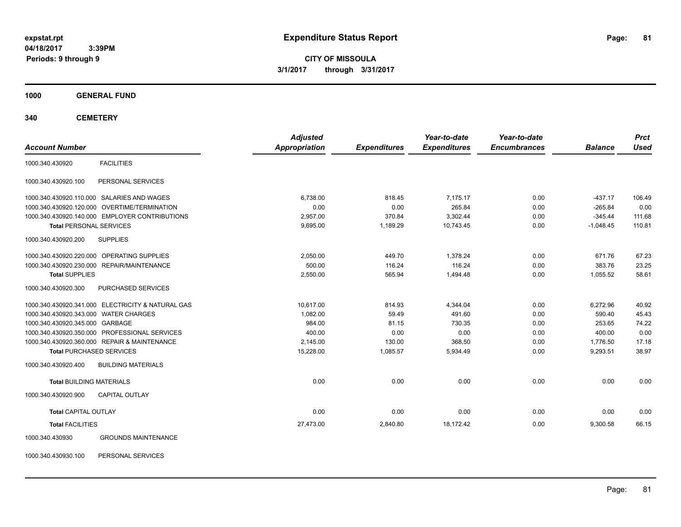**CITY OF MISSOULA 3/1/2017 through 3/31/2017**

**1000 GENERAL FUND**

**340 CEMETERY**

| <b>Account Number</b>                 |                                                   | <b>Adjusted</b><br><b>Appropriation</b> | <b>Expenditures</b> | Year-to-date<br><b>Expenditures</b> | Year-to-date<br><b>Encumbrances</b> | <b>Balance</b> | <b>Prct</b><br><b>Used</b> |
|---------------------------------------|---------------------------------------------------|-----------------------------------------|---------------------|-------------------------------------|-------------------------------------|----------------|----------------------------|
|                                       |                                                   |                                         |                     |                                     |                                     |                |                            |
| 1000.340.430920                       | <b>FACILITIES</b>                                 |                                         |                     |                                     |                                     |                |                            |
| 1000.340.430920.100                   | PERSONAL SERVICES                                 |                                         |                     |                                     |                                     |                |                            |
|                                       | 1000.340.430920.110.000 SALARIES AND WAGES        | 6,738.00                                | 818.45              | 7.175.17                            | 0.00                                | $-437.17$      | 106.49                     |
|                                       | 1000.340.430920.120.000 OVERTIME/TERMINATION      | 0.00                                    | 0.00                | 265.84                              | 0.00                                | $-265.84$      | 0.00                       |
|                                       | 1000.340.430920.140.000 EMPLOYER CONTRIBUTIONS    | 2.957.00                                | 370.84              | 3,302.44                            | 0.00                                | $-345.44$      | 111.68                     |
| <b>Total PERSONAL SERVICES</b>        |                                                   | 9,695.00                                | 1,189.29            | 10,743.45                           | 0.00                                | $-1,048.45$    | 110.81                     |
| 1000.340.430920.200                   | <b>SUPPLIES</b>                                   |                                         |                     |                                     |                                     |                |                            |
|                                       | 1000.340.430920.220.000 OPERATING SUPPLIES        | 2,050.00                                | 449.70              | 1.378.24                            | 0.00                                | 671.76         | 67.23                      |
|                                       | 1000.340.430920.230.000 REPAIR/MAINTENANCE        | 500.00                                  | 116.24              | 116.24                              | 0.00                                | 383.76         | 23.25                      |
| <b>Total SUPPLIES</b>                 |                                                   | 2,550.00                                | 565.94              | 1,494.48                            | 0.00                                | 1,055.52       | 58.61                      |
| 1000.340.430920.300                   | PURCHASED SERVICES                                |                                         |                     |                                     |                                     |                |                            |
|                                       | 1000.340.430920.341.000 ELECTRICITY & NATURAL GAS | 10.617.00                               | 814.93              | 4,344.04                            | 0.00                                | 6,272.96       | 40.92                      |
| 1000.340.430920.343.000 WATER CHARGES |                                                   | 1,082.00                                | 59.49               | 491.60                              | 0.00                                | 590.40         | 45.43                      |
| 1000.340.430920.345.000 GARBAGE       |                                                   | 984.00                                  | 81.15               | 730.35                              | 0.00                                | 253.65         | 74.22                      |
|                                       | 1000.340.430920.350.000 PROFESSIONAL SERVICES     | 400.00                                  | 0.00                | 0.00                                | 0.00                                | 400.00         | 0.00                       |
|                                       | 1000.340.430920.360.000 REPAIR & MAINTENANCE      | 2,145.00                                | 130.00              | 368.50                              | 0.00                                | 1,776.50       | 17.18                      |
| <b>Total PURCHASED SERVICES</b>       |                                                   | 15,228.00                               | 1,085.57            | 5,934.49                            | 0.00                                | 9,293.51       | 38.97                      |
| 1000.340.430920.400                   | <b>BUILDING MATERIALS</b>                         |                                         |                     |                                     |                                     |                |                            |
| <b>Total BUILDING MATERIALS</b>       |                                                   | 0.00                                    | 0.00                | 0.00                                | 0.00                                | 0.00           | 0.00                       |
| 1000.340.430920.900                   | <b>CAPITAL OUTLAY</b>                             |                                         |                     |                                     |                                     |                |                            |
| <b>Total CAPITAL OUTLAY</b>           |                                                   | 0.00                                    | 0.00                | 0.00                                | 0.00                                | 0.00           | 0.00                       |
| <b>Total FACILITIES</b>               |                                                   | 27,473.00                               | 2,840.80            | 18,172.42                           | 0.00                                | 9,300.58       | 66.15                      |
| 1000.340.430930                       | <b>GROUNDS MAINTENANCE</b>                        |                                         |                     |                                     |                                     |                |                            |

1000.340.430930.100 PERSONAL SERVICES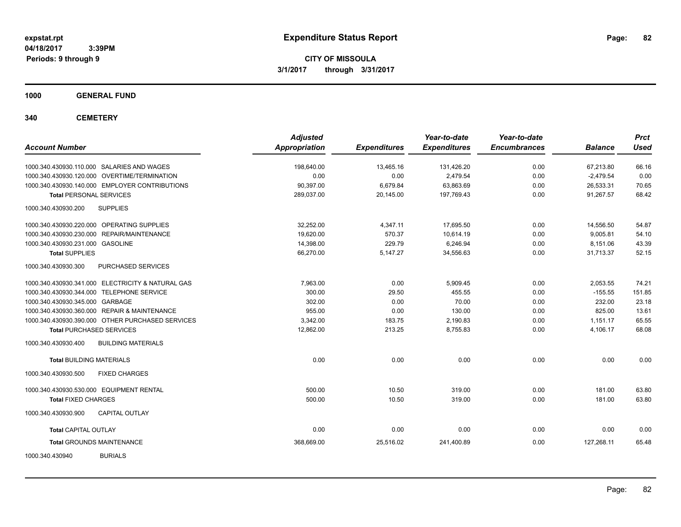**CITY OF MISSOULA 3/1/2017 through 3/31/2017**

**1000 GENERAL FUND**

**340 CEMETERY**

| <b>Account Number</b>                             | <b>Adjusted</b><br><b>Appropriation</b> | <b>Expenditures</b> | Year-to-date<br><b>Expenditures</b> | Year-to-date<br><b>Encumbrances</b> | <b>Balance</b> | <b>Prct</b><br><b>Used</b> |
|---------------------------------------------------|-----------------------------------------|---------------------|-------------------------------------|-------------------------------------|----------------|----------------------------|
| 1000.340.430930.110.000 SALARIES AND WAGES        | 198,640.00                              | 13,465.16           | 131,426.20                          | 0.00                                | 67,213.80      | 66.16                      |
| 1000.340.430930.120.000 OVERTIME/TERMINATION      | 0.00                                    | 0.00                | 2,479.54                            | 0.00                                | $-2,479.54$    | 0.00                       |
| 1000.340.430930.140.000 EMPLOYER CONTRIBUTIONS    | 90,397.00                               | 6,679.84            | 63,863.69                           | 0.00                                | 26,533.31      | 70.65                      |
| <b>Total PERSONAL SERVICES</b>                    | 289,037.00                              | 20,145.00           | 197,769.43                          | 0.00                                | 91,267.57      | 68.42                      |
| 1000.340.430930.200<br><b>SUPPLIES</b>            |                                         |                     |                                     |                                     |                |                            |
| 1000.340.430930.220.000 OPERATING SUPPLIES        | 32.252.00                               | 4.347.11            | 17,695.50                           | 0.00                                | 14,556.50      | 54.87                      |
| 1000.340.430930.230.000 REPAIR/MAINTENANCE        | 19,620.00                               | 570.37              | 10,614.19                           | 0.00                                | 9,005.81       | 54.10                      |
| 1000.340.430930.231.000 GASOLINE                  | 14,398.00                               | 229.79              | 6,246.94                            | 0.00                                | 8,151.06       | 43.39                      |
| <b>Total SUPPLIES</b>                             | 66,270.00                               | 5,147.27            | 34,556.63                           | 0.00                                | 31,713.37      | 52.15                      |
| PURCHASED SERVICES<br>1000.340.430930.300         |                                         |                     |                                     |                                     |                |                            |
| 1000.340.430930.341.000 ELECTRICITY & NATURAL GAS | 7.963.00                                | 0.00                | 5.909.45                            | 0.00                                | 2,053.55       | 74.21                      |
| 1000.340.430930.344.000 TELEPHONE SERVICE         | 300.00                                  | 29.50               | 455.55                              | 0.00                                | $-155.55$      | 151.85                     |
| 1000.340.430930.345.000 GARBAGE                   | 302.00                                  | 0.00                | 70.00                               | 0.00                                | 232.00         | 23.18                      |
| 1000.340.430930.360.000 REPAIR & MAINTENANCE      | 955.00                                  | 0.00                | 130.00                              | 0.00                                | 825.00         | 13.61                      |
| 1000.340.430930.390.000 OTHER PURCHASED SERVICES  | 3.342.00                                | 183.75              | 2,190.83                            | 0.00                                | 1,151.17       | 65.55                      |
| <b>Total PURCHASED SERVICES</b>                   | 12,862.00                               | 213.25              | 8,755.83                            | 0.00                                | 4,106.17       | 68.08                      |
| <b>BUILDING MATERIALS</b><br>1000.340.430930.400  |                                         |                     |                                     |                                     |                |                            |
| <b>Total BUILDING MATERIALS</b>                   | 0.00                                    | 0.00                | 0.00                                | 0.00                                | 0.00           | 0.00                       |
| 1000.340.430930.500<br><b>FIXED CHARGES</b>       |                                         |                     |                                     |                                     |                |                            |
| 1000.340.430930.530.000 EQUIPMENT RENTAL          | 500.00                                  | 10.50               | 319.00                              | 0.00                                | 181.00         | 63.80                      |
| <b>Total FIXED CHARGES</b>                        | 500.00                                  | 10.50               | 319.00                              | 0.00                                | 181.00         | 63.80                      |
| <b>CAPITAL OUTLAY</b><br>1000.340.430930.900      |                                         |                     |                                     |                                     |                |                            |
| <b>Total CAPITAL OUTLAY</b>                       | 0.00                                    | 0.00                | 0.00                                | 0.00                                | 0.00           | 0.00                       |
| <b>Total GROUNDS MAINTENANCE</b>                  | 368,669.00                              | 25,516.02           | 241,400.89                          | 0.00                                | 127,268.11     | 65.48                      |
| <b>BURIALS</b><br>1000.340.430940                 |                                         |                     |                                     |                                     |                |                            |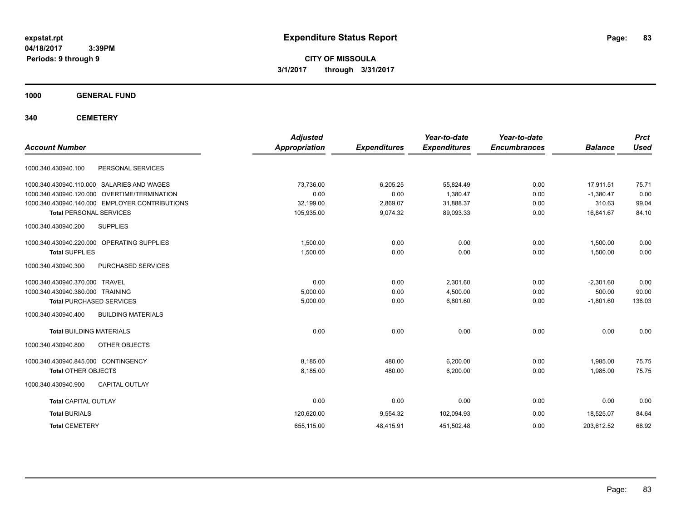**CITY OF MISSOULA 3/1/2017 through 3/31/2017**

**1000 GENERAL FUND**

**340 CEMETERY**

| <b>Account Number</b>                            | <b>Adjusted</b><br><b>Appropriation</b> | <b>Expenditures</b> | Year-to-date<br><b>Expenditures</b> | Year-to-date<br><b>Encumbrances</b> | <b>Balance</b> | <b>Prct</b><br><b>Used</b> |
|--------------------------------------------------|-----------------------------------------|---------------------|-------------------------------------|-------------------------------------|----------------|----------------------------|
| PERSONAL SERVICES<br>1000.340.430940.100         |                                         |                     |                                     |                                     |                |                            |
| 1000.340.430940.110.000 SALARIES AND WAGES       | 73,736.00                               | 6,205.25            | 55,824.49                           | 0.00                                | 17,911.51      | 75.71                      |
| 1000.340.430940.120.000 OVERTIME/TERMINATION     | 0.00                                    | 0.00                | 1,380.47                            | 0.00                                | $-1,380.47$    | 0.00                       |
| 1000.340.430940.140.000 EMPLOYER CONTRIBUTIONS   | 32,199.00                               | 2,869.07            | 31,888.37                           | 0.00                                | 310.63         | 99.04                      |
| <b>Total PERSONAL SERVICES</b>                   | 105,935.00                              | 9,074.32            | 89,093.33                           | 0.00                                | 16,841.67      | 84.10                      |
| 1000.340.430940.200<br><b>SUPPLIES</b>           |                                         |                     |                                     |                                     |                |                            |
| 1000.340.430940.220.000 OPERATING SUPPLIES       | 1,500.00                                | 0.00                | 0.00                                | 0.00                                | 1,500.00       | 0.00                       |
| <b>Total SUPPLIES</b>                            | 1,500.00                                | 0.00                | 0.00                                | 0.00                                | 1,500.00       | 0.00                       |
| 1000.340.430940.300<br>PURCHASED SERVICES        |                                         |                     |                                     |                                     |                |                            |
| 1000.340.430940.370.000 TRAVEL                   | 0.00                                    | 0.00                | 2,301.60                            | 0.00                                | $-2,301.60$    | 0.00                       |
| 1000.340.430940.380.000 TRAINING                 | 5,000.00                                | 0.00                | 4,500.00                            | 0.00                                | 500.00         | 90.00                      |
| <b>Total PURCHASED SERVICES</b>                  | 5,000.00                                | 0.00                | 6.801.60                            | 0.00                                | $-1,801.60$    | 136.03                     |
| <b>BUILDING MATERIALS</b><br>1000.340.430940.400 |                                         |                     |                                     |                                     |                |                            |
| <b>Total BUILDING MATERIALS</b>                  | 0.00                                    | 0.00                | 0.00                                | 0.00                                | 0.00           | 0.00                       |
| OTHER OBJECTS<br>1000.340.430940.800             |                                         |                     |                                     |                                     |                |                            |
| 1000.340.430940.845.000 CONTINGENCY              | 8,185.00                                | 480.00              | 6.200.00                            | 0.00                                | 1,985.00       | 75.75                      |
| <b>Total OTHER OBJECTS</b>                       | 8,185.00                                | 480.00              | 6,200.00                            | 0.00                                | 1,985.00       | 75.75                      |
| 1000.340.430940.900<br><b>CAPITAL OUTLAY</b>     |                                         |                     |                                     |                                     |                |                            |
| <b>Total CAPITAL OUTLAY</b>                      | 0.00                                    | 0.00                | 0.00                                | 0.00                                | 0.00           | 0.00                       |
| <b>Total BURIALS</b>                             | 120,620.00                              | 9,554.32            | 102,094.93                          | 0.00                                | 18,525.07      | 84.64                      |
| <b>Total CEMETERY</b>                            | 655,115.00                              | 48,415.91           | 451,502.48                          | 0.00                                | 203,612.52     | 68.92                      |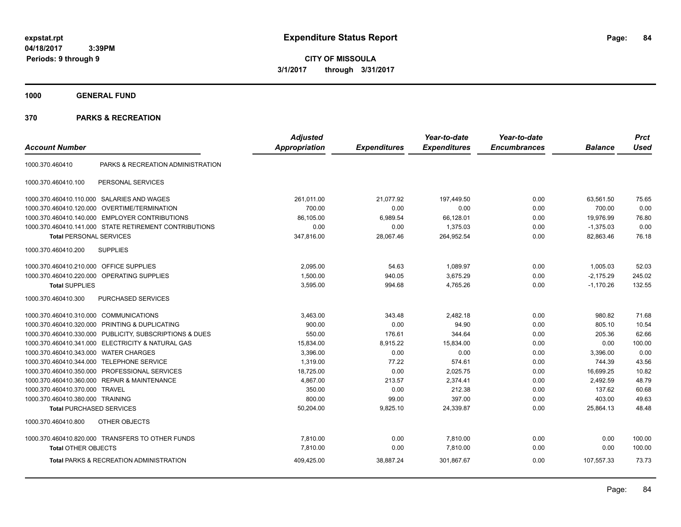**CITY OF MISSOULA 3/1/2017 through 3/31/2017**

**1000 GENERAL FUND**

|                                         |                                                         | <b>Adjusted</b> |                     | Year-to-date        | Year-to-date        |                | <b>Prct</b> |
|-----------------------------------------|---------------------------------------------------------|-----------------|---------------------|---------------------|---------------------|----------------|-------------|
| <b>Account Number</b>                   |                                                         | Appropriation   | <b>Expenditures</b> | <b>Expenditures</b> | <b>Encumbrances</b> | <b>Balance</b> | <b>Used</b> |
| 1000.370.460410                         | PARKS & RECREATION ADMINISTRATION                       |                 |                     |                     |                     |                |             |
| 1000.370.460410.100                     | PERSONAL SERVICES                                       |                 |                     |                     |                     |                |             |
|                                         | 1000.370.460410.110.000 SALARIES AND WAGES              | 261,011.00      | 21,077.92           | 197,449.50          | 0.00                | 63,561.50      | 75.65       |
| 1000.370.460410.120.000                 | <b>OVERTIME/TERMINATION</b>                             | 700.00          | 0.00                | 0.00                | 0.00                | 700.00         | 0.00        |
|                                         | 1000.370.460410.140.000 EMPLOYER CONTRIBUTIONS          | 86,105.00       | 6,989.54            | 66,128.01           | 0.00                | 19,976.99      | 76.80       |
|                                         | 1000.370.460410.141.000 STATE RETIREMENT CONTRIBUTIONS  | 0.00            | 0.00                | 1,375.03            | 0.00                | $-1,375.03$    | 0.00        |
| <b>Total PERSONAL SERVICES</b>          |                                                         | 347,816.00      | 28,067.46           | 264,952.54          | 0.00                | 82,863.46      | 76.18       |
| 1000.370.460410.200                     | <b>SUPPLIES</b>                                         |                 |                     |                     |                     |                |             |
| 1000.370.460410.210.000 OFFICE SUPPLIES |                                                         | 2,095.00        | 54.63               | 1,089.97            | 0.00                | 1,005.03       | 52.03       |
| 1000.370.460410.220.000                 | OPERATING SUPPLIES                                      | 1,500.00        | 940.05              | 3,675.29            | 0.00                | $-2,175.29$    | 245.02      |
| <b>Total SUPPLIES</b>                   |                                                         | 3,595.00        | 994.68              | 4,765.26            | 0.00                | $-1,170.26$    | 132.55      |
| 1000.370.460410.300                     | PURCHASED SERVICES                                      |                 |                     |                     |                     |                |             |
| 1000.370.460410.310.000 COMMUNICATIONS  |                                                         | 3,463.00        | 343.48              | 2,482.18            | 0.00                | 980.82         | 71.68       |
| 1000.370.460410.320.000                 | PRINTING & DUPLICATING                                  | 900.00          | 0.00                | 94.90               | 0.00                | 805.10         | 10.54       |
|                                         | 1000.370.460410.330.000 PUBLICITY, SUBSCRIPTIONS & DUES | 550.00          | 176.61              | 344.64              | 0.00                | 205.36         | 62.66       |
|                                         | 1000.370.460410.341.000 ELECTRICITY & NATURAL GAS       | 15,834.00       | 8,915.22            | 15,834.00           | 0.00                | 0.00           | 100.00      |
| 1000.370.460410.343.000                 | <b>WATER CHARGES</b>                                    | 3,396.00        | 0.00                | 0.00                | 0.00                | 3,396.00       | 0.00        |
| 1000.370.460410.344.000                 | <b>TELEPHONE SERVICE</b>                                | 1,319.00        | 77.22               | 574.61              | 0.00                | 744.39         | 43.56       |
| 1000.370.460410.350.000                 | PROFESSIONAL SERVICES                                   | 18,725.00       | 0.00                | 2,025.75            | 0.00                | 16,699.25      | 10.82       |
|                                         | 1000.370.460410.360.000 REPAIR & MAINTENANCE            | 4,867.00        | 213.57              | 2,374.41            | 0.00                | 2,492.59       | 48.79       |
| 1000.370.460410.370.000                 | <b>TRAVEL</b>                                           | 350.00          | 0.00                | 212.38              | 0.00                | 137.62         | 60.68       |
| 1000.370.460410.380.000 TRAINING        |                                                         | 800.00          | 99.00               | 397.00              | 0.00                | 403.00         | 49.63       |
| <b>Total PURCHASED SERVICES</b>         |                                                         | 50,204.00       | 9,825.10            | 24,339.87           | 0.00                | 25,864.13      | 48.48       |
| 1000.370.460410.800                     | OTHER OBJECTS                                           |                 |                     |                     |                     |                |             |
|                                         | 1000.370.460410.820.000 TRANSFERS TO OTHER FUNDS        | 7,810.00        | 0.00                | 7,810.00            | 0.00                | 0.00           | 100.00      |
| <b>Total OTHER OBJECTS</b>              |                                                         | 7,810.00        | 0.00                | 7,810.00            | 0.00                | 0.00           | 100.00      |
|                                         | <b>Total PARKS &amp; RECREATION ADMINISTRATION</b>      | 409,425.00      | 38,887.24           | 301,867.67          | 0.00                | 107,557.33     | 73.73       |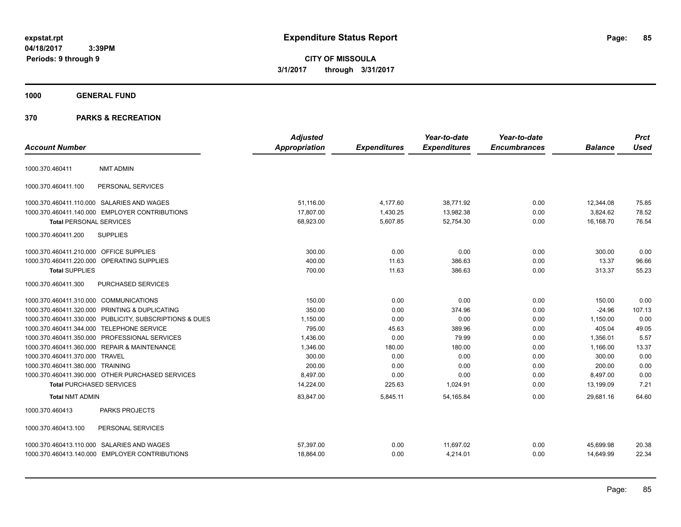**CITY OF MISSOULA 3/1/2017 through 3/31/2017**

# **1000 GENERAL FUND**

|                                         |                                                         | <b>Adjusted</b>      |                     | Year-to-date        | Year-to-date        |                | <b>Prct</b> |
|-----------------------------------------|---------------------------------------------------------|----------------------|---------------------|---------------------|---------------------|----------------|-------------|
| <b>Account Number</b>                   |                                                         | <b>Appropriation</b> | <b>Expenditures</b> | <b>Expenditures</b> | <b>Encumbrances</b> | <b>Balance</b> | <b>Used</b> |
| 1000.370.460411                         | <b>NMT ADMIN</b>                                        |                      |                     |                     |                     |                |             |
| 1000.370.460411.100                     | PERSONAL SERVICES                                       |                      |                     |                     |                     |                |             |
|                                         | 1000.370.460411.110.000 SALARIES AND WAGES              | 51.116.00            | 4,177.60            | 38,771.92           | 0.00                | 12,344.08      | 75.85       |
|                                         | 1000.370.460411.140.000 EMPLOYER CONTRIBUTIONS          | 17,807.00            | 1,430.25            | 13,982.38           | 0.00                | 3,824.62       | 78.52       |
| <b>Total PERSONAL SERVICES</b>          |                                                         | 68,923.00            | 5,607.85            | 52,754.30           | 0.00                | 16,168.70      | 76.54       |
| 1000.370.460411.200                     | <b>SUPPLIES</b>                                         |                      |                     |                     |                     |                |             |
| 1000.370.460411.210.000 OFFICE SUPPLIES |                                                         | 300.00               | 0.00                | 0.00                | 0.00                | 300.00         | 0.00        |
|                                         | 1000.370.460411.220.000 OPERATING SUPPLIES              | 400.00               | 11.63               | 386.63              | 0.00                | 13.37          | 96.66       |
| <b>Total SUPPLIES</b>                   |                                                         | 700.00               | 11.63               | 386.63              | 0.00                | 313.37         | 55.23       |
| 1000.370.460411.300                     | PURCHASED SERVICES                                      |                      |                     |                     |                     |                |             |
| 1000.370.460411.310.000 COMMUNICATIONS  |                                                         | 150.00               | 0.00                | 0.00                | 0.00                | 150.00         | 0.00        |
|                                         | 1000.370.460411.320.000 PRINTING & DUPLICATING          | 350.00               | 0.00                | 374.96              | 0.00                | $-24.96$       | 107.13      |
|                                         | 1000.370.460411.330.000 PUBLICITY, SUBSCRIPTIONS & DUES | 1,150.00             | 0.00                | 0.00                | 0.00                | 1,150.00       | 0.00        |
|                                         | 1000.370.460411.344.000 TELEPHONE SERVICE               | 795.00               | 45.63               | 389.96              | 0.00                | 405.04         | 49.05       |
|                                         | 1000.370.460411.350.000 PROFESSIONAL SERVICES           | 1,436.00             | 0.00                | 79.99               | 0.00                | 1,356.01       | 5.57        |
|                                         | 1000.370.460411.360.000 REPAIR & MAINTENANCE            | 1,346.00             | 180.00              | 180.00              | 0.00                | 1,166.00       | 13.37       |
| 1000.370.460411.370.000 TRAVEL          |                                                         | 300.00               | 0.00                | 0.00                | 0.00                | 300.00         | 0.00        |
| 1000.370.460411.380.000 TRAINING        |                                                         | 200.00               | 0.00                | 0.00                | 0.00                | 200.00         | 0.00        |
|                                         | 1000.370.460411.390.000 OTHER PURCHASED SERVICES        | 8,497.00             | 0.00                | 0.00                | 0.00                | 8,497.00       | 0.00        |
| <b>Total PURCHASED SERVICES</b>         |                                                         | 14,224.00            | 225.63              | 1,024.91            | 0.00                | 13,199.09      | 7.21        |
| <b>Total NMT ADMIN</b>                  |                                                         | 83,847.00            | 5,845.11            | 54, 165.84          | 0.00                | 29.681.16      | 64.60       |
| 1000.370.460413                         | PARKS PROJECTS                                          |                      |                     |                     |                     |                |             |
| 1000.370.460413.100                     | PERSONAL SERVICES                                       |                      |                     |                     |                     |                |             |
|                                         | 1000.370.460413.110.000 SALARIES AND WAGES              | 57,397.00            | 0.00                | 11,697.02           | 0.00                | 45,699.98      | 20.38       |
|                                         | 1000.370.460413.140.000 EMPLOYER CONTRIBUTIONS          | 18,864.00            | 0.00                | 4,214.01            | 0.00                | 14,649.99      | 22.34       |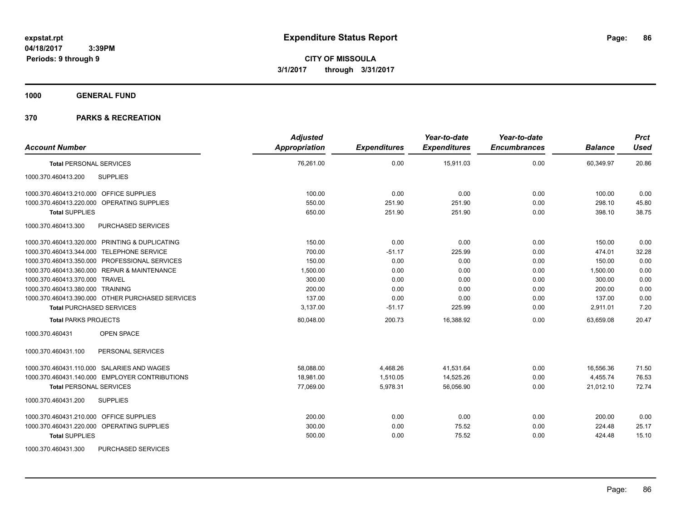**1000 GENERAL FUND**

| <b>Account Number</b>                            | <b>Adjusted</b><br><b>Appropriation</b> | <b>Expenditures</b> | Year-to-date<br><b>Expenditures</b> | Year-to-date<br><b>Encumbrances</b> | <b>Balance</b> | <b>Prct</b><br><b>Used</b> |
|--------------------------------------------------|-----------------------------------------|---------------------|-------------------------------------|-------------------------------------|----------------|----------------------------|
| <b>Total PERSONAL SERVICES</b>                   | 76,261.00                               | 0.00                | 15,911.03                           | 0.00                                | 60,349.97      | 20.86                      |
| <b>SUPPLIES</b><br>1000.370.460413.200           |                                         |                     |                                     |                                     |                |                            |
| 1000.370.460413.210.000 OFFICE SUPPLIES          | 100.00                                  | 0.00                | 0.00                                | 0.00                                | 100.00         | 0.00                       |
| 1000.370.460413.220.000 OPERATING SUPPLIES       | 550.00                                  | 251.90              | 251.90                              | 0.00                                | 298.10         | 45.80                      |
| <b>Total SUPPLIES</b>                            | 650.00                                  | 251.90              | 251.90                              | 0.00                                | 398.10         | 38.75                      |
| 1000.370.460413.300<br>PURCHASED SERVICES        |                                         |                     |                                     |                                     |                |                            |
| 1000.370.460413.320.000 PRINTING & DUPLICATING   | 150.00                                  | 0.00                | 0.00                                | 0.00                                | 150.00         | 0.00                       |
| 1000.370.460413.344.000 TELEPHONE SERVICE        | 700.00                                  | $-51.17$            | 225.99                              | 0.00                                | 474.01         | 32.28                      |
| 1000.370.460413.350.000 PROFESSIONAL SERVICES    | 150.00                                  | 0.00                | 0.00                                | 0.00                                | 150.00         | 0.00                       |
| 1000.370.460413.360.000 REPAIR & MAINTENANCE     | 1,500.00                                | 0.00                | 0.00                                | 0.00                                | 1,500.00       | 0.00                       |
| 1000.370.460413.370.000 TRAVEL                   | 300.00                                  | 0.00                | 0.00                                | 0.00                                | 300.00         | 0.00                       |
| 1000.370.460413.380.000 TRAINING                 | 200.00                                  | 0.00                | 0.00                                | 0.00                                | 200.00         | 0.00                       |
| 1000.370.460413.390.000 OTHER PURCHASED SERVICES | 137.00                                  | 0.00                | 0.00                                | 0.00                                | 137.00         | 0.00                       |
| <b>Total PURCHASED SERVICES</b>                  | 3,137.00                                | $-51.17$            | 225.99                              | 0.00                                | 2,911.01       | 7.20                       |
| <b>Total PARKS PROJECTS</b>                      | 80,048.00                               | 200.73              | 16,388.92                           | 0.00                                | 63,659.08      | 20.47                      |
| 1000.370.460431<br><b>OPEN SPACE</b>             |                                         |                     |                                     |                                     |                |                            |
| 1000.370.460431.100<br>PERSONAL SERVICES         |                                         |                     |                                     |                                     |                |                            |
| 1000.370.460431.110.000 SALARIES AND WAGES       | 58,088.00                               | 4,468.26            | 41,531.64                           | 0.00                                | 16,556.36      | 71.50                      |
| 1000.370.460431.140.000 EMPLOYER CONTRIBUTIONS   | 18,981.00                               | 1,510.05            | 14,525.26                           | 0.00                                | 4,455.74       | 76.53                      |
| <b>Total PERSONAL SERVICES</b>                   | 77,069.00                               | 5,978.31            | 56,056.90                           | 0.00                                | 21,012.10      | 72.74                      |
| 1000.370.460431.200<br><b>SUPPLIES</b>           |                                         |                     |                                     |                                     |                |                            |
| 1000.370.460431.210.000 OFFICE SUPPLIES          | 200.00                                  | 0.00                | 0.00                                | 0.00                                | 200.00         | 0.00                       |
| 1000.370.460431.220.000 OPERATING SUPPLIES       | 300.00                                  | 0.00                | 75.52                               | 0.00                                | 224.48         | 25.17                      |
| <b>Total SUPPLIES</b>                            | 500.00                                  | 0.00                | 75.52                               | 0.00                                | 424.48         | 15.10                      |
| 1000.370.460431.300<br><b>PURCHASED SERVICES</b> |                                         |                     |                                     |                                     |                |                            |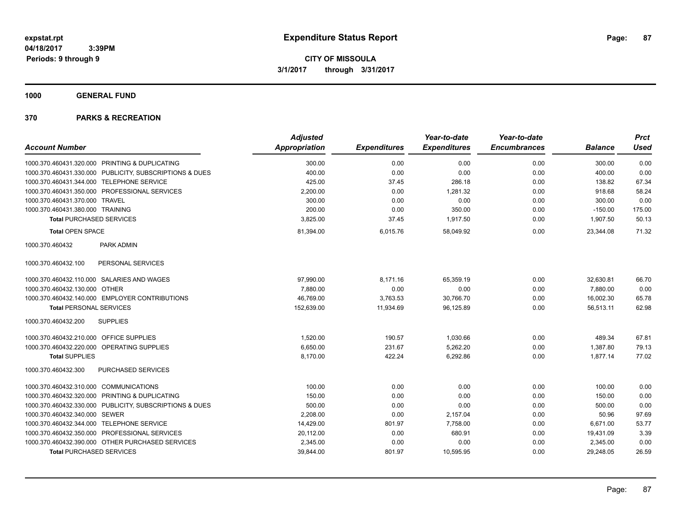**1000 GENERAL FUND**

| <b>Account Number</b>                                   | <b>Adjusted</b><br><b>Appropriation</b> | <b>Expenditures</b> | Year-to-date<br><b>Expenditures</b> | Year-to-date<br><b>Encumbrances</b> | <b>Balance</b> | <b>Prct</b><br><b>Used</b> |
|---------------------------------------------------------|-----------------------------------------|---------------------|-------------------------------------|-------------------------------------|----------------|----------------------------|
|                                                         |                                         |                     |                                     |                                     |                |                            |
| 1000.370.460431.320.000 PRINTING & DUPLICATING          | 300.00                                  | 0.00                | 0.00                                | 0.00                                | 300.00         | 0.00                       |
| 1000.370.460431.330.000 PUBLICITY, SUBSCRIPTIONS & DUES | 400.00                                  | 0.00                | 0.00                                | 0.00                                | 400.00         | 0.00                       |
| 1000.370.460431.344.000 TELEPHONE SERVICE               | 425.00                                  | 37.45               | 286.18                              | 0.00                                | 138.82         | 67.34                      |
| 1000.370.460431.350.000 PROFESSIONAL SERVICES           | 2,200.00                                | 0.00                | 1,281.32                            | 0.00                                | 918.68         | 58.24                      |
| 1000.370.460431.370.000 TRAVEL                          | 300.00                                  | 0.00                | 0.00                                | 0.00                                | 300.00         | 0.00                       |
| 1000.370.460431.380.000 TRAINING                        | 200.00                                  | 0.00                | 350.00                              | 0.00                                | $-150.00$      | 175.00                     |
| <b>Total PURCHASED SERVICES</b>                         | 3,825.00                                | 37.45               | 1,917.50                            | 0.00                                | 1,907.50       | 50.13                      |
| <b>Total OPEN SPACE</b>                                 | 81,394.00                               | 6,015.76            | 58,049.92                           | 0.00                                | 23,344.08      | 71.32                      |
| PARK ADMIN<br>1000.370.460432                           |                                         |                     |                                     |                                     |                |                            |
| PERSONAL SERVICES<br>1000.370.460432.100                |                                         |                     |                                     |                                     |                |                            |
| 1000.370.460432.110.000 SALARIES AND WAGES              | 97,990.00                               | 8,171.16            | 65,359.19                           | 0.00                                | 32,630.81      | 66.70                      |
| 1000.370.460432.130.000 OTHER                           | 7,880.00                                | 0.00                | 0.00                                | 0.00                                | 7,880.00       | 0.00                       |
| 1000.370.460432.140.000 EMPLOYER CONTRIBUTIONS          | 46,769.00                               | 3,763.53            | 30,766.70                           | 0.00                                | 16,002.30      | 65.78                      |
| <b>Total PERSONAL SERVICES</b>                          | 152,639.00                              | 11,934.69           | 96,125.89                           | 0.00                                | 56,513.11      | 62.98                      |
| <b>SUPPLIES</b><br>1000.370.460432.200                  |                                         |                     |                                     |                                     |                |                            |
| 1000.370.460432.210.000 OFFICE SUPPLIES                 | 1,520.00                                | 190.57              | 1,030.66                            | 0.00                                | 489.34         | 67.81                      |
| 1000.370.460432.220.000 OPERATING SUPPLIES              | 6,650.00                                | 231.67              | 5,262.20                            | 0.00                                | 1,387.80       | 79.13                      |
| <b>Total SUPPLIES</b>                                   | 8,170.00                                | 422.24              | 6,292.86                            | 0.00                                | 1,877.14       | 77.02                      |
| PURCHASED SERVICES<br>1000.370.460432.300               |                                         |                     |                                     |                                     |                |                            |
| 1000.370.460432.310.000 COMMUNICATIONS                  | 100.00                                  | 0.00                | 0.00                                | 0.00                                | 100.00         | 0.00                       |
| 1000.370.460432.320.000 PRINTING & DUPLICATING          | 150.00                                  | 0.00                | 0.00                                | 0.00                                | 150.00         | 0.00                       |
| 1000.370.460432.330.000 PUBLICITY, SUBSCRIPTIONS & DUES | 500.00                                  | 0.00                | 0.00                                | 0.00                                | 500.00         | 0.00                       |
| 1000.370.460432.340.000 SEWER                           | 2,208.00                                | 0.00                | 2,157.04                            | 0.00                                | 50.96          | 97.69                      |
| 1000.370.460432.344.000 TELEPHONE SERVICE               | 14,429.00                               | 801.97              | 7.758.00                            | 0.00                                | 6.671.00       | 53.77                      |
| 1000.370.460432.350.000 PROFESSIONAL SERVICES           | 20,112.00                               | 0.00                | 680.91                              | 0.00                                | 19,431.09      | 3.39                       |
| 1000.370.460432.390.000 OTHER PURCHASED SERVICES        | 2,345.00                                | 0.00                | 0.00                                | 0.00                                | 2,345.00       | 0.00                       |
| <b>Total PURCHASED SERVICES</b>                         | 39,844.00                               | 801.97              | 10,595.95                           | 0.00                                | 29,248.05      | 26.59                      |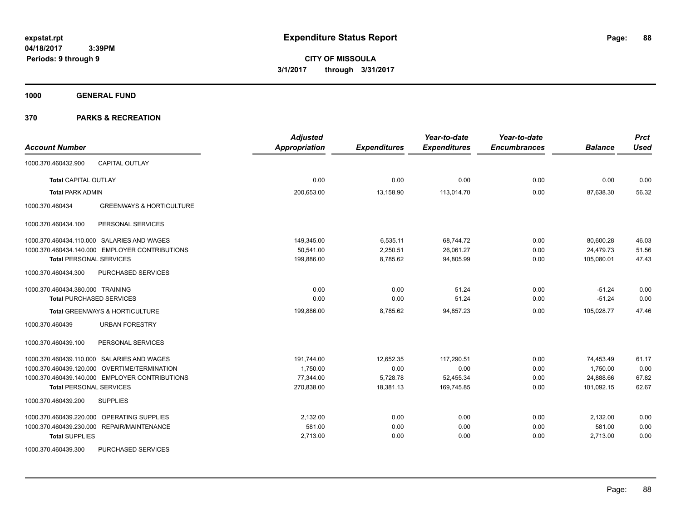**1000 GENERAL FUND**

| <b>Account Number</b>                                  | <b>Adjusted</b><br><b>Appropriation</b> | <b>Expenditures</b> | Year-to-date<br><b>Expenditures</b> | Year-to-date<br><b>Encumbrances</b> | <b>Balance</b> | <b>Prct</b><br><b>Used</b> |
|--------------------------------------------------------|-----------------------------------------|---------------------|-------------------------------------|-------------------------------------|----------------|----------------------------|
| <b>CAPITAL OUTLAY</b><br>1000.370.460432.900           |                                         |                     |                                     |                                     |                |                            |
| <b>Total CAPITAL OUTLAY</b>                            | 0.00                                    | 0.00                | 0.00                                | 0.00                                | 0.00           | 0.00                       |
| <b>Total PARK ADMIN</b>                                | 200,653.00                              | 13,158.90           | 113,014.70                          | 0.00                                | 87,638.30      | 56.32                      |
| 1000.370.460434<br><b>GREENWAYS &amp; HORTICULTURE</b> |                                         |                     |                                     |                                     |                |                            |
| PERSONAL SERVICES<br>1000.370.460434.100               |                                         |                     |                                     |                                     |                |                            |
| 1000.370.460434.110.000 SALARIES AND WAGES             | 149,345.00                              | 6,535.11            | 68,744.72                           | 0.00                                | 80,600.28      | 46.03                      |
| 1000.370.460434.140.000 EMPLOYER CONTRIBUTIONS         | 50,541.00                               | 2,250.51            | 26,061.27                           | 0.00                                | 24,479.73      | 51.56                      |
| <b>Total PERSONAL SERVICES</b>                         | 199,886.00                              | 8,785.62            | 94,805.99                           | 0.00                                | 105,080.01     | 47.43                      |
| 1000.370.460434.300<br>PURCHASED SERVICES              |                                         |                     |                                     |                                     |                |                            |
| 1000.370.460434.380.000 TRAINING                       | 0.00                                    | 0.00                | 51.24                               | 0.00                                | $-51.24$       | 0.00                       |
| <b>Total PURCHASED SERVICES</b>                        | 0.00                                    | 0.00                | 51.24                               | 0.00                                | $-51.24$       | 0.00                       |
| Total GREENWAYS & HORTICULTURE                         | 199,886.00                              | 8,785.62            | 94,857.23                           | 0.00                                | 105,028.77     | 47.46                      |
| <b>URBAN FORESTRY</b><br>1000.370.460439               |                                         |                     |                                     |                                     |                |                            |
| PERSONAL SERVICES<br>1000.370.460439.100               |                                         |                     |                                     |                                     |                |                            |
| 1000.370.460439.110.000 SALARIES AND WAGES             | 191,744.00                              | 12,652.35           | 117,290.51                          | 0.00                                | 74,453.49      | 61.17                      |
| 1000.370.460439.120.000 OVERTIME/TERMINATION           | 1,750.00                                | 0.00                | 0.00                                | 0.00                                | 1,750.00       | 0.00                       |
| 1000.370.460439.140.000 EMPLOYER CONTRIBUTIONS         | 77,344.00                               | 5,728.78            | 52,455.34                           | 0.00                                | 24,888.66      | 67.82                      |
| <b>Total PERSONAL SERVICES</b>                         | 270,838.00                              | 18,381.13           | 169,745.85                          | 0.00                                | 101,092.15     | 62.67                      |
| 1000.370.460439.200<br><b>SUPPLIES</b>                 |                                         |                     |                                     |                                     |                |                            |
| OPERATING SUPPLIES<br>1000.370.460439.220.000          | 2,132.00                                | 0.00                | 0.00                                | 0.00                                | 2,132.00       | 0.00                       |
| 1000.370.460439.230.000 REPAIR/MAINTENANCE             | 581.00                                  | 0.00                | 0.00                                | 0.00                                | 581.00         | 0.00                       |
| <b>Total SUPPLIES</b>                                  | 2,713.00                                | 0.00                | 0.00                                | 0.00                                | 2,713.00       | 0.00                       |
| PURCHASED SERVICES<br>1000.370.460439.300              |                                         |                     |                                     |                                     |                |                            |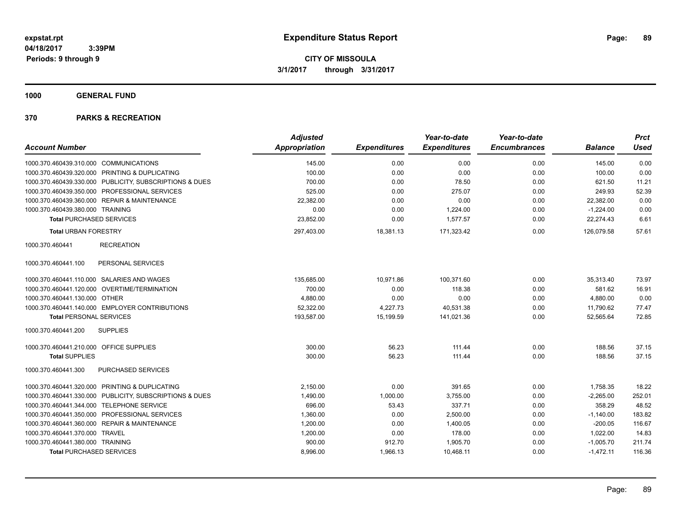**1000 GENERAL FUND**

|                                                         | <b>Adjusted</b>      |                     | Year-to-date        | Year-to-date        |                | <b>Prct</b> |
|---------------------------------------------------------|----------------------|---------------------|---------------------|---------------------|----------------|-------------|
| <b>Account Number</b>                                   | <b>Appropriation</b> | <b>Expenditures</b> | <b>Expenditures</b> | <b>Encumbrances</b> | <b>Balance</b> | <b>Used</b> |
| 1000.370.460439.310.000 COMMUNICATIONS                  | 145.00               | 0.00                | 0.00                | 0.00                | 145.00         | 0.00        |
| 1000.370.460439.320.000 PRINTING & DUPLICATING          | 100.00               | 0.00                | 0.00                | 0.00                | 100.00         | 0.00        |
| 1000.370.460439.330.000 PUBLICITY, SUBSCRIPTIONS & DUES | 700.00               | 0.00                | 78.50               | 0.00                | 621.50         | 11.21       |
| 1000.370.460439.350.000 PROFESSIONAL SERVICES           | 525.00               | 0.00                | 275.07              | 0.00                | 249.93         | 52.39       |
| 1000.370.460439.360.000 REPAIR & MAINTENANCE            | 22,382.00            | 0.00                | 0.00                | 0.00                | 22,382.00      | 0.00        |
| 1000.370.460439.380.000 TRAINING                        | 0.00                 | 0.00                | 1.224.00            | 0.00                | $-1,224.00$    | 0.00        |
| <b>Total PURCHASED SERVICES</b>                         | 23,852.00            | 0.00                | 1,577.57            | 0.00                | 22,274.43      | 6.61        |
| <b>Total URBAN FORESTRY</b>                             | 297,403.00           | 18,381.13           | 171,323.42          | 0.00                | 126,079.58     | 57.61       |
| 1000.370.460441<br><b>RECREATION</b>                    |                      |                     |                     |                     |                |             |
| 1000.370.460441.100<br>PERSONAL SERVICES                |                      |                     |                     |                     |                |             |
| 1000.370.460441.110.000 SALARIES AND WAGES              | 135,685.00           | 10,971.86           | 100,371.60          | 0.00                | 35,313.40      | 73.97       |
| 1000.370.460441.120.000 OVERTIME/TERMINATION            | 700.00               | 0.00                | 118.38              | 0.00                | 581.62         | 16.91       |
| 1000.370.460441.130.000 OTHER                           | 4,880.00             | 0.00                | 0.00                | 0.00                | 4,880.00       | 0.00        |
| 1000.370.460441.140.000 EMPLOYER CONTRIBUTIONS          | 52,322.00            | 4,227.73            | 40,531.38           | 0.00                | 11,790.62      | 77.47       |
| <b>Total PERSONAL SERVICES</b>                          | 193,587.00           | 15,199.59           | 141.021.36          | 0.00                | 52,565.64      | 72.85       |
| <b>SUPPLIES</b><br>1000.370.460441.200                  |                      |                     |                     |                     |                |             |
| 1000.370.460441.210.000 OFFICE SUPPLIES                 | 300.00               | 56.23               | 111.44              | 0.00                | 188.56         | 37.15       |
| <b>Total SUPPLIES</b>                                   | 300.00               | 56.23               | 111.44              | 0.00                | 188.56         | 37.15       |
| PURCHASED SERVICES<br>1000.370.460441.300               |                      |                     |                     |                     |                |             |
| 1000.370.460441.320.000 PRINTING & DUPLICATING          | 2,150.00             | 0.00                | 391.65              | 0.00                | 1,758.35       | 18.22       |
| 1000.370.460441.330.000 PUBLICITY, SUBSCRIPTIONS & DUES | 1,490.00             | 1,000.00            | 3,755.00            | 0.00                | $-2,265.00$    | 252.01      |
| 1000.370.460441.344.000 TELEPHONE SERVICE               | 696.00               | 53.43               | 337.71              | 0.00                | 358.29         | 48.52       |
| 1000.370.460441.350.000 PROFESSIONAL SERVICES           | 1,360.00             | 0.00                | 2,500.00            | 0.00                | $-1,140.00$    | 183.82      |
| 1000.370.460441.360.000 REPAIR & MAINTENANCE            | 1,200.00             | 0.00                | 1,400.05            | 0.00                | $-200.05$      | 116.67      |
| 1000.370.460441.370.000 TRAVEL                          | 1,200.00             | 0.00                | 178.00              | 0.00                | 1,022.00       | 14.83       |
| 1000.370.460441.380.000 TRAINING                        | 900.00               | 912.70              | 1,905.70            | 0.00                | $-1,005.70$    | 211.74      |
| <b>Total PURCHASED SERVICES</b>                         | 8,996.00             | 1,966.13            | 10,468.11           | 0.00                | $-1,472.11$    | 116.36      |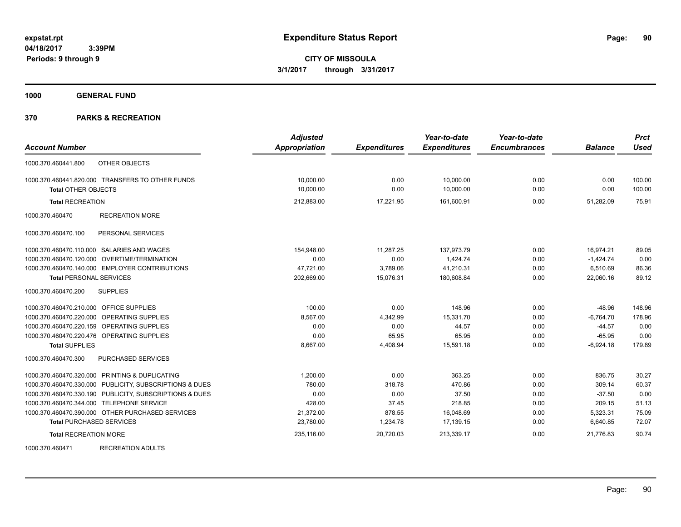**1000 GENERAL FUND**

### **370 PARKS & RECREATION**

| <b>Account Number</b>                                                                                        | <b>Adjusted</b><br><b>Appropriation</b> | <b>Expenditures</b> | Year-to-date<br><b>Expenditures</b> | Year-to-date<br><b>Encumbrances</b> | <b>Balance</b> | <b>Prct</b><br><b>Used</b> |
|--------------------------------------------------------------------------------------------------------------|-----------------------------------------|---------------------|-------------------------------------|-------------------------------------|----------------|----------------------------|
| OTHER OBJECTS<br>1000.370.460441.800                                                                         |                                         |                     |                                     |                                     |                |                            |
| 1000.370.460441.820.000 TRANSFERS TO OTHER FUNDS                                                             | 10,000.00                               | 0.00                | 10,000.00                           | 0.00                                | 0.00           | 100.00                     |
| <b>Total OTHER OBJECTS</b>                                                                                   | 10,000.00                               | 0.00                | 10,000.00                           | 0.00                                | 0.00           | 100.00                     |
| <b>Total RECREATION</b>                                                                                      | 212,883.00                              | 17,221.95           | 161,600.91                          | 0.00                                | 51,282.09      | 75.91                      |
| 1000.370.460470<br><b>RECREATION MORE</b>                                                                    |                                         |                     |                                     |                                     |                |                            |
| 1000.370.460470.100<br>PERSONAL SERVICES                                                                     |                                         |                     |                                     |                                     |                |                            |
| 1000.370.460470.110.000 SALARIES AND WAGES                                                                   | 154,948.00                              | 11,287.25           | 137,973.79                          | 0.00                                | 16,974.21      | 89.05                      |
| 1000.370.460470.120.000 OVERTIME/TERMINATION                                                                 | 0.00                                    | 0.00                | 1,424.74                            | 0.00                                | $-1,424.74$    | 0.00                       |
| 1000.370.460470.140.000 EMPLOYER CONTRIBUTIONS                                                               | 47,721.00                               | 3,789.06            | 41,210.31                           | 0.00                                | 6,510.69       | 86.36                      |
| <b>Total PERSONAL SERVICES</b>                                                                               | 202,669.00                              | 15,076.31           | 180,608.84                          | 0.00                                | 22,060.16      | 89.12                      |
| <b>SUPPLIES</b><br>1000.370.460470.200                                                                       |                                         |                     |                                     |                                     |                |                            |
| 1000.370.460470.210.000 OFFICE SUPPLIES                                                                      | 100.00                                  | 0.00                | 148.96                              | 0.00                                | $-48.96$       | 148.96                     |
| 1000.370.460470.220.000 OPERATING SUPPLIES                                                                   | 8,567.00                                | 4,342.99            | 15,331.70                           | 0.00                                | $-6,764.70$    | 178.96                     |
| 1000.370.460470.220.159 OPERATING SUPPLIES                                                                   | 0.00                                    | 0.00                | 44.57                               | 0.00                                | $-44.57$       | 0.00                       |
| 1000.370.460470.220.476 OPERATING SUPPLIES                                                                   | 0.00                                    | 65.95               | 65.95                               | 0.00                                | $-65.95$       | 0.00                       |
| <b>Total SUPPLIES</b>                                                                                        | 8,667.00                                | 4,408.94            | 15,591.18                           | 0.00                                | $-6,924.18$    | 179.89                     |
| 1000.370.460470.300<br>PURCHASED SERVICES                                                                    |                                         |                     |                                     |                                     |                |                            |
| 1000.370.460470.320.000 PRINTING & DUPLICATING                                                               | 1.200.00                                | 0.00                | 363.25                              | 0.00                                | 836.75         | 30.27                      |
| 1000.370.460470.330.000 PUBLICITY, SUBSCRIPTIONS & DUES                                                      | 780.00                                  | 318.78              | 470.86                              | 0.00                                | 309.14         | 60.37                      |
| 1000.370.460470.330.190 PUBLICITY, SUBSCRIPTIONS & DUES                                                      | 0.00                                    | 0.00                | 37.50                               | 0.00                                | $-37.50$       | 0.00                       |
| 1000.370.460470.344.000 TELEPHONE SERVICE                                                                    | 428.00                                  | 37.45               | 218.85                              | 0.00                                | 209.15         | 51.13                      |
| 1000.370.460470.390.000 OTHER PURCHASED SERVICES                                                             | 21,372.00                               | 878.55              | 16,048.69                           | 0.00                                | 5,323.31       | 75.09                      |
| <b>Total PURCHASED SERVICES</b>                                                                              | 23,780.00                               | 1,234.78            | 17,139.15                           | 0.00                                | 6,640.85       | 72.07                      |
| <b>Total RECREATION MORE</b>                                                                                 | 235,116.00                              | 20,720.03           | 213,339.17                          | 0.00                                | 21,776.83      | 90.74                      |
| 1000000010017<br>$P = Q P = \frac{1}{2} P \left( Q + 1 + P \right) + \frac{1}{2} P \left( Q + 1 + P \right)$ |                                         |                     |                                     |                                     |                |                            |

1000.370.460471 RECREATION ADULTS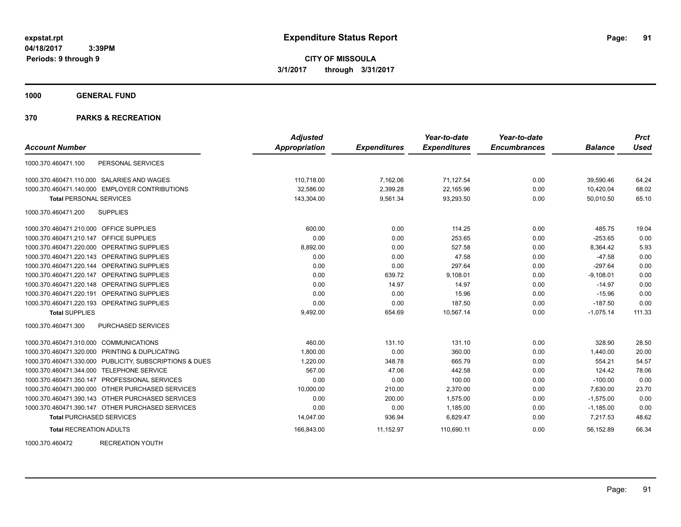**1000 GENERAL FUND**

|                                                         | <b>Adjusted</b>      |                     | Year-to-date        | Year-to-date        |                | <b>Prct</b> |
|---------------------------------------------------------|----------------------|---------------------|---------------------|---------------------|----------------|-------------|
| <b>Account Number</b>                                   | <b>Appropriation</b> | <b>Expenditures</b> | <b>Expenditures</b> | <b>Encumbrances</b> | <b>Balance</b> | <b>Used</b> |
| PERSONAL SERVICES<br>1000.370.460471.100                |                      |                     |                     |                     |                |             |
| 1000.370.460471.110.000 SALARIES AND WAGES              | 110,718.00           | 7,162.06            | 71,127.54           | 0.00                | 39,590.46      | 64.24       |
| 1000.370.460471.140.000 EMPLOYER CONTRIBUTIONS          | 32,586.00            | 2,399.28            | 22,165.96           | 0.00                | 10,420.04      | 68.02       |
| <b>Total PERSONAL SERVICES</b>                          | 143,304.00           | 9,561.34            | 93,293.50           | 0.00                | 50,010.50      | 65.10       |
| 1000.370.460471.200<br><b>SUPPLIES</b>                  |                      |                     |                     |                     |                |             |
| 1000.370.460471.210.000 OFFICE SUPPLIES                 | 600.00               | 0.00                | 114.25              | 0.00                | 485.75         | 19.04       |
| OFFICE SUPPLIES<br>1000.370.460471.210.147              | 0.00                 | 0.00                | 253.65              | 0.00                | $-253.65$      | 0.00        |
| 1000.370.460471.220.000 OPERATING SUPPLIES              | 8,892.00             | 0.00                | 527.58              | 0.00                | 8.364.42       | 5.93        |
| 1000.370.460471.220.143 OPERATING SUPPLIES              | 0.00                 | 0.00                | 47.58               | 0.00                | $-47.58$       | 0.00        |
| 1000.370.460471.220.144 OPERATING SUPPLIES              | 0.00                 | 0.00                | 297.64              | 0.00                | $-297.64$      | 0.00        |
| <b>OPERATING SUPPLIES</b><br>1000.370.460471.220.147    | 0.00                 | 639.72              | 9,108.01            | 0.00                | $-9,108.01$    | 0.00        |
| 1000.370.460471.220.148 OPERATING SUPPLIES              | 0.00                 | 14.97               | 14.97               | 0.00                | $-14.97$       | 0.00        |
| 1000.370.460471.220.191<br>OPERATING SUPPLIES           | 0.00                 | 0.00                | 15.96               | 0.00                | $-15.96$       | 0.00        |
| 1000.370.460471.220.193 OPERATING SUPPLIES              | 0.00                 | 0.00                | 187.50              | 0.00                | $-187.50$      | 0.00        |
| <b>Total SUPPLIES</b>                                   | 9,492.00             | 654.69              | 10,567.14           | 0.00                | $-1,075.14$    | 111.33      |
| <b>PURCHASED SERVICES</b><br>1000.370.460471.300        |                      |                     |                     |                     |                |             |
| 1000.370.460471.310.000 COMMUNICATIONS                  | 460.00               | 131.10              | 131.10              | 0.00                | 328.90         | 28.50       |
| 1000.370.460471.320.000 PRINTING & DUPLICATING          | 1,800.00             | 0.00                | 360.00              | 0.00                | 1,440.00       | 20.00       |
| 1000.370.460471.330.000 PUBLICITY, SUBSCRIPTIONS & DUES | 1,220.00             | 348.78              | 665.79              | 0.00                | 554.21         | 54.57       |
| 1000.370.460471.344.000 TELEPHONE SERVICE               | 567.00               | 47.06               | 442.58              | 0.00                | 124.42         | 78.06       |
| 1000.370.460471.350.147 PROFESSIONAL SERVICES           | 0.00                 | 0.00                | 100.00              | 0.00                | $-100.00$      | 0.00        |
| 1000.370.460471.390.000 OTHER PURCHASED SERVICES        | 10,000.00            | 210.00              | 2,370.00            | 0.00                | 7,630.00       | 23.70       |
| 1000.370.460471.390.143 OTHER PURCHASED SERVICES        | 0.00                 | 200.00              | 1,575.00            | 0.00                | $-1,575.00$    | 0.00        |
| 1000.370.460471.390.147 OTHER PURCHASED SERVICES        | 0.00                 | 0.00                | 1,185.00            | 0.00                | $-1,185.00$    | 0.00        |
| <b>Total PURCHASED SERVICES</b>                         | 14,047.00            | 936.94              | 6,829.47            | 0.00                | 7,217.53       | 48.62       |
| <b>Total RECREATION ADULTS</b>                          | 166,843.00           | 11,152.97           | 110,690.11          | 0.00                | 56,152.89      | 66.34       |
| <b>RECREATION YOUTH</b><br>1000.370.460472              |                      |                     |                     |                     |                |             |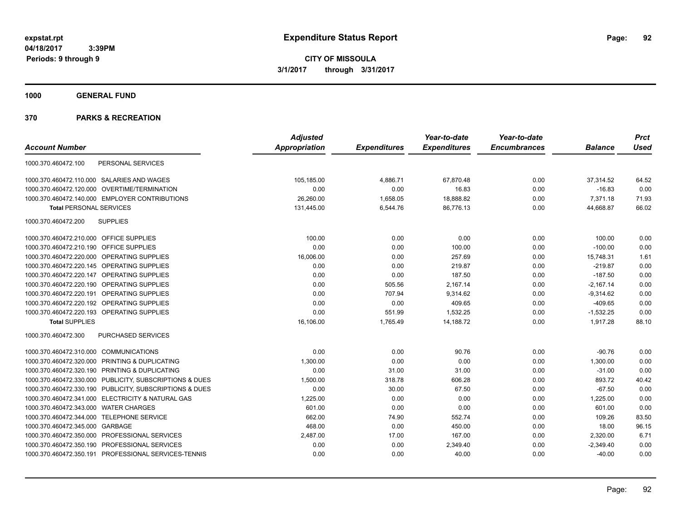**CITY OF MISSOULA 3/1/2017 through 3/31/2017**

**1000 GENERAL FUND**

|                                                                 | <b>Adjusted</b> |                     | Year-to-date        | Year-to-date        |                | <b>Prct</b> |
|-----------------------------------------------------------------|-----------------|---------------------|---------------------|---------------------|----------------|-------------|
| <b>Account Number</b>                                           | Appropriation   | <b>Expenditures</b> | <b>Expenditures</b> | <b>Encumbrances</b> | <b>Balance</b> | Used        |
| PERSONAL SERVICES<br>1000.370.460472.100                        |                 |                     |                     |                     |                |             |
| 1000.370.460472.110.000 SALARIES AND WAGES                      | 105,185.00      | 4,886.71            | 67,870.48           | 0.00                | 37,314.52      | 64.52       |
| 1000.370.460472.120.000 OVERTIME/TERMINATION                    | 0.00            | 0.00                | 16.83               | 0.00                | $-16.83$       | 0.00        |
| 1000.370.460472.140.000 EMPLOYER CONTRIBUTIONS                  | 26,260.00       | 1,658.05            | 18,888.82           | 0.00                | 7,371.18       | 71.93       |
| <b>Total PERSONAL SERVICES</b>                                  | 131,445.00      | 6,544.76            | 86,776.13           | 0.00                | 44,668.87      | 66.02       |
| <b>SUPPLIES</b><br>1000.370.460472.200                          |                 |                     |                     |                     |                |             |
| 1000.370.460472.210.000 OFFICE SUPPLIES                         | 100.00          | 0.00                | 0.00                | 0.00                | 100.00         | 0.00        |
| 1000.370.460472.210.190<br><b>OFFICE SUPPLIES</b>               | 0.00            | 0.00                | 100.00              | 0.00                | $-100.00$      | 0.00        |
| 1000.370.460472.220.000<br>OPERATING SUPPLIES                   | 16,006.00       | 0.00                | 257.69              | 0.00                | 15,748.31      | 1.61        |
| 1000.370.460472.220.145 OPERATING SUPPLIES                      | 0.00            | 0.00                | 219.87              | 0.00                | $-219.87$      | 0.00        |
| 1000.370.460472.220.147 OPERATING SUPPLIES                      | 0.00            | 0.00                | 187.50              | 0.00                | $-187.50$      | 0.00        |
| OPERATING SUPPLIES<br>1000.370.460472.220.190                   | 0.00            | 505.56              | 2,167.14            | 0.00                | $-2.167.14$    | 0.00        |
| 1000.370.460472.220.191<br>OPERATING SUPPLIES                   | 0.00            | 707.94              | 9,314.62            | 0.00                | $-9,314.62$    | 0.00        |
| 1000.370.460472.220.192 OPERATING SUPPLIES                      | 0.00            | 0.00                | 409.65              | 0.00                | $-409.65$      | 0.00        |
| 1000.370.460472.220.193 OPERATING SUPPLIES                      | 0.00            | 551.99              | 1,532.25            | 0.00                | $-1,532.25$    | 0.00        |
| <b>Total SUPPLIES</b>                                           | 16,106.00       | 1,765.49            | 14,188.72           | 0.00                | 1,917.28       | 88.10       |
| 1000.370.460472.300<br><b>PURCHASED SERVICES</b>                |                 |                     |                     |                     |                |             |
| 1000.370.460472.310.000<br><b>COMMUNICATIONS</b>                | 0.00            | 0.00                | 90.76               | 0.00                | $-90.76$       | 0.00        |
| 1000.370.460472.320.000 PRINTING & DUPLICATING                  | 1,300.00        | 0.00                | 0.00                | 0.00                | 1,300.00       | 0.00        |
| 1000.370.460472.320.190 PRINTING & DUPLICATING                  | 0.00            | 31.00               | 31.00               | 0.00                | $-31.00$       | 0.00        |
| 1000.370.460472.330.000 PUBLICITY, SUBSCRIPTIONS & DUES         | 1,500.00        | 318.78              | 606.28              | 0.00                | 893.72         | 40.42       |
| 1000.370.460472.330.190 PUBLICITY, SUBSCRIPTIONS & DUES         | 0.00            | 30.00               | 67.50               | 0.00                | $-67.50$       | 0.00        |
| 1000.370.460472.341.000<br><b>ELECTRICITY &amp; NATURAL GAS</b> | 1,225.00        | 0.00                | 0.00                | 0.00                | 1,225.00       | 0.00        |
| 1000.370.460472.343.000 WATER CHARGES                           | 601.00          | 0.00                | 0.00                | 0.00                | 601.00         | 0.00        |
| 1000.370.460472.344.000 TELEPHONE SERVICE                       | 662.00          | 74.90               | 552.74              | 0.00                | 109.26         | 83.50       |
| 1000.370.460472.345.000<br>GARBAGE                              | 468.00          | 0.00                | 450.00              | 0.00                | 18.00          | 96.15       |
| 1000.370.460472.350.000 PROFESSIONAL SERVICES                   | 2,487.00        | 17.00               | 167.00              | 0.00                | 2,320.00       | 6.71        |
| 1000.370.460472.350.190<br>PROFESSIONAL SERVICES                | 0.00            | 0.00                | 2,349.40            | 0.00                | $-2,349.40$    | 0.00        |
| 1000.370.460472.350.191 PROFESSIONAL SERVICES-TENNIS            | 0.00            | 0.00                | 40.00               | 0.00                | $-40.00$       | 0.00        |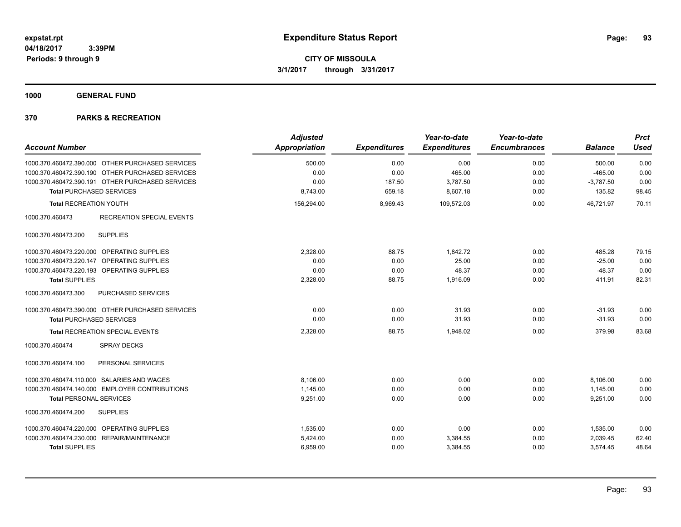**1000 GENERAL FUND**

| <b>Account Number</b>                               | <b>Adjusted</b><br><b>Appropriation</b> | <b>Expenditures</b> | Year-to-date<br><b>Expenditures</b> | Year-to-date<br><b>Encumbrances</b> | <b>Balance</b> | <b>Prct</b><br><b>Used</b> |
|-----------------------------------------------------|-----------------------------------------|---------------------|-------------------------------------|-------------------------------------|----------------|----------------------------|
| 1000.370.460472.390.000 OTHER PURCHASED SERVICES    | 500.00                                  | 0.00                | 0.00                                | 0.00                                | 500.00         | 0.00                       |
| 1000.370.460472.390.190 OTHER PURCHASED SERVICES    | 0.00                                    | 0.00                | 465.00                              | 0.00                                | $-465.00$      | 0.00                       |
| 1000.370.460472.390.191 OTHER PURCHASED SERVICES    | 0.00                                    | 187.50              | 3,787.50                            | 0.00                                | $-3,787.50$    | 0.00                       |
| <b>Total PURCHASED SERVICES</b>                     | 8,743.00                                | 659.18              | 8,607.18                            | 0.00                                | 135.82         | 98.45                      |
| <b>Total RECREATION YOUTH</b>                       | 156,294.00                              | 8,969.43            | 109,572.03                          | 0.00                                | 46,721.97      | 70.11                      |
| 1000.370.460473<br><b>RECREATION SPECIAL EVENTS</b> |                                         |                     |                                     |                                     |                |                            |
| <b>SUPPLIES</b><br>1000.370.460473.200              |                                         |                     |                                     |                                     |                |                            |
| 1000.370.460473.220.000 OPERATING SUPPLIES          | 2,328.00                                | 88.75               | 1.842.72                            | 0.00                                | 485.28         | 79.15                      |
| 1000.370.460473.220.147 OPERATING SUPPLIES          | 0.00                                    | 0.00                | 25.00                               | 0.00                                | $-25.00$       | 0.00                       |
| 1000.370.460473.220.193 OPERATING SUPPLIES          | 0.00                                    | 0.00                | 48.37                               | 0.00                                | $-48.37$       | 0.00                       |
| <b>Total SUPPLIES</b>                               | 2,328.00                                | 88.75               | 1,916.09                            | 0.00                                | 411.91         | 82.31                      |
| 1000.370.460473.300<br>PURCHASED SERVICES           |                                         |                     |                                     |                                     |                |                            |
| 1000.370.460473.390.000 OTHER PURCHASED SERVICES    | 0.00                                    | 0.00                | 31.93                               | 0.00                                | $-31.93$       | 0.00                       |
| <b>Total PURCHASED SERVICES</b>                     | 0.00                                    | 0.00                | 31.93                               | 0.00                                | $-31.93$       | 0.00                       |
| <b>Total RECREATION SPECIAL EVENTS</b>              | 2,328.00                                | 88.75               | 1.948.02                            | 0.00                                | 379.98         | 83.68                      |
| 1000.370.460474<br><b>SPRAY DECKS</b>               |                                         |                     |                                     |                                     |                |                            |
| 1000.370.460474.100<br>PERSONAL SERVICES            |                                         |                     |                                     |                                     |                |                            |
| 1000.370.460474.110.000 SALARIES AND WAGES          | 8,106.00                                | 0.00                | 0.00                                | 0.00                                | 8,106.00       | 0.00                       |
| 1000.370.460474.140.000 EMPLOYER CONTRIBUTIONS      | 1,145.00                                | 0.00                | 0.00                                | 0.00                                | 1,145.00       | 0.00                       |
| <b>Total PERSONAL SERVICES</b>                      | 9,251.00                                | 0.00                | 0.00                                | 0.00                                | 9,251.00       | 0.00                       |
| 1000.370.460474.200<br><b>SUPPLIES</b>              |                                         |                     |                                     |                                     |                |                            |
| 1000.370.460474.220.000 OPERATING SUPPLIES          | 1,535.00                                | 0.00                | 0.00                                | 0.00                                | 1,535.00       | 0.00                       |
| 1000.370.460474.230.000 REPAIR/MAINTENANCE          | 5,424.00                                | 0.00                | 3,384.55                            | 0.00                                | 2,039.45       | 62.40                      |
| <b>Total SUPPLIES</b>                               | 6,959.00                                | 0.00                | 3,384.55                            | 0.00                                | 3,574.45       | 48.64                      |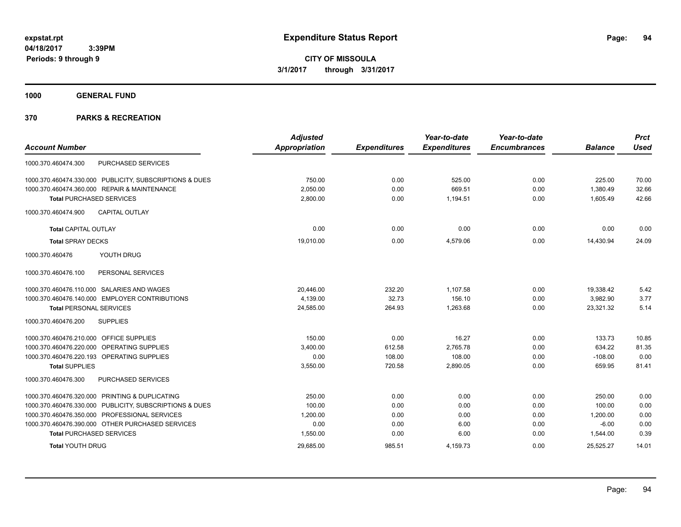**1000 GENERAL FUND**

|                                                         | <b>Adjusted</b>      |                     | Year-to-date        | Year-to-date        |                | <b>Prct</b> |
|---------------------------------------------------------|----------------------|---------------------|---------------------|---------------------|----------------|-------------|
| <b>Account Number</b>                                   | <b>Appropriation</b> | <b>Expenditures</b> | <b>Expenditures</b> | <b>Encumbrances</b> | <b>Balance</b> | <b>Used</b> |
| PURCHASED SERVICES<br>1000.370.460474.300               |                      |                     |                     |                     |                |             |
| 1000.370.460474.330.000 PUBLICITY, SUBSCRIPTIONS & DUES | 750.00               | 0.00                | 525.00              | 0.00                | 225.00         | 70.00       |
| 1000.370.460474.360.000 REPAIR & MAINTENANCE            | 2,050.00             | 0.00                | 669.51              | 0.00                | 1,380.49       | 32.66       |
| <b>Total PURCHASED SERVICES</b>                         | 2,800.00             | 0.00                | 1,194.51            | 0.00                | 1,605.49       | 42.66       |
| 1000.370.460474.900<br><b>CAPITAL OUTLAY</b>            |                      |                     |                     |                     |                |             |
| <b>Total CAPITAL OUTLAY</b>                             | 0.00                 | 0.00                | 0.00                | 0.00                | 0.00           | 0.00        |
| <b>Total SPRAY DECKS</b>                                | 19,010.00            | 0.00                | 4,579.06            | 0.00                | 14,430.94      | 24.09       |
| YOUTH DRUG<br>1000.370.460476                           |                      |                     |                     |                     |                |             |
| PERSONAL SERVICES<br>1000.370.460476.100                |                      |                     |                     |                     |                |             |
| 1000.370.460476.110.000 SALARIES AND WAGES              | 20,446.00            | 232.20              | 1,107.58            | 0.00                | 19,338.42      | 5.42        |
| 1000.370.460476.140.000 EMPLOYER CONTRIBUTIONS          | 4,139.00             | 32.73               | 156.10              | 0.00                | 3,982.90       | 3.77        |
| <b>Total PERSONAL SERVICES</b>                          | 24,585.00            | 264.93              | 1,263.68            | 0.00                | 23,321.32      | 5.14        |
| <b>SUPPLIES</b><br>1000.370.460476.200                  |                      |                     |                     |                     |                |             |
| 1000.370.460476.210.000 OFFICE SUPPLIES                 | 150.00               | 0.00                | 16.27               | 0.00                | 133.73         | 10.85       |
| 1000.370.460476.220.000 OPERATING SUPPLIES              | 3,400.00             | 612.58              | 2,765.78            | 0.00                | 634.22         | 81.35       |
| 1000.370.460476.220.193 OPERATING SUPPLIES              | 0.00                 | 108.00              | 108.00              | 0.00                | $-108.00$      | 0.00        |
| <b>Total SUPPLIES</b>                                   | 3,550.00             | 720.58              | 2,890.05            | 0.00                | 659.95         | 81.41       |
| 1000.370.460476.300<br><b>PURCHASED SERVICES</b>        |                      |                     |                     |                     |                |             |
| 1000.370.460476.320.000 PRINTING & DUPLICATING          | 250.00               | 0.00                | 0.00                | 0.00                | 250.00         | 0.00        |
| 1000.370.460476.330.000 PUBLICITY, SUBSCRIPTIONS & DUES | 100.00               | 0.00                | 0.00                | 0.00                | 100.00         | 0.00        |
| 1000.370.460476.350.000 PROFESSIONAL SERVICES           | 1,200.00             | 0.00                | 0.00                | 0.00                | 1,200.00       | 0.00        |
| 1000.370.460476.390.000 OTHER PURCHASED SERVICES        | 0.00                 | 0.00                | 6.00                | 0.00                | $-6.00$        | 0.00        |
| <b>Total PURCHASED SERVICES</b>                         | 1,550.00             | 0.00                | 6.00                | 0.00                | 1,544.00       | 0.39        |
| <b>Total YOUTH DRUG</b>                                 | 29,685.00            | 985.51              | 4,159.73            | 0.00                | 25,525.27      | 14.01       |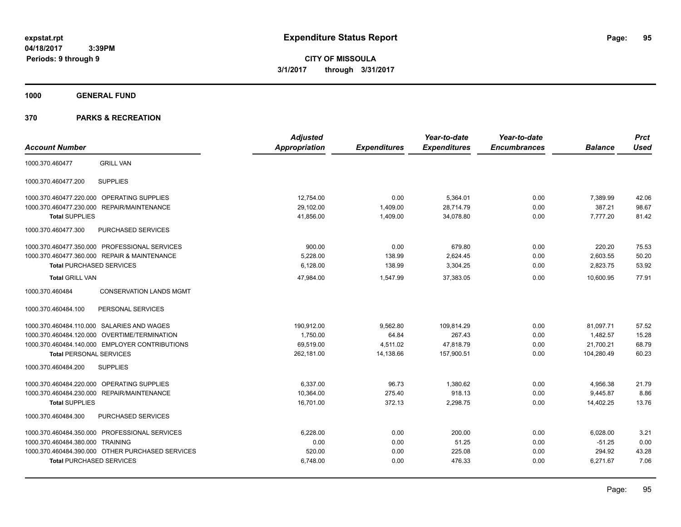**CITY OF MISSOULA 3/1/2017 through 3/31/2017**

**1000 GENERAL FUND**

| <b>Account Number</b>                             | <b>Adjusted</b><br>Appropriation | <b>Expenditures</b> | Year-to-date<br><b>Expenditures</b> | Year-to-date<br><b>Encumbrances</b> | <b>Balance</b> | <b>Prct</b><br><b>Used</b> |
|---------------------------------------------------|----------------------------------|---------------------|-------------------------------------|-------------------------------------|----------------|----------------------------|
| 1000.370.460477<br><b>GRILL VAN</b>               |                                  |                     |                                     |                                     |                |                            |
| 1000.370.460477.200<br><b>SUPPLIES</b>            |                                  |                     |                                     |                                     |                |                            |
| OPERATING SUPPLIES<br>1000.370.460477.220.000     | 12,754.00                        | 0.00                | 5,364.01                            | 0.00                                | 7,389.99       | 42.06                      |
| 1000.370.460477.230.000<br>REPAIR/MAINTENANCE     | 29,102.00                        | 1,409.00            | 28,714.79                           | 0.00                                | 387.21         | 98.67                      |
| <b>Total SUPPLIES</b>                             | 41,856.00                        | 1,409.00            | 34,078.80                           | 0.00                                | 7,777.20       | 81.42                      |
| 1000.370.460477.300<br>PURCHASED SERVICES         |                                  |                     |                                     |                                     |                |                            |
| 1000.370.460477.350.000 PROFESSIONAL SERVICES     | 900.00                           | 0.00                | 679.80                              | 0.00                                | 220.20         | 75.53                      |
| 1000.370.460477.360.000 REPAIR & MAINTENANCE      | 5,228.00                         | 138.99              | 2,624.45                            | 0.00                                | 2,603.55       | 50.20                      |
| <b>Total PURCHASED SERVICES</b>                   | 6,128.00                         | 138.99              | 3,304.25                            | 0.00                                | 2,823.75       | 53.92                      |
| <b>Total GRILL VAN</b>                            | 47,984.00                        | 1.547.99            | 37,383.05                           | 0.00                                | 10,600.95      | 77.91                      |
| 1000.370.460484<br><b>CONSERVATION LANDS MGMT</b> |                                  |                     |                                     |                                     |                |                            |
| 1000.370.460484.100<br>PERSONAL SERVICES          |                                  |                     |                                     |                                     |                |                            |
| 1000.370.460484.110.000 SALARIES AND WAGES        | 190,912.00                       | 9,562.80            | 109,814.29                          | 0.00                                | 81,097.71      | 57.52                      |
| 1000.370.460484.120.000 OVERTIME/TERMINATION      | 1,750.00                         | 64.84               | 267.43                              | 0.00                                | 1,482.57       | 15.28                      |
| 1000.370.460484.140.000 EMPLOYER CONTRIBUTIONS    | 69,519.00                        | 4,511.02            | 47,818.79                           | 0.00                                | 21,700.21      | 68.79                      |
| <b>Total PERSONAL SERVICES</b>                    | 262,181.00                       | 14,138.66           | 157,900.51                          | 0.00                                | 104,280.49     | 60.23                      |
| <b>SUPPLIES</b><br>1000.370.460484.200            |                                  |                     |                                     |                                     |                |                            |
| OPERATING SUPPLIES<br>1000.370.460484.220.000     | 6.337.00                         | 96.73               | 1,380.62                            | 0.00                                | 4,956.38       | 21.79                      |
| 1000.370.460484.230.000<br>REPAIR/MAINTENANCE     | 10,364.00                        | 275.40              | 918.13                              | 0.00                                | 9,445.87       | 8.86                       |
| <b>Total SUPPLIES</b>                             | 16,701.00                        | 372.13              | 2,298.75                            | 0.00                                | 14,402.25      | 13.76                      |
| PURCHASED SERVICES<br>1000.370.460484.300         |                                  |                     |                                     |                                     |                |                            |
| 1000.370.460484.350.000 PROFESSIONAL SERVICES     | 6,228.00                         | 0.00                | 200.00                              | 0.00                                | 6,028.00       | 3.21                       |
| 1000.370.460484.380.000 TRAINING                  | 0.00                             | 0.00                | 51.25                               | 0.00                                | $-51.25$       | 0.00                       |
| 1000.370.460484.390.000 OTHER PURCHASED SERVICES  | 520.00                           | 0.00                | 225.08                              | 0.00                                | 294.92         | 43.28                      |
| <b>Total PURCHASED SERVICES</b>                   | 6,748.00                         | 0.00                | 476.33                              | 0.00                                | 6,271.67       | 7.06                       |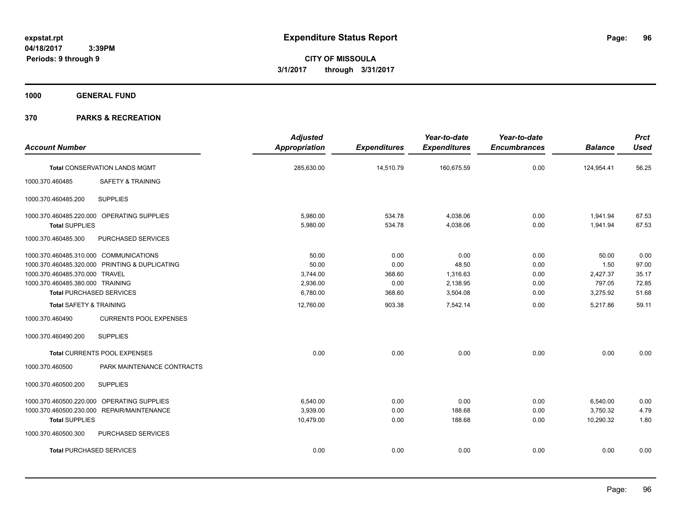**CITY OF MISSOULA 3/1/2017 through 3/31/2017**

**1000 GENERAL FUND**

| <b>Account Number</b>                            | <b>Adjusted</b><br><b>Appropriation</b> | <b>Expenditures</b> | Year-to-date<br><b>Expenditures</b> | Year-to-date<br><b>Encumbrances</b> | <b>Balance</b> | <b>Prct</b><br><b>Used</b> |
|--------------------------------------------------|-----------------------------------------|---------------------|-------------------------------------|-------------------------------------|----------------|----------------------------|
| <b>Total CONSERVATION LANDS MGMT</b>             | 285,630.00                              | 14,510.79           | 160,675.59                          | 0.00                                | 124,954.41     | 56.25                      |
| 1000.370.460485<br>SAFETY & TRAINING             |                                         |                     |                                     |                                     |                |                            |
| <b>SUPPLIES</b><br>1000.370.460485.200           |                                         |                     |                                     |                                     |                |                            |
| 1000.370.460485.220.000 OPERATING SUPPLIES       | 5,980.00                                | 534.78              | 4,038.06                            | 0.00                                | 1,941.94       | 67.53                      |
| <b>Total SUPPLIES</b>                            | 5,980.00                                | 534.78              | 4,038.06                            | 0.00                                | 1,941.94       | 67.53                      |
| PURCHASED SERVICES<br>1000.370.460485.300        |                                         |                     |                                     |                                     |                |                            |
| 1000.370.460485.310.000 COMMUNICATIONS           | 50.00                                   | 0.00                | 0.00                                | 0.00                                | 50.00          | 0.00                       |
| 1000.370.460485.320.000 PRINTING & DUPLICATING   | 50.00                                   | 0.00                | 48.50                               | 0.00                                | 1.50           | 97.00                      |
| 1000.370.460485.370.000 TRAVEL                   | 3,744.00                                | 368.60              | 1,316.63                            | 0.00                                | 2,427.37       | 35.17                      |
| 1000.370.460485.380.000 TRAINING                 | 2,936.00                                | 0.00                | 2,138.95                            | 0.00                                | 797.05         | 72.85                      |
| <b>Total PURCHASED SERVICES</b>                  | 6,780.00                                | 368.60              | 3,504.08                            | 0.00                                | 3,275.92       | 51.68                      |
| <b>Total SAFETY &amp; TRAINING</b>               | 12,760.00                               | 903.38              | 7,542.14                            | 0.00                                | 5,217.86       | 59.11                      |
| 1000.370.460490<br><b>CURRENTS POOL EXPENSES</b> |                                         |                     |                                     |                                     |                |                            |
| <b>SUPPLIES</b><br>1000.370.460490.200           |                                         |                     |                                     |                                     |                |                            |
| <b>Total CURRENTS POOL EXPENSES</b>              | 0.00                                    | 0.00                | 0.00                                | 0.00                                | 0.00           | 0.00                       |
| 1000.370.460500<br>PARK MAINTENANCE CONTRACTS    |                                         |                     |                                     |                                     |                |                            |
| <b>SUPPLIES</b><br>1000.370.460500.200           |                                         |                     |                                     |                                     |                |                            |
| 1000.370.460500.220.000 OPERATING SUPPLIES       | 6,540.00                                | 0.00                | 0.00                                | 0.00                                | 6,540.00       | 0.00                       |
| 1000.370.460500.230.000 REPAIR/MAINTENANCE       | 3,939.00                                | 0.00                | 188.68                              | 0.00                                | 3,750.32       | 4.79                       |
| <b>Total SUPPLIES</b>                            | 10,479.00                               | 0.00                | 188.68                              | 0.00                                | 10,290.32      | 1.80                       |
| 1000.370.460500.300<br>PURCHASED SERVICES        |                                         |                     |                                     |                                     |                |                            |
| <b>Total PURCHASED SERVICES</b>                  | 0.00                                    | 0.00                | 0.00                                | 0.00                                | 0.00           | 0.00                       |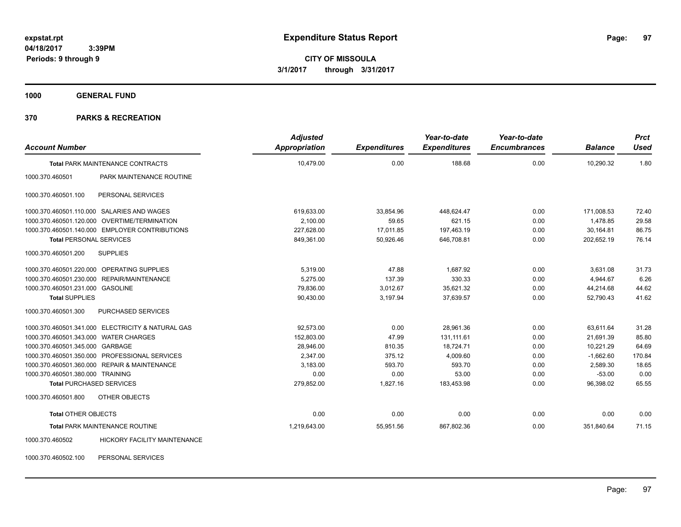**1000 GENERAL FUND**

| <b>Account Number</b>                                  | <b>Adjusted</b><br><b>Appropriation</b> | <b>Expenditures</b> | Year-to-date<br><b>Expenditures</b> | Year-to-date<br><b>Encumbrances</b> | <b>Balance</b> | <b>Prct</b><br><b>Used</b> |
|--------------------------------------------------------|-----------------------------------------|---------------------|-------------------------------------|-------------------------------------|----------------|----------------------------|
| <b>Total PARK MAINTENANCE CONTRACTS</b>                | 10,479.00                               | 0.00                | 188.68                              | 0.00                                | 10,290.32      | 1.80                       |
| PARK MAINTENANCE ROUTINE<br>1000.370.460501            |                                         |                     |                                     |                                     |                |                            |
| PERSONAL SERVICES<br>1000.370.460501.100               |                                         |                     |                                     |                                     |                |                            |
| 1000.370.460501.110.000 SALARIES AND WAGES             | 619,633.00                              | 33,854.96           | 448,624.47                          | 0.00                                | 171,008.53     | 72.40                      |
| 1000.370.460501.120.000 OVERTIME/TERMINATION           | 2,100.00                                | 59.65               | 621.15                              | 0.00                                | 1,478.85       | 29.58                      |
| 1000.370.460501.140.000 EMPLOYER CONTRIBUTIONS         | 227,628.00                              | 17,011.85           | 197,463.19                          | 0.00                                | 30,164.81      | 86.75                      |
| <b>Total PERSONAL SERVICES</b>                         | 849,361.00                              | 50,926.46           | 646,708.81                          | 0.00                                | 202,652.19     | 76.14                      |
| <b>SUPPLIES</b><br>1000.370.460501.200                 |                                         |                     |                                     |                                     |                |                            |
| 1000.370.460501.220.000 OPERATING SUPPLIES             | 5,319.00                                | 47.88               | 1,687.92                            | 0.00                                | 3,631.08       | 31.73                      |
| 1000.370.460501.230.000 REPAIR/MAINTENANCE             | 5.275.00                                | 137.39              | 330.33                              | 0.00                                | 4,944.67       | 6.26                       |
| 1000.370.460501.231.000 GASOLINE                       | 79,836.00                               | 3,012.67            | 35,621.32                           | 0.00                                | 44,214.68      | 44.62                      |
| <b>Total SUPPLIES</b>                                  | 90,430.00                               | 3,197.94            | 37,639.57                           | 0.00                                | 52,790.43      | 41.62                      |
| 1000.370.460501.300<br><b>PURCHASED SERVICES</b>       |                                         |                     |                                     |                                     |                |                            |
| 1000.370.460501.341.000 ELECTRICITY & NATURAL GAS      | 92.573.00                               | 0.00                | 28,961.36                           | 0.00                                | 63,611.64      | 31.28                      |
| 1000.370.460501.343.000 WATER CHARGES                  | 152,803.00                              | 47.99               | 131.111.61                          | 0.00                                | 21.691.39      | 85.80                      |
| 1000.370.460501.345.000 GARBAGE                        | 28,946.00                               | 810.35              | 18,724.71                           | 0.00                                | 10,221.29      | 64.69                      |
| 1000.370.460501.350.000 PROFESSIONAL SERVICES          | 2,347.00                                | 375.12              | 4,009.60                            | 0.00                                | $-1,662.60$    | 170.84                     |
| 1000.370.460501.360.000 REPAIR & MAINTENANCE           | 3,183.00                                | 593.70              | 593.70                              | 0.00                                | 2,589.30       | 18.65                      |
| 1000.370.460501.380.000 TRAINING                       | 0.00                                    | 0.00                | 53.00                               | 0.00                                | $-53.00$       | 0.00                       |
| <b>Total PURCHASED SERVICES</b>                        | 279,852.00                              | 1,827.16            | 183,453.98                          | 0.00                                | 96,398.02      | 65.55                      |
| 1000.370.460501.800<br>OTHER OBJECTS                   |                                         |                     |                                     |                                     |                |                            |
| <b>Total OTHER OBJECTS</b>                             | 0.00                                    | 0.00                | 0.00                                | 0.00                                | 0.00           | 0.00                       |
| <b>Total PARK MAINTENANCE ROUTINE</b>                  | 1,219,643.00                            | 55,951.56           | 867,802.36                          | 0.00                                | 351.840.64     | 71.15                      |
| <b>HICKORY FACILITY MAINTENANCE</b><br>1000.370.460502 |                                         |                     |                                     |                                     |                |                            |
| 1000.370.460502.100<br>PERSONAL SERVICES               |                                         |                     |                                     |                                     |                |                            |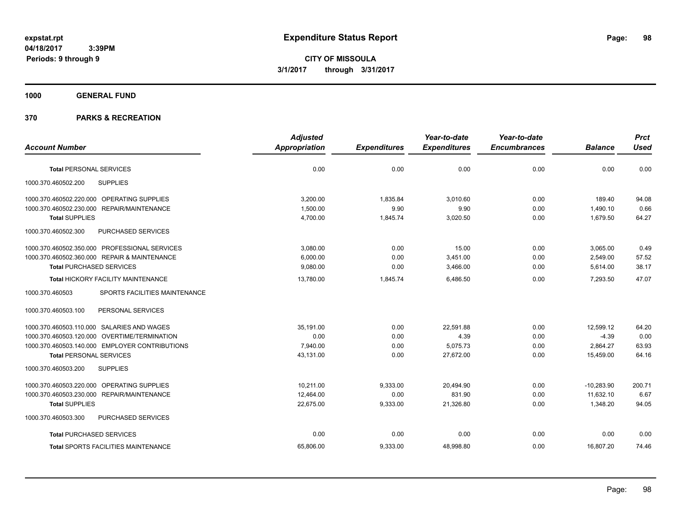**CITY OF MISSOULA 3/1/2017 through 3/31/2017**

**1000 GENERAL FUND**

|                                                      | <b>Adjusted</b> |                     | Year-to-date        | Year-to-date        |                | <b>Prct</b> |
|------------------------------------------------------|-----------------|---------------------|---------------------|---------------------|----------------|-------------|
| <b>Account Number</b>                                | Appropriation   | <b>Expenditures</b> | <b>Expenditures</b> | <b>Encumbrances</b> | <b>Balance</b> | <b>Used</b> |
| <b>Total PERSONAL SERVICES</b>                       | 0.00            | 0.00                | 0.00                | 0.00                | 0.00           | 0.00        |
| 1000.370.460502.200<br><b>SUPPLIES</b>               |                 |                     |                     |                     |                |             |
| 1000.370.460502.220.000 OPERATING SUPPLIES           | 3,200.00        | 1,835.84            | 3,010.60            | 0.00                | 189.40         | 94.08       |
| 1000.370.460502.230.000<br><b>REPAIR/MAINTENANCE</b> | 1,500.00        | 9.90                | 9.90                | 0.00                | 1,490.10       | 0.66        |
| <b>Total SUPPLIES</b>                                | 4,700.00        | 1,845.74            | 3,020.50            | 0.00                | 1,679.50       | 64.27       |
| 1000.370.460502.300<br>PURCHASED SERVICES            |                 |                     |                     |                     |                |             |
| 1000.370.460502.350.000 PROFESSIONAL SERVICES        | 3,080.00        | 0.00                | 15.00               | 0.00                | 3,065.00       | 0.49        |
| 1000.370.460502.360.000 REPAIR & MAINTENANCE         | 6,000.00        | 0.00                | 3,451.00            | 0.00                | 2,549.00       | 57.52       |
| <b>Total PURCHASED SERVICES</b>                      | 9,080.00        | 0.00                | 3,466.00            | 0.00                | 5,614.00       | 38.17       |
| Total HICKORY FACILITY MAINTENANCE                   | 13,780.00       | 1,845.74            | 6,486.50            | 0.00                | 7,293.50       | 47.07       |
| 1000.370.460503<br>SPORTS FACILITIES MAINTENANCE     |                 |                     |                     |                     |                |             |
| PERSONAL SERVICES<br>1000.370.460503.100             |                 |                     |                     |                     |                |             |
| 1000.370.460503.110.000 SALARIES AND WAGES           | 35,191.00       | 0.00                | 22,591.88           | 0.00                | 12,599.12      | 64.20       |
| 1000.370.460503.120.000 OVERTIME/TERMINATION         | 0.00            | 0.00                | 4.39                | 0.00                | $-4.39$        | 0.00        |
| 1000.370.460503.140.000 EMPLOYER CONTRIBUTIONS       | 7.940.00        | 0.00                | 5,075.73            | 0.00                | 2,864.27       | 63.93       |
| <b>Total PERSONAL SERVICES</b>                       | 43,131.00       | 0.00                | 27.672.00           | 0.00                | 15.459.00      | 64.16       |
| 1000.370.460503.200<br><b>SUPPLIES</b>               |                 |                     |                     |                     |                |             |
| 1000.370.460503.220.000 OPERATING SUPPLIES           | 10,211.00       | 9,333.00            | 20,494.90           | 0.00                | $-10,283.90$   | 200.71      |
| 1000.370.460503.230.000 REPAIR/MAINTENANCE           | 12,464.00       | 0.00                | 831.90              | 0.00                | 11,632.10      | 6.67        |
| <b>Total SUPPLIES</b>                                | 22,675.00       | 9,333.00            | 21,326.80           | 0.00                | 1,348.20       | 94.05       |
| 1000.370.460503.300<br>PURCHASED SERVICES            |                 |                     |                     |                     |                |             |
| <b>Total PURCHASED SERVICES</b>                      | 0.00            | 0.00                | 0.00                | 0.00                | 0.00           | 0.00        |
| <b>Total SPORTS FACILITIES MAINTENANCE</b>           | 65,806.00       | 9,333.00            | 48,998.80           | 0.00                | 16,807.20      | 74.46       |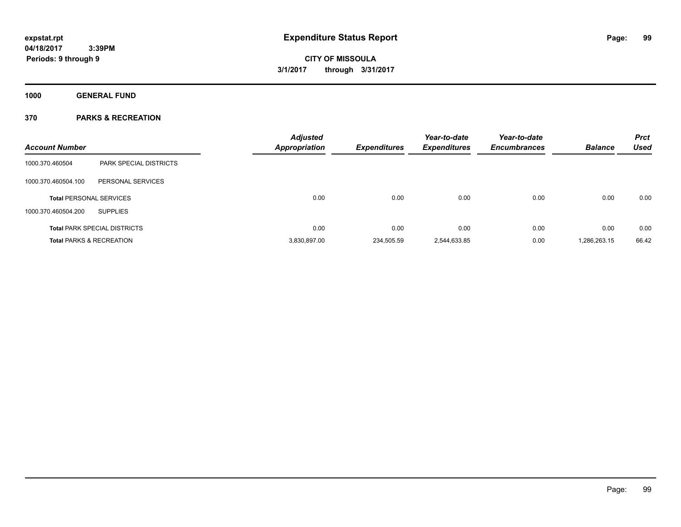**Periods: 9 through 9**

# **CITY OF MISSOULA 3/1/2017 through 3/31/2017**

**1000 GENERAL FUND**

### **370 PARKS & RECREATION**

 **3:39PM**

|                                |                                     | <b>Adjusted</b>      |                     | Year-to-date        | Year-to-date        |                | <b>Prct</b> |
|--------------------------------|-------------------------------------|----------------------|---------------------|---------------------|---------------------|----------------|-------------|
| <b>Account Number</b>          |                                     | <b>Appropriation</b> | <b>Expenditures</b> | <b>Expenditures</b> | <b>Encumbrances</b> | <b>Balance</b> | <b>Used</b> |
| 1000.370.460504                | <b>PARK SPECIAL DISTRICTS</b>       |                      |                     |                     |                     |                |             |
| 1000.370.460504.100            | PERSONAL SERVICES                   |                      |                     |                     |                     |                |             |
| <b>Total PERSONAL SERVICES</b> |                                     | 0.00                 | 0.00                | 0.00                | 0.00                | 0.00           | 0.00        |
| 1000.370.460504.200            | <b>SUPPLIES</b>                     |                      |                     |                     |                     |                |             |
|                                | <b>Total PARK SPECIAL DISTRICTS</b> | 0.00                 | 0.00                | 0.00                | 0.00                | 0.00           | 0.00        |
|                                | <b>Total PARKS &amp; RECREATION</b> | 3.830.897.00         | 234.505.59          | 2.544.633.85        | 0.00                | 1.286.263.15   | 66.42       |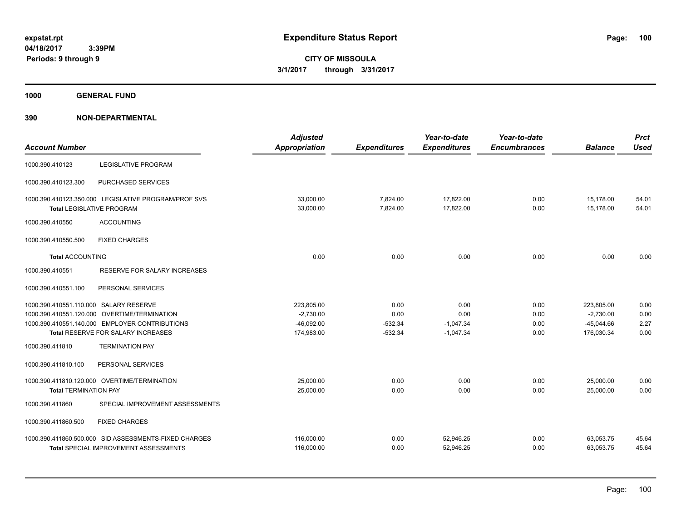**1000 GENERAL FUND**

| <b>Account Number</b>                  |                                                                                                       | <b>Adjusted</b><br><b>Appropriation</b> | <b>Expenditures</b>  | Year-to-date<br><b>Expenditures</b> | Year-to-date<br><b>Encumbrances</b> | <b>Balance</b>         | <b>Prct</b><br><b>Used</b> |
|----------------------------------------|-------------------------------------------------------------------------------------------------------|-----------------------------------------|----------------------|-------------------------------------|-------------------------------------|------------------------|----------------------------|
| 1000.390.410123                        | <b>LEGISLATIVE PROGRAM</b>                                                                            |                                         |                      |                                     |                                     |                        |                            |
| 1000.390.410123.300                    | PURCHASED SERVICES                                                                                    |                                         |                      |                                     |                                     |                        |                            |
|                                        | 1000.390.410123.350.000 LEGISLATIVE PROGRAM/PROF SVS<br><b>Total LEGISLATIVE PROGRAM</b>              | 33,000.00<br>33,000.00                  | 7,824.00<br>7,824.00 | 17,822.00<br>17,822.00              | 0.00<br>0.00                        | 15,178.00<br>15,178.00 | 54.01<br>54.01             |
| 1000.390.410550                        | <b>ACCOUNTING</b>                                                                                     |                                         |                      |                                     |                                     |                        |                            |
| 1000.390.410550.500                    | <b>FIXED CHARGES</b>                                                                                  |                                         |                      |                                     |                                     |                        |                            |
| <b>Total ACCOUNTING</b>                |                                                                                                       | 0.00                                    | 0.00                 | 0.00                                | 0.00                                | 0.00                   | 0.00                       |
| 1000.390.410551                        | RESERVE FOR SALARY INCREASES                                                                          |                                         |                      |                                     |                                     |                        |                            |
| 1000.390.410551.100                    | PERSONAL SERVICES                                                                                     |                                         |                      |                                     |                                     |                        |                            |
| 1000.390.410551.110.000 SALARY RESERVE |                                                                                                       | 223,805.00                              | 0.00                 | 0.00                                | 0.00                                | 223,805.00             | 0.00                       |
|                                        | 1000.390.410551.120.000 OVERTIME/TERMINATION                                                          | $-2,730.00$                             | 0.00                 | 0.00                                | 0.00                                | $-2,730.00$            | 0.00                       |
|                                        | 1000.390.410551.140.000 EMPLOYER CONTRIBUTIONS                                                        | $-46,092.00$                            | $-532.34$            | $-1,047.34$                         | 0.00                                | $-45,044.66$           | 2.27                       |
|                                        | <b>Total RESERVE FOR SALARY INCREASES</b>                                                             | 174,983.00                              | $-532.34$            | $-1,047.34$                         | 0.00                                | 176,030.34             | 0.00                       |
| 1000.390.411810                        | <b>TERMINATION PAY</b>                                                                                |                                         |                      |                                     |                                     |                        |                            |
| 1000.390.411810.100                    | PERSONAL SERVICES                                                                                     |                                         |                      |                                     |                                     |                        |                            |
|                                        | 1000.390.411810.120.000 OVERTIME/TERMINATION                                                          | 25,000.00                               | 0.00                 | 0.00                                | 0.00                                | 25,000.00              | 0.00                       |
| <b>Total TERMINATION PAY</b>           |                                                                                                       | 25,000.00                               | 0.00                 | 0.00                                | 0.00                                | 25.000.00              | 0.00                       |
| 1000.390.411860                        | SPECIAL IMPROVEMENT ASSESSMENTS                                                                       |                                         |                      |                                     |                                     |                        |                            |
| 1000.390.411860.500                    | <b>FIXED CHARGES</b>                                                                                  |                                         |                      |                                     |                                     |                        |                            |
|                                        | 1000.390.411860.500.000 SID ASSESSMENTS-FIXED CHARGES<br><b>Total SPECIAL IMPROVEMENT ASSESSMENTS</b> | 116,000.00<br>116,000.00                | 0.00<br>0.00         | 52,946.25<br>52,946.25              | 0.00<br>0.00                        | 63,053.75<br>63,053.75 | 45.64<br>45.64             |
|                                        |                                                                                                       |                                         |                      |                                     |                                     |                        |                            |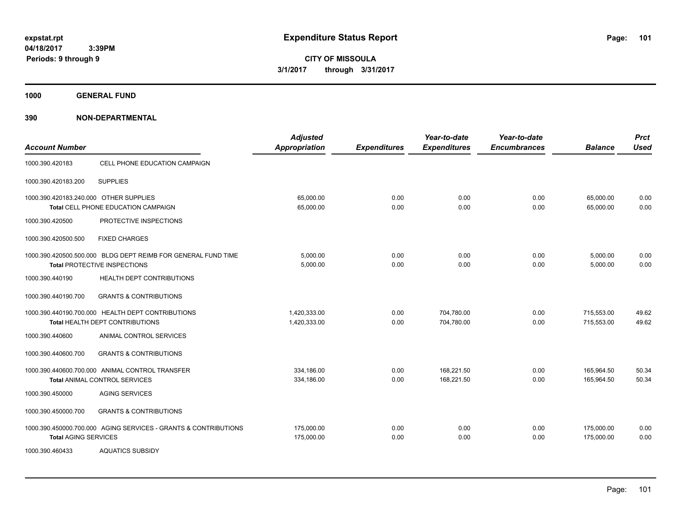**CITY OF MISSOULA 3/1/2017 through 3/31/2017**

**1000 GENERAL FUND**

| <b>Account Number</b>                  |                                                                                               | <b>Adjusted</b><br><b>Appropriation</b> | <b>Expenditures</b> | Year-to-date<br><b>Expenditures</b> | Year-to-date<br><b>Encumbrances</b> | <b>Balance</b>           | <b>Prct</b><br><b>Used</b> |
|----------------------------------------|-----------------------------------------------------------------------------------------------|-----------------------------------------|---------------------|-------------------------------------|-------------------------------------|--------------------------|----------------------------|
| 1000.390.420183                        | CELL PHONE EDUCATION CAMPAIGN                                                                 |                                         |                     |                                     |                                     |                          |                            |
| 1000.390.420183.200                    | <b>SUPPLIES</b>                                                                               |                                         |                     |                                     |                                     |                          |                            |
| 1000.390.420183.240.000 OTHER SUPPLIES | Total CELL PHONE EDUCATION CAMPAIGN                                                           | 65,000.00<br>65,000.00                  | 0.00<br>0.00        | 0.00<br>0.00                        | 0.00<br>0.00                        | 65,000.00<br>65.000.00   | 0.00<br>0.00               |
| 1000.390.420500                        | PROTECTIVE INSPECTIONS                                                                        |                                         |                     |                                     |                                     |                          |                            |
| 1000.390.420500.500                    | <b>FIXED CHARGES</b>                                                                          |                                         |                     |                                     |                                     |                          |                            |
|                                        | 1000.390.420500.500.000 BLDG DEPT REIMB FOR GENERAL FUND TIME<br>Total PROTECTIVE INSPECTIONS | 5,000.00<br>5,000.00                    | 0.00<br>0.00        | 0.00<br>0.00                        | 0.00<br>0.00                        | 5,000.00<br>5,000.00     | 0.00<br>0.00               |
| 1000.390.440190                        | HEALTH DEPT CONTRIBUTIONS                                                                     |                                         |                     |                                     |                                     |                          |                            |
| 1000.390.440190.700                    | <b>GRANTS &amp; CONTRIBUTIONS</b>                                                             |                                         |                     |                                     |                                     |                          |                            |
|                                        | 1000.390.440190.700.000 HEALTH DEPT CONTRIBUTIONS<br>Total HEALTH DEPT CONTRIBUTIONS          | 1,420,333.00<br>1.420.333.00            | 0.00<br>0.00        | 704,780.00<br>704,780.00            | 0.00<br>0.00                        | 715,553.00<br>715.553.00 | 49.62<br>49.62             |
| 1000.390.440600                        | ANIMAL CONTROL SERVICES                                                                       |                                         |                     |                                     |                                     |                          |                            |
| 1000.390.440600.700                    | <b>GRANTS &amp; CONTRIBUTIONS</b>                                                             |                                         |                     |                                     |                                     |                          |                            |
|                                        | 1000.390.440600.700.000 ANIMAL CONTROL TRANSFER<br><b>Total ANIMAL CONTROL SERVICES</b>       | 334,186.00<br>334,186.00                | 0.00<br>0.00        | 168,221.50<br>168,221.50            | 0.00<br>0.00                        | 165,964.50<br>165,964.50 | 50.34<br>50.34             |
| 1000.390.450000                        | <b>AGING SERVICES</b>                                                                         |                                         |                     |                                     |                                     |                          |                            |
| 1000.390.450000.700                    | <b>GRANTS &amp; CONTRIBUTIONS</b>                                                             |                                         |                     |                                     |                                     |                          |                            |
| <b>Total AGING SERVICES</b>            | 1000.390.450000.700.000 AGING SERVICES - GRANTS & CONTRIBUTIONS                               | 175,000.00<br>175,000.00                | 0.00<br>0.00        | 0.00<br>0.00                        | 0.00<br>0.00                        | 175,000.00<br>175,000.00 | 0.00<br>0.00               |
| 1000.390.460433                        | <b>AQUATICS SUBSIDY</b>                                                                       |                                         |                     |                                     |                                     |                          |                            |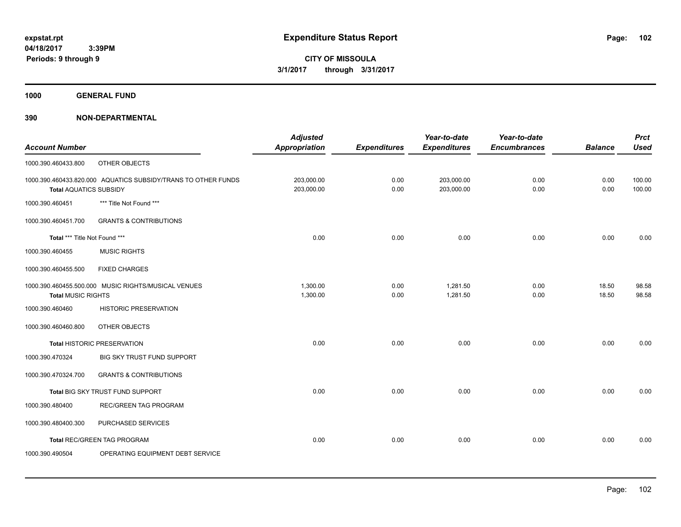**1000 GENERAL FUND**

| <b>Account Number</b>         |                                                               | <b>Adjusted</b><br><b>Appropriation</b> | <b>Expenditures</b> | Year-to-date<br><b>Expenditures</b> | Year-to-date<br><b>Encumbrances</b> | <b>Balance</b> | <b>Prct</b><br><b>Used</b> |
|-------------------------------|---------------------------------------------------------------|-----------------------------------------|---------------------|-------------------------------------|-------------------------------------|----------------|----------------------------|
| 1000.390.460433.800           | OTHER OBJECTS                                                 |                                         |                     |                                     |                                     |                |                            |
| <b>Total AQUATICS SUBSIDY</b> | 1000.390.460433.820.000 AQUATICS SUBSIDY/TRANS TO OTHER FUNDS | 203,000.00<br>203,000.00                | 0.00<br>0.00        | 203,000.00<br>203,000.00            | 0.00<br>0.00                        | 0.00<br>0.00   | 100.00<br>100.00           |
| 1000.390.460451               | *** Title Not Found ***                                       |                                         |                     |                                     |                                     |                |                            |
| 1000.390.460451.700           | <b>GRANTS &amp; CONTRIBUTIONS</b>                             |                                         |                     |                                     |                                     |                |                            |
| Total *** Title Not Found *** |                                                               | 0.00                                    | 0.00                | 0.00                                | 0.00                                | 0.00           | 0.00                       |
| 1000.390.460455               | <b>MUSIC RIGHTS</b>                                           |                                         |                     |                                     |                                     |                |                            |
| 1000.390.460455.500           | <b>FIXED CHARGES</b>                                          |                                         |                     |                                     |                                     |                |                            |
| <b>Total MUSIC RIGHTS</b>     | 1000.390.460455.500.000 MUSIC RIGHTS/MUSICAL VENUES           | 1,300.00<br>1,300.00                    | 0.00<br>0.00        | 1,281.50<br>1,281.50                | 0.00<br>0.00                        | 18.50<br>18.50 | 98.58<br>98.58             |
| 1000.390.460460               | <b>HISTORIC PRESERVATION</b>                                  |                                         |                     |                                     |                                     |                |                            |
| 1000.390.460460.800           | OTHER OBJECTS                                                 |                                         |                     |                                     |                                     |                |                            |
|                               | Total HISTORIC PRESERVATION                                   | 0.00                                    | 0.00                | 0.00                                | 0.00                                | 0.00           | 0.00                       |
| 1000.390.470324               | BIG SKY TRUST FUND SUPPORT                                    |                                         |                     |                                     |                                     |                |                            |
| 1000.390.470324.700           | <b>GRANTS &amp; CONTRIBUTIONS</b>                             |                                         |                     |                                     |                                     |                |                            |
|                               | Total BIG SKY TRUST FUND SUPPORT                              | 0.00                                    | 0.00                | 0.00                                | 0.00                                | 0.00           | 0.00                       |
| 1000.390.480400               | <b>REC/GREEN TAG PROGRAM</b>                                  |                                         |                     |                                     |                                     |                |                            |
| 1000.390.480400.300           | PURCHASED SERVICES                                            |                                         |                     |                                     |                                     |                |                            |
|                               | Total REC/GREEN TAG PROGRAM                                   | 0.00                                    | 0.00                | 0.00                                | 0.00                                | 0.00           | 0.00                       |
| 1000.390.490504               | OPERATING EQUIPMENT DEBT SERVICE                              |                                         |                     |                                     |                                     |                |                            |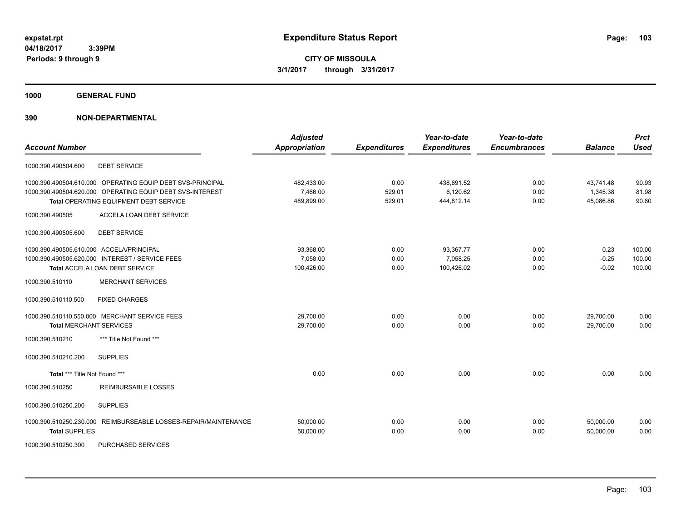**Periods: 9 through 9**

**CITY OF MISSOULA 3/1/2017 through 3/31/2017**

**1000 GENERAL FUND**

### **390 NON-DEPARTMENTAL**

 **3:39PM**

| <b>Account Number</b>                    |                                                                                                                         | <b>Adjusted</b><br><b>Appropriation</b> | <b>Expenditures</b> | Year-to-date<br><b>Expenditures</b> | Year-to-date<br><b>Encumbrances</b> | <b>Balance</b>         | <b>Prct</b><br><b>Used</b> |
|------------------------------------------|-------------------------------------------------------------------------------------------------------------------------|-----------------------------------------|---------------------|-------------------------------------|-------------------------------------|------------------------|----------------------------|
| 1000.390.490504.600                      | <b>DEBT SERVICE</b>                                                                                                     |                                         |                     |                                     |                                     |                        |                            |
|                                          | 1000.390.490504.610.000 OPERATING EQUIP DEBT SVS-PRINCIPAL<br>1000.390.490504.620.000 OPERATING EQUIP DEBT SVS-INTEREST | 482,433.00<br>7,466.00                  | 0.00<br>529.01      | 438,691.52<br>6,120.62              | 0.00<br>0.00                        | 43,741.48<br>1,345.38  | 90.93<br>81.98             |
|                                          | Total OPERATING EQUIPMENT DEBT SERVICE                                                                                  | 489,899.00                              | 529.01              | 444,812.14                          | 0.00                                | 45,086.86              | 90.80                      |
| 1000.390.490505                          | ACCELA LOAN DEBT SERVICE                                                                                                |                                         |                     |                                     |                                     |                        |                            |
| 1000.390.490505.600                      | <b>DEBT SERVICE</b>                                                                                                     |                                         |                     |                                     |                                     |                        |                            |
| 1000.390.490505.610.000 ACCELA/PRINCIPAL |                                                                                                                         | 93,368.00                               | 0.00                | 93,367.77                           | 0.00                                | 0.23                   | 100.00                     |
|                                          | 1000.390.490505.620.000 INTEREST / SERVICE FEES<br><b>Total ACCELA LOAN DEBT SERVICE</b>                                | 7,058.00<br>100,426.00                  | 0.00<br>0.00        | 7,058.25<br>100,426.02              | 0.00<br>0.00                        | $-0.25$<br>$-0.02$     | 100.00<br>100.00           |
| 1000.390.510110                          | <b>MERCHANT SERVICES</b>                                                                                                |                                         |                     |                                     |                                     |                        |                            |
| 1000.390.510110.500                      | <b>FIXED CHARGES</b>                                                                                                    |                                         |                     |                                     |                                     |                        |                            |
|                                          | 1000.390.510110.550.000 MERCHANT SERVICE FEES                                                                           | 29,700.00                               | 0.00                | 0.00                                | 0.00                                | 29,700.00              | 0.00                       |
| <b>Total MERCHANT SERVICES</b>           |                                                                                                                         | 29,700.00                               | 0.00                | 0.00                                | 0.00                                | 29,700.00              | 0.00                       |
| 1000.390.510210                          | *** Title Not Found ***                                                                                                 |                                         |                     |                                     |                                     |                        |                            |
| 1000.390.510210.200                      | <b>SUPPLIES</b>                                                                                                         |                                         |                     |                                     |                                     |                        |                            |
| Total *** Title Not Found ***            |                                                                                                                         | 0.00                                    | 0.00                | 0.00                                | 0.00                                | 0.00                   | 0.00                       |
| 1000.390.510250                          | <b>REIMBURSABLE LOSSES</b>                                                                                              |                                         |                     |                                     |                                     |                        |                            |
| 1000.390.510250.200                      | <b>SUPPLIES</b>                                                                                                         |                                         |                     |                                     |                                     |                        |                            |
| <b>Total SUPPLIES</b>                    | 1000.390.510250.230.000 REIMBURSEABLE LOSSES-REPAIR/MAINTENANCE                                                         | 50,000.00<br>50,000.00                  | 0.00<br>0.00        | 0.00<br>0.00                        | 0.00<br>0.00                        | 50.000.00<br>50,000.00 | 0.00<br>0.00               |

1000.390.510250.300 PURCHASED SERVICES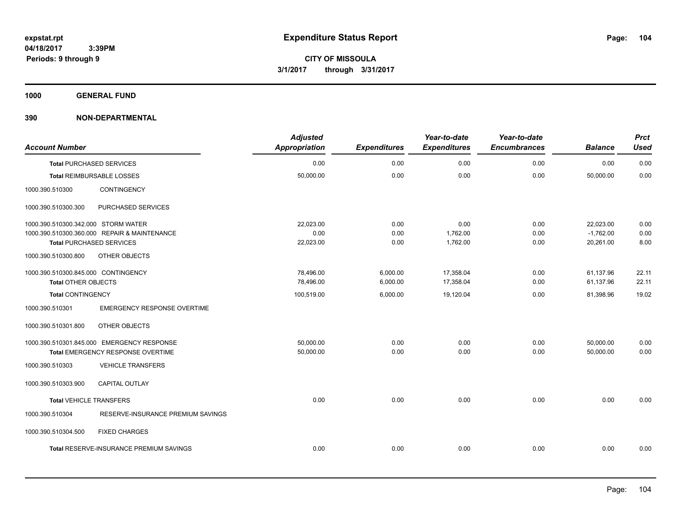**1000 GENERAL FUND**

| <b>Account Number</b>               |                                                | <b>Adjusted</b><br><b>Appropriation</b> | <b>Expenditures</b> | Year-to-date<br><b>Expenditures</b> | Year-to-date<br><b>Encumbrances</b> | <b>Balance</b> | <b>Prct</b><br><b>Used</b> |
|-------------------------------------|------------------------------------------------|-----------------------------------------|---------------------|-------------------------------------|-------------------------------------|----------------|----------------------------|
|                                     | <b>Total PURCHASED SERVICES</b>                | 0.00                                    | 0.00                | 0.00                                | 0.00                                | 0.00           | 0.00                       |
|                                     | Total REIMBURSABLE LOSSES                      | 50,000.00                               | 0.00                | 0.00                                | 0.00                                | 50,000.00      | 0.00                       |
| 1000.390.510300                     | CONTINGENCY                                    |                                         |                     |                                     |                                     |                |                            |
| 1000.390.510300.300                 | PURCHASED SERVICES                             |                                         |                     |                                     |                                     |                |                            |
| 1000.390.510300.342.000 STORM WATER |                                                | 22,023.00                               | 0.00                | 0.00                                | 0.00                                | 22,023.00      | 0.00                       |
|                                     | 1000.390.510300.360.000 REPAIR & MAINTENANCE   | 0.00                                    | 0.00                | 1,762.00                            | 0.00                                | $-1,762.00$    | 0.00                       |
|                                     | <b>Total PURCHASED SERVICES</b>                | 22,023.00                               | 0.00                | 1,762.00                            | 0.00                                | 20,261.00      | 8.00                       |
| 1000.390.510300.800                 | OTHER OBJECTS                                  |                                         |                     |                                     |                                     |                |                            |
| 1000.390.510300.845.000 CONTINGENCY |                                                | 78,496.00                               | 6,000.00            | 17,358.04                           | 0.00                                | 61,137.96      | 22.11                      |
| <b>Total OTHER OBJECTS</b>          |                                                | 78,496.00                               | 6,000.00            | 17,358.04                           | 0.00                                | 61,137.96      | 22.11                      |
| <b>Total CONTINGENCY</b>            |                                                | 100,519.00                              | 6,000.00            | 19,120.04                           | 0.00                                | 81,398.96      | 19.02                      |
| 1000.390.510301                     | <b>EMERGENCY RESPONSE OVERTIME</b>             |                                         |                     |                                     |                                     |                |                            |
| 1000.390.510301.800                 | OTHER OBJECTS                                  |                                         |                     |                                     |                                     |                |                            |
|                                     | 1000.390.510301.845.000 EMERGENCY RESPONSE     | 50,000.00                               | 0.00                | 0.00                                | 0.00                                | 50,000.00      | 0.00                       |
|                                     | Total EMERGENCY RESPONSE OVERTIME              | 50,000.00                               | 0.00                | 0.00                                | 0.00                                | 50,000.00      | 0.00                       |
| 1000.390.510303                     | <b>VEHICLE TRANSFERS</b>                       |                                         |                     |                                     |                                     |                |                            |
| 1000.390.510303.900                 | <b>CAPITAL OUTLAY</b>                          |                                         |                     |                                     |                                     |                |                            |
| <b>Total VEHICLE TRANSFERS</b>      |                                                | 0.00                                    | 0.00                | 0.00                                | 0.00                                | 0.00           | 0.00                       |
| 1000.390.510304                     | RESERVE-INSURANCE PREMIUM SAVINGS              |                                         |                     |                                     |                                     |                |                            |
| 1000.390.510304.500                 | <b>FIXED CHARGES</b>                           |                                         |                     |                                     |                                     |                |                            |
|                                     | <b>Total RESERVE-INSURANCE PREMIUM SAVINGS</b> | 0.00                                    | 0.00                | 0.00                                | 0.00                                | 0.00           | 0.00                       |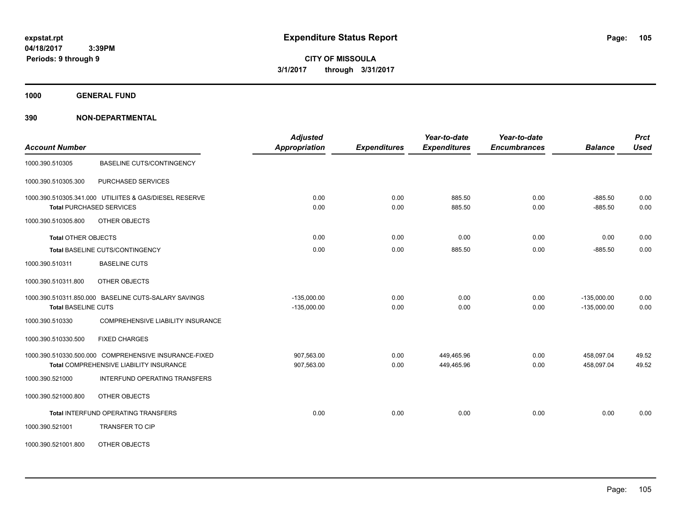**1000 GENERAL FUND**

| <b>Account Number</b>           |                                                                                                  | <b>Adjusted</b><br><b>Appropriation</b> | <b>Expenditures</b> | Year-to-date<br><b>Expenditures</b> | Year-to-date<br><b>Encumbrances</b> | <b>Balance</b>                 | <b>Prct</b><br><b>Used</b> |
|---------------------------------|--------------------------------------------------------------------------------------------------|-----------------------------------------|---------------------|-------------------------------------|-------------------------------------|--------------------------------|----------------------------|
| 1000.390.510305                 | <b>BASELINE CUTS/CONTINGENCY</b>                                                                 |                                         |                     |                                     |                                     |                                |                            |
| 1000.390.510305.300             | PURCHASED SERVICES                                                                               |                                         |                     |                                     |                                     |                                |                            |
| <b>Total PURCHASED SERVICES</b> | 1000.390.510305.341.000 UTILIITES & GAS/DIESEL RESERVE                                           | 0.00<br>0.00                            | 0.00<br>0.00        | 885.50<br>885.50                    | 0.00<br>0.00                        | $-885.50$<br>$-885.50$         | 0.00<br>0.00               |
| 1000.390.510305.800             | OTHER OBJECTS                                                                                    |                                         |                     |                                     |                                     |                                |                            |
| <b>Total OTHER OBJECTS</b>      |                                                                                                  | 0.00                                    | 0.00                | 0.00                                | 0.00                                | 0.00                           | 0.00                       |
|                                 | Total BASELINE CUTS/CONTINGENCY                                                                  | 0.00                                    | 0.00                | 885.50                              | 0.00                                | $-885.50$                      | 0.00                       |
| 1000.390.510311                 | <b>BASELINE CUTS</b>                                                                             |                                         |                     |                                     |                                     |                                |                            |
| 1000.390.510311.800             | <b>OTHER OBJECTS</b>                                                                             |                                         |                     |                                     |                                     |                                |                            |
| <b>Total BASELINE CUTS</b>      | 1000.390.510311.850.000 BASELINE CUTS-SALARY SAVINGS                                             | $-135,000.00$<br>$-135,000.00$          | 0.00<br>0.00        | 0.00<br>0.00                        | 0.00<br>0.00                        | $-135,000.00$<br>$-135.000.00$ | 0.00<br>0.00               |
| 1000.390.510330                 | <b>COMPREHENSIVE LIABILITY INSURANCE</b>                                                         |                                         |                     |                                     |                                     |                                |                            |
| 1000.390.510330.500             | <b>FIXED CHARGES</b>                                                                             |                                         |                     |                                     |                                     |                                |                            |
|                                 | 1000.390.510330.500.000 COMPREHENSIVE INSURANCE-FIXED<br>Total COMPREHENSIVE LIABILITY INSURANCE | 907,563.00<br>907,563.00                | 0.00<br>0.00        | 449,465.96<br>449,465.96            | 0.00<br>0.00                        | 458,097.04<br>458,097.04       | 49.52<br>49.52             |
| 1000.390.521000                 | INTERFUND OPERATING TRANSFERS                                                                    |                                         |                     |                                     |                                     |                                |                            |
| 1000.390.521000.800             | OTHER OBJECTS                                                                                    |                                         |                     |                                     |                                     |                                |                            |
|                                 | Total INTERFUND OPERATING TRANSFERS                                                              | 0.00                                    | 0.00                | 0.00                                | 0.00                                | 0.00                           | 0.00                       |
| 1000.390.521001                 | <b>TRANSFER TO CIP</b>                                                                           |                                         |                     |                                     |                                     |                                |                            |
| 1000.390.521001.800             | OTHER OBJECTS                                                                                    |                                         |                     |                                     |                                     |                                |                            |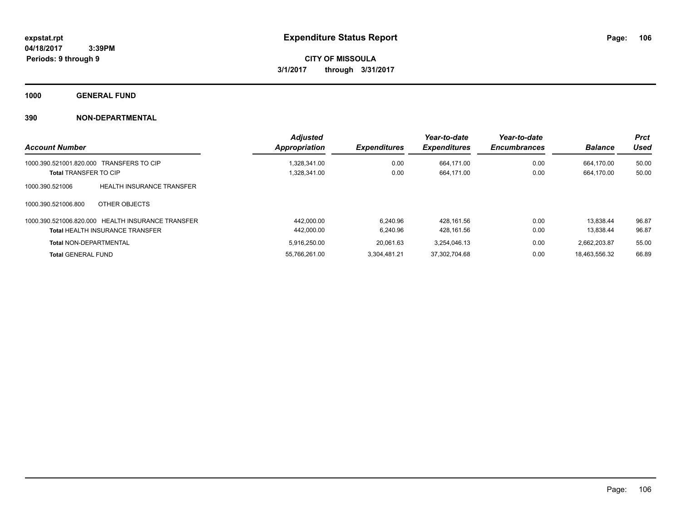**1000 GENERAL FUND**

|                                                     | <b>Adjusted</b> |                     | Year-to-date        | Year-to-date        |                | <b>Prct</b> |
|-----------------------------------------------------|-----------------|---------------------|---------------------|---------------------|----------------|-------------|
| <b>Account Number</b>                               | Appropriation   | <b>Expenditures</b> | <b>Expenditures</b> | <b>Encumbrances</b> | <b>Balance</b> | Used        |
| <b>TRANSFERS TO CIP</b><br>1000.390.521001.820.000  | 1.328.341.00    | 0.00                | 664.171.00          | 0.00                | 664.170.00     | 50.00       |
| <b>Total TRANSFER TO CIP</b>                        | 1,328,341.00    | 0.00                | 664.171.00          | 0.00                | 664.170.00     | 50.00       |
| <b>HEALTH INSURANCE TRANSFER</b><br>1000.390.521006 |                 |                     |                     |                     |                |             |
| OTHER OBJECTS<br>1000.390.521006.800                |                 |                     |                     |                     |                |             |
| 1000.390.521006.820.000 HEALTH INSURANCE TRANSFER   | 442.000.00      | 6.240.96            | 428.161.56          | 0.00                | 13.838.44      | 96.87       |
| <b>Total HEALTH INSURANCE TRANSFER</b>              | 442.000.00      | 6.240.96            | 428.161.56          | 0.00                | 13.838.44      | 96.87       |
| <b>Total NON-DEPARTMENTAL</b>                       | 5.916.250.00    | 20.061.63           | 3.254.046.13        | 0.00                | 2,662,203.87   | 55.00       |
| <b>Total GENERAL FUND</b>                           | 55.766.261.00   | 3.304.481.21        | 37.302.704.68       | 0.00                | 18.463.556.32  | 66.89       |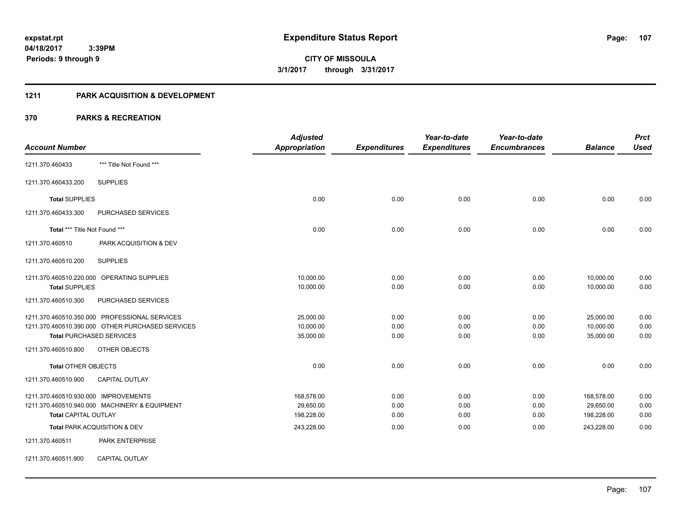### **1211 PARK ACQUISITION & DEVELOPMENT**

|                                              |                                                  | <b>Adjusted</b>      |                     | Year-to-date        | Year-to-date        |                | <b>Prct</b> |
|----------------------------------------------|--------------------------------------------------|----------------------|---------------------|---------------------|---------------------|----------------|-------------|
| <b>Account Number</b>                        |                                                  | <b>Appropriation</b> | <b>Expenditures</b> | <b>Expenditures</b> | <b>Encumbrances</b> | <b>Balance</b> | <b>Used</b> |
| 1211.370.460433                              | *** Title Not Found ***                          |                      |                     |                     |                     |                |             |
| 1211.370.460433.200                          | <b>SUPPLIES</b>                                  |                      |                     |                     |                     |                |             |
| <b>Total SUPPLIES</b>                        |                                                  | 0.00                 | 0.00                | 0.00                | 0.00                | 0.00           | 0.00        |
| 1211.370.460433.300                          | PURCHASED SERVICES                               |                      |                     |                     |                     |                |             |
| Total *** Title Not Found ***                |                                                  | 0.00                 | 0.00                | 0.00                | 0.00                | 0.00           | 0.00        |
| 1211.370.460510                              | PARK ACQUISITION & DEV                           |                      |                     |                     |                     |                |             |
| 1211.370.460510.200                          | <b>SUPPLIES</b>                                  |                      |                     |                     |                     |                |             |
|                                              | 1211.370.460510.220.000 OPERATING SUPPLIES       | 10,000.00            | 0.00                | 0.00                | 0.00                | 10,000.00      | 0.00        |
| <b>Total SUPPLIES</b><br>1211.370.460510.300 | PURCHASED SERVICES                               | 10,000.00            | 0.00                | 0.00                | 0.00                | 10,000.00      | 0.00        |
|                                              | 1211.370.460510.350.000 PROFESSIONAL SERVICES    | 25,000.00            | 0.00                | 0.00                | 0.00                | 25,000.00      | 0.00        |
|                                              | 1211.370.460510.390.000 OTHER PURCHASED SERVICES | 10,000.00            | 0.00                | 0.00                | 0.00                | 10,000.00      | 0.00        |
|                                              | <b>Total PURCHASED SERVICES</b>                  | 35,000.00            | 0.00                | 0.00                | 0.00                | 35,000.00      | 0.00        |
| 1211.370.460510.800                          | <b>OTHER OBJECTS</b>                             |                      |                     |                     |                     |                |             |
| <b>Total OTHER OBJECTS</b>                   |                                                  | 0.00                 | 0.00                | 0.00                | 0.00                | 0.00           | 0.00        |
| 1211.370.460510.900                          | <b>CAPITAL OUTLAY</b>                            |                      |                     |                     |                     |                |             |
| 1211.370.460510.930.000 IMPROVEMENTS         |                                                  | 168,578.00           | 0.00                | 0.00                | 0.00                | 168,578.00     | 0.00        |
|                                              | 1211.370.460510.940.000 MACHINERY & EQUIPMENT    | 29,650.00            | 0.00                | 0.00                | 0.00                | 29,650.00      | 0.00        |
| <b>Total CAPITAL OUTLAY</b>                  |                                                  | 198,228.00           | 0.00                | 0.00                | 0.00                | 198,228.00     | 0.00        |
|                                              | Total PARK ACQUISITION & DEV                     | 243,228.00           | 0.00                | 0.00                | 0.00                | 243,228.00     | 0.00        |
| 1211.370.460511                              | PARK ENTERPRISE                                  |                      |                     |                     |                     |                |             |
| 1211.370.460511.900                          | CAPITAL OUTLAY                                   |                      |                     |                     |                     |                |             |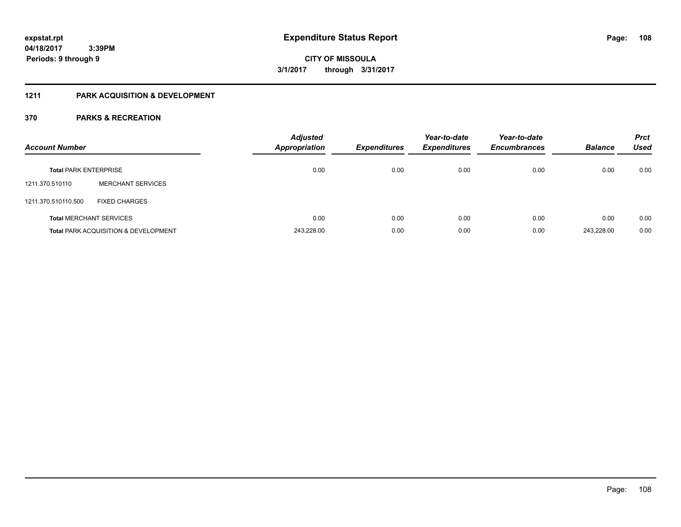## **1211 PARK ACQUISITION & DEVELOPMENT**

| <b>Account Number</b>        |                                                 | <b>Adjusted</b><br><b>Appropriation</b> | <b>Expenditures</b> | Year-to-date<br><b>Expenditures</b> | Year-to-date<br><b>Encumbrances</b> | <b>Balance</b> | <b>Prct</b><br><b>Used</b> |
|------------------------------|-------------------------------------------------|-----------------------------------------|---------------------|-------------------------------------|-------------------------------------|----------------|----------------------------|
| <b>Total PARK ENTERPRISE</b> |                                                 | 0.00                                    | 0.00                | 0.00                                | 0.00                                | 0.00           | 0.00                       |
| 1211.370.510110              | <b>MERCHANT SERVICES</b>                        |                                         |                     |                                     |                                     |                |                            |
| 1211.370.510110.500          | <b>FIXED CHARGES</b>                            |                                         |                     |                                     |                                     |                |                            |
|                              | <b>Total MERCHANT SERVICES</b>                  | 0.00                                    | 0.00                | 0.00                                | 0.00                                | 0.00           | 0.00                       |
|                              | <b>Total PARK ACQUISITION &amp; DEVELOPMENT</b> | 243.228.00                              | 0.00                | 0.00                                | 0.00                                | 243.228.00     | 0.00                       |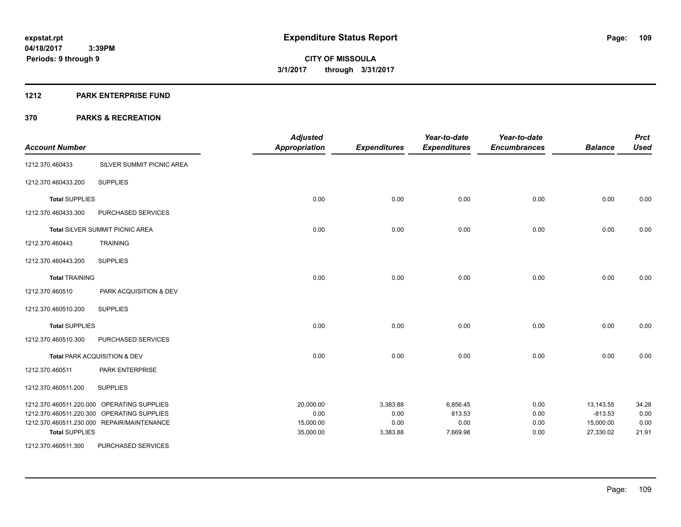#### **1212 PARK ENTERPRISE FUND**

| <b>Account Number</b> |                                            | <b>Adjusted</b><br><b>Appropriation</b> | <b>Expenditures</b> | Year-to-date<br><b>Expenditures</b> | Year-to-date<br><b>Encumbrances</b> | <b>Balance</b> | <b>Prct</b><br><b>Used</b> |
|-----------------------|--------------------------------------------|-----------------------------------------|---------------------|-------------------------------------|-------------------------------------|----------------|----------------------------|
| 1212.370.460433       | SILVER SUMMIT PICNIC AREA                  |                                         |                     |                                     |                                     |                |                            |
| 1212.370.460433.200   | <b>SUPPLIES</b>                            |                                         |                     |                                     |                                     |                |                            |
| <b>Total SUPPLIES</b> |                                            | 0.00                                    | 0.00                | 0.00                                | 0.00                                | 0.00           | 0.00                       |
| 1212.370.460433.300   | PURCHASED SERVICES                         |                                         |                     |                                     |                                     |                |                            |
|                       | <b>Total SILVER SUMMIT PICNIC AREA</b>     | 0.00                                    | 0.00                | 0.00                                | 0.00                                | 0.00           | 0.00                       |
| 1212.370.460443       | <b>TRAINING</b>                            |                                         |                     |                                     |                                     |                |                            |
| 1212.370.460443.200   | <b>SUPPLIES</b>                            |                                         |                     |                                     |                                     |                |                            |
| <b>Total TRAINING</b> |                                            | 0.00                                    | 0.00                | 0.00                                | 0.00                                | 0.00           | 0.00                       |
| 1212.370.460510       | PARK ACQUISITION & DEV                     |                                         |                     |                                     |                                     |                |                            |
| 1212.370.460510.200   | <b>SUPPLIES</b>                            |                                         |                     |                                     |                                     |                |                            |
| <b>Total SUPPLIES</b> |                                            | 0.00                                    | 0.00                | 0.00                                | 0.00                                | 0.00           | 0.00                       |
| 1212.370.460510.300   | PURCHASED SERVICES                         |                                         |                     |                                     |                                     |                |                            |
|                       | Total PARK ACQUISITION & DEV               | 0.00                                    | 0.00                | 0.00                                | 0.00                                | 0.00           | 0.00                       |
| 1212.370.460511       | PARK ENTERPRISE                            |                                         |                     |                                     |                                     |                |                            |
| 1212.370.460511.200   | <b>SUPPLIES</b>                            |                                         |                     |                                     |                                     |                |                            |
|                       | 1212.370.460511.220.000 OPERATING SUPPLIES | 20,000.00                               | 3,383.88            | 6,856.45                            | 0.00                                | 13,143.55      | 34.28                      |
|                       | 1212.370.460511.220.300 OPERATING SUPPLIES | 0.00                                    | 0.00                | 813.53                              | 0.00                                | $-813.53$      | 0.00                       |
|                       | 1212.370.460511.230.000 REPAIR/MAINTENANCE | 15,000.00                               | 0.00                | 0.00                                | 0.00                                | 15,000.00      | 0.00                       |
| <b>Total SUPPLIES</b> |                                            | 35,000.00                               | 3,383.88            | 7,669.98                            | 0.00                                | 27,330.02      | 21.91                      |
| 1212.370.460511.300   | PURCHASED SERVICES                         |                                         |                     |                                     |                                     |                |                            |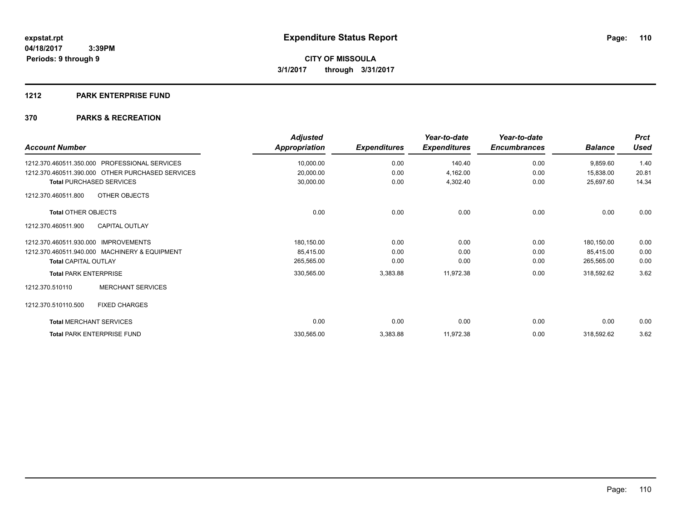#### **1212 PARK ENTERPRISE FUND**

| <b>Account Number</b>                                   | <b>Adjusted</b><br>Appropriation | <b>Expenditures</b> | Year-to-date<br><b>Expenditures</b> | Year-to-date<br><b>Encumbrances</b> | <b>Balance</b> | <b>Prct</b><br><b>Used</b> |
|---------------------------------------------------------|----------------------------------|---------------------|-------------------------------------|-------------------------------------|----------------|----------------------------|
| <b>PROFESSIONAL SERVICES</b><br>1212.370.460511.350.000 | 10,000.00                        | 0.00                | 140.40                              | 0.00                                | 9,859.60       | 1.40                       |
| 1212.370.460511.390.000 OTHER PURCHASED SERVICES        | 20,000.00                        | 0.00                | 4,162.00                            | 0.00                                | 15,838.00      | 20.81                      |
| <b>Total PURCHASED SERVICES</b>                         | 30,000.00                        | 0.00                | 4,302.40                            | 0.00                                | 25,697.60      | 14.34                      |
| OTHER OBJECTS<br>1212.370.460511.800                    |                                  |                     |                                     |                                     |                |                            |
| <b>Total OTHER OBJECTS</b>                              | 0.00                             | 0.00                | 0.00                                | 0.00                                | 0.00           | 0.00                       |
| <b>CAPITAL OUTLAY</b><br>1212.370.460511.900            |                                  |                     |                                     |                                     |                |                            |
| 1212.370.460511.930.000 IMPROVEMENTS                    | 180,150.00                       | 0.00                | 0.00                                | 0.00                                | 180,150.00     | 0.00                       |
| 1212.370.460511.940.000 MACHINERY & EQUIPMENT           | 85,415.00                        | 0.00                | 0.00                                | 0.00                                | 85,415.00      | 0.00                       |
| <b>Total CAPITAL OUTLAY</b>                             | 265,565.00                       | 0.00                | 0.00                                | 0.00                                | 265,565.00     | 0.00                       |
| <b>Total PARK ENTERPRISE</b>                            | 330,565.00                       | 3,383.88            | 11,972.38                           | 0.00                                | 318,592.62     | 3.62                       |
| <b>MERCHANT SERVICES</b><br>1212.370.510110             |                                  |                     |                                     |                                     |                |                            |
| 1212.370.510110.500<br><b>FIXED CHARGES</b>             |                                  |                     |                                     |                                     |                |                            |
| <b>Total MERCHANT SERVICES</b>                          | 0.00                             | 0.00                | 0.00                                | 0.00                                | 0.00           | 0.00                       |
| <b>Total PARK ENTERPRISE FUND</b>                       | 330,565.00                       | 3,383.88            | 11,972.38                           | 0.00                                | 318,592.62     | 3.62                       |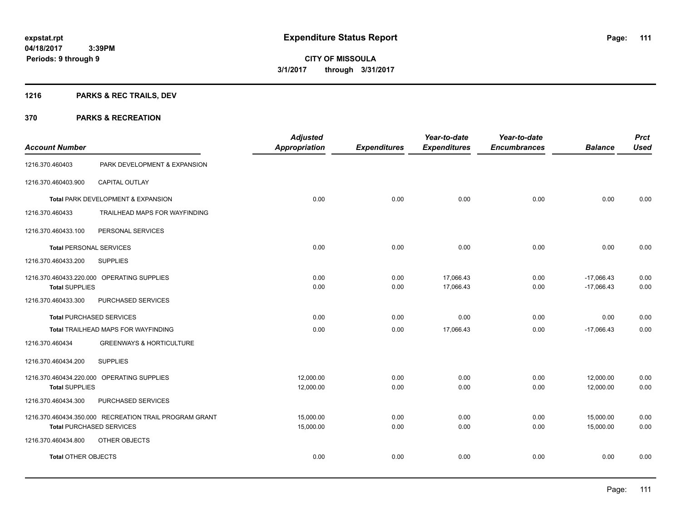## **1216 PARKS & REC TRAILS, DEV**

| <b>Account Number</b>           |                                                        | <b>Adjusted</b><br><b>Appropriation</b> | <b>Expenditures</b> | Year-to-date<br><b>Expenditures</b> | Year-to-date<br><b>Encumbrances</b> | <b>Balance</b> | <b>Prct</b><br><b>Used</b> |
|---------------------------------|--------------------------------------------------------|-----------------------------------------|---------------------|-------------------------------------|-------------------------------------|----------------|----------------------------|
|                                 |                                                        |                                         |                     |                                     |                                     |                |                            |
| 1216.370.460403                 | PARK DEVELOPMENT & EXPANSION                           |                                         |                     |                                     |                                     |                |                            |
| 1216.370.460403.900             | CAPITAL OUTLAY                                         |                                         |                     |                                     |                                     |                |                            |
|                                 | Total PARK DEVELOPMENT & EXPANSION                     | 0.00                                    | 0.00                | 0.00                                | 0.00                                | 0.00           | 0.00                       |
| 1216.370.460433                 | TRAILHEAD MAPS FOR WAYFINDING                          |                                         |                     |                                     |                                     |                |                            |
| 1216.370.460433.100             | PERSONAL SERVICES                                      |                                         |                     |                                     |                                     |                |                            |
| <b>Total PERSONAL SERVICES</b>  |                                                        | 0.00                                    | 0.00                | 0.00                                | 0.00                                | 0.00           | 0.00                       |
| 1216.370.460433.200             | <b>SUPPLIES</b>                                        |                                         |                     |                                     |                                     |                |                            |
|                                 | 1216.370.460433.220.000 OPERATING SUPPLIES             | 0.00                                    | 0.00                | 17,066.43                           | 0.00                                | $-17,066.43$   | 0.00                       |
| <b>Total SUPPLIES</b>           |                                                        | 0.00                                    | 0.00                | 17,066.43                           | 0.00                                | $-17,066.43$   | 0.00                       |
| 1216.370.460433.300             | PURCHASED SERVICES                                     |                                         |                     |                                     |                                     |                |                            |
| <b>Total PURCHASED SERVICES</b> |                                                        | 0.00                                    | 0.00                | 0.00                                | 0.00                                | 0.00           | 0.00                       |
|                                 | Total TRAILHEAD MAPS FOR WAYFINDING                    | 0.00                                    | 0.00                | 17,066.43                           | 0.00                                | $-17,066.43$   | 0.00                       |
| 1216.370.460434                 | <b>GREENWAYS &amp; HORTICULTURE</b>                    |                                         |                     |                                     |                                     |                |                            |
| 1216.370.460434.200             | <b>SUPPLIES</b>                                        |                                         |                     |                                     |                                     |                |                            |
|                                 | 1216.370.460434.220.000 OPERATING SUPPLIES             | 12,000.00                               | 0.00                | 0.00                                | 0.00                                | 12,000.00      | 0.00                       |
| <b>Total SUPPLIES</b>           |                                                        | 12,000.00                               | 0.00                | 0.00                                | 0.00                                | 12,000.00      | 0.00                       |
| 1216.370.460434.300             | PURCHASED SERVICES                                     |                                         |                     |                                     |                                     |                |                            |
|                                 | 1216.370.460434.350.000 RECREATION TRAIL PROGRAM GRANT | 15,000.00                               | 0.00                | 0.00                                | 0.00                                | 15,000.00      | 0.00                       |
| <b>Total PURCHASED SERVICES</b> |                                                        | 15,000.00                               | 0.00                | 0.00                                | 0.00                                | 15,000.00      | 0.00                       |
| 1216.370.460434.800             | OTHER OBJECTS                                          |                                         |                     |                                     |                                     |                |                            |
| <b>Total OTHER OBJECTS</b>      |                                                        | 0.00                                    | 0.00                | 0.00                                | 0.00                                | 0.00           | 0.00                       |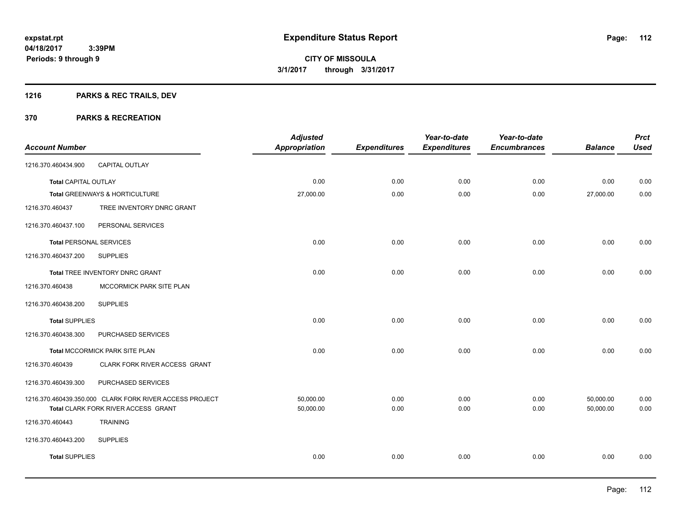## **1216 PARKS & REC TRAILS, DEV**

| <b>Account Number</b>          |                                                                                                | <b>Adjusted</b><br><b>Appropriation</b> | <b>Expenditures</b> | Year-to-date<br><b>Expenditures</b> | Year-to-date<br><b>Encumbrances</b> | <b>Balance</b>         | <b>Prct</b><br><b>Used</b> |
|--------------------------------|------------------------------------------------------------------------------------------------|-----------------------------------------|---------------------|-------------------------------------|-------------------------------------|------------------------|----------------------------|
| 1216.370.460434.900            | CAPITAL OUTLAY                                                                                 |                                         |                     |                                     |                                     |                        |                            |
| <b>Total CAPITAL OUTLAY</b>    |                                                                                                | 0.00                                    | 0.00                | 0.00                                | 0.00                                | 0.00                   | 0.00                       |
|                                | Total GREENWAYS & HORTICULTURE                                                                 | 27,000.00                               | 0.00                | 0.00                                | 0.00                                | 27,000.00              | 0.00                       |
| 1216.370.460437                | TREE INVENTORY DNRC GRANT                                                                      |                                         |                     |                                     |                                     |                        |                            |
| 1216.370.460437.100            | PERSONAL SERVICES                                                                              |                                         |                     |                                     |                                     |                        |                            |
| <b>Total PERSONAL SERVICES</b> |                                                                                                | 0.00                                    | 0.00                | 0.00                                | 0.00                                | 0.00                   | 0.00                       |
| 1216.370.460437.200            | <b>SUPPLIES</b>                                                                                |                                         |                     |                                     |                                     |                        |                            |
|                                | Total TREE INVENTORY DNRC GRANT                                                                | 0.00                                    | 0.00                | 0.00                                | 0.00                                | 0.00                   | 0.00                       |
| 1216.370.460438                | MCCORMICK PARK SITE PLAN                                                                       |                                         |                     |                                     |                                     |                        |                            |
| 1216.370.460438.200            | <b>SUPPLIES</b>                                                                                |                                         |                     |                                     |                                     |                        |                            |
| <b>Total SUPPLIES</b>          |                                                                                                | 0.00                                    | 0.00                | 0.00                                | 0.00                                | 0.00                   | 0.00                       |
| 1216.370.460438.300            | PURCHASED SERVICES                                                                             |                                         |                     |                                     |                                     |                        |                            |
|                                | Total MCCORMICK PARK SITE PLAN                                                                 | 0.00                                    | 0.00                | 0.00                                | 0.00                                | 0.00                   | 0.00                       |
| 1216.370.460439                | CLARK FORK RIVER ACCESS GRANT                                                                  |                                         |                     |                                     |                                     |                        |                            |
| 1216.370.460439.300            | PURCHASED SERVICES                                                                             |                                         |                     |                                     |                                     |                        |                            |
|                                | 1216.370.460439.350.000 CLARK FORK RIVER ACCESS PROJECT<br>Total CLARK FORK RIVER ACCESS GRANT | 50,000.00<br>50,000.00                  | 0.00<br>0.00        | 0.00<br>0.00                        | 0.00<br>0.00                        | 50,000.00<br>50,000.00 | 0.00<br>0.00               |
| 1216.370.460443                | <b>TRAINING</b>                                                                                |                                         |                     |                                     |                                     |                        |                            |
| 1216.370.460443.200            | <b>SUPPLIES</b>                                                                                |                                         |                     |                                     |                                     |                        |                            |
| <b>Total SUPPLIES</b>          |                                                                                                | 0.00                                    | 0.00                | 0.00                                | 0.00                                | 0.00                   | 0.00                       |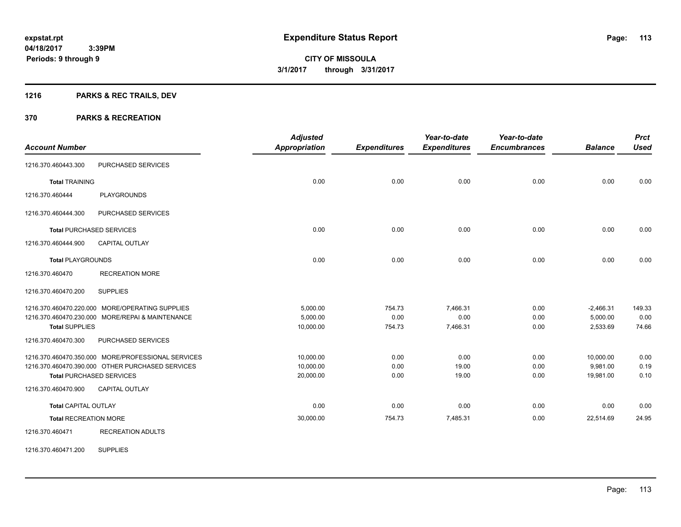## **1216 PARKS & REC TRAILS, DEV**

## **370 PARKS & RECREATION**

| <b>Account Number</b>        |                                                    | <b>Adjusted</b><br><b>Appropriation</b> | <b>Expenditures</b> | Year-to-date<br><b>Expenditures</b> | Year-to-date<br><b>Encumbrances</b> | <b>Balance</b> | <b>Prct</b><br><b>Used</b> |
|------------------------------|----------------------------------------------------|-----------------------------------------|---------------------|-------------------------------------|-------------------------------------|----------------|----------------------------|
| 1216.370.460443.300          | PURCHASED SERVICES                                 |                                         |                     |                                     |                                     |                |                            |
|                              |                                                    |                                         |                     |                                     |                                     |                |                            |
| <b>Total TRAINING</b>        |                                                    | 0.00                                    | 0.00                | 0.00                                | 0.00                                | 0.00           | 0.00                       |
| 1216.370.460444              | <b>PLAYGROUNDS</b>                                 |                                         |                     |                                     |                                     |                |                            |
| 1216.370.460444.300          | PURCHASED SERVICES                                 |                                         |                     |                                     |                                     |                |                            |
|                              | <b>Total PURCHASED SERVICES</b>                    | 0.00                                    | 0.00                | 0.00                                | 0.00                                | 0.00           | 0.00                       |
| 1216.370.460444.900          | CAPITAL OUTLAY                                     |                                         |                     |                                     |                                     |                |                            |
| <b>Total PLAYGROUNDS</b>     |                                                    | 0.00                                    | 0.00                | 0.00                                | 0.00                                | 0.00           | 0.00                       |
| 1216.370.460470              | <b>RECREATION MORE</b>                             |                                         |                     |                                     |                                     |                |                            |
| 1216.370.460470.200          | <b>SUPPLIES</b>                                    |                                         |                     |                                     |                                     |                |                            |
|                              | 1216.370.460470.220.000 MORE/OPERATING SUPPLIES    | 5,000.00                                | 754.73              | 7,466.31                            | 0.00                                | $-2,466.31$    | 149.33                     |
|                              | 1216.370.460470.230.000 MORE/REPAI & MAINTENANCE   | 5.000.00                                | 0.00                | 0.00                                | 0.00                                | 5,000.00       | 0.00                       |
| <b>Total SUPPLIES</b>        |                                                    | 10,000.00                               | 754.73              | 7,466.31                            | 0.00                                | 2,533.69       | 74.66                      |
| 1216.370.460470.300          | PURCHASED SERVICES                                 |                                         |                     |                                     |                                     |                |                            |
|                              | 1216.370.460470.350.000 MORE/PROFESSIONAL SERVICES | 10,000.00                               | 0.00                | 0.00                                | 0.00                                | 10,000.00      | 0.00                       |
|                              | 1216.370.460470.390.000 OTHER PURCHASED SERVICES   | 10.000.00                               | 0.00                | 19.00                               | 0.00                                | 9.981.00       | 0.19                       |
|                              | <b>Total PURCHASED SERVICES</b>                    | 20,000.00                               | 0.00                | 19.00                               | 0.00                                | 19,981.00      | 0.10                       |
| 1216.370.460470.900          | CAPITAL OUTLAY                                     |                                         |                     |                                     |                                     |                |                            |
| <b>Total CAPITAL OUTLAY</b>  |                                                    | 0.00                                    | 0.00                | 0.00                                | 0.00                                | 0.00           | 0.00                       |
| <b>Total RECREATION MORE</b> |                                                    | 30,000.00                               | 754.73              | 7,485.31                            | 0.00                                | 22,514.69      | 24.95                      |
| 1216.370.460471              | <b>RECREATION ADULTS</b>                           |                                         |                     |                                     |                                     |                |                            |

1216.370.460471.200 SUPPLIES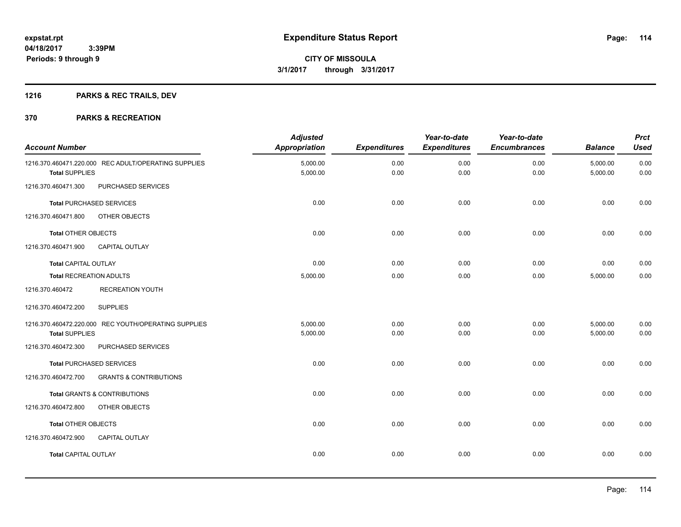## **1216 PARKS & REC TRAILS, DEV**

| <b>Account Number</b>       |                                                      | <b>Adjusted</b><br>Appropriation | <b>Expenditures</b> | Year-to-date<br><b>Expenditures</b> | Year-to-date<br><b>Encumbrances</b> | <b>Balance</b>       | <b>Prct</b><br><b>Used</b> |
|-----------------------------|------------------------------------------------------|----------------------------------|---------------------|-------------------------------------|-------------------------------------|----------------------|----------------------------|
| <b>Total SUPPLIES</b>       | 1216.370.460471.220.000 REC ADULT/OPERATING SUPPLIES | 5,000.00<br>5,000.00             | 0.00<br>0.00        | 0.00<br>0.00                        | 0.00<br>0.00                        | 5,000.00<br>5,000.00 | 0.00<br>0.00               |
| 1216.370.460471.300         | PURCHASED SERVICES                                   |                                  |                     |                                     |                                     |                      |                            |
|                             | <b>Total PURCHASED SERVICES</b>                      | 0.00                             | 0.00                | 0.00                                | 0.00                                | 0.00                 | 0.00                       |
| 1216.370.460471.800         | OTHER OBJECTS                                        |                                  |                     |                                     |                                     |                      |                            |
| <b>Total OTHER OBJECTS</b>  |                                                      | 0.00                             | 0.00                | 0.00                                | 0.00                                | 0.00                 | 0.00                       |
| 1216.370.460471.900         | <b>CAPITAL OUTLAY</b>                                |                                  |                     |                                     |                                     |                      |                            |
| <b>Total CAPITAL OUTLAY</b> |                                                      | 0.00                             | 0.00                | 0.00                                | 0.00                                | 0.00                 | 0.00                       |
| Total RECREATION ADULTS     |                                                      | 5,000.00                         | 0.00                | 0.00                                | 0.00                                | 5,000.00             | 0.00                       |
| 1216.370.460472             | <b>RECREATION YOUTH</b>                              |                                  |                     |                                     |                                     |                      |                            |
| 1216.370.460472.200         | <b>SUPPLIES</b>                                      |                                  |                     |                                     |                                     |                      |                            |
|                             | 1216.370.460472.220.000 REC YOUTH/OPERATING SUPPLIES | 5,000.00                         | 0.00                | 0.00                                | 0.00                                | 5,000.00             | 0.00                       |
| <b>Total SUPPLIES</b>       |                                                      | 5,000.00                         | 0.00                | 0.00                                | 0.00                                | 5,000.00             | 0.00                       |
| 1216.370.460472.300         | PURCHASED SERVICES                                   |                                  |                     |                                     |                                     |                      |                            |
|                             | <b>Total PURCHASED SERVICES</b>                      | 0.00                             | 0.00                | 0.00                                | 0.00                                | 0.00                 | 0.00                       |
| 1216.370.460472.700         | <b>GRANTS &amp; CONTRIBUTIONS</b>                    |                                  |                     |                                     |                                     |                      |                            |
|                             | Total GRANTS & CONTRIBUTIONS                         | 0.00                             | 0.00                | 0.00                                | 0.00                                | 0.00                 | 0.00                       |
| 1216.370.460472.800         | OTHER OBJECTS                                        |                                  |                     |                                     |                                     |                      |                            |
| <b>Total OTHER OBJECTS</b>  |                                                      | 0.00                             | 0.00                | 0.00                                | 0.00                                | 0.00                 | 0.00                       |
| 1216.370.460472.900         | <b>CAPITAL OUTLAY</b>                                |                                  |                     |                                     |                                     |                      |                            |
| <b>Total CAPITAL OUTLAY</b> |                                                      | 0.00                             | 0.00                | 0.00                                | 0.00                                | 0.00                 | 0.00                       |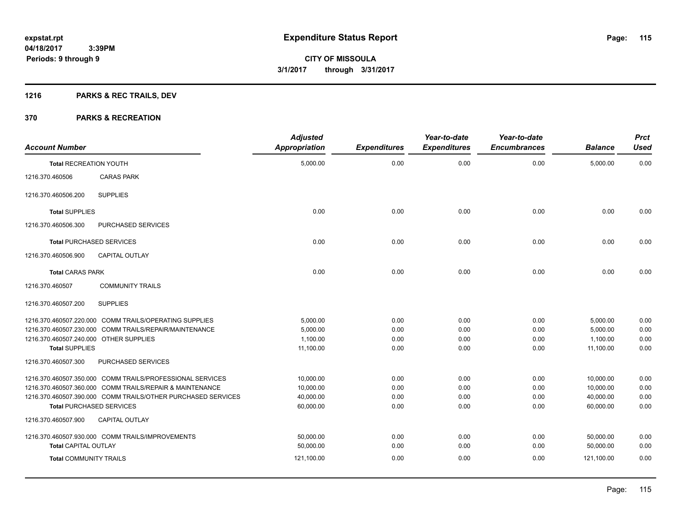## **1216 PARKS & REC TRAILS, DEV**

| <b>Account Number</b>                  |                                                              | <b>Adjusted</b><br><b>Appropriation</b> | <b>Expenditures</b> | Year-to-date<br><b>Expenditures</b> | Year-to-date<br><b>Encumbrances</b> | <b>Balance</b> | <b>Prct</b><br><b>Used</b> |
|----------------------------------------|--------------------------------------------------------------|-----------------------------------------|---------------------|-------------------------------------|-------------------------------------|----------------|----------------------------|
| <b>Total RECREATION YOUTH</b>          |                                                              | 5,000.00                                | 0.00                | 0.00                                | 0.00                                | 5,000.00       | 0.00                       |
| 1216.370.460506                        | <b>CARAS PARK</b>                                            |                                         |                     |                                     |                                     |                |                            |
| 1216.370.460506.200                    | <b>SUPPLIES</b>                                              |                                         |                     |                                     |                                     |                |                            |
| <b>Total SUPPLIES</b>                  |                                                              | 0.00                                    | 0.00                | 0.00                                | 0.00                                | 0.00           | 0.00                       |
| 1216.370.460506.300                    | PURCHASED SERVICES                                           |                                         |                     |                                     |                                     |                |                            |
|                                        | <b>Total PURCHASED SERVICES</b>                              | 0.00                                    | 0.00                | 0.00                                | 0.00                                | 0.00           | 0.00                       |
| 1216.370.460506.900                    | <b>CAPITAL OUTLAY</b>                                        |                                         |                     |                                     |                                     |                |                            |
| <b>Total CARAS PARK</b>                |                                                              | 0.00                                    | 0.00                | 0.00                                | 0.00                                | 0.00           | 0.00                       |
| 1216.370.460507                        | <b>COMMUNITY TRAILS</b>                                      |                                         |                     |                                     |                                     |                |                            |
| 1216.370.460507.200                    | <b>SUPPLIES</b>                                              |                                         |                     |                                     |                                     |                |                            |
|                                        | 1216.370.460507.220.000 COMM TRAILS/OPERATING SUPPLIES       | 5.000.00                                | 0.00                | 0.00                                | 0.00                                | 5,000.00       | 0.00                       |
|                                        | 1216.370.460507.230.000 COMM TRAILS/REPAIR/MAINTENANCE       | 5,000.00                                | 0.00                | 0.00                                | 0.00                                | 5,000.00       | 0.00                       |
| 1216.370.460507.240.000 OTHER SUPPLIES |                                                              | 1,100.00                                | 0.00                | 0.00                                | 0.00                                | 1,100.00       | 0.00                       |
| <b>Total SUPPLIES</b>                  |                                                              | 11,100.00                               | 0.00                | 0.00                                | 0.00                                | 11,100.00      | 0.00                       |
| 1216.370.460507.300                    | PURCHASED SERVICES                                           |                                         |                     |                                     |                                     |                |                            |
|                                        | 1216.370.460507.350.000 COMM TRAILS/PROFESSIONAL SERVICES    | 10,000.00                               | 0.00                | 0.00                                | 0.00                                | 10,000.00      | 0.00                       |
|                                        | 1216.370.460507.360.000 COMM TRAILS/REPAIR & MAINTENANCE     | 10.000.00                               | 0.00                | 0.00                                | 0.00                                | 10.000.00      | 0.00                       |
|                                        | 1216.370.460507.390.000 COMM TRAILS/OTHER PURCHASED SERVICES | 40.000.00                               | 0.00                | 0.00                                | 0.00                                | 40,000.00      | 0.00                       |
|                                        | <b>Total PURCHASED SERVICES</b>                              | 60,000.00                               | 0.00                | 0.00                                | 0.00                                | 60,000.00      | 0.00                       |
| 1216.370.460507.900                    | <b>CAPITAL OUTLAY</b>                                        |                                         |                     |                                     |                                     |                |                            |
|                                        | 1216.370.460507.930.000 COMM TRAILS/IMPROVEMENTS             | 50,000.00                               | 0.00                | 0.00                                | 0.00                                | 50,000.00      | 0.00                       |
| <b>Total CAPITAL OUTLAY</b>            |                                                              | 50,000.00                               | 0.00                | 0.00                                | 0.00                                | 50,000.00      | 0.00                       |
| <b>Total COMMUNITY TRAILS</b>          |                                                              | 121,100.00                              | 0.00                | 0.00                                | 0.00                                | 121,100.00     | 0.00                       |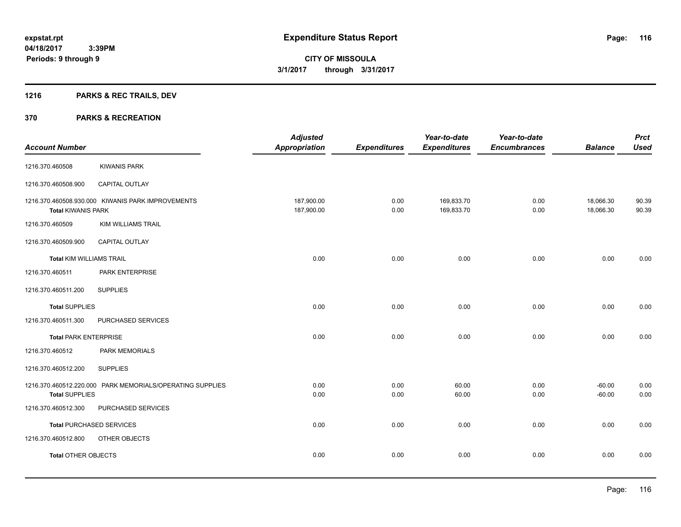## **1216 PARKS & REC TRAILS, DEV**

|                                 |                                                           | <b>Adjusted</b>          |                     | Year-to-date             | Year-to-date        |                        | <b>Prct</b>    |
|---------------------------------|-----------------------------------------------------------|--------------------------|---------------------|--------------------------|---------------------|------------------------|----------------|
| <b>Account Number</b>           |                                                           | <b>Appropriation</b>     | <b>Expenditures</b> | <b>Expenditures</b>      | <b>Encumbrances</b> | <b>Balance</b>         | <b>Used</b>    |
| 1216.370.460508                 | <b>KIWANIS PARK</b>                                       |                          |                     |                          |                     |                        |                |
| 1216.370.460508.900             | CAPITAL OUTLAY                                            |                          |                     |                          |                     |                        |                |
| <b>Total KIWANIS PARK</b>       | 1216.370.460508.930.000 KIWANIS PARK IMPROVEMENTS         | 187,900.00<br>187,900.00 | 0.00<br>0.00        | 169,833.70<br>169,833.70 | 0.00<br>0.00        | 18,066.30<br>18,066.30 | 90.39<br>90.39 |
| 1216.370.460509                 | <b>KIM WILLIAMS TRAIL</b>                                 |                          |                     |                          |                     |                        |                |
| 1216.370.460509.900             | <b>CAPITAL OUTLAY</b>                                     |                          |                     |                          |                     |                        |                |
| <b>Total KIM WILLIAMS TRAIL</b> |                                                           | 0.00                     | 0.00                | 0.00                     | 0.00                | 0.00                   | 0.00           |
| 1216.370.460511                 | PARK ENTERPRISE                                           |                          |                     |                          |                     |                        |                |
| 1216.370.460511.200             | <b>SUPPLIES</b>                                           |                          |                     |                          |                     |                        |                |
| <b>Total SUPPLIES</b>           |                                                           | 0.00                     | 0.00                | 0.00                     | 0.00                | 0.00                   | 0.00           |
| 1216.370.460511.300             | PURCHASED SERVICES                                        |                          |                     |                          |                     |                        |                |
| <b>Total PARK ENTERPRISE</b>    |                                                           | 0.00                     | 0.00                | 0.00                     | 0.00                | 0.00                   | 0.00           |
| 1216.370.460512                 | PARK MEMORIALS                                            |                          |                     |                          |                     |                        |                |
| 1216.370.460512.200             | <b>SUPPLIES</b>                                           |                          |                     |                          |                     |                        |                |
| <b>Total SUPPLIES</b>           | 1216.370.460512.220.000 PARK MEMORIALS/OPERATING SUPPLIES | 0.00<br>0.00             | 0.00<br>0.00        | 60.00<br>60.00           | 0.00<br>0.00        | $-60.00$<br>$-60.00$   | 0.00<br>0.00   |
| 1216.370.460512.300             | PURCHASED SERVICES                                        |                          |                     |                          |                     |                        |                |
|                                 | <b>Total PURCHASED SERVICES</b>                           | 0.00                     | 0.00                | 0.00                     | 0.00                | 0.00                   | 0.00           |
| 1216.370.460512.800             | OTHER OBJECTS                                             |                          |                     |                          |                     |                        |                |
| <b>Total OTHER OBJECTS</b>      |                                                           | 0.00                     | 0.00                | 0.00                     | 0.00                | 0.00                   | 0.00           |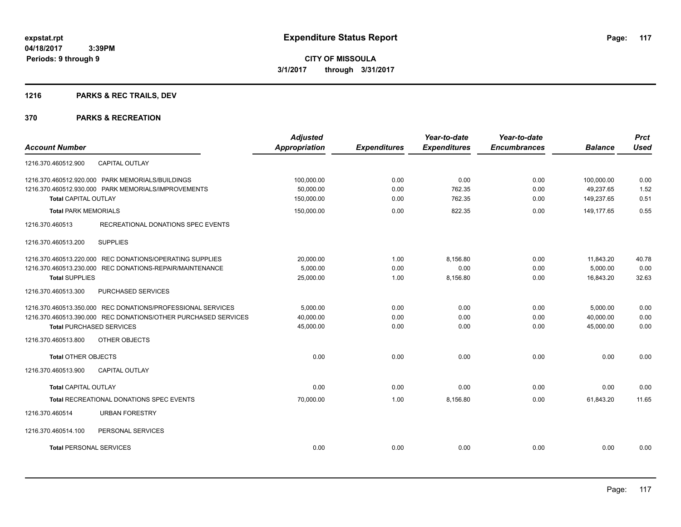## **1216 PARKS & REC TRAILS, DEV**

|                                                                | <b>Adjusted</b>      |                     | Year-to-date        | Year-to-date        |                | <b>Prct</b> |
|----------------------------------------------------------------|----------------------|---------------------|---------------------|---------------------|----------------|-------------|
| <b>Account Number</b>                                          | <b>Appropriation</b> | <b>Expenditures</b> | <b>Expenditures</b> | <b>Encumbrances</b> | <b>Balance</b> | <b>Used</b> |
| 1216.370.460512.900<br><b>CAPITAL OUTLAY</b>                   |                      |                     |                     |                     |                |             |
| 1216.370.460512.920.000 PARK MEMORIALS/BUILDINGS               | 100,000.00           | 0.00                | 0.00                | 0.00                | 100,000.00     | 0.00        |
| 1216.370.460512.930.000 PARK MEMORIALS/IMPROVEMENTS            | 50,000.00            | 0.00                | 762.35              | 0.00                | 49.237.65      | 1.52        |
| <b>Total CAPITAL OUTLAY</b>                                    | 150,000.00           | 0.00                | 762.35              | 0.00                | 149,237.65     | 0.51        |
| <b>Total PARK MEMORIALS</b>                                    | 150,000.00           | 0.00                | 822.35              | 0.00                | 149,177.65     | 0.55        |
| 1216.370.460513<br>RECREATIONAL DONATIONS SPEC EVENTS          |                      |                     |                     |                     |                |             |
| <b>SUPPLIES</b><br>1216.370.460513.200                         |                      |                     |                     |                     |                |             |
| 1216.370.460513.220.000 REC DONATIONS/OPERATING SUPPLIES       | 20,000.00            | 1.00                | 8,156.80            | 0.00                | 11,843.20      | 40.78       |
| 1216.370.460513.230.000 REC DONATIONS-REPAIR/MAINTENANCE       | 5,000.00             | 0.00                | 0.00                | 0.00                | 5.000.00       | 0.00        |
| <b>Total SUPPLIES</b>                                          | 25,000.00            | 1.00                | 8,156.80            | 0.00                | 16,843.20      | 32.63       |
| 1216.370.460513.300<br><b>PURCHASED SERVICES</b>               |                      |                     |                     |                     |                |             |
| 1216.370.460513.350.000 REC DONATIONS/PROFESSIONAL SERVICES    | 5.000.00             | 0.00                | 0.00                | 0.00                | 5,000.00       | 0.00        |
| 1216.370.460513.390.000 REC DONATIONS/OTHER PURCHASED SERVICES | 40.000.00            | 0.00                | 0.00                | 0.00                | 40.000.00      | 0.00        |
| <b>Total PURCHASED SERVICES</b>                                | 45,000.00            | 0.00                | 0.00                | 0.00                | 45.000.00      | 0.00        |
| OTHER OBJECTS<br>1216.370.460513.800                           |                      |                     |                     |                     |                |             |
| <b>Total OTHER OBJECTS</b>                                     | 0.00                 | 0.00                | 0.00                | 0.00                | 0.00           | 0.00        |
| 1216.370.460513.900<br><b>CAPITAL OUTLAY</b>                   |                      |                     |                     |                     |                |             |
| <b>Total CAPITAL OUTLAY</b>                                    | 0.00                 | 0.00                | 0.00                | 0.00                | 0.00           | 0.00        |
| <b>Total RECREATIONAL DONATIONS SPEC EVENTS</b>                | 70,000.00            | 1.00                | 8,156.80            | 0.00                | 61,843.20      | 11.65       |
| 1216.370.460514<br><b>URBAN FORESTRY</b>                       |                      |                     |                     |                     |                |             |
| PERSONAL SERVICES<br>1216.370.460514.100                       |                      |                     |                     |                     |                |             |
| <b>Total PERSONAL SERVICES</b>                                 | 0.00                 | 0.00                | 0.00                | 0.00                | 0.00           | 0.00        |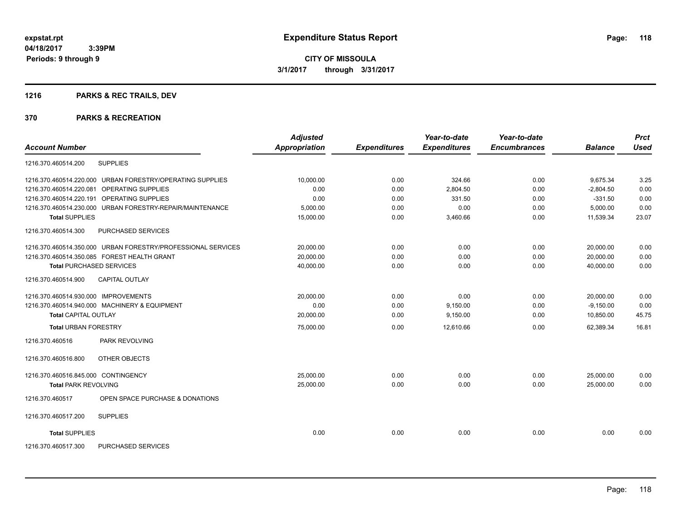## **1216 PARKS & REC TRAILS, DEV**

|                                                              | <b>Adjusted</b> |                     | Year-to-date        | Year-to-date        |                | <b>Prct</b> |
|--------------------------------------------------------------|-----------------|---------------------|---------------------|---------------------|----------------|-------------|
| <b>Account Number</b>                                        | Appropriation   | <b>Expenditures</b> | <b>Expenditures</b> | <b>Encumbrances</b> | <b>Balance</b> | <b>Used</b> |
| 1216.370.460514.200<br><b>SUPPLIES</b>                       |                 |                     |                     |                     |                |             |
| 1216.370.460514.220.000 URBAN FORESTRY/OPERATING SUPPLIES    | 10,000.00       | 0.00                | 324.66              | 0.00                | 9.675.34       | 3.25        |
| <b>OPERATING SUPPLIES</b><br>1216.370.460514.220.081         | 0.00            | 0.00                | 2,804.50            | 0.00                | $-2,804.50$    | 0.00        |
| 1216.370.460514.220.191 OPERATING SUPPLIES                   | 0.00            | 0.00                | 331.50              | 0.00                | $-331.50$      | 0.00        |
| 1216.370.460514.230.000 URBAN FORESTRY-REPAIR/MAINTENANCE    | 5,000.00        | 0.00                | 0.00                | 0.00                | 5,000.00       | 0.00        |
| <b>Total SUPPLIES</b>                                        | 15,000.00       | 0.00                | 3,460.66            | 0.00                | 11,539.34      | 23.07       |
| 1216.370.460514.300<br>PURCHASED SERVICES                    |                 |                     |                     |                     |                |             |
| 1216.370.460514.350.000 URBAN FORESTRY/PROFESSIONAL SERVICES | 20.000.00       | 0.00                | 0.00                | 0.00                | 20.000.00      | 0.00        |
| 1216.370.460514.350.085 FOREST HEALTH GRANT                  | 20,000.00       | 0.00                | 0.00                | 0.00                | 20,000.00      | 0.00        |
| <b>Total PURCHASED SERVICES</b>                              | 40,000.00       | 0.00                | 0.00                | 0.00                | 40,000.00      | 0.00        |
| <b>CAPITAL OUTLAY</b><br>1216.370.460514.900                 |                 |                     |                     |                     |                |             |
| 1216.370.460514.930.000 IMPROVEMENTS                         | 20,000.00       | 0.00                | 0.00                | 0.00                | 20,000.00      | 0.00        |
| 1216.370.460514.940.000 MACHINERY & EQUIPMENT                | 0.00            | 0.00                | 9,150.00            | 0.00                | $-9,150.00$    | 0.00        |
| <b>Total CAPITAL OUTLAY</b>                                  | 20,000.00       | 0.00                | 9,150.00            | 0.00                | 10,850.00      | 45.75       |
| <b>Total URBAN FORESTRY</b>                                  | 75,000.00       | 0.00                | 12,610.66           | 0.00                | 62,389.34      | 16.81       |
| PARK REVOLVING<br>1216.370.460516                            |                 |                     |                     |                     |                |             |
| <b>OTHER OBJECTS</b><br>1216.370.460516.800                  |                 |                     |                     |                     |                |             |
| 1216.370.460516.845.000 CONTINGENCY                          | 25.000.00       | 0.00                | 0.00                | 0.00                | 25.000.00      | 0.00        |
| <b>Total PARK REVOLVING</b>                                  | 25,000.00       | 0.00                | 0.00                | 0.00                | 25.000.00      | 0.00        |
| OPEN SPACE PURCHASE & DONATIONS<br>1216.370.460517           |                 |                     |                     |                     |                |             |
| 1216.370.460517.200<br><b>SUPPLIES</b>                       |                 |                     |                     |                     |                |             |
| <b>Total SUPPLIES</b>                                        | 0.00            | 0.00                | 0.00                | 0.00                | 0.00           | 0.00        |
| PURCHASED SERVICES<br>1216.370.460517.300                    |                 |                     |                     |                     |                |             |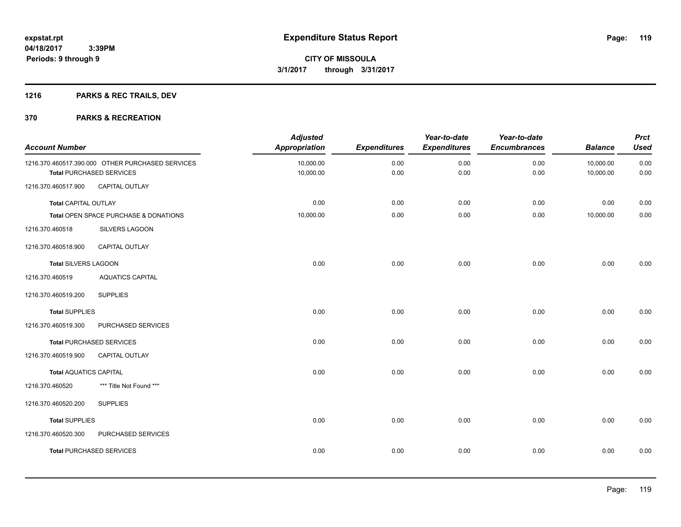## **1216 PARKS & REC TRAILS, DEV**

| <b>Account Number</b>         |                                                                                     | <b>Adjusted</b><br><b>Appropriation</b> | <b>Expenditures</b> | Year-to-date<br><b>Expenditures</b> | Year-to-date<br><b>Encumbrances</b> | <b>Balance</b>         | <b>Prct</b><br><b>Used</b> |
|-------------------------------|-------------------------------------------------------------------------------------|-----------------------------------------|---------------------|-------------------------------------|-------------------------------------|------------------------|----------------------------|
|                               | 1216.370.460517.390.000 OTHER PURCHASED SERVICES<br><b>Total PURCHASED SERVICES</b> | 10,000.00<br>10,000.00                  | 0.00<br>0.00        | 0.00<br>0.00                        | 0.00<br>0.00                        | 10,000.00<br>10,000.00 | 0.00<br>0.00               |
| 1216.370.460517.900           | CAPITAL OUTLAY                                                                      |                                         |                     |                                     |                                     |                        |                            |
| <b>Total CAPITAL OUTLAY</b>   |                                                                                     | 0.00                                    | 0.00                | 0.00                                | 0.00                                | 0.00                   | 0.00                       |
|                               | Total OPEN SPACE PURCHASE & DONATIONS                                               | 10,000.00                               | 0.00                | 0.00                                | 0.00                                | 10,000.00              | $0.00\,$                   |
| 1216.370.460518               | SILVERS LAGOON                                                                      |                                         |                     |                                     |                                     |                        |                            |
| 1216.370.460518.900           | <b>CAPITAL OUTLAY</b>                                                               |                                         |                     |                                     |                                     |                        |                            |
| <b>Total SILVERS LAGOON</b>   |                                                                                     | 0.00                                    | 0.00                | 0.00                                | 0.00                                | 0.00                   | 0.00                       |
| 1216.370.460519               | <b>AQUATICS CAPITAL</b>                                                             |                                         |                     |                                     |                                     |                        |                            |
| 1216.370.460519.200           | <b>SUPPLIES</b>                                                                     |                                         |                     |                                     |                                     |                        |                            |
| <b>Total SUPPLIES</b>         |                                                                                     | 0.00                                    | 0.00                | 0.00                                | 0.00                                | 0.00                   | 0.00                       |
| 1216.370.460519.300           | PURCHASED SERVICES                                                                  |                                         |                     |                                     |                                     |                        |                            |
|                               | <b>Total PURCHASED SERVICES</b>                                                     | 0.00                                    | 0.00                | 0.00                                | 0.00                                | 0.00                   | 0.00                       |
| 1216.370.460519.900           | <b>CAPITAL OUTLAY</b>                                                               |                                         |                     |                                     |                                     |                        |                            |
| <b>Total AQUATICS CAPITAL</b> |                                                                                     | 0.00                                    | 0.00                | 0.00                                | 0.00                                | 0.00                   | 0.00                       |
| 1216.370.460520               | *** Title Not Found ***                                                             |                                         |                     |                                     |                                     |                        |                            |
| 1216.370.460520.200           | <b>SUPPLIES</b>                                                                     |                                         |                     |                                     |                                     |                        |                            |
| <b>Total SUPPLIES</b>         |                                                                                     | 0.00                                    | 0.00                | 0.00                                | 0.00                                | 0.00                   | 0.00                       |
| 1216.370.460520.300           | PURCHASED SERVICES                                                                  |                                         |                     |                                     |                                     |                        |                            |
|                               | <b>Total PURCHASED SERVICES</b>                                                     | 0.00                                    | 0.00                | 0.00                                | 0.00                                | 0.00                   | 0.00                       |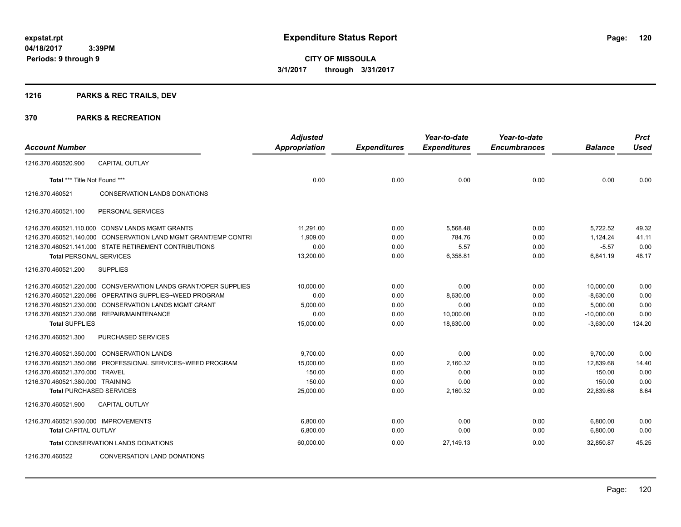## **1216 PARKS & REC TRAILS, DEV**

|                                      |                                                                 | <b>Adjusted</b>      |                     | Year-to-date        | Year-to-date        |                | <b>Prct</b> |
|--------------------------------------|-----------------------------------------------------------------|----------------------|---------------------|---------------------|---------------------|----------------|-------------|
| <b>Account Number</b>                |                                                                 | <b>Appropriation</b> | <b>Expenditures</b> | <b>Expenditures</b> | <b>Encumbrances</b> | <b>Balance</b> | <b>Used</b> |
| 1216.370.460520.900                  | <b>CAPITAL OUTLAY</b>                                           |                      |                     |                     |                     |                |             |
| Total *** Title Not Found ***        |                                                                 | 0.00                 | 0.00                | 0.00                | 0.00                | 0.00           | 0.00        |
| 1216.370.460521                      | CONSERVATION LANDS DONATIONS                                    |                      |                     |                     |                     |                |             |
| 1216.370.460521.100                  | PERSONAL SERVICES                                               |                      |                     |                     |                     |                |             |
|                                      | 1216.370.460521.110.000 CONSV LANDS MGMT GRANTS                 | 11.291.00            | 0.00                | 5.568.48            | 0.00                | 5.722.52       | 49.32       |
| 1216.370.460521.140.000              | <b>CONSERVATION LAND MGMT GRANT/EMP CONTRI</b>                  | 1,909.00             | 0.00                | 784.76              | 0.00                | 1,124.24       | 41.11       |
|                                      | 1216.370.460521.141.000 STATE RETIREMENT CONTRIBUTIONS          | 0.00                 | 0.00                | 5.57                | 0.00                | $-5.57$        | 0.00        |
| <b>Total PERSONAL SERVICES</b>       |                                                                 | 13,200.00            | 0.00                | 6,358.81            | 0.00                | 6,841.19       | 48.17       |
| 1216.370.460521.200                  | <b>SUPPLIES</b>                                                 |                      |                     |                     |                     |                |             |
|                                      | 1216.370.460521.220.000 CONSVERVATION LANDS GRANT/OPER SUPPLIES | 10.000.00            | 0.00                | 0.00                | 0.00                | 10,000.00      | 0.00        |
| 1216.370.460521.220.086              | OPERATING SUPPLIES~WEED PROGRAM                                 | 0.00                 | 0.00                | 8,630.00            | 0.00                | $-8,630.00$    | 0.00        |
| 1216.370.460521.230.000              | <b>CONSERVATION LANDS MGMT GRANT</b>                            | 5,000.00             | 0.00                | 0.00                | 0.00                | 5,000.00       | 0.00        |
|                                      | 1216.370.460521.230.086 REPAIR/MAINTENANCE                      | 0.00                 | 0.00                | 10,000.00           | 0.00                | $-10,000.00$   | 0.00        |
| <b>Total SUPPLIES</b>                |                                                                 | 15,000.00            | 0.00                | 18,630.00           | 0.00                | $-3,630.00$    | 124.20      |
| 1216.370.460521.300                  | <b>PURCHASED SERVICES</b>                                       |                      |                     |                     |                     |                |             |
|                                      | 1216.370.460521.350.000 CONSERVATION LANDS                      | 9,700.00             | 0.00                | 0.00                | 0.00                | 9,700.00       | 0.00        |
|                                      | 1216.370.460521.350.086 PROFESSIONAL SERVICES~WEED PROGRAM      | 15,000.00            | 0.00                | 2,160.32            | 0.00                | 12,839.68      | 14.40       |
| 1216.370.460521.370.000 TRAVEL       |                                                                 | 150.00               | 0.00                | 0.00                | 0.00                | 150.00         | 0.00        |
| 1216.370.460521.380.000 TRAINING     |                                                                 | 150.00               | 0.00                | 0.00                | 0.00                | 150.00         | 0.00        |
| <b>Total PURCHASED SERVICES</b>      |                                                                 | 25,000.00            | 0.00                | 2,160.32            | 0.00                | 22,839.68      | 8.64        |
| 1216.370.460521.900                  | CAPITAL OUTLAY                                                  |                      |                     |                     |                     |                |             |
| 1216.370.460521.930.000 IMPROVEMENTS |                                                                 | 6,800.00             | 0.00                | 0.00                | 0.00                | 6,800.00       | 0.00        |
| <b>Total CAPITAL OUTLAY</b>          |                                                                 | 6,800.00             | 0.00                | 0.00                | 0.00                | 6,800.00       | 0.00        |
|                                      | Total CONSERVATION LANDS DONATIONS                              | 60,000.00            | 0.00                | 27,149.13           | 0.00                | 32,850.87      | 45.25       |
| 1216.370.460522                      | CONVERSATION LAND DONATIONS                                     |                      |                     |                     |                     |                |             |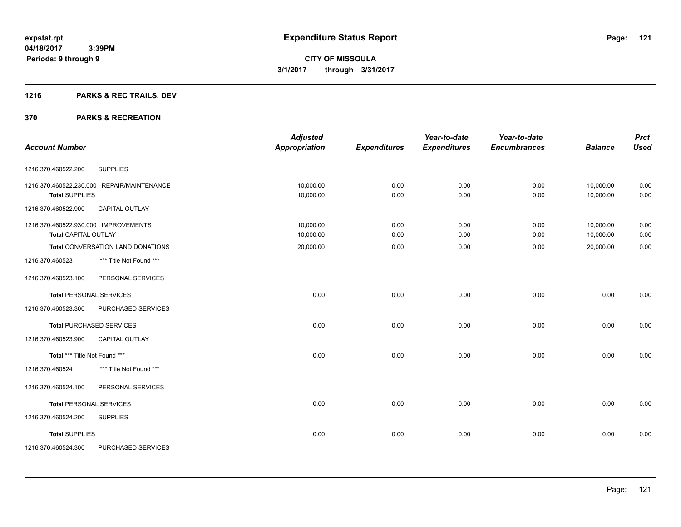## **1216 PARKS & REC TRAILS, DEV**

|                                              | <b>Adjusted</b>      |                     | Year-to-date        | Year-to-date        |                | <b>Prct</b> |
|----------------------------------------------|----------------------|---------------------|---------------------|---------------------|----------------|-------------|
| <b>Account Number</b>                        | <b>Appropriation</b> | <b>Expenditures</b> | <b>Expenditures</b> | <b>Encumbrances</b> | <b>Balance</b> | <b>Used</b> |
| <b>SUPPLIES</b><br>1216.370.460522.200       |                      |                     |                     |                     |                |             |
| 1216.370.460522.230.000 REPAIR/MAINTENANCE   | 10,000.00            | 0.00                | 0.00                | 0.00                | 10,000.00      | 0.00        |
| <b>Total SUPPLIES</b>                        | 10,000.00            | 0.00                | 0.00                | 0.00                | 10,000.00      | 0.00        |
| 1216.370.460522.900<br><b>CAPITAL OUTLAY</b> |                      |                     |                     |                     |                |             |
| 1216.370.460522.930.000 IMPROVEMENTS         | 10,000.00            | 0.00                | 0.00                | 0.00                | 10,000.00      | 0.00        |
| <b>Total CAPITAL OUTLAY</b>                  | 10,000.00            | 0.00                | 0.00                | 0.00                | 10,000.00      | 0.00        |
| <b>Total CONVERSATION LAND DONATIONS</b>     | 20,000.00            | 0.00                | 0.00                | 0.00                | 20,000.00      | 0.00        |
| *** Title Not Found ***<br>1216.370.460523   |                      |                     |                     |                     |                |             |
| 1216.370.460523.100<br>PERSONAL SERVICES     |                      |                     |                     |                     |                |             |
| <b>Total PERSONAL SERVICES</b>               | 0.00                 | 0.00                | 0.00                | 0.00                | 0.00           | 0.00        |
| 1216.370.460523.300<br>PURCHASED SERVICES    |                      |                     |                     |                     |                |             |
| <b>Total PURCHASED SERVICES</b>              | 0.00                 | 0.00                | 0.00                | 0.00                | 0.00           | 0.00        |
| 1216.370.460523.900<br><b>CAPITAL OUTLAY</b> |                      |                     |                     |                     |                |             |
| Total *** Title Not Found ***                | 0.00                 | 0.00                | 0.00                | 0.00                | 0.00           | 0.00        |
| 1216.370.460524<br>*** Title Not Found ***   |                      |                     |                     |                     |                |             |
| 1216.370.460524.100<br>PERSONAL SERVICES     |                      |                     |                     |                     |                |             |
| <b>Total PERSONAL SERVICES</b>               | 0.00                 | 0.00                | 0.00                | 0.00                | 0.00           | 0.00        |
| <b>SUPPLIES</b><br>1216.370.460524.200       |                      |                     |                     |                     |                |             |
| <b>Total SUPPLIES</b>                        | 0.00                 | 0.00                | 0.00                | 0.00                | 0.00           | 0.00        |
| PURCHASED SERVICES<br>1216.370.460524.300    |                      |                     |                     |                     |                |             |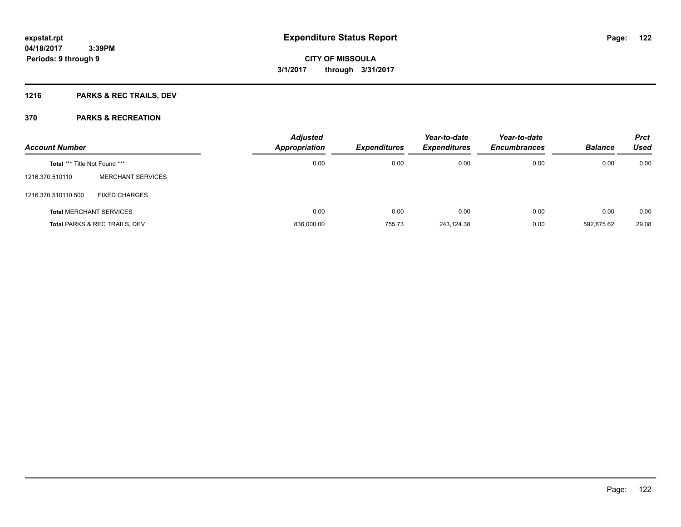## **1216 PARKS & REC TRAILS, DEV**

| <b>Account Number</b>          |                               | <b>Adjusted</b><br><b>Appropriation</b> | Expenditures | Year-to-date<br><b>Expenditures</b> | Year-to-date<br><b>Encumbrances</b> | <b>Balance</b> | <b>Prct</b><br><b>Used</b> |
|--------------------------------|-------------------------------|-----------------------------------------|--------------|-------------------------------------|-------------------------------------|----------------|----------------------------|
| Total *** Title Not Found ***  |                               | 0.00                                    | 0.00         | 0.00                                | 0.00                                | 0.00           | 0.00                       |
| 1216.370.510110                | <b>MERCHANT SERVICES</b>      |                                         |              |                                     |                                     |                |                            |
| 1216.370.510110.500            | <b>FIXED CHARGES</b>          |                                         |              |                                     |                                     |                |                            |
| <b>Total MERCHANT SERVICES</b> |                               | 0.00                                    | 0.00         | 0.00                                | 0.00                                | 0.00           | 0.00                       |
|                                | Total PARKS & REC TRAILS, DEV | 836,000.00                              | 755.73       | 243,124.38                          | 0.00                                | 592,875.62     | 29.08                      |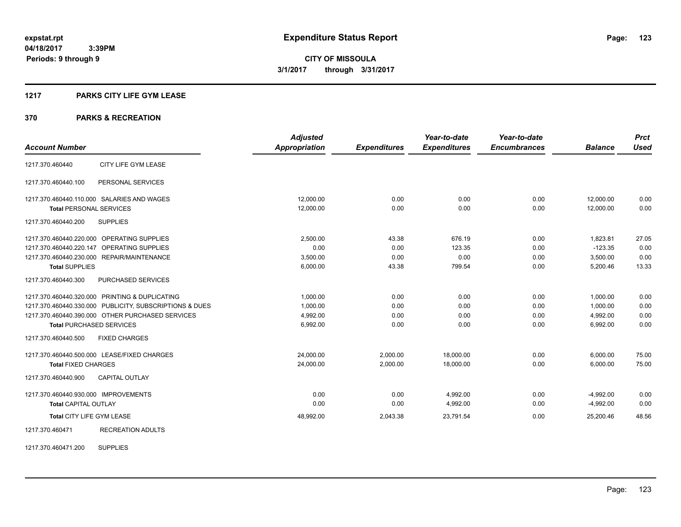## **1217 PARKS CITY LIFE GYM LEASE**

## **370 PARKS & RECREATION**

|                                                         | <b>Adjusted</b> |                     | Year-to-date        | Year-to-date        |                | <b>Prct</b> |
|---------------------------------------------------------|-----------------|---------------------|---------------------|---------------------|----------------|-------------|
| <b>Account Number</b>                                   | Appropriation   | <b>Expenditures</b> | <b>Expenditures</b> | <b>Encumbrances</b> | <b>Balance</b> | <b>Used</b> |
| CITY LIFE GYM LEASE<br>1217.370.460440                  |                 |                     |                     |                     |                |             |
| 1217.370.460440.100<br>PERSONAL SERVICES                |                 |                     |                     |                     |                |             |
| 1217.370.460440.110.000 SALARIES AND WAGES              | 12,000.00       | 0.00                | 0.00                | 0.00                | 12,000.00      | 0.00        |
| <b>Total PERSONAL SERVICES</b>                          | 12,000.00       | 0.00                | 0.00                | 0.00                | 12,000.00      | 0.00        |
| <b>SUPPLIES</b><br>1217.370.460440.200                  |                 |                     |                     |                     |                |             |
| 1217.370.460440.220.000 OPERATING SUPPLIES              | 2.500.00        | 43.38               | 676.19              | 0.00                | 1.823.81       | 27.05       |
| 1217.370.460440.220.147<br>OPERATING SUPPLIES           | 0.00            | 0.00                | 123.35              | 0.00                | $-123.35$      | 0.00        |
| 1217.370.460440.230.000 REPAIR/MAINTENANCE              | 3,500.00        | 0.00                | 0.00                | 0.00                | 3,500.00       | 0.00        |
| <b>Total SUPPLIES</b>                                   | 6,000.00        | 43.38               | 799.54              | 0.00                | 5,200.46       | 13.33       |
| 1217.370.460440.300<br><b>PURCHASED SERVICES</b>        |                 |                     |                     |                     |                |             |
| 1217.370.460440.320.000 PRINTING & DUPLICATING          | 1,000.00        | 0.00                | 0.00                | 0.00                | 1,000.00       | 0.00        |
| 1217.370.460440.330.000 PUBLICITY, SUBSCRIPTIONS & DUES | 1,000.00        | 0.00                | 0.00                | 0.00                | 1,000.00       | 0.00        |
| 1217.370.460440.390.000 OTHER PURCHASED SERVICES        | 4,992.00        | 0.00                | 0.00                | 0.00                | 4.992.00       | 0.00        |
| <b>Total PURCHASED SERVICES</b>                         | 6,992.00        | 0.00                | 0.00                | 0.00                | 6,992.00       | 0.00        |
| 1217.370.460440.500<br><b>FIXED CHARGES</b>             |                 |                     |                     |                     |                |             |
| 1217.370.460440.500.000 LEASE/FIXED CHARGES             | 24,000.00       | 2,000.00            | 18,000.00           | 0.00                | 6,000.00       | 75.00       |
| <b>Total FIXED CHARGES</b>                              | 24,000.00       | 2,000.00            | 18,000.00           | 0.00                | 6,000.00       | 75.00       |
| <b>CAPITAL OUTLAY</b><br>1217.370.460440.900            |                 |                     |                     |                     |                |             |
| 1217.370.460440.930.000 IMPROVEMENTS                    | 0.00            | 0.00                | 4,992.00            | 0.00                | $-4,992.00$    | 0.00        |
| <b>Total CAPITAL OUTLAY</b>                             | 0.00            | 0.00                | 4,992.00            | 0.00                | $-4,992.00$    | 0.00        |
| Total CITY LIFE GYM LEASE                               | 48,992.00       | 2,043.38            | 23,791.54           | 0.00                | 25,200.46      | 48.56       |
| 1217.370.460471<br><b>RECREATION ADULTS</b>             |                 |                     |                     |                     |                |             |

1217.370.460471.200 SUPPLIES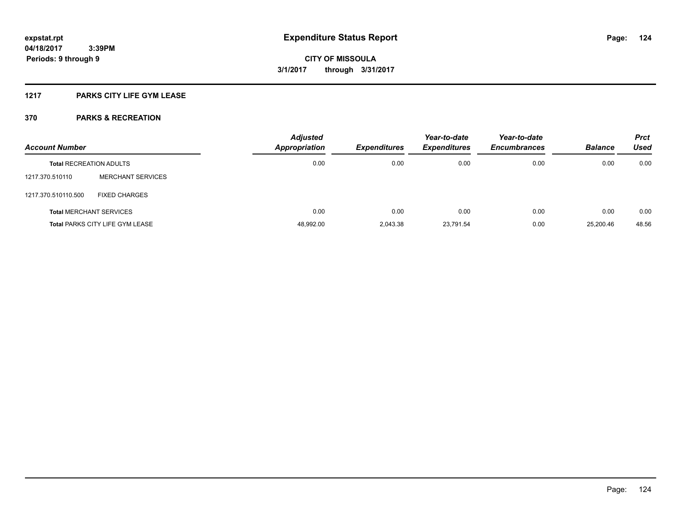## **1217 PARKS CITY LIFE GYM LEASE**

| <b>Account Number</b>          |                                        | <b>Adjusted</b><br><b>Appropriation</b> | <b>Expenditures</b> | Year-to-date<br><b>Expenditures</b> | Year-to-date<br><b>Encumbrances</b> | <b>Balance</b> | <b>Prct</b><br>Used |
|--------------------------------|----------------------------------------|-----------------------------------------|---------------------|-------------------------------------|-------------------------------------|----------------|---------------------|
| <b>Total RECREATION ADULTS</b> |                                        | 0.00                                    | 0.00                | 0.00                                | 0.00                                | 0.00           | 0.00                |
| 1217.370.510110                | <b>MERCHANT SERVICES</b>               |                                         |                     |                                     |                                     |                |                     |
| 1217.370.510110.500            | <b>FIXED CHARGES</b>                   |                                         |                     |                                     |                                     |                |                     |
|                                | <b>Total MERCHANT SERVICES</b>         | 0.00                                    | 0.00                | 0.00                                | 0.00                                | 0.00           | 0.00                |
|                                | <b>Total PARKS CITY LIFE GYM LEASE</b> | 48,992.00                               | 2,043.38            | 23,791.54                           | 0.00                                | 25.200.46      | 48.56               |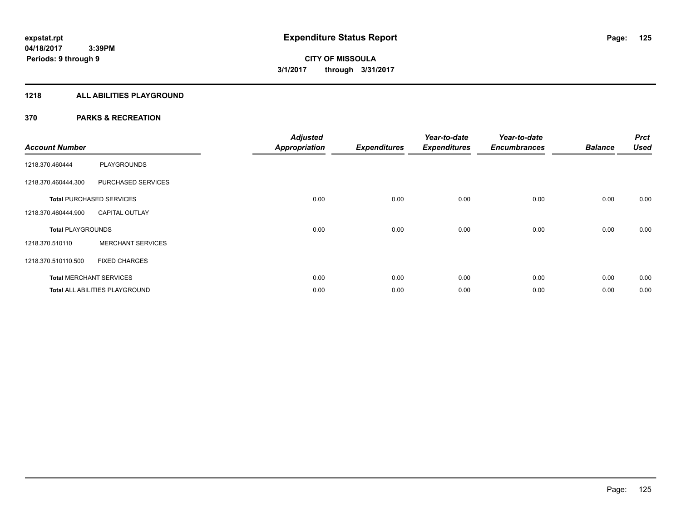## **1218 ALL ABILITIES PLAYGROUND**

| <b>Account Number</b>    |                                 | <b>Adjusted</b><br><b>Appropriation</b> | <b>Expenditures</b> | Year-to-date<br><b>Expenditures</b> | Year-to-date<br><b>Encumbrances</b> | <b>Balance</b> | <b>Prct</b><br><b>Used</b> |
|--------------------------|---------------------------------|-----------------------------------------|---------------------|-------------------------------------|-------------------------------------|----------------|----------------------------|
| 1218.370.460444          | <b>PLAYGROUNDS</b>              |                                         |                     |                                     |                                     |                |                            |
| 1218.370.460444.300      | PURCHASED SERVICES              |                                         |                     |                                     |                                     |                |                            |
|                          | <b>Total PURCHASED SERVICES</b> | 0.00                                    | 0.00                | 0.00                                | 0.00                                | 0.00           | 0.00                       |
| 1218.370.460444.900      | <b>CAPITAL OUTLAY</b>           |                                         |                     |                                     |                                     |                |                            |
| <b>Total PLAYGROUNDS</b> |                                 | 0.00                                    | 0.00                | 0.00                                | 0.00                                | 0.00           | 0.00                       |
| 1218.370.510110          | <b>MERCHANT SERVICES</b>        |                                         |                     |                                     |                                     |                |                            |
| 1218.370.510110.500      | <b>FIXED CHARGES</b>            |                                         |                     |                                     |                                     |                |                            |
|                          | <b>Total MERCHANT SERVICES</b>  | 0.00                                    | 0.00                | 0.00                                | 0.00                                | 0.00           | 0.00                       |
|                          | Total ALL ABILITIES PLAYGROUND  | 0.00                                    | 0.00                | 0.00                                | 0.00                                | 0.00           | 0.00                       |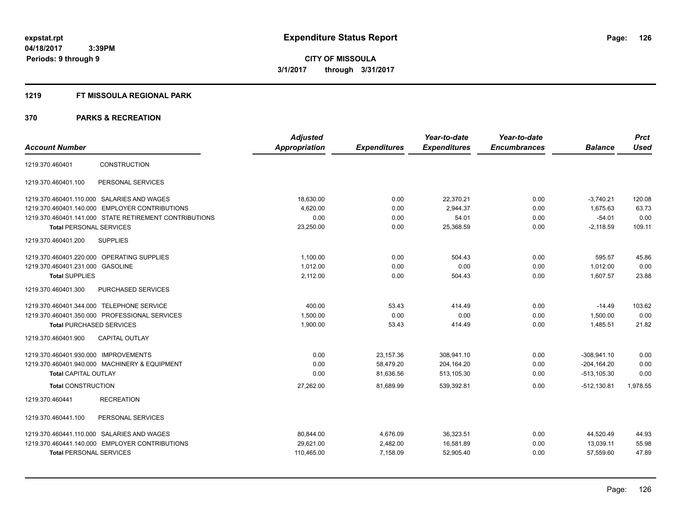#### **1219 FT MISSOULA REGIONAL PARK**

|                                                        | <b>Adjusted</b> |                     | Year-to-date        | Year-to-date        |                | <b>Prct</b> |
|--------------------------------------------------------|-----------------|---------------------|---------------------|---------------------|----------------|-------------|
| <b>Account Number</b>                                  | Appropriation   | <b>Expenditures</b> | <b>Expenditures</b> | <b>Encumbrances</b> | <b>Balance</b> | <b>Used</b> |
| <b>CONSTRUCTION</b><br>1219.370.460401                 |                 |                     |                     |                     |                |             |
| PERSONAL SERVICES<br>1219.370.460401.100               |                 |                     |                     |                     |                |             |
| 1219.370.460401.110.000 SALARIES AND WAGES             | 18,630.00       | 0.00                | 22,370.21           | 0.00                | $-3,740.21$    | 120.08      |
| 1219.370.460401.140.000 EMPLOYER CONTRIBUTIONS         | 4,620.00        | 0.00                | 2,944.37            | 0.00                | 1,675.63       | 63.73       |
| 1219.370.460401.141.000 STATE RETIREMENT CONTRIBUTIONS | 0.00            | 0.00                | 54.01               | 0.00                | $-54.01$       | 0.00        |
| <b>Total PERSONAL SERVICES</b>                         | 23,250.00       | 0.00                | 25,368.59           | 0.00                | $-2,118.59$    | 109.11      |
| <b>SUPPLIES</b><br>1219.370.460401.200                 |                 |                     |                     |                     |                |             |
| 1219.370.460401.220.000 OPERATING SUPPLIES             | 1,100.00        | 0.00                | 504.43              | 0.00                | 595.57         | 45.86       |
| 1219.370.460401.231.000<br><b>GASOLINE</b>             | 1.012.00        | 0.00                | 0.00                | 0.00                | 1.012.00       | 0.00        |
| <b>Total SUPPLIES</b>                                  | 2,112.00        | 0.00                | 504.43              | 0.00                | 1,607.57       | 23.88       |
| 1219.370.460401.300<br>PURCHASED SERVICES              |                 |                     |                     |                     |                |             |
| 1219.370.460401.344.000 TELEPHONE SERVICE              | 400.00          | 53.43               | 414.49              | 0.00                | $-14.49$       | 103.62      |
| 1219.370.460401.350.000 PROFESSIONAL SERVICES          | 1,500.00        | 0.00                | 0.00                | 0.00                | 1,500.00       | 0.00        |
| <b>Total PURCHASED SERVICES</b>                        | 1,900.00        | 53.43               | 414.49              | 0.00                | 1,485.51       | 21.82       |
| CAPITAL OUTLAY<br>1219.370.460401.900                  |                 |                     |                     |                     |                |             |
| 1219.370.460401.930.000 IMPROVEMENTS                   | 0.00            | 23,157.36           | 308,941.10          | 0.00                | $-308.941.10$  | 0.00        |
| 1219.370.460401.940.000 MACHINERY & EQUIPMENT          | 0.00            | 58,479.20           | 204,164.20          | 0.00                | $-204, 164.20$ | 0.00        |
| <b>Total CAPITAL OUTLAY</b>                            | 0.00            | 81,636.56           | 513,105.30          | 0.00                | $-513, 105.30$ | 0.00        |
| <b>Total CONSTRUCTION</b>                              | 27,262.00       | 81,689.99           | 539,392.81          | 0.00                | $-512,130.81$  | 1,978.55    |
| <b>RECREATION</b><br>1219.370.460441                   |                 |                     |                     |                     |                |             |
| PERSONAL SERVICES<br>1219.370.460441.100               |                 |                     |                     |                     |                |             |
| 1219.370.460441.110.000 SALARIES AND WAGES             | 80,844.00       | 4,676.09            | 36,323.51           | 0.00                | 44,520.49      | 44.93       |
| 1219.370.460441.140.000 EMPLOYER CONTRIBUTIONS         | 29,621.00       | 2,482.00            | 16,581.89           | 0.00                | 13,039.11      | 55.98       |
| <b>Total PERSONAL SERVICES</b>                         | 110,465.00      | 7,158.09            | 52,905.40           | 0.00                | 57,559.60      | 47.89       |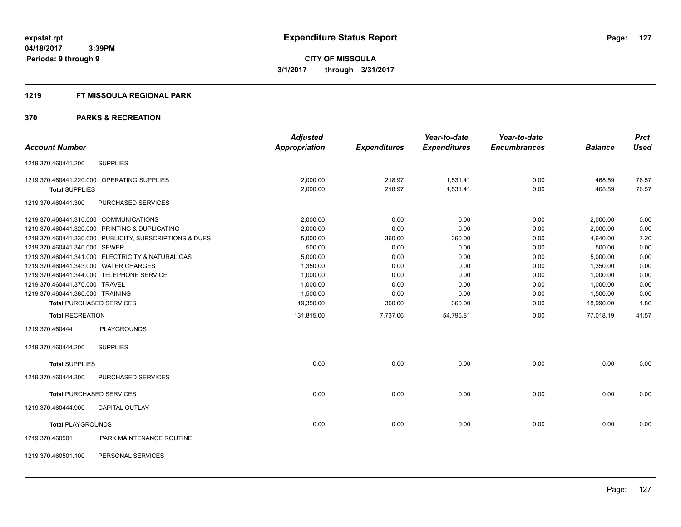#### **1219 FT MISSOULA REGIONAL PARK**

|                                       |                                                         | <b>Adjusted</b> |                     | Year-to-date        | Year-to-date        |                | <b>Prct</b> |
|---------------------------------------|---------------------------------------------------------|-----------------|---------------------|---------------------|---------------------|----------------|-------------|
| <b>Account Number</b>                 |                                                         | Appropriation   | <b>Expenditures</b> | <b>Expenditures</b> | <b>Encumbrances</b> | <b>Balance</b> | <b>Used</b> |
| 1219.370.460441.200                   | <b>SUPPLIES</b>                                         |                 |                     |                     |                     |                |             |
|                                       | 1219.370.460441.220.000 OPERATING SUPPLIES              | 2,000.00        | 218.97              | 1,531.41            | 0.00                | 468.59         | 76.57       |
| <b>Total SUPPLIES</b>                 |                                                         | 2,000.00        | 218.97              | 1,531.41            | 0.00                | 468.59         | 76.57       |
| 1219.370.460441.300                   | PURCHASED SERVICES                                      |                 |                     |                     |                     |                |             |
|                                       | 1219.370.460441.310.000 COMMUNICATIONS                  | 2,000.00        | 0.00                | 0.00                | 0.00                | 2,000.00       | 0.00        |
|                                       | 1219.370.460441.320.000 PRINTING & DUPLICATING          | 2,000.00        | 0.00                | 0.00                | 0.00                | 2,000.00       | 0.00        |
|                                       | 1219.370.460441.330.000 PUBLICITY, SUBSCRIPTIONS & DUES | 5,000.00        | 360.00              | 360.00              | 0.00                | 4,640.00       | 7.20        |
| 1219.370.460441.340.000 SEWER         |                                                         | 500.00          | 0.00                | 0.00                | 0.00                | 500.00         | 0.00        |
|                                       | 1219.370.460441.341.000 ELECTRICITY & NATURAL GAS       | 5,000.00        | 0.00                | 0.00                | 0.00                | 5,000.00       | 0.00        |
| 1219.370.460441.343.000 WATER CHARGES |                                                         | 1,350.00        | 0.00                | 0.00                | 0.00                | 1,350.00       | 0.00        |
|                                       | 1219.370.460441.344.000 TELEPHONE SERVICE               | 1,000.00        | 0.00                | 0.00                | 0.00                | 1,000.00       | 0.00        |
| 1219.370.460441.370.000 TRAVEL        |                                                         | 1,000.00        | 0.00                | 0.00                | 0.00                | 1,000.00       | 0.00        |
| 1219.370.460441.380.000 TRAINING      |                                                         | 1,500.00        | 0.00                | 0.00                | 0.00                | 1,500.00       | 0.00        |
|                                       | <b>Total PURCHASED SERVICES</b>                         | 19,350.00       | 360.00              | 360.00              | 0.00                | 18,990.00      | 1.86        |
| <b>Total RECREATION</b>               |                                                         | 131,815.00      | 7,737.06            | 54,796.81           | 0.00                | 77,018.19      | 41.57       |
| 1219.370.460444                       | <b>PLAYGROUNDS</b>                                      |                 |                     |                     |                     |                |             |
| 1219.370.460444.200                   | <b>SUPPLIES</b>                                         |                 |                     |                     |                     |                |             |
| <b>Total SUPPLIES</b>                 |                                                         | 0.00            | 0.00                | 0.00                | 0.00                | 0.00           | 0.00        |
| 1219.370.460444.300                   | PURCHASED SERVICES                                      |                 |                     |                     |                     |                |             |
|                                       | <b>Total PURCHASED SERVICES</b>                         | 0.00            | 0.00                | 0.00                | 0.00                | 0.00           | 0.00        |
| 1219.370.460444.900                   | <b>CAPITAL OUTLAY</b>                                   |                 |                     |                     |                     |                |             |
| <b>Total PLAYGROUNDS</b>              |                                                         | 0.00            | 0.00                | 0.00                | 0.00                | 0.00           | 0.00        |
| 1219.370.460501                       | PARK MAINTENANCE ROUTINE                                |                 |                     |                     |                     |                |             |
| 1219.370.460501.100                   | PERSONAL SERVICES                                       |                 |                     |                     |                     |                |             |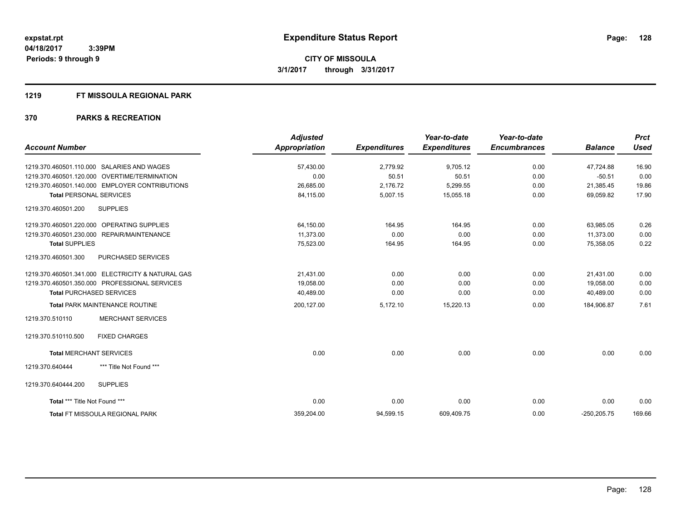#### **1219 FT MISSOULA REGIONAL PARK**

|                                                      | <b>Adjusted</b>      |                     | Year-to-date        | Year-to-date        |                | <b>Prct</b> |
|------------------------------------------------------|----------------------|---------------------|---------------------|---------------------|----------------|-------------|
| <b>Account Number</b>                                | <b>Appropriation</b> | <b>Expenditures</b> | <b>Expenditures</b> | <b>Encumbrances</b> | <b>Balance</b> | <b>Used</b> |
| 1219.370.460501.110.000<br><b>SALARIES AND WAGES</b> | 57,430.00            | 2,779.92            | 9,705.12            | 0.00                | 47.724.88      | 16.90       |
| 1219.370.460501.120.000 OVERTIME/TERMINATION         | 0.00                 | 50.51               | 50.51               | 0.00                | $-50.51$       | 0.00        |
| 1219.370.460501.140.000 EMPLOYER CONTRIBUTIONS       | 26,685.00            | 2,176.72            | 5,299.55            | 0.00                | 21,385.45      | 19.86       |
| <b>Total PERSONAL SERVICES</b>                       | 84,115.00            | 5,007.15            | 15,055.18           | 0.00                | 69,059.82      | 17.90       |
| <b>SUPPLIES</b><br>1219.370.460501.200               |                      |                     |                     |                     |                |             |
| 1219.370.460501.220.000 OPERATING SUPPLIES           | 64,150.00            | 164.95              | 164.95              | 0.00                | 63,985.05      | 0.26        |
| 1219.370.460501.230.000 REPAIR/MAINTENANCE           | 11.373.00            | 0.00                | 0.00                | 0.00                | 11.373.00      | 0.00        |
| <b>Total SUPPLIES</b>                                | 75,523.00            | 164.95              | 164.95              | 0.00                | 75,358.05      | 0.22        |
| 1219.370.460501.300<br>PURCHASED SERVICES            |                      |                     |                     |                     |                |             |
| 1219.370.460501.341.000 ELECTRICITY & NATURAL GAS    | 21,431.00            | 0.00                | 0.00                | 0.00                | 21.431.00      | 0.00        |
| 1219.370.460501.350.000 PROFESSIONAL SERVICES        | 19,058.00            | 0.00                | 0.00                | 0.00                | 19,058.00      | 0.00        |
| <b>Total PURCHASED SERVICES</b>                      | 40,489.00            | 0.00                | 0.00                | 0.00                | 40,489.00      | 0.00        |
| Total PARK MAINTENANCE ROUTINE                       | 200,127.00           | 5,172.10            | 15,220.13           | 0.00                | 184,906.87     | 7.61        |
| <b>MERCHANT SERVICES</b><br>1219.370.510110          |                      |                     |                     |                     |                |             |
| <b>FIXED CHARGES</b><br>1219.370.510110.500          |                      |                     |                     |                     |                |             |
| <b>Total MERCHANT SERVICES</b>                       | 0.00                 | 0.00                | 0.00                | 0.00                | 0.00           | 0.00        |
| *** Title Not Found ***<br>1219.370.640444           |                      |                     |                     |                     |                |             |
| <b>SUPPLIES</b><br>1219.370.640444.200               |                      |                     |                     |                     |                |             |
| Total *** Title Not Found ***                        | 0.00                 | 0.00                | 0.00                | 0.00                | 0.00           | 0.00        |
| Total FT MISSOULA REGIONAL PARK                      | 359,204.00           | 94,599.15           | 609,409.75          | 0.00                | $-250,205.75$  | 169.66      |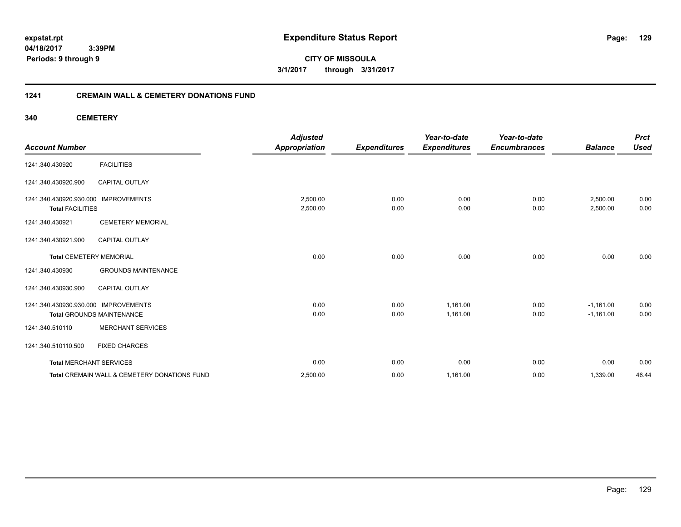**04/18/2017 3:39PM Periods: 9 through 9**

**CITY OF MISSOULA 3/1/2017 through 3/31/2017**

## **1241 CREMAIN WALL & CEMETERY DONATIONS FUND**

**340 CEMETERY**

| <b>Account Number</b>                                           |                                              | <b>Adjusted</b><br><b>Appropriation</b> | <b>Expenditures</b> | Year-to-date<br><b>Expenditures</b> | Year-to-date<br><b>Encumbrances</b> | <b>Balance</b>       | <b>Prct</b><br><b>Used</b> |
|-----------------------------------------------------------------|----------------------------------------------|-----------------------------------------|---------------------|-------------------------------------|-------------------------------------|----------------------|----------------------------|
| 1241.340.430920                                                 | <b>FACILITIES</b>                            |                                         |                     |                                     |                                     |                      |                            |
| 1241.340.430920.900                                             | <b>CAPITAL OUTLAY</b>                        |                                         |                     |                                     |                                     |                      |                            |
| 1241.340.430920.930.000 IMPROVEMENTS<br><b>Total FACILITIES</b> |                                              | 2,500.00<br>2,500.00                    | 0.00<br>0.00        | 0.00<br>0.00                        | 0.00<br>0.00                        | 2,500.00<br>2,500.00 | 0.00<br>0.00               |
| 1241.340.430921                                                 | <b>CEMETERY MEMORIAL</b>                     |                                         |                     |                                     |                                     |                      |                            |
| 1241.340.430921.900                                             | <b>CAPITAL OUTLAY</b>                        |                                         |                     |                                     |                                     |                      |                            |
| <b>Total CEMETERY MEMORIAL</b>                                  |                                              | 0.00                                    | 0.00                | 0.00                                | 0.00                                | 0.00                 | 0.00                       |
| 1241.340.430930                                                 | <b>GROUNDS MAINTENANCE</b>                   |                                         |                     |                                     |                                     |                      |                            |
| 1241.340.430930.900                                             | <b>CAPITAL OUTLAY</b>                        |                                         |                     |                                     |                                     |                      |                            |
| 1241.340.430930.930.000 IMPROVEMENTS                            |                                              | 0.00                                    | 0.00                | 1,161.00                            | 0.00                                | $-1,161.00$          | 0.00                       |
|                                                                 | <b>Total GROUNDS MAINTENANCE</b>             | 0.00                                    | 0.00                | 1,161.00                            | 0.00                                | $-1,161.00$          | 0.00                       |
| 1241.340.510110                                                 | <b>MERCHANT SERVICES</b>                     |                                         |                     |                                     |                                     |                      |                            |
| 1241.340.510110.500                                             | <b>FIXED CHARGES</b>                         |                                         |                     |                                     |                                     |                      |                            |
| <b>Total MERCHANT SERVICES</b>                                  |                                              | 0.00                                    | 0.00                | 0.00                                | 0.00                                | 0.00                 | 0.00                       |
|                                                                 | Total CREMAIN WALL & CEMETERY DONATIONS FUND | 2,500.00                                | 0.00                | 1,161.00                            | 0.00                                | 1,339.00             | 46.44                      |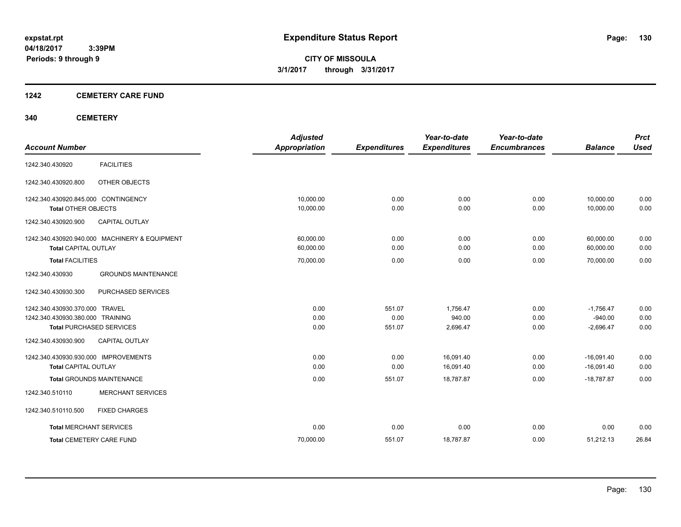## **1242 CEMETERY CARE FUND**

## **340 CEMETERY**

| <b>Account Number</b>                         | <b>Adjusted</b><br><b>Appropriation</b> | <b>Expenditures</b> | Year-to-date<br><b>Expenditures</b> | Year-to-date<br><b>Encumbrances</b> | <b>Balance</b> | <b>Prct</b><br><b>Used</b> |
|-----------------------------------------------|-----------------------------------------|---------------------|-------------------------------------|-------------------------------------|----------------|----------------------------|
|                                               |                                         |                     |                                     |                                     |                |                            |
| <b>FACILITIES</b><br>1242.340.430920          |                                         |                     |                                     |                                     |                |                            |
| OTHER OBJECTS<br>1242.340.430920.800          |                                         |                     |                                     |                                     |                |                            |
| 1242.340.430920.845.000 CONTINGENCY           | 10.000.00                               | 0.00                | 0.00                                | 0.00                                | 10,000.00      | 0.00                       |
| <b>Total OTHER OBJECTS</b>                    | 10,000.00                               | 0.00                | 0.00                                | 0.00                                | 10,000.00      | 0.00                       |
| 1242.340.430920.900<br><b>CAPITAL OUTLAY</b>  |                                         |                     |                                     |                                     |                |                            |
| 1242.340.430920.940.000 MACHINERY & EQUIPMENT | 60,000.00                               | 0.00                | 0.00                                | 0.00                                | 60,000.00      | 0.00                       |
| <b>Total CAPITAL OUTLAY</b>                   | 60,000.00                               | 0.00                | 0.00                                | 0.00                                | 60,000.00      | 0.00                       |
| <b>Total FACILITIES</b>                       | 70,000.00                               | 0.00                | 0.00                                | 0.00                                | 70,000.00      | 0.00                       |
| <b>GROUNDS MAINTENANCE</b><br>1242.340.430930 |                                         |                     |                                     |                                     |                |                            |
| 1242.340.430930.300<br>PURCHASED SERVICES     |                                         |                     |                                     |                                     |                |                            |
| 1242.340.430930.370.000 TRAVEL                | 0.00                                    | 551.07              | 1,756.47                            | 0.00                                | $-1,756.47$    | 0.00                       |
| 1242.340.430930.380.000 TRAINING              | 0.00                                    | 0.00                | 940.00                              | 0.00                                | $-940.00$      | 0.00                       |
| <b>Total PURCHASED SERVICES</b>               | 0.00                                    | 551.07              | 2,696.47                            | 0.00                                | $-2,696.47$    | 0.00                       |
| <b>CAPITAL OUTLAY</b><br>1242.340.430930.900  |                                         |                     |                                     |                                     |                |                            |
| 1242.340.430930.930.000 IMPROVEMENTS          | 0.00                                    | 0.00                | 16,091.40                           | 0.00                                | $-16,091.40$   | 0.00                       |
| <b>Total CAPITAL OUTLAY</b>                   | 0.00                                    | 0.00                | 16,091.40                           | 0.00                                | $-16,091.40$   | 0.00                       |
| <b>Total GROUNDS MAINTENANCE</b>              | 0.00                                    | 551.07              | 18,787.87                           | 0.00                                | $-18,787.87$   | 0.00                       |
| <b>MERCHANT SERVICES</b><br>1242.340.510110   |                                         |                     |                                     |                                     |                |                            |
| 1242.340.510110.500<br><b>FIXED CHARGES</b>   |                                         |                     |                                     |                                     |                |                            |
| <b>Total MERCHANT SERVICES</b>                | 0.00                                    | 0.00                | 0.00                                | 0.00                                | 0.00           | 0.00                       |
| <b>Total CEMETERY CARE FUND</b>               | 70,000.00                               | 551.07              | 18,787.87                           | 0.00                                | 51,212.13      | 26.84                      |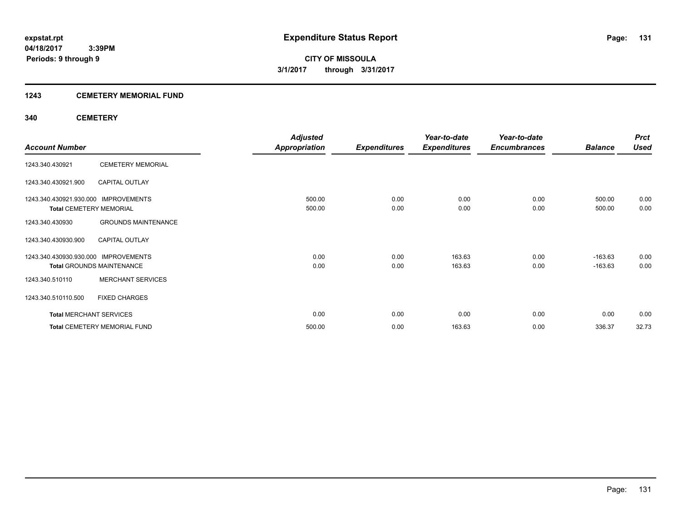## **1243 CEMETERY MEMORIAL FUND**

## **340 CEMETERY**

|                                      |                                  | <b>Adjusted</b>      |                     | Year-to-date        | Year-to-date        |                | <b>Prct</b> |
|--------------------------------------|----------------------------------|----------------------|---------------------|---------------------|---------------------|----------------|-------------|
| <b>Account Number</b>                |                                  | <b>Appropriation</b> | <b>Expenditures</b> | <b>Expenditures</b> | <b>Encumbrances</b> | <b>Balance</b> | <b>Used</b> |
| 1243.340.430921                      | <b>CEMETERY MEMORIAL</b>         |                      |                     |                     |                     |                |             |
| 1243.340.430921.900                  | <b>CAPITAL OUTLAY</b>            |                      |                     |                     |                     |                |             |
| 1243.340.430921.930.000 IMPROVEMENTS |                                  | 500.00               | 0.00                | 0.00                | 0.00                | 500.00         | 0.00        |
| <b>Total CEMETERY MEMORIAL</b>       |                                  | 500.00               | 0.00                | 0.00                | 0.00                | 500.00         | 0.00        |
| 1243.340.430930                      | <b>GROUNDS MAINTENANCE</b>       |                      |                     |                     |                     |                |             |
| 1243.340.430930.900                  | <b>CAPITAL OUTLAY</b>            |                      |                     |                     |                     |                |             |
| 1243.340.430930.930.000              | <b>IMPROVEMENTS</b>              | 0.00                 | 0.00                | 163.63              | 0.00                | $-163.63$      | 0.00        |
|                                      | <b>Total GROUNDS MAINTENANCE</b> | 0.00                 | 0.00                | 163.63              | 0.00                | $-163.63$      | 0.00        |
| 1243.340.510110                      | <b>MERCHANT SERVICES</b>         |                      |                     |                     |                     |                |             |
| 1243.340.510110.500                  | <b>FIXED CHARGES</b>             |                      |                     |                     |                     |                |             |
| <b>Total MERCHANT SERVICES</b>       |                                  | 0.00                 | 0.00                | 0.00                | 0.00                | 0.00           | 0.00        |
|                                      | Total CEMETERY MEMORIAL FUND     | 500.00               | 0.00                | 163.63              | 0.00                | 336.37         | 32.73       |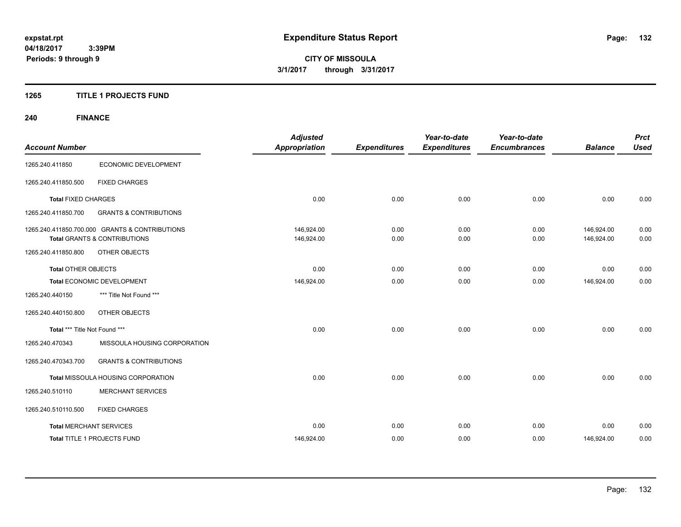## **1265 TITLE 1 PROJECTS FUND**

## **240 FINANCE**

| <b>Account Number</b>          |                                                | <b>Adjusted</b><br><b>Appropriation</b> | <b>Expenditures</b> | Year-to-date<br><b>Expenditures</b> | Year-to-date<br><b>Encumbrances</b> | <b>Balance</b> | <b>Prct</b><br><b>Used</b> |
|--------------------------------|------------------------------------------------|-----------------------------------------|---------------------|-------------------------------------|-------------------------------------|----------------|----------------------------|
|                                |                                                |                                         |                     |                                     |                                     |                |                            |
| 1265.240.411850                | ECONOMIC DEVELOPMENT                           |                                         |                     |                                     |                                     |                |                            |
| 1265.240.411850.500            | <b>FIXED CHARGES</b>                           |                                         |                     |                                     |                                     |                |                            |
| <b>Total FIXED CHARGES</b>     |                                                | 0.00                                    | 0.00                | 0.00                                | 0.00                                | 0.00           | 0.00                       |
| 1265.240.411850.700            | <b>GRANTS &amp; CONTRIBUTIONS</b>              |                                         |                     |                                     |                                     |                |                            |
|                                | 1265.240.411850.700.000 GRANTS & CONTRIBUTIONS | 146.924.00                              | 0.00                | 0.00                                | 0.00                                | 146.924.00     | 0.00                       |
|                                | <b>Total GRANTS &amp; CONTRIBUTIONS</b>        | 146,924.00                              | 0.00                | 0.00                                | 0.00                                | 146,924.00     | 0.00                       |
| 1265.240.411850.800            | OTHER OBJECTS                                  |                                         |                     |                                     |                                     |                |                            |
| <b>Total OTHER OBJECTS</b>     |                                                | 0.00                                    | 0.00                | 0.00                                | 0.00                                | 0.00           | 0.00                       |
|                                | Total ECONOMIC DEVELOPMENT                     | 146,924.00                              | 0.00                | 0.00                                | 0.00                                | 146,924.00     | 0.00                       |
| 1265.240.440150                | *** Title Not Found ***                        |                                         |                     |                                     |                                     |                |                            |
| 1265.240.440150.800            | OTHER OBJECTS                                  |                                         |                     |                                     |                                     |                |                            |
| Total *** Title Not Found ***  |                                                | 0.00                                    | 0.00                | 0.00                                | 0.00                                | 0.00           | 0.00                       |
| 1265.240.470343                | MISSOULA HOUSING CORPORATION                   |                                         |                     |                                     |                                     |                |                            |
| 1265.240.470343.700            | <b>GRANTS &amp; CONTRIBUTIONS</b>              |                                         |                     |                                     |                                     |                |                            |
|                                | Total MISSOULA HOUSING CORPORATION             | 0.00                                    | 0.00                | 0.00                                | 0.00                                | 0.00           | 0.00                       |
| 1265.240.510110                | <b>MERCHANT SERVICES</b>                       |                                         |                     |                                     |                                     |                |                            |
| 1265.240.510110.500            | <b>FIXED CHARGES</b>                           |                                         |                     |                                     |                                     |                |                            |
| <b>Total MERCHANT SERVICES</b> |                                                | 0.00                                    | 0.00                | 0.00                                | 0.00                                | 0.00           | 0.00                       |
|                                | <b>Total TITLE 1 PROJECTS FUND</b>             | 146.924.00                              | 0.00                | 0.00                                | 0.00                                | 146.924.00     | 0.00                       |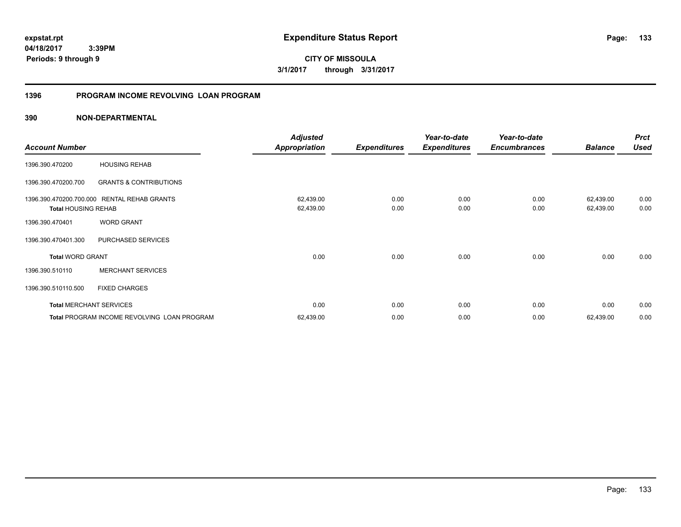**133**

**04/18/2017 3:39PM Periods: 9 through 9**

**CITY OF MISSOULA 3/1/2017 through 3/31/2017**

## **1396 PROGRAM INCOME REVOLVING LOAN PROGRAM**

|                            |                                             | <b>Adjusted</b>      |                     | Year-to-date        | Year-to-date        |                | <b>Prct</b> |
|----------------------------|---------------------------------------------|----------------------|---------------------|---------------------|---------------------|----------------|-------------|
| <b>Account Number</b>      |                                             | <b>Appropriation</b> | <b>Expenditures</b> | <b>Expenditures</b> | <b>Encumbrances</b> | <b>Balance</b> | <b>Used</b> |
| 1396.390.470200            | <b>HOUSING REHAB</b>                        |                      |                     |                     |                     |                |             |
| 1396.390.470200.700        | <b>GRANTS &amp; CONTRIBUTIONS</b>           |                      |                     |                     |                     |                |             |
| 1396.390.470200.700.000    | <b>RENTAL REHAB GRANTS</b>                  | 62,439.00            | 0.00                | 0.00                | 0.00                | 62,439.00      | 0.00        |
| <b>Total HOUSING REHAB</b> |                                             | 62,439.00            | 0.00                | 0.00                | 0.00                | 62,439.00      | 0.00        |
| 1396.390.470401            | <b>WORD GRANT</b>                           |                      |                     |                     |                     |                |             |
| 1396.390.470401.300        | PURCHASED SERVICES                          |                      |                     |                     |                     |                |             |
| <b>Total WORD GRANT</b>    |                                             | 0.00                 | 0.00                | 0.00                | 0.00                | 0.00           | 0.00        |
| 1396.390.510110            | <b>MERCHANT SERVICES</b>                    |                      |                     |                     |                     |                |             |
| 1396.390.510110.500        | <b>FIXED CHARGES</b>                        |                      |                     |                     |                     |                |             |
|                            | <b>Total MERCHANT SERVICES</b>              | 0.00                 | 0.00                | 0.00                | 0.00                | 0.00           | 0.00        |
|                            | Total PROGRAM INCOME REVOLVING LOAN PROGRAM | 62,439.00            | 0.00                | 0.00                | 0.00                | 62,439.00      | 0.00        |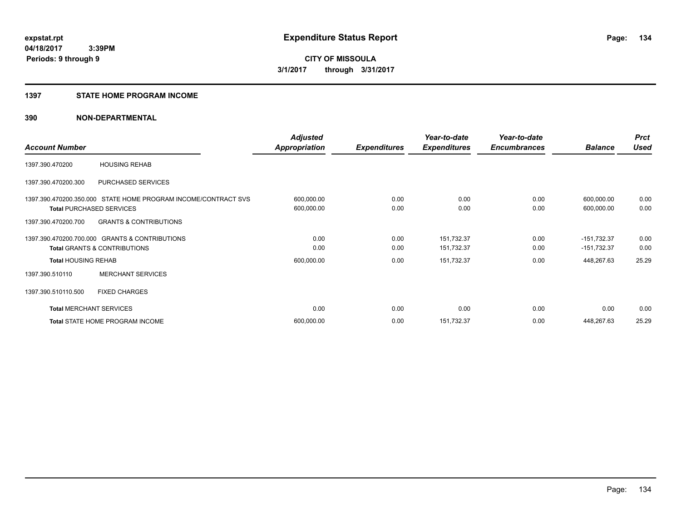#### **1397 STATE HOME PROGRAM INCOME**

|                                |                                                                | <b>Adjusted</b>      |                     | Year-to-date        | Year-to-date        |                | <b>Prct</b> |
|--------------------------------|----------------------------------------------------------------|----------------------|---------------------|---------------------|---------------------|----------------|-------------|
| <b>Account Number</b>          |                                                                | <b>Appropriation</b> | <b>Expenditures</b> | <b>Expenditures</b> | <b>Encumbrances</b> | <b>Balance</b> | <b>Used</b> |
| 1397.390.470200                | <b>HOUSING REHAB</b>                                           |                      |                     |                     |                     |                |             |
| 1397.390.470200.300            | PURCHASED SERVICES                                             |                      |                     |                     |                     |                |             |
|                                | 1397.390.470200.350.000 STATE HOME PROGRAM INCOME/CONTRACT SVS | 600,000.00           | 0.00                | 0.00                | 0.00                | 600,000.00     | 0.00        |
|                                | <b>Total PURCHASED SERVICES</b>                                | 600,000.00           | 0.00                | 0.00                | 0.00                | 600,000.00     | 0.00        |
| 1397.390.470200.700            | <b>GRANTS &amp; CONTRIBUTIONS</b>                              |                      |                     |                     |                     |                |             |
|                                | 1397.390.470200.700.000 GRANTS & CONTRIBUTIONS                 | 0.00                 | 0.00                | 151,732.37          | 0.00                | $-151,732.37$  | 0.00        |
|                                | <b>Total GRANTS &amp; CONTRIBUTIONS</b>                        | 0.00                 | 0.00                | 151,732.37          | 0.00                | -151,732.37    | 0.00        |
| <b>Total HOUSING REHAB</b>     |                                                                | 600,000.00           | 0.00                | 151,732.37          | 0.00                | 448,267.63     | 25.29       |
| 1397.390.510110                | <b>MERCHANT SERVICES</b>                                       |                      |                     |                     |                     |                |             |
| 1397.390.510110.500            | <b>FIXED CHARGES</b>                                           |                      |                     |                     |                     |                |             |
| <b>Total MERCHANT SERVICES</b> |                                                                | 0.00                 | 0.00                | 0.00                | 0.00                | 0.00           | 0.00        |
|                                | Total STATE HOME PROGRAM INCOME                                | 600,000.00           | 0.00                | 151,732.37          | 0.00                | 448,267.63     | 25.29       |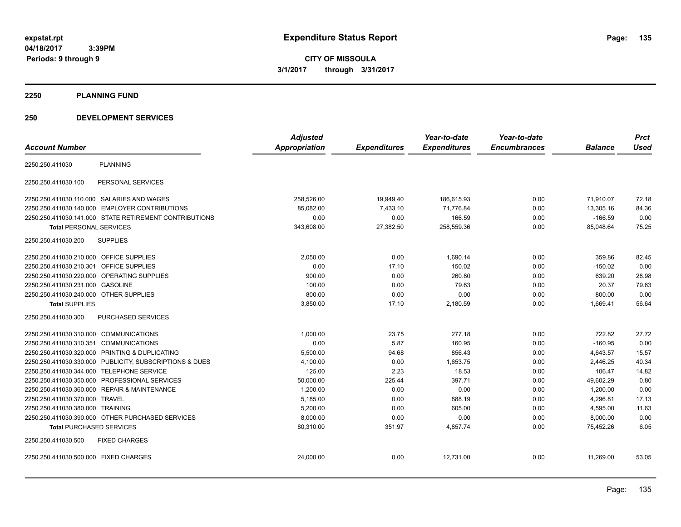**04/18/2017 3:39PM Periods: 9 through 9**

**CITY OF MISSOULA 3/1/2017 through 3/31/2017**

#### **2250 PLANNING FUND**

## **250 DEVELOPMENT SERVICES**

|                                                            | <b>Adjusted</b> |                     | Year-to-date        | Year-to-date        |                | <b>Prct</b> |
|------------------------------------------------------------|-----------------|---------------------|---------------------|---------------------|----------------|-------------|
| <b>Account Number</b>                                      | Appropriation   | <b>Expenditures</b> | <b>Expenditures</b> | <b>Encumbrances</b> | <b>Balance</b> | <b>Used</b> |
| <b>PLANNING</b><br>2250.250.411030                         |                 |                     |                     |                     |                |             |
| PERSONAL SERVICES<br>2250.250.411030.100                   |                 |                     |                     |                     |                |             |
| 2250.250.411030.110.000 SALARIES AND WAGES                 | 258,526.00      | 19,949.40           | 186,615.93          | 0.00                | 71,910.07      | 72.18       |
| 2250.250.411030.140.000 EMPLOYER CONTRIBUTIONS             | 85,082.00       | 7,433.10            | 71,776.84           | 0.00                | 13,305.16      | 84.36       |
| 2250.250.411030.141.000 STATE RETIREMENT CONTRIBUTIONS     | 0.00            | 0.00                | 166.59              | 0.00                | $-166.59$      | 0.00        |
| <b>Total PERSONAL SERVICES</b>                             | 343,608.00      | 27,382.50           | 258,559.36          | 0.00                | 85,048.64      | 75.25       |
| <b>SUPPLIES</b><br>2250.250.411030.200                     |                 |                     |                     |                     |                |             |
| 2250.250.411030.210.000 OFFICE SUPPLIES                    | 2,050.00        | 0.00                | 1,690.14            | 0.00                | 359.86         | 82.45       |
| <b>OFFICE SUPPLIES</b><br>2250.250.411030.210.301          | 0.00            | 17.10               | 150.02              | 0.00                | $-150.02$      | 0.00        |
| OPERATING SUPPLIES<br>2250.250.411030.220.000              | 900.00          | 0.00                | 260.80              | 0.00                | 639.20         | 28.98       |
| 2250.250.411030.231.000<br><b>GASOLINE</b>                 | 100.00          | 0.00                | 79.63               | 0.00                | 20.37          | 79.63       |
| 2250.250.411030.240.000 OTHER SUPPLIES                     | 800.00          | 0.00                | 0.00                | 0.00                | 800.00         | 0.00        |
| <b>Total SUPPLIES</b>                                      | 3,850.00        | 17.10               | 2,180.59            | 0.00                | 1,669.41       | 56.64       |
| PURCHASED SERVICES<br>2250.250.411030.300                  |                 |                     |                     |                     |                |             |
| 2250.250.411030.310.000 COMMUNICATIONS                     | 1,000.00        | 23.75               | 277.18              | 0.00                | 722.82         | 27.72       |
| 2250.250.411030.310.351<br><b>COMMUNICATIONS</b>           | 0.00            | 5.87                | 160.95              | 0.00                | $-160.95$      | 0.00        |
| 2250.250.411030.320.000 PRINTING & DUPLICATING             | 5,500.00        | 94.68               | 856.43              | 0.00                | 4,643.57       | 15.57       |
| 2250.250.411030.330.000 PUBLICITY, SUBSCRIPTIONS & DUES    | 4,100.00        | 0.00                | 1,653.75            | 0.00                | 2,446.25       | 40.34       |
| 2250.250.411030.344.000 TELEPHONE SERVICE                  | 125.00          | 2.23                | 18.53               | 0.00                | 106.47         | 14.82       |
| 2250.250.411030.350.000 PROFESSIONAL SERVICES              | 50,000.00       | 225.44              | 397.71              | 0.00                | 49,602.29      | 0.80        |
| 2250.250.411030.360.000<br><b>REPAIR &amp; MAINTENANCE</b> | 1,200.00        | 0.00                | 0.00                | 0.00                | 1,200.00       | 0.00        |
| 2250.250.411030.370.000 TRAVEL                             | 5,185.00        | 0.00                | 888.19              | 0.00                | 4,296.81       | 17.13       |
| 2250.250.411030.380.000 TRAINING                           | 5,200.00        | 0.00                | 605.00              | 0.00                | 4,595.00       | 11.63       |
| 2250.250.411030.390.000 OTHER PURCHASED SERVICES           | 8,000.00        | 0.00                | 0.00                | 0.00                | 8,000.00       | 0.00        |
| <b>Total PURCHASED SERVICES</b>                            | 80,310.00       | 351.97              | 4,857.74            | 0.00                | 75,452.26      | 6.05        |
| 2250.250.411030.500<br><b>FIXED CHARGES</b>                |                 |                     |                     |                     |                |             |
| 2250.250.411030.500.000 FIXED CHARGES                      | 24,000.00       | 0.00                | 12,731.00           | 0.00                | 11,269.00      | 53.05       |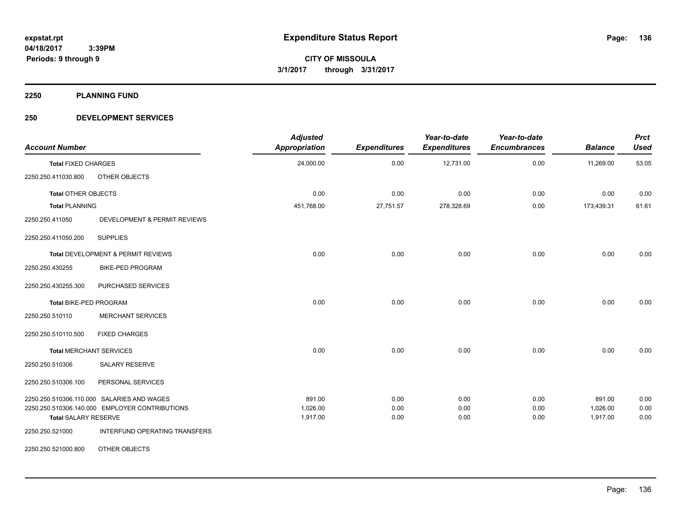**2250 PLANNING FUND**

## **250 DEVELOPMENT SERVICES**

| <b>Account Number</b>          |                                                | <b>Adjusted</b><br><b>Appropriation</b> | <b>Expenditures</b> | Year-to-date<br><b>Expenditures</b> | Year-to-date<br><b>Encumbrances</b> | <b>Balance</b>       | <b>Prct</b><br><b>Used</b> |
|--------------------------------|------------------------------------------------|-----------------------------------------|---------------------|-------------------------------------|-------------------------------------|----------------------|----------------------------|
| <b>Total FIXED CHARGES</b>     |                                                | 24,000.00                               | 0.00                | 12,731.00                           | 0.00                                | 11,269.00            | 53.05                      |
| 2250.250.411030.800            | OTHER OBJECTS                                  |                                         |                     |                                     |                                     |                      |                            |
| <b>Total OTHER OBJECTS</b>     |                                                | 0.00                                    | 0.00                | 0.00                                | 0.00                                | 0.00                 | 0.00                       |
| <b>Total PLANNING</b>          |                                                | 451,768.00                              | 27,751.57           | 278,328.69                          | 0.00                                | 173,439.31           | 61.61                      |
| 2250.250.411050                | DEVELOPMENT & PERMIT REVIEWS                   |                                         |                     |                                     |                                     |                      |                            |
| 2250.250.411050.200            | <b>SUPPLIES</b>                                |                                         |                     |                                     |                                     |                      |                            |
|                                | Total DEVELOPMENT & PERMIT REVIEWS             | 0.00                                    | 0.00                | 0.00                                | 0.00                                | 0.00                 | 0.00                       |
| 2250.250.430255                | <b>BIKE-PED PROGRAM</b>                        |                                         |                     |                                     |                                     |                      |                            |
| 2250.250.430255.300            | PURCHASED SERVICES                             |                                         |                     |                                     |                                     |                      |                            |
| Total BIKE-PED PROGRAM         |                                                | 0.00                                    | 0.00                | 0.00                                | 0.00                                | 0.00                 | 0.00                       |
| 2250.250.510110                | <b>MERCHANT SERVICES</b>                       |                                         |                     |                                     |                                     |                      |                            |
| 2250.250.510110.500            | <b>FIXED CHARGES</b>                           |                                         |                     |                                     |                                     |                      |                            |
| <b>Total MERCHANT SERVICES</b> |                                                | 0.00                                    | 0.00                | 0.00                                | 0.00                                | 0.00                 | 0.00                       |
| 2250.250.510306                | <b>SALARY RESERVE</b>                          |                                         |                     |                                     |                                     |                      |                            |
| 2250.250.510306.100            | PERSONAL SERVICES                              |                                         |                     |                                     |                                     |                      |                            |
|                                | 2250.250.510306.110.000 SALARIES AND WAGES     | 891.00                                  | 0.00                | 0.00                                | 0.00                                | 891.00               | 0.00                       |
| <b>Total SALARY RESERVE</b>    | 2250.250.510306.140.000 EMPLOYER CONTRIBUTIONS | 1,026.00<br>1,917.00                    | 0.00<br>0.00        | 0.00<br>0.00                        | 0.00<br>0.00                        | 1,026.00<br>1,917.00 | 0.00<br>0.00               |
| 2250.250.521000                | INTERFUND OPERATING TRANSFERS                  |                                         |                     |                                     |                                     |                      |                            |
| 2250.250.521000.800            | OTHER OBJECTS                                  |                                         |                     |                                     |                                     |                      |                            |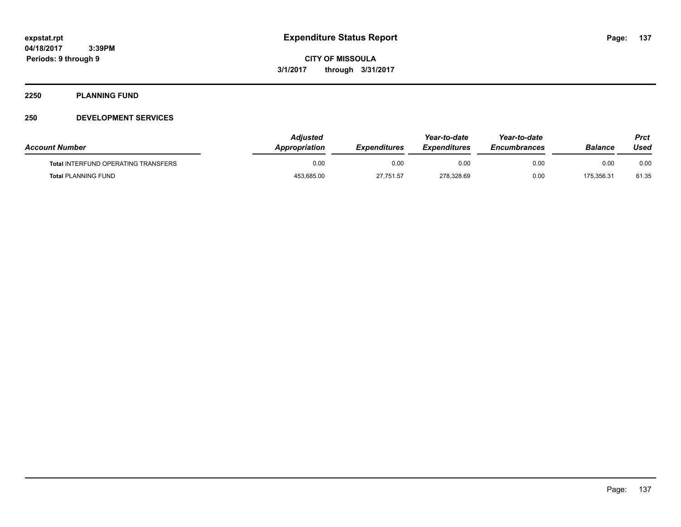#### **2250 PLANNING FUND**

## **250 DEVELOPMENT SERVICES**

| <b>Account Number</b>                      | Adiusted<br><b>Appropriation</b> | <b>Expenditures</b> | Year-to-date<br><b>Expenditures</b> | Year-to-date<br><b>Encumbrances</b> | Balance    | Prct<br>Used |
|--------------------------------------------|----------------------------------|---------------------|-------------------------------------|-------------------------------------|------------|--------------|
| <b>Total INTERFUND OPERATING TRANSFERS</b> | 0.00                             | 0.00                | 0.00                                | 0.00                                | 0.00       | 0.00         |
| <b>Total PLANNING FUND</b>                 | 453,685.00                       | 27,751.57           | 278,328.69                          | 0.00                                | 175.356.31 | 61.35        |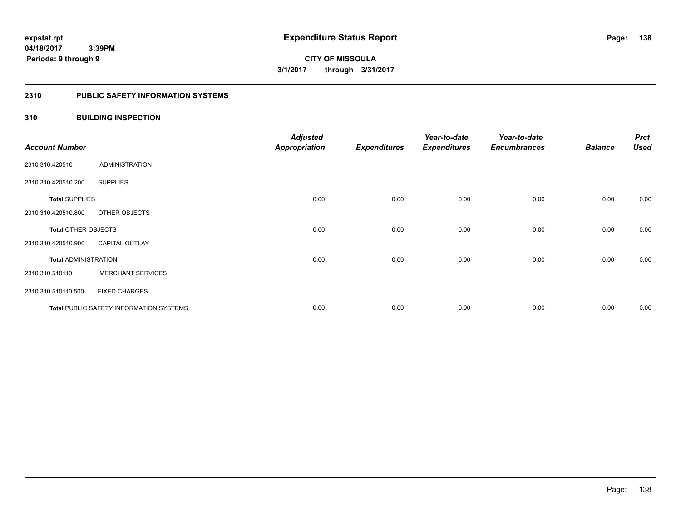#### **2310 PUBLIC SAFETY INFORMATION SYSTEMS**

## **310 BUILDING INSPECTION**

| <b>Account Number</b>       |                                                | <b>Adjusted</b><br><b>Appropriation</b> | <b>Expenditures</b> | Year-to-date<br><b>Expenditures</b> | Year-to-date<br><b>Encumbrances</b> | <b>Balance</b> | <b>Prct</b><br><b>Used</b> |
|-----------------------------|------------------------------------------------|-----------------------------------------|---------------------|-------------------------------------|-------------------------------------|----------------|----------------------------|
| 2310.310.420510             | <b>ADMINISTRATION</b>                          |                                         |                     |                                     |                                     |                |                            |
| 2310.310.420510.200         | <b>SUPPLIES</b>                                |                                         |                     |                                     |                                     |                |                            |
| <b>Total SUPPLIES</b>       |                                                | 0.00                                    | 0.00                | 0.00                                | 0.00                                | 0.00           | 0.00                       |
| 2310.310.420510.800         | OTHER OBJECTS                                  |                                         |                     |                                     |                                     |                |                            |
| <b>Total OTHER OBJECTS</b>  |                                                | 0.00                                    | 0.00                | 0.00                                | 0.00                                | 0.00           | 0.00                       |
| 2310.310.420510.900         | <b>CAPITAL OUTLAY</b>                          |                                         |                     |                                     |                                     |                |                            |
| <b>Total ADMINISTRATION</b> |                                                | 0.00                                    | 0.00                | 0.00                                | 0.00                                | 0.00           | 0.00                       |
| 2310.310.510110             | <b>MERCHANT SERVICES</b>                       |                                         |                     |                                     |                                     |                |                            |
| 2310.310.510110.500         | <b>FIXED CHARGES</b>                           |                                         |                     |                                     |                                     |                |                            |
|                             | <b>Total PUBLIC SAFETY INFORMATION SYSTEMS</b> | 0.00                                    | 0.00                | 0.00                                | 0.00                                | 0.00           | 0.00                       |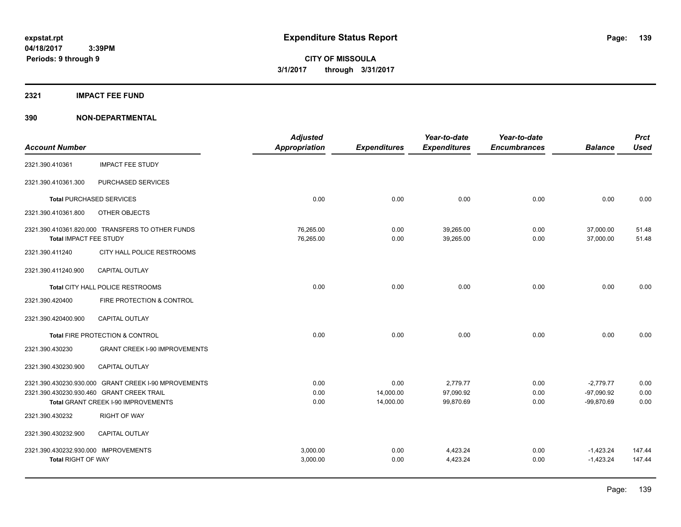#### **2321 IMPACT FEE FUND**

|                                      |                                                      | <b>Adjusted</b>      |                     | Year-to-date        | Year-to-date        |                | <b>Prct</b> |
|--------------------------------------|------------------------------------------------------|----------------------|---------------------|---------------------|---------------------|----------------|-------------|
| <b>Account Number</b>                |                                                      | <b>Appropriation</b> | <b>Expenditures</b> | <b>Expenditures</b> | <b>Encumbrances</b> | <b>Balance</b> | <b>Used</b> |
| 2321.390.410361                      | <b>IMPACT FEE STUDY</b>                              |                      |                     |                     |                     |                |             |
| 2321.390.410361.300                  | PURCHASED SERVICES                                   |                      |                     |                     |                     |                |             |
|                                      | <b>Total PURCHASED SERVICES</b>                      | 0.00                 | 0.00                | 0.00                | 0.00                | 0.00           | 0.00        |
| 2321.390.410361.800                  | OTHER OBJECTS                                        |                      |                     |                     |                     |                |             |
|                                      | 2321.390.410361.820.000 TRANSFERS TO OTHER FUNDS     | 76,265.00            | 0.00                | 39,265.00           | 0.00                | 37,000.00      | 51.48       |
| Total IMPACT FEE STUDY               |                                                      | 76,265.00            | 0.00                | 39,265.00           | 0.00                | 37,000.00      | 51.48       |
| 2321.390.411240                      | CITY HALL POLICE RESTROOMS                           |                      |                     |                     |                     |                |             |
| 2321.390.411240.900                  | <b>CAPITAL OUTLAY</b>                                |                      |                     |                     |                     |                |             |
|                                      | Total CITY HALL POLICE RESTROOMS                     | 0.00                 | 0.00                | 0.00                | 0.00                | 0.00           | 0.00        |
| 2321.390.420400                      | FIRE PROTECTION & CONTROL                            |                      |                     |                     |                     |                |             |
| 2321.390.420400.900                  | <b>CAPITAL OUTLAY</b>                                |                      |                     |                     |                     |                |             |
|                                      | Total FIRE PROTECTION & CONTROL                      | 0.00                 | 0.00                | 0.00                | 0.00                | 0.00           | 0.00        |
| 2321.390.430230                      | <b>GRANT CREEK I-90 IMPROVEMENTS</b>                 |                      |                     |                     |                     |                |             |
| 2321.390.430230.900                  | <b>CAPITAL OUTLAY</b>                                |                      |                     |                     |                     |                |             |
|                                      | 2321.390.430230.930.000 GRANT CREEK I-90 MPROVEMENTS | 0.00                 | 0.00                | 2,779.77            | 0.00                | $-2,779.77$    | 0.00        |
|                                      | 2321.390.430230.930.460 GRANT CREEK TRAIL            | 0.00                 | 14,000.00           | 97,090.92           | 0.00                | $-97,090.92$   | 0.00        |
|                                      | Total GRANT CREEK I-90 IMPROVEMENTS                  | 0.00                 | 14,000.00           | 99,870.69           | 0.00                | $-99,870.69$   | 0.00        |
| 2321.390.430232                      | <b>RIGHT OF WAY</b>                                  |                      |                     |                     |                     |                |             |
| 2321.390.430232.900                  | <b>CAPITAL OUTLAY</b>                                |                      |                     |                     |                     |                |             |
| 2321.390.430232.930.000 IMPROVEMENTS |                                                      | 3.000.00             | 0.00                | 4,423.24            | 0.00                | $-1,423.24$    | 147.44      |
| <b>Total RIGHT OF WAY</b>            |                                                      | 3,000.00             | 0.00                | 4,423.24            | 0.00                | $-1,423.24$    | 147.44      |
|                                      |                                                      |                      |                     |                     |                     |                |             |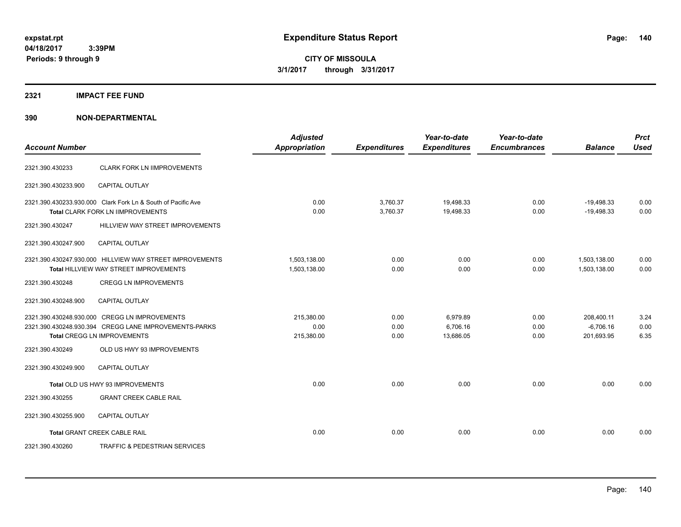**04/18/2017 3:39PM Periods: 9 through 9**

**CITY OF MISSOULA 3/1/2017 through 3/31/2017**

#### **2321 IMPACT FEE FUND**

| <b>Account Number</b> |                                                                                                                                       | <b>Adjusted</b><br><b>Appropriation</b> | <b>Expenditures</b>  | Year-to-date<br><b>Expenditures</b> | Year-to-date<br><b>Encumbrances</b> | <b>Balance</b>                          | <b>Prct</b><br><b>Used</b> |
|-----------------------|---------------------------------------------------------------------------------------------------------------------------------------|-----------------------------------------|----------------------|-------------------------------------|-------------------------------------|-----------------------------------------|----------------------------|
| 2321.390.430233       | <b>CLARK FORK LN IIMPROVEMENTS</b>                                                                                                    |                                         |                      |                                     |                                     |                                         |                            |
| 2321.390.430233.900   | <b>CAPITAL OUTLAY</b>                                                                                                                 |                                         |                      |                                     |                                     |                                         |                            |
|                       | 2321.390.430233.930.000 Clark Fork Ln & South of Pacific Ave<br>Total CLARK FORK LN IIMPROVEMENTS                                     | 0.00<br>0.00                            | 3,760.37<br>3,760.37 | 19,498.33<br>19,498.33              | 0.00<br>0.00                        | $-19,498.33$<br>$-19,498.33$            | 0.00<br>0.00               |
| 2321.390.430247       | HILLVIEW WAY STREET IMPROVEMENTS                                                                                                      |                                         |                      |                                     |                                     |                                         |                            |
| 2321.390.430247.900   | CAPITAL OUTLAY                                                                                                                        |                                         |                      |                                     |                                     |                                         |                            |
|                       | 2321.390.430247.930.000 HILLVIEW WAY STREET IMPROVEMENTS<br>Total HILLVIEW WAY STREET IMPROVEMENTS                                    | 1,503,138.00<br>1,503,138.00            | 0.00<br>0.00         | 0.00<br>0.00                        | 0.00<br>0.00                        | 1,503,138.00<br>1,503,138.00            | 0.00<br>0.00               |
| 2321.390.430248       | <b>CREGG LN IMPROVEMENTS</b>                                                                                                          |                                         |                      |                                     |                                     |                                         |                            |
| 2321.390.430248.900   | <b>CAPITAL OUTLAY</b>                                                                                                                 |                                         |                      |                                     |                                     |                                         |                            |
|                       | 2321.390.430248.930.000 CREGG LN IMPROVEMENTS<br>2321.390.430248.930.394 CREGG LANE IMPROVEMENTS-PARKS<br>Total CREGG LN IMPROVEMENTS | 215,380.00<br>0.00<br>215,380.00        | 0.00<br>0.00<br>0.00 | 6,979.89<br>6,706.16<br>13,686.05   | 0.00<br>0.00<br>0.00                | 208,400.11<br>$-6,706.16$<br>201,693.95 | 3.24<br>0.00<br>6.35       |
| 2321.390.430249       | OLD US HWY 93 IMPROVEMENTS                                                                                                            |                                         |                      |                                     |                                     |                                         |                            |
| 2321.390.430249.900   | <b>CAPITAL OUTLAY</b>                                                                                                                 |                                         |                      |                                     |                                     |                                         |                            |
|                       | Total OLD US HWY 93 IMPROVEMENTS                                                                                                      | 0.00                                    | 0.00                 | 0.00                                | 0.00                                | 0.00                                    | 0.00                       |
| 2321.390.430255       | <b>GRANT CREEK CABLE RAIL</b>                                                                                                         |                                         |                      |                                     |                                     |                                         |                            |
| 2321.390.430255.900   | <b>CAPITAL OUTLAY</b>                                                                                                                 |                                         |                      |                                     |                                     |                                         |                            |
|                       | <b>Total GRANT CREEK CABLE RAIL</b>                                                                                                   | 0.00                                    | 0.00                 | 0.00                                | 0.00                                | 0.00                                    | 0.00                       |
| 2321.390.430260       | TRAFFIC & PEDESTRIAN SERVICES                                                                                                         |                                         |                      |                                     |                                     |                                         |                            |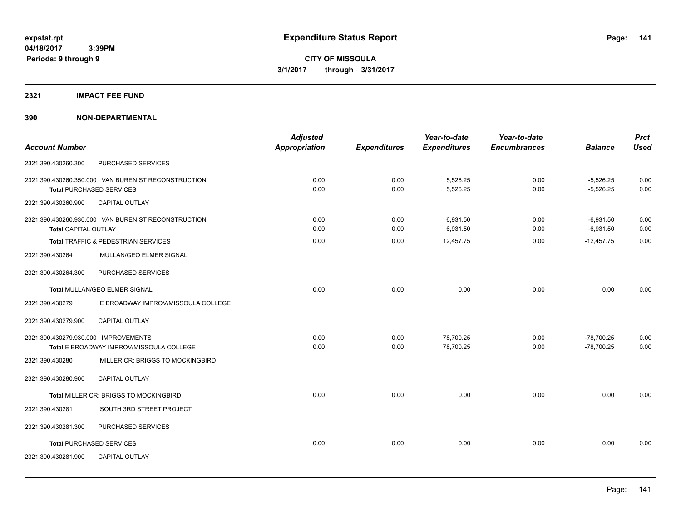#### **2321 IMPACT FEE FUND**

|                                      |                                                     | <b>Adjusted</b>      |                     | Year-to-date        | Year-to-date        |                | <b>Prct</b> |
|--------------------------------------|-----------------------------------------------------|----------------------|---------------------|---------------------|---------------------|----------------|-------------|
| <b>Account Number</b>                |                                                     | <b>Appropriation</b> | <b>Expenditures</b> | <b>Expenditures</b> | <b>Encumbrances</b> | <b>Balance</b> | <b>Used</b> |
| 2321.390.430260.300                  | PURCHASED SERVICES                                  |                      |                     |                     |                     |                |             |
|                                      | 2321.390.430260.350.000 VAN BUREN ST RECONSTRUCTION | 0.00                 | 0.00                | 5,526.25            | 0.00                | $-5,526.25$    | 0.00        |
|                                      | <b>Total PURCHASED SERVICES</b>                     | 0.00                 | 0.00                | 5,526.25            | 0.00                | $-5,526.25$    | 0.00        |
| 2321.390.430260.900                  | <b>CAPITAL OUTLAY</b>                               |                      |                     |                     |                     |                |             |
|                                      | 2321.390.430260.930.000 VAN BUREN ST RECONSTRUCTION | 0.00                 | 0.00                | 6,931.50            | 0.00                | $-6,931.50$    | 0.00        |
| <b>Total CAPITAL OUTLAY</b>          |                                                     | 0.00                 | 0.00                | 6,931.50            | 0.00                | $-6,931.50$    | 0.00        |
|                                      | Total TRAFFIC & PEDESTRIAN SERVICES                 | 0.00                 | 0.00                | 12,457.75           | 0.00                | $-12,457.75$   | 0.00        |
| 2321.390.430264                      | MULLAN/GEO ELMER SIGNAL                             |                      |                     |                     |                     |                |             |
| 2321.390.430264.300                  | PURCHASED SERVICES                                  |                      |                     |                     |                     |                |             |
|                                      | Total MULLAN/GEO ELMER SIGNAL                       | 0.00                 | 0.00                | 0.00                | 0.00                | 0.00           | 0.00        |
| 2321.390.430279                      | E BROADWAY IMPROV/MISSOULA COLLEGE                  |                      |                     |                     |                     |                |             |
| 2321.390.430279.900                  | <b>CAPITAL OUTLAY</b>                               |                      |                     |                     |                     |                |             |
| 2321.390.430279.930.000 IMPROVEMENTS |                                                     | 0.00                 | 0.00                | 78,700.25           | 0.00                | $-78,700.25$   | 0.00        |
|                                      | Total E BROADWAY IMPROV/MISSOULA COLLEGE            | 0.00                 | 0.00                | 78,700.25           | 0.00                | $-78,700.25$   | 0.00        |
| 2321.390.430280                      | MILLER CR: BRIGGS TO MOCKINGBIRD                    |                      |                     |                     |                     |                |             |
| 2321.390.430280.900                  | CAPITAL OUTLAY                                      |                      |                     |                     |                     |                |             |
|                                      | Total MILLER CR: BRIGGS TO MOCKINGBIRD              | 0.00                 | 0.00                | 0.00                | 0.00                | 0.00           | 0.00        |
| 2321.390.430281                      | SOUTH 3RD STREET PROJECT                            |                      |                     |                     |                     |                |             |
| 2321.390.430281.300                  | PURCHASED SERVICES                                  |                      |                     |                     |                     |                |             |
|                                      | <b>Total PURCHASED SERVICES</b>                     | 0.00                 | 0.00                | 0.00                | 0.00                | 0.00           | 0.00        |
| 2321.390.430281.900                  | <b>CAPITAL OUTLAY</b>                               |                      |                     |                     |                     |                |             |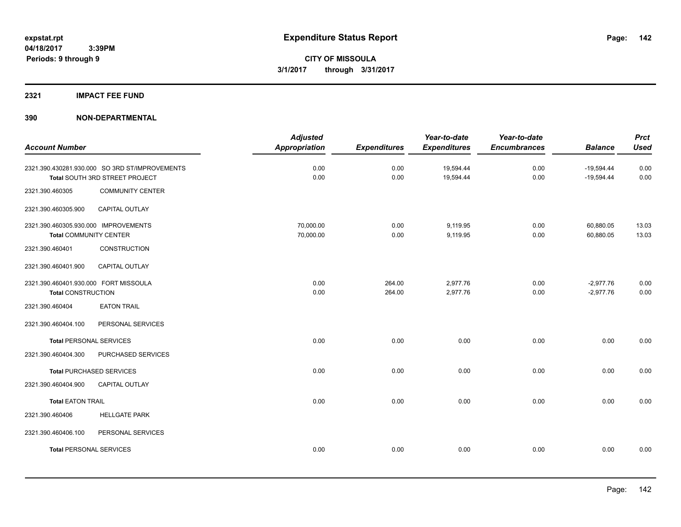## **2321 IMPACT FEE FUND**

| <b>Account Number</b>                                                 |                                                                                  | <b>Adjusted</b><br><b>Appropriation</b> | <b>Expenditures</b> | Year-to-date<br><b>Expenditures</b> | Year-to-date<br><b>Encumbrances</b> | <b>Balance</b>               | <b>Prct</b><br><b>Used</b> |
|-----------------------------------------------------------------------|----------------------------------------------------------------------------------|-----------------------------------------|---------------------|-------------------------------------|-------------------------------------|------------------------------|----------------------------|
|                                                                       | 2321.390.430281.930.000 SO 3RD ST/IMPROVEMENTS<br>Total SOUTH 3RD STREET PROJECT | 0.00<br>0.00                            | 0.00<br>0.00        | 19,594.44<br>19,594.44              | 0.00<br>0.00                        | $-19,594.44$<br>$-19,594.44$ | 0.00<br>0.00               |
| 2321.390.460305                                                       | <b>COMMUNITY CENTER</b>                                                          |                                         |                     |                                     |                                     |                              |                            |
| 2321.390.460305.900                                                   | CAPITAL OUTLAY                                                                   |                                         |                     |                                     |                                     |                              |                            |
| 2321.390.460305.930.000 IMPROVEMENTS<br><b>Total COMMUNITY CENTER</b> |                                                                                  | 70,000.00<br>70,000.00                  | 0.00<br>0.00        | 9,119.95<br>9,119.95                | 0.00<br>0.00                        | 60,880.05<br>60,880.05       | 13.03<br>13.03             |
| 2321.390.460401                                                       | CONSTRUCTION                                                                     |                                         |                     |                                     |                                     |                              |                            |
| 2321.390.460401.900                                                   | CAPITAL OUTLAY                                                                   |                                         |                     |                                     |                                     |                              |                            |
| 2321.390.460401.930.000 FORT MISSOULA<br><b>Total CONSTRUCTION</b>    |                                                                                  | 0.00<br>0.00                            | 264.00<br>264.00    | 2,977.76<br>2,977.76                | 0.00<br>0.00                        | $-2,977.76$<br>$-2,977.76$   | 0.00<br>0.00               |
| 2321.390.460404                                                       | <b>EATON TRAIL</b>                                                               |                                         |                     |                                     |                                     |                              |                            |
| 2321.390.460404.100                                                   | PERSONAL SERVICES                                                                |                                         |                     |                                     |                                     |                              |                            |
| <b>Total PERSONAL SERVICES</b>                                        |                                                                                  | 0.00                                    | 0.00                | 0.00                                | 0.00                                | 0.00                         | 0.00                       |
| 2321.390.460404.300                                                   | PURCHASED SERVICES                                                               |                                         |                     |                                     |                                     |                              |                            |
|                                                                       | <b>Total PURCHASED SERVICES</b>                                                  | 0.00                                    | 0.00                | 0.00                                | 0.00                                | 0.00                         | 0.00                       |
| 2321.390.460404.900                                                   | CAPITAL OUTLAY                                                                   |                                         |                     |                                     |                                     |                              |                            |
| <b>Total EATON TRAIL</b>                                              |                                                                                  | 0.00                                    | 0.00                | 0.00                                | 0.00                                | 0.00                         | 0.00                       |
| 2321.390.460406                                                       | <b>HELLGATE PARK</b>                                                             |                                         |                     |                                     |                                     |                              |                            |
| 2321.390.460406.100                                                   | PERSONAL SERVICES                                                                |                                         |                     |                                     |                                     |                              |                            |
| <b>Total PERSONAL SERVICES</b>                                        |                                                                                  | 0.00                                    | 0.00                | 0.00                                | 0.00                                | 0.00                         | 0.00                       |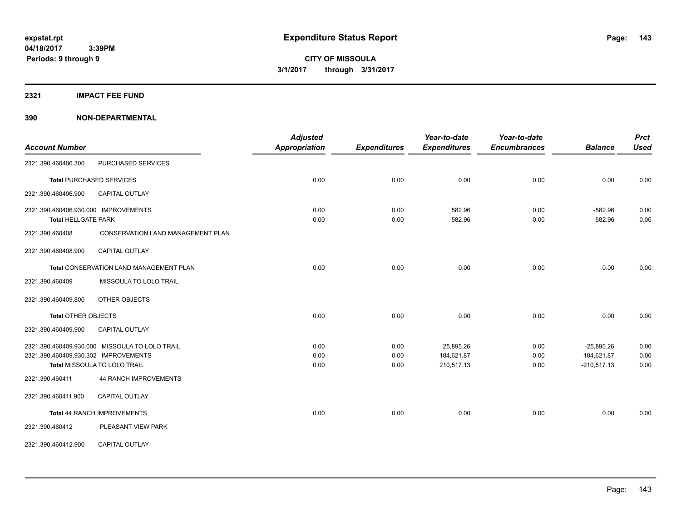#### **2321 IMPACT FEE FUND**

| <b>Account Number</b>                |                                                | <b>Adjusted</b><br><b>Appropriation</b> | <b>Expenditures</b> | Year-to-date<br><b>Expenditures</b> | Year-to-date<br><b>Encumbrances</b> | <b>Balance</b> | <b>Prct</b><br><b>Used</b> |
|--------------------------------------|------------------------------------------------|-----------------------------------------|---------------------|-------------------------------------|-------------------------------------|----------------|----------------------------|
| 2321.390.460406.300                  | PURCHASED SERVICES                             |                                         |                     |                                     |                                     |                |                            |
|                                      | <b>Total PURCHASED SERVICES</b>                | 0.00                                    | 0.00                | 0.00                                | 0.00                                | 0.00           | 0.00                       |
| 2321.390.460406.900                  | <b>CAPITAL OUTLAY</b>                          |                                         |                     |                                     |                                     |                |                            |
| 2321.390.460406.930.000 IMPROVEMENTS |                                                | 0.00                                    | 0.00                | 582.96                              | 0.00                                | $-582.96$      | 0.00                       |
| <b>Total HELLGATE PARK</b>           |                                                | 0.00                                    | 0.00                | 582.96                              | 0.00                                | $-582.96$      | 0.00                       |
| 2321.390.460408                      | <b>CONSERVATION LAND MANAGEMENT PLAN</b>       |                                         |                     |                                     |                                     |                |                            |
| 2321.390.460408.900                  | <b>CAPITAL OUTLAY</b>                          |                                         |                     |                                     |                                     |                |                            |
|                                      | Total CONSERVATION LAND MANAGEMENT PLAN        | 0.00                                    | 0.00                | 0.00                                | 0.00                                | 0.00           | 0.00                       |
| 2321.390.460409                      | MISSOULA TO LOLO TRAIL                         |                                         |                     |                                     |                                     |                |                            |
| 2321.390.460409.800                  | OTHER OBJECTS                                  |                                         |                     |                                     |                                     |                |                            |
| <b>Total OTHER OBJECTS</b>           |                                                | 0.00                                    | 0.00                | 0.00                                | 0.00                                | 0.00           | 0.00                       |
| 2321.390.460409.900                  | <b>CAPITAL OUTLAY</b>                          |                                         |                     |                                     |                                     |                |                            |
|                                      | 2321.390.460409.930.000 MISSOULA TO LOLO TRAIL | 0.00                                    | 0.00                | 25,895.26                           | 0.00                                | $-25,895.26$   | 0.00                       |
| 2321.390.460409.930.302 IMPROVEMENTS |                                                | 0.00                                    | 0.00                | 184,621.87                          | 0.00                                | $-184,621.87$  | 0.00                       |
|                                      | Total MISSOULA TO LOLO TRAIL                   | 0.00                                    | 0.00                | 210,517.13                          | 0.00                                | $-210,517.13$  | 0.00                       |
| 2321.390.460411                      | <b>44 RANCH IMPROVEMENTS</b>                   |                                         |                     |                                     |                                     |                |                            |
| 2321.390.460411.900                  | <b>CAPITAL OUTLAY</b>                          |                                         |                     |                                     |                                     |                |                            |
|                                      | Total 44 RANCH IMPROVEMENTS                    | 0.00                                    | 0.00                | 0.00                                | 0.00                                | 0.00           | 0.00                       |
| 2321.390.460412                      | PLEASANT VIEW PARK                             |                                         |                     |                                     |                                     |                |                            |
| 2321.390.460412.900                  | CAPITAL OUTLAY                                 |                                         |                     |                                     |                                     |                |                            |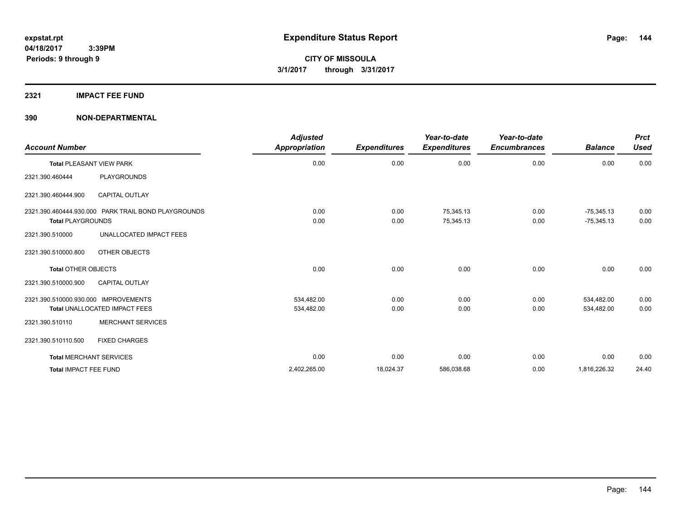#### **2321 IMPACT FEE FUND**

| <b>Account Number</b>                                                           | <b>Adjusted</b><br><b>Appropriation</b> | <b>Expenditures</b> | Year-to-date<br><b>Expenditures</b> | Year-to-date<br><b>Encumbrances</b> | <b>Balance</b>               | <b>Prct</b><br>Used |
|---------------------------------------------------------------------------------|-----------------------------------------|---------------------|-------------------------------------|-------------------------------------|------------------------------|---------------------|
| <b>Total PLEASANT VIEW PARK</b>                                                 | 0.00                                    | 0.00                | 0.00                                | 0.00                                | 0.00                         | 0.00                |
| PLAYGROUNDS<br>2321.390.460444                                                  |                                         |                     |                                     |                                     |                              |                     |
| <b>CAPITAL OUTLAY</b><br>2321.390.460444.900                                    |                                         |                     |                                     |                                     |                              |                     |
| 2321.390.460444.930.000 PARK TRAIL BOND PLAYGROUNDS<br><b>Total PLAYGROUNDS</b> | 0.00<br>0.00                            | 0.00<br>0.00        | 75,345.13<br>75,345.13              | 0.00<br>0.00                        | $-75,345.13$<br>$-75,345.13$ | 0.00<br>0.00        |
| UNALLOCATED IMPACT FEES<br>2321.390.510000                                      |                                         |                     |                                     |                                     |                              |                     |
| OTHER OBJECTS<br>2321.390.510000.800                                            |                                         |                     |                                     |                                     |                              |                     |
| <b>Total OTHER OBJECTS</b>                                                      | 0.00                                    | 0.00                | 0.00                                | 0.00                                | 0.00                         | 0.00                |
| <b>CAPITAL OUTLAY</b><br>2321.390.510000.900                                    |                                         |                     |                                     |                                     |                              |                     |
| 2321.390.510000.930.000 IMPROVEMENTS<br><b>Total UNALLOCATED IMPACT FEES</b>    | 534,482.00<br>534,482.00                | 0.00<br>0.00        | 0.00<br>0.00                        | 0.00<br>0.00                        | 534,482.00<br>534,482.00     | 0.00<br>0.00        |
| <b>MERCHANT SERVICES</b><br>2321.390.510110                                     |                                         |                     |                                     |                                     |                              |                     |
| 2321.390.510110.500<br><b>FIXED CHARGES</b>                                     |                                         |                     |                                     |                                     |                              |                     |
| <b>Total MERCHANT SERVICES</b>                                                  | 0.00                                    | 0.00                | 0.00                                | 0.00                                | 0.00                         | 0.00                |
| Total IMPACT FEE FUND                                                           | 2,402,265.00                            | 18,024.37           | 586,038.68                          | 0.00                                | 1,816,226.32                 | 24.40               |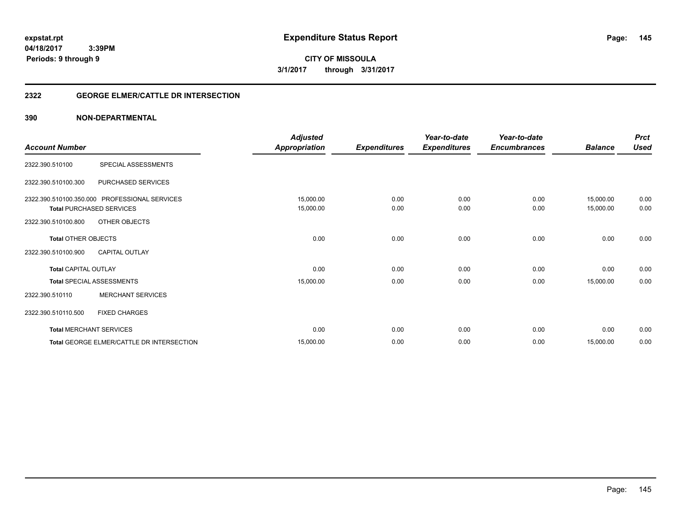**CITY OF MISSOULA 3/1/2017 through 3/31/2017**

# **2322 GEORGE ELMER/CATTLE DR INTERSECTION**

|                             |                                               | <b>Adjusted</b>      |                     | Year-to-date        | Year-to-date        |                | <b>Prct</b> |
|-----------------------------|-----------------------------------------------|----------------------|---------------------|---------------------|---------------------|----------------|-------------|
| <b>Account Number</b>       |                                               | <b>Appropriation</b> | <b>Expenditures</b> | <b>Expenditures</b> | <b>Encumbrances</b> | <b>Balance</b> | <b>Used</b> |
| 2322.390.510100             | SPECIAL ASSESSMENTS                           |                      |                     |                     |                     |                |             |
| 2322.390.510100.300         | PURCHASED SERVICES                            |                      |                     |                     |                     |                |             |
|                             | 2322.390.510100.350.000 PROFESSIONAL SERVICES | 15,000.00            | 0.00                | 0.00                | 0.00                | 15,000.00      | 0.00        |
|                             | <b>Total PURCHASED SERVICES</b>               | 15,000.00            | 0.00                | 0.00                | 0.00                | 15,000.00      | 0.00        |
| 2322.390.510100.800         | OTHER OBJECTS                                 |                      |                     |                     |                     |                |             |
| <b>Total OTHER OBJECTS</b>  |                                               | 0.00                 | 0.00                | 0.00                | 0.00                | 0.00           | 0.00        |
| 2322.390.510100.900         | <b>CAPITAL OUTLAY</b>                         |                      |                     |                     |                     |                |             |
| <b>Total CAPITAL OUTLAY</b> |                                               | 0.00                 | 0.00                | 0.00                | 0.00                | 0.00           | 0.00        |
|                             | Total SPECIAL ASSESSMENTS                     | 15,000.00            | 0.00                | 0.00                | 0.00                | 15,000.00      | 0.00        |
| 2322.390.510110             | <b>MERCHANT SERVICES</b>                      |                      |                     |                     |                     |                |             |
| 2322.390.510110.500         | <b>FIXED CHARGES</b>                          |                      |                     |                     |                     |                |             |
|                             | <b>Total MERCHANT SERVICES</b>                | 0.00                 | 0.00                | 0.00                | 0.00                | 0.00           | 0.00        |
|                             | Total GEORGE ELMER/CATTLE DR INTERSECTION     | 15,000.00            | 0.00                | 0.00                | 0.00                | 15,000.00      | 0.00        |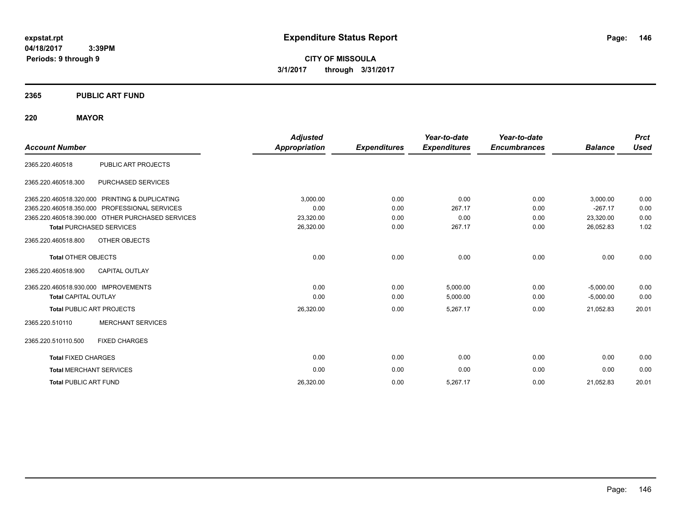**CITY OF MISSOULA 3/1/2017 through 3/31/2017**

# **2365 PUBLIC ART FUND**

# **220 MAYOR**

|                                      |                                                  | <b>Adjusted</b>      |                     | Year-to-date        | Year-to-date        |                | <b>Prct</b> |
|--------------------------------------|--------------------------------------------------|----------------------|---------------------|---------------------|---------------------|----------------|-------------|
| <b>Account Number</b>                |                                                  | <b>Appropriation</b> | <b>Expenditures</b> | <b>Expenditures</b> | <b>Encumbrances</b> | <b>Balance</b> | <b>Used</b> |
| 2365.220.460518                      | PUBLIC ART PROJECTS                              |                      |                     |                     |                     |                |             |
| 2365.220.460518.300                  | PURCHASED SERVICES                               |                      |                     |                     |                     |                |             |
|                                      | 2365.220.460518.320.000 PRINTING & DUPLICATING   | 3,000.00             | 0.00                | 0.00                | 0.00                | 3,000.00       | 0.00        |
| 2365.220.460518.350.000              | PROFESSIONAL SERVICES                            | 0.00                 | 0.00                | 267.17              | 0.00                | $-267.17$      | 0.00        |
|                                      | 2365.220.460518.390.000 OTHER PURCHASED SERVICES | 23,320.00            | 0.00                | 0.00                | 0.00                | 23,320.00      | 0.00        |
|                                      | <b>Total PURCHASED SERVICES</b>                  | 26,320.00            | 0.00                | 267.17              | 0.00                | 26,052.83      | 1.02        |
| 2365.220.460518.800                  | OTHER OBJECTS                                    |                      |                     |                     |                     |                |             |
| <b>Total OTHER OBJECTS</b>           |                                                  | 0.00                 | 0.00                | 0.00                | 0.00                | 0.00           | 0.00        |
| 2365.220.460518.900                  | <b>CAPITAL OUTLAY</b>                            |                      |                     |                     |                     |                |             |
| 2365.220.460518.930.000 IMPROVEMENTS |                                                  | 0.00                 | 0.00                | 5,000.00            | 0.00                | $-5,000.00$    | 0.00        |
| <b>Total CAPITAL OUTLAY</b>          |                                                  | 0.00                 | 0.00                | 5,000.00            | 0.00                | $-5,000.00$    | 0.00        |
|                                      | <b>Total PUBLIC ART PROJECTS</b>                 | 26,320.00            | 0.00                | 5,267.17            | 0.00                | 21,052.83      | 20.01       |
| 2365.220.510110                      | <b>MERCHANT SERVICES</b>                         |                      |                     |                     |                     |                |             |
| 2365.220.510110.500                  | <b>FIXED CHARGES</b>                             |                      |                     |                     |                     |                |             |
| <b>Total FIXED CHARGES</b>           |                                                  | 0.00                 | 0.00                | 0.00                | 0.00                | 0.00           | 0.00        |
| <b>Total MERCHANT SERVICES</b>       |                                                  | 0.00                 | 0.00                | 0.00                | 0.00                | 0.00           | 0.00        |
| <b>Total PUBLIC ART FUND</b>         |                                                  | 26,320.00            | 0.00                | 5,267.17            | 0.00                | 21,052.83      | 20.01       |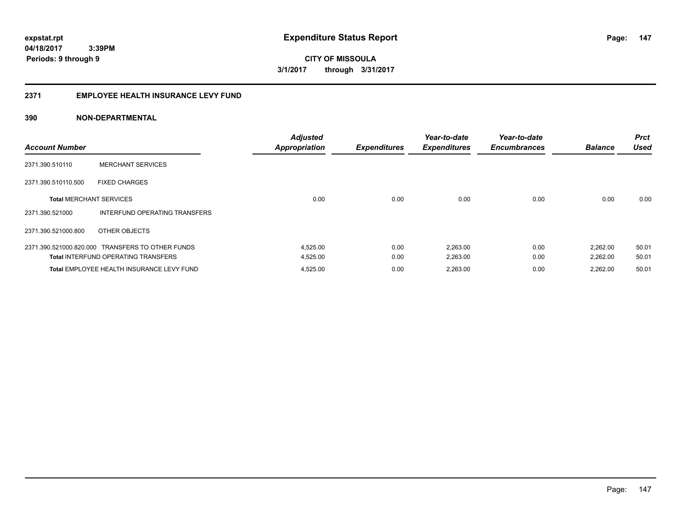**CITY OF MISSOULA 3/1/2017 through 3/31/2017**

# **2371 EMPLOYEE HEALTH INSURANCE LEVY FUND**

| <b>Account Number</b>          |                                                  | <b>Adjusted</b><br><b>Appropriation</b> | <b>Expenditures</b> | Year-to-date<br><b>Expenditures</b> | Year-to-date<br><b>Encumbrances</b> | <b>Balance</b> | <b>Prct</b><br><b>Used</b> |
|--------------------------------|--------------------------------------------------|-----------------------------------------|---------------------|-------------------------------------|-------------------------------------|----------------|----------------------------|
| 2371.390.510110                | <b>MERCHANT SERVICES</b>                         |                                         |                     |                                     |                                     |                |                            |
| 2371.390.510110.500            | <b>FIXED CHARGES</b>                             |                                         |                     |                                     |                                     |                |                            |
| <b>Total MERCHANT SERVICES</b> |                                                  | 0.00                                    | 0.00                | 0.00                                | 0.00                                | 0.00           | 0.00                       |
| 2371.390.521000                | INTERFUND OPERATING TRANSFERS                    |                                         |                     |                                     |                                     |                |                            |
| 2371.390.521000.800            | OTHER OBJECTS                                    |                                         |                     |                                     |                                     |                |                            |
|                                | 2371.390.521000.820.000 TRANSFERS TO OTHER FUNDS | 4,525.00                                | 0.00                | 2,263.00                            | 0.00                                | 2,262.00       | 50.01                      |
|                                | <b>Total INTERFUND OPERATING TRANSFERS</b>       | 4,525.00                                | 0.00                | 2,263.00                            | 0.00                                | 2,262.00       | 50.01                      |
|                                | Total EMPLOYEE HEALTH INSURANCE LEVY FUND        | 4,525.00                                | 0.00                | 2,263.00                            | 0.00                                | 2.262.00       | 50.01                      |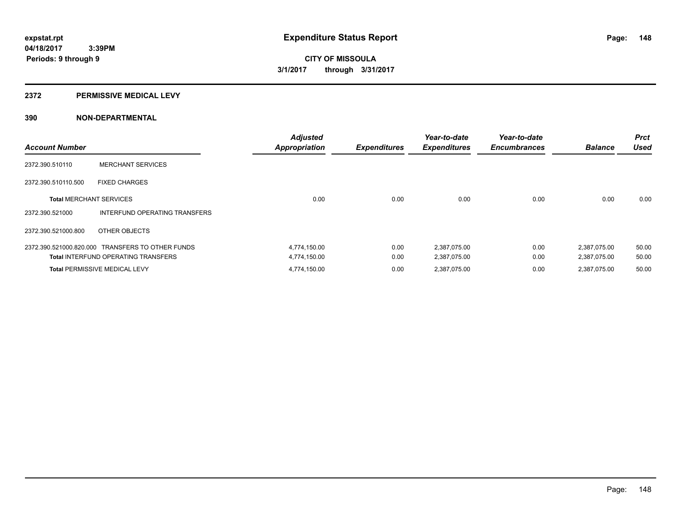# **2372 PERMISSIVE MEDICAL LEVY**

| <b>Account Number</b>          |                                                  | <b>Adjusted</b><br><b>Appropriation</b> | <b>Expenditures</b> | Year-to-date<br><b>Expenditures</b> | Year-to-date<br><b>Encumbrances</b> | <b>Balance</b> | <b>Prct</b><br><b>Used</b> |
|--------------------------------|--------------------------------------------------|-----------------------------------------|---------------------|-------------------------------------|-------------------------------------|----------------|----------------------------|
| 2372.390.510110                | <b>MERCHANT SERVICES</b>                         |                                         |                     |                                     |                                     |                |                            |
| 2372.390.510110.500            | <b>FIXED CHARGES</b>                             |                                         |                     |                                     |                                     |                |                            |
| <b>Total MERCHANT SERVICES</b> |                                                  | 0.00                                    | 0.00                | 0.00                                | 0.00                                | 0.00           | 0.00                       |
| 2372.390.521000                | INTERFUND OPERATING TRANSFERS                    |                                         |                     |                                     |                                     |                |                            |
| 2372.390.521000.800            | OTHER OBJECTS                                    |                                         |                     |                                     |                                     |                |                            |
|                                | 2372.390.521000.820.000 TRANSFERS TO OTHER FUNDS | 4,774,150.00                            | 0.00                | 2.387.075.00                        | 0.00                                | 2,387,075.00   | 50.00                      |
|                                | <b>Total INTERFUND OPERATING TRANSFERS</b>       | 4,774,150.00                            | 0.00                | 2,387,075.00                        | 0.00                                | 2,387,075.00   | 50.00                      |
|                                | <b>Total PERMISSIVE MEDICAL LEVY</b>             | 4,774,150.00                            | 0.00                | 2,387,075.00                        | 0.00                                | 2,387,075.00   | 50.00                      |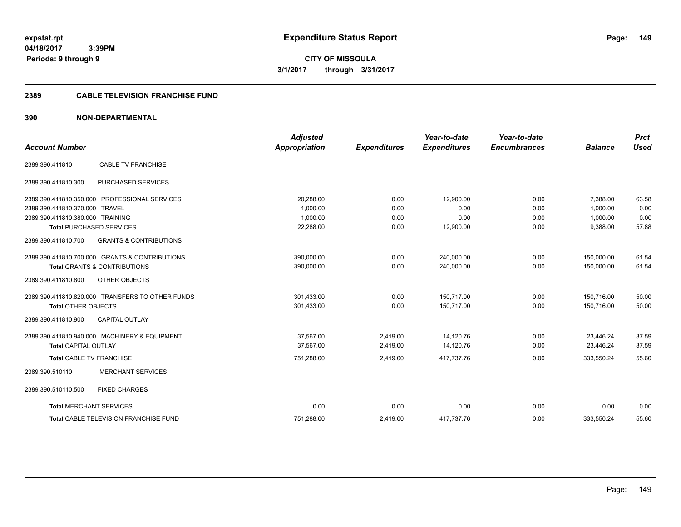**CITY OF MISSOULA 3/1/2017 through 3/31/2017**

# **2389 CABLE TELEVISION FRANCHISE FUND**

|                                  |                                                  | <b>Adjusted</b> |                     | Year-to-date        | Year-to-date        |                | <b>Prct</b> |
|----------------------------------|--------------------------------------------------|-----------------|---------------------|---------------------|---------------------|----------------|-------------|
| <b>Account Number</b>            |                                                  | Appropriation   | <b>Expenditures</b> | <b>Expenditures</b> | <b>Encumbrances</b> | <b>Balance</b> | <b>Used</b> |
| 2389.390.411810                  | <b>CABLE TV FRANCHISE</b>                        |                 |                     |                     |                     |                |             |
| 2389.390.411810.300              | <b>PURCHASED SERVICES</b>                        |                 |                     |                     |                     |                |             |
| 2389.390.411810.350.000          | PROFESSIONAL SERVICES                            | 20,288.00       | 0.00                | 12,900.00           | 0.00                | 7,388.00       | 63.58       |
| 2389.390.411810.370.000          | <b>TRAVEL</b>                                    | 1.000.00        | 0.00                | 0.00                | 0.00                | 1.000.00       | 0.00        |
| 2389.390.411810.380.000 TRAINING |                                                  | 1.000.00        | 0.00                | 0.00                | 0.00                | 1,000.00       | 0.00        |
|                                  | <b>Total PURCHASED SERVICES</b>                  | 22,288.00       | 0.00                | 12,900.00           | 0.00                | 9,388.00       | 57.88       |
| 2389.390.411810.700              | <b>GRANTS &amp; CONTRIBUTIONS</b>                |                 |                     |                     |                     |                |             |
|                                  | 2389.390.411810.700.000 GRANTS & CONTRIBUTIONS   | 390.000.00      | 0.00                | 240.000.00          | 0.00                | 150.000.00     | 61.54       |
|                                  | <b>Total GRANTS &amp; CONTRIBUTIONS</b>          | 390,000.00      | 0.00                | 240,000.00          | 0.00                | 150.000.00     | 61.54       |
| 2389.390.411810.800              | OTHER OBJECTS                                    |                 |                     |                     |                     |                |             |
|                                  | 2389.390.411810.820.000 TRANSFERS TO OTHER FUNDS | 301,433.00      | 0.00                | 150,717.00          | 0.00                | 150,716.00     | 50.00       |
| <b>Total OTHER OBJECTS</b>       |                                                  | 301,433.00      | 0.00                | 150.717.00          | 0.00                | 150.716.00     | 50.00       |
| 2389.390.411810.900              | <b>CAPITAL OUTLAY</b>                            |                 |                     |                     |                     |                |             |
|                                  | 2389.390.411810.940.000 MACHINERY & EQUIPMENT    | 37.567.00       | 2,419.00            | 14,120.76           | 0.00                | 23.446.24      | 37.59       |
| <b>Total CAPITAL OUTLAY</b>      |                                                  | 37,567.00       | 2,419.00            | 14,120.76           | 0.00                | 23,446.24      | 37.59       |
| <b>Total CABLE TV FRANCHISE</b>  |                                                  | 751,288.00      | 2,419.00            | 417,737.76          | 0.00                | 333,550.24     | 55.60       |
| 2389.390.510110                  | <b>MERCHANT SERVICES</b>                         |                 |                     |                     |                     |                |             |
| 2389.390.510110.500              | <b>FIXED CHARGES</b>                             |                 |                     |                     |                     |                |             |
| <b>Total MERCHANT SERVICES</b>   |                                                  | 0.00            | 0.00                | 0.00                | 0.00                | 0.00           | 0.00        |
|                                  | Total CABLE TELEVISION FRANCHISE FUND            | 751,288.00      | 2,419.00            | 417,737.76          | 0.00                | 333,550.24     | 55.60       |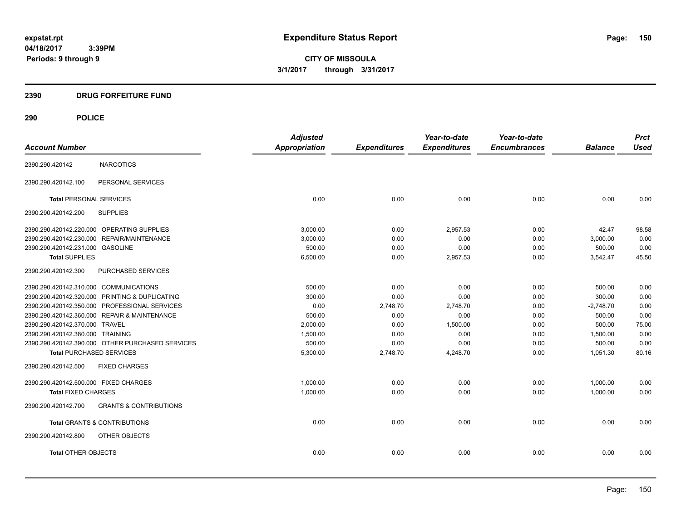**CITY OF MISSOULA 3/1/2017 through 3/31/2017**

# **2390 DRUG FORFEITURE FUND**

|                                                          | <b>Adjusted</b>      |                     | Year-to-date        | Year-to-date        |                | <b>Prct</b> |
|----------------------------------------------------------|----------------------|---------------------|---------------------|---------------------|----------------|-------------|
| <b>Account Number</b>                                    | <b>Appropriation</b> | <b>Expenditures</b> | <b>Expenditures</b> | <b>Encumbrances</b> | <b>Balance</b> | <b>Used</b> |
| <b>NARCOTICS</b><br>2390.290.420142                      |                      |                     |                     |                     |                |             |
| PERSONAL SERVICES<br>2390.290.420142.100                 |                      |                     |                     |                     |                |             |
| <b>Total PERSONAL SERVICES</b>                           | 0.00                 | 0.00                | 0.00                | 0.00                | 0.00           | 0.00        |
| 2390.290.420142.200<br><b>SUPPLIES</b>                   |                      |                     |                     |                     |                |             |
| 2390.290.420142.220.000 OPERATING SUPPLIES               | 3,000.00             | 0.00                | 2,957.53            | 0.00                | 42.47          | 98.58       |
| 2390.290.420142.230.000 REPAIR/MAINTENANCE               | 3,000.00             | 0.00                | 0.00                | 0.00                | 3,000.00       | 0.00        |
| 2390.290.420142.231.000 GASOLINE                         | 500.00               | 0.00                | 0.00                | 0.00                | 500.00         | 0.00        |
| <b>Total SUPPLIES</b>                                    | 6,500.00             | 0.00                | 2,957.53            | 0.00                | 3,542.47       | 45.50       |
| 2390.290.420142.300<br>PURCHASED SERVICES                |                      |                     |                     |                     |                |             |
| 2390.290.420142.310.000 COMMUNICATIONS                   | 500.00               | 0.00                | 0.00                | 0.00                | 500.00         | 0.00        |
| 2390.290.420142.320.000 PRINTING & DUPLICATING           | 300.00               | 0.00                | 0.00                | 0.00                | 300.00         | 0.00        |
| 2390.290.420142.350.000 PROFESSIONAL SERVICES            | 0.00                 | 2,748.70            | 2,748.70            | 0.00                | $-2,748.70$    | 0.00        |
| 2390.290.420142.360.000 REPAIR & MAINTENANCE             | 500.00               | 0.00                | 0.00                | 0.00                | 500.00         | 0.00        |
| 2390.290.420142.370.000 TRAVEL                           | 2,000.00             | 0.00                | 1,500.00            | 0.00                | 500.00         | 75.00       |
| 2390.290.420142.380.000 TRAINING                         | 1,500.00             | 0.00                | 0.00                | 0.00                | 1,500.00       | 0.00        |
| 2390.290.420142.390.000 OTHER PURCHASED SERVICES         | 500.00               | 0.00                | 0.00                | 0.00                | 500.00         | 0.00        |
| <b>Total PURCHASED SERVICES</b>                          | 5,300.00             | 2,748.70            | 4,248.70            | 0.00                | 1,051.30       | 80.16       |
| 2390.290.420142.500<br><b>FIXED CHARGES</b>              |                      |                     |                     |                     |                |             |
| 2390.290.420142.500.000 FIXED CHARGES                    | 1,000.00             | 0.00                | 0.00                | 0.00                | 1,000.00       | 0.00        |
| <b>Total FIXED CHARGES</b>                               | 1,000.00             | 0.00                | 0.00                | 0.00                | 1,000.00       | 0.00        |
| 2390.290.420142.700<br><b>GRANTS &amp; CONTRIBUTIONS</b> |                      |                     |                     |                     |                |             |
| <b>Total GRANTS &amp; CONTRIBUTIONS</b>                  | 0.00                 | 0.00                | 0.00                | 0.00                | 0.00           | 0.00        |
| OTHER OBJECTS<br>2390.290.420142.800                     |                      |                     |                     |                     |                |             |
| <b>Total OTHER OBJECTS</b>                               | 0.00                 | 0.00                | 0.00                | 0.00                | 0.00           | 0.00        |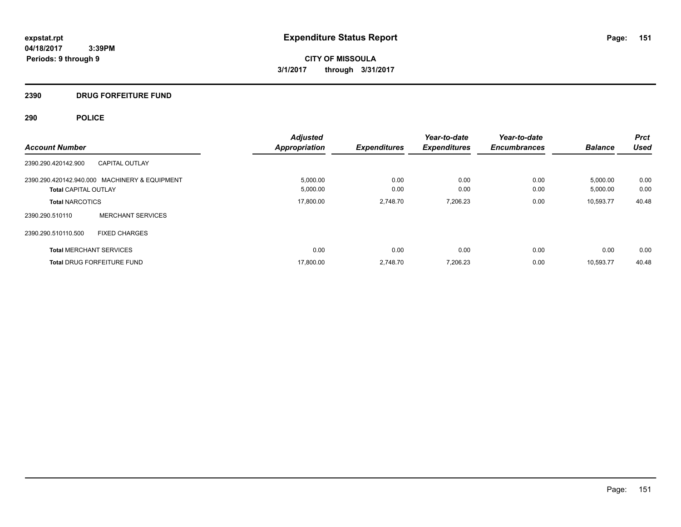# **2390 DRUG FORFEITURE FUND**

|                                               |                          | <b>Adjusted</b>      |                     | Year-to-date        | Year-to-date        |                | <b>Prct</b> |
|-----------------------------------------------|--------------------------|----------------------|---------------------|---------------------|---------------------|----------------|-------------|
| <b>Account Number</b>                         |                          | <b>Appropriation</b> | <b>Expenditures</b> | <b>Expenditures</b> | <b>Encumbrances</b> | <b>Balance</b> | <b>Used</b> |
| <b>CAPITAL OUTLAY</b><br>2390.290.420142.900  |                          |                      |                     |                     |                     |                |             |
| 2390.290.420142.940.000 MACHINERY & EQUIPMENT |                          | 5,000.00             | 0.00                | 0.00                | 0.00                | 5,000.00       | 0.00        |
| <b>Total CAPITAL OUTLAY</b>                   |                          | 5,000.00             | 0.00                | 0.00                | 0.00                | 5,000.00       | 0.00        |
| <b>Total NARCOTICS</b>                        |                          | 17,800.00            | 2,748.70            | 7,206.23            | 0.00                | 10.593.77      | 40.48       |
| 2390.290.510110                               | <b>MERCHANT SERVICES</b> |                      |                     |                     |                     |                |             |
| 2390.290.510110.500<br><b>FIXED CHARGES</b>   |                          |                      |                     |                     |                     |                |             |
| <b>Total MERCHANT SERVICES</b>                |                          | 0.00                 | 0.00                | 0.00                | 0.00                | 0.00           | 0.00        |
| Total DRUG FORFEITURE FUND                    |                          | 17,800.00            | 2.748.70            | 7,206.23            | 0.00                | 10.593.77      | 40.48       |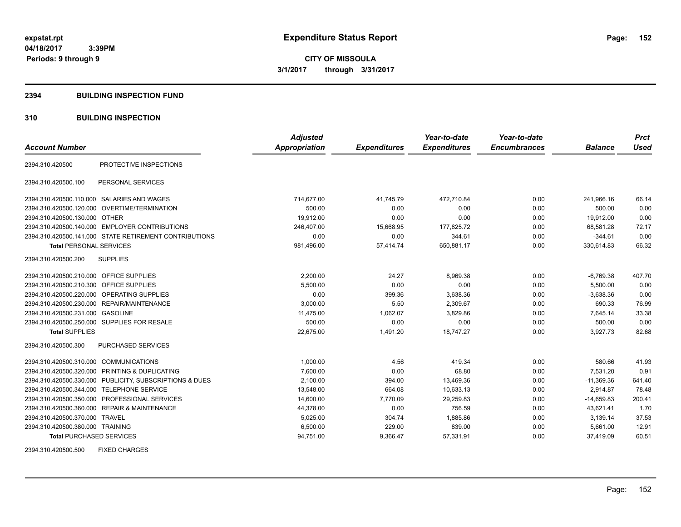# **2394 BUILDING INSPECTION FUND**

# **310 BUILDING INSPECTION**

| <b>Account Number</b>                     |                                                         | <b>Adjusted</b><br><b>Appropriation</b> | <b>Expenditures</b> | Year-to-date<br><b>Expenditures</b> | Year-to-date<br><b>Encumbrances</b> | <b>Balance</b> | <b>Prct</b><br><b>Used</b> |
|-------------------------------------------|---------------------------------------------------------|-----------------------------------------|---------------------|-------------------------------------|-------------------------------------|----------------|----------------------------|
|                                           |                                                         |                                         |                     |                                     |                                     |                |                            |
| 2394.310.420500                           | PROTECTIVE INSPECTIONS                                  |                                         |                     |                                     |                                     |                |                            |
| 2394.310.420500.100                       | PERSONAL SERVICES                                       |                                         |                     |                                     |                                     |                |                            |
|                                           | 2394.310.420500.110.000 SALARIES AND WAGES              | 714,677.00                              | 41,745.79           | 472,710.84                          | 0.00                                | 241,966.16     | 66.14                      |
|                                           | 2394.310.420500.120.000 OVERTIME/TERMINATION            | 500.00                                  | 0.00                | 0.00                                | 0.00                                | 500.00         | 0.00                       |
| 2394.310.420500.130.000 OTHER             |                                                         | 19,912.00                               | 0.00                | 0.00                                | 0.00                                | 19,912.00      | 0.00                       |
|                                           | 2394.310.420500.140.000 EMPLOYER CONTRIBUTIONS          | 246,407.00                              | 15,668.95           | 177,825.72                          | 0.00                                | 68,581.28      | 72.17                      |
|                                           | 2394.310.420500.141.000 STATE RETIREMENT CONTRIBUTIONS  | 0.00                                    | 0.00                | 344.61                              | 0.00                                | $-344.61$      | 0.00                       |
| <b>Total PERSONAL SERVICES</b>            |                                                         | 981,496.00                              | 57,414.74           | 650,881.17                          | 0.00                                | 330,614.83     | 66.32                      |
| 2394.310.420500.200                       | <b>SUPPLIES</b>                                         |                                         |                     |                                     |                                     |                |                            |
| 2394.310.420500.210.000 OFFICE SUPPLIES   |                                                         | 2,200.00                                | 24.27               | 8,969.38                            | 0.00                                | $-6,769.38$    | 407.70                     |
| 2394.310.420500.210.300 OFFICE SUPPLIES   |                                                         | 5,500.00                                | 0.00                | 0.00                                | 0.00                                | 5,500.00       | 0.00                       |
| 2394.310.420500.220.000                   | OPERATING SUPPLIES                                      | 0.00                                    | 399.36              | 3,638.36                            | 0.00                                | $-3.638.36$    | 0.00                       |
|                                           | 2394.310.420500.230.000 REPAIR/MAINTENANCE              | 3,000.00                                | 5.50                | 2,309.67                            | 0.00                                | 690.33         | 76.99                      |
| 2394.310.420500.231.000 GASOLINE          |                                                         | 11,475.00                               | 1,062.07            | 3,829.86                            | 0.00                                | 7,645.14       | 33.38                      |
|                                           | 2394.310.420500.250.000 SUPPLIES FOR RESALE             | 500.00                                  | 0.00                | 0.00                                | 0.00                                | 500.00         | 0.00                       |
| <b>Total SUPPLIES</b>                     |                                                         | 22.675.00                               | 1,491.20            | 18.747.27                           | 0.00                                | 3.927.73       | 82.68                      |
| 2394.310.420500.300                       | <b>PURCHASED SERVICES</b>                               |                                         |                     |                                     |                                     |                |                            |
| 2394.310.420500.310.000 COMMUNICATIONS    |                                                         | 1,000.00                                | 4.56                | 419.34                              | 0.00                                | 580.66         | 41.93                      |
|                                           | 2394.310.420500.320.000 PRINTING & DUPLICATING          | 7,600.00                                | 0.00                | 68.80                               | 0.00                                | 7,531.20       | 0.91                       |
|                                           | 2394.310.420500.330.000 PUBLICITY, SUBSCRIPTIONS & DUES | 2,100.00                                | 394.00              | 13,469.36                           | 0.00                                | $-11,369.36$   | 641.40                     |
| 2394.310.420500.344.000 TELEPHONE SERVICE |                                                         | 13,548.00                               | 664.08              | 10,633.13                           | 0.00                                | 2.914.87       | 78.48                      |
|                                           | 2394.310.420500.350.000 PROFESSIONAL SERVICES           | 14,600.00                               | 7,770.09            | 29,259.83                           | 0.00                                | $-14,659.83$   | 200.41                     |
|                                           | 2394.310.420500.360.000 REPAIR & MAINTENANCE            | 44,378.00                               | 0.00                | 756.59                              | 0.00                                | 43,621.41      | 1.70                       |
| 2394.310.420500.370.000 TRAVEL            |                                                         | 5,025.00                                | 304.74              | 1,885.86                            | 0.00                                | 3,139.14       | 37.53                      |
| 2394.310.420500.380.000 TRAINING          |                                                         | 6,500.00                                | 229.00              | 839.00                              | 0.00                                | 5,661.00       | 12.91                      |
| <b>Total PURCHASED SERVICES</b>           |                                                         | 94,751.00                               | 9,366.47            | 57,331.91                           | 0.00                                | 37,419.09      | 60.51                      |

2394.310.420500.500 FIXED CHARGES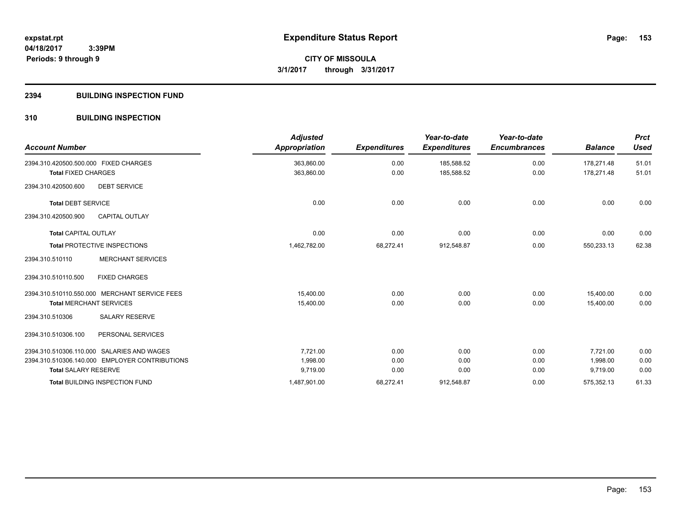# **2394 BUILDING INSPECTION FUND**

# **310 BUILDING INSPECTION**

| <b>Account Number</b>                          | <b>Adjusted</b><br><b>Appropriation</b> | <b>Expenditures</b> | Year-to-date<br><b>Expenditures</b> | Year-to-date<br><b>Encumbrances</b> | <b>Balance</b> | <b>Prct</b><br><b>Used</b> |
|------------------------------------------------|-----------------------------------------|---------------------|-------------------------------------|-------------------------------------|----------------|----------------------------|
| 2394.310.420500.500.000 FIXED CHARGES          | 363,860.00                              | 0.00                | 185,588.52                          | 0.00                                | 178,271.48     | 51.01                      |
| <b>Total FIXED CHARGES</b>                     | 363,860.00                              | 0.00                | 185,588.52                          | 0.00                                | 178,271.48     | 51.01                      |
| 2394.310.420500.600<br><b>DEBT SERVICE</b>     |                                         |                     |                                     |                                     |                |                            |
| <b>Total DEBT SERVICE</b>                      | 0.00                                    | 0.00                | 0.00                                | 0.00                                | 0.00           | 0.00                       |
| CAPITAL OUTLAY<br>2394.310.420500.900          |                                         |                     |                                     |                                     |                |                            |
| <b>Total CAPITAL OUTLAY</b>                    | 0.00                                    | 0.00                | 0.00                                | 0.00                                | 0.00           | 0.00                       |
| <b>Total PROTECTIVE INSPECTIONS</b>            | 1,462,782.00                            | 68,272.41           | 912,548.87                          | 0.00                                | 550,233.13     | 62.38                      |
| <b>MERCHANT SERVICES</b><br>2394.310.510110    |                                         |                     |                                     |                                     |                |                            |
| <b>FIXED CHARGES</b><br>2394.310.510110.500    |                                         |                     |                                     |                                     |                |                            |
| 2394.310.510110.550.000 MERCHANT SERVICE FEES  | 15.400.00                               | 0.00                | 0.00                                | 0.00                                | 15.400.00      | 0.00                       |
| <b>Total MERCHANT SERVICES</b>                 | 15,400.00                               | 0.00                | 0.00                                | 0.00                                | 15.400.00      | 0.00                       |
| <b>SALARY RESERVE</b><br>2394.310.510306       |                                         |                     |                                     |                                     |                |                            |
| PERSONAL SERVICES<br>2394.310.510306.100       |                                         |                     |                                     |                                     |                |                            |
| 2394.310.510306.110.000 SALARIES AND WAGES     | 7,721.00                                | 0.00                | 0.00                                | 0.00                                | 7,721.00       | 0.00                       |
| 2394.310.510306.140.000 EMPLOYER CONTRIBUTIONS | 1,998.00                                | 0.00                | 0.00                                | 0.00                                | 1,998.00       | 0.00                       |
| <b>Total SALARY RESERVE</b>                    | 9,719.00                                | 0.00                | 0.00                                | 0.00                                | 9,719.00       | 0.00                       |
| Total BUILDING INSPECTION FUND                 | 1,487,901.00                            | 68,272.41           | 912,548.87                          | 0.00                                | 575,352.13     | 61.33                      |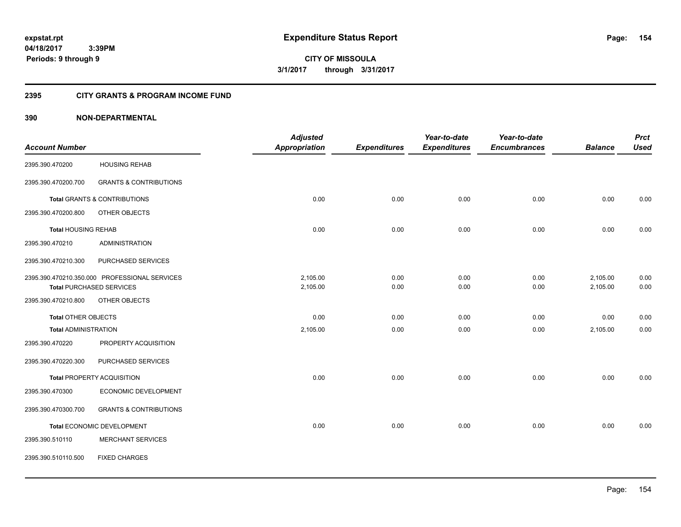**CITY OF MISSOULA 3/1/2017 through 3/31/2017**

# **2395 CITY GRANTS & PROGRAM INCOME FUND**

|                             |                                               | <b>Adjusted</b>      |                     | Year-to-date        | Year-to-date        |                | <b>Prct</b> |
|-----------------------------|-----------------------------------------------|----------------------|---------------------|---------------------|---------------------|----------------|-------------|
| <b>Account Number</b>       |                                               | <b>Appropriation</b> | <b>Expenditures</b> | <b>Expenditures</b> | <b>Encumbrances</b> | <b>Balance</b> | <b>Used</b> |
| 2395.390.470200             | <b>HOUSING REHAB</b>                          |                      |                     |                     |                     |                |             |
| 2395.390.470200.700         | <b>GRANTS &amp; CONTRIBUTIONS</b>             |                      |                     |                     |                     |                |             |
|                             | <b>Total GRANTS &amp; CONTRIBUTIONS</b>       | 0.00                 | 0.00                | 0.00                | 0.00                | 0.00           | 0.00        |
| 2395.390.470200.800         | OTHER OBJECTS                                 |                      |                     |                     |                     |                |             |
| <b>Total HOUSING REHAB</b>  |                                               | 0.00                 | 0.00                | 0.00                | 0.00                | 0.00           | 0.00        |
| 2395.390.470210             | <b>ADMINISTRATION</b>                         |                      |                     |                     |                     |                |             |
| 2395.390.470210.300         | PURCHASED SERVICES                            |                      |                     |                     |                     |                |             |
|                             | 2395.390.470210.350.000 PROFESSIONAL SERVICES | 2,105.00             | 0.00                | 0.00                | 0.00                | 2,105.00       | 0.00        |
|                             | <b>Total PURCHASED SERVICES</b>               | 2,105.00             | 0.00                | 0.00                | 0.00                | 2,105.00       | 0.00        |
| 2395.390.470210.800         | OTHER OBJECTS                                 |                      |                     |                     |                     |                |             |
| <b>Total OTHER OBJECTS</b>  |                                               | 0.00                 | 0.00                | 0.00                | 0.00                | 0.00           | 0.00        |
| <b>Total ADMINISTRATION</b> |                                               | 2,105.00             | 0.00                | 0.00                | 0.00                | 2,105.00       | 0.00        |
| 2395.390.470220             | PROPERTY ACQUISITION                          |                      |                     |                     |                     |                |             |
| 2395.390.470220.300         | PURCHASED SERVICES                            |                      |                     |                     |                     |                |             |
|                             | Total PROPERTY ACQUISITION                    | 0.00                 | 0.00                | 0.00                | 0.00                | 0.00           | 0.00        |
| 2395.390.470300             | <b>ECONOMIC DEVELOPMENT</b>                   |                      |                     |                     |                     |                |             |
| 2395.390.470300.700         | <b>GRANTS &amp; CONTRIBUTIONS</b>             |                      |                     |                     |                     |                |             |
|                             | Total ECONOMIC DEVELOPMENT                    | 0.00                 | 0.00                | 0.00                | 0.00                | 0.00           | 0.00        |
| 2395.390.510110             | <b>MERCHANT SERVICES</b>                      |                      |                     |                     |                     |                |             |
| 2395.390.510110.500         | <b>FIXED CHARGES</b>                          |                      |                     |                     |                     |                |             |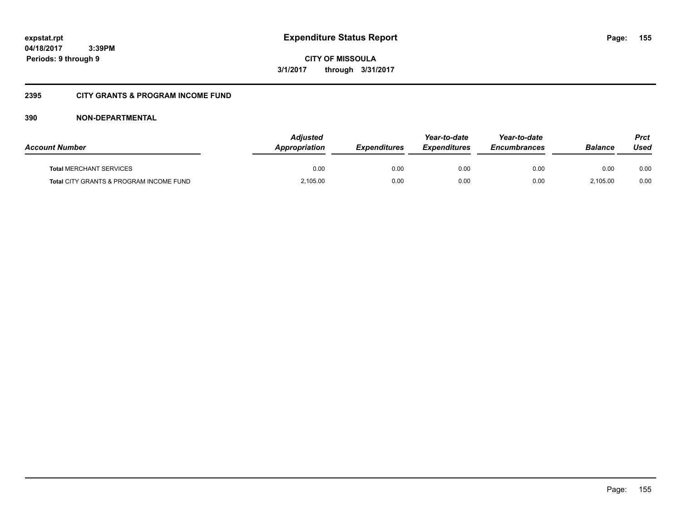**CITY OF MISSOULA 3/1/2017 through 3/31/2017**

# **2395 CITY GRANTS & PROGRAM INCOME FUND**

| <b>Account Number</b>                   | <b>Adjusted</b><br><b>Appropriation</b> | <b>Expenditures</b> | Year-to-date<br><b>Expenditures</b> | Year-to-date<br><b>Encumbrances</b> | Balance  | Prct<br>Used |
|-----------------------------------------|-----------------------------------------|---------------------|-------------------------------------|-------------------------------------|----------|--------------|
| <b>Total MERCHANT SERVICES</b>          | 0.00                                    | 0.00                | 0.00                                | 0.00                                | 0.00     | 0.00         |
| Total CITY GRANTS & PROGRAM INCOME FUND | 2,105.00                                | 0.00                | 0.00                                | 0.00                                | 2.105.00 | 0.00         |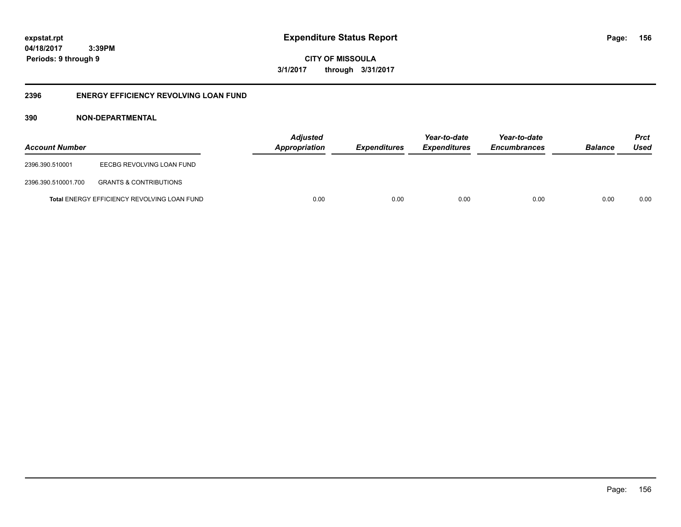**CITY OF MISSOULA 3/1/2017 through 3/31/2017**

# **2396 ENERGY EFFICIENCY REVOLVING LOAN FUND**

| <b>Account Number</b> |                                                    | <b>Adjusted</b><br>Appropriation | <b>Expenditures</b> | Year-to-date<br><i><b>Expenditures</b></i> | Year-to-date<br><b>Encumbrances</b> | <b>Balance</b> | <b>Prct</b><br>Used |
|-----------------------|----------------------------------------------------|----------------------------------|---------------------|--------------------------------------------|-------------------------------------|----------------|---------------------|
| 2396.390.510001       | EECBG REVOLVING LOAN FUND                          |                                  |                     |                                            |                                     |                |                     |
| 2396.390.510001.700   | <b>GRANTS &amp; CONTRIBUTIONS</b>                  |                                  |                     |                                            |                                     |                |                     |
|                       | <b>Total ENERGY EFFICIENCY REVOLVING LOAN FUND</b> | 0.00                             | 0.00                | 0.00                                       | 0.00                                | 0.00           | 0.00                |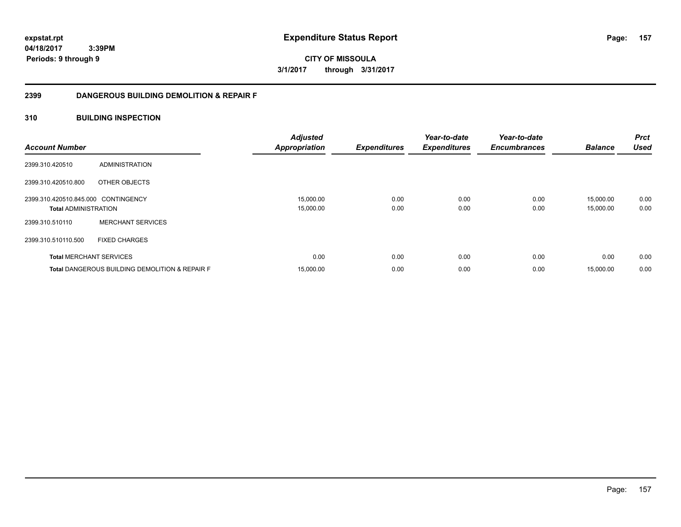**CITY OF MISSOULA 3/1/2017 through 3/31/2017**

# **2399 DANGEROUS BUILDING DEMOLITION & REPAIR F**

# **310 BUILDING INSPECTION**

| <b>Account Number</b>                                              |                                                           | <b>Adjusted</b><br><b>Appropriation</b> | <b>Expenditures</b> | Year-to-date<br><b>Expenditures</b> | Year-to-date<br><b>Encumbrances</b> | <b>Balance</b>         | <b>Prct</b><br><b>Used</b> |
|--------------------------------------------------------------------|-----------------------------------------------------------|-----------------------------------------|---------------------|-------------------------------------|-------------------------------------|------------------------|----------------------------|
| 2399.310.420510                                                    | ADMINISTRATION                                            |                                         |                     |                                     |                                     |                        |                            |
| 2399.310.420510.800                                                | OTHER OBJECTS                                             |                                         |                     |                                     |                                     |                        |                            |
| 2399.310.420510.845.000 CONTINGENCY<br><b>Total ADMINISTRATION</b> |                                                           | 15,000.00<br>15,000.00                  | 0.00<br>0.00        | 0.00<br>0.00                        | 0.00<br>0.00                        | 15,000.00<br>15,000.00 | 0.00<br>0.00               |
| 2399.310.510110                                                    | <b>MERCHANT SERVICES</b>                                  |                                         |                     |                                     |                                     |                        |                            |
| 2399.310.510110.500                                                | <b>FIXED CHARGES</b>                                      |                                         |                     |                                     |                                     |                        |                            |
| <b>Total MERCHANT SERVICES</b>                                     |                                                           | 0.00                                    | 0.00                | 0.00                                | 0.00                                | 0.00                   | 0.00                       |
|                                                                    | <b>Total DANGEROUS BUILDING DEMOLITION &amp; REPAIR F</b> | 15,000.00                               | 0.00                | 0.00                                | 0.00                                | 15,000.00              | 0.00                       |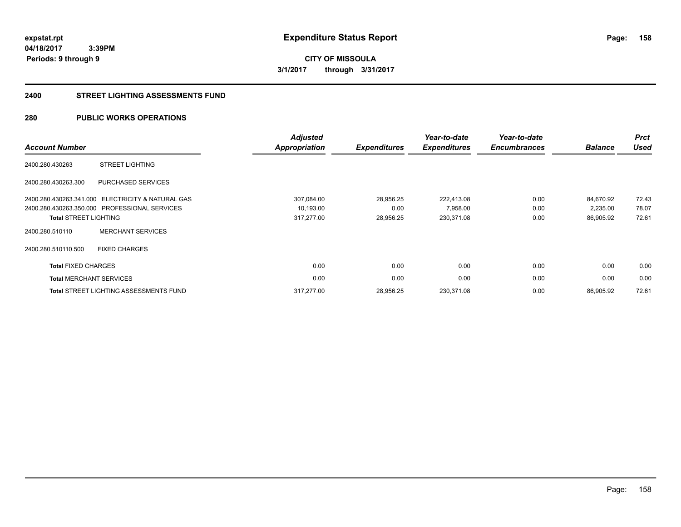**CITY OF MISSOULA 3/1/2017 through 3/31/2017**

### **2400 STREET LIGHTING ASSESSMENTS FUND**

# **280 PUBLIC WORKS OPERATIONS**

| <b>Account Number</b>          |                                                   | Adjusted<br><b>Appropriation</b> | <b>Expenditures</b> | Year-to-date<br><b>Expenditures</b> | Year-to-date<br><b>Encumbrances</b> | <b>Balance</b> | <b>Prct</b><br><b>Used</b> |
|--------------------------------|---------------------------------------------------|----------------------------------|---------------------|-------------------------------------|-------------------------------------|----------------|----------------------------|
| 2400.280.430263                | <b>STREET LIGHTING</b>                            |                                  |                     |                                     |                                     |                |                            |
| 2400.280.430263.300            | PURCHASED SERVICES                                |                                  |                     |                                     |                                     |                |                            |
|                                | 2400.280.430263.341.000 ELECTRICITY & NATURAL GAS | 307,084.00                       | 28,956.25           | 222,413.08                          | 0.00                                | 84,670.92      | 72.43                      |
|                                | 2400.280.430263.350.000 PROFESSIONAL SERVICES     | 10,193.00                        | 0.00                | 7,958.00                            | 0.00                                | 2,235.00       | 78.07                      |
| <b>Total STREET LIGHTING</b>   |                                                   | 317,277.00                       | 28,956.25           | 230,371.08                          | 0.00                                | 86,905.92      | 72.61                      |
| 2400.280.510110                | <b>MERCHANT SERVICES</b>                          |                                  |                     |                                     |                                     |                |                            |
| 2400.280.510110.500            | <b>FIXED CHARGES</b>                              |                                  |                     |                                     |                                     |                |                            |
| <b>Total FIXED CHARGES</b>     |                                                   | 0.00                             | 0.00                | 0.00                                | 0.00                                | 0.00           | 0.00                       |
| <b>Total MERCHANT SERVICES</b> |                                                   | 0.00                             | 0.00                | 0.00                                | 0.00                                | 0.00           | 0.00                       |
|                                | <b>Total STREET LIGHTING ASSESSMENTS FUND</b>     | 317,277.00                       | 28,956.25           | 230,371.08                          | 0.00                                | 86,905.92      | 72.61                      |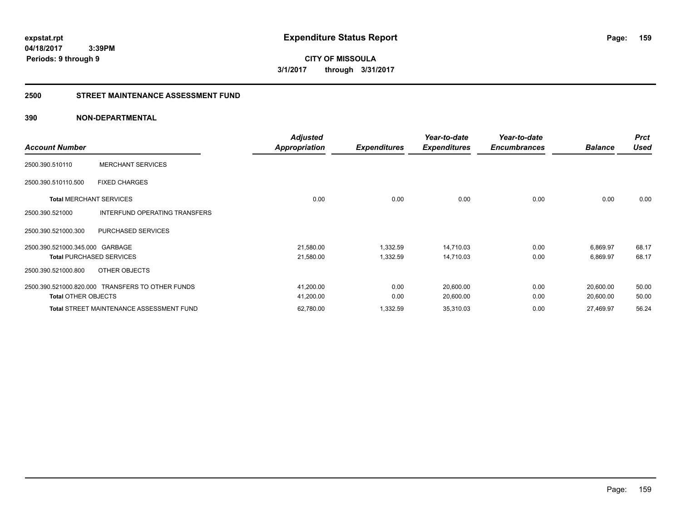**CITY OF MISSOULA 3/1/2017 through 3/31/2017**

# **2500 STREET MAINTENANCE ASSESSMENT FUND**

| <b>Account Number</b>           |                                                  | <b>Adjusted</b><br><b>Appropriation</b> | <b>Expenditures</b> | Year-to-date<br><b>Expenditures</b> | Year-to-date<br><b>Encumbrances</b> | <b>Balance</b> | <b>Prct</b><br><b>Used</b> |
|---------------------------------|--------------------------------------------------|-----------------------------------------|---------------------|-------------------------------------|-------------------------------------|----------------|----------------------------|
|                                 |                                                  |                                         |                     |                                     |                                     |                |                            |
| 2500.390.510110                 | <b>MERCHANT SERVICES</b>                         |                                         |                     |                                     |                                     |                |                            |
| 2500.390.510110.500             | <b>FIXED CHARGES</b>                             |                                         |                     |                                     |                                     |                |                            |
| <b>Total MERCHANT SERVICES</b>  |                                                  | 0.00                                    | 0.00                | 0.00                                | 0.00                                | 0.00           | 0.00                       |
| 2500.390.521000                 | <b>INTERFUND OPERATING TRANSFERS</b>             |                                         |                     |                                     |                                     |                |                            |
| 2500.390.521000.300             | PURCHASED SERVICES                               |                                         |                     |                                     |                                     |                |                            |
| 2500.390.521000.345.000 GARBAGE |                                                  | 21,580.00                               | 1,332.59            | 14,710.03                           | 0.00                                | 6,869.97       | 68.17                      |
|                                 | <b>Total PURCHASED SERVICES</b>                  | 21,580.00                               | 1,332.59            | 14,710.03                           | 0.00                                | 6,869.97       | 68.17                      |
| 2500.390.521000.800             | OTHER OBJECTS                                    |                                         |                     |                                     |                                     |                |                            |
|                                 | 2500.390.521000.820.000 TRANSFERS TO OTHER FUNDS | 41,200.00                               | 0.00                | 20,600.00                           | 0.00                                | 20,600.00      | 50.00                      |
| <b>Total OTHER OBJECTS</b>      |                                                  | 41,200.00                               | 0.00                | 20,600.00                           | 0.00                                | 20,600.00      | 50.00                      |
|                                 | <b>Total STREET MAINTENANCE ASSESSMENT FUND</b>  | 62,780.00                               | 1,332.59            | 35,310.03                           | 0.00                                | 27,469.97      | 56.24                      |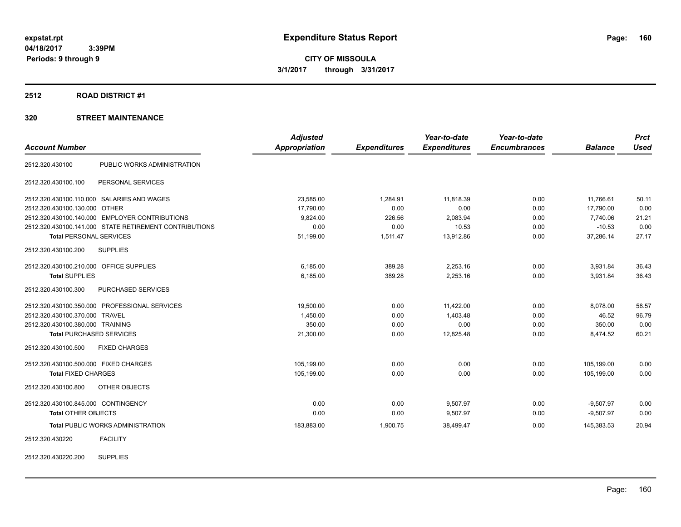### **2512 ROAD DISTRICT #1**

|                                                        | <b>Adjusted</b> |                     | Year-to-date        | Year-to-date        |                | <b>Prct</b> |
|--------------------------------------------------------|-----------------|---------------------|---------------------|---------------------|----------------|-------------|
| <b>Account Number</b>                                  | Appropriation   | <b>Expenditures</b> | <b>Expenditures</b> | <b>Encumbrances</b> | <b>Balance</b> | <b>Used</b> |
| PUBLIC WORKS ADMINISTRATION<br>2512.320.430100         |                 |                     |                     |                     |                |             |
| 2512.320.430100.100<br>PERSONAL SERVICES               |                 |                     |                     |                     |                |             |
| 2512.320.430100.110.000 SALARIES AND WAGES             | 23,585.00       | 1,284.91            | 11,818.39           | 0.00                | 11,766.61      | 50.11       |
| 2512.320.430100.130.000 OTHER                          | 17,790.00       | 0.00                | 0.00                | 0.00                | 17,790.00      | 0.00        |
| 2512.320.430100.140.000 EMPLOYER CONTRIBUTIONS         | 9,824.00        | 226.56              | 2.083.94            | 0.00                | 7.740.06       | 21.21       |
| 2512.320.430100.141.000 STATE RETIREMENT CONTRIBUTIONS | 0.00            | 0.00                | 10.53               | 0.00                | $-10.53$       | 0.00        |
| <b>Total PERSONAL SERVICES</b>                         | 51,199.00       | 1,511.47            | 13,912.86           | 0.00                | 37,286.14      | 27.17       |
| <b>SUPPLIES</b><br>2512.320.430100.200                 |                 |                     |                     |                     |                |             |
| 2512.320.430100.210.000 OFFICE SUPPLIES                | 6,185.00        | 389.28              | 2,253.16            | 0.00                | 3,931.84       | 36.43       |
| <b>Total SUPPLIES</b>                                  | 6,185.00        | 389.28              | 2,253.16            | 0.00                | 3,931.84       | 36.43       |
| 2512.320.430100.300<br>PURCHASED SERVICES              |                 |                     |                     |                     |                |             |
| 2512.320.430100.350.000 PROFESSIONAL SERVICES          | 19,500.00       | 0.00                | 11,422.00           | 0.00                | 8,078.00       | 58.57       |
| 2512.320.430100.370.000 TRAVEL                         | 1,450.00        | 0.00                | 1,403.48            | 0.00                | 46.52          | 96.79       |
| 2512.320.430100.380.000 TRAINING                       | 350.00          | 0.00                | 0.00                | 0.00                | 350.00         | 0.00        |
| <b>Total PURCHASED SERVICES</b>                        | 21,300.00       | 0.00                | 12,825.48           | 0.00                | 8,474.52       | 60.21       |
| <b>FIXED CHARGES</b><br>2512.320.430100.500            |                 |                     |                     |                     |                |             |
| 2512.320.430100.500.000 FIXED CHARGES                  | 105,199.00      | 0.00                | 0.00                | 0.00                | 105,199.00     | 0.00        |
| <b>Total FIXED CHARGES</b>                             | 105,199.00      | 0.00                | 0.00                | 0.00                | 105,199.00     | 0.00        |
| 2512.320.430100.800<br>OTHER OBJECTS                   |                 |                     |                     |                     |                |             |
| 2512.320.430100.845.000 CONTINGENCY                    | 0.00            | 0.00                | 9,507.97            | 0.00                | $-9,507.97$    | 0.00        |
| <b>Total OTHER OBJECTS</b>                             | 0.00            | 0.00                | 9,507.97            | 0.00                | $-9,507.97$    | 0.00        |
| <b>Total PUBLIC WORKS ADMINISTRATION</b>               | 183,883.00      | 1,900.75            | 38,499.47           | 0.00                | 145,383.53     | 20.94       |
| <b>FACILITY</b><br>2512.320.430220                     |                 |                     |                     |                     |                |             |
| <b>SUPPLIES</b><br>2512.320.430220.200                 |                 |                     |                     |                     |                |             |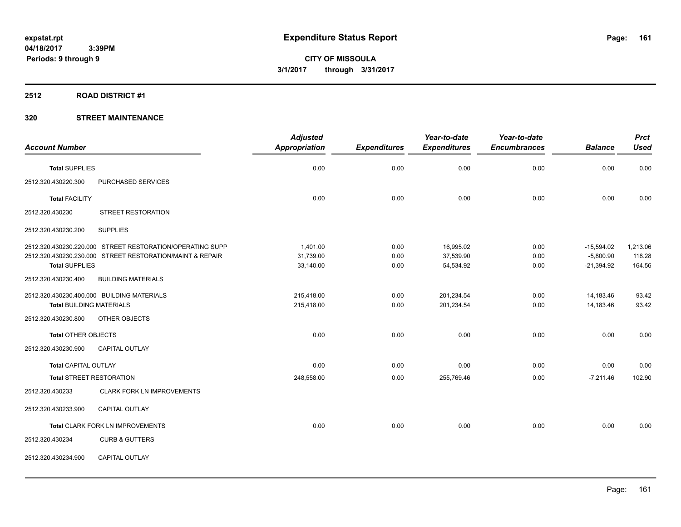# **2512 ROAD DISTRICT #1**

|                                 |                                                           | <b>Adjusted</b>      |                     | Year-to-date        | Year-to-date        |                | <b>Prct</b> |
|---------------------------------|-----------------------------------------------------------|----------------------|---------------------|---------------------|---------------------|----------------|-------------|
| <b>Account Number</b>           |                                                           | <b>Appropriation</b> | <b>Expenditures</b> | <b>Expenditures</b> | <b>Encumbrances</b> | <b>Balance</b> | <b>Used</b> |
| <b>Total SUPPLIES</b>           |                                                           | 0.00                 | 0.00                | 0.00                | 0.00                | 0.00           | 0.00        |
| 2512.320.430220.300             | PURCHASED SERVICES                                        |                      |                     |                     |                     |                |             |
| <b>Total FACILITY</b>           |                                                           | 0.00                 | 0.00                | 0.00                | 0.00                | 0.00           | 0.00        |
| 2512.320.430230                 | <b>STREET RESTORATION</b>                                 |                      |                     |                     |                     |                |             |
| 2512.320.430230.200             | <b>SUPPLIES</b>                                           |                      |                     |                     |                     |                |             |
|                                 | 2512.320.430230.220.000 STREET RESTORATION/OPERATING SUPP | 1.401.00             | 0.00                | 16,995.02           | 0.00                | $-15,594.02$   | 1,213.06    |
|                                 | 2512.320.430230.230.000 STREET RESTORATION/MAINT & REPAIR | 31,739.00            | 0.00                | 37,539.90           | 0.00                | $-5,800.90$    | 118.28      |
| <b>Total SUPPLIES</b>           |                                                           | 33,140.00            | 0.00                | 54,534.92           | 0.00                | $-21,394.92$   | 164.56      |
| 2512.320.430230.400             | <b>BUILDING MATERIALS</b>                                 |                      |                     |                     |                     |                |             |
|                                 | 2512.320.430230.400.000 BUILDING MATERIALS                | 215,418.00           | 0.00                | 201,234.54          | 0.00                | 14,183.46      | 93.42       |
| <b>Total BUILDING MATERIALS</b> |                                                           | 215,418.00           | 0.00                | 201,234.54          | 0.00                | 14,183.46      | 93.42       |
| 2512.320.430230.800             | OTHER OBJECTS                                             |                      |                     |                     |                     |                |             |
| <b>Total OTHER OBJECTS</b>      |                                                           | 0.00                 | 0.00                | 0.00                | 0.00                | 0.00           | 0.00        |
| 2512.320.430230.900             | <b>CAPITAL OUTLAY</b>                                     |                      |                     |                     |                     |                |             |
| <b>Total CAPITAL OUTLAY</b>     |                                                           | 0.00                 | 0.00                | 0.00                | 0.00                | 0.00           | 0.00        |
| <b>Total STREET RESTORATION</b> |                                                           | 248,558.00           | 0.00                | 255,769.46          | 0.00                | $-7,211.46$    | 102.90      |
| 2512.320.430233                 | <b>CLARK FORK LN IMPROVEMENTS</b>                         |                      |                     |                     |                     |                |             |
| 2512.320.430233.900             | CAPITAL OUTLAY                                            |                      |                     |                     |                     |                |             |
|                                 | Total CLARK FORK LN IMPROVEMENTS                          | 0.00                 | 0.00                | 0.00                | 0.00                | 0.00           | 0.00        |
| 2512.320.430234                 | <b>CURB &amp; GUTTERS</b>                                 |                      |                     |                     |                     |                |             |
| 2512.320.430234.900             | CAPITAL OUTLAY                                            |                      |                     |                     |                     |                |             |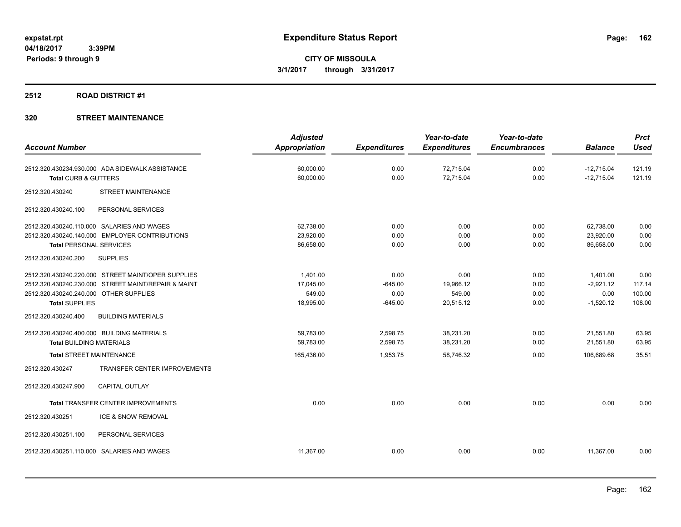# **2512 ROAD DISTRICT #1**

|                                                     | <b>Adjusted</b>      |                     | Year-to-date        | Year-to-date        |                | <b>Prct</b> |
|-----------------------------------------------------|----------------------|---------------------|---------------------|---------------------|----------------|-------------|
| <b>Account Number</b>                               | <b>Appropriation</b> | <b>Expenditures</b> | <b>Expenditures</b> | <b>Encumbrances</b> | <b>Balance</b> | <b>Used</b> |
| 2512.320.430234.930.000 ADA SIDEWALK ASSISTANCE     | 60,000.00            | 0.00                | 72,715.04           | 0.00                | $-12,715.04$   | 121.19      |
| Total CURB & GUTTERS                                | 60,000.00            | 0.00                | 72,715.04           | 0.00                | $-12,715.04$   | 121.19      |
| <b>STREET MAINTENANCE</b><br>2512.320.430240        |                      |                     |                     |                     |                |             |
| 2512.320.430240.100<br>PERSONAL SERVICES            |                      |                     |                     |                     |                |             |
| 2512.320.430240.110.000 SALARIES AND WAGES          | 62,738.00            | 0.00                | 0.00                | 0.00                | 62,738.00      | 0.00        |
| 2512.320.430240.140.000 EMPLOYER CONTRIBUTIONS      | 23,920.00            | 0.00                | 0.00                | 0.00                | 23,920.00      | 0.00        |
| <b>Total PERSONAL SERVICES</b>                      | 86,658.00            | 0.00                | 0.00                | 0.00                | 86,658.00      | 0.00        |
| 2512.320.430240.200<br><b>SUPPLIES</b>              |                      |                     |                     |                     |                |             |
| 2512.320.430240.220.000 STREET MAINT/OPER SUPPLIES  | 1.401.00             | 0.00                | 0.00                | 0.00                | 1,401.00       | 0.00        |
| 2512.320.430240.230.000 STREET MAINT/REPAIR & MAINT | 17,045.00            | $-645.00$           | 19,966.12           | 0.00                | $-2.921.12$    | 117.14      |
| 2512.320.430240.240.000 OTHER SUPPLIES              | 549.00               | 0.00                | 549.00              | 0.00                | 0.00           | 100.00      |
| <b>Total SUPPLIES</b>                               | 18,995.00            | $-645.00$           | 20,515.12           | 0.00                | $-1,520.12$    | 108.00      |
| 2512.320.430240.400<br><b>BUILDING MATERIALS</b>    |                      |                     |                     |                     |                |             |
| 2512.320.430240.400.000 BUILDING MATERIALS          | 59,783.00            | 2,598.75            | 38,231.20           | 0.00                | 21,551.80      | 63.95       |
| <b>Total BUILDING MATERIALS</b>                     | 59,783.00            | 2,598.75            | 38,231.20           | 0.00                | 21,551.80      | 63.95       |
| <b>Total STREET MAINTENANCE</b>                     | 165,436.00           | 1,953.75            | 58,746.32           | 0.00                | 106,689.68     | 35.51       |
| TRANSFER CENTER IMPROVEMENTS<br>2512.320.430247     |                      |                     |                     |                     |                |             |
| 2512.320.430247.900<br><b>CAPITAL OUTLAY</b>        |                      |                     |                     |                     |                |             |
| <b>Total TRANSFER CENTER IMPROVEMENTS</b>           | 0.00                 | 0.00                | 0.00                | 0.00                | 0.00           | 0.00        |
| 2512.320.430251<br>ICE & SNOW REMOVAL               |                      |                     |                     |                     |                |             |
| 2512.320.430251.100<br>PERSONAL SERVICES            |                      |                     |                     |                     |                |             |
| 2512.320.430251.110.000 SALARIES AND WAGES          | 11,367.00            | 0.00                | 0.00                | 0.00                | 11,367.00      | 0.00        |
|                                                     |                      |                     |                     |                     |                |             |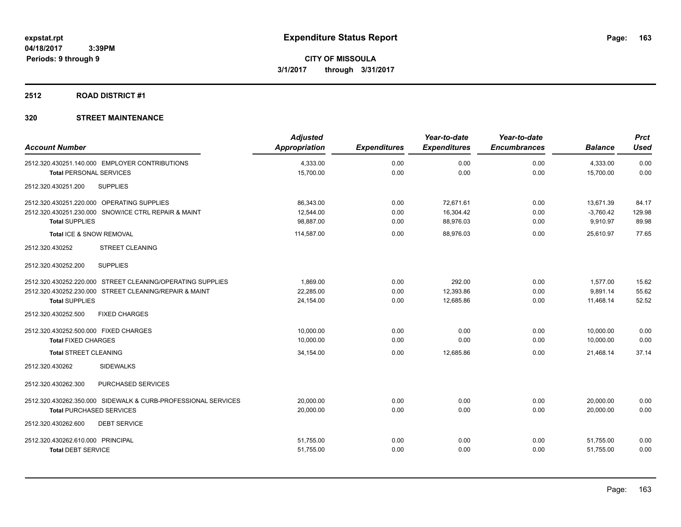# **2512 ROAD DISTRICT #1**

| <b>Account Number</b>                                                                            | <b>Adjusted</b><br><b>Appropriation</b> | <b>Expenditures</b> | Year-to-date<br><b>Expenditures</b> | Year-to-date<br><b>Encumbrances</b> | <b>Balance</b>          | <b>Prct</b><br><b>Used</b> |
|--------------------------------------------------------------------------------------------------|-----------------------------------------|---------------------|-------------------------------------|-------------------------------------|-------------------------|----------------------------|
| 2512.320.430251.140.000 EMPLOYER CONTRIBUTIONS<br><b>Total PERSONAL SERVICES</b>                 | 4,333.00<br>15,700.00                   | 0.00<br>0.00        | 0.00<br>0.00                        | 0.00<br>0.00                        | 4,333.00<br>15,700.00   | 0.00<br>0.00               |
| <b>SUPPLIES</b><br>2512.320.430251.200                                                           |                                         |                     |                                     |                                     |                         |                            |
| 2512.320.430251.220.000 OPERATING SUPPLIES                                                       | 86,343.00                               | 0.00                | 72,671.61                           | 0.00                                | 13,671.39               | 84.17                      |
| 2512.320.430251.230.000 SNOW/ICE CTRL REPAIR & MAINT<br><b>Total SUPPLIES</b>                    | 12,544.00<br>98,887.00                  | 0.00<br>0.00        | 16,304.42<br>88,976.03              | 0.00<br>0.00                        | $-3,760.42$<br>9,910.97 | 129.98<br>89.98            |
| Total ICE & SNOW REMOVAL                                                                         | 114,587.00                              | 0.00                | 88,976.03                           | 0.00                                | 25,610.97               | 77.65                      |
| <b>STREET CLEANING</b><br>2512.320.430252                                                        |                                         |                     |                                     |                                     |                         |                            |
| <b>SUPPLIES</b><br>2512.320.430252.200                                                           |                                         |                     |                                     |                                     |                         |                            |
| 2512.320.430252.220.000 STREET CLEANING/OPERATING SUPPLIES                                       | 1,869.00                                | 0.00                | 292.00                              | 0.00                                | 1,577.00                | 15.62                      |
| 2512.320.430252.230.000 STREET CLEANING/REPAIR & MAINT<br><b>Total SUPPLIES</b>                  | 22.285.00<br>24,154.00                  | 0.00<br>0.00        | 12,393.86<br>12,685.86              | 0.00<br>0.00                        | 9.891.14<br>11,468.14   | 55.62<br>52.52             |
| 2512.320.430252.500<br><b>FIXED CHARGES</b>                                                      |                                         |                     |                                     |                                     |                         |                            |
| 2512.320.430252.500.000 FIXED CHARGES<br><b>Total FIXED CHARGES</b>                              | 10.000.00<br>10,000.00                  | 0.00<br>0.00        | 0.00<br>0.00                        | 0.00<br>0.00                        | 10.000.00<br>10,000.00  | 0.00<br>0.00               |
| <b>Total STREET CLEANING</b>                                                                     | 34,154.00                               | 0.00                | 12,685.86                           | 0.00                                | 21.468.14               | 37.14                      |
| <b>SIDEWALKS</b><br>2512.320.430262                                                              |                                         |                     |                                     |                                     |                         |                            |
| PURCHASED SERVICES<br>2512.320.430262.300                                                        |                                         |                     |                                     |                                     |                         |                            |
| 2512.320.430262.350.000 SIDEWALK & CURB-PROFESSIONAL SERVICES<br><b>Total PURCHASED SERVICES</b> | 20,000.00<br>20,000.00                  | 0.00<br>0.00        | 0.00<br>0.00                        | 0.00<br>0.00                        | 20,000.00<br>20,000.00  | 0.00<br>0.00               |
| <b>DEBT SERVICE</b><br>2512.320.430262.600                                                       |                                         |                     |                                     |                                     |                         |                            |
| 2512.320.430262.610.000 PRINCIPAL<br><b>Total DEBT SERVICE</b>                                   | 51,755.00<br>51,755.00                  | 0.00<br>0.00        | 0.00<br>0.00                        | 0.00<br>0.00                        | 51,755.00<br>51,755.00  | 0.00<br>0.00               |
|                                                                                                  |                                         |                     |                                     |                                     |                         |                            |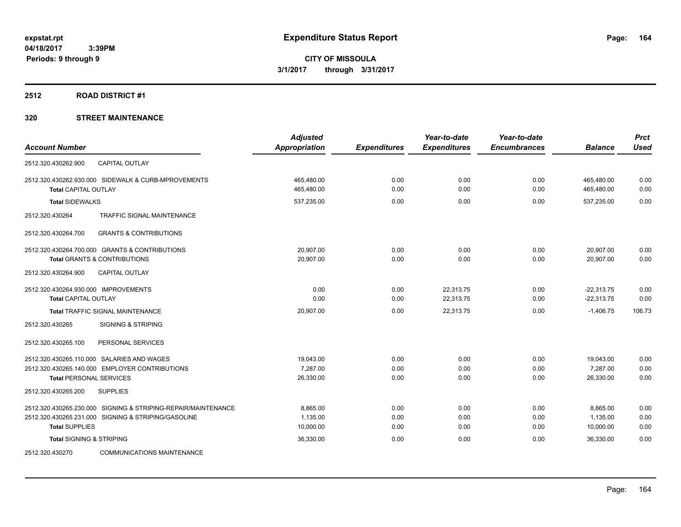### **2512 ROAD DISTRICT #1**

|                                                               | <b>Adjusted</b>      |                     | Year-to-date        | Year-to-date        |                | <b>Prct</b> |
|---------------------------------------------------------------|----------------------|---------------------|---------------------|---------------------|----------------|-------------|
| <b>Account Number</b>                                         | <b>Appropriation</b> | <b>Expenditures</b> | <b>Expenditures</b> | <b>Encumbrances</b> | <b>Balance</b> | <b>Used</b> |
| <b>CAPITAL OUTLAY</b><br>2512.320.430262.900                  |                      |                     |                     |                     |                |             |
| 2512.320.430262.930.000 SIDEWALK & CURB-MPROVEMENTS           | 465,480.00           | 0.00                | 0.00                | 0.00                | 465,480.00     | 0.00        |
| <b>Total CAPITAL OUTLAY</b>                                   | 465,480.00           | 0.00                | 0.00                | 0.00                | 465,480.00     | 0.00        |
| <b>Total SIDEWALKS</b>                                        | 537,235.00           | 0.00                | 0.00                | 0.00                | 537,235.00     | 0.00        |
| <b>TRAFFIC SIGNAL MAINTENANCE</b><br>2512.320.430264          |                      |                     |                     |                     |                |             |
| 2512.320.430264.700<br><b>GRANTS &amp; CONTRIBUTIONS</b>      |                      |                     |                     |                     |                |             |
| 2512.320.430264.700.000 GRANTS & CONTRIBUTIONS                | 20,907.00            | 0.00                | 0.00                | 0.00                | 20,907.00      | 0.00        |
| <b>Total GRANTS &amp; CONTRIBUTIONS</b>                       | 20,907.00            | 0.00                | 0.00                | 0.00                | 20,907.00      | 0.00        |
| 2512.320.430264.900<br><b>CAPITAL OUTLAY</b>                  |                      |                     |                     |                     |                |             |
| 2512.320.430264.930.000 IMPROVEMENTS                          | 0.00                 | 0.00                | 22,313.75           | 0.00                | $-22,313.75$   | 0.00        |
| <b>Total CAPITAL OUTLAY</b>                                   | 0.00                 | 0.00                | 22,313.75           | 0.00                | $-22,313.75$   | 0.00        |
| Total TRAFFIC SIGNAL MAINTENANCE                              | 20,907.00            | 0.00                | 22,313.75           | 0.00                | $-1,406.75$    | 106.73      |
| 2512.320.430265<br><b>SIGNING &amp; STRIPING</b>              |                      |                     |                     |                     |                |             |
| 2512.320.430265.100<br>PERSONAL SERVICES                      |                      |                     |                     |                     |                |             |
| 2512.320.430265.110.000 SALARIES AND WAGES                    | 19,043.00            | 0.00                | 0.00                | 0.00                | 19,043.00      | 0.00        |
| 2512.320.430265.140.000 EMPLOYER CONTRIBUTIONS                | 7.287.00             | 0.00                | 0.00                | 0.00                | 7,287.00       | 0.00        |
| <b>Total PERSONAL SERVICES</b>                                | 26,330.00            | 0.00                | 0.00                | 0.00                | 26,330.00      | 0.00        |
| 2512.320.430265.200<br><b>SUPPLIES</b>                        |                      |                     |                     |                     |                |             |
| 2512.320.430265.230.000 SIGNING & STRIPING-REPAIR/MAINTENANCE | 8,865.00             | 0.00                | 0.00                | 0.00                | 8,865.00       | 0.00        |
| 2512.320.430265.231.000 SIGNING & STRIPING/GASOLINE           | 1,135.00             | 0.00                | 0.00                | 0.00                | 1,135.00       | 0.00        |
| <b>Total SUPPLIES</b>                                         | 10,000.00            | 0.00                | 0.00                | 0.00                | 10,000.00      | 0.00        |
| <b>Total SIGNING &amp; STRIPING</b>                           | 36,330.00            | 0.00                | 0.00                | 0.00                | 36,330.00      | 0.00        |
| 2512.320.430270<br><b>COMMUNICATIONS MAINTENANCE</b>          |                      |                     |                     |                     |                |             |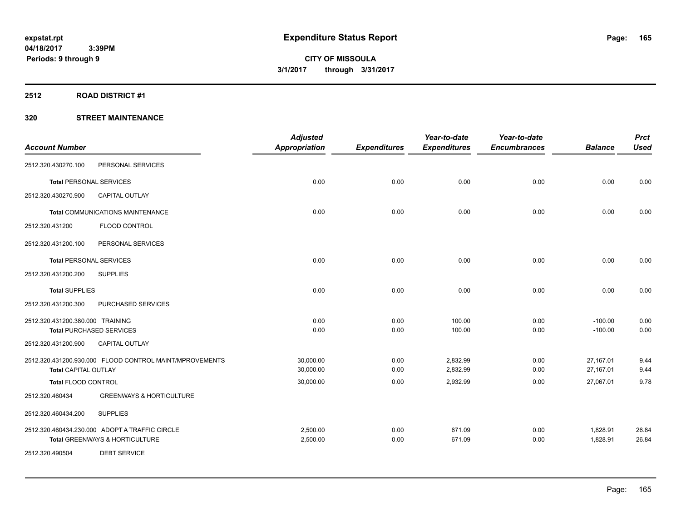# **2512 ROAD DISTRICT #1**

|                                  |                                                         | <b>Adjusted</b>      |                     | Year-to-date        | Year-to-date        |                | <b>Prct</b> |
|----------------------------------|---------------------------------------------------------|----------------------|---------------------|---------------------|---------------------|----------------|-------------|
| <b>Account Number</b>            |                                                         | <b>Appropriation</b> | <b>Expenditures</b> | <b>Expenditures</b> | <b>Encumbrances</b> | <b>Balance</b> | <b>Used</b> |
| 2512.320.430270.100              | PERSONAL SERVICES                                       |                      |                     |                     |                     |                |             |
| <b>Total PERSONAL SERVICES</b>   |                                                         | 0.00                 | 0.00                | 0.00                | 0.00                | 0.00           | 0.00        |
| 2512.320.430270.900              | <b>CAPITAL OUTLAY</b>                                   |                      |                     |                     |                     |                |             |
|                                  | <b>Total COMMUNICATIONS MAINTENANCE</b>                 | 0.00                 | 0.00                | 0.00                | 0.00                | 0.00           | 0.00        |
| 2512.320.431200                  | FLOOD CONTROL                                           |                      |                     |                     |                     |                |             |
| 2512.320.431200.100              | PERSONAL SERVICES                                       |                      |                     |                     |                     |                |             |
| <b>Total PERSONAL SERVICES</b>   |                                                         | 0.00                 | 0.00                | 0.00                | 0.00                | 0.00           | 0.00        |
| 2512.320.431200.200              | <b>SUPPLIES</b>                                         |                      |                     |                     |                     |                |             |
| <b>Total SUPPLIES</b>            |                                                         | 0.00                 | 0.00                | 0.00                | 0.00                | 0.00           | 0.00        |
| 2512.320.431200.300              | PURCHASED SERVICES                                      |                      |                     |                     |                     |                |             |
| 2512.320.431200.380.000 TRAINING |                                                         | 0.00                 | 0.00                | 100.00              | 0.00                | $-100.00$      | 0.00        |
|                                  | <b>Total PURCHASED SERVICES</b>                         | 0.00                 | 0.00                | 100.00              | 0.00                | $-100.00$      | 0.00        |
| 2512.320.431200.900              | CAPITAL OUTLAY                                          |                      |                     |                     |                     |                |             |
|                                  | 2512.320.431200.930.000 FLOOD CONTROL MAINT/MPROVEMENTS | 30,000.00            | 0.00                | 2,832.99            | 0.00                | 27,167.01      | 9.44        |
| <b>Total CAPITAL OUTLAY</b>      |                                                         | 30,000.00            | 0.00                | 2,832.99            | 0.00                | 27,167.01      | 9.44        |
| <b>Total FLOOD CONTROL</b>       |                                                         | 30,000.00            | 0.00                | 2,932.99            | 0.00                | 27,067.01      | 9.78        |
| 2512.320.460434                  | <b>GREENWAYS &amp; HORTICULTURE</b>                     |                      |                     |                     |                     |                |             |
| 2512.320.460434.200              | <b>SUPPLIES</b>                                         |                      |                     |                     |                     |                |             |
|                                  | 2512.320.460434.230.000 ADOPT A TRAFFIC CIRCLE          | 2,500.00             | 0.00                | 671.09              | 0.00                | 1,828.91       | 26.84       |
|                                  | <b>Total GREENWAYS &amp; HORTICULTURE</b>               | 2,500.00             | 0.00                | 671.09              | 0.00                | 1,828.91       | 26.84       |
| 2512.320.490504                  | <b>DEBT SERVICE</b>                                     |                      |                     |                     |                     |                |             |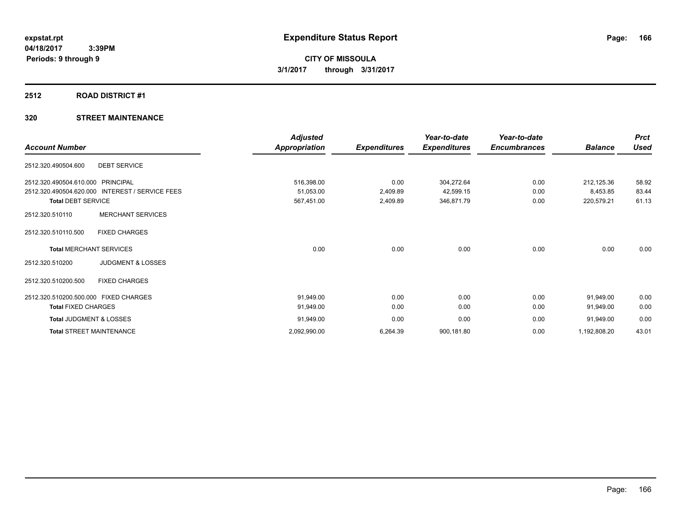# **2512 ROAD DISTRICT #1**

| <b>Account Number</b>                           | <b>Adjusted</b><br>Appropriation | <b>Expenditures</b> | Year-to-date<br><b>Expenditures</b> | Year-to-date<br><b>Encumbrances</b> | <b>Balance</b> | <b>Prct</b><br><b>Used</b> |
|-------------------------------------------------|----------------------------------|---------------------|-------------------------------------|-------------------------------------|----------------|----------------------------|
| <b>DEBT SERVICE</b><br>2512.320.490504.600      |                                  |                     |                                     |                                     |                |                            |
| 2512.320.490504.610.000<br>PRINCIPAL            | 516,398.00                       | 0.00                | 304,272.64                          | 0.00                                | 212,125.36     | 58.92                      |
| 2512.320.490504.620.000 INTEREST / SERVICE FEES | 51,053.00                        | 2,409.89            | 42,599.15                           | 0.00                                | 8,453.85       | 83.44                      |
| <b>Total DEBT SERVICE</b>                       | 567,451.00                       | 2,409.89            | 346,871.79                          | 0.00                                | 220,579.21     | 61.13                      |
| <b>MERCHANT SERVICES</b><br>2512.320.510110     |                                  |                     |                                     |                                     |                |                            |
| 2512.320.510110.500<br><b>FIXED CHARGES</b>     |                                  |                     |                                     |                                     |                |                            |
| <b>Total MERCHANT SERVICES</b>                  | 0.00                             | 0.00                | 0.00                                | 0.00                                | 0.00           | 0.00                       |
| <b>JUDGMENT &amp; LOSSES</b><br>2512.320.510200 |                                  |                     |                                     |                                     |                |                            |
| <b>FIXED CHARGES</b><br>2512.320.510200.500     |                                  |                     |                                     |                                     |                |                            |
| 2512.320.510200.500.000 FIXED CHARGES           | 91,949.00                        | 0.00                | 0.00                                | 0.00                                | 91,949.00      | 0.00                       |
| <b>Total FIXED CHARGES</b>                      | 91,949.00                        | 0.00                | 0.00                                | 0.00                                | 91,949.00      | 0.00                       |
| Total JUDGMENT & LOSSES                         | 91,949.00                        | 0.00                | 0.00                                | 0.00                                | 91,949.00      | 0.00                       |
| <b>Total STREET MAINTENANCE</b>                 | 2,092,990.00                     | 6,264.39            | 900,181.80                          | 0.00                                | 1,192,808.20   | 43.01                      |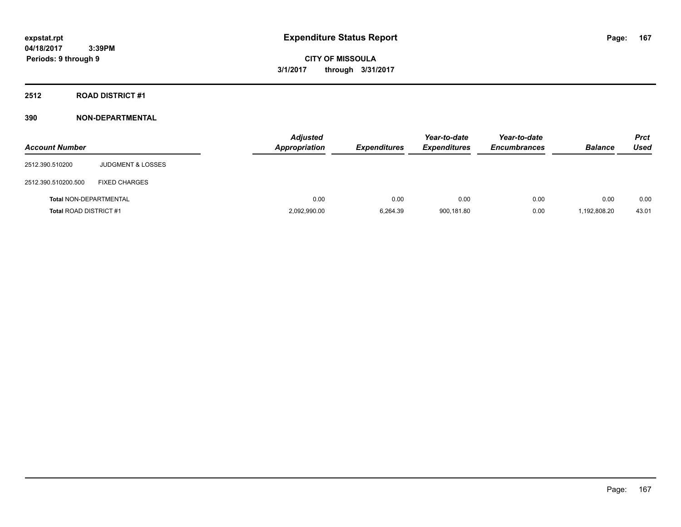# **2512 ROAD DISTRICT #1**

| <b>Account Number</b>         |                              | <b>Adjusted</b><br><b>Appropriation</b> | <b>Expenditures</b> | Year-to-date<br><b>Expenditures</b> | Year-to-date<br><b>Encumbrances</b> | <b>Balance</b> | Prct<br><b>Used</b> |
|-------------------------------|------------------------------|-----------------------------------------|---------------------|-------------------------------------|-------------------------------------|----------------|---------------------|
| 2512.390.510200               | <b>JUDGMENT &amp; LOSSES</b> |                                         |                     |                                     |                                     |                |                     |
| 2512.390.510200.500           | <b>FIXED CHARGES</b>         |                                         |                     |                                     |                                     |                |                     |
| <b>Total NON-DEPARTMENTAL</b> |                              | 0.00                                    | 0.00                | 0.00                                | 0.00                                | 0.00           | 0.00                |
| <b>Total ROAD DISTRICT #1</b> |                              | 2,092,990.00                            | 6,264.39            | 900,181.80                          | 0.00                                | 1,192,808.20   | 43.01               |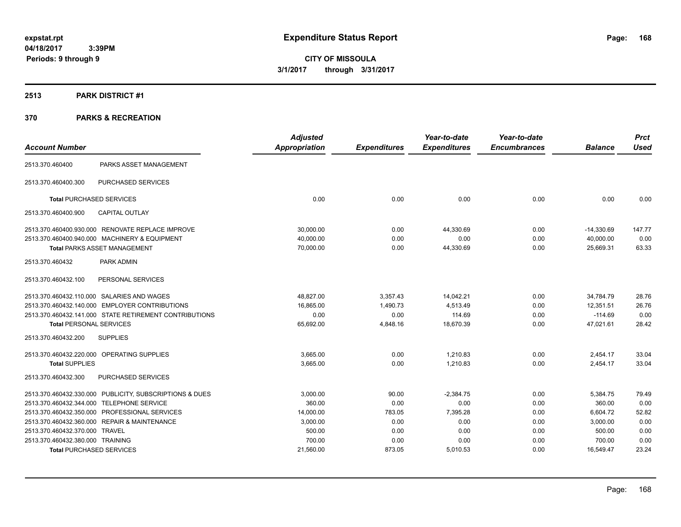# **2513 PARK DISTRICT #1**

| <b>Account Number</b>            |                                                         | <b>Adjusted</b><br><b>Appropriation</b> | <b>Expenditures</b> | Year-to-date<br><b>Expenditures</b> | Year-to-date<br><b>Encumbrances</b> | <b>Balance</b> | <b>Prct</b><br><b>Used</b> |
|----------------------------------|---------------------------------------------------------|-----------------------------------------|---------------------|-------------------------------------|-------------------------------------|----------------|----------------------------|
|                                  |                                                         |                                         |                     |                                     |                                     |                |                            |
| 2513.370.460400                  | PARKS ASSET MANAGEMENT                                  |                                         |                     |                                     |                                     |                |                            |
| 2513.370.460400.300              | <b>PURCHASED SERVICES</b>                               |                                         |                     |                                     |                                     |                |                            |
| <b>Total PURCHASED SERVICES</b>  |                                                         | 0.00                                    | 0.00                | 0.00                                | 0.00                                | 0.00           | 0.00                       |
| 2513.370.460400.900              | <b>CAPITAL OUTLAY</b>                                   |                                         |                     |                                     |                                     |                |                            |
|                                  | 2513.370.460400.930.000 RENOVATE REPLACE IMPROVE        | 30,000.00                               | 0.00                | 44,330.69                           | 0.00                                | $-14,330.69$   | 147.77                     |
|                                  | 2513.370.460400.940.000 MACHINERY & EQUIPMENT           | 40.000.00                               | 0.00                | 0.00                                | 0.00                                | 40,000.00      | 0.00                       |
|                                  | <b>Total PARKS ASSET MANAGEMENT</b>                     | 70,000.00                               | 0.00                | 44,330.69                           | 0.00                                | 25,669.31      | 63.33                      |
| 2513.370.460432                  | PARK ADMIN                                              |                                         |                     |                                     |                                     |                |                            |
| 2513.370.460432.100              | PERSONAL SERVICES                                       |                                         |                     |                                     |                                     |                |                            |
|                                  | 2513.370.460432.110.000 SALARIES AND WAGES              | 48,827.00                               | 3,357.43            | 14,042.21                           | 0.00                                | 34,784.79      | 28.76                      |
|                                  | 2513.370.460432.140.000 EMPLOYER CONTRIBUTIONS          | 16,865.00                               | 1,490.73            | 4,513.49                            | 0.00                                | 12,351.51      | 26.76                      |
|                                  | 2513.370.460432.141.000 STATE RETIREMENT CONTRIBUTIONS  | 0.00                                    | 0.00                | 114.69                              | 0.00                                | $-114.69$      | 0.00                       |
| <b>Total PERSONAL SERVICES</b>   |                                                         | 65,692.00                               | 4,848.16            | 18,670.39                           | 0.00                                | 47,021.61      | 28.42                      |
| 2513.370.460432.200              | <b>SUPPLIES</b>                                         |                                         |                     |                                     |                                     |                |                            |
|                                  | 2513.370.460432.220.000 OPERATING SUPPLIES              | 3,665.00                                | 0.00                | 1,210.83                            | 0.00                                | 2,454.17       | 33.04                      |
| <b>Total SUPPLIES</b>            |                                                         | 3,665.00                                | 0.00                | 1,210.83                            | 0.00                                | 2,454.17       | 33.04                      |
| 2513.370.460432.300              | <b>PURCHASED SERVICES</b>                               |                                         |                     |                                     |                                     |                |                            |
|                                  | 2513.370.460432.330.000 PUBLICITY, SUBSCRIPTIONS & DUES | 3,000.00                                | 90.00               | $-2,384.75$                         | 0.00                                | 5,384.75       | 79.49                      |
|                                  | 2513.370.460432.344.000 TELEPHONE SERVICE               | 360.00                                  | 0.00                | 0.00                                | 0.00                                | 360.00         | 0.00                       |
|                                  | 2513.370.460432.350.000 PROFESSIONAL SERVICES           | 14,000.00                               | 783.05              | 7,395.28                            | 0.00                                | 6,604.72       | 52.82                      |
|                                  | 2513.370.460432.360.000 REPAIR & MAINTENANCE            | 3,000.00                                | 0.00                | 0.00                                | 0.00                                | 3,000.00       | 0.00                       |
| 2513.370.460432.370.000 TRAVEL   |                                                         | 500.00                                  | 0.00                | 0.00                                | 0.00                                | 500.00         | 0.00                       |
| 2513.370.460432.380.000 TRAINING |                                                         | 700.00                                  | 0.00                | 0.00                                | 0.00                                | 700.00         | 0.00                       |
| <b>Total PURCHASED SERVICES</b>  |                                                         | 21,560.00                               | 873.05              | 5,010.53                            | 0.00                                | 16,549.47      | 23.24                      |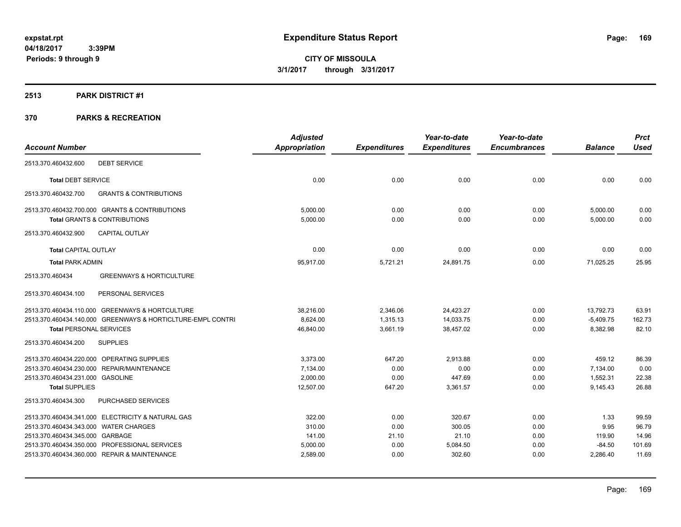### **2513 PARK DISTRICT #1**

|                                                             | <b>Adjusted</b>      |                     | Year-to-date        | Year-to-date        |                | <b>Prct</b> |
|-------------------------------------------------------------|----------------------|---------------------|---------------------|---------------------|----------------|-------------|
| <b>Account Number</b>                                       | <b>Appropriation</b> | <b>Expenditures</b> | <b>Expenditures</b> | <b>Encumbrances</b> | <b>Balance</b> | <b>Used</b> |
| <b>DEBT SERVICE</b><br>2513.370.460432.600                  |                      |                     |                     |                     |                |             |
| <b>Total DEBT SERVICE</b>                                   | 0.00                 | 0.00                | 0.00                | 0.00                | 0.00           | 0.00        |
| <b>GRANTS &amp; CONTRIBUTIONS</b><br>2513.370.460432.700    |                      |                     |                     |                     |                |             |
| 2513.370.460432.700.000 GRANTS & CONTRIBUTIONS              | 5,000.00             | 0.00                | 0.00                | 0.00                | 5,000.00       | 0.00        |
| <b>Total GRANTS &amp; CONTRIBUTIONS</b>                     | 5,000.00             | 0.00                | 0.00                | 0.00                | 5,000.00       | 0.00        |
| <b>CAPITAL OUTLAY</b><br>2513.370.460432.900                |                      |                     |                     |                     |                |             |
| <b>Total CAPITAL OUTLAY</b>                                 | 0.00                 | 0.00                | 0.00                | 0.00                | 0.00           | 0.00        |
| <b>Total PARK ADMIN</b>                                     | 95,917.00            | 5,721.21            | 24,891.75           | 0.00                | 71,025.25      | 25.95       |
| <b>GREENWAYS &amp; HORTICULTURE</b><br>2513.370.460434      |                      |                     |                     |                     |                |             |
| 2513.370.460434.100<br>PERSONAL SERVICES                    |                      |                     |                     |                     |                |             |
| 2513.370.460434.110.000 GREENWAYS & HORTCULTURE             | 38,216.00            | 2,346.06            | 24,423.27           | 0.00                | 13,792.73      | 63.91       |
| 2513.370.460434.140.000 GREENWAYS & HORTICLTURE-EMPL CONTRI | 8,624.00             | 1,315.13            | 14,033.75           | 0.00                | $-5,409.75$    | 162.73      |
| <b>Total PERSONAL SERVICES</b>                              | 46,840.00            | 3,661.19            | 38,457.02           | 0.00                | 8,382.98       | 82.10       |
| 2513.370.460434.200<br><b>SUPPLIES</b>                      |                      |                     |                     |                     |                |             |
| 2513.370.460434.220.000 OPERATING SUPPLIES                  | 3,373.00             | 647.20              | 2,913.88            | 0.00                | 459.12         | 86.39       |
| 2513.370.460434.230.000 REPAIR/MAINTENANCE                  | 7,134.00             | 0.00                | 0.00                | 0.00                | 7,134.00       | 0.00        |
| 2513.370.460434.231.000 GASOLINE                            | 2,000.00             | 0.00                | 447.69              | 0.00                | 1,552.31       | 22.38       |
| <b>Total SUPPLIES</b>                                       | 12,507.00            | 647.20              | 3,361.57            | 0.00                | 9,145.43       | 26.88       |
| PURCHASED SERVICES<br>2513.370.460434.300                   |                      |                     |                     |                     |                |             |
| 2513.370.460434.341.000 ELECTRICITY & NATURAL GAS           | 322.00               | 0.00                | 320.67              | 0.00                | 1.33           | 99.59       |
| 2513.370.460434.343.000 WATER CHARGES                       | 310.00               | 0.00                | 300.05              | 0.00                | 9.95           | 96.79       |
| 2513.370.460434.345.000 GARBAGE                             | 141.00               | 21.10               | 21.10               | 0.00                | 119.90         | 14.96       |
| 2513.370.460434.350.000 PROFESSIONAL SERVICES               | 5,000.00             | 0.00                | 5,084.50            | 0.00                | $-84.50$       | 101.69      |
| 2513.370.460434.360.000 REPAIR & MAINTENANCE                | 2,589.00             | 0.00                | 302.60              | 0.00                | 2,286.40       | 11.69       |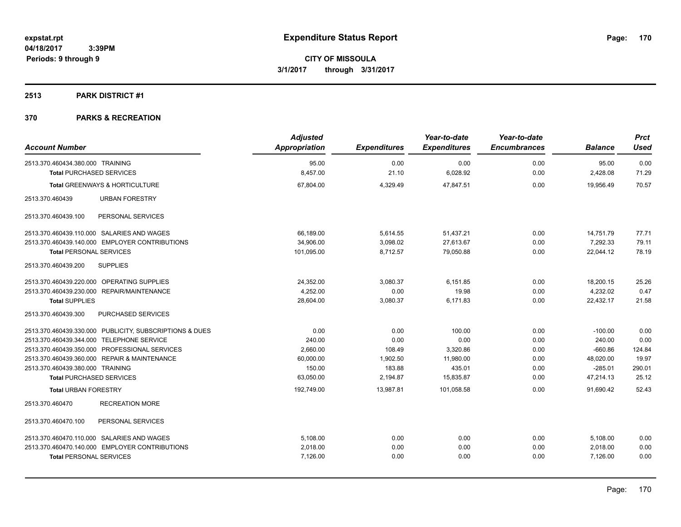# **2513 PARK DISTRICT #1**

| <b>Account Number</b>                                   | <b>Adjusted</b><br>Appropriation | <b>Expenditures</b> | Year-to-date<br><b>Expenditures</b> | Year-to-date<br><b>Encumbrances</b> | <b>Balance</b> | <b>Prct</b><br><b>Used</b> |
|---------------------------------------------------------|----------------------------------|---------------------|-------------------------------------|-------------------------------------|----------------|----------------------------|
| 2513.370.460434.380.000 TRAINING                        | 95.00                            | 0.00                | 0.00                                | 0.00                                | 95.00          | 0.00                       |
| <b>Total PURCHASED SERVICES</b>                         | 8,457.00                         | 21.10               | 6,028.92                            | 0.00                                | 2,428.08       | 71.29                      |
| <b>Total GREENWAYS &amp; HORTICULTURE</b>               | 67,804.00                        | 4,329.49            | 47,847.51                           | 0.00                                | 19,956.49      | 70.57                      |
| 2513.370.460439<br><b>URBAN FORESTRY</b>                |                                  |                     |                                     |                                     |                |                            |
| 2513.370.460439.100<br>PERSONAL SERVICES                |                                  |                     |                                     |                                     |                |                            |
| 2513.370.460439.110.000 SALARIES AND WAGES              | 66,189.00                        | 5,614.55            | 51,437.21                           | 0.00                                | 14,751.79      | 77.71                      |
| 2513.370.460439.140.000 EMPLOYER CONTRIBUTIONS          | 34,906.00                        | 3,098.02            | 27,613.67                           | 0.00                                | 7,292.33       | 79.11                      |
| <b>Total PERSONAL SERVICES</b>                          | 101,095.00                       | 8,712.57            | 79,050.88                           | 0.00                                | 22,044.12      | 78.19                      |
| <b>SUPPLIES</b><br>2513.370.460439.200                  |                                  |                     |                                     |                                     |                |                            |
| 2513.370.460439.220.000 OPERATING SUPPLIES              | 24.352.00                        | 3.080.37            | 6.151.85                            | 0.00                                | 18.200.15      | 25.26                      |
| 2513.370.460439.230.000<br>REPAIR/MAINTENANCE           | 4,252.00                         | 0.00                | 19.98                               | 0.00                                | 4,232.02       | 0.47                       |
| <b>Total SUPPLIES</b>                                   | 28,604.00                        | 3,080.37            | 6,171.83                            | 0.00                                | 22,432.17      | 21.58                      |
| PURCHASED SERVICES<br>2513.370.460439.300               |                                  |                     |                                     |                                     |                |                            |
| 2513.370.460439.330.000 PUBLICITY, SUBSCRIPTIONS & DUES | 0.00                             | 0.00                | 100.00                              | 0.00                                | $-100.00$      | 0.00                       |
| 2513.370.460439.344.000 TELEPHONE SERVICE               | 240.00                           | 0.00                | 0.00                                | 0.00                                | 240.00         | 0.00                       |
| 2513.370.460439.350.000 PROFESSIONAL SERVICES           | 2,660.00                         | 108.49              | 3,320.86                            | 0.00                                | $-660.86$      | 124.84                     |
| 2513.370.460439.360.000 REPAIR & MAINTENANCE            | 60,000.00                        | 1,902.50            | 11,980.00                           | 0.00                                | 48,020.00      | 19.97                      |
| 2513.370.460439.380.000 TRAINING                        | 150.00                           | 183.88              | 435.01                              | 0.00                                | $-285.01$      | 290.01                     |
| <b>Total PURCHASED SERVICES</b>                         | 63,050.00                        | 2,194.87            | 15,835.87                           | 0.00                                | 47,214.13      | 25.12                      |
| <b>Total URBAN FORESTRY</b>                             | 192,749.00                       | 13,987.81           | 101.058.58                          | 0.00                                | 91.690.42      | 52.43                      |
| <b>RECREATION MORE</b><br>2513.370.460470               |                                  |                     |                                     |                                     |                |                            |
| 2513.370.460470.100<br>PERSONAL SERVICES                |                                  |                     |                                     |                                     |                |                            |
| 2513.370.460470.110.000 SALARIES AND WAGES              | 5,108.00                         | 0.00                | 0.00                                | 0.00                                | 5,108.00       | 0.00                       |
| 2513.370.460470.140.000 EMPLOYER CONTRIBUTIONS          | 2,018.00                         | 0.00                | 0.00                                | 0.00                                | 2,018.00       | 0.00                       |
| <b>Total PERSONAL SERVICES</b>                          | 7,126.00                         | 0.00                | 0.00                                | 0.00                                | 7,126.00       | 0.00                       |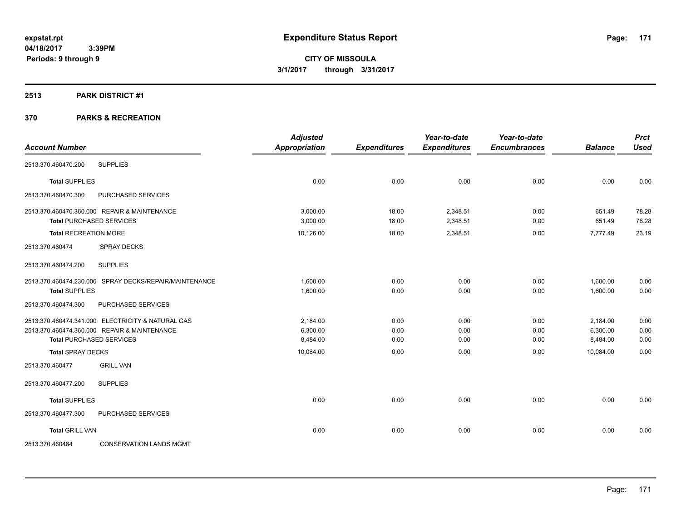### **2513 PARK DISTRICT #1**

| <b>Account Number</b>        |                                                        | <b>Adjusted</b><br><b>Appropriation</b> | <b>Expenditures</b> | Year-to-date<br><b>Expenditures</b> | Year-to-date<br><b>Encumbrances</b> | <b>Balance</b> | <b>Prct</b><br><b>Used</b> |
|------------------------------|--------------------------------------------------------|-----------------------------------------|---------------------|-------------------------------------|-------------------------------------|----------------|----------------------------|
| 2513.370.460470.200          | <b>SUPPLIES</b>                                        |                                         |                     |                                     |                                     |                |                            |
| <b>Total SUPPLIES</b>        |                                                        | 0.00                                    | 0.00                | 0.00                                | 0.00                                | 0.00           | 0.00                       |
| 2513.370.460470.300          | PURCHASED SERVICES                                     |                                         |                     |                                     |                                     |                |                            |
|                              | 2513.370.460470.360.000 REPAIR & MAINTENANCE           | 3.000.00                                | 18.00               | 2,348.51                            | 0.00                                | 651.49         | 78.28                      |
|                              | <b>Total PURCHASED SERVICES</b>                        | 3,000.00                                | 18.00               | 2,348.51                            | 0.00                                | 651.49         | 78.28                      |
| <b>Total RECREATION MORE</b> |                                                        | 10,126.00                               | 18.00               | 2,348.51                            | 0.00                                | 7,777.49       | 23.19                      |
| 2513.370.460474              | SPRAY DECKS                                            |                                         |                     |                                     |                                     |                |                            |
| 2513.370.460474.200          | <b>SUPPLIES</b>                                        |                                         |                     |                                     |                                     |                |                            |
|                              | 2513.370.460474.230.000 SPRAY DECKS/REPAIR/MAINTENANCE | 1,600.00                                | 0.00                | 0.00                                | 0.00                                | 1,600.00       | 0.00                       |
| <b>Total SUPPLIES</b>        |                                                        | 1,600.00                                | 0.00                | 0.00                                | 0.00                                | 1,600.00       | 0.00                       |
| 2513.370.460474.300          | PURCHASED SERVICES                                     |                                         |                     |                                     |                                     |                |                            |
|                              | 2513.370.460474.341.000 ELECTRICITY & NATURAL GAS      | 2,184.00                                | 0.00                | 0.00                                | 0.00                                | 2,184.00       | 0.00                       |
|                              | 2513.370.460474.360.000 REPAIR & MAINTENANCE           | 6,300.00                                | 0.00                | 0.00                                | 0.00                                | 6,300.00       | 0.00                       |
|                              | <b>Total PURCHASED SERVICES</b>                        | 8,484.00                                | 0.00                | 0.00                                | 0.00                                | 8,484.00       | 0.00                       |
| <b>Total SPRAY DECKS</b>     |                                                        | 10,084.00                               | 0.00                | 0.00                                | 0.00                                | 10,084.00      | 0.00                       |
| 2513.370.460477              | <b>GRILL VAN</b>                                       |                                         |                     |                                     |                                     |                |                            |
| 2513.370.460477.200          | <b>SUPPLIES</b>                                        |                                         |                     |                                     |                                     |                |                            |
| <b>Total SUPPLIES</b>        |                                                        | 0.00                                    | 0.00                | 0.00                                | 0.00                                | 0.00           | 0.00                       |
| 2513.370.460477.300          | PURCHASED SERVICES                                     |                                         |                     |                                     |                                     |                |                            |
| <b>Total GRILL VAN</b>       |                                                        | 0.00                                    | 0.00                | 0.00                                | 0.00                                | 0.00           | 0.00                       |
| 2513.370.460484              | <b>CONSERVATION LANDS MGMT</b>                         |                                         |                     |                                     |                                     |                |                            |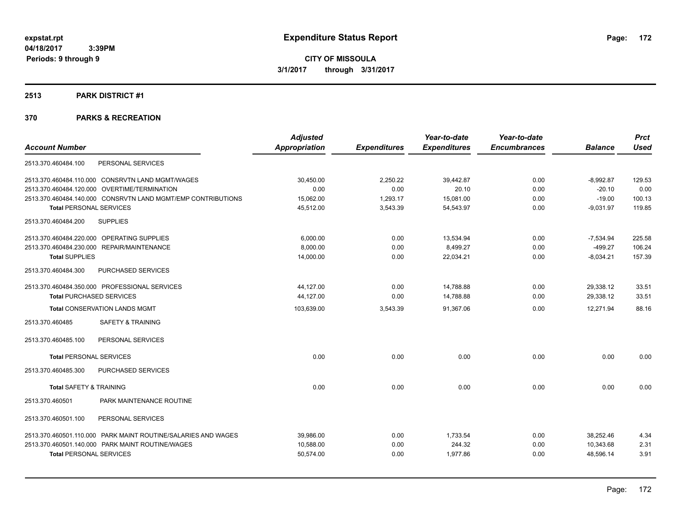# **2513 PARK DISTRICT #1**

|                                                               | <b>Adjusted</b>      |                     | Year-to-date        | Year-to-date        |                | <b>Prct</b> |
|---------------------------------------------------------------|----------------------|---------------------|---------------------|---------------------|----------------|-------------|
| <b>Account Number</b>                                         | <b>Appropriation</b> | <b>Expenditures</b> | <b>Expenditures</b> | <b>Encumbrances</b> | <b>Balance</b> | <b>Used</b> |
| 2513.370.460484.100<br>PERSONAL SERVICES                      |                      |                     |                     |                     |                |             |
| 2513.370.460484.110.000 CONSRVTN LAND MGMT/WAGES              | 30,450.00            | 2,250.22            | 39,442.87           | 0.00                | $-8,992.87$    | 129.53      |
| 2513.370.460484.120.000 OVERTIME/TERMINATION                  | 0.00                 | 0.00                | 20.10               | 0.00                | $-20.10$       | 0.00        |
| 2513.370.460484.140.000 CONSRVTN LAND MGMT/EMP CONTRIBUTIONS  | 15,062.00            | 1,293.17            | 15,081.00           | 0.00                | $-19.00$       | 100.13      |
| <b>Total PERSONAL SERVICES</b>                                | 45,512.00            | 3,543.39            | 54,543.97           | 0.00                | $-9,031.97$    | 119.85      |
| <b>SUPPLIES</b><br>2513.370.460484.200                        |                      |                     |                     |                     |                |             |
| 2513.370.460484.220.000 OPERATING SUPPLIES                    | 6.000.00             | 0.00                | 13,534.94           | 0.00                | $-7,534.94$    | 225.58      |
| 2513.370.460484.230.000 REPAIR/MAINTENANCE                    | 8.000.00             | 0.00                | 8,499.27            | 0.00                | $-499.27$      | 106.24      |
| <b>Total SUPPLIES</b>                                         | 14,000.00            | 0.00                | 22,034.21           | 0.00                | $-8,034.21$    | 157.39      |
| PURCHASED SERVICES<br>2513.370.460484.300                     |                      |                     |                     |                     |                |             |
| 2513.370.460484.350.000 PROFESSIONAL SERVICES                 | 44,127.00            | 0.00                | 14,788.88           | 0.00                | 29,338.12      | 33.51       |
| <b>Total PURCHASED SERVICES</b>                               | 44,127.00            | 0.00                | 14,788.88           | 0.00                | 29,338.12      | 33.51       |
| <b>Total CONSERVATION LANDS MGMT</b>                          | 103,639.00           | 3,543.39            | 91,367.06           | 0.00                | 12,271.94      | 88.16       |
| 2513.370.460485<br><b>SAFETY &amp; TRAINING</b>               |                      |                     |                     |                     |                |             |
| PERSONAL SERVICES<br>2513.370.460485.100                      |                      |                     |                     |                     |                |             |
| <b>Total PERSONAL SERVICES</b>                                | 0.00                 | 0.00                | 0.00                | 0.00                | 0.00           | 0.00        |
| 2513.370.460485.300<br>PURCHASED SERVICES                     |                      |                     |                     |                     |                |             |
| <b>Total SAFETY &amp; TRAINING</b>                            | 0.00                 | 0.00                | 0.00                | 0.00                | 0.00           | 0.00        |
| PARK MAINTENANCE ROUTINE<br>2513.370.460501                   |                      |                     |                     |                     |                |             |
| 2513.370.460501.100<br>PERSONAL SERVICES                      |                      |                     |                     |                     |                |             |
| 2513.370.460501.110.000 PARK MAINT ROUTINE/SALARIES AND WAGES | 39,986.00            | 0.00                | 1,733.54            | 0.00                | 38.252.46      | 4.34        |
| 2513.370.460501.140.000 PARK MAINT ROUTINE/WAGES              | 10.588.00            | 0.00                | 244.32              | 0.00                | 10.343.68      | 2.31        |
| <b>Total PERSONAL SERVICES</b>                                | 50,574.00            | 0.00                | 1,977.86            | 0.00                | 48,596.14      | 3.91        |
|                                                               |                      |                     |                     |                     |                |             |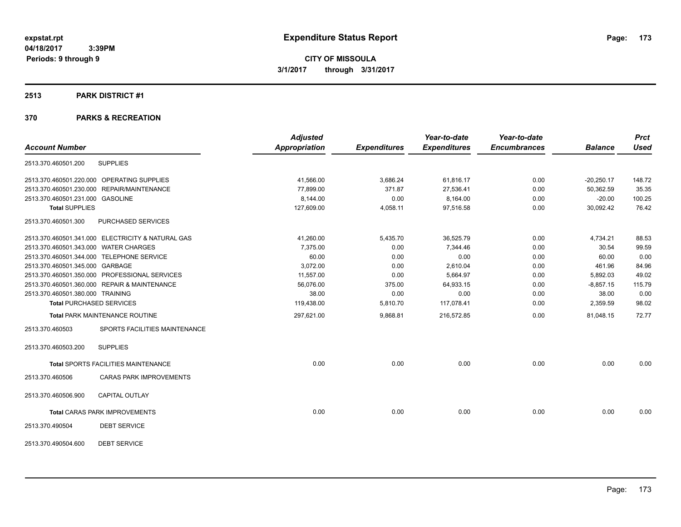### **2513 PARK DISTRICT #1**

|                                       |                                                   | <b>Adjusted</b> |                     | Year-to-date        | Year-to-date        |                | <b>Prct</b> |
|---------------------------------------|---------------------------------------------------|-----------------|---------------------|---------------------|---------------------|----------------|-------------|
| <b>Account Number</b>                 |                                                   | Appropriation   | <b>Expenditures</b> | <b>Expenditures</b> | <b>Encumbrances</b> | <b>Balance</b> | <b>Used</b> |
| 2513.370.460501.200                   | <b>SUPPLIES</b>                                   |                 |                     |                     |                     |                |             |
|                                       | 2513.370.460501.220.000 OPERATING SUPPLIES        | 41,566.00       | 3,686.24            | 61,816.17           | 0.00                | $-20,250.17$   | 148.72      |
|                                       | 2513.370.460501.230.000 REPAIR/MAINTENANCE        | 77,899.00       | 371.87              | 27,536.41           | 0.00                | 50,362.59      | 35.35       |
| 2513.370.460501.231.000 GASOLINE      |                                                   | 8,144.00        | 0.00                | 8,164.00            | 0.00                | $-20.00$       | 100.25      |
| <b>Total SUPPLIES</b>                 |                                                   | 127,609.00      | 4,058.11            | 97,516.58           | 0.00                | 30,092.42      | 76.42       |
| 2513.370.460501.300                   | PURCHASED SERVICES                                |                 |                     |                     |                     |                |             |
|                                       | 2513.370.460501.341.000 ELECTRICITY & NATURAL GAS | 41,260.00       | 5,435.70            | 36,525.79           | 0.00                | 4,734.21       | 88.53       |
| 2513.370.460501.343.000 WATER CHARGES |                                                   | 7,375.00        | 0.00                | 7,344.46            | 0.00                | 30.54          | 99.59       |
|                                       | 2513.370.460501.344.000 TELEPHONE SERVICE         | 60.00           | 0.00                | 0.00                | 0.00                | 60.00          | 0.00        |
| 2513.370.460501.345.000 GARBAGE       |                                                   | 3,072.00        | 0.00                | 2,610.04            | 0.00                | 461.96         | 84.96       |
|                                       | 2513.370.460501.350.000 PROFESSIONAL SERVICES     | 11,557.00       | 0.00                | 5,664.97            | 0.00                | 5,892.03       | 49.02       |
|                                       | 2513.370.460501.360.000 REPAIR & MAINTENANCE      | 56,076.00       | 375.00              | 64,933.15           | 0.00                | $-8,857.15$    | 115.79      |
| 2513.370.460501.380.000 TRAINING      |                                                   | 38.00           | 0.00                | 0.00                | 0.00                | 38.00          | 0.00        |
|                                       | <b>Total PURCHASED SERVICES</b>                   | 119,438.00      | 5,810.70            | 117,078.41          | 0.00                | 2,359.59       | 98.02       |
|                                       | <b>Total PARK MAINTENANCE ROUTINE</b>             | 297,621.00      | 9,868.81            | 216,572.85          | 0.00                | 81,048.15      | 72.77       |
| 2513.370.460503                       | SPORTS FACILITIES MAINTENANCE                     |                 |                     |                     |                     |                |             |
| 2513.370.460503.200                   | <b>SUPPLIES</b>                                   |                 |                     |                     |                     |                |             |
|                                       | <b>Total SPORTS FACILITIES MAINTENANCE</b>        | 0.00            | 0.00                | 0.00                | 0.00                | 0.00           | 0.00        |
| 2513.370.460506                       | <b>CARAS PARK IMPROVEMENTS</b>                    |                 |                     |                     |                     |                |             |
| 2513.370.460506.900                   | <b>CAPITAL OUTLAY</b>                             |                 |                     |                     |                     |                |             |
|                                       | <b>Total CARAS PARK IMPROVEMENTS</b>              | 0.00            | 0.00                | 0.00                | 0.00                | 0.00           | 0.00        |
| 2513.370.490504                       | <b>DEBT SERVICE</b>                               |                 |                     |                     |                     |                |             |
| 2513.370.490504.600                   | <b>DEBT SERVICE</b>                               |                 |                     |                     |                     |                |             |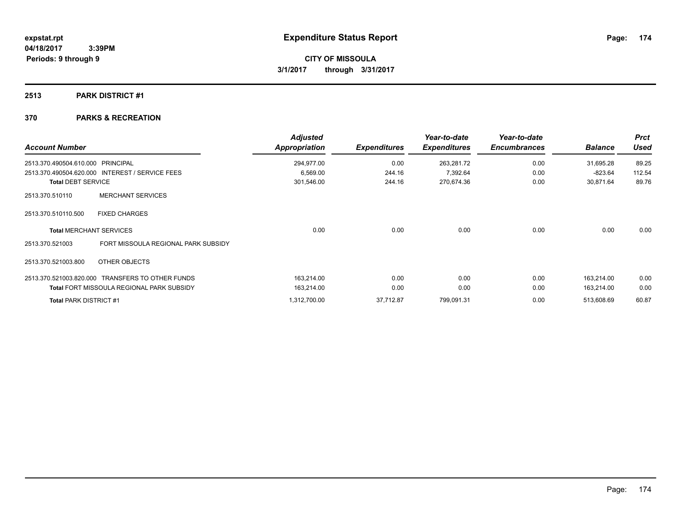# **2513 PARK DISTRICT #1**

| <b>Account Number</b>         |                                                  | <b>Adjusted</b><br><b>Appropriation</b> | <b>Expenditures</b> | Year-to-date<br><b>Expenditures</b> | Year-to-date<br><b>Encumbrances</b> | <b>Balance</b> | <b>Prct</b><br><b>Used</b> |
|-------------------------------|--------------------------------------------------|-----------------------------------------|---------------------|-------------------------------------|-------------------------------------|----------------|----------------------------|
| 2513.370.490504.610.000       | <b>PRINCIPAL</b>                                 | 294,977.00                              | 0.00                | 263,281.72                          | 0.00                                | 31,695.28      | 89.25                      |
|                               | 2513.370.490504.620.000 INTEREST / SERVICE FEES  | 6,569.00                                | 244.16              | 7,392.64                            | 0.00                                | $-823.64$      | 112.54                     |
| <b>Total DEBT SERVICE</b>     |                                                  | 301,546.00                              | 244.16              | 270,674.36                          | 0.00                                | 30,871.64      | 89.76                      |
| 2513.370.510110               | <b>MERCHANT SERVICES</b>                         |                                         |                     |                                     |                                     |                |                            |
| 2513.370.510110.500           | <b>FIXED CHARGES</b>                             |                                         |                     |                                     |                                     |                |                            |
|                               | <b>Total MERCHANT SERVICES</b>                   | 0.00                                    | 0.00                | 0.00                                | 0.00                                | 0.00           | 0.00                       |
| 2513.370.521003               | FORT MISSOULA REGIONAL PARK SUBSIDY              |                                         |                     |                                     |                                     |                |                            |
| 2513.370.521003.800           | OTHER OBJECTS                                    |                                         |                     |                                     |                                     |                |                            |
|                               | 2513.370.521003.820.000 TRANSFERS TO OTHER FUNDS | 163,214.00                              | 0.00                | 0.00                                | 0.00                                | 163,214.00     | 0.00                       |
|                               | <b>Total FORT MISSOULA REGIONAL PARK SUBSIDY</b> | 163,214.00                              | 0.00                | 0.00                                | 0.00                                | 163,214.00     | 0.00                       |
| <b>Total PARK DISTRICT #1</b> |                                                  | 1,312,700.00                            | 37,712.87           | 799,091.31                          | 0.00                                | 513,608.69     | 60.87                      |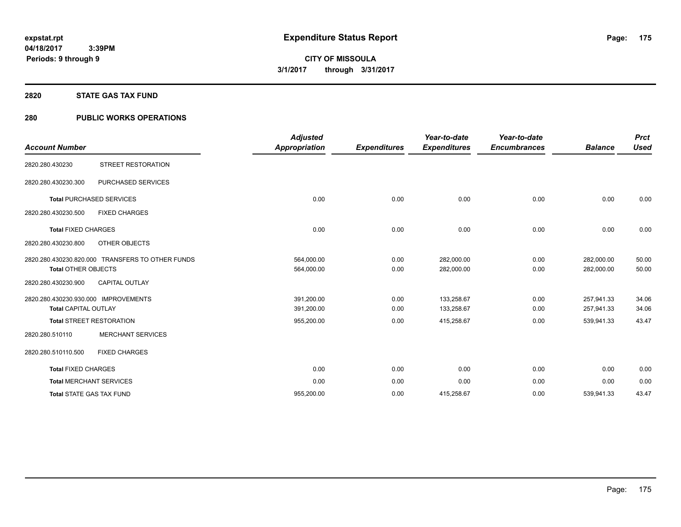### **2820 STATE GAS TAX FUND**

# **280 PUBLIC WORKS OPERATIONS**

| <b>Account Number</b>                                               |                                                  | <b>Adjusted</b><br>Appropriation | <b>Expenditures</b> | Year-to-date<br><b>Expenditures</b> | Year-to-date<br><b>Encumbrances</b> | <b>Balance</b>           | <b>Prct</b><br><b>Used</b> |
|---------------------------------------------------------------------|--------------------------------------------------|----------------------------------|---------------------|-------------------------------------|-------------------------------------|--------------------------|----------------------------|
| 2820.280.430230                                                     | STREET RESTORATION                               |                                  |                     |                                     |                                     |                          |                            |
| 2820.280.430230.300                                                 | PURCHASED SERVICES                               |                                  |                     |                                     |                                     |                          |                            |
|                                                                     | <b>Total PURCHASED SERVICES</b>                  | 0.00                             | 0.00                | 0.00                                | 0.00                                | 0.00                     | 0.00                       |
| 2820.280.430230.500                                                 | <b>FIXED CHARGES</b>                             |                                  |                     |                                     |                                     |                          |                            |
| <b>Total FIXED CHARGES</b>                                          |                                                  | 0.00                             | 0.00                | 0.00                                | 0.00                                | 0.00                     | 0.00                       |
| 2820.280.430230.800                                                 | OTHER OBJECTS                                    |                                  |                     |                                     |                                     |                          |                            |
| <b>Total OTHER OBJECTS</b>                                          | 2820.280.430230.820.000 TRANSFERS TO OTHER FUNDS | 564,000.00<br>564,000.00         | 0.00<br>0.00        | 282,000.00<br>282,000.00            | 0.00<br>0.00                        | 282,000.00<br>282,000.00 | 50.00<br>50.00             |
| 2820.280.430230.900                                                 | <b>CAPITAL OUTLAY</b>                            |                                  |                     |                                     |                                     |                          |                            |
| 2820.280.430230.930.000 IMPROVEMENTS<br><b>Total CAPITAL OUTLAY</b> |                                                  | 391,200.00<br>391,200.00         | 0.00<br>0.00        | 133,258.67<br>133,258.67            | 0.00<br>0.00                        | 257,941.33<br>257,941.33 | 34.06<br>34.06             |
|                                                                     | <b>Total STREET RESTORATION</b>                  | 955,200.00                       | 0.00                | 415,258.67                          | 0.00                                | 539,941.33               | 43.47                      |
| 2820.280.510110                                                     | <b>MERCHANT SERVICES</b>                         |                                  |                     |                                     |                                     |                          |                            |
| 2820.280.510110.500                                                 | <b>FIXED CHARGES</b>                             |                                  |                     |                                     |                                     |                          |                            |
| <b>Total FIXED CHARGES</b>                                          |                                                  | 0.00                             | 0.00                | 0.00                                | 0.00                                | 0.00                     | 0.00                       |
| <b>Total MERCHANT SERVICES</b>                                      |                                                  | 0.00                             | 0.00                | 0.00                                | 0.00                                | 0.00                     | 0.00                       |
| <b>Total STATE GAS TAX FUND</b>                                     |                                                  | 955.200.00                       | 0.00                | 415,258.67                          | 0.00                                | 539,941.33               | 43.47                      |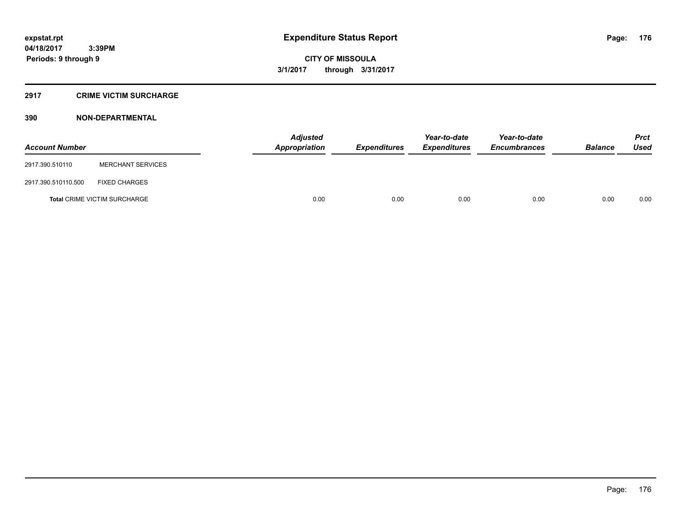# **2917 CRIME VICTIM SURCHARGE**

| <b>Account Number</b> |                                     | <b>Adjusted</b><br>Appropriation | <b>Expenditures</b> | Year-to-date<br><b>Expenditures</b> | Year-to-date<br><b>Encumbrances</b> | <b>Balance</b> | Prct<br><b>Used</b> |
|-----------------------|-------------------------------------|----------------------------------|---------------------|-------------------------------------|-------------------------------------|----------------|---------------------|
| 2917.390.510110       | <b>MERCHANT SERVICES</b>            |                                  |                     |                                     |                                     |                |                     |
| 2917.390.510110.500   | <b>FIXED CHARGES</b>                |                                  |                     |                                     |                                     |                |                     |
|                       | <b>Total CRIME VICTIM SURCHARGE</b> | 0.00                             | 0.00                | 0.00                                | 0.00                                | 0.00           | 0.00                |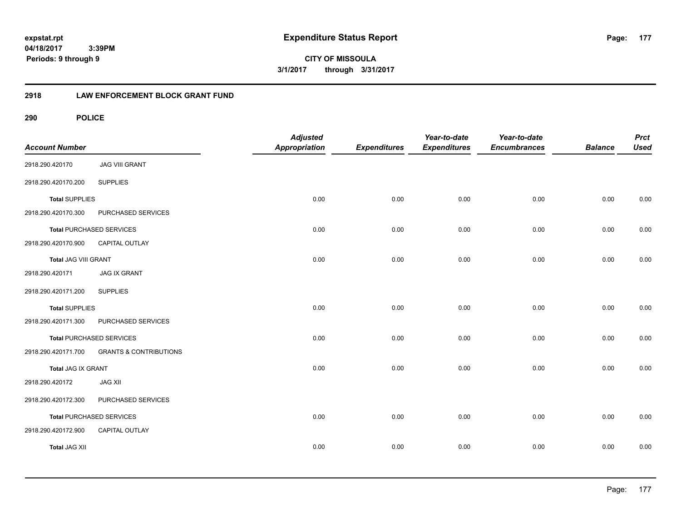**CITY OF MISSOULA 3/1/2017 through 3/31/2017**

# **2918 LAW ENFORCEMENT BLOCK GRANT FUND**

| <b>Account Number</b> |                                   | <b>Adjusted</b><br><b>Appropriation</b> | <b>Expenditures</b> | Year-to-date<br><b>Expenditures</b> | Year-to-date<br><b>Encumbrances</b> | <b>Balance</b> | <b>Prct</b><br><b>Used</b> |
|-----------------------|-----------------------------------|-----------------------------------------|---------------------|-------------------------------------|-------------------------------------|----------------|----------------------------|
| 2918.290.420170       | <b>JAG VIII GRANT</b>             |                                         |                     |                                     |                                     |                |                            |
| 2918.290.420170.200   | <b>SUPPLIES</b>                   |                                         |                     |                                     |                                     |                |                            |
| <b>Total SUPPLIES</b> |                                   | 0.00                                    | 0.00                | 0.00                                | 0.00                                | 0.00           | 0.00                       |
| 2918.290.420170.300   | PURCHASED SERVICES                |                                         |                     |                                     |                                     |                |                            |
|                       | <b>Total PURCHASED SERVICES</b>   | 0.00                                    | 0.00                | 0.00                                | 0.00                                | 0.00           | 0.00                       |
| 2918.290.420170.900   | CAPITAL OUTLAY                    |                                         |                     |                                     |                                     |                |                            |
| Total JAG VIII GRANT  |                                   | 0.00                                    | 0.00                | 0.00                                | 0.00                                | 0.00           | 0.00                       |
| 2918.290.420171       | <b>JAG IX GRANT</b>               |                                         |                     |                                     |                                     |                |                            |
| 2918.290.420171.200   | <b>SUPPLIES</b>                   |                                         |                     |                                     |                                     |                |                            |
| <b>Total SUPPLIES</b> |                                   | 0.00                                    | 0.00                | 0.00                                | 0.00                                | 0.00           | 0.00                       |
| 2918.290.420171.300   | PURCHASED SERVICES                |                                         |                     |                                     |                                     |                |                            |
|                       | <b>Total PURCHASED SERVICES</b>   | 0.00                                    | 0.00                | 0.00                                | 0.00                                | 0.00           | 0.00                       |
| 2918.290.420171.700   | <b>GRANTS &amp; CONTRIBUTIONS</b> |                                         |                     |                                     |                                     |                |                            |
| Total JAG IX GRANT    |                                   | 0.00                                    | 0.00                | 0.00                                | 0.00                                | 0.00           | 0.00                       |
| 2918.290.420172       | <b>JAG XII</b>                    |                                         |                     |                                     |                                     |                |                            |
| 2918.290.420172.300   | PURCHASED SERVICES                |                                         |                     |                                     |                                     |                |                            |
|                       | Total PURCHASED SERVICES          | 0.00                                    | 0.00                | 0.00                                | 0.00                                | 0.00           | 0.00                       |
| 2918.290.420172.900   | CAPITAL OUTLAY                    |                                         |                     |                                     |                                     |                |                            |
| <b>Total JAG XII</b>  |                                   | 0.00                                    | 0.00                | 0.00                                | 0.00                                | 0.00           | 0.00                       |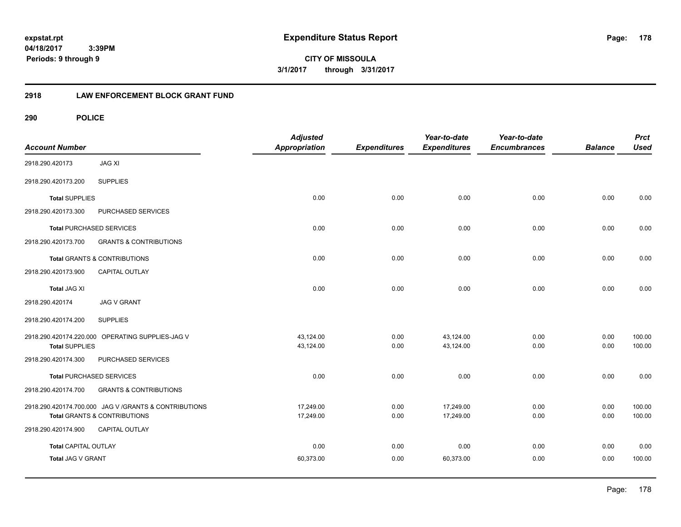**CITY OF MISSOULA 3/1/2017 through 3/31/2017**

# **2918 LAW ENFORCEMENT BLOCK GRANT FUND**

| <b>Account Number</b>       |                                                        | <b>Adjusted</b><br><b>Appropriation</b> | <b>Expenditures</b> | Year-to-date<br><b>Expenditures</b> | Year-to-date<br><b>Encumbrances</b> | <b>Balance</b> | <b>Prct</b><br><b>Used</b> |
|-----------------------------|--------------------------------------------------------|-----------------------------------------|---------------------|-------------------------------------|-------------------------------------|----------------|----------------------------|
| 2918.290.420173             | <b>JAG XI</b>                                          |                                         |                     |                                     |                                     |                |                            |
| 2918.290.420173.200         | <b>SUPPLIES</b>                                        |                                         |                     |                                     |                                     |                |                            |
| <b>Total SUPPLIES</b>       |                                                        | 0.00                                    | 0.00                | 0.00                                | 0.00                                | 0.00           | 0.00                       |
| 2918.290.420173.300         | PURCHASED SERVICES                                     |                                         |                     |                                     |                                     |                |                            |
|                             | <b>Total PURCHASED SERVICES</b>                        | 0.00                                    | 0.00                | 0.00                                | 0.00                                | 0.00           | 0.00                       |
| 2918.290.420173.700         | <b>GRANTS &amp; CONTRIBUTIONS</b>                      |                                         |                     |                                     |                                     |                |                            |
|                             | Total GRANTS & CONTRIBUTIONS                           | 0.00                                    | 0.00                | 0.00                                | 0.00                                | 0.00           | 0.00                       |
| 2918.290.420173.900         | CAPITAL OUTLAY                                         |                                         |                     |                                     |                                     |                |                            |
| <b>Total JAG XI</b>         |                                                        | 0.00                                    | 0.00                | 0.00                                | 0.00                                | 0.00           | 0.00                       |
| 2918.290.420174             | <b>JAG V GRANT</b>                                     |                                         |                     |                                     |                                     |                |                            |
| 2918.290.420174.200         | <b>SUPPLIES</b>                                        |                                         |                     |                                     |                                     |                |                            |
|                             | 2918.290.420174.220.000 OPERATING SUPPLIES-JAG V       | 43,124.00                               | 0.00                | 43,124.00                           | 0.00                                | 0.00           | 100.00                     |
| <b>Total SUPPLIES</b>       |                                                        | 43,124.00                               | 0.00                | 43,124.00                           | 0.00                                | 0.00           | 100.00                     |
| 2918.290.420174.300         | PURCHASED SERVICES                                     |                                         |                     |                                     |                                     |                |                            |
|                             | <b>Total PURCHASED SERVICES</b>                        | 0.00                                    | 0.00                | 0.00                                | 0.00                                | 0.00           | 0.00                       |
| 2918.290.420174.700         | <b>GRANTS &amp; CONTRIBUTIONS</b>                      |                                         |                     |                                     |                                     |                |                            |
|                             | 2918.290.420174.700.000 JAG V / GRANTS & CONTRIBUTIONS | 17,249.00                               | 0.00                | 17,249.00                           | 0.00                                | 0.00           | 100.00                     |
|                             | <b>Total GRANTS &amp; CONTRIBUTIONS</b>                | 17,249.00                               | 0.00                | 17,249.00                           | 0.00                                | 0.00           | 100.00                     |
| 2918.290.420174.900         | CAPITAL OUTLAY                                         |                                         |                     |                                     |                                     |                |                            |
| <b>Total CAPITAL OUTLAY</b> |                                                        | 0.00                                    | 0.00                | 0.00                                | 0.00                                | 0.00           | 0.00                       |
| Total JAG V GRANT           |                                                        | 60,373.00                               | 0.00                | 60,373.00                           | 0.00                                | 0.00           | 100.00                     |
|                             |                                                        |                                         |                     |                                     |                                     |                |                            |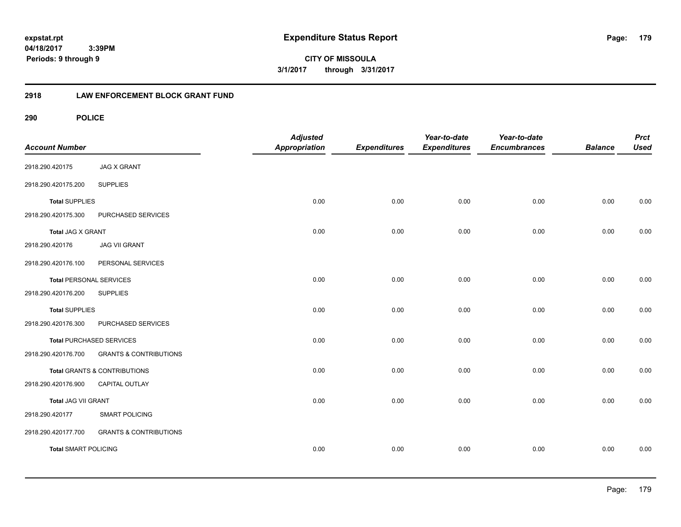**CITY OF MISSOULA 3/1/2017 through 3/31/2017**

# **2918 LAW ENFORCEMENT BLOCK GRANT FUND**

| <b>Account Number</b>          |                                   | <b>Adjusted</b><br><b>Appropriation</b> | <b>Expenditures</b> | Year-to-date<br><b>Expenditures</b> | Year-to-date<br><b>Encumbrances</b> | <b>Balance</b> | <b>Prct</b><br><b>Used</b> |
|--------------------------------|-----------------------------------|-----------------------------------------|---------------------|-------------------------------------|-------------------------------------|----------------|----------------------------|
| 2918.290.420175                | <b>JAG X GRANT</b>                |                                         |                     |                                     |                                     |                |                            |
| 2918.290.420175.200            | <b>SUPPLIES</b>                   |                                         |                     |                                     |                                     |                |                            |
| <b>Total SUPPLIES</b>          |                                   | 0.00                                    | 0.00                | 0.00                                | 0.00                                | 0.00           | 0.00                       |
| 2918.290.420175.300            | PURCHASED SERVICES                |                                         |                     |                                     |                                     |                |                            |
| <b>Total JAG X GRANT</b>       |                                   | 0.00                                    | 0.00                | 0.00                                | 0.00                                | 0.00           | 0.00                       |
| 2918.290.420176                | <b>JAG VII GRANT</b>              |                                         |                     |                                     |                                     |                |                            |
| 2918.290.420176.100            | PERSONAL SERVICES                 |                                         |                     |                                     |                                     |                |                            |
| <b>Total PERSONAL SERVICES</b> |                                   | 0.00                                    | 0.00                | 0.00                                | 0.00                                | 0.00           | 0.00                       |
| 2918.290.420176.200            | <b>SUPPLIES</b>                   |                                         |                     |                                     |                                     |                |                            |
| <b>Total SUPPLIES</b>          |                                   | 0.00                                    | 0.00                | 0.00                                | 0.00                                | 0.00           | 0.00                       |
| 2918.290.420176.300            | PURCHASED SERVICES                |                                         |                     |                                     |                                     |                |                            |
|                                | <b>Total PURCHASED SERVICES</b>   | 0.00                                    | 0.00                | 0.00                                | 0.00                                | 0.00           | 0.00                       |
| 2918.290.420176.700            | <b>GRANTS &amp; CONTRIBUTIONS</b> |                                         |                     |                                     |                                     |                |                            |
|                                | Total GRANTS & CONTRIBUTIONS      | 0.00                                    | 0.00                | 0.00                                | 0.00                                | 0.00           | 0.00                       |
| 2918.290.420176.900            | CAPITAL OUTLAY                    |                                         |                     |                                     |                                     |                |                            |
| <b>Total JAG VII GRANT</b>     |                                   | 0.00                                    | 0.00                | 0.00                                | 0.00                                | 0.00           | 0.00                       |
| 2918.290.420177                | <b>SMART POLICING</b>             |                                         |                     |                                     |                                     |                |                            |
| 2918.290.420177.700            | <b>GRANTS &amp; CONTRIBUTIONS</b> |                                         |                     |                                     |                                     |                |                            |
| <b>Total SMART POLICING</b>    |                                   | 0.00                                    | 0.00                | 0.00                                | 0.00                                | 0.00           | 0.00                       |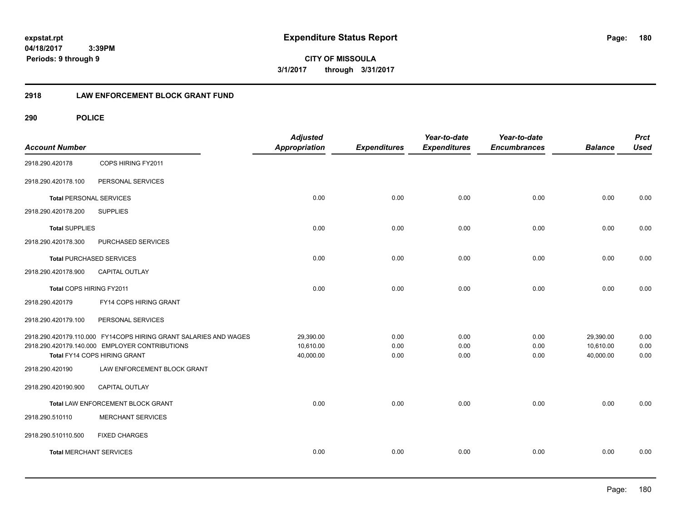**CITY OF MISSOULA 3/1/2017 through 3/31/2017**

# **2918 LAW ENFORCEMENT BLOCK GRANT FUND**

| <b>Account Number</b>          |                                                                                | <b>Adjusted</b><br><b>Appropriation</b> | <b>Expenditures</b> | Year-to-date<br><b>Expenditures</b> | Year-to-date<br><b>Encumbrances</b> | <b>Balance</b>         | <b>Prct</b><br><b>Used</b> |
|--------------------------------|--------------------------------------------------------------------------------|-----------------------------------------|---------------------|-------------------------------------|-------------------------------------|------------------------|----------------------------|
| 2918.290.420178                | COPS HIRING FY2011                                                             |                                         |                     |                                     |                                     |                        |                            |
| 2918.290.420178.100            | PERSONAL SERVICES                                                              |                                         |                     |                                     |                                     |                        |                            |
| <b>Total PERSONAL SERVICES</b> |                                                                                | 0.00                                    | 0.00                | 0.00                                | 0.00                                | 0.00                   | 0.00                       |
| 2918.290.420178.200            | <b>SUPPLIES</b>                                                                |                                         |                     |                                     |                                     |                        |                            |
| <b>Total SUPPLIES</b>          |                                                                                | 0.00                                    | 0.00                | 0.00                                | 0.00                                | 0.00                   | 0.00                       |
| 2918.290.420178.300            | PURCHASED SERVICES                                                             |                                         |                     |                                     |                                     |                        |                            |
|                                | <b>Total PURCHASED SERVICES</b>                                                | 0.00                                    | 0.00                | 0.00                                | 0.00                                | 0.00                   | 0.00                       |
| 2918.290.420178.900            | CAPITAL OUTLAY                                                                 |                                         |                     |                                     |                                     |                        |                            |
| Total COPS HIRING FY2011       |                                                                                | 0.00                                    | 0.00                | 0.00                                | 0.00                                | 0.00                   | 0.00                       |
| 2918.290.420179                | FY14 COPS HIRING GRANT                                                         |                                         |                     |                                     |                                     |                        |                            |
| 2918.290.420179.100            | PERSONAL SERVICES                                                              |                                         |                     |                                     |                                     |                        |                            |
|                                | 2918.290.420179.110.000 FY14COPS HIRING GRANT SALARIES AND WAGES               | 29,390.00                               | 0.00                | 0.00                                | 0.00                                | 29,390.00              | 0.00                       |
|                                | 2918.290.420179.140.000 EMPLOYER CONTRIBUTIONS<br>Total FY14 COPS HIRING GRANT | 10,610.00<br>40,000.00                  | 0.00<br>0.00        | 0.00<br>0.00                        | 0.00<br>0.00                        | 10,610.00<br>40,000.00 | 0.00<br>0.00               |
| 2918.290.420190                | LAW ENFORCEMENT BLOCK GRANT                                                    |                                         |                     |                                     |                                     |                        |                            |
| 2918.290.420190.900            | <b>CAPITAL OUTLAY</b>                                                          |                                         |                     |                                     |                                     |                        |                            |
|                                | Total LAW ENFORCEMENT BLOCK GRANT                                              | 0.00                                    | 0.00                | 0.00                                | 0.00                                | 0.00                   | 0.00                       |
| 2918.290.510110                | <b>MERCHANT SERVICES</b>                                                       |                                         |                     |                                     |                                     |                        |                            |
| 2918.290.510110.500            | <b>FIXED CHARGES</b>                                                           |                                         |                     |                                     |                                     |                        |                            |
| <b>Total MERCHANT SERVICES</b> |                                                                                | 0.00                                    | 0.00                | 0.00                                | 0.00                                | 0.00                   | 0.00                       |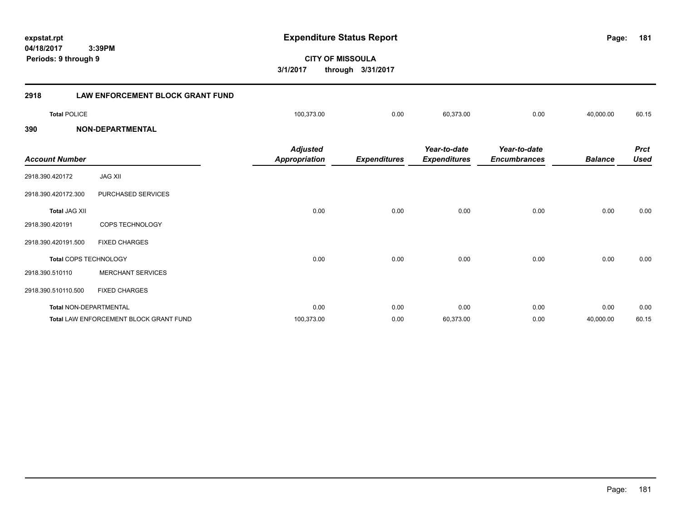**181**

**CITY OF MISSOULA 3/1/2017 through 3/31/2017**

| 2918                  | <b>LAW ENFORCEMENT BLOCK GRANT FUND</b> |                                         |                     |                                     |                                     |                |                            |
|-----------------------|-----------------------------------------|-----------------------------------------|---------------------|-------------------------------------|-------------------------------------|----------------|----------------------------|
| <b>Total POLICE</b>   |                                         | 100,373.00                              | 0.00                | 60,373.00                           | 0.00                                | 40,000.00      | 60.15                      |
| 390                   | <b>NON-DEPARTMENTAL</b>                 |                                         |                     |                                     |                                     |                |                            |
| <b>Account Number</b> |                                         | <b>Adjusted</b><br><b>Appropriation</b> | <b>Expenditures</b> | Year-to-date<br><b>Expenditures</b> | Year-to-date<br><b>Encumbrances</b> | <b>Balance</b> | <b>Prct</b><br><b>Used</b> |
| 2918.390.420172       | <b>JAG XII</b>                          |                                         |                     |                                     |                                     |                |                            |
| 2918.390.420172.300   | PURCHASED SERVICES                      |                                         |                     |                                     |                                     |                |                            |
| <b>Total JAG XII</b>  |                                         | 0.00                                    | 0.00                | 0.00                                | 0.00                                | 0.00           | 0.00                       |
| 2918.390.420191       | COPS TECHNOLOGY                         |                                         |                     |                                     |                                     |                |                            |
| 2918.390.420191.500   | <b>FIXED CHARGES</b>                    |                                         |                     |                                     |                                     |                |                            |
|                       | Total COPS TECHNOLOGY                   | 0.00                                    | 0.00                | 0.00                                | 0.00                                | 0.00           | 0.00                       |
| 2918.390.510110       | <b>MERCHANT SERVICES</b>                |                                         |                     |                                     |                                     |                |                            |
| 2918.390.510110.500   | <b>FIXED CHARGES</b>                    |                                         |                     |                                     |                                     |                |                            |
|                       | Total NON-DEPARTMENTAL                  | 0.00                                    | 0.00                | 0.00                                | 0.00                                | 0.00           | 0.00                       |
|                       | Total LAW ENFORCEMENT BLOCK GRANT FUND  | 100,373.00                              | 0.00                | 60,373.00                           | 0.00                                | 40,000.00      | 60.15                      |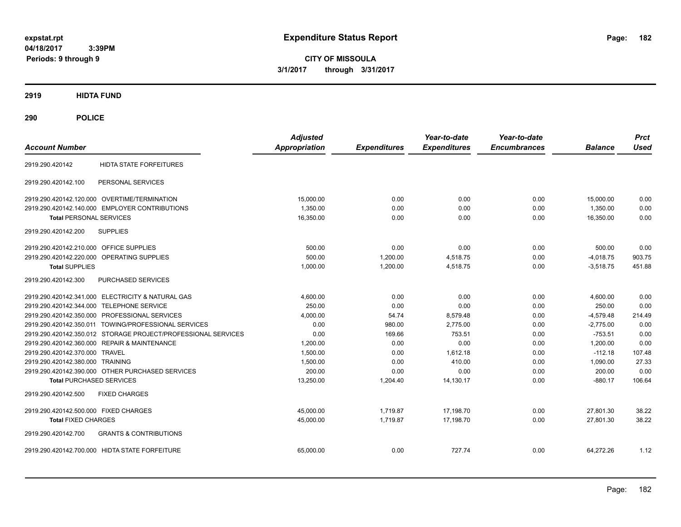**CITY OF MISSOULA 3/1/2017 through 3/31/2017**

**2919 HIDTA FUND**

**290 POLICE**

| <b>Account Number</b>                                         | <b>Adjusted</b><br><b>Appropriation</b> | <b>Expenditures</b> | Year-to-date<br><b>Expenditures</b> | Year-to-date<br><b>Encumbrances</b> | <b>Balance</b> | <b>Prct</b><br><b>Used</b> |
|---------------------------------------------------------------|-----------------------------------------|---------------------|-------------------------------------|-------------------------------------|----------------|----------------------------|
| <b>HIDTA STATE FORFEITURES</b><br>2919.290.420142             |                                         |                     |                                     |                                     |                |                            |
| PERSONAL SERVICES<br>2919.290.420142.100                      |                                         |                     |                                     |                                     |                |                            |
| 2919.290.420142.120.000 OVERTIME/TERMINATION                  | 15,000.00                               | 0.00                | 0.00                                | 0.00                                | 15,000.00      | 0.00                       |
| 2919.290.420142.140.000 EMPLOYER CONTRIBUTIONS                | 1.350.00                                | 0.00                | 0.00                                | 0.00                                | 1.350.00       | 0.00                       |
| <b>Total PERSONAL SERVICES</b>                                | 16.350.00                               | 0.00                | 0.00                                | 0.00                                | 16.350.00      | 0.00                       |
| <b>SUPPLIES</b><br>2919.290.420142.200                        |                                         |                     |                                     |                                     |                |                            |
| 2919.290.420142.210.000 OFFICE SUPPLIES                       | 500.00                                  | 0.00                | 0.00                                | 0.00                                | 500.00         | 0.00                       |
| <b>OPERATING SUPPLIES</b><br>2919.290.420142.220.000          | 500.00                                  | 1.200.00            | 4.518.75                            | 0.00                                | $-4,018.75$    | 903.75                     |
| <b>Total SUPPLIES</b>                                         | 1.000.00                                | 1.200.00            | 4,518.75                            | 0.00                                | $-3,518.75$    | 451.88                     |
| 2919.290.420142.300<br>PURCHASED SERVICES                     |                                         |                     |                                     |                                     |                |                            |
| 2919.290.420142.341.000 ELECTRICITY & NATURAL GAS             | 4,600.00                                | 0.00                | 0.00                                | 0.00                                | 4,600.00       | 0.00                       |
| 2919.290.420142.344.000 TELEPHONE SERVICE                     | 250.00                                  | 0.00                | 0.00                                | 0.00                                | 250.00         | 0.00                       |
| 2919.290.420142.350.000 PROFESSIONAL SERVICES                 | 4,000.00                                | 54.74               | 8,579.48                            | 0.00                                | $-4,579.48$    | 214.49                     |
| 2919.290.420142.350.011 TOWING/PROFESSIONAL SERVICES          | 0.00                                    | 980.00              | 2,775.00                            | 0.00                                | $-2,775.00$    | 0.00                       |
| 2919.290.420142.350.012 STORAGE PROJECT/PROFESSIONAL SERVICES | 0.00                                    | 169.66              | 753.51                              | 0.00                                | $-753.51$      | 0.00                       |
| 2919.290.420142.360.000 REPAIR & MAINTENANCE                  | 1,200.00                                | 0.00                | 0.00                                | 0.00                                | 1,200.00       | 0.00                       |
| 2919.290.420142.370.000 TRAVEL                                | 1.500.00                                | 0.00                | 1.612.18                            | 0.00                                | $-112.18$      | 107.48                     |
| 2919.290.420142.380.000 TRAINING                              | 1,500.00                                | 0.00                | 410.00                              | 0.00                                | 1,090.00       | 27.33                      |
| 2919.290.420142.390.000 OTHER PURCHASED SERVICES              | 200.00                                  | 0.00                | 0.00                                | 0.00                                | 200.00         | 0.00                       |
| <b>Total PURCHASED SERVICES</b>                               | 13,250.00                               | 1,204.40            | 14,130.17                           | 0.00                                | $-880.17$      | 106.64                     |
| 2919.290.420142.500<br><b>FIXED CHARGES</b>                   |                                         |                     |                                     |                                     |                |                            |
| 2919.290.420142.500.000 FIXED CHARGES                         | 45,000.00                               | 1,719.87            | 17,198.70                           | 0.00                                | 27.801.30      | 38.22                      |
| <b>Total FIXED CHARGES</b>                                    | 45,000.00                               | 1,719.87            | 17,198.70                           | 0.00                                | 27,801.30      | 38.22                      |
| <b>GRANTS &amp; CONTRIBUTIONS</b><br>2919.290.420142.700      |                                         |                     |                                     |                                     |                |                            |
| 2919.290.420142.700.000 HIDTA STATE FORFEITURE                | 65,000.00                               | 0.00                | 727.74                              | 0.00                                | 64,272.26      | 1.12                       |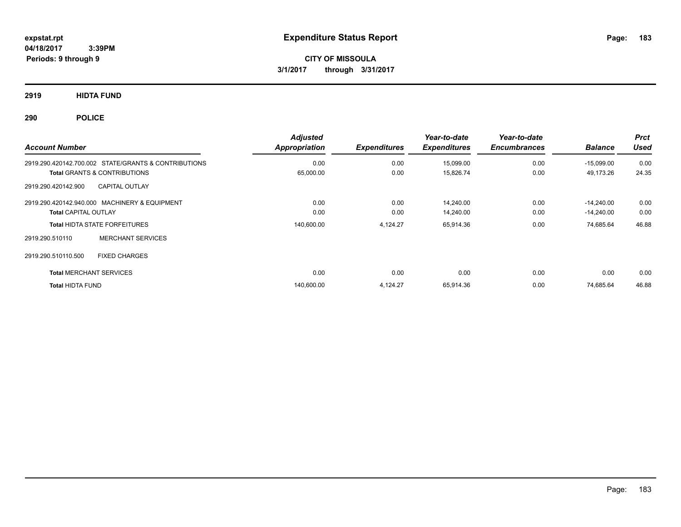**CITY OF MISSOULA 3/1/2017 through 3/31/2017**

**2919 HIDTA FUND**

**290 POLICE**

| <b>Account Number</b>                                | <b>Adjusted</b><br>Appropriation | <b>Expenditures</b> | Year-to-date<br><b>Expenditures</b> | Year-to-date<br><b>Encumbrances</b> | <b>Balance</b> | <b>Prct</b><br><b>Used</b> |
|------------------------------------------------------|----------------------------------|---------------------|-------------------------------------|-------------------------------------|----------------|----------------------------|
| 2919.290.420142.700.002 STATE/GRANTS & CONTRIBUTIONS | 0.00                             | 0.00                | 15,099.00                           | 0.00                                | $-15,099.00$   | 0.00                       |
| <b>Total GRANTS &amp; CONTRIBUTIONS</b>              | 65,000.00                        | 0.00                | 15,826.74                           | 0.00                                | 49,173.26      | 24.35                      |
| <b>CAPITAL OUTLAY</b><br>2919.290.420142.900         |                                  |                     |                                     |                                     |                |                            |
| 2919.290.420142.940.000 MACHINERY & EQUIPMENT        | 0.00                             | 0.00                | 14,240.00                           | 0.00                                | $-14.240.00$   | 0.00                       |
| <b>Total CAPITAL OUTLAY</b>                          | 0.00                             | 0.00                | 14,240.00                           | 0.00                                | $-14,240.00$   | 0.00                       |
| <b>Total HIDTA STATE FORFEITURES</b>                 | 140,600.00                       | 4,124.27            | 65,914.36                           | 0.00                                | 74,685.64      | 46.88                      |
| <b>MERCHANT SERVICES</b><br>2919.290.510110          |                                  |                     |                                     |                                     |                |                            |
| 2919.290.510110.500<br><b>FIXED CHARGES</b>          |                                  |                     |                                     |                                     |                |                            |
| <b>Total MERCHANT SERVICES</b>                       | 0.00                             | 0.00                | 0.00                                | 0.00                                | 0.00           | 0.00                       |
| <b>Total HIDTA FUND</b>                              | 140,600.00                       | 4,124.27            | 65,914.36                           | 0.00                                | 74,685.64      | 46.88                      |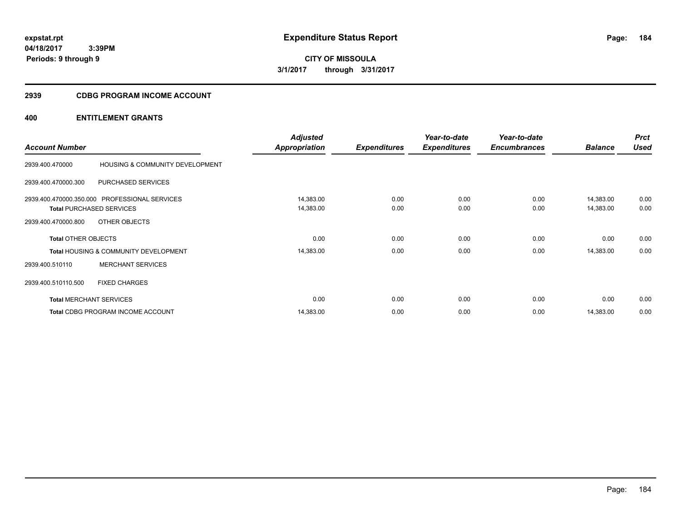**CITY OF MISSOULA 3/1/2017 through 3/31/2017**

# **2939 CDBG PROGRAM INCOME ACCOUNT**

|                                |                                                  | <b>Adjusted</b>      |                     | Year-to-date        | Year-to-date        |                | <b>Prct</b> |
|--------------------------------|--------------------------------------------------|----------------------|---------------------|---------------------|---------------------|----------------|-------------|
| <b>Account Number</b>          |                                                  | <b>Appropriation</b> | <b>Expenditures</b> | <b>Expenditures</b> | <b>Encumbrances</b> | <b>Balance</b> | <b>Used</b> |
| 2939.400.470000                | HOUSING & COMMUNITY DEVELOPMENT                  |                      |                     |                     |                     |                |             |
| 2939.400.470000.300            | PURCHASED SERVICES                               |                      |                     |                     |                     |                |             |
|                                | 2939.400.470000.350.000 PROFESSIONAL SERVICES    | 14,383.00            | 0.00                | 0.00                | 0.00                | 14,383.00      | 0.00        |
|                                | <b>Total PURCHASED SERVICES</b>                  | 14,383.00            | 0.00                | 0.00                | 0.00                | 14,383.00      | 0.00        |
| 2939.400.470000.800            | OTHER OBJECTS                                    |                      |                     |                     |                     |                |             |
| <b>Total OTHER OBJECTS</b>     |                                                  | 0.00                 | 0.00                | 0.00                | 0.00                | 0.00           | 0.00        |
|                                | <b>Total HOUSING &amp; COMMUNITY DEVELOPMENT</b> | 14,383.00            | 0.00                | 0.00                | 0.00                | 14,383.00      | 0.00        |
| 2939.400.510110                | <b>MERCHANT SERVICES</b>                         |                      |                     |                     |                     |                |             |
| 2939.400.510110.500            | <b>FIXED CHARGES</b>                             |                      |                     |                     |                     |                |             |
| <b>Total MERCHANT SERVICES</b> |                                                  | 0.00                 | 0.00                | 0.00                | 0.00                | 0.00           | 0.00        |
|                                | <b>Total CDBG PROGRAM INCOME ACCOUNT</b>         | 14,383.00            | 0.00                | 0.00                | 0.00                | 14,383.00      | 0.00        |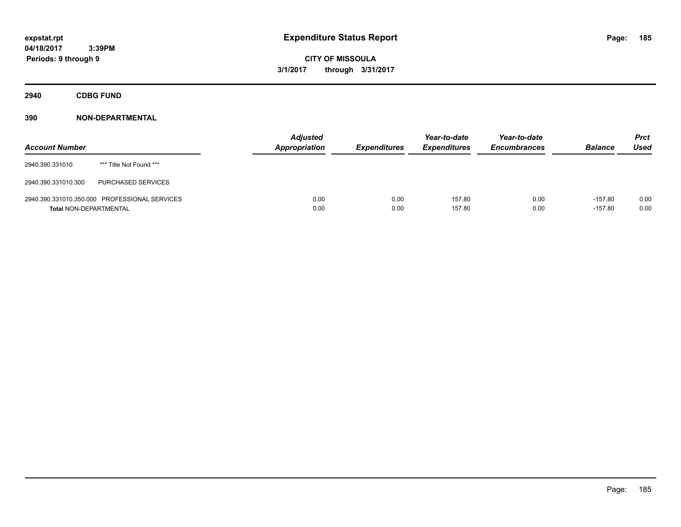**CITY OF MISSOULA 3/1/2017 through 3/31/2017**

**2940 CDBG FUND**

| <b>Account Number</b>         |                                               | <b>Adjusted</b><br><b>Appropriation</b> | <b>Expenditures</b> | Year-to-date<br><b>Expenditures</b> | Year-to-date<br><b>Encumbrances</b> | <b>Balance</b>         | <b>Prct</b><br>Used |
|-------------------------------|-----------------------------------------------|-----------------------------------------|---------------------|-------------------------------------|-------------------------------------|------------------------|---------------------|
| 2940.390.331010               | *** Title Not Found ***                       |                                         |                     |                                     |                                     |                        |                     |
| 2940.390.331010.300           | <b>PURCHASED SERVICES</b>                     |                                         |                     |                                     |                                     |                        |                     |
| <b>Total NON-DEPARTMENTAL</b> | 2940.390.331010.350.000 PROFESSIONAL SERVICES | 0.00<br>0.00                            | 0.00<br>0.00        | 157.80<br>157.80                    | 0.00<br>0.00                        | $-157.80$<br>$-157.80$ | 0.00<br>0.00        |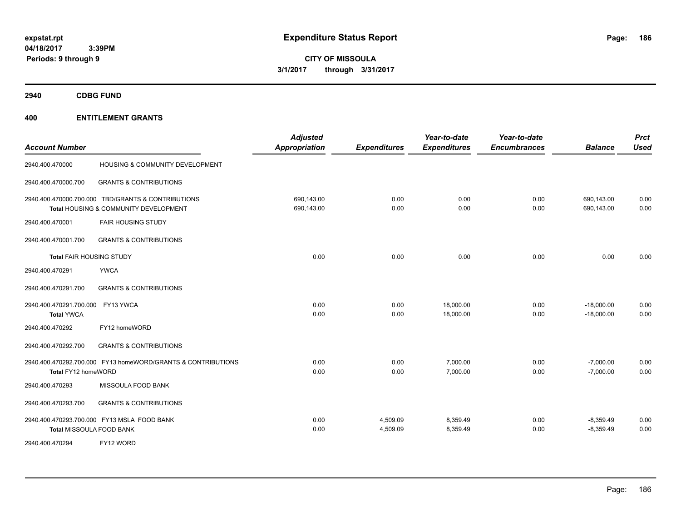**CITY OF MISSOULA 3/1/2017 through 3/31/2017**

**2940 CDBG FUND**

| <b>Account Number</b>                        |                                                                                             | <b>Adjusted</b><br>Appropriation | <b>Expenditures</b>  | Year-to-date<br><b>Expenditures</b> | Year-to-date<br><b>Encumbrances</b> | <b>Balance</b>               | <b>Prct</b><br><b>Used</b> |
|----------------------------------------------|---------------------------------------------------------------------------------------------|----------------------------------|----------------------|-------------------------------------|-------------------------------------|------------------------------|----------------------------|
| 2940.400.470000                              | HOUSING & COMMUNITY DEVELOPMENT                                                             |                                  |                      |                                     |                                     |                              |                            |
| 2940.400.470000.700                          | <b>GRANTS &amp; CONTRIBUTIONS</b>                                                           |                                  |                      |                                     |                                     |                              |                            |
|                                              | 2940.400.470000.700.000 TBD/GRANTS & CONTRIBUTIONS<br>Total HOUSING & COMMUNITY DEVELOPMENT | 690,143.00<br>690,143.00         | 0.00<br>0.00         | 0.00<br>0.00                        | 0.00<br>0.00                        | 690,143.00<br>690,143.00     | 0.00<br>0.00               |
| 2940.400.470001                              | <b>FAIR HOUSING STUDY</b>                                                                   |                                  |                      |                                     |                                     |                              |                            |
| 2940.400.470001.700                          | <b>GRANTS &amp; CONTRIBUTIONS</b>                                                           |                                  |                      |                                     |                                     |                              |                            |
| <b>Total FAIR HOUSING STUDY</b>              |                                                                                             | 0.00                             | 0.00                 | 0.00                                | 0.00                                | 0.00                         | 0.00                       |
| 2940.400.470291                              | <b>YWCA</b>                                                                                 |                                  |                      |                                     |                                     |                              |                            |
| 2940.400.470291.700                          | <b>GRANTS &amp; CONTRIBUTIONS</b>                                                           |                                  |                      |                                     |                                     |                              |                            |
| 2940.400.470291.700.000<br><b>Total YWCA</b> | FY13 YWCA                                                                                   | 0.00<br>0.00                     | 0.00<br>0.00         | 18,000.00<br>18,000.00              | 0.00<br>0.00                        | $-18,000.00$<br>$-18,000.00$ | 0.00<br>0.00               |
| 2940.400.470292                              | FY12 homeWORD                                                                               |                                  |                      |                                     |                                     |                              |                            |
| 2940.400.470292.700                          | <b>GRANTS &amp; CONTRIBUTIONS</b>                                                           |                                  |                      |                                     |                                     |                              |                            |
| Total FY12 homeWORD                          | 2940.400.470292.700.000 FY13 homeWORD/GRANTS & CONTRIBUTIONS                                | 0.00<br>0.00                     | 0.00<br>0.00         | 7,000.00<br>7,000.00                | 0.00<br>0.00                        | $-7,000.00$<br>$-7,000.00$   | 0.00<br>0.00               |
| 2940.400.470293                              | <b>MISSOULA FOOD BANK</b>                                                                   |                                  |                      |                                     |                                     |                              |                            |
| 2940.400.470293.700                          | <b>GRANTS &amp; CONTRIBUTIONS</b>                                                           |                                  |                      |                                     |                                     |                              |                            |
| Total MISSOULA FOOD BANK                     | 2940.400.470293.700.000 FY13 MSLA FOOD BANK                                                 | 0.00<br>0.00                     | 4,509.09<br>4,509.09 | 8,359.49<br>8,359.49                | 0.00<br>0.00                        | $-8,359.49$<br>$-8,359.49$   | 0.00<br>0.00               |
| 2940.400.470294                              | FY12 WORD                                                                                   |                                  |                      |                                     |                                     |                              |                            |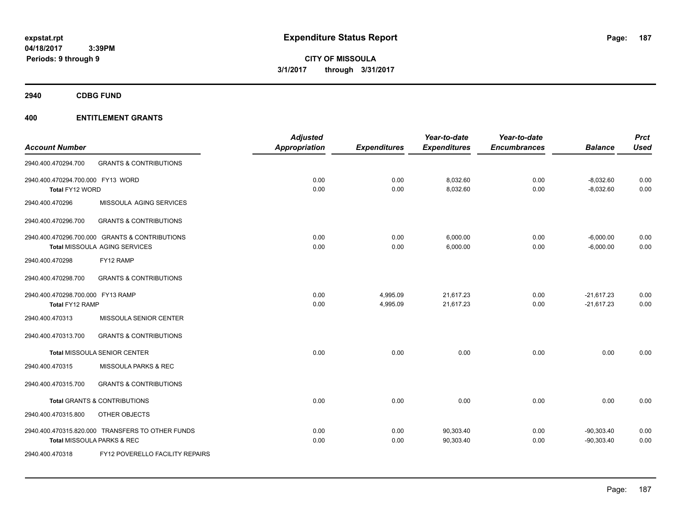**CITY OF MISSOULA 3/1/2017 through 3/31/2017**

**2940 CDBG FUND**

|                                   |                                                  | <b>Adjusted</b>      |                     | Year-to-date        | Year-to-date        |                | <b>Prct</b> |
|-----------------------------------|--------------------------------------------------|----------------------|---------------------|---------------------|---------------------|----------------|-------------|
| <b>Account Number</b>             |                                                  | <b>Appropriation</b> | <b>Expenditures</b> | <b>Expenditures</b> | <b>Encumbrances</b> | <b>Balance</b> | <b>Used</b> |
| 2940.400.470294.700               | <b>GRANTS &amp; CONTRIBUTIONS</b>                |                      |                     |                     |                     |                |             |
| 2940.400.470294.700.000 FY13 WORD |                                                  | 0.00                 | 0.00                | 8,032.60            | 0.00                | $-8,032.60$    | 0.00        |
| Total FY12 WORD                   |                                                  | 0.00                 | 0.00                | 8,032.60            | 0.00                | $-8,032.60$    | 0.00        |
| 2940.400.470296                   | MISSOULA AGING SERVICES                          |                      |                     |                     |                     |                |             |
| 2940.400.470296.700               | <b>GRANTS &amp; CONTRIBUTIONS</b>                |                      |                     |                     |                     |                |             |
|                                   | 2940.400.470296.700.000 GRANTS & CONTRIBUTIONS   | 0.00                 | 0.00                | 6,000.00            | 0.00                | $-6,000.00$    | 0.00        |
|                                   | Total MISSOULA AGING SERVICES                    | 0.00                 | 0.00                | 6,000.00            | 0.00                | $-6,000.00$    | 0.00        |
| 2940.400.470298                   | FY12 RAMP                                        |                      |                     |                     |                     |                |             |
| 2940.400.470298.700               | <b>GRANTS &amp; CONTRIBUTIONS</b>                |                      |                     |                     |                     |                |             |
| 2940.400.470298.700.000 FY13 RAMP |                                                  | 0.00                 | 4,995.09            | 21,617.23           | 0.00                | $-21,617.23$   | 0.00        |
| Total FY12 RAMP                   |                                                  | 0.00                 | 4,995.09            | 21,617.23           | 0.00                | $-21,617.23$   | 0.00        |
| 2940.400.470313                   | MISSOULA SENIOR CENTER                           |                      |                     |                     |                     |                |             |
| 2940.400.470313.700               | <b>GRANTS &amp; CONTRIBUTIONS</b>                |                      |                     |                     |                     |                |             |
|                                   | <b>Total MISSOULA SENIOR CENTER</b>              | 0.00                 | 0.00                | 0.00                | 0.00                | 0.00           | 0.00        |
| 2940.400.470315                   | MISSOULA PARKS & REC                             |                      |                     |                     |                     |                |             |
| 2940.400.470315.700               | <b>GRANTS &amp; CONTRIBUTIONS</b>                |                      |                     |                     |                     |                |             |
|                                   | <b>Total GRANTS &amp; CONTRIBUTIONS</b>          | 0.00                 | 0.00                | 0.00                | 0.00                | 0.00           | 0.00        |
| 2940.400.470315.800               | OTHER OBJECTS                                    |                      |                     |                     |                     |                |             |
|                                   | 2940.400.470315.820.000 TRANSFERS TO OTHER FUNDS | 0.00                 | 0.00                | 90,303.40           | 0.00                | $-90,303.40$   | 0.00        |
|                                   | Total MISSOULA PARKS & REC                       | 0.00                 | 0.00                | 90,303.40           | 0.00                | $-90,303.40$   | 0.00        |
| 2940.400.470318                   | <b>FY12 POVERELLO FACILITY REPAIRS</b>           |                      |                     |                     |                     |                |             |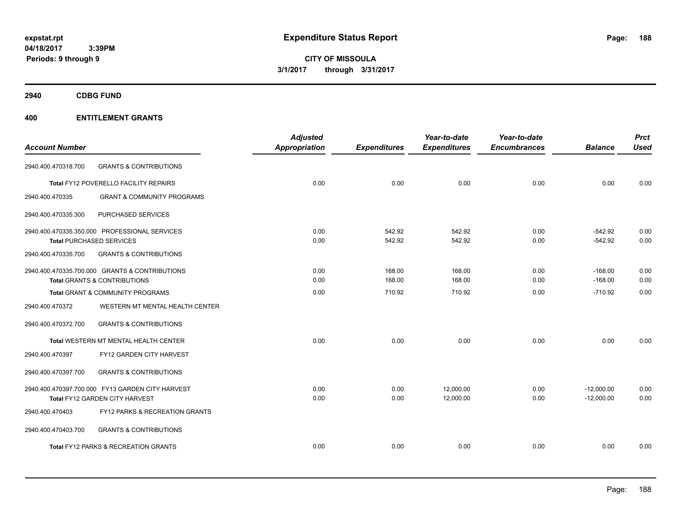**CITY OF MISSOULA 3/1/2017 through 3/31/2017**

**2940 CDBG FUND**

| <b>Account Number</b> |                                                  | <b>Adjusted</b><br><b>Appropriation</b> | <b>Expenditures</b> | Year-to-date<br><b>Expenditures</b> | Year-to-date<br><b>Encumbrances</b> | <b>Balance</b> | <b>Prct</b><br><b>Used</b> |
|-----------------------|--------------------------------------------------|-----------------------------------------|---------------------|-------------------------------------|-------------------------------------|----------------|----------------------------|
| 2940.400.470318.700   | <b>GRANTS &amp; CONTRIBUTIONS</b>                |                                         |                     |                                     |                                     |                |                            |
|                       | Total FY12 POVERELLO FACILITY REPAIRS            | 0.00                                    | 0.00                | 0.00                                | 0.00                                | 0.00           | 0.00                       |
| 2940.400.470335       | <b>GRANT &amp; COMMUNITY PROGRAMS</b>            |                                         |                     |                                     |                                     |                |                            |
| 2940.400.470335.300   | PURCHASED SERVICES                               |                                         |                     |                                     |                                     |                |                            |
|                       | 2940.400.470335.350.000 PROFESSIONAL SERVICES    | 0.00                                    | 542.92              | 542.92                              | 0.00                                | $-542.92$      | 0.00                       |
|                       | <b>Total PURCHASED SERVICES</b>                  | 0.00                                    | 542.92              | 542.92                              | 0.00                                | $-542.92$      | 0.00                       |
| 2940.400.470335.700   | <b>GRANTS &amp; CONTRIBUTIONS</b>                |                                         |                     |                                     |                                     |                |                            |
|                       | 2940.400.470335.700.000 GRANTS & CONTRIBUTIONS   | 0.00                                    | 168.00              | 168.00                              | 0.00                                | $-168.00$      | 0.00                       |
|                       | <b>Total GRANTS &amp; CONTRIBUTIONS</b>          | 0.00                                    | 168.00              | 168.00                              | 0.00                                | $-168.00$      | 0.00                       |
|                       | Total GRANT & COMMUNITY PROGRAMS                 | 0.00                                    | 710.92              | 710.92                              | 0.00                                | $-710.92$      | 0.00                       |
| 2940.400.470372       | WESTERN MT MENTAL HEALTH CENTER                  |                                         |                     |                                     |                                     |                |                            |
| 2940.400.470372.700   | <b>GRANTS &amp; CONTRIBUTIONS</b>                |                                         |                     |                                     |                                     |                |                            |
|                       | <b>Total WESTERN MT MENTAL HEALTH CENTER</b>     | 0.00                                    | 0.00                | 0.00                                | 0.00                                | 0.00           | 0.00                       |
| 2940.400.470397       | FY12 GARDEN CITY HARVEST                         |                                         |                     |                                     |                                     |                |                            |
| 2940.400.470397.700   | <b>GRANTS &amp; CONTRIBUTIONS</b>                |                                         |                     |                                     |                                     |                |                            |
|                       | 2940.400.470397.700.000 FY13 GARDEN CITY HARVEST | 0.00                                    | 0.00                | 12,000.00                           | 0.00                                | $-12,000.00$   | 0.00                       |
|                       | Total FY12 GARDEN CITY HARVEST                   | 0.00                                    | 0.00                | 12,000.00                           | 0.00                                | $-12,000.00$   | 0.00                       |
| 2940.400.470403       | FY12 PARKS & RECREATION GRANTS                   |                                         |                     |                                     |                                     |                |                            |
| 2940.400.470403.700   | <b>GRANTS &amp; CONTRIBUTIONS</b>                |                                         |                     |                                     |                                     |                |                            |
|                       | <b>Total FY12 PARKS &amp; RECREATION GRANTS</b>  | 0.00                                    | 0.00                | 0.00                                | 0.00                                | 0.00           | 0.00                       |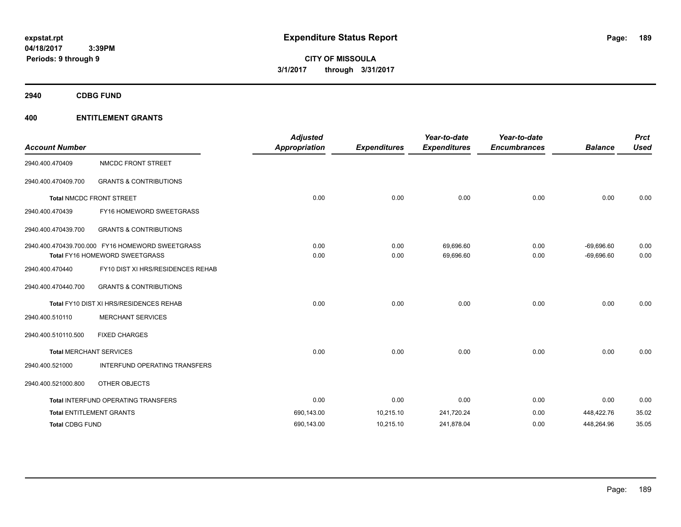**CITY OF MISSOULA 3/1/2017 through 3/31/2017**

**2940 CDBG FUND**

| <b>Account Number</b>  |                                                                                           | <b>Adjusted</b><br><b>Appropriation</b> | <b>Expenditures</b> | Year-to-date<br><b>Expenditures</b> | Year-to-date<br><b>Encumbrances</b> | <b>Balance</b>               | <b>Prct</b><br><b>Used</b> |
|------------------------|-------------------------------------------------------------------------------------------|-----------------------------------------|---------------------|-------------------------------------|-------------------------------------|------------------------------|----------------------------|
| 2940.400.470409        | NMCDC FRONT STREET                                                                        |                                         |                     |                                     |                                     |                              |                            |
| 2940.400.470409.700    | <b>GRANTS &amp; CONTRIBUTIONS</b>                                                         |                                         |                     |                                     |                                     |                              |                            |
|                        | <b>Total NMCDC FRONT STREET</b>                                                           | 0.00                                    | 0.00                | 0.00                                | 0.00                                | 0.00                         | 0.00                       |
| 2940.400.470439        | FY16 HOMEWORD SWEETGRASS                                                                  |                                         |                     |                                     |                                     |                              |                            |
| 2940.400.470439.700    | <b>GRANTS &amp; CONTRIBUTIONS</b>                                                         |                                         |                     |                                     |                                     |                              |                            |
|                        | 2940.400.470439.700.000 FY16 HOMEWORD SWEETGRASS<br><b>Total FY16 HOMEWORD SWEETGRASS</b> | 0.00<br>0.00                            | 0.00<br>0.00        | 69,696.60<br>69,696.60              | 0.00<br>0.00                        | $-69,696.60$<br>$-69,696.60$ | 0.00<br>0.00               |
| 2940.400.470440        | FY10 DIST XI HRS/RESIDENCES REHAB                                                         |                                         |                     |                                     |                                     |                              |                            |
| 2940.400.470440.700    | <b>GRANTS &amp; CONTRIBUTIONS</b>                                                         |                                         |                     |                                     |                                     |                              |                            |
|                        | Total FY10 DIST XI HRS/RESIDENCES REHAB                                                   | 0.00                                    | 0.00                | 0.00                                | 0.00                                | 0.00                         | 0.00                       |
| 2940.400.510110        | <b>MERCHANT SERVICES</b>                                                                  |                                         |                     |                                     |                                     |                              |                            |
| 2940.400.510110.500    | <b>FIXED CHARGES</b>                                                                      |                                         |                     |                                     |                                     |                              |                            |
|                        | <b>Total MERCHANT SERVICES</b>                                                            | 0.00                                    | 0.00                | 0.00                                | 0.00                                | 0.00                         | 0.00                       |
| 2940.400.521000        | INTERFUND OPERATING TRANSFERS                                                             |                                         |                     |                                     |                                     |                              |                            |
| 2940.400.521000.800    | OTHER OBJECTS                                                                             |                                         |                     |                                     |                                     |                              |                            |
|                        | <b>Total INTERFUND OPERATING TRANSFERS</b>                                                | 0.00                                    | 0.00                | 0.00                                | 0.00                                | 0.00                         | 0.00                       |
|                        | <b>Total ENTITLEMENT GRANTS</b>                                                           | 690,143.00                              | 10,215.10           | 241,720.24                          | 0.00                                | 448,422.76                   | 35.02                      |
| <b>Total CDBG FUND</b> |                                                                                           | 690,143.00                              | 10,215.10           | 241,878.04                          | 0.00                                | 448,264.96                   | 35.05                      |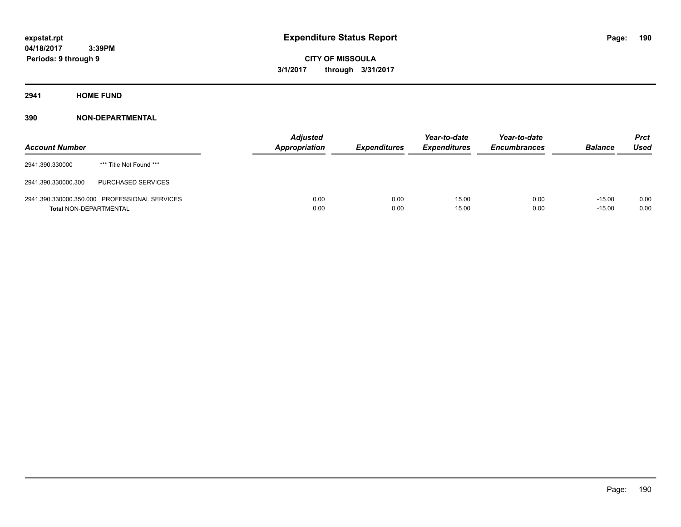**CITY OF MISSOULA 3/1/2017 through 3/31/2017**

**2941 HOME FUND**

| <b>Account Number</b>         |                                               | <b>Adjusted</b><br>Appropriation | <b>Expenditures</b> | Year-to-date<br><b>Expenditures</b> | Year-to-date<br><b>Encumbrances</b> | <b>Balance</b>       | <b>Prct</b><br><b>Used</b> |
|-------------------------------|-----------------------------------------------|----------------------------------|---------------------|-------------------------------------|-------------------------------------|----------------------|----------------------------|
| 2941.390.330000               | *** Title Not Found ***                       |                                  |                     |                                     |                                     |                      |                            |
| 2941.390.330000.300           | PURCHASED SERVICES                            |                                  |                     |                                     |                                     |                      |                            |
| <b>Total NON-DEPARTMENTAL</b> | 2941.390.330000.350.000 PROFESSIONAL SERVICES | 0.00<br>0.00                     | 0.00<br>0.00        | 15.00<br>15.00                      | 0.00<br>0.00                        | $-15.00$<br>$-15.00$ | 0.00<br>0.00               |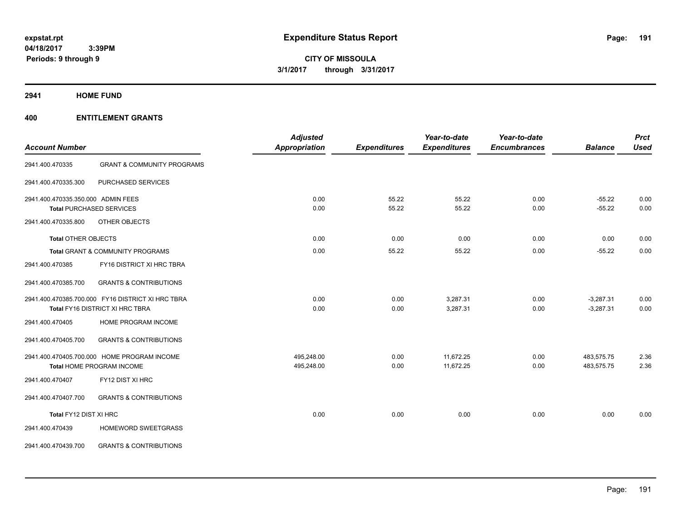**Periods: 9 through 9**

**CITY OF MISSOULA 3/1/2017 through 3/31/2017**

**2941 HOME FUND**

|                                    |                                                   | <b>Adjusted</b>      |                     | Year-to-date        | Year-to-date        |                | <b>Prct</b> |
|------------------------------------|---------------------------------------------------|----------------------|---------------------|---------------------|---------------------|----------------|-------------|
| <b>Account Number</b>              |                                                   | <b>Appropriation</b> | <b>Expenditures</b> | <b>Expenditures</b> | <b>Encumbrances</b> | <b>Balance</b> | <b>Used</b> |
| 2941.400.470335                    | <b>GRANT &amp; COMMUNITY PROGRAMS</b>             |                      |                     |                     |                     |                |             |
| 2941.400.470335.300                | PURCHASED SERVICES                                |                      |                     |                     |                     |                |             |
| 2941.400.470335.350.000 ADMIN FEES |                                                   | 0.00                 | 55.22               | 55.22               | 0.00                | $-55.22$       | 0.00        |
|                                    | <b>Total PURCHASED SERVICES</b>                   | 0.00                 | 55.22               | 55.22               | 0.00                | $-55.22$       | 0.00        |
| 2941.400.470335.800                | OTHER OBJECTS                                     |                      |                     |                     |                     |                |             |
| <b>Total OTHER OBJECTS</b>         |                                                   | 0.00                 | 0.00                | 0.00                | 0.00                | 0.00           | 0.00        |
|                                    | Total GRANT & COMMUNITY PROGRAMS                  | 0.00                 | 55.22               | 55.22               | 0.00                | $-55.22$       | 0.00        |
| 2941.400.470385                    | FY16 DISTRICT XI HRC TBRA                         |                      |                     |                     |                     |                |             |
| 2941.400.470385.700                | <b>GRANTS &amp; CONTRIBUTIONS</b>                 |                      |                     |                     |                     |                |             |
|                                    | 2941.400.470385.700.000 FY16 DISTRICT XI HRC TBRA | 0.00                 | 0.00                | 3,287.31            | 0.00                | $-3,287.31$    | 0.00        |
|                                    | Total FY16 DISTRICT XI HRC TBRA                   | 0.00                 | 0.00                | 3,287.31            | 0.00                | $-3,287.31$    | 0.00        |
| 2941.400.470405                    | HOME PROGRAM INCOME                               |                      |                     |                     |                     |                |             |
| 2941.400.470405.700                | <b>GRANTS &amp; CONTRIBUTIONS</b>                 |                      |                     |                     |                     |                |             |
|                                    | 2941.400.470405.700.000 HOME PROGRAM INCOME       | 495,248.00           | 0.00                | 11,672.25           | 0.00                | 483,575.75     | 2.36        |
|                                    | Total HOME PROGRAM INCOME                         | 495,248.00           | 0.00                | 11,672.25           | 0.00                | 483,575.75     | 2.36        |
| 2941.400.470407                    | FY12 DIST XI HRC                                  |                      |                     |                     |                     |                |             |
| 2941.400.470407.700                | <b>GRANTS &amp; CONTRIBUTIONS</b>                 |                      |                     |                     |                     |                |             |
| Total FY12 DIST XI HRC             |                                                   | 0.00                 | 0.00                | 0.00                | 0.00                | 0.00           | 0.00        |
| 2941.400.470439                    | HOMEWORD SWEETGRASS                               |                      |                     |                     |                     |                |             |
| 2941.400.470439.700                | <b>GRANTS &amp; CONTRIBUTIONS</b>                 |                      |                     |                     |                     |                |             |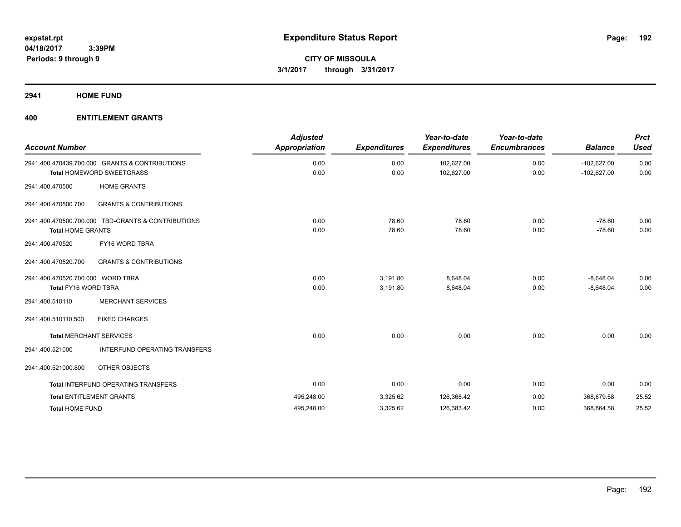**2941 HOME FUND**

| <b>Account Number</b>             |                                                    | <b>Adjusted</b><br><b>Appropriation</b> | <b>Expenditures</b> | Year-to-date<br><b>Expenditures</b> | Year-to-date<br><b>Encumbrances</b> | <b>Balance</b> | <b>Prct</b><br><b>Used</b> |
|-----------------------------------|----------------------------------------------------|-----------------------------------------|---------------------|-------------------------------------|-------------------------------------|----------------|----------------------------|
|                                   | 2941.400.470439.700.000 GRANTS & CONTRIBUTIONS     | 0.00                                    | 0.00                | 102,627.00                          | 0.00                                | $-102,627.00$  | 0.00<br>0.00               |
|                                   | Total HOMEWORD SWEETGRASS                          | 0.00                                    | 0.00                | 102,627.00                          | 0.00                                | $-102,627.00$  |                            |
| 2941.400.470500                   | <b>HOME GRANTS</b>                                 |                                         |                     |                                     |                                     |                |                            |
| 2941.400.470500.700               | <b>GRANTS &amp; CONTRIBUTIONS</b>                  |                                         |                     |                                     |                                     |                |                            |
|                                   | 2941.400.470500.700.000 TBD-GRANTS & CONTRIBUTIONS | 0.00                                    | 78.60               | 78.60                               | 0.00                                | $-78.60$       | 0.00                       |
| <b>Total HOME GRANTS</b>          |                                                    | 0.00                                    | 78.60               | 78.60                               | 0.00                                | $-78.60$       | 0.00                       |
| 2941.400.470520                   | FY16 WORD TBRA                                     |                                         |                     |                                     |                                     |                |                            |
| 2941.400.470520.700               | <b>GRANTS &amp; CONTRIBUTIONS</b>                  |                                         |                     |                                     |                                     |                |                            |
| 2941.400.470520.700.000 WORD TBRA |                                                    | 0.00                                    | 3,191.80            | 8,648.04                            | 0.00                                | $-8,648.04$    | 0.00                       |
| <b>Total FY16 WORD TBRA</b>       |                                                    | 0.00                                    | 3,191.80            | 8,648.04                            | 0.00                                | $-8,648.04$    | 0.00                       |
| 2941.400.510110                   | <b>MERCHANT SERVICES</b>                           |                                         |                     |                                     |                                     |                |                            |
| 2941.400.510110.500               | <b>FIXED CHARGES</b>                               |                                         |                     |                                     |                                     |                |                            |
|                                   | <b>Total MERCHANT SERVICES</b>                     | 0.00                                    | 0.00                | 0.00                                | 0.00                                | 0.00           | 0.00                       |
| 2941.400.521000                   | INTERFUND OPERATING TRANSFERS                      |                                         |                     |                                     |                                     |                |                            |
| 2941.400.521000.800               | OTHER OBJECTS                                      |                                         |                     |                                     |                                     |                |                            |
|                                   | <b>Total INTERFUND OPERATING TRANSFERS</b>         | 0.00                                    | 0.00                | 0.00                                | 0.00                                | 0.00           | 0.00                       |
|                                   | <b>Total ENTITLEMENT GRANTS</b>                    | 495,248.00                              | 3,325.62            | 126,368.42                          | 0.00                                | 368,879.58     | 25.52                      |
| <b>Total HOME FUND</b>            |                                                    | 495,248.00                              | 3,325.62            | 126,383.42                          | 0.00                                | 368,864.58     | 25.52                      |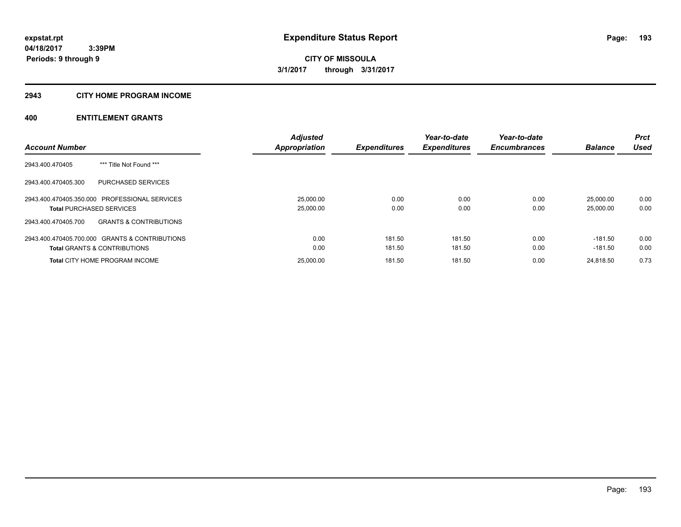#### **2943 CITY HOME PROGRAM INCOME**

| <b>Account Number</b>                                    | <b>Adjusted</b><br><b>Appropriation</b> | <b>Expenditures</b> | Year-to-date<br><b>Expenditures</b> | Year-to-date<br><b>Encumbrances</b> | <b>Balance</b> | <b>Prct</b><br><b>Used</b> |
|----------------------------------------------------------|-----------------------------------------|---------------------|-------------------------------------|-------------------------------------|----------------|----------------------------|
|                                                          |                                         |                     |                                     |                                     |                |                            |
| *** Title Not Found ***<br>2943.400.470405               |                                         |                     |                                     |                                     |                |                            |
| PURCHASED SERVICES<br>2943.400.470405.300                |                                         |                     |                                     |                                     |                |                            |
| 2943.400.470405.350.000 PROFESSIONAL SERVICES            | 25.000.00                               | 0.00                | 0.00                                | 0.00                                | 25.000.00      | 0.00                       |
| <b>Total PURCHASED SERVICES</b>                          | 25,000.00                               | 0.00                | 0.00                                | 0.00                                | 25.000.00      | 0.00                       |
| 2943.400.470405.700<br><b>GRANTS &amp; CONTRIBUTIONS</b> |                                         |                     |                                     |                                     |                |                            |
| 2943.400.470405.700.000 GRANTS & CONTRIBUTIONS           | 0.00                                    | 181.50              | 181.50                              | 0.00                                | $-181.50$      | 0.00                       |
| <b>Total GRANTS &amp; CONTRIBUTIONS</b>                  | 0.00                                    | 181.50              | 181.50                              | 0.00                                | $-181.50$      | 0.00                       |
| <b>Total CITY HOME PROGRAM INCOME</b>                    | 25,000.00                               | 181.50              | 181.50                              | 0.00                                | 24.818.50      | 0.73                       |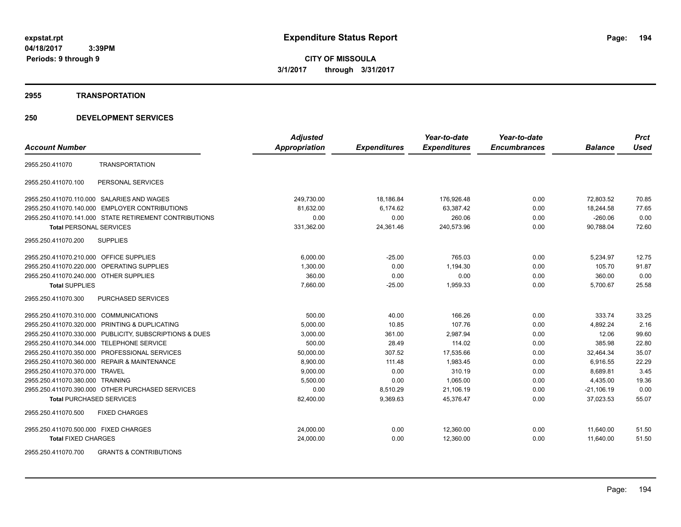**Periods: 9 through 9**

**CITY OF MISSOULA 3/1/2017 through 3/31/2017**

#### **2955 TRANSPORTATION**

# **250 DEVELOPMENT SERVICES**

 **3:39PM**

|                                                         | <b>Adjusted</b> |                     | Year-to-date        | Year-to-date        |                | <b>Prct</b> |
|---------------------------------------------------------|-----------------|---------------------|---------------------|---------------------|----------------|-------------|
| <b>Account Number</b>                                   | Appropriation   | <b>Expenditures</b> | <b>Expenditures</b> | <b>Encumbrances</b> | <b>Balance</b> | <b>Used</b> |
| <b>TRANSPORTATION</b><br>2955.250.411070                |                 |                     |                     |                     |                |             |
| PERSONAL SERVICES<br>2955.250.411070.100                |                 |                     |                     |                     |                |             |
| 2955.250.411070.110.000 SALARIES AND WAGES              | 249,730.00      | 18,186.84           | 176,926.48          | 0.00                | 72,803.52      | 70.85       |
| 2955.250.411070.140.000 EMPLOYER CONTRIBUTIONS          | 81,632.00       | 6,174.62            | 63,387.42           | 0.00                | 18,244.58      | 77.65       |
| 2955.250.411070.141.000 STATE RETIREMENT CONTRIBUTIONS  | 0.00            | 0.00                | 260.06              | 0.00                | $-260.06$      | 0.00        |
| <b>Total PERSONAL SERVICES</b>                          | 331,362.00      | 24,361.46           | 240,573.96          | 0.00                | 90,788.04      | 72.60       |
| 2955.250.411070.200<br><b>SUPPLIES</b>                  |                 |                     |                     |                     |                |             |
| 2955.250.411070.210.000 OFFICE SUPPLIES                 | 6,000.00        | $-25.00$            | 765.03              | 0.00                | 5,234.97       | 12.75       |
| 2955.250.411070.220.000 OPERATING SUPPLIES              | 1,300.00        | 0.00                | 1,194.30            | 0.00                | 105.70         | 91.87       |
| 2955.250.411070.240.000 OTHER SUPPLIES                  | 360.00          | 0.00                | 0.00                | 0.00                | 360.00         | 0.00        |
| <b>Total SUPPLIES</b>                                   | 7,660.00        | $-25.00$            | 1,959.33            | 0.00                | 5,700.67       | 25.58       |
| 2955.250.411070.300<br>PURCHASED SERVICES               |                 |                     |                     |                     |                |             |
| 2955.250.411070.310.000 COMMUNICATIONS                  | 500.00          | 40.00               | 166.26              | 0.00                | 333.74         | 33.25       |
| 2955.250.411070.320.000 PRINTING & DUPLICATING          | 5,000.00        | 10.85               | 107.76              | 0.00                | 4,892.24       | 2.16        |
| 2955.250.411070.330.000 PUBLICITY, SUBSCRIPTIONS & DUES | 3,000.00        | 361.00              | 2,987.94            | 0.00                | 12.06          | 99.60       |
| 2955.250.411070.344.000 TELEPHONE SERVICE               | 500.00          | 28.49               | 114.02              | 0.00                | 385.98         | 22.80       |
| 2955.250.411070.350.000 PROFESSIONAL SERVICES           | 50,000.00       | 307.52              | 17,535.66           | 0.00                | 32,464.34      | 35.07       |
| 2955.250.411070.360.000 REPAIR & MAINTENANCE            | 8,900.00        | 111.48              | 1,983.45            | 0.00                | 6,916.55       | 22.29       |
| 2955.250.411070.370.000 TRAVEL                          | 9,000.00        | 0.00                | 310.19              | 0.00                | 8,689.81       | 3.45        |
| 2955.250.411070.380.000 TRAINING                        | 5,500.00        | 0.00                | 1,065.00            | 0.00                | 4,435.00       | 19.36       |
| 2955.250.411070.390.000 OTHER PURCHASED SERVICES        | 0.00            | 8,510.29            | 21,106.19           | 0.00                | $-21,106.19$   | 0.00        |
| <b>Total PURCHASED SERVICES</b>                         | 82,400.00       | 9,369.63            | 45,376.47           | 0.00                | 37,023.53      | 55.07       |
| 2955.250.411070.500<br><b>FIXED CHARGES</b>             |                 |                     |                     |                     |                |             |
| 2955.250.411070.500.000 FIXED CHARGES                   | 24,000.00       | 0.00                | 12,360.00           | 0.00                | 11,640.00      | 51.50       |
| <b>Total FIXED CHARGES</b>                              | 24,000.00       | 0.00                | 12,360.00           | 0.00                | 11.640.00      | 51.50       |
|                                                         |                 |                     |                     |                     |                |             |

2955.250.411070.700 GRANTS & CONTRIBUTIONS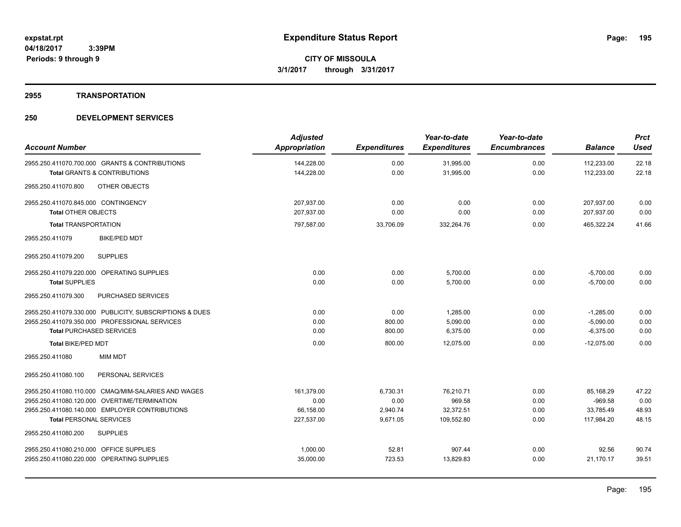#### **2955 TRANSPORTATION**

|                                                         | <b>Adjusted</b>      |                     | Year-to-date        | Year-to-date        |                | <b>Prct</b> |
|---------------------------------------------------------|----------------------|---------------------|---------------------|---------------------|----------------|-------------|
| <b>Account Number</b>                                   | <b>Appropriation</b> | <b>Expenditures</b> | <b>Expenditures</b> | <b>Encumbrances</b> | <b>Balance</b> | <b>Used</b> |
| 2955.250.411070.700.000 GRANTS & CONTRIBUTIONS          | 144,228.00           | 0.00                | 31,995.00           | 0.00                | 112,233.00     | 22.18       |
| <b>Total GRANTS &amp; CONTRIBUTIONS</b>                 | 144,228.00           | 0.00                | 31,995.00           | 0.00                | 112,233.00     | 22.18       |
| OTHER OBJECTS<br>2955.250.411070.800                    |                      |                     |                     |                     |                |             |
| 2955.250.411070.845.000 CONTINGENCY                     | 207,937.00           | 0.00                | 0.00                | 0.00                | 207,937.00     | 0.00        |
| <b>Total OTHER OBJECTS</b>                              | 207.937.00           | 0.00                | 0.00                | 0.00                | 207,937.00     | 0.00        |
| <b>Total TRANSPORTATION</b>                             | 797,587.00           | 33,706.09           | 332,264.76          | 0.00                | 465.322.24     | 41.66       |
| 2955.250.411079<br><b>BIKE/PED MDT</b>                  |                      |                     |                     |                     |                |             |
| 2955.250.411079.200<br><b>SUPPLIES</b>                  |                      |                     |                     |                     |                |             |
| 2955.250.411079.220.000 OPERATING SUPPLIES              | 0.00                 | 0.00                | 5,700.00            | 0.00                | $-5,700.00$    | 0.00        |
| <b>Total SUPPLIES</b>                                   | 0.00                 | 0.00                | 5,700.00            | 0.00                | $-5,700.00$    | 0.00        |
| PURCHASED SERVICES<br>2955.250.411079.300               |                      |                     |                     |                     |                |             |
| 2955.250.411079.330.000 PUBLICITY, SUBSCRIPTIONS & DUES | 0.00                 | 0.00                | 1,285.00            | 0.00                | $-1,285.00$    | 0.00        |
| 2955.250.411079.350.000 PROFESSIONAL SERVICES           | 0.00                 | 800.00              | 5,090.00            | 0.00                | $-5,090.00$    | 0.00        |
| <b>Total PURCHASED SERVICES</b>                         | 0.00                 | 800.00              | 6,375.00            | 0.00                | $-6,375.00$    | 0.00        |
| <b>Total BIKE/PED MDT</b>                               | 0.00                 | 800.00              | 12,075.00           | 0.00                | $-12,075.00$   | 0.00        |
| 2955.250.411080<br><b>MIM MDT</b>                       |                      |                     |                     |                     |                |             |
| 2955.250.411080.100<br>PERSONAL SERVICES                |                      |                     |                     |                     |                |             |
| 2955.250.411080.110.000 CMAQ/MIM-SALARIES AND WAGES     | 161,379.00           | 6,730.31            | 76,210.71           | 0.00                | 85,168.29      | 47.22       |
| 2955.250.411080.120.000 OVERTIME/TERMINATION            | 0.00                 | 0.00                | 969.58              | 0.00                | $-969.58$      | 0.00        |
| 2955.250.411080.140.000 EMPLOYER CONTRIBUTIONS          | 66,158.00            | 2,940.74            | 32,372.51           | 0.00                | 33,785.49      | 48.93       |
| <b>Total PERSONAL SERVICES</b>                          | 227,537.00           | 9,671.05            | 109,552.80          | 0.00                | 117,984.20     | 48.15       |
| <b>SUPPLIES</b><br>2955.250.411080.200                  |                      |                     |                     |                     |                |             |
| 2955.250.411080.210.000 OFFICE SUPPLIES                 | 1,000.00             | 52.81               | 907.44              | 0.00                | 92.56          | 90.74       |
| 2955.250.411080.220.000 OPERATING SUPPLIES              | 35,000.00            | 723.53              | 13.829.83           | 0.00                | 21,170.17      | 39.51       |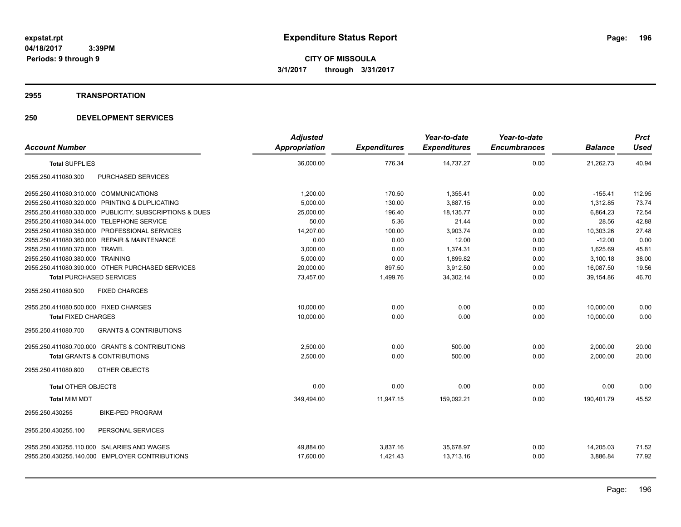#### **2955 TRANSPORTATION**

|                                                          | <b>Adjusted</b> |                     | Year-to-date        | Year-to-date        |                | <b>Prct</b> |
|----------------------------------------------------------|-----------------|---------------------|---------------------|---------------------|----------------|-------------|
| <b>Account Number</b>                                    | Appropriation   | <b>Expenditures</b> | <b>Expenditures</b> | <b>Encumbrances</b> | <b>Balance</b> | <b>Used</b> |
| <b>Total SUPPLIES</b>                                    | 36,000.00       | 776.34              | 14,737.27           | 0.00                | 21,262.73      | 40.94       |
| PURCHASED SERVICES<br>2955.250.411080.300                |                 |                     |                     |                     |                |             |
| 2955.250.411080.310.000 COMMUNICATIONS                   | 1.200.00        | 170.50              | 1.355.41            | 0.00                | $-155.41$      | 112.95      |
| 2955.250.411080.320.000 PRINTING & DUPLICATING           | 5,000.00        | 130.00              | 3,687.15            | 0.00                | 1,312.85       | 73.74       |
| 2955.250.411080.330.000 PUBLICITY, SUBSCRIPTIONS & DUES  | 25,000.00       | 196.40              | 18,135.77           | 0.00                | 6,864.23       | 72.54       |
| 2955.250.411080.344.000 TELEPHONE SERVICE                | 50.00           | 5.36                | 21.44               | 0.00                | 28.56          | 42.88       |
| 2955.250.411080.350.000 PROFESSIONAL SERVICES            | 14,207.00       | 100.00              | 3,903.74            | 0.00                | 10,303.26      | 27.48       |
| 2955.250.411080.360.000 REPAIR & MAINTENANCE             | 0.00            | 0.00                | 12.00               | 0.00                | $-12.00$       | 0.00        |
| 2955.250.411080.370.000 TRAVEL                           | 3,000.00        | 0.00                | 1,374.31            | 0.00                | 1,625.69       | 45.81       |
| 2955.250.411080.380.000 TRAINING                         | 5,000.00        | 0.00                | 1,899.82            | 0.00                | 3,100.18       | 38.00       |
| 2955.250.411080.390.000 OTHER PURCHASED SERVICES         | 20,000.00       | 897.50              | 3,912.50            | 0.00                | 16,087.50      | 19.56       |
| <b>Total PURCHASED SERVICES</b>                          | 73,457.00       | 1,499.76            | 34,302.14           | 0.00                | 39,154.86      | 46.70       |
| 2955.250.411080.500<br><b>FIXED CHARGES</b>              |                 |                     |                     |                     |                |             |
| 2955.250.411080.500.000 FIXED CHARGES                    | 10,000.00       | 0.00                | 0.00                | 0.00                | 10,000.00      | 0.00        |
| <b>Total FIXED CHARGES</b>                               | 10,000.00       | 0.00                | 0.00                | 0.00                | 10,000.00      | 0.00        |
| <b>GRANTS &amp; CONTRIBUTIONS</b><br>2955.250.411080.700 |                 |                     |                     |                     |                |             |
| 2955.250.411080.700.000 GRANTS & CONTRIBUTIONS           | 2,500.00        | 0.00                | 500.00              | 0.00                | 2,000.00       | 20.00       |
| <b>Total GRANTS &amp; CONTRIBUTIONS</b>                  | 2,500.00        | 0.00                | 500.00              | 0.00                | 2,000.00       | 20.00       |
| 2955.250.411080.800<br><b>OTHER OBJECTS</b>              |                 |                     |                     |                     |                |             |
| <b>Total OTHER OBJECTS</b>                               | 0.00            | 0.00                | 0.00                | 0.00                | 0.00           | 0.00        |
| <b>Total MIM MDT</b>                                     | 349,494.00      | 11,947.15           | 159,092.21          | 0.00                | 190.401.79     | 45.52       |
| <b>BIKE-PED PROGRAM</b><br>2955.250.430255               |                 |                     |                     |                     |                |             |
| 2955.250.430255.100<br>PERSONAL SERVICES                 |                 |                     |                     |                     |                |             |
| 2955.250.430255.110.000 SALARIES AND WAGES               | 49,884.00       | 3,837.16            | 35,678.97           | 0.00                | 14,205.03      | 71.52       |
| 2955.250.430255.140.000 EMPLOYER CONTRIBUTIONS           | 17,600.00       | 1,421.43            | 13,713.16           | 0.00                | 3,886.84       | 77.92       |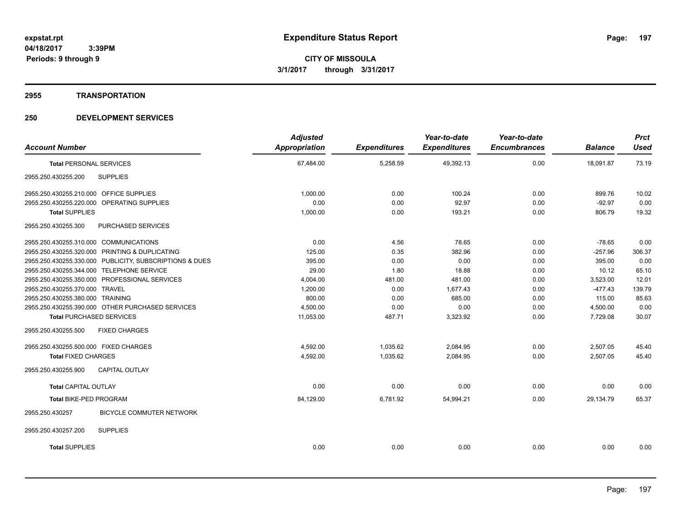#### **2955 TRANSPORTATION**

| <b>Account Number</b>                                   | <b>Adjusted</b><br><b>Appropriation</b> | <b>Expenditures</b> | Year-to-date<br><b>Expenditures</b> | Year-to-date<br><b>Encumbrances</b> | <b>Balance</b> | <b>Prct</b><br><b>Used</b> |
|---------------------------------------------------------|-----------------------------------------|---------------------|-------------------------------------|-------------------------------------|----------------|----------------------------|
| <b>Total PERSONAL SERVICES</b>                          | 67,484.00                               | 5,258.59            | 49,392.13                           | 0.00                                | 18,091.87      | 73.19                      |
| 2955.250.430255.200<br><b>SUPPLIES</b>                  |                                         |                     |                                     |                                     |                |                            |
| 2955.250.430255.210.000 OFFICE SUPPLIES                 | 1,000.00                                | 0.00                | 100.24                              | 0.00                                | 899.76         | 10.02                      |
| 2955.250.430255.220.000 OPERATING SUPPLIES              | 0.00                                    | 0.00                | 92.97                               | 0.00                                | $-92.97$       | 0.00                       |
| <b>Total SUPPLIES</b>                                   | 1,000.00                                | 0.00                | 193.21                              | 0.00                                | 806.79         | 19.32                      |
| 2955.250.430255.300<br>PURCHASED SERVICES               |                                         |                     |                                     |                                     |                |                            |
| 2955.250.430255.310.000 COMMUNICATIONS                  | 0.00                                    | 4.56                | 78.65                               | 0.00                                | $-78.65$       | 0.00                       |
| 2955.250.430255.320.000 PRINTING & DUPLICATING          | 125.00                                  | 0.35                | 382.96                              | 0.00                                | $-257.96$      | 306.37                     |
| 2955.250.430255.330.000 PUBLICITY, SUBSCRIPTIONS & DUES | 395.00                                  | 0.00                | 0.00                                | 0.00                                | 395.00         | 0.00                       |
| 2955.250.430255.344.000 TELEPHONE SERVICE               | 29.00                                   | 1.80                | 18.88                               | 0.00                                | 10.12          | 65.10                      |
| 2955.250.430255.350.000 PROFESSIONAL SERVICES           | 4,004.00                                | 481.00              | 481.00                              | 0.00                                | 3,523.00       | 12.01                      |
| 2955.250.430255.370.000 TRAVEL                          | 1,200.00                                | 0.00                | 1,677.43                            | 0.00                                | $-477.43$      | 139.79                     |
| 2955.250.430255.380.000 TRAINING                        | 800.00                                  | 0.00                | 685.00                              | 0.00                                | 115.00         | 85.63                      |
| 2955.250.430255.390.000 OTHER PURCHASED SERVICES        | 4,500.00                                | 0.00                | 0.00                                | 0.00                                | 4,500.00       | 0.00                       |
| <b>Total PURCHASED SERVICES</b>                         | 11,053.00                               | 487.71              | 3,323.92                            | 0.00                                | 7,729.08       | 30.07                      |
| 2955.250.430255.500<br><b>FIXED CHARGES</b>             |                                         |                     |                                     |                                     |                |                            |
| 2955.250.430255.500.000 FIXED CHARGES                   | 4.592.00                                | 1.035.62            | 2,084.95                            | 0.00                                | 2,507.05       | 45.40                      |
| <b>Total FIXED CHARGES</b>                              | 4,592.00                                | 1,035.62            | 2,084.95                            | 0.00                                | 2,507.05       | 45.40                      |
| <b>CAPITAL OUTLAY</b><br>2955.250.430255.900            |                                         |                     |                                     |                                     |                |                            |
| <b>Total CAPITAL OUTLAY</b>                             | 0.00                                    | 0.00                | 0.00                                | 0.00                                | 0.00           | 0.00                       |
| <b>Total BIKE-PED PROGRAM</b>                           | 84.129.00                               | 6,781.92            | 54,994.21                           | 0.00                                | 29.134.79      | 65.37                      |
| BICYCLE COMMUTER NETWORK<br>2955.250.430257             |                                         |                     |                                     |                                     |                |                            |
| 2955.250.430257.200<br><b>SUPPLIES</b>                  |                                         |                     |                                     |                                     |                |                            |
| <b>Total SUPPLIES</b>                                   | 0.00                                    | 0.00                | 0.00                                | 0.00                                | 0.00           | 0.00                       |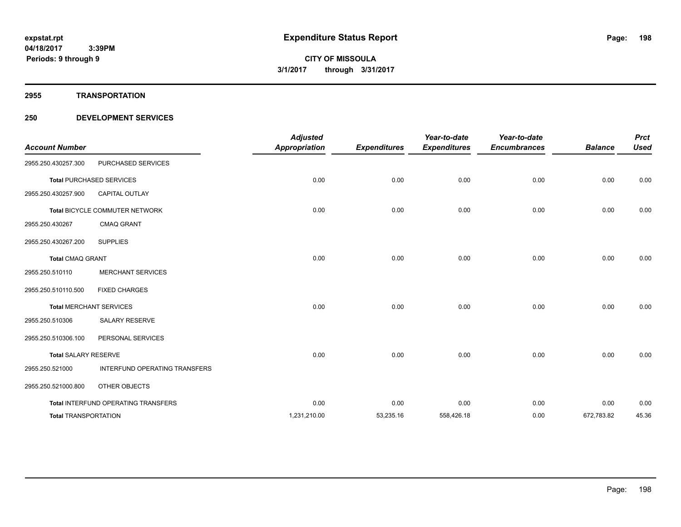**2955 TRANSPORTATION**

| <b>Account Number</b>       |                                     | <b>Adjusted</b><br><b>Appropriation</b> | <b>Expenditures</b> | Year-to-date<br><b>Expenditures</b> | Year-to-date<br><b>Encumbrances</b> | <b>Balance</b> | <b>Prct</b><br><b>Used</b> |
|-----------------------------|-------------------------------------|-----------------------------------------|---------------------|-------------------------------------|-------------------------------------|----------------|----------------------------|
| 2955.250.430257.300         | PURCHASED SERVICES                  |                                         |                     |                                     |                                     |                |                            |
|                             | <b>Total PURCHASED SERVICES</b>     | 0.00                                    | 0.00                | 0.00                                | 0.00                                | 0.00           | 0.00                       |
| 2955.250.430257.900         | <b>CAPITAL OUTLAY</b>               |                                         |                     |                                     |                                     |                |                            |
|                             | Total BICYCLE COMMUTER NETWORK      | 0.00                                    | 0.00                | 0.00                                | 0.00                                | 0.00           | 0.00                       |
| 2955.250.430267             | <b>CMAQ GRANT</b>                   |                                         |                     |                                     |                                     |                |                            |
| 2955.250.430267.200         | <b>SUPPLIES</b>                     |                                         |                     |                                     |                                     |                |                            |
| <b>Total CMAQ GRANT</b>     |                                     | 0.00                                    | 0.00                | 0.00                                | 0.00                                | 0.00           | 0.00                       |
| 2955.250.510110             | <b>MERCHANT SERVICES</b>            |                                         |                     |                                     |                                     |                |                            |
| 2955.250.510110.500         | <b>FIXED CHARGES</b>                |                                         |                     |                                     |                                     |                |                            |
|                             | <b>Total MERCHANT SERVICES</b>      | 0.00                                    | 0.00                | 0.00                                | 0.00                                | 0.00           | 0.00                       |
| 2955.250.510306             | <b>SALARY RESERVE</b>               |                                         |                     |                                     |                                     |                |                            |
| 2955.250.510306.100         | PERSONAL SERVICES                   |                                         |                     |                                     |                                     |                |                            |
| <b>Total SALARY RESERVE</b> |                                     | 0.00                                    | 0.00                | 0.00                                | 0.00                                | 0.00           | 0.00                       |
| 2955.250.521000             | INTERFUND OPERATING TRANSFERS       |                                         |                     |                                     |                                     |                |                            |
| 2955.250.521000.800         | OTHER OBJECTS                       |                                         |                     |                                     |                                     |                |                            |
|                             | Total INTERFUND OPERATING TRANSFERS | 0.00                                    | 0.00                | 0.00                                | 0.00                                | 0.00           | 0.00                       |
| <b>Total TRANSPORTATION</b> |                                     | 1,231,210.00                            | 53,235.16           | 558,426.18                          | 0.00                                | 672,783.82     | 45.36                      |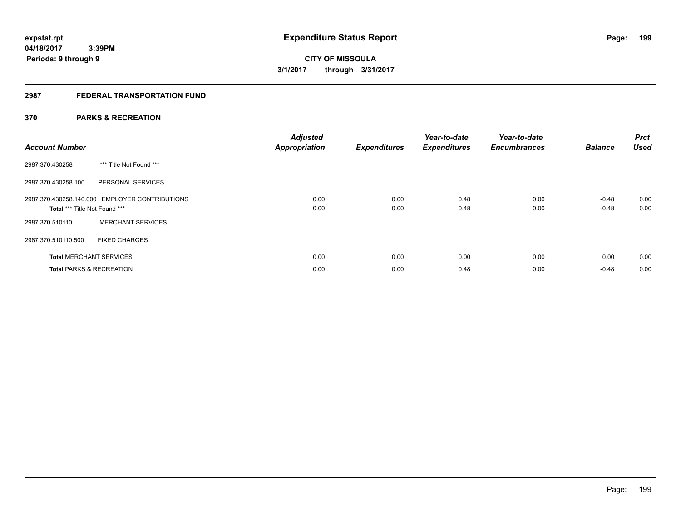# **2987 FEDERAL TRANSPORTATION FUND**

# **370 PARKS & RECREATION**

| <b>Account Number</b>               |                                                | <b>Adjusted</b><br><b>Appropriation</b> | <b>Expenditures</b> | Year-to-date<br><b>Expenditures</b> | Year-to-date<br><b>Encumbrances</b> | <b>Balance</b> | <b>Prct</b><br><b>Used</b> |
|-------------------------------------|------------------------------------------------|-----------------------------------------|---------------------|-------------------------------------|-------------------------------------|----------------|----------------------------|
| 2987.370.430258                     | *** Title Not Found ***                        |                                         |                     |                                     |                                     |                |                            |
| 2987.370.430258.100                 | PERSONAL SERVICES                              |                                         |                     |                                     |                                     |                |                            |
|                                     | 2987.370.430258.140.000 EMPLOYER CONTRIBUTIONS | 0.00                                    | 0.00                | 0.48                                | 0.00                                | $-0.48$        | 0.00                       |
| Total *** Title Not Found ***       |                                                | 0.00                                    | 0.00                | 0.48                                | 0.00                                | $-0.48$        | 0.00                       |
| 2987.370.510110                     | <b>MERCHANT SERVICES</b>                       |                                         |                     |                                     |                                     |                |                            |
| 2987.370.510110.500                 | <b>FIXED CHARGES</b>                           |                                         |                     |                                     |                                     |                |                            |
| <b>Total MERCHANT SERVICES</b>      |                                                | 0.00                                    | 0.00                | 0.00                                | 0.00                                | 0.00           | 0.00                       |
| <b>Total PARKS &amp; RECREATION</b> |                                                | 0.00                                    | 0.00                | 0.48                                | 0.00                                | $-0.48$        | 0.00                       |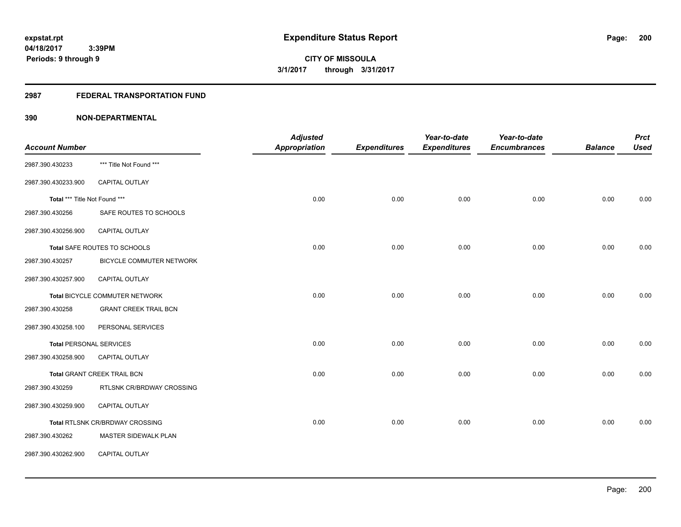# **2987 FEDERAL TRANSPORTATION FUND**

|                                |                                        | <b>Adjusted</b>      |                     | Year-to-date        | Year-to-date        |                | <b>Prct</b> |
|--------------------------------|----------------------------------------|----------------------|---------------------|---------------------|---------------------|----------------|-------------|
| <b>Account Number</b>          |                                        | <b>Appropriation</b> | <b>Expenditures</b> | <b>Expenditures</b> | <b>Encumbrances</b> | <b>Balance</b> | <b>Used</b> |
| 2987.390.430233                | *** Title Not Found ***                |                      |                     |                     |                     |                |             |
| 2987.390.430233.900            | <b>CAPITAL OUTLAY</b>                  |                      |                     |                     |                     |                |             |
| Total *** Title Not Found ***  |                                        | 0.00                 | 0.00                | 0.00                | 0.00                | 0.00           | 0.00        |
| 2987.390.430256                | SAFE ROUTES TO SCHOOLS                 |                      |                     |                     |                     |                |             |
| 2987.390.430256.900            | CAPITAL OUTLAY                         |                      |                     |                     |                     |                |             |
|                                | Total SAFE ROUTES TO SCHOOLS           | 0.00                 | 0.00                | 0.00                | 0.00                | 0.00           | 0.00        |
| 2987.390.430257                | BICYCLE COMMUTER NETWORK               |                      |                     |                     |                     |                |             |
| 2987.390.430257.900            | CAPITAL OUTLAY                         |                      |                     |                     |                     |                |             |
|                                | Total BICYCLE COMMUTER NETWORK         | 0.00                 | 0.00                | 0.00                | 0.00                | 0.00           | 0.00        |
| 2987.390.430258                | <b>GRANT CREEK TRAIL BCN</b>           |                      |                     |                     |                     |                |             |
| 2987.390.430258.100            | PERSONAL SERVICES                      |                      |                     |                     |                     |                |             |
| <b>Total PERSONAL SERVICES</b> |                                        | 0.00                 | 0.00                | 0.00                | 0.00                | 0.00           | 0.00        |
| 2987.390.430258.900            | <b>CAPITAL OUTLAY</b>                  |                      |                     |                     |                     |                |             |
|                                | Total GRANT CREEK TRAIL BCN            | 0.00                 | 0.00                | 0.00                | 0.00                | 0.00           | 0.00        |
| 2987.390.430259                | RTLSNK CR/BRDWAY CROSSING              |                      |                     |                     |                     |                |             |
| 2987.390.430259.900            | CAPITAL OUTLAY                         |                      |                     |                     |                     |                |             |
|                                | <b>Total RTLSNK CR/BRDWAY CROSSING</b> | 0.00                 | 0.00                | 0.00                | 0.00                | 0.00           | 0.00        |
| 2987.390.430262                | MASTER SIDEWALK PLAN                   |                      |                     |                     |                     |                |             |
| 2987.390.430262.900            | CAPITAL OUTLAY                         |                      |                     |                     |                     |                |             |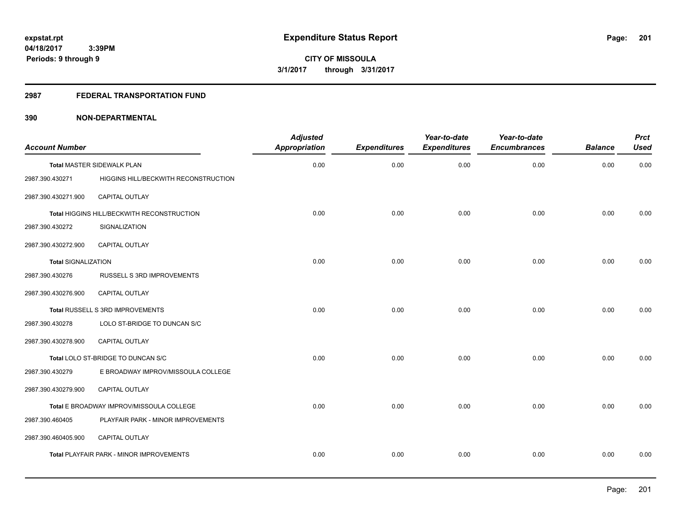# **2987 FEDERAL TRANSPORTATION FUND**

| <b>Account Number</b>      |                                            | <b>Adjusted</b><br><b>Appropriation</b> | <b>Expenditures</b> | Year-to-date<br><b>Expenditures</b> | Year-to-date<br><b>Encumbrances</b> | <b>Balance</b> | <b>Prct</b><br><b>Used</b> |
|----------------------------|--------------------------------------------|-----------------------------------------|---------------------|-------------------------------------|-------------------------------------|----------------|----------------------------|
|                            |                                            |                                         |                     |                                     |                                     |                |                            |
|                            | Total MASTER SIDEWALK PLAN                 | 0.00                                    | 0.00                | 0.00                                | 0.00                                | 0.00           | 0.00                       |
| 2987.390.430271            | HIGGINS HILL/BECKWITH RECONSTRUCTION       |                                         |                     |                                     |                                     |                |                            |
| 2987.390.430271.900        | <b>CAPITAL OUTLAY</b>                      |                                         |                     |                                     |                                     |                |                            |
|                            | Total HIGGINS HILL/BECKWITH RECONSTRUCTION | 0.00                                    | 0.00                | 0.00                                | 0.00                                | 0.00           | 0.00                       |
| 2987.390.430272            | SIGNALIZATION                              |                                         |                     |                                     |                                     |                |                            |
| 2987.390.430272.900        | CAPITAL OUTLAY                             |                                         |                     |                                     |                                     |                |                            |
| <b>Total SIGNALIZATION</b> |                                            | 0.00                                    | 0.00                | 0.00                                | 0.00                                | 0.00           | 0.00                       |
| 2987.390.430276            | RUSSELL S 3RD IMPROVEMENTS                 |                                         |                     |                                     |                                     |                |                            |
| 2987.390.430276.900        | <b>CAPITAL OUTLAY</b>                      |                                         |                     |                                     |                                     |                |                            |
|                            | Total RUSSELL S 3RD IMPROVEMENTS           | 0.00                                    | 0.00                | 0.00                                | 0.00                                | 0.00           | 0.00                       |
| 2987.390.430278            | LOLO ST-BRIDGE TO DUNCAN S/C               |                                         |                     |                                     |                                     |                |                            |
| 2987.390.430278.900        | CAPITAL OUTLAY                             |                                         |                     |                                     |                                     |                |                            |
|                            | Total LOLO ST-BRIDGE TO DUNCAN S/C         | 0.00                                    | 0.00                | 0.00                                | 0.00                                | 0.00           | 0.00                       |
| 2987.390.430279            | E BROADWAY IMPROV/MISSOULA COLLEGE         |                                         |                     |                                     |                                     |                |                            |
| 2987.390.430279.900        | <b>CAPITAL OUTLAY</b>                      |                                         |                     |                                     |                                     |                |                            |
|                            | Total E BROADWAY IMPROV/MISSOULA COLLEGE   | 0.00                                    | 0.00                | 0.00                                | 0.00                                | 0.00           | 0.00                       |
| 2987.390.460405            | PLAYFAIR PARK - MINOR IMPROVEMENTS         |                                         |                     |                                     |                                     |                |                            |
| 2987.390.460405.900        | CAPITAL OUTLAY                             |                                         |                     |                                     |                                     |                |                            |
|                            | Total PLAYFAIR PARK - MINOR IMPROVEMENTS   | 0.00                                    | 0.00                | 0.00                                | 0.00                                | 0.00           | 0.00                       |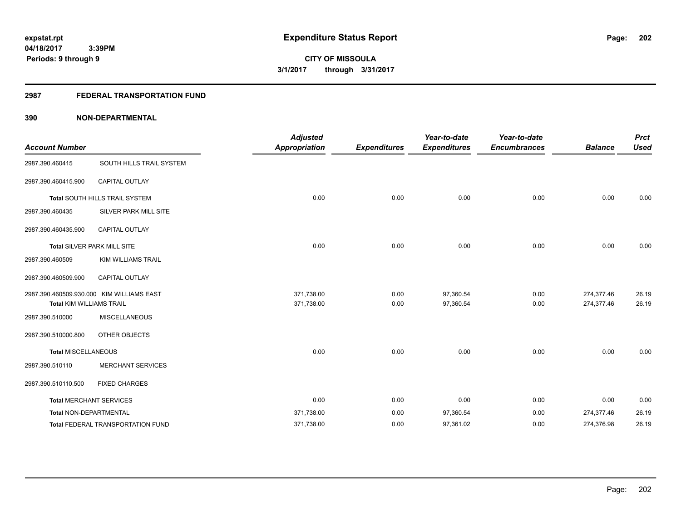# **2987 FEDERAL TRANSPORTATION FUND**

| <b>Account Number</b>           |                                           | <b>Adjusted</b><br><b>Appropriation</b> | <b>Expenditures</b> | Year-to-date<br><b>Expenditures</b> | Year-to-date<br><b>Encumbrances</b> | <b>Balance</b>           | <b>Prct</b><br><b>Used</b> |
|---------------------------------|-------------------------------------------|-----------------------------------------|---------------------|-------------------------------------|-------------------------------------|--------------------------|----------------------------|
| 2987.390.460415                 | SOUTH HILLS TRAIL SYSTEM                  |                                         |                     |                                     |                                     |                          |                            |
| 2987.390.460415.900             | <b>CAPITAL OUTLAY</b>                     |                                         |                     |                                     |                                     |                          |                            |
|                                 | Total SOUTH HILLS TRAIL SYSTEM            | 0.00                                    | 0.00                | 0.00                                | 0.00                                | 0.00                     | 0.00                       |
| 2987.390.460435                 | SILVER PARK MILL SITE                     |                                         |                     |                                     |                                     |                          |                            |
| 2987.390.460435.900             | CAPITAL OUTLAY                            |                                         |                     |                                     |                                     |                          |                            |
|                                 | Total SILVER PARK MILL SITE               | 0.00                                    | 0.00                | 0.00                                | 0.00                                | 0.00                     | 0.00                       |
| 2987.390.460509                 | <b>KIM WILLIAMS TRAIL</b>                 |                                         |                     |                                     |                                     |                          |                            |
| 2987.390.460509.900             | CAPITAL OUTLAY                            |                                         |                     |                                     |                                     |                          |                            |
| <b>Total KIM WILLIAMS TRAIL</b> | 2987.390.460509.930.000 KIM WILLIAMS EAST | 371,738.00<br>371,738.00                | 0.00<br>0.00        | 97,360.54<br>97,360.54              | 0.00<br>0.00                        | 274,377.46<br>274,377.46 | 26.19<br>26.19             |
| 2987.390.510000                 | <b>MISCELLANEOUS</b>                      |                                         |                     |                                     |                                     |                          |                            |
| 2987.390.510000.800             | OTHER OBJECTS                             |                                         |                     |                                     |                                     |                          |                            |
| Total MISCELLANEOUS             |                                           | 0.00                                    | 0.00                | 0.00                                | 0.00                                | 0.00                     | 0.00                       |
| 2987.390.510110                 | MERCHANT SERVICES                         |                                         |                     |                                     |                                     |                          |                            |
| 2987.390.510110.500             | <b>FIXED CHARGES</b>                      |                                         |                     |                                     |                                     |                          |                            |
| <b>Total MERCHANT SERVICES</b>  |                                           | 0.00                                    | 0.00                | 0.00                                | 0.00                                | 0.00                     | 0.00                       |
| Total NON-DEPARTMENTAL          |                                           | 371,738.00                              | 0.00                | 97,360.54                           | 0.00                                | 274,377.46               | 26.19                      |
|                                 | Total FEDERAL TRANSPORTATION FUND         | 371,738.00                              | 0.00                | 97,361.02                           | 0.00                                | 274,376.98               | 26.19                      |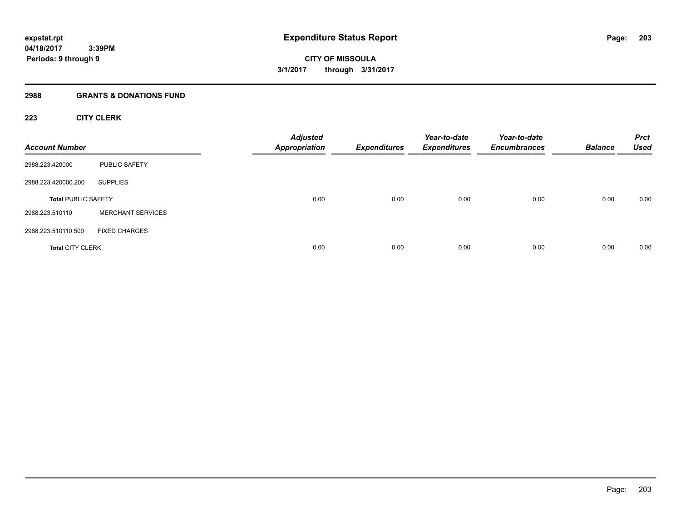#### **2988 GRANTS & DONATIONS FUND**

# **223 CITY CLERK**

| <b>Account Number</b>      |                          | <b>Adjusted</b><br><b>Appropriation</b> | <b>Expenditures</b> | Year-to-date<br><b>Expenditures</b> | Year-to-date<br><b>Encumbrances</b> | <b>Balance</b> | <b>Prct</b><br><b>Used</b> |
|----------------------------|--------------------------|-----------------------------------------|---------------------|-------------------------------------|-------------------------------------|----------------|----------------------------|
| 2988.223.420000            | PUBLIC SAFETY            |                                         |                     |                                     |                                     |                |                            |
| 2988.223.420000.200        | <b>SUPPLIES</b>          |                                         |                     |                                     |                                     |                |                            |
| <b>Total PUBLIC SAFETY</b> |                          | 0.00                                    | 0.00                | 0.00                                | 0.00                                | 0.00           | 0.00                       |
| 2988.223.510110            | <b>MERCHANT SERVICES</b> |                                         |                     |                                     |                                     |                |                            |
| 2988.223.510110.500        | <b>FIXED CHARGES</b>     |                                         |                     |                                     |                                     |                |                            |
| <b>Total CITY CLERK</b>    |                          | 0.00                                    | 0.00                | 0.00                                | 0.00                                | 0.00           | 0.00                       |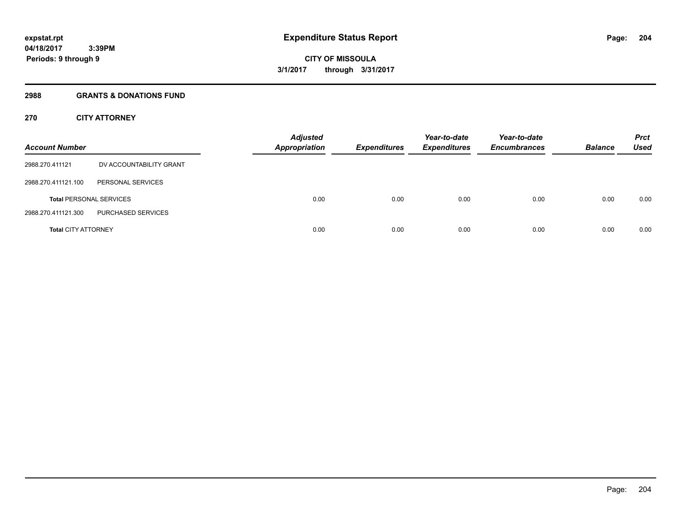#### **2988 GRANTS & DONATIONS FUND**

# **270 CITY ATTORNEY**

| <b>Account Number</b>      |                                | <b>Adjusted</b><br><b>Appropriation</b> | <b>Expenditures</b> | Year-to-date<br><b>Expenditures</b> | Year-to-date<br><b>Encumbrances</b> | <b>Balance</b> | <b>Prct</b><br>Used |
|----------------------------|--------------------------------|-----------------------------------------|---------------------|-------------------------------------|-------------------------------------|----------------|---------------------|
| 2988.270.411121            | DV ACCOUNTABILITY GRANT        |                                         |                     |                                     |                                     |                |                     |
| 2988.270.411121.100        | PERSONAL SERVICES              |                                         |                     |                                     |                                     |                |                     |
|                            | <b>Total PERSONAL SERVICES</b> | 0.00                                    | 0.00                | 0.00                                | 0.00                                | 0.00           | 0.00                |
| 2988.270.411121.300        | PURCHASED SERVICES             |                                         |                     |                                     |                                     |                |                     |
| <b>Total CITY ATTORNEY</b> |                                | 0.00                                    | 0.00                | 0.00                                | 0.00                                | 0.00           | 0.00                |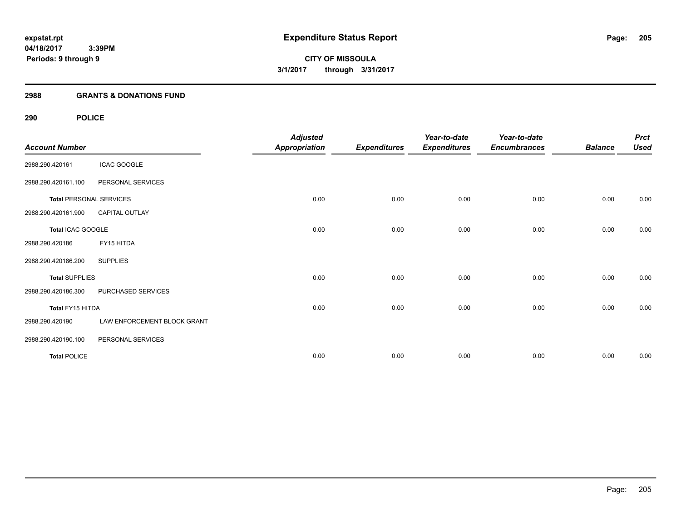#### **2988 GRANTS & DONATIONS FUND**

# **290 POLICE**

| <b>Account Number</b> |                                | <b>Adjusted</b><br><b>Appropriation</b> | <b>Expenditures</b> | Year-to-date<br><b>Expenditures</b> | Year-to-date<br><b>Encumbrances</b> | <b>Balance</b> | <b>Prct</b><br><b>Used</b> |
|-----------------------|--------------------------------|-----------------------------------------|---------------------|-------------------------------------|-------------------------------------|----------------|----------------------------|
| 2988.290.420161       | <b>ICAC GOOGLE</b>             |                                         |                     |                                     |                                     |                |                            |
| 2988.290.420161.100   | PERSONAL SERVICES              |                                         |                     |                                     |                                     |                |                            |
|                       | <b>Total PERSONAL SERVICES</b> | 0.00                                    | 0.00                | 0.00                                | 0.00                                | 0.00           | 0.00                       |
| 2988.290.420161.900   | <b>CAPITAL OUTLAY</b>          |                                         |                     |                                     |                                     |                |                            |
| Total ICAC GOOGLE     |                                | 0.00                                    | 0.00                | 0.00                                | 0.00                                | 0.00           | 0.00                       |
| 2988.290.420186       | FY15 HITDA                     |                                         |                     |                                     |                                     |                |                            |
| 2988.290.420186.200   | <b>SUPPLIES</b>                |                                         |                     |                                     |                                     |                |                            |
| <b>Total SUPPLIES</b> |                                | 0.00                                    | 0.00                | 0.00                                | 0.00                                | 0.00           | 0.00                       |
| 2988.290.420186.300   | PURCHASED SERVICES             |                                         |                     |                                     |                                     |                |                            |
| Total FY15 HITDA      |                                | 0.00                                    | 0.00                | 0.00                                | 0.00                                | 0.00           | 0.00                       |
| 2988.290.420190       | LAW ENFORCEMENT BLOCK GRANT    |                                         |                     |                                     |                                     |                |                            |
| 2988.290.420190.100   | PERSONAL SERVICES              |                                         |                     |                                     |                                     |                |                            |
| <b>Total POLICE</b>   |                                | 0.00                                    | 0.00                | 0.00                                | 0.00                                | 0.00           | 0.00                       |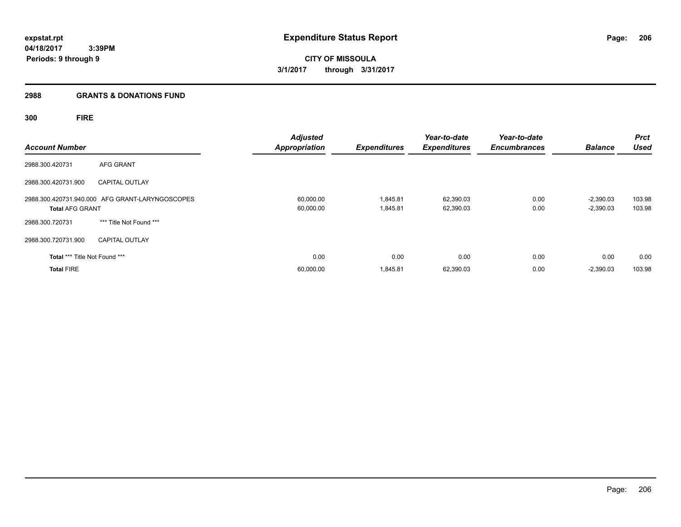#### **2988 GRANTS & DONATIONS FUND**

**300 FIRE**

| <b>Account Number</b>         |                                                 | <b>Adjusted</b><br><b>Appropriation</b> | <b>Expenditures</b>  | Year-to-date<br><b>Expenditures</b> | Year-to-date<br><b>Encumbrances</b> | <b>Balance</b>             | <b>Prct</b><br><b>Used</b> |
|-------------------------------|-------------------------------------------------|-----------------------------------------|----------------------|-------------------------------------|-------------------------------------|----------------------------|----------------------------|
| 2988.300.420731               | AFG GRANT                                       |                                         |                      |                                     |                                     |                            |                            |
| 2988.300.420731.900           | <b>CAPITAL OUTLAY</b>                           |                                         |                      |                                     |                                     |                            |                            |
| <b>Total AFG GRANT</b>        | 2988.300.420731.940.000 AFG GRANT-LARYNGOSCOPES | 60,000.00<br>60,000.00                  | 1,845.81<br>1,845.81 | 62,390.03<br>62,390.03              | 0.00<br>0.00                        | $-2,390.03$<br>$-2,390.03$ | 103.98<br>103.98           |
| 2988.300.720731               | *** Title Not Found ***                         |                                         |                      |                                     |                                     |                            |                            |
| 2988.300.720731.900           | <b>CAPITAL OUTLAY</b>                           |                                         |                      |                                     |                                     |                            |                            |
| Total *** Title Not Found *** |                                                 | 0.00                                    | 0.00                 | 0.00                                | 0.00                                | 0.00                       | 0.00                       |
| <b>Total FIRE</b>             |                                                 | 60,000.00                               | 1,845.81             | 62,390.03                           | 0.00                                | $-2,390.03$                | 103.98                     |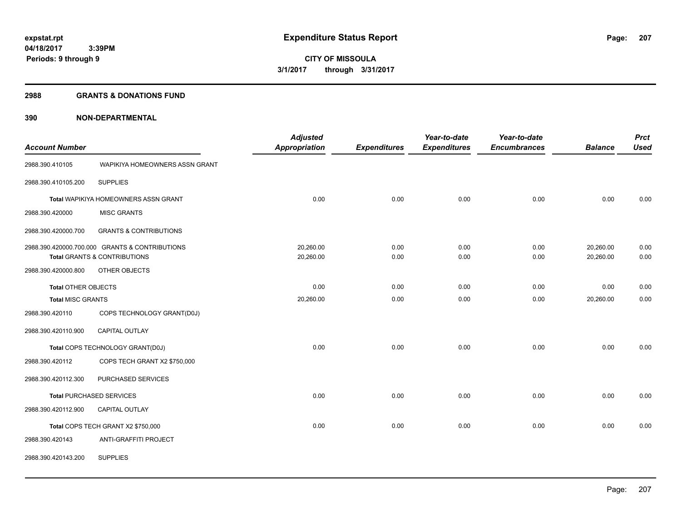#### **2988 GRANTS & DONATIONS FUND**

|                            |                                                | <b>Adjusted</b> |                     | Year-to-date        | Year-to-date        |                | <b>Prct</b> |
|----------------------------|------------------------------------------------|-----------------|---------------------|---------------------|---------------------|----------------|-------------|
| <b>Account Number</b>      |                                                | Appropriation   | <b>Expenditures</b> | <b>Expenditures</b> | <b>Encumbrances</b> | <b>Balance</b> | <b>Used</b> |
| 2988.390.410105            | WAPIKIYA HOMEOWNERS ASSN GRANT                 |                 |                     |                     |                     |                |             |
| 2988.390.410105.200        | <b>SUPPLIES</b>                                |                 |                     |                     |                     |                |             |
|                            | Total WAPIKIYA HOMEOWNERS ASSN GRANT           | 0.00            | 0.00                | 0.00                | 0.00                | 0.00           | 0.00        |
| 2988.390.420000            | <b>MISC GRANTS</b>                             |                 |                     |                     |                     |                |             |
| 2988.390.420000.700        | <b>GRANTS &amp; CONTRIBUTIONS</b>              |                 |                     |                     |                     |                |             |
|                            | 2988.390.420000.700.000 GRANTS & CONTRIBUTIONS | 20,260.00       | 0.00                | 0.00                | 0.00                | 20,260.00      | 0.00        |
|                            | Total GRANTS & CONTRIBUTIONS                   | 20,260.00       | 0.00                | 0.00                | 0.00                | 20,260.00      | 0.00        |
| 2988.390.420000.800        | OTHER OBJECTS                                  |                 |                     |                     |                     |                |             |
| <b>Total OTHER OBJECTS</b> |                                                | 0.00            | 0.00                | 0.00                | 0.00                | 0.00           | 0.00        |
| <b>Total MISC GRANTS</b>   |                                                | 20,260.00       | 0.00                | 0.00                | 0.00                | 20,260.00      | 0.00        |
| 2988.390.420110            | COPS TECHNOLOGY GRANT(D0J)                     |                 |                     |                     |                     |                |             |
| 2988.390.420110.900        | CAPITAL OUTLAY                                 |                 |                     |                     |                     |                |             |
|                            | Total COPS TECHNOLOGY GRANT(D0J)               | 0.00            | 0.00                | 0.00                | 0.00                | 0.00           | 0.00        |
| 2988.390.420112            | COPS TECH GRANT X2 \$750,000                   |                 |                     |                     |                     |                |             |
| 2988.390.420112.300        | PURCHASED SERVICES                             |                 |                     |                     |                     |                |             |
|                            | <b>Total PURCHASED SERVICES</b>                | 0.00            | 0.00                | 0.00                | 0.00                | 0.00           | 0.00        |
| 2988.390.420112.900        | CAPITAL OUTLAY                                 |                 |                     |                     |                     |                |             |
|                            | Total COPS TECH GRANT X2 \$750,000             | 0.00            | 0.00                | 0.00                | 0.00                | 0.00           | 0.00        |
| 2988.390.420143            | ANTI-GRAFFITI PROJECT                          |                 |                     |                     |                     |                |             |
| 2988.390.420143.200        | <b>SUPPLIES</b>                                |                 |                     |                     |                     |                |             |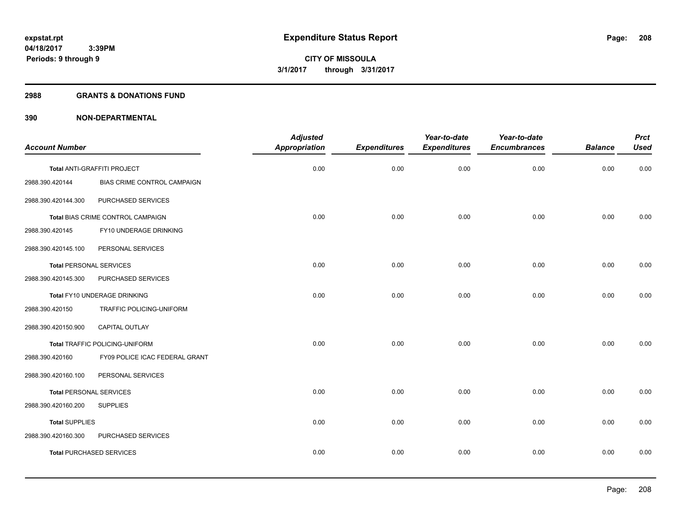#### **2988 GRANTS & DONATIONS FUND**

| <b>Account Number</b>           |                                    | <b>Adjusted</b><br><b>Appropriation</b> | <b>Expenditures</b> | Year-to-date<br><b>Expenditures</b> | Year-to-date<br><b>Encumbrances</b> | <b>Balance</b> | <b>Prct</b><br><b>Used</b> |
|---------------------------------|------------------------------------|-----------------------------------------|---------------------|-------------------------------------|-------------------------------------|----------------|----------------------------|
|                                 |                                    |                                         |                     |                                     |                                     |                |                            |
|                                 | Total ANTI-GRAFFITI PROJECT        | 0.00                                    | 0.00                | 0.00                                | 0.00                                | 0.00           | 0.00                       |
| 2988.390.420144                 | <b>BIAS CRIME CONTROL CAMPAIGN</b> |                                         |                     |                                     |                                     |                |                            |
| 2988.390.420144.300             | PURCHASED SERVICES                 |                                         |                     |                                     |                                     |                |                            |
|                                 | Total BIAS CRIME CONTROL CAMPAIGN  | 0.00                                    | 0.00                | 0.00                                | 0.00                                | 0.00           | 0.00                       |
| 2988.390.420145                 | FY10 UNDERAGE DRINKING             |                                         |                     |                                     |                                     |                |                            |
| 2988.390.420145.100             | PERSONAL SERVICES                  |                                         |                     |                                     |                                     |                |                            |
| <b>Total PERSONAL SERVICES</b>  |                                    | 0.00                                    | 0.00                | 0.00                                | 0.00                                | 0.00           | 0.00                       |
| 2988.390.420145.300             | PURCHASED SERVICES                 |                                         |                     |                                     |                                     |                |                            |
|                                 | Total FY10 UNDERAGE DRINKING       | 0.00                                    | 0.00                | 0.00                                | 0.00                                | 0.00           | 0.00                       |
| 2988.390.420150                 | TRAFFIC POLICING-UNIFORM           |                                         |                     |                                     |                                     |                |                            |
| 2988.390.420150.900             | CAPITAL OUTLAY                     |                                         |                     |                                     |                                     |                |                            |
|                                 | Total TRAFFIC POLICING-UNIFORM     | 0.00                                    | 0.00                | 0.00                                | 0.00                                | 0.00           | 0.00                       |
| 2988.390.420160                 | FY09 POLICE ICAC FEDERAL GRANT     |                                         |                     |                                     |                                     |                |                            |
| 2988.390.420160.100             | PERSONAL SERVICES                  |                                         |                     |                                     |                                     |                |                            |
| <b>Total PERSONAL SERVICES</b>  |                                    | 0.00                                    | 0.00                | 0.00                                | 0.00                                | 0.00           | 0.00                       |
| 2988.390.420160.200             | <b>SUPPLIES</b>                    |                                         |                     |                                     |                                     |                |                            |
| <b>Total SUPPLIES</b>           |                                    | 0.00                                    | 0.00                | 0.00                                | 0.00                                | 0.00           | 0.00                       |
| 2988.390.420160.300             | PURCHASED SERVICES                 |                                         |                     |                                     |                                     |                |                            |
| <b>Total PURCHASED SERVICES</b> |                                    | 0.00                                    | 0.00                | 0.00                                | 0.00                                | 0.00           | 0.00                       |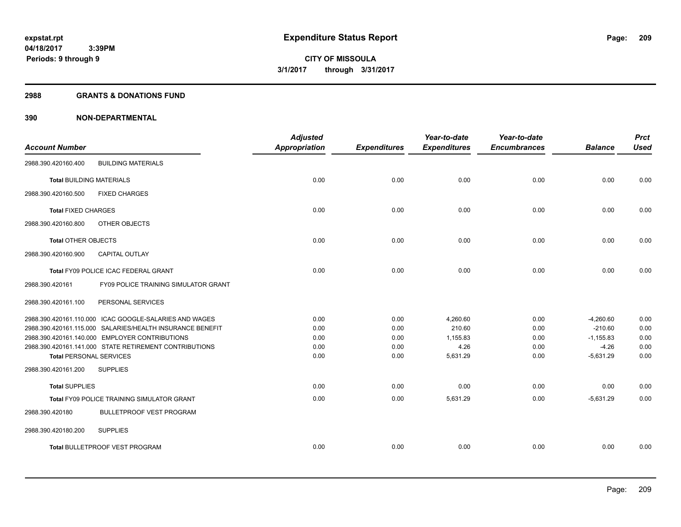#### **2988 GRANTS & DONATIONS FUND**

|                                 |                                                           | <b>Adjusted</b>      |                     | Year-to-date        | Year-to-date        |                | <b>Prct</b> |
|---------------------------------|-----------------------------------------------------------|----------------------|---------------------|---------------------|---------------------|----------------|-------------|
| <b>Account Number</b>           |                                                           | <b>Appropriation</b> | <b>Expenditures</b> | <b>Expenditures</b> | <b>Encumbrances</b> | <b>Balance</b> | <b>Used</b> |
| 2988.390.420160.400             | <b>BUILDING MATERIALS</b>                                 |                      |                     |                     |                     |                |             |
| <b>Total BUILDING MATERIALS</b> |                                                           | 0.00                 | 0.00                | 0.00                | 0.00                | 0.00           | 0.00        |
| 2988.390.420160.500             | <b>FIXED CHARGES</b>                                      |                      |                     |                     |                     |                |             |
| <b>Total FIXED CHARGES</b>      |                                                           | 0.00                 | 0.00                | 0.00                | 0.00                | 0.00           | 0.00        |
| 2988.390.420160.800             | OTHER OBJECTS                                             |                      |                     |                     |                     |                |             |
| <b>Total OTHER OBJECTS</b>      |                                                           | 0.00                 | 0.00                | 0.00                | 0.00                | 0.00           | 0.00        |
| 2988.390.420160.900             | <b>CAPITAL OUTLAY</b>                                     |                      |                     |                     |                     |                |             |
|                                 | Total FY09 POLICE ICAC FEDERAL GRANT                      | 0.00                 | 0.00                | 0.00                | 0.00                | 0.00           | 0.00        |
| 2988.390.420161                 | <b>FY09 POLICE TRAINING SIMULATOR GRANT</b>               |                      |                     |                     |                     |                |             |
| 2988.390.420161.100             | PERSONAL SERVICES                                         |                      |                     |                     |                     |                |             |
|                                 | 2988.390.420161.110.000 ICAC GOOGLE-SALARIES AND WAGES    | 0.00                 | 0.00                | 4,260.60            | 0.00                | $-4,260.60$    | 0.00        |
|                                 | 2988.390.420161.115.000 SALARIES/HEALTH INSURANCE BENEFIT | 0.00                 | 0.00                | 210.60              | 0.00                | $-210.60$      | 0.00        |
|                                 | 2988.390.420161.140.000 EMPLOYER CONTRIBUTIONS            | 0.00                 | 0.00                | 1,155.83            | 0.00                | $-1,155.83$    | 0.00        |
|                                 | 2988.390.420161.141.000 STATE RETIREMENT CONTRIBUTIONS    | 0.00                 | 0.00                | 4.26                | 0.00                | $-4.26$        | 0.00        |
| <b>Total PERSONAL SERVICES</b>  |                                                           | 0.00                 | 0.00                | 5,631.29            | 0.00                | $-5,631.29$    | 0.00        |
| 2988.390.420161.200             | <b>SUPPLIES</b>                                           |                      |                     |                     |                     |                |             |
| <b>Total SUPPLIES</b>           |                                                           | 0.00                 | 0.00                | 0.00                | 0.00                | 0.00           | 0.00        |
|                                 | <b>Total FY09 POLICE TRAINING SIMULATOR GRANT</b>         | 0.00                 | 0.00                | 5,631.29            | 0.00                | $-5.631.29$    | 0.00        |
| 2988.390.420180                 | <b>BULLETPROOF VEST PROGRAM</b>                           |                      |                     |                     |                     |                |             |
| 2988.390.420180.200             | <b>SUPPLIES</b>                                           |                      |                     |                     |                     |                |             |
|                                 | <b>Total BULLETPROOF VEST PROGRAM</b>                     | 0.00                 | 0.00                | 0.00                | 0.00                | 0.00           | 0.00        |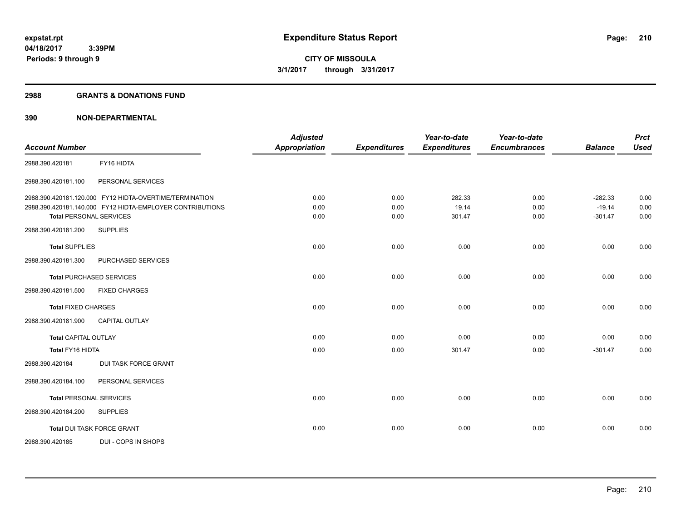#### **2988 GRANTS & DONATIONS FUND**

| <b>Account Number</b>           |                                                           | <b>Adjusted</b><br><b>Appropriation</b> | <b>Expenditures</b> | Year-to-date<br><b>Expenditures</b> | Year-to-date<br><b>Encumbrances</b> | <b>Balance</b> | <b>Prct</b><br><b>Used</b> |
|---------------------------------|-----------------------------------------------------------|-----------------------------------------|---------------------|-------------------------------------|-------------------------------------|----------------|----------------------------|
|                                 |                                                           |                                         |                     |                                     |                                     |                |                            |
| 2988.390.420181                 | FY16 HIDTA                                                |                                         |                     |                                     |                                     |                |                            |
| 2988.390.420181.100             | PERSONAL SERVICES                                         |                                         |                     |                                     |                                     |                |                            |
|                                 | 2988.390.420181.120.000 FY12 HIDTA-OVERTIME/TERMINATION   | 0.00                                    | 0.00                | 282.33                              | 0.00                                | $-282.33$      | 0.00                       |
|                                 | 2988.390.420181.140.000 FY12 HIDTA-EMPLOYER CONTRIBUTIONS | 0.00                                    | 0.00                | 19.14                               | 0.00                                | $-19.14$       | 0.00                       |
| <b>Total PERSONAL SERVICES</b>  |                                                           | 0.00                                    | 0.00                | 301.47                              | 0.00                                | $-301.47$      | 0.00                       |
| 2988.390.420181.200             | <b>SUPPLIES</b>                                           |                                         |                     |                                     |                                     |                |                            |
| <b>Total SUPPLIES</b>           |                                                           | 0.00                                    | 0.00                | 0.00                                | 0.00                                | 0.00           | 0.00                       |
| 2988.390.420181.300             | PURCHASED SERVICES                                        |                                         |                     |                                     |                                     |                |                            |
| <b>Total PURCHASED SERVICES</b> |                                                           | 0.00                                    | 0.00                | 0.00                                | 0.00                                | 0.00           | 0.00                       |
| 2988.390.420181.500             | <b>FIXED CHARGES</b>                                      |                                         |                     |                                     |                                     |                |                            |
| <b>Total FIXED CHARGES</b>      |                                                           | 0.00                                    | 0.00                | 0.00                                | 0.00                                | 0.00           | 0.00                       |
| 2988.390.420181.900             | <b>CAPITAL OUTLAY</b>                                     |                                         |                     |                                     |                                     |                |                            |
| <b>Total CAPITAL OUTLAY</b>     |                                                           | 0.00                                    | 0.00                | 0.00                                | 0.00                                | 0.00           | 0.00                       |
| Total FY16 HIDTA                |                                                           | 0.00                                    | 0.00                | 301.47                              | 0.00                                | $-301.47$      | 0.00                       |
| 2988.390.420184                 | DUI TASK FORCE GRANT                                      |                                         |                     |                                     |                                     |                |                            |
| 2988.390.420184.100             | PERSONAL SERVICES                                         |                                         |                     |                                     |                                     |                |                            |
| <b>Total PERSONAL SERVICES</b>  |                                                           | 0.00                                    | 0.00                | 0.00                                | 0.00                                | 0.00           | 0.00                       |
| 2988.390.420184.200             | <b>SUPPLIES</b>                                           |                                         |                     |                                     |                                     |                |                            |
|                                 | Total DUI TASK FORCE GRANT                                | 0.00                                    | 0.00                | 0.00                                | 0.00                                | 0.00           | 0.00                       |
| 2988.390.420185                 | DUI - COPS IN SHOPS                                       |                                         |                     |                                     |                                     |                |                            |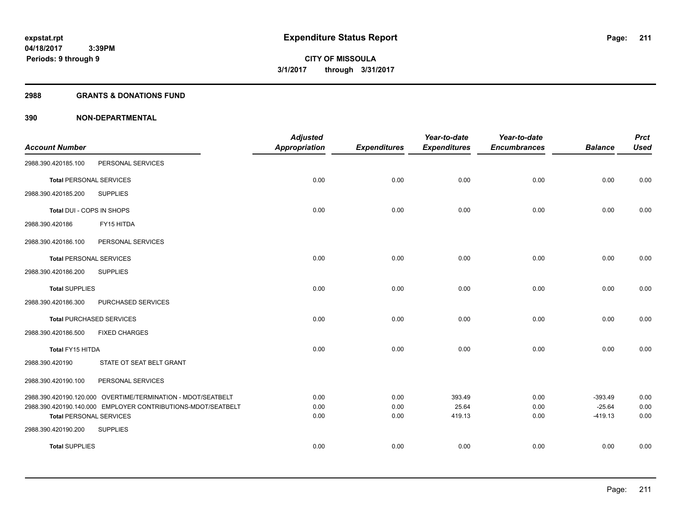#### **2988 GRANTS & DONATIONS FUND**

|                                |                                                              | <b>Adjusted</b>      |                     | Year-to-date        | Year-to-date        |                       | <b>Prct</b>  |
|--------------------------------|--------------------------------------------------------------|----------------------|---------------------|---------------------|---------------------|-----------------------|--------------|
| <b>Account Number</b>          |                                                              | <b>Appropriation</b> | <b>Expenditures</b> | <b>Expenditures</b> | <b>Encumbrances</b> | <b>Balance</b>        | <b>Used</b>  |
| 2988.390.420185.100            | PERSONAL SERVICES                                            |                      |                     |                     |                     |                       |              |
| <b>Total PERSONAL SERVICES</b> |                                                              | 0.00                 | 0.00                | 0.00                | 0.00                | 0.00                  | 0.00         |
| 2988.390.420185.200            | <b>SUPPLIES</b>                                              |                      |                     |                     |                     |                       |              |
| Total DUI - COPS IN SHOPS      |                                                              | 0.00                 | 0.00                | 0.00                | 0.00                | 0.00                  | 0.00         |
| 2988.390.420186                | FY15 HITDA                                                   |                      |                     |                     |                     |                       |              |
| 2988.390.420186.100            | PERSONAL SERVICES                                            |                      |                     |                     |                     |                       |              |
| <b>Total PERSONAL SERVICES</b> |                                                              | 0.00                 | 0.00                | 0.00                | 0.00                | 0.00                  | 0.00         |
| 2988.390.420186.200            | <b>SUPPLIES</b>                                              |                      |                     |                     |                     |                       |              |
| <b>Total SUPPLIES</b>          |                                                              | 0.00                 | 0.00                | 0.00                | 0.00                | 0.00                  | 0.00         |
| 2988.390.420186.300            | PURCHASED SERVICES                                           |                      |                     |                     |                     |                       |              |
|                                | <b>Total PURCHASED SERVICES</b>                              | 0.00                 | 0.00                | 0.00                | 0.00                | 0.00                  | 0.00         |
| 2988.390.420186.500            | <b>FIXED CHARGES</b>                                         |                      |                     |                     |                     |                       |              |
| Total FY15 HITDA               |                                                              | 0.00                 | 0.00                | 0.00                | 0.00                | 0.00                  | 0.00         |
| 2988.390.420190                | STATE OT SEAT BELT GRANT                                     |                      |                     |                     |                     |                       |              |
| 2988.390.420190.100            | PERSONAL SERVICES                                            |                      |                     |                     |                     |                       |              |
|                                | 2988.390.420190.120.000 OVERTIME/TERMINATION - MDOT/SEATBELT | 0.00                 | 0.00                | 393.49              | 0.00                | $-393.49$             | 0.00         |
| <b>Total PERSONAL SERVICES</b> | 2988.390.420190.140.000 EMPLOYER CONTRIBUTIONS-MDOT/SEATBELT | 0.00<br>0.00         | 0.00<br>0.00        | 25.64<br>419.13     | 0.00<br>0.00        | $-25.64$<br>$-419.13$ | 0.00<br>0.00 |
| 2988.390.420190.200            | <b>SUPPLIES</b>                                              |                      |                     |                     |                     |                       |              |
| <b>Total SUPPLIES</b>          |                                                              | 0.00                 | 0.00                | 0.00                | 0.00                | 0.00                  | 0.00         |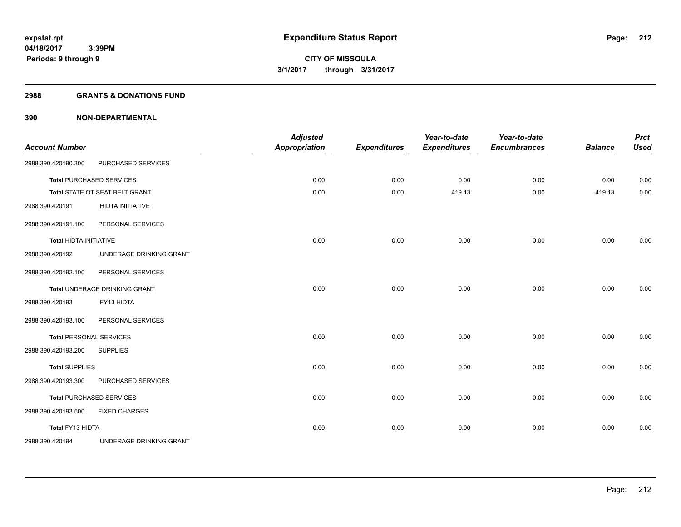#### **2988 GRANTS & DONATIONS FUND**

| <b>Account Number</b>         |                                 | <b>Adjusted</b><br><b>Appropriation</b> | <b>Expenditures</b> | Year-to-date<br><b>Expenditures</b> | Year-to-date<br><b>Encumbrances</b> | <b>Balance</b> | <b>Prct</b><br><b>Used</b> |
|-------------------------------|---------------------------------|-----------------------------------------|---------------------|-------------------------------------|-------------------------------------|----------------|----------------------------|
| 2988.390.420190.300           | PURCHASED SERVICES              |                                         |                     |                                     |                                     |                |                            |
|                               | <b>Total PURCHASED SERVICES</b> | 0.00                                    | 0.00                | 0.00                                | 0.00                                | 0.00           | 0.00                       |
|                               | Total STATE OT SEAT BELT GRANT  | 0.00                                    | 0.00                | 419.13                              | 0.00                                | $-419.13$      | 0.00                       |
| 2988.390.420191               | <b>HIDTA INITIATIVE</b>         |                                         |                     |                                     |                                     |                |                            |
| 2988.390.420191.100           | PERSONAL SERVICES               |                                         |                     |                                     |                                     |                |                            |
| <b>Total HIDTA INITIATIVE</b> |                                 | 0.00                                    | 0.00                | 0.00                                | 0.00                                | 0.00           | 0.00                       |
| 2988.390.420192               | UNDERAGE DRINKING GRANT         |                                         |                     |                                     |                                     |                |                            |
| 2988.390.420192.100           | PERSONAL SERVICES               |                                         |                     |                                     |                                     |                |                            |
|                               | Total UNDERAGE DRINKING GRANT   | 0.00                                    | 0.00                | 0.00                                | 0.00                                | 0.00           | 0.00                       |
| 2988.390.420193               | FY13 HIDTA                      |                                         |                     |                                     |                                     |                |                            |
| 2988.390.420193.100           | PERSONAL SERVICES               |                                         |                     |                                     |                                     |                |                            |
|                               | <b>Total PERSONAL SERVICES</b>  | 0.00                                    | 0.00                | 0.00                                | 0.00                                | 0.00           | 0.00                       |
| 2988.390.420193.200           | <b>SUPPLIES</b>                 |                                         |                     |                                     |                                     |                |                            |
| <b>Total SUPPLIES</b>         |                                 | 0.00                                    | 0.00                | 0.00                                | 0.00                                | 0.00           | 0.00                       |
| 2988.390.420193.300           | PURCHASED SERVICES              |                                         |                     |                                     |                                     |                |                            |
|                               | <b>Total PURCHASED SERVICES</b> | 0.00                                    | 0.00                | 0.00                                | 0.00                                | 0.00           | 0.00                       |
| 2988.390.420193.500           | <b>FIXED CHARGES</b>            |                                         |                     |                                     |                                     |                |                            |
| Total FY13 HIDTA              |                                 | 0.00                                    | 0.00                | 0.00                                | 0.00                                | 0.00           | 0.00                       |
| 2988.390.420194               | UNDERAGE DRINKING GRANT         |                                         |                     |                                     |                                     |                |                            |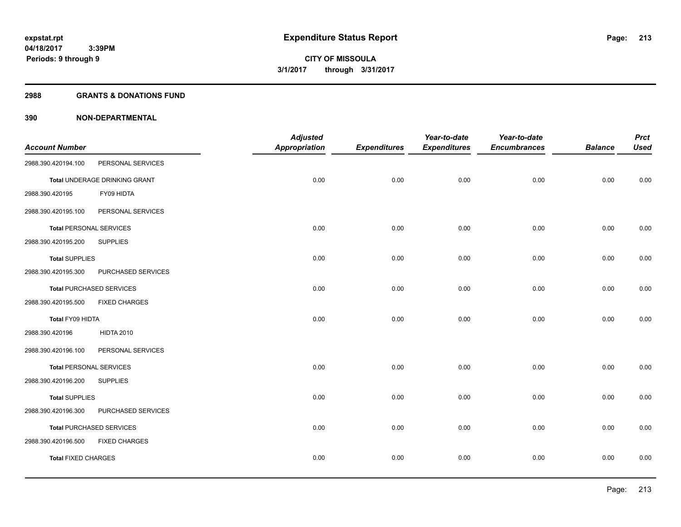#### **2988 GRANTS & DONATIONS FUND**

|                                |                                 | <b>Adjusted</b>      |                     | Year-to-date        | Year-to-date        |                | <b>Prct</b> |
|--------------------------------|---------------------------------|----------------------|---------------------|---------------------|---------------------|----------------|-------------|
| <b>Account Number</b>          |                                 | <b>Appropriation</b> | <b>Expenditures</b> | <b>Expenditures</b> | <b>Encumbrances</b> | <b>Balance</b> | <b>Used</b> |
| 2988.390.420194.100            | PERSONAL SERVICES               |                      |                     |                     |                     |                |             |
|                                | Total UNDERAGE DRINKING GRANT   | 0.00                 | 0.00                | 0.00                | 0.00                | 0.00           | 0.00        |
| 2988.390.420195                | FY09 HIDTA                      |                      |                     |                     |                     |                |             |
| 2988.390.420195.100            | PERSONAL SERVICES               |                      |                     |                     |                     |                |             |
| <b>Total PERSONAL SERVICES</b> |                                 | 0.00                 | 0.00                | 0.00                | 0.00                | 0.00           | 0.00        |
| 2988.390.420195.200            | <b>SUPPLIES</b>                 |                      |                     |                     |                     |                |             |
| <b>Total SUPPLIES</b>          |                                 | 0.00                 | 0.00                | 0.00                | 0.00                | 0.00           | 0.00        |
| 2988.390.420195.300            | PURCHASED SERVICES              |                      |                     |                     |                     |                |             |
|                                | <b>Total PURCHASED SERVICES</b> | 0.00                 | 0.00                | 0.00                | 0.00                | 0.00           | 0.00        |
| 2988.390.420195.500            | <b>FIXED CHARGES</b>            |                      |                     |                     |                     |                |             |
| Total FY09 HIDTA               |                                 | 0.00                 | 0.00                | 0.00                | 0.00                | 0.00           | 0.00        |
| 2988.390.420196                | <b>HIDTA 2010</b>               |                      |                     |                     |                     |                |             |
| 2988.390.420196.100            | PERSONAL SERVICES               |                      |                     |                     |                     |                |             |
| <b>Total PERSONAL SERVICES</b> |                                 | 0.00                 | 0.00                | 0.00                | 0.00                | 0.00           | 0.00        |
| 2988.390.420196.200            | <b>SUPPLIES</b>                 |                      |                     |                     |                     |                |             |
| <b>Total SUPPLIES</b>          |                                 | 0.00                 | 0.00                | 0.00                | 0.00                | 0.00           | 0.00        |
| 2988.390.420196.300            | PURCHASED SERVICES              |                      |                     |                     |                     |                |             |
|                                | <b>Total PURCHASED SERVICES</b> | 0.00                 | 0.00                | 0.00                | 0.00                | 0.00           | 0.00        |
| 2988.390.420196.500            | <b>FIXED CHARGES</b>            |                      |                     |                     |                     |                |             |
| <b>Total FIXED CHARGES</b>     |                                 | 0.00                 | 0.00                | 0.00                | 0.00                | 0.00           | 0.00        |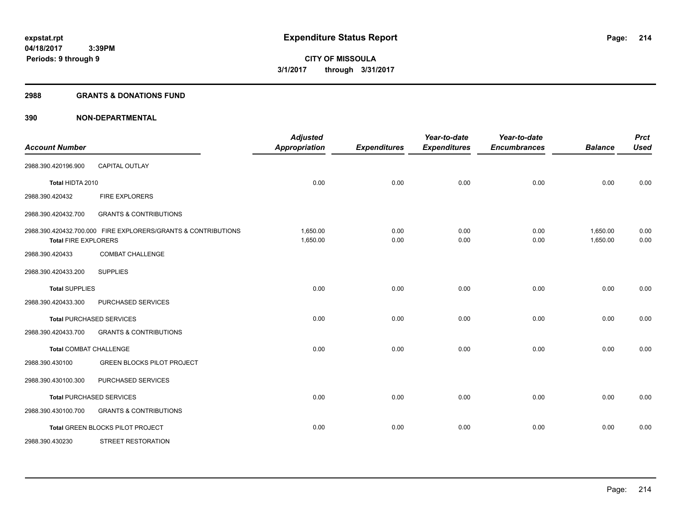#### **2988 GRANTS & DONATIONS FUND**

| <b>Account Number</b>         |                                                               | <b>Adjusted</b><br><b>Appropriation</b> | <b>Expenditures</b> | Year-to-date<br><b>Expenditures</b> | Year-to-date<br><b>Encumbrances</b> | <b>Balance</b>       | <b>Prct</b><br><b>Used</b> |
|-------------------------------|---------------------------------------------------------------|-----------------------------------------|---------------------|-------------------------------------|-------------------------------------|----------------------|----------------------------|
| 2988.390.420196.900           | <b>CAPITAL OUTLAY</b>                                         |                                         |                     |                                     |                                     |                      |                            |
| Total HIDTA 2010              |                                                               | 0.00                                    | 0.00                | 0.00                                | 0.00                                | 0.00                 | 0.00                       |
| 2988.390.420432               | <b>FIRE EXPLORERS</b>                                         |                                         |                     |                                     |                                     |                      |                            |
| 2988.390.420432.700           | <b>GRANTS &amp; CONTRIBUTIONS</b>                             |                                         |                     |                                     |                                     |                      |                            |
| <b>Total FIRE EXPLORERS</b>   | 2988.390.420432.700.000 FIRE EXPLORERS/GRANTS & CONTRIBUTIONS | 1,650.00<br>1,650.00                    | 0.00<br>0.00        | 0.00<br>0.00                        | 0.00<br>0.00                        | 1,650.00<br>1,650.00 | 0.00<br>0.00               |
| 2988.390.420433               | <b>COMBAT CHALLENGE</b>                                       |                                         |                     |                                     |                                     |                      |                            |
| 2988.390.420433.200           | <b>SUPPLIES</b>                                               |                                         |                     |                                     |                                     |                      |                            |
| <b>Total SUPPLIES</b>         |                                                               | 0.00                                    | 0.00                | 0.00                                | 0.00                                | 0.00                 | 0.00                       |
| 2988.390.420433.300           | PURCHASED SERVICES                                            |                                         |                     |                                     |                                     |                      |                            |
|                               | <b>Total PURCHASED SERVICES</b>                               | 0.00                                    | 0.00                | 0.00                                | 0.00                                | 0.00                 | 0.00                       |
| 2988.390.420433.700           | <b>GRANTS &amp; CONTRIBUTIONS</b>                             |                                         |                     |                                     |                                     |                      |                            |
| <b>Total COMBAT CHALLENGE</b> |                                                               | 0.00                                    | 0.00                | 0.00                                | 0.00                                | 0.00                 | 0.00                       |
| 2988.390.430100               | <b>GREEN BLOCKS PILOT PROJECT</b>                             |                                         |                     |                                     |                                     |                      |                            |
| 2988.390.430100.300           | PURCHASED SERVICES                                            |                                         |                     |                                     |                                     |                      |                            |
|                               | <b>Total PURCHASED SERVICES</b>                               | 0.00                                    | 0.00                | 0.00                                | 0.00                                | 0.00                 | 0.00                       |
| 2988.390.430100.700           | <b>GRANTS &amp; CONTRIBUTIONS</b>                             |                                         |                     |                                     |                                     |                      |                            |
|                               | Total GREEN BLOCKS PILOT PROJECT                              | 0.00                                    | 0.00                | 0.00                                | 0.00                                | 0.00                 | 0.00                       |
| 2988.390.430230               | <b>STREET RESTORATION</b>                                     |                                         |                     |                                     |                                     |                      |                            |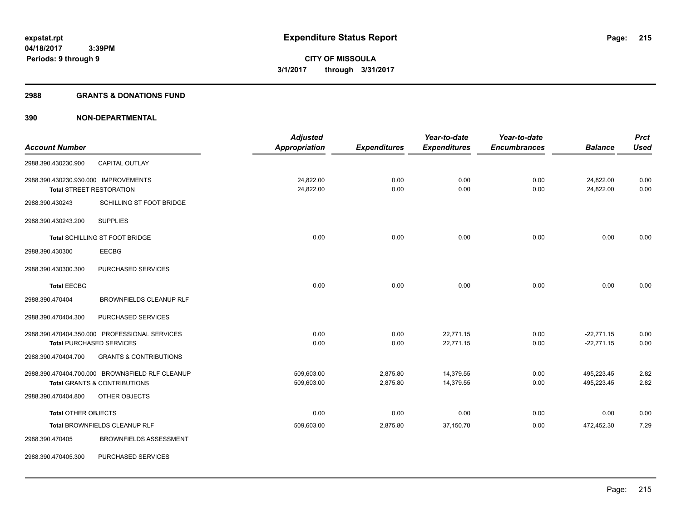#### **2988 GRANTS & DONATIONS FUND**

|                                      |                                                 | <b>Adjusted</b>      |                     | Year-to-date        | Year-to-date        |                | <b>Prct</b> |
|--------------------------------------|-------------------------------------------------|----------------------|---------------------|---------------------|---------------------|----------------|-------------|
| <b>Account Number</b>                |                                                 | <b>Appropriation</b> | <b>Expenditures</b> | <b>Expenditures</b> | <b>Encumbrances</b> | <b>Balance</b> | <b>Used</b> |
| 2988.390.430230.900                  | <b>CAPITAL OUTLAY</b>                           |                      |                     |                     |                     |                |             |
| 2988.390.430230.930.000 IMPROVEMENTS |                                                 | 24,822.00            | 0.00                | 0.00                | 0.00                | 24,822.00      | 0.00        |
|                                      | <b>Total STREET RESTORATION</b>                 | 24,822.00            | 0.00                | 0.00                | 0.00                | 24,822.00      | 0.00        |
| 2988.390.430243                      | SCHILLING ST FOOT BRIDGE                        |                      |                     |                     |                     |                |             |
| 2988.390.430243.200                  | <b>SUPPLIES</b>                                 |                      |                     |                     |                     |                |             |
|                                      | Total SCHILLING ST FOOT BRIDGE                  | 0.00                 | 0.00                | 0.00                | 0.00                | 0.00           | 0.00        |
| 2988.390.430300                      | <b>EECBG</b>                                    |                      |                     |                     |                     |                |             |
| 2988.390.430300.300                  | PURCHASED SERVICES                              |                      |                     |                     |                     |                |             |
| <b>Total EECBG</b>                   |                                                 | 0.00                 | 0.00                | 0.00                | 0.00                | 0.00           | 0.00        |
| 2988.390.470404                      | BROWNFIELDS CLEANUP RLF                         |                      |                     |                     |                     |                |             |
| 2988.390.470404.300                  | PURCHASED SERVICES                              |                      |                     |                     |                     |                |             |
|                                      | 2988.390.470404.350.000 PROFESSIONAL SERVICES   | 0.00                 | 0.00                | 22,771.15           | 0.00                | $-22,771.15$   | 0.00        |
|                                      | <b>Total PURCHASED SERVICES</b>                 | 0.00                 | 0.00                | 22,771.15           | 0.00                | $-22,771.15$   | 0.00        |
| 2988.390.470404.700                  | <b>GRANTS &amp; CONTRIBUTIONS</b>               |                      |                     |                     |                     |                |             |
|                                      | 2988.390.470404.700.000 BROWNSFIELD RLF CLEANUP | 509,603.00           | 2,875.80            | 14,379.55           | 0.00                | 495,223.45     | 2.82        |
|                                      | <b>Total GRANTS &amp; CONTRIBUTIONS</b>         | 509,603.00           | 2,875.80            | 14,379.55           | 0.00                | 495,223.45     | 2.82        |
| 2988.390.470404.800                  | OTHER OBJECTS                                   |                      |                     |                     |                     |                |             |
| <b>Total OTHER OBJECTS</b>           |                                                 | 0.00                 | 0.00                | 0.00                | 0.00                | 0.00           | 0.00        |
|                                      | Total BROWNFIELDS CLEANUP RLF                   | 509,603.00           | 2,875.80            | 37,150.70           | 0.00                | 472,452.30     | 7.29        |
| 2988.390.470405                      | <b>BROWNFIELDS ASSESSMENT</b>                   |                      |                     |                     |                     |                |             |
| 2988.390.470405.300                  | PURCHASED SERVICES                              |                      |                     |                     |                     |                |             |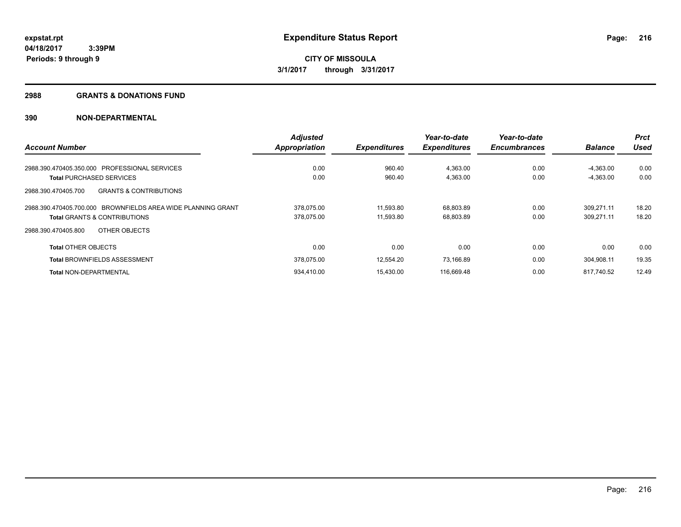#### **2988 GRANTS & DONATIONS FUND**

|                                                              | <b>Adjusted</b> |                     | Year-to-date        | Year-to-date        |                | <b>Prct</b> |
|--------------------------------------------------------------|-----------------|---------------------|---------------------|---------------------|----------------|-------------|
| <b>Account Number</b>                                        | Appropriation   | <b>Expenditures</b> | <b>Expenditures</b> | <b>Encumbrances</b> | <b>Balance</b> | <b>Used</b> |
| 2988.390.470405.350.000 PROFESSIONAL SERVICES                | 0.00            | 960.40              | 4,363.00            | 0.00                | $-4.363.00$    | 0.00        |
| <b>Total PURCHASED SERVICES</b>                              | 0.00            | 960.40              | 4,363.00            | 0.00                | $-4,363.00$    | 0.00        |
| <b>GRANTS &amp; CONTRIBUTIONS</b><br>2988.390.470405.700     |                 |                     |                     |                     |                |             |
| 2988.390.470405.700.000 BROWNFIELDS AREA WIDE PLANNING GRANT | 378.075.00      | 11,593.80           | 68,803.89           | 0.00                | 309.271.11     | 18.20       |
| <b>Total GRANTS &amp; CONTRIBUTIONS</b>                      | 378.075.00      | 11.593.80           | 68,803.89           | 0.00                | 309,271.11     | 18.20       |
| OTHER OBJECTS<br>2988.390.470405.800                         |                 |                     |                     |                     |                |             |
| <b>Total OTHER OBJECTS</b>                                   | 0.00            | 0.00                | 0.00                | 0.00                | 0.00           | 0.00        |
| <b>Total BROWNFIELDS ASSESSMENT</b>                          | 378,075.00      | 12,554.20           | 73,166.89           | 0.00                | 304,908.11     | 19.35       |
| <b>Total NON-DEPARTMENTAL</b>                                | 934.410.00      | 15.430.00           | 116,669.48          | 0.00                | 817,740.52     | 12.49       |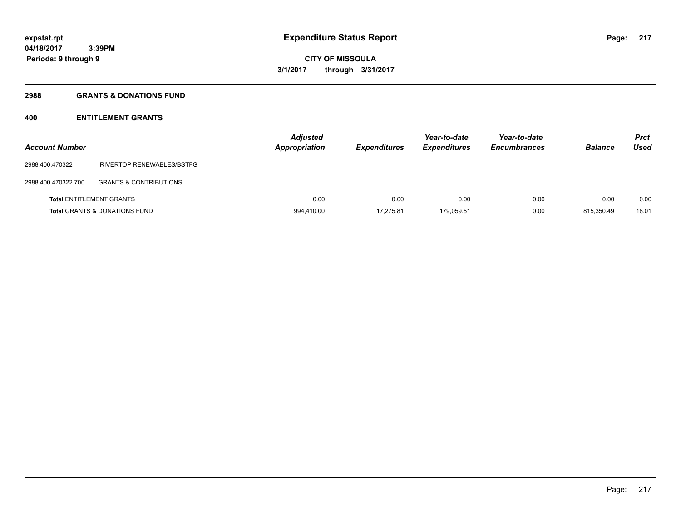### **2988 GRANTS & DONATIONS FUND**

# **400 ENTITLEMENT GRANTS**

| <b>Account Number</b>           |                                          | <b>Adjusted</b><br><b>Appropriation</b> | <b>Expenditures</b> | Year-to-date<br><b>Expenditures</b> | Year-to-date<br><b>Encumbrances</b> | <b>Balance</b> | <b>Prct</b><br>Used |
|---------------------------------|------------------------------------------|-----------------------------------------|---------------------|-------------------------------------|-------------------------------------|----------------|---------------------|
| 2988.400.470322                 | RIVERTOP RENEWABLES/BSTFG                |                                         |                     |                                     |                                     |                |                     |
| 2988.400.470322.700             | <b>GRANTS &amp; CONTRIBUTIONS</b>        |                                         |                     |                                     |                                     |                |                     |
| <b>Total ENTITLEMENT GRANTS</b> |                                          | 0.00                                    | 0.00                | 0.00                                | 0.00                                | 0.00           | 0.00                |
|                                 | <b>Total GRANTS &amp; DONATIONS FUND</b> | 994,410.00                              | 17.275.81           | 179.059.51                          | 0.00                                | 815.350.49     | 18.01               |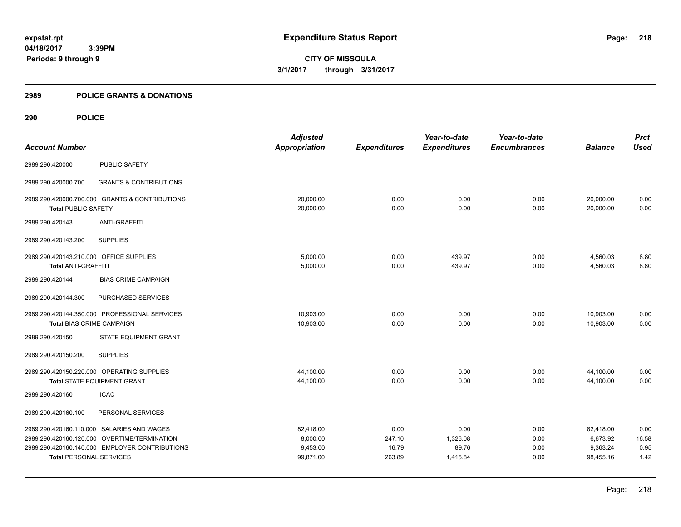# **2989 POLICE GRANTS & DONATIONS**

| <b>Account Number</b>                                                        |                                                                                                                                              | <b>Adjusted</b><br><b>Appropriation</b>        | <b>Expenditures</b>               | Year-to-date<br><b>Expenditures</b>   | Year-to-date<br><b>Encumbrances</b> | <b>Balance</b>                                 | <b>Prct</b><br><b>Used</b>    |
|------------------------------------------------------------------------------|----------------------------------------------------------------------------------------------------------------------------------------------|------------------------------------------------|-----------------------------------|---------------------------------------|-------------------------------------|------------------------------------------------|-------------------------------|
| 2989.290.420000                                                              | <b>PUBLIC SAFETY</b>                                                                                                                         |                                                |                                   |                                       |                                     |                                                |                               |
| 2989.290.420000.700                                                          | <b>GRANTS &amp; CONTRIBUTIONS</b>                                                                                                            |                                                |                                   |                                       |                                     |                                                |                               |
| 2989.290.420000.700.000 GRANTS & CONTRIBUTIONS<br><b>Total PUBLIC SAFETY</b> |                                                                                                                                              | 20,000.00<br>20,000.00                         | 0.00<br>0.00                      | 0.00<br>0.00                          | 0.00<br>0.00                        | 20,000.00<br>20,000.00                         | 0.00<br>0.00                  |
| 2989.290.420143                                                              | <b>ANTI-GRAFFITI</b>                                                                                                                         |                                                |                                   |                                       |                                     |                                                |                               |
| 2989.290.420143.200                                                          | <b>SUPPLIES</b>                                                                                                                              |                                                |                                   |                                       |                                     |                                                |                               |
| 2989.290.420143.210.000 OFFICE SUPPLIES<br><b>Total ANTI-GRAFFITI</b>        |                                                                                                                                              | 5,000.00<br>5,000.00                           | 0.00<br>0.00                      | 439.97<br>439.97                      | 0.00<br>0.00                        | 4,560.03<br>4,560.03                           | 8.80<br>8.80                  |
| 2989.290.420144                                                              | <b>BIAS CRIME CAMPAIGN</b>                                                                                                                   |                                                |                                   |                                       |                                     |                                                |                               |
| 2989.290.420144.300                                                          | PURCHASED SERVICES                                                                                                                           |                                                |                                   |                                       |                                     |                                                |                               |
| <b>Total BIAS CRIME CAMPAIGN</b>                                             | 2989.290.420144.350.000 PROFESSIONAL SERVICES                                                                                                | 10,903.00<br>10,903.00                         | 0.00<br>0.00                      | 0.00<br>0.00                          | 0.00<br>0.00                        | 10,903.00<br>10,903.00                         | 0.00<br>0.00                  |
| 2989.290.420150                                                              | STATE EQUIPMENT GRANT                                                                                                                        |                                                |                                   |                                       |                                     |                                                |                               |
| 2989.290.420150.200                                                          | <b>SUPPLIES</b>                                                                                                                              |                                                |                                   |                                       |                                     |                                                |                               |
|                                                                              | 2989.290.420150.220.000 OPERATING SUPPLIES<br><b>Total STATE EQUIPMENT GRANT</b>                                                             | 44,100.00<br>44,100.00                         | 0.00<br>0.00                      | 0.00<br>0.00                          | 0.00<br>0.00                        | 44,100.00<br>44,100.00                         | 0.00<br>0.00                  |
| 2989.290.420160                                                              | <b>ICAC</b>                                                                                                                                  |                                                |                                   |                                       |                                     |                                                |                               |
| 2989.290.420160.100                                                          | PERSONAL SERVICES                                                                                                                            |                                                |                                   |                                       |                                     |                                                |                               |
| <b>Total PERSONAL SERVICES</b>                                               | 2989.290.420160.110.000 SALARIES AND WAGES<br>2989.290.420160.120.000 OVERTIME/TERMINATION<br>2989.290.420160.140.000 EMPLOYER CONTRIBUTIONS | 82,418.00<br>8,000.00<br>9,453.00<br>99,871.00 | 0.00<br>247.10<br>16.79<br>263.89 | 0.00<br>1,326.08<br>89.76<br>1,415.84 | 0.00<br>0.00<br>0.00<br>0.00        | 82,418.00<br>6,673.92<br>9,363.24<br>98,455.16 | 0.00<br>16.58<br>0.95<br>1.42 |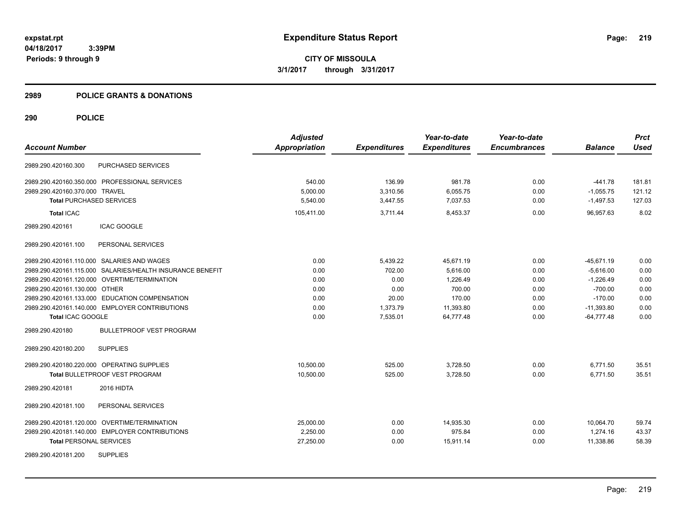**CITY OF MISSOULA 3/1/2017 through 3/31/2017**

### **2989 POLICE GRANTS & DONATIONS**

|                                                           | <b>Adjusted</b>      |                     | Year-to-date        | Year-to-date        |                | <b>Prct</b> |
|-----------------------------------------------------------|----------------------|---------------------|---------------------|---------------------|----------------|-------------|
| <b>Account Number</b>                                     | <b>Appropriation</b> | <b>Expenditures</b> | <b>Expenditures</b> | <b>Encumbrances</b> | <b>Balance</b> | <b>Used</b> |
| PURCHASED SERVICES<br>2989.290.420160.300                 |                      |                     |                     |                     |                |             |
| 2989.290.420160.350.000 PROFESSIONAL SERVICES             | 540.00               | 136.99              | 981.78              | 0.00                | $-441.78$      | 181.81      |
| 2989.290.420160.370.000 TRAVEL                            | 5,000.00             | 3,310.56            | 6,055.75            | 0.00                | $-1,055.75$    | 121.12      |
| <b>Total PURCHASED SERVICES</b>                           | 5,540.00             | 3,447.55            | 7,037.53            | 0.00                | $-1,497.53$    | 127.03      |
| <b>Total ICAC</b>                                         | 105,411.00           | 3,711.44            | 8,453.37            | 0.00                | 96,957.63      | 8.02        |
| <b>ICAC GOOGLE</b><br>2989.290.420161                     |                      |                     |                     |                     |                |             |
| 2989.290.420161.100<br>PERSONAL SERVICES                  |                      |                     |                     |                     |                |             |
| 2989.290.420161.110.000 SALARIES AND WAGES                | 0.00                 | 5,439.22            | 45,671.19           | 0.00                | $-45,671.19$   | 0.00        |
| 2989.290.420161.115.000 SALARIES/HEALTH INSURANCE BENEFIT | 0.00                 | 702.00              | 5,616.00            | 0.00                | $-5,616.00$    | 0.00        |
| 2989.290.420161.120.000 OVERTIME/TERMINATION              | 0.00                 | 0.00                | 1.226.49            | 0.00                | $-1.226.49$    | 0.00        |
| 2989.290.420161.130.000 OTHER                             | 0.00                 | 0.00                | 700.00              | 0.00                | $-700.00$      | 0.00        |
| 2989.290.420161.133.000 EDUCATION COMPENSATION            | 0.00                 | 20.00               | 170.00              | 0.00                | $-170.00$      | 0.00        |
| 2989.290.420161.140.000 EMPLOYER CONTRIBUTIONS            | 0.00                 | 1,373.79            | 11,393.80           | 0.00                | $-11,393.80$   | 0.00        |
| Total ICAC GOOGLE                                         | 0.00                 | 7,535.01            | 64,777.48           | 0.00                | $-64,777.48$   | 0.00        |
| <b>BULLETPROOF VEST PROGRAM</b><br>2989.290.420180        |                      |                     |                     |                     |                |             |
| <b>SUPPLIES</b><br>2989.290.420180.200                    |                      |                     |                     |                     |                |             |
| 2989.290.420180.220.000 OPERATING SUPPLIES                | 10,500.00            | 525.00              | 3,728.50            | 0.00                | 6,771.50       | 35.51       |
| <b>Total BULLETPROOF VEST PROGRAM</b>                     | 10,500.00            | 525.00              | 3,728.50            | 0.00                | 6,771.50       | 35.51       |
| 2989.290.420181<br>2016 HIDTA                             |                      |                     |                     |                     |                |             |
| PERSONAL SERVICES<br>2989.290.420181.100                  |                      |                     |                     |                     |                |             |
| 2989.290.420181.120.000 OVERTIME/TERMINATION              | 25,000.00            | 0.00                | 14,935.30           | 0.00                | 10,064.70      | 59.74       |
| 2989.290.420181.140.000 EMPLOYER CONTRIBUTIONS            | 2,250.00             | 0.00                | 975.84              | 0.00                | 1,274.16       | 43.37       |
| <b>Total PERSONAL SERVICES</b>                            | 27,250.00            | 0.00                | 15,911.14           | 0.00                | 11,338.86      | 58.39       |
| <b>SUPPLIES</b><br>2989.290.420181.200                    |                      |                     |                     |                     |                |             |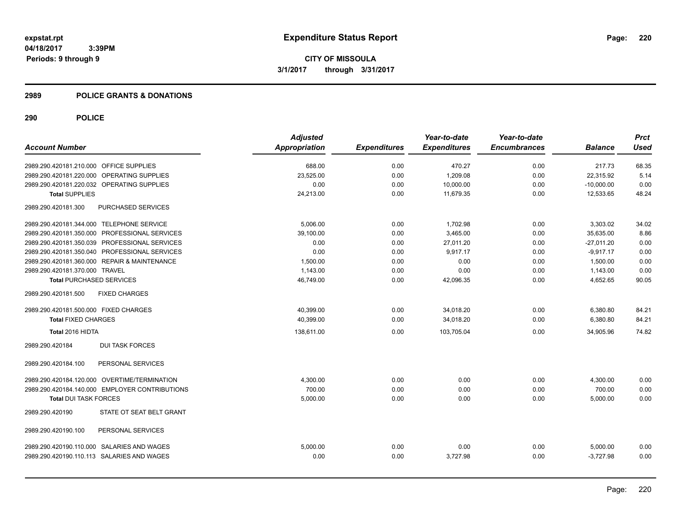### **2989 POLICE GRANTS & DONATIONS**

| <b>Adjusted</b> |                     | Year-to-date        | Year-to-date        |                | <b>Prct</b> |
|-----------------|---------------------|---------------------|---------------------|----------------|-------------|
| Appropriation   | <b>Expenditures</b> | <b>Expenditures</b> | <b>Encumbrances</b> | <b>Balance</b> | <b>Used</b> |
| 688.00          | 0.00                | 470.27              | 0.00                | 217.73         | 68.35       |
| 23,525.00       | 0.00                | 1,209.08            | 0.00                | 22,315.92      | 5.14        |
| 0.00            | 0.00                | 10,000.00           | 0.00                | $-10,000.00$   | 0.00        |
| 24,213.00       | 0.00                | 11,679.35           | 0.00                | 12,533.65      | 48.24       |
|                 |                     |                     |                     |                |             |
| 5,006.00        | 0.00                | 1,702.98            | 0.00                | 3,303.02       | 34.02       |
| 39.100.00       | 0.00                | 3.465.00            | 0.00                | 35.635.00      | 8.86        |
| 0.00            | 0.00                | 27,011.20           | 0.00                | $-27,011.20$   | 0.00        |
| 0.00            | 0.00                | 9,917.17            | 0.00                | $-9,917.17$    | 0.00        |
| 1,500.00        | 0.00                | 0.00                | 0.00                | 1,500.00       | 0.00        |
| 1,143.00        | 0.00                | 0.00                | 0.00                | 1,143.00       | 0.00        |
| 46,749.00       | 0.00                | 42,096.35           | 0.00                | 4,652.65       | 90.05       |
|                 |                     |                     |                     |                |             |
| 40,399.00       | 0.00                | 34,018.20           | 0.00                | 6,380.80       | 84.21       |
| 40,399.00       | 0.00                | 34,018.20           | 0.00                | 6,380.80       | 84.21       |
| 138,611.00      | 0.00                | 103,705.04          | 0.00                | 34,905.96      | 74.82       |
|                 |                     |                     |                     |                |             |
|                 |                     |                     |                     |                |             |
| 4,300.00        | 0.00                | 0.00                | 0.00                | 4,300.00       | 0.00        |
| 700.00          | 0.00                | 0.00                | 0.00                | 700.00         | 0.00        |
| 5,000.00        | 0.00                | 0.00                | 0.00                | 5,000.00       | 0.00        |
|                 |                     |                     |                     |                |             |
|                 |                     |                     |                     |                |             |
|                 |                     |                     |                     |                | 0.00        |
| 0.00            | 0.00                | 3,727.98            | 0.00                | $-3,727.98$    | 0.00        |
|                 | 5,000.00            | 0.00                | 0.00                | 0.00           | 5,000.00    |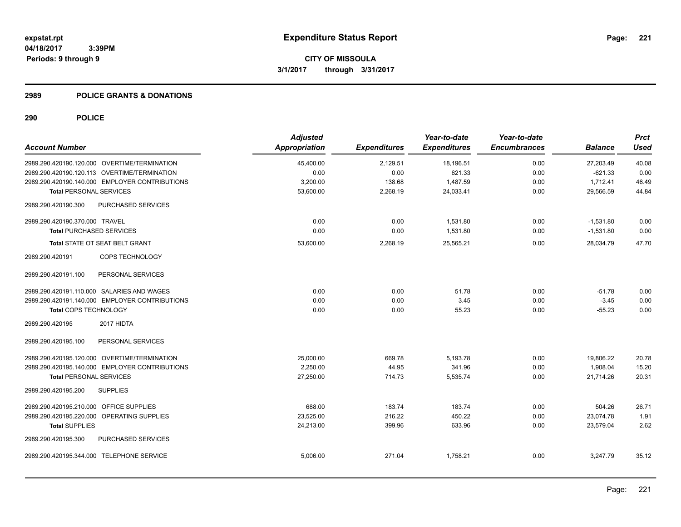### **2989 POLICE GRANTS & DONATIONS**

|                                                |                    | <b>Adjusted</b>      |                     | Year-to-date        | Year-to-date        |                | <b>Prct</b> |
|------------------------------------------------|--------------------|----------------------|---------------------|---------------------|---------------------|----------------|-------------|
| <b>Account Number</b>                          |                    | <b>Appropriation</b> | <b>Expenditures</b> | <b>Expenditures</b> | <b>Encumbrances</b> | <b>Balance</b> | <b>Used</b> |
| 2989.290.420190.120.000 OVERTIME/TERMINATION   |                    | 45,400.00            | 2,129.51            | 18,196.51           | 0.00                | 27,203.49      | 40.08       |
| 2989.290.420190.120.113 OVERTIME/TERMINATION   |                    | 0.00                 | 0.00                | 621.33              | 0.00                | $-621.33$      | 0.00        |
| 2989.290.420190.140.000 EMPLOYER CONTRIBUTIONS |                    | 3,200.00             | 138.68              | 1,487.59            | 0.00                | 1,712.41       | 46.49       |
| <b>Total PERSONAL SERVICES</b>                 |                    | 53,600.00            | 2,268.19            | 24,033.41           | 0.00                | 29,566.59      | 44.84       |
| 2989.290.420190.300                            | PURCHASED SERVICES |                      |                     |                     |                     |                |             |
| 2989.290.420190.370.000 TRAVEL                 |                    | 0.00                 | 0.00                | 1,531.80            | 0.00                | $-1,531.80$    | 0.00        |
| <b>Total PURCHASED SERVICES</b>                |                    | 0.00                 | 0.00                | 1,531.80            | 0.00                | $-1,531.80$    | 0.00        |
| <b>Total STATE OT SEAT BELT GRANT</b>          |                    | 53,600.00            | 2,268.19            | 25,565.21           | 0.00                | 28,034.79      | 47.70       |
| 2989.290.420191                                | COPS TECHNOLOGY    |                      |                     |                     |                     |                |             |
| 2989.290.420191.100                            | PERSONAL SERVICES  |                      |                     |                     |                     |                |             |
| 2989.290.420191.110.000 SALARIES AND WAGES     |                    | 0.00                 | 0.00                | 51.78               | 0.00                | $-51.78$       | 0.00        |
| 2989.290.420191.140.000 EMPLOYER CONTRIBUTIONS |                    | 0.00                 | 0.00                | 3.45                | 0.00                | $-3.45$        | 0.00        |
| Total COPS TECHNOLOGY                          |                    | 0.00                 | 0.00                | 55.23               | 0.00                | $-55.23$       | 0.00        |
| 2989.290.420195<br>2017 HIDTA                  |                    |                      |                     |                     |                     |                |             |
| 2989.290.420195.100                            | PERSONAL SERVICES  |                      |                     |                     |                     |                |             |
| 2989.290.420195.120.000 OVERTIME/TERMINATION   |                    | 25,000.00            | 669.78              | 5,193.78            | 0.00                | 19,806.22      | 20.78       |
| 2989.290.420195.140.000 EMPLOYER CONTRIBUTIONS |                    | 2,250.00             | 44.95               | 341.96              | 0.00                | 1,908.04       | 15.20       |
| <b>Total PERSONAL SERVICES</b>                 |                    | 27,250.00            | 714.73              | 5,535.74            | 0.00                | 21,714.26      | 20.31       |
| <b>SUPPLIES</b><br>2989.290.420195.200         |                    |                      |                     |                     |                     |                |             |
| 2989.290.420195.210.000 OFFICE SUPPLIES        |                    | 688.00               | 183.74              | 183.74              | 0.00                | 504.26         | 26.71       |
| 2989.290.420195.220.000 OPERATING SUPPLIES     |                    | 23,525.00            | 216.22              | 450.22              | 0.00                | 23,074.78      | 1.91        |
| <b>Total SUPPLIES</b>                          |                    | 24,213.00            | 399.96              | 633.96              | 0.00                | 23,579.04      | 2.62        |
| 2989.290.420195.300                            | PURCHASED SERVICES |                      |                     |                     |                     |                |             |
| 2989.290.420195.344.000 TELEPHONE SERVICE      |                    | 5,006.00             | 271.04              | 1,758.21            | 0.00                | 3,247.79       | 35.12       |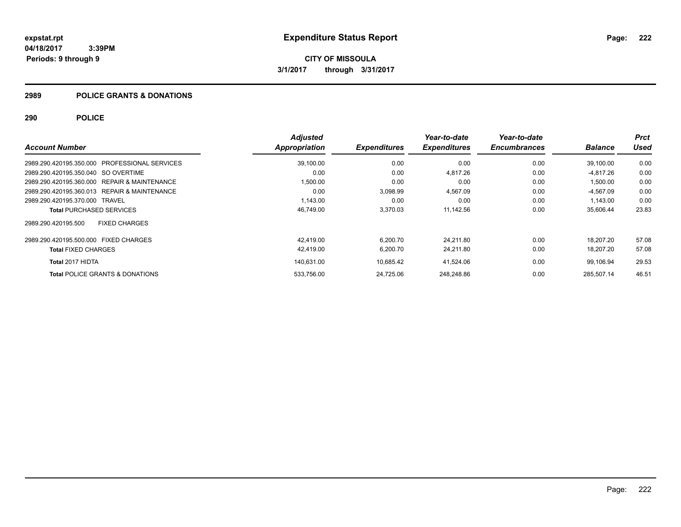### **2989 POLICE GRANTS & DONATIONS**

|                                                         | <b>Adjusted</b> |                     | Year-to-date        | Year-to-date        |                | <b>Prct</b> |
|---------------------------------------------------------|-----------------|---------------------|---------------------|---------------------|----------------|-------------|
| <b>Account Number</b>                                   | Appropriation   | <b>Expenditures</b> | <b>Expenditures</b> | <b>Encumbrances</b> | <b>Balance</b> | Used        |
| 2989.290.420195.350.000<br><b>PROFESSIONAL SERVICES</b> | 39,100.00       | 0.00                | 0.00                | 0.00                | 39,100.00      | 0.00        |
| 2989.290.420195.350.040 SO OVERTIME                     | 0.00            | 0.00                | 4,817.26            | 0.00                | $-4.817.26$    | 0.00        |
| 2989.290.420195.360.000 REPAIR & MAINTENANCE            | 1,500.00        | 0.00                | 0.00                | 0.00                | 1.500.00       | 0.00        |
| 2989.290.420195.360.013 REPAIR & MAINTENANCE            | 0.00            | 3,098.99            | 4,567.09            | 0.00                | -4.567.09      | 0.00        |
| 2989.290.420195.370.000 TRAVEL                          | 1.143.00        | 0.00                | 0.00                | 0.00                | 1.143.00       | 0.00        |
| <b>Total PURCHASED SERVICES</b>                         | 46,749.00       | 3,370.03            | 11,142.56           | 0.00                | 35,606.44      | 23.83       |
| <b>FIXED CHARGES</b><br>2989.290.420195.500             |                 |                     |                     |                     |                |             |
| 2989.290.420195.500.000 FIXED CHARGES                   | 42.419.00       | 6.200.70            | 24.211.80           | 0.00                | 18.207.20      | 57.08       |
| <b>Total FIXED CHARGES</b>                              | 42,419.00       | 6,200.70            | 24,211.80           | 0.00                | 18,207.20      | 57.08       |
| Total 2017 HIDTA                                        | 140.631.00      | 10,685.42           | 41,524.06           | 0.00                | 99.106.94      | 29.53       |
| <b>Total POLICE GRANTS &amp; DONATIONS</b>              | 533.756.00      | 24.725.06           | 248.248.86          | 0.00                | 285.507.14     | 46.51       |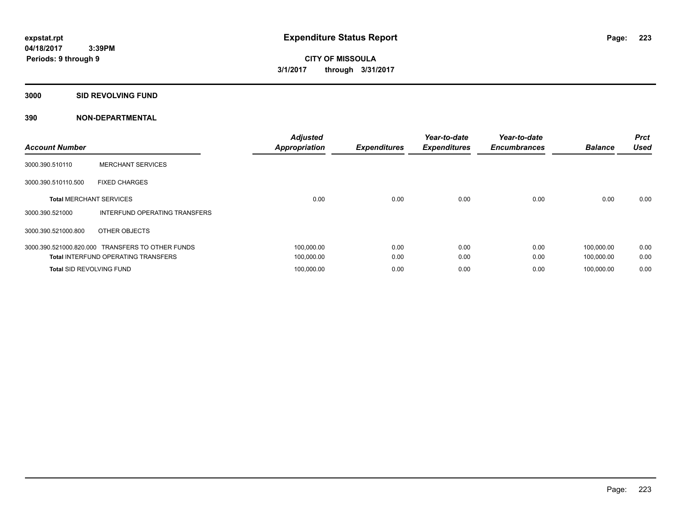**3000 SID REVOLVING FUND**

| <b>Account Number</b>           |                                                  | <b>Adjusted</b><br><b>Appropriation</b> | <b>Expenditures</b> | Year-to-date<br><b>Expenditures</b> | Year-to-date<br><b>Encumbrances</b> | <b>Balance</b> | <b>Prct</b><br><b>Used</b> |
|---------------------------------|--------------------------------------------------|-----------------------------------------|---------------------|-------------------------------------|-------------------------------------|----------------|----------------------------|
| 3000.390.510110                 | <b>MERCHANT SERVICES</b>                         |                                         |                     |                                     |                                     |                |                            |
| 3000.390.510110.500             | <b>FIXED CHARGES</b>                             |                                         |                     |                                     |                                     |                |                            |
| <b>Total MERCHANT SERVICES</b>  |                                                  | 0.00                                    | 0.00                | 0.00                                | 0.00                                | 0.00           | 0.00                       |
| 3000.390.521000                 | INTERFUND OPERATING TRANSFERS                    |                                         |                     |                                     |                                     |                |                            |
| 3000.390.521000.800             | OTHER OBJECTS                                    |                                         |                     |                                     |                                     |                |                            |
|                                 | 3000.390.521000.820.000 TRANSFERS TO OTHER FUNDS | 100,000.00                              | 0.00                | 0.00                                | 0.00                                | 100.000.00     | 0.00                       |
|                                 | <b>Total INTERFUND OPERATING TRANSFERS</b>       | 100,000.00                              | 0.00                | 0.00                                | 0.00                                | 100,000.00     | 0.00                       |
| <b>Total SID REVOLVING FUND</b> |                                                  | 100.000.00                              | 0.00                | 0.00                                | 0.00                                | 100.000.00     | 0.00                       |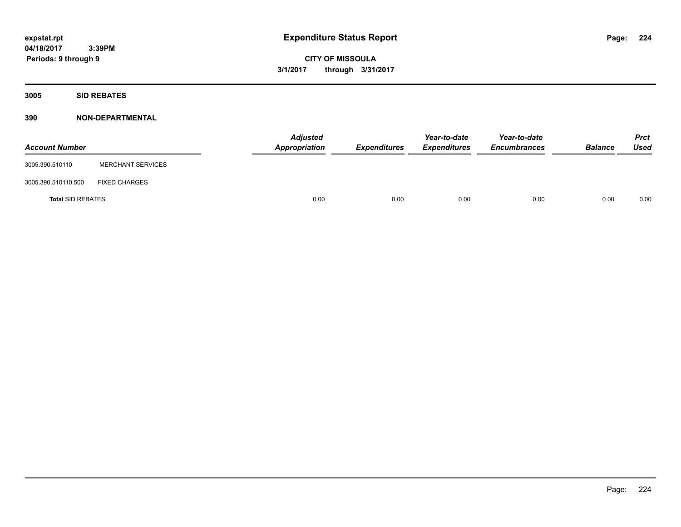**CITY OF MISSOULA 3/1/2017 through 3/31/2017**

**3005 SID REBATES**

| <b>Account Number</b>    |                          | <b>Adjusted</b><br>Appropriation | Expenditures | Year-to-date<br><b>Expenditures</b> | Year-to-date<br><b>Encumbrances</b> | <b>Balance</b> | <b>Prct</b><br>Used |
|--------------------------|--------------------------|----------------------------------|--------------|-------------------------------------|-------------------------------------|----------------|---------------------|
| 3005.390.510110          | <b>MERCHANT SERVICES</b> |                                  |              |                                     |                                     |                |                     |
| 3005.390.510110.500      | <b>FIXED CHARGES</b>     |                                  |              |                                     |                                     |                |                     |
| <b>Total SID REBATES</b> |                          | 0.00                             | 0.00         | 0.00                                | 0.00                                | 0.00           | 0.00                |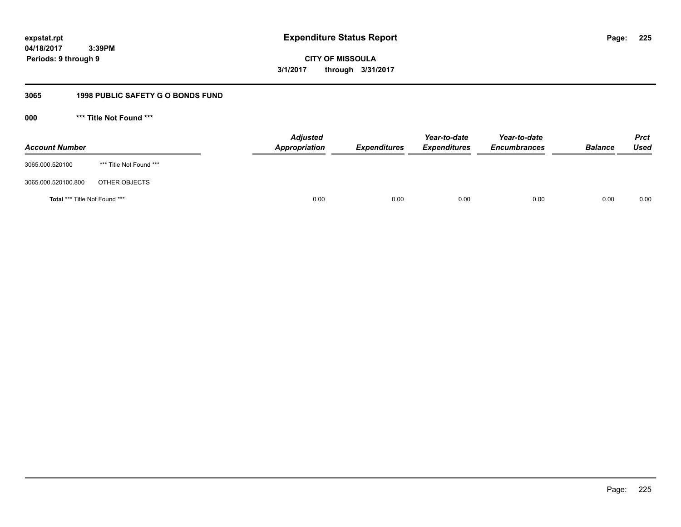**CITY OF MISSOULA 3/1/2017 through 3/31/2017**

# **3065 1998 PUBLIC SAFETY G O BONDS FUND**

**000 \*\*\* Title Not Found \*\*\***

| <b>Account Number</b>         |                         | <b>Adjusted</b><br>Appropriation | <b>Expenditures</b> | Year-to-date<br><b>Expenditures</b> | Year-to-date<br><b>Encumbrances</b> | <b>Balance</b> | <b>Prct</b><br>Used |
|-------------------------------|-------------------------|----------------------------------|---------------------|-------------------------------------|-------------------------------------|----------------|---------------------|
| 3065.000.520100               | *** Title Not Found *** |                                  |                     |                                     |                                     |                |                     |
| 3065.000.520100.800           | OTHER OBJECTS           |                                  |                     |                                     |                                     |                |                     |
| Total *** Title Not Found *** |                         | 0.00                             | 0.00                | 0.00                                | 0.00                                | 0.00           | 0.00                |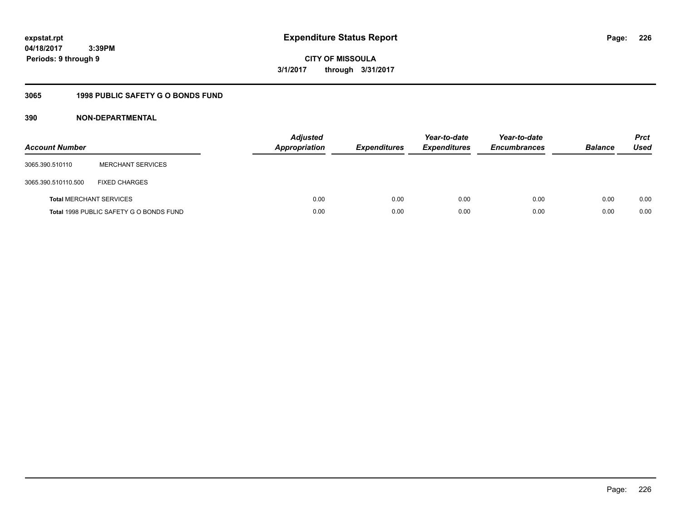**04/18/2017 3:39PM Periods: 9 through 9**

**CITY OF MISSOULA 3/1/2017 through 3/31/2017**

# **3065 1998 PUBLIC SAFETY G O BONDS FUND**

| <b>Account Number</b>          |                                         | <b>Adjusted</b><br><b>Appropriation</b> | <b>Expenditures</b> | Year-to-date<br><b>Expenditures</b> | Year-to-date<br><b>Encumbrances</b> | <b>Balance</b> | <b>Prct</b><br>Used |
|--------------------------------|-----------------------------------------|-----------------------------------------|---------------------|-------------------------------------|-------------------------------------|----------------|---------------------|
| 3065.390.510110                | <b>MERCHANT SERVICES</b>                |                                         |                     |                                     |                                     |                |                     |
| 3065.390.510110.500            | <b>FIXED CHARGES</b>                    |                                         |                     |                                     |                                     |                |                     |
| <b>Total MERCHANT SERVICES</b> |                                         | 0.00                                    | 0.00                | 0.00                                | 0.00                                | 0.00           | 0.00                |
|                                | Total 1998 PUBLIC SAFETY G O BONDS FUND | 0.00                                    | 0.00                | 0.00                                | 0.00                                | 0.00           | 0.00                |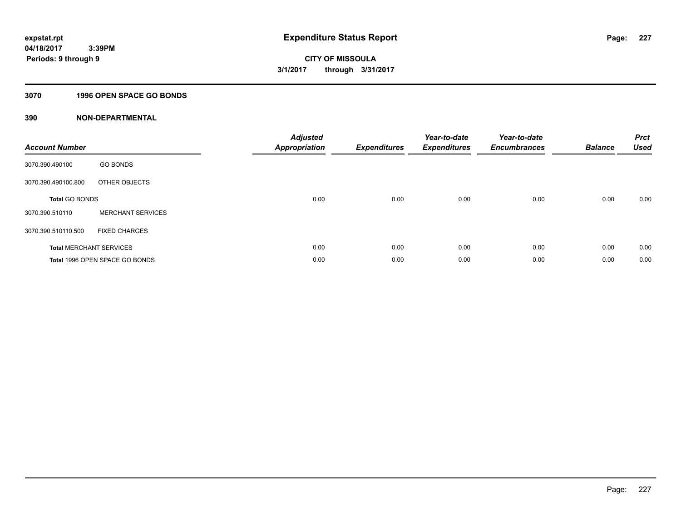# **3070 1996 OPEN SPACE GO BONDS**

| <b>Account Number</b> |                                | <b>Adjusted</b><br>Appropriation | <b>Expenditures</b> | Year-to-date<br><b>Expenditures</b> | Year-to-date<br><b>Encumbrances</b> | <b>Balance</b> | <b>Prct</b><br>Used |
|-----------------------|--------------------------------|----------------------------------|---------------------|-------------------------------------|-------------------------------------|----------------|---------------------|
| 3070.390.490100       | <b>GO BONDS</b>                |                                  |                     |                                     |                                     |                |                     |
| 3070.390.490100.800   | OTHER OBJECTS                  |                                  |                     |                                     |                                     |                |                     |
| <b>Total GO BONDS</b> |                                | 0.00                             | 0.00                | 0.00                                | 0.00                                | 0.00           | 0.00                |
| 3070.390.510110       | <b>MERCHANT SERVICES</b>       |                                  |                     |                                     |                                     |                |                     |
| 3070.390.510110.500   | <b>FIXED CHARGES</b>           |                                  |                     |                                     |                                     |                |                     |
|                       | <b>Total MERCHANT SERVICES</b> | 0.00                             | 0.00                | 0.00                                | 0.00                                | 0.00           | 0.00                |
|                       | Total 1996 OPEN SPACE GO BONDS | 0.00                             | 0.00                | 0.00                                | 0.00                                | 0.00           | 0.00                |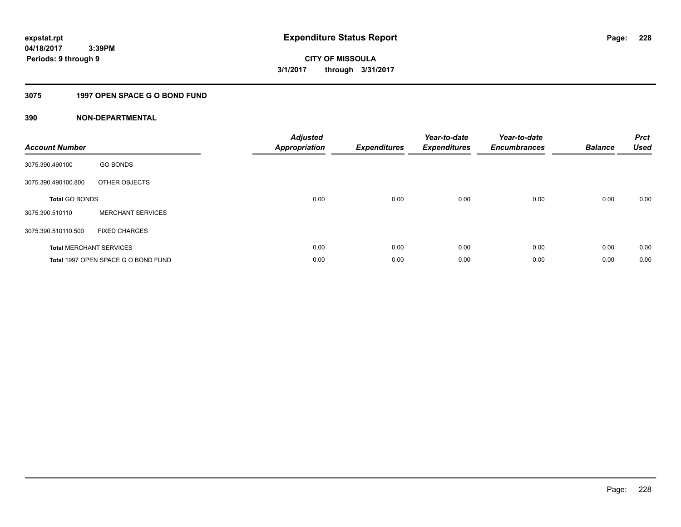# **3075 1997 OPEN SPACE G O BOND FUND**

| <b>Account Number</b> |                                     | <b>Adjusted</b><br><b>Appropriation</b> | <b>Expenditures</b> | Year-to-date<br><b>Expenditures</b> | Year-to-date<br><b>Encumbrances</b> | <b>Balance</b> | <b>Prct</b><br><b>Used</b> |
|-----------------------|-------------------------------------|-----------------------------------------|---------------------|-------------------------------------|-------------------------------------|----------------|----------------------------|
| 3075.390.490100       | <b>GO BONDS</b>                     |                                         |                     |                                     |                                     |                |                            |
| 3075.390.490100.800   | OTHER OBJECTS                       |                                         |                     |                                     |                                     |                |                            |
| <b>Total GO BONDS</b> |                                     | 0.00                                    | 0.00                | 0.00                                | 0.00                                | 0.00           | 0.00                       |
| 3075.390.510110       | <b>MERCHANT SERVICES</b>            |                                         |                     |                                     |                                     |                |                            |
| 3075.390.510110.500   | <b>FIXED CHARGES</b>                |                                         |                     |                                     |                                     |                |                            |
|                       | <b>Total MERCHANT SERVICES</b>      | 0.00                                    | 0.00                | 0.00                                | 0.00                                | 0.00           | 0.00                       |
|                       | Total 1997 OPEN SPACE G O BOND FUND | 0.00                                    | 0.00                | 0.00                                | 0.00                                | 0.00           | 0.00                       |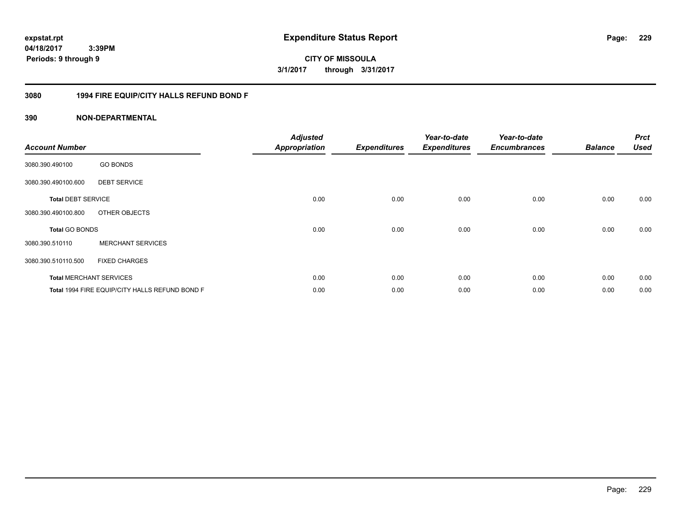**04/18/2017 3:39PM Periods: 9 through 9**

# **CITY OF MISSOULA 3/1/2017 through 3/31/2017**

### **3080 1994 FIRE EQUIP/CITY HALLS REFUND BOND F**

| <b>Account Number</b>     |                                                | <b>Adjusted</b><br><b>Appropriation</b> | <b>Expenditures</b> | Year-to-date<br><b>Expenditures</b> | Year-to-date<br><b>Encumbrances</b> | <b>Balance</b> | <b>Prct</b><br><b>Used</b> |
|---------------------------|------------------------------------------------|-----------------------------------------|---------------------|-------------------------------------|-------------------------------------|----------------|----------------------------|
| 3080.390.490100           | <b>GO BONDS</b>                                |                                         |                     |                                     |                                     |                |                            |
| 3080.390.490100.600       | <b>DEBT SERVICE</b>                            |                                         |                     |                                     |                                     |                |                            |
| <b>Total DEBT SERVICE</b> |                                                | 0.00                                    | 0.00                | 0.00                                | 0.00                                | 0.00           | 0.00                       |
| 3080.390.490100.800       | OTHER OBJECTS                                  |                                         |                     |                                     |                                     |                |                            |
| <b>Total GO BONDS</b>     |                                                | 0.00                                    | 0.00                | 0.00                                | 0.00                                | 0.00           | 0.00                       |
| 3080.390.510110           | <b>MERCHANT SERVICES</b>                       |                                         |                     |                                     |                                     |                |                            |
| 3080.390.510110.500       | <b>FIXED CHARGES</b>                           |                                         |                     |                                     |                                     |                |                            |
|                           | <b>Total MERCHANT SERVICES</b>                 | 0.00                                    | 0.00                | 0.00                                | 0.00                                | 0.00           | 0.00                       |
|                           | Total 1994 FIRE EQUIP/CITY HALLS REFUND BOND F | 0.00                                    | 0.00                | 0.00                                | 0.00                                | 0.00           | 0.00                       |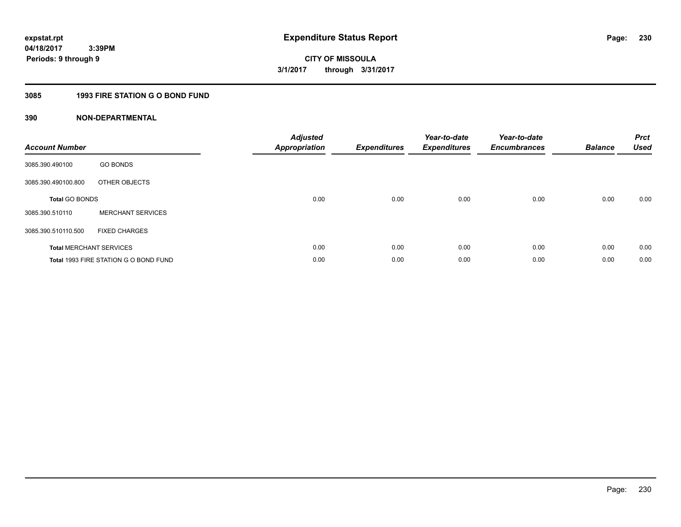# **3085 1993 FIRE STATION G O BOND FUND**

| <b>Account Number</b> |                                       | <b>Adjusted</b><br>Appropriation | <b>Expenditures</b> | Year-to-date<br><b>Expenditures</b> | Year-to-date<br><b>Encumbrances</b> | <b>Balance</b> | <b>Prct</b><br><b>Used</b> |
|-----------------------|---------------------------------------|----------------------------------|---------------------|-------------------------------------|-------------------------------------|----------------|----------------------------|
| 3085.390.490100       | <b>GO BONDS</b>                       |                                  |                     |                                     |                                     |                |                            |
| 3085.390.490100.800   | OTHER OBJECTS                         |                                  |                     |                                     |                                     |                |                            |
| <b>Total GO BONDS</b> |                                       | 0.00                             | 0.00                | 0.00                                | 0.00                                | 0.00           | 0.00                       |
| 3085.390.510110       | <b>MERCHANT SERVICES</b>              |                                  |                     |                                     |                                     |                |                            |
| 3085.390.510110.500   | <b>FIXED CHARGES</b>                  |                                  |                     |                                     |                                     |                |                            |
|                       | <b>Total MERCHANT SERVICES</b>        | 0.00                             | 0.00                | 0.00                                | 0.00                                | 0.00           | 0.00                       |
|                       | Total 1993 FIRE STATION G O BOND FUND | 0.00                             | 0.00                | 0.00                                | 0.00                                | 0.00           | 0.00                       |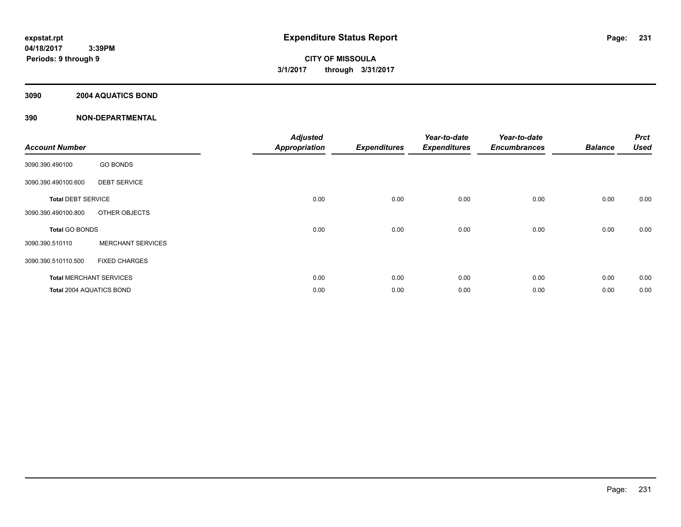### **3090 2004 AQUATICS BOND**

|                           |                                | <b>Adjusted</b>      |                     | Year-to-date        | Year-to-date        |                | <b>Prct</b> |
|---------------------------|--------------------------------|----------------------|---------------------|---------------------|---------------------|----------------|-------------|
| <b>Account Number</b>     |                                | <b>Appropriation</b> | <b>Expenditures</b> | <b>Expenditures</b> | <b>Encumbrances</b> | <b>Balance</b> | <b>Used</b> |
| 3090.390.490100           | <b>GO BONDS</b>                |                      |                     |                     |                     |                |             |
| 3090.390.490100.600       | <b>DEBT SERVICE</b>            |                      |                     |                     |                     |                |             |
| <b>Total DEBT SERVICE</b> |                                | 0.00                 | 0.00                | 0.00                | 0.00                | 0.00           | 0.00        |
| 3090.390.490100.800       | OTHER OBJECTS                  |                      |                     |                     |                     |                |             |
| Total GO BONDS            |                                | 0.00                 | 0.00                | 0.00                | 0.00                | 0.00           | 0.00        |
| 3090.390.510110           | <b>MERCHANT SERVICES</b>       |                      |                     |                     |                     |                |             |
| 3090.390.510110.500       | <b>FIXED CHARGES</b>           |                      |                     |                     |                     |                |             |
|                           | <b>Total MERCHANT SERVICES</b> | 0.00                 | 0.00                | 0.00                | 0.00                | 0.00           | 0.00        |
| Total 2004 AQUATICS BOND  |                                | 0.00                 | 0.00                | 0.00                | 0.00                | 0.00           | 0.00        |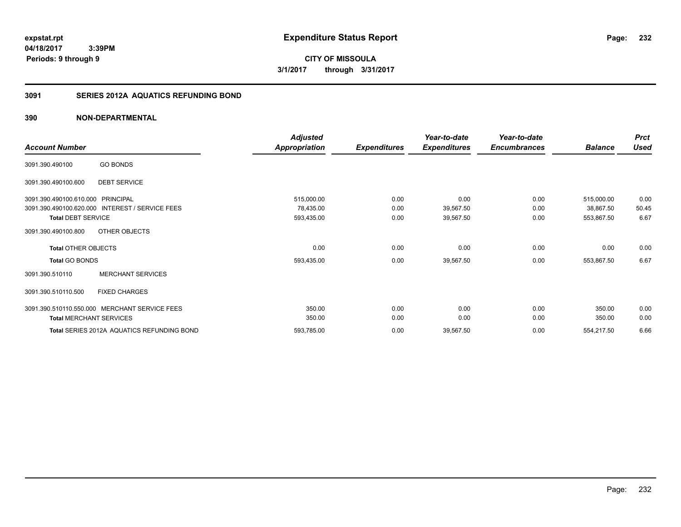**CITY OF MISSOULA 3/1/2017 through 3/31/2017**

### **3091 SERIES 2012A AQUATICS REFUNDING BOND**

|                                                      |                                            | <b>Adjusted</b>         |                     | Year-to-date           | Year-to-date        |                         | <b>Prct</b>   |
|------------------------------------------------------|--------------------------------------------|-------------------------|---------------------|------------------------|---------------------|-------------------------|---------------|
| <b>Account Number</b>                                |                                            | <b>Appropriation</b>    | <b>Expenditures</b> | <b>Expenditures</b>    | <b>Encumbrances</b> | <b>Balance</b>          | <b>Used</b>   |
| <b>GO BONDS</b><br>3091.390.490100                   |                                            |                         |                     |                        |                     |                         |               |
| 3091.390.490100.600                                  | <b>DEBT SERVICE</b>                        |                         |                     |                        |                     |                         |               |
| 3091.390.490100.610.000 PRINCIPAL                    |                                            | 515,000.00              | 0.00                | 0.00                   | 0.00                | 515,000.00              | 0.00          |
| 3091.390.490100.620.000<br><b>Total DEBT SERVICE</b> | INTEREST / SERVICE FEES                    | 78,435.00<br>593,435.00 | 0.00<br>0.00        | 39,567.50<br>39,567.50 | 0.00<br>0.00        | 38,867.50<br>553,867.50 | 50.45<br>6.67 |
| 3091.390.490100.800                                  | OTHER OBJECTS                              |                         |                     |                        |                     |                         |               |
| <b>Total OTHER OBJECTS</b>                           |                                            | 0.00                    | 0.00                | 0.00                   | 0.00                | 0.00                    | 0.00          |
| <b>Total GO BONDS</b>                                |                                            | 593,435.00              | 0.00                | 39,567.50              | 0.00                | 553,867.50              | 6.67          |
| 3091.390.510110                                      | <b>MERCHANT SERVICES</b>                   |                         |                     |                        |                     |                         |               |
| 3091.390.510110.500                                  | <b>FIXED CHARGES</b>                       |                         |                     |                        |                     |                         |               |
| 3091.390.510110.550.000 MERCHANT SERVICE FEES        |                                            | 350.00                  | 0.00                | 0.00                   | 0.00                | 350.00                  | 0.00          |
| <b>Total MERCHANT SERVICES</b>                       |                                            | 350.00                  | 0.00                | 0.00                   | 0.00                | 350.00                  | 0.00          |
|                                                      | Total SERIES 2012A AQUATICS REFUNDING BOND | 593,785.00              | 0.00                | 39,567.50              | 0.00                | 554,217.50              | 6.66          |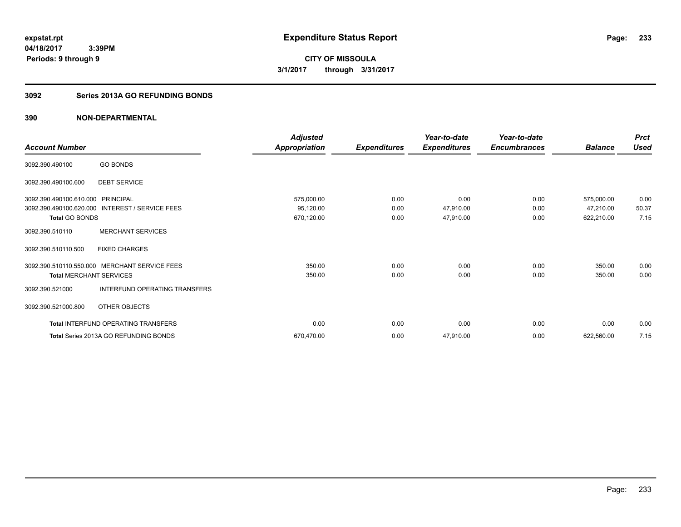**CITY OF MISSOULA 3/1/2017 through 3/31/2017**

# **3092 Series 2013A GO REFUNDING BONDS**

|                                   |                                                 | <b>Adjusted</b>      |                     | Year-to-date        | Year-to-date        |                | <b>Prct</b> |
|-----------------------------------|-------------------------------------------------|----------------------|---------------------|---------------------|---------------------|----------------|-------------|
| <b>Account Number</b>             |                                                 | <b>Appropriation</b> | <b>Expenditures</b> | <b>Expenditures</b> | <b>Encumbrances</b> | <b>Balance</b> | <b>Used</b> |
| 3092.390.490100                   | <b>GO BONDS</b>                                 |                      |                     |                     |                     |                |             |
| 3092.390.490100.600               | <b>DEBT SERVICE</b>                             |                      |                     |                     |                     |                |             |
| 3092.390.490100.610.000 PRINCIPAL |                                                 | 575,000.00           | 0.00                | 0.00                | 0.00                | 575,000.00     | 0.00        |
|                                   | 3092.390.490100.620.000 INTEREST / SERVICE FEES | 95,120.00            | 0.00                | 47,910.00           | 0.00                | 47,210.00      | 50.37       |
| <b>Total GO BONDS</b>             |                                                 | 670,120.00           | 0.00                | 47,910.00           | 0.00                | 622,210.00     | 7.15        |
| 3092.390.510110                   | <b>MERCHANT SERVICES</b>                        |                      |                     |                     |                     |                |             |
| 3092.390.510110.500               | <b>FIXED CHARGES</b>                            |                      |                     |                     |                     |                |             |
|                                   | 3092.390.510110.550.000 MERCHANT SERVICE FEES   | 350.00               | 0.00                | 0.00                | 0.00                | 350.00         | 0.00        |
| <b>Total MERCHANT SERVICES</b>    |                                                 | 350.00               | 0.00                | 0.00                | 0.00                | 350.00         | 0.00        |
| 3092.390.521000                   | <b>INTERFUND OPERATING TRANSFERS</b>            |                      |                     |                     |                     |                |             |
| 3092.390.521000.800               | OTHER OBJECTS                                   |                      |                     |                     |                     |                |             |
|                                   | <b>Total INTERFUND OPERATING TRANSFERS</b>      | 0.00                 | 0.00                | 0.00                | 0.00                | 0.00           | 0.00        |
|                                   | Total Series 2013A GO REFUNDING BONDS           | 670,470.00           | 0.00                | 47,910.00           | 0.00                | 622,560.00     | 7.15        |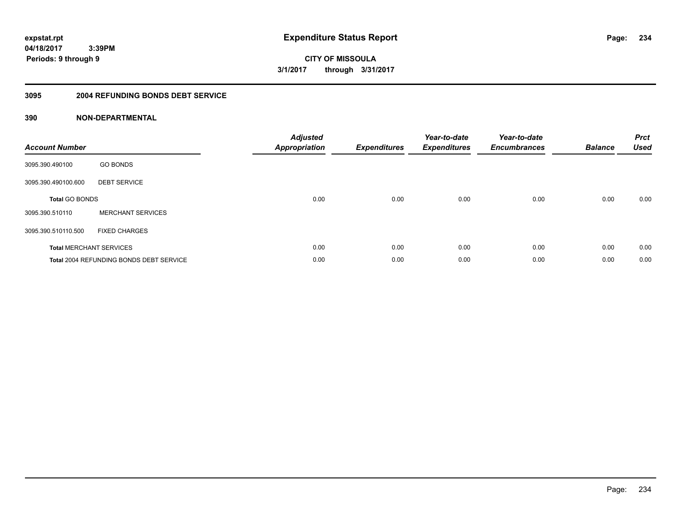**04/18/2017 3:39PM Periods: 9 through 9**

**CITY OF MISSOULA 3/1/2017 through 3/31/2017**

### **3095 2004 REFUNDING BONDS DEBT SERVICE**

| <b>Account Number</b>          |                                                | Adjusted<br>Appropriation | <b>Expenditures</b> | Year-to-date<br><b>Expenditures</b> | Year-to-date<br><b>Encumbrances</b> | <b>Balance</b> | <b>Prct</b><br><b>Used</b> |
|--------------------------------|------------------------------------------------|---------------------------|---------------------|-------------------------------------|-------------------------------------|----------------|----------------------------|
| 3095.390.490100                | <b>GO BONDS</b>                                |                           |                     |                                     |                                     |                |                            |
| 3095.390.490100.600            | <b>DEBT SERVICE</b>                            |                           |                     |                                     |                                     |                |                            |
| <b>Total GO BONDS</b>          |                                                | 0.00                      | 0.00                | 0.00                                | 0.00                                | 0.00           | 0.00                       |
| 3095.390.510110                | <b>MERCHANT SERVICES</b>                       |                           |                     |                                     |                                     |                |                            |
| 3095.390.510110.500            | <b>FIXED CHARGES</b>                           |                           |                     |                                     |                                     |                |                            |
| <b>Total MERCHANT SERVICES</b> |                                                | 0.00                      | 0.00                | 0.00                                | 0.00                                | 0.00           | 0.00                       |
|                                | <b>Total 2004 REFUNDING BONDS DEBT SERVICE</b> | 0.00                      | 0.00                | 0.00                                | 0.00                                | 0.00           | 0.00                       |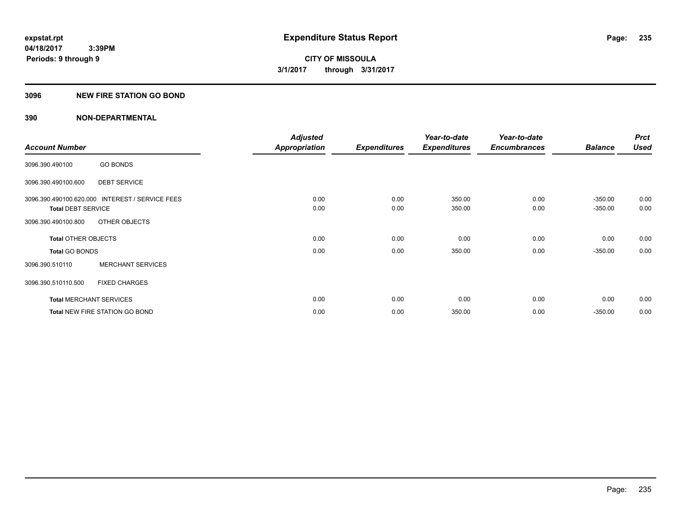### **3096 NEW FIRE STATION GO BOND**

|                                |                                                 | <b>Adjusted</b>      |                     | Year-to-date        | Year-to-date        |                        | <b>Prct</b>  |
|--------------------------------|-------------------------------------------------|----------------------|---------------------|---------------------|---------------------|------------------------|--------------|
| <b>Account Number</b>          |                                                 | <b>Appropriation</b> | <b>Expenditures</b> | <b>Expenditures</b> | <b>Encumbrances</b> | <b>Balance</b>         | <b>Used</b>  |
| 3096.390.490100                | <b>GO BONDS</b>                                 |                      |                     |                     |                     |                        |              |
| 3096.390.490100.600            | <b>DEBT SERVICE</b>                             |                      |                     |                     |                     |                        |              |
| <b>Total DEBT SERVICE</b>      | 3096.390.490100.620.000 INTEREST / SERVICE FEES | 0.00<br>0.00         | 0.00<br>0.00        | 350.00<br>350.00    | 0.00<br>0.00        | $-350.00$<br>$-350.00$ | 0.00<br>0.00 |
| 3096.390.490100.800            | OTHER OBJECTS                                   |                      |                     |                     |                     |                        |              |
| <b>Total OTHER OBJECTS</b>     |                                                 | 0.00                 | 0.00                | 0.00                | 0.00                | 0.00                   | 0.00         |
| <b>Total GO BONDS</b>          |                                                 | 0.00                 | 0.00                | 350.00              | 0.00                | $-350.00$              | 0.00         |
| 3096.390.510110                | <b>MERCHANT SERVICES</b>                        |                      |                     |                     |                     |                        |              |
| 3096.390.510110.500            | <b>FIXED CHARGES</b>                            |                      |                     |                     |                     |                        |              |
| <b>Total MERCHANT SERVICES</b> |                                                 | 0.00                 | 0.00                | 0.00                | 0.00                | 0.00                   | 0.00         |
|                                | <b>Total NEW FIRE STATION GO BOND</b>           | 0.00                 | 0.00                | 350.00              | 0.00                | $-350.00$              | 0.00         |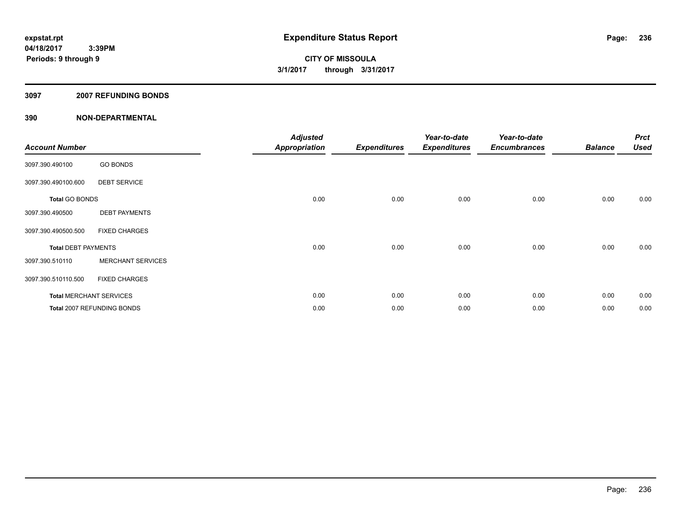### **3097 2007 REFUNDING BONDS**

| <b>Account Number</b>      |                                | <b>Adjusted</b><br><b>Appropriation</b> | <b>Expenditures</b> | Year-to-date<br><b>Expenditures</b> | Year-to-date<br><b>Encumbrances</b> | <b>Balance</b> | <b>Prct</b><br><b>Used</b> |
|----------------------------|--------------------------------|-----------------------------------------|---------------------|-------------------------------------|-------------------------------------|----------------|----------------------------|
| 3097.390.490100            | <b>GO BONDS</b>                |                                         |                     |                                     |                                     |                |                            |
| 3097.390.490100.600        | <b>DEBT SERVICE</b>            |                                         |                     |                                     |                                     |                |                            |
| <b>Total GO BONDS</b>      |                                | 0.00                                    | 0.00                | 0.00                                | 0.00                                | 0.00           | 0.00                       |
| 3097.390.490500            | <b>DEBT PAYMENTS</b>           |                                         |                     |                                     |                                     |                |                            |
| 3097.390.490500.500        | <b>FIXED CHARGES</b>           |                                         |                     |                                     |                                     |                |                            |
| <b>Total DEBT PAYMENTS</b> |                                | 0.00                                    | 0.00                | 0.00                                | 0.00                                | 0.00           | 0.00                       |
| 3097.390.510110            | <b>MERCHANT SERVICES</b>       |                                         |                     |                                     |                                     |                |                            |
| 3097.390.510110.500        | <b>FIXED CHARGES</b>           |                                         |                     |                                     |                                     |                |                            |
|                            | <b>Total MERCHANT SERVICES</b> | 0.00                                    | 0.00                | 0.00                                | 0.00                                | 0.00           | 0.00                       |
|                            | Total 2007 REFUNDING BONDS     | 0.00                                    | 0.00                | 0.00                                | 0.00                                | 0.00           | 0.00                       |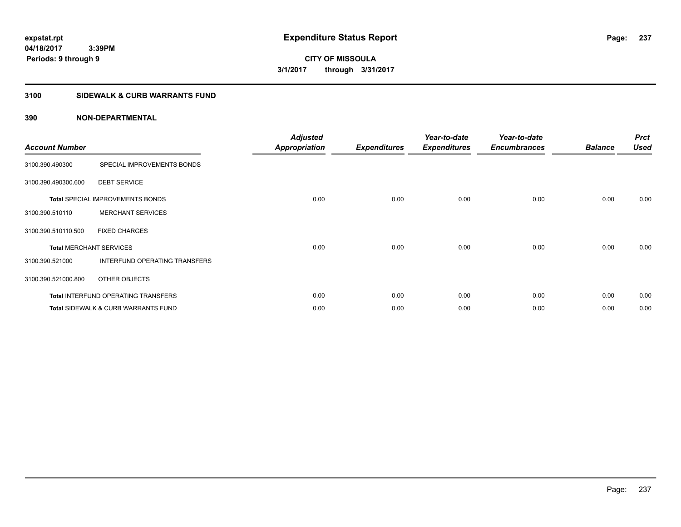**04/18/2017 3:39PM Periods: 9 through 9**

**CITY OF MISSOULA 3/1/2017 through 3/31/2017**

# **3100 SIDEWALK & CURB WARRANTS FUND**

| <b>Account Number</b>          |                                                | <b>Adjusted</b><br><b>Appropriation</b> | <b>Expenditures</b> | Year-to-date<br><b>Expenditures</b> | Year-to-date<br><b>Encumbrances</b> | <b>Balance</b> | <b>Prct</b><br><b>Used</b> |
|--------------------------------|------------------------------------------------|-----------------------------------------|---------------------|-------------------------------------|-------------------------------------|----------------|----------------------------|
| 3100.390.490300                | SPECIAL IMPROVEMENTS BONDS                     |                                         |                     |                                     |                                     |                |                            |
| 3100.390.490300.600            | <b>DEBT SERVICE</b>                            |                                         |                     |                                     |                                     |                |                            |
|                                | <b>Total SPECIAL IMPROVEMENTS BONDS</b>        | 0.00                                    | 0.00                | 0.00                                | 0.00                                | 0.00           | 0.00                       |
| 3100.390.510110                | <b>MERCHANT SERVICES</b>                       |                                         |                     |                                     |                                     |                |                            |
| 3100.390.510110.500            | <b>FIXED CHARGES</b>                           |                                         |                     |                                     |                                     |                |                            |
| <b>Total MERCHANT SERVICES</b> |                                                | 0.00                                    | 0.00                | 0.00                                | 0.00                                | 0.00           | 0.00                       |
| 3100.390.521000                | INTERFUND OPERATING TRANSFERS                  |                                         |                     |                                     |                                     |                |                            |
| 3100.390.521000.800            | OTHER OBJECTS                                  |                                         |                     |                                     |                                     |                |                            |
|                                | <b>Total INTERFUND OPERATING TRANSFERS</b>     | 0.00                                    | 0.00                | 0.00                                | 0.00                                | 0.00           | 0.00                       |
|                                | <b>Total SIDEWALK &amp; CURB WARRANTS FUND</b> | 0.00                                    | 0.00                | 0.00                                | 0.00                                | 0.00           | 0.00                       |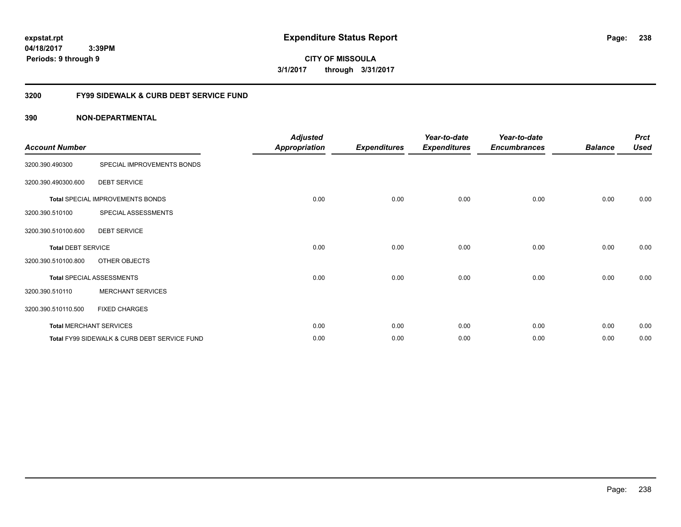**CITY OF MISSOULA 3/1/2017 through 3/31/2017**

### **3200 FY99 SIDEWALK & CURB DEBT SERVICE FUND**

| <b>Account Number</b>     |                                              | <b>Adjusted</b><br>Appropriation | <b>Expenditures</b> | Year-to-date<br><b>Expenditures</b> | Year-to-date<br><b>Encumbrances</b> | <b>Balance</b> | <b>Prct</b><br><b>Used</b> |
|---------------------------|----------------------------------------------|----------------------------------|---------------------|-------------------------------------|-------------------------------------|----------------|----------------------------|
| 3200.390.490300           | SPECIAL IMPROVEMENTS BONDS                   |                                  |                     |                                     |                                     |                |                            |
| 3200.390.490300.600       | <b>DEBT SERVICE</b>                          |                                  |                     |                                     |                                     |                |                            |
|                           | Total SPECIAL IMPROVEMENTS BONDS             | 0.00                             | 0.00                | 0.00                                | 0.00                                | 0.00           | 0.00                       |
| 3200.390.510100           | SPECIAL ASSESSMENTS                          |                                  |                     |                                     |                                     |                |                            |
| 3200.390.510100.600       | <b>DEBT SERVICE</b>                          |                                  |                     |                                     |                                     |                |                            |
| <b>Total DEBT SERVICE</b> |                                              | 0.00                             | 0.00                | 0.00                                | 0.00                                | 0.00           | 0.00                       |
| 3200.390.510100.800       | OTHER OBJECTS                                |                                  |                     |                                     |                                     |                |                            |
|                           | <b>Total SPECIAL ASSESSMENTS</b>             | 0.00                             | 0.00                | 0.00                                | 0.00                                | 0.00           | 0.00                       |
| 3200.390.510110           | <b>MERCHANT SERVICES</b>                     |                                  |                     |                                     |                                     |                |                            |
| 3200.390.510110.500       | <b>FIXED CHARGES</b>                         |                                  |                     |                                     |                                     |                |                            |
|                           | <b>Total MERCHANT SERVICES</b>               | 0.00                             | 0.00                | 0.00                                | 0.00                                | 0.00           | 0.00                       |
|                           | Total FY99 SIDEWALK & CURB DEBT SERVICE FUND | 0.00                             | 0.00                | 0.00                                | 0.00                                | 0.00           | 0.00                       |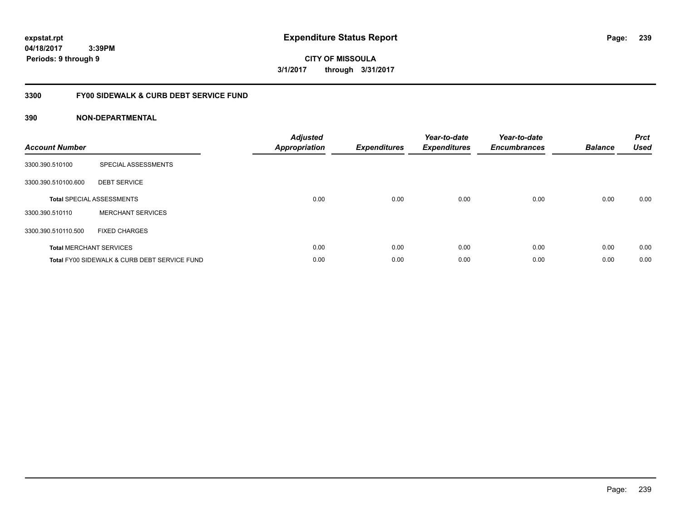**CITY OF MISSOULA 3/1/2017 through 3/31/2017**

### **3300 FY00 SIDEWALK & CURB DEBT SERVICE FUND**

| <b>Account Number</b> |                                              | <b>Adjusted</b><br><b>Appropriation</b> | <b>Expenditures</b> | Year-to-date<br><b>Expenditures</b> | Year-to-date<br><b>Encumbrances</b> | <b>Balance</b> | <b>Prct</b><br><b>Used</b> |
|-----------------------|----------------------------------------------|-----------------------------------------|---------------------|-------------------------------------|-------------------------------------|----------------|----------------------------|
| 3300.390.510100       | SPECIAL ASSESSMENTS                          |                                         |                     |                                     |                                     |                |                            |
| 3300.390.510100.600   | <b>DEBT SERVICE</b>                          |                                         |                     |                                     |                                     |                |                            |
|                       | <b>Total SPECIAL ASSESSMENTS</b>             | 0.00                                    | 0.00                | 0.00                                | 0.00                                | 0.00           | 0.00                       |
| 3300.390.510110       | <b>MERCHANT SERVICES</b>                     |                                         |                     |                                     |                                     |                |                            |
| 3300.390.510110.500   | <b>FIXED CHARGES</b>                         |                                         |                     |                                     |                                     |                |                            |
|                       | <b>Total MERCHANT SERVICES</b>               | 0.00                                    | 0.00                | 0.00                                | 0.00                                | 0.00           | 0.00                       |
|                       | Total FY00 SIDEWALK & CURB DEBT SERVICE FUND | 0.00                                    | 0.00                | 0.00                                | 0.00                                | 0.00           | 0.00                       |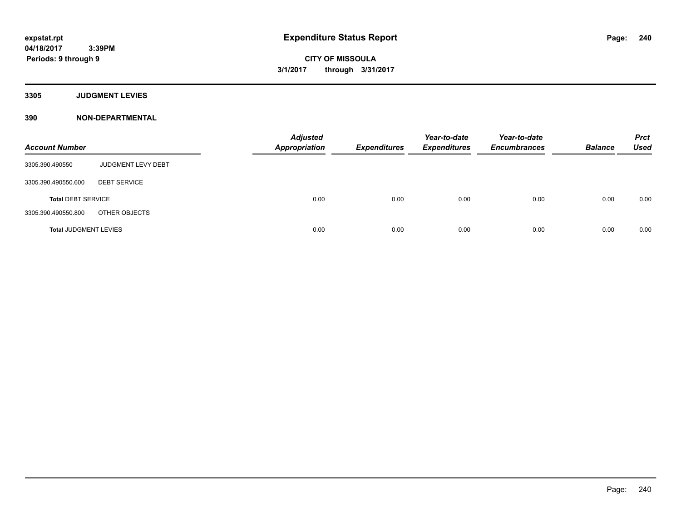**3305 JUDGMENT LEVIES**

| <b>Account Number</b>        |                           | <b>Adjusted</b><br><b>Appropriation</b> | <b>Expenditures</b> | Year-to-date<br><b>Expenditures</b> | Year-to-date<br><b>Encumbrances</b> | <b>Balance</b> | <b>Prct</b><br><b>Used</b> |
|------------------------------|---------------------------|-----------------------------------------|---------------------|-------------------------------------|-------------------------------------|----------------|----------------------------|
| 3305.390.490550              | <b>JUDGMENT LEVY DEBT</b> |                                         |                     |                                     |                                     |                |                            |
| 3305.390.490550.600          | <b>DEBT SERVICE</b>       |                                         |                     |                                     |                                     |                |                            |
| <b>Total DEBT SERVICE</b>    |                           | 0.00                                    | 0.00                | 0.00                                | 0.00                                | 0.00           | 0.00                       |
| 3305.390.490550.800          | OTHER OBJECTS             |                                         |                     |                                     |                                     |                |                            |
| <b>Total JUDGMENT LEVIES</b> |                           | 0.00                                    | 0.00                | 0.00                                | 0.00                                | 0.00           | 0.00                       |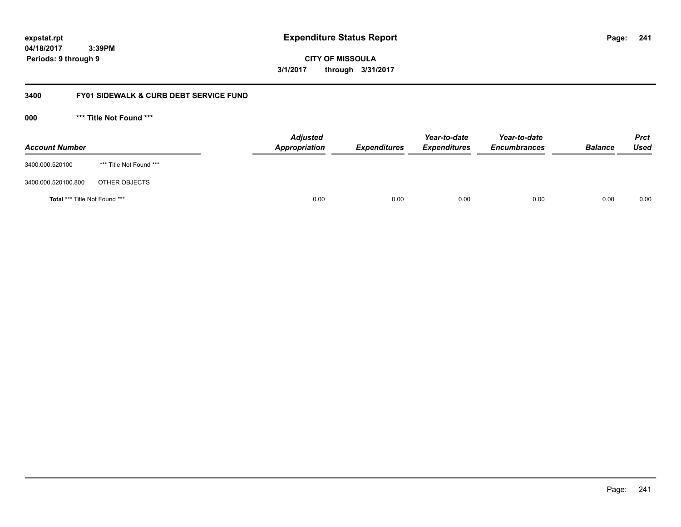**04/18/2017 3:39PM Periods: 9 through 9**

**CITY OF MISSOULA 3/1/2017 through 3/31/2017**

### **3400 FY01 SIDEWALK & CURB DEBT SERVICE FUND**

**000 \*\*\* Title Not Found \*\*\***

| <b>Account Number</b>         |                         | <b>Adjusted</b><br>Appropriation | <b>Expenditures</b> | Year-to-date<br><b>Expenditures</b> | Year-to-date<br><b>Encumbrances</b> | <b>Balance</b> | <b>Prct</b><br>Used |
|-------------------------------|-------------------------|----------------------------------|---------------------|-------------------------------------|-------------------------------------|----------------|---------------------|
| 3400.000.520100               | *** Title Not Found *** |                                  |                     |                                     |                                     |                |                     |
| 3400.000.520100.800           | OTHER OBJECTS           |                                  |                     |                                     |                                     |                |                     |
| Total *** Title Not Found *** |                         | 0.00                             | 0.00                | 0.00                                | 0.00                                | 0.00           | 0.00                |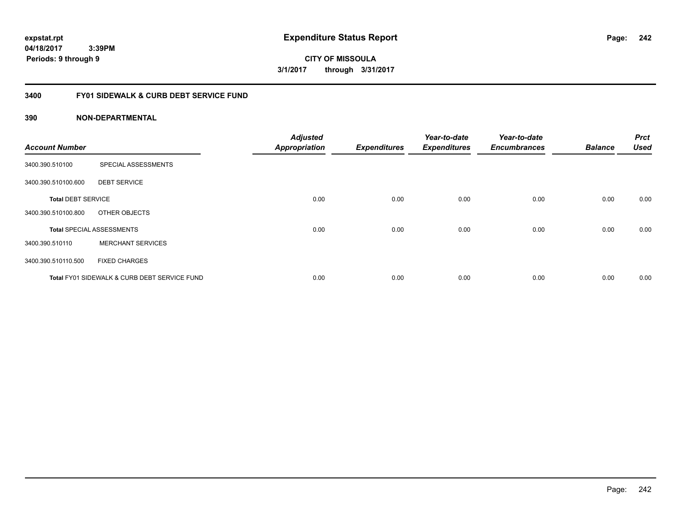**expstat.rpt Expenditure Status Report** 

**04/18/2017 3:39PM Periods: 9 through 9**

**CITY OF MISSOULA 3/1/2017 through 3/31/2017**

### **3400 FY01 SIDEWALK & CURB DEBT SERVICE FUND**

| <b>Account Number</b>     |                                              | <b>Adjusted</b><br><b>Appropriation</b> | <b>Expenditures</b> | Year-to-date<br><b>Expenditures</b> | Year-to-date<br><b>Encumbrances</b> | <b>Balance</b> | <b>Prct</b><br><b>Used</b> |
|---------------------------|----------------------------------------------|-----------------------------------------|---------------------|-------------------------------------|-------------------------------------|----------------|----------------------------|
|                           |                                              |                                         |                     |                                     |                                     |                |                            |
| 3400.390.510100           | SPECIAL ASSESSMENTS                          |                                         |                     |                                     |                                     |                |                            |
| 3400.390.510100.600       | <b>DEBT SERVICE</b>                          |                                         |                     |                                     |                                     |                |                            |
| <b>Total DEBT SERVICE</b> |                                              | 0.00                                    | 0.00                | 0.00                                | 0.00                                | 0.00           | 0.00                       |
| 3400.390.510100.800       | OTHER OBJECTS                                |                                         |                     |                                     |                                     |                |                            |
|                           | <b>Total SPECIAL ASSESSMENTS</b>             | 0.00                                    | 0.00                | 0.00                                | 0.00                                | 0.00           | 0.00                       |
| 3400.390.510110           | <b>MERCHANT SERVICES</b>                     |                                         |                     |                                     |                                     |                |                            |
| 3400.390.510110.500       | <b>FIXED CHARGES</b>                         |                                         |                     |                                     |                                     |                |                            |
|                           | Total FY01 SIDEWALK & CURB DEBT SERVICE FUND | 0.00                                    | 0.00                | 0.00                                | 0.00                                | 0.00           | 0.00                       |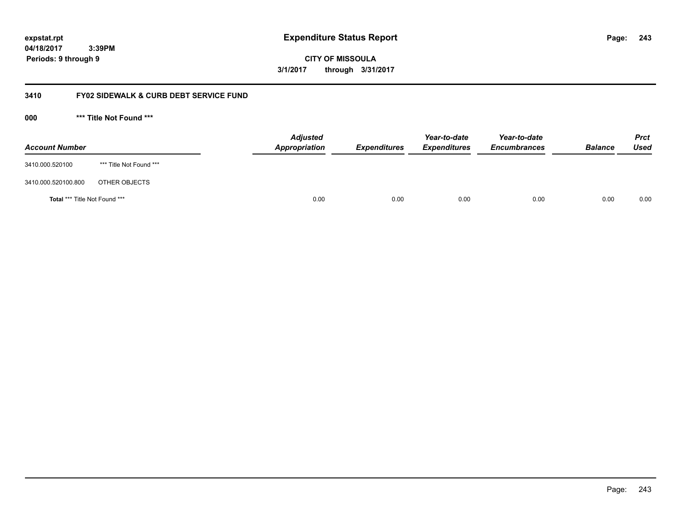**04/18/2017 3:39PM Periods: 9 through 9**

**CITY OF MISSOULA 3/1/2017 through 3/31/2017**

### **3410 FY02 SIDEWALK & CURB DEBT SERVICE FUND**

**000 \*\*\* Title Not Found \*\*\***

| <b>Account Number</b>         |                         | <b>Adjusted</b><br>Appropriation | <b>Expenditures</b> | Year-to-date<br><b>Expenditures</b> | Year-to-date<br><b>Encumbrances</b> | <b>Balance</b> | <b>Prct</b><br>Used |
|-------------------------------|-------------------------|----------------------------------|---------------------|-------------------------------------|-------------------------------------|----------------|---------------------|
| 3410.000.520100               | *** Title Not Found *** |                                  |                     |                                     |                                     |                |                     |
| 3410.000.520100.800           | OTHER OBJECTS           |                                  |                     |                                     |                                     |                |                     |
| Total *** Title Not Found *** |                         | 0.00                             | 0.00                | 0.00                                | 0.00                                | 0.00           | 0.00                |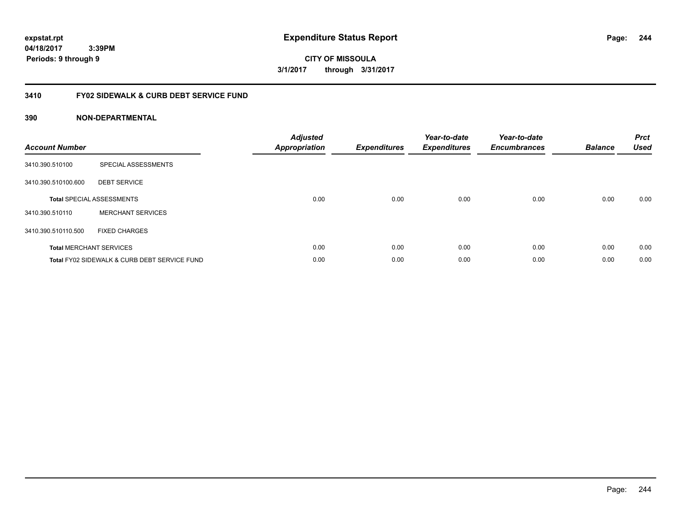**CITY OF MISSOULA 3/1/2017 through 3/31/2017**

### **3410 FY02 SIDEWALK & CURB DEBT SERVICE FUND**

| <b>Account Number</b> |                                              | <b>Adjusted</b><br>Appropriation | <b>Expenditures</b> | Year-to-date<br><b>Expenditures</b> | Year-to-date<br><b>Encumbrances</b> | <b>Balance</b> | <b>Prct</b><br><b>Used</b> |
|-----------------------|----------------------------------------------|----------------------------------|---------------------|-------------------------------------|-------------------------------------|----------------|----------------------------|
| 3410.390.510100       | SPECIAL ASSESSMENTS                          |                                  |                     |                                     |                                     |                |                            |
| 3410.390.510100.600   | <b>DEBT SERVICE</b>                          |                                  |                     |                                     |                                     |                |                            |
|                       | <b>Total SPECIAL ASSESSMENTS</b>             | 0.00                             | 0.00                | 0.00                                | 0.00                                | 0.00           | 0.00                       |
| 3410.390.510110       | <b>MERCHANT SERVICES</b>                     |                                  |                     |                                     |                                     |                |                            |
| 3410.390.510110.500   | <b>FIXED CHARGES</b>                         |                                  |                     |                                     |                                     |                |                            |
|                       | <b>Total MERCHANT SERVICES</b>               | 0.00                             | 0.00                | 0.00                                | 0.00                                | 0.00           | 0.00                       |
|                       | Total FY02 SIDEWALK & CURB DEBT SERVICE FUND | 0.00                             | 0.00                | 0.00                                | 0.00                                | 0.00           | 0.00                       |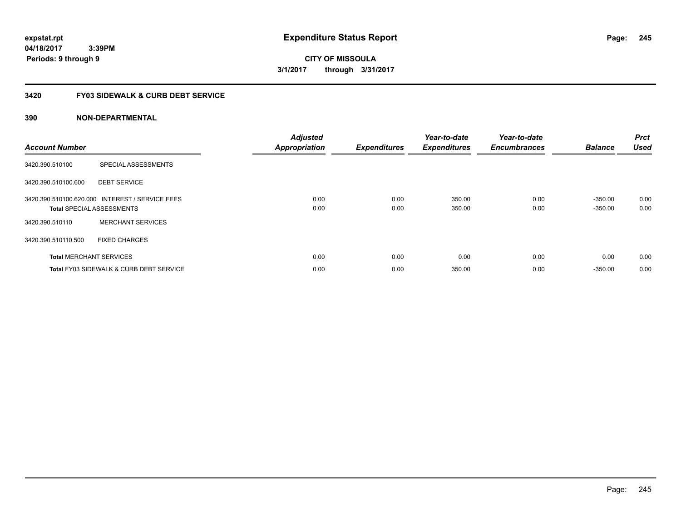**CITY OF MISSOULA 3/1/2017 through 3/31/2017**

### **3420 FY03 SIDEWALK & CURB DEBT SERVICE**

| <b>Account Number</b> |                                                                                     | <b>Adjusted</b><br><b>Appropriation</b> | <b>Expenditures</b> | Year-to-date<br><b>Expenditures</b> | Year-to-date<br><b>Encumbrances</b> | <b>Balance</b>         | Prct<br><b>Used</b> |
|-----------------------|-------------------------------------------------------------------------------------|-----------------------------------------|---------------------|-------------------------------------|-------------------------------------|------------------------|---------------------|
| 3420.390.510100       | SPECIAL ASSESSMENTS                                                                 |                                         |                     |                                     |                                     |                        |                     |
| 3420.390.510100.600   | <b>DEBT SERVICE</b>                                                                 |                                         |                     |                                     |                                     |                        |                     |
|                       | 3420.390.510100.620.000 INTEREST / SERVICE FEES<br><b>Total SPECIAL ASSESSMENTS</b> | 0.00<br>0.00                            | 0.00<br>0.00        | 350.00<br>350.00                    | 0.00<br>0.00                        | $-350.00$<br>$-350.00$ | 0.00<br>0.00        |
| 3420.390.510110       | <b>MERCHANT SERVICES</b>                                                            |                                         |                     |                                     |                                     |                        |                     |
| 3420.390.510110.500   | <b>FIXED CHARGES</b>                                                                |                                         |                     |                                     |                                     |                        |                     |
|                       | <b>Total MERCHANT SERVICES</b>                                                      | 0.00                                    | 0.00                | 0.00                                | 0.00                                | 0.00                   | 0.00                |
|                       | <b>Total FY03 SIDEWALK &amp; CURB DEBT SERVICE</b>                                  | 0.00                                    | 0.00                | 350.00                              | 0.00                                | $-350.00$              | 0.00                |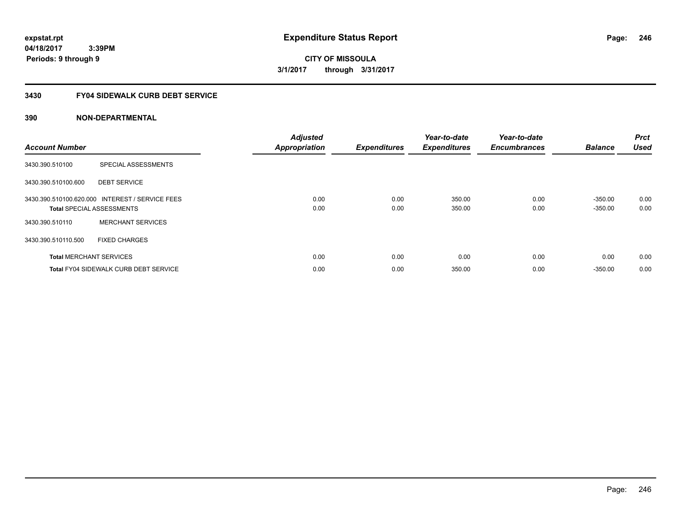**04/18/2017 3:39PM Periods: 9 through 9**

**CITY OF MISSOULA 3/1/2017 through 3/31/2017**

### **3430 FY04 SIDEWALK CURB DEBT SERVICE**

| <b>Account Number</b> |                                                                                     | <b>Adjusted</b><br><b>Appropriation</b> | <b>Expenditures</b> | Year-to-date<br><b>Expenditures</b> | Year-to-date<br><b>Encumbrances</b> | <b>Balance</b>         | <b>Prct</b><br><b>Used</b> |
|-----------------------|-------------------------------------------------------------------------------------|-----------------------------------------|---------------------|-------------------------------------|-------------------------------------|------------------------|----------------------------|
| 3430.390.510100       | SPECIAL ASSESSMENTS                                                                 |                                         |                     |                                     |                                     |                        |                            |
| 3430.390.510100.600   | <b>DEBT SERVICE</b>                                                                 |                                         |                     |                                     |                                     |                        |                            |
|                       | 3430.390.510100.620.000 INTEREST / SERVICE FEES<br><b>Total SPECIAL ASSESSMENTS</b> | 0.00<br>0.00                            | 0.00<br>0.00        | 350.00<br>350.00                    | 0.00<br>0.00                        | $-350.00$<br>$-350.00$ | 0.00<br>0.00               |
| 3430.390.510110       | <b>MERCHANT SERVICES</b>                                                            |                                         |                     |                                     |                                     |                        |                            |
| 3430.390.510110.500   | <b>FIXED CHARGES</b>                                                                |                                         |                     |                                     |                                     |                        |                            |
|                       | <b>Total MERCHANT SERVICES</b>                                                      | 0.00                                    | 0.00                | 0.00                                | 0.00                                | 0.00                   | 0.00                       |
|                       | <b>Total FY04 SIDEWALK CURB DEBT SERVICE</b>                                        | 0.00                                    | 0.00                | 350.00                              | 0.00                                | $-350.00$              | 0.00                       |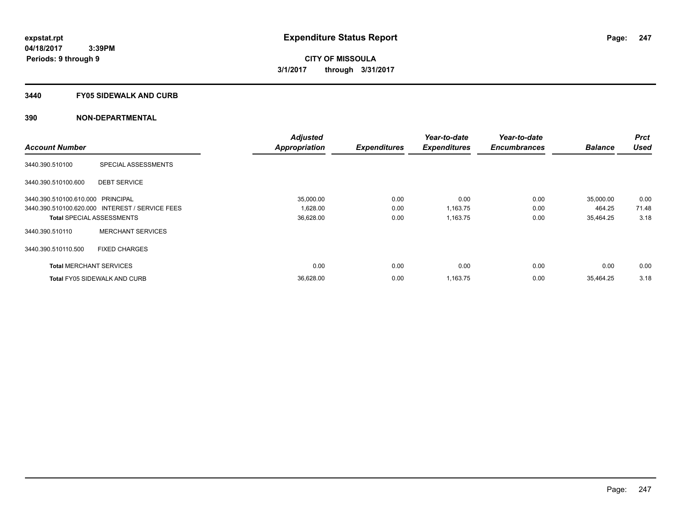### **3440 FY05 SIDEWALK AND CURB**

|                                   |                                                 | <b>Adjusted</b>      |                     | Year-to-date        | Year-to-date        |                | <b>Prct</b> |
|-----------------------------------|-------------------------------------------------|----------------------|---------------------|---------------------|---------------------|----------------|-------------|
| <b>Account Number</b>             |                                                 | <b>Appropriation</b> | <b>Expenditures</b> | <b>Expenditures</b> | <b>Encumbrances</b> | <b>Balance</b> | <b>Used</b> |
| 3440.390.510100                   | SPECIAL ASSESSMENTS                             |                      |                     |                     |                     |                |             |
| 3440.390.510100.600               | <b>DEBT SERVICE</b>                             |                      |                     |                     |                     |                |             |
| 3440.390.510100.610.000 PRINCIPAL |                                                 | 35,000.00            | 0.00                | 0.00                | 0.00                | 35,000.00      | 0.00        |
|                                   | 3440.390.510100.620.000 INTEREST / SERVICE FEES | 1,628.00             | 0.00                | 1,163.75            | 0.00                | 464.25         | 71.48       |
|                                   | <b>Total SPECIAL ASSESSMENTS</b>                | 36,628.00            | 0.00                | 1,163.75            | 0.00                | 35,464.25      | 3.18        |
| 3440.390.510110                   | <b>MERCHANT SERVICES</b>                        |                      |                     |                     |                     |                |             |
| 3440.390.510110.500               | <b>FIXED CHARGES</b>                            |                      |                     |                     |                     |                |             |
| <b>Total MERCHANT SERVICES</b>    |                                                 | 0.00                 | 0.00                | 0.00                | 0.00                | 0.00           | 0.00        |
|                                   | <b>Total FY05 SIDEWALK AND CURB</b>             | 36,628.00            | 0.00                | 1,163.75            | 0.00                | 35.464.25      | 3.18        |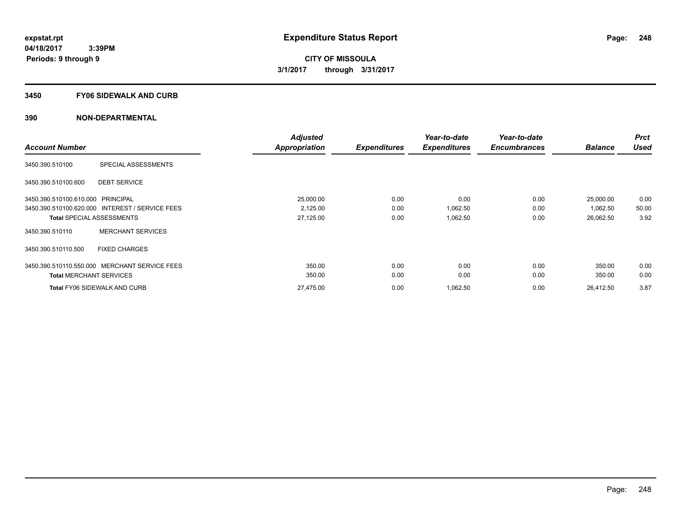### **3450 FY06 SIDEWALK AND CURB**

|                                                 | <b>Adjusted</b> |                     | Year-to-date        | Year-to-date        |                | <b>Prct</b> |
|-------------------------------------------------|-----------------|---------------------|---------------------|---------------------|----------------|-------------|
| <b>Account Number</b>                           | Appropriation   | <b>Expenditures</b> | <b>Expenditures</b> | <b>Encumbrances</b> | <b>Balance</b> | <b>Used</b> |
| SPECIAL ASSESSMENTS<br>3450.390.510100          |                 |                     |                     |                     |                |             |
| <b>DEBT SERVICE</b><br>3450.390.510100.600      |                 |                     |                     |                     |                |             |
| 3450.390.510100.610.000 PRINCIPAL               | 25,000.00       | 0.00                | 0.00                | 0.00                | 25,000.00      | 0.00        |
| 3450.390.510100.620.000 INTEREST / SERVICE FEES | 2,125.00        | 0.00                | 1,062.50            | 0.00                | 1,062.50       | 50.00       |
| <b>Total SPECIAL ASSESSMENTS</b>                | 27,125.00       | 0.00                | 1,062.50            | 0.00                | 26,062.50      | 3.92        |
| <b>MERCHANT SERVICES</b><br>3450.390.510110     |                 |                     |                     |                     |                |             |
| 3450.390.510110.500<br><b>FIXED CHARGES</b>     |                 |                     |                     |                     |                |             |
| 3450.390.510110.550.000 MERCHANT SERVICE FEES   | 350.00          | 0.00                | 0.00                | 0.00                | 350.00         | 0.00        |
| <b>Total MERCHANT SERVICES</b>                  | 350.00          | 0.00                | 0.00                | 0.00                | 350.00         | 0.00        |
| <b>Total FY06 SIDEWALK AND CURB</b>             | 27,475.00       | 0.00                | 1,062.50            | 0.00                | 26,412.50      | 3.87        |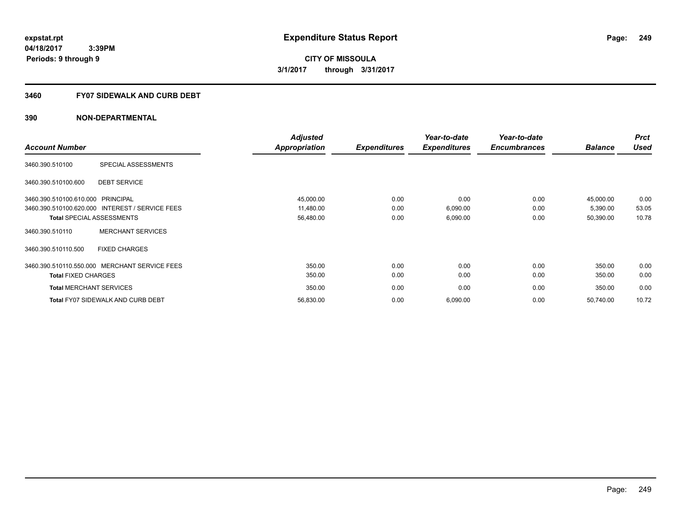### **3460 FY07 SIDEWALK AND CURB DEBT**

|                                   |                                                 | <b>Adjusted</b>      |                     | Year-to-date        | Year-to-date        |                | <b>Prct</b> |
|-----------------------------------|-------------------------------------------------|----------------------|---------------------|---------------------|---------------------|----------------|-------------|
| <b>Account Number</b>             |                                                 | <b>Appropriation</b> | <b>Expenditures</b> | <b>Expenditures</b> | <b>Encumbrances</b> | <b>Balance</b> | <b>Used</b> |
| 3460.390.510100                   | SPECIAL ASSESSMENTS                             |                      |                     |                     |                     |                |             |
| 3460.390.510100.600               | <b>DEBT SERVICE</b>                             |                      |                     |                     |                     |                |             |
| 3460.390.510100.610.000 PRINCIPAL |                                                 | 45,000.00            | 0.00                | 0.00                | 0.00                | 45,000.00      | 0.00        |
|                                   | 3460.390.510100.620.000 INTEREST / SERVICE FEES | 11,480.00            | 0.00                | 6,090.00            | 0.00                | 5,390.00       | 53.05       |
|                                   | <b>Total SPECIAL ASSESSMENTS</b>                | 56,480.00            | 0.00                | 6,090.00            | 0.00                | 50,390.00      | 10.78       |
| 3460.390.510110                   | <b>MERCHANT SERVICES</b>                        |                      |                     |                     |                     |                |             |
| 3460.390.510110.500               | <b>FIXED CHARGES</b>                            |                      |                     |                     |                     |                |             |
|                                   | 3460.390.510110.550.000 MERCHANT SERVICE FEES   | 350.00               | 0.00                | 0.00                | 0.00                | 350.00         | 0.00        |
| <b>Total FIXED CHARGES</b>        |                                                 | 350.00               | 0.00                | 0.00                | 0.00                | 350.00         | 0.00        |
| <b>Total MERCHANT SERVICES</b>    |                                                 | 350.00               | 0.00                | 0.00                | 0.00                | 350.00         | 0.00        |
|                                   | <b>Total FY07 SIDEWALK AND CURB DEBT</b>        | 56,830.00            | 0.00                | 6,090.00            | 0.00                | 50,740.00      | 10.72       |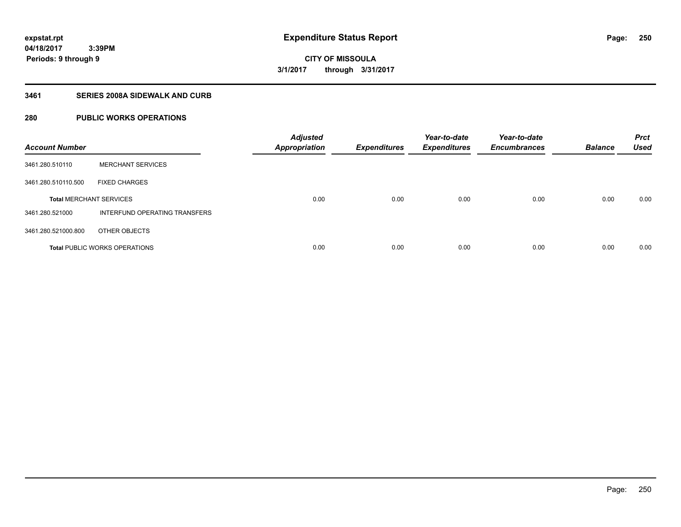**250**

**CITY OF MISSOULA 3/1/2017 through 3/31/2017**

### **3461 SERIES 2008A SIDEWALK AND CURB**

# **280 PUBLIC WORKS OPERATIONS**

| <b>Account Number</b>          |                                      | <b>Adjusted</b><br><b>Appropriation</b> | <b>Expenditures</b> | Year-to-date<br><b>Expenditures</b> | Year-to-date<br><b>Encumbrances</b> | <b>Balance</b> | <b>Prct</b><br><b>Used</b> |
|--------------------------------|--------------------------------------|-----------------------------------------|---------------------|-------------------------------------|-------------------------------------|----------------|----------------------------|
| 3461.280.510110                | <b>MERCHANT SERVICES</b>             |                                         |                     |                                     |                                     |                |                            |
| 3461.280.510110.500            | <b>FIXED CHARGES</b>                 |                                         |                     |                                     |                                     |                |                            |
| <b>Total MERCHANT SERVICES</b> |                                      | 0.00                                    | 0.00                | 0.00                                | 0.00                                | 0.00           | 0.00                       |
| 3461.280.521000                | INTERFUND OPERATING TRANSFERS        |                                         |                     |                                     |                                     |                |                            |
| 3461.280.521000.800            | OTHER OBJECTS                        |                                         |                     |                                     |                                     |                |                            |
|                                | <b>Total PUBLIC WORKS OPERATIONS</b> | 0.00                                    | 0.00                | 0.00                                | 0.00                                | 0.00           | 0.00                       |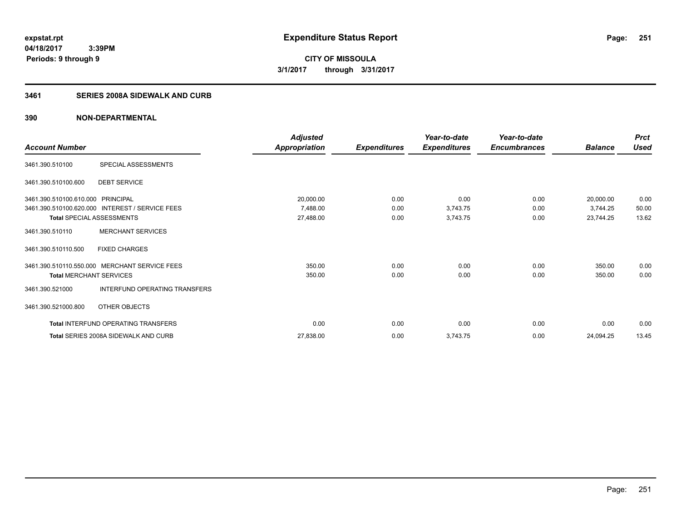**04/18/2017 3:39PM Periods: 9 through 9**

**CITY OF MISSOULA 3/1/2017 through 3/31/2017**

# **3461 SERIES 2008A SIDEWALK AND CURB**

|                                   |                                                 | <b>Adjusted</b>      |                     | Year-to-date        | Year-to-date        |                | <b>Prct</b> |
|-----------------------------------|-------------------------------------------------|----------------------|---------------------|---------------------|---------------------|----------------|-------------|
| <b>Account Number</b>             |                                                 | <b>Appropriation</b> | <b>Expenditures</b> | <b>Expenditures</b> | <b>Encumbrances</b> | <b>Balance</b> | <b>Used</b> |
| 3461.390.510100                   | SPECIAL ASSESSMENTS                             |                      |                     |                     |                     |                |             |
| 3461.390.510100.600               | <b>DEBT SERVICE</b>                             |                      |                     |                     |                     |                |             |
| 3461.390.510100.610.000 PRINCIPAL |                                                 | 20,000.00            | 0.00                | 0.00                | 0.00                | 20,000.00      | 0.00        |
|                                   | 3461.390.510100.620.000 INTEREST / SERVICE FEES | 7,488.00             | 0.00                | 3,743.75            | 0.00                | 3,744.25       | 50.00       |
| <b>Total SPECIAL ASSESSMENTS</b>  |                                                 | 27,488.00            | 0.00                | 3,743.75            | 0.00                | 23,744.25      | 13.62       |
| 3461.390.510110                   | <b>MERCHANT SERVICES</b>                        |                      |                     |                     |                     |                |             |
| 3461.390.510110.500               | <b>FIXED CHARGES</b>                            |                      |                     |                     |                     |                |             |
| 3461.390.510110.550.000           | <b>MERCHANT SERVICE FEES</b>                    | 350.00               | 0.00                | 0.00                | 0.00                | 350.00         | 0.00        |
| <b>Total MERCHANT SERVICES</b>    |                                                 | 350.00               | 0.00                | 0.00                | 0.00                | 350.00         | 0.00        |
| 3461.390.521000                   | INTERFUND OPERATING TRANSFERS                   |                      |                     |                     |                     |                |             |
| 3461.390.521000.800               | OTHER OBJECTS                                   |                      |                     |                     |                     |                |             |
|                                   | Total INTERFUND OPERATING TRANSFERS             | 0.00                 | 0.00                | 0.00                | 0.00                | 0.00           | 0.00        |
|                                   | <b>Total SERIES 2008A SIDEWALK AND CURB</b>     | 27,838.00            | 0.00                | 3,743.75            | 0.00                | 24,094.25      | 13.45       |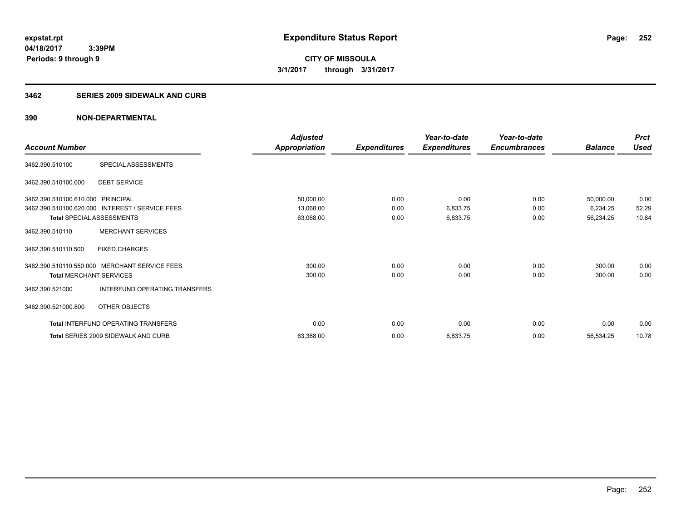**Periods: 9 through 9**

**CITY OF MISSOULA 3/1/2017 through 3/31/2017**

### **3462 SERIES 2009 SIDEWALK AND CURB**

|                                   |                                                 | <b>Adjusted</b>      |                     | Year-to-date        | Year-to-date        |                | <b>Prct</b> |
|-----------------------------------|-------------------------------------------------|----------------------|---------------------|---------------------|---------------------|----------------|-------------|
| <b>Account Number</b>             |                                                 | <b>Appropriation</b> | <b>Expenditures</b> | <b>Expenditures</b> | <b>Encumbrances</b> | <b>Balance</b> | <b>Used</b> |
| 3462.390.510100                   | SPECIAL ASSESSMENTS                             |                      |                     |                     |                     |                |             |
| 3462.390.510100.600               | <b>DEBT SERVICE</b>                             |                      |                     |                     |                     |                |             |
| 3462.390.510100.610.000 PRINCIPAL |                                                 | 50,000.00            | 0.00                | 0.00                | 0.00                | 50,000.00      | 0.00        |
|                                   | 3462.390.510100.620.000 INTEREST / SERVICE FEES | 13,068.00            | 0.00                | 6,833.75            | 0.00                | 6,234.25       | 52.29       |
| <b>Total SPECIAL ASSESSMENTS</b>  |                                                 | 63,068.00            | 0.00                | 6,833.75            | 0.00                | 56,234.25      | 10.84       |
| 3462.390.510110                   | <b>MERCHANT SERVICES</b>                        |                      |                     |                     |                     |                |             |
| 3462.390.510110.500               | <b>FIXED CHARGES</b>                            |                      |                     |                     |                     |                |             |
| 3462.390.510110.550.000           | <b>MERCHANT SERVICE FEES</b>                    | 300.00               | 0.00                | 0.00                | 0.00                | 300.00         | 0.00        |
| <b>Total MERCHANT SERVICES</b>    |                                                 | 300.00               | 0.00                | 0.00                | 0.00                | 300.00         | 0.00        |
| 3462.390.521000                   | <b>INTERFUND OPERATING TRANSFERS</b>            |                      |                     |                     |                     |                |             |
| 3462.390.521000.800               | OTHER OBJECTS                                   |                      |                     |                     |                     |                |             |
|                                   | Total INTERFUND OPERATING TRANSFERS             | 0.00                 | 0.00                | 0.00                | 0.00                | 0.00           | 0.00        |
|                                   | Total SERIES 2009 SIDEWALK AND CURB             | 63,368.00            | 0.00                | 6,833.75            | 0.00                | 56,534.25      | 10.78       |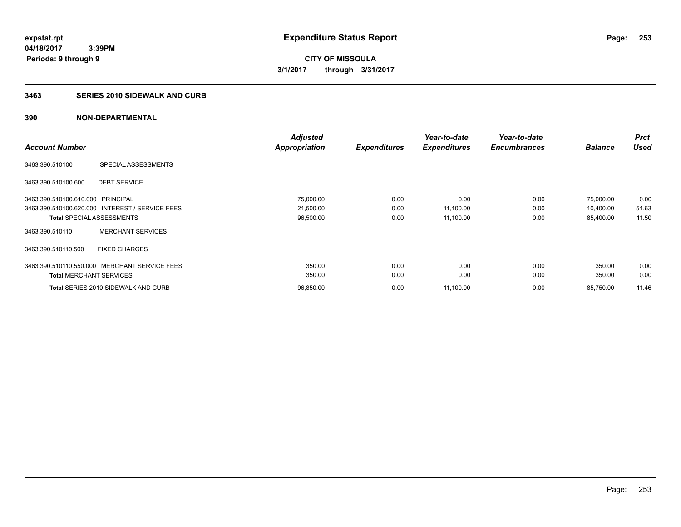# **3463 SERIES 2010 SIDEWALK AND CURB**

|                                   |                                                 | <b>Adjusted</b> |                     | Year-to-date        | Year-to-date        |                | <b>Prct</b> |
|-----------------------------------|-------------------------------------------------|-----------------|---------------------|---------------------|---------------------|----------------|-------------|
| <b>Account Number</b>             |                                                 | Appropriation   | <b>Expenditures</b> | <b>Expenditures</b> | <b>Encumbrances</b> | <b>Balance</b> | <b>Used</b> |
| 3463.390.510100                   | SPECIAL ASSESSMENTS                             |                 |                     |                     |                     |                |             |
| 3463.390.510100.600               | <b>DEBT SERVICE</b>                             |                 |                     |                     |                     |                |             |
| 3463.390.510100.610.000 PRINCIPAL |                                                 | 75,000.00       | 0.00                | 0.00                | 0.00                | 75,000.00      | 0.00        |
|                                   | 3463.390.510100.620.000 INTEREST / SERVICE FEES | 21,500.00       | 0.00                | 11,100.00           | 0.00                | 10,400.00      | 51.63       |
|                                   | <b>Total SPECIAL ASSESSMENTS</b>                | 96,500.00       | 0.00                | 11,100.00           | 0.00                | 85,400.00      | 11.50       |
| 3463.390.510110                   | <b>MERCHANT SERVICES</b>                        |                 |                     |                     |                     |                |             |
| 3463.390.510110.500               | <b>FIXED CHARGES</b>                            |                 |                     |                     |                     |                |             |
| 3463.390.510110.550.000           | MERCHANT SERVICE FEES                           | 350.00          | 0.00                | 0.00                | 0.00                | 350.00         | 0.00        |
| <b>Total MERCHANT SERVICES</b>    |                                                 | 350.00          | 0.00                | 0.00                | 0.00                | 350.00         | 0.00        |
|                                   | Total SERIES 2010 SIDEWALK AND CURB             | 96,850.00       | 0.00                | 11,100.00           | 0.00                | 85,750.00      | 11.46       |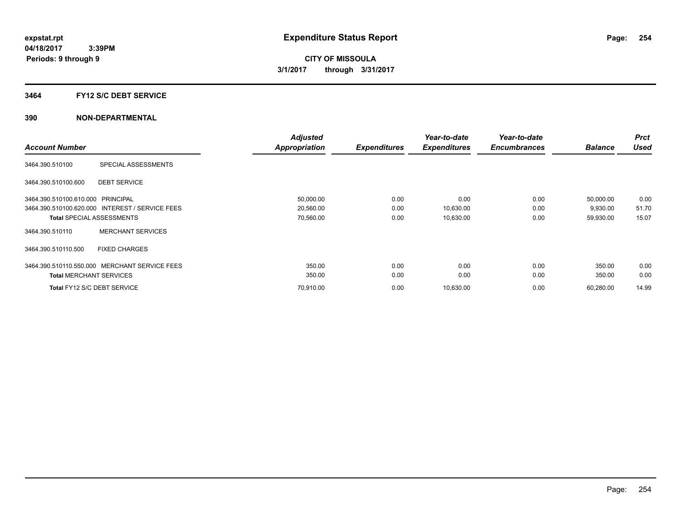#### **3464 FY12 S/C DEBT SERVICE**

|                                   |                                                 | <b>Adjusted</b> |                     | Year-to-date        | Year-to-date        |                | <b>Prct</b> |
|-----------------------------------|-------------------------------------------------|-----------------|---------------------|---------------------|---------------------|----------------|-------------|
| <b>Account Number</b>             |                                                 | Appropriation   | <b>Expenditures</b> | <b>Expenditures</b> | <b>Encumbrances</b> | <b>Balance</b> | <b>Used</b> |
| 3464.390.510100                   | SPECIAL ASSESSMENTS                             |                 |                     |                     |                     |                |             |
| 3464.390.510100.600               | <b>DEBT SERVICE</b>                             |                 |                     |                     |                     |                |             |
| 3464.390.510100.610.000 PRINCIPAL |                                                 | 50,000.00       | 0.00                | 0.00                | 0.00                | 50,000.00      | 0.00        |
|                                   | 3464.390.510100.620.000 INTEREST / SERVICE FEES | 20,560.00       | 0.00                | 10,630.00           | 0.00                | 9,930.00       | 51.70       |
|                                   | <b>Total SPECIAL ASSESSMENTS</b>                | 70,560.00       | 0.00                | 10,630.00           | 0.00                | 59,930.00      | 15.07       |
| 3464.390.510110                   | <b>MERCHANT SERVICES</b>                        |                 |                     |                     |                     |                |             |
| 3464.390.510110.500               | <b>FIXED CHARGES</b>                            |                 |                     |                     |                     |                |             |
| 3464.390.510110.550.000           | MERCHANT SERVICE FEES                           | 350.00          | 0.00                | 0.00                | 0.00                | 350.00         | 0.00        |
| <b>Total MERCHANT SERVICES</b>    |                                                 | 350.00          | 0.00                | 0.00                | 0.00                | 350.00         | 0.00        |
|                                   | Total FY12 S/C DEBT SERVICE                     | 70,910.00       | 0.00                | 10,630.00           | 0.00                | 60,280.00      | 14.99       |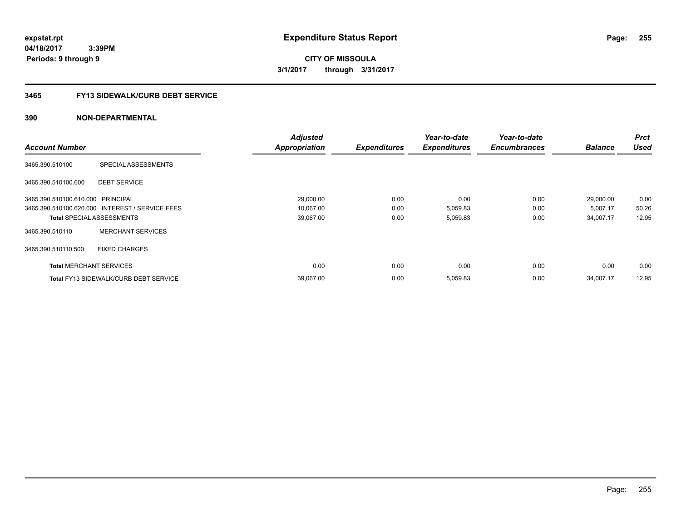**04/18/2017 3:39PM Periods: 9 through 9**

**CITY OF MISSOULA 3/1/2017 through 3/31/2017**

# **3465 FY13 SIDEWALK/CURB DEBT SERVICE**

|                                   |                                                 | <b>Adjusted</b>      |                     | Year-to-date        | Year-to-date        |                | <b>Prct</b> |
|-----------------------------------|-------------------------------------------------|----------------------|---------------------|---------------------|---------------------|----------------|-------------|
| <b>Account Number</b>             |                                                 | <b>Appropriation</b> | <b>Expenditures</b> | <b>Expenditures</b> | <b>Encumbrances</b> | <b>Balance</b> | <b>Used</b> |
| 3465.390.510100                   | SPECIAL ASSESSMENTS                             |                      |                     |                     |                     |                |             |
| 3465.390.510100.600               | <b>DEBT SERVICE</b>                             |                      |                     |                     |                     |                |             |
| 3465.390.510100.610.000 PRINCIPAL |                                                 | 29,000.00            | 0.00                | 0.00                | 0.00                | 29,000.00      | 0.00        |
|                                   | 3465.390.510100.620.000 INTEREST / SERVICE FEES | 10,067.00            | 0.00                | 5,059.83            | 0.00                | 5,007.17       | 50.26       |
| <b>Total SPECIAL ASSESSMENTS</b>  |                                                 | 39,067.00            | 0.00                | 5,059.83            | 0.00                | 34,007.17      | 12.95       |
| 3465.390.510110                   | <b>MERCHANT SERVICES</b>                        |                      |                     |                     |                     |                |             |
| 3465.390.510110.500               | <b>FIXED CHARGES</b>                            |                      |                     |                     |                     |                |             |
| <b>Total MERCHANT SERVICES</b>    |                                                 | 0.00                 | 0.00                | 0.00                | 0.00                | 0.00           | 0.00        |
|                                   | <b>Total FY13 SIDEWALK/CURB DEBT SERVICE</b>    | 39,067.00            | 0.00                | 5,059.83            | 0.00                | 34,007.17      | 12.95       |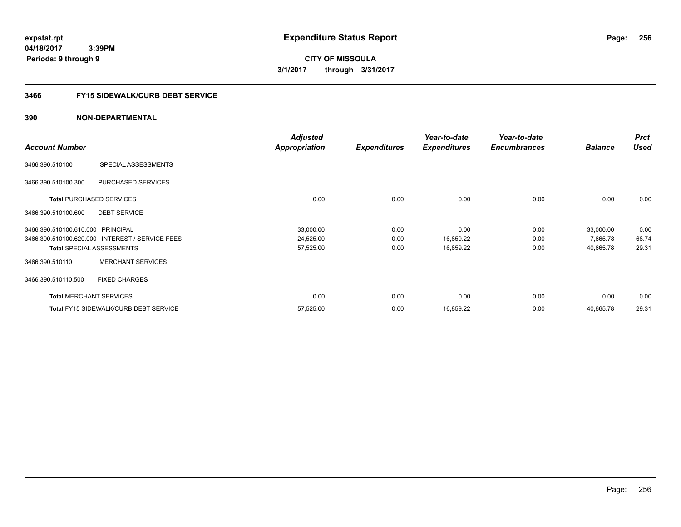**expstat.rpt Expenditure Status Report** 

**04/18/2017 3:39PM Periods: 9 through 9**

**CITY OF MISSOULA 3/1/2017 through 3/31/2017**

# **3466 FY15 SIDEWALK/CURB DEBT SERVICE**

|                                   |                                                 | <b>Adjusted</b>      |                     | Year-to-date        | Year-to-date        |                | <b>Prct</b> |
|-----------------------------------|-------------------------------------------------|----------------------|---------------------|---------------------|---------------------|----------------|-------------|
| <b>Account Number</b>             |                                                 | <b>Appropriation</b> | <b>Expenditures</b> | <b>Expenditures</b> | <b>Encumbrances</b> | <b>Balance</b> | <b>Used</b> |
| 3466.390.510100                   | SPECIAL ASSESSMENTS                             |                      |                     |                     |                     |                |             |
| 3466.390.510100.300               | PURCHASED SERVICES                              |                      |                     |                     |                     |                |             |
|                                   | <b>Total PURCHASED SERVICES</b>                 | 0.00                 | 0.00                | 0.00                | 0.00                | 0.00           | 0.00        |
| 3466.390.510100.600               | <b>DEBT SERVICE</b>                             |                      |                     |                     |                     |                |             |
| 3466.390.510100.610.000 PRINCIPAL |                                                 | 33,000.00            | 0.00                | 0.00                | 0.00                | 33,000.00      | 0.00        |
|                                   | 3466.390.510100.620.000 INTEREST / SERVICE FEES | 24,525.00            | 0.00                | 16,859.22           | 0.00                | 7,665.78       | 68.74       |
|                                   | <b>Total SPECIAL ASSESSMENTS</b>                | 57,525.00            | 0.00                | 16,859.22           | 0.00                | 40,665.78      | 29.31       |
| 3466.390.510110                   | <b>MERCHANT SERVICES</b>                        |                      |                     |                     |                     |                |             |
| 3466.390.510110.500               | <b>FIXED CHARGES</b>                            |                      |                     |                     |                     |                |             |
|                                   | <b>Total MERCHANT SERVICES</b>                  | 0.00                 | 0.00                | 0.00                | 0.00                | 0.00           | 0.00        |
|                                   | <b>Total FY15 SIDEWALK/CURB DEBT SERVICE</b>    | 57,525.00            | 0.00                | 16,859.22           | 0.00                | 40,665.78      | 29.31       |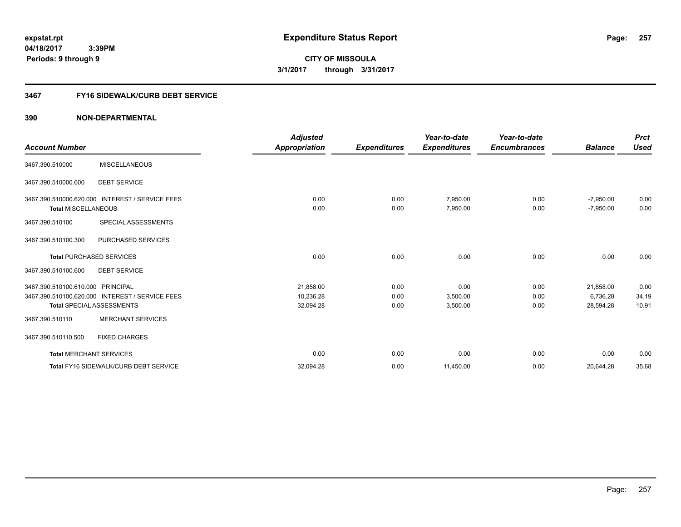**257**

**04/18/2017 3:39PM Periods: 9 through 9**

**CITY OF MISSOULA 3/1/2017 through 3/31/2017**

# **3467 FY16 SIDEWALK/CURB DEBT SERVICE**

|                                   |                                                 | <b>Adjusted</b> |                     | Year-to-date        | Year-to-date        |                | <b>Prct</b> |
|-----------------------------------|-------------------------------------------------|-----------------|---------------------|---------------------|---------------------|----------------|-------------|
| <b>Account Number</b>             |                                                 | Appropriation   | <b>Expenditures</b> | <b>Expenditures</b> | <b>Encumbrances</b> | <b>Balance</b> | <b>Used</b> |
| 3467.390.510000                   | <b>MISCELLANEOUS</b>                            |                 |                     |                     |                     |                |             |
| 3467.390.510000.600               | <b>DEBT SERVICE</b>                             |                 |                     |                     |                     |                |             |
| 3467.390.510000.620.000           | <b>INTEREST / SERVICE FEES</b>                  | 0.00            | 0.00                | 7,950.00            | 0.00                | $-7,950.00$    | 0.00        |
| <b>Total MISCELLANEOUS</b>        |                                                 | 0.00            | 0.00                | 7,950.00            | 0.00                | $-7,950.00$    | 0.00        |
| 3467.390.510100                   | SPECIAL ASSESSMENTS                             |                 |                     |                     |                     |                |             |
| 3467.390.510100.300               | PURCHASED SERVICES                              |                 |                     |                     |                     |                |             |
|                                   | <b>Total PURCHASED SERVICES</b>                 | 0.00            | 0.00                | 0.00                | 0.00                | 0.00           | 0.00        |
| 3467.390.510100.600               | <b>DEBT SERVICE</b>                             |                 |                     |                     |                     |                |             |
| 3467.390.510100.610.000 PRINCIPAL |                                                 | 21,858.00       | 0.00                | 0.00                | 0.00                | 21,858.00      | 0.00        |
|                                   | 3467.390.510100.620.000 INTEREST / SERVICE FEES | 10,236.28       | 0.00                | 3,500.00            | 0.00                | 6,736.28       | 34.19       |
|                                   | <b>Total SPECIAL ASSESSMENTS</b>                | 32,094.28       | 0.00                | 3,500.00            | 0.00                | 28,594.28      | 10.91       |
| 3467.390.510110                   | <b>MERCHANT SERVICES</b>                        |                 |                     |                     |                     |                |             |
| 3467.390.510110.500               | <b>FIXED CHARGES</b>                            |                 |                     |                     |                     |                |             |
| <b>Total MERCHANT SERVICES</b>    |                                                 | 0.00            | 0.00                | 0.00                | 0.00                | 0.00           | 0.00        |
|                                   | Total FY16 SIDEWALK/CURB DEBT SERVICE           | 32,094.28       | 0.00                | 11,450.00           | 0.00                | 20,644.28      | 35.68       |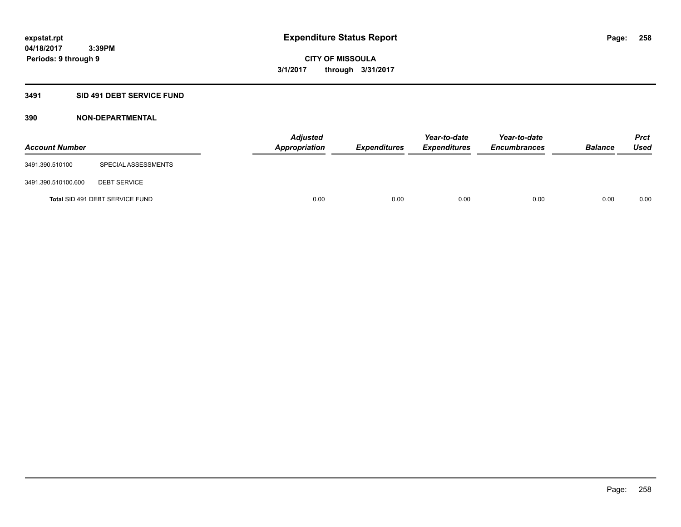# **3491 SID 491 DEBT SERVICE FUND**

| <b>Account Number</b> |                                 | <b>Adjusted</b><br><b>Appropriation</b> | <b>Expenditures</b> | Year-to-date<br><b>Expenditures</b> | Year-to-date<br><b>Encumbrances</b> | <b>Balance</b> | <b>Prct</b><br><b>Used</b> |
|-----------------------|---------------------------------|-----------------------------------------|---------------------|-------------------------------------|-------------------------------------|----------------|----------------------------|
| 3491.390.510100       | SPECIAL ASSESSMENTS             |                                         |                     |                                     |                                     |                |                            |
| 3491.390.510100.600   | <b>DEBT SERVICE</b>             |                                         |                     |                                     |                                     |                |                            |
|                       | Total SID 491 DEBT SERVICE FUND | 0.00                                    | 0.00                | 0.00                                | 0.00                                | 0.00           | 0.00                       |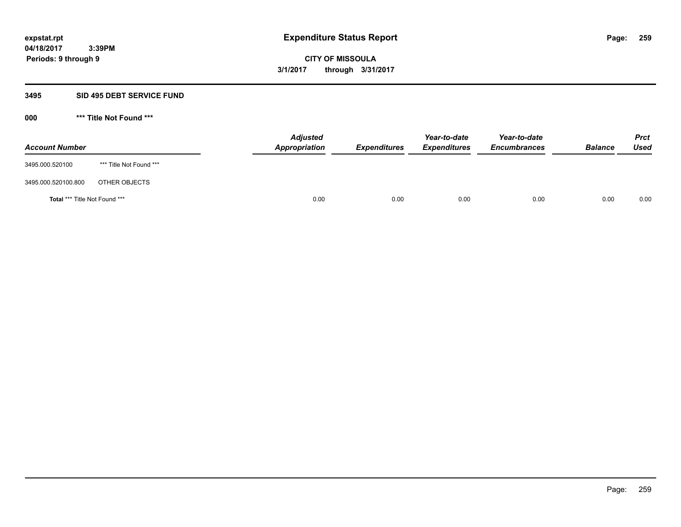#### **3495 SID 495 DEBT SERVICE FUND**

| <b>Account Number</b>                |                         | <b>Adjusted</b><br><b>Appropriation</b> | <b>Expenditures</b> | Year-to-date<br><i><b>Expenditures</b></i> | Year-to-date<br><b>Encumbrances</b> | <b>Balance</b> | <b>Prct</b><br>Used |
|--------------------------------------|-------------------------|-----------------------------------------|---------------------|--------------------------------------------|-------------------------------------|----------------|---------------------|
| 3495.000.520100                      | *** Title Not Found *** |                                         |                     |                                            |                                     |                |                     |
| 3495.000.520100.800                  | OTHER OBJECTS           |                                         |                     |                                            |                                     |                |                     |
| <b>Total *** Title Not Found ***</b> |                         | 0.00                                    | 0.00                | 0.00                                       | 0.00                                | 0.00           | 0.00                |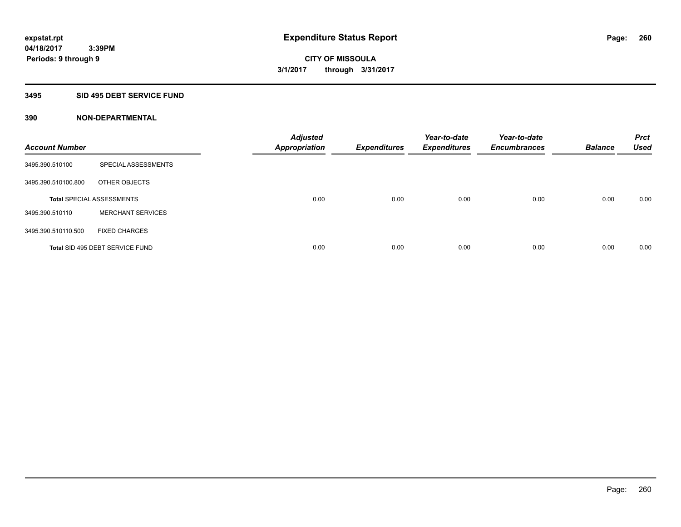# **3495 SID 495 DEBT SERVICE FUND**

| <b>Account Number</b> |                                  | <b>Adjusted</b><br><b>Appropriation</b> | <b>Expenditures</b> | Year-to-date<br><b>Expenditures</b> | Year-to-date<br><b>Encumbrances</b> | <b>Balance</b> | <b>Prct</b><br><b>Used</b> |
|-----------------------|----------------------------------|-----------------------------------------|---------------------|-------------------------------------|-------------------------------------|----------------|----------------------------|
| 3495.390.510100       | SPECIAL ASSESSMENTS              |                                         |                     |                                     |                                     |                |                            |
| 3495.390.510100.800   | OTHER OBJECTS                    |                                         |                     |                                     |                                     |                |                            |
|                       | <b>Total SPECIAL ASSESSMENTS</b> | 0.00                                    | 0.00                | 0.00                                | 0.00                                | 0.00           | 0.00                       |
| 3495.390.510110       | <b>MERCHANT SERVICES</b>         |                                         |                     |                                     |                                     |                |                            |
| 3495.390.510110.500   | <b>FIXED CHARGES</b>             |                                         |                     |                                     |                                     |                |                            |
|                       | Total SID 495 DEBT SERVICE FUND  | 0.00                                    | 0.00                | 0.00                                | 0.00                                | 0.00           | 0.00                       |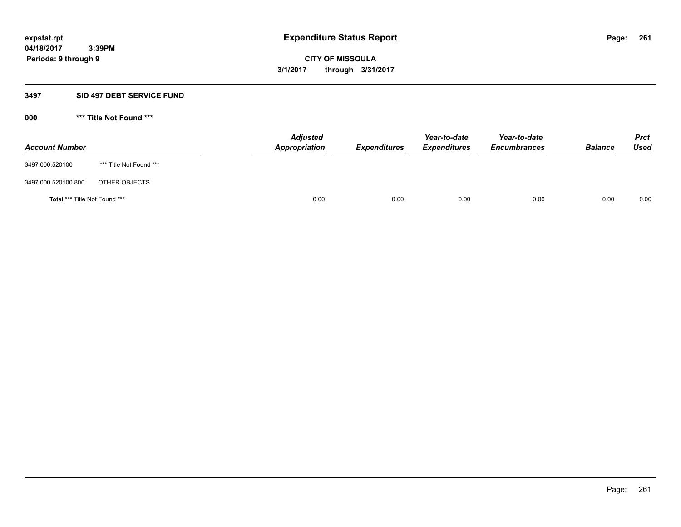#### **3497 SID 497 DEBT SERVICE FUND**

| <b>Account Number</b>                |                         | <b>Adjusted</b><br><b>Appropriation</b> | <b>Expenditures</b> | Year-to-date<br><i><b>Expenditures</b></i> | Year-to-date<br><b>Encumbrances</b> | <b>Balance</b> | <b>Prct</b><br>Used |
|--------------------------------------|-------------------------|-----------------------------------------|---------------------|--------------------------------------------|-------------------------------------|----------------|---------------------|
| 3497.000.520100                      | *** Title Not Found *** |                                         |                     |                                            |                                     |                |                     |
| 3497.000.520100.800                  | OTHER OBJECTS           |                                         |                     |                                            |                                     |                |                     |
| <b>Total *** Title Not Found ***</b> |                         | 0.00                                    | 0.00                | 0.00                                       | 0.00                                | 0.00           | 0.00                |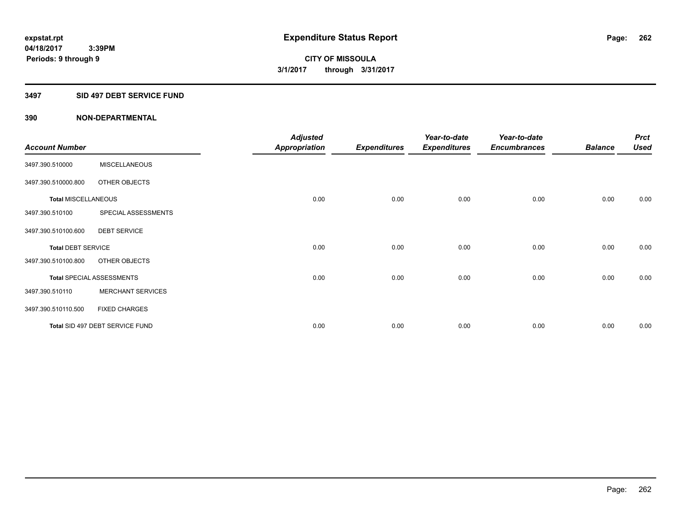### **3497 SID 497 DEBT SERVICE FUND**

|                            |                                  | <b>Adjusted</b> |                     | Year-to-date        | Year-to-date        |                | <b>Prct</b> |
|----------------------------|----------------------------------|-----------------|---------------------|---------------------|---------------------|----------------|-------------|
| <b>Account Number</b>      |                                  | Appropriation   | <b>Expenditures</b> | <b>Expenditures</b> | <b>Encumbrances</b> | <b>Balance</b> | <b>Used</b> |
| 3497.390.510000            | <b>MISCELLANEOUS</b>             |                 |                     |                     |                     |                |             |
| 3497.390.510000.800        | OTHER OBJECTS                    |                 |                     |                     |                     |                |             |
| <b>Total MISCELLANEOUS</b> |                                  | 0.00            | 0.00                | 0.00                | 0.00                | 0.00           | 0.00        |
| 3497.390.510100            | SPECIAL ASSESSMENTS              |                 |                     |                     |                     |                |             |
| 3497.390.510100.600        | <b>DEBT SERVICE</b>              |                 |                     |                     |                     |                |             |
| <b>Total DEBT SERVICE</b>  |                                  | 0.00            | 0.00                | 0.00                | 0.00                | 0.00           | 0.00        |
| 3497.390.510100.800        | OTHER OBJECTS                    |                 |                     |                     |                     |                |             |
|                            | <b>Total SPECIAL ASSESSMENTS</b> | 0.00            | 0.00                | 0.00                | 0.00                | 0.00           | 0.00        |
| 3497.390.510110            | <b>MERCHANT SERVICES</b>         |                 |                     |                     |                     |                |             |
| 3497.390.510110.500        | <b>FIXED CHARGES</b>             |                 |                     |                     |                     |                |             |
|                            | Total SID 497 DEBT SERVICE FUND  | 0.00            | 0.00                | 0.00                | 0.00                | 0.00           | 0.00        |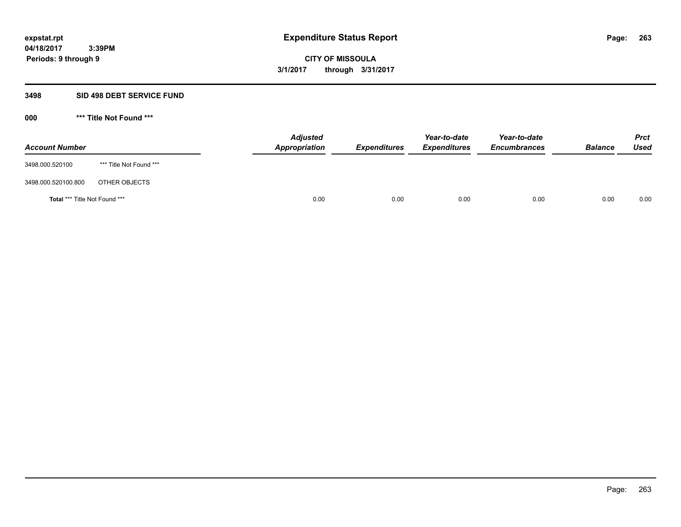#### **3498 SID 498 DEBT SERVICE FUND**

| <b>Account Number</b>                |                         | <b>Adjusted</b><br><b>Appropriation</b> | <b>Expenditures</b> | Year-to-date<br><i><b>Expenditures</b></i> | Year-to-date<br><b>Encumbrances</b> | <b>Balance</b> | <b>Prct</b><br>Used |
|--------------------------------------|-------------------------|-----------------------------------------|---------------------|--------------------------------------------|-------------------------------------|----------------|---------------------|
| 3498.000.520100                      | *** Title Not Found *** |                                         |                     |                                            |                                     |                |                     |
| 3498.000.520100.800                  | OTHER OBJECTS           |                                         |                     |                                            |                                     |                |                     |
| <b>Total *** Title Not Found ***</b> |                         | 0.00                                    | 0.00                | 0.00                                       | 0.00                                | 0.00           | 0.00                |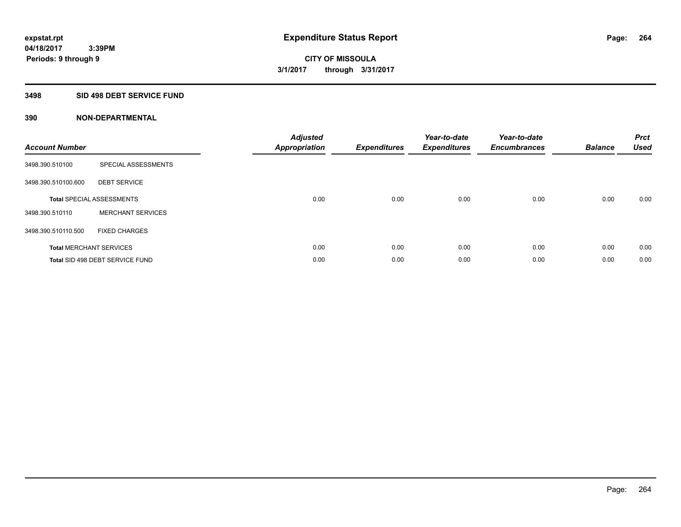# **3498 SID 498 DEBT SERVICE FUND**

| <b>Account Number</b> |                                  | <b>Adjusted</b><br><b>Appropriation</b> | <b>Expenditures</b> | Year-to-date<br><b>Expenditures</b> | Year-to-date<br><b>Encumbrances</b> | <b>Balance</b> | <b>Prct</b><br><b>Used</b> |
|-----------------------|----------------------------------|-----------------------------------------|---------------------|-------------------------------------|-------------------------------------|----------------|----------------------------|
| 3498.390.510100       | SPECIAL ASSESSMENTS              |                                         |                     |                                     |                                     |                |                            |
| 3498.390.510100.600   | <b>DEBT SERVICE</b>              |                                         |                     |                                     |                                     |                |                            |
|                       | <b>Total SPECIAL ASSESSMENTS</b> | 0.00                                    | 0.00                | 0.00                                | 0.00                                | 0.00           | 0.00                       |
| 3498.390.510110       | <b>MERCHANT SERVICES</b>         |                                         |                     |                                     |                                     |                |                            |
| 3498.390.510110.500   | <b>FIXED CHARGES</b>             |                                         |                     |                                     |                                     |                |                            |
|                       | <b>Total MERCHANT SERVICES</b>   | 0.00                                    | 0.00                | 0.00                                | 0.00                                | 0.00           | 0.00                       |
|                       | Total SID 498 DEBT SERVICE FUND  | 0.00                                    | 0.00                | 0.00                                | 0.00                                | 0.00           | 0.00                       |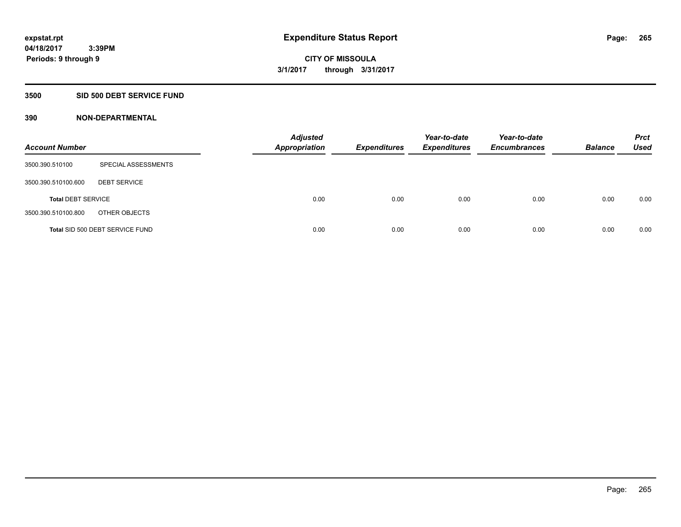### **3500 SID 500 DEBT SERVICE FUND**

| <b>Account Number</b>     |                                 | <b>Adjusted</b><br><b>Appropriation</b> | <b>Expenditures</b> | Year-to-date<br><b>Expenditures</b> | Year-to-date<br><b>Encumbrances</b> | <b>Balance</b> | <b>Prct</b><br><b>Used</b> |
|---------------------------|---------------------------------|-----------------------------------------|---------------------|-------------------------------------|-------------------------------------|----------------|----------------------------|
| 3500.390.510100           | SPECIAL ASSESSMENTS             |                                         |                     |                                     |                                     |                |                            |
| 3500.390.510100.600       | <b>DEBT SERVICE</b>             |                                         |                     |                                     |                                     |                |                            |
| <b>Total DEBT SERVICE</b> |                                 | 0.00                                    | 0.00                | 0.00                                | 0.00                                | 0.00           | 0.00                       |
| 3500.390.510100.800       | OTHER OBJECTS                   |                                         |                     |                                     |                                     |                |                            |
|                           | Total SID 500 DEBT SERVICE FUND | 0.00                                    | 0.00                | 0.00                                | 0.00                                | 0.00           | 0.00                       |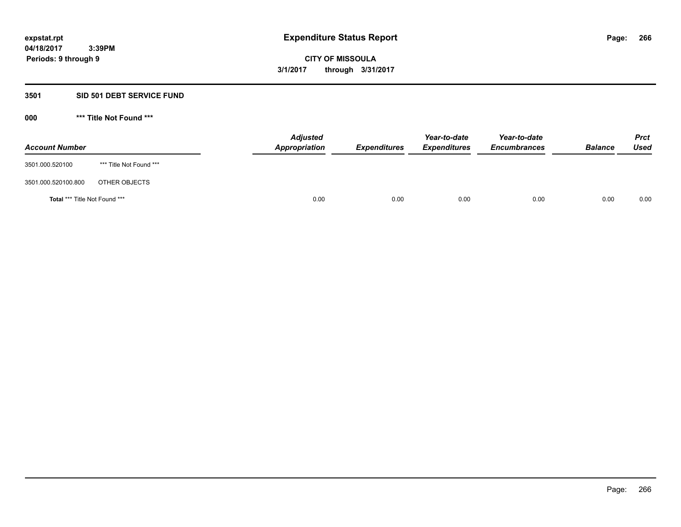### **3501 SID 501 DEBT SERVICE FUND**

| <b>Account Number</b>                |                         | <b>Adjusted</b><br><b>Appropriation</b> | <b>Expenditures</b> | Year-to-date<br><b>Expenditures</b> | Year-to-date<br><b>Encumbrances</b> | <b>Balance</b> | <b>Prct</b><br><b>Used</b> |
|--------------------------------------|-------------------------|-----------------------------------------|---------------------|-------------------------------------|-------------------------------------|----------------|----------------------------|
| 3501.000.520100                      | *** Title Not Found *** |                                         |                     |                                     |                                     |                |                            |
| 3501.000.520100.800                  | OTHER OBJECTS           |                                         |                     |                                     |                                     |                |                            |
| <b>Total *** Title Not Found ***</b> |                         | 0.00                                    | 0.00                | 0.00                                | 0.00                                | 0.00           | 0.00                       |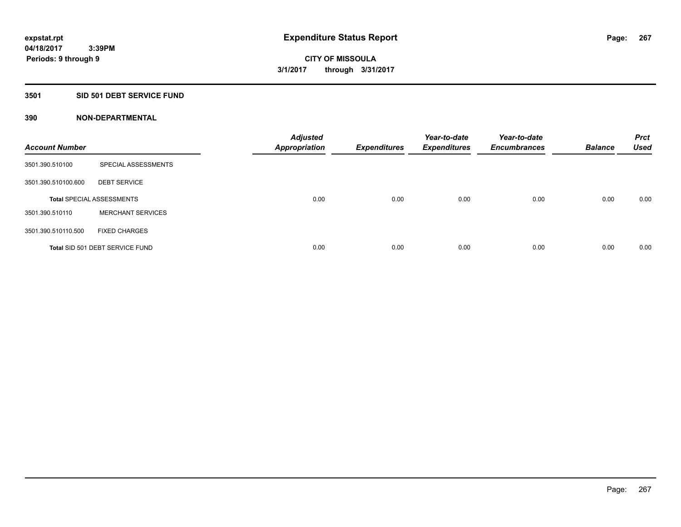# **3501 SID 501 DEBT SERVICE FUND**

| <b>Account Number</b> |                                  | <b>Adjusted</b><br><b>Appropriation</b> | <b>Expenditures</b> | Year-to-date<br><b>Expenditures</b> | Year-to-date<br><b>Encumbrances</b> | <b>Balance</b> | <b>Prct</b><br><b>Used</b> |
|-----------------------|----------------------------------|-----------------------------------------|---------------------|-------------------------------------|-------------------------------------|----------------|----------------------------|
| 3501.390.510100       | SPECIAL ASSESSMENTS              |                                         |                     |                                     |                                     |                |                            |
| 3501.390.510100.600   | <b>DEBT SERVICE</b>              |                                         |                     |                                     |                                     |                |                            |
|                       | <b>Total SPECIAL ASSESSMENTS</b> | 0.00                                    | 0.00                | 0.00                                | 0.00                                | 0.00           | 0.00                       |
| 3501.390.510110       | <b>MERCHANT SERVICES</b>         |                                         |                     |                                     |                                     |                |                            |
| 3501.390.510110.500   | <b>FIXED CHARGES</b>             |                                         |                     |                                     |                                     |                |                            |
|                       | Total SID 501 DEBT SERVICE FUND  | 0.00                                    | 0.00                | 0.00                                | 0.00                                | 0.00           | 0.00                       |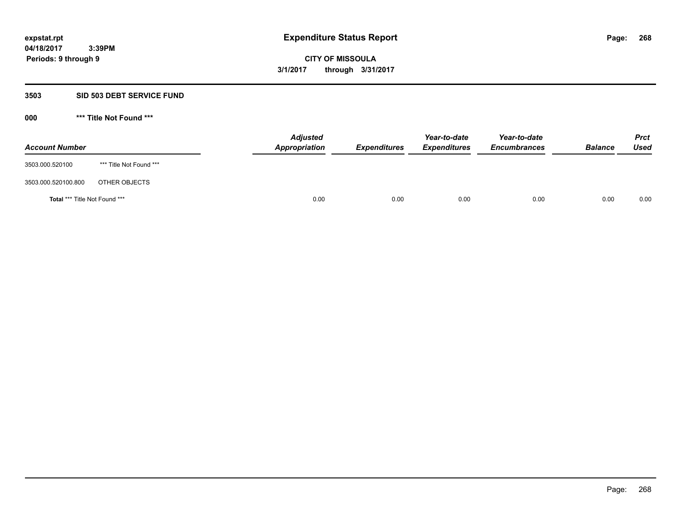#### **3503 SID 503 DEBT SERVICE FUND**

| <b>Account Number</b>                |                         | <b>Adjusted</b><br>Appropriation | <b>Expenditures</b> | Year-to-date<br><b>Expenditures</b> | Year-to-date<br><b>Encumbrances</b> | <b>Balance</b> | <b>Prct</b><br><b>Used</b> |
|--------------------------------------|-------------------------|----------------------------------|---------------------|-------------------------------------|-------------------------------------|----------------|----------------------------|
| 3503.000.520100                      | *** Title Not Found *** |                                  |                     |                                     |                                     |                |                            |
| 3503.000.520100.800                  | OTHER OBJECTS           |                                  |                     |                                     |                                     |                |                            |
| <b>Total *** Title Not Found ***</b> |                         | 0.00                             | 0.00                | 0.00                                | 0.00                                | 0.00           | 0.00                       |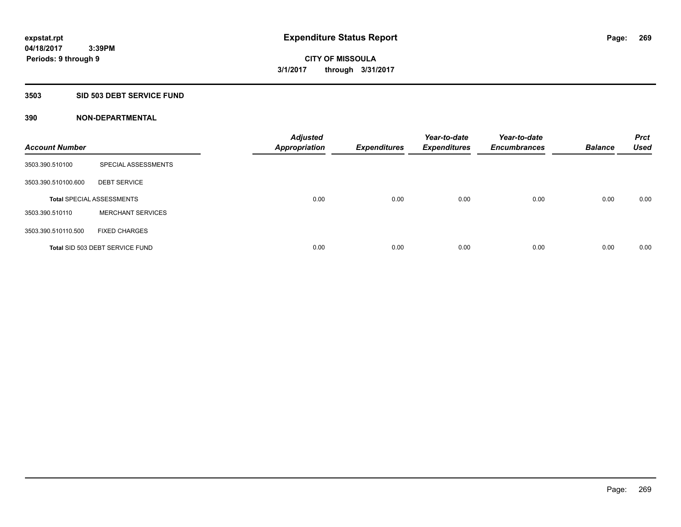# **3503 SID 503 DEBT SERVICE FUND**

| <b>Account Number</b> |                                  | <b>Adjusted</b><br><b>Appropriation</b> | <b>Expenditures</b> | Year-to-date<br><b>Expenditures</b> | Year-to-date<br><b>Encumbrances</b> | <b>Balance</b> | <b>Prct</b><br><b>Used</b> |
|-----------------------|----------------------------------|-----------------------------------------|---------------------|-------------------------------------|-------------------------------------|----------------|----------------------------|
| 3503.390.510100       | SPECIAL ASSESSMENTS              |                                         |                     |                                     |                                     |                |                            |
| 3503.390.510100.600   | <b>DEBT SERVICE</b>              |                                         |                     |                                     |                                     |                |                            |
|                       | <b>Total SPECIAL ASSESSMENTS</b> | 0.00                                    | 0.00                | 0.00                                | 0.00                                | 0.00           | 0.00                       |
| 3503.390.510110       | <b>MERCHANT SERVICES</b>         |                                         |                     |                                     |                                     |                |                            |
| 3503.390.510110.500   | <b>FIXED CHARGES</b>             |                                         |                     |                                     |                                     |                |                            |
|                       | Total SID 503 DEBT SERVICE FUND  | 0.00                                    | 0.00                | 0.00                                | 0.00                                | 0.00           | 0.00                       |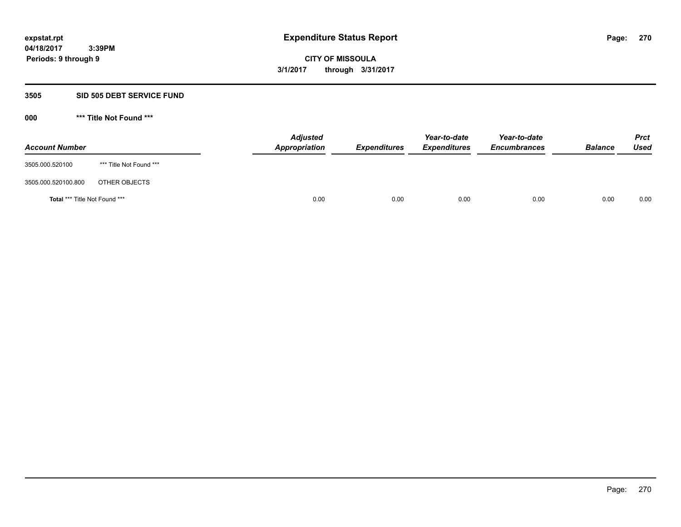#### **3505 SID 505 DEBT SERVICE FUND**

| <b>Account Number</b>                |                         | <b>Adjusted</b><br>Appropriation | <b>Expenditures</b> | Year-to-date<br><b>Expenditures</b> | Year-to-date<br><b>Encumbrances</b> | <b>Balance</b> | <b>Prct</b><br><b>Used</b> |
|--------------------------------------|-------------------------|----------------------------------|---------------------|-------------------------------------|-------------------------------------|----------------|----------------------------|
| 3505.000.520100                      | *** Title Not Found *** |                                  |                     |                                     |                                     |                |                            |
| 3505.000.520100.800                  | OTHER OBJECTS           |                                  |                     |                                     |                                     |                |                            |
| <b>Total *** Title Not Found ***</b> |                         | 0.00                             | 0.00                | 0.00                                | 0.00                                | 0.00           | 0.00                       |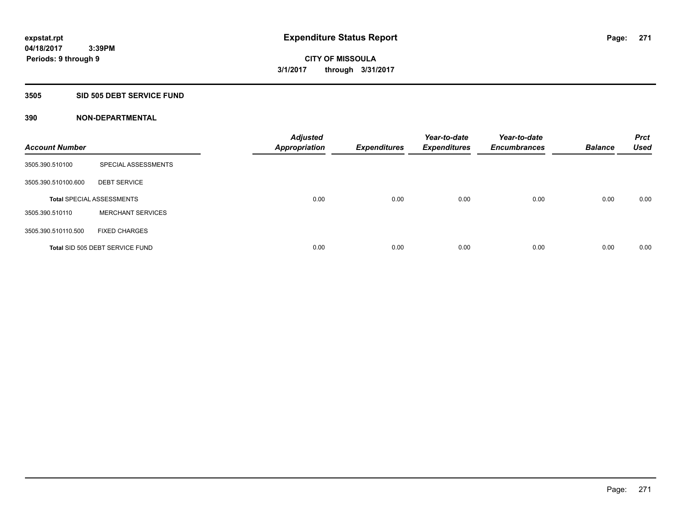### **3505 SID 505 DEBT SERVICE FUND**

| <b>Account Number</b> |                                  | <b>Adjusted</b><br><b>Appropriation</b> | <b>Expenditures</b> | Year-to-date<br><b>Expenditures</b> | Year-to-date<br><b>Encumbrances</b> | <b>Balance</b> | <b>Prct</b><br><b>Used</b> |
|-----------------------|----------------------------------|-----------------------------------------|---------------------|-------------------------------------|-------------------------------------|----------------|----------------------------|
| 3505.390.510100       | SPECIAL ASSESSMENTS              |                                         |                     |                                     |                                     |                |                            |
| 3505.390.510100.600   | <b>DEBT SERVICE</b>              |                                         |                     |                                     |                                     |                |                            |
|                       | <b>Total SPECIAL ASSESSMENTS</b> | 0.00                                    | 0.00                | 0.00                                | 0.00                                | 0.00           | 0.00                       |
| 3505.390.510110       | <b>MERCHANT SERVICES</b>         |                                         |                     |                                     |                                     |                |                            |
| 3505.390.510110.500   | <b>FIXED CHARGES</b>             |                                         |                     |                                     |                                     |                |                            |
|                       | Total SID 505 DEBT SERVICE FUND  | 0.00                                    | 0.00                | 0.00                                | 0.00                                | 0.00           | 0.00                       |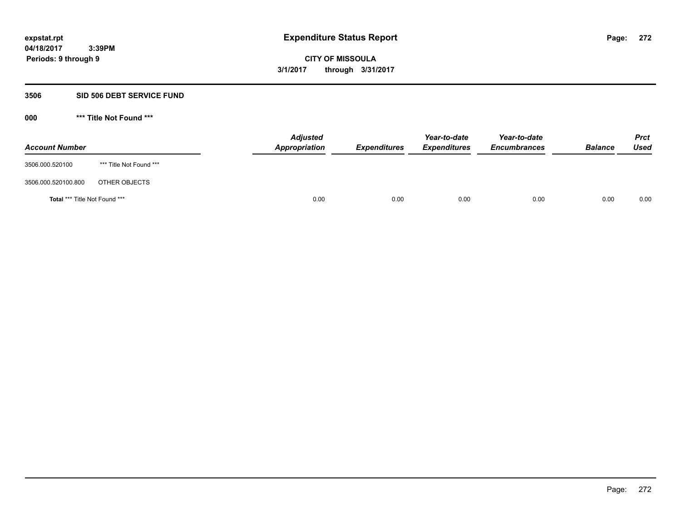#### **3506 SID 506 DEBT SERVICE FUND**

| <b>Account Number</b>         |                         | <b>Adjusted</b><br>Appropriation | <b>Expenditures</b> | Year-to-date<br><b>Expenditures</b> | Year-to-date<br><b>Encumbrances</b> | <b>Balance</b> | <b>Prct</b><br>Used |
|-------------------------------|-------------------------|----------------------------------|---------------------|-------------------------------------|-------------------------------------|----------------|---------------------|
| 3506.000.520100               | *** Title Not Found *** |                                  |                     |                                     |                                     |                |                     |
| 3506.000.520100.800           | OTHER OBJECTS           |                                  |                     |                                     |                                     |                |                     |
| Total *** Title Not Found *** |                         | 0.00                             | 0.00                | 0.00                                | 0.00                                | 0.00           | 0.00                |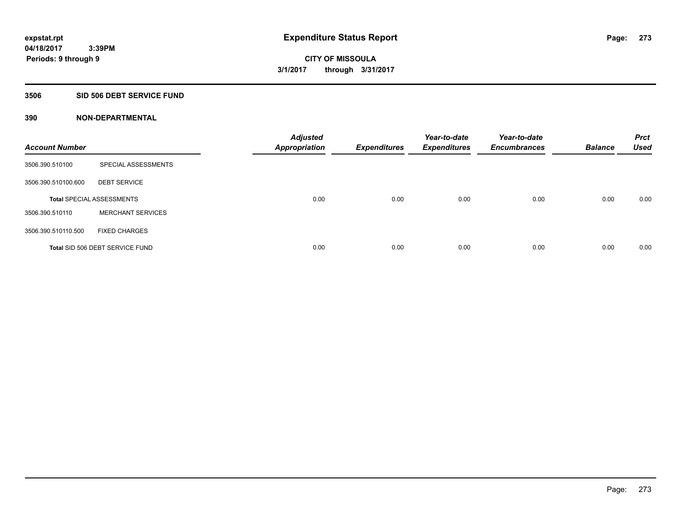### **3506 SID 506 DEBT SERVICE FUND**

| <b>Account Number</b> |                                  | <b>Adjusted</b><br><b>Appropriation</b> | <b>Expenditures</b> | Year-to-date<br><b>Expenditures</b> | Year-to-date<br><b>Encumbrances</b> | <b>Balance</b> | <b>Prct</b><br><b>Used</b> |
|-----------------------|----------------------------------|-----------------------------------------|---------------------|-------------------------------------|-------------------------------------|----------------|----------------------------|
| 3506.390.510100       | SPECIAL ASSESSMENTS              |                                         |                     |                                     |                                     |                |                            |
| 3506.390.510100.600   | <b>DEBT SERVICE</b>              |                                         |                     |                                     |                                     |                |                            |
|                       | <b>Total SPECIAL ASSESSMENTS</b> | 0.00                                    | 0.00                | 0.00                                | 0.00                                | 0.00           | 0.00                       |
| 3506.390.510110       | <b>MERCHANT SERVICES</b>         |                                         |                     |                                     |                                     |                |                            |
| 3506.390.510110.500   | <b>FIXED CHARGES</b>             |                                         |                     |                                     |                                     |                |                            |
|                       | Total SID 506 DEBT SERVICE FUND  | 0.00                                    | 0.00                | 0.00                                | 0.00                                | 0.00           | 0.00                       |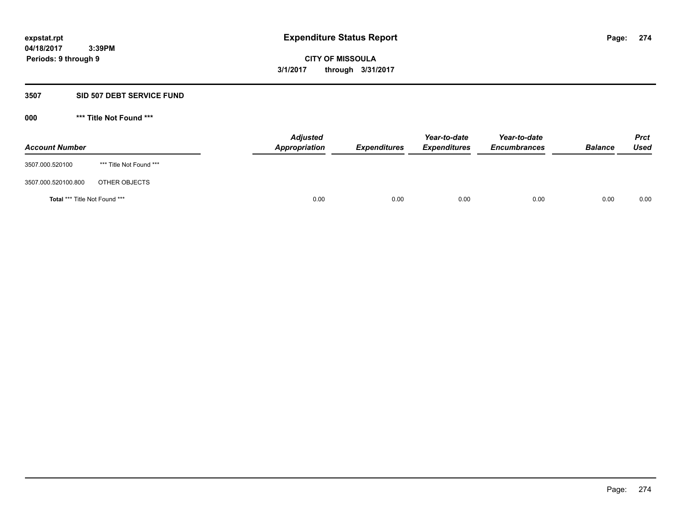#### **3507 SID 507 DEBT SERVICE FUND**

| <b>Account Number</b>                |                         | <b>Adjusted</b><br>Appropriation | <b>Expenditures</b> | Year-to-date<br><b>Expenditures</b> | Year-to-date<br><b>Encumbrances</b> | <b>Balance</b> | <b>Prct</b><br>Used |
|--------------------------------------|-------------------------|----------------------------------|---------------------|-------------------------------------|-------------------------------------|----------------|---------------------|
| 3507.000.520100                      | *** Title Not Found *** |                                  |                     |                                     |                                     |                |                     |
| 3507.000.520100.800                  | OTHER OBJECTS           |                                  |                     |                                     |                                     |                |                     |
| <b>Total *** Title Not Found ***</b> |                         |                                  | 0.00<br>0.00        | 0.00                                | 0.00                                | 0.00           | 0.00                |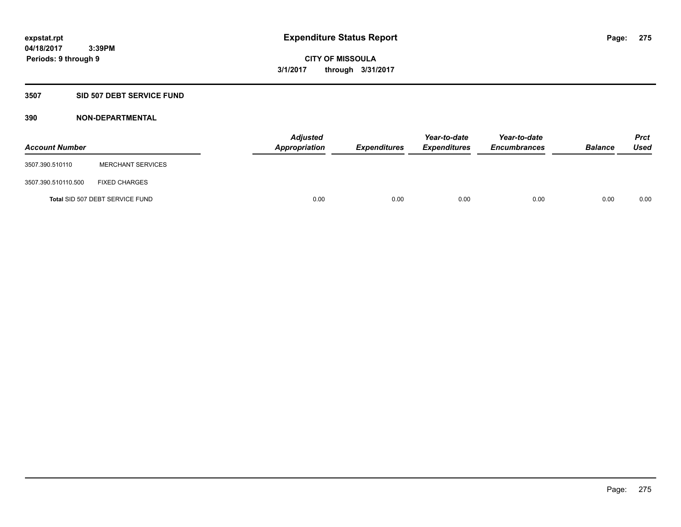# **3507 SID 507 DEBT SERVICE FUND**

| <b>Account Number</b> |                                 | <b>Adjusted</b><br>Appropriation | <b>Expenditures</b> | Year-to-date<br><b>Expenditures</b> | Year-to-date<br><b>Encumbrances</b> | <b>Balance</b> | <b>Prct</b><br><b>Used</b> |
|-----------------------|---------------------------------|----------------------------------|---------------------|-------------------------------------|-------------------------------------|----------------|----------------------------|
| 3507.390.510110       | <b>MERCHANT SERVICES</b>        |                                  |                     |                                     |                                     |                |                            |
| 3507.390.510110.500   | <b>FIXED CHARGES</b>            |                                  |                     |                                     |                                     |                |                            |
|                       | Total SID 507 DEBT SERVICE FUND | 0.00                             | 0.00                | 0.00                                | 0.00                                | 0.00           | 0.00                       |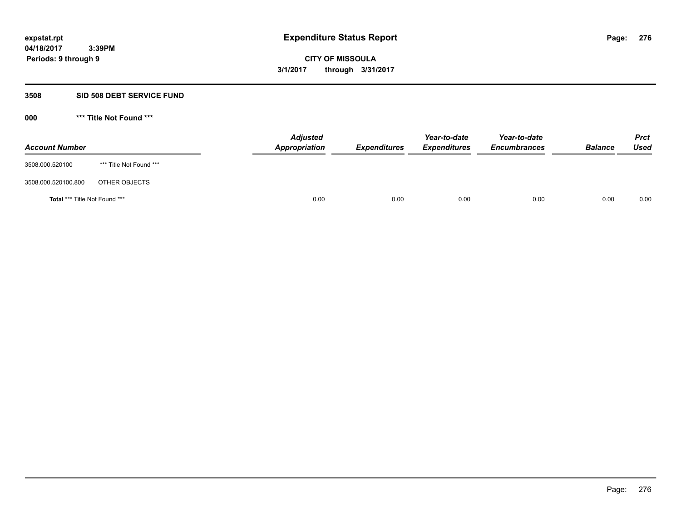#### **3508 SID 508 DEBT SERVICE FUND**

| <b>Account Number</b>                |                         | <b>Adjusted</b><br>Appropriation | <b>Expenditures</b> | Year-to-date<br><b>Expenditures</b> | Year-to-date<br><b>Encumbrances</b> | <b>Balance</b> | <b>Prct</b><br>Used |
|--------------------------------------|-------------------------|----------------------------------|---------------------|-------------------------------------|-------------------------------------|----------------|---------------------|
| 3508.000.520100                      | *** Title Not Found *** |                                  |                     |                                     |                                     |                |                     |
| 3508.000.520100.800                  | OTHER OBJECTS           |                                  |                     |                                     |                                     |                |                     |
| <b>Total *** Title Not Found ***</b> |                         |                                  | 0.00<br>0.00        | 0.00                                | 0.00                                | 0.00           | 0.00                |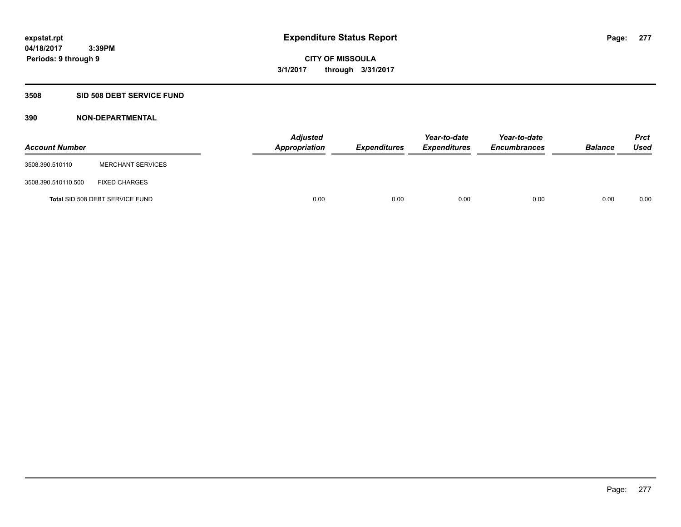# **3508 SID 508 DEBT SERVICE FUND**

| <b>Account Number</b> |                                 | <b>Adjusted</b><br>Appropriation | <b>Expenditures</b> | Year-to-date<br><b>Expenditures</b> | Year-to-date<br><b>Encumbrances</b> | <b>Balance</b> | <b>Prct</b><br><b>Used</b> |
|-----------------------|---------------------------------|----------------------------------|---------------------|-------------------------------------|-------------------------------------|----------------|----------------------------|
| 3508.390.510110       | <b>MERCHANT SERVICES</b>        |                                  |                     |                                     |                                     |                |                            |
| 3508.390.510110.500   | <b>FIXED CHARGES</b>            |                                  |                     |                                     |                                     |                |                            |
|                       | Total SID 508 DEBT SERVICE FUND | 0.00                             | 0.00                | 0.00                                | 0.00                                | 0.00           | 0.00                       |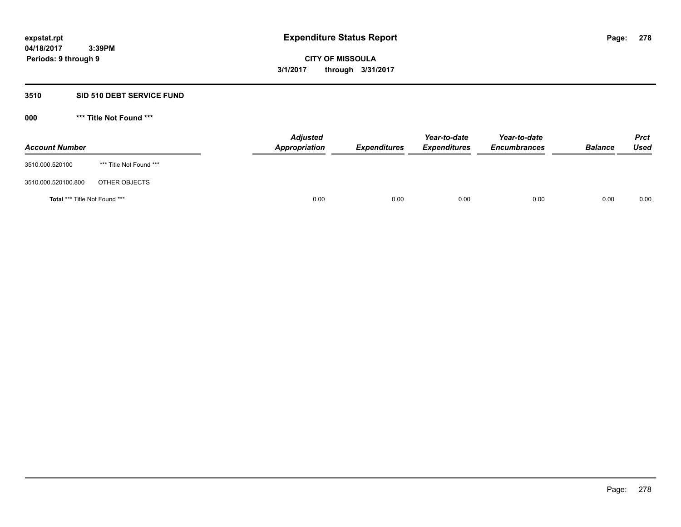# **3510 SID 510 DEBT SERVICE FUND**

| <b>Account Number</b>                |                         | <b>Adjusted</b><br>Appropriation | <b>Expenditures</b> | Year-to-date<br><b>Expenditures</b> | Year-to-date<br><b>Encumbrances</b> | <b>Balance</b> | <b>Prct</b><br>Used |
|--------------------------------------|-------------------------|----------------------------------|---------------------|-------------------------------------|-------------------------------------|----------------|---------------------|
| 3510.000.520100                      | *** Title Not Found *** |                                  |                     |                                     |                                     |                |                     |
| 3510.000.520100.800                  | OTHER OBJECTS           |                                  |                     |                                     |                                     |                |                     |
| <b>Total *** Title Not Found ***</b> |                         | 0.00                             | 0.00                | 0.00                                | 0.00                                | 0.00           | 0.00                |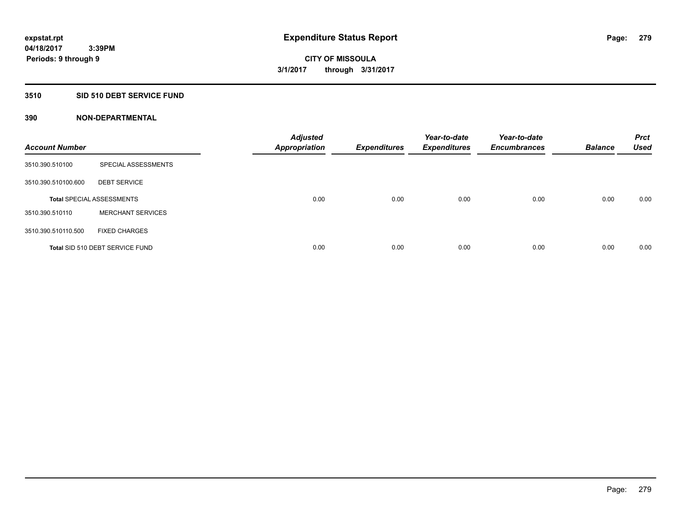# **3510 SID 510 DEBT SERVICE FUND**

| <b>Account Number</b> |                                  | <b>Adjusted</b><br><b>Appropriation</b> | <b>Expenditures</b> | Year-to-date<br><b>Expenditures</b> | Year-to-date<br><b>Encumbrances</b> | <b>Balance</b> | <b>Prct</b><br><b>Used</b> |
|-----------------------|----------------------------------|-----------------------------------------|---------------------|-------------------------------------|-------------------------------------|----------------|----------------------------|
| 3510.390.510100       | SPECIAL ASSESSMENTS              |                                         |                     |                                     |                                     |                |                            |
| 3510.390.510100.600   | <b>DEBT SERVICE</b>              |                                         |                     |                                     |                                     |                |                            |
|                       | <b>Total SPECIAL ASSESSMENTS</b> | 0.00                                    | 0.00                | 0.00                                | 0.00                                | 0.00           | 0.00                       |
| 3510.390.510110       | <b>MERCHANT SERVICES</b>         |                                         |                     |                                     |                                     |                |                            |
| 3510.390.510110.500   | <b>FIXED CHARGES</b>             |                                         |                     |                                     |                                     |                |                            |
|                       | Total SID 510 DEBT SERVICE FUND  | 0.00                                    | 0.00                | 0.00                                | 0.00                                | 0.00           | 0.00                       |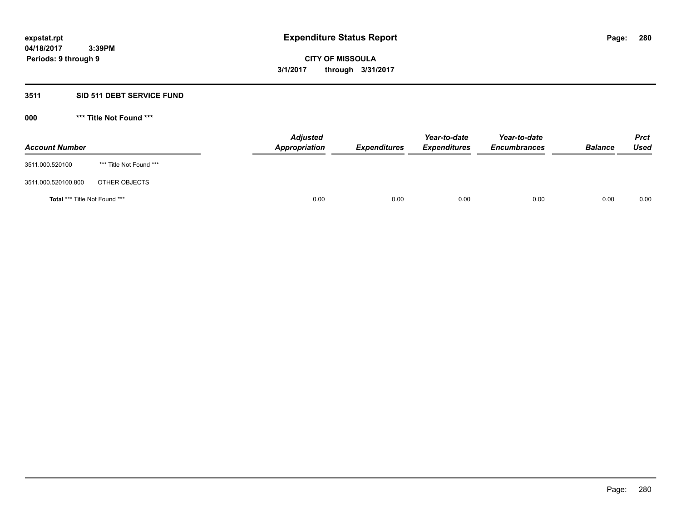# **3511 SID 511 DEBT SERVICE FUND**

| <b>Account Number</b>                |                         | <b>Adjusted</b><br><b>Appropriation</b> | <b>Expenditures</b> | Year-to-date<br><b>Expenditures</b> | Year-to-date<br><b>Encumbrances</b> | <b>Balance</b> | <b>Prct</b><br><b>Used</b> |
|--------------------------------------|-------------------------|-----------------------------------------|---------------------|-------------------------------------|-------------------------------------|----------------|----------------------------|
| 3511.000.520100                      | *** Title Not Found *** |                                         |                     |                                     |                                     |                |                            |
| 3511.000.520100.800                  | OTHER OBJECTS           |                                         |                     |                                     |                                     |                |                            |
| <b>Total *** Title Not Found ***</b> |                         | 0.00                                    | 0.00                | 0.00                                | 0.00                                | 0.00           | 0.00                       |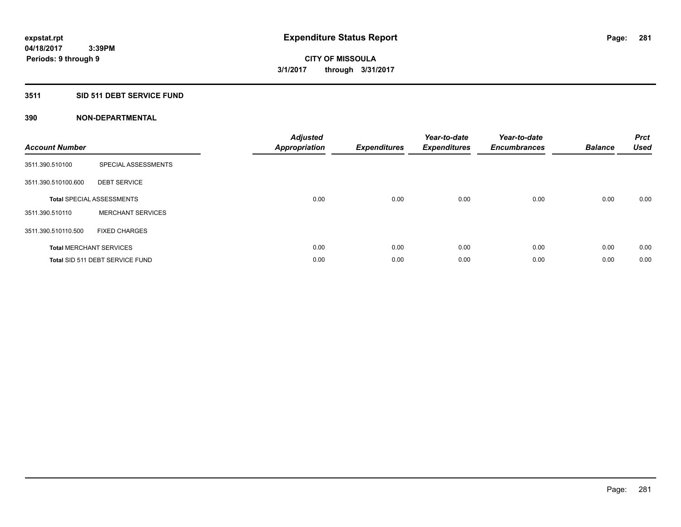# **3511 SID 511 DEBT SERVICE FUND**

| <b>Account Number</b> |                                  | <b>Adjusted</b><br><b>Appropriation</b> | <b>Expenditures</b> | Year-to-date<br><b>Expenditures</b> | Year-to-date<br><b>Encumbrances</b> | <b>Balance</b> | <b>Prct</b><br><b>Used</b> |
|-----------------------|----------------------------------|-----------------------------------------|---------------------|-------------------------------------|-------------------------------------|----------------|----------------------------|
| 3511.390.510100       | SPECIAL ASSESSMENTS              |                                         |                     |                                     |                                     |                |                            |
| 3511.390.510100.600   | <b>DEBT SERVICE</b>              |                                         |                     |                                     |                                     |                |                            |
|                       | <b>Total SPECIAL ASSESSMENTS</b> | 0.00                                    | 0.00                | 0.00                                | 0.00                                | 0.00           | 0.00                       |
| 3511.390.510110       | <b>MERCHANT SERVICES</b>         |                                         |                     |                                     |                                     |                |                            |
| 3511.390.510110.500   | <b>FIXED CHARGES</b>             |                                         |                     |                                     |                                     |                |                            |
|                       | <b>Total MERCHANT SERVICES</b>   | 0.00                                    | 0.00                | 0.00                                | 0.00                                | 0.00           | 0.00                       |
|                       | Total SID 511 DEBT SERVICE FUND  | 0.00                                    | 0.00                | 0.00                                | 0.00                                | 0.00           | 0.00                       |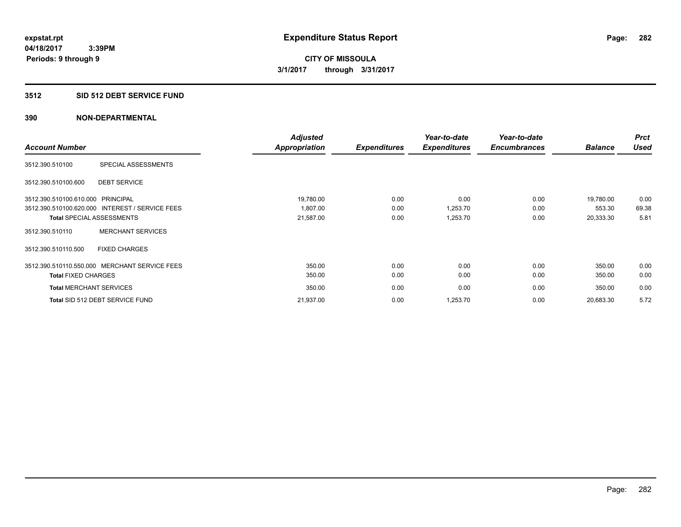### **3512 SID 512 DEBT SERVICE FUND**

|                                   |                                                 | <b>Adjusted</b>      |                     | Year-to-date        | Year-to-date        |                | <b>Prct</b> |
|-----------------------------------|-------------------------------------------------|----------------------|---------------------|---------------------|---------------------|----------------|-------------|
| <b>Account Number</b>             |                                                 | <b>Appropriation</b> | <b>Expenditures</b> | <b>Expenditures</b> | <b>Encumbrances</b> | <b>Balance</b> | <b>Used</b> |
| 3512.390.510100                   | SPECIAL ASSESSMENTS                             |                      |                     |                     |                     |                |             |
| 3512.390.510100.600               | <b>DEBT SERVICE</b>                             |                      |                     |                     |                     |                |             |
| 3512.390.510100.610.000 PRINCIPAL |                                                 | 19,780.00            | 0.00                | 0.00                | 0.00                | 19,780.00      | 0.00        |
|                                   | 3512.390.510100.620.000 INTEREST / SERVICE FEES | 1.807.00             | 0.00                | 1,253.70            | 0.00                | 553.30         | 69.38       |
|                                   | <b>Total SPECIAL ASSESSMENTS</b>                | 21,587.00            | 0.00                | 1,253.70            | 0.00                | 20,333.30      | 5.81        |
| 3512.390.510110                   | <b>MERCHANT SERVICES</b>                        |                      |                     |                     |                     |                |             |
| 3512.390.510110.500               | <b>FIXED CHARGES</b>                            |                      |                     |                     |                     |                |             |
|                                   | 3512.390.510110.550.000 MERCHANT SERVICE FEES   | 350.00               | 0.00                | 0.00                | 0.00                | 350.00         | 0.00        |
| <b>Total FIXED CHARGES</b>        |                                                 | 350.00               | 0.00                | 0.00                | 0.00                | 350.00         | 0.00        |
| <b>Total MERCHANT SERVICES</b>    |                                                 | 350.00               | 0.00                | 0.00                | 0.00                | 350.00         | 0.00        |
|                                   | Total SID 512 DEBT SERVICE FUND                 | 21,937.00            | 0.00                | 1,253.70            | 0.00                | 20,683.30      | 5.72        |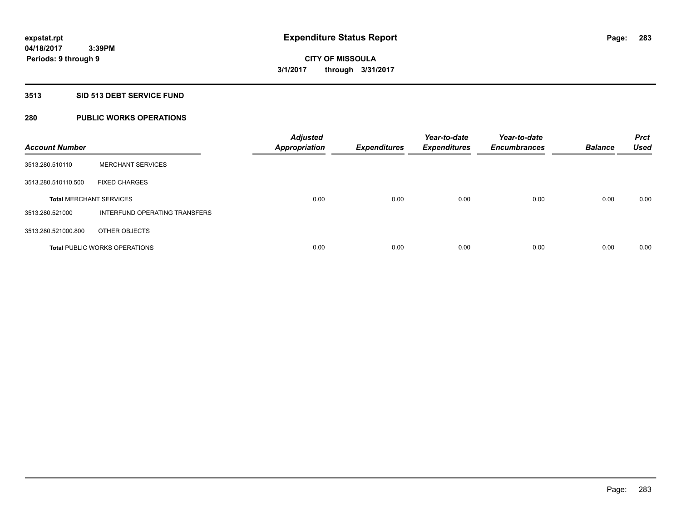# **3513 SID 513 DEBT SERVICE FUND**

# **280 PUBLIC WORKS OPERATIONS**

| <b>Account Number</b>          |                                      | <b>Adjusted</b><br><b>Appropriation</b> | <b>Expenditures</b> | Year-to-date<br><b>Expenditures</b> | Year-to-date<br><b>Encumbrances</b> | <b>Balance</b> | <b>Prct</b><br><b>Used</b> |
|--------------------------------|--------------------------------------|-----------------------------------------|---------------------|-------------------------------------|-------------------------------------|----------------|----------------------------|
| 3513.280.510110                | <b>MERCHANT SERVICES</b>             |                                         |                     |                                     |                                     |                |                            |
| 3513.280.510110.500            | <b>FIXED CHARGES</b>                 |                                         |                     |                                     |                                     |                |                            |
| <b>Total MERCHANT SERVICES</b> |                                      | 0.00                                    | 0.00                | 0.00                                | 0.00                                | 0.00           | 0.00                       |
| 3513.280.521000                | INTERFUND OPERATING TRANSFERS        |                                         |                     |                                     |                                     |                |                            |
| 3513.280.521000.800            | OTHER OBJECTS                        |                                         |                     |                                     |                                     |                |                            |
|                                | <b>Total PUBLIC WORKS OPERATIONS</b> | 0.00                                    | 0.00                | 0.00                                | 0.00                                | 0.00           | 0.00                       |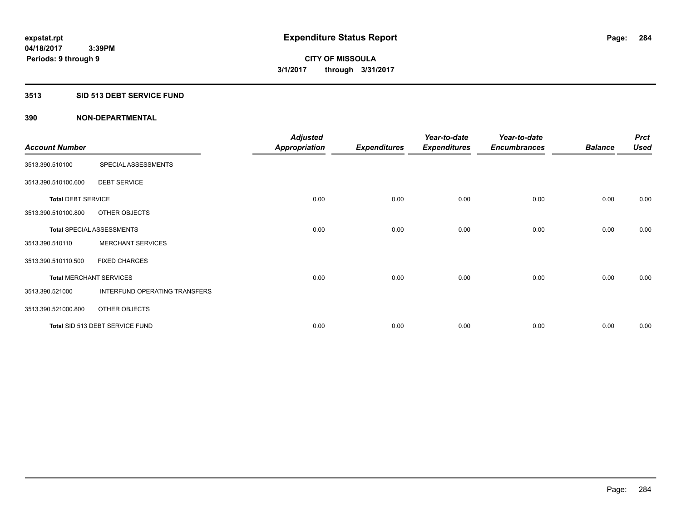### **3513 SID 513 DEBT SERVICE FUND**

|                           |                                  | <b>Adjusted</b>      |                     | Year-to-date        | Year-to-date        |                | <b>Prct</b> |
|---------------------------|----------------------------------|----------------------|---------------------|---------------------|---------------------|----------------|-------------|
| <b>Account Number</b>     |                                  | <b>Appropriation</b> | <b>Expenditures</b> | <b>Expenditures</b> | <b>Encumbrances</b> | <b>Balance</b> | <b>Used</b> |
| 3513.390.510100           | SPECIAL ASSESSMENTS              |                      |                     |                     |                     |                |             |
| 3513.390.510100.600       | <b>DEBT SERVICE</b>              |                      |                     |                     |                     |                |             |
| <b>Total DEBT SERVICE</b> |                                  | 0.00                 | 0.00                | 0.00                | 0.00                | 0.00           | 0.00        |
| 3513.390.510100.800       | OTHER OBJECTS                    |                      |                     |                     |                     |                |             |
|                           | <b>Total SPECIAL ASSESSMENTS</b> | 0.00                 | 0.00                | 0.00                | 0.00                | 0.00           | 0.00        |
| 3513.390.510110           | <b>MERCHANT SERVICES</b>         |                      |                     |                     |                     |                |             |
| 3513.390.510110.500       | <b>FIXED CHARGES</b>             |                      |                     |                     |                     |                |             |
|                           | <b>Total MERCHANT SERVICES</b>   | 0.00                 | 0.00                | 0.00                | 0.00                | 0.00           | 0.00        |
| 3513.390.521000           | INTERFUND OPERATING TRANSFERS    |                      |                     |                     |                     |                |             |
| 3513.390.521000.800       | OTHER OBJECTS                    |                      |                     |                     |                     |                |             |
|                           | Total SID 513 DEBT SERVICE FUND  | 0.00                 | 0.00                | 0.00                | 0.00                | 0.00           | 0.00        |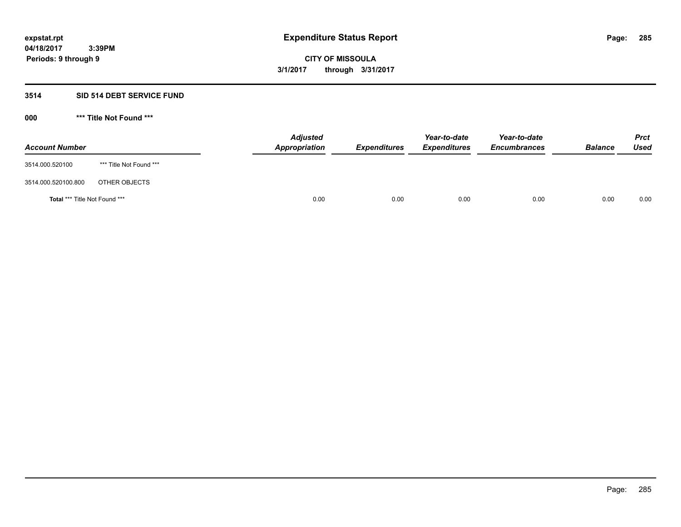# **3514 SID 514 DEBT SERVICE FUND**

| <b>Account Number</b>         |                         | <b>Adjusted</b><br>Appropriation | <b>Expenditures</b> | Year-to-date<br><b>Expenditures</b> | Year-to-date<br><b>Encumbrances</b> | <b>Balance</b> | <b>Prct</b><br>Used |
|-------------------------------|-------------------------|----------------------------------|---------------------|-------------------------------------|-------------------------------------|----------------|---------------------|
| 3514.000.520100               | *** Title Not Found *** |                                  |                     |                                     |                                     |                |                     |
| 3514.000.520100.800           | OTHER OBJECTS           |                                  |                     |                                     |                                     |                |                     |
| Total *** Title Not Found *** |                         | 0.00                             | 0.00                | 0.00                                | 0.00                                | 0.00           | 0.00                |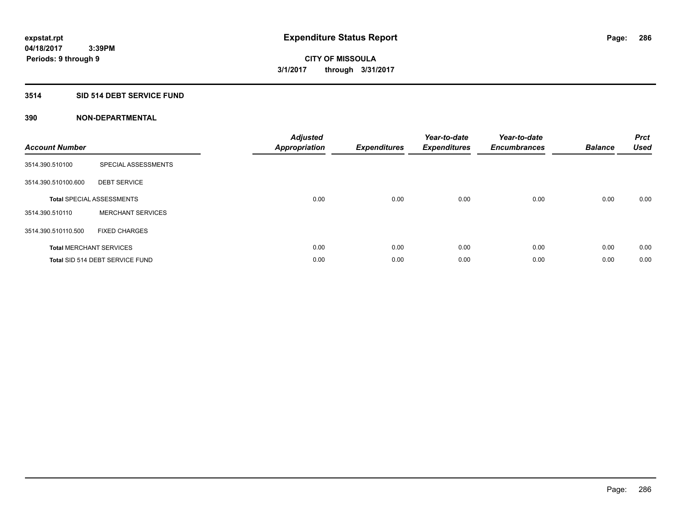# **3514 SID 514 DEBT SERVICE FUND**

| <b>Account Number</b> |                                  | <b>Adjusted</b><br>Appropriation | <b>Expenditures</b> | Year-to-date<br><b>Expenditures</b> | Year-to-date<br><b>Encumbrances</b> | <b>Balance</b> | <b>Prct</b><br><b>Used</b> |
|-----------------------|----------------------------------|----------------------------------|---------------------|-------------------------------------|-------------------------------------|----------------|----------------------------|
| 3514.390.510100       | SPECIAL ASSESSMENTS              |                                  |                     |                                     |                                     |                |                            |
| 3514.390.510100.600   | <b>DEBT SERVICE</b>              |                                  |                     |                                     |                                     |                |                            |
|                       | <b>Total SPECIAL ASSESSMENTS</b> | 0.00                             | 0.00                | 0.00                                | 0.00                                | 0.00           | 0.00                       |
| 3514.390.510110       | <b>MERCHANT SERVICES</b>         |                                  |                     |                                     |                                     |                |                            |
| 3514.390.510110.500   | <b>FIXED CHARGES</b>             |                                  |                     |                                     |                                     |                |                            |
|                       | <b>Total MERCHANT SERVICES</b>   | 0.00                             | 0.00                | 0.00                                | 0.00                                | 0.00           | 0.00                       |
|                       | Total SID 514 DEBT SERVICE FUND  | 0.00                             | 0.00                | 0.00                                | 0.00                                | 0.00           | 0.00                       |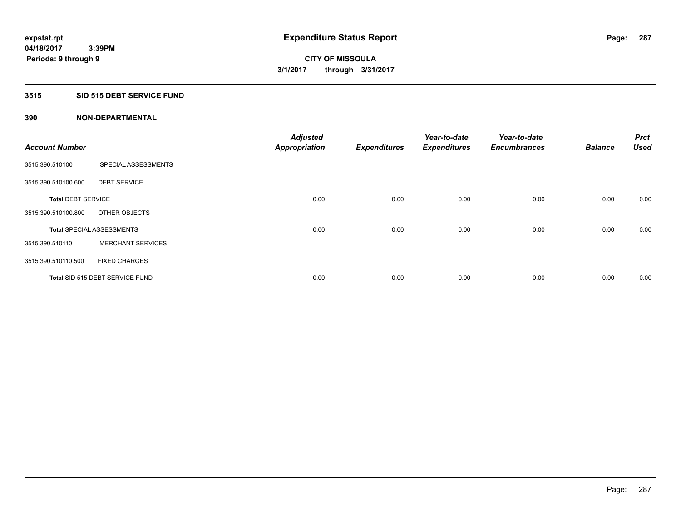# **3515 SID 515 DEBT SERVICE FUND**

| <b>Account Number</b>     |                                  | <b>Adjusted</b>      |                     | Year-to-date        | Year-to-date<br><b>Encumbrances</b> | <b>Balance</b> | <b>Prct</b><br><b>Used</b> |
|---------------------------|----------------------------------|----------------------|---------------------|---------------------|-------------------------------------|----------------|----------------------------|
|                           |                                  | <b>Appropriation</b> | <b>Expenditures</b> | <b>Expenditures</b> |                                     |                |                            |
| 3515.390.510100           | SPECIAL ASSESSMENTS              |                      |                     |                     |                                     |                |                            |
| 3515.390.510100.600       | <b>DEBT SERVICE</b>              |                      |                     |                     |                                     |                |                            |
| <b>Total DEBT SERVICE</b> |                                  | 0.00                 | 0.00                | 0.00                | 0.00                                | 0.00           | 0.00                       |
| 3515.390.510100.800       | OTHER OBJECTS                    |                      |                     |                     |                                     |                |                            |
|                           | <b>Total SPECIAL ASSESSMENTS</b> | 0.00                 | 0.00                | 0.00                | 0.00                                | 0.00           | 0.00                       |
| 3515.390.510110           | <b>MERCHANT SERVICES</b>         |                      |                     |                     |                                     |                |                            |
| 3515.390.510110.500       | <b>FIXED CHARGES</b>             |                      |                     |                     |                                     |                |                            |
|                           | Total SID 515 DEBT SERVICE FUND  | 0.00                 | 0.00                | 0.00                | 0.00                                | 0.00           | 0.00                       |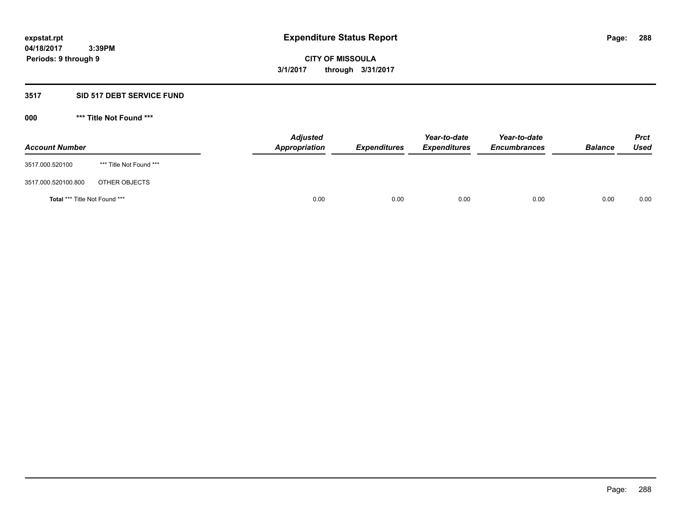# **3517 SID 517 DEBT SERVICE FUND**

| <b>Account Number</b>                |                         | <b>Adjusted</b><br><b>Appropriation</b> | <b>Expenditures</b> | Year-to-date<br><b>Expenditures</b> | Year-to-date<br><b>Encumbrances</b> | <b>Balance</b> | <b>Prct</b><br><b>Used</b> |
|--------------------------------------|-------------------------|-----------------------------------------|---------------------|-------------------------------------|-------------------------------------|----------------|----------------------------|
| 3517.000.520100                      | *** Title Not Found *** |                                         |                     |                                     |                                     |                |                            |
| 3517.000.520100.800                  | OTHER OBJECTS           |                                         |                     |                                     |                                     |                |                            |
| <b>Total *** Title Not Found ***</b> |                         | 0.00                                    | 0.00                | 0.00                                | 0.00                                | 0.00           | 0.00                       |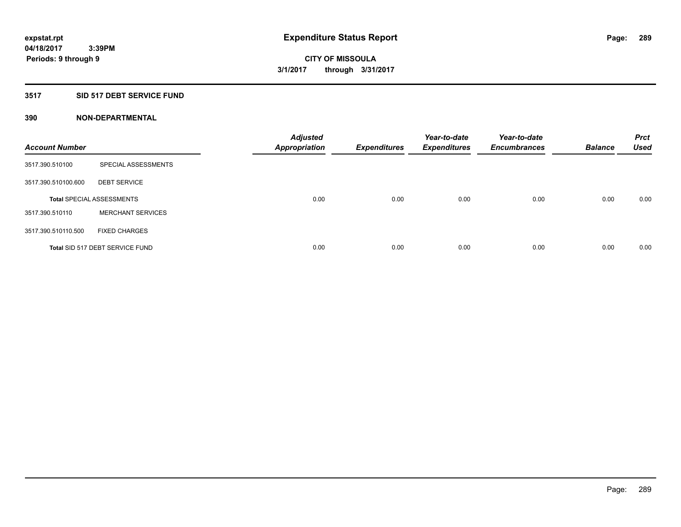### **3517 SID 517 DEBT SERVICE FUND**

| <b>Account Number</b> |                                  | <b>Adjusted</b><br><b>Appropriation</b> | <b>Expenditures</b> | Year-to-date<br><b>Expenditures</b> | Year-to-date<br><b>Encumbrances</b> | <b>Balance</b> | <b>Prct</b><br>Used |
|-----------------------|----------------------------------|-----------------------------------------|---------------------|-------------------------------------|-------------------------------------|----------------|---------------------|
| 3517.390.510100       | SPECIAL ASSESSMENTS              |                                         |                     |                                     |                                     |                |                     |
| 3517.390.510100.600   | <b>DEBT SERVICE</b>              |                                         |                     |                                     |                                     |                |                     |
|                       | <b>Total SPECIAL ASSESSMENTS</b> | 0.00                                    | 0.00                | 0.00                                | 0.00                                | 0.00           | 0.00                |
| 3517.390.510110       | <b>MERCHANT SERVICES</b>         |                                         |                     |                                     |                                     |                |                     |
| 3517.390.510110.500   | <b>FIXED CHARGES</b>             |                                         |                     |                                     |                                     |                |                     |
|                       | Total SID 517 DEBT SERVICE FUND  | 0.00                                    | 0.00                | 0.00                                | 0.00                                | 0.00           | 0.00                |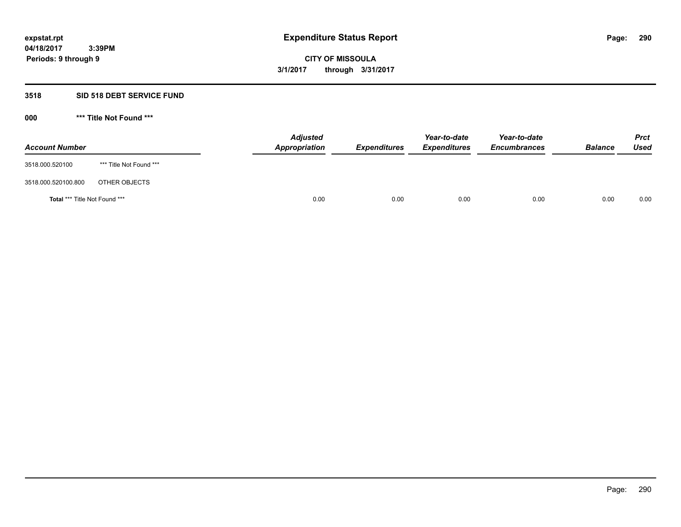### **3518 SID 518 DEBT SERVICE FUND**

**000 \*\*\* Title Not Found \*\*\***

| <b>Account Number</b>         |                         | <b>Adjusted</b><br>Appropriation | <b>Expenditures</b> | Year-to-date<br><b>Expenditures</b> | Year-to-date<br><b>Encumbrances</b> | <b>Balance</b> | <b>Prct</b><br>Used |
|-------------------------------|-------------------------|----------------------------------|---------------------|-------------------------------------|-------------------------------------|----------------|---------------------|
| 3518.000.520100               | *** Title Not Found *** |                                  |                     |                                     |                                     |                |                     |
| 3518.000.520100.800           | OTHER OBJECTS           |                                  |                     |                                     |                                     |                |                     |
| Total *** Title Not Found *** |                         | 0.00                             | 0.00                | 0.00                                | 0.00                                | 0.00           | 0.00                |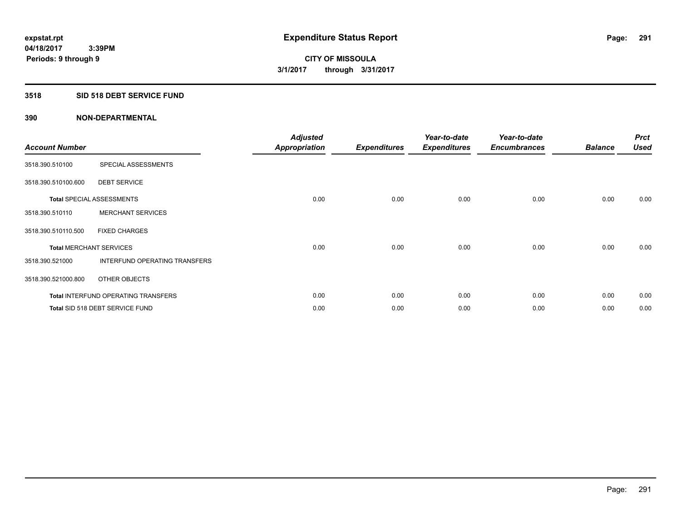## **3518 SID 518 DEBT SERVICE FUND**

| <b>Account Number</b>          |                                            | <b>Adjusted</b><br><b>Appropriation</b> | <b>Expenditures</b> | Year-to-date<br><b>Expenditures</b> | Year-to-date<br><b>Encumbrances</b> | <b>Balance</b> | <b>Prct</b><br><b>Used</b> |
|--------------------------------|--------------------------------------------|-----------------------------------------|---------------------|-------------------------------------|-------------------------------------|----------------|----------------------------|
| 3518.390.510100                | SPECIAL ASSESSMENTS                        |                                         |                     |                                     |                                     |                |                            |
| 3518.390.510100.600            | <b>DEBT SERVICE</b>                        |                                         |                     |                                     |                                     |                |                            |
|                                | <b>Total SPECIAL ASSESSMENTS</b>           | 0.00                                    | 0.00                | 0.00                                | 0.00                                | 0.00           | 0.00                       |
| 3518.390.510110                | <b>MERCHANT SERVICES</b>                   |                                         |                     |                                     |                                     |                |                            |
| 3518.390.510110.500            | <b>FIXED CHARGES</b>                       |                                         |                     |                                     |                                     |                |                            |
| <b>Total MERCHANT SERVICES</b> |                                            | 0.00                                    | 0.00                | 0.00                                | 0.00                                | 0.00           | 0.00                       |
| 3518.390.521000                | INTERFUND OPERATING TRANSFERS              |                                         |                     |                                     |                                     |                |                            |
| 3518.390.521000.800            | OTHER OBJECTS                              |                                         |                     |                                     |                                     |                |                            |
|                                | <b>Total INTERFUND OPERATING TRANSFERS</b> | 0.00                                    | 0.00                | 0.00                                | 0.00                                | 0.00           | 0.00                       |
|                                | Total SID 518 DEBT SERVICE FUND            | 0.00                                    | 0.00                | 0.00                                | 0.00                                | 0.00           | 0.00                       |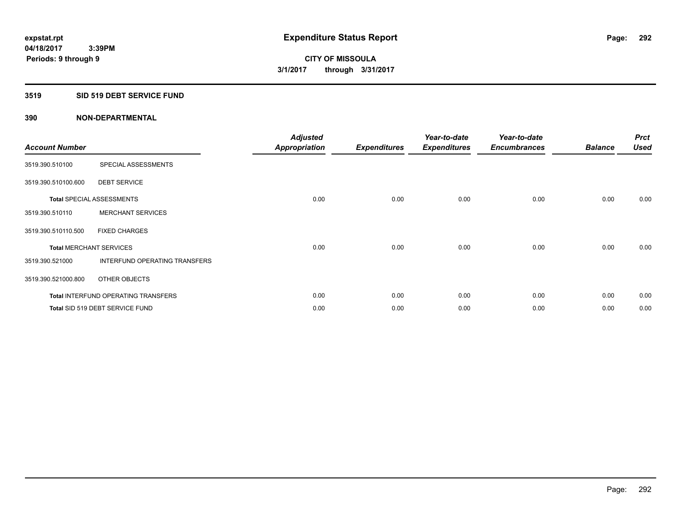### **3519 SID 519 DEBT SERVICE FUND**

| <b>Account Number</b>          |                                            | <b>Adjusted</b><br><b>Appropriation</b> | <b>Expenditures</b> | Year-to-date<br><b>Expenditures</b> | Year-to-date<br><b>Encumbrances</b> | <b>Balance</b> | <b>Prct</b><br><b>Used</b> |
|--------------------------------|--------------------------------------------|-----------------------------------------|---------------------|-------------------------------------|-------------------------------------|----------------|----------------------------|
| 3519.390.510100                | SPECIAL ASSESSMENTS                        |                                         |                     |                                     |                                     |                |                            |
| 3519.390.510100.600            | <b>DEBT SERVICE</b>                        |                                         |                     |                                     |                                     |                |                            |
|                                | <b>Total SPECIAL ASSESSMENTS</b>           | 0.00                                    | 0.00                | 0.00                                | 0.00                                | 0.00           | 0.00                       |
| 3519.390.510110                | <b>MERCHANT SERVICES</b>                   |                                         |                     |                                     |                                     |                |                            |
| 3519.390.510110.500            | <b>FIXED CHARGES</b>                       |                                         |                     |                                     |                                     |                |                            |
| <b>Total MERCHANT SERVICES</b> |                                            | 0.00                                    | 0.00                | 0.00                                | 0.00                                | 0.00           | 0.00                       |
| 3519.390.521000                | INTERFUND OPERATING TRANSFERS              |                                         |                     |                                     |                                     |                |                            |
| 3519.390.521000.800            | OTHER OBJECTS                              |                                         |                     |                                     |                                     |                |                            |
|                                | <b>Total INTERFUND OPERATING TRANSFERS</b> | 0.00                                    | 0.00                | 0.00                                | 0.00                                | 0.00           | 0.00                       |
|                                | Total SID 519 DEBT SERVICE FUND            | 0.00                                    | 0.00                | 0.00                                | 0.00                                | 0.00           | 0.00                       |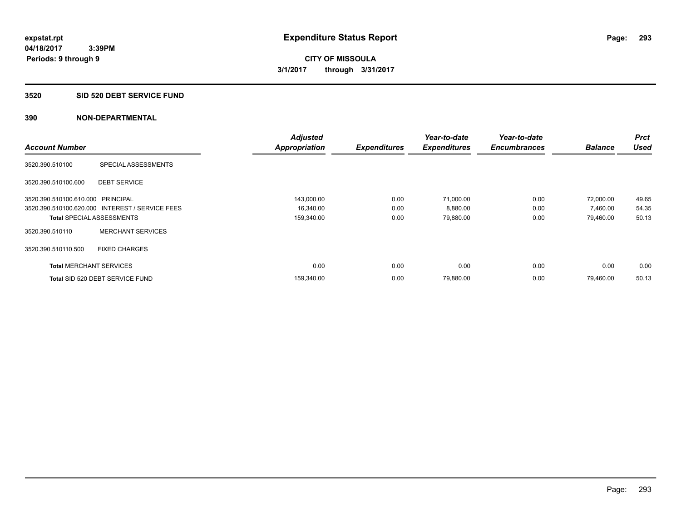#### **3520 SID 520 DEBT SERVICE FUND**

|                                   |                                                 | <b>Adjusted</b>      |                     | Year-to-date        | Year-to-date        |                | <b>Prct</b> |
|-----------------------------------|-------------------------------------------------|----------------------|---------------------|---------------------|---------------------|----------------|-------------|
| <b>Account Number</b>             |                                                 | <b>Appropriation</b> | <b>Expenditures</b> | <b>Expenditures</b> | <b>Encumbrances</b> | <b>Balance</b> | <b>Used</b> |
| 3520.390.510100                   | SPECIAL ASSESSMENTS                             |                      |                     |                     |                     |                |             |
| 3520.390.510100.600               | <b>DEBT SERVICE</b>                             |                      |                     |                     |                     |                |             |
| 3520.390.510100.610.000 PRINCIPAL |                                                 | 143,000.00           | 0.00                | 71.000.00           | 0.00                | 72,000.00      | 49.65       |
|                                   | 3520.390.510100.620.000 INTEREST / SERVICE FEES | 16,340.00            | 0.00                | 8,880.00            | 0.00                | 7,460.00       | 54.35       |
| <b>Total SPECIAL ASSESSMENTS</b>  |                                                 | 159,340.00           | 0.00                | 79,880.00           | 0.00                | 79,460.00      | 50.13       |
| 3520.390.510110                   | <b>MERCHANT SERVICES</b>                        |                      |                     |                     |                     |                |             |
| 3520.390.510110.500               | <b>FIXED CHARGES</b>                            |                      |                     |                     |                     |                |             |
| <b>Total MERCHANT SERVICES</b>    |                                                 | 0.00                 | 0.00                | 0.00                | 0.00                | 0.00           | 0.00        |
|                                   | Total SID 520 DEBT SERVICE FUND                 | 159,340.00           | 0.00                | 79,880.00           | 0.00                | 79.460.00      | 50.13       |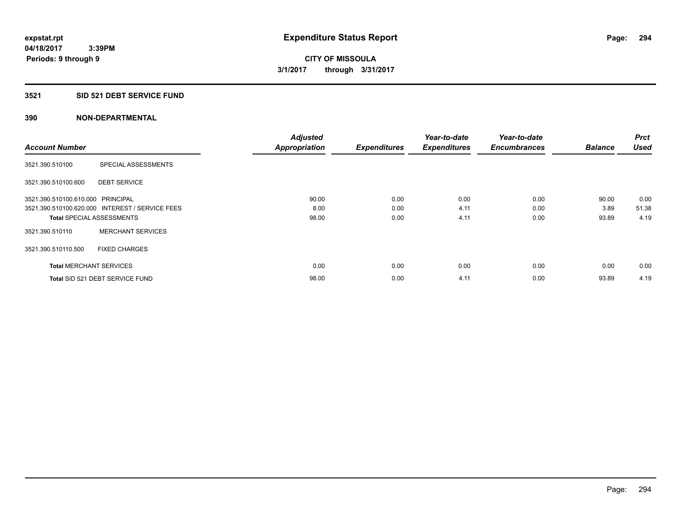#### **3521 SID 521 DEBT SERVICE FUND**

| <b>Account Number</b>             |                                                 | <b>Adjusted</b><br><b>Appropriation</b> | <b>Expenditures</b> | Year-to-date<br><b>Expenditures</b> | Year-to-date<br><b>Encumbrances</b> | <b>Balance</b> | <b>Prct</b><br><b>Used</b> |
|-----------------------------------|-------------------------------------------------|-----------------------------------------|---------------------|-------------------------------------|-------------------------------------|----------------|----------------------------|
|                                   |                                                 |                                         |                     |                                     |                                     |                |                            |
| 3521.390.510100                   | SPECIAL ASSESSMENTS                             |                                         |                     |                                     |                                     |                |                            |
| 3521.390.510100.600               | <b>DEBT SERVICE</b>                             |                                         |                     |                                     |                                     |                |                            |
| 3521.390.510100.610.000 PRINCIPAL |                                                 | 90.00                                   | 0.00                | 0.00                                | 0.00                                | 90.00          | 0.00                       |
|                                   | 3521.390.510100.620.000 INTEREST / SERVICE FEES | 8.00                                    | 0.00                | 4.11                                | 0.00                                | 3.89           | 51.38                      |
| <b>Total SPECIAL ASSESSMENTS</b>  |                                                 | 98.00                                   | 0.00                | 4.11                                | 0.00                                | 93.89          | 4.19                       |
| 3521.390.510110                   | <b>MERCHANT SERVICES</b>                        |                                         |                     |                                     |                                     |                |                            |
| 3521.390.510110.500               | <b>FIXED CHARGES</b>                            |                                         |                     |                                     |                                     |                |                            |
| <b>Total MERCHANT SERVICES</b>    |                                                 | 0.00                                    | 0.00                | 0.00                                | 0.00                                | 0.00           | 0.00                       |
|                                   | Total SID 521 DEBT SERVICE FUND                 | 98.00                                   | 0.00                | 4.11                                | 0.00                                | 93.89          | 4.19                       |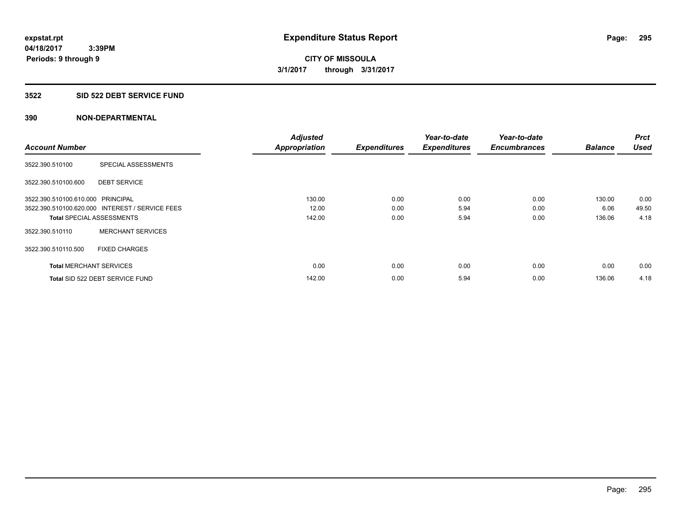#### **3522 SID 522 DEBT SERVICE FUND**

|                                   |                                                 | <b>Adjusted</b>      |                     | Year-to-date        | Year-to-date        |                | <b>Prct</b> |
|-----------------------------------|-------------------------------------------------|----------------------|---------------------|---------------------|---------------------|----------------|-------------|
| <b>Account Number</b>             |                                                 | <b>Appropriation</b> | <b>Expenditures</b> | <b>Expenditures</b> | <b>Encumbrances</b> | <b>Balance</b> | <b>Used</b> |
| 3522.390.510100                   | SPECIAL ASSESSMENTS                             |                      |                     |                     |                     |                |             |
| 3522.390.510100.600               | <b>DEBT SERVICE</b>                             |                      |                     |                     |                     |                |             |
| 3522.390.510100.610.000 PRINCIPAL |                                                 | 130.00               | 0.00                | 0.00                | 0.00                | 130.00         | 0.00        |
|                                   | 3522.390.510100.620.000 INTEREST / SERVICE FEES | 12.00                | 0.00                | 5.94                | 0.00                | 6.06           | 49.50       |
| <b>Total SPECIAL ASSESSMENTS</b>  |                                                 | 142.00               | 0.00                | 5.94                | 0.00                | 136.06         | 4.18        |
| 3522.390.510110                   | <b>MERCHANT SERVICES</b>                        |                      |                     |                     |                     |                |             |
| 3522.390.510110.500               | <b>FIXED CHARGES</b>                            |                      |                     |                     |                     |                |             |
| <b>Total MERCHANT SERVICES</b>    |                                                 | 0.00                 | 0.00                | 0.00                | 0.00                | 0.00           | 0.00        |
|                                   | Total SID 522 DEBT SERVICE FUND                 | 142.00               | 0.00                | 5.94                | 0.00                | 136.06         | 4.18        |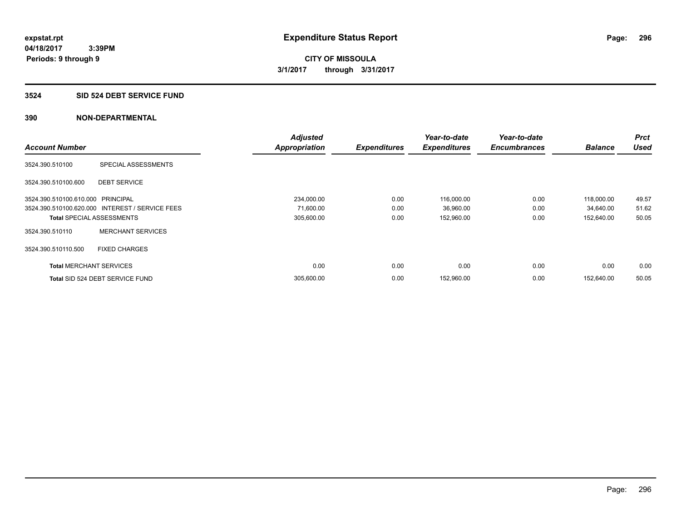## **3524 SID 524 DEBT SERVICE FUND**

|                                   |                                                 | <b>Adjusted</b>      |                     | Year-to-date        | Year-to-date        |                | <b>Prct</b> |
|-----------------------------------|-------------------------------------------------|----------------------|---------------------|---------------------|---------------------|----------------|-------------|
| <b>Account Number</b>             |                                                 | <b>Appropriation</b> | <b>Expenditures</b> | <b>Expenditures</b> | <b>Encumbrances</b> | <b>Balance</b> | <b>Used</b> |
| 3524.390.510100                   | SPECIAL ASSESSMENTS                             |                      |                     |                     |                     |                |             |
| 3524.390.510100.600               | <b>DEBT SERVICE</b>                             |                      |                     |                     |                     |                |             |
| 3524.390.510100.610.000 PRINCIPAL |                                                 | 234,000.00           | 0.00                | 116,000.00          | 0.00                | 118,000.00     | 49.57       |
|                                   | 3524.390.510100.620.000 INTEREST / SERVICE FEES | 71,600.00            | 0.00                | 36,960.00           | 0.00                | 34,640.00      | 51.62       |
| <b>Total SPECIAL ASSESSMENTS</b>  |                                                 | 305,600.00           | 0.00                | 152,960.00          | 0.00                | 152,640.00     | 50.05       |
| 3524.390.510110                   | <b>MERCHANT SERVICES</b>                        |                      |                     |                     |                     |                |             |
| 3524.390.510110.500               | <b>FIXED CHARGES</b>                            |                      |                     |                     |                     |                |             |
| <b>Total MERCHANT SERVICES</b>    |                                                 | 0.00                 | 0.00                | 0.00                | 0.00                | 0.00           | 0.00        |
|                                   | Total SID 524 DEBT SERVICE FUND                 | 305,600.00           | 0.00                | 152,960.00          | 0.00                | 152.640.00     | 50.05       |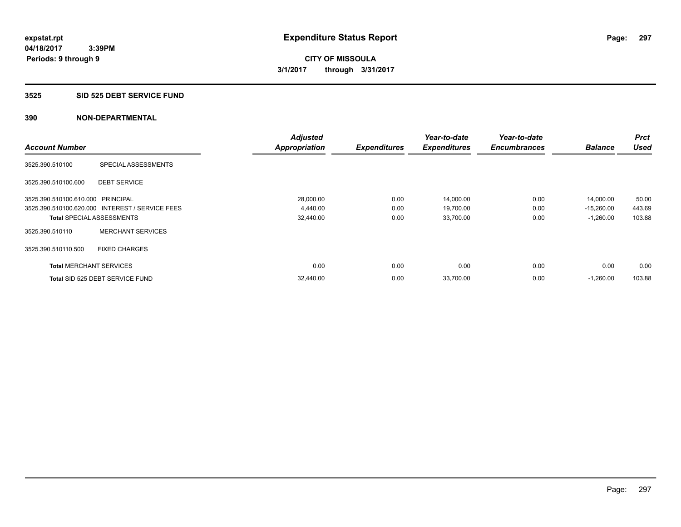#### **3525 SID 525 DEBT SERVICE FUND**

|                                   |                                                 | <b>Adjusted</b>      |                     | Year-to-date        | Year-to-date        |                | <b>Prct</b> |
|-----------------------------------|-------------------------------------------------|----------------------|---------------------|---------------------|---------------------|----------------|-------------|
| <b>Account Number</b>             |                                                 | <b>Appropriation</b> | <b>Expenditures</b> | <b>Expenditures</b> | <b>Encumbrances</b> | <b>Balance</b> | <b>Used</b> |
| 3525.390.510100                   | SPECIAL ASSESSMENTS                             |                      |                     |                     |                     |                |             |
| 3525.390.510100.600               | <b>DEBT SERVICE</b>                             |                      |                     |                     |                     |                |             |
| 3525.390.510100.610.000 PRINCIPAL |                                                 | 28,000.00            | 0.00                | 14,000.00           | 0.00                | 14,000.00      | 50.00       |
|                                   | 3525.390.510100.620.000 INTEREST / SERVICE FEES | 4,440.00             | 0.00                | 19,700.00           | 0.00                | $-15,260.00$   | 443.69      |
| <b>Total SPECIAL ASSESSMENTS</b>  |                                                 | 32,440.00            | 0.00                | 33,700.00           | 0.00                | $-1,260.00$    | 103.88      |
| 3525.390.510110                   | <b>MERCHANT SERVICES</b>                        |                      |                     |                     |                     |                |             |
| 3525.390.510110.500               | <b>FIXED CHARGES</b>                            |                      |                     |                     |                     |                |             |
| <b>Total MERCHANT SERVICES</b>    |                                                 | 0.00                 | 0.00                | 0.00                | 0.00                | 0.00           | 0.00        |
|                                   | Total SID 525 DEBT SERVICE FUND                 | 32,440.00            | 0.00                | 33,700.00           | 0.00                | $-1,260.00$    | 103.88      |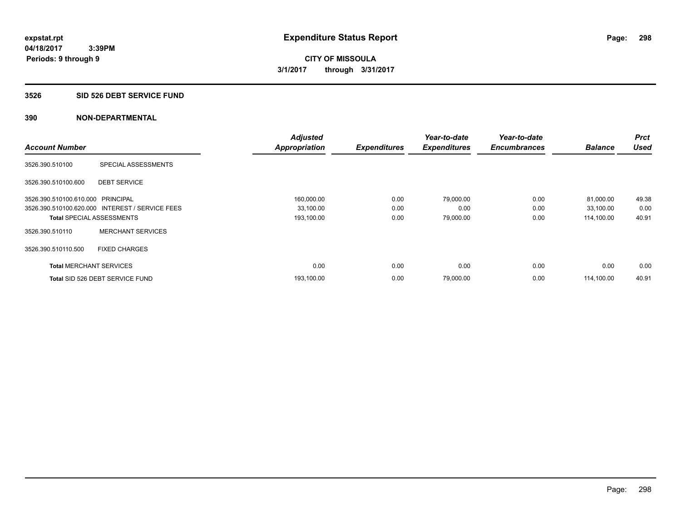#### **3526 SID 526 DEBT SERVICE FUND**

|                                   |                                                 | <b>Adjusted</b>      |                     | Year-to-date        | Year-to-date        |                | Prct        |
|-----------------------------------|-------------------------------------------------|----------------------|---------------------|---------------------|---------------------|----------------|-------------|
| <b>Account Number</b>             |                                                 | <b>Appropriation</b> | <b>Expenditures</b> | <b>Expenditures</b> | <b>Encumbrances</b> | <b>Balance</b> | <b>Used</b> |
| 3526.390.510100                   | SPECIAL ASSESSMENTS                             |                      |                     |                     |                     |                |             |
| 3526.390.510100.600               | <b>DEBT SERVICE</b>                             |                      |                     |                     |                     |                |             |
| 3526.390.510100.610.000 PRINCIPAL |                                                 | 160,000.00           | 0.00                | 79.000.00           | 0.00                | 81,000.00      | 49.38       |
|                                   | 3526.390.510100.620.000 INTEREST / SERVICE FEES | 33,100.00            | 0.00                | 0.00                | 0.00                | 33,100.00      | 0.00        |
| <b>Total SPECIAL ASSESSMENTS</b>  |                                                 | 193,100.00           | 0.00                | 79,000.00           | 0.00                | 114,100.00     | 40.91       |
| 3526.390.510110                   | <b>MERCHANT SERVICES</b>                        |                      |                     |                     |                     |                |             |
| 3526.390.510110.500               | <b>FIXED CHARGES</b>                            |                      |                     |                     |                     |                |             |
| <b>Total MERCHANT SERVICES</b>    |                                                 | 0.00                 | 0.00                | 0.00                | 0.00                | 0.00           | 0.00        |
|                                   | Total SID 526 DEBT SERVICE FUND                 | 193,100.00           | 0.00                | 79,000.00           | 0.00                | 114.100.00     | 40.91       |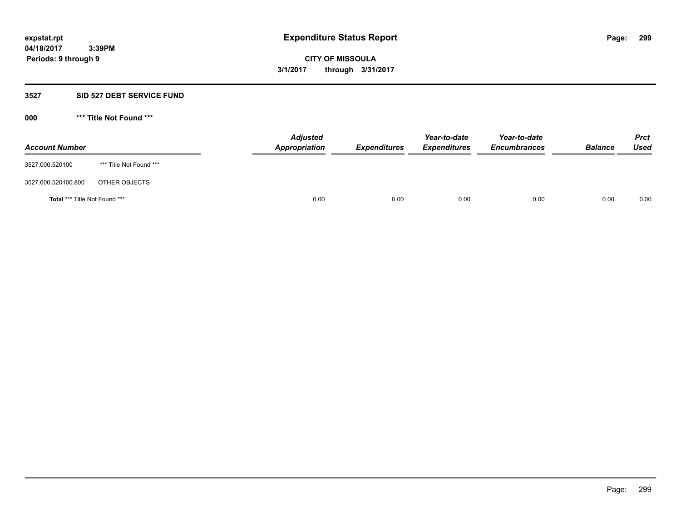#### **3527 SID 527 DEBT SERVICE FUND**

**000 \*\*\* Title Not Found \*\*\***

| <b>Account Number</b>                |                         | <b>Adjusted</b><br><b>Appropriation</b> | <b>Expenditures</b> | Year-to-date<br><b>Expenditures</b> | Year-to-date<br><b>Encumbrances</b> | <b>Balance</b> | <b>Prct</b><br><b>Used</b> |
|--------------------------------------|-------------------------|-----------------------------------------|---------------------|-------------------------------------|-------------------------------------|----------------|----------------------------|
| 3527.000.520100                      | *** Title Not Found *** |                                         |                     |                                     |                                     |                |                            |
| 3527.000.520100.800                  | OTHER OBJECTS           |                                         |                     |                                     |                                     |                |                            |
| <b>Total *** Title Not Found ***</b> |                         | 0.00                                    | 0.00                | 0.00                                | 0.00                                | 0.00           | 0.00                       |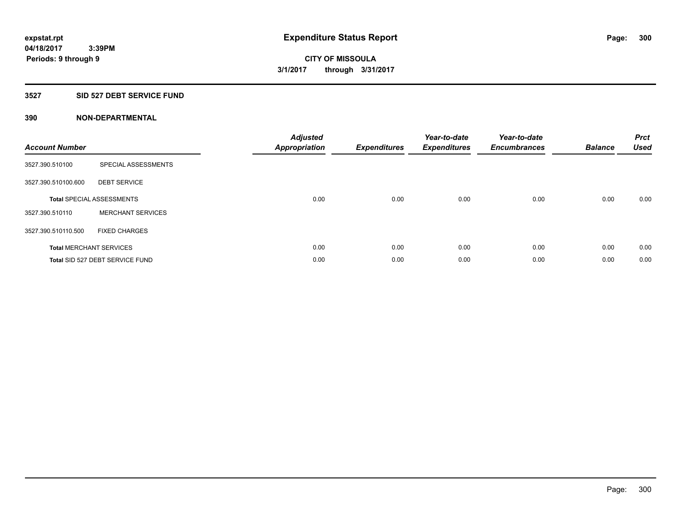### **3527 SID 527 DEBT SERVICE FUND**

| <b>Account Number</b> |                                  | <b>Adjusted</b><br>Appropriation | <b>Expenditures</b> | Year-to-date<br><b>Expenditures</b> | Year-to-date<br><b>Encumbrances</b> | <b>Balance</b> | <b>Prct</b><br><b>Used</b> |
|-----------------------|----------------------------------|----------------------------------|---------------------|-------------------------------------|-------------------------------------|----------------|----------------------------|
| 3527.390.510100       | SPECIAL ASSESSMENTS              |                                  |                     |                                     |                                     |                |                            |
| 3527.390.510100.600   | <b>DEBT SERVICE</b>              |                                  |                     |                                     |                                     |                |                            |
|                       | <b>Total SPECIAL ASSESSMENTS</b> | 0.00                             | 0.00                | 0.00                                | 0.00                                | 0.00           | 0.00                       |
| 3527.390.510110       | <b>MERCHANT SERVICES</b>         |                                  |                     |                                     |                                     |                |                            |
| 3527.390.510110.500   | <b>FIXED CHARGES</b>             |                                  |                     |                                     |                                     |                |                            |
|                       | <b>Total MERCHANT SERVICES</b>   | 0.00                             | 0.00                | 0.00                                | 0.00                                | 0.00           | 0.00                       |
|                       | Total SID 527 DEBT SERVICE FUND  | 0.00                             | 0.00                | 0.00                                | 0.00                                | 0.00           | 0.00                       |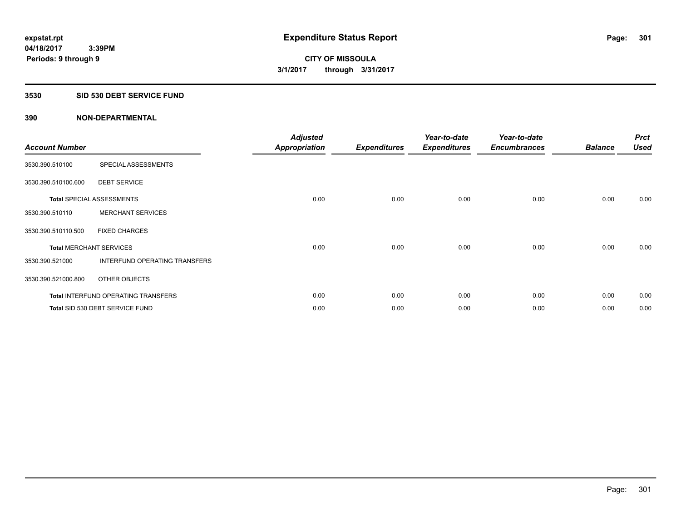## **3530 SID 530 DEBT SERVICE FUND**

| <b>Account Number</b>          |                                            | <b>Adjusted</b><br><b>Appropriation</b> | <b>Expenditures</b> | Year-to-date<br><b>Expenditures</b> | Year-to-date<br><b>Encumbrances</b> | <b>Balance</b> | <b>Prct</b><br><b>Used</b> |
|--------------------------------|--------------------------------------------|-----------------------------------------|---------------------|-------------------------------------|-------------------------------------|----------------|----------------------------|
| 3530.390.510100                | SPECIAL ASSESSMENTS                        |                                         |                     |                                     |                                     |                |                            |
| 3530.390.510100.600            | <b>DEBT SERVICE</b>                        |                                         |                     |                                     |                                     |                |                            |
|                                | <b>Total SPECIAL ASSESSMENTS</b>           | 0.00                                    | 0.00                | 0.00                                | 0.00                                | 0.00           | 0.00                       |
| 3530.390.510110                | <b>MERCHANT SERVICES</b>                   |                                         |                     |                                     |                                     |                |                            |
| 3530.390.510110.500            | <b>FIXED CHARGES</b>                       |                                         |                     |                                     |                                     |                |                            |
| <b>Total MERCHANT SERVICES</b> |                                            | 0.00                                    | 0.00                | 0.00                                | 0.00                                | 0.00           | 0.00                       |
| 3530.390.521000                | INTERFUND OPERATING TRANSFERS              |                                         |                     |                                     |                                     |                |                            |
| 3530.390.521000.800            | OTHER OBJECTS                              |                                         |                     |                                     |                                     |                |                            |
|                                | <b>Total INTERFUND OPERATING TRANSFERS</b> | 0.00                                    | 0.00                | 0.00                                | 0.00                                | 0.00           | 0.00                       |
|                                | Total SID 530 DEBT SERVICE FUND            | 0.00                                    | 0.00                | 0.00                                | 0.00                                | 0.00           | 0.00                       |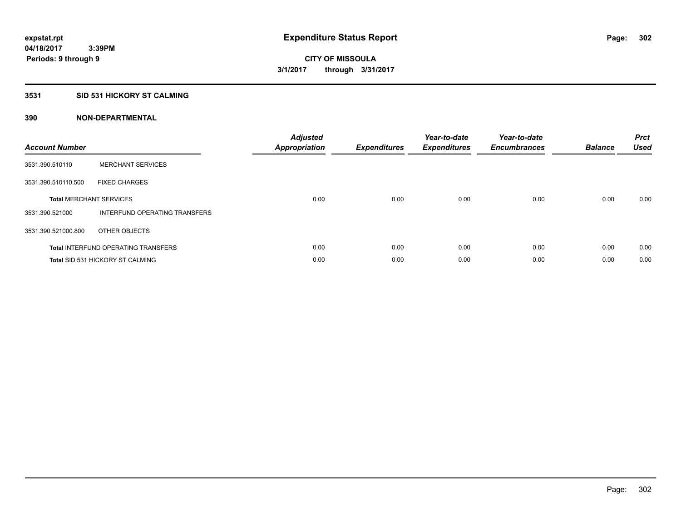### **3531 SID 531 HICKORY ST CALMING**

| <b>Account Number</b> |                                            | <b>Adjusted</b><br>Appropriation | <b>Expenditures</b> | Year-to-date<br><b>Expenditures</b> | Year-to-date<br><b>Encumbrances</b> | <b>Balance</b> | <b>Prct</b><br><b>Used</b> |
|-----------------------|--------------------------------------------|----------------------------------|---------------------|-------------------------------------|-------------------------------------|----------------|----------------------------|
| 3531.390.510110       | <b>MERCHANT SERVICES</b>                   |                                  |                     |                                     |                                     |                |                            |
| 3531.390.510110.500   | <b>FIXED CHARGES</b>                       |                                  |                     |                                     |                                     |                |                            |
|                       | <b>Total MERCHANT SERVICES</b>             | 0.00                             | 0.00                | 0.00                                | 0.00                                | 0.00           | 0.00                       |
| 3531.390.521000       | INTERFUND OPERATING TRANSFERS              |                                  |                     |                                     |                                     |                |                            |
| 3531.390.521000.800   | OTHER OBJECTS                              |                                  |                     |                                     |                                     |                |                            |
|                       | <b>Total INTERFUND OPERATING TRANSFERS</b> | 0.00                             | 0.00                | 0.00                                | 0.00                                | 0.00           | 0.00                       |
|                       | Total SID 531 HICKORY ST CALMING           | 0.00                             | 0.00                | 0.00                                | 0.00                                | 0.00           | 0.00                       |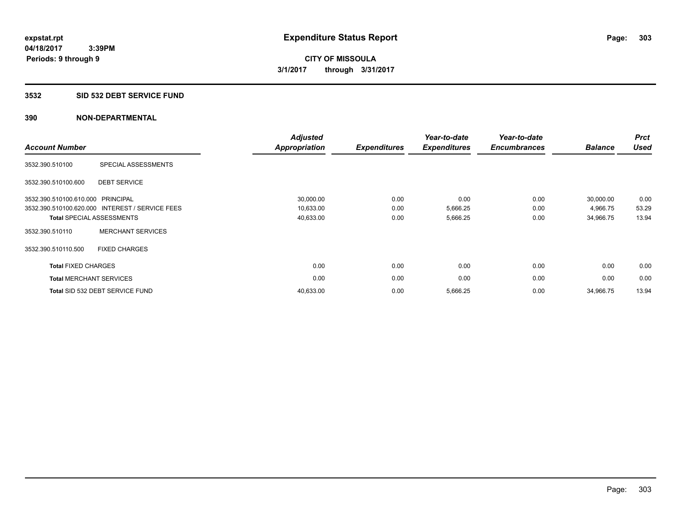### **3532 SID 532 DEBT SERVICE FUND**

| <b>Account Number</b>             |                                                 | <b>Adjusted</b><br><b>Appropriation</b> | <b>Expenditures</b> | Year-to-date<br><b>Expenditures</b> | Year-to-date<br><b>Encumbrances</b> | <b>Balance</b> | <b>Prct</b><br><b>Used</b> |
|-----------------------------------|-------------------------------------------------|-----------------------------------------|---------------------|-------------------------------------|-------------------------------------|----------------|----------------------------|
| 3532.390.510100                   | SPECIAL ASSESSMENTS                             |                                         |                     |                                     |                                     |                |                            |
| 3532.390.510100.600               | <b>DEBT SERVICE</b>                             |                                         |                     |                                     |                                     |                |                            |
| 3532.390.510100.610.000 PRINCIPAL |                                                 | 30,000.00                               | 0.00                | 0.00                                | 0.00                                | 30,000.00      | 0.00                       |
|                                   | 3532.390.510100.620.000 INTEREST / SERVICE FEES | 10,633.00                               | 0.00                | 5,666.25                            | 0.00                                | 4,966.75       | 53.29                      |
|                                   | <b>Total SPECIAL ASSESSMENTS</b>                | 40,633.00                               | 0.00                | 5,666.25                            | 0.00                                | 34,966.75      | 13.94                      |
| 3532.390.510110                   | <b>MERCHANT SERVICES</b>                        |                                         |                     |                                     |                                     |                |                            |
| 3532.390.510110.500               | <b>FIXED CHARGES</b>                            |                                         |                     |                                     |                                     |                |                            |
| <b>Total FIXED CHARGES</b>        |                                                 | 0.00                                    | 0.00                | 0.00                                | 0.00                                | 0.00           | 0.00                       |
|                                   | <b>Total MERCHANT SERVICES</b>                  | 0.00                                    | 0.00                | 0.00                                | 0.00                                | 0.00           | 0.00                       |
|                                   | Total SID 532 DEBT SERVICE FUND                 | 40,633.00                               | 0.00                | 5,666.25                            | 0.00                                | 34,966.75      | 13.94                      |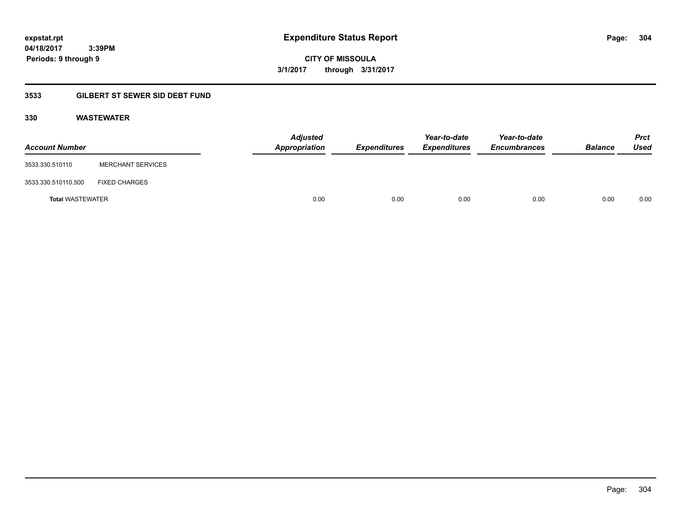**expstat.rpt Expenditure Status Report Page:**

**04/18/2017 3:39PM Periods: 9 through 9**

**CITY OF MISSOULA 3/1/2017 through 3/31/2017**

## **3533 GILBERT ST SEWER SID DEBT FUND**

## **330 WASTEWATER**

| <b>Account Number</b>   |                          | <b>Adjusted</b><br>Appropriation | <b>Expenditures</b> | Year-to-date<br><b>Expenditures</b> | Year-to-date<br><b>Encumbrances</b> | <b>Balance</b> | <b>Prct</b><br>Used |
|-------------------------|--------------------------|----------------------------------|---------------------|-------------------------------------|-------------------------------------|----------------|---------------------|
| 3533.330.510110         | <b>MERCHANT SERVICES</b> |                                  |                     |                                     |                                     |                |                     |
| 3533.330.510110.500     | <b>FIXED CHARGES</b>     |                                  |                     |                                     |                                     |                |                     |
| <b>Total WASTEWATER</b> |                          | 0.00                             | 0.00                | 0.00                                | 0.00                                | 0.00           | 0.00                |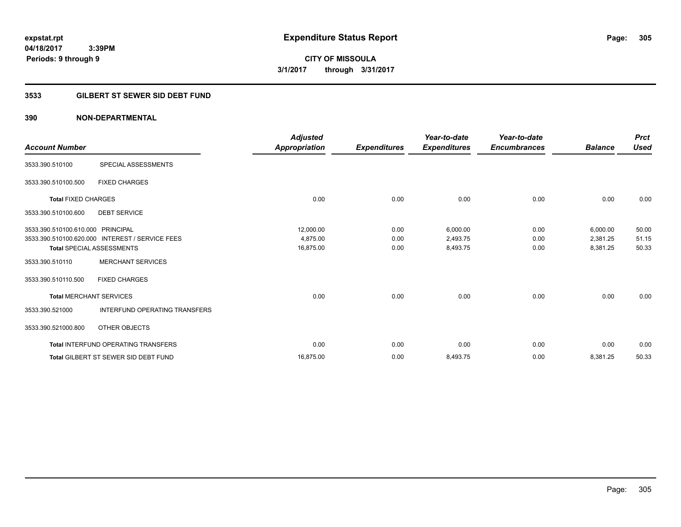# **CITY OF MISSOULA 3/1/2017 through 3/31/2017**

## **3533 GILBERT ST SEWER SID DEBT FUND**

|                                   |                                                 | <b>Adjusted</b> |                     | Year-to-date        | Year-to-date        |                | <b>Prct</b> |
|-----------------------------------|-------------------------------------------------|-----------------|---------------------|---------------------|---------------------|----------------|-------------|
| <b>Account Number</b>             |                                                 | Appropriation   | <b>Expenditures</b> | <b>Expenditures</b> | <b>Encumbrances</b> | <b>Balance</b> | <b>Used</b> |
| 3533.390.510100                   | SPECIAL ASSESSMENTS                             |                 |                     |                     |                     |                |             |
| 3533.390.510100.500               | <b>FIXED CHARGES</b>                            |                 |                     |                     |                     |                |             |
| <b>Total FIXED CHARGES</b>        |                                                 | 0.00            | 0.00                | 0.00                | 0.00                | 0.00           | 0.00        |
| 3533.390.510100.600               | <b>DEBT SERVICE</b>                             |                 |                     |                     |                     |                |             |
| 3533.390.510100.610.000 PRINCIPAL |                                                 | 12,000.00       | 0.00                | 6,000.00            | 0.00                | 6,000.00       | 50.00       |
|                                   | 3533.390.510100.620.000 INTEREST / SERVICE FEES | 4.875.00        | 0.00                | 2,493.75            | 0.00                | 2,381.25       | 51.15       |
|                                   | <b>Total SPECIAL ASSESSMENTS</b>                | 16,875.00       | 0.00                | 8,493.75            | 0.00                | 8,381.25       | 50.33       |
| 3533.390.510110                   | <b>MERCHANT SERVICES</b>                        |                 |                     |                     |                     |                |             |
| 3533.390.510110.500               | <b>FIXED CHARGES</b>                            |                 |                     |                     |                     |                |             |
| <b>Total MERCHANT SERVICES</b>    |                                                 | 0.00            | 0.00                | 0.00                | 0.00                | 0.00           | 0.00        |
| 3533.390.521000                   | <b>INTERFUND OPERATING TRANSFERS</b>            |                 |                     |                     |                     |                |             |
| 3533.390.521000.800               | OTHER OBJECTS                                   |                 |                     |                     |                     |                |             |
|                                   | <b>Total INTERFUND OPERATING TRANSFERS</b>      | 0.00            | 0.00                | 0.00                | 0.00                | 0.00           | 0.00        |
|                                   | <b>Total GILBERT ST SEWER SID DEBT FUND</b>     | 16,875.00       | 0.00                | 8,493.75            | 0.00                | 8,381.25       | 50.33       |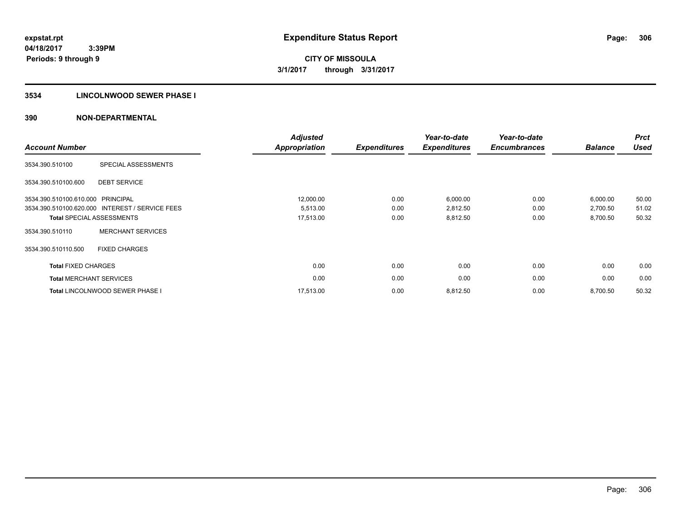## **3534 LINCOLNWOOD SEWER PHASE I**

| <b>Account Number</b>             |                                                 | <b>Adjusted</b><br><b>Appropriation</b> | <b>Expenditures</b> | Year-to-date<br><b>Expenditures</b> | Year-to-date<br><b>Encumbrances</b> | <b>Balance</b> | <b>Prct</b><br><b>Used</b> |
|-----------------------------------|-------------------------------------------------|-----------------------------------------|---------------------|-------------------------------------|-------------------------------------|----------------|----------------------------|
| 3534.390.510100                   | SPECIAL ASSESSMENTS                             |                                         |                     |                                     |                                     |                |                            |
| 3534.390.510100.600               | <b>DEBT SERVICE</b>                             |                                         |                     |                                     |                                     |                |                            |
| 3534.390.510100.610.000 PRINCIPAL |                                                 | 12,000.00                               | 0.00                | 6,000.00                            | 0.00                                | 6,000.00       | 50.00                      |
|                                   | 3534.390.510100.620.000 INTEREST / SERVICE FEES | 5,513.00                                | 0.00                | 2,812.50                            | 0.00                                | 2,700.50       | 51.02                      |
|                                   | <b>Total SPECIAL ASSESSMENTS</b>                | 17,513.00                               | 0.00                | 8,812.50                            | 0.00                                | 8,700.50       | 50.32                      |
| 3534.390.510110                   | <b>MERCHANT SERVICES</b>                        |                                         |                     |                                     |                                     |                |                            |
| 3534.390.510110.500               | <b>FIXED CHARGES</b>                            |                                         |                     |                                     |                                     |                |                            |
| <b>Total FIXED CHARGES</b>        |                                                 | 0.00                                    | 0.00                | 0.00                                | 0.00                                | 0.00           | 0.00                       |
| <b>Total MERCHANT SERVICES</b>    |                                                 | 0.00                                    | 0.00                | 0.00                                | 0.00                                | 0.00           | 0.00                       |
|                                   | <b>Total LINCOLNWOOD SEWER PHASE I</b>          | 17,513.00                               | 0.00                | 8,812.50                            | 0.00                                | 8,700.50       | 50.32                      |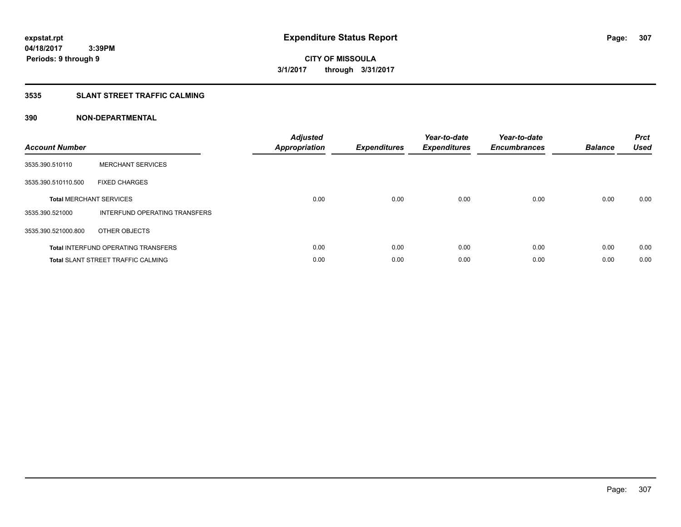## **3535 SLANT STREET TRAFFIC CALMING**

| <b>Account Number</b> |                                            | <b>Adjusted</b><br><b>Appropriation</b> | <b>Expenditures</b> | Year-to-date<br><b>Expenditures</b> | Year-to-date<br><b>Encumbrances</b> | <b>Balance</b> | <b>Prct</b><br><b>Used</b> |
|-----------------------|--------------------------------------------|-----------------------------------------|---------------------|-------------------------------------|-------------------------------------|----------------|----------------------------|
| 3535.390.510110       | <b>MERCHANT SERVICES</b>                   |                                         |                     |                                     |                                     |                |                            |
| 3535.390.510110.500   | <b>FIXED CHARGES</b>                       |                                         |                     |                                     |                                     |                |                            |
|                       | <b>Total MERCHANT SERVICES</b>             | 0.00                                    | 0.00                | 0.00                                | 0.00                                | 0.00           | 0.00                       |
| 3535.390.521000       | INTERFUND OPERATING TRANSFERS              |                                         |                     |                                     |                                     |                |                            |
| 3535.390.521000.800   | OTHER OBJECTS                              |                                         |                     |                                     |                                     |                |                            |
|                       | <b>Total INTERFUND OPERATING TRANSFERS</b> | 0.00                                    | 0.00                | 0.00                                | 0.00                                | 0.00           | 0.00                       |
|                       | <b>Total SLANT STREET TRAFFIC CALMING</b>  | 0.00                                    | 0.00                | 0.00                                | 0.00                                | 0.00           | 0.00                       |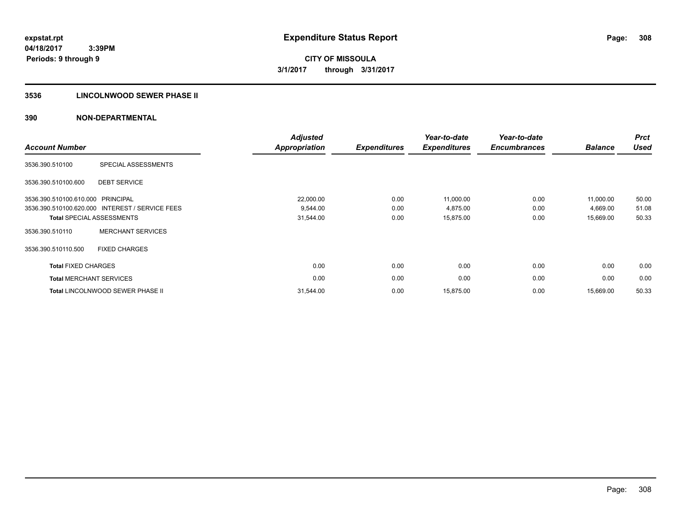## **3536 LINCOLNWOOD SEWER PHASE II**

| <b>Account Number</b>          |                                                 | <b>Adjusted</b><br><b>Appropriation</b> | <b>Expenditures</b> | Year-to-date<br><b>Expenditures</b> | Year-to-date<br><b>Encumbrances</b> | <b>Balance</b> | <b>Prct</b><br><b>Used</b> |
|--------------------------------|-------------------------------------------------|-----------------------------------------|---------------------|-------------------------------------|-------------------------------------|----------------|----------------------------|
| 3536.390.510100                | SPECIAL ASSESSMENTS                             |                                         |                     |                                     |                                     |                |                            |
| 3536.390.510100.600            | <b>DEBT SERVICE</b>                             |                                         |                     |                                     |                                     |                |                            |
| 3536.390.510100.610.000        | PRINCIPAL                                       | 22,000.00                               | 0.00                | 11,000.00                           | 0.00                                | 11,000.00      | 50.00                      |
|                                | 3536.390.510100.620.000 INTEREST / SERVICE FEES | 9,544.00                                | 0.00                | 4,875.00                            | 0.00                                | 4,669.00       | 51.08                      |
|                                | <b>Total SPECIAL ASSESSMENTS</b>                | 31,544.00                               | 0.00                | 15,875.00                           | 0.00                                | 15,669.00      | 50.33                      |
| 3536.390.510110                | <b>MERCHANT SERVICES</b>                        |                                         |                     |                                     |                                     |                |                            |
| 3536.390.510110.500            | <b>FIXED CHARGES</b>                            |                                         |                     |                                     |                                     |                |                            |
| <b>Total FIXED CHARGES</b>     |                                                 | 0.00                                    | 0.00                | 0.00                                | 0.00                                | 0.00           | 0.00                       |
| <b>Total MERCHANT SERVICES</b> |                                                 | 0.00                                    | 0.00                | 0.00                                | 0.00                                | 0.00           | 0.00                       |
|                                | <b>Total LINCOLNWOOD SEWER PHASE II</b>         | 31,544.00                               | 0.00                | 15,875.00                           | 0.00                                | 15,669.00      | 50.33                      |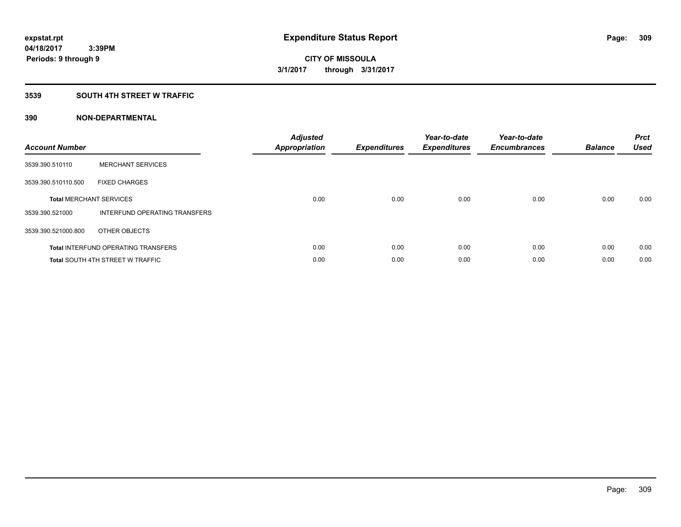## **3539 SOUTH 4TH STREET W TRAFFIC**

| <b>Account Number</b> |                                            | <b>Adjusted</b><br>Appropriation | <b>Expenditures</b> | Year-to-date<br><b>Expenditures</b> | Year-to-date<br><b>Encumbrances</b> | <b>Balance</b> | <b>Prct</b><br><b>Used</b> |
|-----------------------|--------------------------------------------|----------------------------------|---------------------|-------------------------------------|-------------------------------------|----------------|----------------------------|
| 3539.390.510110       | <b>MERCHANT SERVICES</b>                   |                                  |                     |                                     |                                     |                |                            |
| 3539.390.510110.500   | <b>FIXED CHARGES</b>                       |                                  |                     |                                     |                                     |                |                            |
|                       | <b>Total MERCHANT SERVICES</b>             | 0.00                             | 0.00                | 0.00                                | 0.00                                | 0.00           | 0.00                       |
| 3539.390.521000       | INTERFUND OPERATING TRANSFERS              |                                  |                     |                                     |                                     |                |                            |
| 3539.390.521000.800   | OTHER OBJECTS                              |                                  |                     |                                     |                                     |                |                            |
|                       | <b>Total INTERFUND OPERATING TRANSFERS</b> | 0.00                             | 0.00                | 0.00                                | 0.00                                | 0.00           | 0.00                       |
|                       | <b>Total SOUTH 4TH STREET W TRAFFIC</b>    | 0.00                             | 0.00                | 0.00                                | 0.00                                | 0.00           | 0.00                       |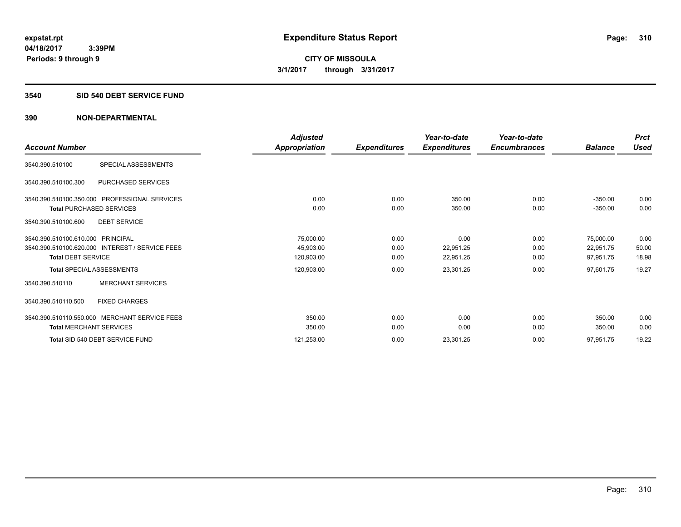#### **3540 SID 540 DEBT SERVICE FUND**

|                                                 | <b>Adjusted</b> |                     | Year-to-date        | Year-to-date        |                | <b>Prct</b> |
|-------------------------------------------------|-----------------|---------------------|---------------------|---------------------|----------------|-------------|
| <b>Account Number</b>                           | Appropriation   | <b>Expenditures</b> | <b>Expenditures</b> | <b>Encumbrances</b> | <b>Balance</b> | <b>Used</b> |
| 3540.390.510100<br>SPECIAL ASSESSMENTS          |                 |                     |                     |                     |                |             |
| PURCHASED SERVICES<br>3540.390.510100.300       |                 |                     |                     |                     |                |             |
| 3540.390.510100.350.000 PROFESSIONAL SERVICES   | 0.00            | 0.00                | 350.00              | 0.00                | $-350.00$      | 0.00        |
| <b>Total PURCHASED SERVICES</b>                 | 0.00            | 0.00                | 350.00              | 0.00                | $-350.00$      | 0.00        |
| 3540.390.510100.600<br><b>DEBT SERVICE</b>      |                 |                     |                     |                     |                |             |
| 3540.390.510100.610.000 PRINCIPAL               | 75,000.00       | 0.00                | 0.00                | 0.00                | 75,000.00      | 0.00        |
| 3540.390.510100.620.000 INTEREST / SERVICE FEES | 45,903.00       | 0.00                | 22,951.25           | 0.00                | 22,951.75      | 50.00       |
| <b>Total DEBT SERVICE</b>                       | 120,903.00      | 0.00                | 22,951.25           | 0.00                | 97,951.75      | 18.98       |
| <b>Total SPECIAL ASSESSMENTS</b>                | 120,903.00      | 0.00                | 23,301.25           | 0.00                | 97,601.75      | 19.27       |
| 3540.390.510110<br><b>MERCHANT SERVICES</b>     |                 |                     |                     |                     |                |             |
| <b>FIXED CHARGES</b><br>3540.390.510110.500     |                 |                     |                     |                     |                |             |
| 3540.390.510110.550.000 MERCHANT SERVICE FEES   | 350.00          | 0.00                | 0.00                | 0.00                | 350.00         | 0.00        |
| <b>Total MERCHANT SERVICES</b>                  | 350.00          | 0.00                | 0.00                | 0.00                | 350.00         | 0.00        |
| Total SID 540 DEBT SERVICE FUND                 | 121,253.00      | 0.00                | 23,301.25           | 0.00                | 97,951.75      | 19.22       |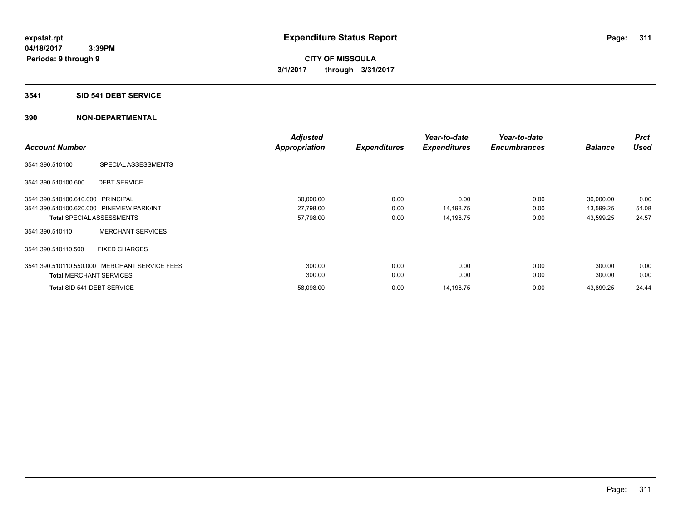### **3541 SID 541 DEBT SERVICE**

| <b>Account Number</b>                                   | <b>Adjusted</b><br><b>Appropriation</b> | <b>Expenditures</b> | Year-to-date<br><b>Expenditures</b> | Year-to-date<br><b>Encumbrances</b> | <b>Balance</b> | <b>Prct</b><br><b>Used</b> |
|---------------------------------------------------------|-----------------------------------------|---------------------|-------------------------------------|-------------------------------------|----------------|----------------------------|
|                                                         |                                         |                     |                                     |                                     |                |                            |
| SPECIAL ASSESSMENTS<br>3541.390.510100                  |                                         |                     |                                     |                                     |                |                            |
| <b>DEBT SERVICE</b><br>3541.390.510100.600              |                                         |                     |                                     |                                     |                |                            |
| 3541.390.510100.610.000 PRINCIPAL                       | 30,000.00                               | 0.00                | 0.00                                | 0.00                                | 30,000.00      | 0.00                       |
| 3541.390.510100.620.000 PINEVIEW PARK/INT               | 27,798.00                               | 0.00                | 14,198.75                           | 0.00                                | 13,599.25      | 51.08                      |
| <b>Total SPECIAL ASSESSMENTS</b>                        | 57,798.00                               | 0.00                | 14,198.75                           | 0.00                                | 43,599.25      | 24.57                      |
| <b>MERCHANT SERVICES</b><br>3541.390.510110             |                                         |                     |                                     |                                     |                |                            |
| 3541.390.510110.500<br><b>FIXED CHARGES</b>             |                                         |                     |                                     |                                     |                |                            |
| <b>MERCHANT SERVICE FEES</b><br>3541.390.510110.550.000 | 300.00                                  | 0.00                | 0.00                                | 0.00                                | 300.00         | 0.00                       |
| <b>Total MERCHANT SERVICES</b>                          | 300.00                                  | 0.00                | 0.00                                | 0.00                                | 300.00         | 0.00                       |
| Total SID 541 DEBT SERVICE                              | 58,098.00                               | 0.00                | 14,198.75                           | 0.00                                | 43,899.25      | 24.44                      |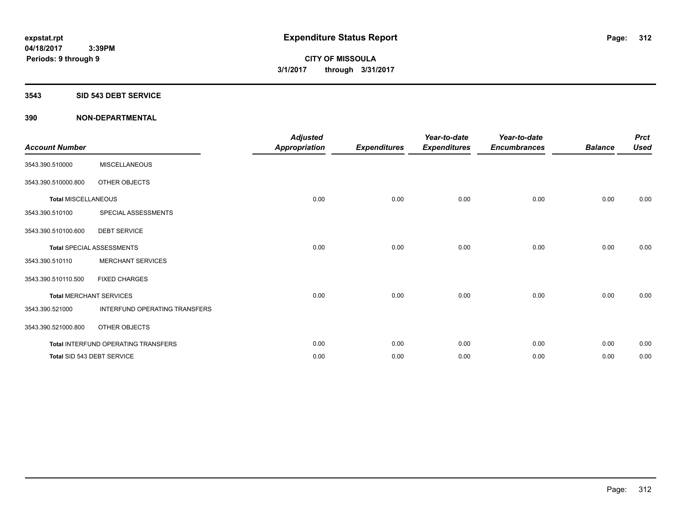#### **3543 SID 543 DEBT SERVICE**

| <b>Account Number</b>      |                                     | <b>Adjusted</b><br><b>Appropriation</b> | <b>Expenditures</b> | Year-to-date<br><b>Expenditures</b> | Year-to-date<br><b>Encumbrances</b> | <b>Balance</b> | <b>Prct</b><br><b>Used</b> |
|----------------------------|-------------------------------------|-----------------------------------------|---------------------|-------------------------------------|-------------------------------------|----------------|----------------------------|
| 3543.390.510000            | <b>MISCELLANEOUS</b>                |                                         |                     |                                     |                                     |                |                            |
| 3543.390.510000.800        | OTHER OBJECTS                       |                                         |                     |                                     |                                     |                |                            |
| <b>Total MISCELLANEOUS</b> |                                     | 0.00                                    | 0.00                | 0.00                                | 0.00                                | 0.00           | 0.00                       |
| 3543.390.510100            | SPECIAL ASSESSMENTS                 |                                         |                     |                                     |                                     |                |                            |
| 3543.390.510100.600        | <b>DEBT SERVICE</b>                 |                                         |                     |                                     |                                     |                |                            |
|                            | <b>Total SPECIAL ASSESSMENTS</b>    | 0.00                                    | 0.00                | 0.00                                | 0.00                                | 0.00           | 0.00                       |
| 3543.390.510110            | <b>MERCHANT SERVICES</b>            |                                         |                     |                                     |                                     |                |                            |
| 3543.390.510110.500        | <b>FIXED CHARGES</b>                |                                         |                     |                                     |                                     |                |                            |
|                            | <b>Total MERCHANT SERVICES</b>      | 0.00                                    | 0.00                | 0.00                                | 0.00                                | 0.00           | 0.00                       |
| 3543.390.521000            | INTERFUND OPERATING TRANSFERS       |                                         |                     |                                     |                                     |                |                            |
| 3543.390.521000.800        | OTHER OBJECTS                       |                                         |                     |                                     |                                     |                |                            |
|                            | Total INTERFUND OPERATING TRANSFERS | 0.00                                    | 0.00                | 0.00                                | 0.00                                | 0.00           | 0.00                       |
|                            | Total SID 543 DEBT SERVICE          | 0.00                                    | 0.00                | 0.00                                | 0.00                                | 0.00           | 0.00                       |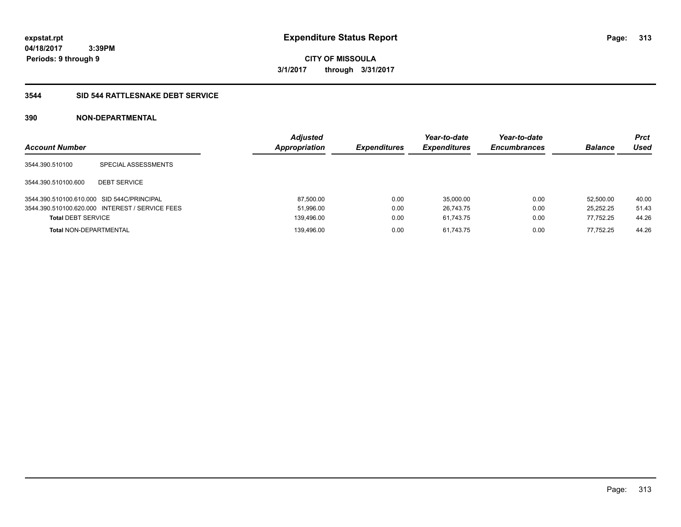**313**

**04/18/2017 3:39PM Periods: 9 through 9**

**CITY OF MISSOULA 3/1/2017 through 3/31/2017**

## **3544 SID 544 RATTLESNAKE DEBT SERVICE**

| <b>Account Number</b>                      |                                                 | <b>Adjusted</b><br>Appropriation | <b>Expenditures</b> | Year-to-date<br><b>Expenditures</b> | Year-to-date<br><b>Encumbrances</b> | <b>Balance</b> | Prct<br>Used |
|--------------------------------------------|-------------------------------------------------|----------------------------------|---------------------|-------------------------------------|-------------------------------------|----------------|--------------|
| 3544.390.510100                            | SPECIAL ASSESSMENTS                             |                                  |                     |                                     |                                     |                |              |
| 3544.390.510100.600                        | <b>DEBT SERVICE</b>                             |                                  |                     |                                     |                                     |                |              |
| 3544.390.510100.610.000 SID 544C/PRINCIPAL |                                                 | 87,500.00                        | 0.00                | 35.000.00                           | 0.00                                | 52.500.00      | 40.00        |
|                                            | 3544.390.510100.620.000 INTEREST / SERVICE FEES | 51,996.00                        | 0.00                | 26.743.75                           | 0.00                                | 25.252.25      | 51.43        |
| <b>Total DEBT SERVICE</b>                  |                                                 | 139,496.00                       | 0.00                | 61.743.75                           | 0.00                                | 77,752.25      | 44.26        |
| <b>Total NON-DEPARTMENTAL</b>              |                                                 | 139,496.00                       | 0.00                | 61.743.75                           | 0.00                                | 77.752.25      | 44.26        |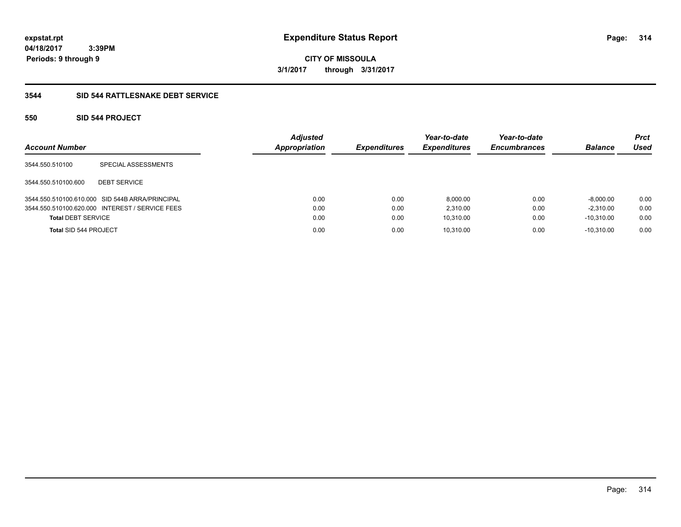**CITY OF MISSOULA 3/1/2017 through 3/31/2017**

## **3544 SID 544 RATTLESNAKE DEBT SERVICE**

## **550 SID 544 PROJECT**

| <b>Account Number</b>        |                                                 | <b>Adjusted</b><br><b>Appropriation</b> | <b>Expenditures</b> | Year-to-date<br><b>Expenditures</b> | Year-to-date<br><b>Encumbrances</b> | <b>Balance</b> | <b>Prct</b><br>Used |
|------------------------------|-------------------------------------------------|-----------------------------------------|---------------------|-------------------------------------|-------------------------------------|----------------|---------------------|
| 3544.550.510100              | SPECIAL ASSESSMENTS                             |                                         |                     |                                     |                                     |                |                     |
| 3544.550.510100.600          | <b>DEBT SERVICE</b>                             |                                         |                     |                                     |                                     |                |                     |
|                              | 3544.550.510100.610.000 SID 544B ARRA/PRINCIPAL | 0.00                                    | 0.00                | 8,000.00                            | 0.00                                | $-8,000.00$    | 0.00                |
|                              | 3544.550.510100.620.000 INTEREST / SERVICE FEES | 0.00                                    | 0.00                | 2.310.00                            | 0.00                                | $-2.310.00$    | 0.00                |
| <b>Total DEBT SERVICE</b>    |                                                 | 0.00                                    | 0.00                | 10,310.00                           | 0.00                                | $-10.310.00$   | 0.00                |
| <b>Total SID 544 PROJECT</b> |                                                 | 0.00                                    | 0.00                | 10,310.00                           | 0.00                                | $-10.310.00$   | 0.00                |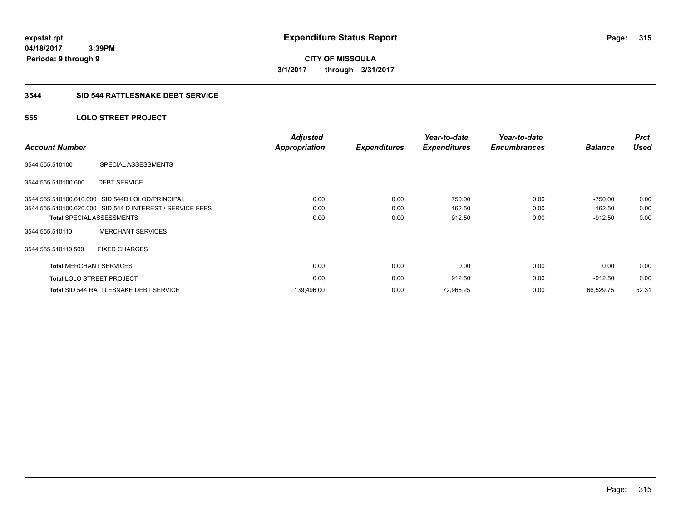# **CITY OF MISSOULA 3/1/2017 through 3/31/2017**

### **3544 SID 544 RATTLESNAKE DEBT SERVICE**

## **555 LOLO STREET PROJECT**

| <b>Account Number</b>          |                                                           | <b>Adjusted</b><br><b>Appropriation</b> | <b>Expenditures</b> | Year-to-date<br><b>Expenditures</b> | Year-to-date<br><b>Encumbrances</b> | <b>Balance</b> | <b>Prct</b><br><b>Used</b> |
|--------------------------------|-----------------------------------------------------------|-----------------------------------------|---------------------|-------------------------------------|-------------------------------------|----------------|----------------------------|
| 3544.555.510100                | SPECIAL ASSESSMENTS                                       |                                         |                     |                                     |                                     |                |                            |
| 3544.555.510100.600            | <b>DEBT SERVICE</b>                                       |                                         |                     |                                     |                                     |                |                            |
|                                | 3544.555.510100.610.000 SID 544D LOLOD/PRINCIPAL          | 0.00                                    | 0.00                | 750.00                              | 0.00                                | $-750.00$      | 0.00                       |
|                                | 3544.555.510100.620.000 SID 544 D INTEREST / SERVICE FEES | 0.00                                    | 0.00                | 162.50                              | 0.00                                | $-162.50$      | 0.00                       |
|                                | <b>Total SPECIAL ASSESSMENTS</b>                          | 0.00                                    | 0.00                | 912.50                              | 0.00                                | $-912.50$      | 0.00                       |
| 3544.555.510110                | <b>MERCHANT SERVICES</b>                                  |                                         |                     |                                     |                                     |                |                            |
| 3544.555.510110.500            | <b>FIXED CHARGES</b>                                      |                                         |                     |                                     |                                     |                |                            |
| <b>Total MERCHANT SERVICES</b> |                                                           | 0.00                                    | 0.00                | 0.00                                | 0.00                                | 0.00           | 0.00                       |
|                                | <b>Total LOLO STREET PROJECT</b>                          | 0.00                                    | 0.00                | 912.50                              | 0.00                                | $-912.50$      | 0.00                       |
|                                | Total SID 544 RATTLESNAKE DEBT SERVICE                    | 139,496.00                              | 0.00                | 72,966.25                           | 0.00                                | 66.529.75      | 52.31                      |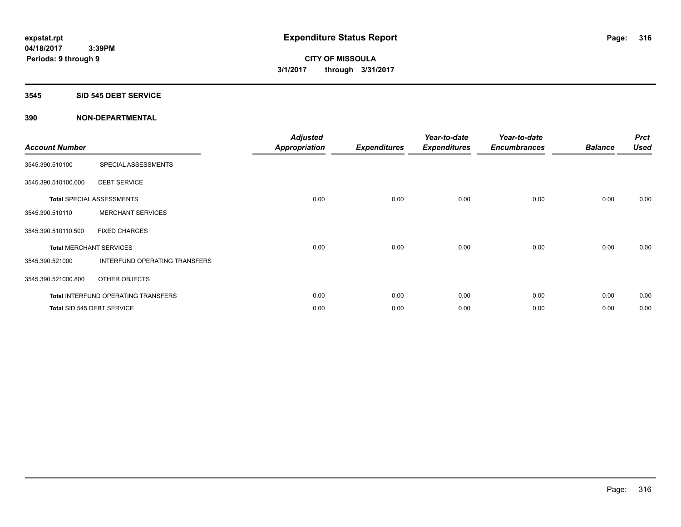#### **3545 SID 545 DEBT SERVICE**

| <b>Account Number</b> |                                     | <b>Adjusted</b><br><b>Appropriation</b> | <b>Expenditures</b> | Year-to-date<br><b>Expenditures</b> | Year-to-date<br><b>Encumbrances</b> | <b>Balance</b> | <b>Prct</b><br><b>Used</b> |
|-----------------------|-------------------------------------|-----------------------------------------|---------------------|-------------------------------------|-------------------------------------|----------------|----------------------------|
| 3545.390.510100       | SPECIAL ASSESSMENTS                 |                                         |                     |                                     |                                     |                |                            |
| 3545.390.510100.600   | <b>DEBT SERVICE</b>                 |                                         |                     |                                     |                                     |                |                            |
|                       | Total SPECIAL ASSESSMENTS           | 0.00                                    | 0.00                | 0.00                                | 0.00                                | 0.00           | 0.00                       |
| 3545.390.510110       | <b>MERCHANT SERVICES</b>            |                                         |                     |                                     |                                     |                |                            |
| 3545.390.510110.500   | <b>FIXED CHARGES</b>                |                                         |                     |                                     |                                     |                |                            |
|                       | <b>Total MERCHANT SERVICES</b>      | 0.00                                    | 0.00                | 0.00                                | 0.00                                | 0.00           | 0.00                       |
| 3545.390.521000       | INTERFUND OPERATING TRANSFERS       |                                         |                     |                                     |                                     |                |                            |
| 3545.390.521000.800   | OTHER OBJECTS                       |                                         |                     |                                     |                                     |                |                            |
|                       | Total INTERFUND OPERATING TRANSFERS | 0.00                                    | 0.00                | 0.00                                | 0.00                                | 0.00           | 0.00                       |
|                       | Total SID 545 DEBT SERVICE          | 0.00                                    | 0.00                | 0.00                                | 0.00                                | 0.00           | 0.00                       |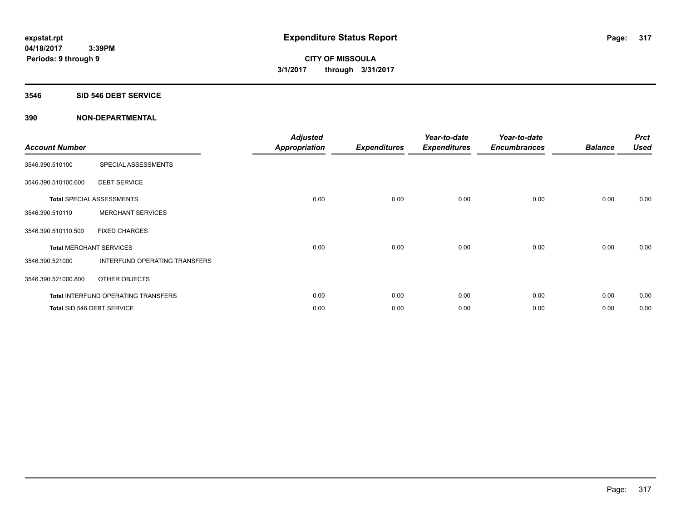#### **3546 SID 546 DEBT SERVICE**

| <b>Account Number</b> |                                            | <b>Adjusted</b><br><b>Appropriation</b> | <b>Expenditures</b> | Year-to-date<br><b>Expenditures</b> | Year-to-date<br><b>Encumbrances</b> | <b>Balance</b> | <b>Prct</b><br><b>Used</b> |
|-----------------------|--------------------------------------------|-----------------------------------------|---------------------|-------------------------------------|-------------------------------------|----------------|----------------------------|
| 3546.390.510100       | SPECIAL ASSESSMENTS                        |                                         |                     |                                     |                                     |                |                            |
| 3546.390.510100.600   | <b>DEBT SERVICE</b>                        |                                         |                     |                                     |                                     |                |                            |
|                       | <b>Total SPECIAL ASSESSMENTS</b>           | 0.00                                    | 0.00                | 0.00                                | 0.00                                | 0.00           | 0.00                       |
| 3546.390.510110       | <b>MERCHANT SERVICES</b>                   |                                         |                     |                                     |                                     |                |                            |
| 3546.390.510110.500   | <b>FIXED CHARGES</b>                       |                                         |                     |                                     |                                     |                |                            |
|                       | <b>Total MERCHANT SERVICES</b>             | 0.00                                    | 0.00                | 0.00                                | 0.00                                | 0.00           | 0.00                       |
| 3546.390.521000       | INTERFUND OPERATING TRANSFERS              |                                         |                     |                                     |                                     |                |                            |
| 3546.390.521000.800   | OTHER OBJECTS                              |                                         |                     |                                     |                                     |                |                            |
|                       | <b>Total INTERFUND OPERATING TRANSFERS</b> | 0.00                                    | 0.00                | 0.00                                | 0.00                                | 0.00           | 0.00                       |
|                       | Total SID 546 DEBT SERVICE                 | 0.00                                    | 0.00                | 0.00                                | 0.00                                | 0.00           | 0.00                       |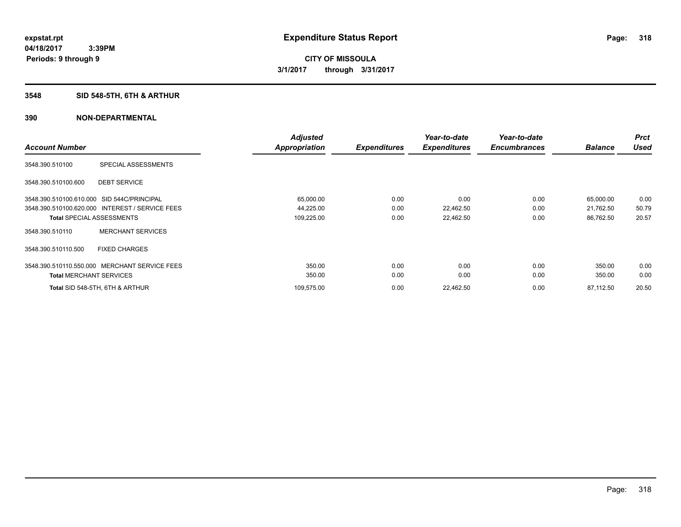## **3548 SID 548-5TH, 6TH & ARTHUR**

|                                                 | <b>Adjusted</b> |                     | Year-to-date        | Year-to-date        |                | <b>Prct</b> |
|-------------------------------------------------|-----------------|---------------------|---------------------|---------------------|----------------|-------------|
| <b>Account Number</b>                           | Appropriation   | <b>Expenditures</b> | <b>Expenditures</b> | <b>Encumbrances</b> | <b>Balance</b> | <b>Used</b> |
| SPECIAL ASSESSMENTS<br>3548.390.510100          |                 |                     |                     |                     |                |             |
| <b>DEBT SERVICE</b><br>3548.390.510100.600      |                 |                     |                     |                     |                |             |
| 3548.390.510100.610.000 SID 544C/PRINCIPAL      | 65,000.00       | 0.00                | 0.00                | 0.00                | 65,000.00      | 0.00        |
| 3548.390.510100.620.000 INTEREST / SERVICE FEES | 44,225.00       | 0.00                | 22,462.50           | 0.00                | 21,762.50      | 50.79       |
| <b>Total SPECIAL ASSESSMENTS</b>                | 109,225.00      | 0.00                | 22,462.50           | 0.00                | 86,762.50      | 20.57       |
| <b>MERCHANT SERVICES</b><br>3548.390.510110     |                 |                     |                     |                     |                |             |
| 3548.390.510110.500<br><b>FIXED CHARGES</b>     |                 |                     |                     |                     |                |             |
| 3548.390.510110.550.000 MERCHANT SERVICE FEES   | 350.00          | 0.00                | 0.00                | 0.00                | 350.00         | 0.00        |
| <b>Total MERCHANT SERVICES</b>                  | 350.00          | 0.00                | 0.00                | 0.00                | 350.00         | 0.00        |
| Total SID 548-5TH, 6TH & ARTHUR                 | 109,575.00      | 0.00                | 22,462.50           | 0.00                | 87,112.50      | 20.50       |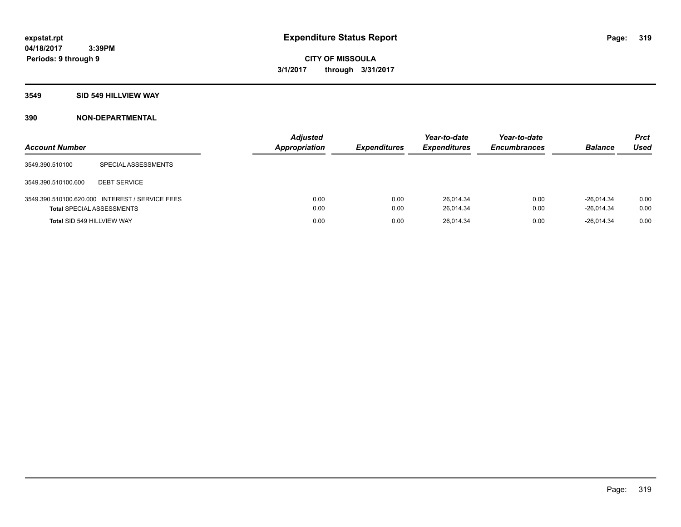#### **3549 SID 549 HILLVIEW WAY**

| <b>Account Number</b>            |                                                 | <b>Adjusted</b><br>Appropriation | <b>Expenditures</b> | Year-to-date<br><b>Expenditures</b> | Year-to-date<br><b>Encumbrances</b> | <b>Balance</b>               | <b>Prct</b><br><b>Used</b> |
|----------------------------------|-------------------------------------------------|----------------------------------|---------------------|-------------------------------------|-------------------------------------|------------------------------|----------------------------|
| 3549.390.510100                  | SPECIAL ASSESSMENTS                             |                                  |                     |                                     |                                     |                              |                            |
| 3549.390.510100.600              | <b>DEBT SERVICE</b>                             |                                  |                     |                                     |                                     |                              |                            |
| <b>Total SPECIAL ASSESSMENTS</b> | 3549.390.510100.620.000 INTEREST / SERVICE FEES | 0.00<br>0.00                     | 0.00<br>0.00        | 26.014.34<br>26,014.34              | 0.00<br>0.00                        | $-26.014.34$<br>$-26.014.34$ | 0.00<br>0.00               |
| Total SID 549 HILLVIEW WAY       |                                                 | 0.00                             | 0.00                | 26,014.34                           | 0.00                                | $-26.014.34$                 | 0.00                       |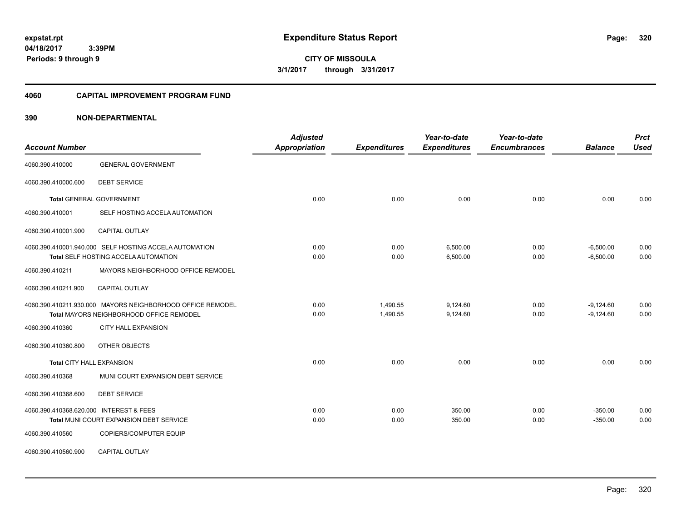**CITY OF MISSOULA 3/1/2017 through 3/31/2017**

#### **4060 CAPITAL IMPROVEMENT PROGRAM FUND**

| <b>Account Number</b>                   |                                                                                                        | <b>Adjusted</b><br><b>Appropriation</b> | <b>Expenditures</b>  | Year-to-date<br><b>Expenditures</b> | Year-to-date<br><b>Encumbrances</b> | <b>Balance</b>             | <b>Prct</b><br><b>Used</b> |
|-----------------------------------------|--------------------------------------------------------------------------------------------------------|-----------------------------------------|----------------------|-------------------------------------|-------------------------------------|----------------------------|----------------------------|
| 4060.390.410000                         | <b>GENERAL GOVERNMENT</b>                                                                              |                                         |                      |                                     |                                     |                            |                            |
| 4060.390.410000.600                     | <b>DEBT SERVICE</b>                                                                                    |                                         |                      |                                     |                                     |                            |                            |
|                                         | Total GENERAL GOVERNMENT                                                                               | 0.00                                    | 0.00                 | 0.00                                | 0.00                                | 0.00                       | 0.00                       |
| 4060.390.410001                         | SELF HOSTING ACCELA AUTOMATION                                                                         |                                         |                      |                                     |                                     |                            |                            |
| 4060.390.410001.900                     | CAPITAL OUTLAY                                                                                         |                                         |                      |                                     |                                     |                            |                            |
|                                         | 4060.390.410001.940.000 SELF HOSTING ACCELA AUTOMATION<br>Total SELF HOSTING ACCELA AUTOMATION         | 0.00<br>0.00                            | 0.00<br>0.00         | 6,500.00<br>6,500.00                | 0.00<br>0.00                        | $-6,500.00$<br>$-6,500.00$ | 0.00<br>0.00               |
| 4060.390.410211                         | MAYORS NEIGHBORHOOD OFFICE REMODEL                                                                     |                                         |                      |                                     |                                     |                            |                            |
| 4060.390.410211.900                     | <b>CAPITAL OUTLAY</b>                                                                                  |                                         |                      |                                     |                                     |                            |                            |
|                                         | 4060.390.410211.930.000 MAYORS NEIGHBORHOOD OFFICE REMODEL<br>Total MAYORS NEIGHBORHOOD OFFICE REMODEL | 0.00<br>0.00                            | 1,490.55<br>1,490.55 | 9,124.60<br>9,124.60                | 0.00<br>0.00                        | $-9,124.60$<br>$-9,124.60$ | 0.00<br>0.00               |
| 4060.390.410360                         | <b>CITY HALL EXPANSION</b>                                                                             |                                         |                      |                                     |                                     |                            |                            |
| 4060.390.410360.800                     | OTHER OBJECTS                                                                                          |                                         |                      |                                     |                                     |                            |                            |
| Total CITY HALL EXPANSION               |                                                                                                        | 0.00                                    | 0.00                 | 0.00                                | 0.00                                | 0.00                       | 0.00                       |
| 4060.390.410368                         | MUNI COURT EXPANSION DEBT SERVICE                                                                      |                                         |                      |                                     |                                     |                            |                            |
| 4060.390.410368.600                     | <b>DEBT SERVICE</b>                                                                                    |                                         |                      |                                     |                                     |                            |                            |
| 4060.390.410368.620.000 INTEREST & FEES | Total MUNI COURT EXPANSION DEBT SERVICE                                                                | 0.00<br>0.00                            | 0.00<br>0.00         | 350.00<br>350.00                    | 0.00<br>0.00                        | $-350.00$<br>$-350.00$     | 0.00<br>0.00               |
| 4060.390.410560                         | <b>COPIERS/COMPUTER EQUIP</b>                                                                          |                                         |                      |                                     |                                     |                            |                            |
| 4060.390.410560.900                     | CAPITAL OUTLAY                                                                                         |                                         |                      |                                     |                                     |                            |                            |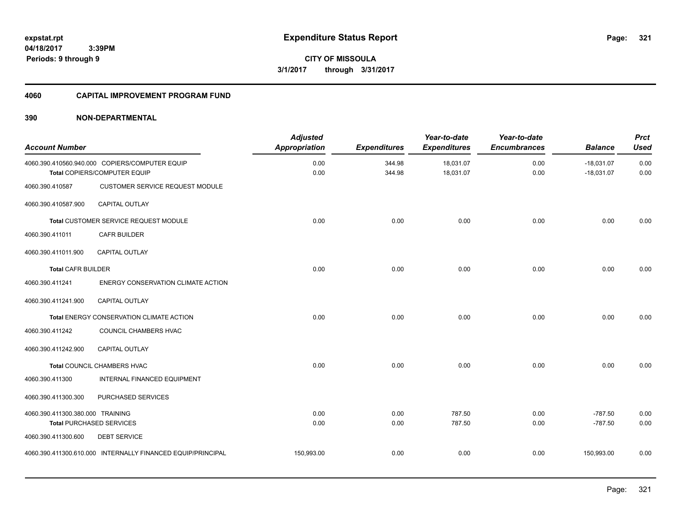**04/18/2017 3:39PM**

**Periods: 9 through 9**

**321**

**CITY OF MISSOULA 3/1/2017 through 3/31/2017**

#### **4060 CAPITAL IMPROVEMENT PROGRAM FUND**

| <b>Account Number</b>            |                                                                                | <b>Adjusted</b><br><b>Appropriation</b> | <b>Expenditures</b> | Year-to-date<br><b>Expenditures</b> | Year-to-date<br><b>Encumbrances</b> | <b>Balance</b>               | <b>Prct</b><br><b>Used</b> |
|----------------------------------|--------------------------------------------------------------------------------|-----------------------------------------|---------------------|-------------------------------------|-------------------------------------|------------------------------|----------------------------|
|                                  | 4060.390.410560.940.000 COPIERS/COMPUTER EQUIP<br>Total COPIERS/COMPUTER EQUIP | 0.00<br>0.00                            | 344.98<br>344.98    | 18,031.07<br>18,031.07              | 0.00<br>0.00                        | $-18,031.07$<br>$-18,031.07$ | 0.00<br>0.00               |
| 4060.390.410587                  | CUSTOMER SERVICE REQUEST MODULE                                                |                                         |                     |                                     |                                     |                              |                            |
| 4060.390.410587.900              | <b>CAPITAL OUTLAY</b>                                                          |                                         |                     |                                     |                                     |                              |                            |
|                                  | Total CUSTOMER SERVICE REQUEST MODULE                                          | 0.00                                    | 0.00                | 0.00                                | 0.00                                | 0.00                         | 0.00                       |
| 4060.390.411011                  | <b>CAFR BUILDER</b>                                                            |                                         |                     |                                     |                                     |                              |                            |
| 4060.390.411011.900              | <b>CAPITAL OUTLAY</b>                                                          |                                         |                     |                                     |                                     |                              |                            |
| <b>Total CAFR BUILDER</b>        |                                                                                | 0.00                                    | 0.00                | 0.00                                | 0.00                                | 0.00                         | 0.00                       |
| 4060.390.411241                  | ENERGY CONSERVATION CLIMATE ACTION                                             |                                         |                     |                                     |                                     |                              |                            |
| 4060.390.411241.900              | <b>CAPITAL OUTLAY</b>                                                          |                                         |                     |                                     |                                     |                              |                            |
|                                  | Total ENERGY CONSERVATION CLIMATE ACTION                                       | 0.00                                    | 0.00                | 0.00                                | 0.00                                | 0.00                         | 0.00                       |
| 4060.390.411242                  | COUNCIL CHAMBERS HVAC                                                          |                                         |                     |                                     |                                     |                              |                            |
| 4060.390.411242.900              | <b>CAPITAL OUTLAY</b>                                                          |                                         |                     |                                     |                                     |                              |                            |
|                                  | Total COUNCIL CHAMBERS HVAC                                                    | 0.00                                    | 0.00                | 0.00                                | 0.00                                | 0.00                         | 0.00                       |
| 4060.390.411300                  | INTERNAL FINANCED EQUIPMENT                                                    |                                         |                     |                                     |                                     |                              |                            |
| 4060.390.411300.300              | PURCHASED SERVICES                                                             |                                         |                     |                                     |                                     |                              |                            |
| 4060.390.411300.380.000 TRAINING |                                                                                | 0.00                                    | 0.00                | 787.50                              | 0.00                                | $-787.50$                    | 0.00                       |
|                                  | <b>Total PURCHASED SERVICES</b>                                                | 0.00                                    | 0.00                | 787.50                              | 0.00                                | $-787.50$                    | 0.00                       |
| 4060.390.411300.600              | <b>DEBT SERVICE</b>                                                            |                                         |                     |                                     |                                     |                              |                            |
|                                  | 4060.390.411300.610.000 INTERNALLY FINANCED EQUIP/PRINCIPAL                    | 150,993.00                              | 0.00                | 0.00                                | 0.00                                | 150,993.00                   | 0.00                       |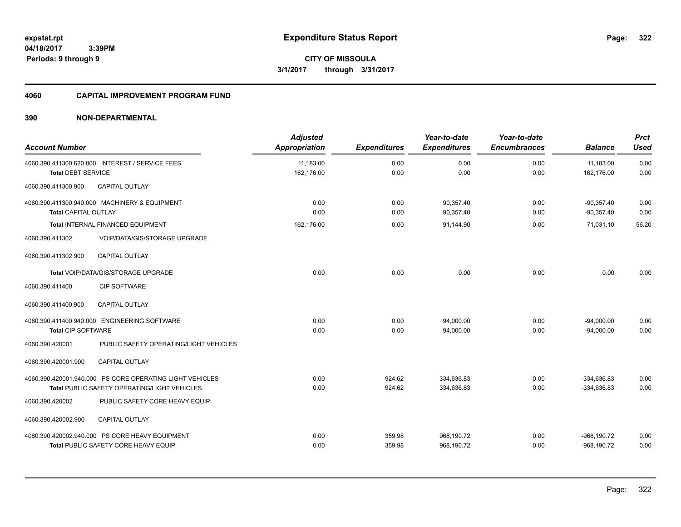**322**

**CITY OF MISSOULA 3/1/2017 through 3/31/2017**

#### **4060 CAPITAL IMPROVEMENT PROGRAM FUND**

| <b>Account Number</b>       |                                                                                                                 | <b>Adjusted</b><br><b>Appropriation</b> | <b>Expenditures</b> | Year-to-date<br><b>Expenditures</b> | Year-to-date<br><b>Encumbrances</b> | <b>Balance</b>                   | <b>Prct</b><br><b>Used</b> |
|-----------------------------|-----------------------------------------------------------------------------------------------------------------|-----------------------------------------|---------------------|-------------------------------------|-------------------------------------|----------------------------------|----------------------------|
| <b>Total DEBT SERVICE</b>   | 4060.390.411300.620.000 INTEREST / SERVICE FEES                                                                 | 11,183.00<br>162,176.00                 | 0.00<br>0.00        | 0.00<br>0.00                        | 0.00<br>0.00                        | 11,183.00<br>162,176.00          | 0.00<br>0.00               |
| 4060.390.411300.900         | <b>CAPITAL OUTLAY</b>                                                                                           |                                         |                     |                                     |                                     |                                  |                            |
| <b>Total CAPITAL OUTLAY</b> | 4060.390.411300.940.000 MACHINERY & EQUIPMENT                                                                   | 0.00<br>0.00                            | 0.00<br>0.00        | 90,357.40<br>90.357.40              | 0.00<br>0.00                        | $-90.357.40$<br>$-90.357.40$     | 0.00<br>0.00               |
|                             | Total INTERNAL FINANCED EQUIPMENT                                                                               | 162.176.00                              | 0.00                | 91,144.90                           | 0.00                                | 71,031.10                        | 56.20                      |
| 4060.390.411302             | <b>VOIP/DATA/GIS/STORAGE UPGRADE</b>                                                                            |                                         |                     |                                     |                                     |                                  |                            |
| 4060.390.411302.900         | <b>CAPITAL OUTLAY</b>                                                                                           |                                         |                     |                                     |                                     |                                  |                            |
|                             | Total VOIP/DATA/GIS/STORAGE UPGRADE                                                                             | 0.00                                    | 0.00                | 0.00                                | 0.00                                | 0.00                             | 0.00                       |
| 4060.390.411400             | <b>CIP SOFTWARE</b>                                                                                             |                                         |                     |                                     |                                     |                                  |                            |
| 4060.390.411400.900         | <b>CAPITAL OUTLAY</b>                                                                                           |                                         |                     |                                     |                                     |                                  |                            |
| <b>Total CIP SOFTWARE</b>   | 4060.390.411400.940.000 ENGINEERING SOFTWARE                                                                    | 0.00<br>0.00                            | 0.00<br>0.00        | 94,000.00<br>94,000.00              | 0.00<br>0.00                        | $-94,000.00$<br>$-94.000.00$     | 0.00<br>0.00               |
| 4060.390.420001             | PUBLIC SAFETY OPERATING/LIGHT VEHICLES                                                                          |                                         |                     |                                     |                                     |                                  |                            |
| 4060.390.420001.900         | <b>CAPITAL OUTLAY</b>                                                                                           |                                         |                     |                                     |                                     |                                  |                            |
|                             | 4060.390.420001.940.000 PS CORE OPERATING LIGHT VEHICLES<br><b>Total PUBLIC SAFETY OPERATING/LIGHT VEHICLES</b> | 0.00<br>0.00                            | 924.62<br>924.62    | 334.636.83<br>334,636.83            | 0.00<br>0.00                        | $-334.636.83$<br>$-334,636.83$   | 0.00<br>0.00               |
| 4060.390.420002             | PUBLIC SAFETY CORE HEAVY EQUIP                                                                                  |                                         |                     |                                     |                                     |                                  |                            |
| 4060.390.420002.900         | <b>CAPITAL OUTLAY</b>                                                                                           |                                         |                     |                                     |                                     |                                  |                            |
|                             | 4060.390.420002.940.000 PS CORE HEAVY EQUIPMENT<br>Total PUBLIC SAFETY CORE HEAVY EQUIP                         | 0.00<br>0.00                            | 359.98<br>359.98    | 968,190.72<br>968,190.72            | 0.00<br>0.00                        | $-968, 190.72$<br>$-968, 190.72$ | 0.00<br>0.00               |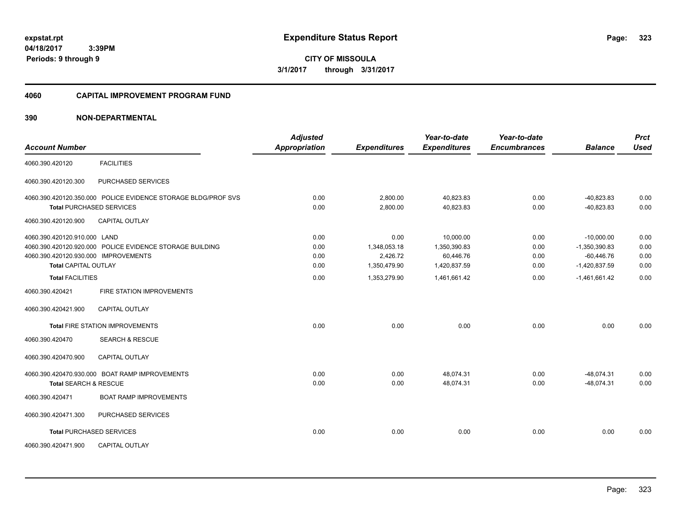**CITY OF MISSOULA 3/1/2017 through 3/31/2017**

#### **4060 CAPITAL IMPROVEMENT PROGRAM FUND**

| <b>Account Number</b>                |                                                               | <b>Adjusted</b><br><b>Appropriation</b> | <b>Expenditures</b> | Year-to-date<br><b>Expenditures</b> | Year-to-date<br><b>Encumbrances</b> | <b>Balance</b>  | <b>Prct</b><br><b>Used</b> |
|--------------------------------------|---------------------------------------------------------------|-----------------------------------------|---------------------|-------------------------------------|-------------------------------------|-----------------|----------------------------|
| 4060.390.420120                      | <b>FACILITIES</b>                                             |                                         |                     |                                     |                                     |                 |                            |
| 4060.390.420120.300                  | PURCHASED SERVICES                                            |                                         |                     |                                     |                                     |                 |                            |
|                                      | 4060.390.420120.350.000 POLICE EVIDENCE STORAGE BLDG/PROF SVS | 0.00                                    | 2.800.00            | 40.823.83                           | 0.00                                | $-40.823.83$    | 0.00                       |
|                                      | <b>Total PURCHASED SERVICES</b>                               | 0.00                                    | 2,800.00            | 40,823.83                           | 0.00                                | $-40,823.83$    | 0.00                       |
| 4060.390.420120.900                  | <b>CAPITAL OUTLAY</b>                                         |                                         |                     |                                     |                                     |                 |                            |
| 4060.390.420120.910.000 LAND         |                                                               | 0.00                                    | 0.00                | 10,000.00                           | 0.00                                | $-10,000.00$    | 0.00                       |
|                                      | 4060.390.420120.920.000 POLICE EVIDENCE STORAGE BUILDING      | 0.00                                    | 1,348,053.18        | 1,350,390.83                        | 0.00                                | $-1,350,390.83$ | 0.00                       |
| 4060.390.420120.930.000 IMPROVEMENTS |                                                               | 0.00                                    | 2,426.72            | 60,446.76                           | 0.00                                | $-60,446.76$    | 0.00                       |
| <b>Total CAPITAL OUTLAY</b>          |                                                               | 0.00                                    | 1,350,479.90        | 1,420,837.59                        | 0.00                                | $-1,420,837.59$ | 0.00                       |
| <b>Total FACILITIES</b>              |                                                               | 0.00                                    | 1,353,279.90        | 1,461,661.42                        | 0.00                                | $-1,461,661.42$ | 0.00                       |
| 4060.390.420421                      | FIRE STATION IMPROVEMENTS                                     |                                         |                     |                                     |                                     |                 |                            |
| 4060.390.420421.900                  | <b>CAPITAL OUTLAY</b>                                         |                                         |                     |                                     |                                     |                 |                            |
|                                      | <b>Total FIRE STATION IMPROVEMENTS</b>                        | 0.00                                    | 0.00                | 0.00                                | 0.00                                | 0.00            | 0.00                       |
| 4060.390.420470                      | <b>SEARCH &amp; RESCUE</b>                                    |                                         |                     |                                     |                                     |                 |                            |
| 4060.390.420470.900                  | <b>CAPITAL OUTLAY</b>                                         |                                         |                     |                                     |                                     |                 |                            |
|                                      | 4060.390.420470.930.000 BOAT RAMP IMPROVEMENTS                | 0.00                                    | 0.00                | 48,074.31                           | 0.00                                | $-48,074.31$    | 0.00                       |
| <b>Total SEARCH &amp; RESCUE</b>     |                                                               | 0.00                                    | 0.00                | 48,074.31                           | 0.00                                | $-48,074.31$    | 0.00                       |
| 4060.390.420471                      | <b>BOAT RAMP IMPROVEMENTS</b>                                 |                                         |                     |                                     |                                     |                 |                            |
| 4060.390.420471.300                  | PURCHASED SERVICES                                            |                                         |                     |                                     |                                     |                 |                            |
|                                      | <b>Total PURCHASED SERVICES</b>                               | 0.00                                    | 0.00                | 0.00                                | 0.00                                | 0.00            | 0.00                       |
| 4060.390.420471.900                  | <b>CAPITAL OUTLAY</b>                                         |                                         |                     |                                     |                                     |                 |                            |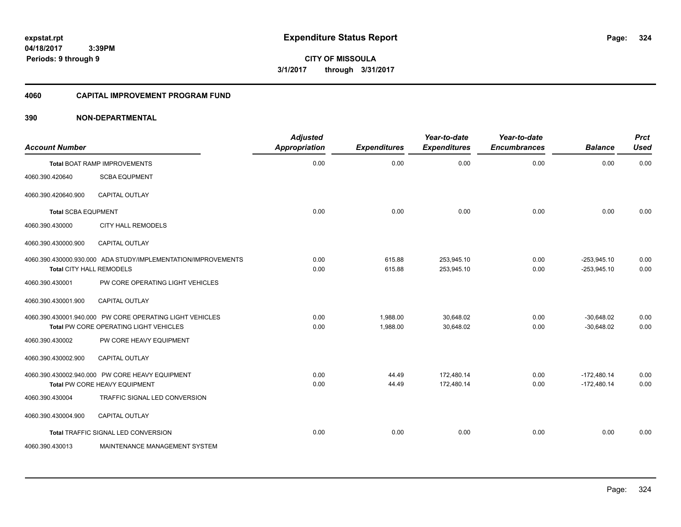**CITY OF MISSOULA 3/1/2017 through 3/31/2017**

## **4060 CAPITAL IMPROVEMENT PROGRAM FUND**

| <b>Account Number</b>           |                                                                                                    | <b>Adjusted</b><br><b>Appropriation</b> | <b>Expenditures</b>  | Year-to-date<br><b>Expenditures</b> | Year-to-date<br><b>Encumbrances</b> | <b>Balance</b>                 | <b>Prct</b><br><b>Used</b> |
|---------------------------------|----------------------------------------------------------------------------------------------------|-----------------------------------------|----------------------|-------------------------------------|-------------------------------------|--------------------------------|----------------------------|
|                                 | Total BOAT RAMP IMPROVEMENTS                                                                       | 0.00                                    | 0.00                 | 0.00                                | 0.00                                | 0.00                           | 0.00                       |
| 4060.390.420640                 | <b>SCBA EQUPMENT</b>                                                                               |                                         |                      |                                     |                                     |                                |                            |
| 4060.390.420640.900             | <b>CAPITAL OUTLAY</b>                                                                              |                                         |                      |                                     |                                     |                                |                            |
| <b>Total SCBA EQUPMENT</b>      |                                                                                                    | 0.00                                    | 0.00                 | 0.00                                | 0.00                                | 0.00                           | 0.00                       |
| 4060.390.430000                 | <b>CITY HALL REMODELS</b>                                                                          |                                         |                      |                                     |                                     |                                |                            |
| 4060.390.430000.900             | <b>CAPITAL OUTLAY</b>                                                                              |                                         |                      |                                     |                                     |                                |                            |
| <b>Total CITY HALL REMODELS</b> | 4060.390.430000.930.000 ADA STUDY/IMPLEMENTATION/IMPROVEMENTS                                      | 0.00<br>0.00                            | 615.88<br>615.88     | 253,945.10<br>253,945.10            | 0.00<br>0.00                        | $-253,945.10$<br>$-253,945.10$ | 0.00<br>0.00               |
| 4060.390.430001                 | PW CORE OPERATING LIGHT VEHICLES                                                                   |                                         |                      |                                     |                                     |                                |                            |
| 4060.390.430001.900             | <b>CAPITAL OUTLAY</b>                                                                              |                                         |                      |                                     |                                     |                                |                            |
|                                 | 4060.390.430001.940.000 PW CORE OPERATING LIGHT VEHICLES<br>Total PW CORE OPERATING LIGHT VEHICLES | 0.00<br>0.00                            | 1,988.00<br>1,988.00 | 30,648.02<br>30,648.02              | 0.00<br>0.00                        | $-30,648.02$<br>$-30.648.02$   | 0.00<br>0.00               |
| 4060.390.430002                 | PW CORE HEAVY EQUIPMENT                                                                            |                                         |                      |                                     |                                     |                                |                            |
| 4060.390.430002.900             | <b>CAPITAL OUTLAY</b>                                                                              |                                         |                      |                                     |                                     |                                |                            |
|                                 | 4060.390.430002.940.000 PW CORE HEAVY EQUIPMENT<br>Total PW CORE HEAVY EQUIPMENT                   | 0.00<br>0.00                            | 44.49<br>44.49       | 172,480.14<br>172,480.14            | 0.00<br>0.00                        | $-172,480.14$<br>$-172,480.14$ | 0.00<br>0.00               |
| 4060.390.430004                 | TRAFFIC SIGNAL LED CONVERSION                                                                      |                                         |                      |                                     |                                     |                                |                            |
| 4060.390.430004.900             | <b>CAPITAL OUTLAY</b>                                                                              |                                         |                      |                                     |                                     |                                |                            |
|                                 | Total TRAFFIC SIGNAL LED CONVERSION                                                                | 0.00                                    | 0.00                 | 0.00                                | 0.00                                | 0.00                           | 0.00                       |
| 4060.390.430013                 | MAINTENANCE MANAGEMENT SYSTEM                                                                      |                                         |                      |                                     |                                     |                                |                            |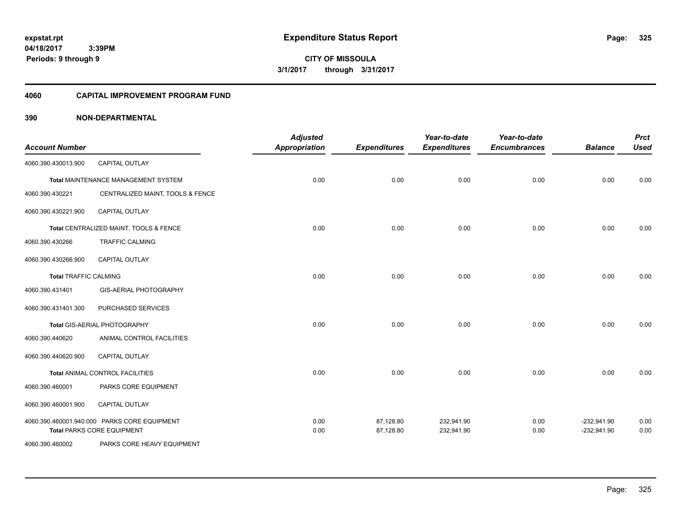**325**

**04/18/2017 3:39PM Periods: 9 through 9**

**CITY OF MISSOULA 3/1/2017 through 3/31/2017**

#### **4060 CAPITAL IMPROVEMENT PROGRAM FUND**

| <b>Account Number</b>        |                                                                                   | <b>Adjusted</b><br><b>Appropriation</b> | <b>Expenditures</b>    | Year-to-date<br><b>Expenditures</b> | Year-to-date<br><b>Encumbrances</b> | <b>Balance</b>                 | <b>Prct</b><br><b>Used</b> |
|------------------------------|-----------------------------------------------------------------------------------|-----------------------------------------|------------------------|-------------------------------------|-------------------------------------|--------------------------------|----------------------------|
| 4060.390.430013.900          | <b>CAPITAL OUTLAY</b>                                                             |                                         |                        |                                     |                                     |                                |                            |
|                              | Total MAINTENANCE MANAGEMENT SYSTEM                                               | 0.00                                    | 0.00                   | 0.00                                | 0.00                                | 0.00                           | 0.00                       |
| 4060.390.430221              | CENTRALIZED MAINT, TOOLS & FENCE                                                  |                                         |                        |                                     |                                     |                                |                            |
| 4060.390.430221.900          | CAPITAL OUTLAY                                                                    |                                         |                        |                                     |                                     |                                |                            |
|                              | Total CENTRALIZED MAINT, TOOLS & FENCE                                            | 0.00                                    | 0.00                   | 0.00                                | 0.00                                | 0.00                           | 0.00                       |
| 4060.390.430266              | <b>TRAFFIC CALMING</b>                                                            |                                         |                        |                                     |                                     |                                |                            |
| 4060.390.430266.900          | <b>CAPITAL OUTLAY</b>                                                             |                                         |                        |                                     |                                     |                                |                            |
| <b>Total TRAFFIC CALMING</b> |                                                                                   | 0.00                                    | 0.00                   | 0.00                                | 0.00                                | 0.00                           | 0.00                       |
| 4060.390.431401              | <b>GIS-AERIAL PHOTOGRAPHY</b>                                                     |                                         |                        |                                     |                                     |                                |                            |
| 4060.390.431401.300          | PURCHASED SERVICES                                                                |                                         |                        |                                     |                                     |                                |                            |
|                              | Total GIS-AERIAL PHOTOGRAPHY                                                      | 0.00                                    | 0.00                   | 0.00                                | 0.00                                | 0.00                           | 0.00                       |
| 4060.390.440620              | ANIMAL CONTROL FACILITIES                                                         |                                         |                        |                                     |                                     |                                |                            |
| 4060.390.440620.900          | <b>CAPITAL OUTLAY</b>                                                             |                                         |                        |                                     |                                     |                                |                            |
|                              | Total ANIMAL CONTROL FACILITIES                                                   | 0.00                                    | 0.00                   | 0.00                                | 0.00                                | 0.00                           | 0.00                       |
| 4060.390.460001              | PARKS CORE EQUIPMENT                                                              |                                         |                        |                                     |                                     |                                |                            |
| 4060.390.460001.900          | CAPITAL OUTLAY                                                                    |                                         |                        |                                     |                                     |                                |                            |
|                              | 4060.390.460001.940.000 PARKS CORE EQUIPMENT<br><b>Total PARKS CORE EQUIPMENT</b> | 0.00<br>0.00                            | 87,128.80<br>87,128.80 | 232,941.90<br>232,941.90            | 0.00<br>0.00                        | $-232,941.90$<br>$-232,941.90$ | 0.00<br>0.00               |
| 4060.390.460002              | PARKS CORE HEAVY EQUIPMENT                                                        |                                         |                        |                                     |                                     |                                |                            |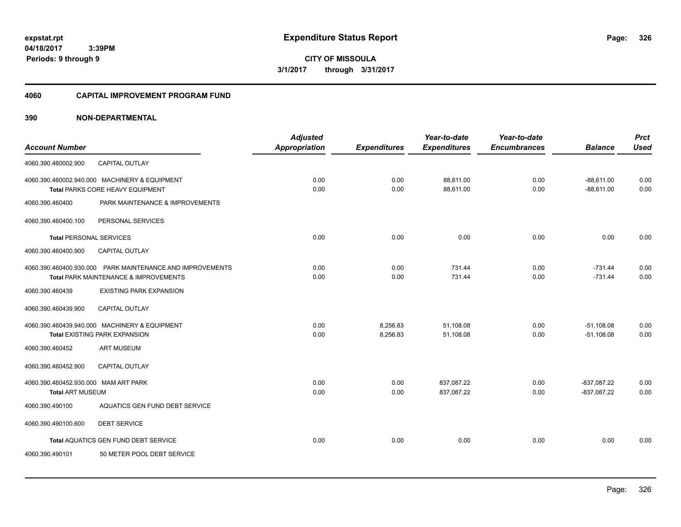**326**

**04/18/2017 3:39PM Periods: 9 through 9**

**CITY OF MISSOULA 3/1/2017 through 3/31/2017**

#### **4060 CAPITAL IMPROVEMENT PROGRAM FUND**

|                                      |                                                           | <b>Adjusted</b>      |                     | Year-to-date        | Year-to-date        |                | <b>Prct</b> |
|--------------------------------------|-----------------------------------------------------------|----------------------|---------------------|---------------------|---------------------|----------------|-------------|
| <b>Account Number</b>                |                                                           | <b>Appropriation</b> | <b>Expenditures</b> | <b>Expenditures</b> | <b>Encumbrances</b> | <b>Balance</b> | <b>Used</b> |
| 4060.390.460002.900                  | CAPITAL OUTLAY                                            |                      |                     |                     |                     |                |             |
|                                      | 4060.390.460002.940.000 MACHINERY & EQUIPMENT             | 0.00                 | 0.00                | 88,611.00           | 0.00                | $-88,611.00$   | 0.00        |
|                                      | Total PARKS CORE HEAVY EQUIPMENT                          | 0.00                 | 0.00                | 88,611.00           | 0.00                | $-88.611.00$   | 0.00        |
| 4060.390.460400                      | PARK MAINTENANCE & IMPROVEMENTS                           |                      |                     |                     |                     |                |             |
| 4060.390.460400.100                  | PERSONAL SERVICES                                         |                      |                     |                     |                     |                |             |
| <b>Total PERSONAL SERVICES</b>       |                                                           | 0.00                 | 0.00                | 0.00                | 0.00                | 0.00           | 0.00        |
| 4060.390.460400.900                  | CAPITAL OUTLAY                                            |                      |                     |                     |                     |                |             |
|                                      | 4060.390.460400.930.000 PARK MAINTENANCE AND IMPROVEMENTS | 0.00                 | 0.00                | 731.44              | 0.00                | $-731.44$      | 0.00        |
|                                      | Total PARK MAINTENANCE & IMPROVEMENTS                     | 0.00                 | 0.00                | 731.44              | 0.00                | $-731.44$      | 0.00        |
| 4060.390.460439                      | <b>EXISTING PARK EXPANSION</b>                            |                      |                     |                     |                     |                |             |
| 4060.390.460439.900                  | <b>CAPITAL OUTLAY</b>                                     |                      |                     |                     |                     |                |             |
|                                      | 4060.390.460439.940.000 MACHINERY & EQUIPMENT             | 0.00                 | 8,256.83            | 51,108.08           | 0.00                | $-51,108.08$   | 0.00        |
|                                      | <b>Total EXISTING PARK EXPANSION</b>                      | 0.00                 | 8,256.83            | 51,108.08           | 0.00                | $-51,108.08$   | 0.00        |
| 4060.390.460452                      | <b>ART MUSEUM</b>                                         |                      |                     |                     |                     |                |             |
| 4060.390.460452.900                  | <b>CAPITAL OUTLAY</b>                                     |                      |                     |                     |                     |                |             |
| 4060.390.460452.930.000 MAM ART PARK |                                                           | 0.00                 | 0.00                | 837,087.22          | 0.00                | $-837,087.22$  | 0.00        |
| <b>Total ART MUSEUM</b>              |                                                           | 0.00                 | 0.00                | 837,087.22          | 0.00                | $-837,087.22$  | 0.00        |
| 4060.390.490100                      | AQUATICS GEN FUND DEBT SERVICE                            |                      |                     |                     |                     |                |             |
| 4060.390.490100.600                  | <b>DEBT SERVICE</b>                                       |                      |                     |                     |                     |                |             |
|                                      | Total AQUATICS GEN FUND DEBT SERVICE                      | 0.00                 | 0.00                | 0.00                | 0.00                | 0.00           | 0.00        |
| 4060.390.490101                      | 50 METER POOL DEBT SERVICE                                |                      |                     |                     |                     |                |             |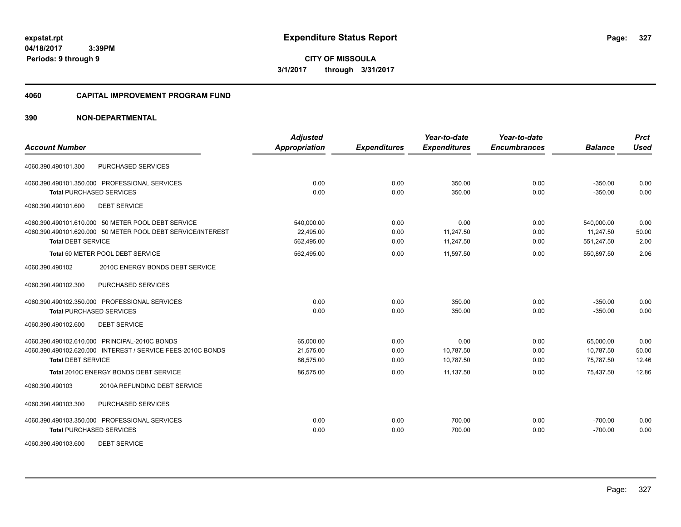**CITY OF MISSOULA 3/1/2017 through 3/31/2017**

#### **4060 CAPITAL IMPROVEMENT PROGRAM FUND**

|                                                             | <b>Adjusted</b> |                     | Year-to-date        | Year-to-date        |                | <b>Prct</b> |
|-------------------------------------------------------------|-----------------|---------------------|---------------------|---------------------|----------------|-------------|
| <b>Account Number</b>                                       | Appropriation   | <b>Expenditures</b> | <b>Expenditures</b> | <b>Encumbrances</b> | <b>Balance</b> | <b>Used</b> |
| PURCHASED SERVICES<br>4060.390.490101.300                   |                 |                     |                     |                     |                |             |
| 4060.390.490101.350.000 PROFESSIONAL SERVICES               | 0.00            | 0.00                | 350.00              | 0.00                | $-350.00$      | 0.00        |
| <b>Total PURCHASED SERVICES</b>                             | 0.00            | 0.00                | 350.00              | 0.00                | $-350.00$      | 0.00        |
| <b>DEBT SERVICE</b><br>4060.390.490101.600                  |                 |                     |                     |                     |                |             |
| 4060.390.490101.610.000 50 METER POOL DEBT SERVICE          | 540,000.00      | 0.00                | 0.00                | 0.00                | 540,000.00     | 0.00        |
| 4060.390.490101.620.000 50 METER POOL DEBT SERVICE/INTEREST | 22,495.00       | 0.00                | 11,247.50           | 0.00                | 11,247.50      | 50.00       |
| <b>Total DEBT SERVICE</b>                                   | 562,495.00      | 0.00                | 11,247.50           | 0.00                | 551,247.50     | 2.00        |
| Total 50 METER POOL DEBT SERVICE                            | 562,495.00      | 0.00                | 11.597.50           | 0.00                | 550,897.50     | 2.06        |
| 2010C ENERGY BONDS DEBT SERVICE<br>4060.390.490102          |                 |                     |                     |                     |                |             |
| PURCHASED SERVICES<br>4060.390.490102.300                   |                 |                     |                     |                     |                |             |
| 4060.390.490102.350.000 PROFESSIONAL SERVICES               | 0.00            | 0.00                | 350.00              | 0.00                | $-350.00$      | 0.00        |
| <b>Total PURCHASED SERVICES</b>                             | 0.00            | 0.00                | 350.00              | 0.00                | $-350.00$      | 0.00        |
| 4060.390.490102.600<br><b>DEBT SERVICE</b>                  |                 |                     |                     |                     |                |             |
| 4060.390.490102.610.000 PRINCIPAL-2010C BONDS               | 65,000.00       | 0.00                | 0.00                | 0.00                | 65,000.00      | 0.00        |
| 4060.390.490102.620.000 INTEREST / SERVICE FEES-2010C BONDS | 21,575.00       | 0.00                | 10,787.50           | 0.00                | 10,787.50      | 50.00       |
| <b>Total DEBT SERVICE</b>                                   | 86,575.00       | 0.00                | 10,787.50           | 0.00                | 75,787.50      | 12.46       |
| <b>Total 2010C ENERGY BONDS DEBT SERVICE</b>                | 86,575.00       | 0.00                | 11,137.50           | 0.00                | 75,437.50      | 12.86       |
| 2010A REFUNDING DEBT SERVICE<br>4060.390.490103             |                 |                     |                     |                     |                |             |
| 4060.390.490103.300<br>PURCHASED SERVICES                   |                 |                     |                     |                     |                |             |
| 4060.390.490103.350.000 PROFESSIONAL SERVICES               | 0.00            | 0.00                | 700.00              | 0.00                | $-700.00$      | 0.00        |
| <b>Total PURCHASED SERVICES</b>                             | 0.00            | 0.00                | 700.00              | 0.00                | $-700.00$      | 0.00        |
| <b>DEBT SERVICE</b><br>4060.390.490103.600                  |                 |                     |                     |                     |                |             |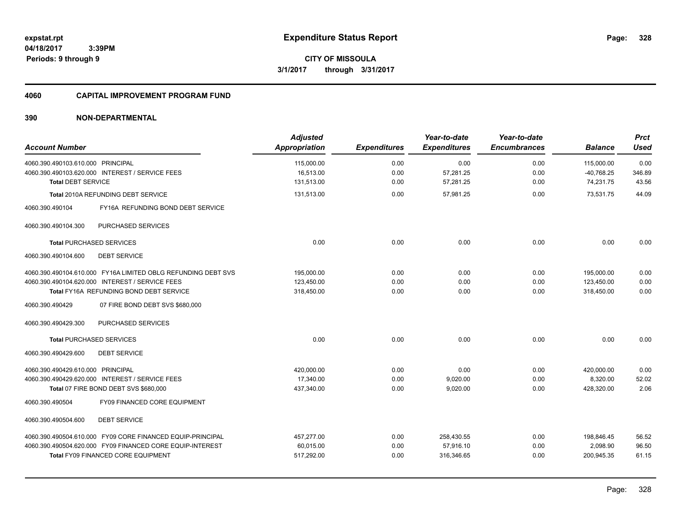**328**

**CITY OF MISSOULA 3/1/2017 through 3/31/2017**

#### **4060 CAPITAL IMPROVEMENT PROGRAM FUND**

| <b>Account Number</b>                                         | <b>Adjusted</b><br>Appropriation | <b>Expenditures</b> | Year-to-date<br><b>Expenditures</b> | Year-to-date<br><b>Encumbrances</b> | <b>Balance</b> | <b>Prct</b><br><b>Used</b> |
|---------------------------------------------------------------|----------------------------------|---------------------|-------------------------------------|-------------------------------------|----------------|----------------------------|
|                                                               |                                  |                     |                                     |                                     |                |                            |
| 4060.390.490103.610.000 PRINCIPAL                             | 115,000.00                       | 0.00                | 0.00                                | 0.00                                | 115,000.00     | 0.00                       |
| 4060.390.490103.620.000 INTEREST / SERVICE FEES               | 16,513.00                        | 0.00                | 57,281.25                           | 0.00                                | $-40,768.25$   | 346.89                     |
| <b>Total DEBT SERVICE</b>                                     | 131,513.00                       | 0.00                | 57,281.25                           | 0.00                                | 74,231.75      | 43.56                      |
| Total 2010A REFUNDING DEBT SERVICE                            | 131,513.00                       | 0.00                | 57,981.25                           | 0.00                                | 73,531.75      | 44.09                      |
| 4060.390.490104<br>FY16A REFUNDING BOND DEBT SERVICE          |                                  |                     |                                     |                                     |                |                            |
| PURCHASED SERVICES<br>4060.390.490104.300                     |                                  |                     |                                     |                                     |                |                            |
| <b>Total PURCHASED SERVICES</b>                               | 0.00                             | 0.00                | 0.00                                | 0.00                                | 0.00           | 0.00                       |
| 4060.390.490104.600<br><b>DEBT SERVICE</b>                    |                                  |                     |                                     |                                     |                |                            |
| 4060.390.490104.610.000 FY16A LIMITED OBLG REFUNDING DEBT SVS | 195,000.00                       | 0.00                | 0.00                                | 0.00                                | 195,000.00     | 0.00                       |
| 4060.390.490104.620.000 INTEREST / SERVICE FEES               | 123,450.00                       | 0.00                | 0.00                                | 0.00                                | 123,450.00     | 0.00                       |
| Total FY16A REFUNDING BOND DEBT SERVICE                       | 318,450.00                       | 0.00                | 0.00                                | 0.00                                | 318,450.00     | 0.00                       |
| 07 FIRE BOND DEBT SVS \$680,000<br>4060.390.490429            |                                  |                     |                                     |                                     |                |                            |
| 4060.390.490429.300<br><b>PURCHASED SERVICES</b>              |                                  |                     |                                     |                                     |                |                            |
| <b>Total PURCHASED SERVICES</b>                               | 0.00                             | 0.00                | 0.00                                | 0.00                                | 0.00           | 0.00                       |
| <b>DEBT SERVICE</b><br>4060.390.490429.600                    |                                  |                     |                                     |                                     |                |                            |
| 4060.390.490429.610.000 PRINCIPAL                             | 420.000.00                       | 0.00                | 0.00                                | 0.00                                | 420,000.00     | 0.00                       |
| 4060.390.490429.620.000 INTEREST / SERVICE FEES               | 17,340.00                        | 0.00                | 9,020.00                            | 0.00                                | 8,320.00       | 52.02                      |
| Total 07 FIRE BOND DEBT SVS \$680,000                         | 437,340.00                       | 0.00                | 9,020.00                            | 0.00                                | 428,320.00     | 2.06                       |
| FY09 FINANCED CORE EQUIPMENT<br>4060.390.490504               |                                  |                     |                                     |                                     |                |                            |
| <b>DEBT SERVICE</b><br>4060.390.490504.600                    |                                  |                     |                                     |                                     |                |                            |
| 4060.390.490504.610.000 FY09 CORE FINANCED EQUIP-PRINCIPAL    | 457,277.00                       | 0.00                | 258,430.55                          | 0.00                                | 198,846.45     | 56.52                      |
| 4060.390.490504.620.000 FY09 FINANCED CORE EQUIP-INTEREST     | 60,015.00                        | 0.00                | 57,916.10                           | 0.00                                | 2,098.90       | 96.50                      |
| <b>Total FY09 FINANCED CORE EQUIPMENT</b>                     | 517,292.00                       | 0.00                | 316,346.65                          | 0.00                                | 200,945.35     | 61.15                      |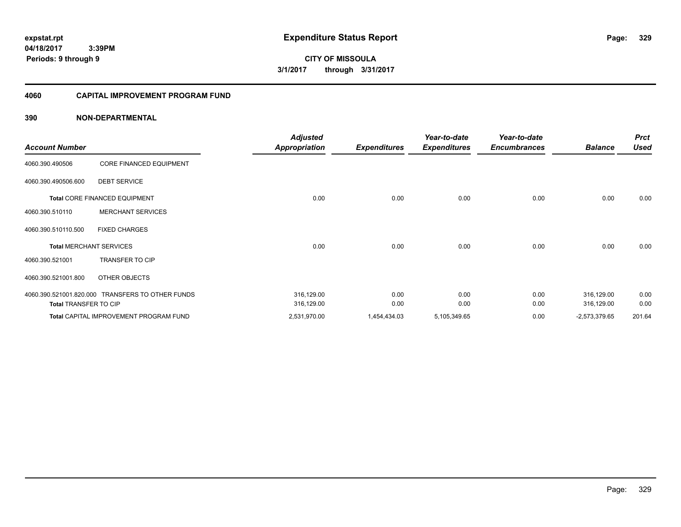**CITY OF MISSOULA 3/1/2017 through 3/31/2017**

#### **4060 CAPITAL IMPROVEMENT PROGRAM FUND**

| <b>Account Number</b>        |                                                  | <b>Adjusted</b><br><b>Appropriation</b> | <b>Expenditures</b> | Year-to-date<br><b>Expenditures</b> | Year-to-date<br><b>Encumbrances</b> | <b>Balance</b>  | <b>Prct</b><br><b>Used</b> |
|------------------------------|--------------------------------------------------|-----------------------------------------|---------------------|-------------------------------------|-------------------------------------|-----------------|----------------------------|
| 4060.390.490506              | <b>CORE FINANCED EQUIPMENT</b>                   |                                         |                     |                                     |                                     |                 |                            |
| 4060.390.490506.600          | <b>DEBT SERVICE</b>                              |                                         |                     |                                     |                                     |                 |                            |
|                              | Total CORE FINANCED EQUIPMENT                    | 0.00                                    | 0.00                | 0.00                                | 0.00                                | 0.00            | 0.00                       |
| 4060.390.510110              | <b>MERCHANT SERVICES</b>                         |                                         |                     |                                     |                                     |                 |                            |
| 4060.390.510110.500          | <b>FIXED CHARGES</b>                             |                                         |                     |                                     |                                     |                 |                            |
|                              | <b>Total MERCHANT SERVICES</b>                   | 0.00                                    | 0.00                | 0.00                                | 0.00                                | 0.00            | 0.00                       |
| 4060.390.521001              | TRANSFER TO CIP                                  |                                         |                     |                                     |                                     |                 |                            |
| 4060.390.521001.800          | OTHER OBJECTS                                    |                                         |                     |                                     |                                     |                 |                            |
|                              | 4060.390.521001.820.000 TRANSFERS TO OTHER FUNDS | 316,129.00                              | 0.00                | 0.00                                | 0.00                                | 316,129.00      | 0.00                       |
| <b>Total TRANSFER TO CIP</b> |                                                  | 316,129.00                              | 0.00                | 0.00                                | 0.00                                | 316,129.00      | 0.00                       |
|                              | <b>Total CAPITAL IMPROVEMENT PROGRAM FUND</b>    | 2,531,970.00                            | 1,454,434.03        | 5,105,349.65                        | 0.00                                | $-2,573,379.65$ | 201.64                     |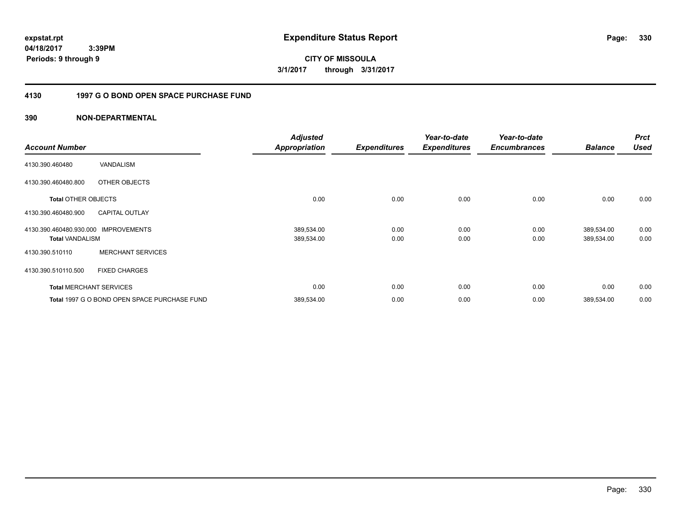**CITY OF MISSOULA 3/1/2017 through 3/31/2017**

### **4130 1997 G O BOND OPEN SPACE PURCHASE FUND**

| <b>Account Number</b>                             |                                              | <b>Adjusted</b><br><b>Appropriation</b> | <b>Expenditures</b> | Year-to-date<br><b>Expenditures</b> | Year-to-date<br><b>Encumbrances</b> | <b>Balance</b>           | <b>Prct</b><br><b>Used</b> |
|---------------------------------------------------|----------------------------------------------|-----------------------------------------|---------------------|-------------------------------------|-------------------------------------|--------------------------|----------------------------|
| 4130.390.460480                                   | VANDALISM                                    |                                         |                     |                                     |                                     |                          |                            |
| 4130.390.460480.800                               | OTHER OBJECTS                                |                                         |                     |                                     |                                     |                          |                            |
| <b>Total OTHER OBJECTS</b>                        |                                              | 0.00                                    | 0.00                | 0.00                                | 0.00                                | 0.00                     | 0.00                       |
| 4130.390.460480.900                               | <b>CAPITAL OUTLAY</b>                        |                                         |                     |                                     |                                     |                          |                            |
| 4130.390.460480.930.000<br><b>Total VANDALISM</b> | <b>IMPROVEMENTS</b>                          | 389,534.00<br>389,534.00                | 0.00<br>0.00        | 0.00<br>0.00                        | 0.00<br>0.00                        | 389,534.00<br>389,534.00 | 0.00<br>0.00               |
| 4130.390.510110                                   | <b>MERCHANT SERVICES</b>                     |                                         |                     |                                     |                                     |                          |                            |
| 4130.390.510110.500                               | <b>FIXED CHARGES</b>                         |                                         |                     |                                     |                                     |                          |                            |
|                                                   | <b>Total MERCHANT SERVICES</b>               | 0.00                                    | 0.00                | 0.00                                | 0.00                                | 0.00                     | 0.00                       |
|                                                   | Total 1997 G O BOND OPEN SPACE PURCHASE FUND | 389,534.00                              | 0.00                | 0.00                                | 0.00                                | 389,534.00               | 0.00                       |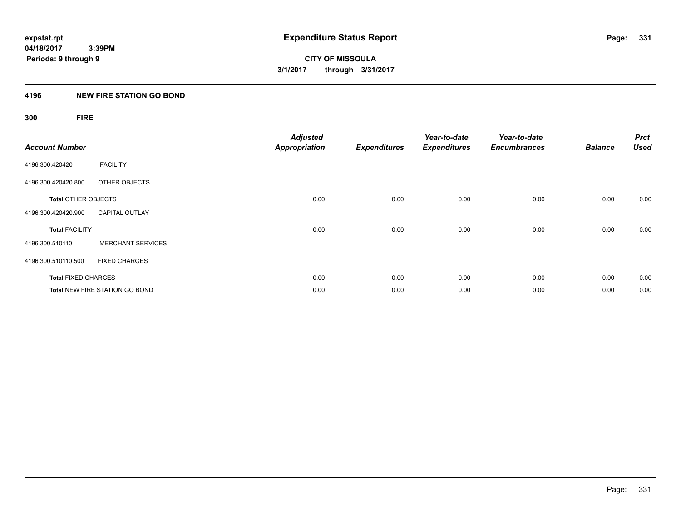#### **4196 NEW FIRE STATION GO BOND**

## **300 FIRE**

| <b>Account Number</b>      |                                       | <b>Adjusted</b><br><b>Appropriation</b> | <b>Expenditures</b> | Year-to-date<br><b>Expenditures</b> | Year-to-date<br><b>Encumbrances</b> | <b>Balance</b> | <b>Prct</b><br><b>Used</b> |
|----------------------------|---------------------------------------|-----------------------------------------|---------------------|-------------------------------------|-------------------------------------|----------------|----------------------------|
| 4196.300.420420            | <b>FACILITY</b>                       |                                         |                     |                                     |                                     |                |                            |
| 4196.300.420420.800        | OTHER OBJECTS                         |                                         |                     |                                     |                                     |                |                            |
| <b>Total OTHER OBJECTS</b> |                                       | 0.00                                    | 0.00                | 0.00                                | 0.00                                | 0.00           | 0.00                       |
| 4196.300.420420.900        | <b>CAPITAL OUTLAY</b>                 |                                         |                     |                                     |                                     |                |                            |
| <b>Total FACILITY</b>      |                                       | 0.00                                    | 0.00                | 0.00                                | 0.00                                | 0.00           | 0.00                       |
| 4196.300.510110            | <b>MERCHANT SERVICES</b>              |                                         |                     |                                     |                                     |                |                            |
| 4196.300.510110.500        | <b>FIXED CHARGES</b>                  |                                         |                     |                                     |                                     |                |                            |
| <b>Total FIXED CHARGES</b> |                                       | 0.00                                    | 0.00                | 0.00                                | 0.00                                | 0.00           | 0.00                       |
|                            | <b>Total NEW FIRE STATION GO BOND</b> | 0.00                                    | 0.00                | 0.00                                | 0.00                                | 0.00           | 0.00                       |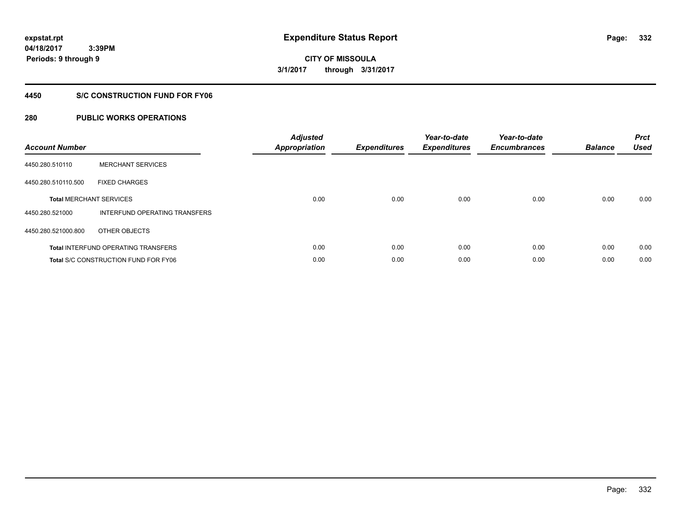**332**

**04/18/2017 3:39PM Periods: 9 through 9**

#### **4450 S/C CONSTRUCTION FUND FOR FY06**

| <b>Account Number</b> |                                             | <b>Adjusted</b><br>Appropriation | <b>Expenditures</b> | Year-to-date<br><b>Expenditures</b> | Year-to-date<br><b>Encumbrances</b> | <b>Balance</b> | <b>Prct</b><br><b>Used</b> |
|-----------------------|---------------------------------------------|----------------------------------|---------------------|-------------------------------------|-------------------------------------|----------------|----------------------------|
| 4450.280.510110       | <b>MERCHANT SERVICES</b>                    |                                  |                     |                                     |                                     |                |                            |
| 4450.280.510110.500   | <b>FIXED CHARGES</b>                        |                                  |                     |                                     |                                     |                |                            |
|                       | <b>Total MERCHANT SERVICES</b>              | 0.00                             | 0.00                | 0.00                                | 0.00                                | 0.00           | 0.00                       |
| 4450.280.521000       | INTERFUND OPERATING TRANSFERS               |                                  |                     |                                     |                                     |                |                            |
| 4450.280.521000.800   | OTHER OBJECTS                               |                                  |                     |                                     |                                     |                |                            |
|                       | <b>Total INTERFUND OPERATING TRANSFERS</b>  | 0.00                             | 0.00                | 0.00                                | 0.00                                | 0.00           | 0.00                       |
|                       | <b>Total S/C CONSTRUCTION FUND FOR FY06</b> | 0.00                             | 0.00                | 0.00                                | 0.00                                | 0.00           | 0.00                       |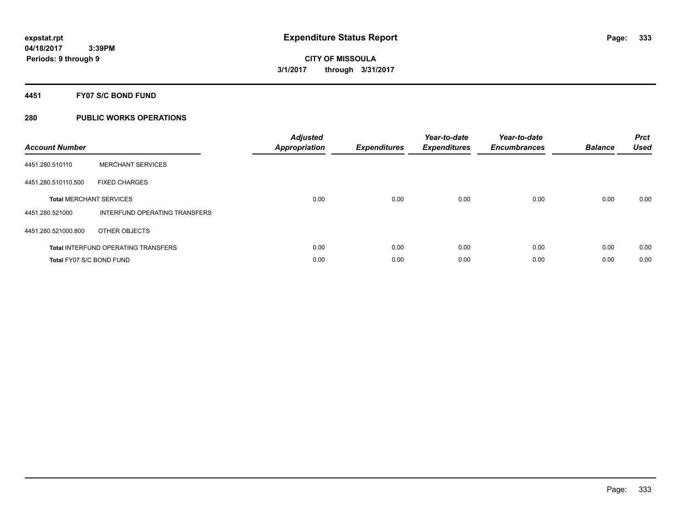#### **4451 FY07 S/C BOND FUND**

| <b>Account Number</b>          |                                            | <b>Adjusted</b><br>Appropriation | <b>Expenditures</b> | Year-to-date<br><b>Expenditures</b> | Year-to-date<br><b>Encumbrances</b> | <b>Balance</b> | <b>Prct</b><br><b>Used</b> |
|--------------------------------|--------------------------------------------|----------------------------------|---------------------|-------------------------------------|-------------------------------------|----------------|----------------------------|
| 4451.280.510110                | <b>MERCHANT SERVICES</b>                   |                                  |                     |                                     |                                     |                |                            |
| 4451.280.510110.500            | <b>FIXED CHARGES</b>                       |                                  |                     |                                     |                                     |                |                            |
| <b>Total MERCHANT SERVICES</b> |                                            | 0.00                             | 0.00                | 0.00                                | 0.00                                | 0.00           | 0.00                       |
| 4451.280.521000                | INTERFUND OPERATING TRANSFERS              |                                  |                     |                                     |                                     |                |                            |
| 4451.280.521000.800            | OTHER OBJECTS                              |                                  |                     |                                     |                                     |                |                            |
|                                | <b>Total INTERFUND OPERATING TRANSFERS</b> | 0.00                             | 0.00                | 0.00                                | 0.00                                | 0.00           | 0.00                       |
| Total FY07 S/C BOND FUND       |                                            | 0.00                             | 0.00                | 0.00                                | 0.00                                | 0.00           | 0.00                       |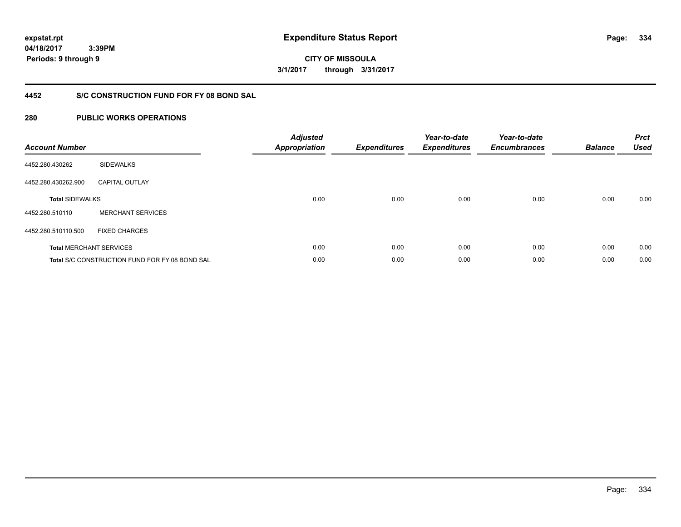**CITY OF MISSOULA 3/1/2017 through 3/31/2017**

### **4452 S/C CONSTRUCTION FUND FOR FY 08 BOND SAL**

| <b>Account Number</b>  |                                                       | <b>Adjusted</b><br><b>Appropriation</b> | <b>Expenditures</b> | Year-to-date<br><b>Expenditures</b> | Year-to-date<br><b>Encumbrances</b> | <b>Balance</b> | <b>Prct</b><br><b>Used</b> |
|------------------------|-------------------------------------------------------|-----------------------------------------|---------------------|-------------------------------------|-------------------------------------|----------------|----------------------------|
| 4452.280.430262        | <b>SIDEWALKS</b>                                      |                                         |                     |                                     |                                     |                |                            |
| 4452.280.430262.900    | <b>CAPITAL OUTLAY</b>                                 |                                         |                     |                                     |                                     |                |                            |
| <b>Total SIDEWALKS</b> |                                                       | 0.00                                    | 0.00                | 0.00                                | 0.00                                | 0.00           | 0.00                       |
| 4452.280.510110        | <b>MERCHANT SERVICES</b>                              |                                         |                     |                                     |                                     |                |                            |
| 4452.280.510110.500    | <b>FIXED CHARGES</b>                                  |                                         |                     |                                     |                                     |                |                            |
|                        | <b>Total MERCHANT SERVICES</b>                        | 0.00                                    | 0.00                | 0.00                                | 0.00                                | 0.00           | 0.00                       |
|                        | <b>Total S/C CONSTRUCTION FUND FOR FY 08 BOND SAL</b> | 0.00                                    | 0.00                | 0.00                                | 0.00                                | 0.00           | 0.00                       |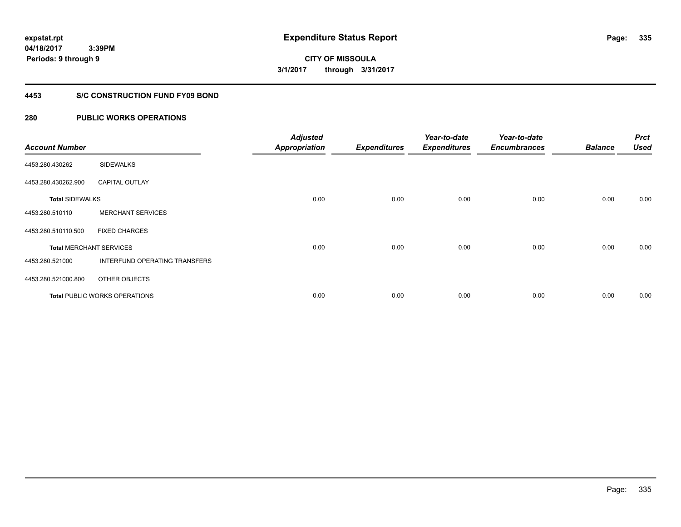**Periods: 9 through 9**

**CITY OF MISSOULA 3/1/2017 through 3/31/2017**

#### **4453 S/C CONSTRUCTION FUND FY09 BOND**

### **280 PUBLIC WORKS OPERATIONS**

 **3:39PM**

| <b>Account Number</b>  |                                | <b>Adjusted</b><br><b>Appropriation</b> | <b>Expenditures</b> | Year-to-date<br><b>Expenditures</b> | Year-to-date<br><b>Encumbrances</b> | <b>Balance</b> | <b>Prct</b><br><b>Used</b> |
|------------------------|--------------------------------|-----------------------------------------|---------------------|-------------------------------------|-------------------------------------|----------------|----------------------------|
| 4453.280.430262        | <b>SIDEWALKS</b>               |                                         |                     |                                     |                                     |                |                            |
| 4453.280.430262.900    | <b>CAPITAL OUTLAY</b>          |                                         |                     |                                     |                                     |                |                            |
| <b>Total SIDEWALKS</b> |                                | 0.00                                    | 0.00                | 0.00                                | 0.00                                | 0.00           | 0.00                       |
| 4453.280.510110        | <b>MERCHANT SERVICES</b>       |                                         |                     |                                     |                                     |                |                            |
| 4453.280.510110.500    | <b>FIXED CHARGES</b>           |                                         |                     |                                     |                                     |                |                            |
|                        | <b>Total MERCHANT SERVICES</b> | 0.00                                    | 0.00                | 0.00                                | 0.00                                | 0.00           | 0.00                       |
| 4453.280.521000        | INTERFUND OPERATING TRANSFERS  |                                         |                     |                                     |                                     |                |                            |
| 4453.280.521000.800    | OTHER OBJECTS                  |                                         |                     |                                     |                                     |                |                            |
|                        | Total PUBLIC WORKS OPERATIONS  | 0.00                                    | 0.00                | 0.00                                | 0.00                                | 0.00           | 0.00                       |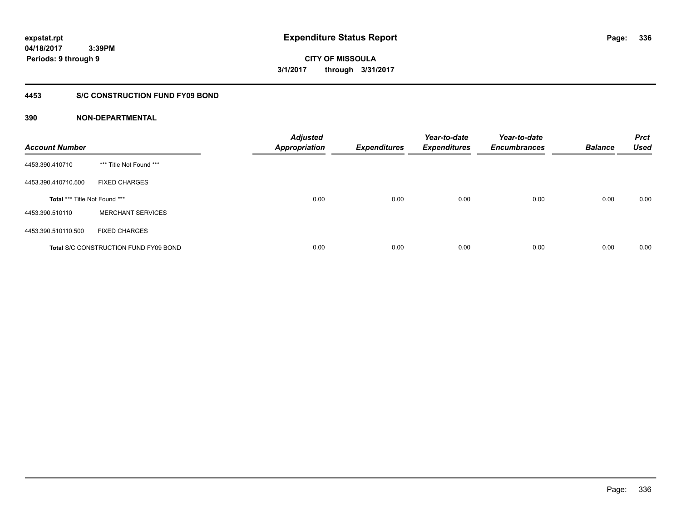**336**

**CITY OF MISSOULA 3/1/2017 through 3/31/2017**

#### **4453 S/C CONSTRUCTION FUND FY09 BOND**

| <b>Account Number</b>                |                                              | <b>Adjusted</b><br><b>Appropriation</b> | <b>Expenditures</b> | Year-to-date<br><b>Expenditures</b> | Year-to-date<br><b>Encumbrances</b> | <b>Balance</b> | <b>Prct</b><br><b>Used</b> |
|--------------------------------------|----------------------------------------------|-----------------------------------------|---------------------|-------------------------------------|-------------------------------------|----------------|----------------------------|
| 4453.390.410710                      | *** Title Not Found ***                      |                                         |                     |                                     |                                     |                |                            |
| 4453.390.410710.500                  | <b>FIXED CHARGES</b>                         |                                         |                     |                                     |                                     |                |                            |
| <b>Total *** Title Not Found ***</b> |                                              | 0.00                                    | 0.00                | 0.00                                | 0.00                                | 0.00           | 0.00                       |
| 4453.390.510110                      | <b>MERCHANT SERVICES</b>                     |                                         |                     |                                     |                                     |                |                            |
| 4453.390.510110.500                  | <b>FIXED CHARGES</b>                         |                                         |                     |                                     |                                     |                |                            |
|                                      | <b>Total S/C CONSTRUCTION FUND FY09 BOND</b> | 0.00                                    | 0.00                | 0.00                                | 0.00                                | 0.00           | 0.00                       |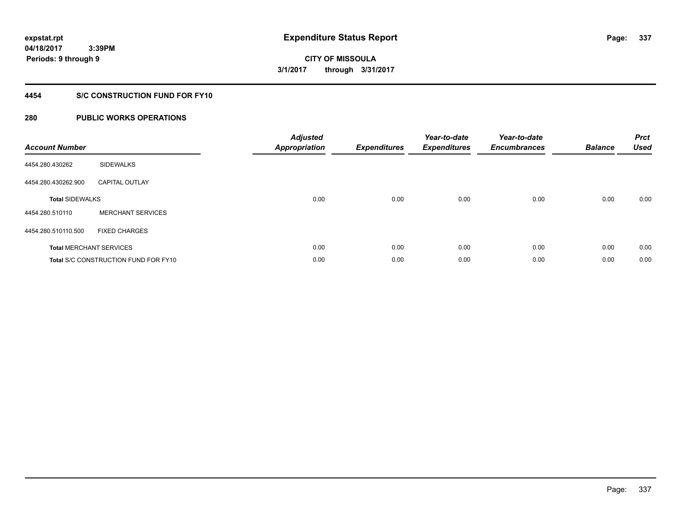**Periods: 9 through 9**

**CITY OF MISSOULA 3/1/2017 through 3/31/2017**

### **4454 S/C CONSTRUCTION FUND FOR FY10**

### **280 PUBLIC WORKS OPERATIONS**

 **3:39PM**

| <b>Account Number</b>  |                                      | <b>Adjusted</b><br><b>Appropriation</b> | <b>Expenditures</b> | Year-to-date<br><b>Expenditures</b> | Year-to-date<br><b>Encumbrances</b> | <b>Balance</b> | <b>Prct</b><br><b>Used</b> |
|------------------------|--------------------------------------|-----------------------------------------|---------------------|-------------------------------------|-------------------------------------|----------------|----------------------------|
| 4454.280.430262        | <b>SIDEWALKS</b>                     |                                         |                     |                                     |                                     |                |                            |
| 4454.280.430262.900    | <b>CAPITAL OUTLAY</b>                |                                         |                     |                                     |                                     |                |                            |
| <b>Total SIDEWALKS</b> |                                      | 0.00                                    | 0.00                | 0.00                                | 0.00                                | 0.00           | 0.00                       |
| 4454.280.510110        | <b>MERCHANT SERVICES</b>             |                                         |                     |                                     |                                     |                |                            |
| 4454.280.510110.500    | <b>FIXED CHARGES</b>                 |                                         |                     |                                     |                                     |                |                            |
|                        | <b>Total MERCHANT SERVICES</b>       | 0.00                                    | 0.00                | 0.00                                | 0.00                                | 0.00           | 0.00                       |
|                        | Total S/C CONSTRUCTION FUND FOR FY10 | 0.00                                    | 0.00                | 0.00                                | 0.00                                | 0.00           | 0.00                       |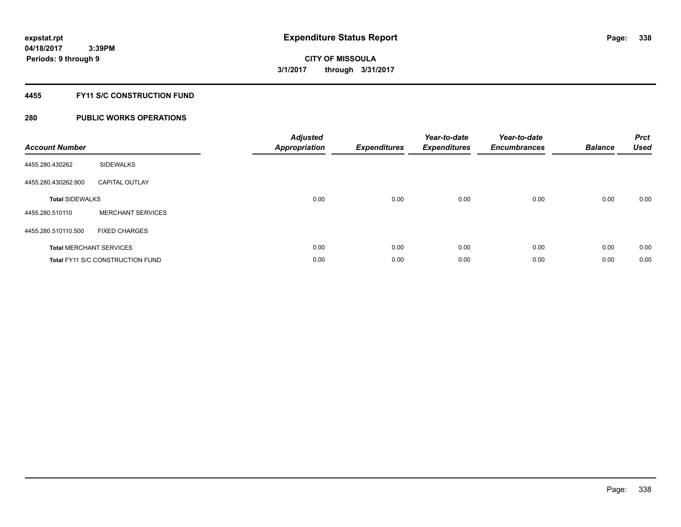### **4455 FY11 S/C CONSTRUCTION FUND**

| <b>Account Number</b>  |                                         | <b>Adjusted</b><br>Appropriation | <b>Expenditures</b> | Year-to-date<br><b>Expenditures</b> | Year-to-date<br><b>Encumbrances</b> | <b>Balance</b> | <b>Prct</b><br><b>Used</b> |
|------------------------|-----------------------------------------|----------------------------------|---------------------|-------------------------------------|-------------------------------------|----------------|----------------------------|
| 4455.280.430262        | <b>SIDEWALKS</b>                        |                                  |                     |                                     |                                     |                |                            |
| 4455.280.430262.900    | <b>CAPITAL OUTLAY</b>                   |                                  |                     |                                     |                                     |                |                            |
| <b>Total SIDEWALKS</b> |                                         | 0.00                             | 0.00                | 0.00                                | 0.00                                | 0.00           | 0.00                       |
| 4455.280.510110        | <b>MERCHANT SERVICES</b>                |                                  |                     |                                     |                                     |                |                            |
| 4455.280.510110.500    | <b>FIXED CHARGES</b>                    |                                  |                     |                                     |                                     |                |                            |
|                        | <b>Total MERCHANT SERVICES</b>          | 0.00                             | 0.00                | 0.00                                | 0.00                                | 0.00           | 0.00                       |
|                        | <b>Total FY11 S/C CONSTRUCTION FUND</b> | 0.00                             | 0.00                | 0.00                                | 0.00                                | 0.00           | 0.00                       |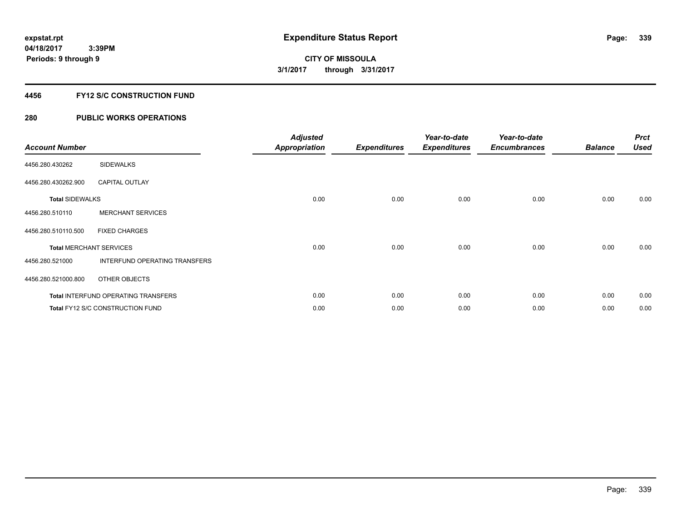### **4456 FY12 S/C CONSTRUCTION FUND**

| <b>Account Number</b>  |                                            | <b>Adjusted</b><br><b>Appropriation</b> | <b>Expenditures</b> | Year-to-date<br><b>Expenditures</b> | Year-to-date<br><b>Encumbrances</b> | <b>Balance</b> | <b>Prct</b><br><b>Used</b> |
|------------------------|--------------------------------------------|-----------------------------------------|---------------------|-------------------------------------|-------------------------------------|----------------|----------------------------|
| 4456.280.430262        | SIDEWALKS                                  |                                         |                     |                                     |                                     |                |                            |
| 4456.280.430262.900    | <b>CAPITAL OUTLAY</b>                      |                                         |                     |                                     |                                     |                |                            |
| <b>Total SIDEWALKS</b> |                                            | 0.00                                    | 0.00                | 0.00                                | 0.00                                | 0.00           | 0.00                       |
| 4456.280.510110        | <b>MERCHANT SERVICES</b>                   |                                         |                     |                                     |                                     |                |                            |
| 4456.280.510110.500    | <b>FIXED CHARGES</b>                       |                                         |                     |                                     |                                     |                |                            |
|                        | <b>Total MERCHANT SERVICES</b>             | 0.00                                    | 0.00                | 0.00                                | 0.00                                | 0.00           | 0.00                       |
| 4456.280.521000        | INTERFUND OPERATING TRANSFERS              |                                         |                     |                                     |                                     |                |                            |
| 4456.280.521000.800    | OTHER OBJECTS                              |                                         |                     |                                     |                                     |                |                            |
|                        | <b>Total INTERFUND OPERATING TRANSFERS</b> | 0.00                                    | 0.00                | 0.00                                | 0.00                                | 0.00           | 0.00                       |
|                        | Total FY12 S/C CONSTRUCTION FUND           | 0.00                                    | 0.00                | 0.00                                | 0.00                                | 0.00           | 0.00                       |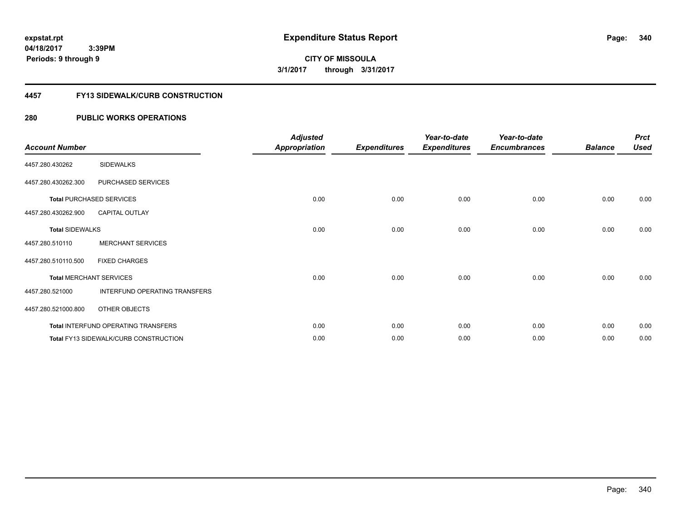**Periods: 9 through 9**

**340**

**CITY OF MISSOULA 3/1/2017 through 3/31/2017**

#### **4457 FY13 SIDEWALK/CURB CONSTRUCTION**

| <b>Account Number</b>  |                                              | <b>Adjusted</b><br><b>Appropriation</b> | <b>Expenditures</b> | Year-to-date<br><b>Expenditures</b> | Year-to-date<br><b>Encumbrances</b> | <b>Balance</b> | <b>Prct</b><br><b>Used</b> |
|------------------------|----------------------------------------------|-----------------------------------------|---------------------|-------------------------------------|-------------------------------------|----------------|----------------------------|
| 4457.280.430262        | <b>SIDEWALKS</b>                             |                                         |                     |                                     |                                     |                |                            |
| 4457.280.430262.300    | PURCHASED SERVICES                           |                                         |                     |                                     |                                     |                |                            |
|                        | <b>Total PURCHASED SERVICES</b>              | 0.00                                    | 0.00                | 0.00                                | 0.00                                | 0.00           | 0.00                       |
| 4457.280.430262.900    | <b>CAPITAL OUTLAY</b>                        |                                         |                     |                                     |                                     |                |                            |
| <b>Total SIDEWALKS</b> |                                              | 0.00                                    | 0.00                | 0.00                                | 0.00                                | 0.00           | 0.00                       |
| 4457.280.510110        | <b>MERCHANT SERVICES</b>                     |                                         |                     |                                     |                                     |                |                            |
| 4457.280.510110.500    | <b>FIXED CHARGES</b>                         |                                         |                     |                                     |                                     |                |                            |
|                        | <b>Total MERCHANT SERVICES</b>               | 0.00                                    | 0.00                | 0.00                                | 0.00                                | 0.00           | 0.00                       |
| 4457.280.521000        | INTERFUND OPERATING TRANSFERS                |                                         |                     |                                     |                                     |                |                            |
| 4457.280.521000.800    | OTHER OBJECTS                                |                                         |                     |                                     |                                     |                |                            |
|                        | Total INTERFUND OPERATING TRANSFERS          | 0.00                                    | 0.00                | 0.00                                | 0.00                                | 0.00           | 0.00                       |
|                        | <b>Total FY13 SIDEWALK/CURB CONSTRUCTION</b> | 0.00                                    | 0.00                | 0.00                                | 0.00                                | 0.00           | 0.00                       |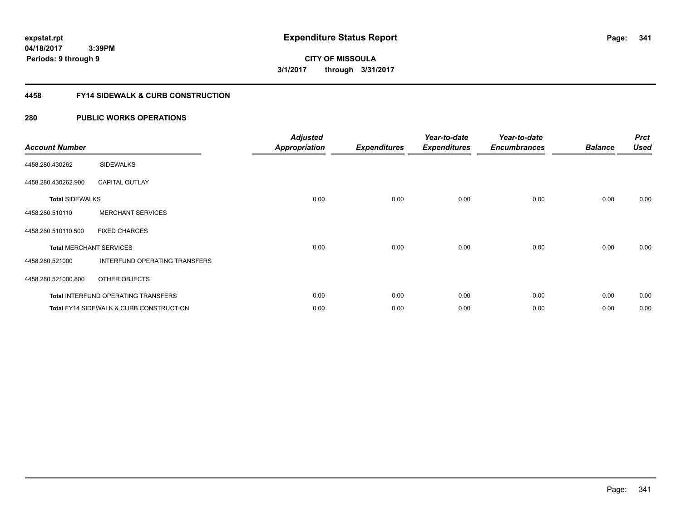**CITY OF MISSOULA 3/1/2017 through 3/31/2017**

#### **4458 FY14 SIDEWALK & CURB CONSTRUCTION**

| <b>Account Number</b>  |                                                    | <b>Adjusted</b><br><b>Appropriation</b> | <b>Expenditures</b> | Year-to-date<br><b>Expenditures</b> | Year-to-date<br><b>Encumbrances</b> | <b>Balance</b> | <b>Prct</b><br><b>Used</b> |
|------------------------|----------------------------------------------------|-----------------------------------------|---------------------|-------------------------------------|-------------------------------------|----------------|----------------------------|
| 4458.280.430262        | <b>SIDEWALKS</b>                                   |                                         |                     |                                     |                                     |                |                            |
| 4458.280.430262.900    | <b>CAPITAL OUTLAY</b>                              |                                         |                     |                                     |                                     |                |                            |
| <b>Total SIDEWALKS</b> |                                                    | 0.00                                    | 0.00                | 0.00                                | 0.00                                | 0.00           | 0.00                       |
| 4458.280.510110        | <b>MERCHANT SERVICES</b>                           |                                         |                     |                                     |                                     |                |                            |
| 4458.280.510110.500    | <b>FIXED CHARGES</b>                               |                                         |                     |                                     |                                     |                |                            |
|                        | <b>Total MERCHANT SERVICES</b>                     | 0.00                                    | 0.00                | 0.00                                | 0.00                                | 0.00           | 0.00                       |
| 4458.280.521000        | INTERFUND OPERATING TRANSFERS                      |                                         |                     |                                     |                                     |                |                            |
| 4458.280.521000.800    | OTHER OBJECTS                                      |                                         |                     |                                     |                                     |                |                            |
|                        | Total INTERFUND OPERATING TRANSFERS                | 0.00                                    | 0.00                | 0.00                                | 0.00                                | 0.00           | 0.00                       |
|                        | <b>Total FY14 SIDEWALK &amp; CURB CONSTRUCTION</b> | 0.00                                    | 0.00                | 0.00                                | 0.00                                | 0.00           | 0.00                       |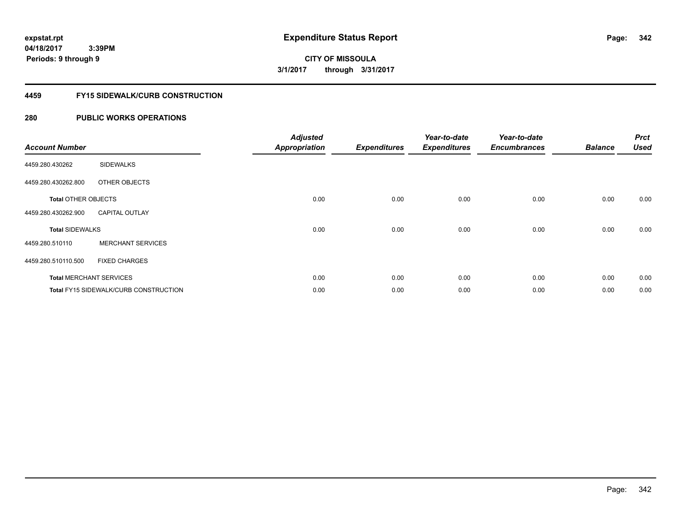**Periods: 9 through 9**

**CITY OF MISSOULA 3/1/2017 through 3/31/2017**

#### **4459 FY15 SIDEWALK/CURB CONSTRUCTION**

| <b>Account Number</b>      |                                              | <b>Adjusted</b><br><b>Appropriation</b> | <b>Expenditures</b> | Year-to-date<br><b>Expenditures</b> | Year-to-date<br><b>Encumbrances</b> | <b>Balance</b> | <b>Prct</b><br><b>Used</b> |
|----------------------------|----------------------------------------------|-----------------------------------------|---------------------|-------------------------------------|-------------------------------------|----------------|----------------------------|
| 4459.280.430262            | <b>SIDEWALKS</b>                             |                                         |                     |                                     |                                     |                |                            |
| 4459.280.430262.800        | OTHER OBJECTS                                |                                         |                     |                                     |                                     |                |                            |
| <b>Total OTHER OBJECTS</b> |                                              | 0.00                                    | 0.00                | 0.00                                | 0.00                                | 0.00           | 0.00                       |
| 4459.280.430262.900        | <b>CAPITAL OUTLAY</b>                        |                                         |                     |                                     |                                     |                |                            |
| <b>Total SIDEWALKS</b>     |                                              | 0.00                                    | 0.00                | 0.00                                | 0.00                                | 0.00           | 0.00                       |
| 4459.280.510110            | <b>MERCHANT SERVICES</b>                     |                                         |                     |                                     |                                     |                |                            |
| 4459.280.510110.500        | <b>FIXED CHARGES</b>                         |                                         |                     |                                     |                                     |                |                            |
|                            | <b>Total MERCHANT SERVICES</b>               | 0.00                                    | 0.00                | 0.00                                | 0.00                                | 0.00           | 0.00                       |
|                            | <b>Total FY15 SIDEWALK/CURB CONSTRUCTION</b> | 0.00                                    | 0.00                | 0.00                                | 0.00                                | 0.00           | 0.00                       |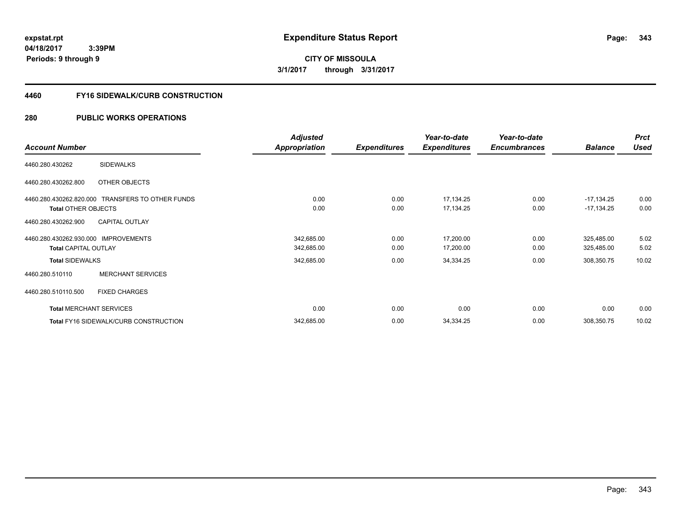**343**

**04/18/2017 3:39PM Periods: 9 through 9**

# **CITY OF MISSOULA 3/1/2017 through 3/31/2017**

#### **4460 FY16 SIDEWALK/CURB CONSTRUCTION**

|                                      |                                                  | <b>Adjusted</b>      |                     | Year-to-date        | Year-to-date        |                | <b>Prct</b> |
|--------------------------------------|--------------------------------------------------|----------------------|---------------------|---------------------|---------------------|----------------|-------------|
| <b>Account Number</b>                |                                                  | <b>Appropriation</b> | <b>Expenditures</b> | <b>Expenditures</b> | <b>Encumbrances</b> | <b>Balance</b> | <b>Used</b> |
| 4460.280.430262                      | <b>SIDEWALKS</b>                                 |                      |                     |                     |                     |                |             |
| 4460.280.430262.800                  | OTHER OBJECTS                                    |                      |                     |                     |                     |                |             |
|                                      | 4460.280.430262.820.000 TRANSFERS TO OTHER FUNDS | 0.00                 | 0.00                | 17,134.25           | 0.00                | $-17,134.25$   | 0.00        |
| <b>Total OTHER OBJECTS</b>           |                                                  | 0.00                 | 0.00                | 17,134.25           | 0.00                | $-17,134.25$   | 0.00        |
| 4460.280.430262.900                  | <b>CAPITAL OUTLAY</b>                            |                      |                     |                     |                     |                |             |
| 4460.280.430262.930.000 IMPROVEMENTS |                                                  | 342,685.00           | 0.00                | 17,200.00           | 0.00                | 325,485.00     | 5.02        |
| <b>Total CAPITAL OUTLAY</b>          |                                                  | 342,685.00           | 0.00                | 17,200.00           | 0.00                | 325,485.00     | 5.02        |
| <b>Total SIDEWALKS</b>               |                                                  | 342,685.00           | 0.00                | 34,334.25           | 0.00                | 308,350.75     | 10.02       |
| 4460.280.510110                      | <b>MERCHANT SERVICES</b>                         |                      |                     |                     |                     |                |             |
| 4460.280.510110.500                  | <b>FIXED CHARGES</b>                             |                      |                     |                     |                     |                |             |
|                                      | <b>Total MERCHANT SERVICES</b>                   | 0.00                 | 0.00                | 0.00                | 0.00                | 0.00           | 0.00        |
|                                      | Total FY16 SIDEWALK/CURB CONSTRUCTION            | 342,685.00           | 0.00                | 34,334.25           | 0.00                | 308,350.75     | 10.02       |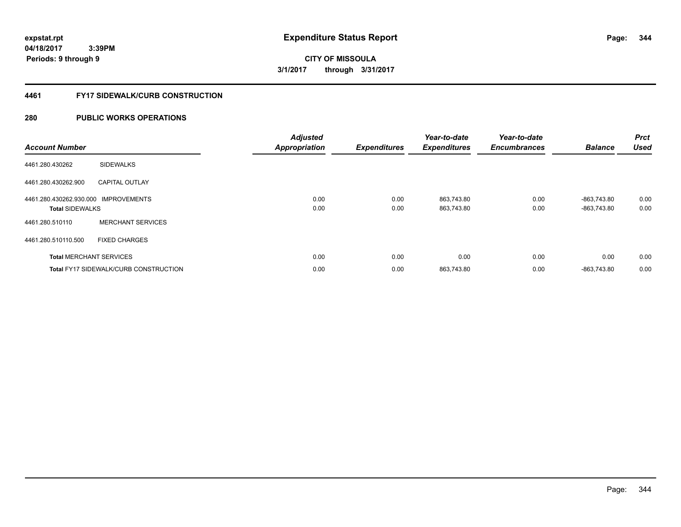**04/18/2017**

**344**

 **3:39PM Periods: 9 through 9**

**CITY OF MISSOULA 3/1/2017 through 3/31/2017**

#### **4461 FY17 SIDEWALK/CURB CONSTRUCTION**

| <b>Account Number</b>                                          |                                       | <b>Adjusted</b><br><b>Appropriation</b> | <b>Expenditures</b> | Year-to-date<br><b>Expenditures</b> | Year-to-date<br><b>Encumbrances</b> | <b>Balance</b>             | <b>Prct</b><br><b>Used</b> |
|----------------------------------------------------------------|---------------------------------------|-----------------------------------------|---------------------|-------------------------------------|-------------------------------------|----------------------------|----------------------------|
| 4461.280.430262                                                | <b>SIDEWALKS</b>                      |                                         |                     |                                     |                                     |                            |                            |
| 4461.280.430262.900                                            | <b>CAPITAL OUTLAY</b>                 |                                         |                     |                                     |                                     |                            |                            |
| 4461.280.430262.930.000 IMPROVEMENTS<br><b>Total SIDEWALKS</b> |                                       | 0.00<br>0.00                            | 0.00<br>0.00        | 863,743.80<br>863,743.80            | 0.00<br>0.00                        | -863,743.80<br>-863.743.80 | 0.00<br>0.00               |
| 4461.280.510110                                                | <b>MERCHANT SERVICES</b>              |                                         |                     |                                     |                                     |                            |                            |
| 4461.280.510110.500                                            | <b>FIXED CHARGES</b>                  |                                         |                     |                                     |                                     |                            |                            |
|                                                                | <b>Total MERCHANT SERVICES</b>        | 0.00                                    | 0.00                | 0.00                                | 0.00                                | 0.00                       | 0.00                       |
|                                                                | Total FY17 SIDEWALK/CURB CONSTRUCTION | 0.00                                    | 0.00                | 863,743.80                          | 0.00                                | -863.743.80                | 0.00                       |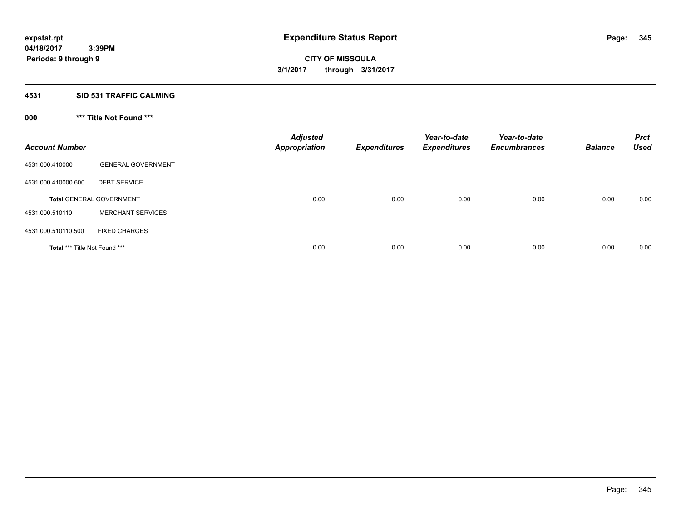## **4531 SID 531 TRAFFIC CALMING**

## **000 \*\*\* Title Not Found \*\*\***

| <b>Account Number</b>         |                                 | <b>Adjusted</b><br><b>Appropriation</b> | <b>Expenditures</b> | Year-to-date<br><b>Expenditures</b> | Year-to-date<br><b>Encumbrances</b> | <b>Balance</b> | <b>Prct</b><br><b>Used</b> |
|-------------------------------|---------------------------------|-----------------------------------------|---------------------|-------------------------------------|-------------------------------------|----------------|----------------------------|
| 4531.000.410000               | <b>GENERAL GOVERNMENT</b>       |                                         |                     |                                     |                                     |                |                            |
| 4531.000.410000.600           | <b>DEBT SERVICE</b>             |                                         |                     |                                     |                                     |                |                            |
|                               | <b>Total GENERAL GOVERNMENT</b> | 0.00                                    | 0.00                | 0.00                                | 0.00                                | 0.00           | 0.00                       |
| 4531.000.510110               | <b>MERCHANT SERVICES</b>        |                                         |                     |                                     |                                     |                |                            |
| 4531.000.510110.500           | <b>FIXED CHARGES</b>            |                                         |                     |                                     |                                     |                |                            |
| Total *** Title Not Found *** |                                 | 0.00                                    | 0.00                | 0.00                                | 0.00                                | 0.00           | 0.00                       |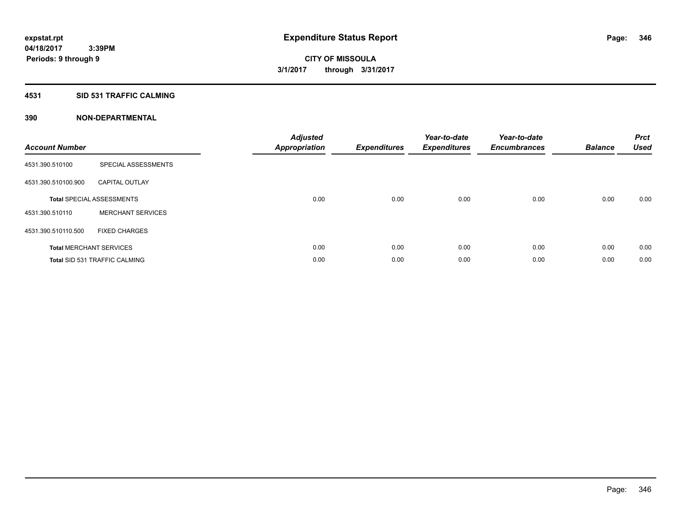#### **4531 SID 531 TRAFFIC CALMING**

| <b>Account Number</b> |                                      | <b>Adjusted</b><br>Appropriation | <b>Expenditures</b> | Year-to-date<br><b>Expenditures</b> | Year-to-date<br><b>Encumbrances</b> | <b>Balance</b> | <b>Prct</b><br><b>Used</b> |
|-----------------------|--------------------------------------|----------------------------------|---------------------|-------------------------------------|-------------------------------------|----------------|----------------------------|
| 4531.390.510100       | SPECIAL ASSESSMENTS                  |                                  |                     |                                     |                                     |                |                            |
| 4531.390.510100.900   | <b>CAPITAL OUTLAY</b>                |                                  |                     |                                     |                                     |                |                            |
|                       | <b>Total SPECIAL ASSESSMENTS</b>     | 0.00                             | 0.00                | 0.00                                | 0.00                                | 0.00           | 0.00                       |
| 4531.390.510110       | <b>MERCHANT SERVICES</b>             |                                  |                     |                                     |                                     |                |                            |
| 4531.390.510110.500   | <b>FIXED CHARGES</b>                 |                                  |                     |                                     |                                     |                |                            |
|                       | <b>Total MERCHANT SERVICES</b>       | 0.00                             | 0.00                | 0.00                                | 0.00                                | 0.00           | 0.00                       |
|                       | <b>Total SID 531 TRAFFIC CALMING</b> | 0.00                             | 0.00                | 0.00                                | 0.00                                | 0.00           | 0.00                       |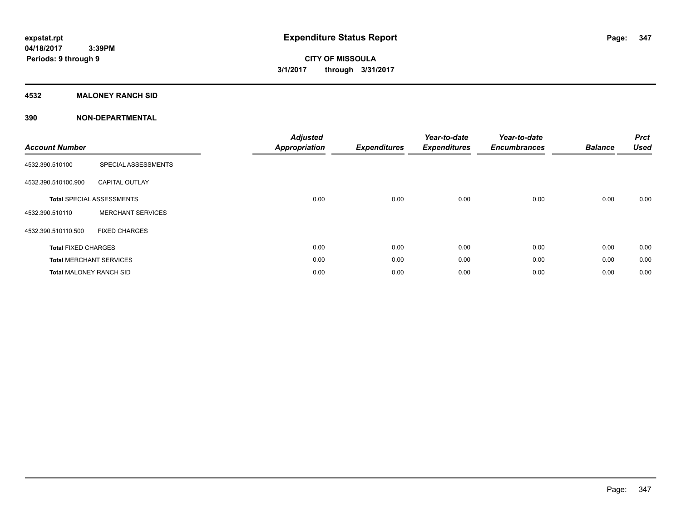#### **4532 MALONEY RANCH SID**

| <b>Account Number</b>          |                                  | <b>Adjusted</b><br><b>Appropriation</b> | <b>Expenditures</b> | Year-to-date<br><b>Expenditures</b> | Year-to-date<br><b>Encumbrances</b> | <b>Balance</b> | <b>Prct</b><br><b>Used</b> |
|--------------------------------|----------------------------------|-----------------------------------------|---------------------|-------------------------------------|-------------------------------------|----------------|----------------------------|
| 4532.390.510100                | SPECIAL ASSESSMENTS              |                                         |                     |                                     |                                     |                |                            |
| 4532.390.510100.900            | <b>CAPITAL OUTLAY</b>            |                                         |                     |                                     |                                     |                |                            |
|                                | <b>Total SPECIAL ASSESSMENTS</b> | 0.00                                    | 0.00                | 0.00                                | 0.00                                | 0.00           | 0.00                       |
| 4532.390.510110                | <b>MERCHANT SERVICES</b>         |                                         |                     |                                     |                                     |                |                            |
| 4532.390.510110.500            | <b>FIXED CHARGES</b>             |                                         |                     |                                     |                                     |                |                            |
| <b>Total FIXED CHARGES</b>     |                                  | 0.00                                    | 0.00                | 0.00                                | 0.00                                | 0.00           | 0.00                       |
|                                | <b>Total MERCHANT SERVICES</b>   | 0.00                                    | 0.00                | 0.00                                | 0.00                                | 0.00           | 0.00                       |
| <b>Total MALONEY RANCH SID</b> |                                  | 0.00                                    | 0.00                | 0.00                                | 0.00                                | 0.00           | 0.00                       |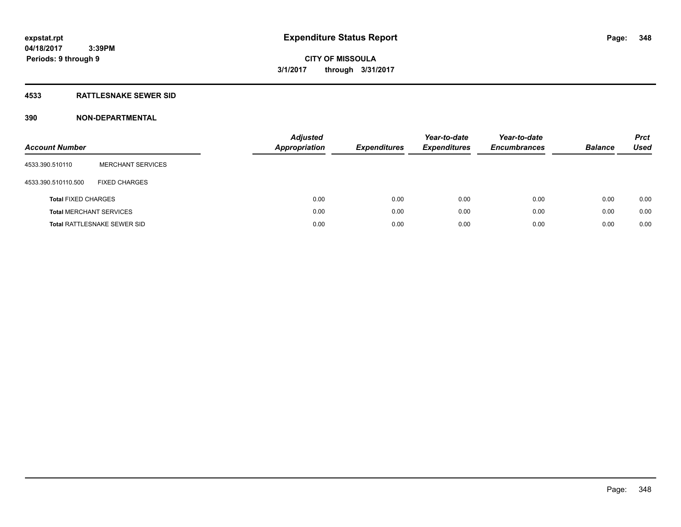#### **4533 RATTLESNAKE SEWER SID**

| <b>Account Number</b>          |                                    | <b>Adjusted</b><br><b>Appropriation</b> | <b>Expenditures</b> | Year-to-date<br><b>Expenditures</b> | Year-to-date<br><b>Encumbrances</b> | <b>Balance</b> | <b>Prct</b><br>Used |
|--------------------------------|------------------------------------|-----------------------------------------|---------------------|-------------------------------------|-------------------------------------|----------------|---------------------|
| 4533.390.510110                | <b>MERCHANT SERVICES</b>           |                                         |                     |                                     |                                     |                |                     |
| 4533.390.510110.500            | <b>FIXED CHARGES</b>               |                                         |                     |                                     |                                     |                |                     |
| <b>Total FIXED CHARGES</b>     |                                    | 0.00                                    | 0.00                | 0.00                                | 0.00                                | 0.00           | 0.00                |
| <b>Total MERCHANT SERVICES</b> |                                    | 0.00                                    | 0.00                | 0.00                                | 0.00                                | 0.00           | 0.00                |
|                                | <b>Total RATTLESNAKE SEWER SID</b> | 0.00                                    | 0.00                | 0.00                                | 0.00                                | 0.00           | 0.00                |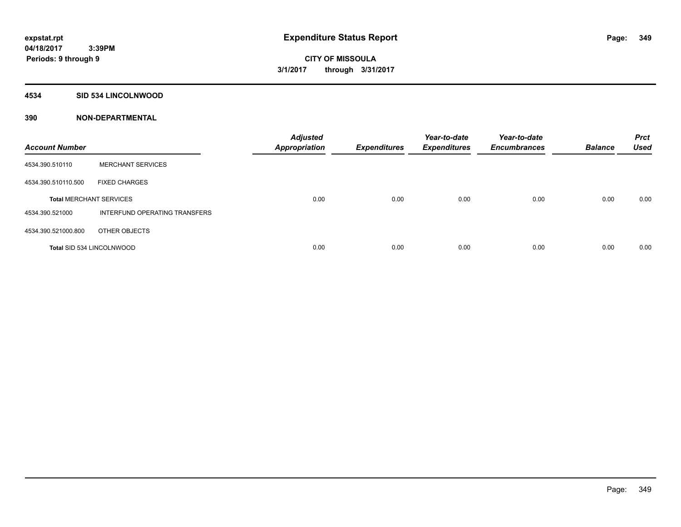#### **4534 SID 534 LINCOLNWOOD**

| <b>Account Number</b>            |                               | <b>Adjusted</b><br><b>Appropriation</b> | <b>Expenditures</b> | Year-to-date<br><b>Expenditures</b> | Year-to-date<br><b>Encumbrances</b> | <b>Balance</b> | <b>Prct</b><br><b>Used</b> |
|----------------------------------|-------------------------------|-----------------------------------------|---------------------|-------------------------------------|-------------------------------------|----------------|----------------------------|
| 4534.390.510110                  | <b>MERCHANT SERVICES</b>      |                                         |                     |                                     |                                     |                |                            |
| 4534.390.510110.500              | <b>FIXED CHARGES</b>          |                                         |                     |                                     |                                     |                |                            |
| <b>Total MERCHANT SERVICES</b>   |                               | 0.00                                    | 0.00                | 0.00                                | 0.00                                | 0.00           | 0.00                       |
| 4534.390.521000                  | INTERFUND OPERATING TRANSFERS |                                         |                     |                                     |                                     |                |                            |
| 4534.390.521000.800              | OTHER OBJECTS                 |                                         |                     |                                     |                                     |                |                            |
| <b>Total SID 534 LINCOLNWOOD</b> |                               | 0.00                                    | 0.00                | 0.00                                | 0.00                                | 0.00           | 0.00                       |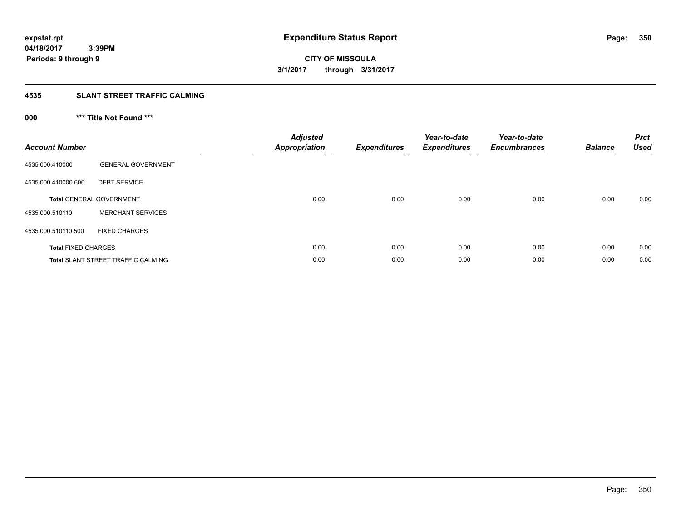**CITY OF MISSOULA 3/1/2017 through 3/31/2017**

#### **4535 SLANT STREET TRAFFIC CALMING**

## **000 \*\*\* Title Not Found \*\*\***

| <b>Account Number</b>      |                                           | <b>Adjusted</b><br><b>Appropriation</b> | <b>Expenditures</b> | Year-to-date<br><b>Expenditures</b> | Year-to-date<br><b>Encumbrances</b> | <b>Balance</b> | <b>Prct</b><br><b>Used</b> |
|----------------------------|-------------------------------------------|-----------------------------------------|---------------------|-------------------------------------|-------------------------------------|----------------|----------------------------|
| 4535.000.410000            | <b>GENERAL GOVERNMENT</b>                 |                                         |                     |                                     |                                     |                |                            |
| 4535.000.410000.600        | <b>DEBT SERVICE</b>                       |                                         |                     |                                     |                                     |                |                            |
|                            | <b>Total GENERAL GOVERNMENT</b>           | 0.00                                    | 0.00                | 0.00                                | 0.00                                | 0.00           | 0.00                       |
| 4535.000.510110            | <b>MERCHANT SERVICES</b>                  |                                         |                     |                                     |                                     |                |                            |
| 4535.000.510110.500        | <b>FIXED CHARGES</b>                      |                                         |                     |                                     |                                     |                |                            |
| <b>Total FIXED CHARGES</b> |                                           | 0.00                                    | 0.00                | 0.00                                | 0.00                                | 0.00           | 0.00                       |
|                            | <b>Total SLANT STREET TRAFFIC CALMING</b> | 0.00                                    | 0.00                | 0.00                                | 0.00                                | 0.00           | 0.00                       |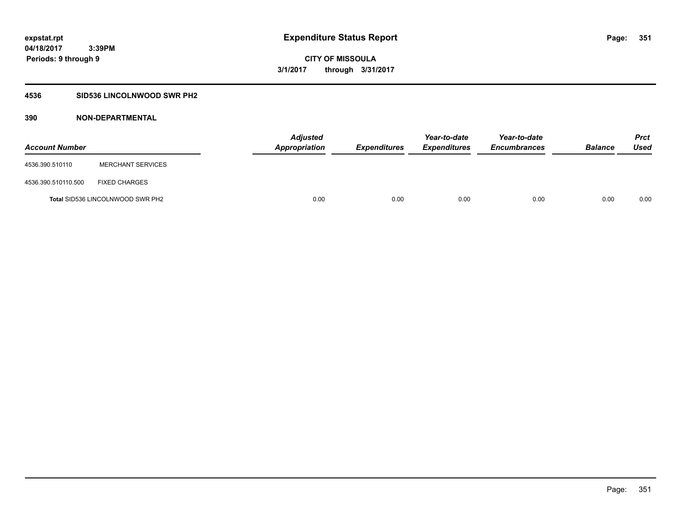### **4536 SID536 LINCOLNWOOD SWR PH2**

| <b>Account Number</b> |                                         | <b>Adjusted</b><br><b>Appropriation</b> | <b>Expenditures</b> | Year-to-date<br><b>Expenditures</b> | Year-to-date<br><b>Encumbrances</b> | <b>Balance</b> | <b>Prct</b><br>Used |
|-----------------------|-----------------------------------------|-----------------------------------------|---------------------|-------------------------------------|-------------------------------------|----------------|---------------------|
| 4536.390.510110       | <b>MERCHANT SERVICES</b>                |                                         |                     |                                     |                                     |                |                     |
| 4536.390.510110.500   | <b>FIXED CHARGES</b>                    |                                         |                     |                                     |                                     |                |                     |
|                       | <b>Total SID536 LINCOLNWOOD SWR PH2</b> | 0.00                                    | 0.00                | 0.00                                | 0.00                                | 0.00           | 0.00                |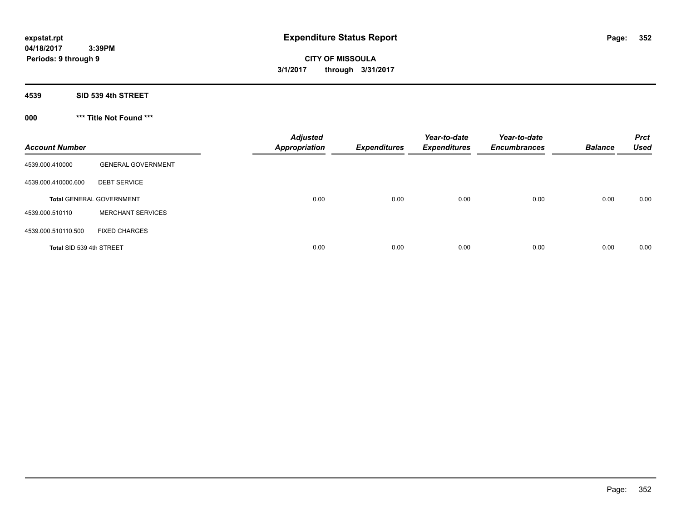**CITY OF MISSOULA 3/1/2017 through 3/31/2017**

**4539 SID 539 4th STREET**

**000 \*\*\* Title Not Found \*\*\***

| <b>Account Number</b>    |                                 | <b>Adjusted</b><br><b>Appropriation</b> | <b>Expenditures</b> | Year-to-date<br><b>Expenditures</b> | Year-to-date<br><b>Encumbrances</b> | <b>Balance</b> | <b>Prct</b><br><b>Used</b> |
|--------------------------|---------------------------------|-----------------------------------------|---------------------|-------------------------------------|-------------------------------------|----------------|----------------------------|
| 4539.000.410000          | <b>GENERAL GOVERNMENT</b>       |                                         |                     |                                     |                                     |                |                            |
| 4539.000.410000.600      | <b>DEBT SERVICE</b>             |                                         |                     |                                     |                                     |                |                            |
|                          | <b>Total GENERAL GOVERNMENT</b> | 0.00                                    | 0.00                | 0.00                                | 0.00                                | 0.00           | 0.00                       |
| 4539.000.510110          | <b>MERCHANT SERVICES</b>        |                                         |                     |                                     |                                     |                |                            |
| 4539.000.510110.500      | <b>FIXED CHARGES</b>            |                                         |                     |                                     |                                     |                |                            |
| Total SID 539 4th STREET |                                 | 0.00                                    | 0.00                | 0.00                                | 0.00                                | 0.00           | 0.00                       |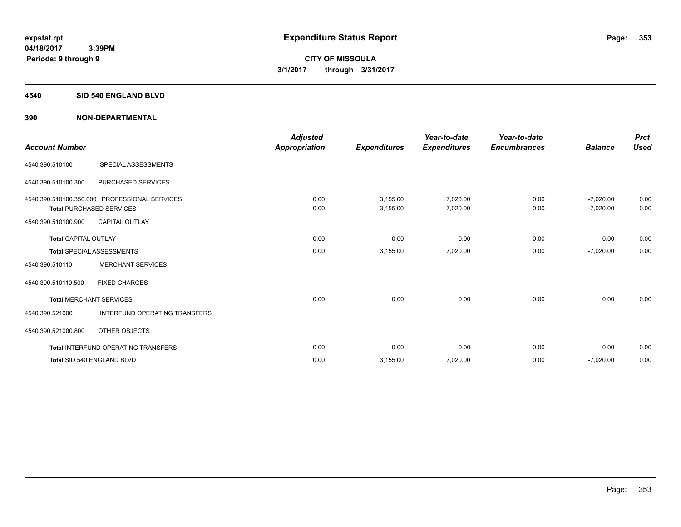#### **4540 SID 540 ENGLAND BLVD**

| <b>Account Number</b>       |                                                                                  | <b>Adjusted</b><br>Appropriation | <b>Expenditures</b>  | Year-to-date<br><b>Expenditures</b> | Year-to-date<br><b>Encumbrances</b> | <b>Balance</b>             | <b>Prct</b><br><b>Used</b> |
|-----------------------------|----------------------------------------------------------------------------------|----------------------------------|----------------------|-------------------------------------|-------------------------------------|----------------------------|----------------------------|
| 4540.390.510100             | SPECIAL ASSESSMENTS                                                              |                                  |                      |                                     |                                     |                            |                            |
| 4540.390.510100.300         | PURCHASED SERVICES                                                               |                                  |                      |                                     |                                     |                            |                            |
|                             | 4540.390.510100.350.000 PROFESSIONAL SERVICES<br><b>Total PURCHASED SERVICES</b> | 0.00<br>0.00                     | 3,155.00<br>3,155.00 | 7,020.00<br>7,020.00                | 0.00<br>0.00                        | $-7,020.00$<br>$-7,020.00$ | 0.00<br>0.00               |
| 4540.390.510100.900         | <b>CAPITAL OUTLAY</b>                                                            |                                  |                      |                                     |                                     |                            |                            |
| <b>Total CAPITAL OUTLAY</b> |                                                                                  | 0.00                             | 0.00                 | 0.00                                | 0.00                                | 0.00                       | 0.00                       |
|                             | <b>Total SPECIAL ASSESSMENTS</b>                                                 | 0.00                             | 3,155.00             | 7,020.00                            | 0.00                                | $-7,020.00$                | 0.00                       |
| 4540.390.510110             | <b>MERCHANT SERVICES</b>                                                         |                                  |                      |                                     |                                     |                            |                            |
| 4540.390.510110.500         | <b>FIXED CHARGES</b>                                                             |                                  |                      |                                     |                                     |                            |                            |
|                             | <b>Total MERCHANT SERVICES</b>                                                   | 0.00                             | 0.00                 | 0.00                                | 0.00                                | 0.00                       | 0.00                       |
| 4540.390.521000             | <b>INTERFUND OPERATING TRANSFERS</b>                                             |                                  |                      |                                     |                                     |                            |                            |
| 4540.390.521000.800         | OTHER OBJECTS                                                                    |                                  |                      |                                     |                                     |                            |                            |
|                             | <b>Total INTERFUND OPERATING TRANSFERS</b>                                       | 0.00                             | 0.00                 | 0.00                                | 0.00                                | 0.00                       | 0.00                       |
|                             | Total SID 540 ENGLAND BLVD                                                       | 0.00                             | 3,155.00             | 7,020.00                            | 0.00                                | $-7,020.00$                | 0.00                       |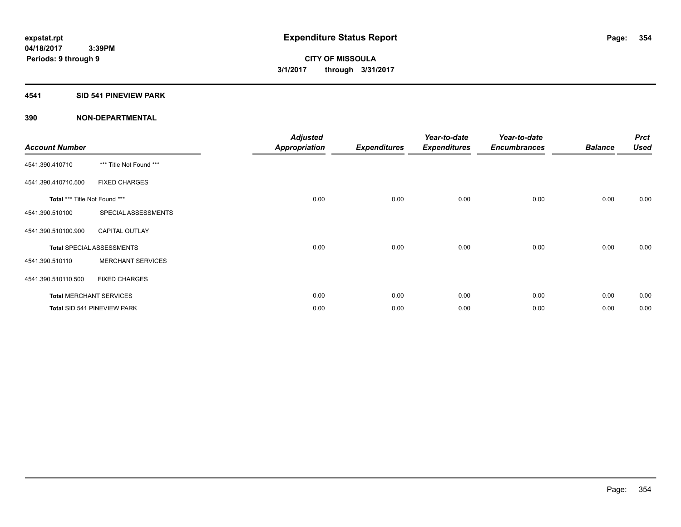### **4541 SID 541 PINEVIEW PARK**

| <b>Account Number</b>         |                                  | <b>Adjusted</b><br><b>Appropriation</b> | <b>Expenditures</b> | Year-to-date<br><b>Expenditures</b> | Year-to-date<br><b>Encumbrances</b> | <b>Balance</b> | <b>Prct</b><br><b>Used</b> |
|-------------------------------|----------------------------------|-----------------------------------------|---------------------|-------------------------------------|-------------------------------------|----------------|----------------------------|
| 4541.390.410710               | *** Title Not Found ***          |                                         |                     |                                     |                                     |                |                            |
| 4541.390.410710.500           | <b>FIXED CHARGES</b>             |                                         |                     |                                     |                                     |                |                            |
| Total *** Title Not Found *** |                                  | 0.00                                    | 0.00                | 0.00                                | 0.00                                | 0.00           | 0.00                       |
| 4541.390.510100               | SPECIAL ASSESSMENTS              |                                         |                     |                                     |                                     |                |                            |
| 4541.390.510100.900           | <b>CAPITAL OUTLAY</b>            |                                         |                     |                                     |                                     |                |                            |
|                               | <b>Total SPECIAL ASSESSMENTS</b> | 0.00                                    | 0.00                | 0.00                                | 0.00                                | 0.00           | 0.00                       |
| 4541.390.510110               | <b>MERCHANT SERVICES</b>         |                                         |                     |                                     |                                     |                |                            |
| 4541.390.510110.500           | <b>FIXED CHARGES</b>             |                                         |                     |                                     |                                     |                |                            |
|                               | <b>Total MERCHANT SERVICES</b>   | 0.00                                    | 0.00                | 0.00                                | 0.00                                | 0.00           | 0.00                       |
|                               | Total SID 541 PINEVIEW PARK      | 0.00                                    | 0.00                | 0.00                                | 0.00                                | 0.00           | 0.00                       |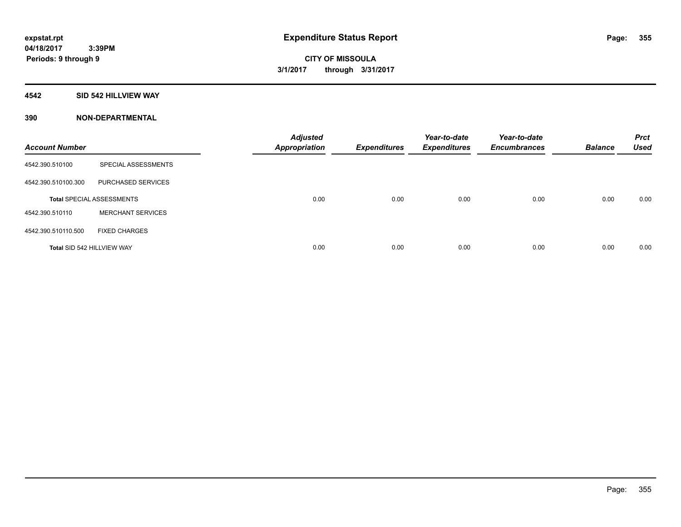#### **4542 SID 542 HILLVIEW WAY**

| <b>Account Number</b>      |                                  | <b>Adjusted</b><br><b>Appropriation</b> | <b>Expenditures</b> | Year-to-date<br><b>Expenditures</b> | Year-to-date<br><b>Encumbrances</b> | <b>Balance</b> | <b>Prct</b><br><b>Used</b> |
|----------------------------|----------------------------------|-----------------------------------------|---------------------|-------------------------------------|-------------------------------------|----------------|----------------------------|
| 4542.390.510100            | SPECIAL ASSESSMENTS              |                                         |                     |                                     |                                     |                |                            |
| 4542.390.510100.300        | PURCHASED SERVICES               |                                         |                     |                                     |                                     |                |                            |
|                            | <b>Total SPECIAL ASSESSMENTS</b> | 0.00                                    | 0.00                | 0.00                                | 0.00                                | 0.00           | 0.00                       |
| 4542.390.510110            | <b>MERCHANT SERVICES</b>         |                                         |                     |                                     |                                     |                |                            |
| 4542.390.510110.500        | <b>FIXED CHARGES</b>             |                                         |                     |                                     |                                     |                |                            |
| Total SID 542 HILLVIEW WAY |                                  | 0.00                                    | 0.00                | 0.00                                | 0.00                                | 0.00           | 0.00                       |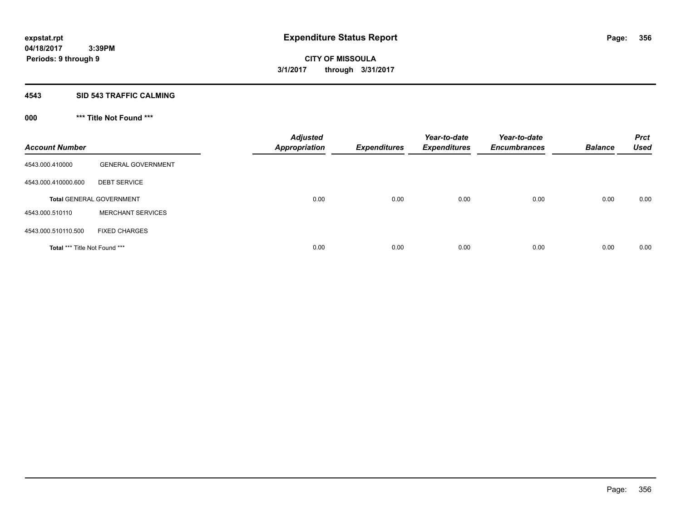#### **4543 SID 543 TRAFFIC CALMING**

## **000 \*\*\* Title Not Found \*\*\***

| <b>Account Number</b>         |                                 | <b>Adjusted</b><br><b>Appropriation</b> | <b>Expenditures</b> | Year-to-date<br><b>Expenditures</b> | Year-to-date<br><b>Encumbrances</b> | <b>Balance</b> | <b>Prct</b><br><b>Used</b> |
|-------------------------------|---------------------------------|-----------------------------------------|---------------------|-------------------------------------|-------------------------------------|----------------|----------------------------|
| 4543.000.410000               | <b>GENERAL GOVERNMENT</b>       |                                         |                     |                                     |                                     |                |                            |
| 4543.000.410000.600           | <b>DEBT SERVICE</b>             |                                         |                     |                                     |                                     |                |                            |
|                               | <b>Total GENERAL GOVERNMENT</b> | 0.00                                    | 0.00                | 0.00                                | 0.00                                | 0.00           | 0.00                       |
| 4543.000.510110               | <b>MERCHANT SERVICES</b>        |                                         |                     |                                     |                                     |                |                            |
| 4543.000.510110.500           | <b>FIXED CHARGES</b>            |                                         |                     |                                     |                                     |                |                            |
| Total *** Title Not Found *** |                                 | 0.00                                    | 0.00                | 0.00                                | 0.00                                | 0.00           | 0.00                       |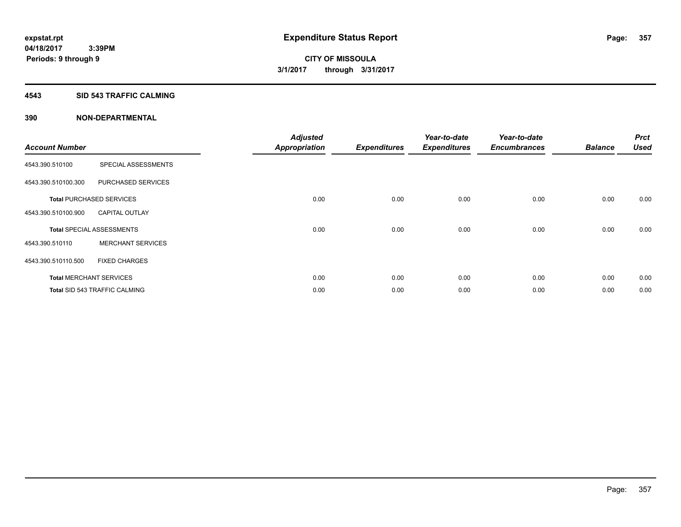#### **4543 SID 543 TRAFFIC CALMING**

|                       |                                      | <b>Adjusted</b>      |                     | Year-to-date        | Year-to-date        |                | <b>Prct</b> |
|-----------------------|--------------------------------------|----------------------|---------------------|---------------------|---------------------|----------------|-------------|
| <b>Account Number</b> |                                      | <b>Appropriation</b> | <b>Expenditures</b> | <b>Expenditures</b> | <b>Encumbrances</b> | <b>Balance</b> | <b>Used</b> |
| 4543.390.510100       | SPECIAL ASSESSMENTS                  |                      |                     |                     |                     |                |             |
| 4543.390.510100.300   | PURCHASED SERVICES                   |                      |                     |                     |                     |                |             |
|                       | <b>Total PURCHASED SERVICES</b>      | 0.00                 | 0.00                | 0.00                | 0.00                | 0.00           | 0.00        |
| 4543.390.510100.900   | <b>CAPITAL OUTLAY</b>                |                      |                     |                     |                     |                |             |
|                       | <b>Total SPECIAL ASSESSMENTS</b>     | 0.00                 | 0.00                | 0.00                | 0.00                | 0.00           | 0.00        |
| 4543.390.510110       | <b>MERCHANT SERVICES</b>             |                      |                     |                     |                     |                |             |
| 4543.390.510110.500   | <b>FIXED CHARGES</b>                 |                      |                     |                     |                     |                |             |
|                       | <b>Total MERCHANT SERVICES</b>       | 0.00                 | 0.00                | 0.00                | 0.00                | 0.00           | 0.00        |
|                       | <b>Total SID 543 TRAFFIC CALMING</b> | 0.00                 | 0.00                | 0.00                | 0.00                | 0.00           | 0.00        |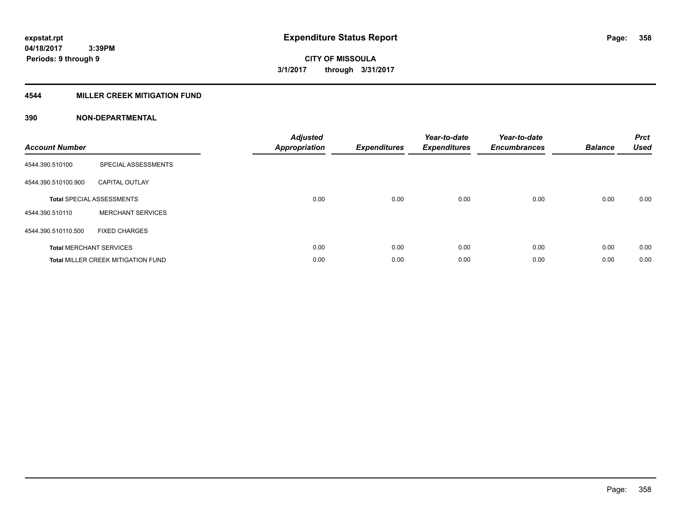### **4544 MILLER CREEK MITIGATION FUND**

| <b>Account Number</b> |                                           | <b>Adjusted</b><br><b>Appropriation</b> | <b>Expenditures</b> | Year-to-date<br><b>Expenditures</b> | Year-to-date<br><b>Encumbrances</b> | <b>Balance</b> | <b>Prct</b><br><b>Used</b> |
|-----------------------|-------------------------------------------|-----------------------------------------|---------------------|-------------------------------------|-------------------------------------|----------------|----------------------------|
| 4544.390.510100       | SPECIAL ASSESSMENTS                       |                                         |                     |                                     |                                     |                |                            |
| 4544.390.510100.900   | <b>CAPITAL OUTLAY</b>                     |                                         |                     |                                     |                                     |                |                            |
|                       | <b>Total SPECIAL ASSESSMENTS</b>          | 0.00                                    | 0.00                | 0.00                                | 0.00                                | 0.00           | 0.00                       |
| 4544.390.510110       | <b>MERCHANT SERVICES</b>                  |                                         |                     |                                     |                                     |                |                            |
| 4544.390.510110.500   | <b>FIXED CHARGES</b>                      |                                         |                     |                                     |                                     |                |                            |
|                       | <b>Total MERCHANT SERVICES</b>            | 0.00                                    | 0.00                | 0.00                                | 0.00                                | 0.00           | 0.00                       |
|                       | <b>Total MILLER CREEK MITIGATION FUND</b> | 0.00                                    | 0.00                | 0.00                                | 0.00                                | 0.00           | 0.00                       |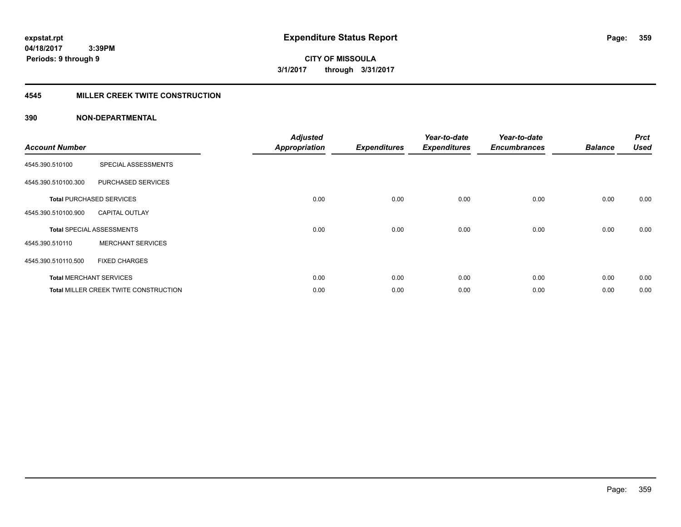**CITY OF MISSOULA 3/1/2017 through 3/31/2017**

#### **4545 MILLER CREEK TWITE CONSTRUCTION**

| <b>Account Number</b> |                                       | <b>Adjusted</b><br><b>Appropriation</b> | <b>Expenditures</b> | Year-to-date<br><b>Expenditures</b> | Year-to-date<br><b>Encumbrances</b> | <b>Balance</b> | <b>Prct</b><br><b>Used</b> |
|-----------------------|---------------------------------------|-----------------------------------------|---------------------|-------------------------------------|-------------------------------------|----------------|----------------------------|
| 4545.390.510100       | SPECIAL ASSESSMENTS                   |                                         |                     |                                     |                                     |                |                            |
| 4545.390.510100.300   | PURCHASED SERVICES                    |                                         |                     |                                     |                                     |                |                            |
|                       | <b>Total PURCHASED SERVICES</b>       | 0.00                                    | 0.00                | 0.00                                | 0.00                                | 0.00           | 0.00                       |
| 4545.390.510100.900   | <b>CAPITAL OUTLAY</b>                 |                                         |                     |                                     |                                     |                |                            |
|                       | <b>Total SPECIAL ASSESSMENTS</b>      | 0.00                                    | 0.00                | 0.00                                | 0.00                                | 0.00           | 0.00                       |
| 4545.390.510110       | <b>MERCHANT SERVICES</b>              |                                         |                     |                                     |                                     |                |                            |
| 4545.390.510110.500   | <b>FIXED CHARGES</b>                  |                                         |                     |                                     |                                     |                |                            |
|                       | <b>Total MERCHANT SERVICES</b>        | 0.00                                    | 0.00                | 0.00                                | 0.00                                | 0.00           | 0.00                       |
|                       | Total MILLER CREEK TWITE CONSTRUCTION | 0.00                                    | 0.00                | 0.00                                | 0.00                                | 0.00           | 0.00                       |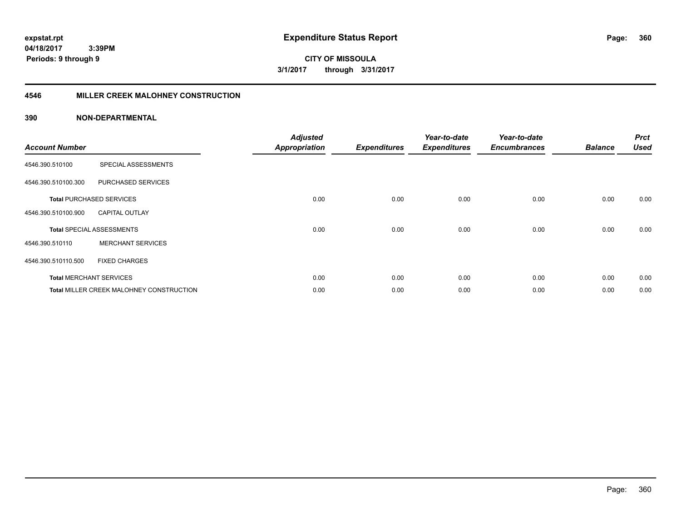**360**

**04/18/2017 3:39PM Periods: 9 through 9**

**CITY OF MISSOULA 3/1/2017 through 3/31/2017**

#### **4546 MILLER CREEK MALOHNEY CONSTRUCTION**

| <b>Account Number</b> |                                          | <b>Adjusted</b><br><b>Appropriation</b> | <b>Expenditures</b> | Year-to-date<br><b>Expenditures</b> | Year-to-date<br><b>Encumbrances</b> | <b>Balance</b> | <b>Prct</b><br><b>Used</b> |
|-----------------------|------------------------------------------|-----------------------------------------|---------------------|-------------------------------------|-------------------------------------|----------------|----------------------------|
| 4546.390.510100       | SPECIAL ASSESSMENTS                      |                                         |                     |                                     |                                     |                |                            |
| 4546.390.510100.300   | PURCHASED SERVICES                       |                                         |                     |                                     |                                     |                |                            |
|                       | <b>Total PURCHASED SERVICES</b>          | 0.00                                    | 0.00                | 0.00                                | 0.00                                | 0.00           | 0.00                       |
| 4546.390.510100.900   | <b>CAPITAL OUTLAY</b>                    |                                         |                     |                                     |                                     |                |                            |
|                       | <b>Total SPECIAL ASSESSMENTS</b>         | 0.00                                    | 0.00                | 0.00                                | 0.00                                | 0.00           | 0.00                       |
| 4546.390.510110       | <b>MERCHANT SERVICES</b>                 |                                         |                     |                                     |                                     |                |                            |
| 4546.390.510110.500   | <b>FIXED CHARGES</b>                     |                                         |                     |                                     |                                     |                |                            |
|                       | <b>Total MERCHANT SERVICES</b>           | 0.00                                    | 0.00                | 0.00                                | 0.00                                | 0.00           | 0.00                       |
|                       | Total MILLER CREEK MALOHNEY CONSTRUCTION | 0.00                                    | 0.00                | 0.00                                | 0.00                                | 0.00           | 0.00                       |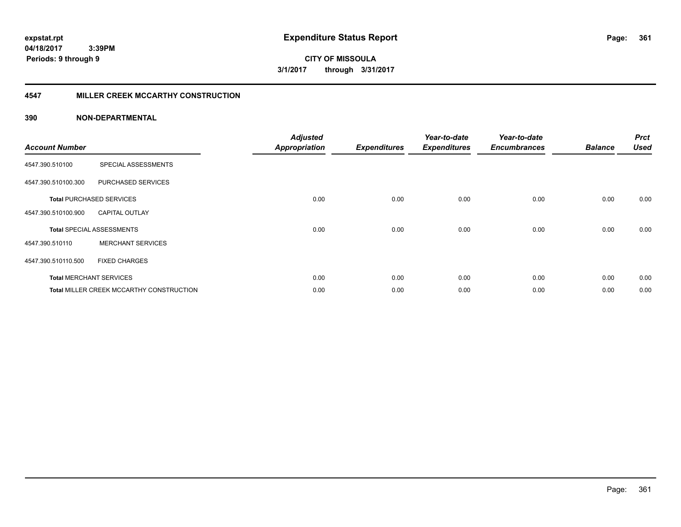**361**

**CITY OF MISSOULA 3/1/2017 through 3/31/2017**

### **4547 MILLER CREEK MCCARTHY CONSTRUCTION**

| <b>Account Number</b> |                                                 | <b>Adjusted</b><br><b>Appropriation</b> | <b>Expenditures</b> | Year-to-date<br><b>Expenditures</b> | Year-to-date<br><b>Encumbrances</b> | <b>Balance</b> | <b>Prct</b><br><b>Used</b> |
|-----------------------|-------------------------------------------------|-----------------------------------------|---------------------|-------------------------------------|-------------------------------------|----------------|----------------------------|
| 4547.390.510100       | SPECIAL ASSESSMENTS                             |                                         |                     |                                     |                                     |                |                            |
| 4547.390.510100.300   | PURCHASED SERVICES                              |                                         |                     |                                     |                                     |                |                            |
|                       | <b>Total PURCHASED SERVICES</b>                 | 0.00                                    | 0.00                | 0.00                                | 0.00                                | 0.00           | 0.00                       |
| 4547.390.510100.900   | <b>CAPITAL OUTLAY</b>                           |                                         |                     |                                     |                                     |                |                            |
|                       | <b>Total SPECIAL ASSESSMENTS</b>                | 0.00                                    | 0.00                | 0.00                                | 0.00                                | 0.00           | 0.00                       |
| 4547.390.510110       | <b>MERCHANT SERVICES</b>                        |                                         |                     |                                     |                                     |                |                            |
| 4547.390.510110.500   | <b>FIXED CHARGES</b>                            |                                         |                     |                                     |                                     |                |                            |
|                       | <b>Total MERCHANT SERVICES</b>                  | 0.00                                    | 0.00                | 0.00                                | 0.00                                | 0.00           | 0.00                       |
|                       | <b>Total MILLER CREEK MCCARTHY CONSTRUCTION</b> | 0.00                                    | 0.00                | 0.00                                | 0.00                                | 0.00           | 0.00                       |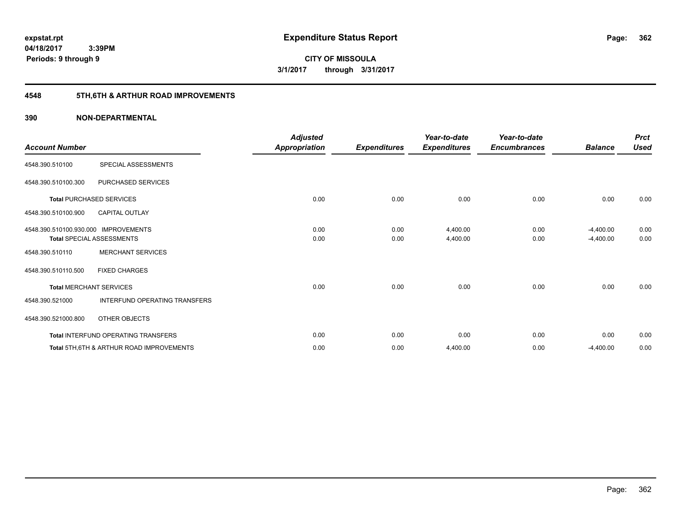**Periods: 9 through 9**

**CITY OF MISSOULA 3/1/2017 through 3/31/2017**

# **4548 5TH,6TH & ARTHUR ROAD IMPROVEMENTS**

### **390 NON-DEPARTMENTAL**

 **3:39PM**

| <b>Account Number</b>   |                                                     | <b>Adjusted</b><br><b>Appropriation</b> | <b>Expenditures</b> | Year-to-date<br><b>Expenditures</b> | Year-to-date<br><b>Encumbrances</b> | <b>Balance</b> | <b>Prct</b><br><b>Used</b> |
|-------------------------|-----------------------------------------------------|-----------------------------------------|---------------------|-------------------------------------|-------------------------------------|----------------|----------------------------|
| 4548.390.510100         | SPECIAL ASSESSMENTS                                 |                                         |                     |                                     |                                     |                |                            |
| 4548.390.510100.300     | PURCHASED SERVICES                                  |                                         |                     |                                     |                                     |                |                            |
|                         | <b>Total PURCHASED SERVICES</b>                     | 0.00                                    | 0.00                | 0.00                                | 0.00                                | 0.00           | 0.00                       |
| 4548.390.510100.900     | <b>CAPITAL OUTLAY</b>                               |                                         |                     |                                     |                                     |                |                            |
| 4548.390.510100.930.000 | <b>IMPROVEMENTS</b>                                 | 0.00                                    | 0.00                | 4,400.00                            | 0.00                                | $-4,400.00$    | 0.00                       |
|                         | <b>Total SPECIAL ASSESSMENTS</b>                    | 0.00                                    | 0.00                | 4,400.00                            | 0.00                                | $-4,400.00$    | 0.00                       |
| 4548.390.510110         | <b>MERCHANT SERVICES</b>                            |                                         |                     |                                     |                                     |                |                            |
| 4548.390.510110.500     | <b>FIXED CHARGES</b>                                |                                         |                     |                                     |                                     |                |                            |
|                         | <b>Total MERCHANT SERVICES</b>                      | 0.00                                    | 0.00                | 0.00                                | 0.00                                | 0.00           | 0.00                       |
| 4548.390.521000         | INTERFUND OPERATING TRANSFERS                       |                                         |                     |                                     |                                     |                |                            |
| 4548.390.521000.800     | OTHER OBJECTS                                       |                                         |                     |                                     |                                     |                |                            |
|                         | Total INTERFUND OPERATING TRANSFERS                 | 0.00                                    | 0.00                | 0.00                                | 0.00                                | 0.00           | 0.00                       |
|                         | <b>Total 5TH.6TH &amp; ARTHUR ROAD IMPROVEMENTS</b> | 0.00                                    | 0.00                | 4,400.00                            | 0.00                                | $-4,400.00$    | 0.00                       |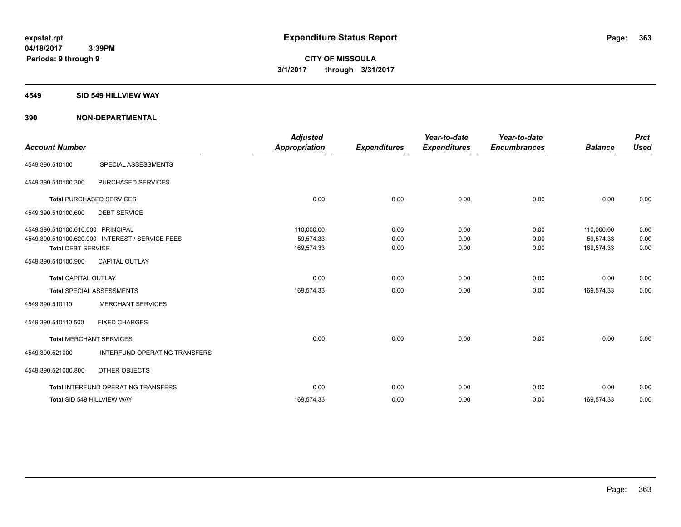#### **4549 SID 549 HILLVIEW WAY**

| <b>Account Number</b>                                          |                                                 | <b>Adjusted</b><br><b>Appropriation</b> | <b>Expenditures</b>  | Year-to-date<br><b>Expenditures</b> | Year-to-date<br><b>Encumbrances</b> | <b>Balance</b>                        | <b>Prct</b><br><b>Used</b> |
|----------------------------------------------------------------|-------------------------------------------------|-----------------------------------------|----------------------|-------------------------------------|-------------------------------------|---------------------------------------|----------------------------|
| 4549.390.510100                                                | SPECIAL ASSESSMENTS                             |                                         |                      |                                     |                                     |                                       |                            |
| 4549.390.510100.300                                            | PURCHASED SERVICES                              |                                         |                      |                                     |                                     |                                       |                            |
|                                                                | <b>Total PURCHASED SERVICES</b>                 | 0.00                                    | 0.00                 | 0.00                                | 0.00                                | 0.00                                  | 0.00                       |
| 4549.390.510100.600                                            | <b>DEBT SERVICE</b>                             |                                         |                      |                                     |                                     |                                       |                            |
| 4549.390.510100.610.000 PRINCIPAL<br><b>Total DEBT SERVICE</b> | 4549.390.510100.620.000 INTEREST / SERVICE FEES | 110.000.00<br>59,574.33<br>169,574.33   | 0.00<br>0.00<br>0.00 | 0.00<br>0.00<br>0.00                | 0.00<br>0.00<br>0.00                | 110.000.00<br>59,574.33<br>169,574.33 | 0.00<br>0.00<br>0.00       |
| 4549.390.510100.900                                            | <b>CAPITAL OUTLAY</b>                           |                                         |                      |                                     |                                     |                                       |                            |
| <b>Total CAPITAL OUTLAY</b>                                    |                                                 | 0.00                                    | 0.00                 | 0.00                                | 0.00                                | 0.00                                  | 0.00                       |
|                                                                | <b>Total SPECIAL ASSESSMENTS</b>                | 169,574.33                              | 0.00                 | 0.00                                | 0.00                                | 169,574.33                            | 0.00                       |
| 4549.390.510110                                                | <b>MERCHANT SERVICES</b>                        |                                         |                      |                                     |                                     |                                       |                            |
| 4549.390.510110.500                                            | <b>FIXED CHARGES</b>                            |                                         |                      |                                     |                                     |                                       |                            |
|                                                                | <b>Total MERCHANT SERVICES</b>                  | 0.00                                    | 0.00                 | 0.00                                | 0.00                                | 0.00                                  | 0.00                       |
| 4549.390.521000                                                | <b>INTERFUND OPERATING TRANSFERS</b>            |                                         |                      |                                     |                                     |                                       |                            |
| 4549.390.521000.800                                            | OTHER OBJECTS                                   |                                         |                      |                                     |                                     |                                       |                            |
|                                                                | Total INTERFUND OPERATING TRANSFERS             | 0.00                                    | 0.00                 | 0.00                                | 0.00                                | 0.00                                  | 0.00                       |
|                                                                | Total SID 549 HILLVIEW WAY                      | 169,574.33                              | 0.00                 | 0.00                                | 0.00                                | 169,574.33                            | 0.00                       |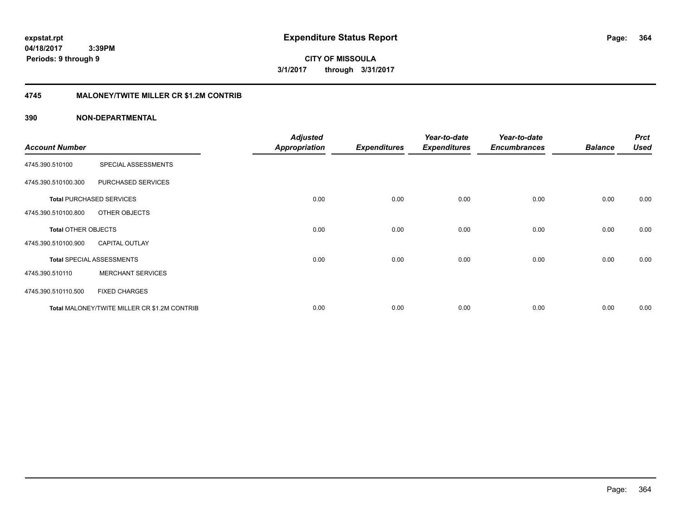**364**

**04/18/2017 3:39PM Periods: 9 through 9**

**CITY OF MISSOULA 3/1/2017 through 3/31/2017**

### **4745 MALONEY/TWITE MILLER CR \$1.2M CONTRIB**

|                            |                                              | <b>Adjusted</b>      |                     | Year-to-date        | Year-to-date        |                | <b>Prct</b> |
|----------------------------|----------------------------------------------|----------------------|---------------------|---------------------|---------------------|----------------|-------------|
| <b>Account Number</b>      |                                              | <b>Appropriation</b> | <b>Expenditures</b> | <b>Expenditures</b> | <b>Encumbrances</b> | <b>Balance</b> | <b>Used</b> |
| 4745.390.510100            | SPECIAL ASSESSMENTS                          |                      |                     |                     |                     |                |             |
| 4745.390.510100.300        | PURCHASED SERVICES                           |                      |                     |                     |                     |                |             |
|                            | <b>Total PURCHASED SERVICES</b>              | 0.00                 | 0.00                | 0.00                | 0.00                | 0.00           | 0.00        |
| 4745.390.510100.800        | OTHER OBJECTS                                |                      |                     |                     |                     |                |             |
| <b>Total OTHER OBJECTS</b> |                                              | 0.00                 | 0.00                | 0.00                | 0.00                | 0.00           | 0.00        |
| 4745.390.510100.900        | <b>CAPITAL OUTLAY</b>                        |                      |                     |                     |                     |                |             |
|                            | <b>Total SPECIAL ASSESSMENTS</b>             | 0.00                 | 0.00                | 0.00                | 0.00                | 0.00           | 0.00        |
| 4745.390.510110            | <b>MERCHANT SERVICES</b>                     |                      |                     |                     |                     |                |             |
| 4745.390.510110.500        | <b>FIXED CHARGES</b>                         |                      |                     |                     |                     |                |             |
|                            | Total MALONEY/TWITE MILLER CR \$1.2M CONTRIB | 0.00                 | 0.00                | 0.00                | 0.00                | 0.00           | 0.00        |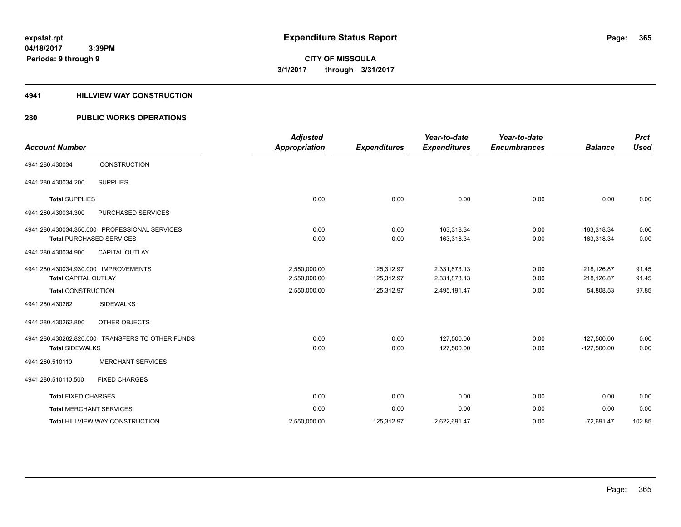#### **4941 HILLVIEW WAY CONSTRUCTION**

## **280 PUBLIC WORKS OPERATIONS**

| <b>Account Number</b>                |                                                  | <b>Adjusted</b><br><b>Appropriation</b> | <b>Expenditures</b> | Year-to-date<br><b>Expenditures</b> | Year-to-date<br><b>Encumbrances</b> | <b>Balance</b> | <b>Prct</b><br><b>Used</b> |
|--------------------------------------|--------------------------------------------------|-----------------------------------------|---------------------|-------------------------------------|-------------------------------------|----------------|----------------------------|
|                                      |                                                  |                                         |                     |                                     |                                     |                |                            |
| 4941.280.430034                      | CONSTRUCTION                                     |                                         |                     |                                     |                                     |                |                            |
| 4941.280.430034.200                  | <b>SUPPLIES</b>                                  |                                         |                     |                                     |                                     |                |                            |
| <b>Total SUPPLIES</b>                |                                                  | 0.00                                    | 0.00                | 0.00                                | 0.00                                | 0.00           | 0.00                       |
| 4941.280.430034.300                  | PURCHASED SERVICES                               |                                         |                     |                                     |                                     |                |                            |
|                                      | 4941.280.430034.350.000 PROFESSIONAL SERVICES    | 0.00                                    | 0.00                | 163,318.34                          | 0.00                                | $-163,318.34$  | 0.00                       |
|                                      | <b>Total PURCHASED SERVICES</b>                  | 0.00                                    | 0.00                | 163,318.34                          | 0.00                                | $-163,318.34$  | 0.00                       |
| 4941.280.430034.900                  | <b>CAPITAL OUTLAY</b>                            |                                         |                     |                                     |                                     |                |                            |
| 4941.280.430034.930.000 IMPROVEMENTS |                                                  | 2,550,000.00                            | 125,312.97          | 2,331,873.13                        | 0.00                                | 218,126.87     | 91.45                      |
| <b>Total CAPITAL OUTLAY</b>          |                                                  | 2,550,000.00                            | 125,312.97          | 2,331,873.13                        | 0.00                                | 218,126.87     | 91.45                      |
| <b>Total CONSTRUCTION</b>            |                                                  | 2,550,000.00                            | 125,312.97          | 2,495,191.47                        | 0.00                                | 54,808.53      | 97.85                      |
| 4941.280.430262                      | <b>SIDEWALKS</b>                                 |                                         |                     |                                     |                                     |                |                            |
| 4941.280.430262.800                  | OTHER OBJECTS                                    |                                         |                     |                                     |                                     |                |                            |
|                                      | 4941.280.430262.820.000 TRANSFERS TO OTHER FUNDS | 0.00                                    | 0.00                | 127,500.00                          | 0.00                                | $-127,500.00$  | 0.00                       |
| <b>Total SIDEWALKS</b>               |                                                  | 0.00                                    | 0.00                | 127,500.00                          | 0.00                                | $-127,500.00$  | 0.00                       |
| 4941.280.510110                      | <b>MERCHANT SERVICES</b>                         |                                         |                     |                                     |                                     |                |                            |
| 4941.280.510110.500                  | <b>FIXED CHARGES</b>                             |                                         |                     |                                     |                                     |                |                            |
| <b>Total FIXED CHARGES</b>           |                                                  | 0.00                                    | 0.00                | 0.00                                | 0.00                                | 0.00           | 0.00                       |
|                                      | <b>Total MERCHANT SERVICES</b>                   | 0.00                                    | 0.00                | 0.00                                | 0.00                                | 0.00           | 0.00                       |
|                                      | <b>Total HILLVIEW WAY CONSTRUCTION</b>           | 2,550,000.00                            | 125,312.97          | 2,622,691.47                        | 0.00                                | $-72,691.47$   | 102.85                     |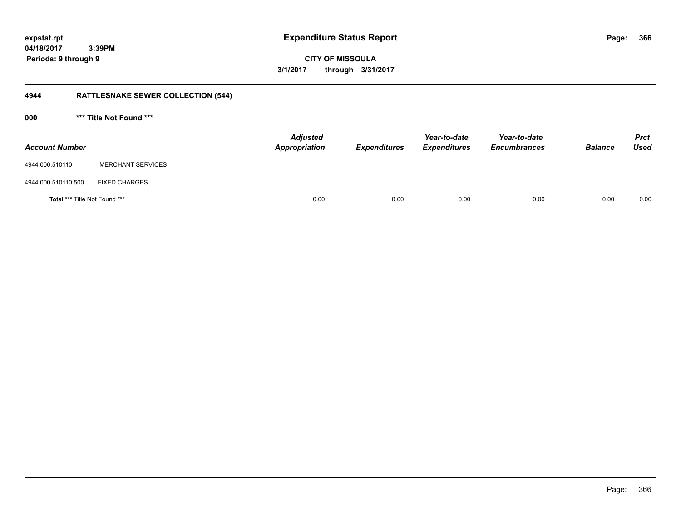**366**

**CITY OF MISSOULA 3/1/2017 through 3/31/2017**

# **4944 RATTLESNAKE SEWER COLLECTION (544)**

**000 \*\*\* Title Not Found \*\*\***

| <b>Account Number</b>         |                          | <b>Adjusted</b><br>Appropriation | <b>Expenditures</b> | Year-to-date<br><b>Expenditures</b> | Year-to-date<br><b>Encumbrances</b> | <b>Balance</b> | <b>Prct</b><br><b>Used</b> |
|-------------------------------|--------------------------|----------------------------------|---------------------|-------------------------------------|-------------------------------------|----------------|----------------------------|
| 4944.000.510110               | <b>MERCHANT SERVICES</b> |                                  |                     |                                     |                                     |                |                            |
| 4944.000.510110.500           | <b>FIXED CHARGES</b>     |                                  |                     |                                     |                                     |                |                            |
| Total *** Title Not Found *** |                          |                                  | 0.00<br>0.00        | 0.00                                | 0.00                                | 0.00           | 0.00                       |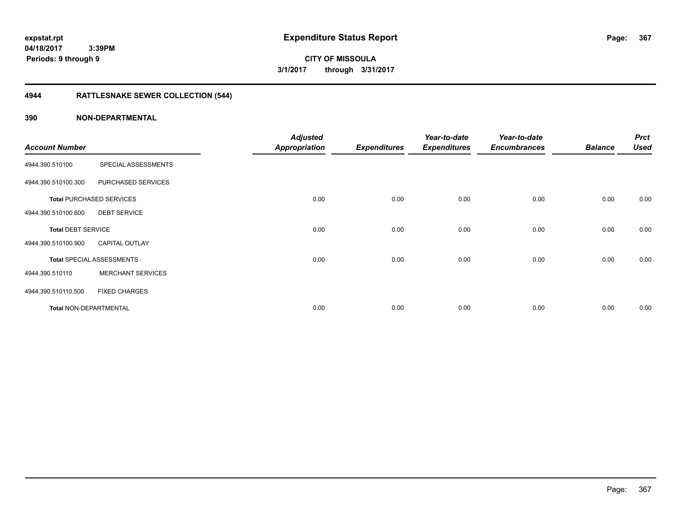**CITY OF MISSOULA 3/1/2017 through 3/31/2017**

# **4944 RATTLESNAKE SEWER COLLECTION (544)**

| <b>Account Number</b>     |                                  | <b>Adjusted</b><br><b>Appropriation</b> | <b>Expenditures</b> | Year-to-date<br><b>Expenditures</b> | Year-to-date<br><b>Encumbrances</b> | <b>Balance</b> | <b>Prct</b><br><b>Used</b> |
|---------------------------|----------------------------------|-----------------------------------------|---------------------|-------------------------------------|-------------------------------------|----------------|----------------------------|
| 4944.390.510100           | SPECIAL ASSESSMENTS              |                                         |                     |                                     |                                     |                |                            |
| 4944.390.510100.300       | PURCHASED SERVICES               |                                         |                     |                                     |                                     |                |                            |
|                           | <b>Total PURCHASED SERVICES</b>  | 0.00                                    | 0.00                | 0.00                                | 0.00                                | 0.00           | 0.00                       |
| 4944.390.510100.600       | <b>DEBT SERVICE</b>              |                                         |                     |                                     |                                     |                |                            |
| <b>Total DEBT SERVICE</b> |                                  | 0.00                                    | 0.00                | 0.00                                | 0.00                                | 0.00           | 0.00                       |
| 4944.390.510100.900       | <b>CAPITAL OUTLAY</b>            |                                         |                     |                                     |                                     |                |                            |
|                           | <b>Total SPECIAL ASSESSMENTS</b> | 0.00                                    | 0.00                | 0.00                                | 0.00                                | 0.00           | 0.00                       |
| 4944.390.510110           | <b>MERCHANT SERVICES</b>         |                                         |                     |                                     |                                     |                |                            |
| 4944.390.510110.500       | <b>FIXED CHARGES</b>             |                                         |                     |                                     |                                     |                |                            |
| Total NON-DEPARTMENTAL    |                                  | 0.00                                    | 0.00                | 0.00                                | 0.00                                | 0.00           | 0.00                       |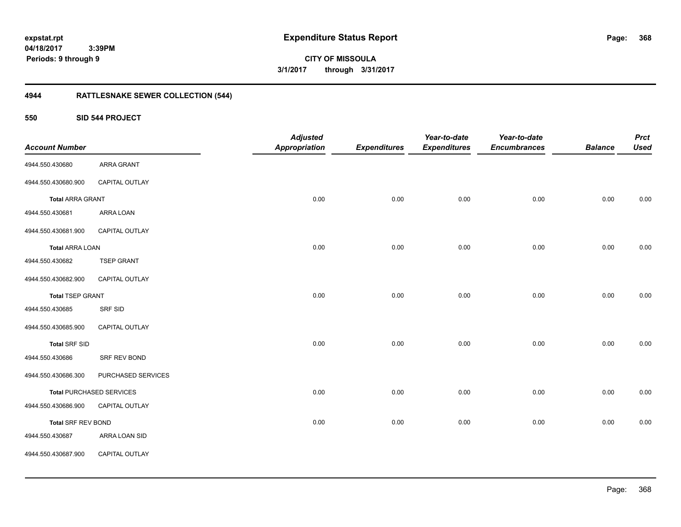**CITY OF MISSOULA 3/1/2017 through 3/31/2017**

# **4944 RATTLESNAKE SEWER COLLECTION (544)**

**550 SID 544 PROJECT**

| <b>Account Number</b>     |                                 | <b>Adjusted</b><br><b>Appropriation</b> | <b>Expenditures</b> | Year-to-date<br><b>Expenditures</b> | Year-to-date<br><b>Encumbrances</b> | <b>Balance</b> | <b>Prct</b><br><b>Used</b> |
|---------------------------|---------------------------------|-----------------------------------------|---------------------|-------------------------------------|-------------------------------------|----------------|----------------------------|
| 4944.550.430680           | ARRA GRANT                      |                                         |                     |                                     |                                     |                |                            |
| 4944.550.430680.900       | CAPITAL OUTLAY                  |                                         |                     |                                     |                                     |                |                            |
| <b>Total ARRA GRANT</b>   |                                 | 0.00                                    | 0.00                | 0.00                                | 0.00                                | 0.00           | 0.00                       |
| 4944.550.430681           | ARRA LOAN                       |                                         |                     |                                     |                                     |                |                            |
| 4944.550.430681.900       | CAPITAL OUTLAY                  |                                         |                     |                                     |                                     |                |                            |
| <b>Total ARRA LOAN</b>    |                                 | 0.00                                    | 0.00                | 0.00                                | 0.00                                | 0.00           | 0.00                       |
| 4944.550.430682           | <b>TSEP GRANT</b>               |                                         |                     |                                     |                                     |                |                            |
| 4944.550.430682.900       | CAPITAL OUTLAY                  |                                         |                     |                                     |                                     |                |                            |
| <b>Total TSEP GRANT</b>   |                                 | 0.00                                    | 0.00                | 0.00                                | 0.00                                | 0.00           | 0.00                       |
| 4944.550.430685           | SRF SID                         |                                         |                     |                                     |                                     |                |                            |
| 4944.550.430685.900       | CAPITAL OUTLAY                  |                                         |                     |                                     |                                     |                |                            |
| <b>Total SRF SID</b>      |                                 | 0.00                                    | 0.00                | 0.00                                | 0.00                                | 0.00           | 0.00                       |
| 4944.550.430686           | SRF REV BOND                    |                                         |                     |                                     |                                     |                |                            |
| 4944.550.430686.300       | PURCHASED SERVICES              |                                         |                     |                                     |                                     |                |                            |
|                           | <b>Total PURCHASED SERVICES</b> | 0.00                                    | 0.00                | 0.00                                | 0.00                                | 0.00           | 0.00                       |
| 4944.550.430686.900       | CAPITAL OUTLAY                  |                                         |                     |                                     |                                     |                |                            |
| <b>Total SRF REV BOND</b> |                                 | 0.00                                    | 0.00                | 0.00                                | 0.00                                | 0.00           | 0.00                       |
| 4944.550.430687           | ARRA LOAN SID                   |                                         |                     |                                     |                                     |                |                            |
| 4944.550.430687.900       | CAPITAL OUTLAY                  |                                         |                     |                                     |                                     |                |                            |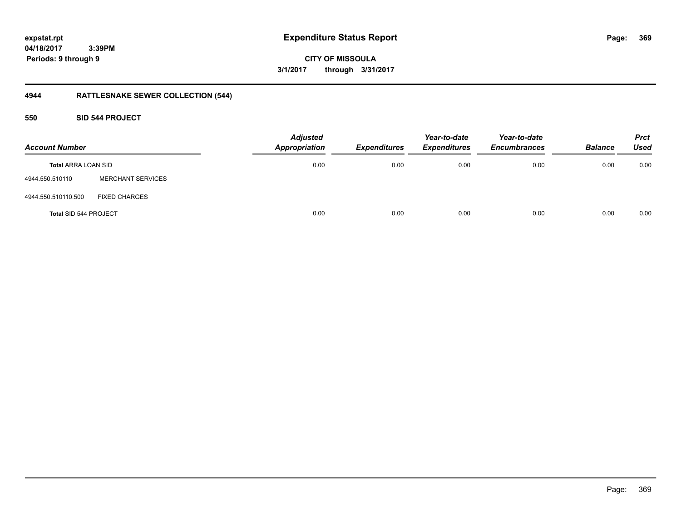**369**

**04/18/2017 3:39PM Periods: 9 through 9**

**CITY OF MISSOULA 3/1/2017 through 3/31/2017**

# **4944 RATTLESNAKE SEWER COLLECTION (544)**

### **550 SID 544 PROJECT**

| <b>Account Number</b>        |                          | <b>Adjusted</b><br><b>Appropriation</b> | <b>Expenditures</b> | Year-to-date<br><b>Expenditures</b> | Year-to-date<br><b>Encumbrances</b> | <b>Balance</b> | <b>Prct</b><br><b>Used</b> |
|------------------------------|--------------------------|-----------------------------------------|---------------------|-------------------------------------|-------------------------------------|----------------|----------------------------|
| <b>Total ARRA LOAN SID</b>   |                          | 0.00                                    | 0.00                | 0.00                                | 0.00                                | 0.00           | 0.00                       |
| 4944.550.510110              | <b>MERCHANT SERVICES</b> |                                         |                     |                                     |                                     |                |                            |
| 4944.550.510110.500          | <b>FIXED CHARGES</b>     |                                         |                     |                                     |                                     |                |                            |
| <b>Total SID 544 PROJECT</b> |                          | 0.00                                    | 0.00                | 0.00                                | 0.00                                | 0.00           | 0.00                       |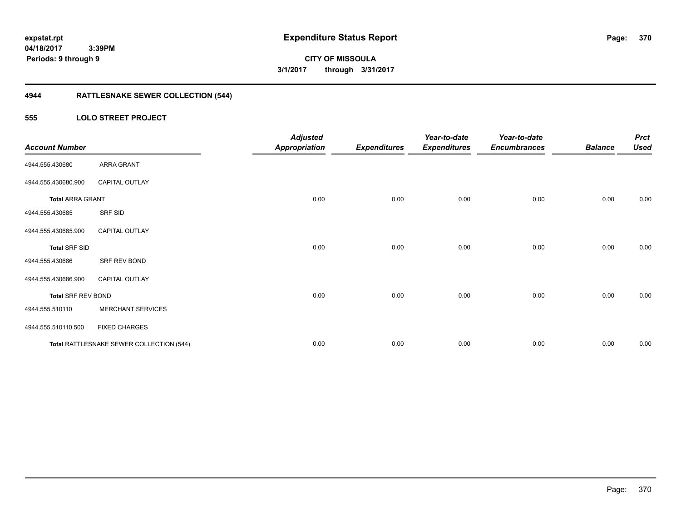**370**

**04/18/2017 3:39PM Periods: 9 through 9**

**CITY OF MISSOULA 3/1/2017 through 3/31/2017**

# **4944 RATTLESNAKE SEWER COLLECTION (544)**

### **555 LOLO STREET PROJECT**

| <b>Account Number</b>     |                                          | <b>Adjusted</b><br><b>Appropriation</b> | <b>Expenditures</b> | Year-to-date<br><b>Expenditures</b> | Year-to-date<br><b>Encumbrances</b> | <b>Balance</b> | <b>Prct</b><br><b>Used</b> |
|---------------------------|------------------------------------------|-----------------------------------------|---------------------|-------------------------------------|-------------------------------------|----------------|----------------------------|
| 4944.555.430680           | ARRA GRANT                               |                                         |                     |                                     |                                     |                |                            |
| 4944.555.430680.900       | <b>CAPITAL OUTLAY</b>                    |                                         |                     |                                     |                                     |                |                            |
| <b>Total ARRA GRANT</b>   |                                          | 0.00                                    | 0.00                | 0.00                                | 0.00                                | 0.00           | 0.00                       |
| 4944.555.430685           | SRF SID                                  |                                         |                     |                                     |                                     |                |                            |
| 4944.555.430685.900       | <b>CAPITAL OUTLAY</b>                    |                                         |                     |                                     |                                     |                |                            |
| <b>Total SRF SID</b>      |                                          | 0.00                                    | 0.00                | 0.00                                | 0.00                                | 0.00           | 0.00                       |
| 4944.555.430686           | SRF REV BOND                             |                                         |                     |                                     |                                     |                |                            |
| 4944.555.430686.900       | <b>CAPITAL OUTLAY</b>                    |                                         |                     |                                     |                                     |                |                            |
| <b>Total SRF REV BOND</b> |                                          | 0.00                                    | 0.00                | 0.00                                | 0.00                                | 0.00           | 0.00                       |
| 4944.555.510110           | <b>MERCHANT SERVICES</b>                 |                                         |                     |                                     |                                     |                |                            |
| 4944.555.510110.500       | <b>FIXED CHARGES</b>                     |                                         |                     |                                     |                                     |                |                            |
|                           | Total RATTLESNAKE SEWER COLLECTION (544) | 0.00                                    | 0.00                | 0.00                                | 0.00                                | 0.00           | 0.00                       |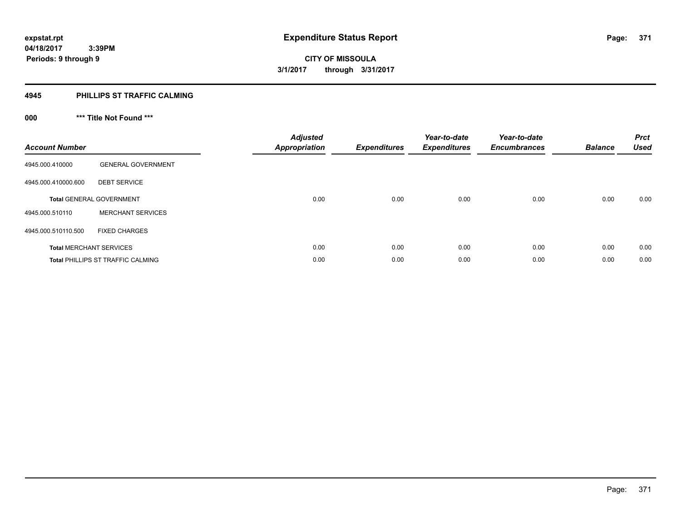### **4945 PHILLIPS ST TRAFFIC CALMING**

# **000 \*\*\* Title Not Found \*\*\***

| <b>Account Number</b> |                                          | <b>Adjusted</b><br><b>Appropriation</b> | <b>Expenditures</b> | Year-to-date<br><b>Expenditures</b> | Year-to-date<br><b>Encumbrances</b> | <b>Balance</b> | <b>Prct</b><br><b>Used</b> |
|-----------------------|------------------------------------------|-----------------------------------------|---------------------|-------------------------------------|-------------------------------------|----------------|----------------------------|
| 4945.000.410000       | <b>GENERAL GOVERNMENT</b>                |                                         |                     |                                     |                                     |                |                            |
| 4945.000.410000.600   | <b>DEBT SERVICE</b>                      |                                         |                     |                                     |                                     |                |                            |
|                       | <b>Total GENERAL GOVERNMENT</b>          | 0.00                                    | 0.00                | 0.00                                | 0.00                                | 0.00           | 0.00                       |
| 4945.000.510110       | <b>MERCHANT SERVICES</b>                 |                                         |                     |                                     |                                     |                |                            |
| 4945.000.510110.500   | <b>FIXED CHARGES</b>                     |                                         |                     |                                     |                                     |                |                            |
|                       | <b>Total MERCHANT SERVICES</b>           | 0.00                                    | 0.00                | 0.00                                | 0.00                                | 0.00           | 0.00                       |
|                       | <b>Total PHILLIPS ST TRAFFIC CALMING</b> | 0.00                                    | 0.00                | 0.00                                | 0.00                                | 0.00           | 0.00                       |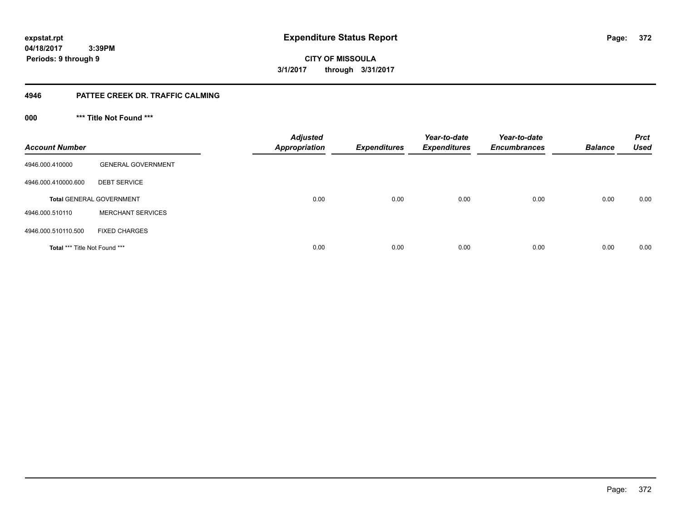**372**

**04/18/2017 3:39PM Periods: 9 through 9**

**CITY OF MISSOULA 3/1/2017 through 3/31/2017**

### **4946 PATTEE CREEK DR. TRAFFIC CALMING**

**000 \*\*\* Title Not Found \*\*\***

| <b>Account Number</b>         |                                 | <b>Adjusted</b><br><b>Appropriation</b> | <b>Expenditures</b> | Year-to-date<br><b>Expenditures</b> | Year-to-date<br><b>Encumbrances</b> | <b>Balance</b> | <b>Prct</b><br><b>Used</b> |
|-------------------------------|---------------------------------|-----------------------------------------|---------------------|-------------------------------------|-------------------------------------|----------------|----------------------------|
| 4946.000.410000               | <b>GENERAL GOVERNMENT</b>       |                                         |                     |                                     |                                     |                |                            |
| 4946.000.410000.600           | <b>DEBT SERVICE</b>             |                                         |                     |                                     |                                     |                |                            |
|                               | <b>Total GENERAL GOVERNMENT</b> | 0.00                                    | 0.00                | 0.00                                | 0.00                                | 0.00           | 0.00                       |
| 4946.000.510110               | <b>MERCHANT SERVICES</b>        |                                         |                     |                                     |                                     |                |                            |
| 4946.000.510110.500           | <b>FIXED CHARGES</b>            |                                         |                     |                                     |                                     |                |                            |
| Total *** Title Not Found *** |                                 | 0.00                                    | 0.00                | 0.00                                | 0.00                                | 0.00           | 0.00                       |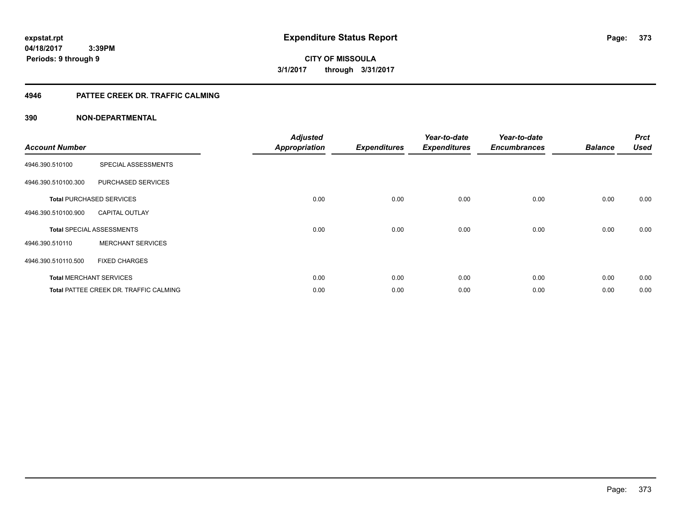**373**

**04/18/2017 3:39PM Periods: 9 through 9**

**CITY OF MISSOULA 3/1/2017 through 3/31/2017**

### **4946 PATTEE CREEK DR. TRAFFIC CALMING**

| <b>Account Number</b> |                                               | <b>Adjusted</b><br><b>Appropriation</b> | <b>Expenditures</b> | Year-to-date<br><b>Expenditures</b> | Year-to-date<br><b>Encumbrances</b> | <b>Balance</b> | <b>Prct</b><br><b>Used</b> |
|-----------------------|-----------------------------------------------|-----------------------------------------|---------------------|-------------------------------------|-------------------------------------|----------------|----------------------------|
| 4946.390.510100       | SPECIAL ASSESSMENTS                           |                                         |                     |                                     |                                     |                |                            |
| 4946.390.510100.300   | PURCHASED SERVICES                            |                                         |                     |                                     |                                     |                |                            |
|                       | <b>Total PURCHASED SERVICES</b>               | 0.00                                    | 0.00                | 0.00                                | 0.00                                | 0.00           | 0.00                       |
| 4946.390.510100.900   | <b>CAPITAL OUTLAY</b>                         |                                         |                     |                                     |                                     |                |                            |
|                       | <b>Total SPECIAL ASSESSMENTS</b>              | 0.00                                    | 0.00                | 0.00                                | 0.00                                | 0.00           | 0.00                       |
| 4946.390.510110       | <b>MERCHANT SERVICES</b>                      |                                         |                     |                                     |                                     |                |                            |
| 4946.390.510110.500   | <b>FIXED CHARGES</b>                          |                                         |                     |                                     |                                     |                |                            |
|                       | <b>Total MERCHANT SERVICES</b>                | 0.00                                    | 0.00                | 0.00                                | 0.00                                | 0.00           | 0.00                       |
|                       | <b>Total PATTEE CREEK DR. TRAFFIC CALMING</b> | 0.00                                    | 0.00                | 0.00                                | 0.00                                | 0.00           | 0.00                       |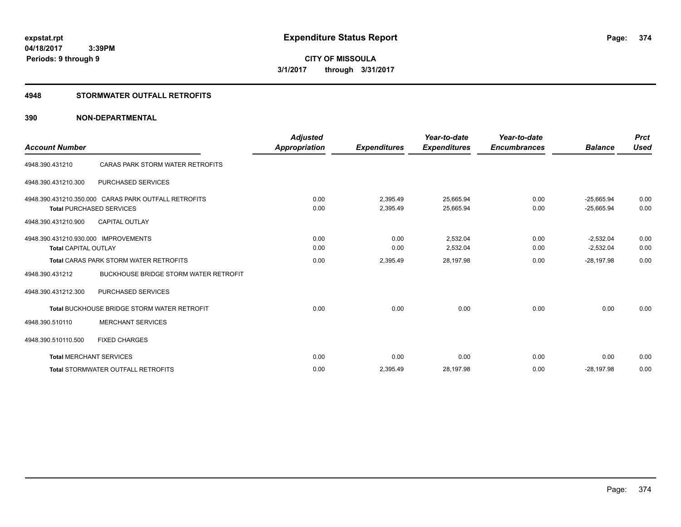**CITY OF MISSOULA 3/1/2017 through 3/31/2017**

### **4948 STORMWATER OUTFALL RETROFITS**

| <b>Account Number</b>                |                                                          | <b>Adjusted</b><br><b>Appropriation</b> | <b>Expenditures</b> | Year-to-date<br><b>Expenditures</b> | Year-to-date<br><b>Encumbrances</b> | <b>Balance</b>              | <b>Prct</b><br><b>Used</b> |
|--------------------------------------|----------------------------------------------------------|-----------------------------------------|---------------------|-------------------------------------|-------------------------------------|-----------------------------|----------------------------|
| 4948.390.431210                      | CARAS PARK STORM WATER RETROFITS                         |                                         |                     |                                     |                                     |                             |                            |
| 4948.390.431210.300                  | <b>PURCHASED SERVICES</b>                                |                                         |                     |                                     |                                     |                             |                            |
|                                      | 4948.390.431210.350.000 CARAS PARK OUTFALL RETROFITS     | 0.00                                    | 2,395.49            | 25,665.94                           | 0.00                                | $-25,665.94$                | 0.00                       |
| 4948.390.431210.900                  | <b>Total PURCHASED SERVICES</b><br><b>CAPITAL OUTLAY</b> | 0.00                                    | 2,395.49            | 25,665.94                           | 0.00                                | $-25,665.94$                | 0.00                       |
| 4948.390.431210.930.000 IMPROVEMENTS |                                                          | 0.00                                    | 0.00                | 2,532.04                            | 0.00                                | $-2,532.04$                 | 0.00                       |
| <b>Total CAPITAL OUTLAY</b>          | <b>Total CARAS PARK STORM WATER RETROFITS</b>            | 0.00<br>0.00                            | 0.00<br>2,395.49    | 2,532.04<br>28,197.98               | 0.00<br>0.00                        | $-2,532.04$<br>$-28,197.98$ | 0.00<br>0.00               |
| 4948.390.431212                      | <b>BUCKHOUSE BRIDGE STORM WATER RETROFIT</b>             |                                         |                     |                                     |                                     |                             |                            |
| 4948.390.431212.300                  | <b>PURCHASED SERVICES</b>                                |                                         |                     |                                     |                                     |                             |                            |
|                                      | <b>Total BUCKHOUSE BRIDGE STORM WATER RETROFIT</b>       | 0.00                                    | 0.00                | 0.00                                | 0.00                                | 0.00                        | 0.00                       |
| 4948.390.510110                      | <b>MERCHANT SERVICES</b>                                 |                                         |                     |                                     |                                     |                             |                            |
| 4948.390.510110.500                  | <b>FIXED CHARGES</b>                                     |                                         |                     |                                     |                                     |                             |                            |
|                                      | <b>Total MERCHANT SERVICES</b>                           | 0.00                                    | 0.00                | 0.00                                | 0.00                                | 0.00                        | 0.00                       |
|                                      | <b>Total STORMWATER OUTFALL RETROFITS</b>                | 0.00                                    | 2,395.49            | 28,197.98                           | 0.00                                | $-28.197.98$                | 0.00                       |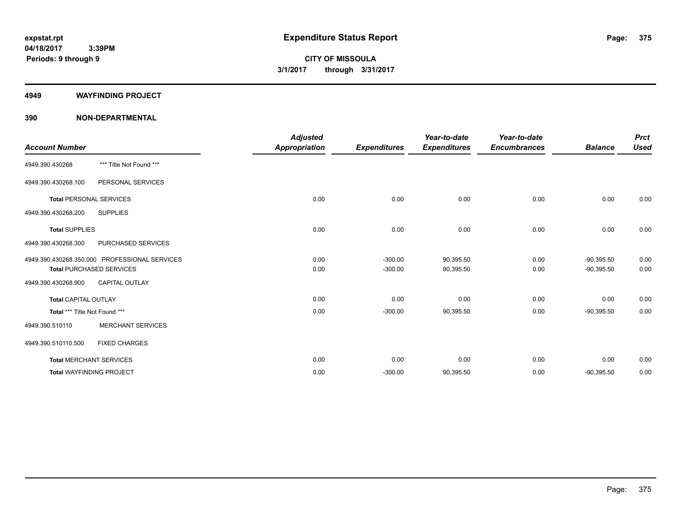#### **4949 WAYFINDING PROJECT**

|                                 |                                               | <b>Adjusted</b>      |                     | Year-to-date        | Year-to-date        |                | <b>Prct</b> |
|---------------------------------|-----------------------------------------------|----------------------|---------------------|---------------------|---------------------|----------------|-------------|
| <b>Account Number</b>           |                                               | <b>Appropriation</b> | <b>Expenditures</b> | <b>Expenditures</b> | <b>Encumbrances</b> | <b>Balance</b> | <b>Used</b> |
| 4949.390.430268                 | *** Title Not Found ***                       |                      |                     |                     |                     |                |             |
| 4949.390.430268.100             | PERSONAL SERVICES                             |                      |                     |                     |                     |                |             |
| <b>Total PERSONAL SERVICES</b>  |                                               | 0.00                 | 0.00                | 0.00                | 0.00                | 0.00           | 0.00        |
| 4949.390.430268.200             | <b>SUPPLIES</b>                               |                      |                     |                     |                     |                |             |
| <b>Total SUPPLIES</b>           |                                               | 0.00                 | 0.00                | 0.00                | 0.00                | 0.00           | 0.00        |
| 4949.390.430268.300             | PURCHASED SERVICES                            |                      |                     |                     |                     |                |             |
|                                 | 4949.390.430268.350.000 PROFESSIONAL SERVICES | 0.00                 | $-300.00$           | 90,395.50           | 0.00                | $-90,395.50$   | 0.00        |
|                                 | <b>Total PURCHASED SERVICES</b>               | 0.00                 | $-300.00$           | 90,395.50           | 0.00                | $-90,395.50$   | 0.00        |
| 4949.390.430268.900             | <b>CAPITAL OUTLAY</b>                         |                      |                     |                     |                     |                |             |
| <b>Total CAPITAL OUTLAY</b>     |                                               | 0.00                 | 0.00                | 0.00                | 0.00                | 0.00           | 0.00        |
| Total *** Title Not Found ***   |                                               | 0.00                 | $-300.00$           | 90,395.50           | 0.00                | $-90,395.50$   | 0.00        |
| 4949.390.510110                 | <b>MERCHANT SERVICES</b>                      |                      |                     |                     |                     |                |             |
| 4949.390.510110.500             | <b>FIXED CHARGES</b>                          |                      |                     |                     |                     |                |             |
| <b>Total MERCHANT SERVICES</b>  |                                               | 0.00                 | 0.00                | 0.00                | 0.00                | 0.00           | 0.00        |
| <b>Total WAYFINDING PROJECT</b> |                                               | 0.00                 | $-300.00$           | 90,395.50           | 0.00                | $-90,395.50$   | 0.00        |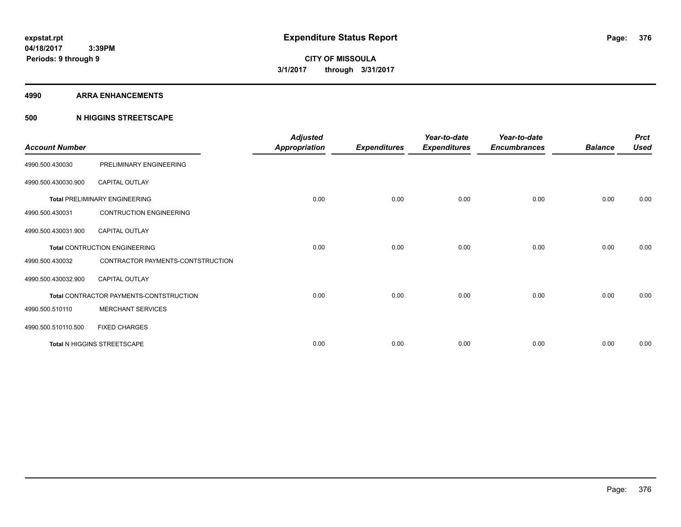#### **4990 ARRA ENHANCEMENTS**

### **500 N HIGGINS STREETSCAPE**

| <b>Account Number</b> |                                         | <b>Adjusted</b><br>Appropriation | <b>Expenditures</b> | Year-to-date<br><b>Expenditures</b> | Year-to-date<br><b>Encumbrances</b> | <b>Balance</b> | <b>Prct</b><br><b>Used</b> |
|-----------------------|-----------------------------------------|----------------------------------|---------------------|-------------------------------------|-------------------------------------|----------------|----------------------------|
| 4990.500.430030       | PRELIMINARY ENGINEERING                 |                                  |                     |                                     |                                     |                |                            |
| 4990.500.430030.900   | <b>CAPITAL OUTLAY</b>                   |                                  |                     |                                     |                                     |                |                            |
|                       | <b>Total PRELIMINARY ENGINEERING</b>    | 0.00                             | 0.00                | 0.00                                | 0.00                                | 0.00           | 0.00                       |
| 4990.500.430031       | <b>CONTRUCTION ENGINEERING</b>          |                                  |                     |                                     |                                     |                |                            |
| 4990.500.430031.900   | <b>CAPITAL OUTLAY</b>                   |                                  |                     |                                     |                                     |                |                            |
|                       | <b>Total CONTRUCTION ENGINEERING</b>    | 0.00                             | 0.00                | 0.00                                | 0.00                                | 0.00           | 0.00                       |
| 4990.500.430032       | CONTRACTOR PAYMENTS-CONTSTRUCTION       |                                  |                     |                                     |                                     |                |                            |
| 4990.500.430032.900   | <b>CAPITAL OUTLAY</b>                   |                                  |                     |                                     |                                     |                |                            |
|                       | Total CONTRACTOR PAYMENTS-CONTSTRUCTION | 0.00                             | 0.00                | 0.00                                | 0.00                                | 0.00           | 0.00                       |
| 4990.500.510110       | <b>MERCHANT SERVICES</b>                |                                  |                     |                                     |                                     |                |                            |
| 4990.500.510110.500   | <b>FIXED CHARGES</b>                    |                                  |                     |                                     |                                     |                |                            |
|                       | Total N HIGGINS STREETSCAPE             | 0.00                             | 0.00                | 0.00                                | 0.00                                | 0.00           | 0.00                       |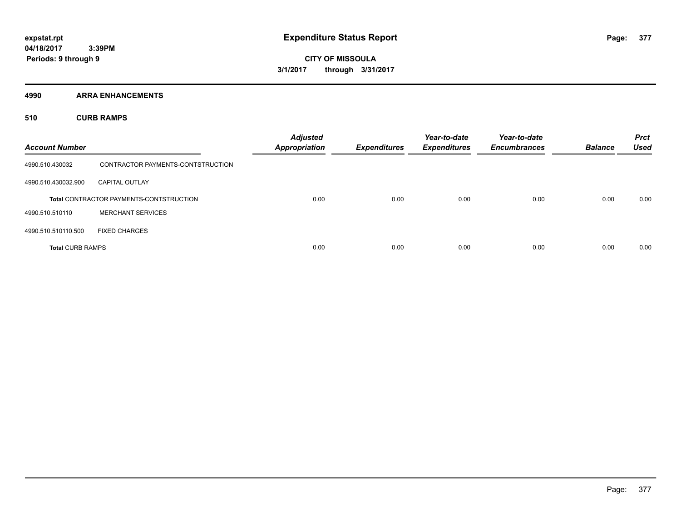**Periods: 9 through 9**

**CITY OF MISSOULA 3/1/2017 through 3/31/2017**

**4990 ARRA ENHANCEMENTS**

**510 CURB RAMPS**

| <b>Account Number</b>   |                                                | <b>Adjusted</b><br><b>Appropriation</b> | <b>Expenditures</b> | Year-to-date<br><b>Expenditures</b> | Year-to-date<br><b>Encumbrances</b> | <b>Balance</b> | <b>Prct</b><br><b>Used</b> |
|-------------------------|------------------------------------------------|-----------------------------------------|---------------------|-------------------------------------|-------------------------------------|----------------|----------------------------|
| 4990.510.430032         | CONTRACTOR PAYMENTS-CONTSTRUCTION              |                                         |                     |                                     |                                     |                |                            |
| 4990.510.430032.900     | <b>CAPITAL OUTLAY</b>                          |                                         |                     |                                     |                                     |                |                            |
|                         | <b>Total CONTRACTOR PAYMENTS-CONTSTRUCTION</b> | 0.00                                    | 0.00                | 0.00                                | 0.00                                | 0.00           | 0.00                       |
| 4990.510.510110         | <b>MERCHANT SERVICES</b>                       |                                         |                     |                                     |                                     |                |                            |
| 4990.510.510110.500     | <b>FIXED CHARGES</b>                           |                                         |                     |                                     |                                     |                |                            |
| <b>Total CURB RAMPS</b> |                                                | 0.00                                    | 0.00                | 0.00                                | 0.00                                | 0.00           | 0.00                       |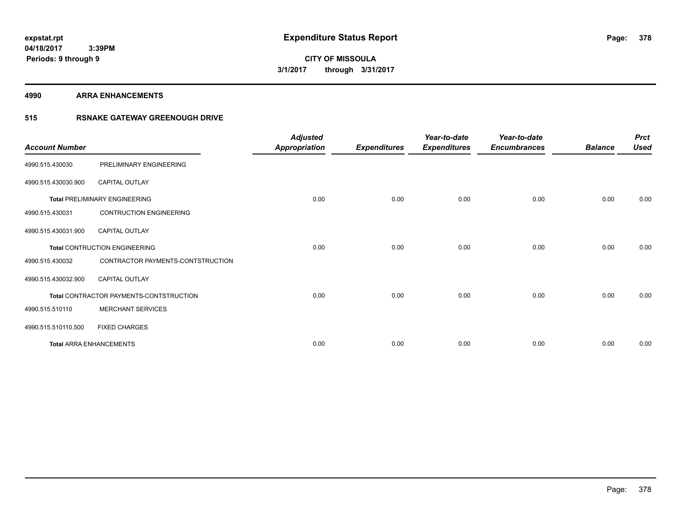**4990 ARRA ENHANCEMENTS**

### **515 RSNAKE GATEWAY GREENOUGH DRIVE**

| <b>Account Number</b> |                                         | <b>Adjusted</b><br><b>Appropriation</b> | <b>Expenditures</b> | Year-to-date<br><b>Expenditures</b> | Year-to-date<br><b>Encumbrances</b> | <b>Balance</b> | <b>Prct</b><br><b>Used</b> |
|-----------------------|-----------------------------------------|-----------------------------------------|---------------------|-------------------------------------|-------------------------------------|----------------|----------------------------|
| 4990.515.430030       | PRELIMINARY ENGINEERING                 |                                         |                     |                                     |                                     |                |                            |
| 4990.515.430030.900   | <b>CAPITAL OUTLAY</b>                   |                                         |                     |                                     |                                     |                |                            |
|                       | <b>Total PRELIMINARY ENGINEERING</b>    | 0.00                                    | 0.00                | 0.00                                | 0.00                                | 0.00           | 0.00                       |
| 4990.515.430031       | <b>CONTRUCTION ENGINEERING</b>          |                                         |                     |                                     |                                     |                |                            |
| 4990.515.430031.900   | <b>CAPITAL OUTLAY</b>                   |                                         |                     |                                     |                                     |                |                            |
|                       | Total CONTRUCTION ENGINEERING           | 0.00                                    | 0.00                | 0.00                                | 0.00                                | 0.00           | 0.00                       |
| 4990.515.430032       | CONTRACTOR PAYMENTS-CONTSTRUCTION       |                                         |                     |                                     |                                     |                |                            |
| 4990.515.430032.900   | <b>CAPITAL OUTLAY</b>                   |                                         |                     |                                     |                                     |                |                            |
|                       | Total CONTRACTOR PAYMENTS-CONTSTRUCTION | 0.00                                    | 0.00                | 0.00                                | 0.00                                | 0.00           | 0.00                       |
| 4990.515.510110       | <b>MERCHANT SERVICES</b>                |                                         |                     |                                     |                                     |                |                            |
| 4990.515.510110.500   | <b>FIXED CHARGES</b>                    |                                         |                     |                                     |                                     |                |                            |
|                       | <b>Total ARRA ENHANCEMENTS</b>          | 0.00                                    | 0.00                | 0.00                                | 0.00                                | 0.00           | 0.00                       |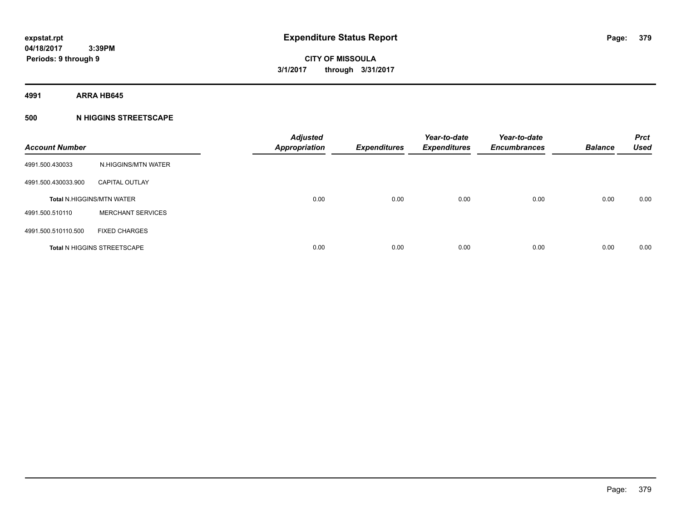**4991 ARRA HB645**

### **500 N HIGGINS STREETSCAPE**

| <b>Account Number</b> |                                    | <b>Adjusted</b><br><b>Appropriation</b> | <b>Expenditures</b> | Year-to-date<br><b>Expenditures</b> | Year-to-date<br><b>Encumbrances</b> | <b>Balance</b> | <b>Prct</b><br><b>Used</b> |
|-----------------------|------------------------------------|-----------------------------------------|---------------------|-------------------------------------|-------------------------------------|----------------|----------------------------|
| 4991.500.430033       | N.HIGGINS/MTN WATER                |                                         |                     |                                     |                                     |                |                            |
| 4991.500.430033.900   | <b>CAPITAL OUTLAY</b>              |                                         |                     |                                     |                                     |                |                            |
|                       | <b>Total N.HIGGINS/MTN WATER</b>   | 0.00                                    | 0.00                | 0.00                                | 0.00                                | 0.00           | 0.00                       |
| 4991.500.510110       | <b>MERCHANT SERVICES</b>           |                                         |                     |                                     |                                     |                |                            |
| 4991.500.510110.500   | <b>FIXED CHARGES</b>               |                                         |                     |                                     |                                     |                |                            |
|                       | <b>Total N HIGGINS STREETSCAPE</b> | 0.00                                    | 0.00                | 0.00                                | 0.00                                | 0.00           | 0.00                       |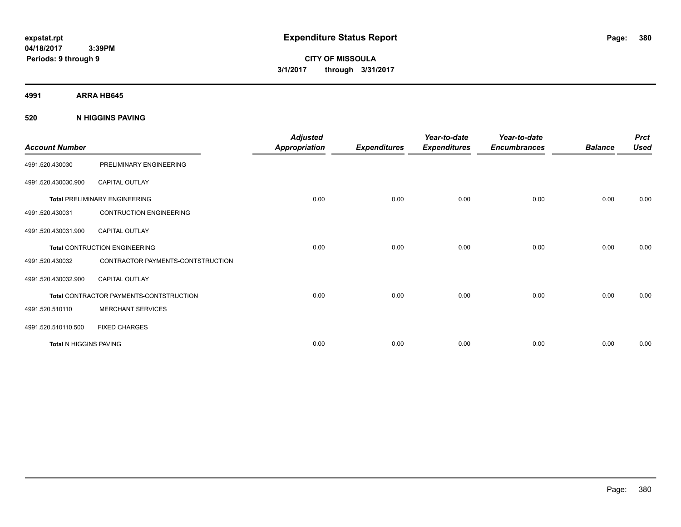**CITY OF MISSOULA 3/1/2017 through 3/31/2017**

**4991 ARRA HB645**

**520 N HIGGINS PAVING**

| <b>Account Number</b>         |                                                | <b>Adjusted</b><br><b>Appropriation</b> | <b>Expenditures</b> | Year-to-date<br><b>Expenditures</b> | Year-to-date<br><b>Encumbrances</b> | <b>Balance</b> | <b>Prct</b><br><b>Used</b> |
|-------------------------------|------------------------------------------------|-----------------------------------------|---------------------|-------------------------------------|-------------------------------------|----------------|----------------------------|
| 4991.520.430030               | PRELIMINARY ENGINEERING                        |                                         |                     |                                     |                                     |                |                            |
| 4991.520.430030.900           | CAPITAL OUTLAY                                 |                                         |                     |                                     |                                     |                |                            |
|                               | <b>Total PRELIMINARY ENGINEERING</b>           | 0.00                                    | 0.00                | 0.00                                | 0.00                                | 0.00           | 0.00                       |
| 4991.520.430031               | <b>CONTRUCTION ENGINEERING</b>                 |                                         |                     |                                     |                                     |                |                            |
| 4991.520.430031.900           | <b>CAPITAL OUTLAY</b>                          |                                         |                     |                                     |                                     |                |                            |
|                               | <b>Total CONTRUCTION ENGINEERING</b>           | 0.00                                    | 0.00                | 0.00                                | 0.00                                | 0.00           | 0.00                       |
| 4991.520.430032               | CONTRACTOR PAYMENTS-CONTSTRUCTION              |                                         |                     |                                     |                                     |                |                            |
| 4991.520.430032.900           | <b>CAPITAL OUTLAY</b>                          |                                         |                     |                                     |                                     |                |                            |
|                               | <b>Total CONTRACTOR PAYMENTS-CONTSTRUCTION</b> | 0.00                                    | 0.00                | 0.00                                | 0.00                                | 0.00           | 0.00                       |
| 4991.520.510110               | <b>MERCHANT SERVICES</b>                       |                                         |                     |                                     |                                     |                |                            |
| 4991.520.510110.500           | <b>FIXED CHARGES</b>                           |                                         |                     |                                     |                                     |                |                            |
| <b>Total N HIGGINS PAVING</b> |                                                | 0.00                                    | 0.00                | 0.00                                | 0.00                                | 0.00           | 0.00                       |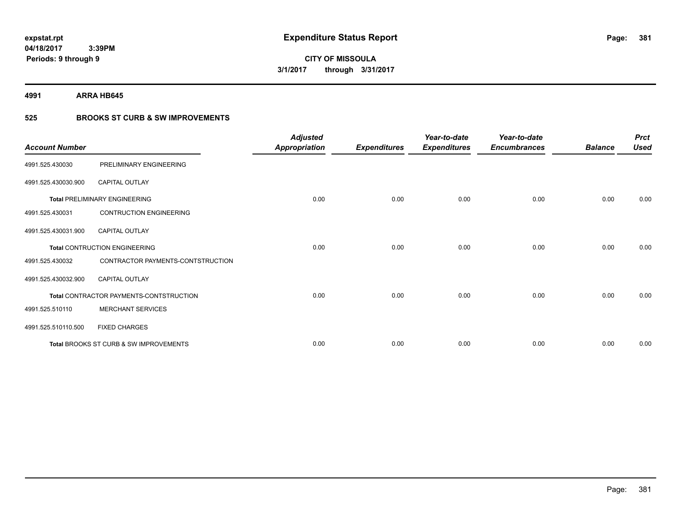**4991 ARRA HB645**

### **525 BROOKS ST CURB & SW IMPROVEMENTS**

| <b>Account Number</b> |                                         | <b>Adjusted</b><br><b>Appropriation</b> | <b>Expenditures</b> | Year-to-date<br><b>Expenditures</b> | Year-to-date<br><b>Encumbrances</b> | <b>Balance</b> | <b>Prct</b><br><b>Used</b> |
|-----------------------|-----------------------------------------|-----------------------------------------|---------------------|-------------------------------------|-------------------------------------|----------------|----------------------------|
| 4991.525.430030       | PRELIMINARY ENGINEERING                 |                                         |                     |                                     |                                     |                |                            |
| 4991.525.430030.900   | CAPITAL OUTLAY                          |                                         |                     |                                     |                                     |                |                            |
|                       | <b>Total PRELIMINARY ENGINEERING</b>    | 0.00                                    | 0.00                | 0.00                                | 0.00                                | 0.00           | 0.00                       |
| 4991.525.430031       | <b>CONTRUCTION ENGINEERING</b>          |                                         |                     |                                     |                                     |                |                            |
| 4991.525.430031.900   | <b>CAPITAL OUTLAY</b>                   |                                         |                     |                                     |                                     |                |                            |
|                       | Total CONTRUCTION ENGINEERING           | 0.00                                    | 0.00                | 0.00                                | 0.00                                | 0.00           | 0.00                       |
| 4991.525.430032       | CONTRACTOR PAYMENTS-CONTSTRUCTION       |                                         |                     |                                     |                                     |                |                            |
| 4991.525.430032.900   | <b>CAPITAL OUTLAY</b>                   |                                         |                     |                                     |                                     |                |                            |
|                       | Total CONTRACTOR PAYMENTS-CONTSTRUCTION | 0.00                                    | 0.00                | 0.00                                | 0.00                                | 0.00           | 0.00                       |
| 4991.525.510110       | <b>MERCHANT SERVICES</b>                |                                         |                     |                                     |                                     |                |                            |
| 4991.525.510110.500   | <b>FIXED CHARGES</b>                    |                                         |                     |                                     |                                     |                |                            |
|                       | Total BROOKS ST CURB & SW IMPROVEMENTS  | 0.00                                    | 0.00                | 0.00                                | 0.00                                | 0.00           | 0.00                       |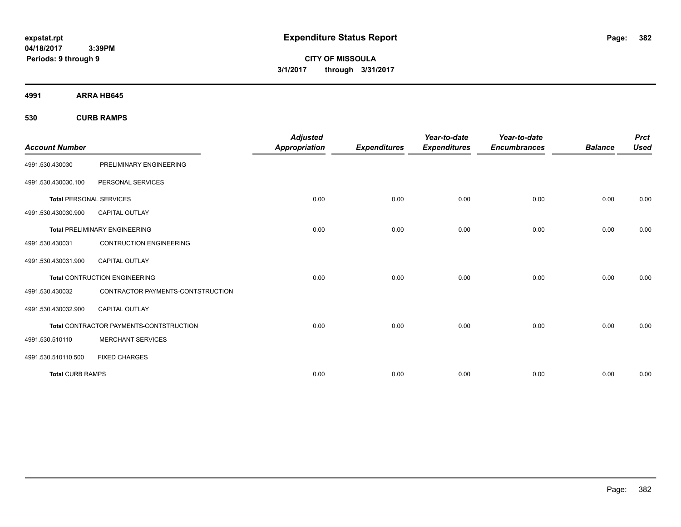**CITY OF MISSOULA 3/1/2017 through 3/31/2017**

**4991 ARRA HB645**

**530 CURB RAMPS**

| <b>Account Number</b>          |                                         | <b>Adjusted</b><br><b>Appropriation</b> | <b>Expenditures</b> | Year-to-date<br><b>Expenditures</b> | Year-to-date<br><b>Encumbrances</b> | <b>Balance</b> | <b>Prct</b><br><b>Used</b> |
|--------------------------------|-----------------------------------------|-----------------------------------------|---------------------|-------------------------------------|-------------------------------------|----------------|----------------------------|
| 4991.530.430030                | PRELIMINARY ENGINEERING                 |                                         |                     |                                     |                                     |                |                            |
| 4991.530.430030.100            | PERSONAL SERVICES                       |                                         |                     |                                     |                                     |                |                            |
| <b>Total PERSONAL SERVICES</b> |                                         | 0.00                                    | 0.00                | 0.00                                | 0.00                                | 0.00           | 0.00                       |
| 4991.530.430030.900            | <b>CAPITAL OUTLAY</b>                   |                                         |                     |                                     |                                     |                |                            |
|                                | <b>Total PRELIMINARY ENGINEERING</b>    | 0.00                                    | 0.00                | 0.00                                | 0.00                                | 0.00           | 0.00                       |
| 4991.530.430031                | <b>CONTRUCTION ENGINEERING</b>          |                                         |                     |                                     |                                     |                |                            |
| 4991.530.430031.900            | <b>CAPITAL OUTLAY</b>                   |                                         |                     |                                     |                                     |                |                            |
|                                | <b>Total CONTRUCTION ENGINEERING</b>    | 0.00                                    | 0.00                | 0.00                                | 0.00                                | 0.00           | 0.00                       |
| 4991.530.430032                | CONTRACTOR PAYMENTS-CONTSTRUCTION       |                                         |                     |                                     |                                     |                |                            |
| 4991.530.430032.900            | <b>CAPITAL OUTLAY</b>                   |                                         |                     |                                     |                                     |                |                            |
|                                | Total CONTRACTOR PAYMENTS-CONTSTRUCTION | 0.00                                    | 0.00                | 0.00                                | 0.00                                | 0.00           | 0.00                       |
| 4991.530.510110                | <b>MERCHANT SERVICES</b>                |                                         |                     |                                     |                                     |                |                            |
| 4991.530.510110.500            | <b>FIXED CHARGES</b>                    |                                         |                     |                                     |                                     |                |                            |
| <b>Total CURB RAMPS</b>        |                                         | 0.00                                    | 0.00                | 0.00                                | 0.00                                | 0.00           | 0.00                       |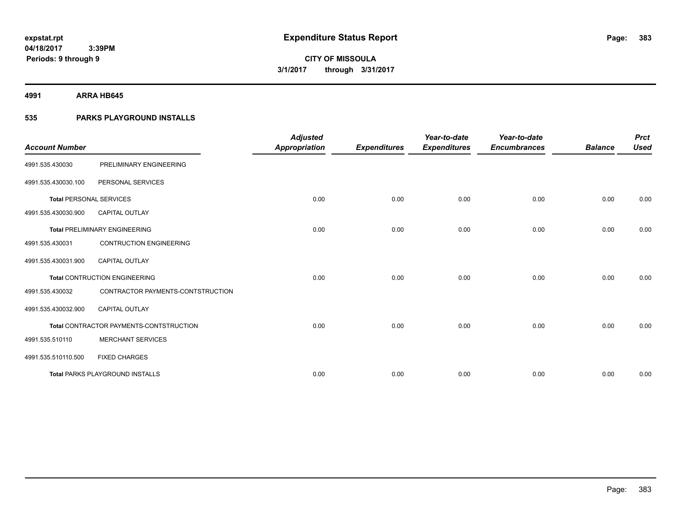**4991 ARRA HB645**

### **535 PARKS PLAYGROUND INSTALLS**

| <b>Account Number</b>          |                                         | <b>Adjusted</b><br><b>Appropriation</b> | <b>Expenditures</b> | Year-to-date<br><b>Expenditures</b> | Year-to-date<br><b>Encumbrances</b> | <b>Balance</b> | <b>Prct</b><br><b>Used</b> |
|--------------------------------|-----------------------------------------|-----------------------------------------|---------------------|-------------------------------------|-------------------------------------|----------------|----------------------------|
| 4991.535.430030                | PRELIMINARY ENGINEERING                 |                                         |                     |                                     |                                     |                |                            |
| 4991.535.430030.100            | PERSONAL SERVICES                       |                                         |                     |                                     |                                     |                |                            |
| <b>Total PERSONAL SERVICES</b> |                                         | 0.00                                    | 0.00                | 0.00                                | 0.00                                | 0.00           | 0.00                       |
| 4991.535.430030.900            | <b>CAPITAL OUTLAY</b>                   |                                         |                     |                                     |                                     |                |                            |
|                                | <b>Total PRELIMINARY ENGINEERING</b>    | 0.00                                    | 0.00                | 0.00                                | 0.00                                | 0.00           | 0.00                       |
| 4991.535.430031                | <b>CONTRUCTION ENGINEERING</b>          |                                         |                     |                                     |                                     |                |                            |
| 4991.535.430031.900            | <b>CAPITAL OUTLAY</b>                   |                                         |                     |                                     |                                     |                |                            |
|                                | <b>Total CONTRUCTION ENGINEERING</b>    | 0.00                                    | 0.00                | 0.00                                | 0.00                                | 0.00           | 0.00                       |
| 4991.535.430032                | CONTRACTOR PAYMENTS-CONTSTRUCTION       |                                         |                     |                                     |                                     |                |                            |
| 4991.535.430032.900            | <b>CAPITAL OUTLAY</b>                   |                                         |                     |                                     |                                     |                |                            |
|                                | Total CONTRACTOR PAYMENTS-CONTSTRUCTION | 0.00                                    | 0.00                | 0.00                                | 0.00                                | 0.00           | 0.00                       |
| 4991.535.510110                | <b>MERCHANT SERVICES</b>                |                                         |                     |                                     |                                     |                |                            |
| 4991.535.510110.500            | <b>FIXED CHARGES</b>                    |                                         |                     |                                     |                                     |                |                            |
|                                | <b>Total PARKS PLAYGROUND INSTALLS</b>  | 0.00                                    | 0.00                | 0.00                                | 0.00                                | 0.00           | 0.00                       |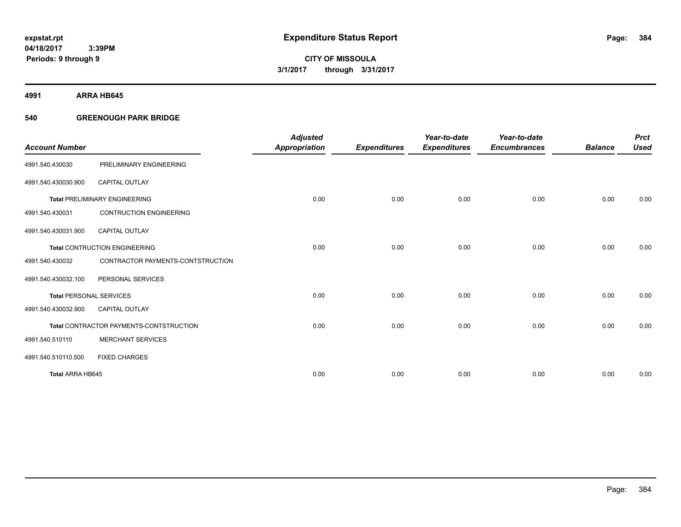**Periods: 9 through 9**

**CITY OF MISSOULA 3/1/2017 through 3/31/2017**

**4991 ARRA HB645**

### **540 GREENOUGH PARK BRIDGE**

 **3:39PM**

| <b>Account Number</b>          |                                         | <b>Adjusted</b><br><b>Appropriation</b> | <b>Expenditures</b> | Year-to-date<br><b>Expenditures</b> | Year-to-date<br><b>Encumbrances</b> | <b>Balance</b> | <b>Prct</b><br><b>Used</b> |
|--------------------------------|-----------------------------------------|-----------------------------------------|---------------------|-------------------------------------|-------------------------------------|----------------|----------------------------|
|                                |                                         |                                         |                     |                                     |                                     |                |                            |
| 4991.540.430030                | PRELIMINARY ENGINEERING                 |                                         |                     |                                     |                                     |                |                            |
| 4991.540.430030.900            | <b>CAPITAL OUTLAY</b>                   |                                         |                     |                                     |                                     |                |                            |
|                                | <b>Total PRELIMINARY ENGINEERING</b>    | 0.00                                    | 0.00                | 0.00                                | 0.00                                | 0.00           | 0.00                       |
| 4991.540.430031                | <b>CONTRUCTION ENGINEERING</b>          |                                         |                     |                                     |                                     |                |                            |
| 4991.540.430031.900            | <b>CAPITAL OUTLAY</b>                   |                                         |                     |                                     |                                     |                |                            |
|                                | <b>Total CONTRUCTION ENGINEERING</b>    | 0.00                                    | 0.00                | 0.00                                | 0.00                                | 0.00           | 0.00                       |
| 4991.540.430032                | CONTRACTOR PAYMENTS-CONTSTRUCTION       |                                         |                     |                                     |                                     |                |                            |
| 4991.540.430032.100            | PERSONAL SERVICES                       |                                         |                     |                                     |                                     |                |                            |
| <b>Total PERSONAL SERVICES</b> |                                         | 0.00                                    | 0.00                | 0.00                                | 0.00                                | 0.00           | 0.00                       |
| 4991.540.430032.900            | <b>CAPITAL OUTLAY</b>                   |                                         |                     |                                     |                                     |                |                            |
|                                | Total CONTRACTOR PAYMENTS-CONTSTRUCTION | 0.00                                    | 0.00                | 0.00                                | 0.00                                | 0.00           | 0.00                       |
| 4991.540.510110                | <b>MERCHANT SERVICES</b>                |                                         |                     |                                     |                                     |                |                            |
| 4991.540.510110.500            | <b>FIXED CHARGES</b>                    |                                         |                     |                                     |                                     |                |                            |
| Total ARRA HB645               |                                         | 0.00                                    | 0.00                | 0.00                                | 0.00                                | 0.00           | 0.00                       |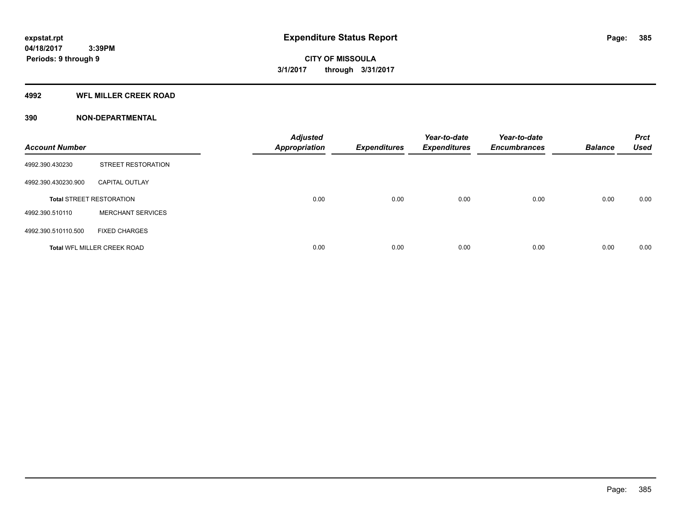#### **4992 WFL MILLER CREEK ROAD**

| <b>Account Number</b> |                                    | <b>Adjusted</b><br>Appropriation | <b>Expenditures</b> | Year-to-date<br><b>Expenditures</b> | Year-to-date<br><b>Encumbrances</b> | <b>Balance</b> | <b>Prct</b><br><b>Used</b> |
|-----------------------|------------------------------------|----------------------------------|---------------------|-------------------------------------|-------------------------------------|----------------|----------------------------|
| 4992.390.430230       | STREET RESTORATION                 |                                  |                     |                                     |                                     |                |                            |
| 4992.390.430230.900   | <b>CAPITAL OUTLAY</b>              |                                  |                     |                                     |                                     |                |                            |
|                       | <b>Total STREET RESTORATION</b>    | 0.00                             | 0.00                | 0.00                                | 0.00                                | 0.00           | 0.00                       |
| 4992.390.510110       | <b>MERCHANT SERVICES</b>           |                                  |                     |                                     |                                     |                |                            |
| 4992.390.510110.500   | <b>FIXED CHARGES</b>               |                                  |                     |                                     |                                     |                |                            |
|                       | <b>Total WFL MILLER CREEK ROAD</b> | 0.00                             | 0.00                | 0.00                                | 0.00                                | 0.00           | 0.00                       |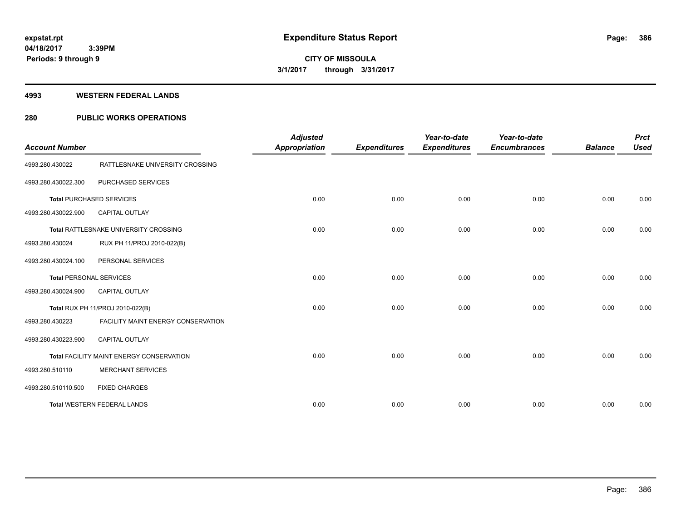#### **4993 WESTERN FEDERAL LANDS**

### **280 PUBLIC WORKS OPERATIONS**

| <b>Account Number</b>          |                                          | <b>Adjusted</b><br><b>Appropriation</b> | <b>Expenditures</b> | Year-to-date<br><b>Expenditures</b> | Year-to-date<br><b>Encumbrances</b> | <b>Balance</b> | <b>Prct</b><br><b>Used</b> |
|--------------------------------|------------------------------------------|-----------------------------------------|---------------------|-------------------------------------|-------------------------------------|----------------|----------------------------|
| 4993.280.430022                | RATTLESNAKE UNIVERSITY CROSSING          |                                         |                     |                                     |                                     |                |                            |
| 4993.280.430022.300            | PURCHASED SERVICES                       |                                         |                     |                                     |                                     |                |                            |
|                                | <b>Total PURCHASED SERVICES</b>          | 0.00                                    | 0.00                | 0.00                                | 0.00                                | 0.00           | 0.00                       |
| 4993.280.430022.900            | <b>CAPITAL OUTLAY</b>                    |                                         |                     |                                     |                                     |                |                            |
|                                | Total RATTLESNAKE UNIVERSITY CROSSING    | 0.00                                    | 0.00                | 0.00                                | 0.00                                | 0.00           | 0.00                       |
| 4993.280.430024                | RUX PH 11/PROJ 2010-022(B)               |                                         |                     |                                     |                                     |                |                            |
| 4993.280.430024.100            | PERSONAL SERVICES                        |                                         |                     |                                     |                                     |                |                            |
| <b>Total PERSONAL SERVICES</b> |                                          | 0.00                                    | 0.00                | 0.00                                | 0.00                                | 0.00           | 0.00                       |
| 4993.280.430024.900            | <b>CAPITAL OUTLAY</b>                    |                                         |                     |                                     |                                     |                |                            |
|                                | Total RUX PH 11/PROJ 2010-022(B)         | 0.00                                    | 0.00                | 0.00                                | 0.00                                | 0.00           | 0.00                       |
| 4993.280.430223                | FACILITY MAINT ENERGY CONSERVATION       |                                         |                     |                                     |                                     |                |                            |
| 4993.280.430223.900            | <b>CAPITAL OUTLAY</b>                    |                                         |                     |                                     |                                     |                |                            |
|                                | Total FACILITY MAINT ENERGY CONSERVATION | 0.00                                    | 0.00                | 0.00                                | 0.00                                | 0.00           | 0.00                       |
| 4993.280.510110                | <b>MERCHANT SERVICES</b>                 |                                         |                     |                                     |                                     |                |                            |
| 4993.280.510110.500            | <b>FIXED CHARGES</b>                     |                                         |                     |                                     |                                     |                |                            |
|                                | <b>Total WESTERN FEDERAL LANDS</b>       | 0.00                                    | 0.00                | 0.00                                | 0.00                                | 0.00           | 0.00                       |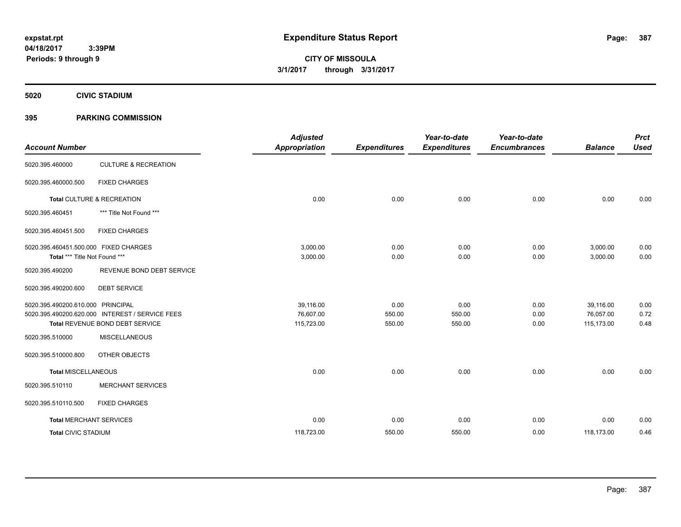**CITY OF MISSOULA 3/1/2017 through 3/31/2017**

**5020 CIVIC STADIUM**

### **395 PARKING COMMISSION**

| <b>Account Number</b>                                                  |                                                                                    | <b>Adjusted</b><br><b>Appropriation</b> | <b>Expenditures</b>      | Year-to-date<br><b>Expenditures</b> | Year-to-date<br><b>Encumbrances</b> | <b>Balance</b>                       | <b>Prct</b><br><b>Used</b> |
|------------------------------------------------------------------------|------------------------------------------------------------------------------------|-----------------------------------------|--------------------------|-------------------------------------|-------------------------------------|--------------------------------------|----------------------------|
| 5020.395.460000                                                        | <b>CULTURE &amp; RECREATION</b>                                                    |                                         |                          |                                     |                                     |                                      |                            |
| 5020.395.460000.500                                                    | <b>FIXED CHARGES</b>                                                               |                                         |                          |                                     |                                     |                                      |                            |
|                                                                        | Total CULTURE & RECREATION                                                         | 0.00                                    | 0.00                     | 0.00                                | 0.00                                | 0.00                                 | 0.00                       |
| 5020.395.460451                                                        | *** Title Not Found ***                                                            |                                         |                          |                                     |                                     |                                      |                            |
| 5020.395.460451.500                                                    | <b>FIXED CHARGES</b>                                                               |                                         |                          |                                     |                                     |                                      |                            |
| 5020.395.460451.500.000 FIXED CHARGES<br>Total *** Title Not Found *** |                                                                                    | 3,000.00<br>3,000.00                    | 0.00<br>0.00             | 0.00<br>0.00                        | 0.00<br>0.00                        | 3,000.00<br>3,000.00                 | 0.00<br>0.00               |
| 5020.395.490200                                                        | REVENUE BOND DEBT SERVICE                                                          |                                         |                          |                                     |                                     |                                      |                            |
| 5020.395.490200.600                                                    | <b>DEBT SERVICE</b>                                                                |                                         |                          |                                     |                                     |                                      |                            |
| 5020.395.490200.610.000 PRINCIPAL                                      | 5020.395.490200.620.000 INTEREST / SERVICE FEES<br>Total REVENUE BOND DEBT SERVICE | 39,116.00<br>76,607.00<br>115,723.00    | 0.00<br>550.00<br>550.00 | 0.00<br>550.00<br>550.00            | 0.00<br>0.00<br>0.00                | 39.116.00<br>76,057.00<br>115,173.00 | 0.00<br>0.72<br>0.48       |
| 5020.395.510000                                                        | <b>MISCELLANEOUS</b>                                                               |                                         |                          |                                     |                                     |                                      |                            |
| 5020.395.510000.800                                                    | OTHER OBJECTS                                                                      |                                         |                          |                                     |                                     |                                      |                            |
| <b>Total MISCELLANEOUS</b>                                             |                                                                                    | 0.00                                    | 0.00                     | 0.00                                | 0.00                                | 0.00                                 | 0.00                       |
| 5020.395.510110                                                        | <b>MERCHANT SERVICES</b>                                                           |                                         |                          |                                     |                                     |                                      |                            |
| 5020.395.510110.500                                                    | <b>FIXED CHARGES</b>                                                               |                                         |                          |                                     |                                     |                                      |                            |
| <b>Total MERCHANT SERVICES</b>                                         |                                                                                    | 0.00                                    | 0.00                     | 0.00                                | 0.00                                | 0.00                                 | 0.00                       |
| <b>Total CIVIC STADIUM</b>                                             |                                                                                    | 118,723.00                              | 550.00                   | 550.00                              | 0.00                                | 118,173.00                           | 0.46                       |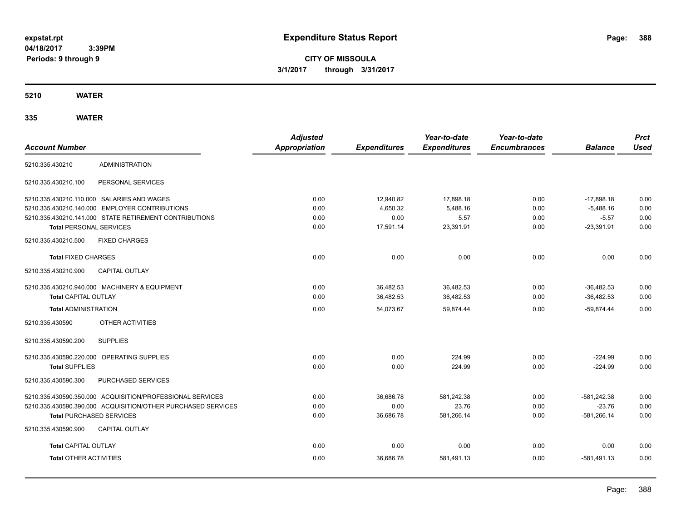**CITY OF MISSOULA 3/1/2017 through 3/31/2017**

**5210 WATER**

| <b>Account Number</b>                                        | <b>Adjusted</b><br><b>Appropriation</b> | <b>Expenditures</b> | Year-to-date<br><b>Expenditures</b> | Year-to-date<br><b>Encumbrances</b> | <b>Balance</b> | <b>Prct</b><br><b>Used</b> |
|--------------------------------------------------------------|-----------------------------------------|---------------------|-------------------------------------|-------------------------------------|----------------|----------------------------|
| <b>ADMINISTRATION</b><br>5210.335.430210                     |                                         |                     |                                     |                                     |                |                            |
| 5210.335.430210.100<br>PERSONAL SERVICES                     |                                         |                     |                                     |                                     |                |                            |
| 5210.335.430210.110.000 SALARIES AND WAGES                   | 0.00                                    | 12,940.82           | 17,898.18                           | 0.00                                | $-17,898.18$   | 0.00                       |
| 5210.335.430210.140.000 EMPLOYER CONTRIBUTIONS               | 0.00                                    | 4,650.32            | 5,488.16                            | 0.00                                | $-5,488.16$    | 0.00                       |
| 5210.335.430210.141.000 STATE RETIREMENT CONTRIBUTIONS       | 0.00                                    | 0.00                | 5.57                                | 0.00                                | $-5.57$        | 0.00                       |
| <b>Total PERSONAL SERVICES</b>                               | 0.00                                    | 17,591.14           | 23,391.91                           | 0.00                                | $-23,391.91$   | 0.00                       |
| 5210.335.430210.500<br><b>FIXED CHARGES</b>                  |                                         |                     |                                     |                                     |                |                            |
| <b>Total FIXED CHARGES</b>                                   | 0.00                                    | 0.00                | 0.00                                | 0.00                                | 0.00           | 0.00                       |
| 5210.335.430210.900<br><b>CAPITAL OUTLAY</b>                 |                                         |                     |                                     |                                     |                |                            |
| 5210.335.430210.940.000 MACHINERY & EQUIPMENT                | 0.00                                    | 36,482.53           | 36.482.53                           | 0.00                                | $-36.482.53$   | 0.00                       |
| <b>Total CAPITAL OUTLAY</b>                                  | 0.00                                    | 36,482.53           | 36,482.53                           | 0.00                                | $-36,482.53$   | 0.00                       |
| <b>Total ADMINISTRATION</b>                                  | 0.00                                    | 54,073.67           | 59.874.44                           | 0.00                                | $-59.874.44$   | 0.00                       |
| OTHER ACTIVITIES<br>5210.335.430590                          |                                         |                     |                                     |                                     |                |                            |
| 5210.335.430590.200<br><b>SUPPLIES</b>                       |                                         |                     |                                     |                                     |                |                            |
| 5210.335.430590.220.000 OPERATING SUPPLIES                   | 0.00                                    | 0.00                | 224.99                              | 0.00                                | $-224.99$      | 0.00                       |
| <b>Total SUPPLIES</b>                                        | 0.00                                    | 0.00                | 224.99                              | 0.00                                | $-224.99$      | 0.00                       |
| 5210.335.430590.300<br>PURCHASED SERVICES                    |                                         |                     |                                     |                                     |                |                            |
| 5210.335.430590.350.000 ACQUISITION/PROFESSIONAL SERVICES    | 0.00                                    | 36,686.78           | 581,242.38                          | 0.00                                | $-581,242.38$  | 0.00                       |
| 5210.335.430590.390.000 ACQUISITION/OTHER PURCHASED SERVICES | 0.00                                    | 0.00                | 23.76                               | 0.00                                | $-23.76$       | 0.00                       |
| <b>Total PURCHASED SERVICES</b>                              | 0.00                                    | 36,686.78           | 581,266.14                          | 0.00                                | $-581,266.14$  | 0.00                       |
| <b>CAPITAL OUTLAY</b><br>5210.335.430590.900                 |                                         |                     |                                     |                                     |                |                            |
| <b>Total CAPITAL OUTLAY</b>                                  | 0.00                                    | 0.00                | 0.00                                | 0.00                                | 0.00           | 0.00                       |
| <b>Total OTHER ACTIVITIES</b>                                | 0.00                                    | 36,686.78           | 581,491.13                          | 0.00                                | $-581.491.13$  | 0.00                       |
|                                                              |                                         |                     |                                     |                                     |                |                            |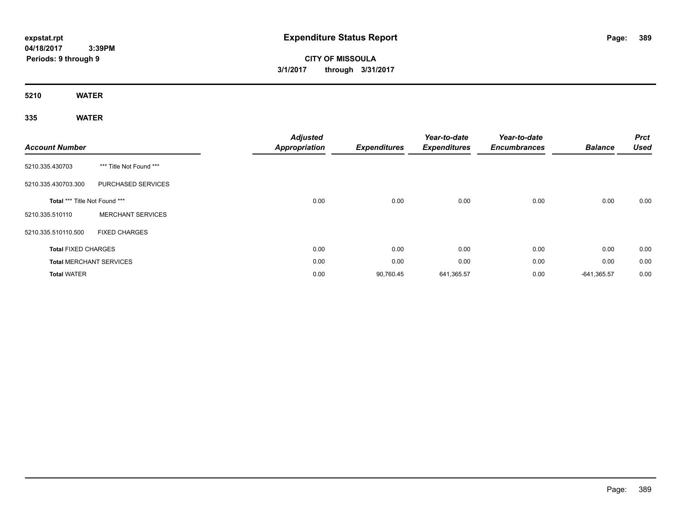# **CITY OF MISSOULA 3/1/2017 through 3/31/2017**

**5210 WATER**

| <b>Account Number</b>         |                                | <b>Adjusted</b><br><b>Appropriation</b> | <b>Expenditures</b> | Year-to-date<br><b>Expenditures</b> | Year-to-date<br><b>Encumbrances</b> | <b>Balance</b> | <b>Prct</b><br><b>Used</b> |
|-------------------------------|--------------------------------|-----------------------------------------|---------------------|-------------------------------------|-------------------------------------|----------------|----------------------------|
| 5210.335.430703               | *** Title Not Found ***        |                                         |                     |                                     |                                     |                |                            |
| 5210.335.430703.300           | PURCHASED SERVICES             |                                         |                     |                                     |                                     |                |                            |
| Total *** Title Not Found *** |                                | 0.00                                    | 0.00                | 0.00                                | 0.00                                | 0.00           | 0.00                       |
| 5210.335.510110               | <b>MERCHANT SERVICES</b>       |                                         |                     |                                     |                                     |                |                            |
| 5210.335.510110.500           | <b>FIXED CHARGES</b>           |                                         |                     |                                     |                                     |                |                            |
| <b>Total FIXED CHARGES</b>    |                                | 0.00                                    | 0.00                | 0.00                                | 0.00                                | 0.00           | 0.00                       |
|                               | <b>Total MERCHANT SERVICES</b> | 0.00                                    | 0.00                | 0.00                                | 0.00                                | 0.00           | 0.00                       |
| <b>Total WATER</b>            |                                | 0.00                                    | 90,760.45           | 641,365.57                          | 0.00                                | $-641,365.57$  | 0.00                       |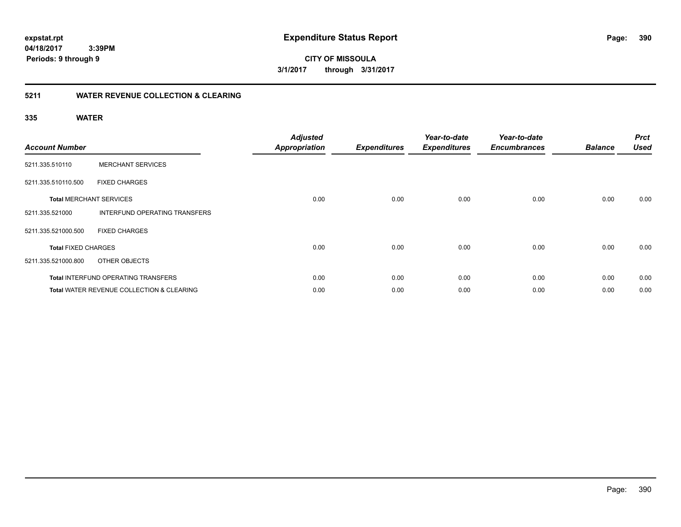**390**

**04/18/2017 3:39PM Periods: 9 through 9**

**CITY OF MISSOULA 3/1/2017 through 3/31/2017**

### **5211 WATER REVENUE COLLECTION & CLEARING**

| <b>Account Number</b>      |                                                      | <b>Adjusted</b><br><b>Appropriation</b> | <b>Expenditures</b> | Year-to-date<br><b>Expenditures</b> | Year-to-date<br><b>Encumbrances</b> | <b>Balance</b> | <b>Prct</b><br><b>Used</b> |
|----------------------------|------------------------------------------------------|-----------------------------------------|---------------------|-------------------------------------|-------------------------------------|----------------|----------------------------|
| 5211.335.510110            | <b>MERCHANT SERVICES</b>                             |                                         |                     |                                     |                                     |                |                            |
| 5211.335.510110.500        | <b>FIXED CHARGES</b>                                 |                                         |                     |                                     |                                     |                |                            |
|                            | <b>Total MERCHANT SERVICES</b>                       | 0.00                                    | 0.00                | 0.00                                | 0.00                                | 0.00           | 0.00                       |
| 5211.335.521000            | INTERFUND OPERATING TRANSFERS                        |                                         |                     |                                     |                                     |                |                            |
| 5211.335.521000.500        | <b>FIXED CHARGES</b>                                 |                                         |                     |                                     |                                     |                |                            |
| <b>Total FIXED CHARGES</b> |                                                      | 0.00                                    | 0.00                | 0.00                                | 0.00                                | 0.00           | 0.00                       |
| 5211.335.521000.800        | OTHER OBJECTS                                        |                                         |                     |                                     |                                     |                |                            |
|                            | <b>Total INTERFUND OPERATING TRANSFERS</b>           | 0.00                                    | 0.00                | 0.00                                | 0.00                                | 0.00           | 0.00                       |
|                            | <b>Total WATER REVENUE COLLECTION &amp; CLEARING</b> | 0.00                                    | 0.00                | 0.00                                | 0.00                                | 0.00           | 0.00                       |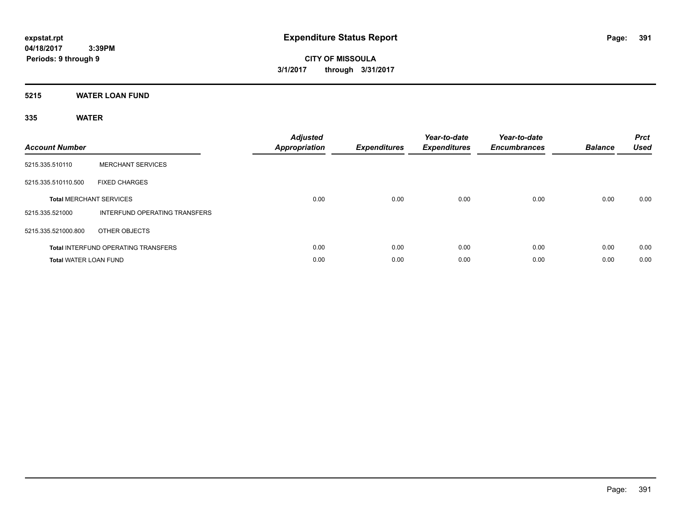**CITY OF MISSOULA 3/1/2017 through 3/31/2017**

### **5215 WATER LOAN FUND**

| <b>Account Number</b>        |                                            | <b>Adjusted</b><br><b>Appropriation</b> | <b>Expenditures</b> | Year-to-date<br><b>Expenditures</b> | Year-to-date<br><b>Encumbrances</b> | <b>Balance</b> | <b>Prct</b><br><b>Used</b> |
|------------------------------|--------------------------------------------|-----------------------------------------|---------------------|-------------------------------------|-------------------------------------|----------------|----------------------------|
| 5215.335.510110              | <b>MERCHANT SERVICES</b>                   |                                         |                     |                                     |                                     |                |                            |
| 5215.335.510110.500          | <b>FIXED CHARGES</b>                       |                                         |                     |                                     |                                     |                |                            |
|                              | <b>Total MERCHANT SERVICES</b>             | 0.00                                    | 0.00                | 0.00                                | 0.00                                | 0.00           | 0.00                       |
| 5215.335.521000              | <b>INTERFUND OPERATING TRANSFERS</b>       |                                         |                     |                                     |                                     |                |                            |
| 5215.335.521000.800          | OTHER OBJECTS                              |                                         |                     |                                     |                                     |                |                            |
|                              | <b>Total INTERFUND OPERATING TRANSFERS</b> | 0.00                                    | 0.00                | 0.00                                | 0.00                                | 0.00           | 0.00                       |
| <b>Total WATER LOAN FUND</b> |                                            | 0.00                                    | 0.00                | 0.00                                | 0.00                                | 0.00           | 0.00                       |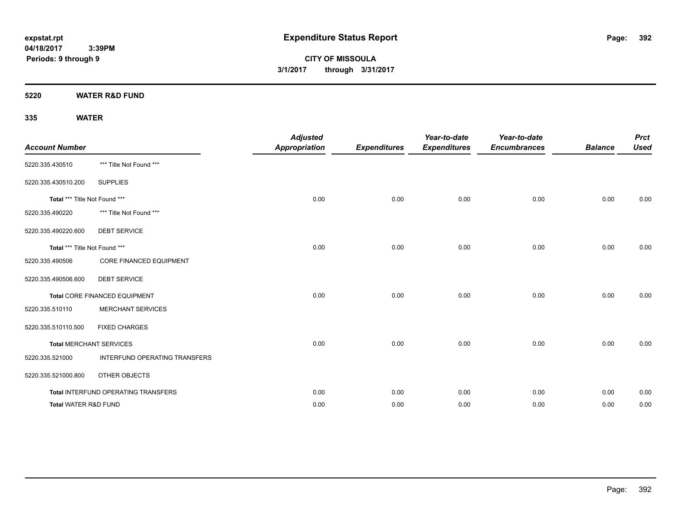**CITY OF MISSOULA 3/1/2017 through 3/31/2017**

**5220 WATER R&D FUND**

| <b>Account Number</b>         |                                     | <b>Adjusted</b><br><b>Appropriation</b> | <b>Expenditures</b> | Year-to-date<br><b>Expenditures</b> | Year-to-date<br><b>Encumbrances</b> | <b>Balance</b> | <b>Prct</b><br><b>Used</b> |
|-------------------------------|-------------------------------------|-----------------------------------------|---------------------|-------------------------------------|-------------------------------------|----------------|----------------------------|
| 5220.335.430510               | *** Title Not Found ***             |                                         |                     |                                     |                                     |                |                            |
| 5220.335.430510.200           | <b>SUPPLIES</b>                     |                                         |                     |                                     |                                     |                |                            |
| Total *** Title Not Found *** |                                     | 0.00                                    | 0.00                | 0.00                                | 0.00                                | 0.00           | 0.00                       |
| 5220.335.490220               | *** Title Not Found ***             |                                         |                     |                                     |                                     |                |                            |
| 5220.335.490220.600           | <b>DEBT SERVICE</b>                 |                                         |                     |                                     |                                     |                |                            |
| Total *** Title Not Found *** |                                     | 0.00                                    | 0.00                | 0.00                                | 0.00                                | 0.00           | 0.00                       |
| 5220.335.490506               | <b>CORE FINANCED EQUIPMENT</b>      |                                         |                     |                                     |                                     |                |                            |
| 5220.335.490506.600           | <b>DEBT SERVICE</b>                 |                                         |                     |                                     |                                     |                |                            |
|                               | Total CORE FINANCED EQUIPMENT       | 0.00                                    | 0.00                | 0.00                                | 0.00                                | 0.00           | 0.00                       |
| 5220.335.510110               | <b>MERCHANT SERVICES</b>            |                                         |                     |                                     |                                     |                |                            |
| 5220.335.510110.500           | <b>FIXED CHARGES</b>                |                                         |                     |                                     |                                     |                |                            |
|                               | <b>Total MERCHANT SERVICES</b>      | 0.00                                    | 0.00                | 0.00                                | 0.00                                | 0.00           | 0.00                       |
| 5220.335.521000               | INTERFUND OPERATING TRANSFERS       |                                         |                     |                                     |                                     |                |                            |
| 5220.335.521000.800           | OTHER OBJECTS                       |                                         |                     |                                     |                                     |                |                            |
|                               | Total INTERFUND OPERATING TRANSFERS | 0.00                                    | 0.00                | 0.00                                | 0.00                                | 0.00           | 0.00                       |
| Total WATER R&D FUND          |                                     | 0.00                                    | 0.00                | 0.00                                | 0.00                                | 0.00           | 0.00                       |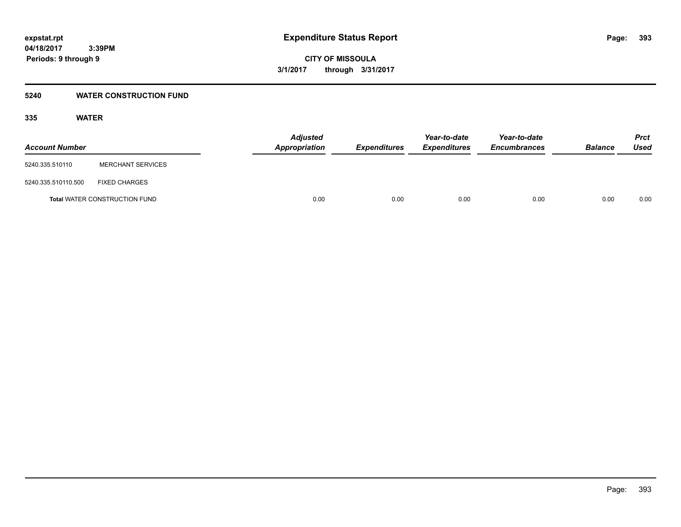### **5240 WATER CONSTRUCTION FUND**

| <b>Account Number</b> |                                      | <b>Adjusted</b><br>Appropriation | <b>Expenditures</b> | Year-to-date<br><b>Expenditures</b> | Year-to-date<br><b>Encumbrances</b> | <b>Balance</b> | Prct<br><b>Used</b> |
|-----------------------|--------------------------------------|----------------------------------|---------------------|-------------------------------------|-------------------------------------|----------------|---------------------|
| 5240.335.510110       | <b>MERCHANT SERVICES</b>             |                                  |                     |                                     |                                     |                |                     |
| 5240.335.510110.500   | <b>FIXED CHARGES</b>                 |                                  |                     |                                     |                                     |                |                     |
|                       | <b>Total WATER CONSTRUCTION FUND</b> |                                  | 0.00<br>0.00        | 0.00                                | 0.00                                | 0.00           | 0.00                |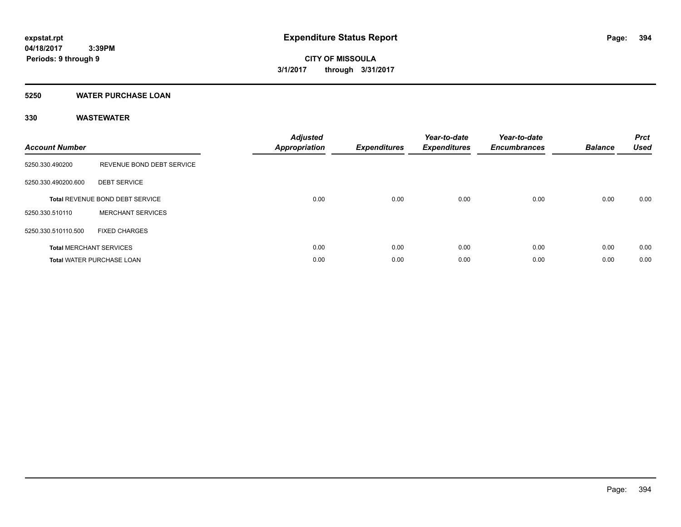### **5250 WATER PURCHASE LOAN**

### **330 WASTEWATER**

| <b>Account Number</b> |                                  | <b>Adjusted</b><br>Appropriation | <b>Expenditures</b> | Year-to-date<br><b>Expenditures</b> | Year-to-date<br><b>Encumbrances</b> | <b>Balance</b> | <b>Prct</b><br><b>Used</b> |
|-----------------------|----------------------------------|----------------------------------|---------------------|-------------------------------------|-------------------------------------|----------------|----------------------------|
| 5250.330.490200       | REVENUE BOND DEBT SERVICE        |                                  |                     |                                     |                                     |                |                            |
| 5250.330.490200.600   | <b>DEBT SERVICE</b>              |                                  |                     |                                     |                                     |                |                            |
|                       | Total REVENUE BOND DEBT SERVICE  | 0.00                             | 0.00                | 0.00                                | 0.00                                | 0.00           | 0.00                       |
| 5250.330.510110       | <b>MERCHANT SERVICES</b>         |                                  |                     |                                     |                                     |                |                            |
| 5250.330.510110.500   | <b>FIXED CHARGES</b>             |                                  |                     |                                     |                                     |                |                            |
|                       | <b>Total MERCHANT SERVICES</b>   | 0.00                             | 0.00                | 0.00                                | 0.00                                | 0.00           | 0.00                       |
|                       | <b>Total WATER PURCHASE LOAN</b> | 0.00                             | 0.00                | 0.00                                | 0.00                                | 0.00           | 0.00                       |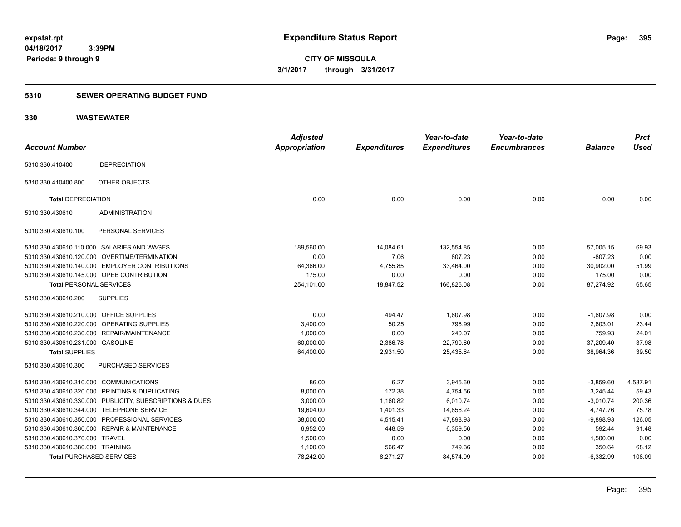**CITY OF MISSOULA 3/1/2017 through 3/31/2017**

### **5310 SEWER OPERATING BUDGET FUND**

### **330 WASTEWATER**

| <b>Account Number</b>                                   | <b>Adjusted</b><br><b>Appropriation</b> | <b>Expenditures</b> | Year-to-date<br><b>Expenditures</b> | Year-to-date<br><b>Encumbrances</b> | <b>Balance</b> | <b>Prct</b><br><b>Used</b> |
|---------------------------------------------------------|-----------------------------------------|---------------------|-------------------------------------|-------------------------------------|----------------|----------------------------|
| <b>DEPRECIATION</b><br>5310.330.410400                  |                                         |                     |                                     |                                     |                |                            |
| OTHER OBJECTS<br>5310.330.410400.800                    |                                         |                     |                                     |                                     |                |                            |
| <b>Total DEPRECIATION</b>                               | 0.00                                    | 0.00                | 0.00                                | 0.00                                | 0.00           | 0.00                       |
| <b>ADMINISTRATION</b><br>5310.330.430610                |                                         |                     |                                     |                                     |                |                            |
| PERSONAL SERVICES<br>5310.330.430610.100                |                                         |                     |                                     |                                     |                |                            |
| 5310.330.430610.110.000 SALARIES AND WAGES              | 189,560.00                              | 14,084.61           | 132,554.85                          | 0.00                                | 57,005.15      | 69.93                      |
| 5310.330.430610.120.000 OVERTIME/TERMINATION            | 0.00                                    | 7.06                | 807.23                              | 0.00                                | $-807.23$      | 0.00                       |
| 5310.330.430610.140.000 EMPLOYER CONTRIBUTIONS          | 64,366.00                               | 4,755.85            | 33,464.00                           | 0.00                                | 30,902.00      | 51.99                      |
| 5310.330.430610.145.000 OPEB CONTRIBUTION               | 175.00                                  | 0.00                | 0.00                                | 0.00                                | 175.00         | 0.00                       |
| <b>Total PERSONAL SERVICES</b>                          | 254,101.00                              | 18,847.52           | 166,826.08                          | 0.00                                | 87,274.92      | 65.65                      |
| 5310.330.430610.200<br><b>SUPPLIES</b>                  |                                         |                     |                                     |                                     |                |                            |
| 5310.330.430610.210.000 OFFICE SUPPLIES                 | 0.00                                    | 494.47              | 1,607.98                            | 0.00                                | $-1,607.98$    | 0.00                       |
| 5310.330.430610.220.000 OPERATING SUPPLIES              | 3,400.00                                | 50.25               | 796.99                              | 0.00                                | 2,603.01       | 23.44                      |
| 5310.330.430610.230.000 REPAIR/MAINTENANCE              | 1,000.00                                | 0.00                | 240.07                              | 0.00                                | 759.93         | 24.01                      |
| 5310.330.430610.231.000 GASOLINE                        | 60,000.00                               | 2,386.78            | 22,790.60                           | 0.00                                | 37,209.40      | 37.98                      |
| <b>Total SUPPLIES</b>                                   | 64,400.00                               | 2,931.50            | 25,435.64                           | 0.00                                | 38,964.36      | 39.50                      |
| PURCHASED SERVICES<br>5310.330.430610.300               |                                         |                     |                                     |                                     |                |                            |
| 5310.330.430610.310.000 COMMUNICATIONS                  | 86.00                                   | 6.27                | 3,945.60                            | 0.00                                | $-3,859.60$    | 4,587.91                   |
| 5310.330.430610.320.000 PRINTING & DUPLICATING          | 8,000.00                                | 172.38              | 4,754.56                            | 0.00                                | 3,245.44       | 59.43                      |
| 5310.330.430610.330.000 PUBLICITY, SUBSCRIPTIONS & DUES | 3,000.00                                | 1,160.82            | 6,010.74                            | 0.00                                | $-3,010.74$    | 200.36                     |
| 5310.330.430610.344.000 TELEPHONE SERVICE               | 19,604.00                               | 1,401.33            | 14,856.24                           | 0.00                                | 4,747.76       | 75.78                      |
| 5310.330.430610.350.000 PROFESSIONAL SERVICES           | 38,000.00                               | 4,515.41            | 47,898.93                           | 0.00                                | $-9,898.93$    | 126.05                     |
| 5310.330.430610.360.000 REPAIR & MAINTENANCE            | 6,952.00                                | 448.59              | 6,359.56                            | 0.00                                | 592.44         | 91.48                      |
| 5310.330.430610.370.000 TRAVEL                          | 1,500.00                                | 0.00                | 0.00                                | 0.00                                | 1,500.00       | 0.00                       |
| 5310.330.430610.380.000 TRAINING                        | 1,100.00                                | 566.47              | 749.36                              | 0.00                                | 350.64         | 68.12                      |
| <b>Total PURCHASED SERVICES</b>                         | 78,242.00                               | 8,271.27            | 84,574.99                           | 0.00                                | $-6,332.99$    | 108.09                     |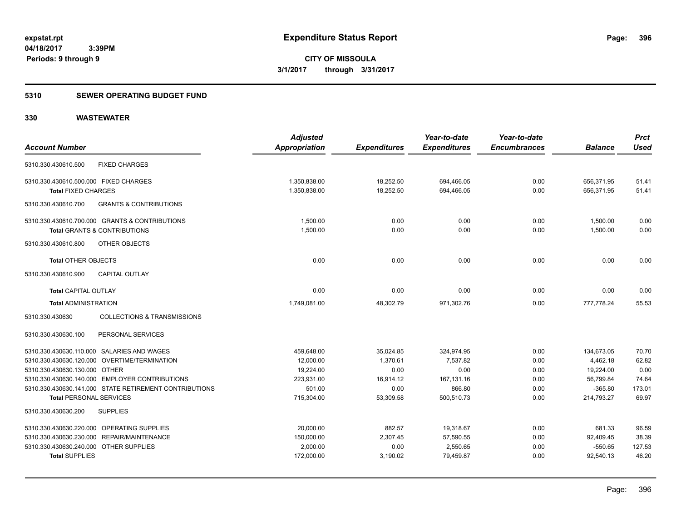### **5310 SEWER OPERATING BUDGET FUND**

### **330 WASTEWATER**

|                                        |                                                        | <b>Adjusted</b>      |                     | Year-to-date        | Year-to-date        |                | <b>Prct</b> |
|----------------------------------------|--------------------------------------------------------|----------------------|---------------------|---------------------|---------------------|----------------|-------------|
| <b>Account Number</b>                  |                                                        | <b>Appropriation</b> | <b>Expenditures</b> | <b>Expenditures</b> | <b>Encumbrances</b> | <b>Balance</b> | <b>Used</b> |
| 5310.330.430610.500                    | <b>FIXED CHARGES</b>                                   |                      |                     |                     |                     |                |             |
| 5310.330.430610.500.000 FIXED CHARGES  |                                                        | 1,350,838.00         | 18,252.50           | 694,466.05          | 0.00                | 656,371.95     | 51.41       |
| <b>Total FIXED CHARGES</b>             |                                                        | 1,350,838.00         | 18,252.50           | 694,466.05          | 0.00                | 656,371.95     | 51.41       |
| 5310.330.430610.700                    | <b>GRANTS &amp; CONTRIBUTIONS</b>                      |                      |                     |                     |                     |                |             |
|                                        | 5310.330.430610.700.000 GRANTS & CONTRIBUTIONS         | 1,500.00             | 0.00                | 0.00                | 0.00                | 1,500.00       | 0.00        |
|                                        | <b>Total GRANTS &amp; CONTRIBUTIONS</b>                | 1,500.00             | 0.00                | 0.00                | 0.00                | 1,500.00       | 0.00        |
| 5310.330.430610.800                    | OTHER OBJECTS                                          |                      |                     |                     |                     |                |             |
| <b>Total OTHER OBJECTS</b>             |                                                        | 0.00                 | 0.00                | 0.00                | 0.00                | 0.00           | 0.00        |
| 5310.330.430610.900                    | <b>CAPITAL OUTLAY</b>                                  |                      |                     |                     |                     |                |             |
| <b>Total CAPITAL OUTLAY</b>            |                                                        | 0.00                 | 0.00                | 0.00                | 0.00                | 0.00           | 0.00        |
| <b>Total ADMINISTRATION</b>            |                                                        | 1,749,081.00         | 48,302.79           | 971,302.76          | 0.00                | 777,778.24     | 55.53       |
| 5310.330.430630                        | <b>COLLECTIONS &amp; TRANSMISSIONS</b>                 |                      |                     |                     |                     |                |             |
| 5310.330.430630.100                    | PERSONAL SERVICES                                      |                      |                     |                     |                     |                |             |
|                                        | 5310.330.430630.110.000 SALARIES AND WAGES             | 459,648.00           | 35,024.85           | 324,974.95          | 0.00                | 134,673.05     | 70.70       |
|                                        | 5310.330.430630.120.000 OVERTIME/TERMINATION           | 12,000.00            | 1,370.61            | 7,537.82            | 0.00                | 4,462.18       | 62.82       |
| 5310.330.430630.130.000 OTHER          |                                                        | 19,224.00            | 0.00                | 0.00                | 0.00                | 19,224.00      | 0.00        |
|                                        | 5310.330.430630.140.000 EMPLOYER CONTRIBUTIONS         | 223.931.00           | 16.914.12           | 167,131.16          | 0.00                | 56,799.84      | 74.64       |
|                                        | 5310.330.430630.141.000 STATE RETIREMENT CONTRIBUTIONS | 501.00               | 0.00                | 866.80              | 0.00                | $-365.80$      | 173.01      |
| <b>Total PERSONAL SERVICES</b>         |                                                        | 715,304.00           | 53,309.58           | 500,510.73          | 0.00                | 214,793.27     | 69.97       |
| 5310.330.430630.200                    | <b>SUPPLIES</b>                                        |                      |                     |                     |                     |                |             |
|                                        | 5310.330.430630.220.000 OPERATING SUPPLIES             | 20.000.00            | 882.57              | 19,318.67           | 0.00                | 681.33         | 96.59       |
|                                        | 5310.330.430630.230.000 REPAIR/MAINTENANCE             | 150,000.00           | 2,307.45            | 57,590.55           | 0.00                | 92,409.45      | 38.39       |
| 5310.330.430630.240.000 OTHER SUPPLIES |                                                        | 2,000.00             | 0.00                | 2,550.65            | 0.00                | $-550.65$      | 127.53      |
| <b>Total SUPPLIES</b>                  |                                                        | 172,000.00           | 3,190.02            | 79.459.87           | 0.00                | 92.540.13      | 46.20       |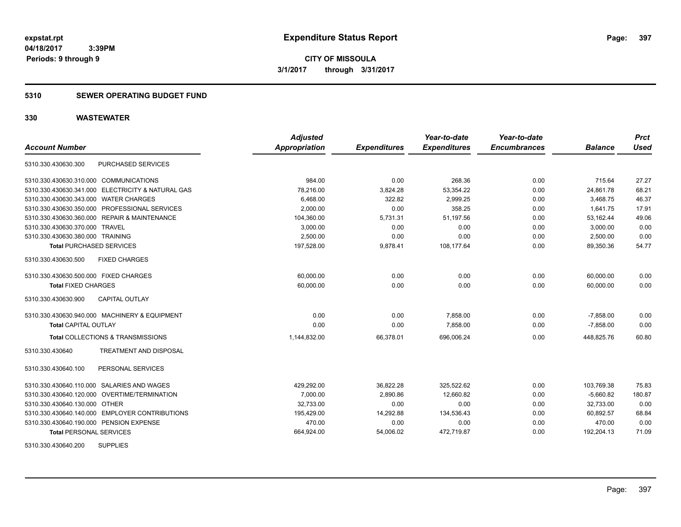# **5310 SEWER OPERATING BUDGET FUND**

| <b>Account Number</b>                   |                                                   | <b>Adjusted</b><br>Appropriation | <b>Expenditures</b> | Year-to-date<br><b>Expenditures</b> | Year-to-date<br><b>Encumbrances</b> | <b>Balance</b> | <b>Prct</b><br><b>Used</b> |
|-----------------------------------------|---------------------------------------------------|----------------------------------|---------------------|-------------------------------------|-------------------------------------|----------------|----------------------------|
| 5310.330.430630.300                     | PURCHASED SERVICES                                |                                  |                     |                                     |                                     |                |                            |
| 5310.330.430630.310.000 COMMUNICATIONS  |                                                   | 984.00                           | 0.00                | 268.36                              | 0.00                                | 715.64         | 27.27                      |
|                                         | 5310.330.430630.341.000 ELECTRICITY & NATURAL GAS | 78,216.00                        | 3,824.28            | 53,354.22                           | 0.00                                | 24,861.78      | 68.21                      |
| 5310.330.430630.343.000 WATER CHARGES   |                                                   | 6,468.00                         | 322.82              | 2,999.25                            | 0.00                                | 3,468.75       | 46.37                      |
|                                         | 5310.330.430630.350.000 PROFESSIONAL SERVICES     | 2,000.00                         | 0.00                | 358.25                              | 0.00                                | 1,641.75       | 17.91                      |
|                                         | 5310.330.430630.360.000 REPAIR & MAINTENANCE      | 104,360.00                       | 5,731.31            | 51,197.56                           | 0.00                                | 53,162.44      | 49.06                      |
| 5310.330.430630.370.000 TRAVEL          |                                                   | 3,000.00                         | 0.00                | 0.00                                | 0.00                                | 3,000.00       | 0.00                       |
| 5310.330.430630.380.000 TRAINING        |                                                   | 2,500.00                         | 0.00                | 0.00                                | 0.00                                | 2,500.00       | 0.00                       |
| <b>Total PURCHASED SERVICES</b>         |                                                   | 197,528.00                       | 9,878.41            | 108,177.64                          | 0.00                                | 89,350.36      | 54.77                      |
| 5310.330.430630.500                     | <b>FIXED CHARGES</b>                              |                                  |                     |                                     |                                     |                |                            |
| 5310.330.430630.500.000 FIXED CHARGES   |                                                   | 60,000.00                        | 0.00                | 0.00                                | 0.00                                | 60,000.00      | 0.00                       |
| <b>Total FIXED CHARGES</b>              |                                                   | 60,000.00                        | 0.00                | 0.00                                | 0.00                                | 60,000.00      | 0.00                       |
| 5310.330.430630.900                     | <b>CAPITAL OUTLAY</b>                             |                                  |                     |                                     |                                     |                |                            |
|                                         | 5310.330.430630.940.000 MACHINERY & EQUIPMENT     | 0.00                             | 0.00                | 7,858.00                            | 0.00                                | $-7,858.00$    | 0.00                       |
| <b>Total CAPITAL OUTLAY</b>             |                                                   | 0.00                             | 0.00                | 7,858.00                            | 0.00                                | $-7,858.00$    | 0.00                       |
|                                         | Total COLLECTIONS & TRANSMISSIONS                 | 1,144,832.00                     | 66,378.01           | 696,006.24                          | 0.00                                | 448,825.76     | 60.80                      |
| 5310.330.430640                         | <b>TREATMENT AND DISPOSAL</b>                     |                                  |                     |                                     |                                     |                |                            |
| 5310.330.430640.100                     | PERSONAL SERVICES                                 |                                  |                     |                                     |                                     |                |                            |
|                                         | 5310.330.430640.110.000 SALARIES AND WAGES        | 429,292.00                       | 36,822.28           | 325.522.62                          | 0.00                                | 103.769.38     | 75.83                      |
|                                         | 5310.330.430640.120.000 OVERTIME/TERMINATION      | 7,000.00                         | 2,890.86            | 12,660.82                           | 0.00                                | $-5,660.82$    | 180.87                     |
| 5310.330.430640.130.000 OTHER           |                                                   | 32,733.00                        | 0.00                | 0.00                                | 0.00                                | 32,733.00      | 0.00                       |
|                                         | 5310.330.430640.140.000 EMPLOYER CONTRIBUTIONS    | 195,429.00                       | 14,292.88           | 134,536.43                          | 0.00                                | 60,892.57      | 68.84                      |
| 5310.330.430640.190.000 PENSION EXPENSE |                                                   | 470.00                           | 0.00                | 0.00                                | 0.00                                | 470.00         | 0.00                       |
| <b>Total PERSONAL SERVICES</b>          |                                                   | 664,924.00                       | 54,006.02           | 472,719.87                          | 0.00                                | 192,204.13     | 71.09                      |
| 5310.330.430640.200                     | <b>SUPPLIES</b>                                   |                                  |                     |                                     |                                     |                |                            |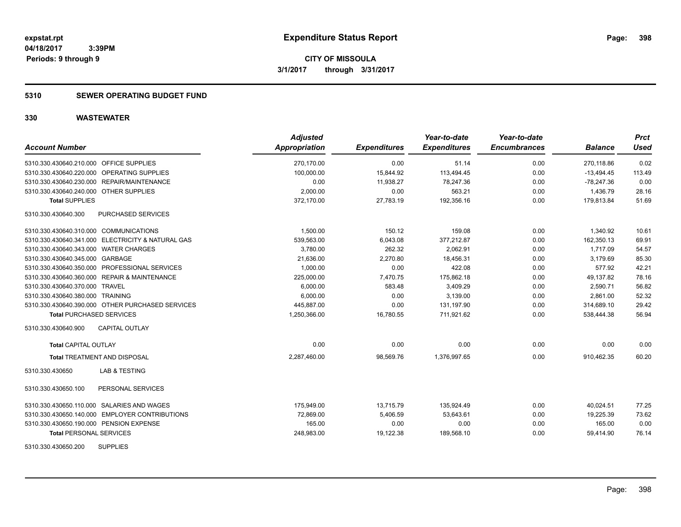## **5310 SEWER OPERATING BUDGET FUND**

| <b>Account Number</b>                             | <b>Adjusted</b><br><b>Appropriation</b> | <b>Expenditures</b> | Year-to-date<br><b>Expenditures</b> | Year-to-date<br><b>Encumbrances</b> | <b>Balance</b> | <b>Prct</b><br><b>Used</b> |
|---------------------------------------------------|-----------------------------------------|---------------------|-------------------------------------|-------------------------------------|----------------|----------------------------|
| 5310.330.430640.210.000 OFFICE SUPPLIES           | 270,170.00                              | 0.00                | 51.14                               | 0.00                                | 270,118.86     | 0.02                       |
| 5310.330.430640.220.000 OPERATING SUPPLIES        | 100.000.00                              | 15,844.92           | 113,494.45                          | 0.00                                | $-13,494.45$   | 113.49                     |
| 5310.330.430640.230.000 REPAIR/MAINTENANCE        | 0.00                                    | 11,938.27           | 78,247.36                           | 0.00                                | $-78,247.36$   | 0.00                       |
| 5310.330.430640.240.000 OTHER SUPPLIES            | 2,000.00                                | 0.00                | 563.21                              | 0.00                                | 1,436.79       | 28.16                      |
| <b>Total SUPPLIES</b>                             | 372,170.00                              | 27,783.19           | 192,356.16                          | 0.00                                | 179,813.84     | 51.69                      |
| 5310.330.430640.300<br>PURCHASED SERVICES         |                                         |                     |                                     |                                     |                |                            |
| 5310.330.430640.310.000 COMMUNICATIONS            | 1,500.00                                | 150.12              | 159.08                              | 0.00                                | 1,340.92       | 10.61                      |
| 5310.330.430640.341.000 ELECTRICITY & NATURAL GAS | 539,563.00                              | 6,043.08            | 377,212.87                          | 0.00                                | 162,350.13     | 69.91                      |
| 5310.330.430640.343.000 WATER CHARGES             | 3,780.00                                | 262.32              | 2,062.91                            | 0.00                                | 1,717.09       | 54.57                      |
| 5310.330.430640.345.000 GARBAGE                   | 21.636.00                               | 2,270.80            | 18,456.31                           | 0.00                                | 3.179.69       | 85.30                      |
| 5310.330.430640.350.000 PROFESSIONAL SERVICES     | 1,000.00                                | 0.00                | 422.08                              | 0.00                                | 577.92         | 42.21                      |
| 5310.330.430640.360.000 REPAIR & MAINTENANCE      | 225,000.00                              | 7,470.75            | 175,862.18                          | 0.00                                | 49,137.82      | 78.16                      |
| 5310.330.430640.370.000 TRAVEL                    | 6,000.00                                | 583.48              | 3,409.29                            | 0.00                                | 2,590.71       | 56.82                      |
| 5310.330.430640.380.000 TRAINING                  | 6,000.00                                | 0.00                | 3,139.00                            | 0.00                                | 2,861.00       | 52.32                      |
| 5310.330.430640.390.000 OTHER PURCHASED SERVICES  | 445,887.00                              | 0.00                | 131,197.90                          | 0.00                                | 314,689.10     | 29.42                      |
| <b>Total PURCHASED SERVICES</b>                   | 1,250,366.00                            | 16,780.55           | 711,921.62                          | 0.00                                | 538,444.38     | 56.94                      |
| CAPITAL OUTLAY<br>5310.330.430640.900             |                                         |                     |                                     |                                     |                |                            |
| <b>Total CAPITAL OUTLAY</b>                       | 0.00                                    | 0.00                | 0.00                                | 0.00                                | 0.00           | 0.00                       |
| <b>Total TREATMENT AND DISPOSAL</b>               | 2,287,460.00                            | 98,569.76           | 1,376,997.65                        | 0.00                                | 910.462.35     | 60.20                      |
| <b>LAB &amp; TESTING</b><br>5310.330.430650       |                                         |                     |                                     |                                     |                |                            |
| 5310.330.430650.100<br>PERSONAL SERVICES          |                                         |                     |                                     |                                     |                |                            |
| 5310.330.430650.110.000 SALARIES AND WAGES        | 175,949.00                              | 13,715.79           | 135,924.49                          | 0.00                                | 40.024.51      | 77.25                      |
| 5310.330.430650.140.000 EMPLOYER CONTRIBUTIONS    | 72,869.00                               | 5,406.59            | 53,643.61                           | 0.00                                | 19,225.39      | 73.62                      |
| 5310.330.430650.190.000 PENSION EXPENSE           | 165.00                                  | 0.00                | 0.00                                | 0.00                                | 165.00         | 0.00                       |
| <b>Total PERSONAL SERVICES</b>                    | 248,983.00                              | 19,122.38           | 189,568.10                          | 0.00                                | 59,414.90      | 76.14                      |
| <b>SUPPLIES</b><br>5310.330.430650.200            |                                         |                     |                                     |                                     |                |                            |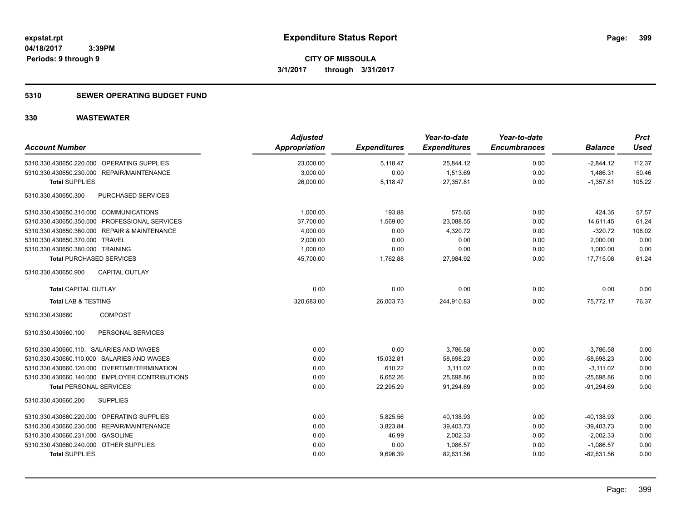## **5310 SEWER OPERATING BUDGET FUND**

| <b>Account Number</b>                          | <b>Adjusted</b><br><b>Appropriation</b> | <b>Expenditures</b> | Year-to-date<br><b>Expenditures</b> | Year-to-date<br><b>Encumbrances</b> | <b>Balance</b> | <b>Prct</b><br><b>Used</b> |
|------------------------------------------------|-----------------------------------------|---------------------|-------------------------------------|-------------------------------------|----------------|----------------------------|
| 5310.330.430650.220.000 OPERATING SUPPLIES     | 23,000.00                               | 5,118.47            | 25,844.12                           | 0.00                                | $-2,844.12$    | 112.37                     |
| 5310.330.430650.230.000 REPAIR/MAINTENANCE     | 3,000.00                                | 0.00                | 1,513.69                            | 0.00                                | 1,486.31       | 50.46                      |
| <b>Total SUPPLIES</b>                          | 26,000.00                               | 5,118.47            | 27,357.81                           | 0.00                                | $-1,357.81$    | 105.22                     |
| 5310.330.430650.300<br>PURCHASED SERVICES      |                                         |                     |                                     |                                     |                |                            |
| 5310.330.430650.310.000 COMMUNICATIONS         | 1,000.00                                | 193.88              | 575.65                              | 0.00                                | 424.35         | 57.57                      |
| 5310.330.430650.350.000 PROFESSIONAL SERVICES  | 37,700.00                               | 1,569.00            | 23,088.55                           | 0.00                                | 14,611.45      | 61.24                      |
| 5310.330.430650.360.000 REPAIR & MAINTENANCE   | 4,000.00                                | 0.00                | 4,320.72                            | 0.00                                | $-320.72$      | 108.02                     |
| 5310.330.430650.370.000 TRAVEL                 | 2,000.00                                | 0.00                | 0.00                                | 0.00                                | 2,000.00       | 0.00                       |
| 5310.330.430650.380.000 TRAINING               | 1,000.00                                | 0.00                | 0.00                                | 0.00                                | 1,000.00       | 0.00                       |
| <b>Total PURCHASED SERVICES</b>                | 45,700.00                               | 1,762.88            | 27,984.92                           | 0.00                                | 17.715.08      | 61.24                      |
| <b>CAPITAL OUTLAY</b><br>5310.330.430650.900   |                                         |                     |                                     |                                     |                |                            |
| <b>Total CAPITAL OUTLAY</b>                    | 0.00                                    | 0.00                | 0.00                                | 0.00                                | 0.00           | 0.00                       |
| <b>Total LAB &amp; TESTING</b>                 | 320,683.00                              | 26,003.73           | 244,910.83                          | 0.00                                | 75,772.17      | 76.37                      |
| 5310.330.430660<br><b>COMPOST</b>              |                                         |                     |                                     |                                     |                |                            |
| PERSONAL SERVICES<br>5310.330.430660.100       |                                         |                     |                                     |                                     |                |                            |
| 5310.330.430660.110. SALARIES AND WAGES        | 0.00                                    | 0.00                | 3,786.58                            | 0.00                                | $-3,786.58$    | 0.00                       |
| 5310.330.430660.110.000 SALARIES AND WAGES     | 0.00                                    | 15,032.81           | 58,698.23                           | 0.00                                | $-58,698.23$   | 0.00                       |
| 5310.330.430660.120.000 OVERTIME/TERMINATION   | 0.00                                    | 610.22              | 3.111.02                            | 0.00                                | $-3.111.02$    | 0.00                       |
| 5310.330.430660.140.000 EMPLOYER CONTRIBUTIONS | 0.00                                    | 6,652.26            | 25,698.86                           | 0.00                                | $-25,698.86$   | 0.00                       |
| <b>Total PERSONAL SERVICES</b>                 | 0.00                                    | 22,295.29           | 91,294.69                           | 0.00                                | $-91,294.69$   | 0.00                       |
| 5310.330.430660.200<br><b>SUPPLIES</b>         |                                         |                     |                                     |                                     |                |                            |
| 5310.330.430660.220.000 OPERATING SUPPLIES     | 0.00                                    | 5,825.56            | 40,138.93                           | 0.00                                | $-40,138.93$   | 0.00                       |
| 5310.330.430660.230.000 REPAIR/MAINTENANCE     | 0.00                                    | 3,823.84            | 39,403.73                           | 0.00                                | $-39,403.73$   | 0.00                       |
| 5310.330.430660.231.000 GASOLINE               | 0.00                                    | 46.99               | 2,002.33                            | 0.00                                | $-2,002.33$    | 0.00                       |
| 5310.330.430660.240.000 OTHER SUPPLIES         | 0.00                                    | 0.00                | 1,086.57                            | 0.00                                | $-1,086.57$    | 0.00                       |
| <b>Total SUPPLIES</b>                          | 0.00                                    | 9,696.39            | 82,631.56                           | 0.00                                | $-82,631.56$   | 0.00                       |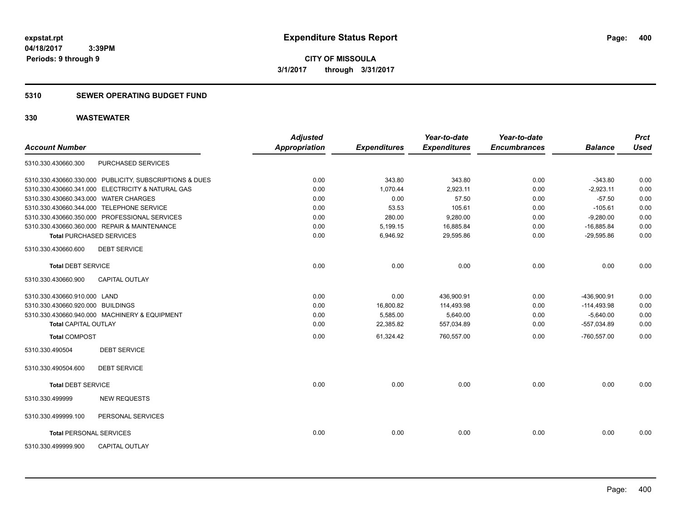**CITY OF MISSOULA 3/1/2017 through 3/31/2017**

### **5310 SEWER OPERATING BUDGET FUND**

| <b>Account Number</b>                 |                                                         | <b>Adjusted</b><br><b>Appropriation</b> | <b>Expenditures</b> | Year-to-date<br><b>Expenditures</b> | Year-to-date<br><b>Encumbrances</b> | <b>Balance</b> | <b>Prct</b><br><b>Used</b> |
|---------------------------------------|---------------------------------------------------------|-----------------------------------------|---------------------|-------------------------------------|-------------------------------------|----------------|----------------------------|
| 5310.330.430660.300                   | <b>PURCHASED SERVICES</b>                               |                                         |                     |                                     |                                     |                |                            |
|                                       | 5310.330.430660.330.000 PUBLICITY, SUBSCRIPTIONS & DUES | 0.00                                    | 343.80              | 343.80                              | 0.00                                | $-343.80$      | 0.00                       |
|                                       | 5310.330.430660.341.000 ELECTRICITY & NATURAL GAS       | 0.00                                    | 1.070.44            | 2,923.11                            | 0.00                                | $-2,923.11$    | 0.00                       |
| 5310.330.430660.343.000 WATER CHARGES |                                                         | 0.00                                    | 0.00                | 57.50                               | 0.00                                | $-57.50$       | 0.00                       |
|                                       | 5310.330.430660.344.000 TELEPHONE SERVICE               | 0.00                                    | 53.53               | 105.61                              | 0.00                                | $-105.61$      | 0.00                       |
|                                       | 5310.330.430660.350.000 PROFESSIONAL SERVICES           | 0.00                                    | 280.00              | 9,280.00                            | 0.00                                | $-9,280.00$    | 0.00                       |
|                                       | 5310.330.430660.360.000 REPAIR & MAINTENANCE            | 0.00                                    | 5,199.15            | 16,885.84                           | 0.00                                | $-16,885.84$   | 0.00                       |
|                                       | <b>Total PURCHASED SERVICES</b>                         | 0.00                                    | 6,946.92            | 29,595.86                           | 0.00                                | $-29,595.86$   | 0.00                       |
| 5310.330.430660.600                   | <b>DEBT SERVICE</b>                                     |                                         |                     |                                     |                                     |                |                            |
| <b>Total DEBT SERVICE</b>             |                                                         | 0.00                                    | 0.00                | 0.00                                | 0.00                                | 0.00           | 0.00                       |
| 5310.330.430660.900                   | CAPITAL OUTLAY                                          |                                         |                     |                                     |                                     |                |                            |
| 5310.330.430660.910.000 LAND          |                                                         | 0.00                                    | 0.00                | 436,900.91                          | 0.00                                | -436,900.91    | 0.00                       |
| 5310.330.430660.920.000 BUILDINGS     |                                                         | 0.00                                    | 16,800.82           | 114,493.98                          | 0.00                                | $-114,493.98$  | 0.00                       |
|                                       | 5310.330.430660.940.000 MACHINERY & EQUIPMENT           | 0.00                                    | 5,585.00            | 5,640.00                            | 0.00                                | $-5,640.00$    | 0.00                       |
| <b>Total CAPITAL OUTLAY</b>           |                                                         | 0.00                                    | 22,385.82           | 557,034.89                          | 0.00                                | $-557,034.89$  | 0.00                       |
| <b>Total COMPOST</b>                  |                                                         | 0.00                                    | 61,324.42           | 760,557.00                          | 0.00                                | $-760,557.00$  | 0.00                       |
| 5310.330.490504                       | <b>DEBT SERVICE</b>                                     |                                         |                     |                                     |                                     |                |                            |
| 5310.330.490504.600                   | <b>DEBT SERVICE</b>                                     |                                         |                     |                                     |                                     |                |                            |
| <b>Total DEBT SERVICE</b>             |                                                         | 0.00                                    | 0.00                | 0.00                                | 0.00                                | 0.00           | 0.00                       |
| 5310.330.499999                       | <b>NEW REQUESTS</b>                                     |                                         |                     |                                     |                                     |                |                            |
| 5310.330.499999.100                   | PERSONAL SERVICES                                       |                                         |                     |                                     |                                     |                |                            |
|                                       | <b>Total PERSONAL SERVICES</b>                          | 0.00                                    | 0.00                | 0.00                                | 0.00                                | 0.00           | 0.00                       |
| 5310.330.499999.900                   | <b>CAPITAL OUTLAY</b>                                   |                                         |                     |                                     |                                     |                |                            |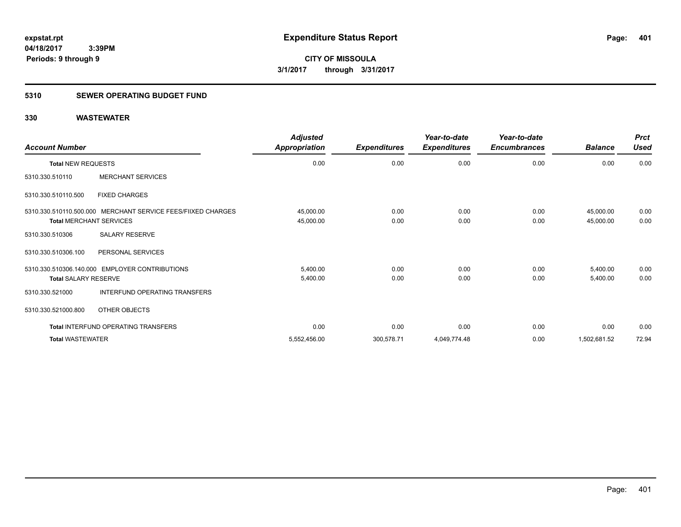# **5310 SEWER OPERATING BUDGET FUND**

| <b>Account Number</b>                                                                          | <b>Adjusted</b><br>Appropriation | <b>Expenditures</b> | Year-to-date<br><b>Expenditures</b> | Year-to-date<br><b>Encumbrances</b> | <b>Balance</b>         | <b>Prct</b><br><b>Used</b> |
|------------------------------------------------------------------------------------------------|----------------------------------|---------------------|-------------------------------------|-------------------------------------|------------------------|----------------------------|
| <b>Total NEW REQUESTS</b>                                                                      | 0.00                             | 0.00                | 0.00                                | 0.00                                | 0.00                   | 0.00                       |
| <b>MERCHANT SERVICES</b><br>5310.330.510110                                                    |                                  |                     |                                     |                                     |                        |                            |
| <b>FIXED CHARGES</b><br>5310.330.510110.500                                                    |                                  |                     |                                     |                                     |                        |                            |
| 5310.330.510110.500.000 MERCHANT SERVICE FEES/FIIXED CHARGES<br><b>Total MERCHANT SERVICES</b> | 45,000.00<br>45,000.00           | 0.00<br>0.00        | 0.00<br>0.00                        | 0.00<br>0.00                        | 45,000.00<br>45,000.00 | 0.00<br>0.00               |
| SALARY RESERVE<br>5310.330.510306                                                              |                                  |                     |                                     |                                     |                        |                            |
| 5310.330.510306.100<br>PERSONAL SERVICES                                                       |                                  |                     |                                     |                                     |                        |                            |
| 5310.330.510306.140.000 EMPLOYER CONTRIBUTIONS<br><b>Total SALARY RESERVE</b>                  | 5,400.00<br>5,400.00             | 0.00<br>0.00        | 0.00<br>0.00                        | 0.00<br>0.00                        | 5,400.00<br>5,400.00   | 0.00<br>0.00               |
| INTERFUND OPERATING TRANSFERS<br>5310.330.521000                                               |                                  |                     |                                     |                                     |                        |                            |
| 5310.330.521000.800<br>OTHER OBJECTS                                                           |                                  |                     |                                     |                                     |                        |                            |
| <b>Total INTERFUND OPERATING TRANSFERS</b>                                                     | 0.00                             | 0.00                | 0.00                                | 0.00                                | 0.00                   | 0.00                       |
| <b>Total WASTEWATER</b>                                                                        | 5,552,456.00                     | 300,578.71          | 4,049,774.48                        | 0.00                                | 1,502,681.52           | 72.94                      |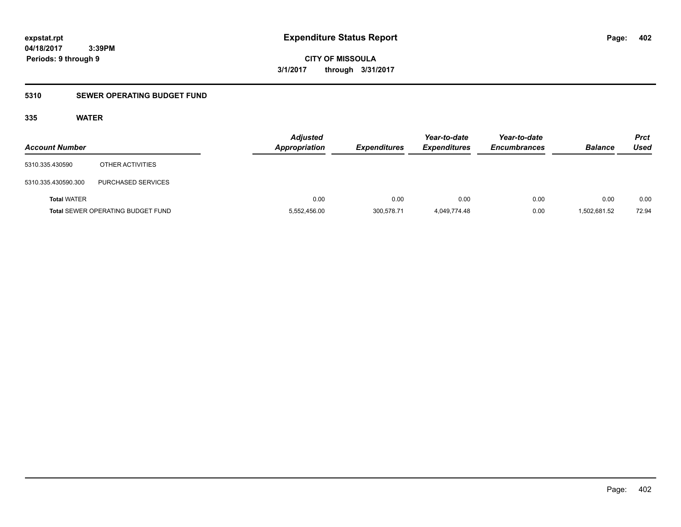**CITY OF MISSOULA 3/1/2017 through 3/31/2017**

# **5310 SEWER OPERATING BUDGET FUND**

## **335 WATER**

| <b>Account Number</b> |                                          | <b>Adjusted</b><br><b>Appropriation</b> | <b>Expenditures</b> | Year-to-date<br><b>Expenditures</b> | Year-to-date<br><b>Encumbrances</b> | <b>Balance</b> | <b>Prct</b><br>Used |
|-----------------------|------------------------------------------|-----------------------------------------|---------------------|-------------------------------------|-------------------------------------|----------------|---------------------|
| 5310.335.430590       | OTHER ACTIVITIES                         |                                         |                     |                                     |                                     |                |                     |
| 5310.335.430590.300   | PURCHASED SERVICES                       |                                         |                     |                                     |                                     |                |                     |
| <b>Total WATER</b>    |                                          | 0.00                                    | 0.00                | 0.00                                | 0.00                                | 0.00           | 0.00                |
|                       | <b>Total SEWER OPERATING BUDGET FUND</b> | 5,552,456.00                            | 300.578.71          | 4,049,774.48                        | 0.00                                | 1,502,681.52   | 72.94               |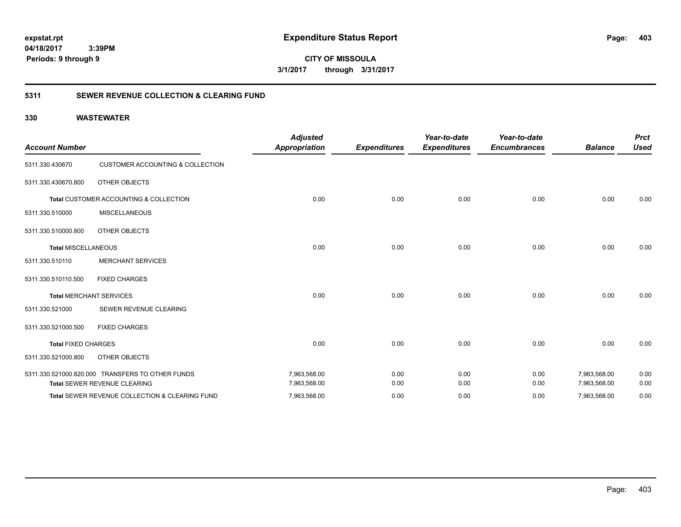**CITY OF MISSOULA 3/1/2017 through 3/31/2017**

## **5311 SEWER REVENUE COLLECTION & CLEARING FUND**

| <b>Account Number</b>      |                                                  | <b>Adjusted</b><br><b>Appropriation</b> | <b>Expenditures</b> | Year-to-date<br><b>Expenditures</b> | Year-to-date<br><b>Encumbrances</b> | <b>Balance</b> | <b>Prct</b><br><b>Used</b> |
|----------------------------|--------------------------------------------------|-----------------------------------------|---------------------|-------------------------------------|-------------------------------------|----------------|----------------------------|
| 5311.330.430670            | <b>CUSTOMER ACCOUNTING &amp; COLLECTION</b>      |                                         |                     |                                     |                                     |                |                            |
| 5311.330.430670.800        | OTHER OBJECTS                                    |                                         |                     |                                     |                                     |                |                            |
|                            | Total CUSTOMER ACCOUNTING & COLLECTION           | 0.00                                    | 0.00                | 0.00                                | 0.00                                | 0.00           | 0.00                       |
| 5311.330.510000            | <b>MISCELLANEOUS</b>                             |                                         |                     |                                     |                                     |                |                            |
| 5311.330.510000.800        | OTHER OBJECTS                                    |                                         |                     |                                     |                                     |                |                            |
| <b>Total MISCELLANEOUS</b> |                                                  | 0.00                                    | 0.00                | 0.00                                | 0.00                                | 0.00           | 0.00                       |
| 5311.330.510110            | <b>MERCHANT SERVICES</b>                         |                                         |                     |                                     |                                     |                |                            |
| 5311.330.510110.500        | <b>FIXED CHARGES</b>                             |                                         |                     |                                     |                                     |                |                            |
|                            | <b>Total MERCHANT SERVICES</b>                   | 0.00                                    | 0.00                | 0.00                                | 0.00                                | 0.00           | 0.00                       |
| 5311.330.521000            | SEWER REVENUE CLEARING                           |                                         |                     |                                     |                                     |                |                            |
| 5311.330.521000.500        | <b>FIXED CHARGES</b>                             |                                         |                     |                                     |                                     |                |                            |
| <b>Total FIXED CHARGES</b> |                                                  | 0.00                                    | 0.00                | 0.00                                | 0.00                                | 0.00           | 0.00                       |
| 5311.330.521000.800        | OTHER OBJECTS                                    |                                         |                     |                                     |                                     |                |                            |
|                            | 5311.330.521000.820.000 TRANSFERS TO OTHER FUNDS | 7,963,568.00                            | 0.00                | 0.00                                | 0.00                                | 7,963,568.00   | 0.00                       |
|                            | Total SEWER REVENUE CLEARING                     | 7,963,568.00                            | 0.00                | 0.00                                | 0.00                                | 7,963,568.00   | 0.00                       |
|                            | Total SEWER REVENUE COLLECTION & CLEARING FUND   | 7,963,568.00                            | 0.00                | 0.00                                | 0.00                                | 7,963,568.00   | 0.00                       |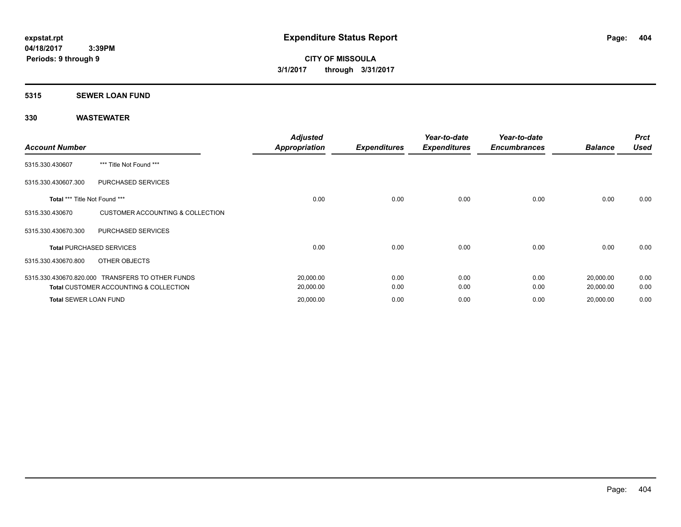#### **5315 SEWER LOAN FUND**

| <b>Account Number</b>         |                                                   | <b>Adjusted</b><br>Appropriation | <b>Expenditures</b> | Year-to-date<br><b>Expenditures</b> | Year-to-date<br><b>Encumbrances</b> | <b>Balance</b> | <b>Prct</b><br><b>Used</b> |
|-------------------------------|---------------------------------------------------|----------------------------------|---------------------|-------------------------------------|-------------------------------------|----------------|----------------------------|
| 5315.330.430607               | *** Title Not Found ***                           |                                  |                     |                                     |                                     |                |                            |
| 5315.330.430607.300           | <b>PURCHASED SERVICES</b>                         |                                  |                     |                                     |                                     |                |                            |
| Total *** Title Not Found *** |                                                   | 0.00                             | 0.00                | 0.00                                | 0.00                                | 0.00           | 0.00                       |
| 5315.330.430670               | <b>CUSTOMER ACCOUNTING &amp; COLLECTION</b>       |                                  |                     |                                     |                                     |                |                            |
| 5315.330.430670.300           | <b>PURCHASED SERVICES</b>                         |                                  |                     |                                     |                                     |                |                            |
|                               | <b>Total PURCHASED SERVICES</b>                   | 0.00                             | 0.00                | 0.00                                | 0.00                                | 0.00           | 0.00                       |
| 5315.330.430670.800           | OTHER OBJECTS                                     |                                  |                     |                                     |                                     |                |                            |
|                               | 5315.330.430670.820.000 TRANSFERS TO OTHER FUNDS  | 20,000.00                        | 0.00                | 0.00                                | 0.00                                | 20,000.00      | 0.00                       |
|                               | <b>Total CUSTOMER ACCOUNTING &amp; COLLECTION</b> | 20,000.00                        | 0.00                | 0.00                                | 0.00                                | 20,000.00      | 0.00                       |
| <b>Total SEWER LOAN FUND</b>  |                                                   | 20,000.00                        | 0.00                | 0.00                                | 0.00                                | 20,000.00      | 0.00                       |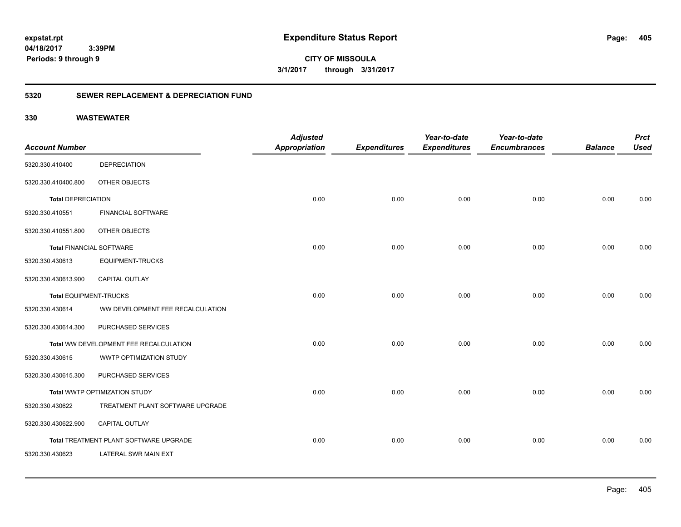**CITY OF MISSOULA 3/1/2017 through 3/31/2017**

## **5320 SEWER REPLACEMENT & DEPRECIATION FUND**

|                                 |                                        | <b>Adjusted</b>      |                     | Year-to-date        | Year-to-date        |                | <b>Prct</b> |
|---------------------------------|----------------------------------------|----------------------|---------------------|---------------------|---------------------|----------------|-------------|
| <b>Account Number</b>           |                                        | <b>Appropriation</b> | <b>Expenditures</b> | <b>Expenditures</b> | <b>Encumbrances</b> | <b>Balance</b> | <b>Used</b> |
| 5320.330.410400                 | <b>DEPRECIATION</b>                    |                      |                     |                     |                     |                |             |
| 5320.330.410400.800             | OTHER OBJECTS                          |                      |                     |                     |                     |                |             |
| <b>Total DEPRECIATION</b>       |                                        | 0.00                 | 0.00                | 0.00                | 0.00                | 0.00           | 0.00        |
| 5320.330.410551                 | <b>FINANCIAL SOFTWARE</b>              |                      |                     |                     |                     |                |             |
| 5320.330.410551.800             | OTHER OBJECTS                          |                      |                     |                     |                     |                |             |
| <b>Total FINANCIAL SOFTWARE</b> |                                        | 0.00                 | 0.00                | 0.00                | 0.00                | 0.00           | 0.00        |
| 5320.330.430613                 | <b>EQUIPMENT-TRUCKS</b>                |                      |                     |                     |                     |                |             |
| 5320.330.430613.900             | <b>CAPITAL OUTLAY</b>                  |                      |                     |                     |                     |                |             |
| <b>Total EQUIPMENT-TRUCKS</b>   |                                        | 0.00                 | 0.00                | 0.00                | 0.00                | 0.00           | 0.00        |
| 5320.330.430614                 | WW DEVELOPMENT FEE RECALCULATION       |                      |                     |                     |                     |                |             |
| 5320.330.430614.300             | PURCHASED SERVICES                     |                      |                     |                     |                     |                |             |
|                                 | Total WW DEVELOPMENT FEE RECALCULATION | 0.00                 | 0.00                | 0.00                | 0.00                | 0.00           | 0.00        |
| 5320.330.430615                 | WWTP OPTIMIZATION STUDY                |                      |                     |                     |                     |                |             |
| 5320.330.430615.300             | PURCHASED SERVICES                     |                      |                     |                     |                     |                |             |
|                                 | Total WWTP OPTIMIZATION STUDY          | 0.00                 | 0.00                | 0.00                | 0.00                | 0.00           | 0.00        |
| 5320.330.430622                 | TREATMENT PLANT SOFTWARE UPGRADE       |                      |                     |                     |                     |                |             |
| 5320.330.430622.900             | <b>CAPITAL OUTLAY</b>                  |                      |                     |                     |                     |                |             |
|                                 | Total TREATMENT PLANT SOFTWARE UPGRADE | 0.00                 | 0.00                | 0.00                | 0.00                | 0.00           | 0.00        |
| 5320.330.430623                 | <b>LATERAL SWR MAIN EXT</b>            |                      |                     |                     |                     |                |             |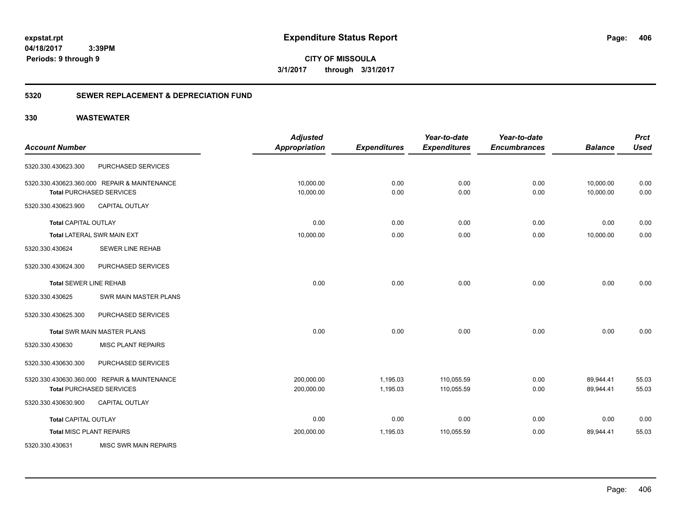**CITY OF MISSOULA 3/1/2017 through 3/31/2017**

## **5320 SEWER REPLACEMENT & DEPRECIATION FUND**

|                                 |                                              | <b>Adjusted</b>      |                     | Year-to-date        | Year-to-date        |                | <b>Prct</b> |
|---------------------------------|----------------------------------------------|----------------------|---------------------|---------------------|---------------------|----------------|-------------|
| <b>Account Number</b>           |                                              | <b>Appropriation</b> | <b>Expenditures</b> | <b>Expenditures</b> | <b>Encumbrances</b> | <b>Balance</b> | <b>Used</b> |
| 5320.330.430623.300             | <b>PURCHASED SERVICES</b>                    |                      |                     |                     |                     |                |             |
|                                 | 5320.330.430623.360.000 REPAIR & MAINTENANCE | 10,000.00            | 0.00                | 0.00                | 0.00                | 10,000.00      | 0.00        |
|                                 | <b>Total PURCHASED SERVICES</b>              | 10,000.00            | 0.00                | 0.00                | 0.00                | 10,000.00      | 0.00        |
| 5320.330.430623.900             | <b>CAPITAL OUTLAY</b>                        |                      |                     |                     |                     |                |             |
| <b>Total CAPITAL OUTLAY</b>     |                                              | 0.00                 | 0.00                | 0.00                | 0.00                | 0.00           | 0.00        |
|                                 | Total LATERAL SWR MAIN EXT                   | 10,000.00            | 0.00                | 0.00                | 0.00                | 10,000.00      | 0.00        |
| 5320.330.430624                 | <b>SEWER LINE REHAB</b>                      |                      |                     |                     |                     |                |             |
| 5320.330.430624.300             | PURCHASED SERVICES                           |                      |                     |                     |                     |                |             |
| <b>Total SEWER LINE REHAB</b>   |                                              | 0.00                 | 0.00                | 0.00                | 0.00                | 0.00           | 0.00        |
| 5320.330.430625                 | SWR MAIN MASTER PLANS                        |                      |                     |                     |                     |                |             |
| 5320.330.430625.300             | PURCHASED SERVICES                           |                      |                     |                     |                     |                |             |
|                                 | <b>Total SWR MAIN MASTER PLANS</b>           | 0.00                 | 0.00                | 0.00                | 0.00                | 0.00           | 0.00        |
| 5320.330.430630                 | <b>MISC PLANT REPAIRS</b>                    |                      |                     |                     |                     |                |             |
| 5320.330.430630.300             | PURCHASED SERVICES                           |                      |                     |                     |                     |                |             |
|                                 | 5320.330.430630.360.000 REPAIR & MAINTENANCE | 200,000.00           | 1,195.03            | 110,055.59          | 0.00                | 89,944.41      | 55.03       |
|                                 | <b>Total PURCHASED SERVICES</b>              | 200,000.00           | 1,195.03            | 110,055.59          | 0.00                | 89,944.41      | 55.03       |
| 5320.330.430630.900             | <b>CAPITAL OUTLAY</b>                        |                      |                     |                     |                     |                |             |
| <b>Total CAPITAL OUTLAY</b>     |                                              | 0.00                 | 0.00                | 0.00                | 0.00                | 0.00           | 0.00        |
| <b>Total MISC PLANT REPAIRS</b> |                                              | 200,000.00           | 1,195.03            | 110,055.59          | 0.00                | 89,944.41      | 55.03       |
| 5320.330.430631                 | <b>MISC SWR MAIN REPAIRS</b>                 |                      |                     |                     |                     |                |             |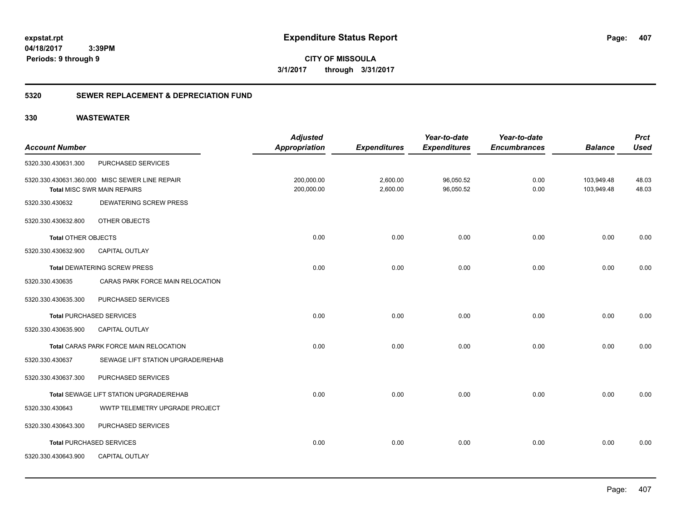**CITY OF MISSOULA 3/1/2017 through 3/31/2017**

## **5320 SEWER REPLACEMENT & DEPRECIATION FUND**

|                                                | <b>Adjusted</b>                                                                           |                                    | Year-to-date                    | Year-to-date                     |                             | <b>Prct</b><br><b>Used</b>   |
|------------------------------------------------|-------------------------------------------------------------------------------------------|------------------------------------|---------------------------------|----------------------------------|-----------------------------|------------------------------|
|                                                |                                                                                           |                                    |                                 |                                  |                             |                              |
|                                                |                                                                                           |                                    |                                 |                                  |                             |                              |
| 5320.330.430631.360.000 MISC SEWER LINE REPAIR | 200,000.00                                                                                | 2,600.00                           | 96,050.52                       | 0.00                             | 103,949.48                  | 48.03                        |
|                                                |                                                                                           |                                    |                                 |                                  |                             | 48.03                        |
|                                                |                                                                                           |                                    |                                 |                                  |                             |                              |
| OTHER OBJECTS                                  |                                                                                           |                                    |                                 |                                  |                             |                              |
| <b>Total OTHER OBJECTS</b>                     | 0.00                                                                                      | 0.00                               | 0.00                            | 0.00                             | 0.00                        | 0.00                         |
| <b>CAPITAL OUTLAY</b>                          |                                                                                           |                                    |                                 |                                  |                             |                              |
| <b>Total DEWATERING SCREW PRESS</b>            | 0.00                                                                                      | 0.00                               | 0.00                            | 0.00                             | 0.00                        | 0.00                         |
| CARAS PARK FORCE MAIN RELOCATION               |                                                                                           |                                    |                                 |                                  |                             |                              |
| PURCHASED SERVICES                             |                                                                                           |                                    |                                 |                                  |                             |                              |
| <b>Total PURCHASED SERVICES</b>                | 0.00                                                                                      | 0.00                               | 0.00                            | 0.00                             | 0.00                        | 0.00                         |
| CAPITAL OUTLAY                                 |                                                                                           |                                    |                                 |                                  |                             |                              |
| Total CARAS PARK FORCE MAIN RELOCATION         | 0.00                                                                                      | 0.00                               | 0.00                            | 0.00                             | 0.00                        | 0.00                         |
| SEWAGE LIFT STATION UPGRADE/REHAB              |                                                                                           |                                    |                                 |                                  |                             |                              |
| PURCHASED SERVICES                             |                                                                                           |                                    |                                 |                                  |                             |                              |
| Total SEWAGE LIFT STATION UPGRADE/REHAB        | 0.00                                                                                      | 0.00                               | 0.00                            | 0.00                             | 0.00                        | 0.00                         |
| WWTP TELEMETRY UPGRADE PROJECT                 |                                                                                           |                                    |                                 |                                  |                             |                              |
| PURCHASED SERVICES                             |                                                                                           |                                    |                                 |                                  |                             |                              |
| <b>Total PURCHASED SERVICES</b>                | 0.00                                                                                      | 0.00                               | 0.00                            | 0.00                             | 0.00                        | 0.00                         |
| CAPITAL OUTLAY                                 |                                                                                           |                                    |                                 |                                  |                             |                              |
|                                                | PURCHASED SERVICES<br><b>Total MISC SWR MAIN REPAIRS</b><br><b>DEWATERING SCREW PRESS</b> | <b>Appropriation</b><br>200,000.00 | <b>Expenditures</b><br>2,600.00 | <b>Expenditures</b><br>96,050.52 | <b>Encumbrances</b><br>0.00 | <b>Balance</b><br>103,949.48 |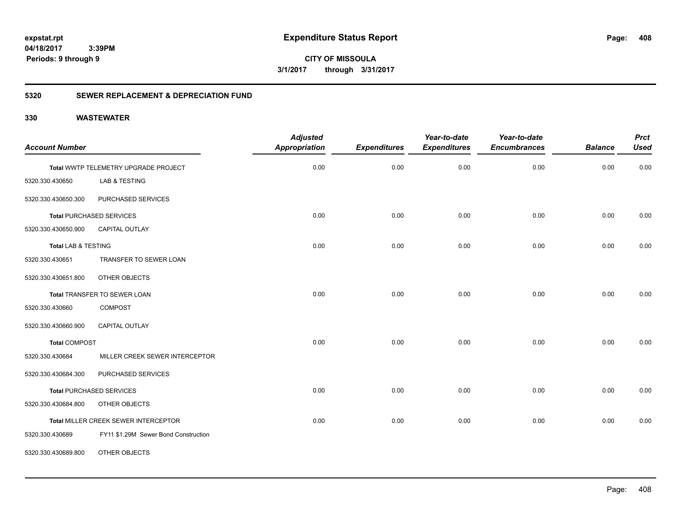**CITY OF MISSOULA 3/1/2017 through 3/31/2017**

## **5320 SEWER REPLACEMENT & DEPRECIATION FUND**

| <b>Account Number</b>          |                                      | <b>Adjusted</b><br><b>Appropriation</b> | <b>Expenditures</b> | Year-to-date<br><b>Expenditures</b> | Year-to-date<br><b>Encumbrances</b> | <b>Balance</b> | <b>Prct</b><br><b>Used</b> |
|--------------------------------|--------------------------------------|-----------------------------------------|---------------------|-------------------------------------|-------------------------------------|----------------|----------------------------|
|                                |                                      |                                         |                     |                                     |                                     |                |                            |
|                                | Total WWTP TELEMETRY UPGRADE PROJECT | 0.00                                    | 0.00                | 0.00                                | 0.00                                | 0.00           | 0.00                       |
| 5320.330.430650                | LAB & TESTING                        |                                         |                     |                                     |                                     |                |                            |
| 5320.330.430650.300            | PURCHASED SERVICES                   |                                         |                     |                                     |                                     |                |                            |
|                                | <b>Total PURCHASED SERVICES</b>      | 0.00                                    | 0.00                | 0.00                                | 0.00                                | 0.00           | 0.00                       |
| 5320.330.430650.900            | CAPITAL OUTLAY                       |                                         |                     |                                     |                                     |                |                            |
| <b>Total LAB &amp; TESTING</b> |                                      | 0.00                                    | 0.00                | 0.00                                | 0.00                                | 0.00           | 0.00                       |
| 5320.330.430651                | TRANSFER TO SEWER LOAN               |                                         |                     |                                     |                                     |                |                            |
| 5320.330.430651.800            | OTHER OBJECTS                        |                                         |                     |                                     |                                     |                |                            |
|                                | Total TRANSFER TO SEWER LOAN         | 0.00                                    | 0.00                | 0.00                                | 0.00                                | 0.00           | 0.00                       |
| 5320.330.430660                | <b>COMPOST</b>                       |                                         |                     |                                     |                                     |                |                            |
| 5320.330.430660.900            | <b>CAPITAL OUTLAY</b>                |                                         |                     |                                     |                                     |                |                            |
| <b>Total COMPOST</b>           |                                      | 0.00                                    | 0.00                | 0.00                                | 0.00                                | 0.00           | 0.00                       |
| 5320.330.430684                | MILLER CREEK SEWER INTERCEPTOR       |                                         |                     |                                     |                                     |                |                            |
| 5320.330.430684.300            | PURCHASED SERVICES                   |                                         |                     |                                     |                                     |                |                            |
|                                | <b>Total PURCHASED SERVICES</b>      | 0.00                                    | 0.00                | 0.00                                | 0.00                                | 0.00           | 0.00                       |
| 5320.330.430684.800            | OTHER OBJECTS                        |                                         |                     |                                     |                                     |                |                            |
|                                | Total MILLER CREEK SEWER INTERCEPTOR | 0.00                                    | 0.00                | 0.00                                | 0.00                                | 0.00           | 0.00                       |
| 5320.330.430689                | FY11 \$1.29M Sewer Bond Construction |                                         |                     |                                     |                                     |                |                            |
| 5320.330.430689.800            | OTHER OBJECTS                        |                                         |                     |                                     |                                     |                |                            |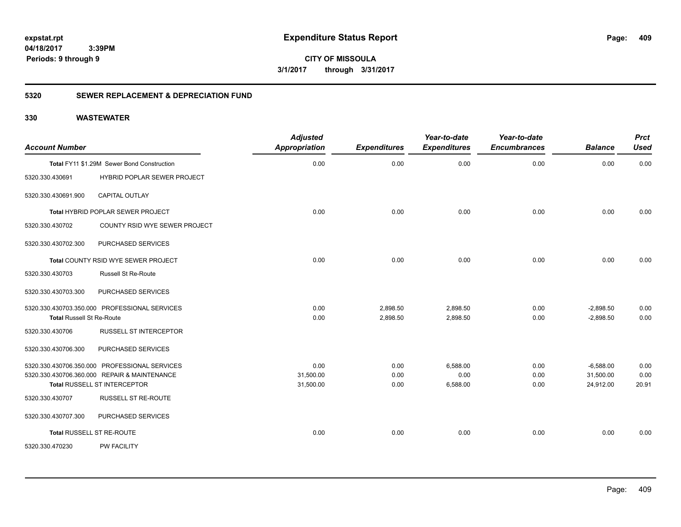**CITY OF MISSOULA 3/1/2017 through 3/31/2017**

## **5320 SEWER REPLACEMENT & DEPRECIATION FUND**

| <b>Account Number</b>            |                                                                                                                               | <b>Adjusted</b><br><b>Appropriation</b> | <b>Expenditures</b>  | Year-to-date<br><b>Expenditures</b> | Year-to-date<br><b>Encumbrances</b> | <b>Balance</b>                        | <b>Prct</b><br><b>Used</b> |
|----------------------------------|-------------------------------------------------------------------------------------------------------------------------------|-----------------------------------------|----------------------|-------------------------------------|-------------------------------------|---------------------------------------|----------------------------|
|                                  | Total FY11 \$1.29M Sewer Bond Construction                                                                                    | 0.00                                    | 0.00                 | 0.00                                | 0.00                                | 0.00                                  | 0.00                       |
| 5320.330.430691                  | HYBRID POPLAR SEWER PROJECT                                                                                                   |                                         |                      |                                     |                                     |                                       |                            |
| 5320.330.430691.900              | <b>CAPITAL OUTLAY</b>                                                                                                         |                                         |                      |                                     |                                     |                                       |                            |
|                                  | Total HYBRID POPLAR SEWER PROJECT                                                                                             | 0.00                                    | 0.00                 | 0.00                                | 0.00                                | 0.00                                  | 0.00                       |
| 5320.330.430702                  | COUNTY RSID WYE SEWER PROJECT                                                                                                 |                                         |                      |                                     |                                     |                                       |                            |
| 5320.330.430702.300              | PURCHASED SERVICES                                                                                                            |                                         |                      |                                     |                                     |                                       |                            |
|                                  | Total COUNTY RSID WYE SEWER PROJECT                                                                                           | 0.00                                    | 0.00                 | 0.00                                | 0.00                                | 0.00                                  | 0.00                       |
| 5320.330.430703                  | <b>Russell St Re-Route</b>                                                                                                    |                                         |                      |                                     |                                     |                                       |                            |
| 5320.330.430703.300              | PURCHASED SERVICES                                                                                                            |                                         |                      |                                     |                                     |                                       |                            |
| <b>Total Russell St Re-Route</b> | 5320.330.430703.350.000 PROFESSIONAL SERVICES                                                                                 | 0.00<br>0.00                            | 2,898.50<br>2,898.50 | 2,898.50<br>2,898.50                | 0.00<br>0.00                        | $-2,898.50$<br>$-2,898.50$            | 0.00<br>0.00               |
| 5320.330.430706                  | <b>RUSSELL ST INTERCEPTOR</b>                                                                                                 |                                         |                      |                                     |                                     |                                       |                            |
| 5320.330.430706.300              | PURCHASED SERVICES                                                                                                            |                                         |                      |                                     |                                     |                                       |                            |
|                                  | 5320.330.430706.350.000 PROFESSIONAL SERVICES<br>5320.330.430706.360.000 REPAIR & MAINTENANCE<br>Total RUSSELL ST INTERCEPTOR | 0.00<br>31,500.00<br>31,500.00          | 0.00<br>0.00<br>0.00 | 6,588.00<br>0.00<br>6,588.00        | 0.00<br>0.00<br>0.00                | $-6,588.00$<br>31,500.00<br>24,912.00 | 0.00<br>0.00<br>20.91      |
| 5320.330.430707                  | <b>RUSSELL ST RE-ROUTE</b>                                                                                                    |                                         |                      |                                     |                                     |                                       |                            |
| 5320.330.430707.300              | PURCHASED SERVICES                                                                                                            |                                         |                      |                                     |                                     |                                       |                            |
|                                  | <b>Total RUSSELL ST RE-ROUTE</b>                                                                                              | 0.00                                    | 0.00                 | 0.00                                | 0.00                                | 0.00                                  | 0.00                       |
| 5320.330.470230                  | <b>PW FACILITY</b>                                                                                                            |                                         |                      |                                     |                                     |                                       |                            |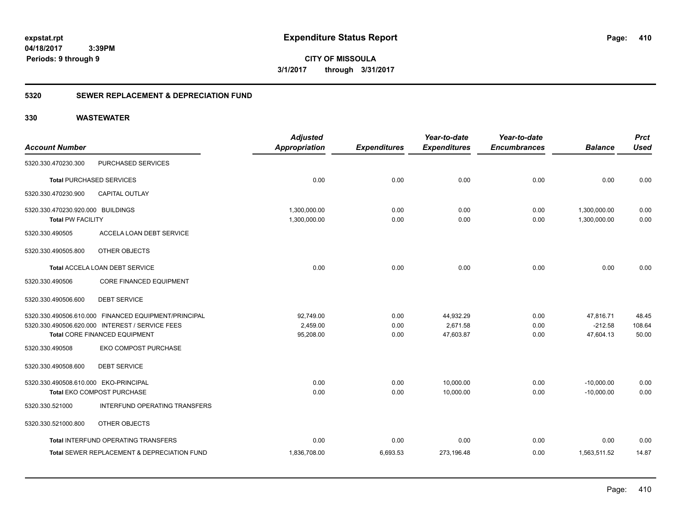**CITY OF MISSOULA 3/1/2017 through 3/31/2017**

## **5320 SEWER REPLACEMENT & DEPRECIATION FUND**

|                                                               |                                                        | <b>Adjusted</b>              |                     | Year-to-date        | Year-to-date        |                              | <b>Prct</b>  |
|---------------------------------------------------------------|--------------------------------------------------------|------------------------------|---------------------|---------------------|---------------------|------------------------------|--------------|
| <b>Account Number</b>                                         |                                                        | <b>Appropriation</b>         | <b>Expenditures</b> | <b>Expenditures</b> | <b>Encumbrances</b> | <b>Balance</b>               | <b>Used</b>  |
| 5320.330.470230.300                                           | PURCHASED SERVICES                                     |                              |                     |                     |                     |                              |              |
|                                                               | <b>Total PURCHASED SERVICES</b>                        | 0.00                         | 0.00                | 0.00                | 0.00                | 0.00                         | 0.00         |
| 5320.330.470230.900                                           | CAPITAL OUTLAY                                         |                              |                     |                     |                     |                              |              |
| 5320.330.470230.920.000 BUILDINGS<br><b>Total PW FACILITY</b> |                                                        | 1,300,000.00<br>1.300.000.00 | 0.00<br>0.00        | 0.00<br>0.00        | 0.00<br>0.00        | 1,300,000.00<br>1.300.000.00 | 0.00<br>0.00 |
| 5320.330.490505                                               | ACCELA LOAN DEBT SERVICE                               |                              |                     |                     |                     |                              |              |
| 5320.330.490505.800                                           | OTHER OBJECTS                                          |                              |                     |                     |                     |                              |              |
|                                                               | Total ACCELA LOAN DEBT SERVICE                         | 0.00                         | 0.00                | 0.00                | 0.00                | 0.00                         | 0.00         |
| 5320.330.490506                                               | CORE FINANCED EQUIPMENT                                |                              |                     |                     |                     |                              |              |
| 5320.330.490506.600                                           | <b>DEBT SERVICE</b>                                    |                              |                     |                     |                     |                              |              |
|                                                               | 5320.330.490506.610.000 FINANCED EQUIPMENT/PRINCIPAL   | 92,749.00                    | 0.00                | 44,932.29           | 0.00                | 47,816.71                    | 48.45        |
|                                                               | 5320.330.490506.620.000 INTEREST / SERVICE FEES        | 2.459.00                     | 0.00                | 2.671.58            | 0.00                | $-212.58$                    | 108.64       |
|                                                               | Total CORE FINANCED EQUIPMENT                          | 95,208.00                    | 0.00                | 47,603.87           | 0.00                | 47,604.13                    | 50.00        |
| 5320.330.490508                                               | EKO COMPOST PURCHASE                                   |                              |                     |                     |                     |                              |              |
| 5320.330.490508.600                                           | <b>DEBT SERVICE</b>                                    |                              |                     |                     |                     |                              |              |
| 5320.330.490508.610.000 EKO-PRINCIPAL                         |                                                        | 0.00                         | 0.00                | 10,000.00           | 0.00                | $-10,000.00$                 | 0.00         |
|                                                               | Total EKO COMPOST PURCHASE                             | 0.00                         | 0.00                | 10,000.00           | 0.00                | $-10,000.00$                 | 0.00         |
| 5320.330.521000                                               | INTERFUND OPERATING TRANSFERS                          |                              |                     |                     |                     |                              |              |
| 5320.330.521000.800                                           | OTHER OBJECTS                                          |                              |                     |                     |                     |                              |              |
|                                                               | Total INTERFUND OPERATING TRANSFERS                    | 0.00                         | 0.00                | 0.00                | 0.00                | 0.00                         | 0.00         |
|                                                               | <b>Total SEWER REPLACEMENT &amp; DEPRECIATION FUND</b> | 1,836,708.00                 | 6,693.53            | 273,196.48          | 0.00                | 1,563,511.52                 | 14.87        |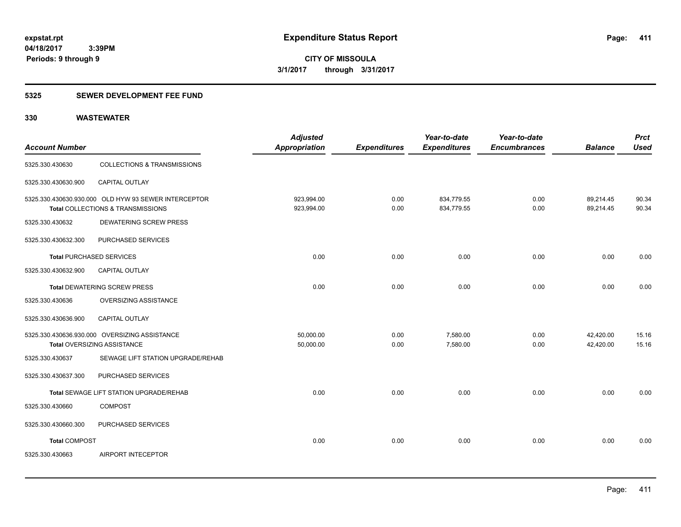## **5325 SEWER DEVELOPMENT FEE FUND**

| <b>Account Number</b>           |                                                                                           | <b>Adjusted</b><br>Appropriation | <b>Expenditures</b> | Year-to-date<br><b>Expenditures</b> | Year-to-date<br><b>Encumbrances</b> | <b>Balance</b>         | <b>Prct</b><br><b>Used</b> |
|---------------------------------|-------------------------------------------------------------------------------------------|----------------------------------|---------------------|-------------------------------------|-------------------------------------|------------------------|----------------------------|
| 5325.330.430630                 | <b>COLLECTIONS &amp; TRANSMISSIONS</b>                                                    |                                  |                     |                                     |                                     |                        |                            |
| 5325.330.430630.900             | CAPITAL OUTLAY                                                                            |                                  |                     |                                     |                                     |                        |                            |
|                                 | 5325.330.430630.930.000 OLD HYW 93 SEWER INTERCEPTOR<br>Total COLLECTIONS & TRANSMISSIONS | 923,994.00<br>923,994.00         | 0.00<br>0.00        | 834,779.55<br>834,779.55            | 0.00<br>0.00                        | 89,214.45<br>89,214.45 | 90.34<br>90.34             |
| 5325.330.430632                 | <b>DEWATERING SCREW PRESS</b>                                                             |                                  |                     |                                     |                                     |                        |                            |
| 5325.330.430632.300             | PURCHASED SERVICES                                                                        |                                  |                     |                                     |                                     |                        |                            |
| <b>Total PURCHASED SERVICES</b> |                                                                                           | 0.00                             | 0.00                | 0.00                                | 0.00                                | 0.00                   | 0.00                       |
| 5325.330.430632.900             | <b>CAPITAL OUTLAY</b>                                                                     |                                  |                     |                                     |                                     |                        |                            |
|                                 | <b>Total DEWATERING SCREW PRESS</b>                                                       | 0.00                             | 0.00                | 0.00                                | 0.00                                | 0.00                   | 0.00                       |
| 5325.330.430636                 | OVERSIZING ASSISTANCE                                                                     |                                  |                     |                                     |                                     |                        |                            |
| 5325.330.430636.900             | CAPITAL OUTLAY                                                                            |                                  |                     |                                     |                                     |                        |                            |
|                                 | 5325.330.430636.930.000 OVERSIZING ASSISTANCE<br>Total OVERSIZING ASSISTANCE              | 50,000.00<br>50,000.00           | 0.00<br>0.00        | 7,580.00<br>7,580.00                | 0.00<br>0.00                        | 42,420.00<br>42,420.00 | 15.16<br>15.16             |
| 5325.330.430637                 | SEWAGE LIFT STATION UPGRADE/REHAB                                                         |                                  |                     |                                     |                                     |                        |                            |
| 5325.330.430637.300             | PURCHASED SERVICES                                                                        |                                  |                     |                                     |                                     |                        |                            |
|                                 | Total SEWAGE LIFT STATION UPGRADE/REHAB                                                   | 0.00                             | 0.00                | 0.00                                | 0.00                                | 0.00                   | 0.00                       |
| 5325.330.430660                 | <b>COMPOST</b>                                                                            |                                  |                     |                                     |                                     |                        |                            |
| 5325.330.430660.300             | PURCHASED SERVICES                                                                        |                                  |                     |                                     |                                     |                        |                            |
| <b>Total COMPOST</b>            |                                                                                           | 0.00                             | 0.00                | 0.00                                | 0.00                                | 0.00                   | 0.00                       |
| 5325.330.430663                 | AIRPORT INTECEPTOR                                                                        |                                  |                     |                                     |                                     |                        |                            |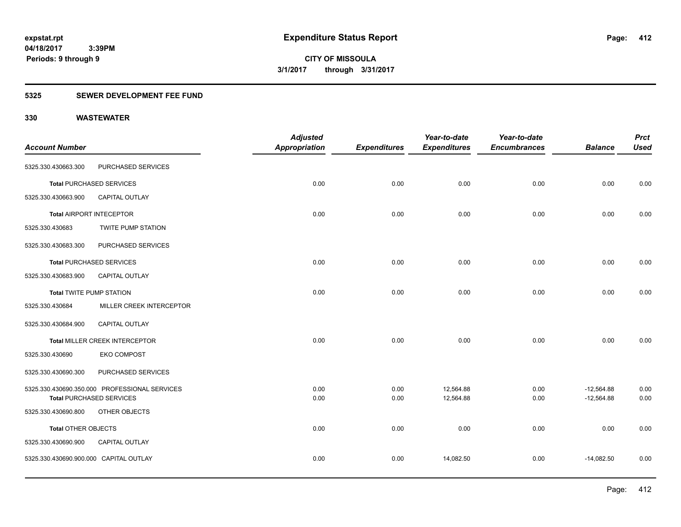## **5325 SEWER DEVELOPMENT FEE FUND**

| <b>Account Number</b>                  |                                                  | <b>Adjusted</b><br><b>Appropriation</b> | <b>Expenditures</b> | Year-to-date<br><b>Expenditures</b> | Year-to-date<br><b>Encumbrances</b> | <b>Balance</b> | <b>Prct</b><br><b>Used</b> |
|----------------------------------------|--------------------------------------------------|-----------------------------------------|---------------------|-------------------------------------|-------------------------------------|----------------|----------------------------|
| 5325.330.430663.300                    | PURCHASED SERVICES                               |                                         |                     |                                     |                                     |                |                            |
|                                        | <b>Total PURCHASED SERVICES</b>                  | 0.00                                    | 0.00                | 0.00                                | 0.00                                | 0.00           | 0.00                       |
| 5325.330.430663.900                    | CAPITAL OUTLAY                                   |                                         |                     |                                     |                                     |                |                            |
|                                        | <b>Total AIRPORT INTECEPTOR</b>                  | 0.00                                    | 0.00                | 0.00                                | 0.00                                | 0.00           | 0.00                       |
| 5325.330.430683                        | TWITE PUMP STATION                               |                                         |                     |                                     |                                     |                |                            |
| 5325.330.430683.300                    | PURCHASED SERVICES                               |                                         |                     |                                     |                                     |                |                            |
|                                        | <b>Total PURCHASED SERVICES</b>                  | 0.00                                    | 0.00                | 0.00                                | 0.00                                | 0.00           | 0.00                       |
| 5325.330.430683.900                    | <b>CAPITAL OUTLAY</b>                            |                                         |                     |                                     |                                     |                |                            |
| <b>Total TWITE PUMP STATION</b>        |                                                  | 0.00                                    | 0.00                | 0.00                                | 0.00                                | 0.00           | 0.00                       |
| 5325.330.430684                        | MILLER CREEK INTERCEPTOR                         |                                         |                     |                                     |                                     |                |                            |
| 5325.330.430684.900                    | CAPITAL OUTLAY                                   |                                         |                     |                                     |                                     |                |                            |
|                                        | Total MILLER CREEK INTERCEPTOR                   | 0.00                                    | 0.00                | 0.00                                | 0.00                                | 0.00           | 0.00                       |
| 5325.330.430690                        | <b>EKO COMPOST</b>                               |                                         |                     |                                     |                                     |                |                            |
| 5325.330.430690.300                    | PURCHASED SERVICES                               |                                         |                     |                                     |                                     |                |                            |
|                                        | 5325.330.430690.350.000 PROFESSIONAL SERVICES    | 0.00                                    | 0.00                | 12,564.88                           | 0.00                                | $-12,564.88$   | 0.00                       |
| 5325.330.430690.800                    | <b>Total PURCHASED SERVICES</b><br>OTHER OBJECTS | 0.00                                    | 0.00                | 12,564.88                           | 0.00                                | $-12,564.88$   | 0.00                       |
|                                        |                                                  |                                         |                     |                                     |                                     |                |                            |
| Total OTHER OBJECTS                    |                                                  | 0.00                                    | 0.00                | 0.00                                | 0.00                                | 0.00           | 0.00                       |
| 5325.330.430690.900                    | CAPITAL OUTLAY                                   |                                         |                     |                                     |                                     |                |                            |
| 5325.330.430690.900.000 CAPITAL OUTLAY |                                                  | 0.00                                    | 0.00                | 14,082.50                           | 0.00                                | $-14,082.50$   | 0.00                       |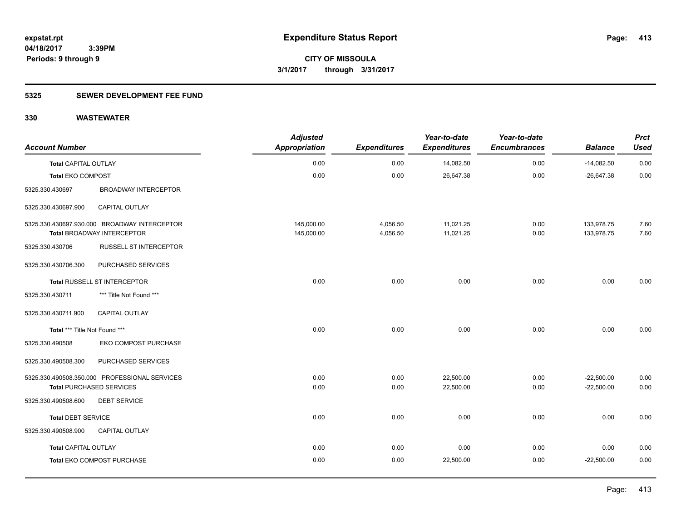## **5325 SEWER DEVELOPMENT FEE FUND**

| <b>Account Number</b>         |                                               | <b>Adjusted</b><br><b>Appropriation</b> | <b>Expenditures</b> | Year-to-date<br><b>Expenditures</b> | Year-to-date<br><b>Encumbrances</b> | <b>Balance</b> | <b>Prct</b><br><b>Used</b> |
|-------------------------------|-----------------------------------------------|-----------------------------------------|---------------------|-------------------------------------|-------------------------------------|----------------|----------------------------|
| <b>Total CAPITAL OUTLAY</b>   |                                               | 0.00                                    | 0.00                | 14,082.50                           | 0.00                                | $-14,082.50$   | 0.00                       |
| Total EKO COMPOST             |                                               | 0.00                                    | 0.00                | 26,647.38                           | 0.00                                | $-26,647.38$   | 0.00                       |
| 5325.330.430697               | <b>BROADWAY INTERCEPTOR</b>                   |                                         |                     |                                     |                                     |                |                            |
| 5325.330.430697.900           | <b>CAPITAL OUTLAY</b>                         |                                         |                     |                                     |                                     |                |                            |
|                               | 5325.330.430697.930.000 BROADWAY INTERCEPTOR  | 145,000.00                              | 4,056.50            | 11,021.25                           | 0.00                                | 133,978.75     | 7.60                       |
|                               | <b>Total BROADWAY INTERCEPTOR</b>             | 145,000.00                              | 4,056.50            | 11,021.25                           | 0.00                                | 133,978.75     | 7.60                       |
| 5325.330.430706               | <b>RUSSELL ST INTERCEPTOR</b>                 |                                         |                     |                                     |                                     |                |                            |
| 5325.330.430706.300           | PURCHASED SERVICES                            |                                         |                     |                                     |                                     |                |                            |
|                               | Total RUSSELL ST INTERCEPTOR                  | 0.00                                    | 0.00                | 0.00                                | 0.00                                | 0.00           | 0.00                       |
| 5325.330.430711               | *** Title Not Found ***                       |                                         |                     |                                     |                                     |                |                            |
| 5325.330.430711.900           | CAPITAL OUTLAY                                |                                         |                     |                                     |                                     |                |                            |
| Total *** Title Not Found *** |                                               | 0.00                                    | 0.00                | 0.00                                | 0.00                                | 0.00           | 0.00                       |
| 5325.330.490508               | EKO COMPOST PURCHASE                          |                                         |                     |                                     |                                     |                |                            |
| 5325.330.490508.300           | PURCHASED SERVICES                            |                                         |                     |                                     |                                     |                |                            |
|                               | 5325.330.490508.350.000 PROFESSIONAL SERVICES | 0.00                                    | 0.00                | 22,500.00                           | 0.00                                | $-22,500.00$   | 0.00                       |
|                               | <b>Total PURCHASED SERVICES</b>               | 0.00                                    | 0.00                | 22,500.00                           | 0.00                                | $-22,500.00$   | 0.00                       |
| 5325.330.490508.600           | <b>DEBT SERVICE</b>                           |                                         |                     |                                     |                                     |                |                            |
| <b>Total DEBT SERVICE</b>     |                                               | 0.00                                    | 0.00                | 0.00                                | 0.00                                | 0.00           | 0.00                       |
| 5325.330.490508.900           | <b>CAPITAL OUTLAY</b>                         |                                         |                     |                                     |                                     |                |                            |
| <b>Total CAPITAL OUTLAY</b>   |                                               | 0.00                                    | 0.00                | 0.00                                | 0.00                                | 0.00           | 0.00                       |
|                               | Total EKO COMPOST PURCHASE                    | 0.00                                    | 0.00                | 22,500.00                           | 0.00                                | $-22,500.00$   | 0.00                       |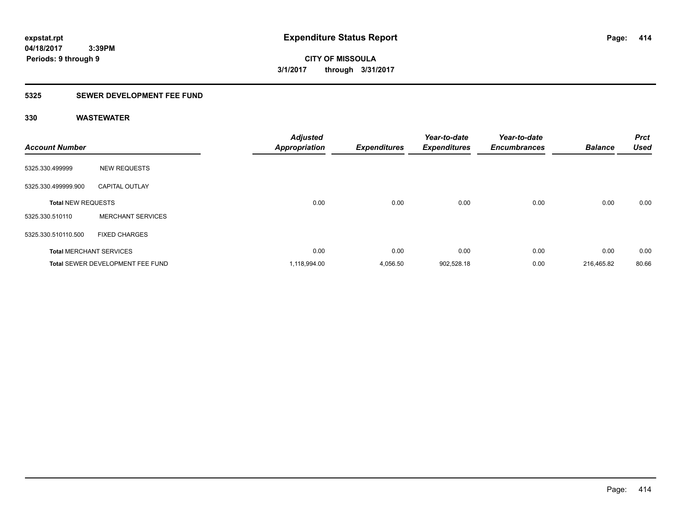**CITY OF MISSOULA 3/1/2017 through 3/31/2017**

# **5325 SEWER DEVELOPMENT FEE FUND**

| <b>Account Number</b>     |                                         | Adjusted<br>Appropriation | <b>Expenditures</b> | Year-to-date<br><b>Expenditures</b> | Year-to-date<br><b>Encumbrances</b> | <b>Balance</b> | <b>Prct</b><br><b>Used</b> |
|---------------------------|-----------------------------------------|---------------------------|---------------------|-------------------------------------|-------------------------------------|----------------|----------------------------|
| 5325.330.499999           | <b>NEW REQUESTS</b>                     |                           |                     |                                     |                                     |                |                            |
| 5325.330.499999.900       | <b>CAPITAL OUTLAY</b>                   |                           |                     |                                     |                                     |                |                            |
| <b>Total NEW REQUESTS</b> |                                         | 0.00                      | 0.00                | 0.00                                | 0.00                                | 0.00           | 0.00                       |
| 5325.330.510110           | <b>MERCHANT SERVICES</b>                |                           |                     |                                     |                                     |                |                            |
| 5325.330.510110.500       | <b>FIXED CHARGES</b>                    |                           |                     |                                     |                                     |                |                            |
|                           | <b>Total MERCHANT SERVICES</b>          | 0.00                      | 0.00                | 0.00                                | 0.00                                | 0.00           | 0.00                       |
|                           | <b>Total SEWER DEVELOPMENT FEE FUND</b> | 1,118,994.00              | 4,056.50            | 902,528.18                          | 0.00                                | 216,465.82     | 80.66                      |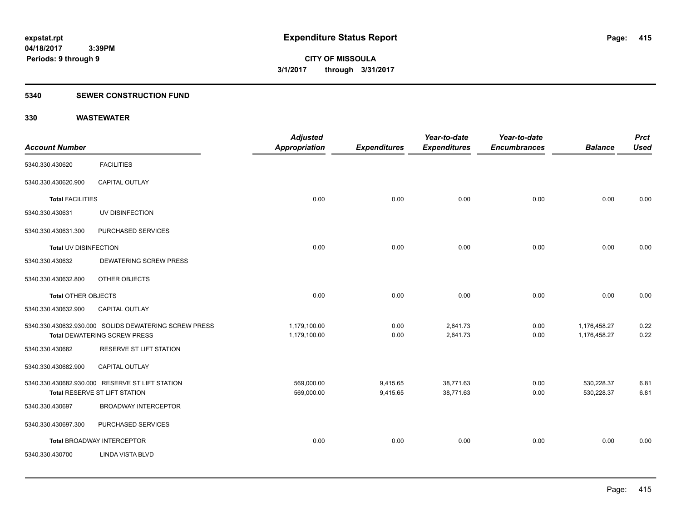#### **5340 SEWER CONSTRUCTION FUND**

|                            |                                                                                              | <b>Adjusted</b>              |                     | Year-to-date         | Year-to-date        |                              | <b>Prct</b>  |
|----------------------------|----------------------------------------------------------------------------------------------|------------------------------|---------------------|----------------------|---------------------|------------------------------|--------------|
| <b>Account Number</b>      |                                                                                              | Appropriation                | <b>Expenditures</b> | <b>Expenditures</b>  | <b>Encumbrances</b> | <b>Balance</b>               | <b>Used</b>  |
| 5340.330.430620            | <b>FACILITIES</b>                                                                            |                              |                     |                      |                     |                              |              |
| 5340.330.430620.900        | CAPITAL OUTLAY                                                                               |                              |                     |                      |                     |                              |              |
| <b>Total FACILITIES</b>    |                                                                                              | 0.00                         | 0.00                | 0.00                 | 0.00                | 0.00                         | 0.00         |
| 5340.330.430631            | UV DISINFECTION                                                                              |                              |                     |                      |                     |                              |              |
| 5340.330.430631.300        | PURCHASED SERVICES                                                                           |                              |                     |                      |                     |                              |              |
| Total UV DISINFECTION      |                                                                                              | 0.00                         | 0.00                | 0.00                 | 0.00                | 0.00                         | 0.00         |
| 5340.330.430632            | <b>DEWATERING SCREW PRESS</b>                                                                |                              |                     |                      |                     |                              |              |
| 5340.330.430632.800        | OTHER OBJECTS                                                                                |                              |                     |                      |                     |                              |              |
| <b>Total OTHER OBJECTS</b> |                                                                                              | 0.00                         | 0.00                | 0.00                 | 0.00                | 0.00                         | 0.00         |
| 5340.330.430632.900        | CAPITAL OUTLAY                                                                               |                              |                     |                      |                     |                              |              |
|                            | 5340.330.430632.930.000 SOLIDS DEWATERING SCREW PRESS<br><b>Total DEWATERING SCREW PRESS</b> | 1,179,100.00<br>1,179,100.00 | 0.00<br>0.00        | 2,641.73<br>2,641.73 | 0.00<br>0.00        | 1,176,458.27<br>1,176,458.27 | 0.22<br>0.22 |
| 5340.330.430682            | RESERVE ST LIFT STATION                                                                      |                              |                     |                      |                     |                              |              |
| 5340.330.430682.900        | CAPITAL OUTLAY                                                                               |                              |                     |                      |                     |                              |              |
|                            | 5340.330.430682.930.000 RESERVE ST LIFT STATION                                              | 569,000.00                   | 9,415.65            | 38,771.63            | 0.00                | 530,228.37                   | 6.81         |
|                            | Total RESERVE ST LIFT STATION                                                                | 569,000.00                   | 9,415.65            | 38,771.63            | 0.00                | 530,228.37                   | 6.81         |
| 5340.330.430697            | <b>BROADWAY INTERCEPTOR</b>                                                                  |                              |                     |                      |                     |                              |              |
| 5340.330.430697.300        | PURCHASED SERVICES                                                                           |                              |                     |                      |                     |                              |              |
|                            | Total BROADWAY INTERCEPTOR                                                                   | 0.00                         | 0.00                | 0.00                 | 0.00                | 0.00                         | 0.00         |
| 5340.330.430700            | <b>LINDA VISTA BLVD</b>                                                                      |                              |                     |                      |                     |                              |              |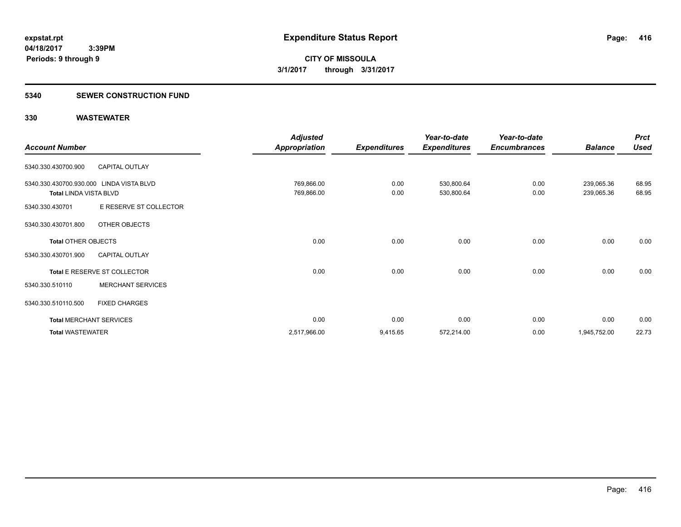#### **5340 SEWER CONSTRUCTION FUND**

|                                          |                                | <b>Adjusted</b>      |                     | Year-to-date        | Year-to-date        |                | <b>Prct</b> |
|------------------------------------------|--------------------------------|----------------------|---------------------|---------------------|---------------------|----------------|-------------|
| <b>Account Number</b>                    |                                | <b>Appropriation</b> | <b>Expenditures</b> | <b>Expenditures</b> | <b>Encumbrances</b> | <b>Balance</b> | <b>Used</b> |
| 5340.330.430700.900                      | <b>CAPITAL OUTLAY</b>          |                      |                     |                     |                     |                |             |
| 5340.330.430700.930.000 LINDA VISTA BLVD |                                | 769,866.00           | 0.00                | 530,800.64          | 0.00                | 239,065.36     | 68.95       |
| <b>Total LINDA VISTA BLVD</b>            |                                | 769,866.00           | 0.00                | 530,800.64          | 0.00                | 239,065.36     | 68.95       |
| 5340.330.430701                          | E RESERVE ST COLLECTOR         |                      |                     |                     |                     |                |             |
| 5340.330.430701.800                      | OTHER OBJECTS                  |                      |                     |                     |                     |                |             |
| <b>Total OTHER OBJECTS</b>               |                                | 0.00                 | 0.00                | 0.00                | 0.00                | 0.00           | 0.00        |
| 5340.330.430701.900                      | <b>CAPITAL OUTLAY</b>          |                      |                     |                     |                     |                |             |
|                                          | Total E RESERVE ST COLLECTOR   | 0.00                 | 0.00                | 0.00                | 0.00                | 0.00           | 0.00        |
| 5340.330.510110                          | <b>MERCHANT SERVICES</b>       |                      |                     |                     |                     |                |             |
| 5340.330.510110.500                      | <b>FIXED CHARGES</b>           |                      |                     |                     |                     |                |             |
|                                          | <b>Total MERCHANT SERVICES</b> | 0.00                 | 0.00                | 0.00                | 0.00                | 0.00           | 0.00        |
| <b>Total WASTEWATER</b>                  |                                | 2,517,966.00         | 9,415.65            | 572,214.00          | 0.00                | 1,945,752.00   | 22.73       |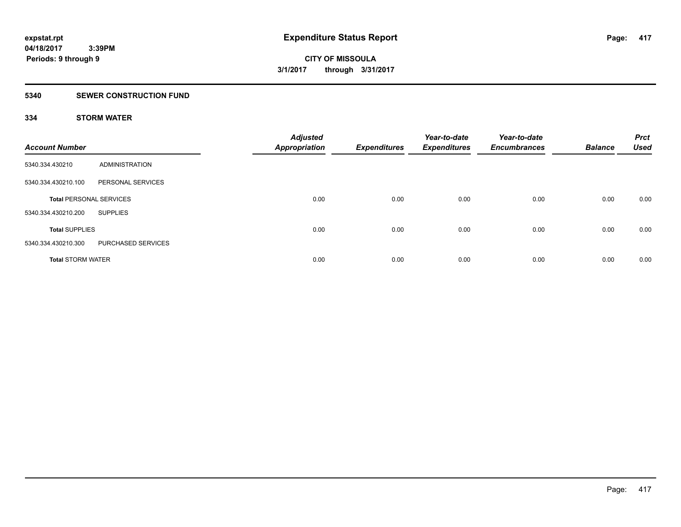### **5340 SEWER CONSTRUCTION FUND**

## **334 STORM WATER**

| <b>Account Number</b>          |                    | <b>Adjusted</b><br><b>Appropriation</b> | <b>Expenditures</b> | Year-to-date<br><b>Expenditures</b> | Year-to-date<br><b>Encumbrances</b> | <b>Balance</b> | <b>Prct</b><br>Used |
|--------------------------------|--------------------|-----------------------------------------|---------------------|-------------------------------------|-------------------------------------|----------------|---------------------|
| 5340.334.430210                | ADMINISTRATION     |                                         |                     |                                     |                                     |                |                     |
| 5340.334.430210.100            | PERSONAL SERVICES  |                                         |                     |                                     |                                     |                |                     |
| <b>Total PERSONAL SERVICES</b> |                    | 0.00                                    | 0.00                | 0.00                                | 0.00                                | 0.00           | 0.00                |
| 5340.334.430210.200            | <b>SUPPLIES</b>    |                                         |                     |                                     |                                     |                |                     |
| <b>Total SUPPLIES</b>          |                    | 0.00                                    | 0.00                | 0.00                                | 0.00                                | 0.00           | 0.00                |
| 5340.334.430210.300            | PURCHASED SERVICES |                                         |                     |                                     |                                     |                |                     |
| <b>Total STORM WATER</b>       |                    | 0.00                                    | 0.00                | 0.00                                | 0.00                                | 0.00           | 0.00                |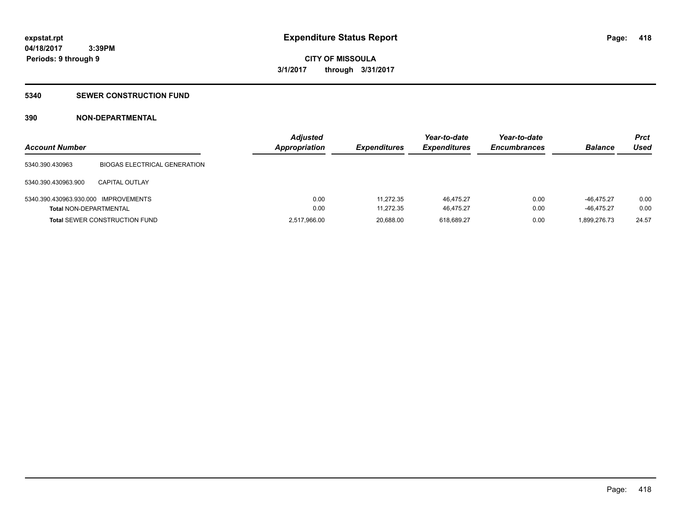#### **5340 SEWER CONSTRUCTION FUND**

## **390 NON-DEPARTMENTAL**

| <b>Account Number</b>                |                                      | <b>Adjusted</b><br><b>Appropriation</b> | <b>Expenditures</b> | Year-to-date<br><b>Expenditures</b> | Year-to-date<br><b>Encumbrances</b> | <b>Balance</b> | Prct<br>Used |
|--------------------------------------|--------------------------------------|-----------------------------------------|---------------------|-------------------------------------|-------------------------------------|----------------|--------------|
| 5340.390.430963                      | <b>BIOGAS ELECTRICAL GENERATION</b>  |                                         |                     |                                     |                                     |                |              |
| 5340.390.430963.900                  | <b>CAPITAL OUTLAY</b>                |                                         |                     |                                     |                                     |                |              |
| 5340.390.430963.930.000 IMPROVEMENTS |                                      | 0.00                                    | 11.272.35           | 46.475.27                           | 0.00                                | $-46.475.27$   | 0.00         |
| <b>Total NON-DEPARTMENTAL</b>        |                                      | 0.00                                    | 11,272.35           | 46.475.27                           | 0.00                                | $-46.475.27$   | 0.00         |
|                                      | <b>Total SEWER CONSTRUCTION FUND</b> | 2,517,966.00                            | 20,688.00           | 618,689.27                          | 0.00                                | 1,899,276.73   | 24.57        |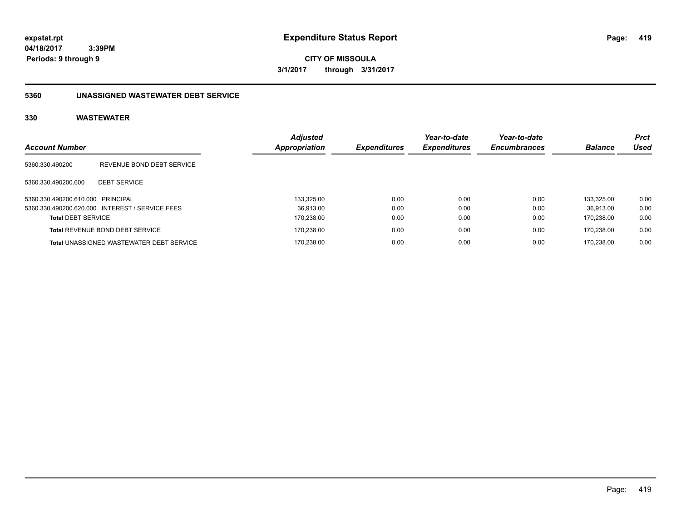**CITY OF MISSOULA 3/1/2017 through 3/31/2017**

## **5360 UNASSIGNED WASTEWATER DEBT SERVICE**

| <b>Account Number</b>             |                                                 | <b>Adjusted</b><br>Appropriation | <b>Expenditures</b> | Year-to-date<br><b>Expenditures</b> | Year-to-date<br><b>Encumbrances</b> | <b>Balance</b> | <b>Prct</b><br>Used |
|-----------------------------------|-------------------------------------------------|----------------------------------|---------------------|-------------------------------------|-------------------------------------|----------------|---------------------|
| 5360.330.490200                   | REVENUE BOND DEBT SERVICE                       |                                  |                     |                                     |                                     |                |                     |
| 5360.330.490200.600               | <b>DEBT SERVICE</b>                             |                                  |                     |                                     |                                     |                |                     |
| 5360.330.490200.610.000 PRINCIPAL |                                                 | 133.325.00                       | 0.00                | 0.00                                | 0.00                                | 133.325.00     | 0.00                |
|                                   | 5360.330.490200.620.000 INTEREST / SERVICE FEES | 36.913.00                        | 0.00                | 0.00                                | 0.00                                | 36.913.00      | 0.00                |
| <b>Total DEBT SERVICE</b>         |                                                 | 170.238.00                       | 0.00                | 0.00                                | 0.00                                | 170.238.00     | 0.00                |
|                                   | <b>Total REVENUE BOND DEBT SERVICE</b>          | 170.238.00                       | 0.00                | 0.00                                | 0.00                                | 170.238.00     | 0.00                |
|                                   | <b>Total UNASSIGNED WASTEWATER DEBT SERVICE</b> | 170.238.00                       | 0.00                | 0.00                                | 0.00                                | 170.238.00     | 0.00                |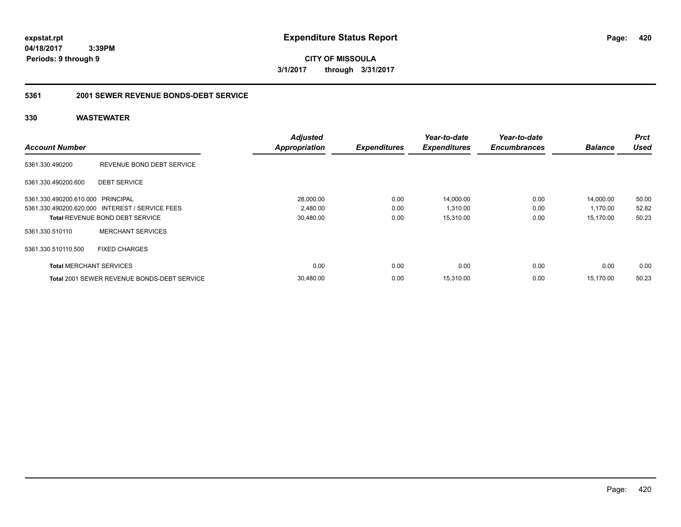**CITY OF MISSOULA 3/1/2017 through 3/31/2017**

## **5361 2001 SEWER REVENUE BONDS-DEBT SERVICE**

|                                   |                                                    | <b>Adjusted</b>      |                     | Year-to-date        | Year-to-date        |                | <b>Prct</b> |
|-----------------------------------|----------------------------------------------------|----------------------|---------------------|---------------------|---------------------|----------------|-------------|
| <b>Account Number</b>             |                                                    | <b>Appropriation</b> | <b>Expenditures</b> | <b>Expenditures</b> | <b>Encumbrances</b> | <b>Balance</b> | Used        |
| 5361.330.490200                   | REVENUE BOND DEBT SERVICE                          |                      |                     |                     |                     |                |             |
| 5361.330.490200.600               | <b>DEBT SERVICE</b>                                |                      |                     |                     |                     |                |             |
| 5361.330.490200.610.000 PRINCIPAL |                                                    | 28,000.00            | 0.00                | 14,000.00           | 0.00                | 14,000.00      | 50.00       |
|                                   | 5361.330.490200.620.000 INTEREST / SERVICE FEES    | 2,480.00             | 0.00                | 1,310.00            | 0.00                | 1,170.00       | 52.82       |
|                                   | <b>Total REVENUE BOND DEBT SERVICE</b>             | 30,480.00            | 0.00                | 15,310.00           | 0.00                | 15,170.00      | 50.23       |
| 5361.330.510110                   | <b>MERCHANT SERVICES</b>                           |                      |                     |                     |                     |                |             |
| 5361.330.510110.500               | <b>FIXED CHARGES</b>                               |                      |                     |                     |                     |                |             |
| <b>Total MERCHANT SERVICES</b>    |                                                    | 0.00                 | 0.00                | 0.00                | 0.00                | 0.00           | 0.00        |
|                                   | <b>Total 2001 SEWER REVENUE BONDS-DEBT SERVICE</b> | 30,480.00            | 0.00                | 15,310.00           | 0.00                | 15,170.00      | 50.23       |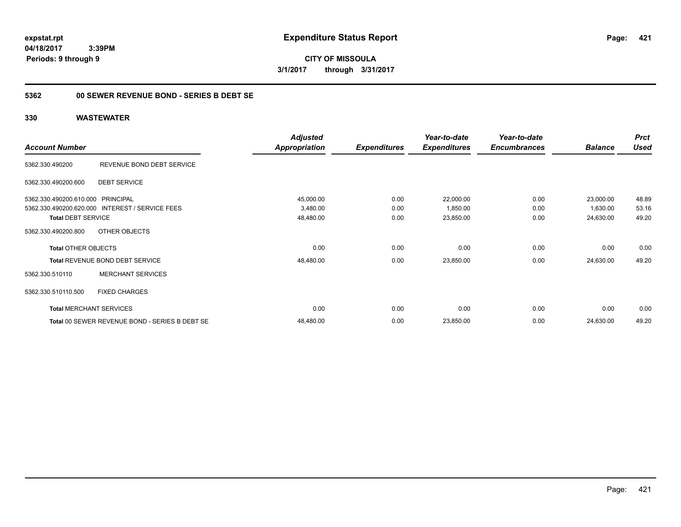**CITY OF MISSOULA 3/1/2017 through 3/31/2017**

## **5362 00 SEWER REVENUE BOND - SERIES B DEBT SE**

|                                   |                                                 | <b>Adjusted</b>      |                     | Year-to-date        | Year-to-date        |                | <b>Prct</b> |
|-----------------------------------|-------------------------------------------------|----------------------|---------------------|---------------------|---------------------|----------------|-------------|
| <b>Account Number</b>             |                                                 | <b>Appropriation</b> | <b>Expenditures</b> | <b>Expenditures</b> | <b>Encumbrances</b> | <b>Balance</b> | <b>Used</b> |
| 5362.330.490200                   | REVENUE BOND DEBT SERVICE                       |                      |                     |                     |                     |                |             |
| 5362.330.490200.600               | <b>DEBT SERVICE</b>                             |                      |                     |                     |                     |                |             |
| 5362.330.490200.610.000 PRINCIPAL |                                                 | 45,000.00            | 0.00                | 22,000.00           | 0.00                | 23,000.00      | 48.89       |
|                                   | 5362.330.490200.620.000 INTEREST / SERVICE FEES | 3,480.00             | 0.00                | 1,850.00            | 0.00                | 1,630.00       | 53.16       |
| <b>Total DEBT SERVICE</b>         |                                                 | 48,480.00            | 0.00                | 23,850.00           | 0.00                | 24,630.00      | 49.20       |
| 5362.330.490200.800               | OTHER OBJECTS                                   |                      |                     |                     |                     |                |             |
| <b>Total OTHER OBJECTS</b>        |                                                 | 0.00                 | 0.00                | 0.00                | 0.00                | 0.00           | 0.00        |
|                                   | Total REVENUE BOND DEBT SERVICE                 | 48,480.00            | 0.00                | 23,850.00           | 0.00                | 24,630.00      | 49.20       |
| 5362.330.510110                   | <b>MERCHANT SERVICES</b>                        |                      |                     |                     |                     |                |             |
| 5362.330.510110.500               | <b>FIXED CHARGES</b>                            |                      |                     |                     |                     |                |             |
|                                   | <b>Total MERCHANT SERVICES</b>                  | 0.00                 | 0.00                | 0.00                | 0.00                | 0.00           | 0.00        |
|                                   | Total 00 SEWER REVENUE BOND - SERIES B DEBT SE  | 48,480.00            | 0.00                | 23,850.00           | 0.00                | 24,630.00      | 49.20       |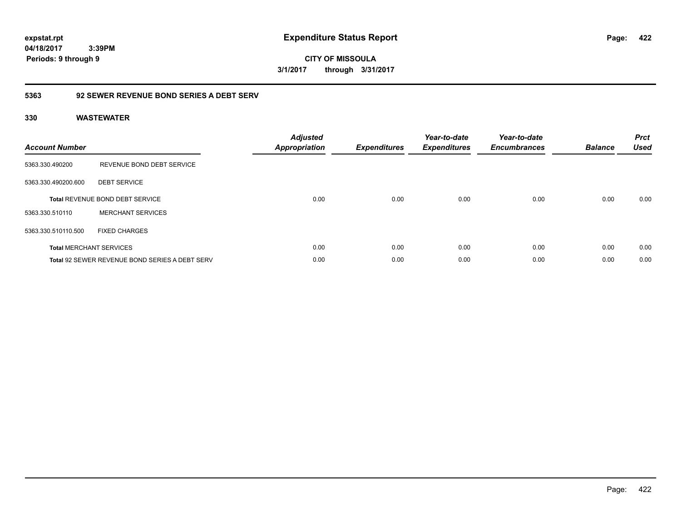**CITY OF MISSOULA 3/1/2017 through 3/31/2017**

## **5363 92 SEWER REVENUE BOND SERIES A DEBT SERV**

| <b>Account Number</b> |                                                       | <b>Adjusted</b><br><b>Appropriation</b> | <b>Expenditures</b> | Year-to-date<br><b>Expenditures</b> | Year-to-date<br><b>Encumbrances</b> | <b>Balance</b> | <b>Prct</b><br><b>Used</b> |
|-----------------------|-------------------------------------------------------|-----------------------------------------|---------------------|-------------------------------------|-------------------------------------|----------------|----------------------------|
| 5363.330.490200       | REVENUE BOND DEBT SERVICE                             |                                         |                     |                                     |                                     |                |                            |
| 5363.330.490200.600   | <b>DEBT SERVICE</b>                                   |                                         |                     |                                     |                                     |                |                            |
|                       | <b>Total REVENUE BOND DEBT SERVICE</b>                | 0.00                                    | 0.00                | 0.00                                | 0.00                                | 0.00           | 0.00                       |
| 5363.330.510110       | <b>MERCHANT SERVICES</b>                              |                                         |                     |                                     |                                     |                |                            |
| 5363.330.510110.500   | <b>FIXED CHARGES</b>                                  |                                         |                     |                                     |                                     |                |                            |
|                       | <b>Total MERCHANT SERVICES</b>                        | 0.00                                    | 0.00                | 0.00                                | 0.00                                | 0.00           | 0.00                       |
|                       | <b>Total 92 SEWER REVENUE BOND SERIES A DEBT SERV</b> | 0.00                                    | 0.00                | 0.00                                | 0.00                                | 0.00           | 0.00                       |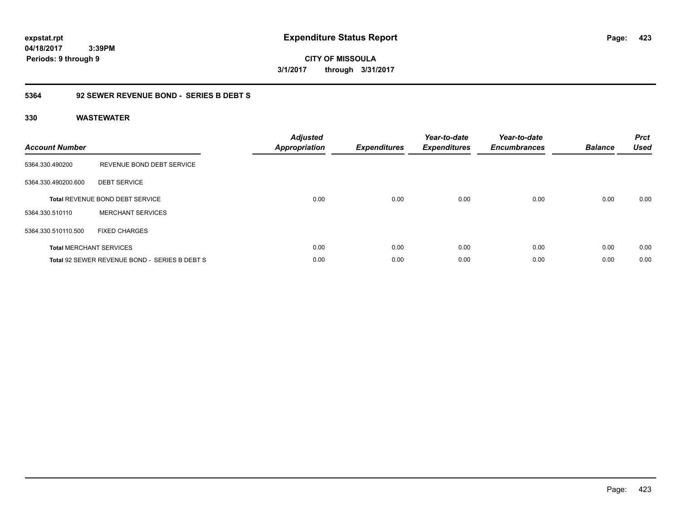**CITY OF MISSOULA 3/1/2017 through 3/31/2017**

# **5364 92 SEWER REVENUE BOND - SERIES B DEBT S**

| <b>Account Number</b> |                                               | <b>Adjusted</b><br>Appropriation | <b>Expenditures</b> | Year-to-date<br><b>Expenditures</b> | Year-to-date<br><b>Encumbrances</b> | <b>Balance</b> | <b>Prct</b><br><b>Used</b> |
|-----------------------|-----------------------------------------------|----------------------------------|---------------------|-------------------------------------|-------------------------------------|----------------|----------------------------|
| 5364.330.490200       | REVENUE BOND DEBT SERVICE                     |                                  |                     |                                     |                                     |                |                            |
| 5364.330.490200.600   | <b>DEBT SERVICE</b>                           |                                  |                     |                                     |                                     |                |                            |
|                       | <b>Total REVENUE BOND DEBT SERVICE</b>        | 0.00                             | 0.00                | 0.00                                | 0.00                                | 0.00           | 0.00                       |
| 5364.330.510110       | <b>MERCHANT SERVICES</b>                      |                                  |                     |                                     |                                     |                |                            |
| 5364.330.510110.500   | <b>FIXED CHARGES</b>                          |                                  |                     |                                     |                                     |                |                            |
|                       | <b>Total MERCHANT SERVICES</b>                | 0.00                             | 0.00                | 0.00                                | 0.00                                | 0.00           | 0.00                       |
|                       | Total 92 SEWER REVENUE BOND - SERIES B DEBT S | 0.00                             | 0.00                | 0.00                                | 0.00                                | 0.00           | 0.00                       |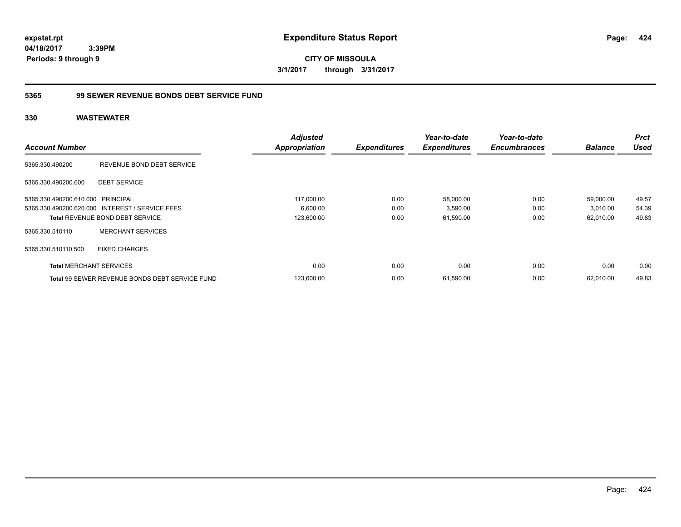**CITY OF MISSOULA 3/1/2017 through 3/31/2017**

## **5365 99 SEWER REVENUE BONDS DEBT SERVICE FUND**

|                                   |                                                       | <b>Adjusted</b>      |                     | Year-to-date        | Year-to-date        |                | <b>Prct</b> |
|-----------------------------------|-------------------------------------------------------|----------------------|---------------------|---------------------|---------------------|----------------|-------------|
| <b>Account Number</b>             |                                                       | <b>Appropriation</b> | <b>Expenditures</b> | <b>Expenditures</b> | <b>Encumbrances</b> | <b>Balance</b> | <b>Used</b> |
| 5365.330.490200                   | REVENUE BOND DEBT SERVICE                             |                      |                     |                     |                     |                |             |
| 5365.330.490200.600               | <b>DEBT SERVICE</b>                                   |                      |                     |                     |                     |                |             |
| 5365.330.490200.610.000 PRINCIPAL |                                                       | 117,000.00           | 0.00                | 58,000.00           | 0.00                | 59,000.00      | 49.57       |
|                                   | 5365.330.490200.620.000 INTEREST / SERVICE FEES       | 6,600.00             | 0.00                | 3,590.00            | 0.00                | 3,010.00       | 54.39       |
|                                   | <b>Total REVENUE BOND DEBT SERVICE</b>                | 123,600.00           | 0.00                | 61,590.00           | 0.00                | 62,010.00      | 49.83       |
| 5365.330.510110                   | <b>MERCHANT SERVICES</b>                              |                      |                     |                     |                     |                |             |
| 5365.330.510110.500               | <b>FIXED CHARGES</b>                                  |                      |                     |                     |                     |                |             |
| <b>Total MERCHANT SERVICES</b>    |                                                       | 0.00                 | 0.00                | 0.00                | 0.00                | 0.00           | 0.00        |
|                                   | <b>Total 99 SEWER REVENUE BONDS DEBT SERVICE FUND</b> | 123,600.00           | 0.00                | 61,590.00           | 0.00                | 62,010.00      | 49.83       |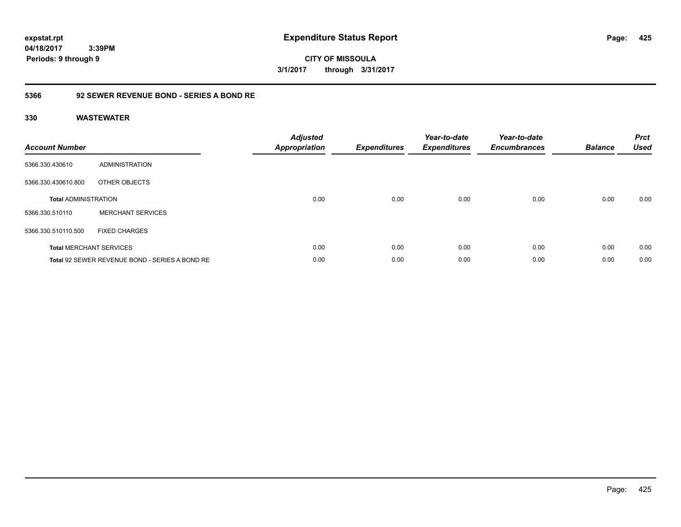**CITY OF MISSOULA 3/1/2017 through 3/31/2017**

## **5366 92 SEWER REVENUE BOND - SERIES A BOND RE**

| <b>Account Number</b>       |                                                | <b>Adjusted</b><br><b>Appropriation</b> | <b>Expenditures</b> | Year-to-date<br><b>Expenditures</b> | Year-to-date<br><b>Encumbrances</b> | <b>Balance</b> | <b>Prct</b><br><b>Used</b> |
|-----------------------------|------------------------------------------------|-----------------------------------------|---------------------|-------------------------------------|-------------------------------------|----------------|----------------------------|
| 5366.330.430610             | <b>ADMINISTRATION</b>                          |                                         |                     |                                     |                                     |                |                            |
| 5366.330.430610.800         | OTHER OBJECTS                                  |                                         |                     |                                     |                                     |                |                            |
| <b>Total ADMINISTRATION</b> |                                                | 0.00                                    | 0.00                | 0.00                                | 0.00                                | 0.00           | 0.00                       |
| 5366.330.510110             | <b>MERCHANT SERVICES</b>                       |                                         |                     |                                     |                                     |                |                            |
| 5366.330.510110.500         | <b>FIXED CHARGES</b>                           |                                         |                     |                                     |                                     |                |                            |
|                             | <b>Total MERCHANT SERVICES</b>                 | 0.00                                    | 0.00                | 0.00                                | 0.00                                | 0.00           | 0.00                       |
|                             | Total 92 SEWER REVENUE BOND - SERIES A BOND RE | 0.00                                    | 0.00                | 0.00                                | 0.00                                | 0.00           | 0.00                       |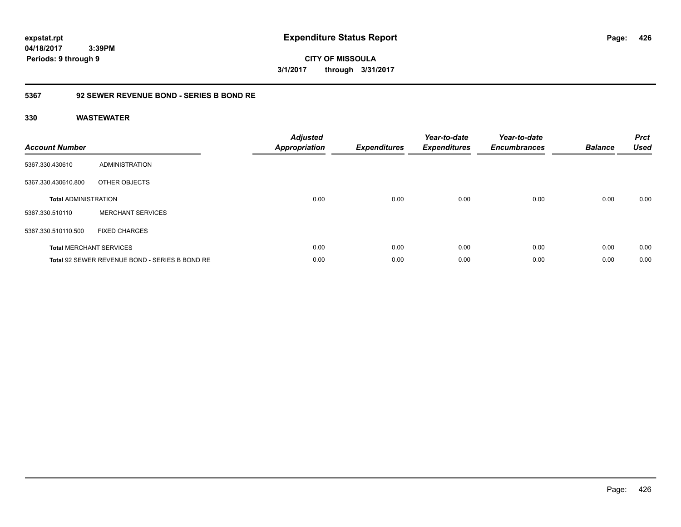**CITY OF MISSOULA 3/1/2017 through 3/31/2017**

## **5367 92 SEWER REVENUE BOND - SERIES B BOND RE**

| <b>Account Number</b>       |                                                | <b>Adjusted</b><br>Appropriation | <b>Expenditures</b> | Year-to-date<br><b>Expenditures</b> | Year-to-date<br><b>Encumbrances</b> | <b>Balance</b> | <b>Prct</b><br><b>Used</b> |
|-----------------------------|------------------------------------------------|----------------------------------|---------------------|-------------------------------------|-------------------------------------|----------------|----------------------------|
| 5367.330.430610             | ADMINISTRATION                                 |                                  |                     |                                     |                                     |                |                            |
| 5367.330.430610.800         | OTHER OBJECTS                                  |                                  |                     |                                     |                                     |                |                            |
| <b>Total ADMINISTRATION</b> |                                                | 0.00                             | 0.00                | 0.00                                | 0.00                                | 0.00           | 0.00                       |
| 5367.330.510110             | <b>MERCHANT SERVICES</b>                       |                                  |                     |                                     |                                     |                |                            |
| 5367.330.510110.500         | <b>FIXED CHARGES</b>                           |                                  |                     |                                     |                                     |                |                            |
|                             | <b>Total MERCHANT SERVICES</b>                 | 0.00                             | 0.00                | 0.00                                | 0.00                                | 0.00           | 0.00                       |
|                             | Total 92 SEWER REVENUE BOND - SERIES B BOND RE | 0.00                             | 0.00                | 0.00                                | 0.00                                | 0.00           | 0.00                       |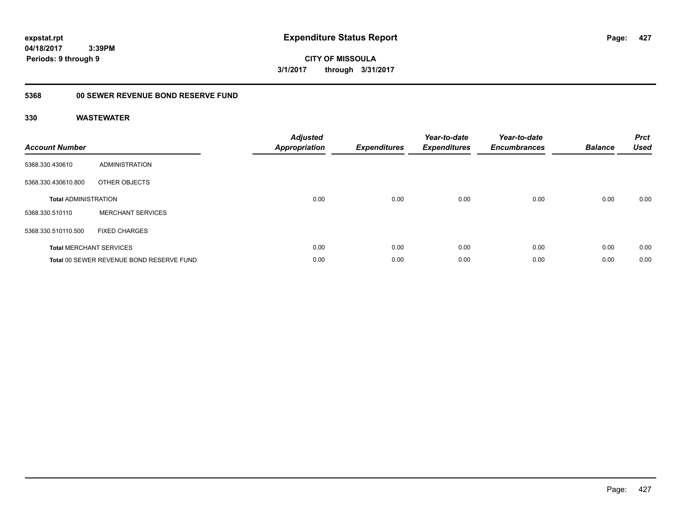**CITY OF MISSOULA 3/1/2017 through 3/31/2017**

# **5368 00 SEWER REVENUE BOND RESERVE FUND**

| <b>Account Number</b>       |                                          | <b>Adjusted</b><br><b>Appropriation</b> | <b>Expenditures</b> | Year-to-date<br><b>Expenditures</b> | Year-to-date<br><b>Encumbrances</b> | <b>Balance</b> | <b>Prct</b><br><b>Used</b> |
|-----------------------------|------------------------------------------|-----------------------------------------|---------------------|-------------------------------------|-------------------------------------|----------------|----------------------------|
| 5368.330.430610             | ADMINISTRATION                           |                                         |                     |                                     |                                     |                |                            |
| 5368.330.430610.800         | OTHER OBJECTS                            |                                         |                     |                                     |                                     |                |                            |
| <b>Total ADMINISTRATION</b> |                                          | 0.00                                    | 0.00                | 0.00                                | 0.00                                | 0.00           | 0.00                       |
| 5368.330.510110             | <b>MERCHANT SERVICES</b>                 |                                         |                     |                                     |                                     |                |                            |
| 5368.330.510110.500         | <b>FIXED CHARGES</b>                     |                                         |                     |                                     |                                     |                |                            |
|                             | <b>Total MERCHANT SERVICES</b>           | 0.00                                    | 0.00                | 0.00                                | 0.00                                | 0.00           | 0.00                       |
|                             | Total 00 SEWER REVENUE BOND RESERVE FUND | 0.00                                    | 0.00                | 0.00                                | 0.00                                | 0.00           | 0.00                       |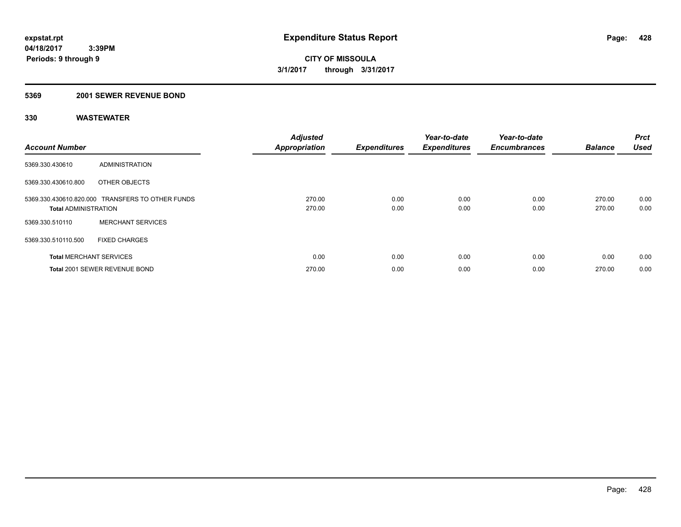#### **5369 2001 SEWER REVENUE BOND**

| <b>Account Number</b>          |                                                  | <b>Adjusted</b><br><b>Appropriation</b> | <b>Expenditures</b> | Year-to-date<br><b>Expenditures</b> | Year-to-date<br><b>Encumbrances</b> | <b>Balance</b>   | <b>Prct</b><br><b>Used</b> |
|--------------------------------|--------------------------------------------------|-----------------------------------------|---------------------|-------------------------------------|-------------------------------------|------------------|----------------------------|
| 5369.330.430610                | ADMINISTRATION                                   |                                         |                     |                                     |                                     |                  |                            |
| 5369.330.430610.800            | OTHER OBJECTS                                    |                                         |                     |                                     |                                     |                  |                            |
| <b>Total ADMINISTRATION</b>    | 5369.330.430610.820.000 TRANSFERS TO OTHER FUNDS | 270.00<br>270.00                        | 0.00<br>0.00        | 0.00<br>0.00                        | 0.00<br>0.00                        | 270.00<br>270.00 | 0.00<br>0.00               |
| 5369.330.510110                | <b>MERCHANT SERVICES</b>                         |                                         |                     |                                     |                                     |                  |                            |
| 5369.330.510110.500            | <b>FIXED CHARGES</b>                             |                                         |                     |                                     |                                     |                  |                            |
| <b>Total MERCHANT SERVICES</b> |                                                  | 0.00                                    | 0.00                | 0.00                                | 0.00                                | 0.00             | 0.00                       |
|                                | Total 2001 SEWER REVENUE BOND                    | 270.00                                  | 0.00                | 0.00                                | 0.00                                | 270.00           | 0.00                       |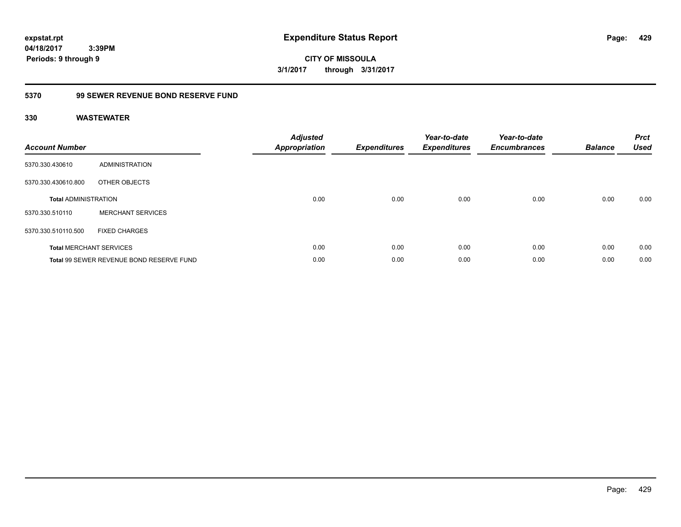**CITY OF MISSOULA 3/1/2017 through 3/31/2017**

# **5370 99 SEWER REVENUE BOND RESERVE FUND**

| <b>Account Number</b>       |                                          | <b>Adjusted</b><br>Appropriation | <b>Expenditures</b> | Year-to-date<br><b>Expenditures</b> | Year-to-date<br><b>Encumbrances</b> | <b>Balance</b> | <b>Prct</b><br><b>Used</b> |
|-----------------------------|------------------------------------------|----------------------------------|---------------------|-------------------------------------|-------------------------------------|----------------|----------------------------|
| 5370.330.430610             | ADMINISTRATION                           |                                  |                     |                                     |                                     |                |                            |
| 5370.330.430610.800         | OTHER OBJECTS                            |                                  |                     |                                     |                                     |                |                            |
| <b>Total ADMINISTRATION</b> |                                          | 0.00                             | 0.00                | 0.00                                | 0.00                                | 0.00           | 0.00                       |
| 5370.330.510110             | <b>MERCHANT SERVICES</b>                 |                                  |                     |                                     |                                     |                |                            |
| 5370.330.510110.500         | <b>FIXED CHARGES</b>                     |                                  |                     |                                     |                                     |                |                            |
|                             | <b>Total MERCHANT SERVICES</b>           | 0.00                             | 0.00                | 0.00                                | 0.00                                | 0.00           | 0.00                       |
|                             | Total 99 SEWER REVENUE BOND RESERVE FUND | 0.00                             | 0.00                | 0.00                                | 0.00                                | 0.00           | 0.00                       |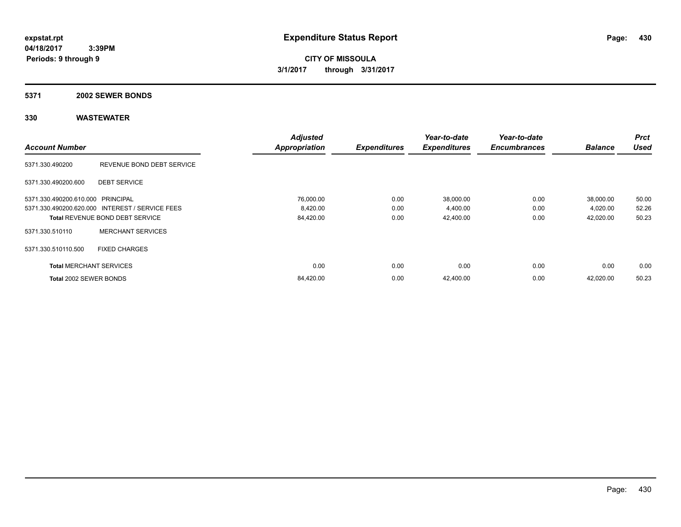**CITY OF MISSOULA 3/1/2017 through 3/31/2017**

#### **5371 2002 SEWER BONDS**

|                                   |                                                 | <b>Adjusted</b>      |                     | Year-to-date        | Year-to-date        |                | <b>Prct</b> |
|-----------------------------------|-------------------------------------------------|----------------------|---------------------|---------------------|---------------------|----------------|-------------|
| <b>Account Number</b>             |                                                 | <b>Appropriation</b> | <b>Expenditures</b> | <b>Expenditures</b> | <b>Encumbrances</b> | <b>Balance</b> | <b>Used</b> |
| 5371.330.490200                   | REVENUE BOND DEBT SERVICE                       |                      |                     |                     |                     |                |             |
| 5371.330.490200.600               | <b>DEBT SERVICE</b>                             |                      |                     |                     |                     |                |             |
| 5371.330.490200.610.000 PRINCIPAL |                                                 | 76,000.00            | 0.00                | 38,000.00           | 0.00                | 38,000.00      | 50.00       |
|                                   | 5371.330.490200.620.000 INTEREST / SERVICE FEES | 8,420.00             | 0.00                | 4,400.00            | 0.00                | 4,020.00       | 52.26       |
|                                   | <b>Total REVENUE BOND DEBT SERVICE</b>          | 84,420.00            | 0.00                | 42,400.00           | 0.00                | 42,020.00      | 50.23       |
| 5371.330.510110                   | <b>MERCHANT SERVICES</b>                        |                      |                     |                     |                     |                |             |
| 5371.330.510110.500               | <b>FIXED CHARGES</b>                            |                      |                     |                     |                     |                |             |
| <b>Total MERCHANT SERVICES</b>    |                                                 | 0.00                 | 0.00                | 0.00                | 0.00                | 0.00           | 0.00        |
| Total 2002 SEWER BONDS            |                                                 | 84,420.00            | 0.00                | 42,400.00           | 0.00                | 42,020.00      | 50.23       |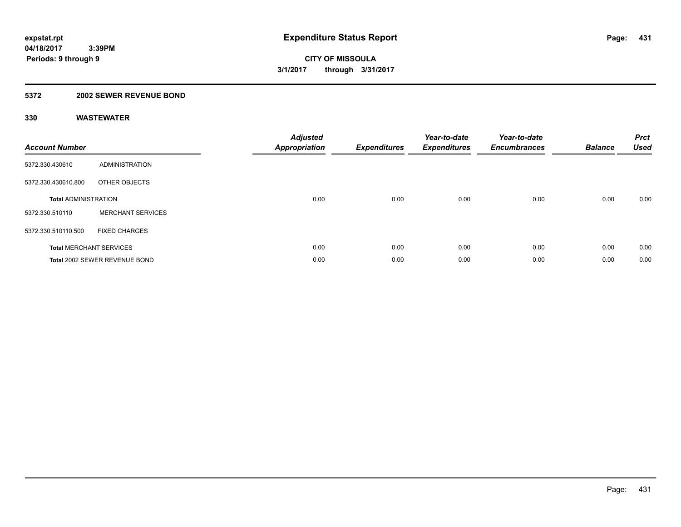### **5372 2002 SEWER REVENUE BOND**

| <b>Account Number</b>       |                                | <b>Adjusted</b><br>Appropriation | <b>Expenditures</b> | Year-to-date<br><b>Expenditures</b> | Year-to-date<br><b>Encumbrances</b> | <b>Balance</b> | <b>Prct</b><br><b>Used</b> |
|-----------------------------|--------------------------------|----------------------------------|---------------------|-------------------------------------|-------------------------------------|----------------|----------------------------|
| 5372.330.430610             | ADMINISTRATION                 |                                  |                     |                                     |                                     |                |                            |
| 5372.330.430610.800         | OTHER OBJECTS                  |                                  |                     |                                     |                                     |                |                            |
| <b>Total ADMINISTRATION</b> |                                | 0.00                             | 0.00                | 0.00                                | 0.00                                | 0.00           | 0.00                       |
| 5372.330.510110             | <b>MERCHANT SERVICES</b>       |                                  |                     |                                     |                                     |                |                            |
| 5372.330.510110.500         | <b>FIXED CHARGES</b>           |                                  |                     |                                     |                                     |                |                            |
|                             | <b>Total MERCHANT SERVICES</b> | 0.00                             | 0.00                | 0.00                                | 0.00                                | 0.00           | 0.00                       |
|                             | Total 2002 SEWER REVENUE BOND  | 0.00                             | 0.00                | 0.00                                | 0.00                                | 0.00           | 0.00                       |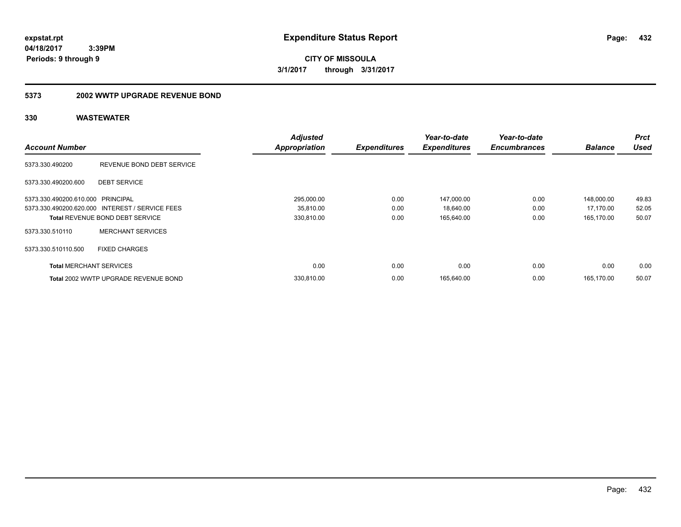**CITY OF MISSOULA 3/1/2017 through 3/31/2017**

#### **5373 2002 WWTP UPGRADE REVENUE BOND**

|                                   |                                                 | <b>Adjusted</b>      |                     | Year-to-date        | Year-to-date        |                | <b>Prct</b> |
|-----------------------------------|-------------------------------------------------|----------------------|---------------------|---------------------|---------------------|----------------|-------------|
| <b>Account Number</b>             |                                                 | <b>Appropriation</b> | <b>Expenditures</b> | <b>Expenditures</b> | <b>Encumbrances</b> | <b>Balance</b> | <b>Used</b> |
| 5373.330.490200                   | REVENUE BOND DEBT SERVICE                       |                      |                     |                     |                     |                |             |
| 5373.330.490200.600               | <b>DEBT SERVICE</b>                             |                      |                     |                     |                     |                |             |
| 5373.330.490200.610.000 PRINCIPAL |                                                 | 295,000.00           | 0.00                | 147,000.00          | 0.00                | 148,000.00     | 49.83       |
|                                   | 5373.330.490200.620.000 INTEREST / SERVICE FEES | 35,810.00            | 0.00                | 18,640.00           | 0.00                | 17,170.00      | 52.05       |
|                                   | <b>Total REVENUE BOND DEBT SERVICE</b>          | 330,810.00           | 0.00                | 165.640.00          | 0.00                | 165.170.00     | 50.07       |
| 5373.330.510110                   | <b>MERCHANT SERVICES</b>                        |                      |                     |                     |                     |                |             |
| 5373.330.510110.500               | <b>FIXED CHARGES</b>                            |                      |                     |                     |                     |                |             |
| <b>Total MERCHANT SERVICES</b>    |                                                 | 0.00                 | 0.00                | 0.00                | 0.00                | 0.00           | 0.00        |
|                                   | Total 2002 WWTP UPGRADE REVENUE BOND            | 330.810.00           | 0.00                | 165.640.00          | 0.00                | 165.170.00     | 50.07       |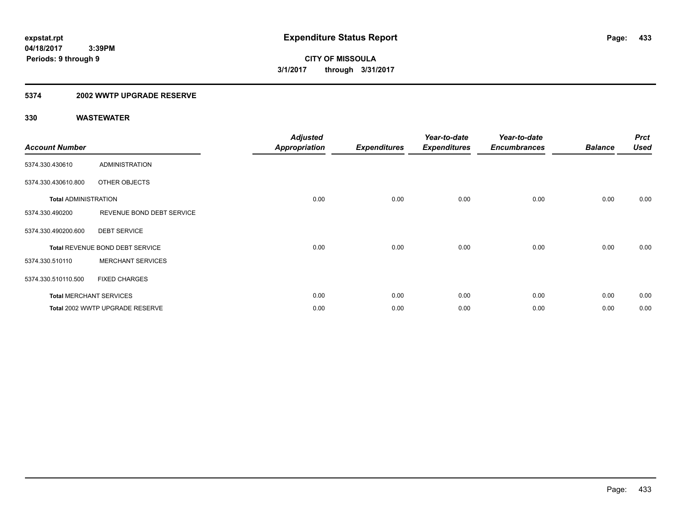### **5374 2002 WWTP UPGRADE RESERVE**

| <b>Account Number</b>       |                                 | <b>Adjusted</b><br><b>Appropriation</b> | <b>Expenditures</b> | Year-to-date<br><b>Expenditures</b> | Year-to-date<br><b>Encumbrances</b> | <b>Balance</b> | <b>Prct</b><br><b>Used</b> |
|-----------------------------|---------------------------------|-----------------------------------------|---------------------|-------------------------------------|-------------------------------------|----------------|----------------------------|
| 5374.330.430610             | <b>ADMINISTRATION</b>           |                                         |                     |                                     |                                     |                |                            |
| 5374.330.430610.800         | OTHER OBJECTS                   |                                         |                     |                                     |                                     |                |                            |
| <b>Total ADMINISTRATION</b> |                                 | 0.00                                    | 0.00                | 0.00                                | 0.00                                | 0.00           | 0.00                       |
| 5374.330.490200             | REVENUE BOND DEBT SERVICE       |                                         |                     |                                     |                                     |                |                            |
| 5374.330.490200.600         | <b>DEBT SERVICE</b>             |                                         |                     |                                     |                                     |                |                            |
|                             | Total REVENUE BOND DEBT SERVICE | 0.00                                    | 0.00                | 0.00                                | 0.00                                | 0.00           | 0.00                       |
| 5374.330.510110             | <b>MERCHANT SERVICES</b>        |                                         |                     |                                     |                                     |                |                            |
| 5374.330.510110.500         | <b>FIXED CHARGES</b>            |                                         |                     |                                     |                                     |                |                            |
|                             | <b>Total MERCHANT SERVICES</b>  | 0.00                                    | 0.00                | 0.00                                | 0.00                                | 0.00           | 0.00                       |
|                             | Total 2002 WWTP UPGRADE RESERVE | 0.00                                    | 0.00                | 0.00                                | 0.00                                | 0.00           | 0.00                       |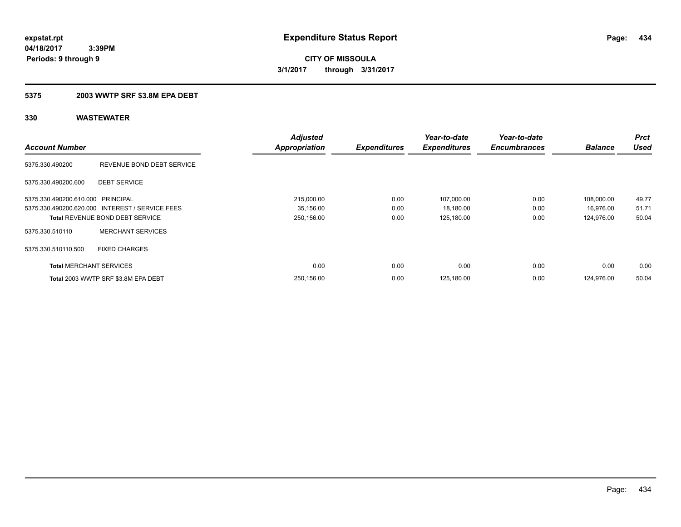# **CITY OF MISSOULA 3/1/2017 through 3/31/2017**

### **5375 2003 WWTP SRF \$3.8M EPA DEBT**

|                                   |                                                 | <b>Adjusted</b>      |                     | Year-to-date        | Year-to-date        |                | <b>Prct</b> |
|-----------------------------------|-------------------------------------------------|----------------------|---------------------|---------------------|---------------------|----------------|-------------|
| <b>Account Number</b>             |                                                 | <b>Appropriation</b> | <b>Expenditures</b> | <b>Expenditures</b> | <b>Encumbrances</b> | <b>Balance</b> | <b>Used</b> |
| 5375.330.490200                   | REVENUE BOND DEBT SERVICE                       |                      |                     |                     |                     |                |             |
| 5375.330.490200.600               | <b>DEBT SERVICE</b>                             |                      |                     |                     |                     |                |             |
| 5375.330.490200.610.000 PRINCIPAL |                                                 | 215,000.00           | 0.00                | 107,000.00          | 0.00                | 108,000.00     | 49.77       |
|                                   | 5375.330.490200.620.000 INTEREST / SERVICE FEES | 35,156.00            | 0.00                | 18,180.00           | 0.00                | 16,976.00      | 51.71       |
|                                   | <b>Total REVENUE BOND DEBT SERVICE</b>          | 250,156.00           | 0.00                | 125,180.00          | 0.00                | 124.976.00     | 50.04       |
| 5375.330.510110                   | <b>MERCHANT SERVICES</b>                        |                      |                     |                     |                     |                |             |
| 5375.330.510110.500               | <b>FIXED CHARGES</b>                            |                      |                     |                     |                     |                |             |
| <b>Total MERCHANT SERVICES</b>    |                                                 | 0.00                 | 0.00                | 0.00                | 0.00                | 0.00           | 0.00        |
|                                   | Total 2003 WWTP SRF \$3.8M EPA DEBT             | 250.156.00           | 0.00                | 125.180.00          | 0.00                | 124.976.00     | 50.04       |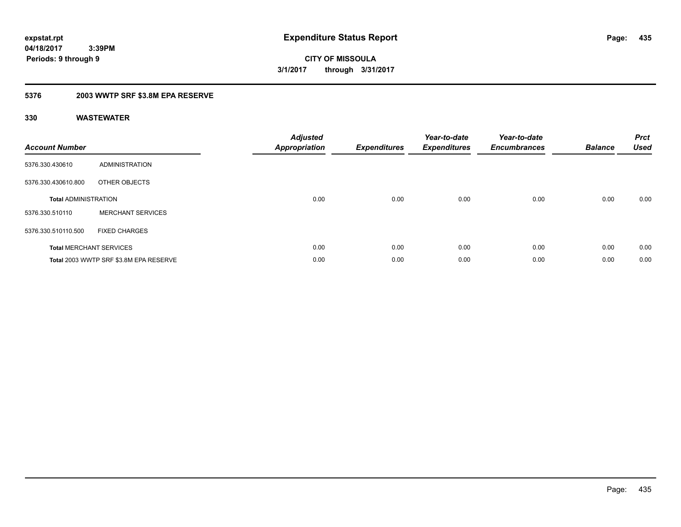**CITY OF MISSOULA 3/1/2017 through 3/31/2017**

### **5376 2003 WWTP SRF \$3.8M EPA RESERVE**

| <b>Account Number</b>       |                                        | <b>Adjusted</b><br><b>Appropriation</b> | <b>Expenditures</b> | Year-to-date<br><b>Expenditures</b> | Year-to-date<br><b>Encumbrances</b> | <b>Balance</b> | <b>Prct</b><br><b>Used</b> |
|-----------------------------|----------------------------------------|-----------------------------------------|---------------------|-------------------------------------|-------------------------------------|----------------|----------------------------|
| 5376.330.430610             | ADMINISTRATION                         |                                         |                     |                                     |                                     |                |                            |
| 5376.330.430610.800         | OTHER OBJECTS                          |                                         |                     |                                     |                                     |                |                            |
| <b>Total ADMINISTRATION</b> |                                        | 0.00                                    | 0.00                | 0.00                                | 0.00                                | 0.00           | 0.00                       |
| 5376.330.510110             | <b>MERCHANT SERVICES</b>               |                                         |                     |                                     |                                     |                |                            |
| 5376.330.510110.500         | <b>FIXED CHARGES</b>                   |                                         |                     |                                     |                                     |                |                            |
|                             | <b>Total MERCHANT SERVICES</b>         | 0.00                                    | 0.00                | 0.00                                | 0.00                                | 0.00           | 0.00                       |
|                             | Total 2003 WWTP SRF \$3.8M EPA RESERVE | 0.00                                    | 0.00                | 0.00                                | 0.00                                | 0.00           | 0.00                       |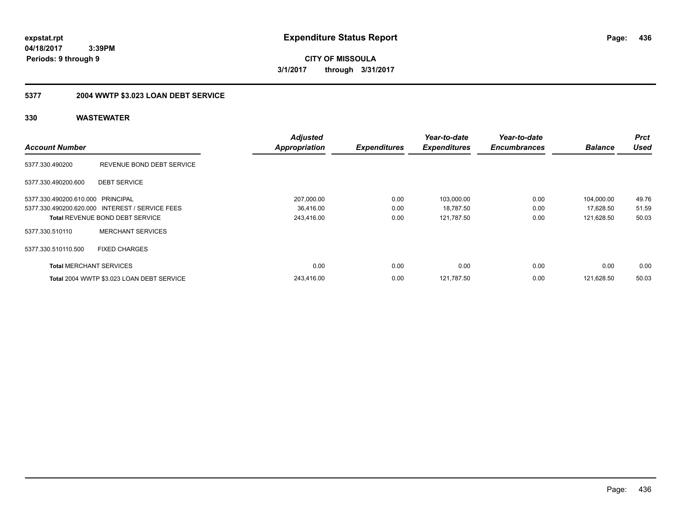**CITY OF MISSOULA 3/1/2017 through 3/31/2017**

## **5377 2004 WWTP \$3.023 LOAN DEBT SERVICE**

|                                   |                                                 | <b>Adjusted</b>      |                     | Year-to-date        | Year-to-date        |                | <b>Prct</b> |
|-----------------------------------|-------------------------------------------------|----------------------|---------------------|---------------------|---------------------|----------------|-------------|
| <b>Account Number</b>             |                                                 | <b>Appropriation</b> | <b>Expenditures</b> | <b>Expenditures</b> | <b>Encumbrances</b> | <b>Balance</b> | <b>Used</b> |
| 5377.330.490200                   | REVENUE BOND DEBT SERVICE                       |                      |                     |                     |                     |                |             |
| 5377.330.490200.600               | <b>DEBT SERVICE</b>                             |                      |                     |                     |                     |                |             |
| 5377.330.490200.610.000 PRINCIPAL |                                                 | 207,000.00           | 0.00                | 103,000.00          | 0.00                | 104,000.00     | 49.76       |
|                                   | 5377.330.490200.620.000 INTEREST / SERVICE FEES | 36.416.00            | 0.00                | 18,787.50           | 0.00                | 17,628.50      | 51.59       |
|                                   | <b>Total REVENUE BOND DEBT SERVICE</b>          | 243,416.00           | 0.00                | 121,787.50          | 0.00                | 121,628.50     | 50.03       |
| 5377.330.510110                   | <b>MERCHANT SERVICES</b>                        |                      |                     |                     |                     |                |             |
| 5377.330.510110.500               | <b>FIXED CHARGES</b>                            |                      |                     |                     |                     |                |             |
| <b>Total MERCHANT SERVICES</b>    |                                                 | 0.00                 | 0.00                | 0.00                | 0.00                | 0.00           | 0.00        |
|                                   | Total 2004 WWTP \$3.023 LOAN DEBT SERVICE       | 243,416.00           | 0.00                | 121,787.50          | 0.00                | 121,628.50     | 50.03       |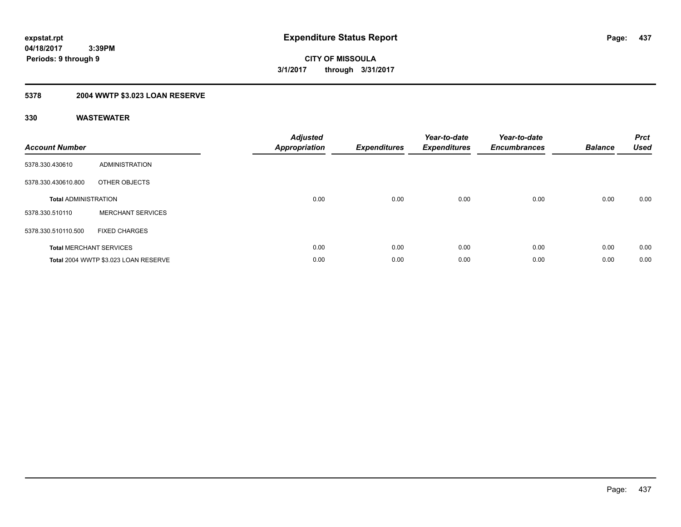## **5378 2004 WWTP \$3.023 LOAN RESERVE**

| <b>Account Number</b>          |                                      | <b>Adjusted</b><br><b>Appropriation</b> | <b>Expenditures</b> | Year-to-date<br><b>Expenditures</b> | Year-to-date<br><b>Encumbrances</b> | <b>Balance</b> | <b>Prct</b><br><b>Used</b> |
|--------------------------------|--------------------------------------|-----------------------------------------|---------------------|-------------------------------------|-------------------------------------|----------------|----------------------------|
| 5378.330.430610                | <b>ADMINISTRATION</b>                |                                         |                     |                                     |                                     |                |                            |
| 5378.330.430610.800            | OTHER OBJECTS                        |                                         |                     |                                     |                                     |                |                            |
| <b>Total ADMINISTRATION</b>    |                                      | 0.00                                    | 0.00                | 0.00                                | 0.00                                | 0.00           | 0.00                       |
| 5378.330.510110                | <b>MERCHANT SERVICES</b>             |                                         |                     |                                     |                                     |                |                            |
| 5378.330.510110.500            | <b>FIXED CHARGES</b>                 |                                         |                     |                                     |                                     |                |                            |
| <b>Total MERCHANT SERVICES</b> |                                      | 0.00                                    | 0.00                | 0.00                                | 0.00                                | 0.00           | 0.00                       |
|                                | Total 2004 WWTP \$3.023 LOAN RESERVE | 0.00                                    | 0.00                | 0.00                                | 0.00                                | 0.00           | 0.00                       |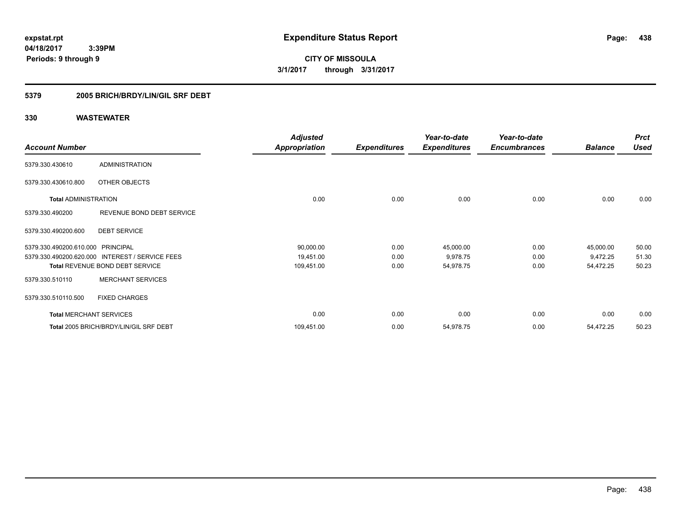**CITY OF MISSOULA 3/1/2017 through 3/31/2017**

### **5379 2005 BRICH/BRDY/LIN/GIL SRF DEBT**

|                                   |                                                 | <b>Adjusted</b>      |                     | Year-to-date        | Year-to-date        |                | <b>Prct</b> |
|-----------------------------------|-------------------------------------------------|----------------------|---------------------|---------------------|---------------------|----------------|-------------|
| <b>Account Number</b>             |                                                 | <b>Appropriation</b> | <b>Expenditures</b> | <b>Expenditures</b> | <b>Encumbrances</b> | <b>Balance</b> | <b>Used</b> |
| 5379.330.430610                   | <b>ADMINISTRATION</b>                           |                      |                     |                     |                     |                |             |
| 5379.330.430610.800               | OTHER OBJECTS                                   |                      |                     |                     |                     |                |             |
| <b>Total ADMINISTRATION</b>       |                                                 | 0.00                 | 0.00                | 0.00                | 0.00                | 0.00           | 0.00        |
| 5379.330.490200                   | REVENUE BOND DEBT SERVICE                       |                      |                     |                     |                     |                |             |
| 5379.330.490200.600               | <b>DEBT SERVICE</b>                             |                      |                     |                     |                     |                |             |
| 5379.330.490200.610.000 PRINCIPAL |                                                 | 90,000.00            | 0.00                | 45,000.00           | 0.00                | 45,000.00      | 50.00       |
|                                   | 5379.330.490200.620.000 INTEREST / SERVICE FEES | 19,451.00            | 0.00                | 9,978.75            | 0.00                | 9,472.25       | 51.30       |
|                                   | <b>Total REVENUE BOND DEBT SERVICE</b>          | 109,451.00           | 0.00                | 54,978.75           | 0.00                | 54,472.25      | 50.23       |
| 5379.330.510110                   | <b>MERCHANT SERVICES</b>                        |                      |                     |                     |                     |                |             |
| 5379.330.510110.500               | <b>FIXED CHARGES</b>                            |                      |                     |                     |                     |                |             |
| <b>Total MERCHANT SERVICES</b>    |                                                 | 0.00                 | 0.00                | 0.00                | 0.00                | 0.00           | 0.00        |
|                                   | Total 2005 BRICH/BRDY/LIN/GIL SRF DEBT          | 109,451.00           | 0.00                | 54,978.75           | 0.00                | 54,472.25      | 50.23       |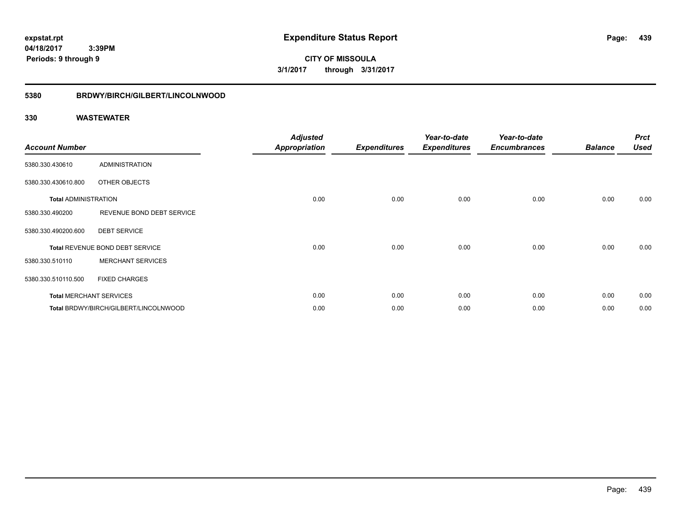**CITY OF MISSOULA 3/1/2017 through 3/31/2017**

### **5380 BRDWY/BIRCH/GILBERT/LINCOLNWOOD**

| <b>Account Number</b>       |                                       | <b>Adjusted</b><br>Appropriation | <b>Expenditures</b> | Year-to-date<br><b>Expenditures</b> | Year-to-date<br><b>Encumbrances</b> | <b>Balance</b> | <b>Prct</b><br><b>Used</b> |
|-----------------------------|---------------------------------------|----------------------------------|---------------------|-------------------------------------|-------------------------------------|----------------|----------------------------|
| 5380.330.430610             | ADMINISTRATION                        |                                  |                     |                                     |                                     |                |                            |
| 5380.330.430610.800         | OTHER OBJECTS                         |                                  |                     |                                     |                                     |                |                            |
| <b>Total ADMINISTRATION</b> |                                       | 0.00                             | 0.00                | 0.00                                | 0.00                                | 0.00           | 0.00                       |
| 5380.330.490200             | REVENUE BOND DEBT SERVICE             |                                  |                     |                                     |                                     |                |                            |
| 5380.330.490200.600         | <b>DEBT SERVICE</b>                   |                                  |                     |                                     |                                     |                |                            |
|                             | Total REVENUE BOND DEBT SERVICE       | 0.00                             | 0.00                | 0.00                                | 0.00                                | 0.00           | 0.00                       |
| 5380.330.510110             | <b>MERCHANT SERVICES</b>              |                                  |                     |                                     |                                     |                |                            |
| 5380.330.510110.500         | <b>FIXED CHARGES</b>                  |                                  |                     |                                     |                                     |                |                            |
|                             | <b>Total MERCHANT SERVICES</b>        | 0.00                             | 0.00                | 0.00                                | 0.00                                | 0.00           | 0.00                       |
|                             | Total BRDWY/BIRCH/GILBERT/LINCOLNWOOD | 0.00                             | 0.00                | 0.00                                | 0.00                                | 0.00           | 0.00                       |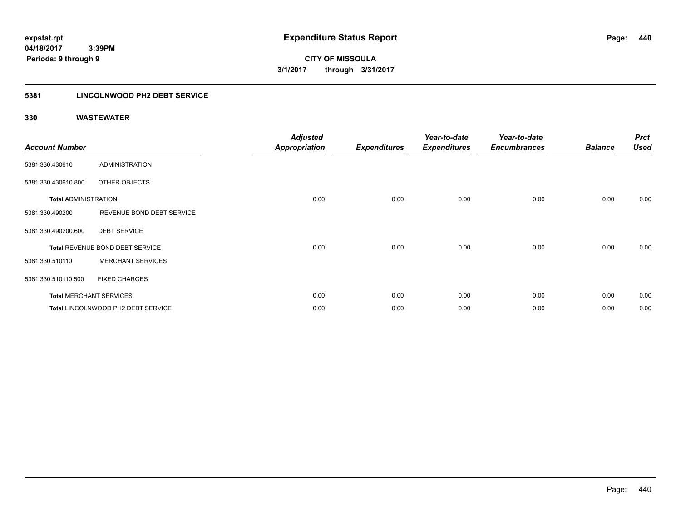### **5381 LINCOLNWOOD PH2 DEBT SERVICE**

| <b>Account Number</b>       |                                    | <b>Adjusted</b><br><b>Appropriation</b> | <b>Expenditures</b> | Year-to-date<br><b>Expenditures</b> | Year-to-date<br><b>Encumbrances</b> | <b>Balance</b> | <b>Prct</b><br><b>Used</b> |
|-----------------------------|------------------------------------|-----------------------------------------|---------------------|-------------------------------------|-------------------------------------|----------------|----------------------------|
| 5381.330.430610             | <b>ADMINISTRATION</b>              |                                         |                     |                                     |                                     |                |                            |
| 5381.330.430610.800         | OTHER OBJECTS                      |                                         |                     |                                     |                                     |                |                            |
| <b>Total ADMINISTRATION</b> |                                    | 0.00                                    | 0.00                | 0.00                                | 0.00                                | 0.00           | 0.00                       |
| 5381.330.490200             | REVENUE BOND DEBT SERVICE          |                                         |                     |                                     |                                     |                |                            |
| 5381.330.490200.600         | <b>DEBT SERVICE</b>                |                                         |                     |                                     |                                     |                |                            |
|                             | Total REVENUE BOND DEBT SERVICE    | 0.00                                    | 0.00                | 0.00                                | 0.00                                | 0.00           | 0.00                       |
| 5381.330.510110             | <b>MERCHANT SERVICES</b>           |                                         |                     |                                     |                                     |                |                            |
| 5381.330.510110.500         | <b>FIXED CHARGES</b>               |                                         |                     |                                     |                                     |                |                            |
|                             | <b>Total MERCHANT SERVICES</b>     | 0.00                                    | 0.00                | 0.00                                | 0.00                                | 0.00           | 0.00                       |
|                             | Total LINCOLNWOOD PH2 DEBT SERVICE | 0.00                                    | 0.00                | 0.00                                | 0.00                                | 0.00           | 0.00                       |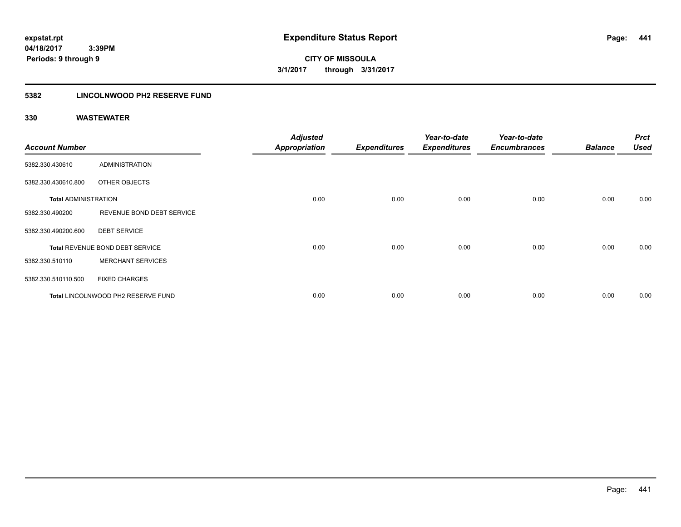**CITY OF MISSOULA 3/1/2017 through 3/31/2017**

### **5382 LINCOLNWOOD PH2 RESERVE FUND**

| <b>Account Number</b>       |                                    | <b>Adjusted</b><br><b>Appropriation</b> | <b>Expenditures</b> | Year-to-date<br><b>Expenditures</b> | Year-to-date<br><b>Encumbrances</b> | <b>Balance</b> | <b>Prct</b><br><b>Used</b> |
|-----------------------------|------------------------------------|-----------------------------------------|---------------------|-------------------------------------|-------------------------------------|----------------|----------------------------|
| 5382.330.430610             | ADMINISTRATION                     |                                         |                     |                                     |                                     |                |                            |
| 5382.330.430610.800         | OTHER OBJECTS                      |                                         |                     |                                     |                                     |                |                            |
| <b>Total ADMINISTRATION</b> |                                    | 0.00                                    | 0.00                | 0.00                                | 0.00                                | 0.00           | 0.00                       |
| 5382.330.490200             | REVENUE BOND DEBT SERVICE          |                                         |                     |                                     |                                     |                |                            |
| 5382.330.490200.600         | <b>DEBT SERVICE</b>                |                                         |                     |                                     |                                     |                |                            |
|                             | Total REVENUE BOND DEBT SERVICE    | 0.00                                    | 0.00                | 0.00                                | 0.00                                | 0.00           | 0.00                       |
| 5382.330.510110             | <b>MERCHANT SERVICES</b>           |                                         |                     |                                     |                                     |                |                            |
| 5382.330.510110.500         | <b>FIXED CHARGES</b>               |                                         |                     |                                     |                                     |                |                            |
|                             | Total LINCOLNWOOD PH2 RESERVE FUND | 0.00                                    | 0.00                | 0.00                                | 0.00                                | 0.00           | 0.00                       |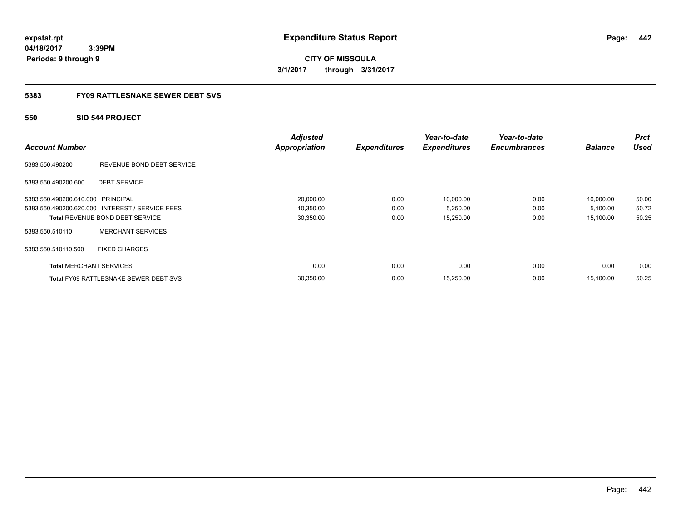**CITY OF MISSOULA 3/1/2017 through 3/31/2017**

### **5383 FY09 RATTLESNAKE SEWER DEBT SVS**

### **550 SID 544 PROJECT**

|                                   |                                                 | <b>Adjusted</b>      |                     | Year-to-date        | Year-to-date        |                | <b>Prct</b> |
|-----------------------------------|-------------------------------------------------|----------------------|---------------------|---------------------|---------------------|----------------|-------------|
| <b>Account Number</b>             |                                                 | <b>Appropriation</b> | <b>Expenditures</b> | <b>Expenditures</b> | <b>Encumbrances</b> | <b>Balance</b> | <b>Used</b> |
| 5383.550.490200                   | REVENUE BOND DEBT SERVICE                       |                      |                     |                     |                     |                |             |
| 5383.550.490200.600               | <b>DEBT SERVICE</b>                             |                      |                     |                     |                     |                |             |
| 5383.550.490200.610.000 PRINCIPAL |                                                 | 20,000.00            | 0.00                | 10,000.00           | 0.00                | 10,000.00      | 50.00       |
|                                   | 5383.550.490200.620.000 INTEREST / SERVICE FEES | 10,350.00            | 0.00                | 5,250.00            | 0.00                | 5,100.00       | 50.72       |
|                                   | <b>Total REVENUE BOND DEBT SERVICE</b>          | 30,350.00            | 0.00                | 15,250.00           | 0.00                | 15,100.00      | 50.25       |
| 5383.550.510110                   | <b>MERCHANT SERVICES</b>                        |                      |                     |                     |                     |                |             |
| 5383.550.510110.500               | <b>FIXED CHARGES</b>                            |                      |                     |                     |                     |                |             |
| <b>Total MERCHANT SERVICES</b>    |                                                 | 0.00                 | 0.00                | 0.00                | 0.00                | 0.00           | 0.00        |
|                                   | <b>Total FY09 RATTLESNAKE SEWER DEBT SVS</b>    | 30,350.00            | 0.00                | 15,250.00           | 0.00                | 15.100.00      | 50.25       |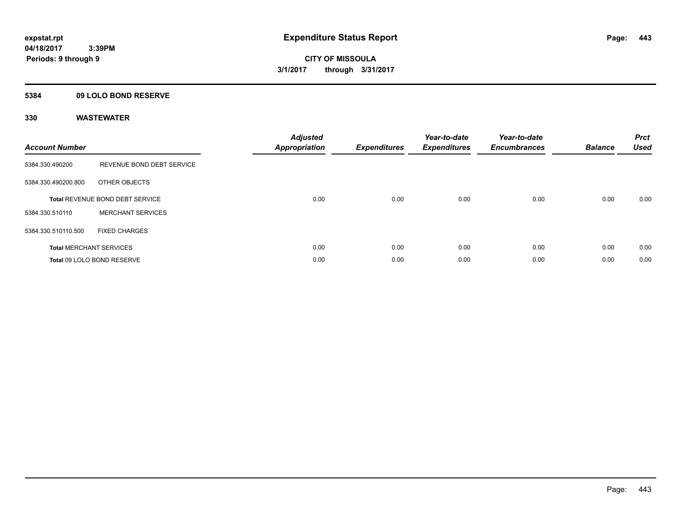### **5384 09 LOLO BOND RESERVE**

| <b>Account Number</b> |                                        | <b>Adjusted</b><br>Appropriation | <b>Expenditures</b> | Year-to-date<br><b>Expenditures</b> | Year-to-date<br><b>Encumbrances</b> | <b>Balance</b> | <b>Prct</b><br><b>Used</b> |
|-----------------------|----------------------------------------|----------------------------------|---------------------|-------------------------------------|-------------------------------------|----------------|----------------------------|
| 5384.330.490200       | REVENUE BOND DEBT SERVICE              |                                  |                     |                                     |                                     |                |                            |
| 5384.330.490200.800   | OTHER OBJECTS                          |                                  |                     |                                     |                                     |                |                            |
|                       | <b>Total REVENUE BOND DEBT SERVICE</b> | 0.00                             | 0.00                | 0.00                                | 0.00                                | 0.00           | 0.00                       |
| 5384.330.510110       | <b>MERCHANT SERVICES</b>               |                                  |                     |                                     |                                     |                |                            |
| 5384.330.510110.500   | <b>FIXED CHARGES</b>                   |                                  |                     |                                     |                                     |                |                            |
|                       | <b>Total MERCHANT SERVICES</b>         | 0.00                             | 0.00                | 0.00                                | 0.00                                | 0.00           | 0.00                       |
|                       | Total 09 LOLO BOND RESERVE             | 0.00                             | 0.00                | 0.00                                | 0.00                                | 0.00           | 0.00                       |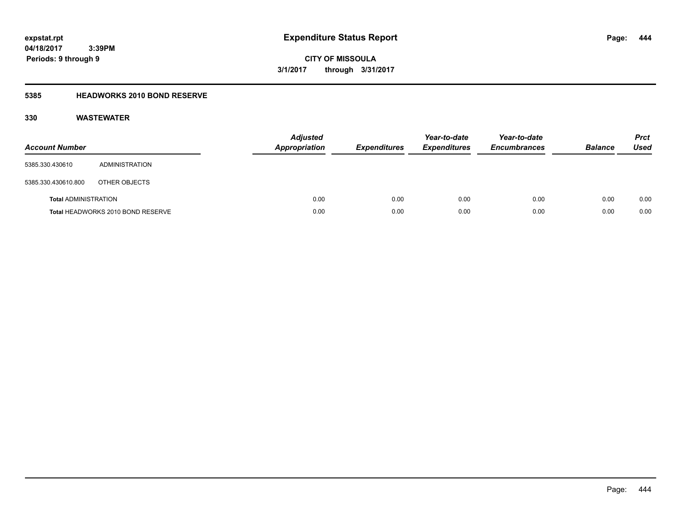**CITY OF MISSOULA 3/1/2017 through 3/31/2017**

### **5385 HEADWORKS 2010 BOND RESERVE**

| <b>Account Number</b>       |                                   | <b>Adjusted</b><br><b>Appropriation</b> | <b>Expenditures</b> | Year-to-date<br><b>Expenditures</b> | Year-to-date<br><b>Encumbrances</b> | <b>Balance</b> | <b>Prct</b><br><b>Used</b> |
|-----------------------------|-----------------------------------|-----------------------------------------|---------------------|-------------------------------------|-------------------------------------|----------------|----------------------------|
| 5385.330.430610             | ADMINISTRATION                    |                                         |                     |                                     |                                     |                |                            |
| 5385.330.430610.800         | OTHER OBJECTS                     |                                         |                     |                                     |                                     |                |                            |
| <b>Total ADMINISTRATION</b> |                                   | 0.00                                    | 0.00                | 0.00                                | 0.00                                | 0.00           | 0.00                       |
|                             | Total HEADWORKS 2010 BOND RESERVE | 0.00                                    | 0.00                | 0.00                                | 0.00                                | 0.00           | 0.00                       |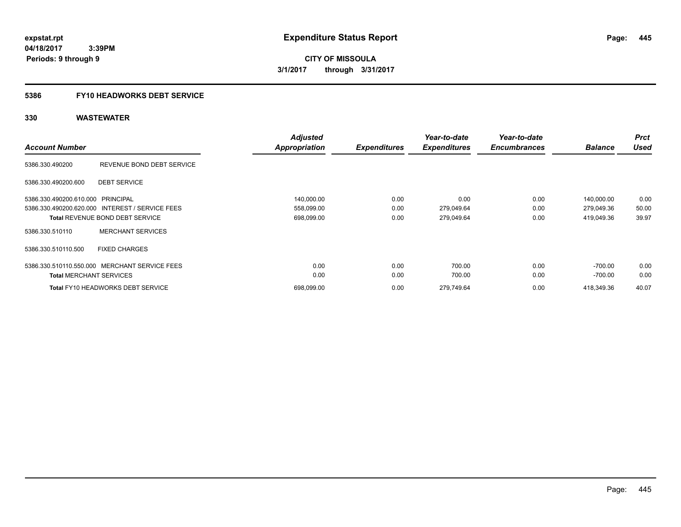**CITY OF MISSOULA 3/1/2017 through 3/31/2017**

### **5386 FY10 HEADWORKS DEBT SERVICE**

|                                   |                                                 | <b>Adjusted</b> |                     | Year-to-date        | Year-to-date        |                | <b>Prct</b> |
|-----------------------------------|-------------------------------------------------|-----------------|---------------------|---------------------|---------------------|----------------|-------------|
| <b>Account Number</b>             |                                                 | Appropriation   | <b>Expenditures</b> | <b>Expenditures</b> | <b>Encumbrances</b> | <b>Balance</b> | <b>Used</b> |
| 5386.330.490200                   | REVENUE BOND DEBT SERVICE                       |                 |                     |                     |                     |                |             |
| 5386.330.490200.600               | <b>DEBT SERVICE</b>                             |                 |                     |                     |                     |                |             |
| 5386.330.490200.610.000 PRINCIPAL |                                                 | 140,000.00      | 0.00                | 0.00                | 0.00                | 140,000.00     | 0.00        |
|                                   | 5386.330.490200.620.000 INTEREST / SERVICE FEES | 558,099.00      | 0.00                | 279,049.64          | 0.00                | 279,049.36     | 50.00       |
|                                   | <b>Total REVENUE BOND DEBT SERVICE</b>          | 698,099.00      | 0.00                | 279,049.64          | 0.00                | 419,049.36     | 39.97       |
| 5386.330.510110                   | <b>MERCHANT SERVICES</b>                        |                 |                     |                     |                     |                |             |
| 5386.330.510110.500               | <b>FIXED CHARGES</b>                            |                 |                     |                     |                     |                |             |
|                                   | 5386.330.510110.550.000 MERCHANT SERVICE FEES   | 0.00            | 0.00                | 700.00              | 0.00                | $-700.00$      | 0.00        |
| <b>Total MERCHANT SERVICES</b>    |                                                 | 0.00            | 0.00                | 700.00              | 0.00                | -700.00        | 0.00        |
|                                   | <b>Total FY10 HEADWORKS DEBT SERVICE</b>        | 698,099.00      | 0.00                | 279,749.64          | 0.00                | 418,349.36     | 40.07       |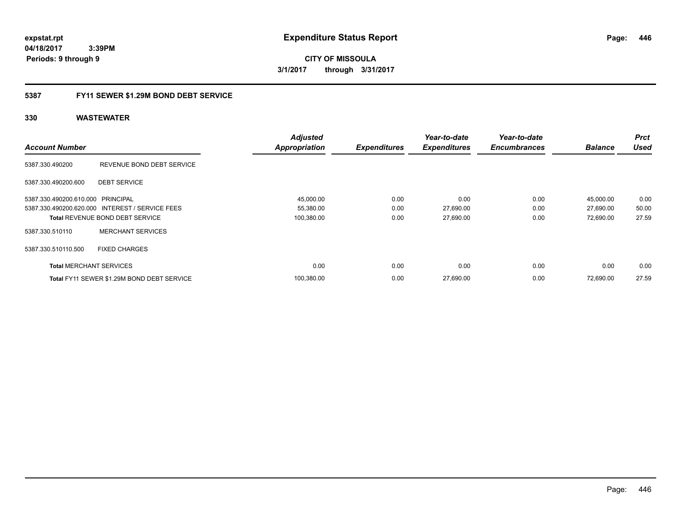**CITY OF MISSOULA 3/1/2017 through 3/31/2017**

### **5387 FY11 SEWER \$1.29M BOND DEBT SERVICE**

|                                   |                                                 | <b>Adjusted</b>      |                     | Year-to-date        | Year-to-date        |                | <b>Prct</b> |
|-----------------------------------|-------------------------------------------------|----------------------|---------------------|---------------------|---------------------|----------------|-------------|
| <b>Account Number</b>             |                                                 | <b>Appropriation</b> | <b>Expenditures</b> | <b>Expenditures</b> | <b>Encumbrances</b> | <b>Balance</b> | <b>Used</b> |
| 5387.330.490200                   | REVENUE BOND DEBT SERVICE                       |                      |                     |                     |                     |                |             |
| 5387.330.490200.600               | <b>DEBT SERVICE</b>                             |                      |                     |                     |                     |                |             |
| 5387.330.490200.610.000 PRINCIPAL |                                                 | 45,000.00            | 0.00                | 0.00                | 0.00                | 45,000.00      | 0.00        |
|                                   | 5387.330.490200.620.000 INTEREST / SERVICE FEES | 55,380.00            | 0.00                | 27,690.00           | 0.00                | 27,690.00      | 50.00       |
|                                   | <b>Total REVENUE BOND DEBT SERVICE</b>          | 100,380.00           | 0.00                | 27,690.00           | 0.00                | 72,690.00      | 27.59       |
| 5387.330.510110                   | <b>MERCHANT SERVICES</b>                        |                      |                     |                     |                     |                |             |
| 5387.330.510110.500               | <b>FIXED CHARGES</b>                            |                      |                     |                     |                     |                |             |
| <b>Total MERCHANT SERVICES</b>    |                                                 | 0.00                 | 0.00                | 0.00                | 0.00                | 0.00           | 0.00        |
|                                   | Total FY11 SEWER \$1.29M BOND DEBT SERVICE      | 100,380.00           | 0.00                | 27,690.00           | 0.00                | 72.690.00      | 27.59       |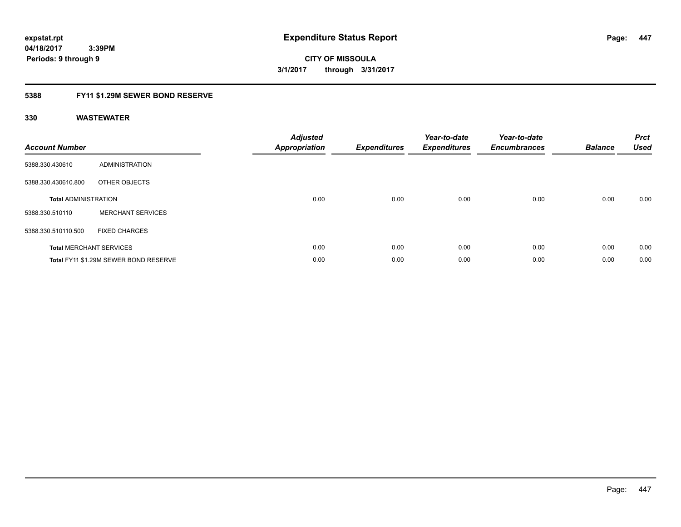**Periods: 9 through 9**

**CITY OF MISSOULA 3/1/2017 through 3/31/2017**

### **5388 FY11 \$1.29M SEWER BOND RESERVE**

 **3:39PM**

| <b>Account Number</b>       |                                       | <b>Adjusted</b><br><b>Appropriation</b> | <b>Expenditures</b> | Year-to-date<br><b>Expenditures</b> | Year-to-date<br><b>Encumbrances</b> | <b>Balance</b> | <b>Prct</b><br><b>Used</b> |
|-----------------------------|---------------------------------------|-----------------------------------------|---------------------|-------------------------------------|-------------------------------------|----------------|----------------------------|
| 5388.330.430610             | ADMINISTRATION                        |                                         |                     |                                     |                                     |                |                            |
| 5388.330.430610.800         | OTHER OBJECTS                         |                                         |                     |                                     |                                     |                |                            |
| <b>Total ADMINISTRATION</b> |                                       | 0.00                                    | 0.00                | 0.00                                | 0.00                                | 0.00           | 0.00                       |
| 5388.330.510110             | <b>MERCHANT SERVICES</b>              |                                         |                     |                                     |                                     |                |                            |
| 5388.330.510110.500         | <b>FIXED CHARGES</b>                  |                                         |                     |                                     |                                     |                |                            |
|                             | <b>Total MERCHANT SERVICES</b>        | 0.00                                    | 0.00                | 0.00                                | 0.00                                | 0.00           | 0.00                       |
|                             | Total FY11 \$1.29M SEWER BOND RESERVE | 0.00                                    | 0.00                | 0.00                                | 0.00                                | 0.00           | 0.00                       |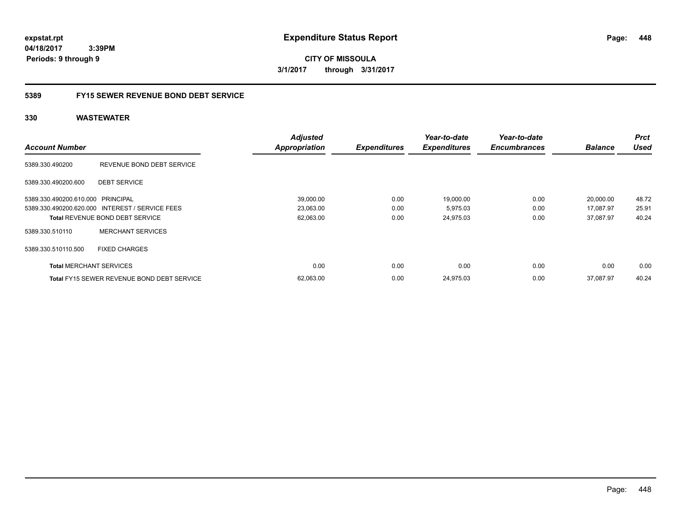**CITY OF MISSOULA 3/1/2017 through 3/31/2017**

### **5389 FY15 SEWER REVENUE BOND DEBT SERVICE**

| <b>Account Number</b>             |                                                   | <b>Adjusted</b><br>Appropriation | <b>Expenditures</b> | Year-to-date<br><b>Expenditures</b> | Year-to-date<br><b>Encumbrances</b> | <b>Balance</b> | <b>Prct</b><br><b>Used</b> |
|-----------------------------------|---------------------------------------------------|----------------------------------|---------------------|-------------------------------------|-------------------------------------|----------------|----------------------------|
| 5389.330.490200                   | REVENUE BOND DEBT SERVICE                         |                                  |                     |                                     |                                     |                |                            |
| 5389.330.490200.600               | <b>DEBT SERVICE</b>                               |                                  |                     |                                     |                                     |                |                            |
| 5389.330.490200.610.000 PRINCIPAL |                                                   | 39,000.00                        | 0.00                | 19,000.00                           | 0.00                                | 20,000.00      | 48.72                      |
|                                   | 5389.330.490200.620.000 INTEREST / SERVICE FEES   | 23,063.00                        | 0.00                | 5,975.03                            | 0.00                                | 17.087.97      | 25.91                      |
|                                   | <b>Total REVENUE BOND DEBT SERVICE</b>            | 62,063.00                        | 0.00                | 24,975.03                           | 0.00                                | 37.087.97      | 40.24                      |
| 5389.330.510110                   | <b>MERCHANT SERVICES</b>                          |                                  |                     |                                     |                                     |                |                            |
| 5389.330.510110.500               | <b>FIXED CHARGES</b>                              |                                  |                     |                                     |                                     |                |                            |
| <b>Total MERCHANT SERVICES</b>    |                                                   | 0.00                             | 0.00                | 0.00                                | 0.00                                | 0.00           | 0.00                       |
|                                   | <b>Total FY15 SEWER REVENUE BOND DEBT SERVICE</b> | 62,063.00                        | 0.00                | 24,975.03                           | 0.00                                | 37.087.97      | 40.24                      |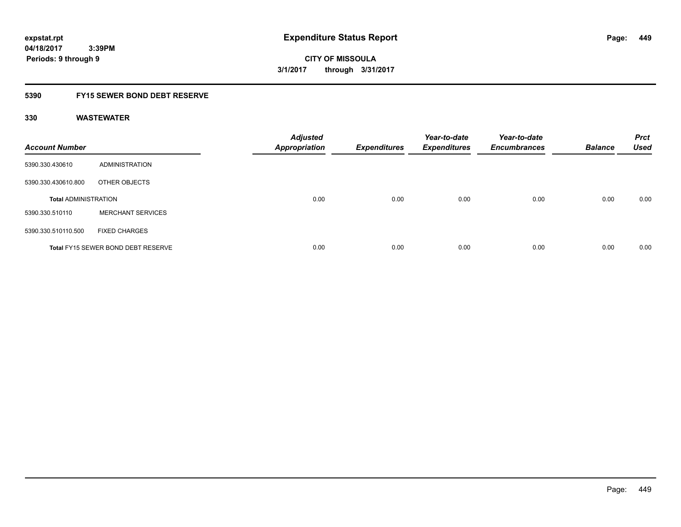**CITY OF MISSOULA 3/1/2017 through 3/31/2017**

### **5390 FY15 SEWER BOND DEBT RESERVE**

| <b>Account Number</b>       |                                           | <b>Adjusted</b><br><b>Appropriation</b> | <b>Expenditures</b> | Year-to-date<br><b>Expenditures</b> | Year-to-date<br><b>Encumbrances</b> | <b>Balance</b> | <b>Prct</b><br><b>Used</b> |
|-----------------------------|-------------------------------------------|-----------------------------------------|---------------------|-------------------------------------|-------------------------------------|----------------|----------------------------|
| 5390.330.430610             | ADMINISTRATION                            |                                         |                     |                                     |                                     |                |                            |
| 5390.330.430610.800         | OTHER OBJECTS                             |                                         |                     |                                     |                                     |                |                            |
| <b>Total ADMINISTRATION</b> |                                           | 0.00                                    | 0.00                | 0.00                                | 0.00                                | 0.00           | 0.00                       |
| 5390.330.510110             | <b>MERCHANT SERVICES</b>                  |                                         |                     |                                     |                                     |                |                            |
| 5390.330.510110.500         | <b>FIXED CHARGES</b>                      |                                         |                     |                                     |                                     |                |                            |
|                             | <b>Total FY15 SEWER BOND DEBT RESERVE</b> | 0.00                                    | 0.00                | 0.00                                | 0.00                                | 0.00           | 0.00                       |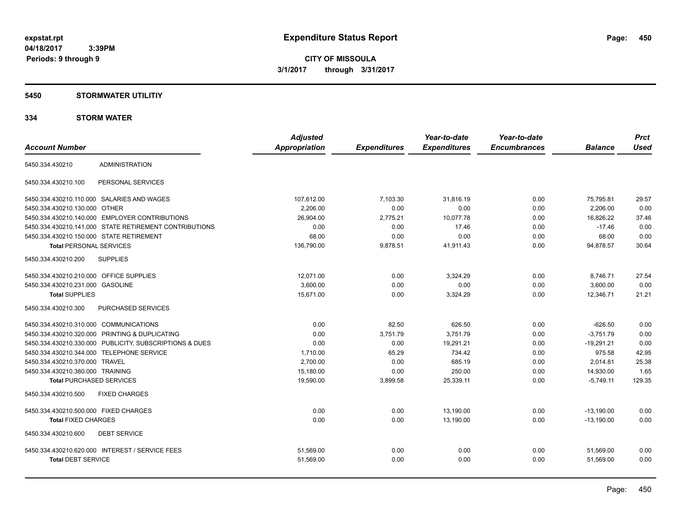**Periods: 9 through 9**

**CITY OF MISSOULA 3/1/2017 through 3/31/2017**

### **5450 STORMWATER UTILITIY**

### **334 STORM WATER**

|                                           |                                                         | <b>Adjusted</b>      |                     | Year-to-date        | Year-to-date        |                | <b>Prct</b> |
|-------------------------------------------|---------------------------------------------------------|----------------------|---------------------|---------------------|---------------------|----------------|-------------|
| <b>Account Number</b>                     |                                                         | <b>Appropriation</b> | <b>Expenditures</b> | <b>Expenditures</b> | <b>Encumbrances</b> | <b>Balance</b> | <b>Used</b> |
| 5450.334.430210                           | <b>ADMINISTRATION</b>                                   |                      |                     |                     |                     |                |             |
| 5450.334.430210.100                       | PERSONAL SERVICES                                       |                      |                     |                     |                     |                |             |
|                                           | 5450.334.430210.110.000 SALARIES AND WAGES              | 107,612.00           | 7,103.30            | 31,816.19           | 0.00                | 75,795.81      | 29.57       |
| 5450.334.430210.130.000 OTHER             |                                                         | 2,206.00             | 0.00                | 0.00                | 0.00                | 2,206.00       | 0.00        |
|                                           | 5450.334.430210.140.000 EMPLOYER CONTRIBUTIONS          | 26,904.00            | 2,775.21            | 10,077.78           | 0.00                | 16,826.22      | 37.46       |
|                                           | 5450.334.430210.141.000 STATE RETIREMENT CONTRIBUTIONS  | 0.00                 | 0.00                | 17.46               | 0.00                | $-17.46$       | 0.00        |
| 5450.334.430210.150.000 STATE RETIREMENT  |                                                         | 68.00                | 0.00                | 0.00                | 0.00                | 68.00          | 0.00        |
| <b>Total PERSONAL SERVICES</b>            |                                                         | 136,790.00           | 9,878.51            | 41,911.43           | 0.00                | 94,878.57      | 30.64       |
| 5450.334.430210.200                       | <b>SUPPLIES</b>                                         |                      |                     |                     |                     |                |             |
| 5450.334.430210.210.000 OFFICE SUPPLIES   |                                                         | 12.071.00            | 0.00                | 3,324.29            | 0.00                | 8,746.71       | 27.54       |
| 5450.334.430210.231.000 GASOLINE          |                                                         | 3.600.00             | 0.00                | 0.00                | 0.00                | 3,600.00       | 0.00        |
| <b>Total SUPPLIES</b>                     |                                                         | 15,671.00            | 0.00                | 3,324.29            | 0.00                | 12,346.71      | 21.21       |
| 5450.334.430210.300                       | PURCHASED SERVICES                                      |                      |                     |                     |                     |                |             |
| 5450.334.430210.310.000 COMMUNICATIONS    |                                                         | 0.00                 | 82.50               | 626.50              | 0.00                | $-626.50$      | 0.00        |
|                                           | 5450.334.430210.320.000 PRINTING & DUPLICATING          | 0.00                 | 3,751.79            | 3,751.79            | 0.00                | $-3,751.79$    | 0.00        |
|                                           | 5450.334.430210.330.000 PUBLICITY, SUBSCRIPTIONS & DUES | 0.00                 | 0.00                | 19,291.21           | 0.00                | $-19,291.21$   | 0.00        |
| 5450.334.430210.344.000 TELEPHONE SERVICE |                                                         | 1,710.00             | 65.29               | 734.42              | 0.00                | 975.58         | 42.95       |
| 5450.334.430210.370.000 TRAVEL            |                                                         | 2.700.00             | 0.00                | 685.19              | 0.00                | 2.014.81       | 25.38       |
| 5450.334.430210.380.000 TRAINING          |                                                         | 15,180.00            | 0.00                | 250.00              | 0.00                | 14,930.00      | 1.65        |
| <b>Total PURCHASED SERVICES</b>           |                                                         | 19,590.00            | 3,899.58            | 25,339.11           | 0.00                | $-5,749.11$    | 129.35      |
| 5450.334.430210.500                       | <b>FIXED CHARGES</b>                                    |                      |                     |                     |                     |                |             |
| 5450.334.430210.500.000 FIXED CHARGES     |                                                         | 0.00                 | 0.00                | 13,190.00           | 0.00                | $-13,190.00$   | 0.00        |
| <b>Total FIXED CHARGES</b>                |                                                         | 0.00                 | 0.00                | 13,190.00           | 0.00                | $-13.190.00$   | 0.00        |
| 5450.334.430210.600                       | <b>DEBT SERVICE</b>                                     |                      |                     |                     |                     |                |             |
|                                           | 5450.334.430210.620.000 INTEREST / SERVICE FEES         | 51,569.00            | 0.00                | 0.00                | 0.00                | 51,569.00      | 0.00        |
| <b>Total DEBT SERVICE</b>                 |                                                         | 51,569.00            | 0.00                | 0.00                | 0.00                | 51,569.00      | 0.00        |
|                                           |                                                         |                      |                     |                     |                     |                |             |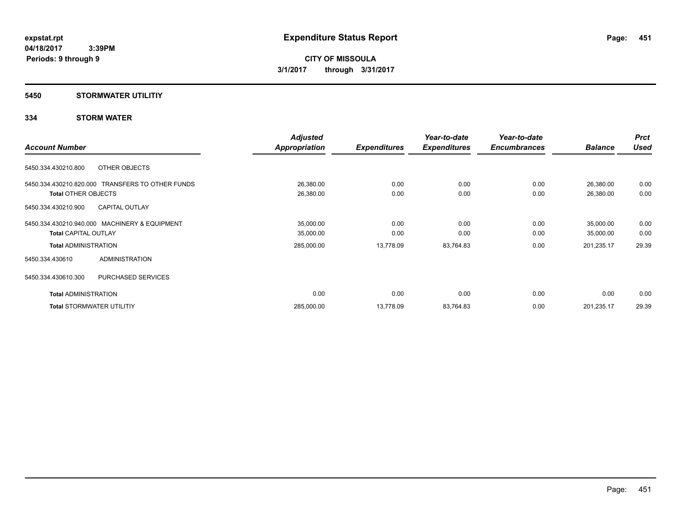### **5450 STORMWATER UTILITIY**

### **334 STORM WATER**

|                                                  | <b>Adjusted</b>      |                     | Year-to-date        | Year-to-date        |                | <b>Prct</b> |
|--------------------------------------------------|----------------------|---------------------|---------------------|---------------------|----------------|-------------|
| <b>Account Number</b>                            | <b>Appropriation</b> | <b>Expenditures</b> | <b>Expenditures</b> | <b>Encumbrances</b> | <b>Balance</b> | <b>Used</b> |
| OTHER OBJECTS<br>5450.334.430210.800             |                      |                     |                     |                     |                |             |
| 5450.334.430210.820.000 TRANSFERS TO OTHER FUNDS | 26,380.00            | 0.00                | 0.00                | 0.00                | 26,380.00      | 0.00        |
| <b>Total OTHER OBJECTS</b>                       | 26,380.00            | 0.00                | 0.00                | 0.00                | 26,380.00      | 0.00        |
| 5450.334.430210.900<br><b>CAPITAL OUTLAY</b>     |                      |                     |                     |                     |                |             |
| 5450.334.430210.940.000 MACHINERY & EQUIPMENT    | 35,000.00            | 0.00                | 0.00                | 0.00                | 35,000.00      | 0.00        |
| <b>Total CAPITAL OUTLAY</b>                      | 35,000.00            | 0.00                | 0.00                | 0.00                | 35,000.00      | 0.00        |
| <b>Total ADMINISTRATION</b>                      | 285,000.00           | 13,778.09           | 83,764.83           | 0.00                | 201,235.17     | 29.39       |
| ADMINISTRATION<br>5450.334.430610                |                      |                     |                     |                     |                |             |
| 5450.334.430610.300<br><b>PURCHASED SERVICES</b> |                      |                     |                     |                     |                |             |
| <b>Total ADMINISTRATION</b>                      | 0.00                 | 0.00                | 0.00                | 0.00                | 0.00           | 0.00        |
| <b>Total STORMWATER UTILITIY</b>                 | 285,000.00           | 13,778.09           | 83,764.83           | 0.00                | 201,235.17     | 29.39       |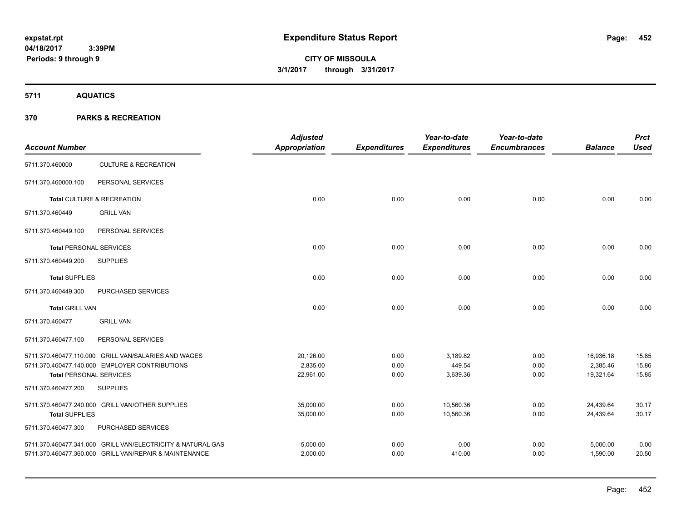# **CITY OF MISSOULA 3/1/2017 through 3/31/2017**

**5711 AQUATICS**

| <b>Account Number</b>          |                                                             | <b>Adjusted</b><br><b>Appropriation</b> | <b>Expenditures</b> | Year-to-date<br><b>Expenditures</b> | Year-to-date<br><b>Encumbrances</b> | <b>Balance</b> | <b>Prct</b><br><b>Used</b> |
|--------------------------------|-------------------------------------------------------------|-----------------------------------------|---------------------|-------------------------------------|-------------------------------------|----------------|----------------------------|
| 5711.370.460000                | <b>CULTURE &amp; RECREATION</b>                             |                                         |                     |                                     |                                     |                |                            |
| 5711.370.460000.100            | PERSONAL SERVICES                                           |                                         |                     |                                     |                                     |                |                            |
|                                | Total CULTURE & RECREATION                                  | 0.00                                    | 0.00                | 0.00                                | 0.00                                | 0.00           | 0.00                       |
| 5711.370.460449                | <b>GRILL VAN</b>                                            |                                         |                     |                                     |                                     |                |                            |
| 5711.370.460449.100            | PERSONAL SERVICES                                           |                                         |                     |                                     |                                     |                |                            |
| <b>Total PERSONAL SERVICES</b> |                                                             | 0.00                                    | 0.00                | 0.00                                | 0.00                                | 0.00           | 0.00                       |
| 5711.370.460449.200            | <b>SUPPLIES</b>                                             |                                         |                     |                                     |                                     |                |                            |
| <b>Total SUPPLIES</b>          |                                                             | 0.00                                    | 0.00                | 0.00                                | 0.00                                | 0.00           | 0.00                       |
| 5711.370.460449.300            | PURCHASED SERVICES                                          |                                         |                     |                                     |                                     |                |                            |
| <b>Total GRILL VAN</b>         |                                                             | 0.00                                    | 0.00                | 0.00                                | 0.00                                | 0.00           | 0.00                       |
| 5711.370.460477                | <b>GRILL VAN</b>                                            |                                         |                     |                                     |                                     |                |                            |
| 5711.370.460477.100            | PERSONAL SERVICES                                           |                                         |                     |                                     |                                     |                |                            |
|                                | 5711.370.460477.110.000 GRILL VAN/SALARIES AND WAGES        | 20,126.00                               | 0.00                | 3,189.82                            | 0.00                                | 16,936.18      | 15.85                      |
|                                | 5711.370.460477.140.000 EMPLOYER CONTRIBUTIONS              | 2,835.00                                | 0.00                | 449.54                              | 0.00                                | 2,385.46       | 15.86                      |
| <b>Total PERSONAL SERVICES</b> |                                                             | 22,961.00                               | 0.00                | 3,639.36                            | 0.00                                | 19,321.64      | 15.85                      |
| 5711.370.460477.200            | <b>SUPPLIES</b>                                             |                                         |                     |                                     |                                     |                |                            |
|                                | 5711.370.460477.240.000 GRILL VAN/OTHER SUPPLIES            | 35,000.00                               | 0.00                | 10,560.36                           | 0.00                                | 24,439.64      | 30.17                      |
| <b>Total SUPPLIES</b>          |                                                             | 35,000.00                               | 0.00                | 10,560.36                           | 0.00                                | 24,439.64      | 30.17                      |
| 5711.370.460477.300            | PURCHASED SERVICES                                          |                                         |                     |                                     |                                     |                |                            |
|                                | 5711.370.460477.341.000 GRILL VAN/ELECTRICITY & NATURAL GAS | 5,000.00                                | 0.00                | 0.00                                | 0.00                                | 5,000.00       | 0.00                       |
|                                | 5711.370.460477.360.000 GRILL VAN/REPAIR & MAINTENANCE      | 2,000.00                                | 0.00                | 410.00                              | 0.00                                | 1,590.00       | 20.50                      |
|                                |                                                             |                                         |                     |                                     |                                     |                |                            |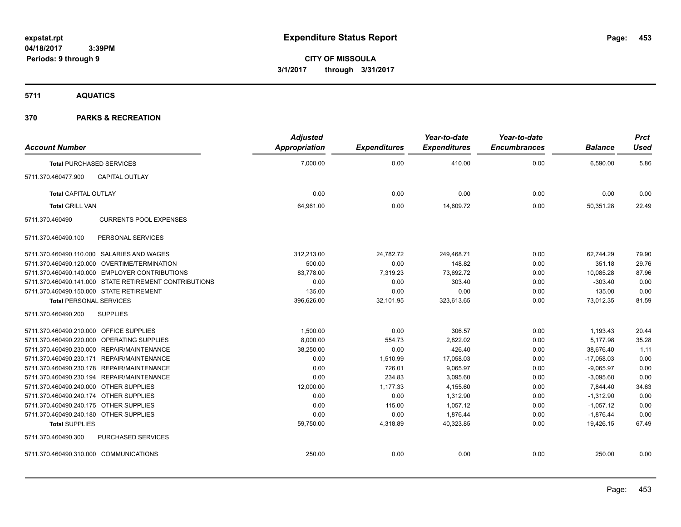**5711 AQUATICS**

| <b>Account Number</b>                   |                                                        | <b>Adjusted</b><br><b>Appropriation</b> | <b>Expenditures</b> | Year-to-date<br><b>Expenditures</b> | Year-to-date<br><b>Encumbrances</b> | <b>Balance</b> | <b>Prct</b><br><b>Used</b> |
|-----------------------------------------|--------------------------------------------------------|-----------------------------------------|---------------------|-------------------------------------|-------------------------------------|----------------|----------------------------|
|                                         | <b>Total PURCHASED SERVICES</b>                        | 7,000.00                                | 0.00                | 410.00                              | 0.00                                | 6,590.00       | 5.86                       |
| 5711.370.460477.900                     | <b>CAPITAL OUTLAY</b>                                  |                                         |                     |                                     |                                     |                |                            |
| <b>Total CAPITAL OUTLAY</b>             |                                                        | 0.00                                    | 0.00                | 0.00                                | 0.00                                | 0.00           | 0.00                       |
| <b>Total GRILL VAN</b>                  |                                                        | 64,961.00                               | 0.00                | 14,609.72                           | 0.00                                | 50,351.28      | 22.49                      |
| 5711.370.460490                         | <b>CURRENTS POOL EXPENSES</b>                          |                                         |                     |                                     |                                     |                |                            |
| 5711.370.460490.100                     | PERSONAL SERVICES                                      |                                         |                     |                                     |                                     |                |                            |
|                                         | 5711.370.460490.110.000 SALARIES AND WAGES             | 312,213.00                              | 24,782.72           | 249,468.71                          | 0.00                                | 62,744.29      | 79.90                      |
|                                         | 5711.370.460490.120.000 OVERTIME/TERMINATION           | 500.00                                  | 0.00                | 148.82                              | 0.00                                | 351.18         | 29.76                      |
|                                         | 5711.370.460490.140.000 EMPLOYER CONTRIBUTIONS         | 83,778.00                               | 7,319.23            | 73,692.72                           | 0.00                                | 10,085.28      | 87.96                      |
|                                         | 5711.370.460490.141.000 STATE RETIREMENT CONTRIBUTIONS | 0.00                                    | 0.00                | 303.40                              | 0.00                                | $-303.40$      | 0.00                       |
|                                         | 5711.370.460490.150.000 STATE RETIREMENT               | 135.00                                  | 0.00                | 0.00                                | 0.00                                | 135.00         | 0.00                       |
| <b>Total PERSONAL SERVICES</b>          |                                                        | 396,626.00                              | 32,101.95           | 323,613.65                          | 0.00                                | 73,012.35      | 81.59                      |
| 5711.370.460490.200                     | <b>SUPPLIES</b>                                        |                                         |                     |                                     |                                     |                |                            |
| 5711.370.460490.210.000 OFFICE SUPPLIES |                                                        | 1,500.00                                | 0.00                | 306.57                              | 0.00                                | 1,193.43       | 20.44                      |
|                                         | 5711.370.460490.220.000 OPERATING SUPPLIES             | 8,000.00                                | 554.73              | 2,822.02                            | 0.00                                | 5,177.98       | 35.28                      |
|                                         | 5711.370.460490.230.000 REPAIR/MAINTENANCE             | 38,250.00                               | 0.00                | $-426.40$                           | 0.00                                | 38,676.40      | 1.11                       |
|                                         | 5711.370.460490.230.171 REPAIR/MAINTENANCE             | 0.00                                    | 1,510.99            | 17,058.03                           | 0.00                                | $-17,058.03$   | 0.00                       |
|                                         | 5711.370.460490.230.178 REPAIR/MAINTENANCE             | 0.00                                    | 726.01              | 9,065.97                            | 0.00                                | $-9,065.97$    | 0.00                       |
|                                         | 5711.370.460490.230.194 REPAIR/MAINTENANCE             | 0.00                                    | 234.83              | 3,095.60                            | 0.00                                | $-3,095.60$    | 0.00                       |
| 5711.370.460490.240.000 OTHER SUPPLIES  |                                                        | 12,000.00                               | 1,177.33            | 4,155.60                            | 0.00                                | 7,844.40       | 34.63                      |
| 5711.370.460490.240.174 OTHER SUPPLIES  |                                                        | 0.00                                    | 0.00                | 1,312.90                            | 0.00                                | $-1,312.90$    | 0.00                       |
| 5711.370.460490.240.175 OTHER SUPPLIES  |                                                        | 0.00                                    | 115.00              | 1.057.12                            | 0.00                                | $-1,057.12$    | 0.00                       |
| 5711.370.460490.240.180 OTHER SUPPLIES  |                                                        | 0.00                                    | 0.00                | 1,876.44                            | 0.00                                | $-1,876.44$    | 0.00                       |
| <b>Total SUPPLIES</b>                   |                                                        | 59,750.00                               | 4,318.89            | 40,323.85                           | 0.00                                | 19,426.15      | 67.49                      |
| 5711.370.460490.300                     | PURCHASED SERVICES                                     |                                         |                     |                                     |                                     |                |                            |
| 5711.370.460490.310.000 COMMUNICATIONS  |                                                        | 250.00                                  | 0.00                | 0.00                                | 0.00                                | 250.00         | 0.00                       |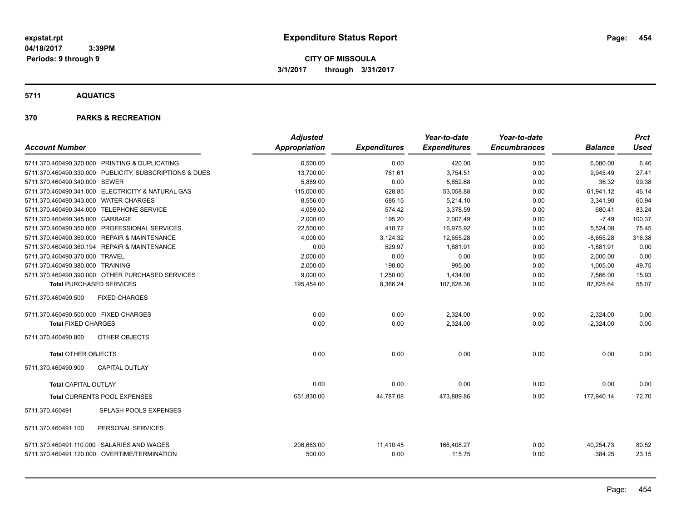**5711 AQUATICS**

| <b>Account Number</b>                     |                                                                                            | <b>Adjusted</b><br><b>Appropriation</b> | <b>Expenditures</b> | Year-to-date<br><b>Expenditures</b> | Year-to-date<br><b>Encumbrances</b> | <b>Balance</b>      | <b>Prct</b><br><b>Used</b> |
|-------------------------------------------|--------------------------------------------------------------------------------------------|-----------------------------------------|---------------------|-------------------------------------|-------------------------------------|---------------------|----------------------------|
|                                           | 5711.370.460490.320.000 PRINTING & DUPLICATING                                             | 6,500.00                                | 0.00                | 420.00                              | 0.00                                | 6,080.00            | 6.46                       |
|                                           | 5711.370.460490.330.000 PUBLICITY, SUBSCRIPTIONS & DUES                                    | 13,700.00                               | 761.61              | 3,754.51                            | 0.00                                | 9,945.49            | 27.41                      |
| 5711.370.460490.340.000 SEWER             |                                                                                            | 5,889.00                                | 0.00                | 5,852.68                            | 0.00                                | 36.32               | 99.38                      |
|                                           | 5711.370.460490.341.000 ELECTRICITY & NATURAL GAS                                          | 115,000.00                              | 628.85              | 53,058.88                           | 0.00                                | 61,941.12           | 46.14                      |
| 5711.370.460490.343.000 WATER CHARGES     |                                                                                            | 8,556.00                                | 685.15              | 5,214.10                            | 0.00                                | 3,341.90            | 60.94                      |
| 5711.370.460490.344.000 TELEPHONE SERVICE |                                                                                            | 4,059.00                                | 574.42              | 3,378.59                            | 0.00                                | 680.41              | 83.24                      |
| 5711.370.460490.345.000 GARBAGE           |                                                                                            | 2,000.00                                | 195.20              | 2,007.49                            | 0.00                                | $-7.49$             | 100.37                     |
|                                           | 5711.370.460490.350.000 PROFESSIONAL SERVICES                                              | 22,500.00                               | 418.72              | 16,975.92                           | 0.00                                | 5,524.08            | 75.45                      |
|                                           | 5711.370.460490.360.000 REPAIR & MAINTENANCE                                               | 4,000.00                                | 3,124.32            | 12,655.28                           | 0.00                                | $-8,655.28$         | 316.38                     |
|                                           | 5711.370.460490.360.194 REPAIR & MAINTENANCE                                               | 0.00                                    | 529.97              | 1,881.91                            | 0.00                                | $-1,881.91$         | 0.00                       |
| 5711.370.460490.370.000 TRAVEL            |                                                                                            | 2,000.00                                | 0.00                | 0.00                                | 0.00                                | 2,000.00            | 0.00                       |
| 5711.370.460490.380.000 TRAINING          |                                                                                            | 2,000.00                                | 198.00              | 995.00                              | 0.00                                | 1,005.00            | 49.75                      |
|                                           | 5711.370.460490.390.000 OTHER PURCHASED SERVICES                                           | 9,000.00                                | 1,250.00            | 1,434.00                            | 0.00                                | 7,566.00            | 15.93                      |
| <b>Total PURCHASED SERVICES</b>           |                                                                                            | 195,454.00                              | 8,366.24            | 107,628.36                          | 0.00                                | 87,825.64           | 55.07                      |
| 5711.370.460490.500                       | <b>FIXED CHARGES</b>                                                                       |                                         |                     |                                     |                                     |                     |                            |
| 5711.370.460490.500.000 FIXED CHARGES     |                                                                                            | 0.00                                    | 0.00                | 2,324.00                            | 0.00                                | $-2,324.00$         | 0.00                       |
| <b>Total FIXED CHARGES</b>                |                                                                                            | 0.00                                    | 0.00                | 2,324.00                            | 0.00                                | $-2,324.00$         | 0.00                       |
| 5711.370.460490.800                       | OTHER OBJECTS                                                                              |                                         |                     |                                     |                                     |                     |                            |
| <b>Total OTHER OBJECTS</b>                |                                                                                            | 0.00                                    | 0.00                | 0.00                                | 0.00                                | 0.00                | 0.00                       |
| 5711.370.460490.900                       | <b>CAPITAL OUTLAY</b>                                                                      |                                         |                     |                                     |                                     |                     |                            |
| <b>Total CAPITAL OUTLAY</b>               |                                                                                            | 0.00                                    | 0.00                | 0.00                                | 0.00                                | 0.00                | 0.00                       |
|                                           | Total CURRENTS POOL EXPENSES                                                               | 651,830.00                              | 44,787.08           | 473,889.86                          | 0.00                                | 177,940.14          | 72.70                      |
| 5711.370.460491                           | SPLASH POOLS EXPENSES                                                                      |                                         |                     |                                     |                                     |                     |                            |
| 5711.370.460491.100                       | PERSONAL SERVICES                                                                          |                                         |                     |                                     |                                     |                     |                            |
|                                           | 5711.370.460491.110.000 SALARIES AND WAGES<br>5711.370.460491.120.000 OVERTIME/TERMINATION | 206,663.00<br>500.00                    | 11,410.45<br>0.00   | 166,408.27<br>115.75                | 0.00<br>0.00                        | 40,254.73<br>384.25 | 80.52<br>23.15             |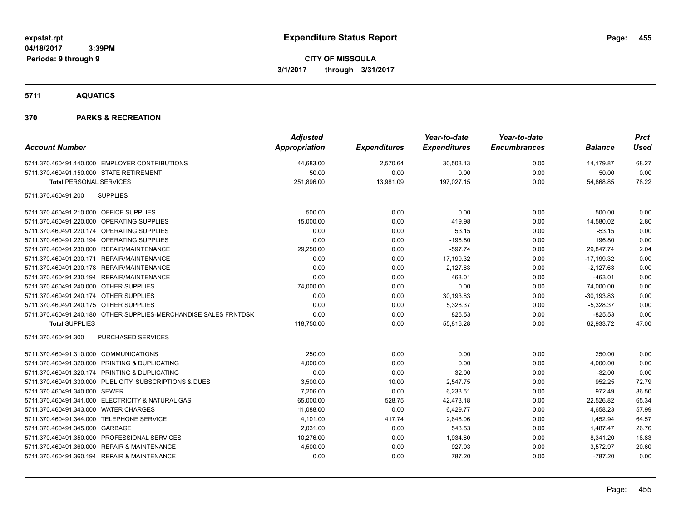### **5711 AQUATICS**

|                                                                  | <b>Adjusted</b>      |                     | Year-to-date        | Year-to-date        |                | <b>Prct</b> |
|------------------------------------------------------------------|----------------------|---------------------|---------------------|---------------------|----------------|-------------|
| <b>Account Number</b>                                            | <b>Appropriation</b> | <b>Expenditures</b> | <b>Expenditures</b> | <b>Encumbrances</b> | <b>Balance</b> | <b>Used</b> |
| 5711.370.460491.140.000 EMPLOYER CONTRIBUTIONS                   | 44,683.00            | 2,570.64            | 30,503.13           | 0.00                | 14,179.87      | 68.27       |
| 5711.370.460491.150.000 STATE RETIREMENT                         | 50.00                | 0.00                | 0.00                | 0.00                | 50.00          | 0.00        |
| <b>Total PERSONAL SERVICES</b>                                   | 251,896.00           | 13,981.09           | 197,027.15          | 0.00                | 54,868.85      | 78.22       |
| <b>SUPPLIES</b><br>5711.370.460491.200                           |                      |                     |                     |                     |                |             |
| 5711.370.460491.210.000 OFFICE SUPPLIES                          | 500.00               | 0.00                | 0.00                | 0.00                | 500.00         | 0.00        |
| 5711.370.460491.220.000 OPERATING SUPPLIES                       | 15,000.00            | 0.00                | 419.98              | 0.00                | 14,580.02      | 2.80        |
| 5711.370.460491.220.174 OPERATING SUPPLIES                       | 0.00                 | 0.00                | 53.15               | 0.00                | $-53.15$       | 0.00        |
| 5711.370.460491.220.194 OPERATING SUPPLIES                       | 0.00                 | 0.00                | $-196.80$           | 0.00                | 196.80         | 0.00        |
| 5711.370.460491.230.000 REPAIR/MAINTENANCE                       | 29,250.00            | 0.00                | $-597.74$           | 0.00                | 29,847.74      | 2.04        |
| 5711.370.460491.230.171 REPAIR/MAINTENANCE                       | 0.00                 | 0.00                | 17,199.32           | 0.00                | $-17,199.32$   | 0.00        |
| 5711.370.460491.230.178 REPAIR/MAINTENANCE                       | 0.00                 | 0.00                | 2,127.63            | 0.00                | $-2,127.63$    | 0.00        |
| 5711.370.460491.230.194 REPAIR/MAINTENANCE                       | 0.00                 | 0.00                | 463.01              | 0.00                | $-463.01$      | 0.00        |
| 5711.370.460491.240.000 OTHER SUPPLIES                           | 74,000.00            | 0.00                | 0.00                | 0.00                | 74,000.00      | 0.00        |
| 5711.370.460491.240.174 OTHER SUPPLIES                           | 0.00                 | 0.00                | 30,193.83           | 0.00                | $-30, 193.83$  | 0.00        |
| 5711.370.460491.240.175 OTHER SUPPLIES                           | 0.00                 | 0.00                | 5,328.37            | 0.00                | $-5,328.37$    | 0.00        |
| 5711.370.460491.240.180 OTHER SUPPLIES-MERCHANDISE SALES FRNTDSK | 0.00                 | 0.00                | 825.53              | 0.00                | $-825.53$      | 0.00        |
| <b>Total SUPPLIES</b>                                            | 118,750.00           | 0.00                | 55,816.28           | 0.00                | 62,933.72      | 47.00       |
| PURCHASED SERVICES<br>5711.370.460491.300                        |                      |                     |                     |                     |                |             |
| 5711.370.460491.310.000 COMMUNICATIONS                           | 250.00               | 0.00                | 0.00                | 0.00                | 250.00         | 0.00        |
| 5711.370.460491.320.000 PRINTING & DUPLICATING                   | 4,000.00             | 0.00                | 0.00                | 0.00                | 4,000.00       | 0.00        |
| 5711.370.460491.320.174 PRINTING & DUPLICATING                   | 0.00                 | 0.00                | 32.00               | 0.00                | $-32.00$       | 0.00        |
| 5711.370.460491.330.000 PUBLICITY, SUBSCRIPTIONS & DUES          | 3,500.00             | 10.00               | 2,547.75            | 0.00                | 952.25         | 72.79       |
| 5711.370.460491.340.000 SEWER                                    | 7,206.00             | 0.00                | 6,233.51            | 0.00                | 972.49         | 86.50       |
| 5711.370.460491.341.000 ELECTRICITY & NATURAL GAS                | 65,000.00            | 528.75              | 42,473.18           | 0.00                | 22,526.82      | 65.34       |
| 5711.370.460491.343.000 WATER CHARGES                            | 11,088.00            | 0.00                | 6,429.77            | 0.00                | 4,658.23       | 57.99       |
| 5711.370.460491.344.000 TELEPHONE SERVICE                        | 4,101.00             | 417.74              | 2,648.06            | 0.00                | 1,452.94       | 64.57       |
| 5711.370.460491.345.000 GARBAGE                                  | 2,031.00             | 0.00                | 543.53              | 0.00                | 1,487.47       | 26.76       |
| 5711.370.460491.350.000 PROFESSIONAL SERVICES                    | 10,276.00            | 0.00                | 1,934.80            | 0.00                | 8,341.20       | 18.83       |
| 5711.370.460491.360.000 REPAIR & MAINTENANCE                     | 4,500.00             | 0.00                | 927.03              | 0.00                | 3,572.97       | 20.60       |
| 5711.370.460491.360.194 REPAIR & MAINTENANCE                     | 0.00                 | 0.00                | 787.20              | 0.00                | $-787.20$      | 0.00        |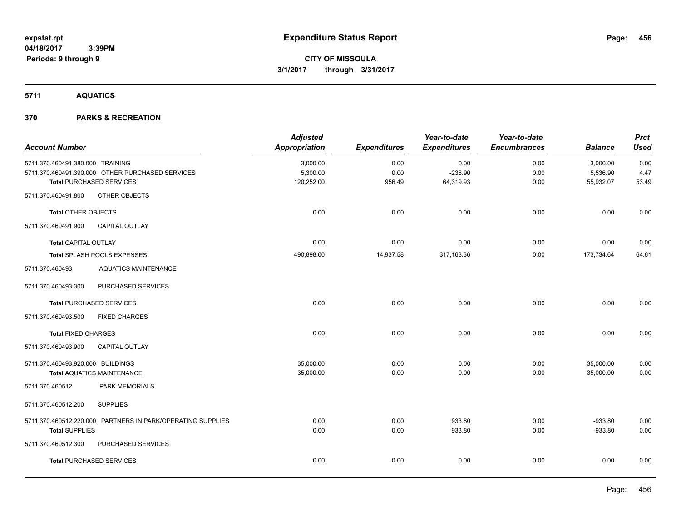**5711 AQUATICS**

| <b>Account Number</b>             |                                                             | <b>Adjusted</b><br><b>Appropriation</b> | <b>Expenditures</b> | Year-to-date<br><b>Expenditures</b> | Year-to-date<br><b>Encumbrances</b> | <b>Balance</b> | <b>Prct</b><br><b>Used</b> |
|-----------------------------------|-------------------------------------------------------------|-----------------------------------------|---------------------|-------------------------------------|-------------------------------------|----------------|----------------------------|
| 5711.370.460491.380.000 TRAINING  |                                                             | 3,000.00                                | 0.00                | 0.00                                | 0.00                                | 3,000.00       | 0.00                       |
|                                   | 5711.370.460491.390.000 OTHER PURCHASED SERVICES            | 5,300.00                                | 0.00                | $-236.90$                           | 0.00                                | 5,536.90       | 4.47                       |
|                                   | <b>Total PURCHASED SERVICES</b>                             | 120,252.00                              | 956.49              | 64,319.93                           | 0.00                                | 55,932.07      | 53.49                      |
| 5711.370.460491.800               | OTHER OBJECTS                                               |                                         |                     |                                     |                                     |                |                            |
| <b>Total OTHER OBJECTS</b>        |                                                             | 0.00                                    | 0.00                | 0.00                                | 0.00                                | 0.00           | 0.00                       |
| 5711.370.460491.900               | <b>CAPITAL OUTLAY</b>                                       |                                         |                     |                                     |                                     |                |                            |
| <b>Total CAPITAL OUTLAY</b>       |                                                             | 0.00                                    | 0.00                | 0.00                                | 0.00                                | 0.00           | 0.00                       |
|                                   | Total SPLASH POOLS EXPENSES                                 | 490,898.00                              | 14,937.58           | 317,163.36                          | 0.00                                | 173,734.64     | 64.61                      |
| 5711.370.460493                   | <b>AQUATICS MAINTENANCE</b>                                 |                                         |                     |                                     |                                     |                |                            |
| 5711.370.460493.300               | PURCHASED SERVICES                                          |                                         |                     |                                     |                                     |                |                            |
|                                   | <b>Total PURCHASED SERVICES</b>                             | 0.00                                    | 0.00                | 0.00                                | 0.00                                | 0.00           | 0.00                       |
| 5711.370.460493.500               | <b>FIXED CHARGES</b>                                        |                                         |                     |                                     |                                     |                |                            |
| <b>Total FIXED CHARGES</b>        |                                                             | 0.00                                    | 0.00                | 0.00                                | 0.00                                | 0.00           | 0.00                       |
| 5711.370.460493.900               | <b>CAPITAL OUTLAY</b>                                       |                                         |                     |                                     |                                     |                |                            |
| 5711.370.460493.920.000 BUILDINGS |                                                             | 35,000.00                               | 0.00                | 0.00                                | 0.00                                | 35,000.00      | 0.00                       |
|                                   | <b>Total AQUATICS MAINTENANCE</b>                           | 35,000.00                               | 0.00                | 0.00                                | 0.00                                | 35,000.00      | 0.00                       |
| 5711.370.460512                   | PARK MEMORIALS                                              |                                         |                     |                                     |                                     |                |                            |
| 5711.370.460512.200               | <b>SUPPLIES</b>                                             |                                         |                     |                                     |                                     |                |                            |
|                                   | 5711.370.460512.220.000 PARTNERS IN PARK/OPERATING SUPPLIES | 0.00                                    | 0.00                | 933.80                              | 0.00                                | $-933.80$      | 0.00                       |
| <b>Total SUPPLIES</b>             |                                                             | 0.00                                    | 0.00                | 933.80                              | 0.00                                | $-933.80$      | 0.00                       |
| 5711.370.460512.300               | PURCHASED SERVICES                                          |                                         |                     |                                     |                                     |                |                            |
|                                   | <b>Total PURCHASED SERVICES</b>                             | 0.00                                    | 0.00                | 0.00                                | 0.00                                | 0.00           | 0.00                       |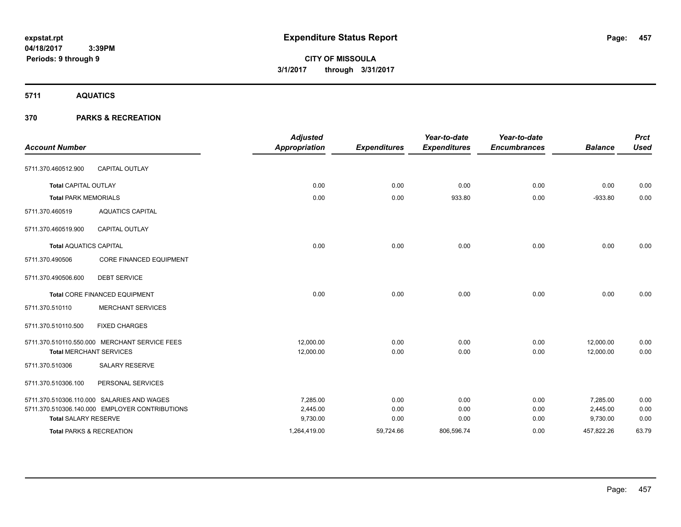**CITY OF MISSOULA 3/1/2017 through 3/31/2017**

**5711 AQUATICS**

| <b>Account Number</b>               |                                                | <b>Adjusted</b><br><b>Appropriation</b> | <b>Expenditures</b> | Year-to-date<br><b>Expenditures</b> | Year-to-date<br><b>Encumbrances</b> | <b>Balance</b> | <b>Prct</b><br><b>Used</b> |
|-------------------------------------|------------------------------------------------|-----------------------------------------|---------------------|-------------------------------------|-------------------------------------|----------------|----------------------------|
| 5711.370.460512.900                 | <b>CAPITAL OUTLAY</b>                          |                                         |                     |                                     |                                     |                |                            |
| <b>Total CAPITAL OUTLAY</b>         |                                                | 0.00                                    | 0.00                | 0.00                                | 0.00                                | 0.00           | 0.00                       |
| <b>Total PARK MEMORIALS</b>         |                                                | 0.00                                    | 0.00                | 933.80                              | 0.00                                | $-933.80$      | 0.00                       |
| 5711.370.460519                     | <b>AQUATICS CAPITAL</b>                        |                                         |                     |                                     |                                     |                |                            |
| 5711.370.460519.900                 | <b>CAPITAL OUTLAY</b>                          |                                         |                     |                                     |                                     |                |                            |
| <b>Total AQUATICS CAPITAL</b>       |                                                | 0.00                                    | 0.00                | 0.00                                | 0.00                                | 0.00           | 0.00                       |
| 5711.370.490506                     | <b>CORE FINANCED EQUIPMENT</b>                 |                                         |                     |                                     |                                     |                |                            |
| 5711.370.490506.600                 | <b>DEBT SERVICE</b>                            |                                         |                     |                                     |                                     |                |                            |
|                                     | <b>Total CORE FINANCED EQUIPMENT</b>           | 0.00                                    | 0.00                | 0.00                                | 0.00                                | 0.00           | 0.00                       |
| 5711.370.510110                     | <b>MERCHANT SERVICES</b>                       |                                         |                     |                                     |                                     |                |                            |
| 5711.370.510110.500                 | <b>FIXED CHARGES</b>                           |                                         |                     |                                     |                                     |                |                            |
|                                     | 5711.370.510110.550.000 MERCHANT SERVICE FEES  | 12,000.00                               | 0.00                | 0.00                                | 0.00                                | 12,000.00      | 0.00                       |
| <b>Total MERCHANT SERVICES</b>      |                                                | 12,000.00                               | 0.00                | 0.00                                | 0.00                                | 12,000.00      | 0.00                       |
| 5711.370.510306                     | <b>SALARY RESERVE</b>                          |                                         |                     |                                     |                                     |                |                            |
| 5711.370.510306.100                 | PERSONAL SERVICES                              |                                         |                     |                                     |                                     |                |                            |
|                                     | 5711.370.510306.110.000 SALARIES AND WAGES     | 7.285.00                                | 0.00                | 0.00                                | 0.00                                | 7.285.00       | 0.00                       |
|                                     | 5711.370.510306.140.000 EMPLOYER CONTRIBUTIONS | 2,445.00                                | 0.00                | 0.00                                | 0.00                                | 2,445.00       | 0.00                       |
| <b>Total SALARY RESERVE</b>         |                                                | 9,730.00                                | 0.00                | 0.00                                | 0.00                                | 9,730.00       | 0.00                       |
| <b>Total PARKS &amp; RECREATION</b> |                                                | 1,264,419.00                            | 59,724.66           | 806,596.74                          | 0.00                                | 457,822.26     | 63.79                      |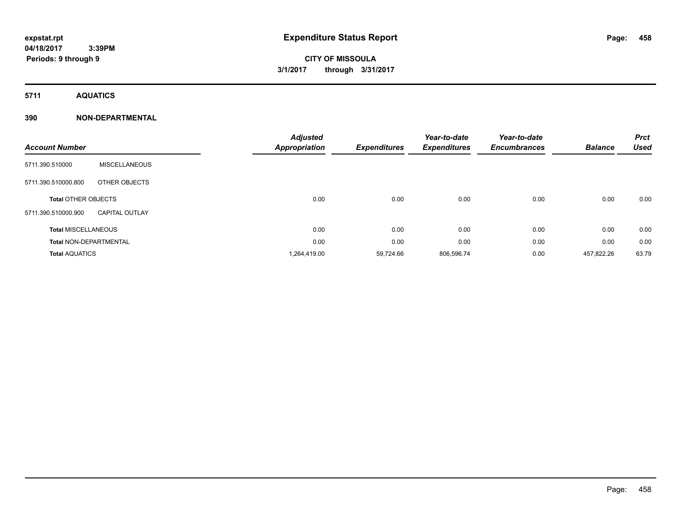# **CITY OF MISSOULA 3/1/2017 through 3/31/2017**

**5711 AQUATICS**

### **390 NON-DEPARTMENTAL**

| <b>Account Number</b>         |                       | <b>Adjusted</b><br><b>Appropriation</b> | <b>Expenditures</b> | Year-to-date<br><b>Expenditures</b> | Year-to-date<br><b>Encumbrances</b> | <b>Balance</b> | <b>Prct</b><br><b>Used</b> |
|-------------------------------|-----------------------|-----------------------------------------|---------------------|-------------------------------------|-------------------------------------|----------------|----------------------------|
| 5711.390.510000               | <b>MISCELLANEOUS</b>  |                                         |                     |                                     |                                     |                |                            |
| 5711.390.510000.800           | OTHER OBJECTS         |                                         |                     |                                     |                                     |                |                            |
| <b>Total OTHER OBJECTS</b>    |                       | 0.00                                    | 0.00                | 0.00                                | 0.00                                | 0.00           | 0.00                       |
| 5711.390.510000.900           | <b>CAPITAL OUTLAY</b> |                                         |                     |                                     |                                     |                |                            |
| <b>Total MISCELLANEOUS</b>    |                       | 0.00                                    | 0.00                | 0.00                                | 0.00                                | 0.00           | 0.00                       |
| <b>Total NON-DEPARTMENTAL</b> |                       | 0.00                                    | 0.00                | 0.00                                | 0.00                                | 0.00           | 0.00                       |
| <b>Total AQUATICS</b>         |                       | 1,264,419.00                            | 59,724.66           | 806,596.74                          | 0.00                                | 457,822.26     | 63.79                      |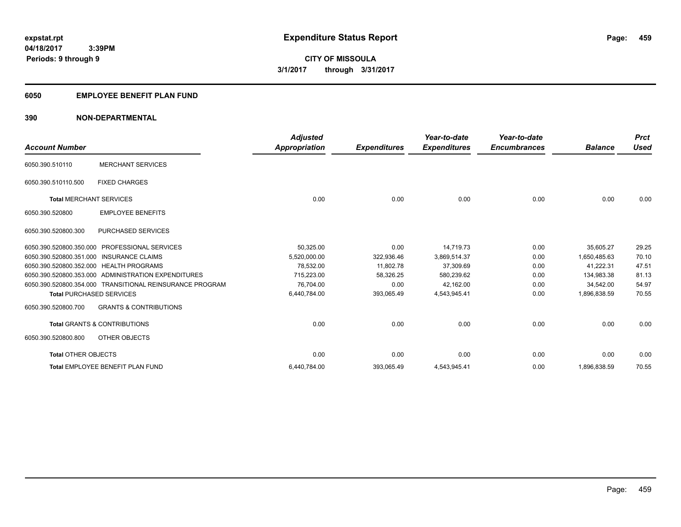### **6050 EMPLOYEE BENEFIT PLAN FUND**

### **390 NON-DEPARTMENTAL**

| <b>Account Number</b>           |                                                          | <b>Adjusted</b><br><b>Appropriation</b> | <b>Expenditures</b> | Year-to-date<br><b>Expenditures</b> | Year-to-date<br><b>Encumbrances</b> | <b>Balance</b> | <b>Prct</b><br><b>Used</b> |
|---------------------------------|----------------------------------------------------------|-----------------------------------------|---------------------|-------------------------------------|-------------------------------------|----------------|----------------------------|
| 6050.390.510110                 | <b>MERCHANT SERVICES</b>                                 |                                         |                     |                                     |                                     |                |                            |
| 6050.390.510110.500             | <b>FIXED CHARGES</b>                                     |                                         |                     |                                     |                                     |                |                            |
| <b>Total MERCHANT SERVICES</b>  |                                                          | 0.00                                    | 0.00                | 0.00                                | 0.00                                | 0.00           | 0.00                       |
| 6050.390.520800                 | <b>EMPLOYEE BENEFITS</b>                                 |                                         |                     |                                     |                                     |                |                            |
| 6050.390.520800.300             | <b>PURCHASED SERVICES</b>                                |                                         |                     |                                     |                                     |                |                            |
| 6050.390.520800.350.000         | <b>PROFESSIONAL SERVICES</b>                             | 50,325.00                               | 0.00                | 14.719.73                           | 0.00                                | 35.605.27      | 29.25                      |
|                                 | 6050.390.520800.351.000 INSURANCE CLAIMS                 | 5.520.000.00                            | 322.936.46          | 3.869.514.37                        | 0.00                                | 1.650.485.63   | 70.10                      |
|                                 | 6050.390.520800.352.000 HEALTH PROGRAMS                  | 78.532.00                               | 11,802.78           | 37,309.69                           | 0.00                                | 41.222.31      | 47.51                      |
|                                 | 6050.390.520800.353.000 ADMINISTRATION EXPENDITURES      | 715.223.00                              | 58,326.25           | 580.239.62                          | 0.00                                | 134.983.38     | 81.13                      |
|                                 | 6050.390.520800.354.000 TRANSITIONAL REINSURANCE PROGRAM | 76,704.00                               | 0.00                | 42,162.00                           | 0.00                                | 34.542.00      | 54.97                      |
| <b>Total PURCHASED SERVICES</b> |                                                          | 6,440,784.00                            | 393,065.49          | 4,543,945.41                        | 0.00                                | 1,896,838.59   | 70.55                      |
| 6050.390.520800.700             | <b>GRANTS &amp; CONTRIBUTIONS</b>                        |                                         |                     |                                     |                                     |                |                            |
|                                 | <b>Total GRANTS &amp; CONTRIBUTIONS</b>                  | 0.00                                    | 0.00                | 0.00                                | 0.00                                | 0.00           | 0.00                       |
| 6050.390.520800.800             | OTHER OBJECTS                                            |                                         |                     |                                     |                                     |                |                            |
| <b>Total OTHER OBJECTS</b>      |                                                          | 0.00                                    | 0.00                | 0.00                                | 0.00                                | 0.00           | 0.00                       |
|                                 | Total EMPLOYEE BENEFIT PLAN FUND                         | 6,440,784.00                            | 393,065.49          | 4,543,945.41                        | 0.00                                | 1,896,838.59   | 70.55                      |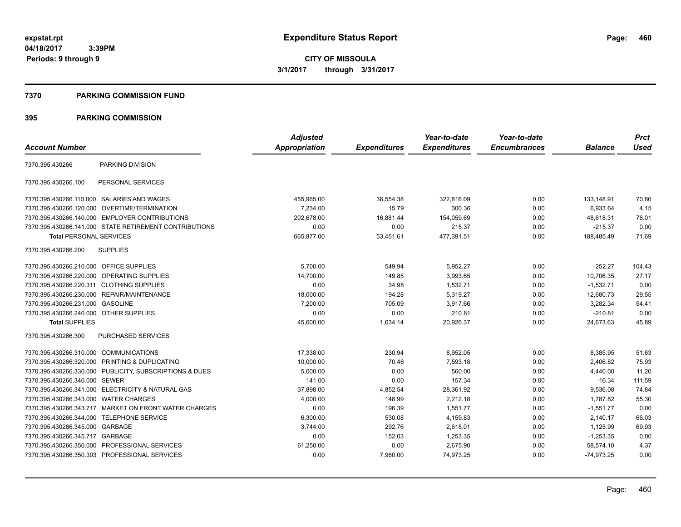**CITY OF MISSOULA 3/1/2017 through 3/31/2017**

#### **7370 PARKING COMMISSION FUND**

|                                           |                                                         | <b>Adjusted</b> |                     | Year-to-date        | Year-to-date        |                | <b>Prct</b> |
|-------------------------------------------|---------------------------------------------------------|-----------------|---------------------|---------------------|---------------------|----------------|-------------|
| <b>Account Number</b>                     |                                                         | Appropriation   | <b>Expenditures</b> | <b>Expenditures</b> | <b>Encumbrances</b> | <b>Balance</b> | <b>Used</b> |
| 7370.395.430266                           | PARKING DIVISION                                        |                 |                     |                     |                     |                |             |
| 7370.395.430266.100                       | PERSONAL SERVICES                                       |                 |                     |                     |                     |                |             |
|                                           | 7370.395.430266.110.000 SALARIES AND WAGES              | 455,965.00      | 36,554.38           | 322,816.09          | 0.00                | 133,148.91     | 70.80       |
| 7370.395.430266.120.000                   | OVERTIME/TERMINATION                                    | 7,234.00        | 15.79               | 300.36              | 0.00                | 6,933.64       | 4.15        |
|                                           | 7370.395.430266.140.000 EMPLOYER CONTRIBUTIONS          | 202.678.00      | 16,881.44           | 154,059.69          | 0.00                | 48,618.31      | 76.01       |
|                                           | 7370.395.430266.141.000 STATE RETIREMENT CONTRIBUTIONS  | 0.00            | 0.00                | 215.37              | 0.00                | $-215.37$      | 0.00        |
| <b>Total PERSONAL SERVICES</b>            |                                                         | 665,877.00      | 53,451.61           | 477,391.51          | 0.00                | 188,485.49     | 71.69       |
| 7370.395.430266.200                       | <b>SUPPLIES</b>                                         |                 |                     |                     |                     |                |             |
| 7370.395.430266.210.000 OFFICE SUPPLIES   |                                                         | 5,700.00        | 549.94              | 5,952.27            | 0.00                | $-252.27$      | 104.43      |
|                                           | 7370.395.430266.220.000 OPERATING SUPPLIES              | 14,700.00       | 149.85              | 3.993.65            | 0.00                | 10.706.35      | 27.17       |
| 7370.395.430266.220.311 CLOTHING SUPPLIES |                                                         | 0.00            | 34.98               | 1,532.71            | 0.00                | $-1,532.71$    | 0.00        |
|                                           | 7370.395.430266.230.000 REPAIR/MAINTENANCE              | 18,000.00       | 194.28              | 5,319.27            | 0.00                | 12,680.73      | 29.55       |
| 7370.395.430266.231.000 GASOLINE          |                                                         | 7,200.00        | 705.09              | 3,917.66            | 0.00                | 3,282.34       | 54.41       |
| 7370.395.430266.240.000 OTHER SUPPLIES    |                                                         | 0.00            | 0.00                | 210.81              | 0.00                | $-210.81$      | 0.00        |
| <b>Total SUPPLIES</b>                     |                                                         | 45,600.00       | 1,634.14            | 20,926.37           | 0.00                | 24,673.63      | 45.89       |
| 7370.395.430266.300                       | PURCHASED SERVICES                                      |                 |                     |                     |                     |                |             |
| 7370.395.430266.310.000 COMMUNICATIONS    |                                                         | 17,338.00       | 230.94              | 8,952.05            | 0.00                | 8,385.95       | 51.63       |
|                                           | 7370.395.430266.320.000 PRINTING & DUPLICATING          | 10,000.00       | 70.46               | 7,593.18            | 0.00                | 2,406.82       | 75.93       |
|                                           | 7370.395.430266.330.000 PUBLICITY, SUBSCRIPTIONS & DUES | 5,000.00        | 0.00                | 560.00              | 0.00                | 4,440.00       | 11.20       |
| 7370.395.430266.340.000 SEWER             |                                                         | 141.00          | 0.00                | 157.34              | 0.00                | $-16.34$       | 111.59      |
|                                           | 7370.395.430266.341.000 ELECTRICITY & NATURAL GAS       | 37,898.00       | 4,852.54            | 28,361.92           | 0.00                | 9,536.08       | 74.84       |
| 7370.395.430266.343.000 WATER CHARGES     |                                                         | 4,000.00        | 148.99              | 2,212.18            | 0.00                | 1,787.82       | 55.30       |
|                                           | 7370.395.430266.343.717 MARKET ON FRONT WATER CHARGES   | 0.00            | 196.39              | 1,551.77            | 0.00                | $-1,551.77$    | 0.00        |
| 7370.395.430266.344.000                   | <b>TELEPHONE SERVICE</b>                                | 6,300.00        | 530.08              | 4,159.83            | 0.00                | 2,140.17       | 66.03       |
| 7370.395.430266.345.000                   | GARBAGE                                                 | 3,744.00        | 292.76              | 2,618.01            | 0.00                | 1,125.99       | 69.93       |
| 7370.395.430266.345.717 GARBAGE           |                                                         | 0.00            | 152.03              | 1,253.35            | 0.00                | $-1,253.35$    | 0.00        |
|                                           | 7370.395.430266.350.000 PROFESSIONAL SERVICES           | 61,250.00       | 0.00                | 2,675.90            | 0.00                | 58,574.10      | 4.37        |
|                                           | 7370.395.430266.350.303 PROFESSIONAL SERVICES           | 0.00            | 7,960.00            | 74,973.25           | 0.00                | $-74.973.25$   | 0.00        |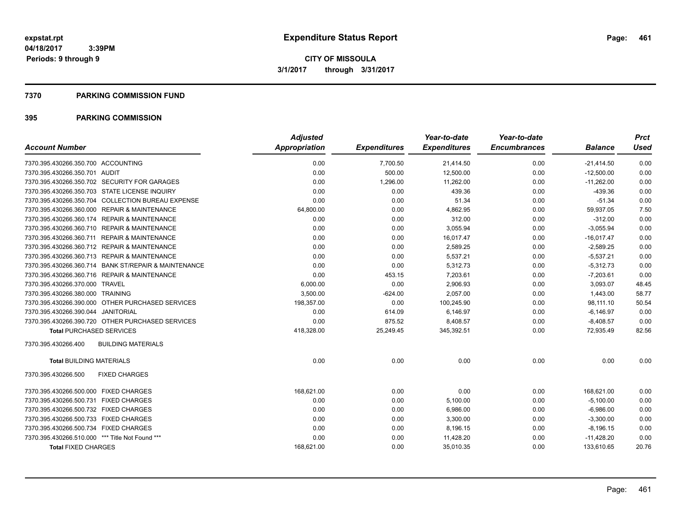#### **7370 PARKING COMMISSION FUND**

| <b>Account Number</b>                                | <b>Adjusted</b><br>Appropriation | <b>Expenditures</b> | Year-to-date<br><b>Expenditures</b> | Year-to-date<br><b>Encumbrances</b> | <b>Balance</b> | <b>Prct</b><br><b>Used</b> |
|------------------------------------------------------|----------------------------------|---------------------|-------------------------------------|-------------------------------------|----------------|----------------------------|
|                                                      |                                  |                     |                                     |                                     |                |                            |
| 7370.395.430266.350.700 ACCOUNTING                   | 0.00                             | 7,700.50            | 21,414.50                           | 0.00                                | $-21,414.50$   | 0.00                       |
| 7370.395.430266.350.701 AUDIT                        | 0.00                             | 500.00              | 12,500.00                           | 0.00                                | $-12,500.00$   | 0.00                       |
| 7370.395.430266.350.702 SECURITY FOR GARAGES         | 0.00                             | 1,296.00            | 11.262.00                           | 0.00                                | $-11.262.00$   | 0.00                       |
| 7370.395.430266.350.703 STATE LICENSE INQUIRY        | 0.00                             | 0.00                | 439.36                              | 0.00                                | $-439.36$      | 0.00                       |
| 7370.395.430266.350.704 COLLECTION BUREAU EXPENSE    | 0.00                             | 0.00                | 51.34                               | 0.00                                | $-51.34$       | 0.00                       |
| 7370.395.430266.360.000 REPAIR & MAINTENANCE         | 64,800.00                        | 0.00                | 4,862.95                            | 0.00                                | 59,937.05      | 7.50                       |
| 7370.395.430266.360.174 REPAIR & MAINTENANCE         | 0.00                             | 0.00                | 312.00                              | 0.00                                | $-312.00$      | 0.00                       |
| 7370.395.430266.360.710 REPAIR & MAINTENANCE         | 0.00                             | 0.00                | 3,055.94                            | 0.00                                | $-3,055.94$    | 0.00                       |
| 7370.395.430266.360.711 REPAIR & MAINTENANCE         | 0.00                             | 0.00                | 16,017.47                           | 0.00                                | $-16,017.47$   | 0.00                       |
| 7370.395.430266.360.712 REPAIR & MAINTENANCE         | 0.00                             | 0.00                | 2,589.25                            | 0.00                                | $-2,589.25$    | 0.00                       |
| 7370.395.430266.360.713 REPAIR & MAINTENANCE         | 0.00                             | 0.00                | 5,537.21                            | 0.00                                | $-5,537.21$    | 0.00                       |
| 7370.395.430266.360.714 BANK ST/REPAIR & MAINTENANCE | 0.00                             | 0.00                | 5,312.73                            | 0.00                                | $-5,312.73$    | 0.00                       |
| 7370.395.430266.360.716 REPAIR & MAINTENANCE         | 0.00                             | 453.15              | 7,203.61                            | 0.00                                | $-7,203.61$    | 0.00                       |
| 7370.395.430266.370.000 TRAVEL                       | 6,000.00                         | 0.00                | 2.906.93                            | 0.00                                | 3.093.07       | 48.45                      |
| 7370.395.430266.380.000 TRAINING                     | 3,500.00                         | $-624.00$           | 2,057.00                            | 0.00                                | 1.443.00       | 58.77                      |
| 7370.395.430266.390.000 OTHER PURCHASED SERVICES     | 198,357.00                       | 0.00                | 100,245.90                          | 0.00                                | 98,111.10      | 50.54                      |
| 7370.395.430266.390.044 JANITORIAL                   | 0.00                             | 614.09              | 6,146.97                            | 0.00                                | $-6,146.97$    | 0.00                       |
| 7370.395.430266.390.720 OTHER PURCHASED SERVICES     | 0.00                             | 875.52              | 8,408.57                            | 0.00                                | $-8,408.57$    | 0.00                       |
| <b>Total PURCHASED SERVICES</b>                      | 418,328.00                       | 25,249.45           | 345,392.51                          | 0.00                                | 72,935.49      | 82.56                      |
| 7370.395.430266.400<br><b>BUILDING MATERIALS</b>     |                                  |                     |                                     |                                     |                |                            |
| <b>Total BUILDING MATERIALS</b>                      | 0.00                             | 0.00                | 0.00                                | 0.00                                | 0.00           | 0.00                       |
| 7370.395.430266.500<br><b>FIXED CHARGES</b>          |                                  |                     |                                     |                                     |                |                            |
| 7370.395.430266.500.000 FIXED CHARGES                | 168,621.00                       | 0.00                | 0.00                                | 0.00                                | 168,621.00     | 0.00                       |
| 7370.395.430266.500.731 FIXED CHARGES                | 0.00                             | 0.00                | 5,100.00                            | 0.00                                | $-5,100.00$    | 0.00                       |
| 7370.395.430266.500.732 FIXED CHARGES                | 0.00                             | 0.00                | 6,986.00                            | 0.00                                | $-6,986.00$    | 0.00                       |
| 7370.395.430266.500.733 FIXED CHARGES                | 0.00                             | 0.00                | 3,300.00                            | 0.00                                | $-3,300.00$    | 0.00                       |
| 7370.395.430266.500.734 FIXED CHARGES                | 0.00                             | 0.00                | 8,196.15                            | 0.00                                | $-8,196.15$    | 0.00                       |
| 7370.395.430266.510.000 *** Title Not Found ***      | 0.00                             | 0.00                | 11,428.20                           | 0.00                                | $-11,428.20$   | 0.00                       |
| <b>Total FIXED CHARGES</b>                           | 168,621.00                       | 0.00                | 35,010.35                           | 0.00                                | 133,610.65     | 20.76                      |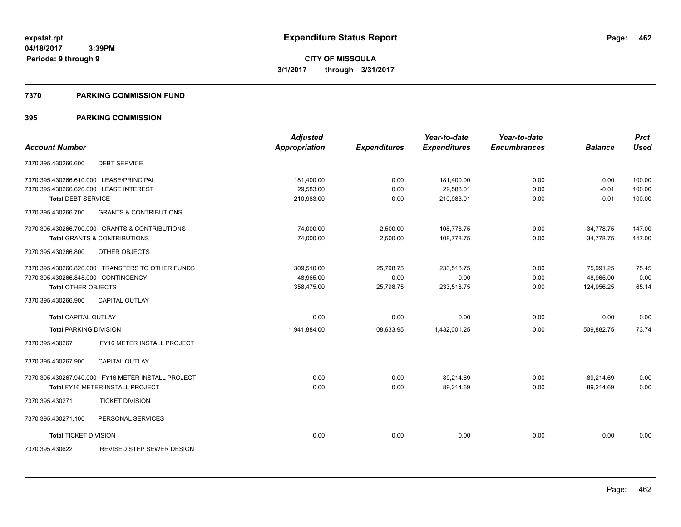#### **7370 PARKING COMMISSION FUND**

|                                                          | <b>Adjusted</b>      |                     | Year-to-date        | Year-to-date        |                | <b>Prct</b> |
|----------------------------------------------------------|----------------------|---------------------|---------------------|---------------------|----------------|-------------|
| <b>Account Number</b>                                    | <b>Appropriation</b> | <b>Expenditures</b> | <b>Expenditures</b> | <b>Encumbrances</b> | <b>Balance</b> | <b>Used</b> |
| <b>DEBT SERVICE</b><br>7370.395.430266.600               |                      |                     |                     |                     |                |             |
| 7370.395.430266.610.000 LEASE/PRINCIPAL                  | 181,400.00           | 0.00                | 181,400.00          | 0.00                | 0.00           | 100.00      |
| 7370.395.430266.620.000 LEASE INTEREST                   | 29,583.00            | 0.00                | 29,583.01           | 0.00                | $-0.01$        | 100.00      |
| <b>Total DEBT SERVICE</b>                                | 210,983.00           | 0.00                | 210,983.01          | 0.00                | $-0.01$        | 100.00      |
| <b>GRANTS &amp; CONTRIBUTIONS</b><br>7370.395.430266.700 |                      |                     |                     |                     |                |             |
| 7370.395.430266.700.000 GRANTS & CONTRIBUTIONS           | 74,000.00            | 2,500.00            | 108,778.75          | 0.00                | $-34,778.75$   | 147.00      |
| <b>Total GRANTS &amp; CONTRIBUTIONS</b>                  | 74,000.00            | 2,500.00            | 108,778.75          | 0.00                | $-34,778.75$   | 147.00      |
| 7370.395.430266.800<br>OTHER OBJECTS                     |                      |                     |                     |                     |                |             |
| 7370.395.430266.820.000 TRANSFERS TO OTHER FUNDS         | 309,510.00           | 25,798.75           | 233,518.75          | 0.00                | 75,991.25      | 75.45       |
| 7370.395.430266.845.000 CONTINGENCY                      | 48.965.00            | 0.00                | 0.00                | 0.00                | 48.965.00      | 0.00        |
| <b>Total OTHER OBJECTS</b>                               | 358,475.00           | 25,798.75           | 233,518.75          | 0.00                | 124,956.25     | 65.14       |
| 7370.395.430266.900<br><b>CAPITAL OUTLAY</b>             |                      |                     |                     |                     |                |             |
| <b>Total CAPITAL OUTLAY</b>                              | 0.00                 | 0.00                | 0.00                | 0.00                | 0.00           | 0.00        |
| <b>Total PARKING DIVISION</b>                            | 1,941,884.00         | 108,633.95          | 1,432,001.25        | 0.00                | 509,882.75     | 73.74       |
| FY16 METER INSTALL PROJECT<br>7370.395.430267            |                      |                     |                     |                     |                |             |
| <b>CAPITAL OUTLAY</b><br>7370.395.430267.900             |                      |                     |                     |                     |                |             |
| 7370.395.430267.940.000 FY16 METER INSTALL PROJECT       | 0.00                 | 0.00                | 89,214.69           | 0.00                | $-89,214.69$   | 0.00        |
| Total FY16 METER INSTALL PROJECT                         | 0.00                 | 0.00                | 89,214.69           | 0.00                | $-89,214.69$   | 0.00        |
| <b>TICKET DIVISION</b><br>7370.395.430271                |                      |                     |                     |                     |                |             |
| PERSONAL SERVICES<br>7370.395.430271.100                 |                      |                     |                     |                     |                |             |
| <b>Total TICKET DIVISION</b>                             | 0.00                 | 0.00                | 0.00                | 0.00                | 0.00           | 0.00        |
| REVISED STEP SEWER DESIGN<br>7370.395.430622             |                      |                     |                     |                     |                |             |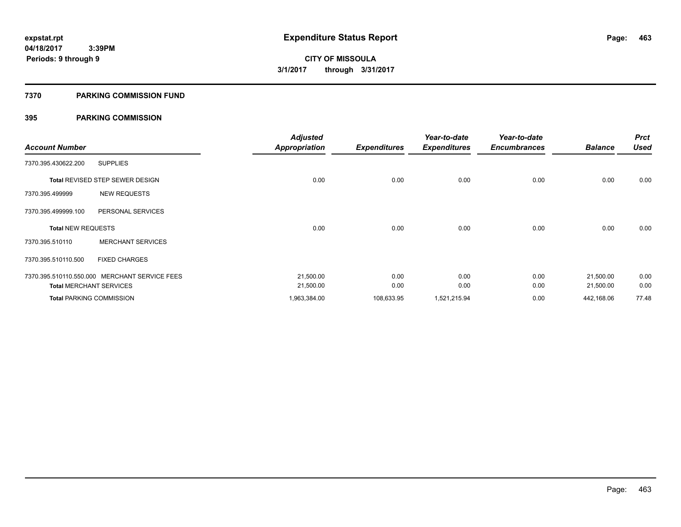#### **7370 PARKING COMMISSION FUND**

|                           |                                               | <b>Adjusted</b>      |                     | Year-to-date        | Year-to-date        |                | <b>Prct</b> |
|---------------------------|-----------------------------------------------|----------------------|---------------------|---------------------|---------------------|----------------|-------------|
| <b>Account Number</b>     |                                               | <b>Appropriation</b> | <b>Expenditures</b> | <b>Expenditures</b> | <b>Encumbrances</b> | <b>Balance</b> | <b>Used</b> |
| 7370.395.430622.200       | <b>SUPPLIES</b>                               |                      |                     |                     |                     |                |             |
|                           | <b>Total REVISED STEP SEWER DESIGN</b>        | 0.00                 | 0.00                | 0.00                | 0.00                | 0.00           | 0.00        |
| 7370.395.499999           | <b>NEW REQUESTS</b>                           |                      |                     |                     |                     |                |             |
| 7370.395.499999.100       | PERSONAL SERVICES                             |                      |                     |                     |                     |                |             |
| <b>Total NEW REQUESTS</b> |                                               | 0.00                 | 0.00                | 0.00                | 0.00                | 0.00           | 0.00        |
| 7370.395.510110           | <b>MERCHANT SERVICES</b>                      |                      |                     |                     |                     |                |             |
| 7370.395.510110.500       | <b>FIXED CHARGES</b>                          |                      |                     |                     |                     |                |             |
|                           | 7370.395.510110.550.000 MERCHANT SERVICE FEES | 21,500.00            | 0.00                | 0.00                | 0.00                | 21,500.00      | 0.00        |
|                           | <b>Total MERCHANT SERVICES</b>                | 21,500.00            | 0.00                | 0.00                | 0.00                | 21,500.00      | 0.00        |
|                           | <b>Total PARKING COMMISSION</b>               | 1,963,384.00         | 108,633.95          | 1,521,215.94        | 0.00                | 442,168.06     | 77.48       |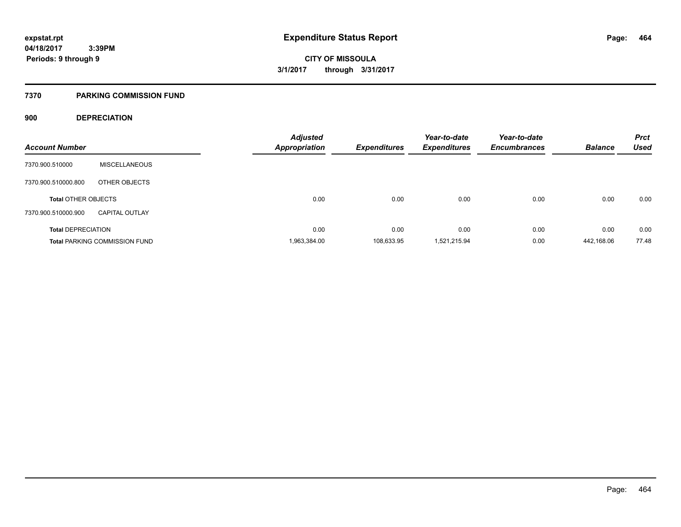#### **7370 PARKING COMMISSION FUND**

### **900 DEPRECIATION**

|                            |                                      | <b>Adjusted</b> |                     | Year-to-date        | Year-to-date        |                | <b>Prct</b> |
|----------------------------|--------------------------------------|-----------------|---------------------|---------------------|---------------------|----------------|-------------|
| <b>Account Number</b>      |                                      | Appropriation   | <b>Expenditures</b> | <b>Expenditures</b> | <b>Encumbrances</b> | <b>Balance</b> | <b>Used</b> |
| 7370.900.510000            | <b>MISCELLANEOUS</b>                 |                 |                     |                     |                     |                |             |
| 7370.900.510000.800        | OTHER OBJECTS                        |                 |                     |                     |                     |                |             |
| <b>Total OTHER OBJECTS</b> |                                      | 0.00            | 0.00                | 0.00                | 0.00                | 0.00           | 0.00        |
| 7370.900.510000.900        | <b>CAPITAL OUTLAY</b>                |                 |                     |                     |                     |                |             |
| <b>Total DEPRECIATION</b>  |                                      | 0.00            | 0.00                | 0.00                | 0.00                | 0.00           | 0.00        |
|                            | <b>Total PARKING COMMISSION FUND</b> | 1,963,384.00    | 108,633.95          | 1.521.215.94        | 0.00                | 442,168.06     | 77.48       |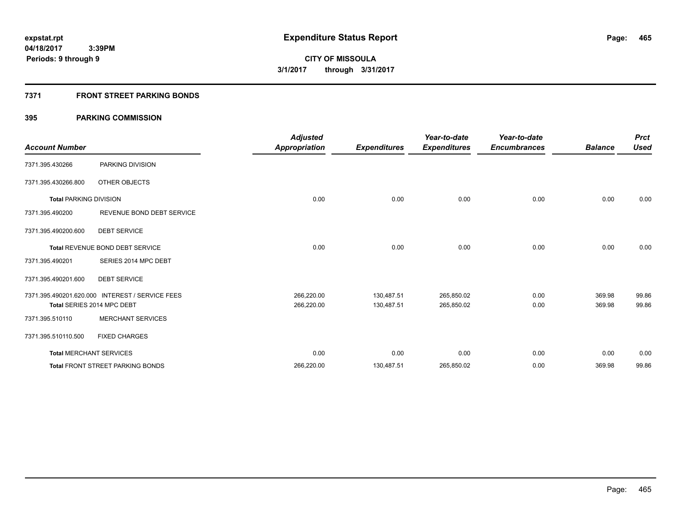### **7371 FRONT STREET PARKING BONDS**

| <b>Account Number</b>         |                                                 | <b>Adjusted</b><br><b>Appropriation</b> | <b>Expenditures</b> | Year-to-date<br><b>Expenditures</b> | Year-to-date<br><b>Encumbrances</b> | <b>Balance</b> | <b>Prct</b><br><b>Used</b> |
|-------------------------------|-------------------------------------------------|-----------------------------------------|---------------------|-------------------------------------|-------------------------------------|----------------|----------------------------|
| 7371.395.430266               | PARKING DIVISION                                |                                         |                     |                                     |                                     |                |                            |
| 7371.395.430266.800           | OTHER OBJECTS                                   |                                         |                     |                                     |                                     |                |                            |
| <b>Total PARKING DIVISION</b> |                                                 | 0.00                                    | 0.00                | 0.00                                | 0.00                                | 0.00           | 0.00                       |
| 7371.395.490200               | REVENUE BOND DEBT SERVICE                       |                                         |                     |                                     |                                     |                |                            |
| 7371.395.490200.600           | <b>DEBT SERVICE</b>                             |                                         |                     |                                     |                                     |                |                            |
|                               | <b>Total REVENUE BOND DEBT SERVICE</b>          | 0.00                                    | 0.00                | 0.00                                | 0.00                                | 0.00           | 0.00                       |
| 7371.395.490201               | SERIES 2014 MPC DEBT                            |                                         |                     |                                     |                                     |                |                            |
| 7371.395.490201.600           | <b>DEBT SERVICE</b>                             |                                         |                     |                                     |                                     |                |                            |
|                               | 7371.395.490201.620.000 INTEREST / SERVICE FEES | 266,220.00                              | 130,487.51          | 265,850.02                          | 0.00                                | 369.98         | 99.86                      |
|                               | Total SERIES 2014 MPC DEBT                      | 266,220.00                              | 130,487.51          | 265,850.02                          | 0.00                                | 369.98         | 99.86                      |
| 7371.395.510110               | <b>MERCHANT SERVICES</b>                        |                                         |                     |                                     |                                     |                |                            |
| 7371.395.510110.500           | <b>FIXED CHARGES</b>                            |                                         |                     |                                     |                                     |                |                            |
|                               | <b>Total MERCHANT SERVICES</b>                  | 0.00                                    | 0.00                | 0.00                                | 0.00                                | 0.00           | 0.00                       |
|                               | <b>Total FRONT STREET PARKING BONDS</b>         | 266,220.00                              | 130,487.51          | 265,850.02                          | 0.00                                | 369.98         | 99.86                      |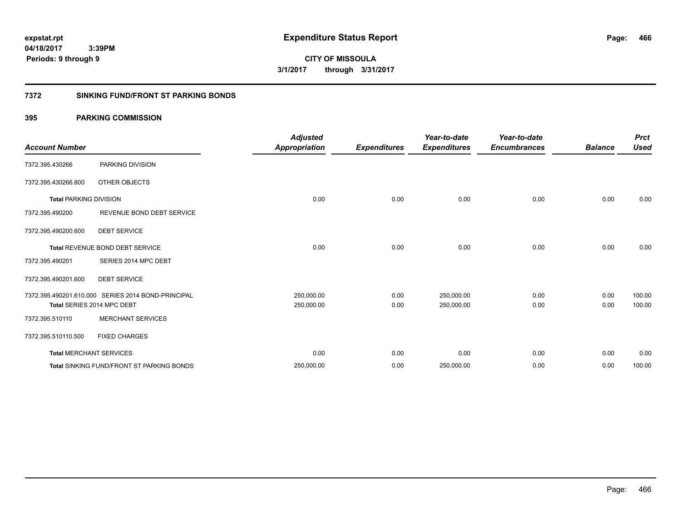**CITY OF MISSOULA 3/1/2017 through 3/31/2017**

### **7372 SINKING FUND/FRONT ST PARKING BONDS**

| <b>Account Number</b>         |                                                    | <b>Adjusted</b><br><b>Appropriation</b> | <b>Expenditures</b> | Year-to-date<br><b>Expenditures</b> | Year-to-date<br><b>Encumbrances</b> | <b>Balance</b> | <b>Prct</b><br><b>Used</b> |
|-------------------------------|----------------------------------------------------|-----------------------------------------|---------------------|-------------------------------------|-------------------------------------|----------------|----------------------------|
| 7372.395.430266               | PARKING DIVISION                                   |                                         |                     |                                     |                                     |                |                            |
| 7372.395.430266.800           | OTHER OBJECTS                                      |                                         |                     |                                     |                                     |                |                            |
| <b>Total PARKING DIVISION</b> |                                                    | 0.00                                    | 0.00                | 0.00                                | 0.00                                | 0.00           | 0.00                       |
| 7372.395.490200               | REVENUE BOND DEBT SERVICE                          |                                         |                     |                                     |                                     |                |                            |
| 7372.395.490200.600           | <b>DEBT SERVICE</b>                                |                                         |                     |                                     |                                     |                |                            |
|                               | <b>Total REVENUE BOND DEBT SERVICE</b>             | 0.00                                    | 0.00                | 0.00                                | 0.00                                | 0.00           | 0.00                       |
| 7372.395.490201               | SERIES 2014 MPC DEBT                               |                                         |                     |                                     |                                     |                |                            |
| 7372.395.490201.600           | <b>DEBT SERVICE</b>                                |                                         |                     |                                     |                                     |                |                            |
|                               | 7372.395.490201.610.000 SERIES 2014 BOND-PRINCIPAL | 250,000.00                              | 0.00                | 250,000.00                          | 0.00                                | 0.00           | 100.00                     |
|                               | Total SERIES 2014 MPC DEBT                         | 250,000.00                              | 0.00                | 250,000.00                          | 0.00                                | 0.00           | 100.00                     |
| 7372.395.510110               | <b>MERCHANT SERVICES</b>                           |                                         |                     |                                     |                                     |                |                            |
| 7372.395.510110.500           | <b>FIXED CHARGES</b>                               |                                         |                     |                                     |                                     |                |                            |
|                               | <b>Total MERCHANT SERVICES</b>                     | 0.00                                    | 0.00                | 0.00                                | 0.00                                | 0.00           | 0.00                       |
|                               | <b>Total SINKING FUND/FRONT ST PARKING BONDS</b>   | 250,000.00                              | 0.00                | 250,000.00                          | 0.00                                | 0.00           | 100.00                     |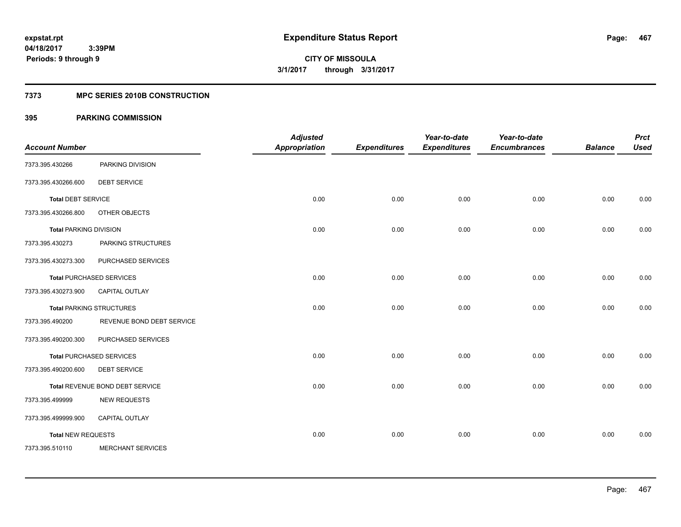### **7373 MPC SERIES 2010B CONSTRUCTION**

|                               |                                 | <b>Adjusted</b>      |                     | Year-to-date        | Year-to-date        |                | <b>Prct</b> |
|-------------------------------|---------------------------------|----------------------|---------------------|---------------------|---------------------|----------------|-------------|
| <b>Account Number</b>         |                                 | <b>Appropriation</b> | <b>Expenditures</b> | <b>Expenditures</b> | <b>Encumbrances</b> | <b>Balance</b> | <b>Used</b> |
| 7373.395.430266               | PARKING DIVISION                |                      |                     |                     |                     |                |             |
| 7373.395.430266.600           | <b>DEBT SERVICE</b>             |                      |                     |                     |                     |                |             |
| <b>Total DEBT SERVICE</b>     |                                 | 0.00                 | 0.00                | 0.00                | 0.00                | 0.00           | 0.00        |
| 7373.395.430266.800           | OTHER OBJECTS                   |                      |                     |                     |                     |                |             |
| <b>Total PARKING DIVISION</b> |                                 | 0.00                 | 0.00                | 0.00                | 0.00                | 0.00           | 0.00        |
| 7373.395.430273               | PARKING STRUCTURES              |                      |                     |                     |                     |                |             |
| 7373.395.430273.300           | PURCHASED SERVICES              |                      |                     |                     |                     |                |             |
|                               | <b>Total PURCHASED SERVICES</b> | 0.00                 | 0.00                | 0.00                | 0.00                | 0.00           | 0.00        |
| 7373.395.430273.900           | <b>CAPITAL OUTLAY</b>           |                      |                     |                     |                     |                |             |
|                               | <b>Total PARKING STRUCTURES</b> | 0.00                 | 0.00                | 0.00                | 0.00                | 0.00           | 0.00        |
| 7373.395.490200               | REVENUE BOND DEBT SERVICE       |                      |                     |                     |                     |                |             |
| 7373.395.490200.300           | PURCHASED SERVICES              |                      |                     |                     |                     |                |             |
|                               | <b>Total PURCHASED SERVICES</b> | 0.00                 | 0.00                | 0.00                | 0.00                | 0.00           | 0.00        |
| 7373.395.490200.600           | <b>DEBT SERVICE</b>             |                      |                     |                     |                     |                |             |
|                               | Total REVENUE BOND DEBT SERVICE | 0.00                 | 0.00                | 0.00                | 0.00                | 0.00           | 0.00        |
| 7373.395.499999               | <b>NEW REQUESTS</b>             |                      |                     |                     |                     |                |             |
| 7373.395.499999.900           | CAPITAL OUTLAY                  |                      |                     |                     |                     |                |             |
| <b>Total NEW REQUESTS</b>     |                                 | 0.00                 | 0.00                | 0.00                | 0.00                | 0.00           | 0.00        |
| 7373.395.510110               | <b>MERCHANT SERVICES</b>        |                      |                     |                     |                     |                |             |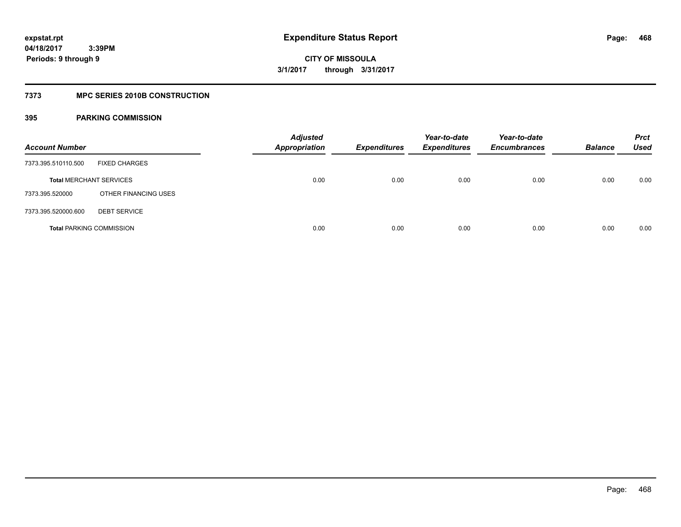### **7373 MPC SERIES 2010B CONSTRUCTION**

| <b>Account Number</b>           |                      | <b>Adjusted</b><br><b>Appropriation</b> | <b>Expenditures</b> | Year-to-date<br><b>Expenditures</b> | Year-to-date<br><b>Encumbrances</b> | <b>Balance</b> | <b>Prct</b><br>Used |
|---------------------------------|----------------------|-----------------------------------------|---------------------|-------------------------------------|-------------------------------------|----------------|---------------------|
| 7373.395.510110.500             | <b>FIXED CHARGES</b> |                                         |                     |                                     |                                     |                |                     |
| <b>Total MERCHANT SERVICES</b>  |                      | 0.00                                    | 0.00                | 0.00                                | 0.00                                | 0.00           | 0.00                |
| 7373.395.520000                 | OTHER FINANCING USES |                                         |                     |                                     |                                     |                |                     |
| 7373.395.520000.600             | <b>DEBT SERVICE</b>  |                                         |                     |                                     |                                     |                |                     |
| <b>Total PARKING COMMISSION</b> |                      | 0.00                                    | 0.00                | 0.00                                | 0.00                                | 0.00           | 0.00                |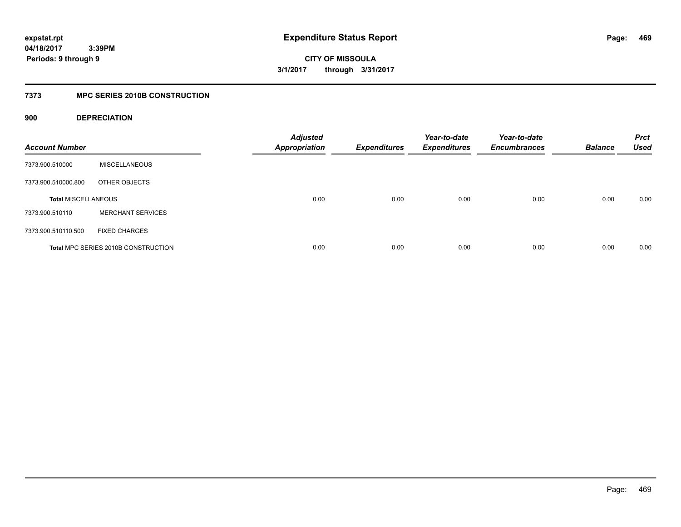**469**

**04/18/2017 3:39PM Periods: 9 through 9**

**CITY OF MISSOULA 3/1/2017 through 3/31/2017**

### **7373 MPC SERIES 2010B CONSTRUCTION**

### **900 DEPRECIATION**

| <b>Account Number</b>      |                                            | <b>Adjusted</b><br><b>Appropriation</b> | <b>Expenditures</b> | Year-to-date<br><b>Expenditures</b> | Year-to-date<br><b>Encumbrances</b> | <b>Balance</b> | <b>Prct</b><br><b>Used</b> |
|----------------------------|--------------------------------------------|-----------------------------------------|---------------------|-------------------------------------|-------------------------------------|----------------|----------------------------|
| 7373.900.510000            | <b>MISCELLANEOUS</b>                       |                                         |                     |                                     |                                     |                |                            |
| 7373.900.510000.800        | OTHER OBJECTS                              |                                         |                     |                                     |                                     |                |                            |
| <b>Total MISCELLANEOUS</b> |                                            | 0.00                                    | 0.00                | 0.00                                | 0.00                                | 0.00           | 0.00                       |
| 7373.900.510110            | <b>MERCHANT SERVICES</b>                   |                                         |                     |                                     |                                     |                |                            |
| 7373.900.510110.500        | <b>FIXED CHARGES</b>                       |                                         |                     |                                     |                                     |                |                            |
|                            | <b>Total MPC SERIES 2010B CONSTRUCTION</b> | 0.00                                    | 0.00                | 0.00                                | 0.00                                | 0.00           | 0.00                       |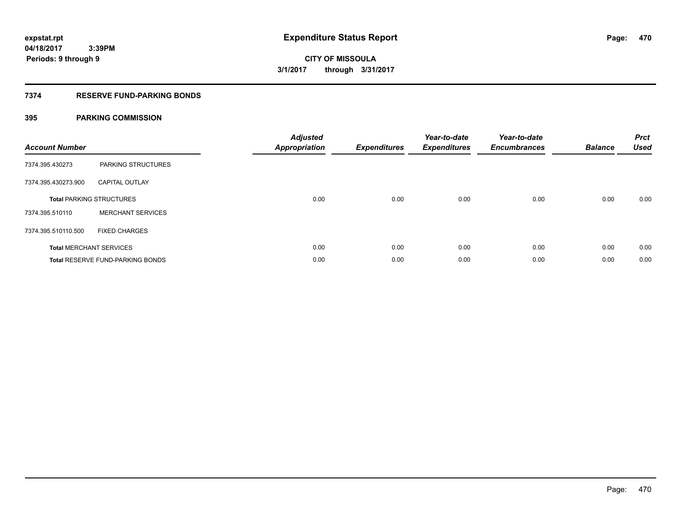### **7374 RESERVE FUND-PARKING BONDS**

| <b>Account Number</b> |                                  | <b>Adjusted</b><br><b>Appropriation</b> | <b>Expenditures</b> | Year-to-date<br><b>Expenditures</b> | Year-to-date<br><b>Encumbrances</b> | <b>Balance</b> | <b>Prct</b><br><b>Used</b> |
|-----------------------|----------------------------------|-----------------------------------------|---------------------|-------------------------------------|-------------------------------------|----------------|----------------------------|
| 7374.395.430273       | PARKING STRUCTURES               |                                         |                     |                                     |                                     |                |                            |
| 7374.395.430273.900   | <b>CAPITAL OUTLAY</b>            |                                         |                     |                                     |                                     |                |                            |
|                       | <b>Total PARKING STRUCTURES</b>  | 0.00                                    | 0.00                | 0.00                                | 0.00                                | 0.00           | 0.00                       |
| 7374.395.510110       | <b>MERCHANT SERVICES</b>         |                                         |                     |                                     |                                     |                |                            |
| 7374.395.510110.500   | <b>FIXED CHARGES</b>             |                                         |                     |                                     |                                     |                |                            |
|                       | <b>Total MERCHANT SERVICES</b>   | 0.00                                    | 0.00                | 0.00                                | 0.00                                | 0.00           | 0.00                       |
|                       | Total RESERVE FUND-PARKING BONDS | 0.00                                    | 0.00                | 0.00                                | 0.00                                | 0.00           | 0.00                       |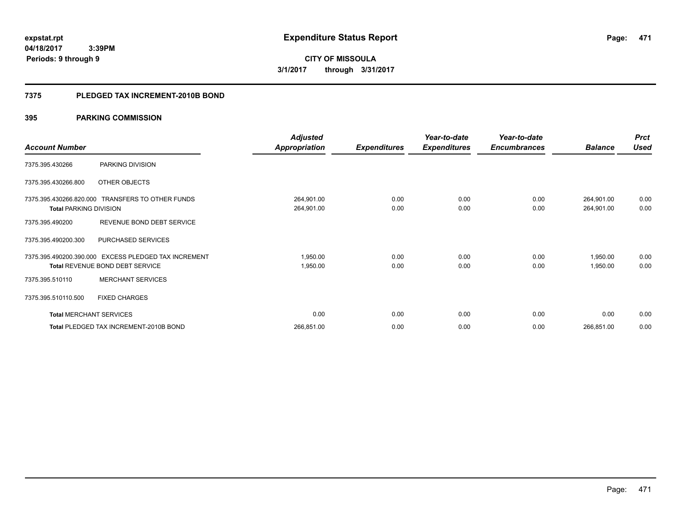**471**

**04/18/2017 3:39PM Periods: 9 through 9**

**CITY OF MISSOULA 3/1/2017 through 3/31/2017**

#### **7375 PLEDGED TAX INCREMENT-2010B BOND**

|                                |                                                                        | <b>Adjusted</b>          |                     | Year-to-date        | Year-to-date        |                          | <b>Prct</b>  |
|--------------------------------|------------------------------------------------------------------------|--------------------------|---------------------|---------------------|---------------------|--------------------------|--------------|
| <b>Account Number</b>          |                                                                        | <b>Appropriation</b>     | <b>Expenditures</b> | <b>Expenditures</b> | <b>Encumbrances</b> | <b>Balance</b>           | <b>Used</b>  |
| 7375.395.430266                | PARKING DIVISION                                                       |                          |                     |                     |                     |                          |              |
| 7375.395.430266.800            | OTHER OBJECTS                                                          |                          |                     |                     |                     |                          |              |
| <b>Total PARKING DIVISION</b>  | 7375.395.430266.820.000 TRANSFERS TO OTHER FUNDS                       | 264,901.00<br>264,901.00 | 0.00<br>0.00        | 0.00<br>0.00        | 0.00<br>0.00        | 264,901.00<br>264,901.00 | 0.00<br>0.00 |
| 7375.395.490200                | REVENUE BOND DEBT SERVICE                                              |                          |                     |                     |                     |                          |              |
| 7375.395.490200.300            | PURCHASED SERVICES                                                     |                          |                     |                     |                     |                          |              |
| 7375.395.490200.390.000        | EXCESS PLEDGED TAX INCREMENT<br><b>Total REVENUE BOND DEBT SERVICE</b> | 1,950.00<br>1,950.00     | 0.00<br>0.00        | 0.00<br>0.00        | 0.00<br>0.00        | 1,950.00<br>1,950.00     | 0.00<br>0.00 |
| 7375.395.510110                | <b>MERCHANT SERVICES</b>                                               |                          |                     |                     |                     |                          |              |
| 7375.395.510110.500            | <b>FIXED CHARGES</b>                                                   |                          |                     |                     |                     |                          |              |
| <b>Total MERCHANT SERVICES</b> |                                                                        | 0.00                     | 0.00                | 0.00                | 0.00                | 0.00                     | 0.00         |
|                                | Total PLEDGED TAX INCREMENT-2010B BOND                                 | 266,851.00               | 0.00                | 0.00                | 0.00                | 266,851.00               | 0.00         |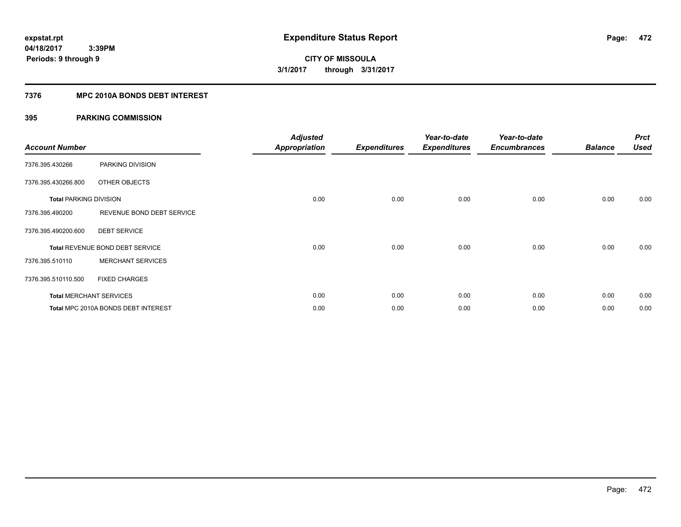### **7376 MPC 2010A BONDS DEBT INTEREST**

| <b>Account Number</b>         |                                     | <b>Adjusted</b><br><b>Appropriation</b> | <b>Expenditures</b> | Year-to-date<br><b>Expenditures</b> | Year-to-date<br><b>Encumbrances</b> | <b>Balance</b> | <b>Prct</b><br><b>Used</b> |
|-------------------------------|-------------------------------------|-----------------------------------------|---------------------|-------------------------------------|-------------------------------------|----------------|----------------------------|
| 7376.395.430266               | PARKING DIVISION                    |                                         |                     |                                     |                                     |                |                            |
| 7376.395.430266.800           | OTHER OBJECTS                       |                                         |                     |                                     |                                     |                |                            |
| <b>Total PARKING DIVISION</b> |                                     | 0.00                                    | 0.00                | 0.00                                | 0.00                                | 0.00           | 0.00                       |
| 7376.395.490200               | REVENUE BOND DEBT SERVICE           |                                         |                     |                                     |                                     |                |                            |
| 7376.395.490200.600           | <b>DEBT SERVICE</b>                 |                                         |                     |                                     |                                     |                |                            |
|                               | Total REVENUE BOND DEBT SERVICE     | 0.00                                    | 0.00                | 0.00                                | 0.00                                | 0.00           | 0.00                       |
| 7376.395.510110               | <b>MERCHANT SERVICES</b>            |                                         |                     |                                     |                                     |                |                            |
| 7376.395.510110.500           | <b>FIXED CHARGES</b>                |                                         |                     |                                     |                                     |                |                            |
|                               | <b>Total MERCHANT SERVICES</b>      | 0.00                                    | 0.00                | 0.00                                | 0.00                                | 0.00           | 0.00                       |
|                               | Total MPC 2010A BONDS DEBT INTEREST | 0.00                                    | 0.00                | 0.00                                | 0.00                                | 0.00           | 0.00                       |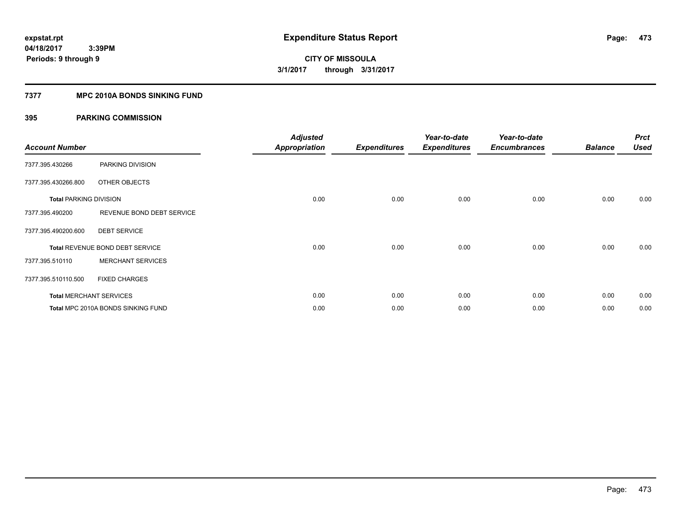### **7377 MPC 2010A BONDS SINKING FUND**

| <b>Account Number</b>         |                                    | <b>Adjusted</b><br><b>Appropriation</b> | <b>Expenditures</b> | Year-to-date<br><b>Expenditures</b> | Year-to-date<br><b>Encumbrances</b> | <b>Balance</b> | <b>Prct</b><br><b>Used</b> |
|-------------------------------|------------------------------------|-----------------------------------------|---------------------|-------------------------------------|-------------------------------------|----------------|----------------------------|
| 7377.395.430266               | PARKING DIVISION                   |                                         |                     |                                     |                                     |                |                            |
| 7377.395.430266.800           | OTHER OBJECTS                      |                                         |                     |                                     |                                     |                |                            |
| <b>Total PARKING DIVISION</b> |                                    | 0.00                                    | 0.00                | 0.00                                | 0.00                                | 0.00           | 0.00                       |
| 7377.395.490200               | REVENUE BOND DEBT SERVICE          |                                         |                     |                                     |                                     |                |                            |
| 7377.395.490200.600           | <b>DEBT SERVICE</b>                |                                         |                     |                                     |                                     |                |                            |
|                               | Total REVENUE BOND DEBT SERVICE    | 0.00                                    | 0.00                | 0.00                                | 0.00                                | 0.00           | 0.00                       |
| 7377.395.510110               | <b>MERCHANT SERVICES</b>           |                                         |                     |                                     |                                     |                |                            |
| 7377.395.510110.500           | <b>FIXED CHARGES</b>               |                                         |                     |                                     |                                     |                |                            |
|                               | <b>Total MERCHANT SERVICES</b>     | 0.00                                    | 0.00                | 0.00                                | 0.00                                | 0.00           | 0.00                       |
|                               | Total MPC 2010A BONDS SINKING FUND | 0.00                                    | 0.00                | 0.00                                | 0.00                                | 0.00           | 0.00                       |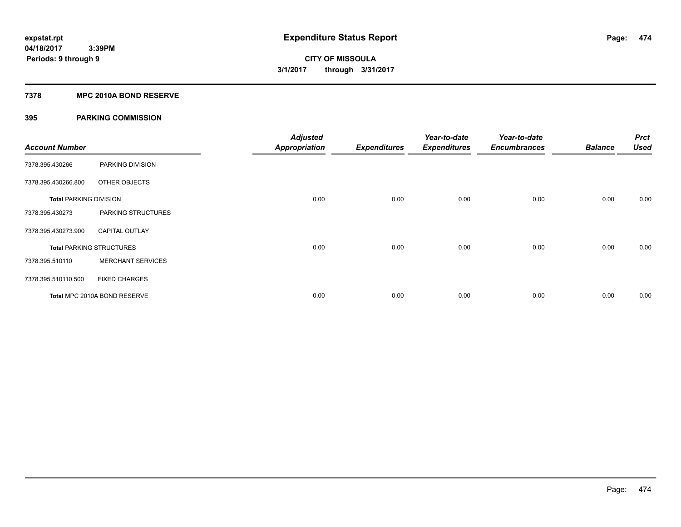#### **7378 MPC 2010A BOND RESERVE**

| <b>Account Number</b>         |                                 | <b>Adjusted</b><br><b>Appropriation</b> | <b>Expenditures</b> | Year-to-date<br><b>Expenditures</b> | Year-to-date<br><b>Encumbrances</b> | <b>Balance</b> | <b>Prct</b><br><b>Used</b> |
|-------------------------------|---------------------------------|-----------------------------------------|---------------------|-------------------------------------|-------------------------------------|----------------|----------------------------|
| 7378.395.430266               | PARKING DIVISION                |                                         |                     |                                     |                                     |                |                            |
| 7378.395.430266.800           | OTHER OBJECTS                   |                                         |                     |                                     |                                     |                |                            |
| <b>Total PARKING DIVISION</b> |                                 | 0.00                                    | 0.00                | 0.00                                | 0.00                                | 0.00           | 0.00                       |
| 7378.395.430273               | PARKING STRUCTURES              |                                         |                     |                                     |                                     |                |                            |
| 7378.395.430273.900           | <b>CAPITAL OUTLAY</b>           |                                         |                     |                                     |                                     |                |                            |
|                               | <b>Total PARKING STRUCTURES</b> | 0.00                                    | 0.00                | 0.00                                | 0.00                                | 0.00           | 0.00                       |
| 7378.395.510110               | <b>MERCHANT SERVICES</b>        |                                         |                     |                                     |                                     |                |                            |
| 7378.395.510110.500           | <b>FIXED CHARGES</b>            |                                         |                     |                                     |                                     |                |                            |
|                               | Total MPC 2010A BOND RESERVE    | 0.00                                    | 0.00                | 0.00                                | 0.00                                | 0.00           | 0.00                       |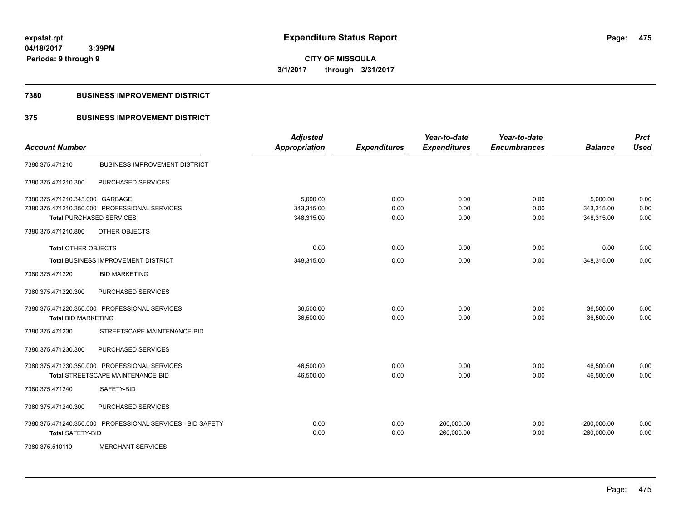**CITY OF MISSOULA 3/1/2017 through 3/31/2017**

#### **7380 BUSINESS IMPROVEMENT DISTRICT**

### **375 BUSINESS IMPROVEMENT DISTRICT**

| <b>Account Number</b>           |                                                            | <b>Adjusted</b><br><b>Appropriation</b> | <b>Expenditures</b> | Year-to-date<br><b>Expenditures</b> | Year-to-date<br><b>Encumbrances</b> | <b>Balance</b> | <b>Prct</b><br><b>Used</b> |
|---------------------------------|------------------------------------------------------------|-----------------------------------------|---------------------|-------------------------------------|-------------------------------------|----------------|----------------------------|
| 7380.375.471210                 | <b>BUSINESS IMPROVEMENT DISTRICT</b>                       |                                         |                     |                                     |                                     |                |                            |
| 7380.375.471210.300             | PURCHASED SERVICES                                         |                                         |                     |                                     |                                     |                |                            |
| 7380.375.471210.345.000 GARBAGE |                                                            | 5.000.00                                | 0.00                | 0.00                                | 0.00                                | 5,000.00       | 0.00                       |
|                                 | 7380.375.471210.350.000 PROFESSIONAL SERVICES              | 343,315.00                              | 0.00                | 0.00                                | 0.00                                | 343,315.00     | 0.00                       |
|                                 | <b>Total PURCHASED SERVICES</b>                            | 348,315.00                              | 0.00                | 0.00                                | 0.00                                | 348,315.00     | 0.00                       |
| 7380.375.471210.800             | OTHER OBJECTS                                              |                                         |                     |                                     |                                     |                |                            |
| <b>Total OTHER OBJECTS</b>      |                                                            | 0.00                                    | 0.00                | 0.00                                | 0.00                                | 0.00           | 0.00                       |
|                                 | <b>Total BUSINESS IMPROVEMENT DISTRICT</b>                 | 348,315.00                              | 0.00                | 0.00                                | 0.00                                | 348,315.00     | 0.00                       |
| 7380.375.471220                 | <b>BID MARKETING</b>                                       |                                         |                     |                                     |                                     |                |                            |
| 7380.375.471220.300             | PURCHASED SERVICES                                         |                                         |                     |                                     |                                     |                |                            |
|                                 | 7380.375.471220.350.000 PROFESSIONAL SERVICES              | 36,500.00                               | 0.00                | 0.00                                | 0.00                                | 36,500.00      | 0.00                       |
| <b>Total BID MARKETING</b>      |                                                            | 36,500.00                               | 0.00                | 0.00                                | 0.00                                | 36.500.00      | 0.00                       |
| 7380.375.471230                 | STREETSCAPE MAINTENANCE-BID                                |                                         |                     |                                     |                                     |                |                            |
| 7380.375.471230.300             | PURCHASED SERVICES                                         |                                         |                     |                                     |                                     |                |                            |
|                                 | 7380.375.471230.350.000 PROFESSIONAL SERVICES              | 46,500.00                               | 0.00                | 0.00                                | 0.00                                | 46,500.00      | 0.00                       |
|                                 | Total STREETSCAPE MAINTENANCE-BID                          | 46,500.00                               | 0.00                | 0.00                                | 0.00                                | 46,500.00      | 0.00                       |
| 7380.375.471240                 | SAFETY-BID                                                 |                                         |                     |                                     |                                     |                |                            |
| 7380.375.471240.300             | PURCHASED SERVICES                                         |                                         |                     |                                     |                                     |                |                            |
|                                 | 7380.375.471240.350.000 PROFESSIONAL SERVICES - BID SAFETY | 0.00                                    | 0.00                | 260,000.00                          | 0.00                                | $-260,000.00$  | 0.00                       |
| <b>Total SAFETY-BID</b>         |                                                            | 0.00                                    | 0.00                | 260,000.00                          | 0.00                                | $-260,000.00$  | 0.00                       |
| 7380.375.510110                 | <b>MERCHANT SERVICES</b>                                   |                                         |                     |                                     |                                     |                |                            |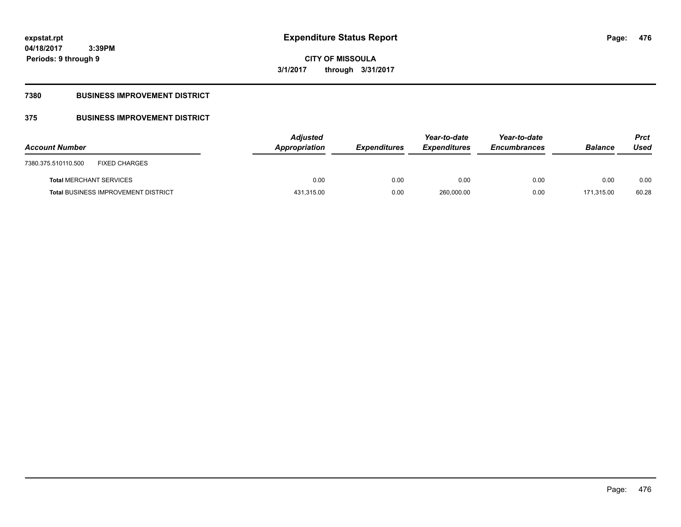**Periods: 9 through 9**

**CITY OF MISSOULA 3/1/2017 through 3/31/2017**

### **7380 BUSINESS IMPROVEMENT DISTRICT**

 **3:39PM**

### **375 BUSINESS IMPROVEMENT DISTRICT**

| <b>Account Number</b>                       | <b>Adjusted</b><br>Appropriation | <b>Expenditures</b> | Year-to-date<br><b>Expenditures</b> | Year-to-date<br><b>Encumbrances</b> | <b>Balance</b> | <b>Prct</b><br>Used |
|---------------------------------------------|----------------------------------|---------------------|-------------------------------------|-------------------------------------|----------------|---------------------|
| <b>FIXED CHARGES</b><br>7380.375.510110.500 |                                  |                     |                                     |                                     |                |                     |
| <b>Total MERCHANT SERVICES</b>              | 0.00                             | 0.00                | 0.00                                | 0.00                                | 0.00           | 0.00                |
| <b>Total BUSINESS IMPROVEMENT DISTRICT</b>  | 431,315.00                       | 0.00                | 260,000.00                          | 0.00                                | 171.315.00     | 60.28               |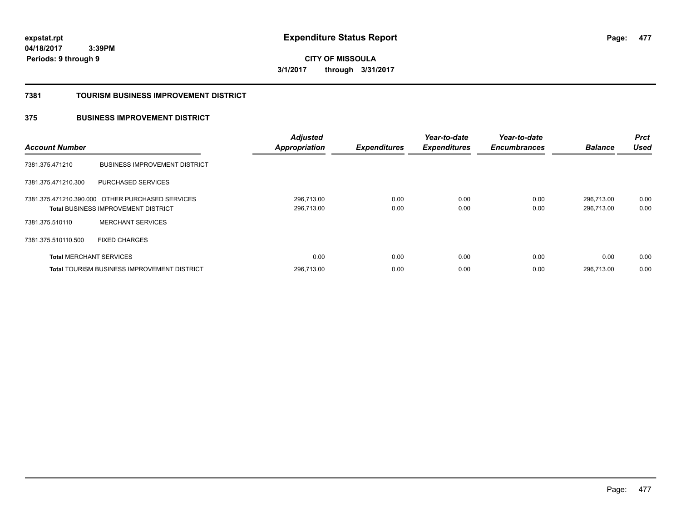**CITY OF MISSOULA 3/1/2017 through 3/31/2017**

#### **7381 TOURISM BUSINESS IMPROVEMENT DISTRICT**

### **375 BUSINESS IMPROVEMENT DISTRICT**

| <b>Account Number</b>          |                                                                                                | <b>Adjusted</b><br><b>Appropriation</b> | <b>Expenditures</b> | Year-to-date<br><b>Expenditures</b> | Year-to-date<br><b>Encumbrances</b> | <b>Balance</b>           | <b>Prct</b><br><b>Used</b> |
|--------------------------------|------------------------------------------------------------------------------------------------|-----------------------------------------|---------------------|-------------------------------------|-------------------------------------|--------------------------|----------------------------|
| 7381.375.471210                | <b>BUSINESS IMPROVEMENT DISTRICT</b>                                                           |                                         |                     |                                     |                                     |                          |                            |
| 7381.375.471210.300            | PURCHASED SERVICES                                                                             |                                         |                     |                                     |                                     |                          |                            |
|                                | 7381.375.471210.390.000 OTHER PURCHASED SERVICES<br><b>Total BUSINESS IMPROVEMENT DISTRICT</b> | 296.713.00<br>296,713.00                | 0.00<br>0.00        | 0.00<br>0.00                        | 0.00<br>0.00                        | 296.713.00<br>296,713.00 | 0.00<br>0.00               |
| 7381.375.510110                | <b>MERCHANT SERVICES</b>                                                                       |                                         |                     |                                     |                                     |                          |                            |
| 7381.375.510110.500            | <b>FIXED CHARGES</b>                                                                           |                                         |                     |                                     |                                     |                          |                            |
| <b>Total MERCHANT SERVICES</b> |                                                                                                | 0.00                                    | 0.00                | 0.00                                | 0.00                                | 0.00                     | 0.00                       |
|                                | <b>Total TOURISM BUSINESS IMPROVEMENT DISTRICT</b>                                             | 296,713.00                              | 0.00                | 0.00                                | 0.00                                | 296.713.00               | 0.00                       |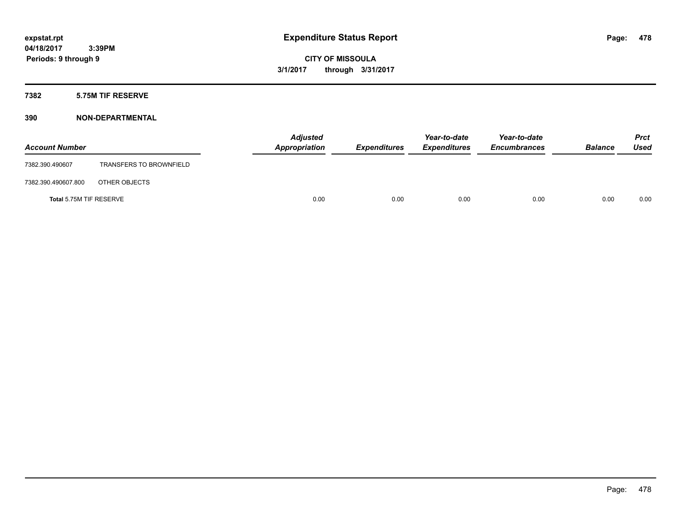#### **7382 5.75M TIF RESERVE**

| <b>Account Number</b>   |                                | <b>Adjusted</b><br>Appropriation | <b>Expenditures</b> | Year-to-date<br><b>Expenditures</b> | Year-to-date<br><b>Encumbrances</b> | <b>Balance</b> | Prct<br><b>Used</b> |
|-------------------------|--------------------------------|----------------------------------|---------------------|-------------------------------------|-------------------------------------|----------------|---------------------|
| 7382.390.490607         | <b>TRANSFERS TO BROWNFIELD</b> |                                  |                     |                                     |                                     |                |                     |
| 7382.390.490607.800     | OTHER OBJECTS                  |                                  |                     |                                     |                                     |                |                     |
| Total 5.75M TIF RESERVE |                                | 0.00                             | 0.00                | 0.00                                | 0.00                                | 0.00           | 0.00                |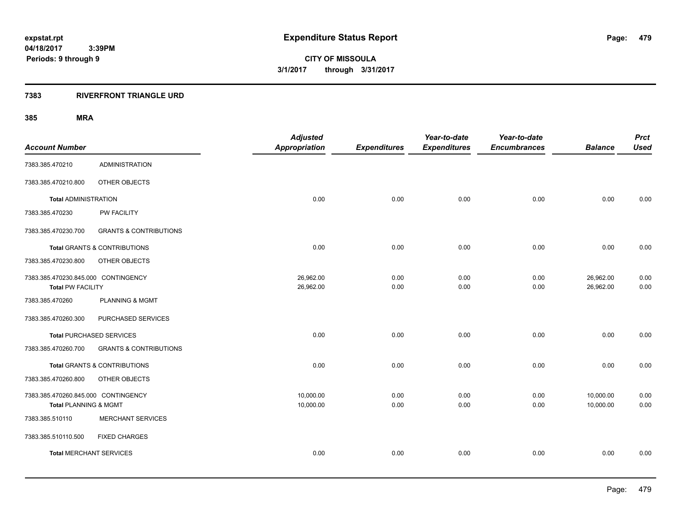### **7383 RIVERFRONT TRIANGLE URD**

| <b>Account Number</b>                                           |                                         | <b>Adjusted</b><br><b>Appropriation</b> | <b>Expenditures</b> | Year-to-date<br><b>Expenditures</b> | Year-to-date<br><b>Encumbrances</b> | <b>Balance</b>         | <b>Prct</b><br><b>Used</b> |
|-----------------------------------------------------------------|-----------------------------------------|-----------------------------------------|---------------------|-------------------------------------|-------------------------------------|------------------------|----------------------------|
| 7383.385.470210                                                 | <b>ADMINISTRATION</b>                   |                                         |                     |                                     |                                     |                        |                            |
| 7383.385.470210.800                                             | OTHER OBJECTS                           |                                         |                     |                                     |                                     |                        |                            |
| <b>Total ADMINISTRATION</b>                                     |                                         | 0.00                                    | 0.00                | 0.00                                | 0.00                                | 0.00                   | 0.00                       |
| 7383.385.470230                                                 | PW FACILITY                             |                                         |                     |                                     |                                     |                        |                            |
| 7383.385.470230.700                                             | <b>GRANTS &amp; CONTRIBUTIONS</b>       |                                         |                     |                                     |                                     |                        |                            |
|                                                                 | <b>Total GRANTS &amp; CONTRIBUTIONS</b> | 0.00                                    | 0.00                | 0.00                                | 0.00                                | 0.00                   | 0.00                       |
| 7383.385.470230.800                                             | OTHER OBJECTS                           |                                         |                     |                                     |                                     |                        |                            |
| 7383.385.470230.845.000 CONTINGENCY<br><b>Total PW FACILITY</b> |                                         | 26,962.00<br>26,962.00                  | 0.00<br>0.00        | 0.00<br>0.00                        | 0.00<br>0.00                        | 26,962.00<br>26,962.00 | 0.00<br>0.00               |
| 7383.385.470260                                                 | <b>PLANNING &amp; MGMT</b>              |                                         |                     |                                     |                                     |                        |                            |
| 7383.385.470260.300                                             | PURCHASED SERVICES                      |                                         |                     |                                     |                                     |                        |                            |
| <b>Total PURCHASED SERVICES</b>                                 |                                         | 0.00                                    | 0.00                | 0.00                                | 0.00                                | 0.00                   | 0.00                       |
| 7383.385.470260.700                                             | <b>GRANTS &amp; CONTRIBUTIONS</b>       |                                         |                     |                                     |                                     |                        |                            |
|                                                                 | <b>Total GRANTS &amp; CONTRIBUTIONS</b> | 0.00                                    | 0.00                | 0.00                                | 0.00                                | 0.00                   | 0.00                       |
| 7383.385.470260.800                                             | OTHER OBJECTS                           |                                         |                     |                                     |                                     |                        |                            |
| 7383.385.470260.845.000 CONTINGENCY<br>Total PLANNING & MGMT    |                                         | 10,000.00<br>10,000.00                  | 0.00<br>0.00        | 0.00<br>0.00                        | 0.00<br>0.00                        | 10,000.00<br>10,000.00 | 0.00<br>0.00               |
| 7383.385.510110                                                 | <b>MERCHANT SERVICES</b>                |                                         |                     |                                     |                                     |                        |                            |
| 7383.385.510110.500                                             | <b>FIXED CHARGES</b>                    |                                         |                     |                                     |                                     |                        |                            |
| <b>Total MERCHANT SERVICES</b>                                  |                                         | 0.00                                    | 0.00                | 0.00                                | 0.00                                | 0.00                   | 0.00                       |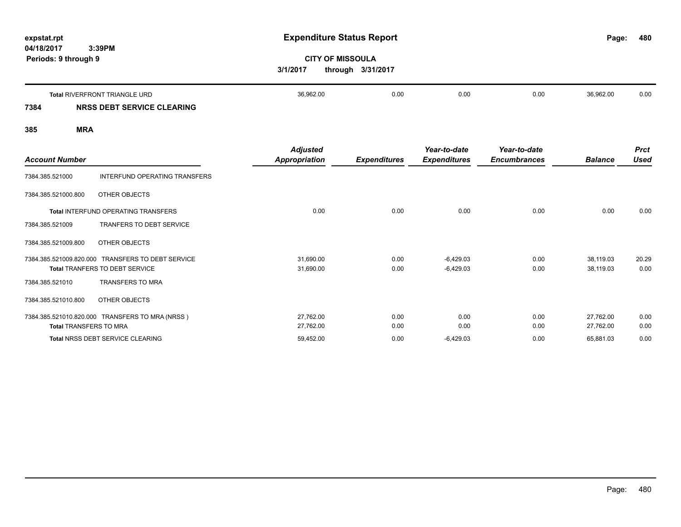**480**

# **CITY OF MISSOULA 3/1/2017 through 3/31/2017**

|      | Total RIVERFRONT TRIANGLE URD | 36.962.00 | 0.00 | 0.00 | 0.00 | 36.962.00 | 0.00 |
|------|-------------------------------|-----------|------|------|------|-----------|------|
| 7384 | <b>DEBT SERVICE CLEARING</b>  |           |      |      |      |           |      |

| <b>Account Number</b>         |                                                                           | <b>Adjusted</b><br><b>Appropriation</b> | <b>Expenditures</b> | Year-to-date<br><b>Expenditures</b> | Year-to-date<br><b>Encumbrances</b> | <b>Balance</b>         | <b>Prct</b><br><b>Used</b> |
|-------------------------------|---------------------------------------------------------------------------|-----------------------------------------|---------------------|-------------------------------------|-------------------------------------|------------------------|----------------------------|
| 7384.385.521000               | INTERFUND OPERATING TRANSFERS                                             |                                         |                     |                                     |                                     |                        |                            |
| 7384.385.521000.800           | OTHER OBJECTS                                                             |                                         |                     |                                     |                                     |                        |                            |
|                               | <b>Total INTERFUND OPERATING TRANSFERS</b>                                | 0.00                                    | 0.00                | 0.00                                | 0.00                                | 0.00                   | 0.00                       |
| 7384.385.521009               | <b>TRANFERS TO DEBT SERVICE</b>                                           |                                         |                     |                                     |                                     |                        |                            |
| 7384.385.521009.800           | OTHER OBJECTS                                                             |                                         |                     |                                     |                                     |                        |                            |
| 7384.385.521009.820.000       | <b>TRANSFERS TO DEBT SERVICE</b><br><b>Total TRANFERS TO DEBT SERVICE</b> | 31,690.00<br>31,690.00                  | 0.00<br>0.00        | $-6,429.03$<br>$-6,429.03$          | 0.00<br>0.00                        | 38,119.03<br>38,119.03 | 20.29<br>0.00              |
| 7384.385.521010               | <b>TRANSFERS TO MRA</b>                                                   |                                         |                     |                                     |                                     |                        |                            |
| 7384.385.521010.800           | OTHER OBJECTS                                                             |                                         |                     |                                     |                                     |                        |                            |
| <b>Total TRANSFERS TO MRA</b> | 7384.385.521010.820.000 TRANSFERS TO MRA (NRSS)                           | 27,762.00<br>27,762.00                  | 0.00<br>0.00        | 0.00<br>0.00                        | 0.00<br>0.00                        | 27,762.00<br>27,762.00 | 0.00<br>0.00               |
|                               | <b>Total NRSS DEBT SERVICE CLEARING</b>                                   | 59,452.00                               | 0.00                | $-6,429.03$                         | 0.00                                | 65,881.03              | 0.00                       |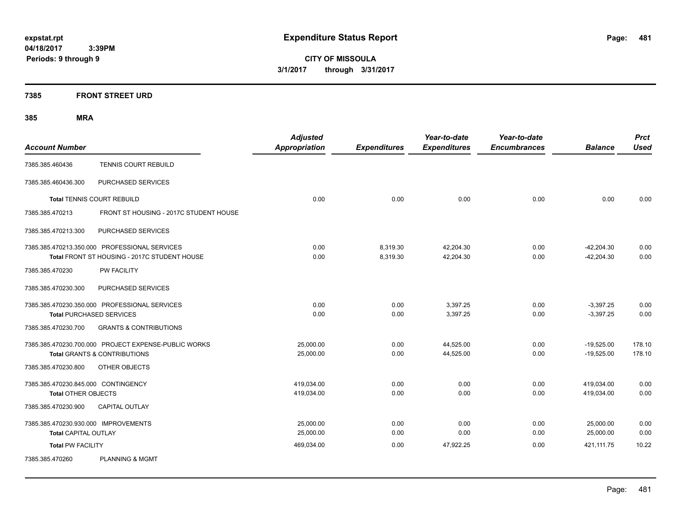**CITY OF MISSOULA 3/1/2017 through 3/31/2017**

### **7385 FRONT STREET URD**

| <b>Account Number</b>                |                                                      | <b>Adjusted</b><br><b>Appropriation</b> | <b>Expenditures</b> | Year-to-date<br><b>Expenditures</b> | Year-to-date<br><b>Encumbrances</b> | <b>Balance</b> | <b>Prct</b><br><b>Used</b> |
|--------------------------------------|------------------------------------------------------|-----------------------------------------|---------------------|-------------------------------------|-------------------------------------|----------------|----------------------------|
|                                      |                                                      |                                         |                     |                                     |                                     |                |                            |
| 7385.385.460436                      | <b>TENNIS COURT REBUILD</b>                          |                                         |                     |                                     |                                     |                |                            |
| 7385.385.460436.300                  | PURCHASED SERVICES                                   |                                         |                     |                                     |                                     |                |                            |
|                                      | <b>Total TENNIS COURT REBUILD</b>                    | 0.00                                    | 0.00                | 0.00                                | 0.00                                | 0.00           | 0.00                       |
| 7385.385.470213                      | FRONT ST HOUSING - 2017C STUDENT HOUSE               |                                         |                     |                                     |                                     |                |                            |
| 7385.385.470213.300                  | PURCHASED SERVICES                                   |                                         |                     |                                     |                                     |                |                            |
|                                      | 7385.385.470213.350.000 PROFESSIONAL SERVICES        | 0.00                                    | 8,319.30            | 42,204.30                           | 0.00                                | $-42,204.30$   | 0.00                       |
|                                      | Total FRONT ST HOUSING - 2017C STUDENT HOUSE         | 0.00                                    | 8,319.30            | 42,204.30                           | 0.00                                | $-42.204.30$   | 0.00                       |
| 7385.385.470230                      | <b>PW FACILITY</b>                                   |                                         |                     |                                     |                                     |                |                            |
| 7385.385.470230.300                  | PURCHASED SERVICES                                   |                                         |                     |                                     |                                     |                |                            |
|                                      | 7385.385.470230.350.000 PROFESSIONAL SERVICES        | 0.00                                    | 0.00                | 3,397.25                            | 0.00                                | $-3,397.25$    | 0.00                       |
| <b>Total PURCHASED SERVICES</b>      |                                                      | 0.00                                    | 0.00                | 3,397.25                            | 0.00                                | $-3,397.25$    | 0.00                       |
| 7385.385.470230.700                  | <b>GRANTS &amp; CONTRIBUTIONS</b>                    |                                         |                     |                                     |                                     |                |                            |
|                                      | 7385.385.470230.700.000 PROJECT EXPENSE-PUBLIC WORKS | 25,000.00                               | 0.00                | 44,525.00                           | 0.00                                | $-19,525.00$   | 178.10                     |
|                                      | <b>Total GRANTS &amp; CONTRIBUTIONS</b>              | 25,000.00                               | 0.00                | 44,525.00                           | 0.00                                | $-19,525.00$   | 178.10                     |
| 7385.385.470230.800                  | OTHER OBJECTS                                        |                                         |                     |                                     |                                     |                |                            |
| 7385.385.470230.845.000 CONTINGENCY  |                                                      | 419,034.00                              | 0.00                | 0.00                                | 0.00                                | 419,034.00     | 0.00                       |
| <b>Total OTHER OBJECTS</b>           |                                                      | 419,034.00                              | 0.00                | 0.00                                | 0.00                                | 419,034.00     | 0.00                       |
| 7385.385.470230.900                  | <b>CAPITAL OUTLAY</b>                                |                                         |                     |                                     |                                     |                |                            |
| 7385.385.470230.930.000 IMPROVEMENTS |                                                      | 25,000.00                               | 0.00                | 0.00                                | 0.00                                | 25,000.00      | 0.00                       |
| <b>Total CAPITAL OUTLAY</b>          |                                                      | 25,000.00                               | 0.00                | 0.00                                | 0.00                                | 25,000.00      | 0.00                       |
| <b>Total PW FACILITY</b>             |                                                      | 469,034.00                              | 0.00                | 47,922.25                           | 0.00                                | 421.111.75     | 10.22                      |
| 7385.385.470260                      | <b>PLANNING &amp; MGMT</b>                           |                                         |                     |                                     |                                     |                |                            |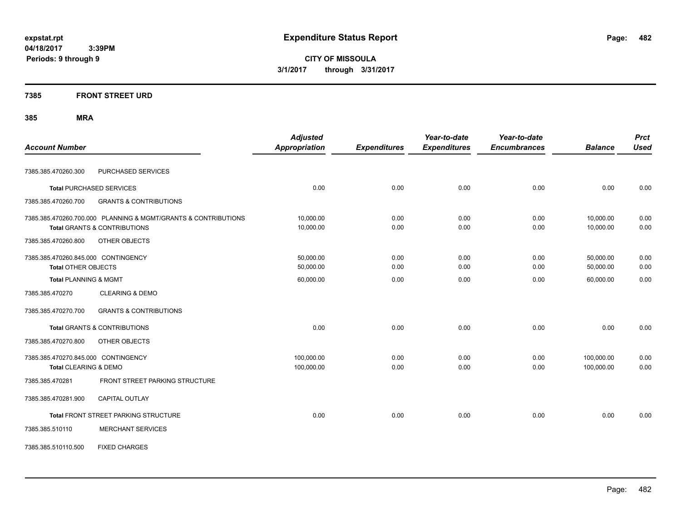**CITY OF MISSOULA 3/1/2017 through 3/31/2017**

### **7385 FRONT STREET URD**

| <b>Account Number</b>                                                                                     | <b>Adjusted</b><br>Appropriation | <b>Expenditures</b> | Year-to-date<br><b>Expenditures</b> | Year-to-date<br><b>Encumbrances</b> | <b>Balance</b>           | <b>Prct</b><br><b>Used</b> |
|-----------------------------------------------------------------------------------------------------------|----------------------------------|---------------------|-------------------------------------|-------------------------------------|--------------------------|----------------------------|
| PURCHASED SERVICES<br>7385.385.470260.300                                                                 |                                  |                     |                                     |                                     |                          |                            |
| <b>Total PURCHASED SERVICES</b>                                                                           | 0.00                             | 0.00                | 0.00                                | 0.00                                | 0.00                     | 0.00                       |
| <b>GRANTS &amp; CONTRIBUTIONS</b><br>7385.385.470260.700                                                  |                                  |                     |                                     |                                     |                          |                            |
| 7385.385.470260.700.000 PLANNING & MGMT/GRANTS & CONTRIBUTIONS<br><b>Total GRANTS &amp; CONTRIBUTIONS</b> | 10,000.00<br>10,000.00           | 0.00<br>0.00        | 0.00<br>0.00                        | 0.00<br>0.00                        | 10,000.00<br>10,000.00   | 0.00<br>0.00               |
| 7385.385.470260.800<br>OTHER OBJECTS                                                                      |                                  |                     |                                     |                                     |                          |                            |
| 7385.385.470260.845.000 CONTINGENCY<br><b>Total OTHER OBJECTS</b>                                         | 50,000.00<br>50,000.00           | 0.00<br>0.00        | 0.00<br>0.00                        | 0.00<br>0.00                        | 50,000.00<br>50,000.00   | 0.00<br>0.00               |
| <b>Total PLANNING &amp; MGMT</b>                                                                          | 60,000.00                        | 0.00                | 0.00                                | 0.00                                | 60,000.00                | 0.00                       |
| <b>CLEARING &amp; DEMO</b><br>7385.385.470270                                                             |                                  |                     |                                     |                                     |                          |                            |
| 7385.385.470270.700<br><b>GRANTS &amp; CONTRIBUTIONS</b>                                                  |                                  |                     |                                     |                                     |                          |                            |
| <b>Total GRANTS &amp; CONTRIBUTIONS</b>                                                                   | 0.00                             | 0.00                | 0.00                                | 0.00                                | 0.00                     | 0.00                       |
| 7385.385.470270.800<br>OTHER OBJECTS                                                                      |                                  |                     |                                     |                                     |                          |                            |
| 7385.385.470270.845.000 CONTINGENCY<br>Total CLEARING & DEMO                                              | 100,000.00<br>100,000.00         | 0.00<br>0.00        | 0.00<br>0.00                        | 0.00<br>0.00                        | 100,000.00<br>100,000.00 | 0.00<br>0.00               |
| FRONT STREET PARKING STRUCTURE<br>7385.385.470281                                                         |                                  |                     |                                     |                                     |                          |                            |
| 7385.385.470281.900<br><b>CAPITAL OUTLAY</b>                                                              |                                  |                     |                                     |                                     |                          |                            |
| Total FRONT STREET PARKING STRUCTURE                                                                      | 0.00                             | 0.00                | 0.00                                | 0.00                                | 0.00                     | 0.00                       |
| <b>MERCHANT SERVICES</b><br>7385.385.510110                                                               |                                  |                     |                                     |                                     |                          |                            |
| <b>FIXED CHARGES</b><br>7385.385.510110.500                                                               |                                  |                     |                                     |                                     |                          |                            |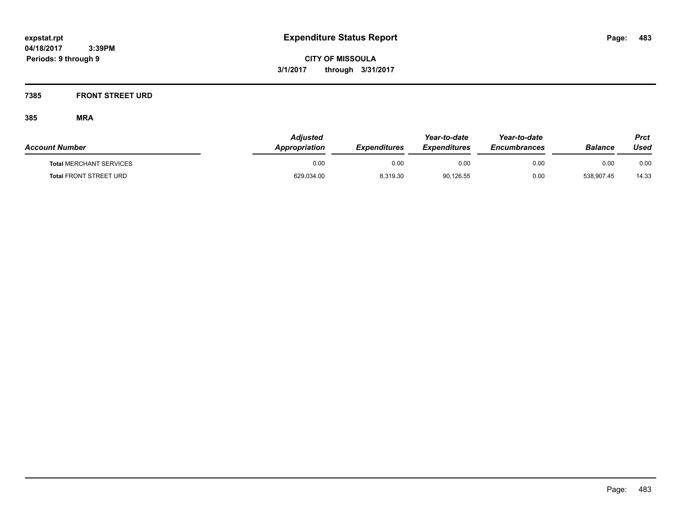### **7385 FRONT STREET URD**

| <b>Account Number</b>          | Adjusted<br><b>Appropriation</b> | <b>Expenditures</b> | Year-to-date<br><b>Expenditures</b> | Year-to-date<br><b>Encumbrances</b> | <b>Balance</b> | Prct<br>Used |
|--------------------------------|----------------------------------|---------------------|-------------------------------------|-------------------------------------|----------------|--------------|
| <b>Total MERCHANT SERVICES</b> | 0.00                             | 0.00                | 0.00                                | 0.00                                | 0.00           | 0.00         |
| <b>Total FRONT STREET URD</b>  | 629,034.00                       | 8,319.30            | 90,126.55                           | 0.00                                | 538,907.45     | 14.33        |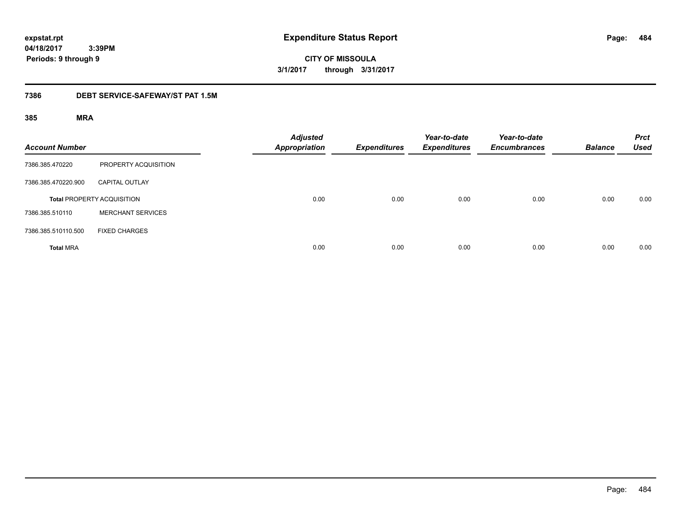**484**

**04/18/2017 3:39PM Periods: 9 through 9**

**CITY OF MISSOULA 3/1/2017 through 3/31/2017**

#### **7386 DEBT SERVICE-SAFEWAY/ST PAT 1.5M**

| <b>Account Number</b> |                                   | <b>Adjusted</b><br><b>Appropriation</b> | <b>Expenditures</b> | Year-to-date<br><b>Expenditures</b> | Year-to-date<br><b>Encumbrances</b> | <b>Balance</b> | <b>Prct</b><br><b>Used</b> |
|-----------------------|-----------------------------------|-----------------------------------------|---------------------|-------------------------------------|-------------------------------------|----------------|----------------------------|
| 7386.385.470220       | PROPERTY ACQUISITION              |                                         |                     |                                     |                                     |                |                            |
| 7386.385.470220.900   | <b>CAPITAL OUTLAY</b>             |                                         |                     |                                     |                                     |                |                            |
|                       | <b>Total PROPERTY ACQUISITION</b> | 0.00                                    | 0.00                | 0.00                                | 0.00                                | 0.00           | 0.00                       |
| 7386.385.510110       | <b>MERCHANT SERVICES</b>          |                                         |                     |                                     |                                     |                |                            |
| 7386.385.510110.500   | <b>FIXED CHARGES</b>              |                                         |                     |                                     |                                     |                |                            |
| <b>Total MRA</b>      |                                   | 0.00                                    | 0.00                | 0.00                                | 0.00                                | 0.00           | 0.00                       |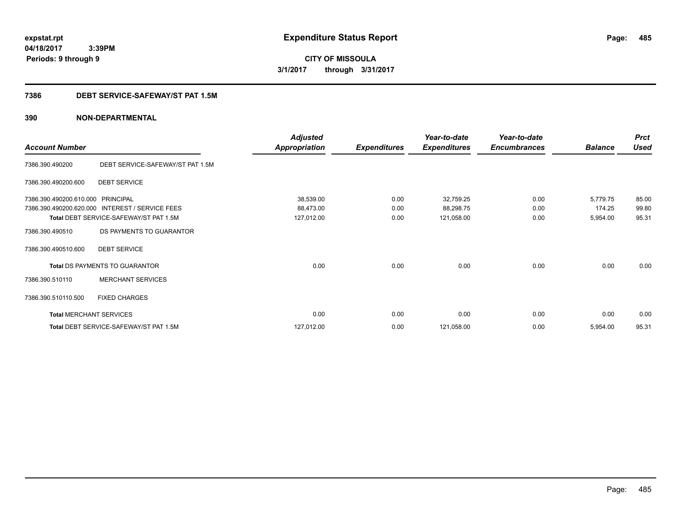**CITY OF MISSOULA 3/1/2017 through 3/31/2017**

#### **7386 DEBT SERVICE-SAFEWAY/ST PAT 1.5M**

|                                |                                        | <b>Adjusted</b>      |                     | Year-to-date        | Year-to-date        |                | <b>Prct</b> |
|--------------------------------|----------------------------------------|----------------------|---------------------|---------------------|---------------------|----------------|-------------|
| <b>Account Number</b>          |                                        | <b>Appropriation</b> | <b>Expenditures</b> | <b>Expenditures</b> | <b>Encumbrances</b> | <b>Balance</b> | <b>Used</b> |
| 7386.390.490200                | DEBT SERVICE-SAFEWAY/ST PAT 1.5M       |                      |                     |                     |                     |                |             |
| 7386.390.490200.600            | <b>DEBT SERVICE</b>                    |                      |                     |                     |                     |                |             |
| 7386.390.490200.610.000        | <b>PRINCIPAL</b>                       | 38,539.00            | 0.00                | 32,759.25           | 0.00                | 5,779.75       | 85.00       |
| 7386.390.490200.620.000        | <b>INTEREST / SERVICE FEES</b>         | 88,473.00            | 0.00                | 88,298.75           | 0.00                | 174.25         | 99.80       |
|                                | Total DEBT SERVICE-SAFEWAY/ST PAT 1.5M | 127,012.00           | 0.00                | 121,058.00          | 0.00                | 5,954.00       | 95.31       |
| 7386.390.490510                | DS PAYMENTS TO GUARANTOR               |                      |                     |                     |                     |                |             |
| 7386.390.490510.600            | <b>DEBT SERVICE</b>                    |                      |                     |                     |                     |                |             |
|                                | Total DS PAYMENTS TO GUARANTOR         | 0.00                 | 0.00                | 0.00                | 0.00                | 0.00           | 0.00        |
| 7386.390.510110                | <b>MERCHANT SERVICES</b>               |                      |                     |                     |                     |                |             |
| 7386.390.510110.500            | <b>FIXED CHARGES</b>                   |                      |                     |                     |                     |                |             |
| <b>Total MERCHANT SERVICES</b> |                                        | 0.00                 | 0.00                | 0.00                | 0.00                | 0.00           | 0.00        |
|                                | Total DEBT SERVICE-SAFEWAY/ST PAT 1.5M | 127,012.00           | 0.00                | 121,058.00          | 0.00                | 5,954.00       | 95.31       |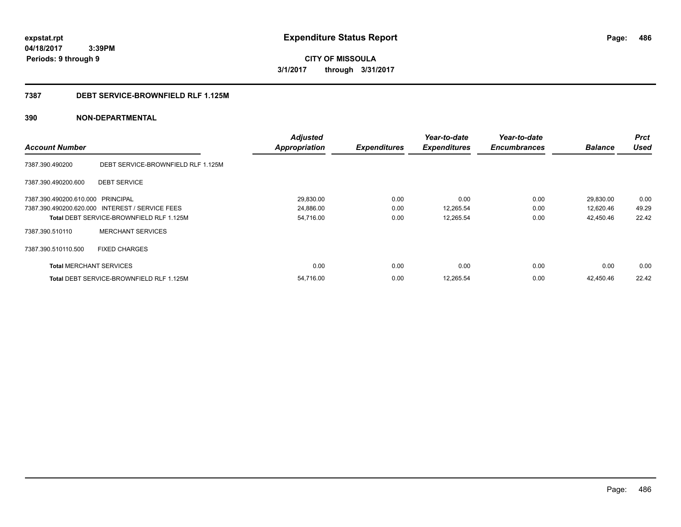**CITY OF MISSOULA 3/1/2017 through 3/31/2017**

#### **7387 DEBT SERVICE-BROWNFIELD RLF 1.125M**

|                                   |                                                 | <b>Adjusted</b>      |                     | Year-to-date        | Year-to-date        |                | <b>Prct</b> |
|-----------------------------------|-------------------------------------------------|----------------------|---------------------|---------------------|---------------------|----------------|-------------|
| <b>Account Number</b>             |                                                 | <b>Appropriation</b> | <b>Expenditures</b> | <b>Expenditures</b> | <b>Encumbrances</b> | <b>Balance</b> | <b>Used</b> |
| 7387.390.490200                   | DEBT SERVICE-BROWNFIELD RLF 1.125M              |                      |                     |                     |                     |                |             |
| 7387.390.490200.600               | <b>DEBT SERVICE</b>                             |                      |                     |                     |                     |                |             |
| 7387.390.490200.610.000 PRINCIPAL |                                                 | 29,830.00            | 0.00                | 0.00                | 0.00                | 29,830.00      | 0.00        |
|                                   | 7387.390.490200.620.000 INTEREST / SERVICE FEES | 24,886.00            | 0.00                | 12,265.54           | 0.00                | 12,620.46      | 49.29       |
|                                   | Total DEBT SERVICE-BROWNFIELD RLF 1.125M        | 54,716.00            | 0.00                | 12,265.54           | 0.00                | 42,450.46      | 22.42       |
| 7387.390.510110                   | <b>MERCHANT SERVICES</b>                        |                      |                     |                     |                     |                |             |
| 7387.390.510110.500               | <b>FIXED CHARGES</b>                            |                      |                     |                     |                     |                |             |
| <b>Total MERCHANT SERVICES</b>    |                                                 | 0.00                 | 0.00                | 0.00                | 0.00                | 0.00           | 0.00        |
|                                   | <b>Total DEBT SERVICE-BROWNFIELD RLF 1.125M</b> | 54.716.00            | 0.00                | 12,265.54           | 0.00                | 42.450.46      | 22.42       |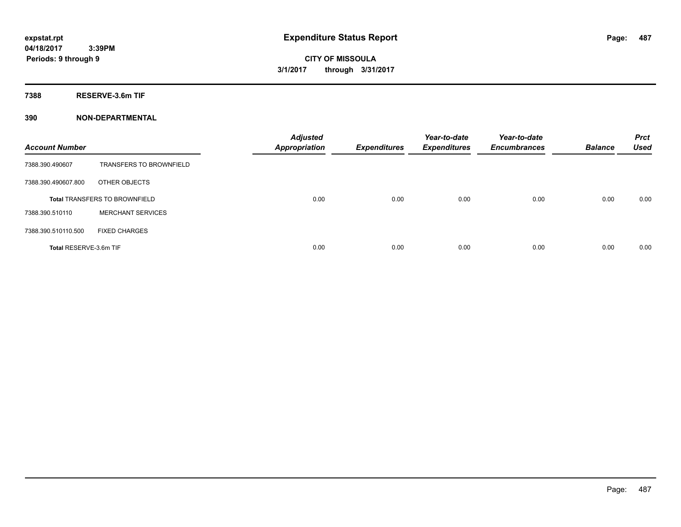**7388 RESERVE-3.6m TIF**

| <b>Account Number</b>  |                                      | <b>Adjusted</b><br><b>Appropriation</b> | <b>Expenditures</b> | Year-to-date<br><b>Expenditures</b> | Year-to-date<br><b>Encumbrances</b> | <b>Balance</b> | <b>Prct</b><br><b>Used</b> |
|------------------------|--------------------------------------|-----------------------------------------|---------------------|-------------------------------------|-------------------------------------|----------------|----------------------------|
| 7388.390.490607        | <b>TRANSFERS TO BROWNFIELD</b>       |                                         |                     |                                     |                                     |                |                            |
| 7388.390.490607.800    | OTHER OBJECTS                        |                                         |                     |                                     |                                     |                |                            |
|                        | <b>Total TRANSFERS TO BROWNFIELD</b> | 0.00                                    | 0.00                | 0.00                                | 0.00                                | 0.00           | 0.00                       |
| 7388.390.510110        | <b>MERCHANT SERVICES</b>             |                                         |                     |                                     |                                     |                |                            |
| 7388.390.510110.500    | <b>FIXED CHARGES</b>                 |                                         |                     |                                     |                                     |                |                            |
| Total RESERVE-3.6m TIF |                                      | 0.00                                    | 0.00                | 0.00                                | 0.00                                | 0.00           | 0.00                       |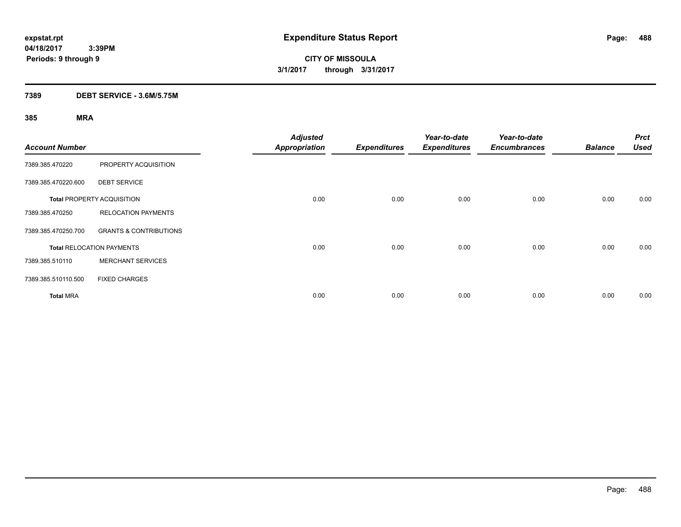**CITY OF MISSOULA 3/1/2017 through 3/31/2017**

### **7389 DEBT SERVICE - 3.6M/5.75M**

| <b>Account Number</b> |                                   | <b>Adjusted</b><br><b>Appropriation</b> | <b>Expenditures</b> | Year-to-date<br><b>Expenditures</b> | Year-to-date<br><b>Encumbrances</b> | <b>Balance</b> | <b>Prct</b><br><b>Used</b> |
|-----------------------|-----------------------------------|-----------------------------------------|---------------------|-------------------------------------|-------------------------------------|----------------|----------------------------|
| 7389.385.470220       | PROPERTY ACQUISITION              |                                         |                     |                                     |                                     |                |                            |
| 7389.385.470220.600   | <b>DEBT SERVICE</b>               |                                         |                     |                                     |                                     |                |                            |
|                       | <b>Total PROPERTY ACQUISITION</b> | 0.00                                    | 0.00                | 0.00                                | 0.00                                | 0.00           | 0.00                       |
| 7389.385.470250       | <b>RELOCATION PAYMENTS</b>        |                                         |                     |                                     |                                     |                |                            |
| 7389.385.470250.700   | <b>GRANTS &amp; CONTRIBUTIONS</b> |                                         |                     |                                     |                                     |                |                            |
|                       | <b>Total RELOCATION PAYMENTS</b>  | 0.00                                    | 0.00                | 0.00                                | 0.00                                | 0.00           | 0.00                       |
| 7389.385.510110       | <b>MERCHANT SERVICES</b>          |                                         |                     |                                     |                                     |                |                            |
| 7389.385.510110.500   | <b>FIXED CHARGES</b>              |                                         |                     |                                     |                                     |                |                            |
| <b>Total MRA</b>      |                                   | 0.00                                    | 0.00                | 0.00                                | 0.00                                | 0.00           | 0.00                       |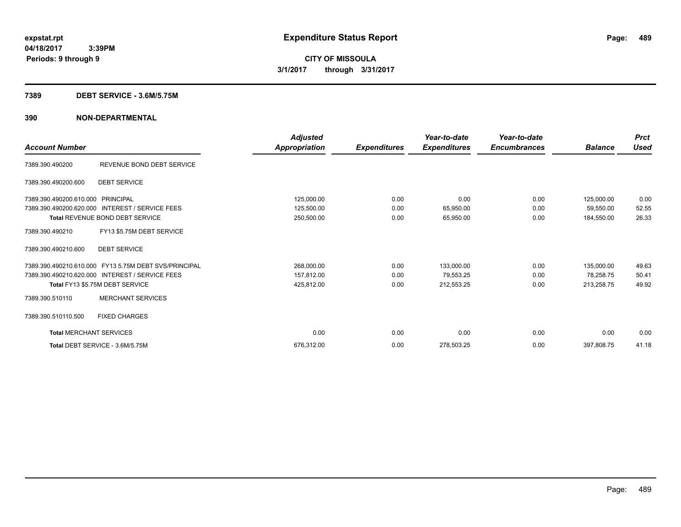#### **7389 DEBT SERVICE - 3.6M/5.75M**

| <b>Account Number</b>          |                                                       | Adjusted<br><b>Appropriation</b> | <b>Expenditures</b> | Year-to-date<br><b>Expenditures</b> | Year-to-date<br><b>Encumbrances</b> | <b>Balance</b> | <b>Prct</b><br><b>Used</b> |
|--------------------------------|-------------------------------------------------------|----------------------------------|---------------------|-------------------------------------|-------------------------------------|----------------|----------------------------|
| 7389.390.490200                | REVENUE BOND DEBT SERVICE                             |                                  |                     |                                     |                                     |                |                            |
| 7389.390.490200.600            | <b>DEBT SERVICE</b>                                   |                                  |                     |                                     |                                     |                |                            |
| 7389.390.490200.610.000        | PRINCIPAL                                             | 125,000.00                       | 0.00                | 0.00                                | 0.00                                | 125,000.00     | 0.00                       |
| 7389.390.490200.620.000        | <b>INTEREST / SERVICE FEES</b>                        | 125,500.00                       | 0.00                | 65,950.00                           | 0.00                                | 59,550.00      | 52.55                      |
|                                | Total REVENUE BOND DEBT SERVICE                       | 250,500.00                       | 0.00                | 65,950.00                           | 0.00                                | 184,550.00     | 26.33                      |
| 7389.390.490210                | FY13 \$5.75M DEBT SERVICE                             |                                  |                     |                                     |                                     |                |                            |
| 7389.390.490210.600            | <b>DEBT SERVICE</b>                                   |                                  |                     |                                     |                                     |                |                            |
|                                | 7389.390.490210.610.000 FY13 5.75M DEBT SVS/PRINCIPAL | 268,000.00                       | 0.00                | 133,000.00                          | 0.00                                | 135,000.00     | 49.63                      |
|                                | 7389.390.490210.620.000 INTEREST / SERVICE FEES       | 157,812.00                       | 0.00                | 79,553.25                           | 0.00                                | 78,258.75      | 50.41                      |
|                                | Total FY13 \$5.75M DEBT SERVICE                       | 425,812.00                       | 0.00                | 212,553.25                          | 0.00                                | 213,258.75     | 49.92                      |
| 7389.390.510110                | <b>MERCHANT SERVICES</b>                              |                                  |                     |                                     |                                     |                |                            |
| 7389.390.510110.500            | <b>FIXED CHARGES</b>                                  |                                  |                     |                                     |                                     |                |                            |
| <b>Total MERCHANT SERVICES</b> |                                                       | 0.00                             | 0.00                | 0.00                                | 0.00                                | 0.00           | 0.00                       |
|                                | Total DEBT SERVICE - 3.6M/5.75M                       | 676,312.00                       | 0.00                | 278,503.25                          | 0.00                                | 397,808.75     | 41.18                      |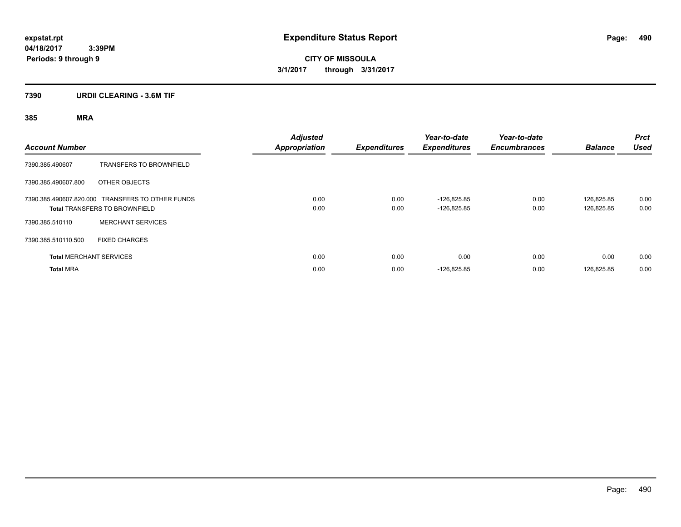**CITY OF MISSOULA 3/1/2017 through 3/31/2017**

### **7390 URDII CLEARING - 3.6M TIF**

| <b>Account Number</b> |                                                                                          | <b>Adjusted</b><br><b>Appropriation</b> | <b>Expenditures</b> | Year-to-date<br><b>Expenditures</b> | Year-to-date<br><b>Encumbrances</b> | <b>Balance</b>           | <b>Prct</b><br><b>Used</b> |
|-----------------------|------------------------------------------------------------------------------------------|-----------------------------------------|---------------------|-------------------------------------|-------------------------------------|--------------------------|----------------------------|
| 7390.385.490607       | <b>TRANSFERS TO BROWNFIELD</b>                                                           |                                         |                     |                                     |                                     |                          |                            |
| 7390.385.490607.800   | OTHER OBJECTS                                                                            |                                         |                     |                                     |                                     |                          |                            |
|                       | 7390.385.490607.820.000 TRANSFERS TO OTHER FUNDS<br><b>Total TRANSFERS TO BROWNFIELD</b> | 0.00<br>0.00                            | 0.00<br>0.00        | $-126.825.85$<br>$-126,825.85$      | 0.00<br>0.00                        | 126.825.85<br>126,825.85 | 0.00<br>0.00               |
| 7390.385.510110       | <b>MERCHANT SERVICES</b>                                                                 |                                         |                     |                                     |                                     |                          |                            |
| 7390.385.510110.500   | <b>FIXED CHARGES</b>                                                                     |                                         |                     |                                     |                                     |                          |                            |
|                       | <b>Total MERCHANT SERVICES</b>                                                           | 0.00                                    | 0.00                | 0.00                                | 0.00                                | 0.00                     | 0.00                       |
| <b>Total MRA</b>      |                                                                                          | 0.00                                    | 0.00                | $-126,825.85$                       | 0.00                                | 126,825.85               | 0.00                       |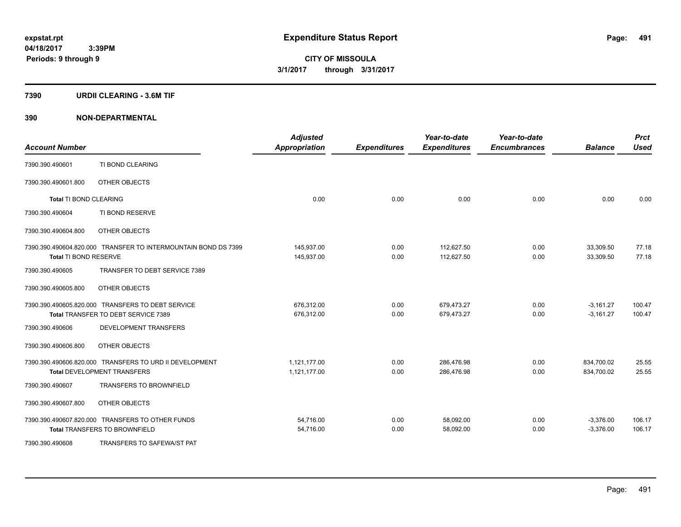#### **7390 URDII CLEARING - 3.6M TIF**

| <b>Account Number</b>         |                                                                | <b>Adjusted</b><br><b>Appropriation</b> | <b>Expenditures</b> | Year-to-date<br><b>Expenditures</b> | Year-to-date<br><b>Encumbrances</b> | <b>Balance</b> | <b>Prct</b><br><b>Used</b> |
|-------------------------------|----------------------------------------------------------------|-----------------------------------------|---------------------|-------------------------------------|-------------------------------------|----------------|----------------------------|
| 7390.390.490601               | TI BOND CLEARING                                               |                                         |                     |                                     |                                     |                |                            |
| 7390.390.490601.800           | OTHER OBJECTS                                                  |                                         |                     |                                     |                                     |                |                            |
| <b>Total TI BOND CLEARING</b> |                                                                | 0.00                                    | 0.00                | 0.00                                | 0.00                                | 0.00           | 0.00                       |
| 7390.390.490604               | TI BOND RESERVE                                                |                                         |                     |                                     |                                     |                |                            |
| 7390.390.490604.800           | OTHER OBJECTS                                                  |                                         |                     |                                     |                                     |                |                            |
|                               | 7390.390.490604.820.000 TRANSFER TO INTERMOUNTAIN BOND DS 7399 | 145,937.00                              | 0.00                | 112.627.50                          | 0.00                                | 33,309.50      | 77.18                      |
| Total TI BOND RESERVE         |                                                                | 145,937.00                              | 0.00                | 112,627.50                          | 0.00                                | 33,309.50      | 77.18                      |
| 7390.390.490605               | TRANSFER TO DEBT SERVICE 7389                                  |                                         |                     |                                     |                                     |                |                            |
| 7390.390.490605.800           | OTHER OBJECTS                                                  |                                         |                     |                                     |                                     |                |                            |
|                               | 7390.390.490605.820.000 TRANSFERS TO DEBT SERVICE              | 676,312.00                              | 0.00                | 679,473.27                          | 0.00                                | $-3,161.27$    | 100.47                     |
|                               | Total TRANSFER TO DEBT SERVICE 7389                            | 676,312.00                              | 0.00                | 679,473.27                          | 0.00                                | $-3,161.27$    | 100.47                     |
| 7390.390.490606               | DEVELOPMENT TRANSFERS                                          |                                         |                     |                                     |                                     |                |                            |
| 7390.390.490606.800           | OTHER OBJECTS                                                  |                                         |                     |                                     |                                     |                |                            |
|                               | 7390.390.490606.820.000 TRANSFERS TO URD II DEVELOPMENT        | 1,121,177.00                            | 0.00                | 286,476.98                          | 0.00                                | 834,700.02     | 25.55                      |
|                               | <b>Total DEVELOPMENT TRANSFERS</b>                             | 1,121,177.00                            | 0.00                | 286,476.98                          | 0.00                                | 834,700.02     | 25.55                      |
| 7390.390.490607               | <b>TRANSFERS TO BROWNFIELD</b>                                 |                                         |                     |                                     |                                     |                |                            |
| 7390.390.490607.800           | OTHER OBJECTS                                                  |                                         |                     |                                     |                                     |                |                            |
|                               | 7390.390.490607.820.000 TRANSFERS TO OTHER FUNDS               | 54,716.00                               | 0.00                | 58,092.00                           | 0.00                                | $-3,376.00$    | 106.17                     |
|                               | <b>Total TRANSFERS TO BROWNFIELD</b>                           | 54,716.00                               | 0.00                | 58,092.00                           | 0.00                                | $-3,376.00$    | 106.17                     |
| 7390.390.490608               | TRANSFERS TO SAFEWA/ST PAT                                     |                                         |                     |                                     |                                     |                |                            |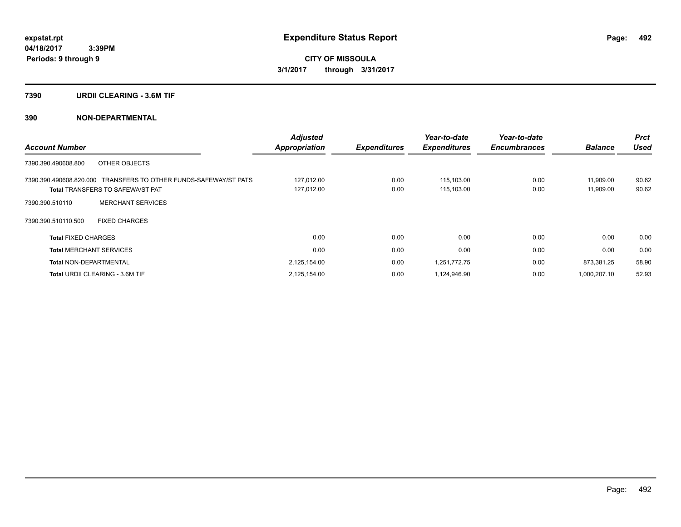#### **7390 URDII CLEARING - 3.6M TIF**

| <b>Account Number</b>                   |                                                                  | <b>Adjusted</b><br><b>Appropriation</b> | <b>Expenditures</b> | Year-to-date<br><b>Expenditures</b> | Year-to-date<br><b>Encumbrances</b> | <b>Balance</b> | <b>Prct</b><br><b>Used</b> |
|-----------------------------------------|------------------------------------------------------------------|-----------------------------------------|---------------------|-------------------------------------|-------------------------------------|----------------|----------------------------|
|                                         |                                                                  |                                         |                     |                                     |                                     |                |                            |
| 7390.390.490608.800                     | OTHER OBJECTS                                                    |                                         |                     |                                     |                                     |                |                            |
|                                         | 7390.390.490608.820.000 TRANSFERS TO OTHER FUNDS-SAFEWAY/ST PATS | 127,012.00                              | 0.00                | 115,103.00                          | 0.00                                | 11,909.00      | 90.62                      |
| <b>Total TRANSFERS TO SAFEWA/ST PAT</b> |                                                                  | 127,012.00                              | 0.00                | 115,103.00                          | 0.00                                | 11,909.00      | 90.62                      |
| 7390.390.510110                         | <b>MERCHANT SERVICES</b>                                         |                                         |                     |                                     |                                     |                |                            |
| 7390.390.510110.500                     | <b>FIXED CHARGES</b>                                             |                                         |                     |                                     |                                     |                |                            |
| <b>Total FIXED CHARGES</b>              |                                                                  | 0.00                                    | 0.00                | 0.00                                | 0.00                                | 0.00           | 0.00                       |
| <b>Total MERCHANT SERVICES</b>          |                                                                  | 0.00                                    | 0.00                | 0.00                                | 0.00                                | 0.00           | 0.00                       |
| <b>Total NON-DEPARTMENTAL</b>           |                                                                  | 2,125,154.00                            | 0.00                | 1,251,772.75                        | 0.00                                | 873,381.25     | 58.90                      |
| <b>Total URDII CLEARING - 3.6M TIF</b>  |                                                                  | 2,125,154.00                            | 0.00                | 1,124,946.90                        | 0.00                                | 1,000,207.10   | 52.93                      |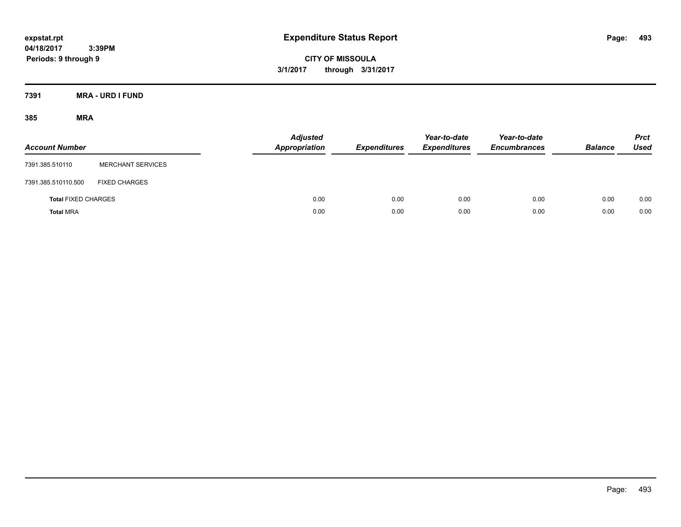**CITY OF MISSOULA 3/1/2017 through 3/31/2017**

**7391 MRA - URD I FUND**

| <b>Account Number</b>      |                          | <b>Adjusted</b><br><b>Appropriation</b> | <b>Expenditures</b> | Year-to-date<br><b>Expenditures</b> | Year-to-date<br><b>Encumbrances</b> | <b>Balance</b> | <b>Prct</b><br>Used |
|----------------------------|--------------------------|-----------------------------------------|---------------------|-------------------------------------|-------------------------------------|----------------|---------------------|
| 7391.385.510110            | <b>MERCHANT SERVICES</b> |                                         |                     |                                     |                                     |                |                     |
| 7391.385.510110.500        | <b>FIXED CHARGES</b>     |                                         |                     |                                     |                                     |                |                     |
| <b>Total FIXED CHARGES</b> |                          | 0.00                                    | 0.00                | 0.00                                | 0.00                                | 0.00           | 0.00                |
| <b>Total MRA</b>           |                          | 0.00                                    | 0.00                | 0.00                                | 0.00                                | 0.00           | 0.00                |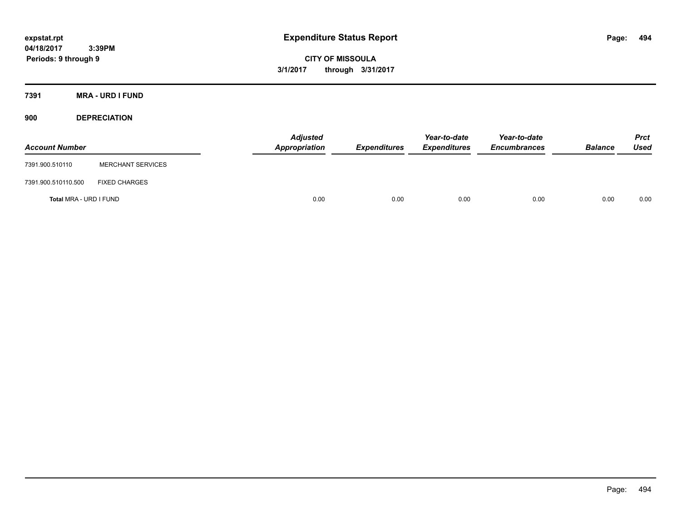**CITY OF MISSOULA 3/1/2017 through 3/31/2017**

**7391 MRA - URD I FUND**

**900 DEPRECIATION**

| <b>Account Number</b>  |                          | Adjusted<br>Appropriation | <b>Expenditures</b> | Year-to-date<br><b>Expenditures</b> | Year-to-date<br><b>Encumbrances</b> | <b>Balance</b> | Prct<br><b>Used</b> |
|------------------------|--------------------------|---------------------------|---------------------|-------------------------------------|-------------------------------------|----------------|---------------------|
| 7391.900.510110        | <b>MERCHANT SERVICES</b> |                           |                     |                                     |                                     |                |                     |
| 7391.900.510110.500    | <b>FIXED CHARGES</b>     |                           |                     |                                     |                                     |                |                     |
| Total MRA - URD I FUND |                          | 0.00                      | 0.00                | 0.00                                | 0.00                                | 0.00           | 0.00                |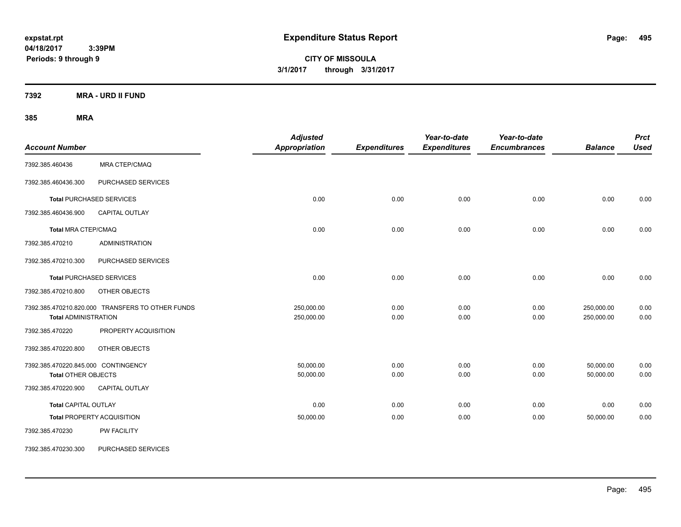**CITY OF MISSOULA 3/1/2017 through 3/31/2017**

**7392 MRA - URD II FUND**

| <b>Account Number</b>                                             |                                                  | <b>Adjusted</b><br>Appropriation | <b>Expenditures</b> | Year-to-date<br><b>Expenditures</b> | Year-to-date<br><b>Encumbrances</b> | <b>Balance</b>           | <b>Prct</b><br><b>Used</b> |
|-------------------------------------------------------------------|--------------------------------------------------|----------------------------------|---------------------|-------------------------------------|-------------------------------------|--------------------------|----------------------------|
| 7392.385.460436                                                   | <b>MRA CTEP/CMAQ</b>                             |                                  |                     |                                     |                                     |                          |                            |
| 7392.385.460436.300                                               | PURCHASED SERVICES                               |                                  |                     |                                     |                                     |                          |                            |
|                                                                   | <b>Total PURCHASED SERVICES</b>                  | 0.00                             | 0.00                | 0.00                                | 0.00                                | 0.00                     | 0.00                       |
| 7392.385.460436.900                                               | <b>CAPITAL OUTLAY</b>                            |                                  |                     |                                     |                                     |                          |                            |
| <b>Total MRA CTEP/CMAQ</b>                                        |                                                  | 0.00                             | 0.00                | 0.00                                | 0.00                                | 0.00                     | 0.00                       |
| 7392.385.470210                                                   | <b>ADMINISTRATION</b>                            |                                  |                     |                                     |                                     |                          |                            |
| 7392.385.470210.300                                               | PURCHASED SERVICES                               |                                  |                     |                                     |                                     |                          |                            |
|                                                                   | <b>Total PURCHASED SERVICES</b>                  | 0.00                             | 0.00                | 0.00                                | 0.00                                | 0.00                     | 0.00                       |
| 7392.385.470210.800                                               | OTHER OBJECTS                                    |                                  |                     |                                     |                                     |                          |                            |
| <b>Total ADMINISTRATION</b>                                       | 7392.385.470210.820.000 TRANSFERS TO OTHER FUNDS | 250,000.00<br>250,000.00         | 0.00<br>0.00        | 0.00<br>0.00                        | 0.00<br>0.00                        | 250,000.00<br>250,000.00 | 0.00<br>0.00               |
| 7392.385.470220                                                   | PROPERTY ACQUISITION                             |                                  |                     |                                     |                                     |                          |                            |
| 7392.385.470220.800                                               | OTHER OBJECTS                                    |                                  |                     |                                     |                                     |                          |                            |
| 7392.385.470220.845.000 CONTINGENCY<br><b>Total OTHER OBJECTS</b> |                                                  | 50,000.00<br>50,000.00           | 0.00<br>0.00        | 0.00<br>0.00                        | 0.00<br>0.00                        | 50,000.00<br>50,000.00   | 0.00<br>0.00               |
| 7392.385.470220.900                                               | <b>CAPITAL OUTLAY</b>                            |                                  |                     |                                     |                                     |                          |                            |
| <b>Total CAPITAL OUTLAY</b>                                       |                                                  | 0.00                             | 0.00                | 0.00                                | 0.00                                | 0.00                     | 0.00                       |
|                                                                   | <b>Total PROPERTY ACQUISITION</b>                | 50,000.00                        | 0.00                | 0.00                                | 0.00                                | 50,000.00                | 0.00                       |
| 7392.385.470230                                                   | PW FACILITY                                      |                                  |                     |                                     |                                     |                          |                            |
| 7392.385.470230.300                                               | PURCHASED SERVICES                               |                                  |                     |                                     |                                     |                          |                            |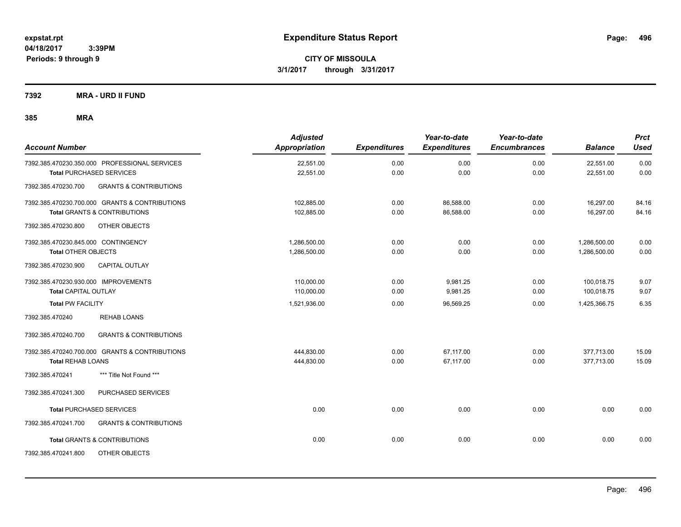**CITY OF MISSOULA 3/1/2017 through 3/31/2017**

**7392 MRA - URD II FUND**

| <b>Account Number</b>                                    | <b>Adjusted</b><br>Appropriation | <b>Expenditures</b> | Year-to-date<br><b>Expenditures</b> | Year-to-date<br><b>Encumbrances</b> | <b>Balance</b> | <b>Prct</b><br><b>Used</b> |
|----------------------------------------------------------|----------------------------------|---------------------|-------------------------------------|-------------------------------------|----------------|----------------------------|
| 7392.385.470230.350.000 PROFESSIONAL SERVICES            | 22,551.00                        | 0.00                | 0.00                                | 0.00                                | 22,551.00      | 0.00                       |
| <b>Total PURCHASED SERVICES</b>                          | 22,551.00                        | 0.00                | 0.00                                | 0.00                                | 22,551.00      | 0.00                       |
| <b>GRANTS &amp; CONTRIBUTIONS</b><br>7392.385.470230.700 |                                  |                     |                                     |                                     |                |                            |
| 7392.385.470230.700.000 GRANTS & CONTRIBUTIONS           | 102,885.00                       | 0.00                | 86,588.00                           | 0.00                                | 16,297.00      | 84.16                      |
| <b>Total GRANTS &amp; CONTRIBUTIONS</b>                  | 102,885.00                       | 0.00                | 86,588.00                           | 0.00                                | 16,297.00      | 84.16                      |
| 7392.385.470230.800<br>OTHER OBJECTS                     |                                  |                     |                                     |                                     |                |                            |
| 7392.385.470230.845.000 CONTINGENCY                      | 1,286,500.00                     | 0.00                | 0.00                                | 0.00                                | 1,286,500.00   | 0.00                       |
| <b>Total OTHER OBJECTS</b>                               | 1,286,500.00                     | 0.00                | 0.00                                | 0.00                                | 1,286,500.00   | 0.00                       |
| 7392.385.470230.900<br>CAPITAL OUTLAY                    |                                  |                     |                                     |                                     |                |                            |
| 7392.385.470230.930.000 IMPROVEMENTS                     | 110,000.00                       | 0.00                | 9,981.25                            | 0.00                                | 100,018.75     | 9.07                       |
| <b>Total CAPITAL OUTLAY</b>                              | 110,000.00                       | 0.00                | 9,981.25                            | 0.00                                | 100,018.75     | 9.07                       |
| <b>Total PW FACILITY</b>                                 | 1,521,936.00                     | 0.00                | 96,569.25                           | 0.00                                | 1,425,366.75   | 6.35                       |
| <b>REHAB LOANS</b><br>7392.385.470240                    |                                  |                     |                                     |                                     |                |                            |
| <b>GRANTS &amp; CONTRIBUTIONS</b><br>7392.385.470240.700 |                                  |                     |                                     |                                     |                |                            |
| 7392.385.470240.700.000 GRANTS & CONTRIBUTIONS           | 444,830.00                       | 0.00                | 67.117.00                           | 0.00                                | 377,713.00     | 15.09                      |
| <b>Total REHAB LOANS</b>                                 | 444,830.00                       | 0.00                | 67,117.00                           | 0.00                                | 377,713.00     | 15.09                      |
| 7392.385.470241<br>*** Title Not Found ***               |                                  |                     |                                     |                                     |                |                            |
| PURCHASED SERVICES<br>7392.385.470241.300                |                                  |                     |                                     |                                     |                |                            |
| <b>Total PURCHASED SERVICES</b>                          | 0.00                             | 0.00                | 0.00                                | 0.00                                | 0.00           | 0.00                       |
| 7392.385.470241.700<br><b>GRANTS &amp; CONTRIBUTIONS</b> |                                  |                     |                                     |                                     |                |                            |
| <b>Total GRANTS &amp; CONTRIBUTIONS</b>                  | 0.00                             | 0.00                | 0.00                                | 0.00                                | 0.00           | 0.00                       |
| 7392.385.470241.800<br>OTHER OBJECTS                     |                                  |                     |                                     |                                     |                |                            |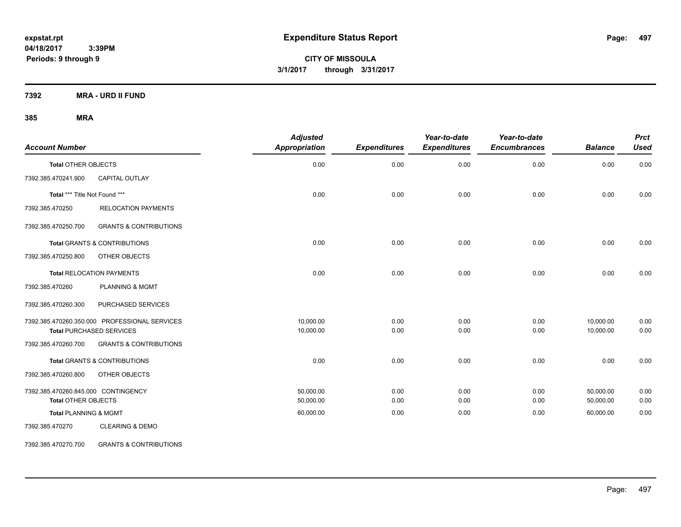**CITY OF MISSOULA 3/1/2017 through 3/31/2017**

**7392 MRA - URD II FUND**

### **385 MRA**

| <b>Account Number</b>               |                                               | <b>Adjusted</b><br><b>Appropriation</b> | <b>Expenditures</b> | Year-to-date<br><b>Expenditures</b> | Year-to-date<br><b>Encumbrances</b> | <b>Balance</b> | <b>Prct</b><br><b>Used</b> |
|-------------------------------------|-----------------------------------------------|-----------------------------------------|---------------------|-------------------------------------|-------------------------------------|----------------|----------------------------|
| <b>Total OTHER OBJECTS</b>          |                                               | 0.00                                    | 0.00                | 0.00                                | 0.00                                | 0.00           | 0.00                       |
| 7392.385.470241.900                 | CAPITAL OUTLAY                                |                                         |                     |                                     |                                     |                |                            |
| Total *** Title Not Found ***       |                                               | 0.00                                    | 0.00                | 0.00                                | 0.00                                | 0.00           | 0.00                       |
| 7392.385.470250                     | <b>RELOCATION PAYMENTS</b>                    |                                         |                     |                                     |                                     |                |                            |
| 7392.385.470250.700                 | <b>GRANTS &amp; CONTRIBUTIONS</b>             |                                         |                     |                                     |                                     |                |                            |
|                                     | <b>Total GRANTS &amp; CONTRIBUTIONS</b>       | 0.00                                    | 0.00                | 0.00                                | 0.00                                | 0.00           | 0.00                       |
| 7392.385.470250.800                 | OTHER OBJECTS                                 |                                         |                     |                                     |                                     |                |                            |
|                                     | <b>Total RELOCATION PAYMENTS</b>              | 0.00                                    | 0.00                | 0.00                                | 0.00                                | 0.00           | 0.00                       |
| 7392.385.470260                     | <b>PLANNING &amp; MGMT</b>                    |                                         |                     |                                     |                                     |                |                            |
| 7392.385.470260.300                 | PURCHASED SERVICES                            |                                         |                     |                                     |                                     |                |                            |
|                                     | 7392.385.470260.350.000 PROFESSIONAL SERVICES | 10,000.00                               | 0.00                | 0.00                                | 0.00                                | 10,000.00      | 0.00                       |
|                                     | <b>Total PURCHASED SERVICES</b>               | 10,000.00                               | 0.00                | 0.00                                | 0.00                                | 10,000.00      | 0.00                       |
| 7392.385.470260.700                 | <b>GRANTS &amp; CONTRIBUTIONS</b>             |                                         |                     |                                     |                                     |                |                            |
|                                     | <b>Total GRANTS &amp; CONTRIBUTIONS</b>       | 0.00                                    | 0.00                | 0.00                                | 0.00                                | 0.00           | 0.00                       |
| 7392.385.470260.800                 | OTHER OBJECTS                                 |                                         |                     |                                     |                                     |                |                            |
| 7392.385.470260.845.000 CONTINGENCY |                                               | 50.000.00                               | 0.00                | 0.00                                | 0.00                                | 50.000.00      | 0.00                       |
| <b>Total OTHER OBJECTS</b>          |                                               | 50,000.00                               | 0.00                | 0.00                                | 0.00                                | 50,000.00      | 0.00                       |
| <b>Total PLANNING &amp; MGMT</b>    |                                               | 60,000.00                               | 0.00                | 0.00                                | 0.00                                | 60,000.00      | 0.00                       |
| 7392.385.470270                     | <b>CLEARING &amp; DEMO</b>                    |                                         |                     |                                     |                                     |                |                            |

7392.385.470270.700 GRANTS & CONTRIBUTIONS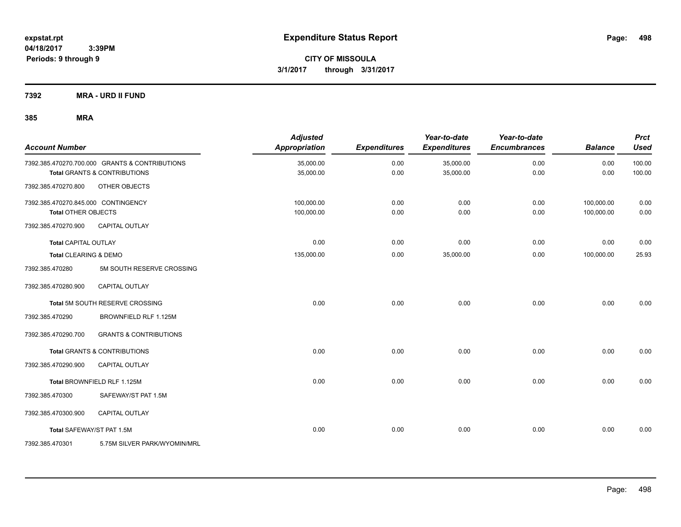**Periods: 9 through 9**

**CITY OF MISSOULA 3/1/2017 through 3/31/2017**

**7392 MRA - URD II FUND**

| <b>Account Number</b>               |                                                | <b>Adjusted</b><br>Appropriation | <b>Expenditures</b> | Year-to-date<br><b>Expenditures</b> | Year-to-date<br><b>Encumbrances</b> | <b>Balance</b> | <b>Prct</b><br><b>Used</b> |
|-------------------------------------|------------------------------------------------|----------------------------------|---------------------|-------------------------------------|-------------------------------------|----------------|----------------------------|
|                                     | 7392.385.470270.700.000 GRANTS & CONTRIBUTIONS | 35,000.00                        | 0.00                | 35,000.00                           | 0.00                                | 0.00           | 100.00                     |
|                                     | <b>Total GRANTS &amp; CONTRIBUTIONS</b>        | 35,000.00                        | 0.00                | 35,000.00                           | 0.00                                | 0.00           | 100.00                     |
| 7392.385.470270.800                 | OTHER OBJECTS                                  |                                  |                     |                                     |                                     |                |                            |
| 7392.385.470270.845.000 CONTINGENCY |                                                | 100,000.00                       | 0.00                | 0.00                                | 0.00                                | 100,000.00     | 0.00                       |
| <b>Total OTHER OBJECTS</b>          |                                                | 100,000.00                       | 0.00                | 0.00                                | 0.00                                | 100,000.00     | 0.00                       |
| 7392.385.470270.900                 | CAPITAL OUTLAY                                 |                                  |                     |                                     |                                     |                |                            |
| <b>Total CAPITAL OUTLAY</b>         |                                                | 0.00                             | 0.00                | 0.00                                | 0.00                                | 0.00           | 0.00                       |
| Total CLEARING & DEMO               |                                                | 135,000.00                       | 0.00                | 35,000.00                           | 0.00                                | 100,000.00     | 25.93                      |
| 7392.385.470280                     | 5M SOUTH RESERVE CROSSING                      |                                  |                     |                                     |                                     |                |                            |
| 7392.385.470280.900                 | CAPITAL OUTLAY                                 |                                  |                     |                                     |                                     |                |                            |
|                                     | Total 5M SOUTH RESERVE CROSSING                | 0.00                             | 0.00                | 0.00                                | 0.00                                | 0.00           | 0.00                       |
| 7392.385.470290                     | BROWNFIELD RLF 1.125M                          |                                  |                     |                                     |                                     |                |                            |
| 7392.385.470290.700                 | <b>GRANTS &amp; CONTRIBUTIONS</b>              |                                  |                     |                                     |                                     |                |                            |
|                                     | <b>Total GRANTS &amp; CONTRIBUTIONS</b>        | 0.00                             | 0.00                | 0.00                                | 0.00                                | 0.00           | 0.00                       |
| 7392.385.470290.900                 | <b>CAPITAL OUTLAY</b>                          |                                  |                     |                                     |                                     |                |                            |
|                                     | Total BROWNFIELD RLF 1.125M                    | 0.00                             | 0.00                | 0.00                                | 0.00                                | 0.00           | 0.00                       |
| 7392.385.470300                     | SAFEWAY/ST PAT 1.5M                            |                                  |                     |                                     |                                     |                |                            |
| 7392.385.470300.900                 | CAPITAL OUTLAY                                 |                                  |                     |                                     |                                     |                |                            |
| Total SAFEWAY/ST PAT 1.5M           |                                                | 0.00                             | 0.00                | 0.00                                | 0.00                                | 0.00           | 0.00                       |
| 7392.385.470301                     | 5.75M SILVER PARK/WYOMIN/MRL                   |                                  |                     |                                     |                                     |                |                            |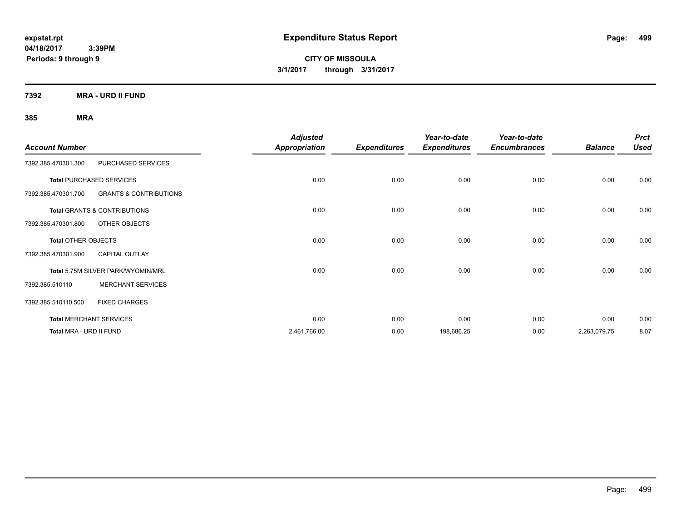**CITY OF MISSOULA 3/1/2017 through 3/31/2017**

**7392 MRA - URD II FUND**

| <b>Account Number</b>      |                                         | <b>Adjusted</b><br><b>Appropriation</b> | <b>Expenditures</b> | Year-to-date<br><b>Expenditures</b> | Year-to-date<br><b>Encumbrances</b> | <b>Balance</b> | <b>Prct</b><br><b>Used</b> |
|----------------------------|-----------------------------------------|-----------------------------------------|---------------------|-------------------------------------|-------------------------------------|----------------|----------------------------|
| 7392.385.470301.300        | PURCHASED SERVICES                      |                                         |                     |                                     |                                     |                |                            |
|                            | <b>Total PURCHASED SERVICES</b>         | 0.00                                    | 0.00                | 0.00                                | 0.00                                | 0.00           | 0.00                       |
| 7392.385.470301.700        | <b>GRANTS &amp; CONTRIBUTIONS</b>       |                                         |                     |                                     |                                     |                |                            |
|                            | <b>Total GRANTS &amp; CONTRIBUTIONS</b> | 0.00                                    | 0.00                | 0.00                                | 0.00                                | 0.00           | 0.00                       |
| 7392.385.470301.800        | OTHER OBJECTS                           |                                         |                     |                                     |                                     |                |                            |
| <b>Total OTHER OBJECTS</b> |                                         | 0.00                                    | 0.00                | 0.00                                | 0.00                                | 0.00           | 0.00                       |
| 7392.385.470301.900        | <b>CAPITAL OUTLAY</b>                   |                                         |                     |                                     |                                     |                |                            |
|                            | Total 5.75M SILVER PARK/WYOMIN/MRL      | 0.00                                    | 0.00                | 0.00                                | 0.00                                | 0.00           | 0.00                       |
| 7392.385.510110            | <b>MERCHANT SERVICES</b>                |                                         |                     |                                     |                                     |                |                            |
| 7392.385.510110.500        | <b>FIXED CHARGES</b>                    |                                         |                     |                                     |                                     |                |                            |
|                            | <b>Total MERCHANT SERVICES</b>          | 0.00                                    | 0.00                | 0.00                                | 0.00                                | 0.00           | 0.00                       |
| Total MRA - URD II FUND    |                                         | 2,461,766.00                            | 0.00                | 198,686.25                          | 0.00                                | 2,263,079.75   | 8.07                       |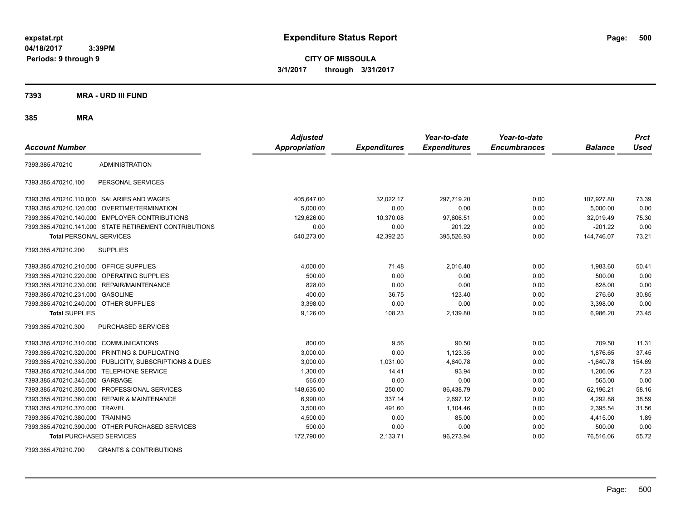**CITY OF MISSOULA 3/1/2017 through 3/31/2017**

**7393 MRA - URD III FUND**

**385 MRA**

| <b>Account Number</b>                   |                                                         | <b>Adjusted</b><br><b>Appropriation</b> | <b>Expenditures</b> | Year-to-date<br><b>Expenditures</b> | Year-to-date<br><b>Encumbrances</b> | <b>Balance</b> | <b>Prct</b><br><b>Used</b> |
|-----------------------------------------|---------------------------------------------------------|-----------------------------------------|---------------------|-------------------------------------|-------------------------------------|----------------|----------------------------|
| 7393.385.470210                         | <b>ADMINISTRATION</b>                                   |                                         |                     |                                     |                                     |                |                            |
| 7393.385.470210.100                     | PERSONAL SERVICES                                       |                                         |                     |                                     |                                     |                |                            |
|                                         | 7393.385.470210.110.000 SALARIES AND WAGES              | 405,647.00                              | 32,022.17           | 297,719.20                          | 0.00                                | 107,927.80     | 73.39                      |
|                                         | 7393.385.470210.120.000 OVERTIME/TERMINATION            | 5.000.00                                | 0.00                | 0.00                                | 0.00                                | 5.000.00       | 0.00                       |
|                                         | 7393.385.470210.140.000 EMPLOYER CONTRIBUTIONS          | 129,626.00                              | 10,370.08           | 97,606.51                           | 0.00                                | 32,019.49      | 75.30                      |
|                                         | 7393.385.470210.141.000 STATE RETIREMENT CONTRIBUTIONS  | 0.00                                    | 0.00                | 201.22                              | 0.00                                | $-201.22$      | 0.00                       |
| <b>Total PERSONAL SERVICES</b>          |                                                         | 540,273.00                              | 42,392.25           | 395,526.93                          | 0.00                                | 144,746.07     | 73.21                      |
| 7393.385.470210.200                     | <b>SUPPLIES</b>                                         |                                         |                     |                                     |                                     |                |                            |
| 7393.385.470210.210.000 OFFICE SUPPLIES |                                                         | 4,000.00                                | 71.48               | 2,016.40                            | 0.00                                | 1,983.60       | 50.41                      |
|                                         | 7393.385.470210.220.000 OPERATING SUPPLIES              | 500.00                                  | 0.00                | 0.00                                | 0.00                                | 500.00         | 0.00                       |
| 7393.385.470210.230.000                 | REPAIR/MAINTENANCE                                      | 828.00                                  | 0.00                | 0.00                                | 0.00                                | 828.00         | 0.00                       |
| 7393.385.470210.231.000                 | <b>GASOLINE</b>                                         | 400.00                                  | 36.75               | 123.40                              | 0.00                                | 276.60         | 30.85                      |
| 7393.385.470210.240.000 OTHER SUPPLIES  |                                                         | 3,398.00                                | 0.00                | 0.00                                | 0.00                                | 3,398.00       | 0.00                       |
| <b>Total SUPPLIES</b>                   |                                                         | 9,126.00                                | 108.23              | 2,139.80                            | 0.00                                | 6,986.20       | 23.45                      |
| 7393.385.470210.300                     | <b>PURCHASED SERVICES</b>                               |                                         |                     |                                     |                                     |                |                            |
| 7393.385.470210.310.000                 | <b>COMMUNICATIONS</b>                                   | 800.00                                  | 9.56                | 90.50                               | 0.00                                | 709.50         | 11.31                      |
| 7393.385.470210.320.000                 | PRINTING & DUPLICATING                                  | 3,000.00                                | 0.00                | 1,123.35                            | 0.00                                | 1,876.65       | 37.45                      |
|                                         | 7393.385.470210.330.000 PUBLICITY, SUBSCRIPTIONS & DUES | 3,000.00                                | 1,031.00            | 4,640.78                            | 0.00                                | $-1,640.78$    | 154.69                     |
| 7393.385.470210.344.000                 | TELEPHONE SERVICE                                       | 1,300.00                                | 14.41               | 93.94                               | 0.00                                | 1.206.06       | 7.23                       |
| 7393.385.470210.345.000 GARBAGE         |                                                         | 565.00                                  | 0.00                | 0.00                                | 0.00                                | 565.00         | 0.00                       |
|                                         | 7393.385.470210.350.000 PROFESSIONAL SERVICES           | 148.635.00                              | 250.00              | 86,438.79                           | 0.00                                | 62,196.21      | 58.16                      |
|                                         | 7393.385.470210.360.000 REPAIR & MAINTENANCE            | 6,990.00                                | 337.14              | 2,697.12                            | 0.00                                | 4,292.88       | 38.59                      |
| 7393.385.470210.370.000 TRAVEL          |                                                         | 3,500.00                                | 491.60              | 1,104.46                            | 0.00                                | 2,395.54       | 31.56                      |
| 7393.385.470210.380.000 TRAINING        |                                                         | 4,500.00                                | 0.00                | 85.00                               | 0.00                                | 4,415.00       | 1.89                       |
|                                         | 7393.385.470210.390.000 OTHER PURCHASED SERVICES        | 500.00                                  | 0.00                | 0.00                                | 0.00                                | 500.00         | 0.00                       |
| <b>Total PURCHASED SERVICES</b>         |                                                         | 172,790.00                              | 2,133.71            | 96,273.94                           | 0.00                                | 76,516.06      | 55.72                      |

7393.385.470210.700 GRANTS & CONTRIBUTIONS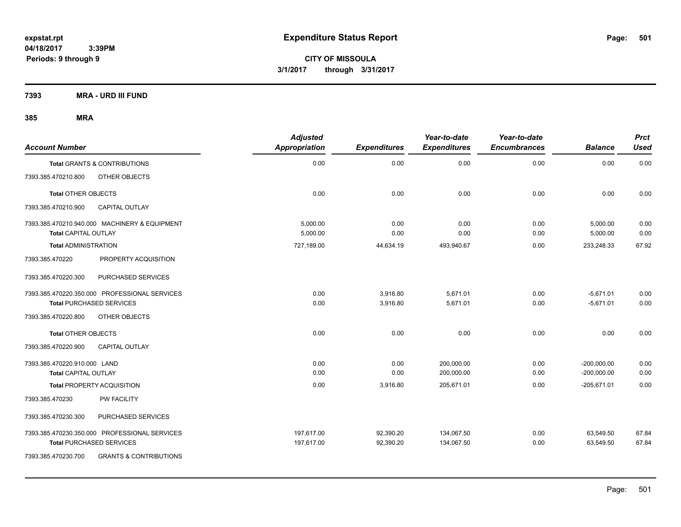**CITY OF MISSOULA 3/1/2017 through 3/31/2017**

**7393 MRA - URD III FUND**

|                              |                                               | <b>Adjusted</b> |                     | Year-to-date        | Year-to-date        |                | <b>Prct</b> |
|------------------------------|-----------------------------------------------|-----------------|---------------------|---------------------|---------------------|----------------|-------------|
| <b>Account Number</b>        |                                               | Appropriation   | <b>Expenditures</b> | <b>Expenditures</b> | <b>Encumbrances</b> | <b>Balance</b> | <b>Used</b> |
|                              | <b>Total GRANTS &amp; CONTRIBUTIONS</b>       | 0.00            | 0.00                | 0.00                | 0.00                | 0.00           | 0.00        |
| 7393.385.470210.800          | OTHER OBJECTS                                 |                 |                     |                     |                     |                |             |
| <b>Total OTHER OBJECTS</b>   |                                               | 0.00            | 0.00                | 0.00                | 0.00                | 0.00           | 0.00        |
| 7393.385.470210.900          | <b>CAPITAL OUTLAY</b>                         |                 |                     |                     |                     |                |             |
|                              | 7393.385.470210.940.000 MACHINERY & EQUIPMENT | 5,000.00        | 0.00                | 0.00                | 0.00                | 5,000.00       | 0.00        |
| <b>Total CAPITAL OUTLAY</b>  |                                               | 5,000.00        | 0.00                | 0.00                | 0.00                | 5,000.00       | 0.00        |
| <b>Total ADMINISTRATION</b>  |                                               | 727,189.00      | 44,634.19           | 493,940.67          | 0.00                | 233,248.33     | 67.92       |
| 7393.385.470220              | PROPERTY ACQUISITION                          |                 |                     |                     |                     |                |             |
| 7393.385.470220.300          | PURCHASED SERVICES                            |                 |                     |                     |                     |                |             |
|                              | 7393.385.470220.350.000 PROFESSIONAL SERVICES | 0.00            | 3,916.80            | 5,671.01            | 0.00                | $-5,671.01$    | 0.00        |
|                              | <b>Total PURCHASED SERVICES</b>               | 0.00            | 3,916.80            | 5,671.01            | 0.00                | $-5,671.01$    | 0.00        |
| 7393.385.470220.800          | OTHER OBJECTS                                 |                 |                     |                     |                     |                |             |
| <b>Total OTHER OBJECTS</b>   |                                               | 0.00            | 0.00                | 0.00                | 0.00                | 0.00           | 0.00        |
| 7393.385.470220.900          | <b>CAPITAL OUTLAY</b>                         |                 |                     |                     |                     |                |             |
| 7393.385.470220.910.000 LAND |                                               | 0.00            | 0.00                | 200,000.00          | 0.00                | $-200,000.00$  | 0.00        |
| Total CAPITAL OUTLAY         |                                               | 0.00            | 0.00                | 200,000.00          | 0.00                | $-200,000.00$  | 0.00        |
|                              | <b>Total PROPERTY ACQUISITION</b>             | 0.00            | 3,916.80            | 205,671.01          | 0.00                | $-205,671.01$  | 0.00        |
| 7393.385.470230              | <b>PW FACILITY</b>                            |                 |                     |                     |                     |                |             |
| 7393.385.470230.300          | PURCHASED SERVICES                            |                 |                     |                     |                     |                |             |
|                              | 7393.385.470230.350.000 PROFESSIONAL SERVICES | 197,617.00      | 92,390.20           | 134,067.50          | 0.00                | 63,549.50      | 67.84       |
|                              | Total PURCHASED SERVICES                      | 197,617.00      | 92,390.20           | 134,067.50          | 0.00                | 63,549.50      | 67.84       |
| 7393.385.470230.700          | <b>GRANTS &amp; CONTRIBUTIONS</b>             |                 |                     |                     |                     |                |             |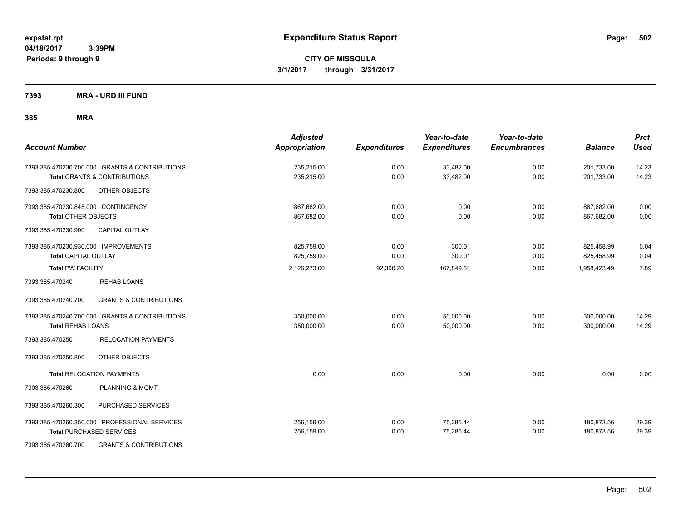**CITY OF MISSOULA 3/1/2017 through 3/31/2017**

**7393 MRA - URD III FUND**

| <b>Account Number</b>                                    | <b>Adjusted</b><br><b>Appropriation</b> | <b>Expenditures</b> | Year-to-date<br><b>Expenditures</b> | Year-to-date<br><b>Encumbrances</b> | <b>Balance</b> | <b>Prct</b><br><b>Used</b> |
|----------------------------------------------------------|-----------------------------------------|---------------------|-------------------------------------|-------------------------------------|----------------|----------------------------|
| 7393.385.470230.700.000 GRANTS & CONTRIBUTIONS           | 235,215.00                              | 0.00                | 33,482.00                           | 0.00                                | 201,733.00     | 14.23                      |
| <b>Total GRANTS &amp; CONTRIBUTIONS</b>                  | 235,215.00                              | 0.00                | 33,482.00                           | 0.00                                | 201,733.00     | 14.23                      |
| OTHER OBJECTS<br>7393.385.470230.800                     |                                         |                     |                                     |                                     |                |                            |
| 7393.385.470230.845.000 CONTINGENCY                      | 867,682.00                              | 0.00                | 0.00                                | 0.00                                | 867,682.00     | 0.00                       |
| <b>Total OTHER OBJECTS</b>                               | 867,682.00                              | 0.00                | 0.00                                | 0.00                                | 867,682.00     | 0.00                       |
| 7393.385.470230.900<br><b>CAPITAL OUTLAY</b>             |                                         |                     |                                     |                                     |                |                            |
| 7393.385.470230.930.000 IMPROVEMENTS                     | 825,759.00                              | 0.00                | 300.01                              | 0.00                                | 825,458.99     | 0.04                       |
| <b>Total CAPITAL OUTLAY</b>                              | 825,759.00                              | 0.00                | 300.01                              | 0.00                                | 825,458.99     | 0.04                       |
| <b>Total PW FACILITY</b>                                 | 2,126,273.00                            | 92,390.20           | 167,849.51                          | 0.00                                | 1,958,423.49   | 7.89                       |
| 7393.385.470240<br><b>REHAB LOANS</b>                    |                                         |                     |                                     |                                     |                |                            |
| <b>GRANTS &amp; CONTRIBUTIONS</b><br>7393.385.470240.700 |                                         |                     |                                     |                                     |                |                            |
| 7393.385.470240.700.000 GRANTS & CONTRIBUTIONS           | 350,000.00                              | 0.00                | 50,000.00                           | 0.00                                | 300,000.00     | 14.29                      |
| <b>Total REHAB LOANS</b>                                 | 350,000.00                              | 0.00                | 50,000.00                           | 0.00                                | 300,000.00     | 14.29                      |
| 7393.385.470250<br><b>RELOCATION PAYMENTS</b>            |                                         |                     |                                     |                                     |                |                            |
| OTHER OBJECTS<br>7393.385.470250.800                     |                                         |                     |                                     |                                     |                |                            |
| <b>Total RELOCATION PAYMENTS</b>                         | 0.00                                    | 0.00                | 0.00                                | 0.00                                | 0.00           | 0.00                       |
| 7393.385.470260<br><b>PLANNING &amp; MGMT</b>            |                                         |                     |                                     |                                     |                |                            |
| PURCHASED SERVICES<br>7393.385.470260.300                |                                         |                     |                                     |                                     |                |                            |
| 7393.385.470260.350.000 PROFESSIONAL SERVICES            | 256,159.00                              | 0.00                | 75,285.44                           | 0.00                                | 180,873.56     | 29.39                      |
| <b>Total PURCHASED SERVICES</b>                          | 256,159.00                              | 0.00                | 75,285.44                           | 0.00                                | 180,873.56     | 29.39                      |
| 7393.385.470260.700<br><b>GRANTS &amp; CONTRIBUTIONS</b> |                                         |                     |                                     |                                     |                |                            |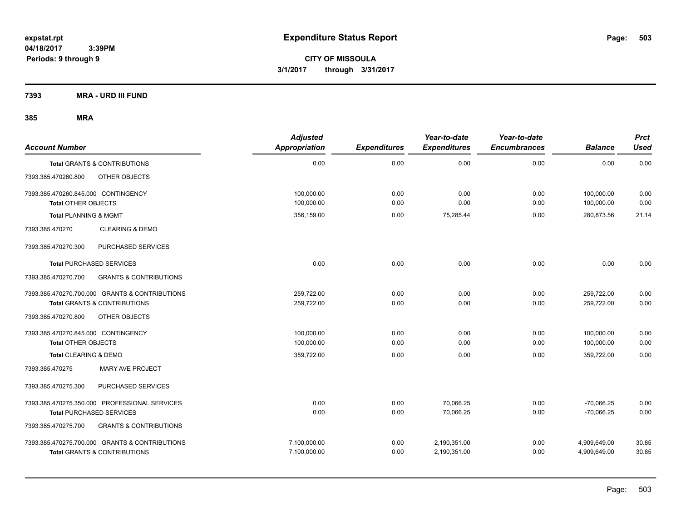**CITY OF MISSOULA 3/1/2017 through 3/31/2017**

**7393 MRA - URD III FUND**

| <b>Account Number</b>                                                                     | <b>Adjusted</b><br>Appropriation | <b>Expenditures</b> | Year-to-date<br><b>Expenditures</b> | Year-to-date<br><b>Encumbrances</b> | <b>Balance</b>               | <b>Prct</b><br><b>Used</b> |
|-------------------------------------------------------------------------------------------|----------------------------------|---------------------|-------------------------------------|-------------------------------------|------------------------------|----------------------------|
| <b>Total GRANTS &amp; CONTRIBUTIONS</b>                                                   | 0.00                             | 0.00                | 0.00                                | 0.00                                | 0.00                         | 0.00                       |
| 7393.385.470260.800<br>OTHER OBJECTS                                                      |                                  |                     |                                     |                                     |                              |                            |
| 7393.385.470260.845.000 CONTINGENCY<br><b>Total OTHER OBJECTS</b>                         | 100.000.00<br>100,000.00         | 0.00<br>0.00        | 0.00<br>0.00                        | 0.00<br>0.00                        | 100.000.00<br>100,000.00     | 0.00<br>0.00               |
| <b>Total PLANNING &amp; MGMT</b>                                                          | 356,159.00                       | 0.00                | 75,285.44                           | 0.00                                | 280,873.56                   | 21.14                      |
| <b>CLEARING &amp; DEMO</b><br>7393.385.470270                                             |                                  |                     |                                     |                                     |                              |                            |
| PURCHASED SERVICES<br>7393.385.470270.300                                                 |                                  |                     |                                     |                                     |                              |                            |
| <b>Total PURCHASED SERVICES</b>                                                           | 0.00                             | 0.00                | 0.00                                | 0.00                                | 0.00                         | 0.00                       |
| <b>GRANTS &amp; CONTRIBUTIONS</b><br>7393.385.470270.700                                  |                                  |                     |                                     |                                     |                              |                            |
| 7393.385.470270.700.000 GRANTS & CONTRIBUTIONS<br><b>Total GRANTS &amp; CONTRIBUTIONS</b> | 259,722.00<br>259.722.00         | 0.00<br>0.00        | 0.00<br>0.00                        | 0.00<br>0.00                        | 259,722.00<br>259,722.00     | 0.00<br>0.00               |
| OTHER OBJECTS<br>7393.385.470270.800                                                      |                                  |                     |                                     |                                     |                              |                            |
| 7393.385.470270.845.000 CONTINGENCY<br><b>Total OTHER OBJECTS</b>                         | 100.000.00<br>100,000.00         | 0.00<br>0.00        | 0.00<br>0.00                        | 0.00<br>0.00                        | 100.000.00<br>100,000.00     | 0.00<br>0.00               |
| <b>Total CLEARING &amp; DEMO</b>                                                          | 359,722.00                       | 0.00                | 0.00                                | 0.00                                | 359,722.00                   | 0.00                       |
| 7393.385.470275<br>MARY AVE PROJECT                                                       |                                  |                     |                                     |                                     |                              |                            |
| PURCHASED SERVICES<br>7393.385.470275.300                                                 |                                  |                     |                                     |                                     |                              |                            |
| 7393.385.470275.350.000 PROFESSIONAL SERVICES<br><b>Total PURCHASED SERVICES</b>          | 0.00<br>0.00                     | 0.00<br>0.00        | 70,066.25<br>70,066.25              | 0.00<br>0.00                        | $-70,066.25$<br>$-70,066.25$ | 0.00<br>0.00               |
| 7393.385.470275.700<br><b>GRANTS &amp; CONTRIBUTIONS</b>                                  |                                  |                     |                                     |                                     |                              |                            |
| 7393.385.470275.700.000 GRANTS & CONTRIBUTIONS<br><b>Total GRANTS &amp; CONTRIBUTIONS</b> | 7,100,000.00<br>7,100,000.00     | 0.00<br>0.00        | 2,190,351.00<br>2,190,351.00        | 0.00<br>0.00                        | 4,909,649.00<br>4,909,649.00 | 30.85<br>30.85             |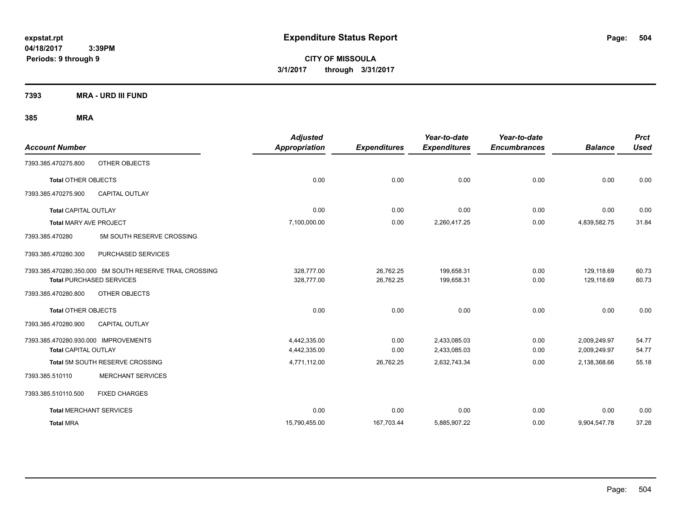**CITY OF MISSOULA 3/1/2017 through 3/31/2017**

**7393 MRA - URD III FUND**

| <b>Account Number</b>                                   | <b>Adjusted</b><br>Appropriation | <b>Expenditures</b> | Year-to-date<br><b>Expenditures</b> | Year-to-date<br><b>Encumbrances</b> | <b>Balance</b> | <b>Prct</b><br><b>Used</b> |
|---------------------------------------------------------|----------------------------------|---------------------|-------------------------------------|-------------------------------------|----------------|----------------------------|
| OTHER OBJECTS<br>7393.385.470275.800                    |                                  |                     |                                     |                                     |                |                            |
| <b>Total OTHER OBJECTS</b>                              | 0.00                             | 0.00                | 0.00                                | 0.00                                | 0.00           | 0.00                       |
| <b>CAPITAL OUTLAY</b><br>7393.385.470275.900            |                                  |                     |                                     |                                     |                |                            |
| <b>Total CAPITAL OUTLAY</b>                             | 0.00                             | 0.00                | 0.00                                | 0.00                                | 0.00           | 0.00                       |
| <b>Total MARY AVE PROJECT</b>                           | 7,100,000.00                     | 0.00                | 2,260,417.25                        | 0.00                                | 4,839,582.75   | 31.84                      |
| 7393.385.470280<br>5M SOUTH RESERVE CROSSING            |                                  |                     |                                     |                                     |                |                            |
| PURCHASED SERVICES<br>7393.385.470280.300               |                                  |                     |                                     |                                     |                |                            |
| 7393.385.470280.350.000 5M SOUTH RESERVE TRAIL CROSSING | 328,777.00                       | 26,762.25           | 199,658.31                          | 0.00                                | 129,118.69     | 60.73                      |
| <b>Total PURCHASED SERVICES</b>                         | 328,777.00                       | 26,762.25           | 199,658.31                          | 0.00                                | 129,118.69     | 60.73                      |
| 7393.385.470280.800<br>OTHER OBJECTS                    |                                  |                     |                                     |                                     |                |                            |
| <b>Total OTHER OBJECTS</b>                              | 0.00                             | 0.00                | 0.00                                | 0.00                                | 0.00           | 0.00                       |
| 7393.385.470280.900<br><b>CAPITAL OUTLAY</b>            |                                  |                     |                                     |                                     |                |                            |
| 7393.385.470280.930.000 IMPROVEMENTS                    | 4,442,335.00                     | 0.00                | 2,433,085.03                        | 0.00                                | 2,009,249.97   | 54.77                      |
| <b>Total CAPITAL OUTLAY</b>                             | 4,442,335.00                     | 0.00                | 2,433,085.03                        | 0.00                                | 2,009,249.97   | 54.77                      |
| Total 5M SOUTH RESERVE CROSSING                         | 4,771,112.00                     | 26,762.25           | 2,632,743.34                        | 0.00                                | 2,138,368.66   | 55.18                      |
| <b>MERCHANT SERVICES</b><br>7393.385.510110             |                                  |                     |                                     |                                     |                |                            |
| <b>FIXED CHARGES</b><br>7393.385.510110.500             |                                  |                     |                                     |                                     |                |                            |
| <b>Total MERCHANT SERVICES</b>                          | 0.00                             | 0.00                | 0.00                                | 0.00                                | 0.00           | 0.00                       |
| <b>Total MRA</b>                                        | 15,790,455.00                    | 167,703.44          | 5,885,907.22                        | 0.00                                | 9,904,547.78   | 37.28                      |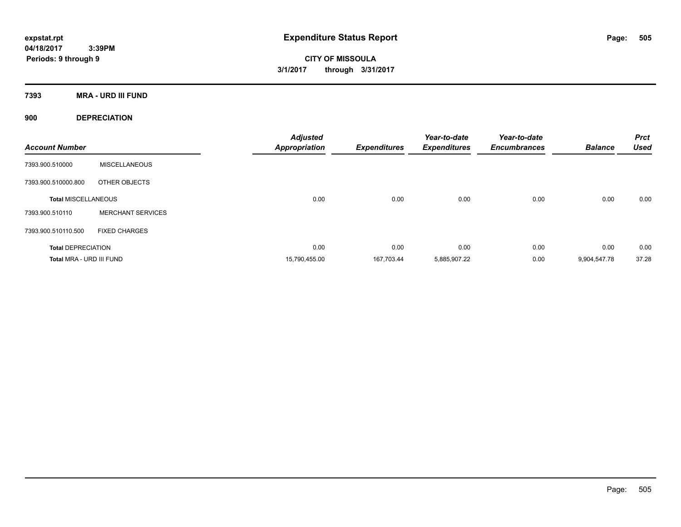**CITY OF MISSOULA 3/1/2017 through 3/31/2017**

**7393 MRA - URD III FUND**

**900 DEPRECIATION**

| <b>Account Number</b>      |                          | <b>Adjusted</b><br><b>Appropriation</b> | <b>Expenditures</b> | Year-to-date<br><b>Expenditures</b> | Year-to-date<br><b>Encumbrances</b> | <b>Balance</b> | <b>Prct</b><br><b>Used</b> |
|----------------------------|--------------------------|-----------------------------------------|---------------------|-------------------------------------|-------------------------------------|----------------|----------------------------|
| 7393.900.510000            | <b>MISCELLANEOUS</b>     |                                         |                     |                                     |                                     |                |                            |
| 7393.900.510000.800        | OTHER OBJECTS            |                                         |                     |                                     |                                     |                |                            |
| <b>Total MISCELLANEOUS</b> |                          | 0.00                                    | 0.00                | 0.00                                | 0.00                                | 0.00           | 0.00                       |
| 7393.900.510110            | <b>MERCHANT SERVICES</b> |                                         |                     |                                     |                                     |                |                            |
| 7393.900.510110.500        | <b>FIXED CHARGES</b>     |                                         |                     |                                     |                                     |                |                            |
| <b>Total DEPRECIATION</b>  |                          | 0.00                                    | 0.00                | 0.00                                | 0.00                                | 0.00           | 0.00                       |
| Total MRA - URD III FUND   |                          | 15,790,455.00                           | 167,703.44          | 5,885,907.22                        | 0.00                                | 9,904,547.78   | 37.28                      |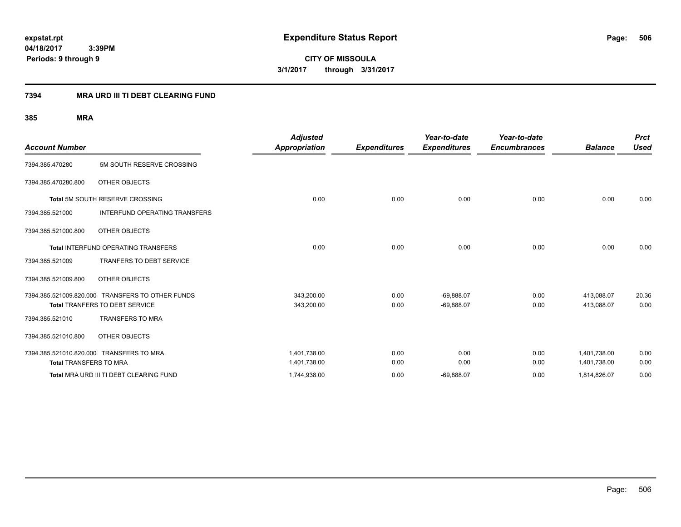**CITY OF MISSOULA 3/1/2017 through 3/31/2017**

### **7394 MRA URD III TI DEBT CLEARING FUND**

| <b>Account Number</b>         |                                                  | <b>Adjusted</b><br><b>Appropriation</b> | <b>Expenditures</b> | Year-to-date<br><b>Expenditures</b> | Year-to-date<br><b>Encumbrances</b> | <b>Balance</b> | <b>Prct</b><br><b>Used</b> |
|-------------------------------|--------------------------------------------------|-----------------------------------------|---------------------|-------------------------------------|-------------------------------------|----------------|----------------------------|
| 7394.385.470280               | 5M SOUTH RESERVE CROSSING                        |                                         |                     |                                     |                                     |                |                            |
| 7394.385.470280.800           | OTHER OBJECTS                                    |                                         |                     |                                     |                                     |                |                            |
|                               | <b>Total 5M SOUTH RESERVE CROSSING</b>           | 0.00                                    | 0.00                | 0.00                                | 0.00                                | 0.00           | 0.00                       |
| 7394.385.521000               | <b>INTERFUND OPERATING TRANSFERS</b>             |                                         |                     |                                     |                                     |                |                            |
| 7394.385.521000.800           | OTHER OBJECTS                                    |                                         |                     |                                     |                                     |                |                            |
|                               | <b>Total INTERFUND OPERATING TRANSFERS</b>       | 0.00                                    | 0.00                | 0.00                                | 0.00                                | 0.00           | 0.00                       |
| 7394.385.521009               | <b>TRANFERS TO DEBT SERVICE</b>                  |                                         |                     |                                     |                                     |                |                            |
| 7394.385.521009.800           | OTHER OBJECTS                                    |                                         |                     |                                     |                                     |                |                            |
|                               | 7394.385.521009.820.000 TRANSFERS TO OTHER FUNDS | 343,200.00                              | 0.00                | $-69,888.07$                        | 0.00                                | 413,088.07     | 20.36                      |
|                               | <b>Total TRANFERS TO DEBT SERVICE</b>            | 343,200.00                              | 0.00                | $-69,888.07$                        | 0.00                                | 413.088.07     | 0.00                       |
| 7394.385.521010               | <b>TRANSFERS TO MRA</b>                          |                                         |                     |                                     |                                     |                |                            |
| 7394.385.521010.800           | OTHER OBJECTS                                    |                                         |                     |                                     |                                     |                |                            |
|                               | 7394.385.521010.820.000 TRANSFERS TO MRA         | 1,401,738.00                            | 0.00                | 0.00                                | 0.00                                | 1,401,738.00   | 0.00                       |
| <b>Total TRANSFERS TO MRA</b> |                                                  | 1,401,738.00                            | 0.00                | 0.00                                | 0.00                                | 1,401,738.00   | 0.00                       |
|                               | Total MRA URD III TI DEBT CLEARING FUND          | 1,744,938.00                            | 0.00                | $-69,888.07$                        | 0.00                                | 1,814,826.07   | 0.00                       |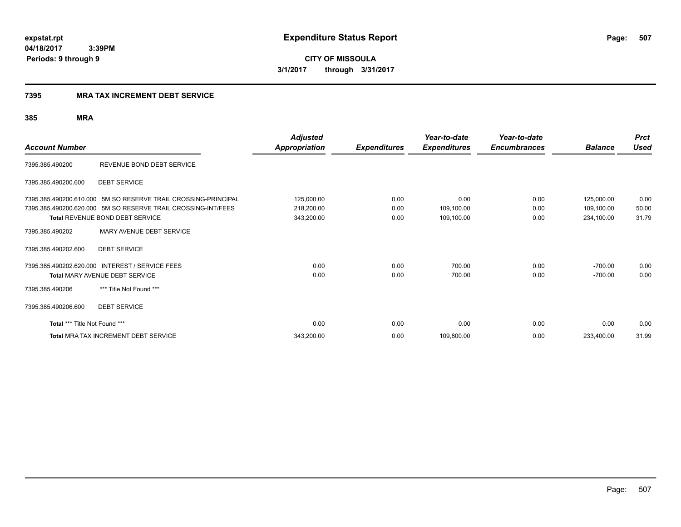**CITY OF MISSOULA 3/1/2017 through 3/31/2017**

### **7395 MRA TAX INCREMENT DEBT SERVICE**

|                               |                                                                | <b>Adjusted</b>      |                     | Year-to-date        | Year-to-date        |                | <b>Prct</b> |
|-------------------------------|----------------------------------------------------------------|----------------------|---------------------|---------------------|---------------------|----------------|-------------|
| <b>Account Number</b>         |                                                                | <b>Appropriation</b> | <b>Expenditures</b> | <b>Expenditures</b> | <b>Encumbrances</b> | <b>Balance</b> | <b>Used</b> |
| 7395.385.490200               | REVENUE BOND DEBT SERVICE                                      |                      |                     |                     |                     |                |             |
| 7395.385.490200.600           | <b>DEBT SERVICE</b>                                            |                      |                     |                     |                     |                |             |
|                               | 7395.385.490200.610.000 5M SO RESERVE TRAIL CROSSING-PRINCIPAL | 125,000.00           | 0.00                | 0.00                | 0.00                | 125,000.00     | 0.00        |
|                               | 7395.385.490200.620.000 5M SO RESERVE TRAIL CROSSING-INT/FEES  | 218,200.00           | 0.00                | 109,100.00          | 0.00                | 109,100.00     | 50.00       |
|                               | Total REVENUE BOND DEBT SERVICE                                | 343,200.00           | 0.00                | 109,100.00          | 0.00                | 234,100.00     | 31.79       |
| 7395.385.490202               | MARY AVENUE DEBT SERVICE                                       |                      |                     |                     |                     |                |             |
| 7395.385.490202.600           | <b>DEBT SERVICE</b>                                            |                      |                     |                     |                     |                |             |
|                               | 7395.385.490202.620.000 INTEREST / SERVICE FEES                | 0.00                 | 0.00                | 700.00              | 0.00                | $-700.00$      | 0.00        |
|                               | Total MARY AVENUE DEBT SERVICE                                 | 0.00                 | 0.00                | 700.00              | 0.00                | $-700.00$      | 0.00        |
| 7395.385.490206               | *** Title Not Found ***                                        |                      |                     |                     |                     |                |             |
| 7395.385.490206.600           | <b>DEBT SERVICE</b>                                            |                      |                     |                     |                     |                |             |
| Total *** Title Not Found *** |                                                                | 0.00                 | 0.00                | 0.00                | 0.00                | 0.00           | 0.00        |
|                               | Total MRA TAX INCREMENT DEBT SERVICE                           | 343,200.00           | 0.00                | 109,800.00          | 0.00                | 233,400.00     | 31.99       |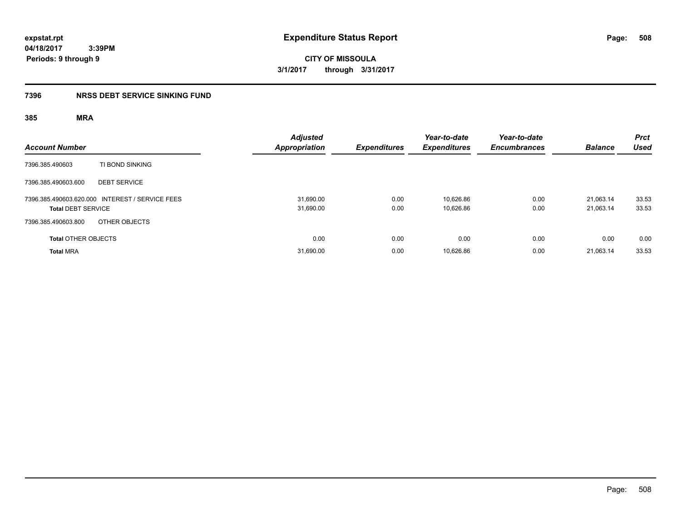**CITY OF MISSOULA 3/1/2017 through 3/31/2017**

### **7396 NRSS DEBT SERVICE SINKING FUND**

| <b>Account Number</b>                                                        | Adjusted<br><b>Appropriation</b> | <b>Expenditures</b> | Year-to-date<br><b>Expenditures</b> | Year-to-date<br><b>Encumbrances</b> | <b>Balance</b>         | <b>Prct</b><br><b>Used</b> |
|------------------------------------------------------------------------------|----------------------------------|---------------------|-------------------------------------|-------------------------------------|------------------------|----------------------------|
| 7396.385.490603<br>TI BOND SINKING                                           |                                  |                     |                                     |                                     |                        |                            |
| <b>DEBT SERVICE</b><br>7396.385.490603.600                                   |                                  |                     |                                     |                                     |                        |                            |
| 7396.385.490603.620.000 INTEREST / SERVICE FEES<br><b>Total DEBT SERVICE</b> | 31.690.00<br>31,690.00           | 0.00<br>0.00        | 10.626.86<br>10,626.86              | 0.00<br>0.00                        | 21.063.14<br>21,063.14 | 33.53<br>33.53             |
| OTHER OBJECTS<br>7396.385.490603.800                                         |                                  |                     |                                     |                                     |                        |                            |
| <b>Total OTHER OBJECTS</b>                                                   | 0.00                             | 0.00                | 0.00                                | 0.00                                | 0.00                   | 0.00                       |
| <b>Total MRA</b>                                                             | 31,690.00                        | 0.00                | 10.626.86                           | 0.00                                | 21.063.14              | 33.53                      |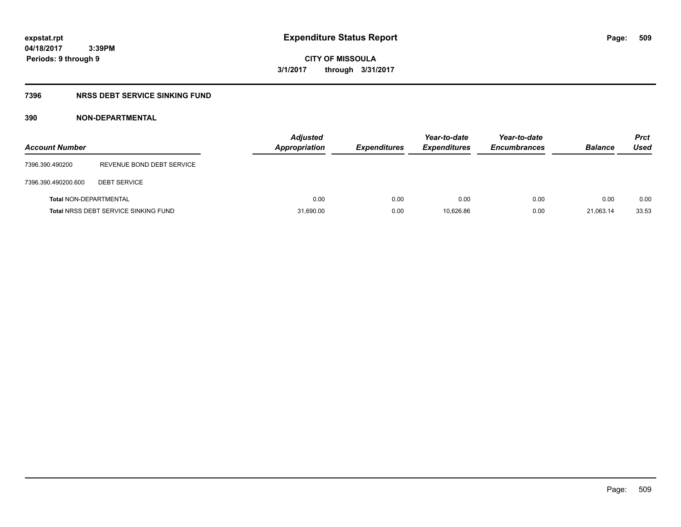# **CITY OF MISSOULA 3/1/2017 through 3/31/2017**

### **7396 NRSS DEBT SERVICE SINKING FUND**

### **390 NON-DEPARTMENTAL**

| <b>Account Number</b>         |                                             | <b>Adjusted</b><br><b>Appropriation</b> | <b>Expenditures</b> | Year-to-date<br><b>Expenditures</b> | Year-to-date<br><b>Encumbrances</b> | <b>Balance</b> | <b>Prct</b><br>Used |
|-------------------------------|---------------------------------------------|-----------------------------------------|---------------------|-------------------------------------|-------------------------------------|----------------|---------------------|
| 7396.390.490200               | REVENUE BOND DEBT SERVICE                   |                                         |                     |                                     |                                     |                |                     |
| 7396.390.490200.600           | <b>DEBT SERVICE</b>                         |                                         |                     |                                     |                                     |                |                     |
| <b>Total NON-DEPARTMENTAL</b> |                                             | 0.00                                    | 0.00                | 0.00                                | 0.00                                | 0.00           | 0.00                |
|                               | <b>Total NRSS DEBT SERVICE SINKING FUND</b> | 31,690.00                               | 0.00                | 10.626.86                           | 0.00                                | 21.063.14      | 33.53               |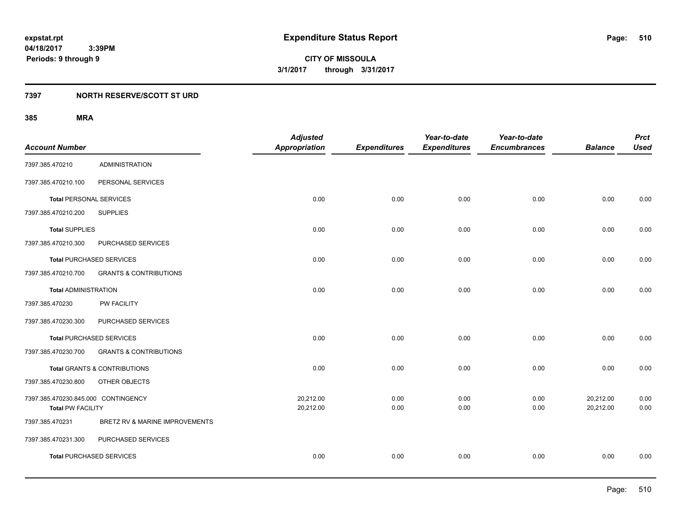### **7397 NORTH RESERVE/SCOTT ST URD**

|                                     |                                         | <b>Adjusted</b>      |                     | Year-to-date        | Year-to-date        |                | <b>Prct</b> |
|-------------------------------------|-----------------------------------------|----------------------|---------------------|---------------------|---------------------|----------------|-------------|
| <b>Account Number</b>               |                                         | <b>Appropriation</b> | <b>Expenditures</b> | <b>Expenditures</b> | <b>Encumbrances</b> | <b>Balance</b> | <b>Used</b> |
| 7397.385.470210                     | <b>ADMINISTRATION</b>                   |                      |                     |                     |                     |                |             |
| 7397.385.470210.100                 | PERSONAL SERVICES                       |                      |                     |                     |                     |                |             |
| <b>Total PERSONAL SERVICES</b>      |                                         | 0.00                 | 0.00                | 0.00                | 0.00                | 0.00           | 0.00        |
| 7397.385.470210.200                 | <b>SUPPLIES</b>                         |                      |                     |                     |                     |                |             |
| <b>Total SUPPLIES</b>               |                                         | 0.00                 | 0.00                | 0.00                | 0.00                | 0.00           | 0.00        |
| 7397.385.470210.300                 | PURCHASED SERVICES                      |                      |                     |                     |                     |                |             |
| <b>Total PURCHASED SERVICES</b>     |                                         | 0.00                 | 0.00                | 0.00                | 0.00                | 0.00           | 0.00        |
| 7397.385.470210.700                 | <b>GRANTS &amp; CONTRIBUTIONS</b>       |                      |                     |                     |                     |                |             |
| <b>Total ADMINISTRATION</b>         |                                         | 0.00                 | 0.00                | 0.00                | 0.00                | 0.00           | 0.00        |
| 7397.385.470230                     | PW FACILITY                             |                      |                     |                     |                     |                |             |
| 7397.385.470230.300                 | PURCHASED SERVICES                      |                      |                     |                     |                     |                |             |
| <b>Total PURCHASED SERVICES</b>     |                                         | 0.00                 | 0.00                | 0.00                | 0.00                | 0.00           | 0.00        |
| 7397.385.470230.700                 | <b>GRANTS &amp; CONTRIBUTIONS</b>       |                      |                     |                     |                     |                |             |
|                                     | <b>Total GRANTS &amp; CONTRIBUTIONS</b> | 0.00                 | 0.00                | 0.00                | 0.00                | 0.00           | 0.00        |
| 7397.385.470230.800                 | OTHER OBJECTS                           |                      |                     |                     |                     |                |             |
| 7397.385.470230.845.000 CONTINGENCY |                                         | 20,212.00            | 0.00                | 0.00                | 0.00                | 20,212.00      | 0.00        |
| <b>Total PW FACILITY</b>            |                                         | 20,212.00            | 0.00                | 0.00                | 0.00                | 20,212.00      | 0.00        |
| 7397.385.470231                     | BRETZ RV & MARINE IMPROVEMENTS          |                      |                     |                     |                     |                |             |
| 7397.385.470231.300                 | PURCHASED SERVICES                      |                      |                     |                     |                     |                |             |
| <b>Total PURCHASED SERVICES</b>     |                                         | 0.00                 | 0.00                | 0.00                | 0.00                | 0.00           | 0.00        |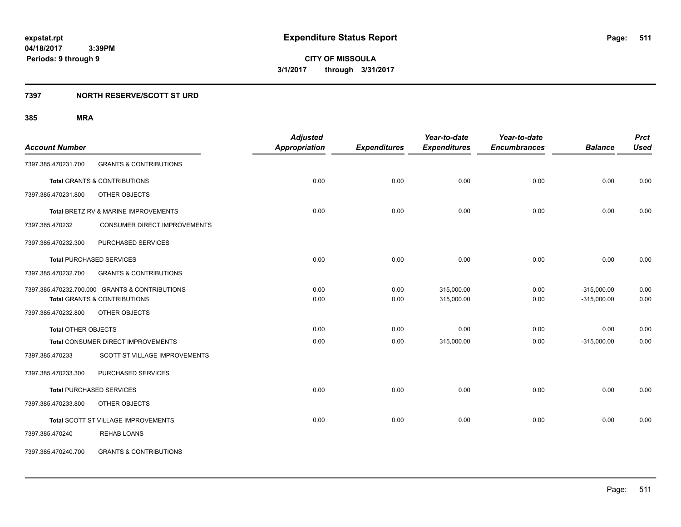**511**

**04/18/2017 3:39PM Periods: 9 through 9**

**CITY OF MISSOULA 3/1/2017 through 3/31/2017**

### **7397 NORTH RESERVE/SCOTT ST URD**

|                            |                                                | <b>Adjusted</b>      |                     | Year-to-date        | Year-to-date        |                | <b>Prct</b> |
|----------------------------|------------------------------------------------|----------------------|---------------------|---------------------|---------------------|----------------|-------------|
| <b>Account Number</b>      |                                                | <b>Appropriation</b> | <b>Expenditures</b> | <b>Expenditures</b> | <b>Encumbrances</b> | <b>Balance</b> | <b>Used</b> |
| 7397.385.470231.700        | <b>GRANTS &amp; CONTRIBUTIONS</b>              |                      |                     |                     |                     |                |             |
|                            | <b>Total GRANTS &amp; CONTRIBUTIONS</b>        | 0.00                 | 0.00                | 0.00                | 0.00                | 0.00           | 0.00        |
| 7397.385.470231.800        | OTHER OBJECTS                                  |                      |                     |                     |                     |                |             |
|                            | Total BRETZ RV & MARINE IMPROVEMENTS           | 0.00                 | 0.00                | 0.00                | 0.00                | 0.00           | 0.00        |
| 7397.385.470232            | CONSUMER DIRECT IMPROVEMENTS                   |                      |                     |                     |                     |                |             |
| 7397.385.470232.300        | PURCHASED SERVICES                             |                      |                     |                     |                     |                |             |
|                            | <b>Total PURCHASED SERVICES</b>                | 0.00                 | 0.00                | 0.00                | 0.00                | 0.00           | 0.00        |
| 7397.385.470232.700        | <b>GRANTS &amp; CONTRIBUTIONS</b>              |                      |                     |                     |                     |                |             |
|                            | 7397.385.470232.700.000 GRANTS & CONTRIBUTIONS | 0.00                 | 0.00                | 315,000.00          | 0.00                | $-315,000.00$  | 0.00        |
|                            | <b>Total GRANTS &amp; CONTRIBUTIONS</b>        | 0.00                 | 0.00                | 315,000.00          | 0.00                | $-315,000.00$  | 0.00        |
| 7397.385.470232.800        | OTHER OBJECTS                                  |                      |                     |                     |                     |                |             |
| <b>Total OTHER OBJECTS</b> |                                                | 0.00                 | 0.00                | 0.00                | 0.00                | 0.00           | 0.00        |
|                            | Total CONSUMER DIRECT IMPROVEMENTS             | 0.00                 | 0.00                | 315,000.00          | 0.00                | $-315,000.00$  | 0.00        |
| 7397.385.470233            | <b>SCOTT ST VILLAGE IMPROVEMENTS</b>           |                      |                     |                     |                     |                |             |
| 7397.385.470233.300        | PURCHASED SERVICES                             |                      |                     |                     |                     |                |             |
|                            | <b>Total PURCHASED SERVICES</b>                | 0.00                 | 0.00                | 0.00                | 0.00                | 0.00           | 0.00        |
| 7397.385.470233.800        | OTHER OBJECTS                                  |                      |                     |                     |                     |                |             |
|                            | Total SCOTT ST VILLAGE IMPROVEMENTS            | 0.00                 | 0.00                | 0.00                | 0.00                | 0.00           | 0.00        |
| 7397.385.470240            | <b>REHAB LOANS</b>                             |                      |                     |                     |                     |                |             |
| 7397.385.470240.700        | <b>GRANTS &amp; CONTRIBUTIONS</b>              |                      |                     |                     |                     |                |             |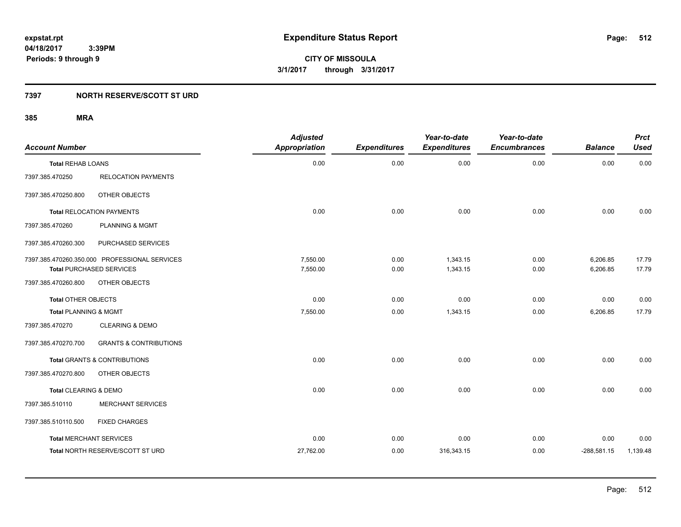### **7397 NORTH RESERVE/SCOTT ST URD**

| <b>Account Number</b>            |                                               | <b>Adjusted</b><br><b>Appropriation</b> | <b>Expenditures</b> | Year-to-date<br><b>Expenditures</b> | Year-to-date<br><b>Encumbrances</b> | <b>Balance</b> | <b>Prct</b><br><b>Used</b> |
|----------------------------------|-----------------------------------------------|-----------------------------------------|---------------------|-------------------------------------|-------------------------------------|----------------|----------------------------|
| <b>Total REHAB LOANS</b>         |                                               | 0.00                                    | 0.00                | 0.00                                | 0.00                                | 0.00           | 0.00                       |
| 7397.385.470250                  | <b>RELOCATION PAYMENTS</b>                    |                                         |                     |                                     |                                     |                |                            |
| 7397.385.470250.800              | OTHER OBJECTS                                 |                                         |                     |                                     |                                     |                |                            |
|                                  | <b>Total RELOCATION PAYMENTS</b>              | 0.00                                    | 0.00                | 0.00                                | 0.00                                | 0.00           | 0.00                       |
| 7397.385.470260                  | <b>PLANNING &amp; MGMT</b>                    |                                         |                     |                                     |                                     |                |                            |
| 7397.385.470260.300              | PURCHASED SERVICES                            |                                         |                     |                                     |                                     |                |                            |
|                                  | 7397.385.470260.350.000 PROFESSIONAL SERVICES | 7,550.00                                | 0.00                | 1,343.15                            | 0.00                                | 6,206.85       | 17.79                      |
|                                  | <b>Total PURCHASED SERVICES</b>               | 7,550.00                                | 0.00                | 1,343.15                            | 0.00                                | 6,206.85       | 17.79                      |
| 7397.385.470260.800              | OTHER OBJECTS                                 |                                         |                     |                                     |                                     |                |                            |
| <b>Total OTHER OBJECTS</b>       |                                               | 0.00                                    | 0.00                | 0.00                                | 0.00                                | 0.00           | 0.00                       |
| <b>Total PLANNING &amp; MGMT</b> |                                               | 7,550.00                                | 0.00                | 1,343.15                            | 0.00                                | 6,206.85       | 17.79                      |
| 7397.385.470270                  | <b>CLEARING &amp; DEMO</b>                    |                                         |                     |                                     |                                     |                |                            |
| 7397.385.470270.700              | <b>GRANTS &amp; CONTRIBUTIONS</b>             |                                         |                     |                                     |                                     |                |                            |
|                                  | <b>Total GRANTS &amp; CONTRIBUTIONS</b>       | 0.00                                    | 0.00                | 0.00                                | 0.00                                | 0.00           | 0.00                       |
| 7397.385.470270.800              | OTHER OBJECTS                                 |                                         |                     |                                     |                                     |                |                            |
| Total CLEARING & DEMO            |                                               | 0.00                                    | 0.00                | 0.00                                | 0.00                                | 0.00           | 0.00                       |
| 7397.385.510110                  | <b>MERCHANT SERVICES</b>                      |                                         |                     |                                     |                                     |                |                            |
| 7397.385.510110.500              | <b>FIXED CHARGES</b>                          |                                         |                     |                                     |                                     |                |                            |
| <b>Total MERCHANT SERVICES</b>   |                                               | 0.00                                    | 0.00                | 0.00                                | 0.00                                | 0.00           | 0.00                       |
|                                  | Total NORTH RESERVE/SCOTT ST URD              | 27,762.00                               | 0.00                | 316,343.15                          | 0.00                                | $-288,581.15$  | 1,139.48                   |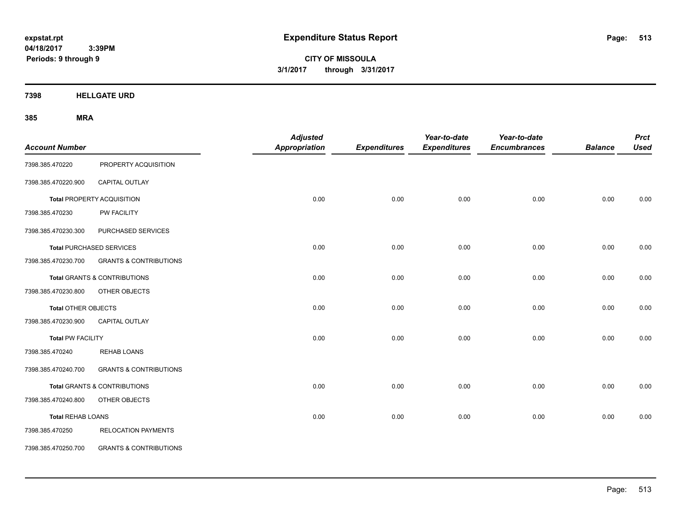**CITY OF MISSOULA 3/1/2017 through 3/31/2017**

**7398 HELLGATE URD**

| <b>Account Number</b>      |                                         | <b>Adjusted</b><br><b>Appropriation</b> | <b>Expenditures</b> | Year-to-date<br><b>Expenditures</b> | Year-to-date<br><b>Encumbrances</b> | <b>Balance</b> | <b>Prct</b><br><b>Used</b> |
|----------------------------|-----------------------------------------|-----------------------------------------|---------------------|-------------------------------------|-------------------------------------|----------------|----------------------------|
| 7398.385.470220            | PROPERTY ACQUISITION                    |                                         |                     |                                     |                                     |                |                            |
| 7398.385.470220.900        | CAPITAL OUTLAY                          |                                         |                     |                                     |                                     |                |                            |
|                            | <b>Total PROPERTY ACQUISITION</b>       | 0.00                                    | 0.00                | 0.00                                | 0.00                                | 0.00           | 0.00                       |
| 7398.385.470230            | PW FACILITY                             |                                         |                     |                                     |                                     |                |                            |
| 7398.385.470230.300        | PURCHASED SERVICES                      |                                         |                     |                                     |                                     |                |                            |
|                            | <b>Total PURCHASED SERVICES</b>         | 0.00                                    | 0.00                | 0.00                                | 0.00                                | 0.00           | 0.00                       |
| 7398.385.470230.700        | <b>GRANTS &amp; CONTRIBUTIONS</b>       |                                         |                     |                                     |                                     |                |                            |
|                            | Total GRANTS & CONTRIBUTIONS            | 0.00                                    | 0.00                | 0.00                                | 0.00                                | 0.00           | 0.00                       |
| 7398.385.470230.800        | OTHER OBJECTS                           |                                         |                     |                                     |                                     |                |                            |
| <b>Total OTHER OBJECTS</b> |                                         | 0.00                                    | 0.00                | 0.00                                | 0.00                                | 0.00           | 0.00                       |
| 7398.385.470230.900        | <b>CAPITAL OUTLAY</b>                   |                                         |                     |                                     |                                     |                |                            |
| <b>Total PW FACILITY</b>   |                                         | 0.00                                    | 0.00                | 0.00                                | 0.00                                | 0.00           | 0.00                       |
| 7398.385.470240            | <b>REHAB LOANS</b>                      |                                         |                     |                                     |                                     |                |                            |
| 7398.385.470240.700        | <b>GRANTS &amp; CONTRIBUTIONS</b>       |                                         |                     |                                     |                                     |                |                            |
|                            | <b>Total GRANTS &amp; CONTRIBUTIONS</b> | 0.00                                    | 0.00                | 0.00                                | 0.00                                | 0.00           | 0.00                       |
| 7398.385.470240.800        | OTHER OBJECTS                           |                                         |                     |                                     |                                     |                |                            |
| <b>Total REHAB LOANS</b>   |                                         | 0.00                                    | 0.00                | 0.00                                | 0.00                                | 0.00           | 0.00                       |
| 7398.385.470250            | <b>RELOCATION PAYMENTS</b>              |                                         |                     |                                     |                                     |                |                            |
| 7398.385.470250.700        | <b>GRANTS &amp; CONTRIBUTIONS</b>       |                                         |                     |                                     |                                     |                |                            |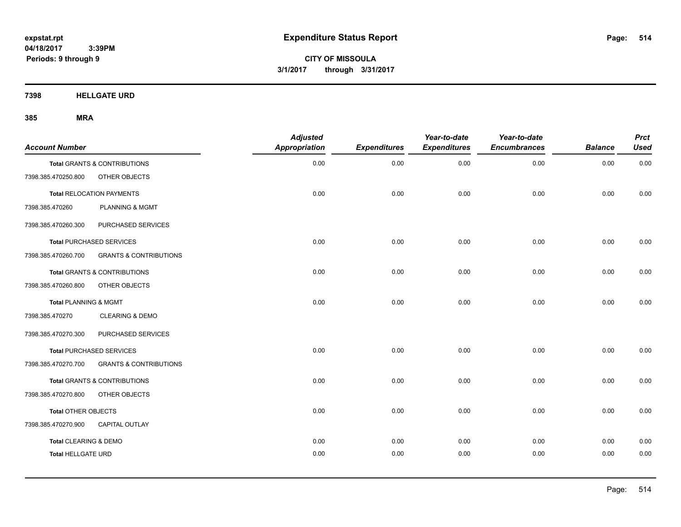**CITY OF MISSOULA 3/1/2017 through 3/31/2017**

**7398 HELLGATE URD**

| <b>Account Number</b>            |                                         | <b>Adjusted</b><br><b>Appropriation</b> | <b>Expenditures</b> | Year-to-date<br><b>Expenditures</b> | Year-to-date<br><b>Encumbrances</b> | <b>Balance</b> | <b>Prct</b><br><b>Used</b> |
|----------------------------------|-----------------------------------------|-----------------------------------------|---------------------|-------------------------------------|-------------------------------------|----------------|----------------------------|
|                                  | Total GRANTS & CONTRIBUTIONS            | 0.00                                    | 0.00                | 0.00                                | 0.00                                | 0.00           | 0.00                       |
| 7398.385.470250.800              | OTHER OBJECTS                           |                                         |                     |                                     |                                     |                |                            |
|                                  | <b>Total RELOCATION PAYMENTS</b>        | 0.00                                    | 0.00                | 0.00                                | 0.00                                | 0.00           | 0.00                       |
| 7398.385.470260                  | <b>PLANNING &amp; MGMT</b>              |                                         |                     |                                     |                                     |                |                            |
| 7398.385.470260.300              | PURCHASED SERVICES                      |                                         |                     |                                     |                                     |                |                            |
|                                  | <b>Total PURCHASED SERVICES</b>         | 0.00                                    | 0.00                | 0.00                                | 0.00                                | 0.00           | 0.00                       |
| 7398.385.470260.700              | <b>GRANTS &amp; CONTRIBUTIONS</b>       |                                         |                     |                                     |                                     |                |                            |
|                                  | <b>Total GRANTS &amp; CONTRIBUTIONS</b> | 0.00                                    | 0.00                | 0.00                                | 0.00                                | 0.00           | 0.00                       |
| 7398.385.470260.800              | OTHER OBJECTS                           |                                         |                     |                                     |                                     |                |                            |
| <b>Total PLANNING &amp; MGMT</b> |                                         | 0.00                                    | 0.00                | 0.00                                | 0.00                                | 0.00           | 0.00                       |
| 7398.385.470270                  | <b>CLEARING &amp; DEMO</b>              |                                         |                     |                                     |                                     |                |                            |
| 7398.385.470270.300              | PURCHASED SERVICES                      |                                         |                     |                                     |                                     |                |                            |
|                                  | <b>Total PURCHASED SERVICES</b>         | 0.00                                    | 0.00                | 0.00                                | 0.00                                | 0.00           | 0.00                       |
| 7398.385.470270.700              | <b>GRANTS &amp; CONTRIBUTIONS</b>       |                                         |                     |                                     |                                     |                |                            |
|                                  | <b>Total GRANTS &amp; CONTRIBUTIONS</b> | 0.00                                    | 0.00                | 0.00                                | 0.00                                | 0.00           | 0.00                       |
| 7398.385.470270.800              | OTHER OBJECTS                           |                                         |                     |                                     |                                     |                |                            |
| Total OTHER OBJECTS              |                                         | 0.00                                    | 0.00                | 0.00                                | 0.00                                | 0.00           | 0.00                       |
| 7398.385.470270.900              | CAPITAL OUTLAY                          |                                         |                     |                                     |                                     |                |                            |
| <b>Total CLEARING &amp; DEMO</b> |                                         | 0.00                                    | 0.00                | 0.00                                | 0.00                                | 0.00           | 0.00                       |
| <b>Total HELLGATE URD</b>        |                                         | 0.00                                    | 0.00                | 0.00                                | 0.00                                | 0.00           | 0.00                       |
|                                  |                                         |                                         |                     |                                     |                                     |                |                            |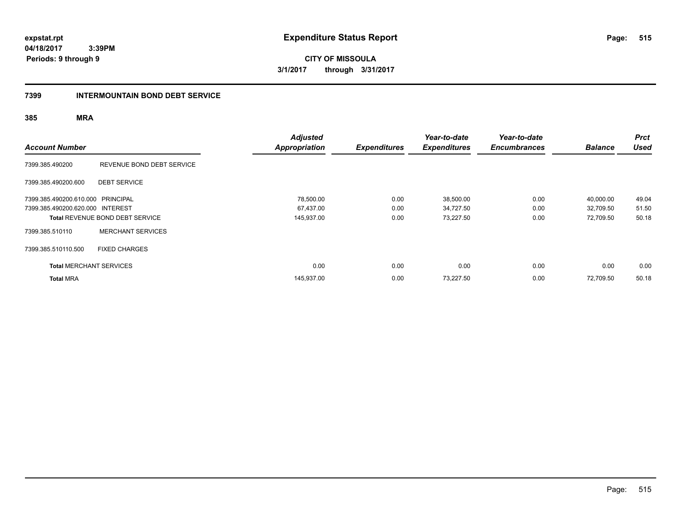**515**

**04/18/2017 3:39PM Periods: 9 through 9**

**CITY OF MISSOULA 3/1/2017 through 3/31/2017**

### **7399 INTERMOUNTAIN BOND DEBT SERVICE**

| <b>Account Number</b>             |                                        | <b>Adjusted</b><br><b>Appropriation</b> | <b>Expenditures</b> | Year-to-date<br><b>Expenditures</b> | Year-to-date<br><b>Encumbrances</b> | <b>Balance</b> | <b>Prct</b><br><b>Used</b> |
|-----------------------------------|----------------------------------------|-----------------------------------------|---------------------|-------------------------------------|-------------------------------------|----------------|----------------------------|
| 7399.385.490200                   | REVENUE BOND DEBT SERVICE              |                                         |                     |                                     |                                     |                |                            |
| 7399.385.490200.600               | <b>DEBT SERVICE</b>                    |                                         |                     |                                     |                                     |                |                            |
| 7399.385.490200.610.000 PRINCIPAL |                                        | 78,500.00                               | 0.00                | 38,500.00                           | 0.00                                | 40,000.00      | 49.04                      |
| 7399.385.490200.620.000 INTEREST  |                                        | 67,437.00                               | 0.00                | 34,727.50                           | 0.00                                | 32.709.50      | 51.50                      |
|                                   | <b>Total REVENUE BOND DEBT SERVICE</b> | 145,937.00                              | 0.00                | 73,227.50                           | 0.00                                | 72,709.50      | 50.18                      |
| 7399.385.510110                   | <b>MERCHANT SERVICES</b>               |                                         |                     |                                     |                                     |                |                            |
| 7399.385.510110.500               | <b>FIXED CHARGES</b>                   |                                         |                     |                                     |                                     |                |                            |
| <b>Total MERCHANT SERVICES</b>    |                                        | 0.00                                    | 0.00                | 0.00                                | 0.00                                | 0.00           | 0.00                       |
| <b>Total MRA</b>                  |                                        | 145,937.00                              | 0.00                | 73,227.50                           | 0.00                                | 72.709.50      | 50.18                      |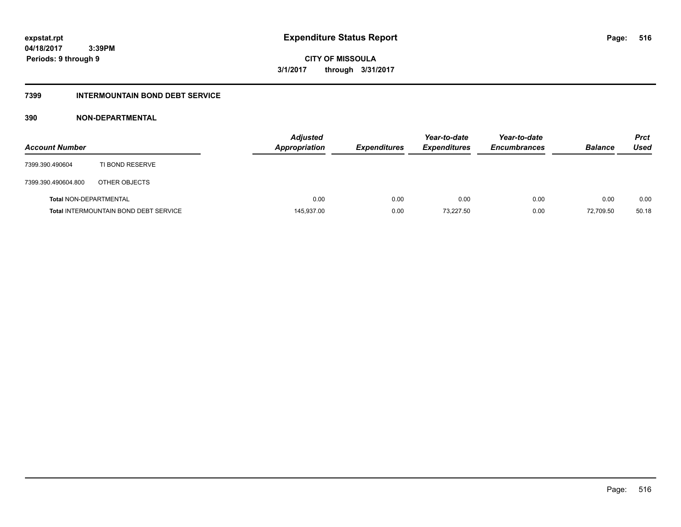**CITY OF MISSOULA 3/1/2017 through 3/31/2017**

### **7399 INTERMOUNTAIN BOND DEBT SERVICE**

### **390 NON-DEPARTMENTAL**

| <b>Account Number</b>         |                                              | <b>Adjusted</b><br><b>Appropriation</b> | <b>Expenditures</b> | Year-to-date<br><b>Expenditures</b> | Year-to-date<br><b>Encumbrances</b> | <b>Balance</b> | <b>Prct</b><br>Used |
|-------------------------------|----------------------------------------------|-----------------------------------------|---------------------|-------------------------------------|-------------------------------------|----------------|---------------------|
| 7399.390.490604               | TI BOND RESERVE                              |                                         |                     |                                     |                                     |                |                     |
| 7399.390.490604.800           | OTHER OBJECTS                                |                                         |                     |                                     |                                     |                |                     |
| <b>Total NON-DEPARTMENTAL</b> |                                              | 0.00                                    | 0.00                | 0.00                                | 0.00                                | 0.00           | 0.00                |
|                               | <b>Total INTERMOUNTAIN BOND DEBT SERVICE</b> | 145,937.00                              | 0.00                | 73.227.50                           | 0.00                                | 72.709.50      | 50.18               |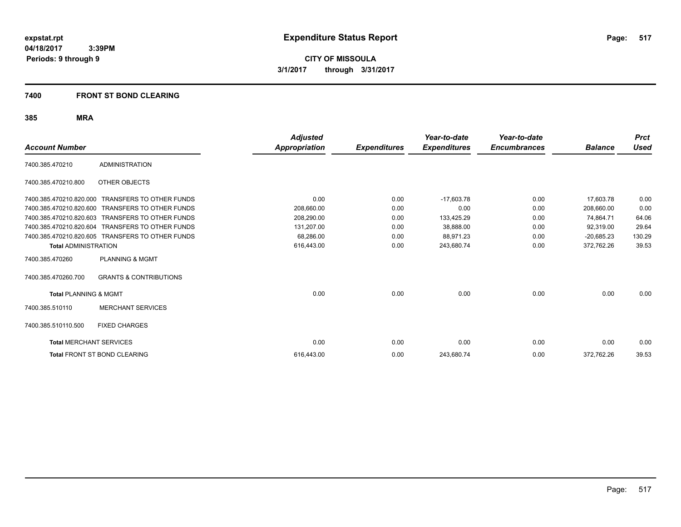**CITY OF MISSOULA 3/1/2017 through 3/31/2017**

### **7400 FRONT ST BOND CLEARING**

|                                  |                                                  | <b>Adjusted</b>      |                     | Year-to-date        | Year-to-date        |                | <b>Prct</b> |
|----------------------------------|--------------------------------------------------|----------------------|---------------------|---------------------|---------------------|----------------|-------------|
| <b>Account Number</b>            |                                                  | <b>Appropriation</b> | <b>Expenditures</b> | <b>Expenditures</b> | <b>Encumbrances</b> | <b>Balance</b> | Used        |
| 7400.385.470210                  | <b>ADMINISTRATION</b>                            |                      |                     |                     |                     |                |             |
| 7400.385.470210.800              | OTHER OBJECTS                                    |                      |                     |                     |                     |                |             |
| 7400.385.470210.820.000          | <b>TRANSFERS TO OTHER FUNDS</b>                  | 0.00                 | 0.00                | $-17,603.78$        | 0.00                | 17.603.78      | 0.00        |
| 7400.385.470210.820.600          | <b>TRANSFERS TO OTHER FUNDS</b>                  | 208,660.00           | 0.00                | 0.00                | 0.00                | 208,660.00     | 0.00        |
| 7400.385.470210.820.603          | <b>TRANSFERS TO OTHER FUNDS</b>                  | 208.290.00           | 0.00                | 133,425.29          | 0.00                | 74,864.71      | 64.06       |
| 7400.385.470210.820.604          | <b>TRANSFERS TO OTHER FUNDS</b>                  | 131,207.00           | 0.00                | 38,888.00           | 0.00                | 92,319.00      | 29.64       |
|                                  | 7400.385.470210.820.605 TRANSFERS TO OTHER FUNDS | 68,286.00            | 0.00                | 88,971.23           | 0.00                | $-20,685.23$   | 130.29      |
| <b>Total ADMINISTRATION</b>      |                                                  | 616,443.00           | 0.00                | 243,680.74          | 0.00                | 372,762.26     | 39.53       |
| 7400.385.470260                  | <b>PLANNING &amp; MGMT</b>                       |                      |                     |                     |                     |                |             |
| 7400.385.470260.700              | <b>GRANTS &amp; CONTRIBUTIONS</b>                |                      |                     |                     |                     |                |             |
| <b>Total PLANNING &amp; MGMT</b> |                                                  | 0.00                 | 0.00                | 0.00                | 0.00                | 0.00           | 0.00        |
| 7400.385.510110                  | <b>MERCHANT SERVICES</b>                         |                      |                     |                     |                     |                |             |
| 7400.385.510110.500              | <b>FIXED CHARGES</b>                             |                      |                     |                     |                     |                |             |
| <b>Total MERCHANT SERVICES</b>   |                                                  | 0.00                 | 0.00                | 0.00                | 0.00                | 0.00           | 0.00        |
|                                  | Total FRONT ST BOND CLEARING                     | 616,443.00           | 0.00                | 243,680.74          | 0.00                | 372,762.26     | 39.53       |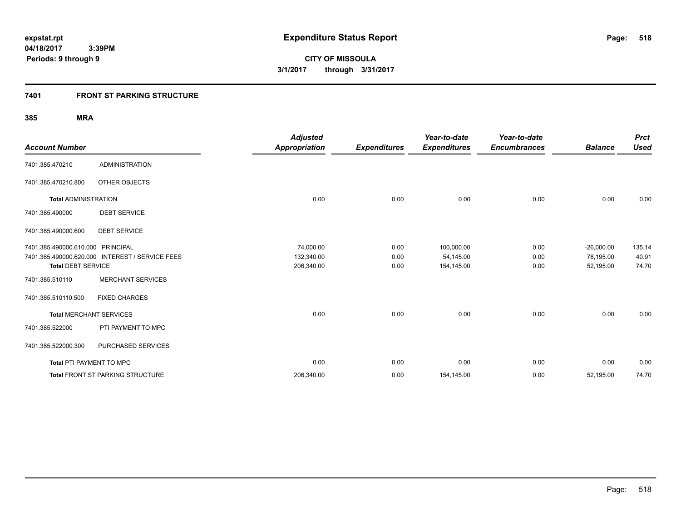### **7401 FRONT ST PARKING STRUCTURE**

| <b>Account Number</b>             |                                                 | <b>Adjusted</b><br><b>Appropriation</b> | <b>Expenditures</b> | Year-to-date<br><b>Expenditures</b> | Year-to-date<br><b>Encumbrances</b> | <b>Balance</b> | <b>Prct</b><br><b>Used</b> |
|-----------------------------------|-------------------------------------------------|-----------------------------------------|---------------------|-------------------------------------|-------------------------------------|----------------|----------------------------|
| 7401.385.470210                   | <b>ADMINISTRATION</b>                           |                                         |                     |                                     |                                     |                |                            |
| 7401.385.470210.800               | OTHER OBJECTS                                   |                                         |                     |                                     |                                     |                |                            |
| <b>Total ADMINISTRATION</b>       |                                                 | 0.00                                    | 0.00                | 0.00                                | 0.00                                | 0.00           | 0.00                       |
| 7401.385.490000                   | <b>DEBT SERVICE</b>                             |                                         |                     |                                     |                                     |                |                            |
| 7401.385.490000.600               | <b>DEBT SERVICE</b>                             |                                         |                     |                                     |                                     |                |                            |
| 7401.385.490000.610.000 PRINCIPAL |                                                 | 74,000.00                               | 0.00                | 100,000.00                          | 0.00                                | $-26,000.00$   | 135.14                     |
|                                   | 7401.385.490000.620.000 INTEREST / SERVICE FEES | 132,340.00                              | 0.00                | 54,145.00                           | 0.00                                | 78,195.00      | 40.91                      |
| <b>Total DEBT SERVICE</b>         |                                                 | 206,340.00                              | 0.00                | 154,145.00                          | 0.00                                | 52,195.00      | 74.70                      |
| 7401.385.510110                   | <b>MERCHANT SERVICES</b>                        |                                         |                     |                                     |                                     |                |                            |
| 7401.385.510110.500               | <b>FIXED CHARGES</b>                            |                                         |                     |                                     |                                     |                |                            |
| <b>Total MERCHANT SERVICES</b>    |                                                 | 0.00                                    | 0.00                | 0.00                                | 0.00                                | 0.00           | 0.00                       |
| 7401.385.522000                   | PTI PAYMENT TO MPC                              |                                         |                     |                                     |                                     |                |                            |
| 7401.385.522000.300               | PURCHASED SERVICES                              |                                         |                     |                                     |                                     |                |                            |
| Total PTI PAYMENT TO MPC          |                                                 | 0.00                                    | 0.00                | 0.00                                | 0.00                                | 0.00           | 0.00                       |
|                                   | <b>Total FRONT ST PARKING STRUCTURE</b>         | 206,340.00                              | 0.00                | 154,145.00                          | 0.00                                | 52,195.00      | 74.70                      |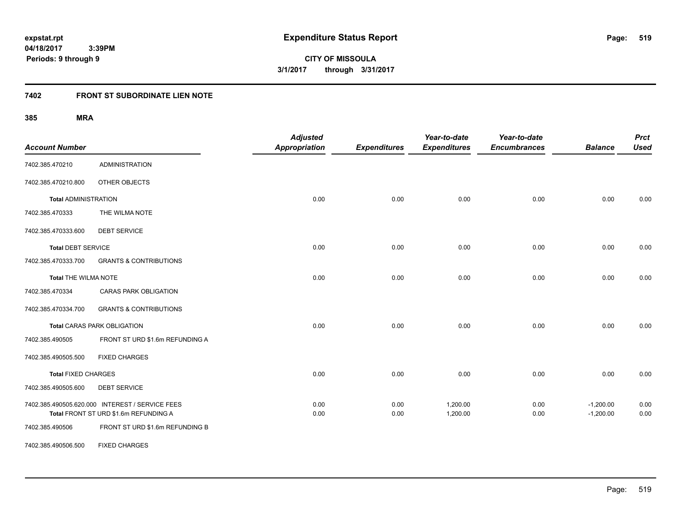**CITY OF MISSOULA 3/1/2017 through 3/31/2017**

# **7402 FRONT ST SUBORDINATE LIEN NOTE**

| <b>Account Number</b>       |                                                                                          | <b>Adjusted</b><br><b>Appropriation</b> | <b>Expenditures</b> | Year-to-date<br><b>Expenditures</b> | Year-to-date<br><b>Encumbrances</b> | <b>Balance</b>             | <b>Prct</b><br><b>Used</b> |
|-----------------------------|------------------------------------------------------------------------------------------|-----------------------------------------|---------------------|-------------------------------------|-------------------------------------|----------------------------|----------------------------|
| 7402.385.470210             | <b>ADMINISTRATION</b>                                                                    |                                         |                     |                                     |                                     |                            |                            |
| 7402.385.470210.800         | OTHER OBJECTS                                                                            |                                         |                     |                                     |                                     |                            |                            |
| <b>Total ADMINISTRATION</b> |                                                                                          | 0.00                                    | 0.00                | 0.00                                | 0.00                                | 0.00                       | 0.00                       |
| 7402.385.470333             | THE WILMA NOTE                                                                           |                                         |                     |                                     |                                     |                            |                            |
| 7402.385.470333.600         | <b>DEBT SERVICE</b>                                                                      |                                         |                     |                                     |                                     |                            |                            |
| <b>Total DEBT SERVICE</b>   |                                                                                          | 0.00                                    | 0.00                | 0.00                                | 0.00                                | 0.00                       | 0.00                       |
| 7402.385.470333.700         | <b>GRANTS &amp; CONTRIBUTIONS</b>                                                        |                                         |                     |                                     |                                     |                            |                            |
| <b>Total THE WILMA NOTE</b> |                                                                                          | 0.00                                    | 0.00                | 0.00                                | 0.00                                | 0.00                       | 0.00                       |
| 7402.385.470334             | <b>CARAS PARK OBLIGATION</b>                                                             |                                         |                     |                                     |                                     |                            |                            |
| 7402.385.470334.700         | <b>GRANTS &amp; CONTRIBUTIONS</b>                                                        |                                         |                     |                                     |                                     |                            |                            |
|                             | <b>Total CARAS PARK OBLIGATION</b>                                                       | 0.00                                    | 0.00                | 0.00                                | 0.00                                | 0.00                       | 0.00                       |
| 7402.385.490505             | FRONT ST URD \$1.6m REFUNDING A                                                          |                                         |                     |                                     |                                     |                            |                            |
| 7402.385.490505.500         | <b>FIXED CHARGES</b>                                                                     |                                         |                     |                                     |                                     |                            |                            |
| <b>Total FIXED CHARGES</b>  |                                                                                          | 0.00                                    | 0.00                | 0.00                                | 0.00                                | 0.00                       | 0.00                       |
| 7402.385.490505.600         | <b>DEBT SERVICE</b>                                                                      |                                         |                     |                                     |                                     |                            |                            |
|                             | 7402.385.490505.620.000 INTEREST / SERVICE FEES<br>Total FRONT ST URD \$1.6m REFUNDING A | 0.00<br>0.00                            | 0.00<br>0.00        | 1,200.00<br>1,200.00                | 0.00<br>0.00                        | $-1,200.00$<br>$-1,200.00$ | 0.00<br>0.00               |
| 7402.385.490506             | FRONT ST URD \$1.6m REFUNDING B                                                          |                                         |                     |                                     |                                     |                            |                            |
| 7402.385.490506.500         | <b>FIXED CHARGES</b>                                                                     |                                         |                     |                                     |                                     |                            |                            |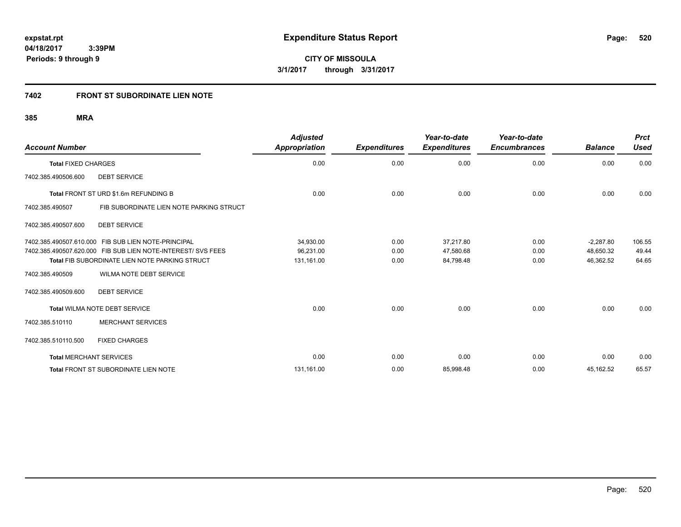### **7402 FRONT ST SUBORDINATE LIEN NOTE**

| <b>Account Number</b>                               |                                                              | <b>Adjusted</b><br><b>Appropriation</b> | <b>Expenditures</b> | Year-to-date<br><b>Expenditures</b> | Year-to-date<br><b>Encumbrances</b> | <b>Balance</b> | <b>Prct</b><br><b>Used</b> |
|-----------------------------------------------------|--------------------------------------------------------------|-----------------------------------------|---------------------|-------------------------------------|-------------------------------------|----------------|----------------------------|
| <b>Total FIXED CHARGES</b>                          |                                                              | 0.00                                    | 0.00                | 0.00                                | 0.00                                | 0.00           | 0.00                       |
| <b>DEBT SERVICE</b><br>7402.385.490506.600          |                                                              |                                         |                     |                                     |                                     |                |                            |
| Total FRONT ST URD \$1.6m REFUNDING B               |                                                              | 0.00                                    | 0.00                | 0.00                                | 0.00                                | 0.00           | 0.00                       |
| 7402.385.490507                                     | FIB SUBORDINATE LIEN NOTE PARKING STRUCT                     |                                         |                     |                                     |                                     |                |                            |
| 7402.385.490507.600<br><b>DEBT SERVICE</b>          |                                                              |                                         |                     |                                     |                                     |                |                            |
| 7402.385.490507.610.000 FIB SUB LIEN NOTE-PRINCIPAL |                                                              | 34,930.00                               | 0.00                | 37,217.80                           | 0.00                                | $-2,287.80$    | 106.55                     |
|                                                     | 7402.385.490507.620.000 FIB SUB LIEN NOTE-INTEREST/ SVS FEES | 96,231.00                               | 0.00                | 47,580.68                           | 0.00                                | 48.650.32      | 49.44                      |
|                                                     | <b>Total FIB SUBORDINATE LIEN NOTE PARKING STRUCT</b>        | 131,161.00                              | 0.00                | 84,798.48                           | 0.00                                | 46,362.52      | 64.65                      |
| 7402.385.490509                                     | WILMA NOTE DEBT SERVICE                                      |                                         |                     |                                     |                                     |                |                            |
| <b>DEBT SERVICE</b><br>7402.385.490509.600          |                                                              |                                         |                     |                                     |                                     |                |                            |
| <b>Total WILMA NOTE DEBT SERVICE</b>                |                                                              | 0.00                                    | 0.00                | 0.00                                | 0.00                                | 0.00           | 0.00                       |
| 7402.385.510110                                     | <b>MERCHANT SERVICES</b>                                     |                                         |                     |                                     |                                     |                |                            |
| 7402.385.510110.500                                 | <b>FIXED CHARGES</b>                                         |                                         |                     |                                     |                                     |                |                            |
| <b>Total MERCHANT SERVICES</b>                      |                                                              | 0.00                                    | 0.00                | 0.00                                | 0.00                                | 0.00           | 0.00                       |
| <b>Total FRONT ST SUBORDINATE LIEN NOTE</b>         |                                                              | 131,161.00                              | 0.00                | 85,998.48                           | 0.00                                | 45,162.52      | 65.57                      |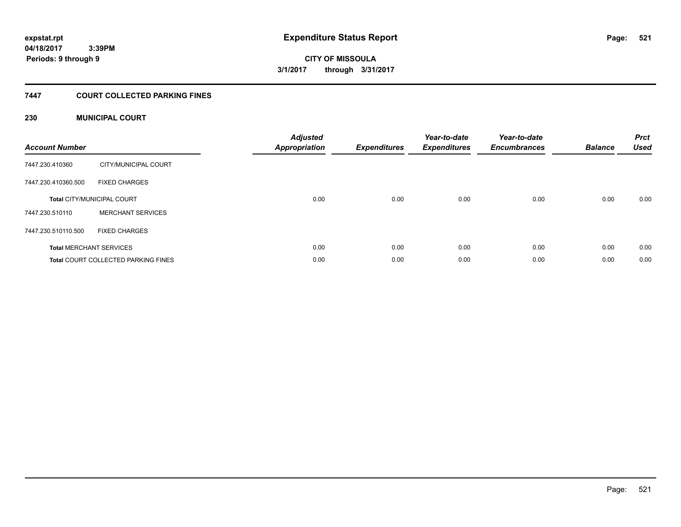**521**

**04/18/2017 3:39PM Periods: 9 through 9**

**CITY OF MISSOULA 3/1/2017 through 3/31/2017**

### **7447 COURT COLLECTED PARKING FINES**

### **230 MUNICIPAL COURT**

| <b>Account Number</b> |                                            | <b>Adjusted</b><br>Appropriation | <b>Expenditures</b> | Year-to-date<br><b>Expenditures</b> | Year-to-date<br><b>Encumbrances</b> | <b>Balance</b> | <b>Prct</b><br><b>Used</b> |
|-----------------------|--------------------------------------------|----------------------------------|---------------------|-------------------------------------|-------------------------------------|----------------|----------------------------|
| 7447.230.410360       | CITY/MUNICIPAL COURT                       |                                  |                     |                                     |                                     |                |                            |
| 7447.230.410360.500   | <b>FIXED CHARGES</b>                       |                                  |                     |                                     |                                     |                |                            |
|                       | <b>Total CITY/MUNICIPAL COURT</b>          | 0.00                             | 0.00                | 0.00                                | 0.00                                | 0.00           | 0.00                       |
| 7447.230.510110       | <b>MERCHANT SERVICES</b>                   |                                  |                     |                                     |                                     |                |                            |
| 7447.230.510110.500   | <b>FIXED CHARGES</b>                       |                                  |                     |                                     |                                     |                |                            |
|                       | <b>Total MERCHANT SERVICES</b>             | 0.00                             | 0.00                | 0.00                                | 0.00                                | 0.00           | 0.00                       |
|                       | <b>Total COURT COLLECTED PARKING FINES</b> | 0.00                             | 0.00                | 0.00                                | 0.00                                | 0.00           | 0.00                       |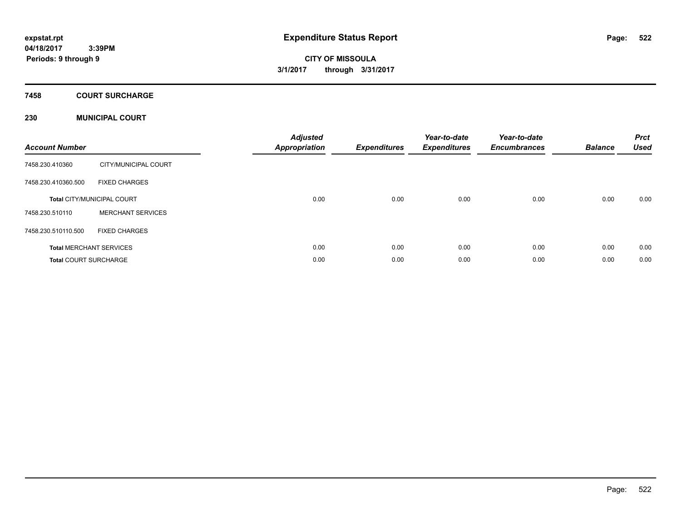**CITY OF MISSOULA 3/1/2017 through 3/31/2017**

# **7458 COURT SURCHARGE**

### **230 MUNICIPAL COURT**

| <b>Account Number</b>        |                                   | <b>Adjusted</b><br><b>Appropriation</b> | <b>Expenditures</b> | Year-to-date<br><b>Expenditures</b> | Year-to-date<br><b>Encumbrances</b> | <b>Balance</b> | <b>Prct</b><br><b>Used</b> |
|------------------------------|-----------------------------------|-----------------------------------------|---------------------|-------------------------------------|-------------------------------------|----------------|----------------------------|
| 7458.230.410360              | CITY/MUNICIPAL COURT              |                                         |                     |                                     |                                     |                |                            |
| 7458.230.410360.500          | <b>FIXED CHARGES</b>              |                                         |                     |                                     |                                     |                |                            |
|                              | <b>Total CITY/MUNICIPAL COURT</b> | 0.00                                    | 0.00                | 0.00                                | 0.00                                | 0.00           | 0.00                       |
| 7458.230.510110              | <b>MERCHANT SERVICES</b>          |                                         |                     |                                     |                                     |                |                            |
| 7458.230.510110.500          | <b>FIXED CHARGES</b>              |                                         |                     |                                     |                                     |                |                            |
|                              | <b>Total MERCHANT SERVICES</b>    | 0.00                                    | 0.00                | 0.00                                | 0.00                                | 0.00           | 0.00                       |
| <b>Total COURT SURCHARGE</b> |                                   | 0.00                                    | 0.00                | 0.00                                | 0.00                                | 0.00           | 0.00                       |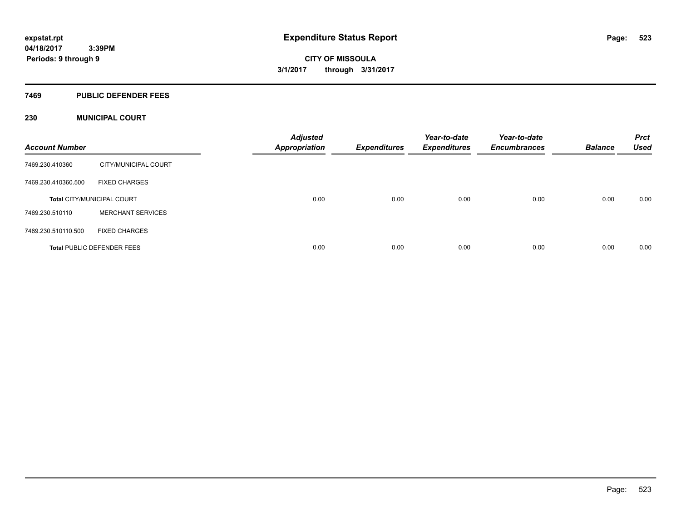### **7469 PUBLIC DEFENDER FEES**

### **230 MUNICIPAL COURT**

| <b>Account Number</b> |                                   | <b>Adjusted</b><br><b>Appropriation</b> | <b>Expenditures</b> | Year-to-date<br><b>Expenditures</b> | Year-to-date<br><b>Encumbrances</b> | <b>Balance</b> | <b>Prct</b><br><b>Used</b> |
|-----------------------|-----------------------------------|-----------------------------------------|---------------------|-------------------------------------|-------------------------------------|----------------|----------------------------|
| 7469.230.410360       | CITY/MUNICIPAL COURT              |                                         |                     |                                     |                                     |                |                            |
| 7469.230.410360.500   | <b>FIXED CHARGES</b>              |                                         |                     |                                     |                                     |                |                            |
|                       | <b>Total CITY/MUNICIPAL COURT</b> | 0.00                                    | 0.00                | 0.00                                | 0.00                                | 0.00           | 0.00                       |
| 7469.230.510110       | <b>MERCHANT SERVICES</b>          |                                         |                     |                                     |                                     |                |                            |
| 7469.230.510110.500   | <b>FIXED CHARGES</b>              |                                         |                     |                                     |                                     |                |                            |
|                       | <b>Total PUBLIC DEFENDER FEES</b> | 0.00                                    | 0.00                | 0.00                                | 0.00                                | 0.00           | 0.00                       |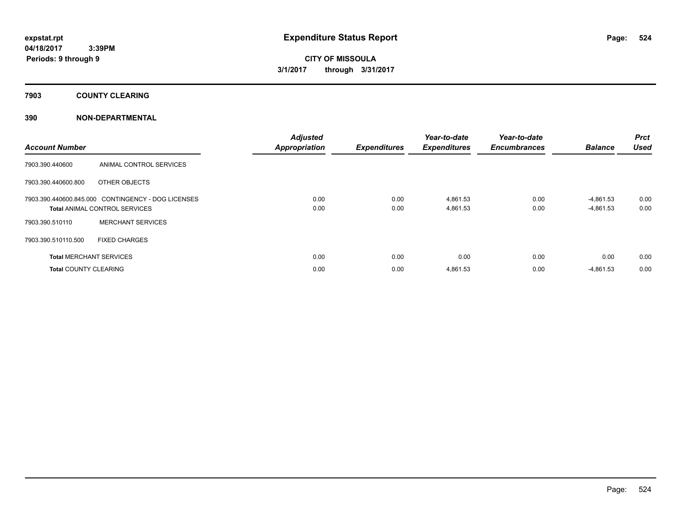**7903 COUNTY CLEARING**

### **390 NON-DEPARTMENTAL**

| <b>Account Number</b>          |                                                    | <b>Adjusted</b><br><b>Appropriation</b> | <b>Expenditures</b> | Year-to-date<br><b>Expenditures</b> | Year-to-date<br><b>Encumbrances</b> | <b>Balance</b> | Prct<br><b>Used</b> |
|--------------------------------|----------------------------------------------------|-----------------------------------------|---------------------|-------------------------------------|-------------------------------------|----------------|---------------------|
| 7903.390.440600                | ANIMAL CONTROL SERVICES                            |                                         |                     |                                     |                                     |                |                     |
| 7903.390.440600.800            | OTHER OBJECTS                                      |                                         |                     |                                     |                                     |                |                     |
|                                | 7903.390.440600.845.000 CONTINGENCY - DOG LICENSES | 0.00                                    | 0.00                | 4,861.53                            | 0.00                                | -4,861.53      | 0.00                |
|                                | <b>Total ANIMAL CONTROL SERVICES</b>               | 0.00                                    | 0.00                | 4,861.53                            | 0.00                                | -4,861.53      | 0.00                |
| 7903.390.510110                | <b>MERCHANT SERVICES</b>                           |                                         |                     |                                     |                                     |                |                     |
| 7903.390.510110.500            | <b>FIXED CHARGES</b>                               |                                         |                     |                                     |                                     |                |                     |
| <b>Total MERCHANT SERVICES</b> |                                                    | 0.00                                    | 0.00                | 0.00                                | 0.00                                | 0.00           | 0.00                |
| <b>Total COUNTY CLEARING</b>   |                                                    | 0.00                                    | 0.00                | 4,861.53                            | 0.00                                | $-4,861.53$    | 0.00                |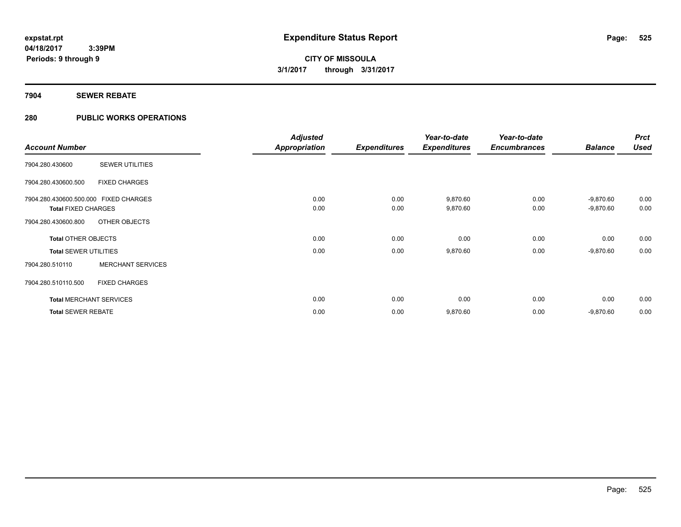### **7904 SEWER REBATE**

### **280 PUBLIC WORKS OPERATIONS**

|                                       |                                | <b>Adjusted</b>      |                     | Year-to-date        | Year-to-date        |                | <b>Prct</b> |
|---------------------------------------|--------------------------------|----------------------|---------------------|---------------------|---------------------|----------------|-------------|
| <b>Account Number</b>                 |                                | <b>Appropriation</b> | <b>Expenditures</b> | <b>Expenditures</b> | <b>Encumbrances</b> | <b>Balance</b> | <b>Used</b> |
| 7904.280.430600                       | <b>SEWER UTILITIES</b>         |                      |                     |                     |                     |                |             |
| 7904.280.430600.500                   | <b>FIXED CHARGES</b>           |                      |                     |                     |                     |                |             |
| 7904.280.430600.500.000 FIXED CHARGES |                                | 0.00                 | 0.00                | 9,870.60            | 0.00                | $-9,870.60$    | 0.00        |
| <b>Total FIXED CHARGES</b>            |                                | 0.00                 | 0.00                | 9,870.60            | 0.00                | $-9,870.60$    | 0.00        |
| 7904.280.430600.800                   | OTHER OBJECTS                  |                      |                     |                     |                     |                |             |
| <b>Total OTHER OBJECTS</b>            |                                | 0.00                 | 0.00                | 0.00                | 0.00                | 0.00           | 0.00        |
| <b>Total SEWER UTILITIES</b>          |                                | 0.00                 | 0.00                | 9,870.60            | 0.00                | $-9,870.60$    | 0.00        |
| 7904.280.510110                       | <b>MERCHANT SERVICES</b>       |                      |                     |                     |                     |                |             |
| 7904.280.510110.500                   | <b>FIXED CHARGES</b>           |                      |                     |                     |                     |                |             |
|                                       | <b>Total MERCHANT SERVICES</b> | 0.00                 | 0.00                | 0.00                | 0.00                | 0.00           | 0.00        |
| <b>Total SEWER REBATE</b>             |                                | 0.00                 | 0.00                | 9,870.60            | 0.00                | $-9,870.60$    | 0.00        |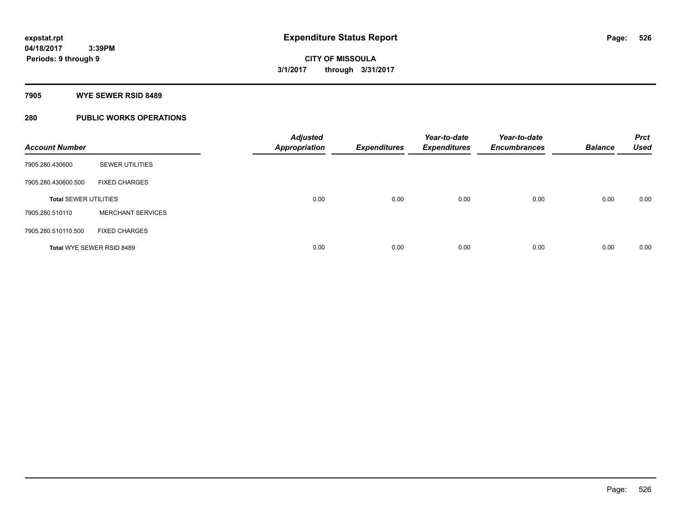### **7905 WYE SEWER RSID 8489**

### **280 PUBLIC WORKS OPERATIONS**

| <b>Account Number</b>        |                           | <b>Adjusted</b><br><b>Appropriation</b> | <b>Expenditures</b> | Year-to-date<br><b>Expenditures</b> | Year-to-date<br><b>Encumbrances</b> | <b>Balance</b> | <b>Prct</b><br><b>Used</b> |
|------------------------------|---------------------------|-----------------------------------------|---------------------|-------------------------------------|-------------------------------------|----------------|----------------------------|
| 7905.280.430600              | <b>SEWER UTILITIES</b>    |                                         |                     |                                     |                                     |                |                            |
| 7905.280.430600.500          | <b>FIXED CHARGES</b>      |                                         |                     |                                     |                                     |                |                            |
| <b>Total SEWER UTILITIES</b> |                           | 0.00                                    | 0.00                | 0.00                                | 0.00                                | 0.00           | 0.00                       |
| 7905.280.510110              | <b>MERCHANT SERVICES</b>  |                                         |                     |                                     |                                     |                |                            |
| 7905.280.510110.500          | <b>FIXED CHARGES</b>      |                                         |                     |                                     |                                     |                |                            |
|                              | Total WYE SEWER RSID 8489 | 0.00                                    | 0.00                | 0.00                                | 0.00                                | 0.00           | 0.00                       |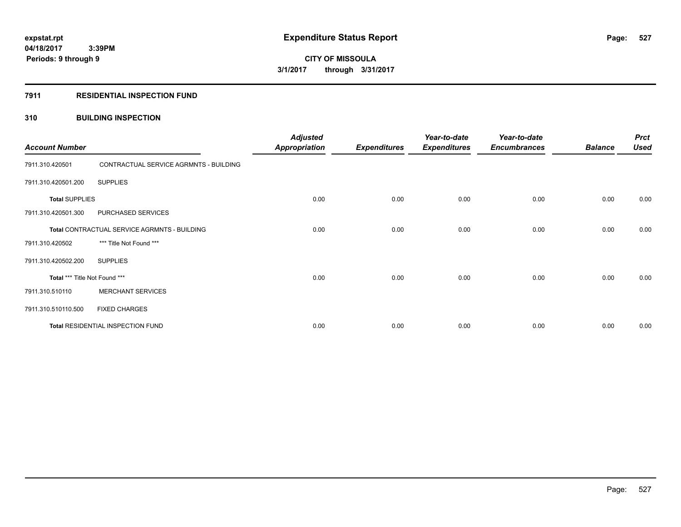### **7911 RESIDENTIAL INSPECTION FUND**

### **310 BUILDING INSPECTION**

| <b>Account Number</b>         |                                              | <b>Adjusted</b><br><b>Appropriation</b> | <b>Expenditures</b> | Year-to-date<br><b>Expenditures</b> | Year-to-date<br><b>Encumbrances</b> | <b>Balance</b> | <b>Prct</b><br><b>Used</b> |
|-------------------------------|----------------------------------------------|-----------------------------------------|---------------------|-------------------------------------|-------------------------------------|----------------|----------------------------|
| 7911.310.420501               | CONTRACTUAL SERVICE AGRMNTS - BUILDING       |                                         |                     |                                     |                                     |                |                            |
| 7911.310.420501.200           | <b>SUPPLIES</b>                              |                                         |                     |                                     |                                     |                |                            |
| <b>Total SUPPLIES</b>         |                                              | 0.00                                    | 0.00                | 0.00                                | 0.00                                | 0.00           | 0.00                       |
| 7911.310.420501.300           | PURCHASED SERVICES                           |                                         |                     |                                     |                                     |                |                            |
|                               | Total CONTRACTUAL SERVICE AGRMNTS - BUILDING | 0.00                                    | 0.00                | 0.00                                | 0.00                                | 0.00           | 0.00                       |
| 7911.310.420502               | *** Title Not Found ***                      |                                         |                     |                                     |                                     |                |                            |
| 7911.310.420502.200           | <b>SUPPLIES</b>                              |                                         |                     |                                     |                                     |                |                            |
| Total *** Title Not Found *** |                                              | 0.00                                    | 0.00                | 0.00                                | 0.00                                | 0.00           | 0.00                       |
| 7911.310.510110               | <b>MERCHANT SERVICES</b>                     |                                         |                     |                                     |                                     |                |                            |
| 7911.310.510110.500           | <b>FIXED CHARGES</b>                         |                                         |                     |                                     |                                     |                |                            |
|                               | Total RESIDENTIAL INSPECTION FUND            | 0.00                                    | 0.00                | 0.00                                | 0.00                                | 0.00           | 0.00                       |